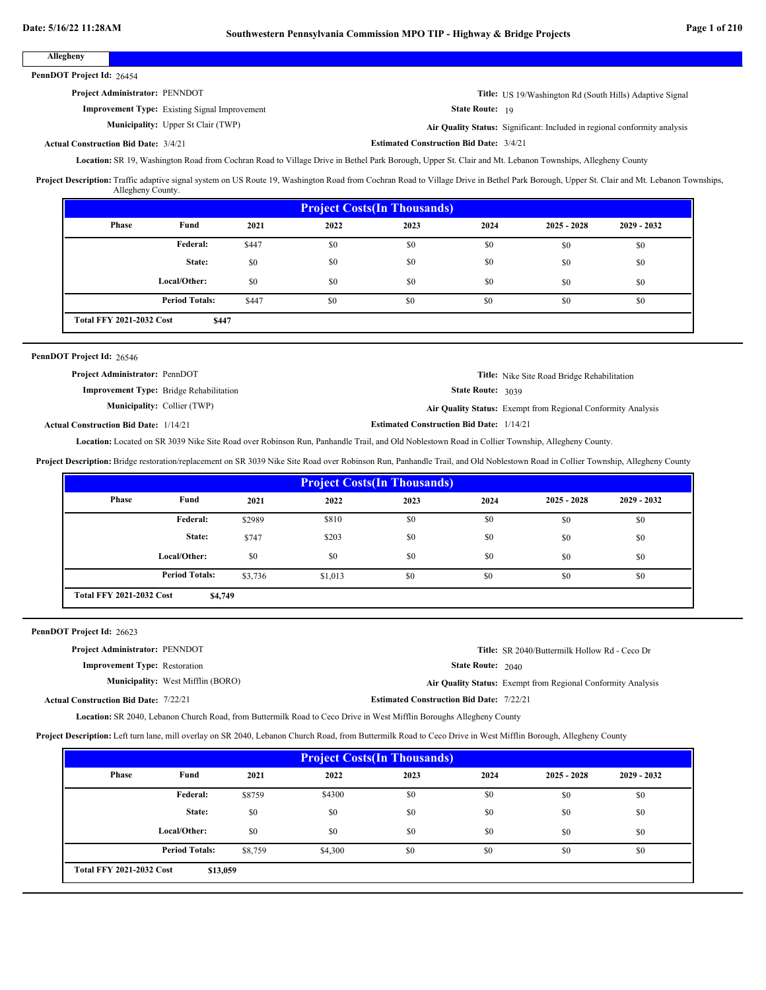| Date: 5/16/22 11:28AM                        |                                                                                                                                                                                                                                                                                                                                                                           |         | Southwestern Pennsylvania Commission MPO TIP - Highway & Bridge Projects |                                                 |                        |                                                                           |               | Page 1 of 210 |
|----------------------------------------------|---------------------------------------------------------------------------------------------------------------------------------------------------------------------------------------------------------------------------------------------------------------------------------------------------------------------------------------------------------------------------|---------|--------------------------------------------------------------------------|-------------------------------------------------|------------------------|---------------------------------------------------------------------------|---------------|---------------|
| Allegheny                                    |                                                                                                                                                                                                                                                                                                                                                                           |         |                                                                          |                                                 |                        |                                                                           |               |               |
| PennDOT Project Id: 26454                    |                                                                                                                                                                                                                                                                                                                                                                           |         |                                                                          |                                                 |                        |                                                                           |               |               |
|                                              | Project Administrator: PENNDOT                                                                                                                                                                                                                                                                                                                                            |         |                                                                          |                                                 |                        | Title: US 19/Washington Rd (South Hills) Adaptive Signal                  |               |               |
|                                              | <b>Improvement Type:</b> Existing Signal Improvement                                                                                                                                                                                                                                                                                                                      |         |                                                                          |                                                 | <b>State Route: 19</b> |                                                                           |               |               |
|                                              | <b>Municipality:</b> Upper St Clair (TWP)                                                                                                                                                                                                                                                                                                                                 |         |                                                                          |                                                 |                        | Air Quality Status: Significant: Included in regional conformity analysis |               |               |
| <b>Actual Construction Bid Date: 3/4/21</b>  |                                                                                                                                                                                                                                                                                                                                                                           |         |                                                                          | <b>Estimated Construction Bid Date: 3/4/21</b>  |                        |                                                                           |               |               |
|                                              | Location: SR 19, Washington Road from Cochran Road to Village Drive in Bethel Park Borough, Upper St. Clair and Mt. Lebanon Townships, Allegheny County<br>Project Description: Traffic adaptive signal system on US Route 19, Washington Road from Cochran Road to Village Drive in Bethel Park Borough, Upper St. Clair and Mt. Lebanon Townships,<br>Allegheny County. |         |                                                                          |                                                 |                        |                                                                           |               |               |
|                                              |                                                                                                                                                                                                                                                                                                                                                                           |         |                                                                          | <b>Project Costs(In Thousands)</b>              |                        |                                                                           |               |               |
| Phase                                        | Fund                                                                                                                                                                                                                                                                                                                                                                      | 2021    | 2022                                                                     | 2023                                            | 2024                   | $2025 - 2028$                                                             | 2029 - 2032   |               |
|                                              | <b>Federal:</b>                                                                                                                                                                                                                                                                                                                                                           | \$447   | \$0                                                                      | \$0                                             | \$0                    | \$0                                                                       | \$0           |               |
|                                              | State:                                                                                                                                                                                                                                                                                                                                                                    | \$0     | \$0                                                                      | \$0                                             | \$0                    | \$0                                                                       | \$0           |               |
|                                              | Local/Other:                                                                                                                                                                                                                                                                                                                                                              | \$0     | \$0                                                                      | \$0                                             | \$0                    | \$0                                                                       | \$0           |               |
|                                              | <b>Period Totals:</b>                                                                                                                                                                                                                                                                                                                                                     | \$447   | \$0                                                                      | \$0                                             | \$0                    | \$0                                                                       | \$0           |               |
| <b>Total FFY 2021-2032 Cost</b>              | \$447                                                                                                                                                                                                                                                                                                                                                                     |         |                                                                          |                                                 |                        |                                                                           |               |               |
| <b>Actual Construction Bid Date: 1/14/21</b> | <b>Improvement Type:</b> Bridge Rehabilitation<br><b>Municipality: Collier (TWP)</b><br>Location: Located on SR 3039 Nike Site Road over Robinson Run, Panhandle Trail, and Old Noblestown Road in Collier Township, Allegheny County.                                                                                                                                    |         |                                                                          | <b>Estimated Construction Bid Date: 1/14/21</b> | State Route: 3039      | Air Quality Status: Exempt from Regional Conformity Analysis              |               |               |
|                                              | Project Description: Bridge restoration/replacement on SR 3039 Nike Site Road over Robinson Run, Panhandle Trail, and Old Noblestown Road in Collier Township, Allegheny County                                                                                                                                                                                           |         |                                                                          | <b>Project Costs(In Thousands)</b>              |                        |                                                                           |               |               |
| <b>Phase</b>                                 | Fund                                                                                                                                                                                                                                                                                                                                                                      | 2021    | 2022                                                                     | 2023                                            | 2024                   | $2025 - 2028$                                                             | $2029 - 2032$ |               |
|                                              | <b>Federal:</b>                                                                                                                                                                                                                                                                                                                                                           | \$2989  | \$810                                                                    | \$0                                             | \$0                    | \$0                                                                       | \$0           |               |
|                                              | State:                                                                                                                                                                                                                                                                                                                                                                    | \$747   | \$203                                                                    | \$0                                             | \$0                    | \$0                                                                       | \$0           |               |
|                                              | Local/Other:                                                                                                                                                                                                                                                                                                                                                              | \$0     | \$0                                                                      | \$0                                             | \$0                    | \$0                                                                       | \$0           |               |
|                                              | <b>Period Totals:</b>                                                                                                                                                                                                                                                                                                                                                     | \$3,736 | \$1,013                                                                  | \$0                                             | \$0                    | \$0                                                                       | \$0           |               |
| <b>Total FFY 2021-2032 Cost</b>              | \$4,749                                                                                                                                                                                                                                                                                                                                                                   |         |                                                                          |                                                 |                        |                                                                           |               |               |
| PennDOT Project Id: 26623                    |                                                                                                                                                                                                                                                                                                                                                                           |         |                                                                          |                                                 |                        |                                                                           |               |               |
|                                              | Project Administrator: PENNDOT                                                                                                                                                                                                                                                                                                                                            |         |                                                                          |                                                 |                        | Title: SR 2040/Buttermilk Hollow Rd - Ceco Dr                             |               |               |
|                                              | <b>Improvement Type: Restoration</b>                                                                                                                                                                                                                                                                                                                                      |         |                                                                          |                                                 | State Route: 2040      |                                                                           |               |               |
|                                              | Municipality: West Mifflin (BORO)                                                                                                                                                                                                                                                                                                                                         |         |                                                                          |                                                 |                        | Air Quality Status: Exempt from Regional Conformity Analysis              |               |               |
| <b>Actual Construction Bid Date: 7/22/21</b> |                                                                                                                                                                                                                                                                                                                                                                           |         |                                                                          | <b>Estimated Construction Bid Date: 7/22/21</b> |                        |                                                                           |               |               |
|                                              | Location: SR 2040, Lebanon Church Road, from Buttermilk Road to Ceco Drive in West Mifflin Boroughs Allegheny County                                                                                                                                                                                                                                                      |         |                                                                          |                                                 |                        |                                                                           |               |               |
|                                              | Project Description: Left turn lane, mill overlay on SR 2040, Lebanon Church Road, from Buttermilk Road to Ceco Drive in West Mifflin Borough, Allegheny County                                                                                                                                                                                                           |         |                                                                          |                                                 |                        |                                                                           |               |               |
|                                              |                                                                                                                                                                                                                                                                                                                                                                           |         |                                                                          | <b>Project Costs(In Thousands)</b>              |                        |                                                                           |               |               |
| <b>Phase</b>                                 | Fund                                                                                                                                                                                                                                                                                                                                                                      | 2021    | 2022                                                                     | 2023                                            | 2024                   | $2025 - 2028$                                                             | 2029 - 2032   |               |
|                                              | Federal:                                                                                                                                                                                                                                                                                                                                                                  | \$8759  | \$4300                                                                   | \$0                                             | \$0                    | \$0                                                                       | \$0           |               |
|                                              | State:                                                                                                                                                                                                                                                                                                                                                                    | \$0     | \$0                                                                      | \$0                                             | \$0                    | \$0                                                                       | \$0           |               |

 $$8,759$   $$4,300$   $$0$   $$0$   $$0$   $$0$   $$0$ 

**\$13,059**

**Period Totals:** \$8,759 \$4,300 \$0 \$0

**Total FFY 2021-2032 Cost**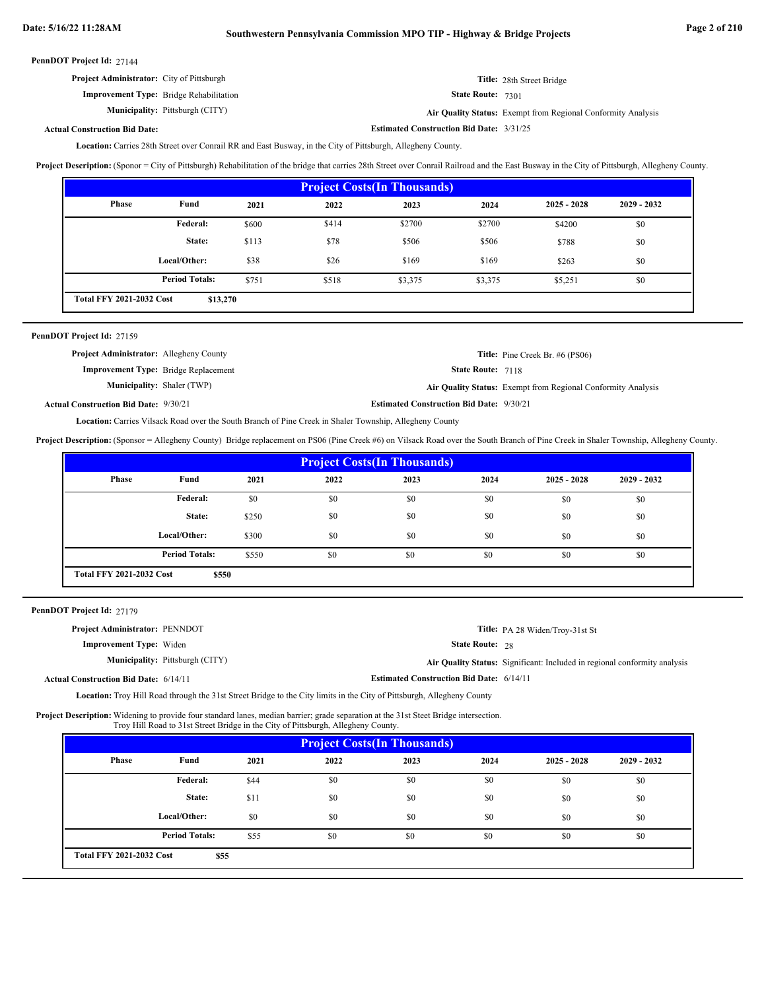**Estimated Construction Bid Date:** 3/31/25

|  | PennDOT Project Id: 27144 |  |
|--|---------------------------|--|
|--|---------------------------|--|

| <b>Project Administrator:</b> City of Pittsburgh | Title: 28th Street Bridge                                           |
|--------------------------------------------------|---------------------------------------------------------------------|
| <b>Improvement Type:</b> Bridge Rehabilitation   | <b>State Route: 7301</b>                                            |
| <b>Municipality:</b> Pittsburgh (CITY)           | <b>Air Quality Status:</b> Exempt from Regional Conformity Analysis |

# **Actual Construction Bid Date:**

Location: Carries 28th Street over Conrail RR and East Busway, in the City of Pittsburgh, Allegheny County.

Project Description: (Sponor = City of Pittsburgh) Rehabilitation of the bridge that carries 28th Street over Conrail Railroad and the East Busway in the City of Pittsburgh, Allegheny County.

| <b>Project Costs (In Thousands)</b>         |                       |       |       |         |         |               |               |  |
|---------------------------------------------|-----------------------|-------|-------|---------|---------|---------------|---------------|--|
| Phase                                       | Fund                  | 2021  | 2022  | 2023    | 2024    | $2025 - 2028$ | $2029 - 2032$ |  |
|                                             | Federal:              | \$600 | \$414 | \$2700  | \$2700  | \$4200        | \$0           |  |
|                                             | State:                | \$113 | \$78  | \$506   | \$506   | \$788         | \$0           |  |
|                                             | Local/Other:          | \$38  | \$26  | \$169   | \$169   | \$263         | \$0           |  |
|                                             | <b>Period Totals:</b> | \$751 | \$518 | \$3,375 | \$3,375 | \$5,251       | \$0           |  |
| <b>Total FFY 2021-2032 Cost</b><br>\$13,270 |                       |       |       |         |         |               |               |  |

# PennDOT Project Id: 27159

| <b>Project Administrator:</b> Allegheny County |                                                 | <b>Title:</b> Pine Creek Br. #6 (PS06)                              |
|------------------------------------------------|-------------------------------------------------|---------------------------------------------------------------------|
| <b>Improvement Type:</b> Bridge Replacement    | <b>State Route: 7118</b>                        |                                                                     |
| <b>Municipality:</b> Shaler (TWP)              |                                                 | <b>Air Quality Status:</b> Exempt from Regional Conformity Analysis |
| <b>Actual Construction Bid Date: 9/30/21</b>   | <b>Estimated Construction Bid Date: 9/30/21</b> |                                                                     |

Location: Carries Vilsack Road over the South Branch of Pine Creek in Shaler Township, Allegheny County

**Project Description:** (Sponsor = Allegheny County) Bridge replacement on PS06 (Pine Creek #6) on Vilsack Road over the South Branch of Pine Creek in Shaler Township, Allegheny County.

| <b>Project Costs (In Thousands)</b>      |                       |       |      |      |      |               |               |
|------------------------------------------|-----------------------|-------|------|------|------|---------------|---------------|
| Phase                                    | Fund                  | 2021  | 2022 | 2023 | 2024 | $2025 - 2028$ | $2029 - 2032$ |
|                                          | Federal:              | \$0   | \$0  | \$0  | \$0  | \$0           | \$0           |
|                                          | State:                | \$250 | \$0  | \$0  | \$0  | \$0           | \$0           |
|                                          | Local/Other:          | \$300 | \$0  | \$0  | \$0  | \$0           | \$0           |
|                                          | <b>Period Totals:</b> | \$550 | \$0  | \$0  | \$0  | \$0           | \$0           |
| <b>Total FFY 2021-2032 Cost</b><br>\$550 |                       |       |      |      |      |               |               |

PennDOT Project Id: 27179

| <b>Project Administrator: PENNDOT</b>        |                                        |                                                 | Title: PA 28 Widen/Troy-31st St                                           |
|----------------------------------------------|----------------------------------------|-------------------------------------------------|---------------------------------------------------------------------------|
| <b>Improvement Type:</b> Widen               |                                        | <b>State Route: 28</b>                          |                                                                           |
|                                              | <b>Municipality:</b> Pittsburgh (CITY) |                                                 | Air Quality Status: Significant: Included in regional conformity analysis |
| <b>Actual Construction Bid Date: 6/14/11</b> |                                        | <b>Estimated Construction Bid Date: 6/14/11</b> |                                                                           |

Location: Troy Hill Road through the 31st Street Bridge to the City limits in the City of Pittsburgh, Allegheny County

Project Description: Widening to provide four standard lanes, median barrier; grade separation at the 31st Steet Bridge intersection. Troy Hill Road to 31st Street Bridge in the City of Pittsburgh, Allegheny County.

| <b>Project Costs (In Thousands)</b>     |                       |      |      |      |      |               |               |
|-----------------------------------------|-----------------------|------|------|------|------|---------------|---------------|
| Phase                                   | Fund                  | 2021 | 2022 | 2023 | 2024 | $2025 - 2028$ | $2029 - 2032$ |
|                                         | Federal:              | \$44 | \$0  | \$0  | \$0  | \$0           | \$0           |
|                                         | State:                | \$11 | \$0  | \$0  | \$0  | \$0           | \$0           |
|                                         | Local/Other:          | \$0  | \$0  | \$0  | \$0  | \$0           | \$0           |
|                                         | <b>Period Totals:</b> | \$55 | \$0  | \$0  | \$0  | \$0           | \$0           |
| <b>Total FFY 2021-2032 Cost</b><br>\$55 |                       |      |      |      |      |               |               |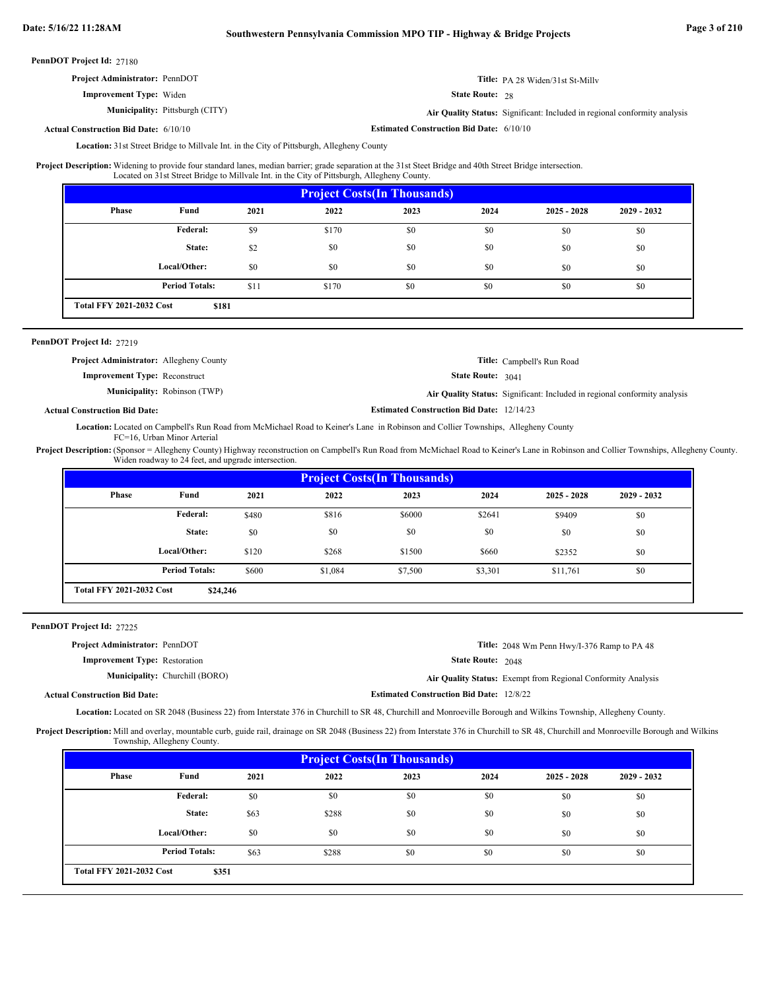| PennDOT Project Id: 27180                    |                                        |                                                 |                                                                           |
|----------------------------------------------|----------------------------------------|-------------------------------------------------|---------------------------------------------------------------------------|
| <b>Project Administrator: PennDOT</b>        |                                        |                                                 | <b>Title:</b> PA 28 Widen/31st St-Milly                                   |
| <b>Improvement Type:</b> Widen               |                                        | <b>State Route: 28</b>                          |                                                                           |
|                                              | <b>Municipality:</b> Pittsburgh (CITY) |                                                 | Air Quality Status: Significant: Included in regional conformity analysis |
| <b>Actual Construction Bid Date: 6/10/10</b> |                                        | <b>Estimated Construction Bid Date: 6/10/10</b> |                                                                           |

**Actual Construction Bid Date:**

Location: 31st Street Bridge to Millvale Int. in the City of Pittsburgh, Allegheny County

Widening to provide four standard lanes, median barrier; grade separation at the 31st Steet Bridge and 40th Street Bridge intersection. Located on 31st Street Bridge to Millvale Int. in the City of Pittsburgh, Allegheny County. **Project Description:**

| <b>Project Costs (In Thousands)</b>      |                       |      |       |      |      |               |               |
|------------------------------------------|-----------------------|------|-------|------|------|---------------|---------------|
| Phase                                    | Fund                  | 2021 | 2022  | 2023 | 2024 | $2025 - 2028$ | $2029 - 2032$ |
|                                          | <b>Federal:</b>       | \$9  | \$170 | \$0  | \$0  | \$0           | \$0           |
|                                          | State:                | \$2  | \$0   | \$0  | \$0  | \$0           | \$0           |
|                                          | Local/Other:          | \$0  | \$0   | \$0  | \$0  | \$0           | \$0           |
|                                          | <b>Period Totals:</b> | \$11 | \$170 | \$0  | \$0  | \$0           | \$0           |
| <b>Total FFY 2021-2032 Cost</b><br>\$181 |                       |      |       |      |      |               |               |

# PennDOT Project Id: 27219

| <b>Project Administrator:</b> Allegheny County | <b>Title:</b> Campbell's Run Road                                         |
|------------------------------------------------|---------------------------------------------------------------------------|
| <b>Improvement Type: Reconstruct</b>           | <b>State Route:</b> $3041$                                                |
| <b>Municipality:</b> Robinson (TWP)            | Air Quality Status: Significant: Included in regional conformity analysis |
| Actual Construction Bid Date:                  | <b>Estimated Construction Bid Date: 12/14/23</b>                          |

Location: Located on Campbell's Run Road from McMichael Road to Keiner's Lane in Robinson and Collier Townships, Allegheny County FC=16, Urban Minor Arterial

Project Description: (Sponsor = Allegheny County) Highway reconstruction on Campbell's Run Road from McMichael Road to Keiner's Lane in Robinson and Collier Townships, Allegheny County. Widen roadway to 24 feet, and upgrade intersection.

| <b>Project Costs (In Thousands)</b>         |                       |       |         |         |         |               |               |  |
|---------------------------------------------|-----------------------|-------|---------|---------|---------|---------------|---------------|--|
| Phase                                       | Fund                  | 2021  | 2022    | 2023    | 2024    | $2025 - 2028$ | $2029 - 2032$ |  |
|                                             | Federal:              | \$480 | \$816   | \$6000  | \$2641  | \$9409        | \$0           |  |
|                                             | State:                | \$0   | \$0     | \$0     | \$0     | \$0           | \$0           |  |
|                                             | Local/Other:          | \$120 | \$268   | \$1500  | \$660   | \$2352        | \$0           |  |
|                                             | <b>Period Totals:</b> | \$600 | \$1,084 | \$7,500 | \$3,301 | \$11,761      | \$0           |  |
| <b>Total FFY 2021-2032 Cost</b><br>\$24,246 |                       |       |         |         |         |               |               |  |

PennDOT Project Id: 27225

| <b>Project Administrator: PennDOT</b> |                                       |                                                 | Title: 2048 Wm Penn Hwy/I-376 Ramp to PA 48                  |
|---------------------------------------|---------------------------------------|-------------------------------------------------|--------------------------------------------------------------|
| <b>Improvement Type:</b> Restoration  |                                       | <b>State Route: 2048</b>                        |                                                              |
|                                       | <b>Municipality:</b> Churchill (BORO) |                                                 | Air Quality Status: Exempt from Regional Conformity Analysis |
| ıal Construction Bid Date:            |                                       | <b>Estimated Construction Bid Date: 12/8/22</b> |                                                              |

**Actual Construction Bid Date:**

Location: Located on SR 2048 (Business 22) from Interstate 376 in Churchill to SR 48, Churchill and Monroeville Borough and Wilkins Township, Allegheny County.

Project Description: Mill and overlay, mountable curb, guide rail, drainage on SR 2048 (Business 22) from Interstate 376 in Churchill to SR 48, Churchill and Monroeville Borough and Wilkins Township, Allegheny County.

| <b>Project Costs (In Thousands)</b> |                                          |      |       |      |      |               |               |  |
|-------------------------------------|------------------------------------------|------|-------|------|------|---------------|---------------|--|
| <b>Phase</b>                        | Fund                                     | 2021 | 2022  | 2023 | 2024 | $2025 - 2028$ | $2029 - 2032$ |  |
|                                     | Federal:                                 | \$0  | \$0   | \$0  | \$0  | \$0           | \$0           |  |
|                                     | State:                                   | \$63 | \$288 | \$0  | \$0  | \$0           | \$0           |  |
|                                     | Local/Other:                             | \$0  | \$0   | \$0  | \$0  | \$0           | \$0           |  |
|                                     | <b>Period Totals:</b>                    | \$63 | \$288 | \$0  | \$0  | \$0           | \$0           |  |
|                                     | <b>Total FFY 2021-2032 Cost</b><br>\$351 |      |       |      |      |               |               |  |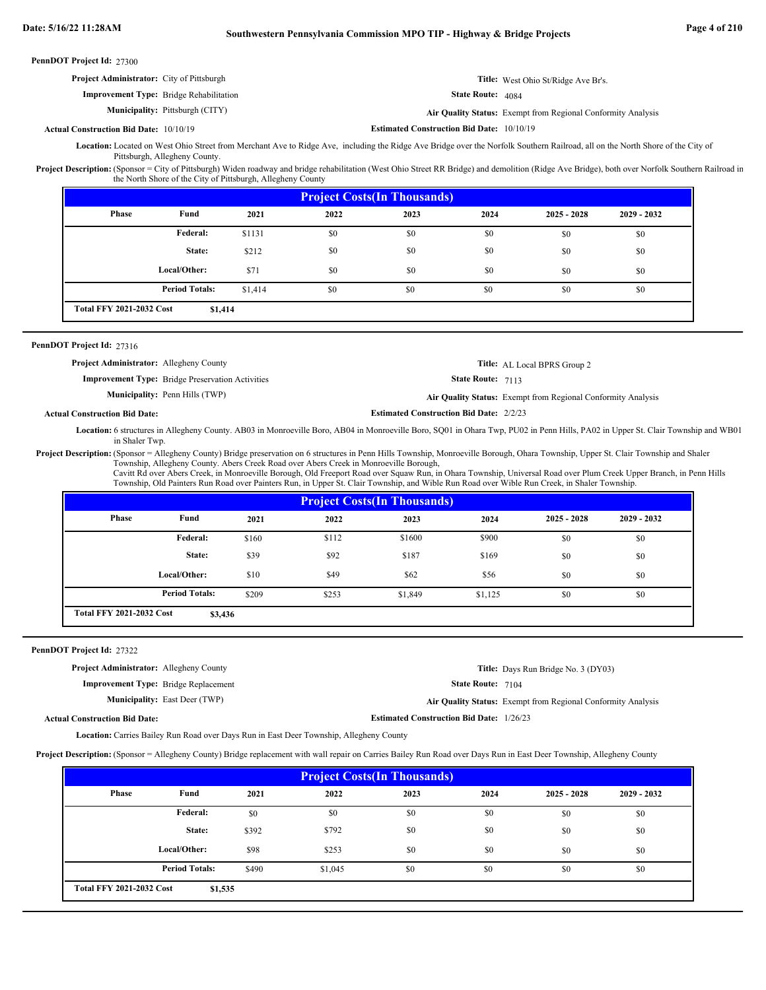| PennDOT Project Id: 27300                        |                                                                                                                                                                   |                                                  |                                                              |
|--------------------------------------------------|-------------------------------------------------------------------------------------------------------------------------------------------------------------------|--------------------------------------------------|--------------------------------------------------------------|
| <b>Project Administrator:</b> City of Pittsburgh |                                                                                                                                                                   |                                                  | <b>Title:</b> West Ohio St/Ridge Ave Br's.                   |
|                                                  | <b>Improvement Type:</b> Bridge Rehabilitation                                                                                                                    | <b>State Route: 4084</b>                         |                                                              |
|                                                  | <b>Municipality:</b> Pittsburgh (CITY)                                                                                                                            |                                                  | Air Quality Status: Exempt from Regional Conformity Analysis |
| <b>Actual Construction Bid Date: 10/10/19</b>    |                                                                                                                                                                   | <b>Estimated Construction Bid Date: 10/10/19</b> |                                                              |
|                                                  | equation: Logated on West Objec Ctreat from Marshapt Ava to Didge Ava including the Didge Ava Dridge over the Norfolk Couthern Deilroed, all on the North Charles |                                                  |                                                              |

Merchant Ave to Ridge Ave, including the Ridge Ave Bridge over the Norfolk Southern Railroad, all on the North Shore of the City of Pittsburgh, Allegheny County. **Location:**

Project Description: (Sponsor = City of Pittsburgh) Widen roadway and bridge rehabilitation (West Ohio Street RR Bridge) and demolition (Ridge Ave Bridge), both over Norfolk Southern Railroad in the North Shore of the City of Pittsburgh, Allegheny County

| <b>Project Costs (In Thousands)</b> |                                            |         |      |      |      |               |               |  |
|-------------------------------------|--------------------------------------------|---------|------|------|------|---------------|---------------|--|
| <b>Phase</b>                        | Fund                                       | 2021    | 2022 | 2023 | 2024 | $2025 - 2028$ | $2029 - 2032$ |  |
|                                     | Federal:                                   | \$1131  | \$0  | \$0  | \$0  | \$0           | \$0           |  |
|                                     | State:                                     | \$212   | \$0  | \$0  | \$0  | \$0           | \$0           |  |
|                                     | Local/Other:                               | \$71    | \$0  | \$0  | \$0  | \$0           | \$0           |  |
|                                     | <b>Period Totals:</b>                      | \$1,414 | \$0  | \$0  | \$0  | \$0           | \$0           |  |
|                                     | <b>Total FFY 2021-2032 Cost</b><br>\$1,414 |         |      |      |      |               |               |  |

PennDOT Project Id: 27316

| <b>Project Administrator:</b> Allegheny County |                                                         |                                                | <b>Title:</b> AL Local BPRS Group 2                                 |
|------------------------------------------------|---------------------------------------------------------|------------------------------------------------|---------------------------------------------------------------------|
|                                                | <b>Improvement Type:</b> Bridge Preservation Activities | <b>State Route: 7113</b>                       |                                                                     |
|                                                | <b>Municipality:</b> Penn Hills (TWP)                   |                                                | <b>Air Quality Status:</b> Exempt from Regional Conformity Analysis |
| <b>Construction Bid Date:</b>                  |                                                         | <b>Estimated Construction Bid Date: 2/2/23</b> |                                                                     |

**Actual Construction Bid Date:**

Location: 6 structures in Allegheny County. AB03 in Monroeville Boro, AB04 in Monroeville Boro, SQ01 in Ohara Twp, PU02 in Penn Hills, PA02 in Upper St. Clair Township and WB01 in Shaler Twp.

Project Description: (Sponsor = Allegheny County) Bridge preservation on 6 structures in Penn Hills Township, Monroeville Borough, Ohara Township, Upper St. Clair Township and Shaler Township, Allegheny County. Abers Creek Road over Abers Creek in Monroeville Borough,

Cavitt Rd over Abers Creek, in Monroeville Borough, Old Freeport Road over Squaw Run, in Ohara Township, Universal Road over Plum Creek Upper Branch, in Penn Hills Township, Old Painters Run Road over Painters Run, in Upper St. Clair Township, and Wible Run Road over Wible Run Creek, in Shaler Township.

| <b>Project Costs (In Thousands)</b> |                                            |       |       |         |         |               |               |  |
|-------------------------------------|--------------------------------------------|-------|-------|---------|---------|---------------|---------------|--|
| <b>Phase</b>                        | Fund                                       | 2021  | 2022  | 2023    | 2024    | $2025 - 2028$ | $2029 - 2032$ |  |
|                                     | Federal:                                   | \$160 | \$112 | \$1600  | \$900   | \$0           | \$0           |  |
|                                     | State:                                     | \$39  | \$92  | \$187   | \$169   | \$0           | \$0           |  |
|                                     | Local/Other:                               | \$10  | \$49  | \$62    | \$56    | \$0           | \$0           |  |
|                                     | <b>Period Totals:</b>                      | \$209 | \$253 | \$1,849 | \$1,125 | \$0           | \$0           |  |
|                                     | <b>Total FFY 2021-2032 Cost</b><br>\$3,436 |       |       |         |         |               |               |  |

PennDOT Project Id: 27322

**Project Administrator:** Allegheny County

**Improvement Type:** Bridge Replacement

**Municipality:** East Deer (TWP)

State Route: 7104

**Estimated Construction Bid Date:** 1/26/23

East Deer (TWP) **Air Quality Status:** Exempt from Regional Conformity Analysis

**Title:** Days Run Bridge No. 3 (DY03)

**Actual Construction Bid Date:**

Location: Carries Bailey Run Road over Days Run in East Deer Township, Allegheny County

**Project Description:** (Sponsor = Allegheny County) Bridge replacement with wall repair on Carries Bailey Run Road over Days Run in East Deer Township, Allegheny County

| <b>Project Costs (In Thousands)</b> |                       |       |         |      |      |               |               |  |
|-------------------------------------|-----------------------|-------|---------|------|------|---------------|---------------|--|
| <b>Phase</b>                        | Fund                  | 2021  | 2022    | 2023 | 2024 | $2025 - 2028$ | $2029 - 2032$ |  |
|                                     | Federal:              | \$0   | \$0     | \$0  | \$0  | \$0           | \$0           |  |
|                                     | State:                | \$392 | \$792   | \$0  | \$0  | \$0           | \$0           |  |
|                                     | Local/Other:          | \$98  | \$253   | \$0  | \$0  | \$0           | \$0           |  |
|                                     | <b>Period Totals:</b> | \$490 | \$1,045 | \$0  | \$0  | \$0           | \$0           |  |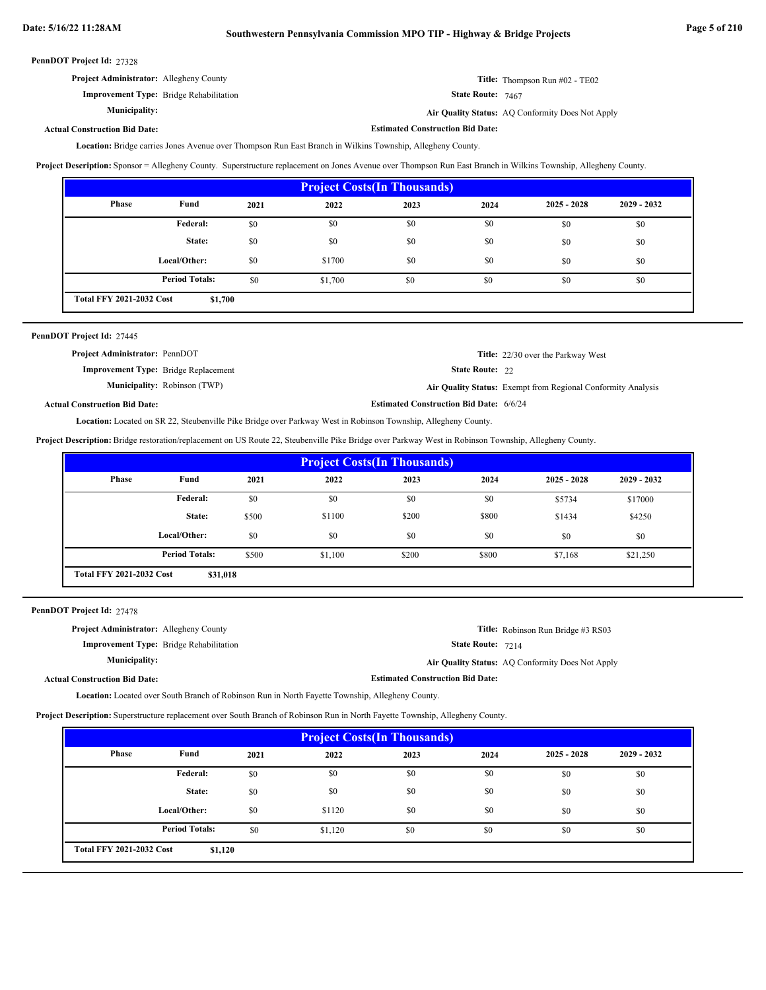|  | PennDOT Project Id: 27328 |  |
|--|---------------------------|--|
|--|---------------------------|--|

| <b>Project Administrator:</b> Allegheny County | <b>Title:</b> Thompson Run $\#02$ - TE02                |
|------------------------------------------------|---------------------------------------------------------|
| <b>Improvement Type:</b> Bridge Rehabilitation | <b>State Route:</b> $7467$                              |
| <b>Municipality:</b>                           | <b>Air Quality Status:</b> AQ Conformity Does Not Apply |

**Actual Construction Bid Date:**

**Estimated Construction Bid Date:**

Location: Bridge carries Jones Avenue over Thompson Run East Branch in Wilkins Township, Allegheny County.

**Project Description:** Sponsor = Allegheny County. Superstructure replacement on Jones Avenue over Thompson Run East Branch in Wilkins Township, Allegheny County.

| <b>Project Costs (In Thousands)</b> |                                            |      |         |      |      |               |               |  |
|-------------------------------------|--------------------------------------------|------|---------|------|------|---------------|---------------|--|
| Phase                               | Fund                                       | 2021 | 2022    | 2023 | 2024 | $2025 - 2028$ | $2029 - 2032$ |  |
|                                     | Federal:                                   | \$0  | \$0     | \$0  | \$0  | \$0           | \$0           |  |
|                                     | State:                                     | \$0  | \$0     | \$0  | \$0  | \$0           | \$0           |  |
|                                     | Local/Other:                               | \$0  | \$1700  | \$0  | \$0  | \$0           | \$0           |  |
|                                     | <b>Period Totals:</b>                      | \$0  | \$1,700 | \$0  | \$0  | \$0           | \$0           |  |
|                                     | <b>Total FFY 2021-2032 Cost</b><br>\$1,700 |      |         |      |      |               |               |  |

| PennDOT Project Id: 27445                   |                                     |                                                |                                                              |
|---------------------------------------------|-------------------------------------|------------------------------------------------|--------------------------------------------------------------|
| <b>Project Administrator: PennDOT</b>       |                                     |                                                | <b>Title:</b> 22/30 over the Parkway West                    |
| <b>Improvement Type:</b> Bridge Replacement |                                     | <b>State Route: 22</b>                         |                                                              |
|                                             | <b>Municipality:</b> Robinson (TWP) |                                                | Air Quality Status: Exempt from Regional Conformity Analysis |
| <b>Actual Construction Bid Date:</b>        |                                     | <b>Estimated Construction Bid Date: 6/6/24</b> |                                                              |

Location: Located on SR 22, Steubenville Pike Bridge over Parkway West in Robinson Township, Allegheny County.

**Project Description:** Bridge restoration/replacement on US Route 22, Steubenville Pike Bridge over Parkway West in Robinson Township, Allegheny County.

| <b>Project Costs (In Thousands)</b> |                                             |       |         |       |       |               |               |  |
|-------------------------------------|---------------------------------------------|-------|---------|-------|-------|---------------|---------------|--|
| Phase                               | Fund                                        | 2021  | 2022    | 2023  | 2024  | $2025 - 2028$ | $2029 - 2032$ |  |
|                                     | <b>Federal:</b>                             | \$0   | \$0     | \$0   | \$0   | \$5734        | \$17000       |  |
|                                     | State:                                      | \$500 | \$1100  | \$200 | \$800 | \$1434        | \$4250        |  |
|                                     | Local/Other:                                | \$0   | \$0     | \$0   | \$0   | \$0           | \$0           |  |
|                                     | <b>Period Totals:</b>                       | \$500 | \$1,100 | \$200 | \$800 | \$7,168       | \$21,250      |  |
|                                     | <b>Total FFY 2021-2032 Cost</b><br>\$31,018 |       |         |       |       |               |               |  |

PennDOT Project Id: 27478

| <b>Project Administrator:</b> Allegheny County |                                         | <b>Title:</b> Robinson Run Bridge #3 RS03        |
|------------------------------------------------|-----------------------------------------|--------------------------------------------------|
| <b>Improvement Type:</b> Bridge Rehabilitation | <b>State Route: 7214</b>                |                                                  |
| <b>Municipality:</b>                           |                                         | Air Quality Status: AO Conformity Does Not Apply |
| <b>Actual Construction Bid Date:</b>           | <b>Estimated Construction Bid Date:</b> |                                                  |

**Location:** Located over South Branch of Robinson Run in North Fayette Township, Allegheny County.

**Project Description:** Superstructure replacement over South Branch of Robinson Run in North Fayette Township, Allegheny County.

| <b>Project Costs (In Thousands)</b>        |                       |      |         |      |      |               |               |
|--------------------------------------------|-----------------------|------|---------|------|------|---------------|---------------|
| Phase                                      | Fund                  | 2021 | 2022    | 2023 | 2024 | $2025 - 2028$ | $2029 - 2032$ |
|                                            | Federal:              | \$0  | \$0     | \$0  | \$0  | \$0           | \$0           |
|                                            | State:                | \$0  | \$0     | \$0  | \$0  | \$0           | \$0           |
|                                            | Local/Other:          | \$0  | \$1120  | \$0  | \$0  | \$0           | \$0           |
|                                            | <b>Period Totals:</b> | \$0  | \$1,120 | \$0  | \$0  | \$0           | \$0           |
| <b>Total FFY 2021-2032 Cost</b><br>\$1,120 |                       |      |         |      |      |               |               |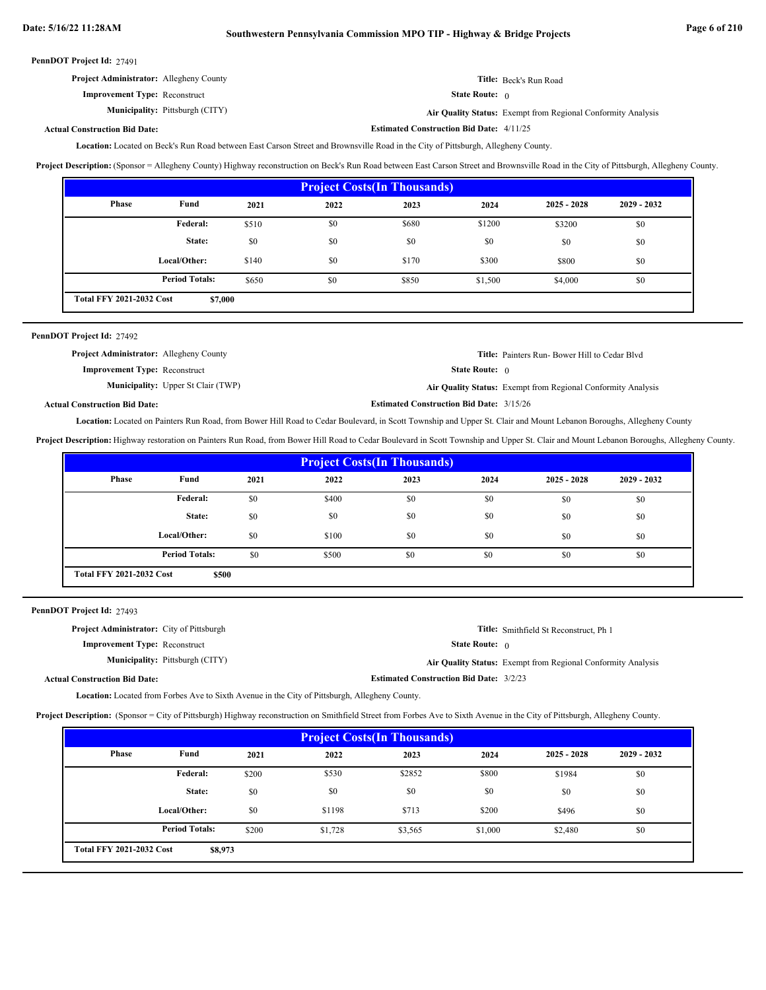**Estimated Construction Bid Date:** 4/11/25

|  | PennDOT Project Id: 27491 |  |
|--|---------------------------|--|
|--|---------------------------|--|

**Actual Construction Bid Date:**

| <b>Project Administrator:</b> Allegheny County | <b>Title:</b> Beck's Run Road                                |
|------------------------------------------------|--------------------------------------------------------------|
| <b>Improvement Type:</b> Reconstruct           | <b>State Route:</b> $\theta$                                 |
| <b>Municipality:</b> Pittsburgh (CITY)         | Air Quality Status: Exempt from Regional Conformity Analysis |

Located on Beck's Run Road between East Carson Street and Brownsville Road in the City of Pittsburgh, Allegheny County. **Location:**

**Project Description:** (Sponsor = Allegheny County) Highway reconstruction on Beck's Run Road between East Carson Street and Brownsville Road in the City of Pittsburgh, Allegheny County.

| <b>Project Costs (In Thousands)</b>        |                       |       |      |       |         |               |               |
|--------------------------------------------|-----------------------|-------|------|-------|---------|---------------|---------------|
| Phase                                      | Fund                  | 2021  | 2022 | 2023  | 2024    | $2025 - 2028$ | $2029 - 2032$ |
|                                            | Federal:              | \$510 | \$0  | \$680 | \$1200  | \$3200        | \$0           |
|                                            | State:                | \$0   | \$0  | \$0   | \$0     | \$0           | \$0           |
|                                            | Local/Other:          | \$140 | \$0  | \$170 | \$300   | \$800         | \$0           |
|                                            | <b>Period Totals:</b> | \$650 | \$0  | \$850 | \$1,500 | \$4,000       | \$0           |
| <b>Total FFY 2021-2032 Cost</b><br>\$7,000 |                       |       |      |       |         |               |               |

# PennDOT Project Id: 27492

| <b>Project Administrator:</b> Allegheny County | <b>Title:</b> Painters Run-Bower Hill to Cedar Blvd          |
|------------------------------------------------|--------------------------------------------------------------|
| <b>Improvement Type:</b> Reconstruct           | <b>State Route:</b> $\theta$                                 |
| <b>Municipality:</b> Upper St Clair (TWP)      | Air Quality Status: Exempt from Regional Conformity Analysis |
| ll Construction Bid Date:                      | <b>Estimated Construction Bid Date: 3/15/26</b>              |

**Actual Construction Bid Date:**

Location: Located on Painters Run Road, from Bower Hill Road to Cedar Boulevard, in Scott Township and Upper St. Clair and Mount Lebanon Boroughs, Allegheny County

**Project Description:** Highway restoration on Painters Run Road, from Bower Hill Road to Cedar Boulevard in Scott Township and Upper St. Clair and Mount Lebanon Boroughs, Allegheny County.

| <b>Project Costs (In Thousands)</b>      |                       |      |       |      |      |               |               |
|------------------------------------------|-----------------------|------|-------|------|------|---------------|---------------|
| Phase                                    | Fund                  | 2021 | 2022  | 2023 | 2024 | $2025 - 2028$ | $2029 - 2032$ |
|                                          | Federal:              | \$0  | \$400 | \$0  | \$0  | \$0           | \$0           |
|                                          | State:                | \$0  | \$0   | \$0  | \$0  | \$0           | \$0           |
|                                          | Local/Other:          | \$0  | \$100 | \$0  | \$0  | \$0           | \$0           |
|                                          | <b>Period Totals:</b> | \$0  | \$500 | \$0  | \$0  | \$0           | \$0           |
| <b>Total FFY 2021-2032 Cost</b><br>\$500 |                       |      |       |      |      |               |               |

PennDOT Project Id: 27493

| <b>Project Administrator:</b> City of Pittsburgh |                                        |                                                | Title: Smithfield St Reconstruct, Ph 1                       |
|--------------------------------------------------|----------------------------------------|------------------------------------------------|--------------------------------------------------------------|
| <b>Improvement Type:</b> Reconstruct             |                                        | <b>State Route:</b> $\theta$                   |                                                              |
|                                                  | <b>Municipality:</b> Pittsburgh (CITY) |                                                | Air Quality Status: Exempt from Regional Conformity Analysis |
| <b>Actual Construction Bid Date:</b>             |                                        | <b>Estimated Construction Bid Date: 3/2/23</b> |                                                              |

**Location:** Located from Forbes Ave to Sixth Avenue in the City of Pittsburgh, Allegheny County.

**Project Description:** (Sponsor = City of Pittsburgh) Highway reconstruction on Smithfield Street from Forbes Ave to Sixth Avenue in the City of Pittsburgh, Allegheny County.

| <b>Project Costs (In Thousands)</b>        |                       |       |         |         |         |               |               |
|--------------------------------------------|-----------------------|-------|---------|---------|---------|---------------|---------------|
| <b>Phase</b>                               | Fund                  | 2021  | 2022    | 2023    | 2024    | $2025 - 2028$ | $2029 - 2032$ |
|                                            | Federal:              | \$200 | \$530   | \$2852  | \$800   | \$1984        | \$0           |
|                                            | State:                | \$0   | \$0     | \$0     | \$0     | \$0           | \$0           |
|                                            | Local/Other:          | \$0   | \$1198  | \$713   | \$200   | \$496         | \$0           |
|                                            | <b>Period Totals:</b> | \$200 | \$1,728 | \$3,565 | \$1,000 | \$2,480       | \$0           |
| <b>Total FFY 2021-2032 Cost</b><br>\$8,973 |                       |       |         |         |         |               |               |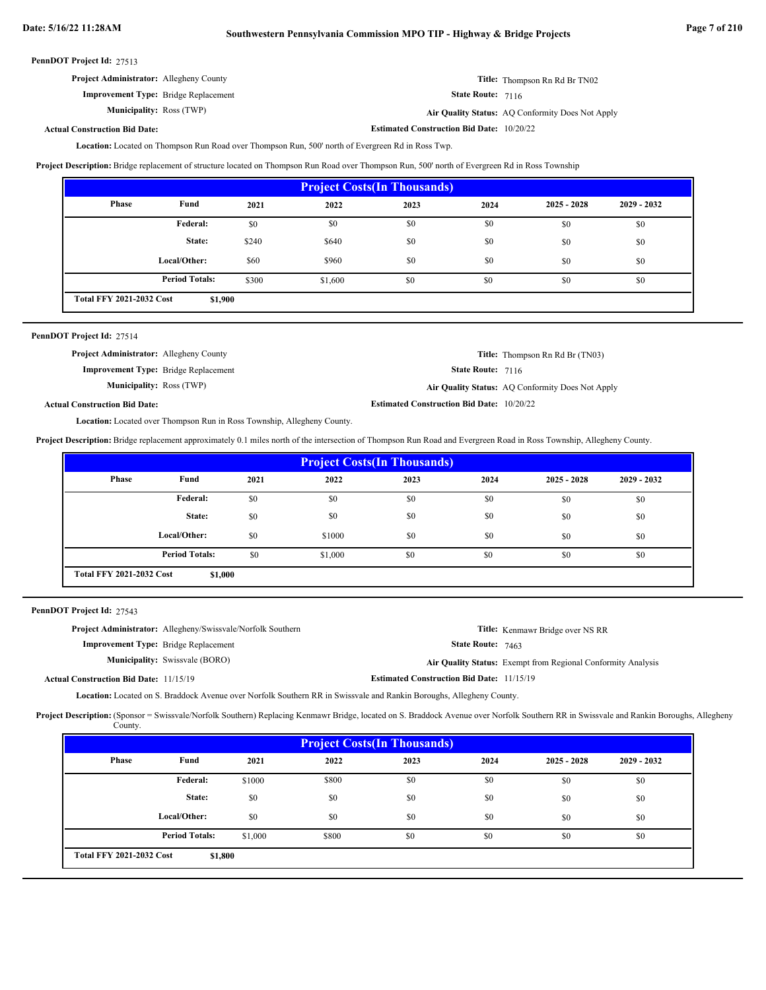**Estimated Construction Bid Date:** 10/20/22

|  | PennDOT Project Id: 27513 |  |
|--|---------------------------|--|
|--|---------------------------|--|

| <b>Project Administrator:</b> Allegheny County |                   | <b>Title:</b> Thompson Rn Rd Br TN02             |
|------------------------------------------------|-------------------|--------------------------------------------------|
| <b>Improvement Type:</b> Bridge Replacement    | State Route: 7116 |                                                  |
| <b>Municipality: Ross (TWP)</b>                |                   | Air Quality Status: AQ Conformity Does Not Apply |

# **Actual Construction Bid Date:**

Location: Located on Thompson Run Road over Thompson Run, 500' north of Evergreen Rd in Ross Twp.

**Project Description:** Bridge replacement of structure located on Thompson Run Road over Thompson Run, 500' north of Evergreen Rd in Ross Township

| <b>Project Costs (In Thousands)</b> |                                            |       |         |      |      |               |               |
|-------------------------------------|--------------------------------------------|-------|---------|------|------|---------------|---------------|
| <b>Phase</b>                        | Fund                                       | 2021  | 2022    | 2023 | 2024 | $2025 - 2028$ | $2029 - 2032$ |
|                                     | Federal:                                   | \$0   | \$0     | \$0  | \$0  | \$0           | \$0           |
|                                     | State:                                     | \$240 | \$640   | \$0  | \$0  | \$0           | \$0           |
|                                     | Local/Other:                               | \$60  | \$960   | \$0  | \$0  | \$0           | \$0           |
|                                     | <b>Period Totals:</b>                      | \$300 | \$1,600 | \$0  | \$0  | \$0           | \$0           |
|                                     | <b>Total FFY 2021-2032 Cost</b><br>\$1,900 |       |         |      |      |               |               |

| PennDOT Project Id: 27514 |  |
|---------------------------|--|
|---------------------------|--|

| <b>Project Administrator:</b> Allegheny County |                                                  | <b>Title:</b> Thompson Rn Rd Br (TN03)           |
|------------------------------------------------|--------------------------------------------------|--------------------------------------------------|
| <b>Improvement Type:</b> Bridge Replacement    | <b>State Route: 7116</b>                         |                                                  |
| <b>Municipality: Ross (TWP)</b>                |                                                  | Air Quality Status: AQ Conformity Does Not Apply |
| <b>Actual Construction Bid Date:</b>           | <b>Estimated Construction Bid Date: 10/20/22</b> |                                                  |

Location: Located over Thompson Run in Ross Township, Allegheny County.

**Project Description:** Bridge replacement approximately 0.1 miles north of the intersection of Thompson Run Road and Evergreen Road in Ross Township, Allegheny County.

| <b>Project Costs (In Thousands)</b>                                 |              |      |        |      |      |               |               |
|---------------------------------------------------------------------|--------------|------|--------|------|------|---------------|---------------|
| Phase                                                               | Fund         | 2021 | 2022   | 2023 | 2024 | $2025 - 2028$ | $2029 - 2032$ |
|                                                                     | Federal:     | \$0  | \$0    | \$0  | \$0  | \$0           | \$0           |
|                                                                     | State:       | \$0  | \$0    | \$0  | \$0  | \$0           | \$0           |
|                                                                     | Local/Other: | \$0  | \$1000 | \$0  | \$0  | \$0           | \$0           |
| <b>Period Totals:</b><br>\$0<br>\$0<br>\$1,000<br>\$0<br>\$0<br>\$0 |              |      |        |      |      |               |               |
| <b>Total FFY 2021-2032 Cost</b><br>\$1,000                          |              |      |        |      |      |               |               |

PennDOT Project Id: 27543

| <b>Project Administrator:</b> Allegheny/Swissvale/Norfolk Southern | <b>Title:</b> Kenmawr Bridge over NS RR                             |
|--------------------------------------------------------------------|---------------------------------------------------------------------|
| <b>Improvement Type:</b> Bridge Replacement                        | <b>State Route:</b> $7463$                                          |
| <b>Municipality:</b> Swissvale (BORO)                              | <b>Air Quality Status:</b> Exempt from Regional Conformity Analysis |
| <b>Actual Construction Bid Date: 11/15/19</b>                      | <b>Estimated Construction Bid Date: 11/15/19</b>                    |

Location: Located on S. Braddock Avenue over Norfolk Southern RR in Swissvale and Rankin Boroughs, Allegheny County.

Project Description: (Sponsor = Swissvale/Norfolk Southern) Replacing Kenmawr Bridge, located on S. Braddock Avenue over Norfolk Southern RR in Swissvale and Rankin Boroughs, Allegheny County.

| <b>Project Costs (In Thousands)</b>        |                       |         |       |      |      |               |               |
|--------------------------------------------|-----------------------|---------|-------|------|------|---------------|---------------|
| <b>Phase</b>                               | Fund                  | 2021    | 2022  | 2023 | 2024 | $2025 - 2028$ | $2029 - 2032$ |
|                                            | Federal:              | \$1000  | \$800 | \$0  | \$0  | \$0           | \$0           |
|                                            | State:                | \$0     | \$0   | \$0  | \$0  | \$0           | \$0           |
|                                            | Local/Other:          | \$0     | \$0   | \$0  | \$0  | \$0           | \$0           |
|                                            | <b>Period Totals:</b> | \$1,000 | \$800 | \$0  | \$0  | \$0           | \$0           |
| <b>Total FFY 2021-2032 Cost</b><br>\$1,800 |                       |         |       |      |      |               |               |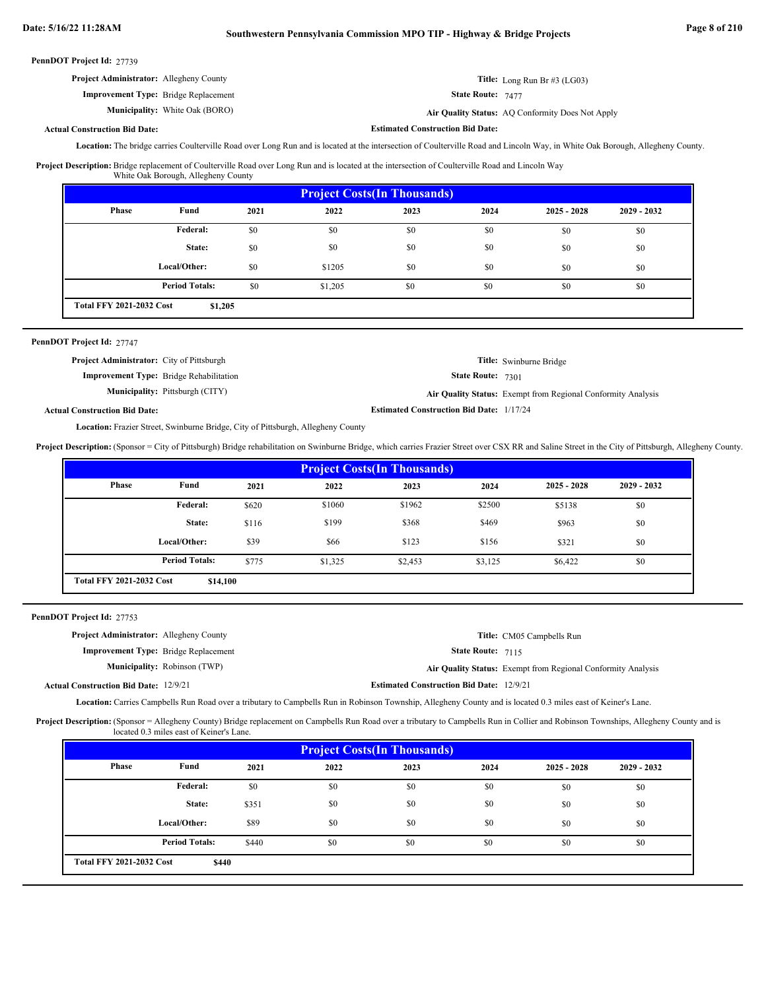| PennDOT Project Id: 27739 |  |  |
|---------------------------|--|--|
|---------------------------|--|--|

| <b>Project Administrator:</b> Allegheny County | <b>Title:</b> Long Run Br $\#3$ (LG03)           |
|------------------------------------------------|--------------------------------------------------|
| <b>Improvement Type:</b> Bridge Replacement    | <b>State Route:</b> $7477$                       |
| <b>Municipality:</b> White Oak (BORO)          | Air Quality Status: AQ Conformity Does Not Apply |

#### **Actual Construction Bid Date:**

**Estimated Construction Bid Date:**

Location: The bridge carries Coulterville Road over Long Run and is located at the intersection of Coulterville Road and Lincoln Way, in White Oak Borough, Allegheny County.

Project Description: Bridge replacement of Coulterville Road over Long Run and is located at the intersection of Coulterville Road and Lincoln Way

| <b>Project Costs (In Thousands)</b>        |                       |      |         |      |      |               |               |
|--------------------------------------------|-----------------------|------|---------|------|------|---------------|---------------|
| Phase                                      | Fund                  | 2021 | 2022    | 2023 | 2024 | $2025 - 2028$ | $2029 - 2032$ |
|                                            | Federal:              | \$0  | \$0     | \$0  | \$0  | \$0           | \$0           |
|                                            | State:                | \$0  | \$0     | \$0  | \$0  | \$0           | \$0           |
|                                            | Local/Other:          | \$0  | \$1205  | \$0  | \$0  | \$0           | \$0           |
|                                            | <b>Period Totals:</b> | \$0  | \$1,205 | \$0  | \$0  | \$0           | \$0           |
| <b>Total FFY 2021-2032 Cost</b><br>\$1,205 |                       |      |         |      |      |               |               |

#### PennDOT Project Id: 27747

| <b>Project Administrator:</b> City of Pittsburgh |                                                |                                                 | Title: Swinburne Bridge                                      |
|--------------------------------------------------|------------------------------------------------|-------------------------------------------------|--------------------------------------------------------------|
|                                                  | <b>Improvement Type:</b> Bridge Rehabilitation | <b>State Route: 7301</b>                        |                                                              |
|                                                  | <b>Municipality:</b> Pittsburgh (CITY)         |                                                 | Air Quality Status: Exempt from Regional Conformity Analysis |
| Actual Construction Bid Date:                    |                                                | <b>Estimated Construction Bid Date: 1/17/24</b> |                                                              |

#### Location: Frazier Street, Swinburne Bridge, City of Pittsburgh, Allegheny County

**Project Description:** (Sponsor = City of Pittsburgh) Bridge rehabilitation on Swinburne Bridge, which carries Frazier Street over CSX RR and Saline Street in the City of Pittsburgh, Allegheny County.

| <b>Project Costs (In Thousands)</b>         |                       |       |         |         |         |               |               |
|---------------------------------------------|-----------------------|-------|---------|---------|---------|---------------|---------------|
| Phase                                       | Fund                  | 2021  | 2022    | 2023    | 2024    | $2025 - 2028$ | $2029 - 2032$ |
|                                             | <b>Federal:</b>       | \$620 | \$1060  | \$1962  | \$2500  | \$5138        | \$0           |
|                                             | State:                | \$116 | \$199   | \$368   | \$469   | \$963         | \$0           |
|                                             | Local/Other:          | \$39  | \$66    | \$123   | \$156   | \$321         | \$0           |
|                                             | <b>Period Totals:</b> | \$775 | \$1,325 | \$2,453 | \$3,125 | \$6,422       | \$0           |
| <b>Total FFY 2021-2032 Cost</b><br>\$14,100 |                       |       |         |         |         |               |               |

PennDOT Project Id: 27753

| <b>Project Administrator:</b> Allegheny County |                                     |                                                 | Title: CM05 Campbells Run                                    |
|------------------------------------------------|-------------------------------------|-------------------------------------------------|--------------------------------------------------------------|
| <b>Improvement Type:</b> Bridge Replacement    |                                     | <b>State Route: 7115</b>                        |                                                              |
|                                                | <b>Municipality:</b> Robinson (TWP) |                                                 | Air Quality Status: Exempt from Regional Conformity Analysis |
| <b>Actual Construction Bid Date: 12/9/21</b>   |                                     | <b>Estimated Construction Bid Date: 12/9/21</b> |                                                              |

Location: Carries Campbells Run Road over a tributary to Campbells Run in Robinson Township, Allegheny County and is located 0.3 miles east of Keiner's Lane.

Project Description: (Sponsor = Allegheny County) Bridge replacement on Campbells Run Road over a tributary to Campbells Run in Collier and Robinson Townships, Allegheny County and is located 0.3 miles east of Keiner's Lane.

| <b>Project Costs (In Thousands)</b>      |                       |       |      |      |      |               |               |
|------------------------------------------|-----------------------|-------|------|------|------|---------------|---------------|
| <b>Phase</b>                             | Fund                  | 2021  | 2022 | 2023 | 2024 | $2025 - 2028$ | $2029 - 2032$ |
|                                          | Federal:              | \$0   | \$0  | \$0  | \$0  | \$0           | \$0           |
|                                          | State:                | \$351 | \$0  | \$0  | \$0  | \$0           | \$0           |
|                                          | Local/Other:          | \$89  | \$0  | \$0  | \$0  | \$0           | \$0           |
|                                          | <b>Period Totals:</b> | \$440 | \$0  | \$0  | \$0  | \$0           | \$0           |
| <b>Total FFY 2021-2032 Cost</b><br>\$440 |                       |       |      |      |      |               |               |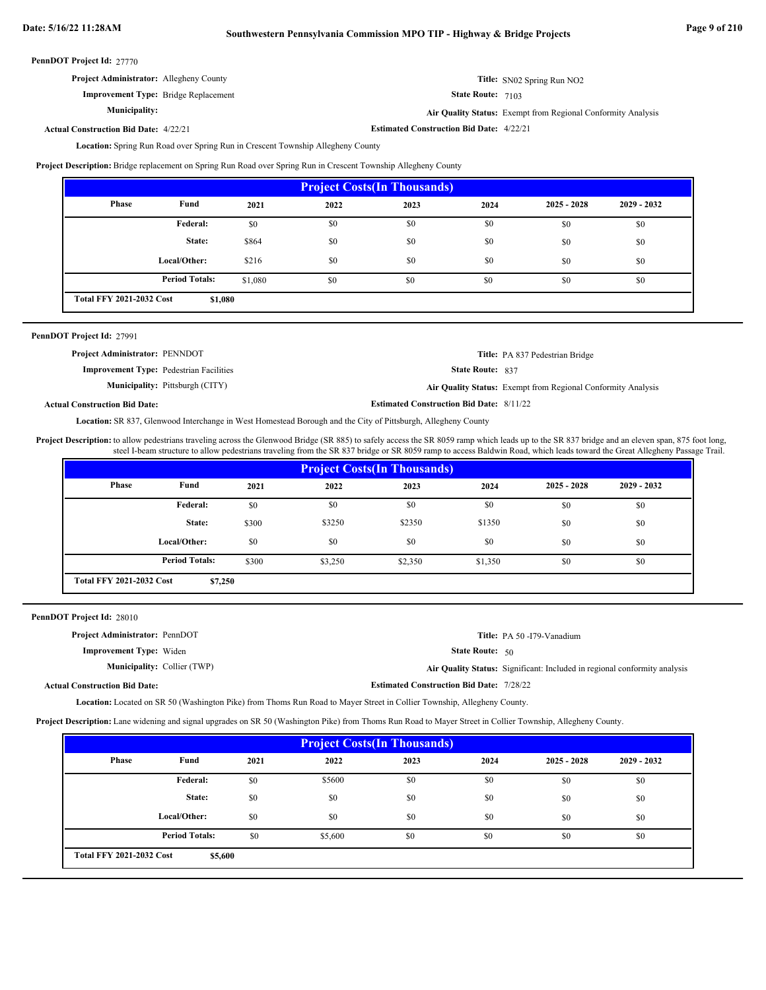| PennDOT Project Id: 27770 |  |
|---------------------------|--|
|---------------------------|--|

| llegheny County |  |  |
|-----------------|--|--|
|                 |  |  |

State Route: 7103

**Air Quality Status:** Exempt from Regional Conformity Analysis

**Title:** SN02 Spring Run NO2

**Estimated Construction Bid Date:** 4/22/21 4/22/21 **Actual Construction Bid Date:**

**Project Administrator:** A

**Municipality:**

**Improvement Type:** Bridge Replacement

Location: Spring Run Road over Spring Run in Crescent Township Allegheny County

**Project Description:** Bridge replacement on Spring Run Road over Spring Run in Crescent Township Allegheny County

| <b>Project Costs (In Thousands)</b>        |                       |         |      |      |      |               |               |
|--------------------------------------------|-----------------------|---------|------|------|------|---------------|---------------|
| <b>Phase</b>                               | Fund                  | 2021    | 2022 | 2023 | 2024 | $2025 - 2028$ | $2029 - 2032$ |
|                                            | Federal:              | \$0     | \$0  | \$0  | \$0  | \$0           | \$0           |
|                                            | State:                | \$864   | \$0  | \$0  | \$0  | \$0           | \$0           |
|                                            | Local/Other:          | \$216   | \$0  | \$0  | \$0  | \$0           | \$0           |
|                                            | <b>Period Totals:</b> | \$1,080 | \$0  | \$0  | \$0  | \$0           | \$0           |
| <b>Total FFY 2021-2032 Cost</b><br>\$1,080 |                       |         |      |      |      |               |               |

| PennDOT Project Id: 27991                      |                                        |                                                 |                                                              |
|------------------------------------------------|----------------------------------------|-------------------------------------------------|--------------------------------------------------------------|
| <b>Project Administrator: PENNDOT</b>          |                                        |                                                 | Title: PA 837 Pedestrian Bridge                              |
| <b>Improvement Type:</b> Pedestrian Facilities |                                        | <b>State Route: 837</b>                         |                                                              |
|                                                | <b>Municipality:</b> Pittsburgh (CITY) |                                                 | Air Quality Status: Exempt from Regional Conformity Analysis |
| <b>Actual Construction Bid Date:</b>           |                                        | <b>Estimated Construction Bid Date: 8/11/22</b> |                                                              |

Location: SR 837, Glenwood Interchange in West Homestead Borough and the City of Pittsburgh, Allegheny County

Project Description: to allow pedestrians traveling across the Glenwood Bridge (SR 885) to safely access the SR 8059 ramp which leads up to the SR 837 bridge and an eleven span, 875 foot long, steel I-beam structure to allow pedestrians traveling from the SR 837 bridge or SR 8059 ramp to access Baldwin Road, which leads toward the Great Allegheny Passage Trail.

| <b>Project Costs (In Thousands)</b>        |                       |       |         |         |         |               |               |
|--------------------------------------------|-----------------------|-------|---------|---------|---------|---------------|---------------|
| Phase                                      | Fund                  | 2021  | 2022    | 2023    | 2024    | $2025 - 2028$ | $2029 - 2032$ |
|                                            | Federal:              | \$0   | \$0     | \$0     | \$0     | \$0           | \$0           |
|                                            | State:                | \$300 | \$3250  | \$2350  | \$1350  | \$0           | \$0           |
|                                            | Local/Other:          | \$0   | \$0     | \$0     | \$0     | \$0           | \$0           |
|                                            | <b>Period Totals:</b> | \$300 | \$3,250 | \$2,350 | \$1,350 | \$0           | \$0           |
| <b>Total FFY 2021-2032 Cost</b><br>\$7,250 |                       |       |         |         |         |               |               |

| PennDOT Project Id: 28010 |  |
|---------------------------|--|
|                           |  |

| <b>Project Administrator: PennDOT</b> |                                                 | Title: PA 50 -179-Vanadium                                                |
|---------------------------------------|-------------------------------------------------|---------------------------------------------------------------------------|
| <b>Improvement Type:</b> Widen        | <b>State Route:</b> $50$                        |                                                                           |
| <b>Municipality:</b> Collier (TWP)    |                                                 | Air Quality Status: Significant: Included in regional conformity analysis |
| <b>Actual Construction Bid Date:</b>  | <b>Estimated Construction Bid Date: 7/28/22</b> |                                                                           |

Located on SR 50 (Washington Pike) from Thoms Run Road to Mayer Street in Collier Township, Allegheny County. **Location:**

**Project Description:** Lane widening and signal upgrades on SR 50 (Washington Pike) from Thoms Run Road to Mayer Street in Collier Township, Allegheny County.

| <b>Project Costs (In Thousands)</b>        |                       |      |         |      |      |               |               |
|--------------------------------------------|-----------------------|------|---------|------|------|---------------|---------------|
| <b>Phase</b>                               | Fund                  | 2021 | 2022    | 2023 | 2024 | $2025 - 2028$ | $2029 - 2032$ |
|                                            | Federal:              | \$0  | \$5600  | \$0  | \$0  | \$0           | \$0           |
|                                            | State:                | \$0  | \$0     | \$0  | \$0  | \$0           | \$0           |
|                                            | Local/Other:          | \$0  | \$0     | \$0  | \$0  | \$0           | \$0           |
|                                            | <b>Period Totals:</b> | \$0  | \$5,600 | \$0  | \$0  | \$0           | \$0           |
| <b>Total FFY 2021-2032 Cost</b><br>\$5,600 |                       |      |         |      |      |               |               |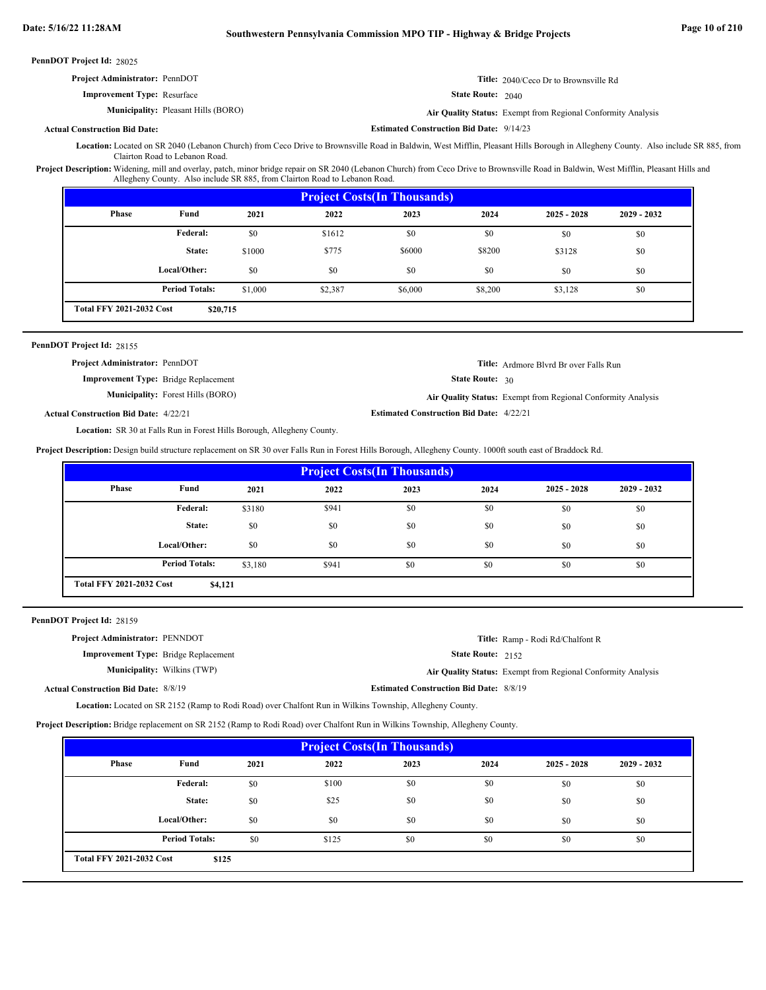| <b>Project Administrator: PennDOT</b>      |                          | <b>Title:</b> 2040/Ceco Dr to Brownsville Rd                        |
|--------------------------------------------|--------------------------|---------------------------------------------------------------------|
| <b>Improvement Type: Resurface</b>         | <b>State Route:</b> 2040 |                                                                     |
| <b>Municipality:</b> Pleasant Hills (BORO) |                          | <b>Air Quality Status:</b> Exempt from Regional Conformity Analysis |

# **Actual Construction Bid Date:**

Location: Located on SR 2040 (Lebanon Church) from Ceco Drive to Brownsville Road in Baldwin, West Mifflin, Pleasant Hills Borough in Allegheny County. Also include SR 885, from Clairton Road to Lebanon Road.

**Estimated Construction Bid Date:** 9/14/23

Project Description: Widening, mill and overlay, patch, minor bridge repair on SR 2040 (Lebanon Church) from Ceco Drive to Brownsville Road in Baldwin, West Mifflin, Pleasant Hills and Allegheny County. Also include SR 885, from Clairton Road to Lebanon Road.

| <b>Project Costs (In Thousands)</b>         |                       |         |         |         |         |               |               |
|---------------------------------------------|-----------------------|---------|---------|---------|---------|---------------|---------------|
| Phase                                       | Fund                  | 2021    | 2022    | 2023    | 2024    | $2025 - 2028$ | $2029 - 2032$ |
|                                             | Federal:              | \$0     | \$1612  | \$0     | \$0     | \$0           | \$0           |
|                                             | State:                | \$1000  | \$775   | \$6000  | \$8200  | \$3128        | \$0           |
|                                             | Local/Other:          | \$0     | \$0     | \$0     | \$0     | \$0           | \$0           |
|                                             | <b>Period Totals:</b> | \$1,000 | \$2,387 | \$6,000 | \$8,200 | \$3,128       | \$0           |
| <b>Total FFY 2021-2032 Cost</b><br>\$20,715 |                       |         |         |         |         |               |               |

#### PennDOT Project Id: 28155

| <b>Project Administrator: PennDOT</b>        |                                          |                                                 | <b>Title:</b> Ardmore Blyrd Br over Falls Run                |
|----------------------------------------------|------------------------------------------|-------------------------------------------------|--------------------------------------------------------------|
| <b>Improvement Type:</b> Bridge Replacement  |                                          | <b>State Route: 30</b>                          |                                                              |
|                                              | <b>Municipality:</b> Forest Hills (BORO) |                                                 | Air Quality Status: Exempt from Regional Conformity Analysis |
| <b>Actual Construction Bid Date: 4/22/21</b> |                                          | <b>Estimated Construction Bid Date: 4/22/21</b> |                                                              |

Location: SR 30 at Falls Run in Forest Hills Borough, Allegheny County.

**Project Description:** Design build structure replacement on SR 30 over Falls Run in Forest Hills Borough, Allegheny County. 1000ft south east of Braddock Rd.

| <b>Project Costs (In Thousands)</b>        |                       |         |       |      |      |               |               |
|--------------------------------------------|-----------------------|---------|-------|------|------|---------------|---------------|
| <b>Phase</b>                               | Fund                  | 2021    | 2022  | 2023 | 2024 | $2025 - 2028$ | $2029 - 2032$ |
|                                            | Federal:              | \$3180  | \$941 | \$0  | \$0  | \$0           | \$0           |
|                                            | State:                | \$0     | \$0   | \$0  | \$0  | \$0           | \$0           |
|                                            | Local/Other:          | \$0     | \$0   | \$0  | \$0  | \$0           | \$0           |
|                                            | <b>Period Totals:</b> | \$3,180 | \$941 | \$0  | \$0  | \$0           | \$0           |
| <b>Total FFY 2021-2032 Cost</b><br>\$4,121 |                       |         |       |      |      |               |               |

#### PennDOT Project Id: 28159

| <b>Project Administrator: PENNDOT</b>       |                                    |                                                | <b>Title:</b> Ramp - Rodi Rd/Chalfont R                             |
|---------------------------------------------|------------------------------------|------------------------------------------------|---------------------------------------------------------------------|
| <b>Improvement Type:</b> Bridge Replacement |                                    | <b>State Route: 2152</b>                       |                                                                     |
|                                             | <b>Municipality:</b> Wilkins (TWP) |                                                | <b>Air Quality Status:</b> Exempt from Regional Conformity Analysis |
| <b>Actual Construction Bid Date: 8/8/19</b> |                                    | <b>Estimated Construction Bid Date: 8/8/19</b> |                                                                     |

Location: Located on SR 2152 (Ramp to Rodi Road) over Chalfont Run in Wilkins Township, Allegheny County.

**Project Description:** Bridge replacement on SR 2152 (Ramp to Rodi Road) over Chalfont Run in Wilkins Township, Allegheny County.

| <b>Project Costs (In Thousands)</b>      |                       |      |       |      |      |               |               |
|------------------------------------------|-----------------------|------|-------|------|------|---------------|---------------|
| Phase                                    | Fund                  | 2021 | 2022  | 2023 | 2024 | $2025 - 2028$ | $2029 - 2032$ |
|                                          | <b>Federal:</b>       | \$0  | \$100 | \$0  | \$0  | \$0           | \$0           |
|                                          | State:                | \$0  | \$25  | \$0  | \$0  | \$0           | \$0           |
|                                          | Local/Other:          | \$0  | \$0   | \$0  | \$0  | \$0           | \$0           |
|                                          | <b>Period Totals:</b> | \$0  | \$125 | \$0  | \$0  | \$0           | \$0           |
| <b>Total FFY 2021-2032 Cost</b><br>\$125 |                       |      |       |      |      |               |               |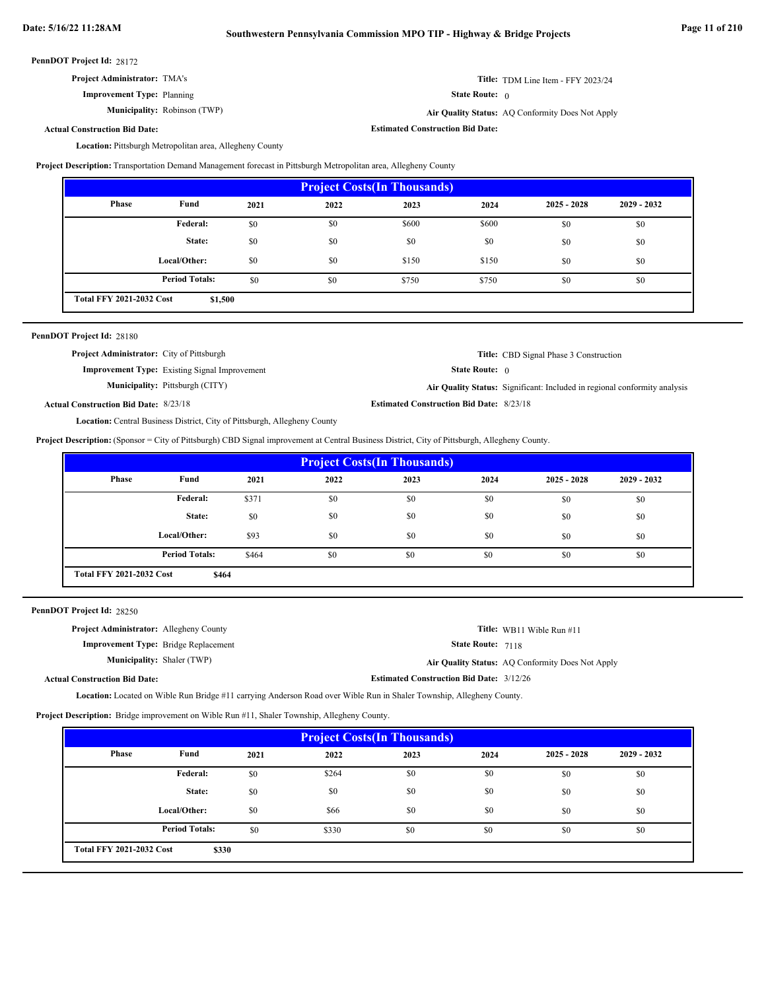**Estimated Construction Bid Date:**

PennDOT Project Id: 28172

| <b>Project Administrator: TMA's</b> |  |
|-------------------------------------|--|
| <b>Improvement Type: Planning</b>   |  |

**Municipality:** Robinson (TWP)

State Route: 0

Robinson (TWP) **Air Quality Status:** AQ Conformity Does Not Apply

**Title:** TDM Line Item - FFY 2023/24

**Actual Construction Bid Date:**

Location: Pittsburgh Metropolitan area, Allegheny County

**Project Description:** Transportation Demand Management forecast in Pittsburgh Metropolitan area, Allegheny County

| <b>Project Costs (In Thousands)</b>        |                       |      |      |       |       |               |               |
|--------------------------------------------|-----------------------|------|------|-------|-------|---------------|---------------|
| <b>Phase</b>                               | Fund                  | 2021 | 2022 | 2023  | 2024  | $2025 - 2028$ | $2029 - 2032$ |
|                                            | Federal:              | \$0  | \$0  | \$600 | \$600 | \$0           | \$0           |
|                                            | State:                | \$0  | \$0  | \$0   | \$0   | \$0           | \$0           |
|                                            | Local/Other:          | \$0  | \$0  | \$150 | \$150 | \$0           | \$0           |
|                                            | <b>Period Totals:</b> | \$0  | \$0  | \$750 | \$750 | \$0           | \$0           |
| <b>Total FFY 2021-2032 Cost</b><br>\$1,500 |                       |      |      |       |       |               |               |

| <b>PennDOT Project Id: 28180</b>                 |                                                      |                                                 |                                                                           |
|--------------------------------------------------|------------------------------------------------------|-------------------------------------------------|---------------------------------------------------------------------------|
| <b>Project Administrator:</b> City of Pittsburgh |                                                      |                                                 | <b>Title:</b> CBD Signal Phase 3 Construction                             |
|                                                  | <b>Improvement Type:</b> Existing Signal Improvement | <b>State Route:</b> $\theta$                    |                                                                           |
|                                                  | <b>Municipality:</b> Pittsburgh (CITY)               |                                                 | Air Quality Status: Significant: Included in regional conformity analysis |
| <b>Actual Construction Bid Date: 8/23/18</b>     |                                                      | <b>Estimated Construction Bid Date: 8/23/18</b> |                                                                           |

Location: Central Business District, City of Pittsburgh, Allegheny County

**Project Description:** (Sponsor = City of Pittsburgh) CBD Signal improvement at Central Business District, City of Pittsburgh, Allegheny County.

| <b>Project Costs (In Thousands)</b>      |                       |       |      |      |      |               |               |
|------------------------------------------|-----------------------|-------|------|------|------|---------------|---------------|
| <b>Phase</b>                             | Fund                  | 2021  | 2022 | 2023 | 2024 | $2025 - 2028$ | $2029 - 2032$ |
|                                          | Federal:              | \$371 | \$0  | \$0  | \$0  | \$0           | \$0           |
|                                          | State:                | \$0   | \$0  | \$0  | \$0  | \$0           | \$0           |
|                                          | Local/Other:          | \$93  | \$0  | \$0  | \$0  | \$0           | \$0           |
|                                          | <b>Period Totals:</b> | \$464 | \$0  | \$0  | \$0  | \$0           | \$0           |
| <b>Total FFY 2021-2032 Cost</b><br>\$464 |                       |       |      |      |      |               |               |

PennDOT Project Id: 28250

| <b>Project Administrator:</b> Allegheny County |                                                 | <b>Title:</b> WB11 Wible Run #11                 |
|------------------------------------------------|-------------------------------------------------|--------------------------------------------------|
| <b>Improvement Type:</b> Bridge Replacement    | <b>State Route: 7118</b>                        |                                                  |
| <b>Municipality:</b> Shaler (TWP)              |                                                 | Air Quality Status: AQ Conformity Does Not Apply |
| <b>Actual Construction Bid Date:</b>           | <b>Estimated Construction Bid Date: 3/12/26</b> |                                                  |

Location: Located on Wible Run Bridge #11 carrying Anderson Road over Wible Run in Shaler Township, Allegheny County.

**Project Description:** Bridge improvement on Wible Run #11, Shaler Township, Allegheny County.

| <b>Project Costs (In Thousands)</b>      |                       |      |       |      |      |               |               |
|------------------------------------------|-----------------------|------|-------|------|------|---------------|---------------|
| <b>Phase</b>                             | Fund                  | 2021 | 2022  | 2023 | 2024 | $2025 - 2028$ | $2029 - 2032$ |
|                                          | Federal:              | \$0  | \$264 | \$0  | \$0  | \$0           | \$0           |
|                                          | State:                | \$0  | \$0   | \$0  | \$0  | \$0           | \$0           |
|                                          | Local/Other:          | \$0  | \$66  | \$0  | \$0  | \$0           | \$0           |
|                                          | <b>Period Totals:</b> | \$0  | \$330 | \$0  | \$0  | \$0           | \$0           |
| <b>Total FFY 2021-2032 Cost</b><br>\$330 |                       |      |       |      |      |               |               |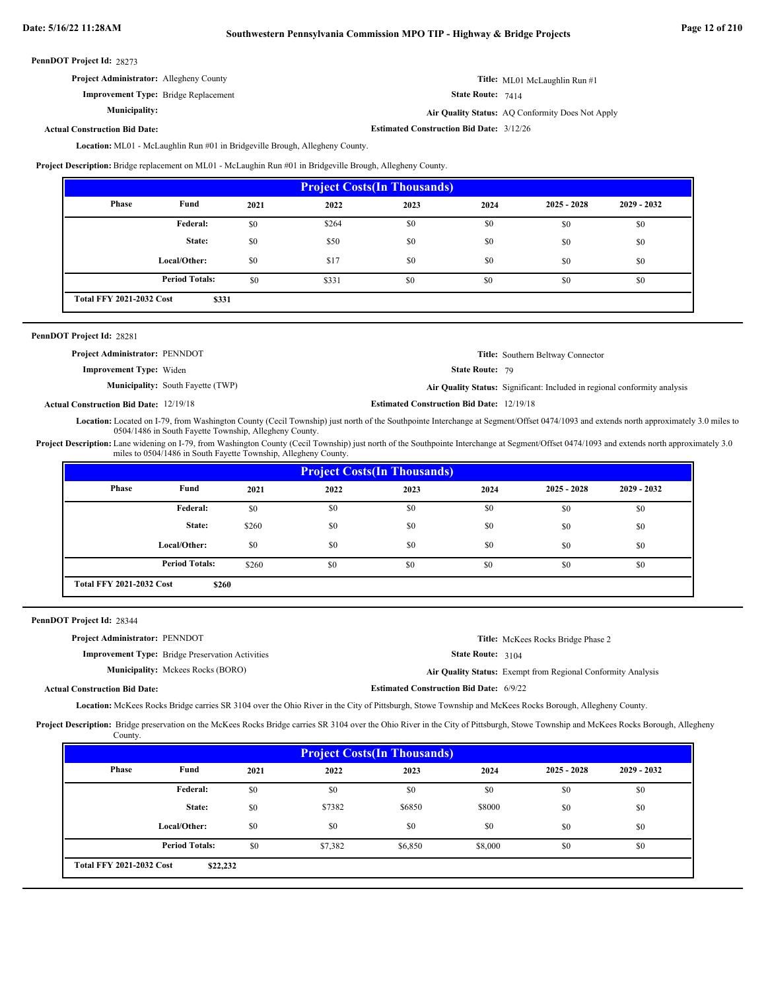| <b>Project Administrator:</b> Allegheny County | <b>Title:</b> ML01 McLaughlin Run #1 |
|------------------------------------------------|--------------------------------------|
| <b>Improvement Type:</b> Bridge Replacement    | <b>State Route:</b> $7414$           |

Air Quality Status: AQ Conformity Does Not Apply

**Estimated Construction Bid Date:** 3/12/26

### **Actual Construction Bid Date:**

**Municipality:**

Location: ML01 - McLaughlin Run #01 in Bridgeville Brough, Allegheny County.

**Project Description:** Bridge replacement on ML01 - McLaughin Run #01 in Bridgeville Brough, Allegheny County.

| <b>Project Costs (In Thousands)</b>      |                       |      |       |      |      |               |               |
|------------------------------------------|-----------------------|------|-------|------|------|---------------|---------------|
| Phase                                    | Fund                  | 2021 | 2022  | 2023 | 2024 | $2025 - 2028$ | $2029 - 2032$ |
|                                          | <b>Federal:</b>       | \$0  | \$264 | \$0  | \$0  | \$0           | \$0           |
|                                          | State:                | \$0  | \$50  | \$0  | \$0  | \$0           | \$0           |
|                                          | Local/Other:          | \$0  | \$17  | \$0  | \$0  | \$0           | \$0           |
|                                          | <b>Period Totals:</b> | \$0  | \$331 | \$0  | \$0  | \$0           | \$0           |
| <b>Total FFY 2021-2032 Cost</b><br>\$331 |                       |      |       |      |      |               |               |

| <b>PennDOT Project Id: 28281</b>         |                                                                           |
|------------------------------------------|---------------------------------------------------------------------------|
| <b>Project Administrator: PENNDOT</b>    | <b>Title:</b> Southern Beltway Connector                                  |
| <b>Improvement Type:</b> Widen           | <b>State Route: 79</b>                                                    |
| <b>Municipality:</b> South Fayette (TWP) | Air Quality Status: Significant: Included in regional conformity analysis |

**Estimated Construction Bid Date:** 12/19/18 12/19/18 **Actual Construction Bid Date:**

Location: Located on I-79, from Washington County (Cecil Township) just north of the Southpointe Interchange at Segment/Offset 0474/1093 and extends north approximately 3.0 miles to 0504/1486 in South Fayette Township, Allegheny County.

Project Description: Lane widening on I-79, from Washington County (Cecil Township) just north of the Southpointe Interchange at Segment/Offset 0474/1093 and extends north approximately 3.0 miles to 0504/1486 in South Fayette Township, Allegheny County.

| <b>Project Costs (In Thousands)</b> |                       |       |      |      |      |               |               |
|-------------------------------------|-----------------------|-------|------|------|------|---------------|---------------|
| Phase                               | Fund                  | 2021  | 2022 | 2023 | 2024 | $2025 - 2028$ | $2029 - 2032$ |
|                                     | <b>Federal:</b>       | \$0   | \$0  | \$0  | \$0  | \$0           | \$0           |
|                                     | State:                | \$260 | \$0  | \$0  | \$0  | \$0           | \$0           |
|                                     | Local/Other:          | \$0   | \$0  | \$0  | \$0  | \$0           | \$0           |
|                                     | <b>Period Totals:</b> | \$260 | \$0  | \$0  | \$0  | \$0           | \$0           |
| <b>Total FFY 2021-2032 Cost</b>     | \$260                 |       |      |      |      |               |               |

#### 28344 **PennDOT Project Id:**

| <b>Project Administrator: PENNDOT</b> |                                                         |                                                | <b>Title:</b> McKees Rocks Bridge Phase 2                    |
|---------------------------------------|---------------------------------------------------------|------------------------------------------------|--------------------------------------------------------------|
|                                       | <b>Improvement Type:</b> Bridge Preservation Activities | <b>State Route: 3104</b>                       |                                                              |
|                                       | <b>Municipality:</b> Mckees Rocks (BORO)                |                                                | Air Quality Status: Exempt from Regional Conformity Analysis |
| <b>Actual Construction Bid Date:</b>  |                                                         | <b>Estimated Construction Bid Date: 6/9/22</b> |                                                              |

Location: McKees Rocks Bridge carries SR 3104 over the Ohio River in the City of Pittsburgh, Stowe Township and McKees Rocks Borough, Allegheny County.

Project Description: Bridge preservation on the McKees Rocks Bridge carries SR 3104 over the Ohio River in the City of Pittsburgh, Stowe Township and McKees Rocks Borough, Allegheny County.

| <b>Project Costs (In Thousands)</b> |                       |      |         |         |         |               |               |
|-------------------------------------|-----------------------|------|---------|---------|---------|---------------|---------------|
| <b>Phase</b>                        | Fund                  | 2021 | 2022    | 2023    | 2024    | $2025 - 2028$ | $2029 - 2032$ |
|                                     | Federal:              | \$0  | \$0     | \$0     | \$0     | \$0           | \$0           |
|                                     | State:                | \$0  | \$7382  | \$6850  | \$8000  | \$0           | \$0           |
|                                     | Local/Other:          | \$0  | \$0     | \$0     | \$0     | \$0           | \$0           |
|                                     | <b>Period Totals:</b> | \$0  | \$7,382 | \$6,850 | \$8,000 | \$0           | \$0           |
| <b>Total FFY 2021-2032 Cost</b>     | \$22,232              |      |         |         |         |               |               |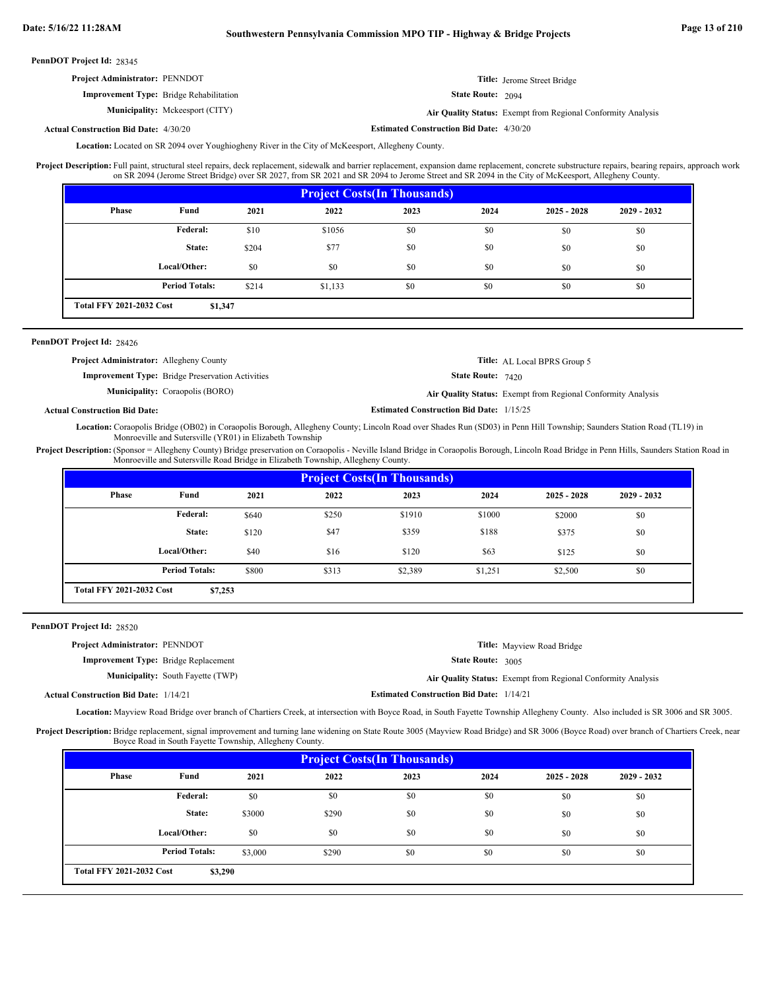# **Date: 5/16/22 11:28AM Southwestern Pennsylvania Commission MPO TIP - Highway & Bridge Projects Page 13 of 210**

28345 **PennDOT Project Id:**

| <b>Project Administrator: PENNDOT</b>          |                            | <b>Title:</b> Jerome Street Bridge                           |
|------------------------------------------------|----------------------------|--------------------------------------------------------------|
| <b>Improvement Type:</b> Bridge Rehabilitation | <b>State Route:</b> $2094$ |                                                              |
| <b>Municipality:</b> Mckeesport (CITY)         |                            | Air Quality Status: Exempt from Regional Conformity Analysis |

#### **Estimated Construction Bid Date:** 4/30/20 4/30/20 **Actual Construction Bid Date:**

Location: Located on SR 2094 over Youghiogheny River in the City of McKeesport, Allegheny County.

Full paint, structural steel repairs, deck replacement, sidewalk and barrier replacement, expansion dame replacement, concrete substructure repairs, bearing repairs, approach work on SR 2094 (Jerome Street Bridge) over SR 2027, from SR 2021 and SR 2094 to Jerome Street and SR 2094 in the City of McKeesport, Allegheny County. **Project Description:**

| <b>Project Costs (In Thousands)</b>        |                       |       |         |      |      |               |               |
|--------------------------------------------|-----------------------|-------|---------|------|------|---------------|---------------|
| <b>Phase</b>                               | Fund                  | 2021  | 2022    | 2023 | 2024 | $2025 - 2028$ | $2029 - 2032$ |
|                                            | Federal:              | \$10  | \$1056  | \$0  | \$0  | \$0           | \$0           |
|                                            | State:                | \$204 | \$77    | \$0  | \$0  | \$0           | \$0           |
|                                            | Local/Other:          | \$0   | \$0     | \$0  | \$0  | \$0           | \$0           |
|                                            | <b>Period Totals:</b> | \$214 | \$1,133 | \$0  | \$0  | \$0           | \$0           |
| <b>Total FFY 2021-2032 Cost</b><br>\$1,347 |                       |       |         |      |      |               |               |

## PennDOT Project Id: 28426

| <b>Project Administrator:</b> Allegheny County |                                                         |                                                 | <b>Title:</b> AL Local BPRS Group 5                          |
|------------------------------------------------|---------------------------------------------------------|-------------------------------------------------|--------------------------------------------------------------|
|                                                | <b>Improvement Type:</b> Bridge Preservation Activities | <b>State Route: 7420</b>                        |                                                              |
|                                                | <b>Municipality:</b> Coraopolis (BORO)                  |                                                 | Air Quality Status: Exempt from Regional Conformity Analysis |
| <b>Actual Construction Bid Date:</b>           |                                                         | <b>Estimated Construction Bid Date: 1/15/25</b> |                                                              |

Location: Coraopolis Bridge (OB02) in Coraopolis Borough, Allegheny County; Lincoln Road over Shades Run (SD03) in Penn Hill Township; Saunders Station Road (TL19) in Monroeville and Sutersville (YR01) in Elizabeth Township

Project Description: (Sponsor = Allegheny County) Bridge preservation on Coraopolis - Neville Island Bridge in Coraopolis Borough, Lincoln Road Bridge in Penn Hills, Saunders Station Road in Monroeville and Sutersville Road Bridge in Elizabeth Township, Allegheny County.

| <b>Project Costs (In Thousands)</b> |                       |       |       |         |         |               |               |  |
|-------------------------------------|-----------------------|-------|-------|---------|---------|---------------|---------------|--|
| Phase                               | Fund                  | 2021  | 2022  | 2023    | 2024    | $2025 - 2028$ | $2029 - 2032$ |  |
|                                     | Federal:              | \$640 | \$250 | \$1910  | \$1000  | \$2000        | \$0           |  |
|                                     | State:                | \$120 | \$47  | \$359   | \$188   | \$375         | \$0           |  |
|                                     | Local/Other:          | \$40  | \$16  | \$120   | \$63    | \$125         | \$0           |  |
|                                     | <b>Period Totals:</b> | \$800 | \$313 | \$2,389 | \$1,251 | \$2,500       | \$0           |  |
| <b>Total FFY 2021-2032 Cost</b>     | \$7,253               |       |       |         |         |               |               |  |

## PennDOT Project Id: 28520

| <b>Project Administrator: PENNDOT</b>        |                                          |                                                 | <b>Title:</b> Mayview Road Bridge                            |
|----------------------------------------------|------------------------------------------|-------------------------------------------------|--------------------------------------------------------------|
| <b>Improvement Type:</b> Bridge Replacement  |                                          | <b>State Route: 3005</b>                        |                                                              |
|                                              | <b>Municipality:</b> South Fayette (TWP) |                                                 | Air Quality Status: Exempt from Regional Conformity Analysis |
| <b>Actual Construction Bid Date: 1/14/21</b> |                                          | <b>Estimated Construction Bid Date: 1/14/21</b> |                                                              |

Location: Mayview Road Bridge over branch of Chartiers Creek, at intersection with Boyce Road, in South Fayette Township Allegheny County. Also included is SR 3006 and SR 3005.

Project Description: Bridge replacement, signal improvement and turning lane widening on State Route 3005 (Mayview Road Bridge) and SR 3006 (Boyce Road) over branch of Chartiers Creek, near Boyce Road in South Fayette Township, Allegheny County.

|                                 | <b>Project Costs (In Thousands)</b> |         |       |      |      |               |               |  |
|---------------------------------|-------------------------------------|---------|-------|------|------|---------------|---------------|--|
| <b>Phase</b>                    | Fund                                | 2021    | 2022  | 2023 | 2024 | $2025 - 2028$ | $2029 - 2032$ |  |
|                                 | Federal:                            | \$0     | \$0   | \$0  | \$0  | \$0           | \$0           |  |
|                                 | State:                              | \$3000  | \$290 | \$0  | \$0  | \$0           | \$0           |  |
|                                 | Local/Other:                        | \$0     | \$0   | \$0  | \$0  | \$0           | \$0           |  |
|                                 | <b>Period Totals:</b>               | \$3,000 | \$290 | \$0  | \$0  | \$0           | \$0           |  |
| <b>Total FFY 2021-2032 Cost</b> | \$3,290                             |         |       |      |      |               |               |  |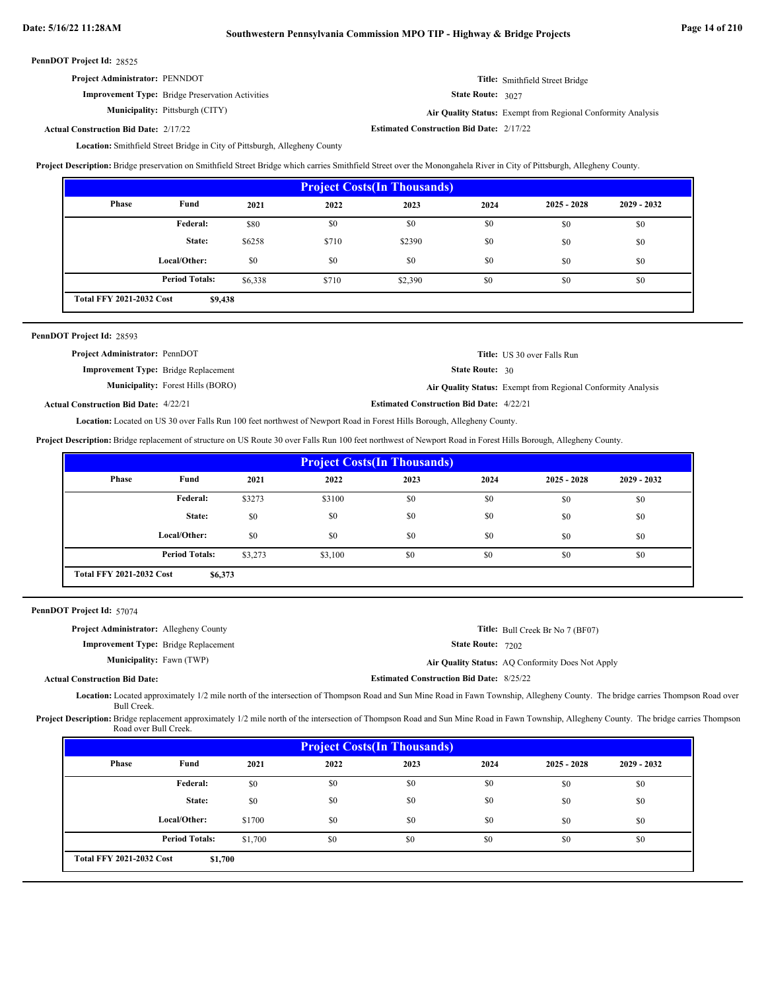| <b>Project Administrator: PENNDOT</b> |  |  |  |
|---------------------------------------|--|--|--|
|---------------------------------------|--|--|--|

State Route: 3027

**Improvement Type:** Bridge Preservation Activities **Municipality:**

Pittsburgh (CITY) **Air Quality Status:** Exempt from Regional Conformity Analysis

**Title:** Smithfield Street Bridge

**Estimated Construction Bid Date:** 2/17/22 2/17/22 **Actual Construction Bid Date:**

Location: Smithfield Street Bridge in City of Pittsburgh, Allegheny County

**Project Description:** Bridge preservation on Smithfield Street Bridge which carries Smithfield Street over the Monongahela River in City of Pittsburgh, Allegheny County.

| <b>Project Costs (In Thousands)</b> |                                            |         |       |         |      |               |               |  |
|-------------------------------------|--------------------------------------------|---------|-------|---------|------|---------------|---------------|--|
| <b>Phase</b>                        | Fund                                       | 2021    | 2022  | 2023    | 2024 | $2025 - 2028$ | $2029 - 2032$ |  |
|                                     | <b>Federal:</b>                            | \$80    | \$0   | \$0     | \$0  | \$0           | \$0           |  |
|                                     | State:                                     | \$6258  | \$710 | \$2390  | \$0  | \$0           | \$0           |  |
|                                     | Local/Other:                               | \$0     | \$0   | \$0     | \$0  | \$0           | \$0           |  |
|                                     | <b>Period Totals:</b>                      | \$6,338 | \$710 | \$2,390 | \$0  | \$0           | \$0           |  |
|                                     | <b>Total FFY 2021-2032 Cost</b><br>\$9,438 |         |       |         |      |               |               |  |

| <b>Project Administrator: PennDOT</b>        |                                          |                                                 | <b>Title:</b> US 30 over Falls Run                           |
|----------------------------------------------|------------------------------------------|-------------------------------------------------|--------------------------------------------------------------|
| <b>Improvement Type:</b> Bridge Replacement  |                                          | <b>State Route: 30</b>                          |                                                              |
|                                              | <b>Municipality:</b> Forest Hills (BORO) |                                                 | Air Quality Status: Exempt from Regional Conformity Analysis |
| <b>Actual Construction Bid Date: 4/22/21</b> |                                          | <b>Estimated Construction Bid Date: 4/22/21</b> |                                                              |

Location: Located on US 30 over Falls Run 100 feet northwest of Newport Road in Forest Hills Borough, Allegheny County.

**Project Description:** Bridge replacement of structure on US Route 30 over Falls Run 100 feet northwest of Newport Road in Forest Hills Borough, Allegheny County.

| <b>Project Costs (In Thousands)</b> |                                            |         |         |      |      |               |               |  |  |
|-------------------------------------|--------------------------------------------|---------|---------|------|------|---------------|---------------|--|--|
| <b>Phase</b>                        | Fund                                       | 2021    | 2022    | 2023 | 2024 | $2025 - 2028$ | $2029 - 2032$ |  |  |
|                                     | Federal:                                   | \$3273  | \$3100  | \$0  | \$0  | \$0           | \$0           |  |  |
|                                     | State:                                     | \$0     | \$0     | \$0  | \$0  | \$0           | \$0           |  |  |
|                                     | Local/Other:                               | \$0     | \$0     | \$0  | \$0  | \$0           | \$0           |  |  |
|                                     | <b>Period Totals:</b>                      | \$3,273 | \$3,100 | \$0  | \$0  | \$0           | \$0           |  |  |
|                                     | <b>Total FFY 2021-2032 Cost</b><br>\$6,373 |         |         |      |      |               |               |  |  |

PennDOT Project Id: 57074

| <b>Project Administrator:</b> Allegheny County |                                                 | <b>Title:</b> Bull Creek Br No 7 (BF07)          |
|------------------------------------------------|-------------------------------------------------|--------------------------------------------------|
| <b>Improvement Type:</b> Bridge Replacement    | <b>State Route: 7202</b>                        |                                                  |
| <b>Municipality:</b> Fawn (TWP)                |                                                 | Air Quality Status: AQ Conformity Does Not Apply |
| <b>Actual Construction Bid Date:</b>           | <b>Estimated Construction Bid Date: 8/25/22</b> |                                                  |

Located approximately 1/2 mile north of the intersection of Thompson Road and Sun Mine Road in Fawn Township, Allegheny County. The bridge carries Thompson Road over **Location:** Bull Creek.

Project Description: Bridge replacement approximately 1/2 mile north of the intersection of Thompson Road and Sun Mine Road in Fawn Township, Allegheny County. The bridge carries Thompson Road over Bull Creek.

| <b>Project Costs (In Thousands)</b> |                                            |         |      |      |      |               |               |  |  |
|-------------------------------------|--------------------------------------------|---------|------|------|------|---------------|---------------|--|--|
| Phase                               | Fund                                       | 2021    | 2022 | 2023 | 2024 | $2025 - 2028$ | $2029 - 2032$ |  |  |
|                                     | Federal:                                   | \$0     | \$0  | \$0  | \$0  | \$0           | \$0           |  |  |
|                                     | State:                                     | \$0     | \$0  | \$0  | \$0  | \$0           | \$0           |  |  |
|                                     | Local/Other:                               | \$1700  | \$0  | \$0  | \$0  | \$0           | \$0           |  |  |
|                                     | <b>Period Totals:</b>                      | \$1,700 | \$0  | \$0  | \$0  | \$0           | \$0           |  |  |
|                                     | <b>Total FFY 2021-2032 Cost</b><br>\$1,700 |         |      |      |      |               |               |  |  |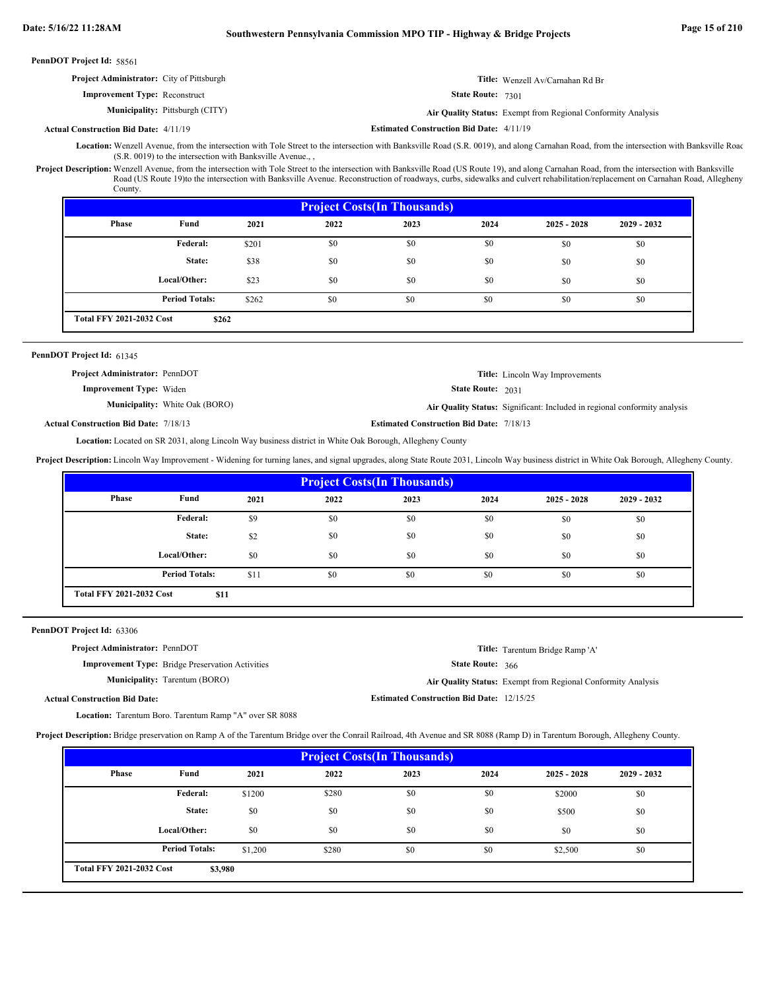| PennDOT Project Id: 58561                        |                                        |                                                 |                                                              |
|--------------------------------------------------|----------------------------------------|-------------------------------------------------|--------------------------------------------------------------|
| <b>Project Administrator:</b> City of Pittsburgh |                                        |                                                 | <b>Title:</b> Wenzell Av/Carnahan Rd Br                      |
| <b>Improvement Type:</b> Reconstruct             |                                        | <b>State Route: 7301</b>                        |                                                              |
|                                                  | <b>Municipality:</b> Pittsburgh (CITY) |                                                 | Air Quality Status: Exempt from Regional Conformity Analysis |
| <b>Actual Construction Bid Date: 4/11/19</b>     |                                        | <b>Estimated Construction Bid Date: 4/11/19</b> |                                                              |

Location: Wenzell Avenue, from the intersection with Tole Street to the intersection with Banksville Road (S.R. 0019), and along Carnahan Road, from the intersection with Banksville Road (S.R. 0019) to the intersection with Banksville Avenue., ,

Project Description: Wenzell Avenue, from the intersection with Tole Street to the intersection with Banksville Road (US Route 19), and along Carnahan Road, from the intersection with Banksville Road (US Route 19)to the intersection with Banksville Avenue. Reconstruction of roadways, curbs, sidewalks and culvert rehabilitation/replacement on Carnahan Road, Allegheny County.

| <b>Project Costs (In Thousands)</b> |                                          |       |      |      |      |               |               |  |  |
|-------------------------------------|------------------------------------------|-------|------|------|------|---------------|---------------|--|--|
| Phase                               | Fund                                     | 2021  | 2022 | 2023 | 2024 | $2025 - 2028$ | $2029 - 2032$ |  |  |
|                                     | <b>Federal:</b>                          | \$201 | \$0  | \$0  | \$0  | \$0           | \$0           |  |  |
|                                     | State:                                   | \$38  | \$0  | \$0  | \$0  | \$0           | \$0           |  |  |
|                                     | Local/Other:                             | \$23  | \$0  | \$0  | \$0  | \$0           | \$0           |  |  |
|                                     | <b>Period Totals:</b>                    | \$262 | \$0  | \$0  | \$0  | \$0           | \$0           |  |  |
|                                     | <b>Total FFY 2021-2032 Cost</b><br>\$262 |       |      |      |      |               |               |  |  |

# PennDOT Project Id: 61345

State Route: 2031 **Title:** Lincoln Way Improvements **Improvement Type:** Widen Municipality: White Oak (BORO) White Oak (BORO) **Air Quality Status:** Significant: Included in regional conformity analysis **Project Administrator:** PennDOT

**Actual Construction Bid Date:**

**Estimated Construction Bid Date:** 7/18/13 7/18/13

Location: Located on SR 2031, along Lincoln Way business district in White Oak Borough, Allegheny County

Project Description: Lincoln Way Improvement - Widening for turning lanes, and signal upgrades, along State Route 2031, Lincoln Way business district in White Oak Borough, Allegheny County.

| <b>Project Costs (In Thousands)</b>     |                       |      |      |      |      |               |               |  |  |
|-----------------------------------------|-----------------------|------|------|------|------|---------------|---------------|--|--|
| <b>Phase</b>                            | Fund                  | 2021 | 2022 | 2023 | 2024 | $2025 - 2028$ | $2029 - 2032$ |  |  |
|                                         | <b>Federal:</b>       | \$9  | \$0  | \$0  | \$0  | \$0           | \$0           |  |  |
|                                         | State:                | \$2  | \$0  | \$0  | \$0  | \$0           | \$0           |  |  |
|                                         | Local/Other:          | \$0  | \$0  | \$0  | \$0  | \$0           | \$0           |  |  |
|                                         | <b>Period Totals:</b> | \$11 | \$0  | \$0  | \$0  | \$0           | \$0           |  |  |
| <b>Total FFY 2021-2032 Cost</b><br>\$11 |                       |      |      |      |      |               |               |  |  |

PennDOT Project Id: 63306

**Project Administrator:** PennDOT

**Improvement Type:** Bridge Preservation Activities

**Municipality:** Tarentum (BORO)

**Title:** Tarentum Bridge Ramp 'A'

State Route: 366

**Estimated Construction Bid Date:** 12/15/25

Tarentum (BORO) **Air Quality Status:** Exempt from Regional Conformity Analysis

**Actual Construction Bid Date:**

Location: Tarentum Boro. Tarentum Ramp "A" over SR 8088

**Project Description:** Bridge preservation on Ramp A of the Tarentum Bridge over the Conrail Railroad, 4th Avenue and SR 8088 (Ramp D) in Tarentum Borough, Allegheny County.

| <b>Project Costs (In Thousands)</b> |                                            |         |       |      |      |               |               |  |  |
|-------------------------------------|--------------------------------------------|---------|-------|------|------|---------------|---------------|--|--|
| <b>Phase</b>                        | Fund                                       | 2021    | 2022  | 2023 | 2024 | $2025 - 2028$ | $2029 - 2032$ |  |  |
|                                     | Federal:                                   | \$1200  | \$280 | \$0  | \$0  | \$2000        | \$0           |  |  |
|                                     | State:                                     | \$0     | \$0   | \$0  | \$0  | \$500         | \$0           |  |  |
|                                     | Local/Other:                               | \$0     | \$0   | \$0  | \$0  | \$0           | \$0           |  |  |
|                                     | <b>Period Totals:</b>                      | \$1,200 | \$280 | \$0  | \$0  | \$2,500       | \$0           |  |  |
|                                     | <b>Total FFY 2021-2032 Cost</b><br>\$3,980 |         |       |      |      |               |               |  |  |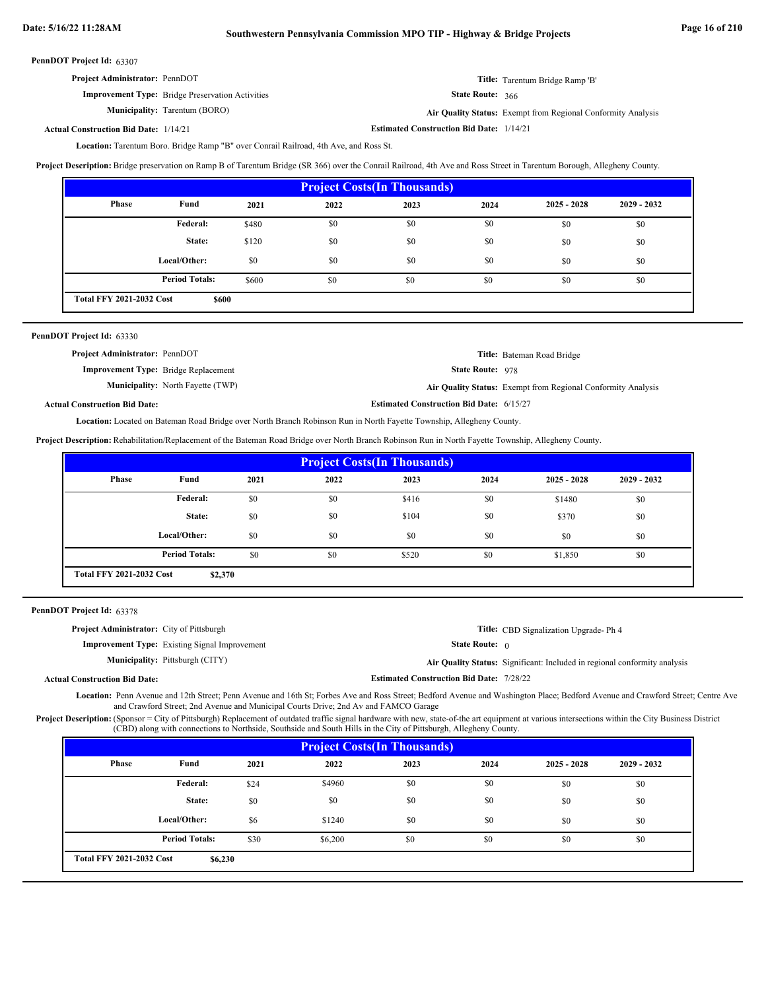| <b>Project Administrator: PennDOT</b>                   | Title: Tarentum Bridge Ramp 'B'                              |
|---------------------------------------------------------|--------------------------------------------------------------|
| <b>Improvement Type:</b> Bridge Preservation Activities | State Route: 366                                             |
| <b>Municipality:</b> Tarentum (BORO)                    | Air Quality Status: Exempt from Regional Conformity Analysis |

**Estimated Construction Bid Date:** 1/14/21 1/14/21 **Actual Construction Bid Date:**

Location: Tarentum Boro. Bridge Ramp "B" over Conrail Railroad, 4th Ave, and Ross St.

**Project Description:** Bridge preservation on Ramp B of Tarentum Bridge (SR 366) over the Conrail Railroad, 4th Ave and Ross Street in Tarentum Borough, Allegheny County.

|              | <b>Project Costs (In Thousands)</b>      |       |      |      |      |               |               |  |  |
|--------------|------------------------------------------|-------|------|------|------|---------------|---------------|--|--|
| <b>Phase</b> | Fund                                     | 2021  | 2022 | 2023 | 2024 | $2025 - 2028$ | $2029 - 2032$ |  |  |
|              | Federal:                                 | \$480 | \$0  | \$0  | \$0  | \$0           | \$0           |  |  |
|              | State:                                   | \$120 | \$0  | \$0  | \$0  | \$0           | \$0           |  |  |
|              | Local/Other:                             | \$0   | \$0  | \$0  | \$0  | \$0           | \$0           |  |  |
|              | <b>Period Totals:</b>                    | \$600 | \$0  | \$0  | \$0  | \$0           | \$0           |  |  |
|              | <b>Total FFY 2021-2032 Cost</b><br>\$600 |       |      |      |      |               |               |  |  |

| PennDOT Project Id: 63330                   |                                          |                                                 |                                                              |
|---------------------------------------------|------------------------------------------|-------------------------------------------------|--------------------------------------------------------------|
| <b>Project Administrator: PennDOT</b>       |                                          |                                                 | Title: Bateman Road Bridge                                   |
| <b>Improvement Type:</b> Bridge Replacement |                                          | <b>State Route: 978</b>                         |                                                              |
|                                             | <b>Municipality:</b> North Fayette (TWP) |                                                 | Air Quality Status: Exempt from Regional Conformity Analysis |
| <b>Actual Construction Bid Date:</b>        |                                          | <b>Estimated Construction Bid Date: 6/15/27</b> |                                                              |

Located on Bateman Road Bridge over North Branch Robinson Run in North Fayette Township, Allegheny County. **Location:**

**Project Description:** Rehabilitation/Replacement of the Bateman Road Bridge over North Branch Robinson Run in North Fayette Township, Allegheny County.

| <b>Project Costs (In Thousands)</b>        |                       |      |      |       |      |               |               |  |  |
|--------------------------------------------|-----------------------|------|------|-------|------|---------------|---------------|--|--|
| Phase                                      | Fund                  | 2021 | 2022 | 2023  | 2024 | $2025 - 2028$ | $2029 - 2032$ |  |  |
|                                            | Federal:              | \$0  | \$0  | \$416 | \$0  | \$1480        | \$0           |  |  |
|                                            | State:                | \$0  | \$0  | \$104 | \$0  | \$370         | \$0           |  |  |
|                                            | Local/Other:          | \$0  | \$0  | \$0   | \$0  | \$0           | \$0           |  |  |
|                                            | <b>Period Totals:</b> | \$0  | \$0  | \$520 | \$0  | \$1,850       | \$0           |  |  |
| <b>Total FFY 2021-2032 Cost</b><br>\$2,370 |                       |      |      |       |      |               |               |  |  |

|  | PennDOT Project Id: 63378 |  |
|--|---------------------------|--|
|--|---------------------------|--|

| <b>Project Administrator:</b> City of Pittsburgh |                                                      |                                                 | <b>Title:</b> CBD Signalization Upgrade-Ph 4                              |
|--------------------------------------------------|------------------------------------------------------|-------------------------------------------------|---------------------------------------------------------------------------|
|                                                  | <b>Improvement Type:</b> Existing Signal Improvement | <b>State Route:</b> $\theta$                    |                                                                           |
|                                                  | <b>Municipality:</b> Pittsburgh (CITY)               |                                                 | Air Quality Status: Significant: Included in regional conformity analysis |
| al Construction Bid Date:                        |                                                      | <b>Estimated Construction Bid Date: 7/28/22</b> |                                                                           |

**Actual Construction Bid Date:**

Location: Penn Avenue and 12th Street; Penn Avenue and 16th St; Forbes Ave and Ross Street; Bedford Avenue and Washington Place; Bedford Avenue and Crawford Street; Centre Ave and Crawford Street; 2nd Avenue and Municipal Courts Drive; 2nd Av and FAMCO Garage

Project Description: (Sponsor = City of Pittsburgh) Replacement of outdated traffic signal hardware with new, state-of-the art equipment at various intersections within the City Business District (CBD) along with connections to Northside, Southside and South Hills in the City of Pittsburgh, Allegheny County.

| <b>Project Costs (In Thousands)</b>                                  |              |      |        |      |      |               |               |
|----------------------------------------------------------------------|--------------|------|--------|------|------|---------------|---------------|
| Phase                                                                | Fund         | 2021 | 2022   | 2023 | 2024 | $2025 - 2028$ | $2029 - 2032$ |
|                                                                      | Federal:     | \$24 | \$4960 | \$0  | \$0  | \$0           | \$0           |
|                                                                      | State:       | \$0  | \$0    | \$0  | \$0  | \$0           | \$0           |
|                                                                      | Local/Other: | \$6  | \$1240 | \$0  | \$0  | \$0           | \$0           |
| <b>Period Totals:</b><br>\$0<br>\$30<br>\$0<br>\$0<br>\$0<br>\$6,200 |              |      |        |      |      |               |               |
| <b>Total FFY 2021-2032 Cost</b><br>\$6,230                           |              |      |        |      |      |               |               |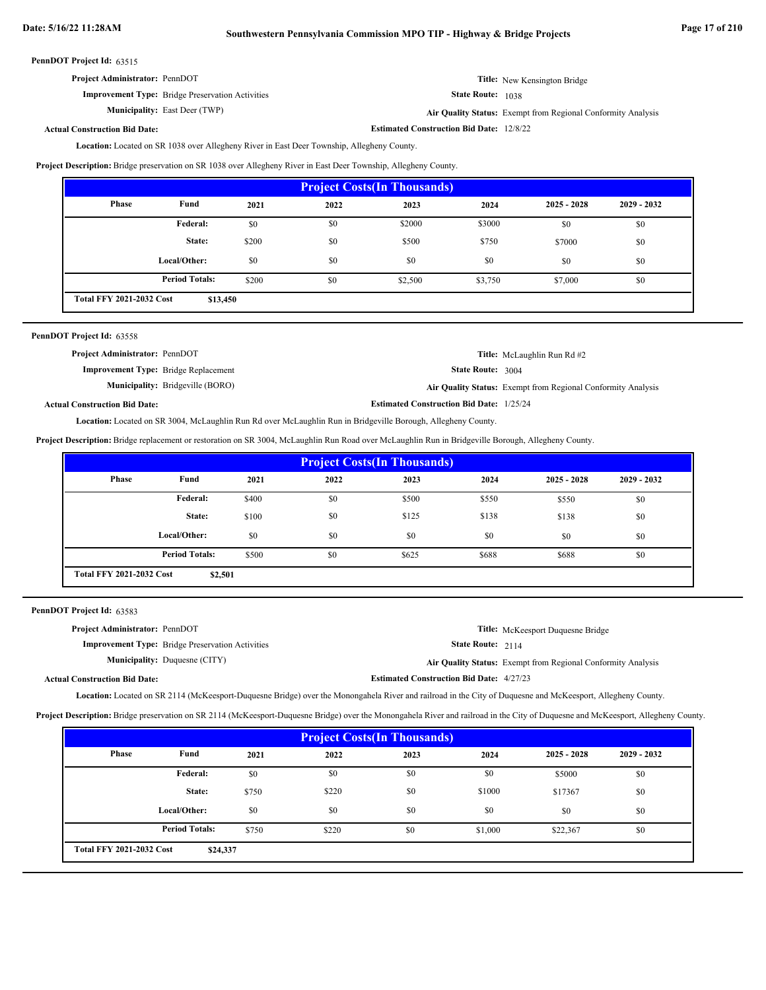# **Date: 5/16/22 11:28AM Southwestern Pennsylvania Commission MPO TIP - Highway & Bridge Projects Page 17 of 210**

PennDOT Project Id: 63515

| <b>Project Administrator: PennDOT</b>                   | <b>Title:</b> New Kensington Bridge                         |
|---------------------------------------------------------|-------------------------------------------------------------|
| <b>Improvement Type:</b> Bridge Preservation Activities | <b>State Route: 1038</b>                                    |
| <b>Municipality:</b> East Deer (TWP)                    | Air Quality Status: Exempt from Regional Conformity Analysi |

East Deer (TWP) **Air Quality Status:** Exempt from Regional Conformity Analysis

**Estimated Construction Bid Date:** 12/8/22

#### **Actual Construction Bid Date:**

Location: Located on SR 1038 over Allegheny River in East Deer Township, Allegheny County.

**Project Description:** Bridge preservation on SR 1038 over Allegheny River in East Deer Township, Allegheny County.

| <b>Project Costs (In Thousands)</b>         |                       |       |      |         |         |               |               |
|---------------------------------------------|-----------------------|-------|------|---------|---------|---------------|---------------|
| Phase                                       | Fund                  | 2021  | 2022 | 2023    | 2024    | $2025 - 2028$ | $2029 - 2032$ |
|                                             | Federal:              | \$0   | \$0  | \$2000  | \$3000  | \$0           | \$0           |
|                                             | State:                | \$200 | \$0  | \$500   | \$750   | \$7000        | \$0           |
|                                             | Local/Other:          | \$0   | \$0  | \$0     | \$0     | \$0           | \$0           |
|                                             | <b>Period Totals:</b> | \$200 | \$0  | \$2,500 | \$3,750 | \$7,000       | \$0           |
| <b>Total FFY 2021-2032 Cost</b><br>\$13,450 |                       |       |      |         |         |               |               |

| PennDOT Project Id: 63558                   |                                         |                                                 |                                                              |
|---------------------------------------------|-----------------------------------------|-------------------------------------------------|--------------------------------------------------------------|
| <b>Project Administrator: PennDOT</b>       |                                         |                                                 | <b>Title:</b> McLaughlin Run Rd #2                           |
| <b>Improvement Type:</b> Bridge Replacement |                                         | <b>State Route: 3004</b>                        |                                                              |
|                                             | <b>Municipality:</b> Bridgeville (BORO) |                                                 | Air Quality Status: Exempt from Regional Conformity Analysis |
| <b>Actual Construction Bid Date:</b>        |                                         | <b>Estimated Construction Bid Date: 1/25/24</b> |                                                              |

Location: Located on SR 3004, McLaughlin Run Rd over McLaughlin Run in Bridgeville Borough, Allegheny County.

**Project Description:** Bridge replacement or restoration on SR 3004, McLaughlin Run Road over McLaughlin Run in Bridgeville Borough, Allegheny County.

| <b>Project Costs (In Thousands)</b>                                     |                 |       |      |       |       |               |               |
|-------------------------------------------------------------------------|-----------------|-------|------|-------|-------|---------------|---------------|
| <b>Phase</b>                                                            | Fund            | 2021  | 2022 | 2023  | 2024  | $2025 - 2028$ | $2029 - 2032$ |
|                                                                         | <b>Federal:</b> | \$400 | \$0  | \$500 | \$550 | \$550         | \$0           |
|                                                                         | State:          | \$100 | \$0  | \$125 | \$138 | \$138         | \$0           |
|                                                                         | Local/Other:    | \$0   | \$0  | \$0   | \$0   | \$0           | \$0           |
| <b>Period Totals:</b><br>\$500<br>\$0<br>\$625<br>\$688<br>\$688<br>\$0 |                 |       |      |       |       |               |               |
| <b>Total FFY 2021-2032 Cost</b><br>\$2,501                              |                 |       |      |       |       |               |               |

PennDOT Project Id: 63583

| <b>Project Administrator: PennDOT</b> |                                                         |                                                 | <b>Title:</b> McKeesport Duquesne Bridge                     |
|---------------------------------------|---------------------------------------------------------|-------------------------------------------------|--------------------------------------------------------------|
|                                       | <b>Improvement Type:</b> Bridge Preservation Activities | <b>State Route: 2114</b>                        |                                                              |
| <b>Municipality:</b> Duquesne (CITY)  |                                                         |                                                 | Air Quality Status: Exempt from Regional Conformity Analysis |
| <b>Actual Construction Bid Date:</b>  |                                                         | <b>Estimated Construction Bid Date: 4/27/23</b> |                                                              |

Location: Located on SR 2114 (McKeesport-Duquesne Bridge) over the Monongahela River and railroad in the City of Duquesne and McKeesport, Allegheny County.

**Project Description:** Bridge preservation on SR 2114 (McKeesport-Duquesne Bridge) over the Monongahela River and railroad in the City of Duquesne and McKeesport, Allegheny County.

| <b>Project Costs (In Thousands)</b>         |                       |       |       |      |         |               |               |
|---------------------------------------------|-----------------------|-------|-------|------|---------|---------------|---------------|
| <b>Phase</b>                                | Fund                  | 2021  | 2022  | 2023 | 2024    | $2025 - 2028$ | $2029 - 2032$ |
|                                             | <b>Federal:</b>       | \$0   | \$0   | \$0  | \$0     | \$5000        | \$0           |
|                                             | State:                | \$750 | \$220 | \$0  | \$1000  | \$17367       | \$0           |
|                                             | Local/Other:          | \$0   | \$0   | \$0  | \$0     | \$0           | \$0           |
|                                             | <b>Period Totals:</b> | \$750 | \$220 | \$0  | \$1,000 | \$22,367      | \$0           |
| <b>Total FFY 2021-2032 Cost</b><br>\$24,337 |                       |       |       |      |         |               |               |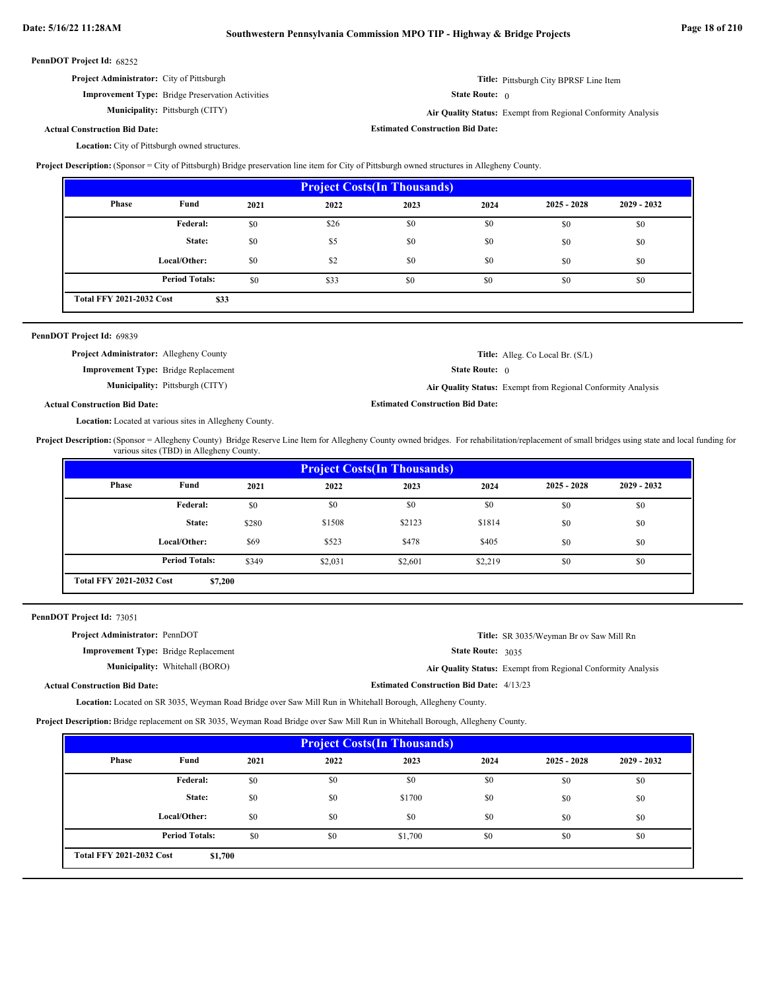**Estimated Construction Bid Date:**

#### PennDOT Project Id: 68252

| <b>Project Administrator:</b> City of Pittsburgh | <b>Title:</b> Pittsburgh City BPRSF Line Item |
|--------------------------------------------------|-----------------------------------------------|
|                                                  |                                               |

**Improvement Type:** Bridge Preservation Activities **Municipality:**

State Route: 0

Pittsburgh (CITY) **Air Quality Status:** Exempt from Regional Conformity Analysis

# **Actual Construction Bid Date:**

Location: City of Pittsburgh owned structures.

**Project Description:** (Sponsor = City of Pittsburgh) Bridge preservation line item for City of Pittsburgh owned structures in Allegheny County.

| <b>Project Costs (In Thousands)</b>     |                       |      |      |      |      |               |               |
|-----------------------------------------|-----------------------|------|------|------|------|---------------|---------------|
| <b>Phase</b>                            | Fund                  | 2021 | 2022 | 2023 | 2024 | $2025 - 2028$ | $2029 - 2032$ |
|                                         | Federal:              | \$0  | \$26 | \$0  | \$0  | \$0           | \$0           |
|                                         | State:                | \$0  | \$5  | \$0  | \$0  | \$0           | \$0           |
|                                         | Local/Other:          | \$0  | \$2  | \$0  | \$0  | \$0           | \$0           |
|                                         | <b>Period Totals:</b> | \$0  | \$33 | \$0  | \$0  | \$0           | \$0           |
| <b>Total FFY 2021-2032 Cost</b><br>\$33 |                       |      |      |      |      |               |               |

| PennDOT Project Id: 69839                      |                                        |                                         |                                                              |
|------------------------------------------------|----------------------------------------|-----------------------------------------|--------------------------------------------------------------|
| <b>Project Administrator:</b> Allegheny County |                                        |                                         | <b>Title:</b> Alleg. Co Local Br. (S/L)                      |
| <b>Improvement Type:</b> Bridge Replacement    |                                        | <b>State Route:</b> $\theta$            |                                                              |
|                                                | <b>Municipality:</b> Pittsburgh (CITY) |                                         | Air Quality Status: Exempt from Regional Conformity Analysis |
| <b>Actual Construction Bid Date:</b>           |                                        | <b>Estimated Construction Bid Date:</b> |                                                              |

Location: Located at various sites in Allegheny County.

Project Description: (Sponsor = Allegheny County) Bridge Reserve Line Item for Allegheny County owned bridges. For rehabilitation/replacement of small bridges using state and local funding for various sites (TBD) in Allegheny County.

| <b>Project Costs (In Thousands)</b>        |                       |       |         |         |         |               |               |
|--------------------------------------------|-----------------------|-------|---------|---------|---------|---------------|---------------|
| <b>Phase</b>                               | Fund                  | 2021  | 2022    | 2023    | 2024    | $2025 - 2028$ | $2029 - 2032$ |
|                                            | <b>Federal:</b>       | \$0   | \$0     | \$0     | \$0     | \$0           | \$0           |
|                                            | State:                | \$280 | \$1508  | \$2123  | \$1814  | \$0           | \$0           |
|                                            | Local/Other:          | \$69  | \$523   | \$478   | \$405   | \$0           | \$0           |
|                                            | <b>Period Totals:</b> | \$349 | \$2,031 | \$2,601 | \$2,219 | \$0           | \$0           |
| <b>Total FFY 2021-2032 Cost</b><br>\$7,200 |                       |       |         |         |         |               |               |

PennDOT Project Id: 73051

| <b>Project Administrator: PennDOT</b>       |                                       |                                                 | <b>Title:</b> SR 3035/Weyman Br ov Saw Mill Rn               |
|---------------------------------------------|---------------------------------------|-------------------------------------------------|--------------------------------------------------------------|
| <b>Improvement Type:</b> Bridge Replacement |                                       | State Route: 3035                               |                                                              |
|                                             | <b>Municipality:</b> Whitehall (BORO) |                                                 | Air Quality Status: Exempt from Regional Conformity Analysis |
| <b>Actual Construction Bid Date:</b>        |                                       | <b>Estimated Construction Bid Date: 4/13/23</b> |                                                              |

Location: Located on SR 3035, Weyman Road Bridge over Saw Mill Run in Whitehall Borough, Allegheny County.

**Project Description:** Bridge replacement on SR 3035, Weyman Road Bridge over Saw Mill Run in Whitehall Borough, Allegheny County.

| <b>Project Costs (In Thousands)</b>        |                       |      |      |         |      |               |               |
|--------------------------------------------|-----------------------|------|------|---------|------|---------------|---------------|
| <b>Phase</b>                               | Fund                  | 2021 | 2022 | 2023    | 2024 | $2025 - 2028$ | $2029 - 2032$ |
|                                            | Federal:              | \$0  | \$0  | \$0     | \$0  | \$0           | \$0           |
|                                            | State:                | \$0  | \$0  | \$1700  | \$0  | \$0           | \$0           |
|                                            | Local/Other:          | \$0  | \$0  | \$0     | \$0  | \$0           | \$0           |
|                                            | <b>Period Totals:</b> | \$0  | \$0  | \$1,700 | \$0  | \$0           | \$0           |
| <b>Total FFY 2021-2032 Cost</b><br>\$1,700 |                       |      |      |         |      |               |               |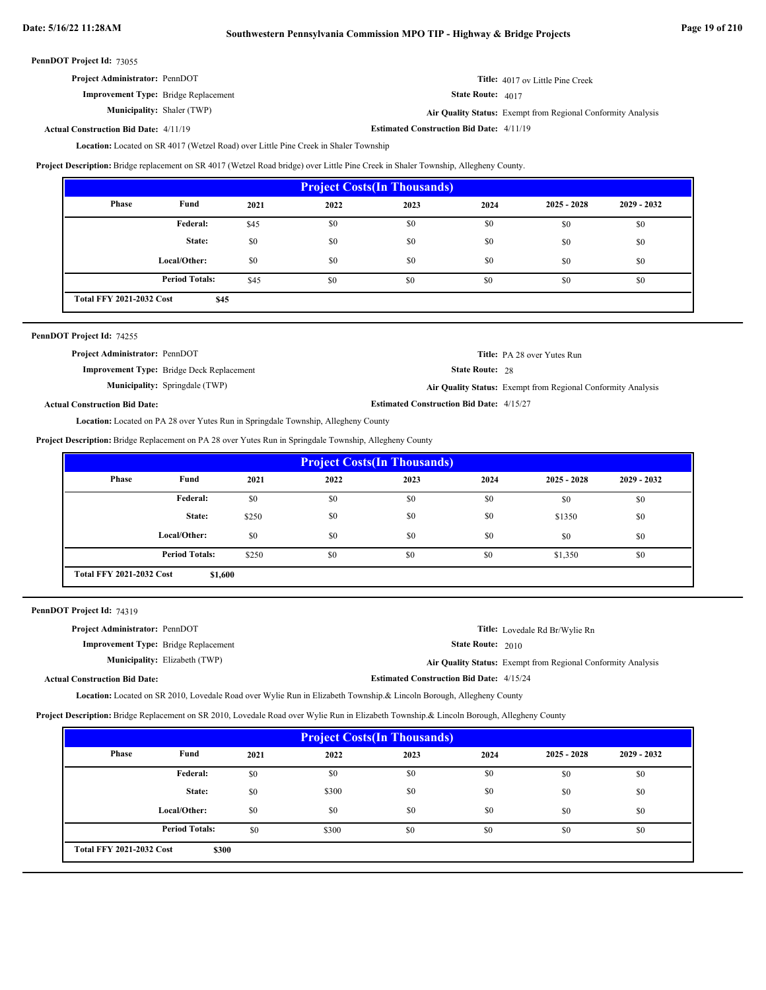| <b>Project Administrator: PennDOT</b>       | <b>Title:</b> 4017 ov Little Pine Creek |
|---------------------------------------------|-----------------------------------------|
| <b>Improvement Type:</b> Bridge Replacement | <b>State Route:</b> $4017$              |

**Municipality:** Shaler (TWP)

**Air Quality Status:** Exempt from Regional Conformity Analysis

**Estimated Construction Bid Date:** 4/11/19 4/11/19 **Actual Construction Bid Date:**

Location: Located on SR 4017 (Wetzel Road) over Little Pine Creek in Shaler Township

**Project Description:** Bridge replacement on SR 4017 (Wetzel Road bridge) over Little Pine Creek in Shaler Township, Allegheny County.

| <b>Project Costs (In Thousands)</b>     |                       |      |      |      |      |               |               |
|-----------------------------------------|-----------------------|------|------|------|------|---------------|---------------|
| <b>Phase</b>                            | Fund                  | 2021 | 2022 | 2023 | 2024 | $2025 - 2028$ | $2029 - 2032$ |
|                                         | <b>Federal:</b>       | \$45 | \$0  | \$0  | \$0  | \$0           | \$0           |
|                                         | State:                | \$0  | \$0  | \$0  | \$0  | \$0           | \$0           |
|                                         | Local/Other:          | \$0  | \$0  | \$0  | \$0  | \$0           | \$0           |
|                                         | <b>Period Totals:</b> | \$45 | \$0  | \$0  | \$0  | \$0           | \$0           |
| <b>Total FFY 2021-2032 Cost</b><br>\$45 |                       |      |      |      |      |               |               |

| PennDOT Project Id: 74255 |
|---------------------------|
|---------------------------|

| <b>Project Administrator: PennDOT</b>            |                                                 | <b>Title:</b> PA 28 over Yutes Run                           |
|--------------------------------------------------|-------------------------------------------------|--------------------------------------------------------------|
| <b>Improvement Type:</b> Bridge Deck Replacement | <b>State Route: 28</b>                          |                                                              |
| <b>Municipality:</b> Springdale (TWP)            |                                                 | Air Quality Status: Exempt from Regional Conformity Analysis |
| <b>Actual Construction Bid Date:</b>             | <b>Estimated Construction Bid Date: 4/15/27</b> |                                                              |
|                                                  |                                                 |                                                              |

Location: Located on PA 28 over Yutes Run in Springdale Township, Allegheny County

**Project Description:** Bridge Replacement on PA 28 over Yutes Run in Springdale Township, Allegheny County

| <b>Project Costs (In Thousands)</b>        |                       |       |      |      |      |               |               |
|--------------------------------------------|-----------------------|-------|------|------|------|---------------|---------------|
| Phase                                      | Fund                  | 2021  | 2022 | 2023 | 2024 | $2025 - 2028$ | $2029 - 2032$ |
|                                            | Federal:              | \$0   | \$0  | \$0  | \$0  | \$0           | \$0           |
|                                            | State:                | \$250 | \$0  | \$0  | \$0  | \$1350        | \$0           |
|                                            | Local/Other:          | \$0   | \$0  | \$0  | \$0  | \$0           | \$0           |
|                                            | <b>Period Totals:</b> | \$250 | \$0  | \$0  | \$0  | \$1,350       | \$0           |
| <b>Total FFY 2021-2032 Cost</b><br>\$1,600 |                       |       |      |      |      |               |               |

PennDOT Project Id: 74319

| <b>Project Administrator: PennDOT</b>       |                                      |                                                 | Title: Lovedale Rd Br/Wylie Rn                               |
|---------------------------------------------|--------------------------------------|-------------------------------------------------|--------------------------------------------------------------|
| <b>Improvement Type:</b> Bridge Replacement |                                      | <b>State Route:</b> $2010$                      |                                                              |
|                                             | <b>Municipality:</b> Elizabeth (TWP) |                                                 | Air Quality Status: Exempt from Regional Conformity Analysis |
| <b>Actual Construction Bid Date:</b>        |                                      | <b>Estimated Construction Bid Date: 4/15/24</b> |                                                              |

Location: Located on SR 2010, Lovedale Road over Wylie Run in Elizabeth Township. & Lincoln Borough, Allegheny County

**Project Description:** Bridge Replacement on SR 2010, Lovedale Road over Wylie Run in Elizabeth Township.& Lincoln Borough, Allegheny County

| <b>Project Costs (In Thousands)</b>      |                       |      |       |      |      |               |               |
|------------------------------------------|-----------------------|------|-------|------|------|---------------|---------------|
| Phase                                    | Fund                  | 2021 | 2022  | 2023 | 2024 | $2025 - 2028$ | $2029 - 2032$ |
|                                          | Federal:              | \$0  | \$0   | \$0  | \$0  | \$0           | \$0           |
|                                          | State:                | \$0  | \$300 | \$0  | \$0  | \$0           | \$0           |
|                                          | Local/Other:          | \$0  | \$0   | \$0  | \$0  | \$0           | \$0           |
|                                          | <b>Period Totals:</b> | \$0  | \$300 | \$0  | \$0  | \$0           | \$0           |
| <b>Total FFY 2021-2032 Cost</b><br>\$300 |                       |      |       |      |      |               |               |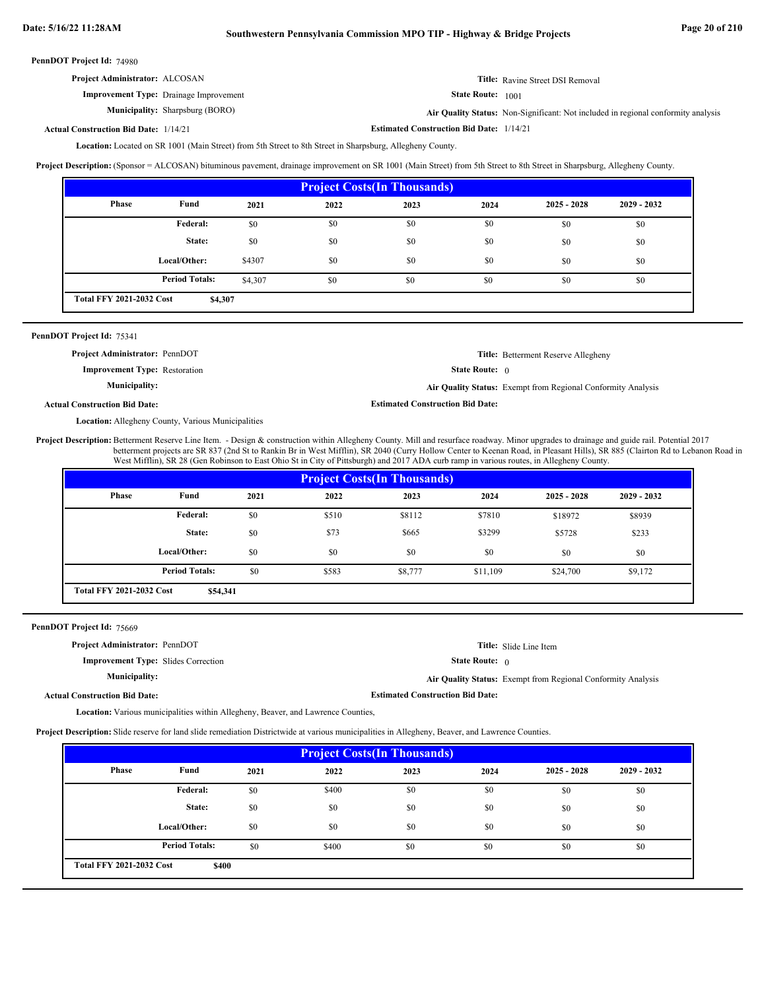# **Date: 5/16/22 11:28AM Southwestern Pennsylvania Commission MPO TIP - Highway & Bridge Projects Page 20 of 210**

PennDOT Project Id: 74980

| <b>Project Administrator: ALCOSAN</b>         | <b>Title:</b> Ravine Street DSI Removal |
|-----------------------------------------------|-----------------------------------------|
| <b>Improvement Type:</b> Drainage Improvement | <b>State Route:</b> 1001                |

Municipality: Sharpsburg (BORO)

Sharpsburg (BORO) **Air Quality Status:** Non-Significant: Not included in regional conformity analysis

**Estimated Construction Bid Date:** 1/14/21 1/14/21 **Actual Construction Bid Date:**

Location: Located on SR 1001 (Main Street) from 5th Street to 8th Street in Sharpsburg, Allegheny County.

**Project Description:** (Sponsor = ALCOSAN) bituminous pavement, drainage improvement on SR 1001 (Main Street) from 5th Street to 8th Street in Sharpsburg, Allegheny County.

| <b>Project Costs (In Thousands)</b>        |                       |         |      |      |      |               |               |
|--------------------------------------------|-----------------------|---------|------|------|------|---------------|---------------|
| Phase                                      | Fund                  | 2021    | 2022 | 2023 | 2024 | $2025 - 2028$ | $2029 - 2032$ |
|                                            | Federal:              | \$0     | \$0  | \$0  | \$0  | \$0           | \$0           |
|                                            | State:                | \$0     | \$0  | \$0  | \$0  | \$0           | \$0           |
|                                            | Local/Other:          | \$4307  | \$0  | \$0  | \$0  | \$0           | \$0           |
|                                            | <b>Period Totals:</b> | \$4,307 | \$0  | \$0  | \$0  | \$0           | \$0           |
| <b>Total FFY 2021-2032 Cost</b><br>\$4,307 |                       |         |      |      |      |               |               |

# PennDOT Project Id: 75341

**Project Administrator:** PennDOT

**Improvement Type:** Restoration

State Route: 0 **Title:** Betterment Reserve Allegheny

**Municipality:**

**Air Quality Status:** Exempt from Regional Conformity Analysis

**Actual Construction Bid Date:**

Location: Allegheny County, Various Municipalities

Project Description: Betterment Reserve Line Item. - Design & construction within Allegheny County. Mill and resurface roadway. Minor upgrades to drainage and guide rail. Potential 2017 betterment projects are SR 837 (2nd St to Rankin Br in West Mifflin), SR 2040 (Curry Hollow Center to Keenan Road, in Pleasant Hills), SR 885 (Clairton Rd to Lebanon Road in West Mifflin), SR 28 (Gen Robinson to East Ohio St in City of Pittsburgh) and 2017 ADA curb ramp in various routes, in Allegheny County.

**Estimated Construction Bid Date:**

| <b>Project Costs (In Thousands)</b> |                                             |      |       |         |          |               |               |  |  |
|-------------------------------------|---------------------------------------------|------|-------|---------|----------|---------------|---------------|--|--|
| Phase                               | Fund                                        | 2021 | 2022  | 2023    | 2024     | $2025 - 2028$ | $2029 - 2032$ |  |  |
|                                     | Federal:                                    | \$0  | \$510 | \$8112  | \$7810   | \$18972       | \$8939        |  |  |
|                                     | State:                                      | \$0  | \$73  | \$665   | \$3299   | \$5728        | \$233         |  |  |
|                                     | Local/Other:                                | \$0  | \$0   | \$0     | \$0      | \$0           | \$0           |  |  |
|                                     | <b>Period Totals:</b>                       | \$0  | \$583 | \$8,777 | \$11,109 | \$24,700      | \$9,172       |  |  |
|                                     | <b>Total FFY 2021-2032 Cost</b><br>\$54,341 |      |       |         |          |               |               |  |  |

PennDOT Project Id: 75669

| <b>Project Administrator: PennDOT</b>      |                                         | <b>Title:</b> Slide Line Item                                |
|--------------------------------------------|-----------------------------------------|--------------------------------------------------------------|
| <b>Improvement Type:</b> Slides Correction | <b>State Route:</b> 0                   |                                                              |
| <b>Municipality:</b>                       |                                         | Air Quality Status: Exempt from Regional Conformity Analysis |
| <b>Actual Construction Bid Date:</b>       | <b>Estimated Construction Bid Date:</b> |                                                              |

Location: Various municipalities within Allegheny, Beaver, and Lawrence Counties,

**Project Description:** Slide reserve for land slide remediation Districtwide at various municipalities in Allegheny, Beaver, and Lawrence Counties.

| <b>Project Costs (In Thousands)</b> |                                          |      |       |      |      |               |               |  |  |
|-------------------------------------|------------------------------------------|------|-------|------|------|---------------|---------------|--|--|
| Phase                               | Fund                                     | 2021 | 2022  | 2023 | 2024 | $2025 - 2028$ | $2029 - 2032$ |  |  |
|                                     | Federal:                                 | \$0  | \$400 | \$0  | \$0  | \$0           | \$0           |  |  |
|                                     | State:                                   | \$0  | \$0   | \$0  | \$0  | \$0           | \$0           |  |  |
|                                     | Local/Other:                             | \$0  | \$0   | \$0  | \$0  | \$0           | \$0           |  |  |
|                                     | <b>Period Totals:</b>                    | \$0  | \$400 | \$0  | \$0  | \$0           | \$0           |  |  |
|                                     | <b>Total FFY 2021-2032 Cost</b><br>\$400 |      |       |      |      |               |               |  |  |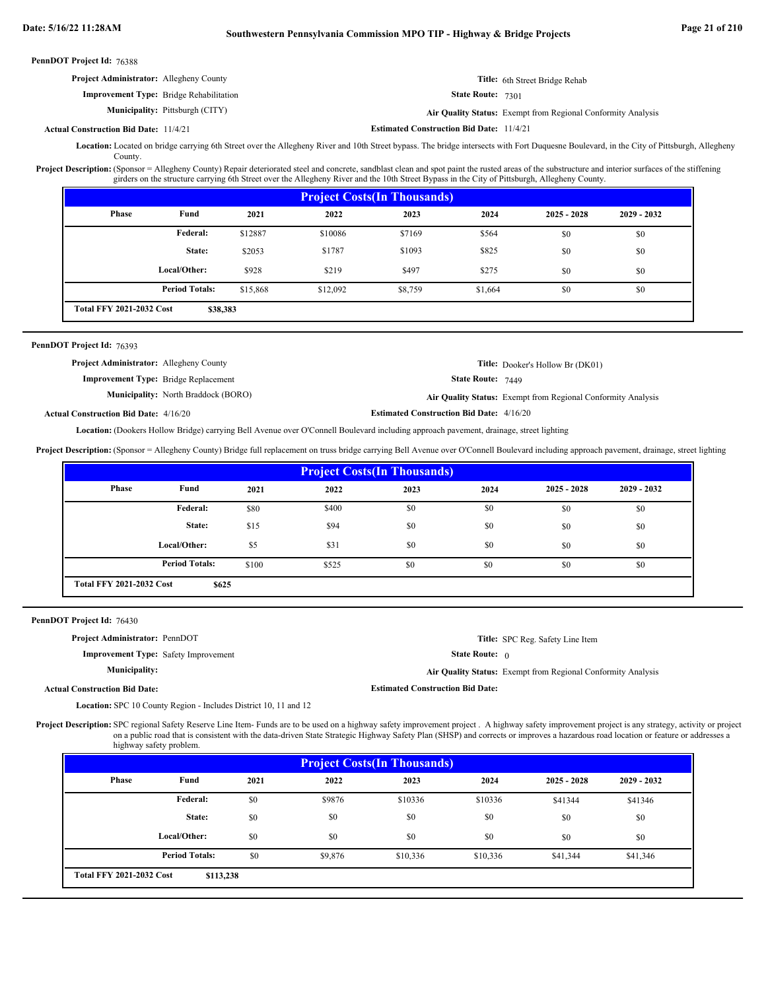| PennDOT Project Id: 76388                      |                                                |                                                 |                                                              |
|------------------------------------------------|------------------------------------------------|-------------------------------------------------|--------------------------------------------------------------|
| <b>Project Administrator:</b> Allegheny County |                                                |                                                 | <b>Title:</b> 6th Street Bridge Rehab                        |
|                                                | <b>Improvement Type:</b> Bridge Rehabilitation | <b>State Route: 7301</b>                        |                                                              |
|                                                | <b>Municipality:</b> Pittsburgh (CITY)         |                                                 | Air Quality Status: Exempt from Regional Conformity Analysis |
| <b>Actual Construction Bid Date: 11/4/21</b>   |                                                | <b>Estimated Construction Bid Date: 11/4/21</b> |                                                              |

Location: Located on bridge carrying 6th Street over the Allegheny River and 10th Street bypass. The bridge intersects with Fort Duquesne Boulevard, in the City of Pittsburgh, Allegheny **County**.

Project Description: (Sponsor = Allegheny County) Repair deteriorated steel and concrete, sandblast clean and spot paint the rusted areas of the substructure and interior surfaces of the stiffening girders on the structure carrying 6th Street over the Allegheny River and the 10th Street Bypass in the City of Pittsburgh, Allegheny County.

| <b>Project Costs (In Thousands)</b> |                       |          |          |         |         |               |               |  |  |
|-------------------------------------|-----------------------|----------|----------|---------|---------|---------------|---------------|--|--|
| <b>Phase</b>                        | Fund                  | 2021     | 2022     | 2023    | 2024    | $2025 - 2028$ | $2029 - 2032$ |  |  |
|                                     | Federal:              | \$12887  | \$10086  | \$7169  | \$564   | \$0           | \$0           |  |  |
|                                     | State:                | \$2053   | \$1787   | \$1093  | \$825   | \$0           | \$0           |  |  |
|                                     | Local/Other:          | \$928    | \$219    | \$497   | \$275   | \$0           | \$0           |  |  |
|                                     | <b>Period Totals:</b> | \$15,868 | \$12,092 | \$8,759 | \$1,664 | \$0           | \$0           |  |  |
| <b>Total FFY 2021-2032 Cost</b>     | \$38,383              |          |          |         |         |               |               |  |  |

### PennDOT Project Id: 76393

| <b>Project Administrator:</b> Allegheny County |                          | <b>Title:</b> Dooker's Hollow Br (DK01)                             |
|------------------------------------------------|--------------------------|---------------------------------------------------------------------|
| <b>Improvement Type:</b> Bridge Replacement    | <b>State Route: 7449</b> |                                                                     |
| <b>Municipality:</b> North Braddock (BORO)     |                          | <b>Air Quality Status:</b> Exempt from Regional Conformity Analysis |

**Actual Construction Bid Date:**

**Estimated Construction Bid Date:** 4/16/20 4/16/20

Location: (Dookers Hollow Bridge) carrying Bell Avenue over O'Connell Boulevard including approach pavement, drainage, street lighting

Project Description: (Sponsor = Allegheny County) Bridge full replacement on truss bridge carrying Bell Avenue over O'Connell Boulevard including approach pavement, drainage, street lighting

| <b>Project Costs (In Thousands)</b> |                                          |       |       |      |      |               |               |  |
|-------------------------------------|------------------------------------------|-------|-------|------|------|---------------|---------------|--|
| Phase                               | Fund                                     | 2021  | 2022  | 2023 | 2024 | $2025 - 2028$ | $2029 - 2032$ |  |
|                                     | <b>Federal:</b>                          | \$80  | \$400 | \$0  | \$0  | \$0           | \$0           |  |
|                                     | State:                                   | \$15  | \$94  | \$0  | \$0  | \$0           | \$0           |  |
|                                     | Local/Other:                             | \$5   | \$31  | \$0  | \$0  | \$0           | \$0           |  |
|                                     | <b>Period Totals:</b>                    | \$100 | \$525 | \$0  | \$0  | \$0           | \$0           |  |
|                                     | <b>Total FFY 2021-2032 Cost</b><br>\$625 |       |       |      |      |               |               |  |

PennDOT Project Id: 76430

**Project Administrator:** PennDOT

**Improvement Type:** Safety Improvement

**Municipality:**

State Route: 0

**Air Quality Status:** Exempt from Regional Conformity Analysis

**Title:** SPC Reg. Safety Line Item

**Actual Construction Bid Date:**

SPC 10 County Region - Includes District 10, 11 and 12 **Location:**

**Estimated Construction Bid Date:**

Project Description: SPC regional Safety Reserve Line Item- Funds are to be used on a highway safety improvement project . A highway safety improvement project is any strategy, activity or project on a public road that is consistent with the data-driven State Strategic Highway Safety Plan (SHSP) and corrects or improves a hazardous road location or feature or addresses a highway safety problem.

| <b>Project Costs (In Thousands)</b> |                                              |      |         |          |          |               |               |  |  |
|-------------------------------------|----------------------------------------------|------|---------|----------|----------|---------------|---------------|--|--|
| Phase                               | Fund                                         | 2021 | 2022    | 2023     | 2024     | $2025 - 2028$ | $2029 - 2032$ |  |  |
|                                     | <b>Federal:</b>                              | \$0  | \$9876  | \$10336  | \$10336  | \$41344       | \$41346       |  |  |
|                                     | State:                                       | \$0  | \$0     | \$0      | \$0      | \$0           | \$0           |  |  |
|                                     | Local/Other:                                 | \$0  | \$0     | \$0      | \$0      | \$0           | \$0           |  |  |
|                                     | <b>Period Totals:</b>                        | \$0  | \$9,876 | \$10,336 | \$10,336 | \$41,344      | \$41,346      |  |  |
|                                     | <b>Total FFY 2021-2032 Cost</b><br>\$113,238 |      |         |          |          |               |               |  |  |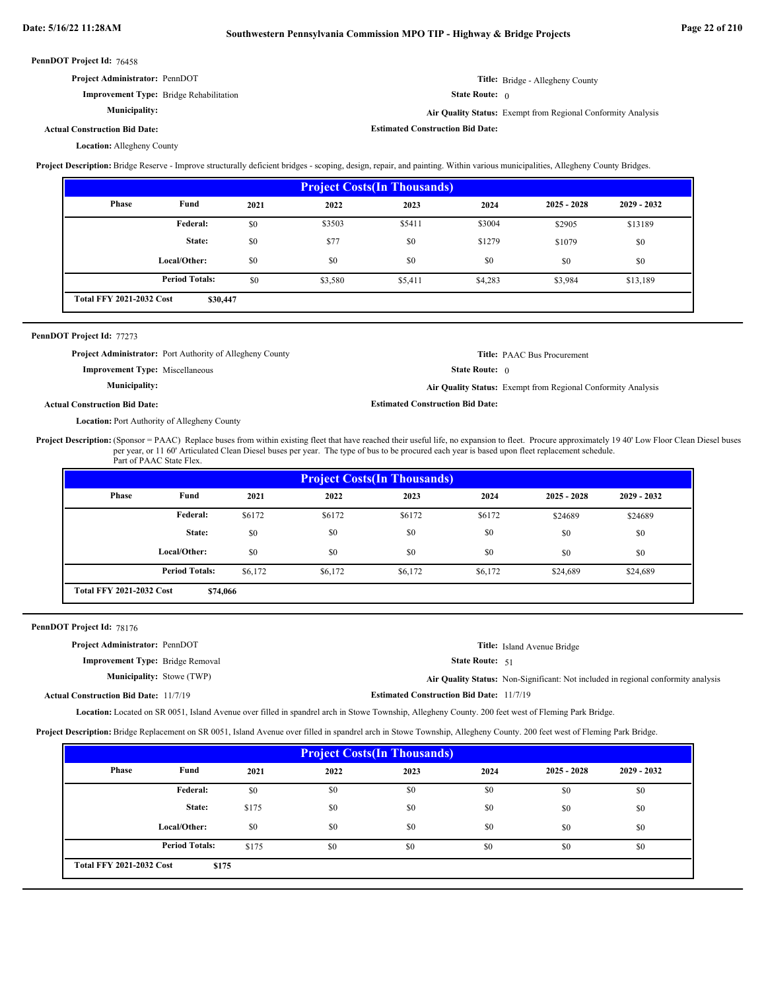**Estimated Construction Bid Date:**

| <b>PennDOT Project Id: 76458</b>               |                     |
|------------------------------------------------|---------------------|
| <b>Project Administrator: PennDOT</b>          | Title:              |
| <b>Improvement Type:</b> Bridge Rehabilitation | <b>State Route:</b> |

 0 **Air Quality Status:** Exempt from Regional Conformity Analysis

Bridge - Allegheny County

# **Actual Construction Bid Date:**

Location: Allegheny County

**Municipality:**

**Project Description:** Bridge Reserve - Improve structurally deficient bridges - scoping, design, repair, and painting. Within various municipalities, Allegheny County Bridges.

| <b>Project Costs (In Thousands)</b> |                                             |      |         |         |         |               |               |  |  |
|-------------------------------------|---------------------------------------------|------|---------|---------|---------|---------------|---------------|--|--|
| Phase                               | Fund                                        | 2021 | 2022    | 2023    | 2024    | $2025 - 2028$ | $2029 - 2032$ |  |  |
|                                     | <b>Federal:</b>                             | \$0  | \$3503  | \$5411  | \$3004  | \$2905        | \$13189       |  |  |
|                                     | State:                                      | \$0  | \$77    | \$0     | \$1279  | \$1079        | \$0           |  |  |
|                                     | Local/Other:                                | \$0  | \$0     | \$0     | \$0     | \$0           | \$0           |  |  |
|                                     | <b>Period Totals:</b>                       | \$0  | \$3,580 | \$5,411 | \$4,283 | \$3,984       | \$13,189      |  |  |
|                                     | <b>Total FFY 2021-2032 Cost</b><br>\$30,447 |      |         |         |         |               |               |  |  |

# PennDOT Project Id: 77273

**Project Administrator:** Port Authority of Allegheny County

**Improvement Type:** Miscellaneous

**Municipality:**

# State Route: 0

**Air Quality Status:** Exempt from Regional Conformity Analysis

**Title:** PAAC Bus Procurement

# **Actual Construction Bid Date:**

Location: Port Authority of Allegheny County

Project Description: (Sponsor = PAAC) Replace buses from within existing fleet that have reached their useful life, no expansion to fleet. Procure approximately 19 40' Low Floor Clean Diesel buses per year, or 11 60' Articulated Clean Diesel buses per year. The type of bus to be procured each year is based upon fleet replacement schedule. Part of PAAC State Flex.

**Estimated Construction Bid Date:**

| <b>Project Costs (In Thousands)</b> |                                             |         |         |         |         |               |               |  |  |
|-------------------------------------|---------------------------------------------|---------|---------|---------|---------|---------------|---------------|--|--|
| Phase                               | Fund                                        | 2021    | 2022    | 2023    | 2024    | $2025 - 2028$ | $2029 - 2032$ |  |  |
|                                     | <b>Federal:</b>                             | \$6172  | \$6172  | \$6172  | \$6172  | \$24689       | \$24689       |  |  |
|                                     | State:                                      | \$0     | \$0     | \$0     | \$0     | \$0           | \$0           |  |  |
|                                     | Local/Other:                                | \$0     | \$0     | \$0     | \$0     | \$0           | \$0           |  |  |
|                                     | <b>Period Totals:</b>                       | \$6.172 | \$6,172 | \$6,172 | \$6,172 | \$24,689      | \$24,689      |  |  |
|                                     | <b>Total FFY 2021-2032 Cost</b><br>\$74,066 |         |         |         |         |               |               |  |  |

# PennDOT Project Id: 78176

| <b>Air Quality Status:</b> Non-Significant: Not included in regional conformity analysis |
|------------------------------------------------------------------------------------------|
|                                                                                          |
|                                                                                          |

Location: Located on SR 0051, Island Avenue over filled in spandrel arch in Stowe Township, Allegheny County. 200 feet west of Fleming Park Bridge.

**Project Description:** Bridge Replacement on SR 0051, Island Avenue over filled in spandrel arch in Stowe Township, Allegheny County. 200 feet west of Fleming Park Bridge.

| <b>Project Costs(In Thousands)</b> |                                          |       |      |      |      |               |               |  |
|------------------------------------|------------------------------------------|-------|------|------|------|---------------|---------------|--|
| Phase                              | Fund                                     | 2021  | 2022 | 2023 | 2024 | $2025 - 2028$ | $2029 - 2032$ |  |
|                                    | Federal:                                 | \$0   | \$0  | \$0  | \$0  | \$0           | \$0           |  |
|                                    | State:                                   | \$175 | \$0  | \$0  | \$0  | \$0           | \$0           |  |
|                                    | Local/Other:                             | \$0   | \$0  | \$0  | \$0  | \$0           | \$0           |  |
|                                    | <b>Period Totals:</b>                    | \$175 | \$0  | \$0  | \$0  | \$0           | \$0           |  |
|                                    | <b>Total FFY 2021-2032 Cost</b><br>\$175 |       |      |      |      |               |               |  |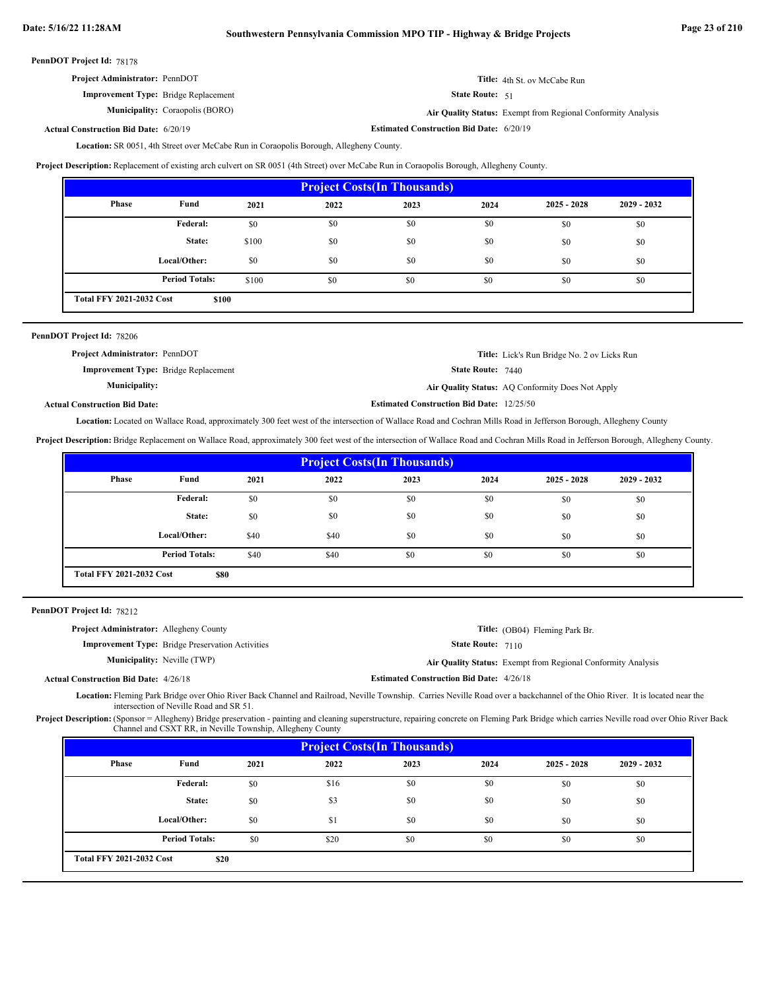# **Date: 5/16/22 11:28AM Southwestern Pennsylvania Commission MPO TIP - Highway & Bridge Projects Page 23 of 210**

PennDOT Project Id: 78178

| <b>Project Administrator: PennDOT</b> |  |
|---------------------------------------|--|
|                                       |  |

**Improvement Type:** Bridge Replacement **Municipality:** State Route: 51 **Title:** 4th St. ov McCabe Run

Coraopolis (BORO) **Air Quality Status:** Exempt from Regional Conformity Analysis

**Estimated Construction Bid Date:** 6/20/19 6/20/19 **Actual Construction Bid Date:**

Location: SR 0051, 4th Street over McCabe Run in Coraopolis Borough, Allegheny County.

**Project Description:** Replacement of existing arch culvert on SR 0051 (4th Street) over McCabe Run in Coraopolis Borough, Allegheny County.

| <b>Project Costs (In Thousands)</b>      |                       |       |      |      |      |               |               |  |
|------------------------------------------|-----------------------|-------|------|------|------|---------------|---------------|--|
| <b>Phase</b>                             | Fund                  | 2021  | 2022 | 2023 | 2024 | $2025 - 2028$ | $2029 - 2032$ |  |
|                                          | Federal:              | \$0   | \$0  | \$0  | \$0  | \$0           | \$0           |  |
|                                          | State:                | \$100 | \$0  | \$0  | \$0  | \$0           | \$0           |  |
|                                          | Local/Other:          | \$0   | \$0  | \$0  | \$0  | \$0           | \$0           |  |
|                                          | <b>Period Totals:</b> | \$100 | \$0  | \$0  | \$0  | \$0           | \$0           |  |
| <b>Total FFY 2021-2032 Cost</b><br>\$100 |                       |       |      |      |      |               |               |  |

| PennDOT Project Id: 78206                   |                                                  |                                                    |
|---------------------------------------------|--------------------------------------------------|----------------------------------------------------|
| <b>Project Administrator: PennDOT</b>       |                                                  | <b>Title:</b> Lick's Run Bridge No. 2 ov Licks Run |
| <b>Improvement Type:</b> Bridge Replacement | <b>State Route: 7440</b>                         |                                                    |
| Municipality:                               |                                                  | Air Quality Status: AQ Conformity Does Not Apply   |
| <b>Actual Construction Bid Date:</b>        | <b>Estimated Construction Bid Date: 12/25/50</b> |                                                    |

Location: Located on Wallace Road, approximately 300 feet west of the intersection of Wallace Road and Cochran Mills Road in Jefferson Borough, Allegheny County

**Project Description:** Bridge Replacement on Wallace Road, approximately 300 feet west of the intersection of Wallace Road and Cochran Mills Road in Jefferson Borough, Allegheny County.

| <b>Project Costs (In Thousands)</b> |                                         |      |      |      |      |               |               |  |
|-------------------------------------|-----------------------------------------|------|------|------|------|---------------|---------------|--|
| <b>Phase</b>                        | Fund                                    | 2021 | 2022 | 2023 | 2024 | $2025 - 2028$ | $2029 - 2032$ |  |
|                                     | Federal:                                | \$0  | \$0  | \$0  | \$0  | \$0           | \$0           |  |
|                                     | State:                                  | \$0  | \$0  | \$0  | \$0  | \$0           | \$0           |  |
|                                     | Local/Other:                            | \$40 | \$40 | \$0  | \$0  | \$0           | \$0           |  |
|                                     | <b>Period Totals:</b>                   | \$40 | \$40 | \$0  | \$0  | \$0           | \$0           |  |
|                                     | <b>Total FFY 2021-2032 Cost</b><br>\$80 |      |      |      |      |               |               |  |

| <b>PennDOT Project Id: 78212</b>               |  |
|------------------------------------------------|--|
| <b>Project Administrator:</b> Allegheny County |  |

| <b>Improvement Type:</b> Bridge Preservation Activities |
|---------------------------------------------------------|
| <b>Municipality:</b> Neville <i>(TWP)</i>               |

Neville (TWP) **Air Quality Status:** Exempt from Regional Conformity Analysis

**State Route: 7110** 

**Title:** (OB04) Fleming Park Br.

**Estimated Construction Bid Date:** 4/26/18 4/26/18 **Actual Construction Bid Date:**

Location: Fleming Park Bridge over Ohio River Back Channel and Railroad, Neville Township. Carries Neville Road over a backchannel of the Ohio River. It is located near the intersection of Neville Road and SR 51.

Project Description: (Sponsor = Allegheny) Bridge preservation - painting and cleaning superstructure, repairing concrete on Fleming Park Bridge which carries Neville road over Ohio River Back Channel and CSXT RR, in Neville Township, Allegheny County

| <b>Project Costs (In Thousands)</b>     |                       |      |      |      |      |               |               |  |
|-----------------------------------------|-----------------------|------|------|------|------|---------------|---------------|--|
| Phase                                   | Fund                  | 2021 | 2022 | 2023 | 2024 | $2025 - 2028$ | $2029 - 2032$ |  |
|                                         | Federal:              | \$0  | \$16 | \$0  | \$0  | \$0           | \$0           |  |
|                                         | State:                | \$0  | \$3  | \$0  | \$0  | \$0           | \$0           |  |
|                                         | Local/Other:          | \$0  | \$1  | \$0  | \$0  | \$0           | \$0           |  |
|                                         | <b>Period Totals:</b> | \$0  | \$20 | \$0  | \$0  | \$0           | \$0           |  |
| <b>Total FFY 2021-2032 Cost</b><br>\$20 |                       |      |      |      |      |               |               |  |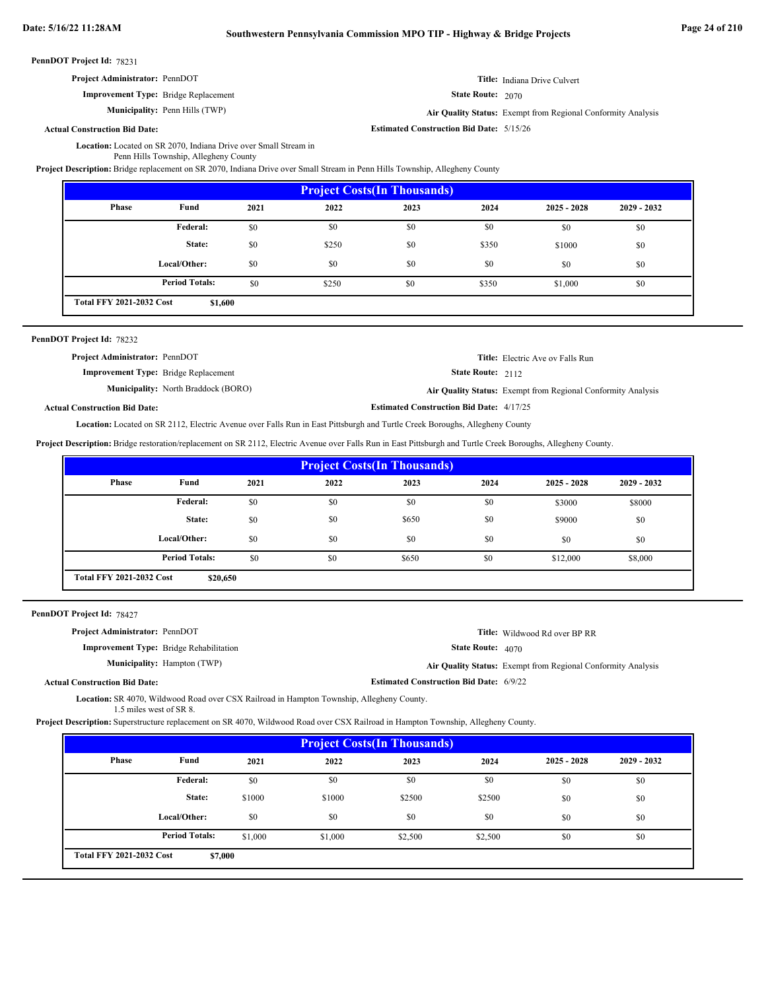**Estimated Construction Bid Date:** 5/15/26

PennDOT Project Id: 78231

| <b>Project Administrator: PennDOT</b>       | Title: Indiana Drive Culvert |
|---------------------------------------------|------------------------------|
| <b>Improvement Type:</b> Bridge Replacement | <b>State Route: 2070</b>     |

**Improvement Type:** Bridge Replacement

**Municipality:** Penn Hills (TWP) Penn Hills (TWP) **Air Quality Status:** Exempt from Regional Conformity Analysis

# **Actual Construction Bid Date:**

Location: Located on SR 2070, Indiana Drive over Small Stream in Penn Hills Township, Allegheny County

**Project Description:** Bridge replacement on SR 2070, Indiana Drive over Small Stream in Penn Hills Township, Allegheny County

| <b>Project Costs (In Thousands)</b> |                                            |      |       |      |       |               |               |  |
|-------------------------------------|--------------------------------------------|------|-------|------|-------|---------------|---------------|--|
| Phase                               | Fund                                       | 2021 | 2022  | 2023 | 2024  | $2025 - 2028$ | $2029 - 2032$ |  |
|                                     | <b>Federal:</b>                            | \$0  | \$0   | \$0  | \$0   | \$0           | \$0           |  |
|                                     | State:                                     | \$0  | \$250 | \$0  | \$350 | \$1000        | \$0           |  |
|                                     | Local/Other:                               | \$0  | \$0   | \$0  | \$0   | \$0           | \$0           |  |
|                                     | <b>Period Totals:</b>                      | \$0  | \$250 | \$0  | \$350 | \$1,000       | \$0           |  |
|                                     | <b>Total FFY 2021-2032 Cost</b><br>\$1,600 |      |       |      |       |               |               |  |

#### PennDOT Project Id: 78232

| <b>Project Administrator: PennDOT</b>       | <b>Title:</b> Electric Ave ov Falls Run                      |
|---------------------------------------------|--------------------------------------------------------------|
| <b>Improvement Type:</b> Bridge Replacement | <b>State Route:</b> $2112$                                   |
| <b>Municipality:</b> North Braddock (BORO)  | Air Quality Status: Exempt from Regional Conformity Analysis |
| al Construction Bid Date:                   | <b>Estimated Construction Bid Date: 4/17/25</b>              |

**Actual Construction Bid Date:**

Located on SR 2112, Electric Avenue over Falls Run in East Pittsburgh and Turtle Creek Boroughs, Allegheny County **Location:**

**Project Description:** Bridge restoration/replacement on SR 2112, Electric Avenue over Falls Run in East Pittsburgh and Turtle Creek Boroughs, Allegheny County.

| <b>Project Costs (In Thousands)</b>         |                       |      |      |       |      |               |               |  |
|---------------------------------------------|-----------------------|------|------|-------|------|---------------|---------------|--|
| Phase                                       | Fund                  | 2021 | 2022 | 2023  | 2024 | $2025 - 2028$ | $2029 - 2032$ |  |
|                                             | <b>Federal:</b>       | \$0  | \$0  | \$0   | \$0  | \$3000        | \$8000        |  |
|                                             | State:                | \$0  | \$0  | \$650 | \$0  | \$9000        | \$0           |  |
|                                             | Local/Other:          | \$0  | \$0  | \$0   | \$0  | \$0           | \$0           |  |
|                                             | <b>Period Totals:</b> | \$0  | \$0  | \$650 | \$0  | \$12,000      | \$8,000       |  |
| <b>Total FFY 2021-2032 Cost</b><br>\$20,650 |                       |      |      |       |      |               |               |  |

### PennDOT Project Id: 78427

| <b>Project Administrator: PennDOT</b>          | <b>Title:</b> Wildwood Rd over BP RR                         |
|------------------------------------------------|--------------------------------------------------------------|
| <b>Improvement Type:</b> Bridge Rehabilitation | <b>State Route: 4070</b>                                     |
| <b>Municipality:</b> Hampton (TWP)             | Air Quality Status: Exempt from Regional Conformity Analysis |
| <b>Actual Construction Bid Date:</b>           | <b>Estimated Construction Bid Date: 6/9/22</b>               |

Location: SR 4070, Wildwood Road over CSX Railroad in Hampton Township, Allegheny County. 1.5 miles west of SR 8.

**Project Description:** Superstructure replacement on SR 4070, Wildwood Road over CSX Railroad in Hampton Township, Allegheny County.

| <b>Project Costs (In Thousands)</b>        |                       |         |         |         |         |               |               |
|--------------------------------------------|-----------------------|---------|---------|---------|---------|---------------|---------------|
| Phase                                      | Fund                  | 2021    | 2022    | 2023    | 2024    | $2025 - 2028$ | $2029 - 2032$ |
|                                            | Federal:              | \$0     | \$0     | \$0     | \$0     | \$0           | \$0           |
|                                            | State:                | \$1000  | \$1000  | \$2500  | \$2500  | \$0           | \$0           |
|                                            | Local/Other:          | \$0     | \$0     | \$0     | \$0     | \$0           | \$0           |
|                                            | <b>Period Totals:</b> | \$1,000 | \$1,000 | \$2,500 | \$2,500 | \$0           | \$0           |
| <b>Total FFY 2021-2032 Cost</b><br>\$7,000 |                       |         |         |         |         |               |               |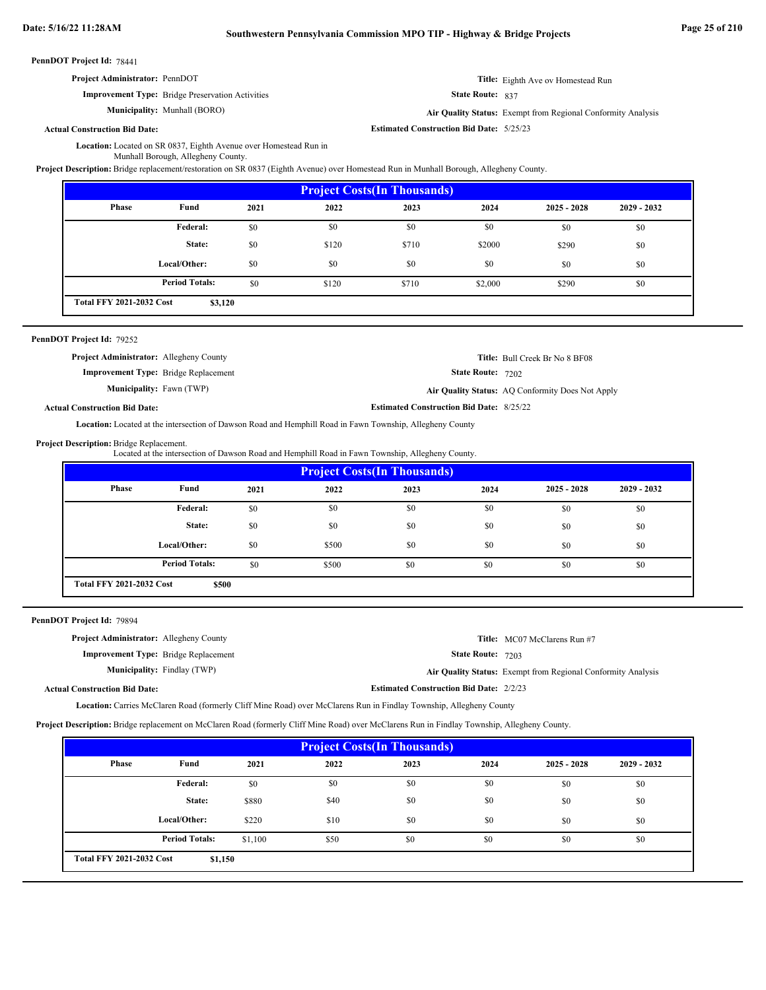**Project Administrator:** PennDOT

**Improvement Type:** Bridge Preservation Activities

**Municipality:**

State Route: 837

**Title:** Eighth Ave ov Homestead Run

Munhall (BORO) **Air Quality Status:** Exempt from Regional Conformity Analysis

**Estimated Construction Bid Date:** 5/25/23

**Actual Construction Bid Date:**

Location: Located on SR 0837, Eighth Avenue over Homestead Run in

Munhall Borough, Allegheny County.

**Project Description:** Bridge replacement/restoration on SR 0837 (Eighth Avenue) over Homestead Run in Munhall Borough, Allegheny County.

| <b>Project Costs (In Thousands)</b>        |                       |      |       |       |         |               |               |
|--------------------------------------------|-----------------------|------|-------|-------|---------|---------------|---------------|
| Phase                                      | Fund                  | 2021 | 2022  | 2023  | 2024    | $2025 - 2028$ | $2029 - 2032$ |
|                                            | Federal:              | \$0  | \$0   | \$0   | \$0     | \$0           | \$0           |
|                                            | State:                | \$0  | \$120 | \$710 | \$2000  | \$290         | \$0           |
|                                            | Local/Other:          | \$0  | \$0   | \$0   | \$0     | \$0           | \$0           |
|                                            | <b>Period Totals:</b> | \$0  | \$120 | \$710 | \$2,000 | \$290         | \$0           |
| <b>Total FFY 2021-2032 Cost</b><br>\$3,120 |                       |      |       |       |         |               |               |

|  | PennDOT Project Id: 79252 |  |
|--|---------------------------|--|
|--|---------------------------|--|

| <b>Project Administrator:</b> Allegheny County |                                                 | <b>Title:</b> Bull Creek Br No 8 BF08            |
|------------------------------------------------|-------------------------------------------------|--------------------------------------------------|
| <b>Improvement Type:</b> Bridge Replacement    | <b>State Route: 7202</b>                        |                                                  |
| <b>Municipality:</b> Fawn (TWP)                |                                                 | Air Quality Status: AQ Conformity Does Not Apply |
| <b>Actual Construction Bid Date:</b>           | <b>Estimated Construction Bid Date: 8/25/22</b> |                                                  |

**Location:** Located at the intersection of Dawson Road and Hemphill Road in Fawn Township, Allegheny County

#### Project Description: Bridge Replacement.

Located at the intersection of Dawson Road and Hemphill Road in Fawn Township, Allegheny County.

| <b>Project Costs (In Thousands)</b>      |                       |      |       |      |      |               |               |
|------------------------------------------|-----------------------|------|-------|------|------|---------------|---------------|
| Phase                                    | Fund                  | 2021 | 2022  | 2023 | 2024 | $2025 - 2028$ | $2029 - 2032$ |
|                                          | Federal:              | \$0  | \$0   | \$0  | \$0  | \$0           | \$0           |
|                                          | State:                | \$0  | \$0   | \$0  | \$0  | \$0           | \$0           |
|                                          | Local/Other:          | \$0  | \$500 | \$0  | \$0  | \$0           | \$0           |
|                                          | <b>Period Totals:</b> | \$0  | \$500 | \$0  | \$0  | \$0           | \$0           |
| <b>Total FFY 2021-2032 Cost</b><br>\$500 |                       |      |       |      |      |               |               |

PennDOT Project Id: 79894

| <b>Project Administrator:</b> Allegheny County |                                    |                                                | Title: MC07 McClarens Run #7                                 |
|------------------------------------------------|------------------------------------|------------------------------------------------|--------------------------------------------------------------|
| <b>Improvement Type:</b> Bridge Replacement    |                                    | <b>State Route: 7203</b>                       |                                                              |
|                                                | <b>Municipality:</b> Findlay (TWP) |                                                | Air Quality Status: Exempt from Regional Conformity Analysis |
| <b>Actual Construction Bid Date:</b>           |                                    | <b>Estimated Construction Bid Date: 2/2/23</b> |                                                              |

Carries McClaren Road (formerly Cliff Mine Road) over McClarens Run in Findlay Township, Allegheny County **Location:**

**Project Description:** Bridge replacement on McClaren Road (formerly Cliff Mine Road) over McClarens Run in Findlay Township, Allegheny County.

| <b>Project Costs (In Thousands)</b>        |                       |         |      |      |      |               |               |
|--------------------------------------------|-----------------------|---------|------|------|------|---------------|---------------|
| Phase                                      | Fund                  | 2021    | 2022 | 2023 | 2024 | $2025 - 2028$ | $2029 - 2032$ |
|                                            | Federal:              | \$0     | \$0  | \$0  | \$0  | \$0           | \$0           |
|                                            | State:                | \$880   | \$40 | \$0  | \$0  | \$0           | \$0           |
|                                            | Local/Other:          | \$220   | \$10 | \$0  | \$0  | \$0           | \$0           |
|                                            | <b>Period Totals:</b> | \$1,100 | \$50 | \$0  | \$0  | \$0           | \$0           |
| <b>Total FFY 2021-2032 Cost</b><br>\$1,150 |                       |         |      |      |      |               |               |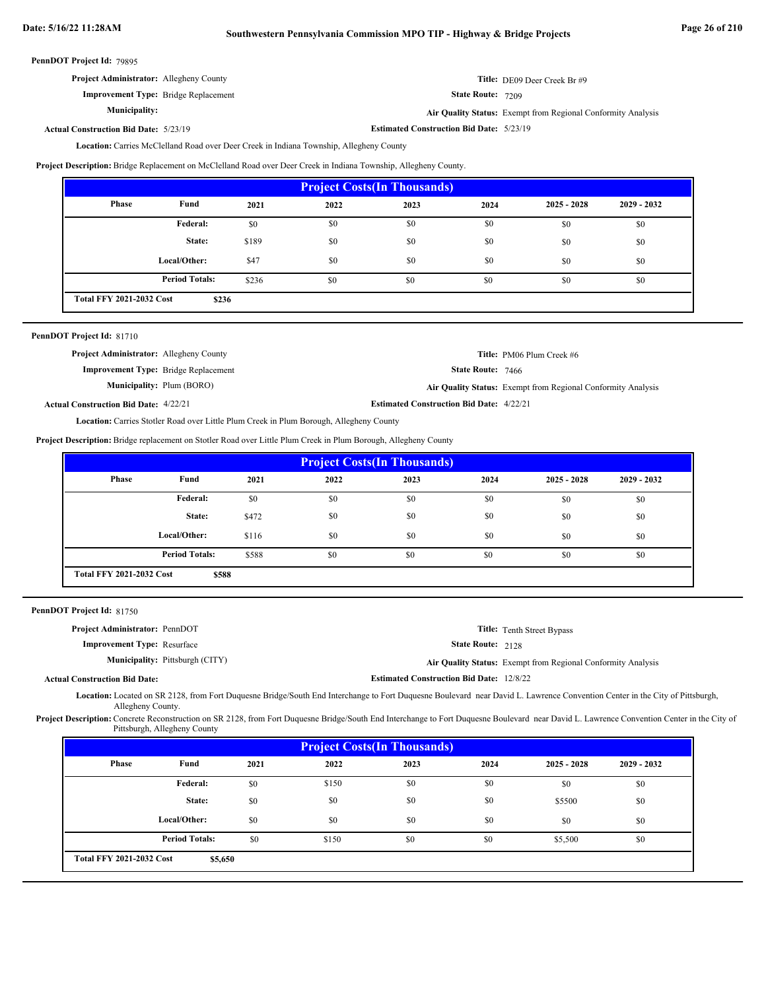# **Date: 5/16/22 11:28AM Southwestern Pennsylvania Commission MPO TIP - Highway & Bridge Projects Page 26 of 210**

|  | PennDOT Project Id: 79895 |  |
|--|---------------------------|--|
|--|---------------------------|--|

| <b>Project Administrator:</b> Allegheny County | Title: DE09 Deer Creek Br #9 |
|------------------------------------------------|------------------------------|
|------------------------------------------------|------------------------------|

State Route: 7209

**Air Quality Status:** Exempt from Regional Conformity Analysis

**Estimated Construction Bid Date:** 5/23/19 5/23/19 **Actual Construction Bid Date:**

**Municipality:**

**Improvement Type:** Bridge Replacement

Location: Carries McClelland Road over Deer Creek in Indiana Township, Allegheny County

**Project Description:** Bridge Replacement on McClelland Road over Deer Creek in Indiana Township, Allegheny County.

| <b>Project Costs (In Thousands)</b>      |                       |       |      |      |      |               |               |
|------------------------------------------|-----------------------|-------|------|------|------|---------------|---------------|
| Phase                                    | Fund                  | 2021  | 2022 | 2023 | 2024 | $2025 - 2028$ | $2029 - 2032$ |
|                                          | <b>Federal:</b>       | \$0   | \$0  | \$0  | \$0  | \$0           | \$0           |
|                                          | State:                | \$189 | \$0  | \$0  | \$0  | \$0           | \$0           |
|                                          | Local/Other:          | \$47  | \$0  | \$0  | \$0  | \$0           | \$0           |
|                                          | <b>Period Totals:</b> | \$236 | \$0  | \$0  | \$0  | \$0           | \$0           |
| <b>Total FFY 2021-2032 Cost</b><br>\$236 |                       |       |      |      |      |               |               |

# PennDOT Project Id: 81710

| <b>Project Administrator:</b> Allegheny County |                                  |                                                 | <b>Title:</b> PM06 Plum Creek #6                             |
|------------------------------------------------|----------------------------------|-------------------------------------------------|--------------------------------------------------------------|
| <b>Improvement Type:</b> Bridge Replacement    |                                  | <b>State Route: 7466</b>                        |                                                              |
|                                                | <b>Municipality:</b> Plum (BORO) |                                                 | Air Quality Status: Exempt from Regional Conformity Analysis |
| <b>Actual Construction Bid Date: 4/22/21</b>   |                                  | <b>Estimated Construction Bid Date: 4/22/21</b> |                                                              |

Location: Carries Stotler Road over Little Plum Creek in Plum Borough, Allegheny County

**Project Description:** Bridge replacement on Stotler Road over Little Plum Creek in Plum Borough, Allegheny County

| <b>Project Costs (In Thousands)</b>      |                       |       |      |      |      |               |               |
|------------------------------------------|-----------------------|-------|------|------|------|---------------|---------------|
| Phase                                    | Fund                  | 2021  | 2022 | 2023 | 2024 | $2025 - 2028$ | $2029 - 2032$ |
|                                          | Federal:              | \$0   | \$0  | \$0  | \$0  | \$0           | \$0           |
|                                          | State:                | \$472 | \$0  | \$0  | \$0  | \$0           | \$0           |
|                                          | Local/Other:          | \$116 | \$0  | \$0  | \$0  | \$0           | \$0           |
|                                          | <b>Period Totals:</b> | \$588 | \$0  | \$0  | \$0  | \$0           | \$0           |
| <b>Total FFY 2021-2032 Cost</b><br>\$588 |                       |       |      |      |      |               |               |

| PennDOT Project Id: 81750 |  |
|---------------------------|--|
|---------------------------|--|

| <b>Project Administrator: PennDOT</b> |                                        |                                                 | <b>Title:</b> Tenth Street Bypass                            |
|---------------------------------------|----------------------------------------|-------------------------------------------------|--------------------------------------------------------------|
| <b>Improvement Type: Resurface</b>    |                                        | <b>State Route: 2128</b>                        |                                                              |
|                                       | <b>Municipality:</b> Pittsburgh (CITY) |                                                 | Air Quality Status: Exempt from Regional Conformity Analysis |
| <b>Actual Construction Bid Date:</b>  |                                        | <b>Estimated Construction Bid Date: 12/8/22</b> |                                                              |

Located on SR 2128, from Fort Duquesne Bridge/South End Interchange to Fort Duquesne Boulevard near David L. Lawrence Convention Center in the City of Pittsburgh, **Location:** Allegheny County.

Project Description: Concrete Reconstruction on SR 2128, from Fort Duquesne Bridge/South End Interchange to Fort Duquesne Boulevard near David L. Lawrence Convention Center in the City of Pittsburgh, Allegheny County

| <b>Project Costs (In Thousands)</b>        |                       |      |       |      |      |               |             |
|--------------------------------------------|-----------------------|------|-------|------|------|---------------|-------------|
| <b>Phase</b>                               | Fund                  | 2021 | 2022  | 2023 | 2024 | $2025 - 2028$ | 2029 - 2032 |
|                                            | Federal:              | \$0  | \$150 | \$0  | \$0  | \$0           | \$0         |
|                                            | State:                | \$0  | \$0   | \$0  | \$0  | \$5500        | \$0         |
|                                            | Local/Other:          | \$0  | \$0   | \$0  | \$0  | \$0           | \$0         |
|                                            | <b>Period Totals:</b> | \$0  | \$150 | \$0  | \$0  | \$5,500       | \$0         |
| <b>Total FFY 2021-2032 Cost</b><br>\$5,650 |                       |      |       |      |      |               |             |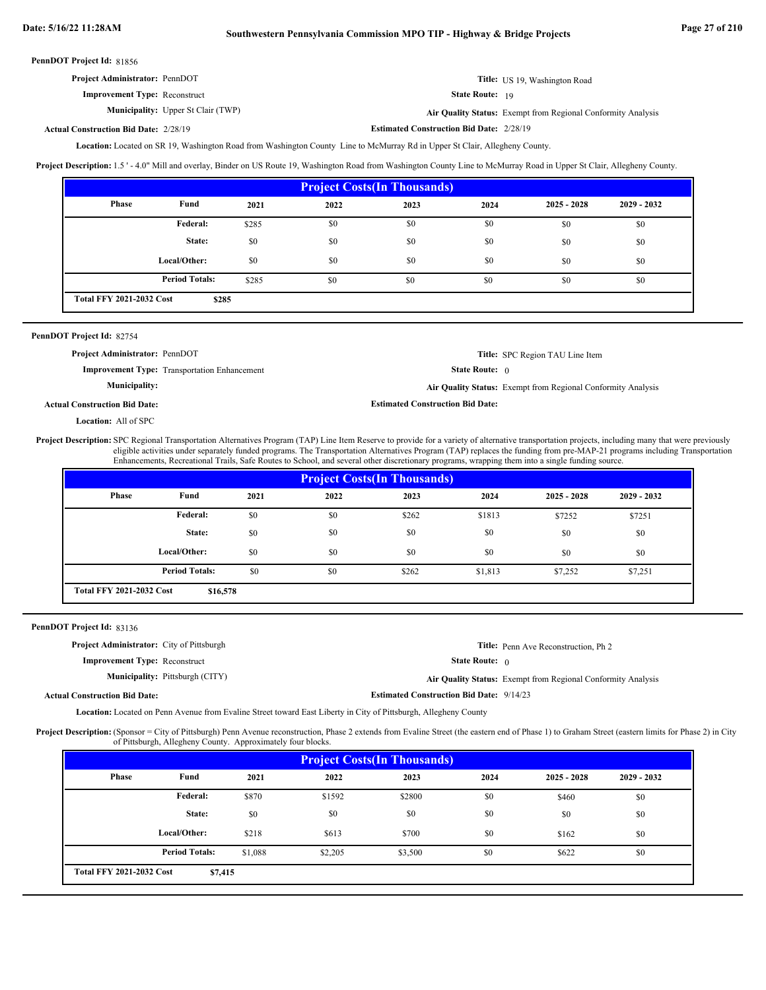| Project Administrator: PennDOT       | Title: US 19, Washington Road |
|--------------------------------------|-------------------------------|
| <b>Improvement Type: Reconstruct</b> | <b>State Route: 19</b>        |

**Municipality:** Upper St Clair (TWP) **Air Quality Status:** 

**Actual Construction Bid Date:**

**Estimated Construction Bid Date:** 2/28/19 2/28/19

Air Quality Status: Exempt from Regional Conformity Analysis

Located on SR 19, Washington Road from Washington County Line to McMurray Rd in Upper St Clair, Allegheny County. **Location:**

**Project Description:** 1.5 ' - 4.0" Mill and overlay, Binder on US Route 19, Washington Road from Washington County Line to McMurray Road in Upper St Clair, Allegheny County.

| <b>Project Costs (In Thousands)</b>      |                       |       |      |      |      |               |               |
|------------------------------------------|-----------------------|-------|------|------|------|---------------|---------------|
| <b>Phase</b>                             | Fund                  | 2021  | 2022 | 2023 | 2024 | $2025 - 2028$ | $2029 - 2032$ |
|                                          | Federal:              | \$285 | \$0  | \$0  | \$0  | \$0           | \$0           |
|                                          | State:                | \$0   | \$0  | \$0  | \$0  | \$0           | \$0           |
|                                          | Local/Other:          | \$0   | \$0  | \$0  | \$0  | \$0           | \$0           |
|                                          | <b>Period Totals:</b> | \$285 | \$0  | \$0  | \$0  | \$0           | \$0           |
| <b>Total FFY 2021-2032 Cost</b><br>\$285 |                       |       |      |      |      |               |               |

# PennDOT Project Id: 82754

State Route: 0 **Title:** SPC Region TAU Line Item **Improvement Type:** Transportation Enhancement **Estimated Construction Bid Date: Actual Construction Bid Date: Municipality: Air Quality Status:** Exempt from Regional Conformity Analysis **Project Administrator:** PennDOT

Location: All of SPC

Project Description: SPC Regional Transportation Alternatives Program (TAP) Line Item Reserve to provide for a variety of alternative transportation projects, including many that were previously eligible activities under separately funded programs. The Transportation Alternatives Program (TAP) replaces the funding from pre-MAP-21 programs including Transportation Enhancements, Recreational Trails, Safe Routes to School, and several other discretionary programs, wrapping them into a single funding source.

| <b>Project Costs (In Thousands)</b>         |                       |      |      |       |         |               |               |
|---------------------------------------------|-----------------------|------|------|-------|---------|---------------|---------------|
| <b>Phase</b>                                | Fund                  | 2021 | 2022 | 2023  | 2024    | $2025 - 2028$ | $2029 - 2032$ |
|                                             | <b>Federal:</b>       | \$0  | \$0  | \$262 | \$1813  | \$7252        | \$7251        |
|                                             | State:                | \$0  | \$0  | \$0   | \$0     | \$0           | \$0           |
|                                             | Local/Other:          | \$0  | \$0  | \$0   | \$0     | \$0           | \$0           |
|                                             | <b>Period Totals:</b> | \$0  | \$0  | \$262 | \$1,813 | \$7,252       | \$7,251       |
| <b>Total FFY 2021-2032 Cost</b><br>\$16,578 |                       |      |      |       |         |               |               |

## PennDOT Project Id: 83136

| <b>Project Administrator:</b> City of Pittsburgh |                                                 | <b>Title:</b> Penn Ave Reconstruction. Ph 2                  |
|--------------------------------------------------|-------------------------------------------------|--------------------------------------------------------------|
| <b>Improvement Type: Reconstruct</b>             | <b>State Route:</b> $\theta$                    |                                                              |
| <b>Municipality:</b> Pittsburgh (CITY)           |                                                 | Air Quality Status: Exempt from Regional Conformity Analysis |
| <b>Actual Construction Bid Date:</b>             | <b>Estimated Construction Bid Date: 9/14/23</b> |                                                              |

Location: Located on Penn Avenue from Evaline Street toward East Liberty in City of Pittsburgh, Allegheny County

Project Description: (Sponsor = City of Pittsburgh) Penn Avenue reconstruction, Phase 2 extends from Evaline Street (the eastern end of Phase 1) to Graham Street (eastern limits for Phase 2) in City of Pittsburgh, Allegheny County. Approximately four blocks.

| <b>Project Costs (In Thousands)</b>        |                       |         |         |         |      |               |               |
|--------------------------------------------|-----------------------|---------|---------|---------|------|---------------|---------------|
| Phase                                      | Fund                  | 2021    | 2022    | 2023    | 2024 | $2025 - 2028$ | $2029 - 2032$ |
|                                            | Federal:              | \$870   | \$1592  | \$2800  | \$0  | \$460         | \$0           |
|                                            | State:                | \$0     | \$0     | \$0     | \$0  | \$0           | \$0           |
|                                            | Local/Other:          | \$218   | \$613   | \$700   | \$0  | \$162         | \$0           |
|                                            | <b>Period Totals:</b> | \$1,088 | \$2,205 | \$3,500 | \$0  | \$622         | \$0           |
| <b>Total FFY 2021-2032 Cost</b><br>\$7,415 |                       |         |         |         |      |               |               |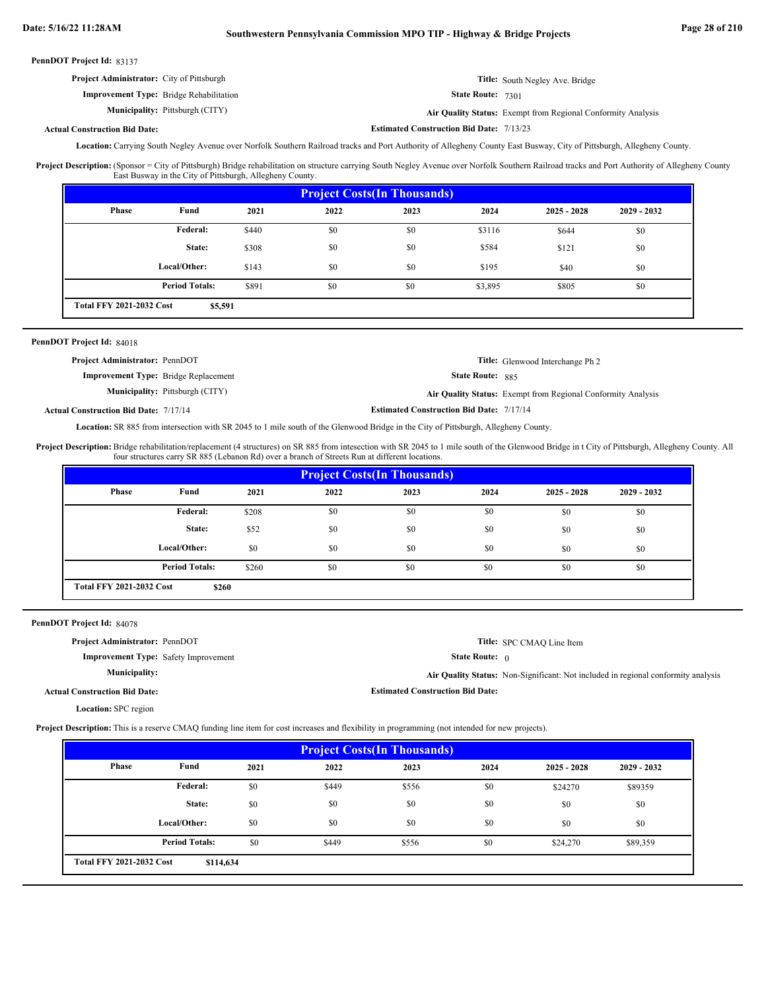| PennDOT Project Id: 83137 |  |
|---------------------------|--|
|---------------------------|--|

| <b>Project Administrator:</b> City of Pittsburgh | <b>Title:</b> South Negley Ave. Bridge                       |
|--------------------------------------------------|--------------------------------------------------------------|
| <b>Improvement Type:</b> Bridge Rehabilitation   | <b>State Route: 7301</b>                                     |
| <b>Municipality:</b> Pittsburgh (CITY)           | Air Quality Status: Exempt from Regional Conformity Analysis |

#### **Actual Construction Bid Date:**

Location: Carrying South Negley Avenue over Norfolk Southern Railroad tracks and Port Authority of Allegheny County East Busway, City of Pittsburgh, Allegheny County.

**Estimated Construction Bid Date:** 7/13/23

(Sponsor = City of Pittsburgh) Bridge rehabilitation on structure carrying South Negley Avenue over Norfolk Southern Railroad tracks and Port Authority of Allegheny County East Busway in the City of Pittsburgh, Allegheny County. **Project Description:**

| <b>Project Costs (In Thousands)</b>        |                       |       |      |      |         |               |               |
|--------------------------------------------|-----------------------|-------|------|------|---------|---------------|---------------|
| Phase                                      | Fund                  | 2021  | 2022 | 2023 | 2024    | $2025 - 2028$ | $2029 - 2032$ |
|                                            | Federal:              | \$440 | \$0  | \$0  | \$3116  | \$644         | \$0           |
|                                            | State:                | \$308 | \$0  | \$0  | \$584   | \$121         | \$0           |
|                                            | Local/Other:          | \$143 | \$0  | \$0  | \$195   | \$40          | \$0           |
|                                            | <b>Period Totals:</b> | \$891 | \$0  | \$0  | \$3,895 | \$805         | \$0           |
| <b>Total FFY 2021-2032 Cost</b><br>\$5,591 |                       |       |      |      |         |               |               |

## PennDOT Project Id: 84018

| <b>Project Administrator: PennDOT</b>        |                                        |                                                 | <b>Title:</b> Glenwood Interchange Ph 2                      |
|----------------------------------------------|----------------------------------------|-------------------------------------------------|--------------------------------------------------------------|
| <b>Improvement Type:</b> Bridge Replacement  |                                        | <b>State Route: 885</b>                         |                                                              |
|                                              | <b>Municipality:</b> Pittsburgh (CITY) |                                                 | Air Quality Status: Exempt from Regional Conformity Analysis |
| <b>Actual Construction Bid Date: 7/17/14</b> |                                        | <b>Estimated Construction Bid Date: 7/17/14</b> |                                                              |

Location: SR 885 from intersection with SR 2045 to 1 mile south of the Glenwood Bridge in the City of Pittsburgh, Allegheny County.

Bridge rehabilitation/replacement (4 structures) on SR 885 from intesection with SR 2045 to 1 mile south of the Glenwood Bridge in t City of Pittsburgh, Allegheny County. All four structures carry SR 885 (Lebanon Rd) over a branch of Streets Run at different locations. **Project Description:**

| <b>Project Costs (In Thousands)</b>      |                       |       |      |      |      |               |               |  |
|------------------------------------------|-----------------------|-------|------|------|------|---------------|---------------|--|
| <b>Phase</b>                             | Fund                  | 2021  | 2022 | 2023 | 2024 | $2025 - 2028$ | $2029 - 2032$ |  |
|                                          | Federal:              | \$208 | \$0  | \$0  | \$0  | \$0           | \$0           |  |
|                                          | State:                | \$52  | \$0  | \$0  | \$0  | \$0           | \$0           |  |
|                                          | Local/Other:          | \$0   | \$0  | \$0  | \$0  | \$0           | \$0           |  |
|                                          | <b>Period Totals:</b> | \$260 | \$0  | \$0  | \$0  | \$0           | \$0           |  |
| <b>Total FFY 2021-2032 Cost</b><br>\$260 |                       |       |      |      |      |               |               |  |

PennDOT Project Id: 84078

| <b>Project Administrator: PennDOT</b>       |                                         | Title: SPC CMAQ Line Item                                                                |
|---------------------------------------------|-----------------------------------------|------------------------------------------------------------------------------------------|
|                                             |                                         |                                                                                          |
| <b>Improvement Type:</b> Safety Improvement | <b>State Route:</b> $\theta$            |                                                                                          |
| <b>Municipality:</b>                        |                                         | <b>Air Quality Status:</b> Non-Significant: Not included in regional conformity analysis |
| Actual Construction Bid Date:               | <b>Estimated Construction Bid Date:</b> |                                                                                          |
| <b>Location:</b> SPC region                 |                                         |                                                                                          |

**Project Description:** This is a reserve CMAQ funding line item for cost increases and flexibility in programming (not intended for new projects).

| <b>Project Costs (In Thousands)</b>          |                       |      |       |       |      |               |               |  |
|----------------------------------------------|-----------------------|------|-------|-------|------|---------------|---------------|--|
| Phase                                        | Fund                  | 2021 | 2022  | 2023  | 2024 | $2025 - 2028$ | $2029 - 2032$ |  |
|                                              | Federal:              | \$0  | \$449 | \$556 | \$0  | \$24270       | \$89359       |  |
|                                              | State:                | \$0  | \$0   | \$0   | \$0  | \$0           | \$0           |  |
|                                              | Local/Other:          | \$0  | \$0   | \$0   | \$0  | \$0           | \$0           |  |
|                                              | <b>Period Totals:</b> | \$0  | \$449 | \$556 | \$0  | \$24,270      | \$89,359      |  |
| <b>Total FFY 2021-2032 Cost</b><br>\$114,634 |                       |      |       |       |      |               |               |  |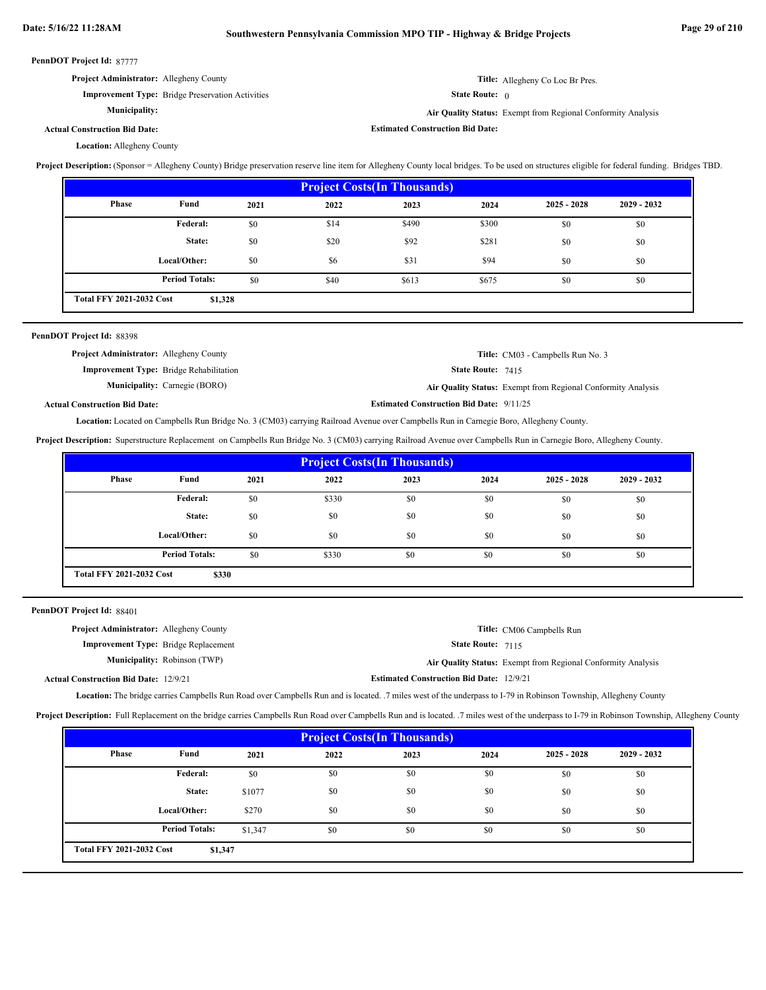| PennDOT Project Id: 87777                                                                                                                                                                       |                                                         |      |      |                                         |                              |                                                              |             |  |
|-------------------------------------------------------------------------------------------------------------------------------------------------------------------------------------------------|---------------------------------------------------------|------|------|-----------------------------------------|------------------------------|--------------------------------------------------------------|-------------|--|
|                                                                                                                                                                                                 | Project Administrator: Allegheny County                 |      |      |                                         |                              | Title: Allegheny Co Loc Br Pres.                             |             |  |
|                                                                                                                                                                                                 | <b>Improvement Type:</b> Bridge Preservation Activities |      |      |                                         | <b>State Route:</b> $\theta$ |                                                              |             |  |
| <b>Municipality:</b>                                                                                                                                                                            |                                                         |      |      |                                         |                              | Air Quality Status: Exempt from Regional Conformity Analysis |             |  |
| <b>Actual Construction Bid Date:</b>                                                                                                                                                            |                                                         |      |      | <b>Estimated Construction Bid Date:</b> |                              |                                                              |             |  |
| <b>Location:</b> Allegheny County                                                                                                                                                               |                                                         |      |      |                                         |                              |                                                              |             |  |
| Project Description: (Sponsor = Allegheny County) Bridge preservation reserve line item for Allegheny County local bridges. To be used on structures eligible for federal funding. Bridges TBD. |                                                         |      |      |                                         |                              |                                                              |             |  |
|                                                                                                                                                                                                 |                                                         |      |      | <b>Project Costs (In Thousands)</b>     |                              |                                                              |             |  |
| Phase                                                                                                                                                                                           | Fund                                                    | 2021 | 2022 | 2023                                    | 2024                         | $2025 - 2028$                                                | 2029 - 2032 |  |
|                                                                                                                                                                                                 | Federal:                                                | \$0  | \$14 | \$490                                   | \$300                        | \$0                                                          | \$0         |  |
|                                                                                                                                                                                                 | State:                                                  | \$0  | \$20 | \$92                                    | \$281                        | \$0                                                          | \$0         |  |
|                                                                                                                                                                                                 | Local/Other:                                            | \$0  | \$6  | \$31                                    | \$94                         | \$0                                                          | \$0         |  |
|                                                                                                                                                                                                 | <b>Period Totals:</b>                                   | \$0  | \$40 | \$613                                   | \$675                        | \$0                                                          | \$0         |  |
| <b>Total FFY 2021-2032 Cost</b>                                                                                                                                                                 | \$1,328                                                 |      |      |                                         |                              |                                                              |             |  |
|                                                                                                                                                                                                 |                                                         |      |      |                                         |                              |                                                              |             |  |
| PennDOT Project Id: 88398                                                                                                                                                                       |                                                         |      |      |                                         |                              |                                                              |             |  |
|                                                                                                                                                                                                 | Project Administrator: Allegheny County                 |      |      |                                         |                              | Title: CM03 - Campbells Run No. 3                            |             |  |
| Improvement Type: Bridge Rehabilitation<br>State Route: 7415                                                                                                                                    |                                                         |      |      |                                         |                              |                                                              |             |  |

**Municipality:**

Carnegie (BORO) **Air Quality Status:** Exempt from Regional Conformity Analysis

**Estimated Construction Bid Date:** 9/11/25

**Actual Construction Bid Date:**

Location: Located on Campbells Run Bridge No. 3 (CM03) carrying Railroad Avenue over Campbells Run in Carnegie Boro, Allegheny County.

**Project Description:** Superstructure Replacement on Campbells Run Bridge No. 3 (CM03) carrying Railroad Avenue over Campbells Run in Carnegie Boro, Allegheny County.

| <b>Project Costs (In Thousands)</b> |                                          |      |       |      |      |               |               |
|-------------------------------------|------------------------------------------|------|-------|------|------|---------------|---------------|
| Phase                               | Fund                                     | 2021 | 2022  | 2023 | 2024 | $2025 - 2028$ | $2029 - 2032$ |
|                                     | Federal:                                 | \$0  | \$330 | \$0  | \$0  | \$0           | \$0           |
|                                     | State:                                   | \$0  | \$0   | \$0  | \$0  | \$0           | \$0           |
|                                     | Local/Other:                             | \$0  | \$0   | \$0  | \$0  | \$0           | \$0           |
|                                     | <b>Period Totals:</b>                    | \$0  | \$330 | \$0  | \$0  | \$0           | \$0           |
|                                     | <b>Total FFY 2021-2032 Cost</b><br>\$330 |      |       |      |      |               |               |

PennDOT Project Id: 88401

| <b>Project Administrator:</b> Allegheny County |                                     |                                                 | Title: CM06 Campbells Run                                    |
|------------------------------------------------|-------------------------------------|-------------------------------------------------|--------------------------------------------------------------|
| <b>Improvement Type:</b> Bridge Replacement    |                                     | <b>State Route: 7115</b>                        |                                                              |
|                                                | <b>Municipality:</b> Robinson (TWP) |                                                 | Air Quality Status: Exempt from Regional Conformity Analysis |
| <b>Actual Construction Bid Date: 12/9/21</b>   |                                     | <b>Estimated Construction Bid Date: 12/9/21</b> |                                                              |

Location: The bridge carries Campbells Run Road over Campbells Run and is located. 7 miles west of the underpass to I-79 in Robinson Township, Allegheny County

Project Description: Full Replacement on the bridge carries Campbells Run Road over Campbells Run and is located. .7 miles west of the underpass to I-79 in Robinson Township, Allegheny County

| <b>Project Costs (In Thousands)</b> |                                            |         |      |      |      |               |               |  |
|-------------------------------------|--------------------------------------------|---------|------|------|------|---------------|---------------|--|
| Phase                               | Fund                                       | 2021    | 2022 | 2023 | 2024 | $2025 - 2028$ | $2029 - 2032$ |  |
|                                     | Federal:                                   | \$0     | \$0  | \$0  | \$0  | \$0           | \$0           |  |
|                                     | State:                                     | \$1077  | \$0  | \$0  | \$0  | \$0           | \$0           |  |
|                                     | Local/Other:                               | \$270   | \$0  | \$0  | \$0  | \$0           | \$0           |  |
|                                     | <b>Period Totals:</b>                      | \$1,347 | \$0  | \$0  | \$0  | \$0           | \$0           |  |
|                                     | <b>Total FFY 2021-2032 Cost</b><br>\$1,347 |         |      |      |      |               |               |  |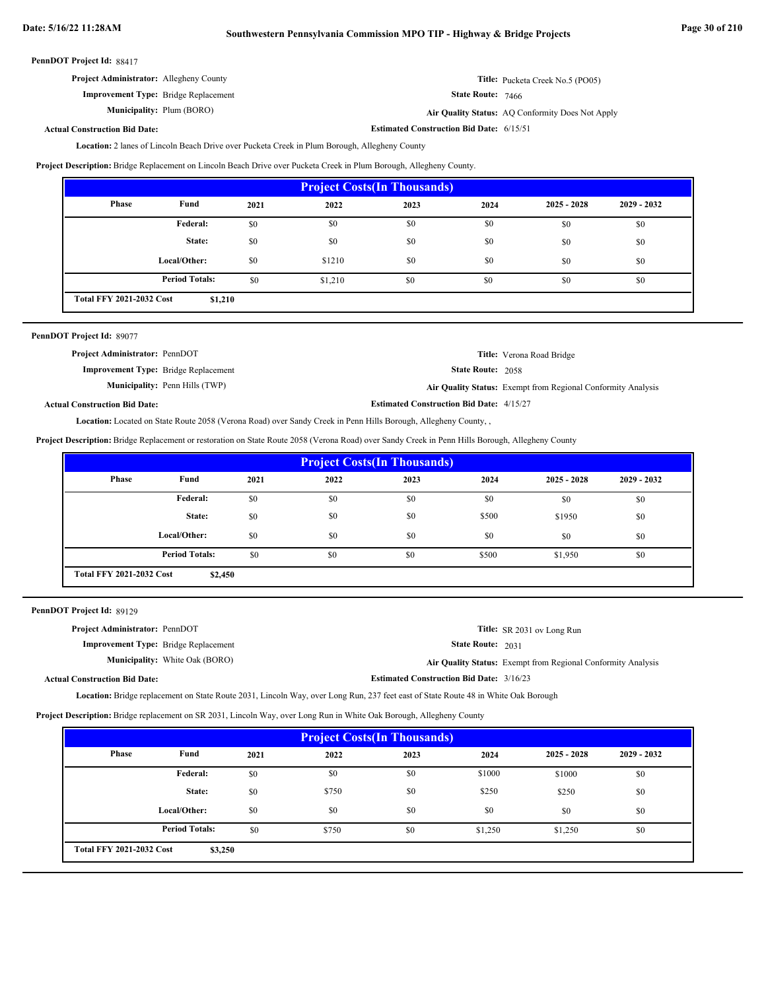| <b>Project Administrator:</b> Allegheny County | <b>Title:</b> Pucketa Creek No.5 (PO05) |
|------------------------------------------------|-----------------------------------------|
| <b>Improvement Type:</b> Bridge Replacement    | <b>State Route: 7466</b>                |

Plum (BORO) **Air Quality Status:** AQ Conformity Does Not Apply

**Estimated Construction Bid Date:** 6/15/51

# **Actual Construction Bid Date:**

**Municipality:**

2 lanes of Lincoln Beach Drive over Pucketa Creek in Plum Borough, Allegheny County **Location:**

**Project Description:** Bridge Replacement on Lincoln Beach Drive over Pucketa Creek in Plum Borough, Allegheny County.

| <b>Project Costs (In Thousands)</b> |                                            |      |         |      |      |               |               |  |
|-------------------------------------|--------------------------------------------|------|---------|------|------|---------------|---------------|--|
| Phase                               | Fund                                       | 2021 | 2022    | 2023 | 2024 | $2025 - 2028$ | $2029 - 2032$ |  |
|                                     | <b>Federal:</b>                            | \$0  | \$0     | \$0  | \$0  | \$0           | \$0           |  |
|                                     | State:                                     | \$0  | \$0     | \$0  | \$0  | \$0           | \$0           |  |
|                                     | Local/Other:                               | \$0  | \$1210  | \$0  | \$0  | \$0           | \$0           |  |
|                                     | <b>Period Totals:</b>                      | \$0  | \$1,210 | \$0  | \$0  | \$0           | \$0           |  |
|                                     | <b>Total FFY 2021-2032 Cost</b><br>\$1,210 |      |         |      |      |               |               |  |

| PennDOT Project Id: 89077                   |                                       |                                                 |                                                              |
|---------------------------------------------|---------------------------------------|-------------------------------------------------|--------------------------------------------------------------|
| <b>Project Administrator: PennDOT</b>       |                                       |                                                 | Title: Verona Road Bridge                                    |
| <b>Improvement Type:</b> Bridge Replacement |                                       | <b>State Route: 2058</b>                        |                                                              |
|                                             | <b>Municipality:</b> Penn Hills (TWP) |                                                 | Air Quality Status: Exempt from Regional Conformity Analysis |
| <b>Actual Construction Bid Date:</b>        |                                       | <b>Estimated Construction Bid Date: 4/15/27</b> |                                                              |

Location: Located on State Route 2058 (Verona Road) over Sandy Creek in Penn Hills Borough, Allegheny County, ,

**Project Description:** Bridge Replacement or restoration on State Route 2058 (Verona Road) over Sandy Creek in Penn Hills Borough, Allegheny County

| <b>Project Costs (In Thousands)</b>        |                                                    |      |      |      |       |               |               |
|--------------------------------------------|----------------------------------------------------|------|------|------|-------|---------------|---------------|
| Phase                                      | Fund                                               | 2021 | 2022 | 2023 | 2024  | $2025 - 2028$ | $2029 - 2032$ |
|                                            | Federal:<br>\$0<br>\$0<br>\$0<br>\$0<br>\$0<br>\$0 |      |      |      |       |               |               |
|                                            | State:                                             | \$0  | \$0  | \$0  | \$500 | \$1950        | \$0           |
|                                            | Local/Other:                                       | \$0  | \$0  | \$0  | \$0   | \$0           | \$0           |
|                                            | <b>Period Totals:</b>                              | \$0  | \$0  | \$0  | \$500 | \$1,950       | \$0           |
| <b>Total FFY 2021-2032 Cost</b><br>\$2,450 |                                                    |      |      |      |       |               |               |

PennDOT Project Id: 89129

| <b>Project Administrator: PennDOT</b>       |                                                 | <b>Title:</b> SR 2031 ov Long Run                            |
|---------------------------------------------|-------------------------------------------------|--------------------------------------------------------------|
| <b>Improvement Type:</b> Bridge Replacement | <b>State Route: 2031</b>                        |                                                              |
| <b>Municipality:</b> White Oak (BORO)       |                                                 | Air Quality Status: Exempt from Regional Conformity Analysis |
| <b>Actual Construction Bid Date:</b>        | <b>Estimated Construction Bid Date: 3/16/23</b> |                                                              |

Location: Bridge replacement on State Route 2031, Lincoln Way, over Long Run, 237 feet east of State Route 48 in White Oak Borough

**Project Description:** Bridge replacement on SR 2031, Lincoln Way, over Long Run in White Oak Borough, Allegheny County

| <b>Project Costs (In Thousands)</b>        |                       |      |       |      |         |               |               |  |
|--------------------------------------------|-----------------------|------|-------|------|---------|---------------|---------------|--|
| Phase                                      | Fund                  | 2021 | 2022  | 2023 | 2024    | $2025 - 2028$ | $2029 - 2032$ |  |
|                                            | <b>Federal:</b>       | \$0  | \$0   | \$0  | \$1000  | \$1000        | \$0           |  |
|                                            | State:                | \$0  | \$750 | \$0  | \$250   | \$250         | \$0           |  |
|                                            | Local/Other:          | \$0  | \$0   | \$0  | \$0     | \$0           | \$0           |  |
|                                            | <b>Period Totals:</b> | \$0  | \$750 | \$0  | \$1,250 | \$1,250       | \$0           |  |
| <b>Total FFY 2021-2032 Cost</b><br>\$3,250 |                       |      |       |      |         |               |               |  |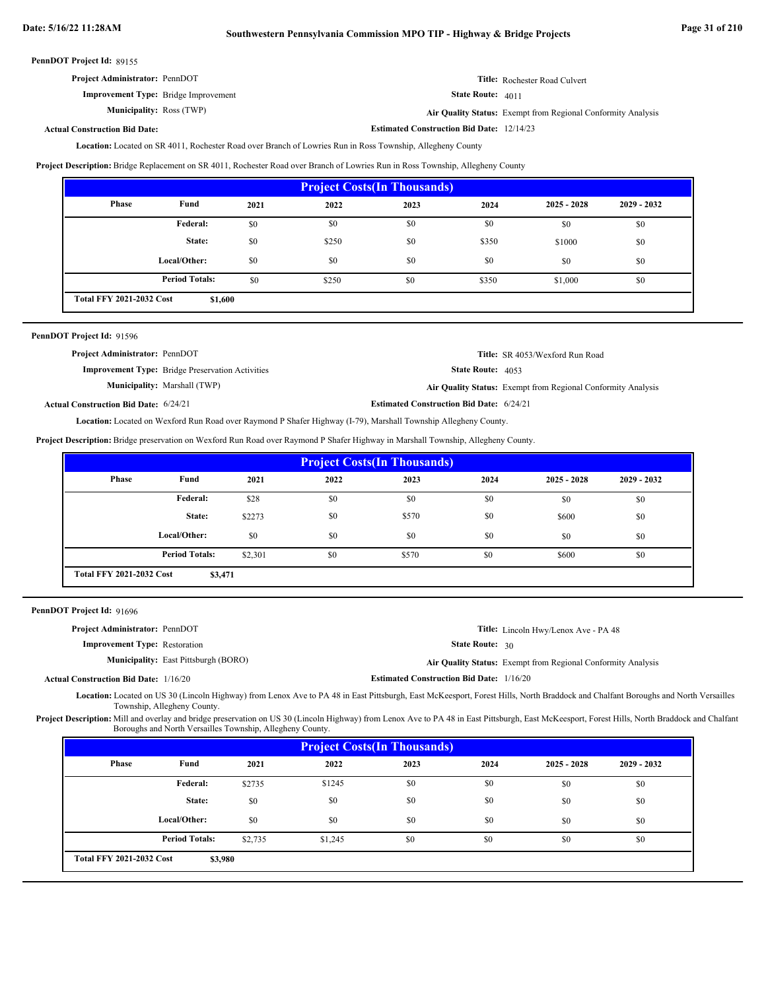**Estimated Construction Bid Date:** 12/14/23

PennDOT Project Id: 89155

| <b>Project Administrator: PennDOT</b>       | <b>Title:</b> Rochester Road Culvert                         |
|---------------------------------------------|--------------------------------------------------------------|
| <b>Improvement Type:</b> Bridge Improvement | <b>State Route:</b> $4011$                                   |
| <b>Municipality: Ross (TWP)</b>             | Air Quality Status: Exempt from Regional Conformity Analysis |

# **Actual Construction Bid Date:**

Location: Located on SR 4011, Rochester Road over Branch of Lowries Run in Ross Township, Allegheny County

**Project Description:** Bridge Replacement on SR 4011, Rochester Road over Branch of Lowries Run in Ross Township, Allegheny County

| <b>Project Costs (In Thousands)</b>        |                       |      |       |      |       |               |               |  |
|--------------------------------------------|-----------------------|------|-------|------|-------|---------------|---------------|--|
| Phase                                      | Fund                  | 2021 | 2022  | 2023 | 2024  | $2025 - 2028$ | $2029 - 2032$ |  |
|                                            | Federal:              | \$0  | \$0   | \$0  | \$0   | \$0           | \$0           |  |
|                                            | State:                | \$0  | \$250 | \$0  | \$350 | \$1000        | \$0           |  |
|                                            | Local/Other:          | \$0  | \$0   | \$0  | \$0   | \$0           | \$0           |  |
|                                            | <b>Period Totals:</b> | \$0  | \$250 | \$0  | \$350 | \$1,000       | \$0           |  |
| <b>Total FFY 2021-2032 Cost</b><br>\$1,600 |                       |      |       |      |       |               |               |  |

| PennDOT Project Id: 91596                    |                                                         |                                                 |                                                              |
|----------------------------------------------|---------------------------------------------------------|-------------------------------------------------|--------------------------------------------------------------|
| <b>Project Administrator: PennDOT</b>        |                                                         |                                                 | <b>Title:</b> SR 4053/Wexford Run Road                       |
|                                              | <b>Improvement Type:</b> Bridge Preservation Activities | <b>State Route: 4053</b>                        |                                                              |
|                                              | <b>Municipality:</b> Marshall (TWP)                     |                                                 | Air Quality Status: Exempt from Regional Conformity Analysis |
| <b>Actual Construction Bid Date: 6/24/21</b> |                                                         | <b>Estimated Construction Bid Date: 6/24/21</b> |                                                              |

Located on Wexford Run Road over Raymond P Shafer Highway (I-79), Marshall Township Allegheny County. **Location:**

**Project Description:** Bridge preservation on Wexford Run Road over Raymond P Shafer Highway in Marshall Township, Allegheny County.

| <b>Project Costs (In Thousands)</b>        |                       |         |      |       |      |               |               |
|--------------------------------------------|-----------------------|---------|------|-------|------|---------------|---------------|
| <b>Phase</b>                               | Fund                  | 2021    | 2022 | 2023  | 2024 | $2025 - 2028$ | $2029 - 2032$ |
|                                            | Federal:              | \$28    | \$0  | \$0   | \$0  | \$0           | \$0           |
|                                            | State:                | \$2273  | \$0  | \$570 | \$0  | \$600         | \$0           |
|                                            | Local/Other:          | \$0     | \$0  | \$0   | \$0  | \$0           | \$0           |
|                                            | <b>Period Totals:</b> | \$2,301 | \$0  | \$570 | \$0  | \$600         | \$0           |
| <b>Total FFY 2021-2032 Cost</b><br>\$3,471 |                       |         |      |       |      |               |               |

PennDOT Project Id: 91696

Actual

| <b>Project Administrator: PennDOT</b>       | <b>Title:</b> Lincoln Hwy/Lenox Ave - PA 48                                 |
|---------------------------------------------|-----------------------------------------------------------------------------|
| <b>Improvement Type: Restoration</b>        |                                                                             |
| <b>Municipality:</b> East Pittsburgh (BORO) | <b>Air Quality Status:</b> Exempt from Regional Conformity Analysis         |
| <b>Construction Bid Date: 1/16/20</b>       |                                                                             |
|                                             | <b>State Route:</b> $30$<br><b>Estimated Construction Bid Date: 1/16/20</b> |

Located on US 30 (Lincoln Highway) from Lenox Ave to PA 48 in East Pittsburgh, East McKeesport, Forest Hills, North Braddock and Chalfant Boroughs and North Versailles **Location:** Township, Allegheny County.

Mill and overlay and bridge preservation on US 30 (Lincoln Highway) from Lenox Ave to PA 48 in East Pittsburgh, East McKeesport, Forest Hills, North Braddock and Chalfant Boroughs and North Versailles Township, Allegheny County. **Project Description:**

| <b>Project Costs (In Thousands)</b>        |                       |         |         |      |      |               |               |
|--------------------------------------------|-----------------------|---------|---------|------|------|---------------|---------------|
| Phase                                      | Fund                  | 2021    | 2022    | 2023 | 2024 | $2025 - 2028$ | $2029 - 2032$ |
|                                            | <b>Federal:</b>       | \$2735  | \$1245  | \$0  | \$0  | \$0           | \$0           |
|                                            | State:                | \$0     | \$0     | \$0  | \$0  | \$0           | \$0           |
|                                            | Local/Other:          | \$0     | \$0     | \$0  | \$0  | \$0           | \$0           |
|                                            | <b>Period Totals:</b> | \$2,735 | \$1,245 | \$0  | \$0  | \$0           | \$0           |
| <b>Total FFY 2021-2032 Cost</b><br>\$3,980 |                       |         |         |      |      |               |               |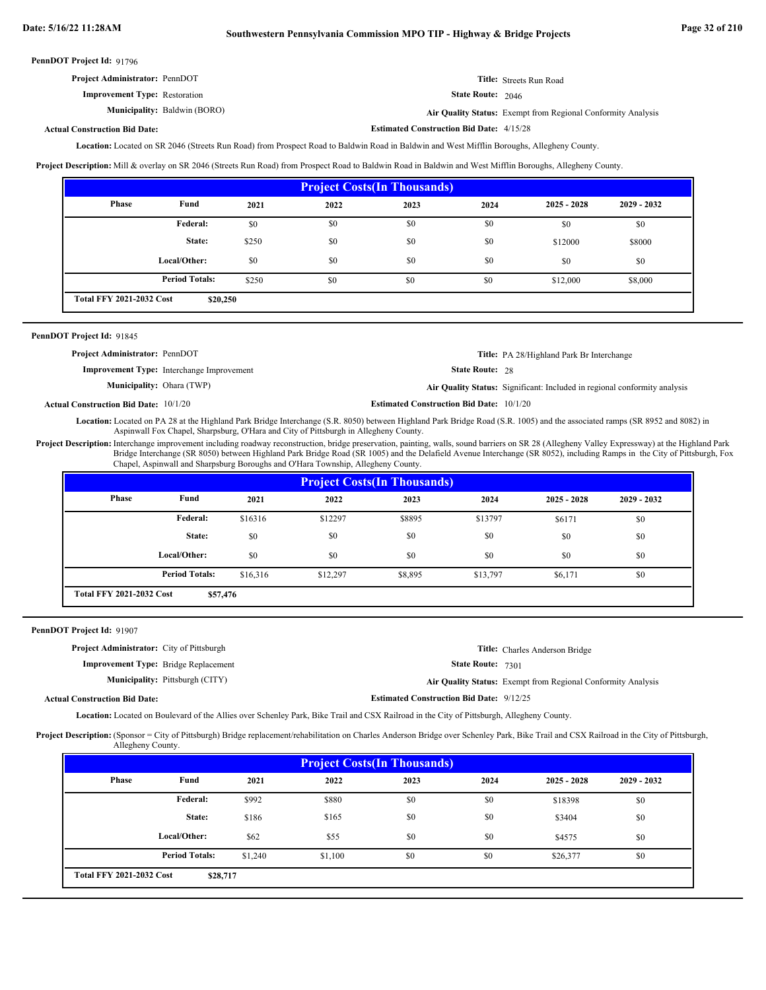| <b>Project Administrator: PennDOT</b> | Title: Streets Run Road    |
|---------------------------------------|----------------------------|
| <b>Improvement Type: Restoration</b>  | <b>State Route:</b> $2046$ |

**Municipality:** Baldwin (BORO) **Air Quality Status:** Exempt from Regional Conformity Analysis

**Estimated Construction Bid Date:** 4/15/28

# **Actual Construction Bid Date:**

Location: Located on SR 2046 (Streets Run Road) from Prospect Road to Baldwin Road in Baldwin and West Mifflin Boroughs, Allegheny County.

**Project Description:** Mill & overlay on SR 2046 (Streets Run Road) from Prospect Road to Baldwin Road in Baldwin and West Mifflin Boroughs, Allegheny County.

| <b>Project Costs (In Thousands)</b>         |                       |       |      |      |      |               |               |  |
|---------------------------------------------|-----------------------|-------|------|------|------|---------------|---------------|--|
| <b>Phase</b>                                | Fund                  | 2021  | 2022 | 2023 | 2024 | $2025 - 2028$ | $2029 - 2032$ |  |
|                                             | <b>Federal:</b>       | \$0   | \$0  | \$0  | \$0  | \$0           | \$0           |  |
|                                             | State:                | \$250 | \$0  | \$0  | \$0  | \$12000       | \$8000        |  |
|                                             | Local/Other:          | \$0   | \$0  | \$0  | \$0  | \$0           | \$0           |  |
|                                             | <b>Period Totals:</b> | \$250 | \$0  | \$0  | \$0  | \$12,000      | \$8,000       |  |
| <b>Total FFY 2021-2032 Cost</b><br>\$20,250 |                       |       |      |      |      |               |               |  |

# PennDOT Project Id: 91845

| <b>Project Administrator: PennDOT</b> |                                                  |                                                 | <b>Title:</b> PA 28/Highland Park Br Interchange                          |
|---------------------------------------|--------------------------------------------------|-------------------------------------------------|---------------------------------------------------------------------------|
|                                       | <b>Improvement Type:</b> Interchange Improvement | <b>State Route: 28</b>                          |                                                                           |
| <b>Municipality:</b> Ohara (TWP)      |                                                  |                                                 | Air Quality Status: Significant: Included in regional conformity analysis |
| tual Construction Bid Date: 10/1/20   |                                                  | <b>Estimated Construction Bid Date: 10/1/20</b> |                                                                           |

**Actual Construction Bid Date:**

Located on PA 28 at the Highland Park Bridge Interchange (S.R. 8050) between Highland Park Bridge Road (S.R. 1005) and the associated ramps (SR 8952 and 8082) in **Location:** Aspinwall Fox Chapel, Sharpsburg, O'Hara and City of Pittsburgh in Allegheny County.

Project Description: Interchange improvement including roadway reconstruction, bridge preservation, painting, walls, sound barriers on SR 28 (Allegheny Valley Expressway) at the Highland Park Bridge Interchange (SR 8050) between Highland Park Bridge Road (SR 1005) and the Delafield Avenue Interchange (SR 8052), including Ramps in the City of Pittsburgh, Fox Chapel, Aspinwall and Sharpsburg Boroughs and O'Hara Township, Allegheny County.

| <b>Project Costs (In Thousands)</b>         |                       |          |          |         |          |               |               |  |
|---------------------------------------------|-----------------------|----------|----------|---------|----------|---------------|---------------|--|
| <b>Phase</b>                                | Fund                  | 2021     | 2022     | 2023    | 2024     | $2025 - 2028$ | $2029 - 2032$ |  |
|                                             | Federal:              | \$16316  | \$12297  | \$8895  | \$13797  | \$6171        | \$0           |  |
|                                             | State:                | \$0      | \$0      | \$0     | \$0      | \$0           | \$0           |  |
|                                             | Local/Other:          | \$0      | \$0      | \$0     | \$0      | \$0           | \$0           |  |
|                                             | <b>Period Totals:</b> | \$16,316 | \$12,297 | \$8,895 | \$13,797 | \$6,171       | \$0           |  |
| <b>Total FFY 2021-2032 Cost</b><br>\$57,476 |                       |          |          |         |          |               |               |  |

### PennDOT Project Id: 91907

| <b>Project Administrator:</b> City of Pittsburgh | <b>Title:</b> Charles Anderson Bridge                        |
|--------------------------------------------------|--------------------------------------------------------------|
| <b>Improvement Type:</b> Bridge Replacement      | <b>State Route: 7301</b>                                     |
| <b>Municipality:</b> Pittsburgh (CITY)           | Air Quality Status: Exempt from Regional Conformity Analysis |
| al Construction Bid Date:                        | <b>Estimated Construction Bid Date: 9/12/25</b>              |

# Actu

Location: Located on Boulevard of the Allies over Schenley Park, Bike Trail and CSX Railroad in the City of Pittsburgh, Allegheny County.

Project Description: (Sponsor = City of Pittsburgh) Bridge replacement/rehabilitation on Charles Anderson Bridge over Schenley Park, Bike Trail and CSX Railroad in the City of Pittsburgh, Allegheny County.

| <b>Project Costs (In Thousands)</b>         |                       |         |         |      |      |               |               |
|---------------------------------------------|-----------------------|---------|---------|------|------|---------------|---------------|
| Phase                                       | Fund                  | 2021    | 2022    | 2023 | 2024 | $2025 - 2028$ | $2029 - 2032$ |
|                                             | <b>Federal:</b>       | \$992   | \$880   | \$0  | \$0  | \$18398       | \$0           |
|                                             | State:                | \$186   | \$165   | \$0  | \$0  | \$3404        | \$0           |
|                                             | Local/Other:          | \$62    | \$55    | \$0  | \$0  | \$4575        | \$0           |
|                                             | <b>Period Totals:</b> | \$1,240 | \$1,100 | \$0  | \$0  | \$26,377      | \$0           |
| <b>Total FFY 2021-2032 Cost</b><br>\$28,717 |                       |         |         |      |      |               |               |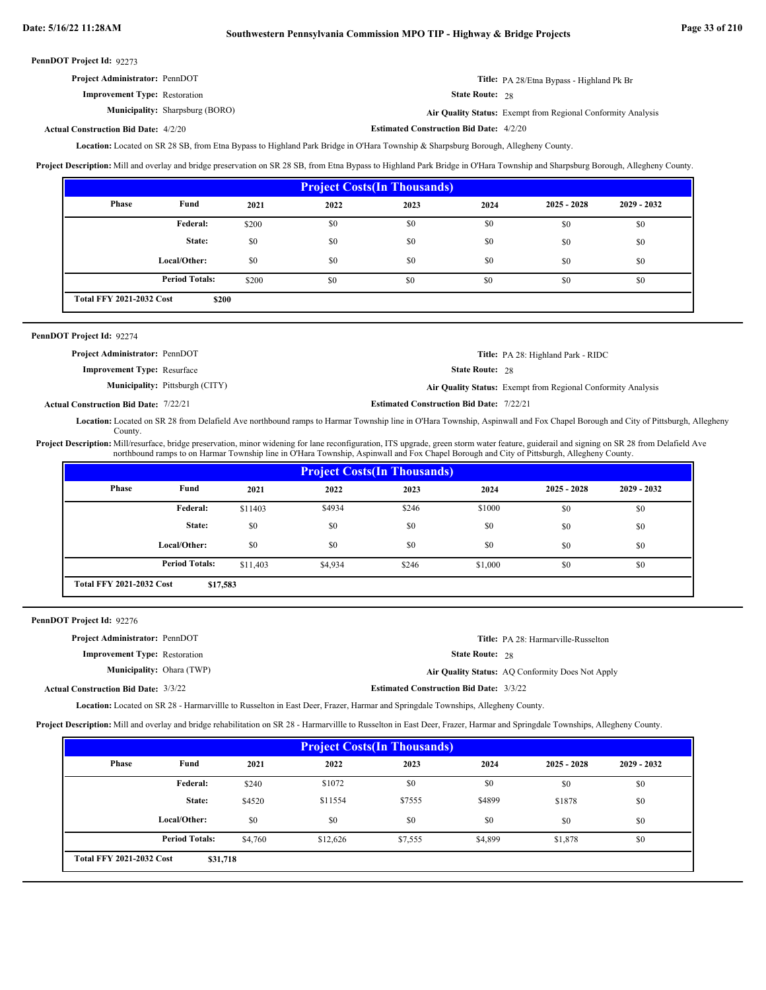| <b>Project Administrator: PennDOT</b> | Title: PA 28/Etna Bypass - Highland Pk Br |
|---------------------------------------|-------------------------------------------|
| <b>Improvement Type:</b> Restoration  | <b>State Route: 28</b>                    |

Municipality: Sharpsburg (BORO)

Sharpsburg (BORO) **Air Quality Status:** Exempt from Regional Conformity Analysis

#### **Estimated Construction Bid Date:** 4/2/20 4/2/20 **Actual Construction Bid Date:**

Location: Located on SR 28 SB, from Etna Bypass to Highland Park Bridge in O'Hara Township & Sharpsburg Borough, Allegheny County.

**Project Description:** Mill and overlay and bridge preservation on SR 28 SB, from Etna Bypass to Highland Park Bridge in O'Hara Township and Sharpsburg Borough, Allegheny County.

| <b>Project Costs (In Thousands)</b>      |                       |       |      |      |      |               |               |
|------------------------------------------|-----------------------|-------|------|------|------|---------------|---------------|
| <b>Phase</b>                             | Fund                  | 2021  | 2022 | 2023 | 2024 | $2025 - 2028$ | $2029 - 2032$ |
|                                          | Federal:              | \$200 | \$0  | \$0  | \$0  | \$0           | \$0           |
|                                          | State:                | \$0   | \$0  | \$0  | \$0  | \$0           | \$0           |
|                                          | Local/Other:          | \$0   | \$0  | \$0  | \$0  | \$0           | \$0           |
|                                          | <b>Period Totals:</b> | \$200 | \$0  | \$0  | \$0  | \$0           | \$0           |
| <b>Total FFY 2021-2032 Cost</b><br>\$200 |                       |       |      |      |      |               |               |

| <b>PennDOT Project Id: 92274</b>      |                            |
|---------------------------------------|----------------------------|
| <b>Project Administrator: PennDOT</b> | Title: PA 28: Highland Par |

| <b>Project Administrator: PennDOT</b> |                                        |                                                 | <b>Title:</b> PA 28: Highland Park - RIDC                    |
|---------------------------------------|----------------------------------------|-------------------------------------------------|--------------------------------------------------------------|
| <b>Improvement Type: Resurface</b>    |                                        | <b>State Route: 28</b>                          |                                                              |
|                                       | <b>Municipality:</b> Pittsburgh (CITY) |                                                 | Air Quality Status: Exempt from Regional Conformity Analysis |
| al Construction Bid Date: 7/22/21     |                                        | <b>Estimated Construction Bid Date: 7/22/21</b> |                                                              |

**Actual Construction Bid Date:**

Located on SR 28 from Delafield Ave northbound ramps to Harmar Township line in O'Hara Township, Aspinwall and Fox Chapel Borough and City of Pittsburgh, Allegheny **Location:** County.

Project Description: Mill/resurface, bridge preservation, minor widening for lane reconfiguration, ITS upgrade, green storm water feature, guiderail and signing on SR 28 from Delafield Ave northbound ramps to on Harmar Township line in O'Hara Township, Aspinwall and Fox Chapel Borough and City of Pittsburgh, Allegheny County.

| <b>Project Costs (In Thousands)</b> |                                             |          |         |       |         |               |               |  |
|-------------------------------------|---------------------------------------------|----------|---------|-------|---------|---------------|---------------|--|
| <b>Phase</b>                        | Fund                                        | 2021     | 2022    | 2023  | 2024    | $2025 - 2028$ | $2029 - 2032$ |  |
|                                     | Federal:                                    | \$11403  | \$4934  | \$246 | \$1000  | \$0           | \$0           |  |
|                                     | State:                                      | \$0      | \$0     | \$0   | \$0     | \$0           | \$0           |  |
|                                     | Local/Other:                                | \$0      | \$0     | \$0   | \$0     | \$0           | \$0           |  |
|                                     | <b>Period Totals:</b>                       | \$11,403 | \$4,934 | \$246 | \$1,000 | \$0           | \$0           |  |
|                                     | <b>Total FFY 2021-2032 Cost</b><br>\$17,583 |          |         |       |         |               |               |  |

PennDOT Project Id: 92276

| <b>Project Administrator: PennDOT</b>       |                                                | <b>Title:</b> PA 28: Harmarville-Russelton       |
|---------------------------------------------|------------------------------------------------|--------------------------------------------------|
| <b>Improvement Type:</b> Restoration        | <b>State Route: 28</b>                         |                                                  |
| <b>Municipality:</b> Ohara (TWP)            |                                                | Air Quality Status: AQ Conformity Does Not Apply |
| <b>Actual Construction Bid Date: 3/3/22</b> | <b>Estimated Construction Bid Date: 3/3/22</b> |                                                  |

Located on SR 28 - Harmarvillle to Russelton in East Deer, Frazer, Harmar and Springdale Townships, Allegheny County. **Location:**

**Project Description:** Mill and overlay and bridge rehabilitation on SR 28 - Harmarvillle to Russelton in East Deer, Frazer, Harmar and Springdale Townships, Allegheny County.

| <b>Project Costs (In Thousands)</b>         |                       |         |          |         |         |               |               |  |
|---------------------------------------------|-----------------------|---------|----------|---------|---------|---------------|---------------|--|
| <b>Phase</b>                                | Fund                  | 2021    | 2022     | 2023    | 2024    | $2025 - 2028$ | $2029 - 2032$ |  |
|                                             | Federal:              | \$240   | \$1072   | \$0     | \$0     | \$0           | \$0           |  |
|                                             | State:                | \$4520  | \$11554  | \$7555  | \$4899  | \$1878        | \$0           |  |
|                                             | Local/Other:          | \$0     | \$0      | \$0     | \$0     | \$0           | \$0           |  |
|                                             | <b>Period Totals:</b> | \$4.760 | \$12,626 | \$7,555 | \$4,899 | \$1,878       | \$0           |  |
| <b>Total FFY 2021-2032 Cost</b><br>\$31,718 |                       |         |          |         |         |               |               |  |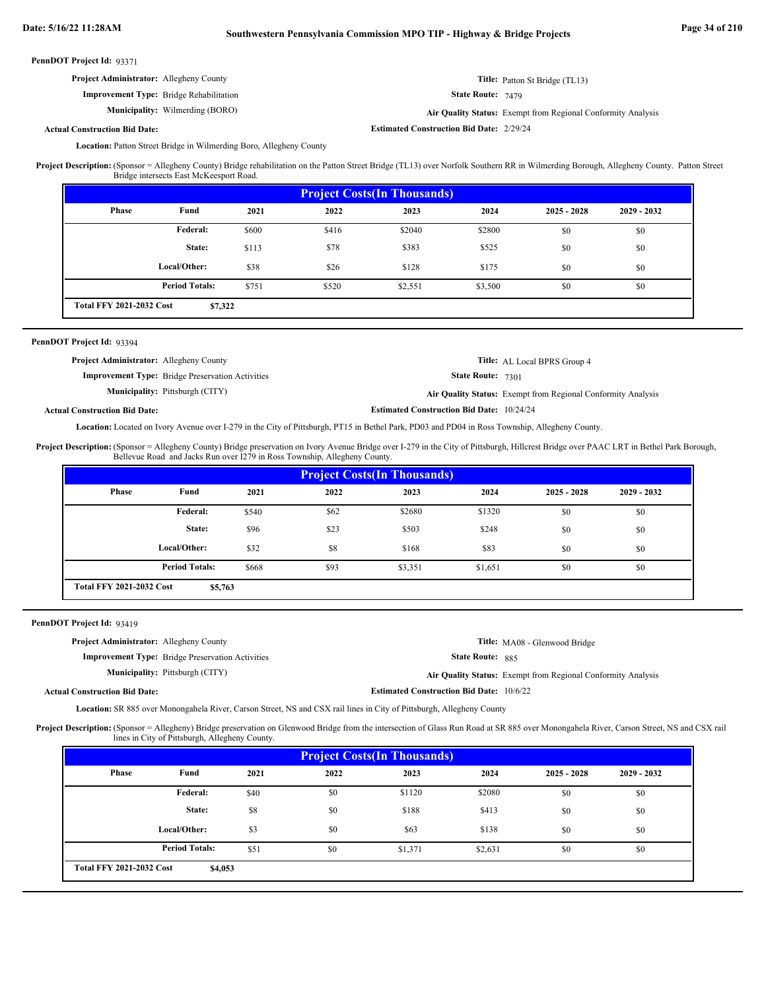| PennDOT Project Id: 93371 |  |
|---------------------------|--|
|---------------------------|--|

| <b>Project Administrator:</b> Allegheny County |                                                |                                                 | <b>Title:</b> Patton St Bridge (TL13)                        |
|------------------------------------------------|------------------------------------------------|-------------------------------------------------|--------------------------------------------------------------|
|                                                | <b>Improvement Type:</b> Bridge Rehabilitation | <b>State Route:</b> $7479$                      |                                                              |
|                                                | <b>Municipality:</b> Wilmerding (BORO)         |                                                 | Air Quality Status: Exempt from Regional Conformity Analysis |
| <b>Construction Bid Date:</b>                  |                                                | <b>Estimated Construction Bid Date: 2/29/24</b> |                                                              |

## **Actual Construction Bid Date:**

Location: Patton Street Bridge in Wilmerding Boro, Allegheny County

(Sponsor = Allegheny County) Bridge rehabilitation on the Patton Street Bridge (TL13) over Norfolk Southern RR in Wilmerding Borough, Allegheny County. Patton Street Bridge intersects East McKeesport Road. **Project Description:**

| <b>Project Costs (In Thousands)</b>        |                       |       |       |         |         |               |               |  |
|--------------------------------------------|-----------------------|-------|-------|---------|---------|---------------|---------------|--|
| Phase                                      | Fund                  | 2021  | 2022  | 2023    | 2024    | $2025 - 2028$ | $2029 - 2032$ |  |
|                                            | <b>Federal:</b>       | \$600 | \$416 | \$2040  | \$2800  | \$0           | \$0           |  |
|                                            | State:                | \$113 | \$78  | \$383   | \$525   | \$0           | \$0           |  |
|                                            | Local/Other:          | \$38  | \$26  | \$128   | \$175   | \$0           | \$0           |  |
|                                            | <b>Period Totals:</b> | \$751 | \$520 | \$2,551 | \$3,500 | \$0           | \$0           |  |
| <b>Total FFY 2021-2032 Cost</b><br>\$7,322 |                       |       |       |         |         |               |               |  |

#### PennDOT Project Id: 93394

| <b>Project Administrator:</b> Allegheny County          | <b>Title:</b> AL Local BPRS Group 4                          |
|---------------------------------------------------------|--------------------------------------------------------------|
| <b>Improvement Type:</b> Bridge Preservation Activities | <b>State Route: 7301</b>                                     |
| <b>Municipality:</b> Pittsburgh (CITY)                  | Air Quality Status: Exempt from Regional Conformity Analysis |
| al Construction Bid Date:                               | <b>Estimated Construction Bid Date: 10/24/24</b>             |

# **Actual Construction Bid Date:**

Location: Located on Ivory Avenue over I-279 in the City of Pittsburgh, PT15 in Bethel Park, PD03 and PD04 in Ross Township, Allegheny County.

(Sponsor = Allegheny County) Bridge preservation on Ivory Avenue Bridge over I-279 in the City of Pittsburgh, Hillcrest Bridge over PAAC LRT in Bethel Park Borough, Bellevue Road and Jacks Run over I279 in Ross Township, Allegheny County. **Project Description:**

| <b>Project Costs (In Thousands)</b> |                       |       |      |         |         |               |               |
|-------------------------------------|-----------------------|-------|------|---------|---------|---------------|---------------|
| Phase                               | Fund                  | 2021  | 2022 | 2023    | 2024    | $2025 - 2028$ | $2029 - 2032$ |
|                                     | Federal:              | \$540 | \$62 | \$2680  | \$1320  | \$0           | \$0           |
|                                     | State:                | \$96  | \$23 | \$503   | \$248   | \$0           | \$0           |
|                                     | Local/Other:          | \$32  | \$8  | \$168   | \$83    | \$0           | \$0           |
|                                     | <b>Period Totals:</b> | \$668 | \$93 | \$3,351 | \$1,651 | \$0           | \$0           |

# PennDOT Project Id: 93419

| <b>Project Administrator:</b> Allegheny County |                                                         |                                                 | Title: MA08 - Glenwood Bridge                                |
|------------------------------------------------|---------------------------------------------------------|-------------------------------------------------|--------------------------------------------------------------|
|                                                | <b>Improvement Type:</b> Bridge Preservation Activities | <b>State Route: 885</b>                         |                                                              |
|                                                | <b>Municipality:</b> Pittsburgh (CITY)                  |                                                 | Air Quality Status: Exempt from Regional Conformity Analysis |
| <b>Actual Construction Bid Date:</b>           |                                                         | <b>Estimated Construction Bid Date: 10/6/22</b> |                                                              |

Location: SR 885 over Monongahela River, Carson Street, NS and CSX rail lines in City of Pittsburgh, Allegheny County

Project Description: (Sponsor = Allegheny) Bridge preservation on Glenwood Bridge from the intersection of Glass Run Road at SR 885 over Monongahela River, Carson Street, NS and CSX rail lines in City of Pittsburgh, Allegheny County.

| <b>Project Costs (In Thousands)</b>        |                       |      |      |         |         |               |               |
|--------------------------------------------|-----------------------|------|------|---------|---------|---------------|---------------|
| Phase                                      | Fund                  | 2021 | 2022 | 2023    | 2024    | $2025 - 2028$ | $2029 - 2032$ |
|                                            | Federal:              | \$40 | \$0  | \$1120  | \$2080  | \$0           | \$0           |
|                                            | State:                | \$8  | \$0  | \$188   | \$413   | \$0           | \$0           |
|                                            | Local/Other:          | \$3  | \$0  | \$63    | \$138   | \$0           | \$0           |
|                                            | <b>Period Totals:</b> | \$51 | \$0  | \$1,371 | \$2,631 | \$0           | \$0           |
| <b>Total FFY 2021-2032 Cost</b><br>\$4,053 |                       |      |      |         |         |               |               |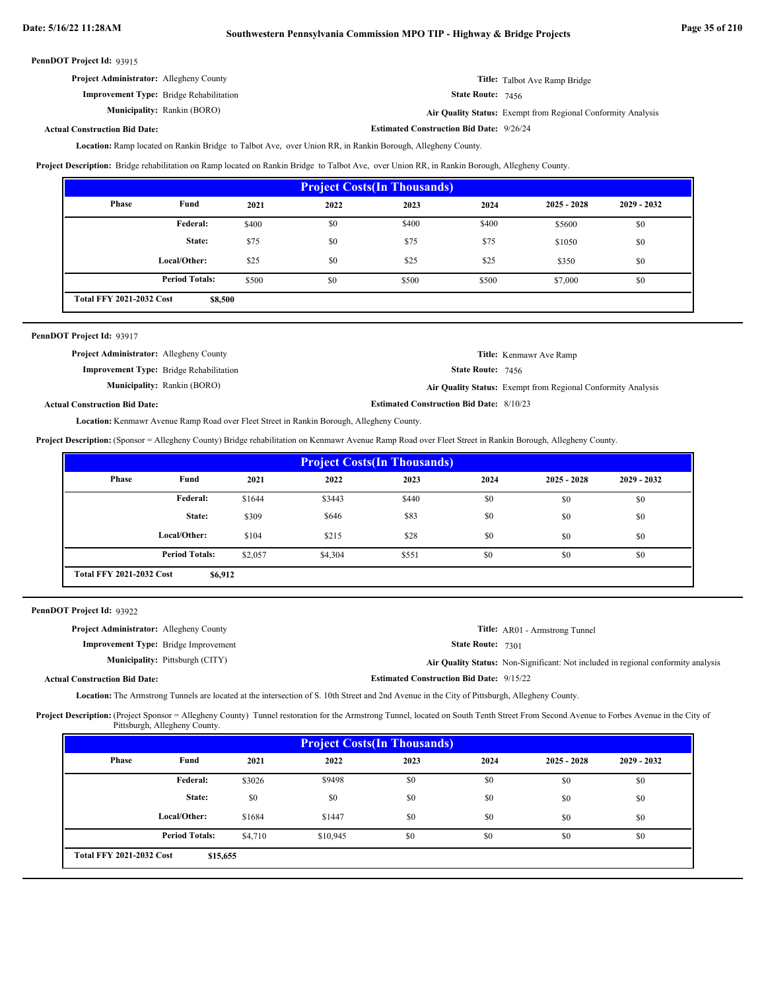**Estimated Construction Bid Date:** 9/26/24

| PennDOT Project Id: 93915 |  |
|---------------------------|--|
|---------------------------|--|

| <b>Project Administrator:</b> Allegheny County | <b>Title:</b> Talbot Ave Ramp Bridge |
|------------------------------------------------|--------------------------------------|
| <b>Improvement Type:</b> Bridge Rehabilitation | <b>State Route: 7456</b>             |

**Municipality:**

State Route: 7456

Rankin (BORO) **Air Quality Status:** Exempt from Regional Conformity Analysis

# **Actual Construction Bid Date:**

Location: Ramp located on Rankin Bridge to Talbot Ave, over Union RR, in Rankin Borough, Allegheny County.

**Project Description:** Bridge rehabilitation on Ramp located on Rankin Bridge to Talbot Ave, over Union RR, in Rankin Borough, Allegheny County.

| <b>Project Costs (In Thousands)</b>        |                       |       |      |       |       |               |               |
|--------------------------------------------|-----------------------|-------|------|-------|-------|---------------|---------------|
| Phase                                      | Fund                  | 2021  | 2022 | 2023  | 2024  | $2025 - 2028$ | $2029 - 2032$ |
|                                            | Federal:              | \$400 | \$0  | \$400 | \$400 | \$5600        | \$0           |
|                                            | State:                | \$75  | \$0  | \$75  | \$75  | \$1050        | \$0           |
|                                            | Local/Other:          | \$25  | \$0  | \$25  | \$25  | \$350         | \$0           |
|                                            | <b>Period Totals:</b> | \$500 | \$0  | \$500 | \$500 | \$7,000       | \$0           |
| <b>Total FFY 2021-2032 Cost</b><br>\$8,500 |                       |       |      |       |       |               |               |

# PennDOT Project Id: 93917

| <b>Project Administrator:</b> Allegheny County |                                    |                                                 | Title: Kenmawr Ave Ramp                                      |
|------------------------------------------------|------------------------------------|-------------------------------------------------|--------------------------------------------------------------|
| <b>Improvement Type:</b> Bridge Rehabilitation |                                    | <b>State Route: 7456</b>                        |                                                              |
|                                                | <b>Municipality:</b> Rankin (BORO) |                                                 | Air Quality Status: Exempt from Regional Conformity Analysis |
| <b>Actual Construction Bid Date:</b>           |                                    | <b>Estimated Construction Bid Date: 8/10/23</b> |                                                              |

Location: Kenmawr Avenue Ramp Road over Fleet Street in Rankin Borough, Allegheny County.

**Project Description:** (Sponsor = Allegheny County) Bridge rehabilitation on Kenmawr Avenue Ramp Road over Fleet Street in Rankin Borough, Allegheny County.

| <b>Project Costs (In Thousands)</b>        |                       |         |         |       |      |               |               |
|--------------------------------------------|-----------------------|---------|---------|-------|------|---------------|---------------|
| Phase                                      | Fund                  | 2021    | 2022    | 2023  | 2024 | $2025 - 2028$ | $2029 - 2032$ |
|                                            | Federal:              | \$1644  | \$3443  | \$440 | \$0  | \$0           | \$0           |
|                                            | State:                | \$309   | \$646   | \$83  | \$0  | \$0           | \$0           |
|                                            | Local/Other:          | \$104   | \$215   | \$28  | \$0  | \$0           | \$0           |
|                                            | <b>Period Totals:</b> | \$2,057 | \$4,304 | \$551 | \$0  | \$0           | \$0           |
| <b>Total FFY 2021-2032 Cost</b><br>\$6,912 |                       |         |         |       |      |               |               |

#### PennDOT Project Id: 93922

| <b>Project Administrator:</b> Allegheny County |                                                 | <b>Title:</b> AR01 - Armstrong Tunnel                                             |
|------------------------------------------------|-------------------------------------------------|-----------------------------------------------------------------------------------|
| <b>Improvement Type:</b> Bridge Improvement    | <b>State Route: 7301</b>                        |                                                                                   |
| <b>Municipality:</b> Pittsburgh (CITY)         |                                                 | Air Quality Status: Non-Significant: Not included in regional conformity analysis |
| <b>Actual Construction Bid Date:</b>           | <b>Estimated Construction Bid Date: 9/15/22</b> |                                                                                   |

Location: The Armstrong Tunnels are located at the intersection of S. 10th Street and 2nd Avenue in the City of Pittsburgh, Allegheny County.

Project Description: (Project Sponsor = Allegheny County) Tunnel restoration for the Armstrong Tunnel, located on South Tenth Street From Second Avenue to Forbes Avenue in the City of Pittsburgh, Allegheny County.

| <b>Project Costs (In Thousands)</b>         |                       |         |          |      |      |               |               |
|---------------------------------------------|-----------------------|---------|----------|------|------|---------------|---------------|
| Phase                                       | Fund                  | 2021    | 2022     | 2023 | 2024 | $2025 - 2028$ | $2029 - 2032$ |
|                                             | Federal:              | \$3026  | \$9498   | \$0  | \$0  | \$0           | \$0           |
|                                             | State:                | \$0     | \$0      | \$0  | \$0  | \$0           | \$0           |
|                                             | Local/Other:          | \$1684  | \$1447   | \$0  | \$0  | \$0           | \$0           |
|                                             | <b>Period Totals:</b> | \$4,710 | \$10,945 | \$0  | \$0  | \$0           | \$0           |
| <b>Total FFY 2021-2032 Cost</b><br>\$15,655 |                       |         |          |      |      |               |               |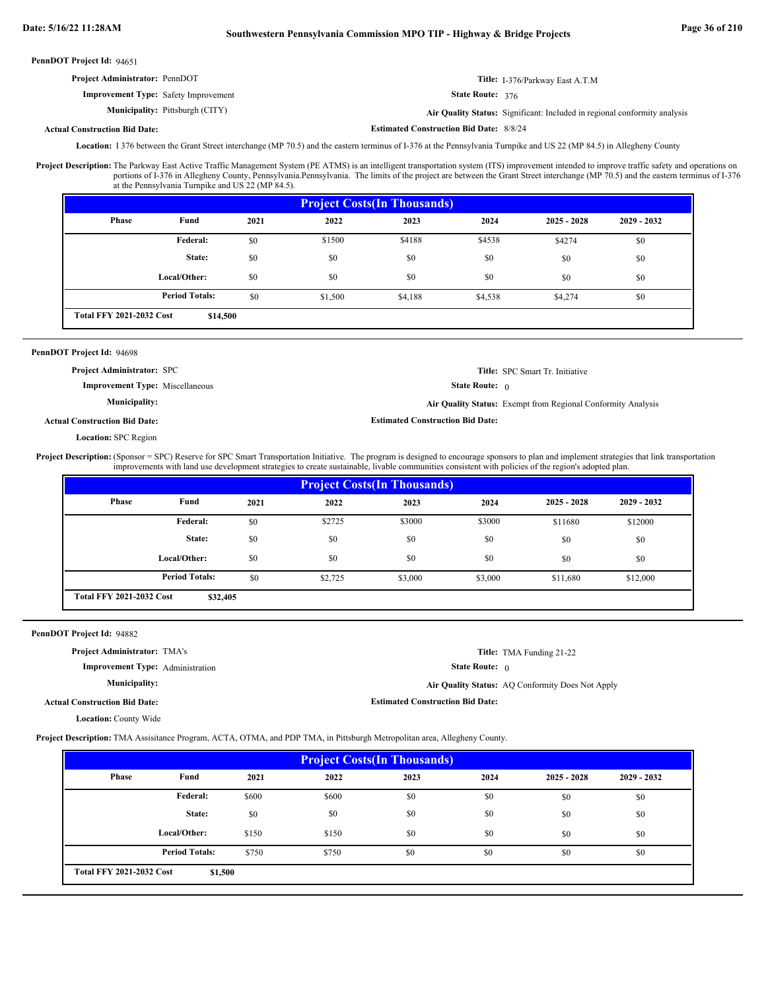# **Date: 5/16/22 11:28AM Southwestern Pennsylvania Commission MPO TIP - Highway & Bridge Projects Page 36 of 210**

PennDOT Project Id: 94651

| <b>Project Administrator: PennDOT</b>       |                                        |                                                | <b>Title:</b> I-376/Parkway East A.T.M                                    |
|---------------------------------------------|----------------------------------------|------------------------------------------------|---------------------------------------------------------------------------|
| <b>Improvement Type:</b> Safety Improvement |                                        | <b>State Route: 376</b>                        |                                                                           |
|                                             | <b>Municipality:</b> Pittsburgh (CITY) |                                                | Air Quality Status: Significant: Included in regional conformity analysis |
| <b>Actual Construction Bid Date:</b>        |                                        | <b>Estimated Construction Bid Date: 8/8/24</b> |                                                                           |

Location: 1376 between the Grant Street interchange (MP 70.5) and the eastern terminus of I-376 at the Pennsylvania Turnpike and US 22 (MP 84.5) in Allegheny County

The Parkway East Active Traffic Management System (PE ATMS) is an intelligent transportation system (ITS) improvement intended to improve traffic safety and operations on portions of I-376 in Allegheny County, Pennsylvania.Pennsylvania. The limits of the project are between the Grant Street interchange (MP 70.5) and the eastern terminus of I-376 at the Pennsylvania Turnpike and US 22 (MP 84.5). **Project Description:**

| <b>Project Costs (In Thousands)</b>         |                       |      |         |         |         |               |               |
|---------------------------------------------|-----------------------|------|---------|---------|---------|---------------|---------------|
| Phase                                       | Fund                  | 2021 | 2022    | 2023    | 2024    | $2025 - 2028$ | $2029 - 2032$ |
|                                             | Federal:              | \$0  | \$1500  | \$4188  | \$4538  | \$4274        | \$0           |
|                                             | State:                | \$0  | \$0     | \$0     | \$0     | \$0           | \$0           |
|                                             | Local/Other:          | \$0  | \$0     | \$0     | \$0     | \$0           | \$0           |
|                                             | <b>Period Totals:</b> | \$0  | \$1,500 | \$4,188 | \$4,538 | \$4,274       | \$0           |
| <b>Total FFY 2021-2032 Cost</b><br>\$14,500 |                       |      |         |         |         |               |               |

# PennDOT Project Id: 94698

**Project Administrator:** SPC

**Improvement Type:** Miscellaneous

**Municipality:**

**Air Quality Status:** Exempt from Regional Conformity Analysis

**Estimated Construction Bid Date:**

State Route: 0

**Title:** SPC Smart Tr. Initiative

#### **Actual Construction Bid Date:**

**Location:** SPC Region

(Sponsor = SPC) Reserve for SPC Smart Transportation Initiative. The program is designed to encourage sponsors to plan and implement strategies that link transportation improvements with land use development strategies to create sustainable, livable communities consistent with policies of the region's adopted plan. **Project Description:**

| <b>Project Costs (In Thousands)</b>         |                       |      |         |         |         |               |             |
|---------------------------------------------|-----------------------|------|---------|---------|---------|---------------|-------------|
| Phase                                       | Fund                  | 2021 | 2022    | 2023    | 2024    | $2025 - 2028$ | 2029 - 2032 |
|                                             | Federal:              | \$0  | \$2725  | \$3000  | \$3000  | \$11680       | \$12000     |
|                                             | State:                | \$0  | \$0     | \$0     | \$0     | \$0           | \$0         |
|                                             | Local/Other:          | \$0  | \$0     | \$0     | \$0     | \$0           | \$0         |
|                                             | <b>Period Totals:</b> | \$0  | \$2,725 | \$3,000 | \$3,000 | \$11,680      | \$12,000    |
| <b>Total FFY 2021-2032 Cost</b><br>\$32,405 |                       |      |         |         |         |               |             |

PennDOT Project Id: 94882

| <b>Project Administrator: TMA's</b>     |                                         |                              | <b>Title:</b> TMA Funding 21-22                  |
|-----------------------------------------|-----------------------------------------|------------------------------|--------------------------------------------------|
| <b>Improvement Type:</b> Administration |                                         | <b>State Route:</b> $\theta$ |                                                  |
| <b>Municipality:</b>                    |                                         |                              | Air Quality Status: AQ Conformity Does Not Apply |
| <b>Actual Construction Bid Date:</b>    | <b>Estimated Construction Bid Date:</b> |                              |                                                  |

**Location:** County Wide

**Project Description:** TMA Assisitance Program, ACTA, OTMA, and PDP TMA, in Pittsburgh Metropolitan area, Allegheny County.

| <b>Project Costs (In Thousands)</b>        |                       |       |       |      |      |               |               |
|--------------------------------------------|-----------------------|-------|-------|------|------|---------------|---------------|
| Phase                                      | Fund                  | 2021  | 2022  | 2023 | 2024 | $2025 - 2028$ | $2029 - 2032$ |
|                                            | Federal:              | \$600 | \$600 | \$0  | \$0  | \$0           | \$0           |
|                                            | State:                | \$0   | \$0   | \$0  | \$0  | \$0           | \$0           |
|                                            | Local/Other:          | \$150 | \$150 | \$0  | \$0  | \$0           | \$0           |
|                                            | <b>Period Totals:</b> | \$750 | \$750 | \$0  | \$0  | \$0           | \$0           |
| <b>Total FFY 2021-2032 Cost</b><br>\$1,500 |                       |       |       |      |      |               |               |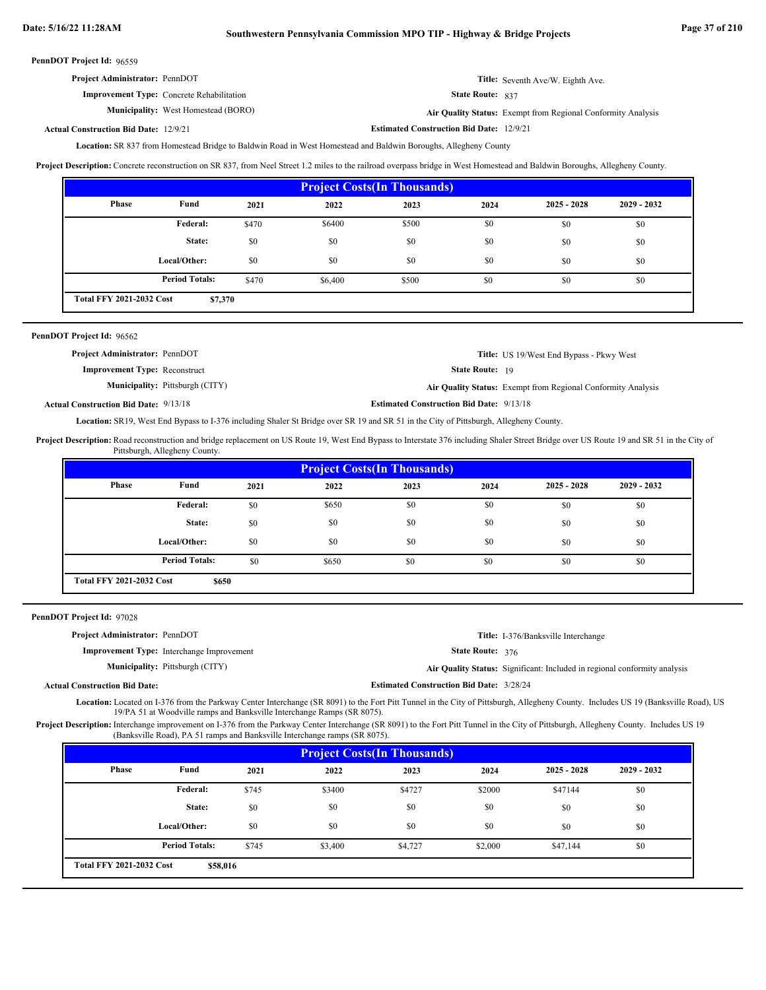| <b>Project Administrator: PennDOT</b>            | Title: Seventh Ave/W. Eighth Ave. |
|--------------------------------------------------|-----------------------------------|
| <b>Improvement Type:</b> Concrete Rehabilitation | <b>State Route: 837</b>           |

837

**Municipality:** West Homestead (BORO) **Air Quality Status:** Air Quality Status: Exempt from Regional Conformity Analysis

#### **Estimated Construction Bid Date:** 12/9/21 **Actual Construction Bid Date:**

Location: SR 837 from Homestead Bridge to Baldwin Road in West Homestead and Baldwin Boroughs, Allegheny County

**Project Description:** Concrete reconstruction on SR 837, from Neel Street 1.2 miles to the railroad overpass bridge in West Homestead and Baldwin Boroughs, Allegheny County.

| <b>Project Costs (In Thousands)</b>        |                       |       |         |       |      |               |               |
|--------------------------------------------|-----------------------|-------|---------|-------|------|---------------|---------------|
| <b>Phase</b>                               | Fund                  | 2021  | 2022    | 2023  | 2024 | $2025 - 2028$ | $2029 - 2032$ |
|                                            | Federal:              | \$470 | \$6400  | \$500 | \$0  | \$0           | \$0           |
|                                            | State:                | \$0   | \$0     | \$0   | \$0  | \$0           | \$0           |
|                                            | Local/Other:          | \$0   | \$0     | \$0   | \$0  | \$0           | \$0           |
|                                            | <b>Period Totals:</b> | \$470 | \$6,400 | \$500 | \$0  | \$0           | \$0           |
| <b>Total FFY 2021-2032 Cost</b><br>\$7,370 |                       |       |         |       |      |               |               |

| PennDOT Project Id: 96562             |                                        |                        |                                                              |
|---------------------------------------|----------------------------------------|------------------------|--------------------------------------------------------------|
| <b>Project Administrator: PennDOT</b> |                                        |                        | <b>Title:</b> US 19/West End Bypass - Pkwy West              |
| <b>Improvement Type: Reconstruct</b>  |                                        | <b>State Route: 19</b> |                                                              |
|                                       | <b>Municipality:</b> Pittsburgh (CITY) |                        | Air Quality Status: Exempt from Regional Conformity Analysis |

**Estimated Construction Bid Date:** 9/13/18 9/13/18 **Actual Construction Bid Date:**

Location: SR19, West End Bypass to I-376 including Shaler St Bridge over SR 19 and SR 51 in the City of Pittsburgh, Allegheny County.

Project Description: Road reconstruction and bridge replacement on US Route 19, West End Bypass to Interstate 376 including Shaler Street Bridge over US Route 19 and SR 51 in the City of Pittsburgh, Allegheny County.

| <b>Project Costs (In Thousands)</b>      |                       |      |       |      |      |               |               |
|------------------------------------------|-----------------------|------|-------|------|------|---------------|---------------|
| <b>Phase</b>                             | Fund                  | 2021 | 2022  | 2023 | 2024 | $2025 - 2028$ | $2029 - 2032$ |
|                                          | Federal:              | \$0  | \$650 | \$0  | \$0  | \$0           | \$0           |
|                                          | State:                | \$0  | \$0   | \$0  | \$0  | \$0           | \$0           |
|                                          | Local/Other:          | \$0  | \$0   | \$0  | \$0  | \$0           | \$0           |
|                                          | <b>Period Totals:</b> | \$0  | \$650 | \$0  | \$0  | \$0           | \$0           |
| <b>Total FFY 2021-2032 Cost</b><br>\$650 |                       |      |       |      |      |               |               |

| PennDOT Project Id: 97028             |                                                  |                                                 |                                                                           |
|---------------------------------------|--------------------------------------------------|-------------------------------------------------|---------------------------------------------------------------------------|
| <b>Project Administrator: PennDOT</b> |                                                  |                                                 | <b>Title:</b> I-376/Banksville Interchange                                |
|                                       | <b>Improvement Type:</b> Interchange Improvement | State Route: 376                                |                                                                           |
|                                       | <b>Municipality:</b> Pittsburgh (CITY)           |                                                 | Air Quality Status: Significant: Included in regional conformity analysis |
| <b>Actual Construction Bid Date:</b>  |                                                  | <b>Estimated Construction Bid Date: 3/28/24</b> |                                                                           |

Location: Located on I-376 from the Parkway Center Interchange (SR 8091) to the Fort Pitt Tunnel in the City of Pittsburgh, Allegheny County. Includes US 19 (Banksville Road), US 19/PA 51 at Woodville ramps and Banksville Interchange Ramps (SR 8075).

Project Description: Interchange improvement on I-376 from the Parkway Center Interchange (SR 8091) to the Fort Pitt Tunnel in the City of Pittsburgh, Allegheny County. Includes US 19 (Banksville Road), PA 51 ramps and Banksville Interchange ramps (SR 8075).

| <b>Project Costs (In Thousands)</b>         |                       |       |         |         |         |               |               |
|---------------------------------------------|-----------------------|-------|---------|---------|---------|---------------|---------------|
| <b>Phase</b>                                | Fund                  | 2021  | 2022    | 2023    | 2024    | $2025 - 2028$ | $2029 - 2032$ |
|                                             | Federal:              | \$745 | \$3400  | \$4727  | \$2000  | \$47144       | \$0           |
|                                             | State:                | \$0   | \$0     | \$0     | \$0     | \$0           | \$0           |
|                                             | Local/Other:          | \$0   | \$0     | \$0     | \$0     | \$0           | \$0           |
|                                             | <b>Period Totals:</b> | \$745 | \$3,400 | \$4,727 | \$2,000 | \$47,144      | \$0           |
| <b>Total FFY 2021-2032 Cost</b><br>\$58,016 |                       |       |         |         |         |               |               |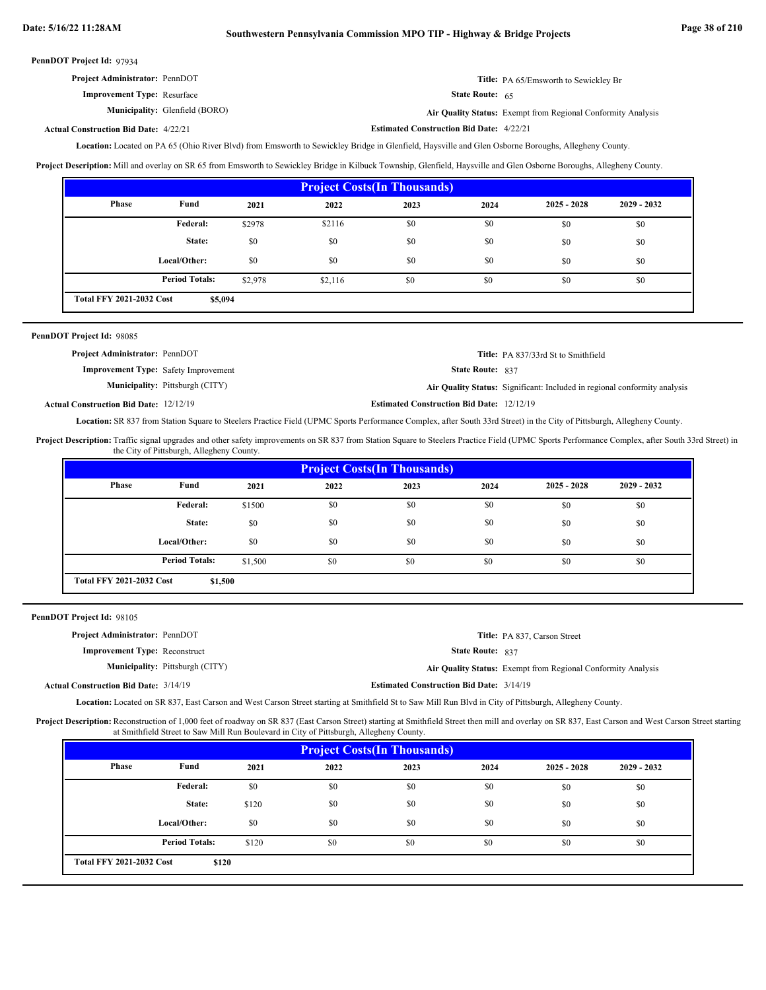| <b>Project Administrator: PennDOT</b> | <b>Title:</b> PA 65/Emsworth to Sewickley Br |
|---------------------------------------|----------------------------------------------|
| <b>Improvement Type: Resurface</b>    | <b>State Route:</b> $65$                     |

**Municipality:** Glenfield (BORO) **Air Quality Status:** Exempt from Regional Conformity Analysis

**Actual Construction Bid Date:**

**Estimated Construction Bid Date:** 4/22/21 4/22/21

Location: Located on PA 65 (Ohio River Blvd) from Emsworth to Sewickley Bridge in Glenfield, Haysville and Glen Osborne Boroughs, Allegheny County.

**Project Description:** Mill and overlay on SR 65 from Emsworth to Sewickley Bridge in Kilbuck Township, Glenfield, Haysville and Glen Osborne Boroughs, Allegheny County.

| <b>Project Costs (In Thousands)</b>        |                       |         |         |      |      |               |               |
|--------------------------------------------|-----------------------|---------|---------|------|------|---------------|---------------|
| Phase                                      | Fund                  | 2021    | 2022    | 2023 | 2024 | $2025 - 2028$ | $2029 - 2032$ |
|                                            | <b>Federal:</b>       | \$2978  | \$2116  | \$0  | \$0  | \$0           | \$0           |
|                                            | State:                | \$0     | \$0     | \$0  | \$0  | \$0           | \$0           |
|                                            | Local/Other:          | \$0     | \$0     | \$0  | \$0  | \$0           | \$0           |
|                                            | <b>Period Totals:</b> | \$2,978 | \$2,116 | \$0  | \$0  | \$0           | \$0           |
| <b>Total FFY 2021-2032 Cost</b><br>\$5,094 |                       |         |         |      |      |               |               |

| PennDOT Project Id: 98085                     |                                        |                                                  |                                                                           |
|-----------------------------------------------|----------------------------------------|--------------------------------------------------|---------------------------------------------------------------------------|
| <b>Project Administrator: PennDOT</b>         |                                        |                                                  | <b>Title:</b> PA 837/33rd St to Smithfield                                |
| <b>Improvement Type:</b> Safety Improvement   |                                        | <b>State Route: 837</b>                          |                                                                           |
|                                               | <b>Municipality:</b> Pittsburgh (CITY) |                                                  | Air Quality Status: Significant: Included in regional conformity analysis |
| <b>Actual Construction Bid Date: 12/12/19</b> |                                        | <b>Estimated Construction Bid Date: 12/12/19</b> |                                                                           |

Location: SR 837 from Station Square to Steelers Practice Field (UPMC Sports Performance Complex, after South 33rd Street) in the City of Pittsburgh, Allegheny County.

Project Description: Traffic signal upgrades and other safety improvements on SR 837 from Station Square to Steelers Practice Field (UPMC Sports Performance Complex, after South 33rd Street) in the City of Pittsburgh, Allegheny County.

| <b>Project Costs (In Thousands)</b>        |                       |         |      |      |      |               |               |
|--------------------------------------------|-----------------------|---------|------|------|------|---------------|---------------|
| Phase                                      | Fund                  | 2021    | 2022 | 2023 | 2024 | $2025 - 2028$ | $2029 - 2032$ |
|                                            | <b>Federal:</b>       | \$1500  | \$0  | \$0  | \$0  | \$0           | \$0           |
|                                            | State:                | \$0     | \$0  | \$0  | \$0  | \$0           | \$0           |
|                                            | Local/Other:          | \$0     | \$0  | \$0  | \$0  | \$0           | \$0           |
|                                            | <b>Period Totals:</b> | \$1,500 | \$0  | \$0  | \$0  | \$0           | \$0           |
| <b>Total FFY 2021-2032 Cost</b><br>\$1,500 |                       |         |      |      |      |               |               |

PennDOT Project Id: 98105

| <b>Project Administrator: PennDOT</b>                                                                                                                                                                                                                                                                                              | Title: PA 837, Carson Street                                                                        |
|------------------------------------------------------------------------------------------------------------------------------------------------------------------------------------------------------------------------------------------------------------------------------------------------------------------------------------|-----------------------------------------------------------------------------------------------------|
| <b>Improvement Type: Reconstruct</b>                                                                                                                                                                                                                                                                                               | <b>State Route: 837</b>                                                                             |
| <b>Municipality:</b> Pittsburgh (CITY)                                                                                                                                                                                                                                                                                             | Air Quality Status: Exempt from Regional Conformity Analysis                                        |
| <b>Actual Construction Bid Date: 3/14/19</b>                                                                                                                                                                                                                                                                                       | <b>Estimated Construction Bid Date: 3/14/19</b>                                                     |
| $\mathbf{r}$ $\mathbf{r}$ $\mathbf{r}$ $\mathbf{r}$ $\mathbf{r}$ $\mathbf{r}$ $\mathbf{r}$ $\mathbf{r}$ $\mathbf{r}$ $\mathbf{r}$ $\mathbf{r}$ $\mathbf{r}$ $\mathbf{r}$ $\mathbf{r}$ $\mathbf{r}$ $\mathbf{r}$ $\mathbf{r}$ $\mathbf{r}$ $\mathbf{r}$ $\mathbf{r}$ $\mathbf{r}$ $\mathbf{r}$ $\mathbf{r}$ $\mathbf{r}$ $\mathbf{$ | $1.00 \pm 0.00$ and $1.00 \pm 0.000$ and $1.00 \pm 0.000$ and $1.00 \pm 0.000$ and $1.00 \pm 0.000$ |

Location: Located on SR 837, East Carson and West Carson Street starting at Smithfield St to Saw Mill Run Blvd in City of Pittsburgh, Allegheny County.

Project Description: Reconstruction of 1,000 feet of roadway on SR 837 (East Carson Street) starting at Smithfield Street then mill and overlay on SR 837, East Carson and West Carson Street starting at Smithfield Street to Saw Mill Run Boulevard in City of Pittsburgh, Allegheny County.

| <b>Project Costs(In Thousands)</b>       |                       |       |      |      |      |               |               |
|------------------------------------------|-----------------------|-------|------|------|------|---------------|---------------|
| Phase                                    | Fund                  | 2021  | 2022 | 2023 | 2024 | $2025 - 2028$ | $2029 - 2032$ |
|                                          | Federal:              | \$0   | \$0  | \$0  | \$0  | \$0           | \$0           |
|                                          | State:                | \$120 | \$0  | \$0  | \$0  | \$0           | \$0           |
|                                          | Local/Other:          | \$0   | \$0  | \$0  | \$0  | \$0           | \$0           |
|                                          | <b>Period Totals:</b> | \$120 | \$0  | \$0  | \$0  | \$0           | \$0           |
| <b>Total FFY 2021-2032 Cost</b><br>\$120 |                       |       |      |      |      |               |               |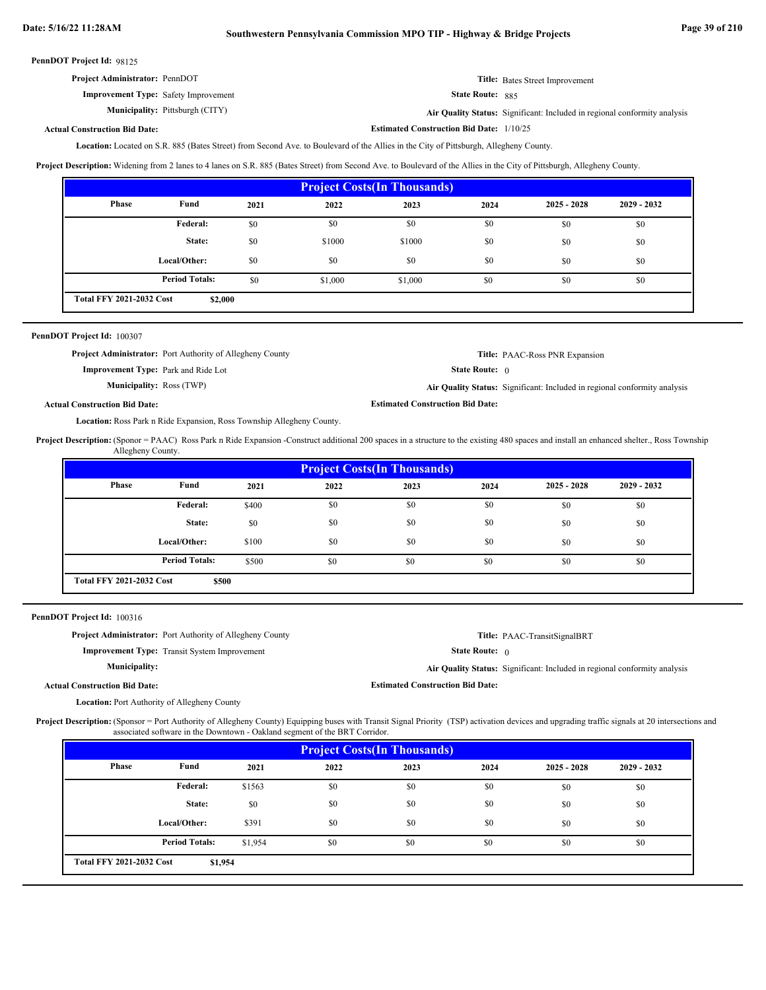| <b>Project Administrator: PennDOT</b>       | Title: Bates Street Improvement |
|---------------------------------------------|---------------------------------|
| <b>Improvement Type:</b> Safety Improvement | <b>State Route: 885</b>         |

**Municipality:**

Pittsburgh (CITY) **Air Quality Status:** Significant: Included in regional conformity analysis

## **Actual Construction Bid Date:**

Located on S.R. 885 (Bates Street) from Second Ave. to Boulevard of the Allies in the City of Pittsburgh, Allegheny County. **Location:**

**Project Description:** Widening from 2 lanes to 4 lanes on S.R. 885 (Bates Street) from Second Ave. to Boulevard of the Allies in the City of Pittsburgh, Allegheny County.

| <b>Project Costs (In Thousands)</b>        |                       |      |         |         |      |               |               |  |
|--------------------------------------------|-----------------------|------|---------|---------|------|---------------|---------------|--|
| Phase                                      | Fund                  | 2021 | 2022    | 2023    | 2024 | $2025 - 2028$ | $2029 - 2032$ |  |
|                                            | Federal:              | \$0  | \$0     | \$0     | \$0  | \$0           | \$0           |  |
|                                            | State:                | \$0  | \$1000  | \$1000  | \$0  | \$0           | \$0           |  |
|                                            | Local/Other:          | \$0  | \$0     | \$0     | \$0  | \$0           | \$0           |  |
|                                            | <b>Period Totals:</b> | \$0  | \$1,000 | \$1,000 | \$0  | \$0           | \$0           |  |
| <b>Total FFY 2021-2032 Cost</b><br>\$2,000 |                       |      |         |         |      |               |               |  |

| PennDOT Project Id: 100307 |  |
|----------------------------|--|
|----------------------------|--|

|                                            | <b>Project Administrator:</b> Port Authority of Allegheny County |             |
|--------------------------------------------|------------------------------------------------------------------|-------------|
| <b>Improvement Type:</b> Park and Ride Lot |                                                                  | <b>Stat</b> |

Municipality: Ross (TWP)

**Title:** PAAC-Ross PNR Expansion

**Title:** PAAC-TransitSignalBRT

State Route: 0

**Estimated Construction Bid Date:**

**Estimated Construction Bid Date:** 1/10/25

Ross (TWP) **Air Quality Status:** Significant: Included in regional conformity analysis

# **Actual Construction Bid Date:**

Location: Ross Park n Ride Expansion, Ross Township Allegheny County.

Project Description: (Sponor = PAAC) Ross Park n Ride Expansion -Construct additional 200 spaces in a structure to the existing 480 spaces and install an enhanced shelter., Ross Township Allegheny County.

| <b>Project Costs (In Thousands)</b>      |                       |       |      |      |      |               |               |
|------------------------------------------|-----------------------|-------|------|------|------|---------------|---------------|
| Phase                                    | Fund                  | 2021  | 2022 | 2023 | 2024 | $2025 - 2028$ | $2029 - 2032$ |
|                                          | Federal:              | \$400 | \$0  | \$0  | \$0  | \$0           | \$0           |
|                                          | State:                | \$0   | \$0  | \$0  | \$0  | \$0           | \$0           |
|                                          | Local/Other:          | \$100 | \$0  | \$0  | \$0  | \$0           | \$0           |
|                                          | <b>Period Totals:</b> | \$500 | \$0  | \$0  | \$0  | \$0           | \$0           |
| <b>Total FFY 2021-2032 Cost</b><br>\$500 |                       |       |      |      |      |               |               |

PennDOT Project Id: 100316

**Project Administrator:** Port Authority of Allegheny County

**Improvement Type:** Transit System Improvement

**Municipality:**

**Estimated Construction Bid Date:**

State Route: 0

**Actual Construction Bid Date:**

Location: Port Authority of Allegheny County

Project Description: (Sponsor = Port Authority of Allegheny County) Equipping buses with Transit Signal Priority (TSP) activation devices and upgrading traffic signals at 20 intersections and associated software in the Downtown - Oakland segment of the BRT Corridor.

| <b>Project Costs (In Thousands)</b>        |                       |         |      |      |      |               |               |
|--------------------------------------------|-----------------------|---------|------|------|------|---------------|---------------|
| Phase                                      | Fund                  | 2021    | 2022 | 2023 | 2024 | $2025 - 2028$ | $2029 - 2032$ |
|                                            | Federal:              | \$1563  | \$0  | \$0  | \$0  | \$0           | \$0           |
|                                            | State:                | \$0     | \$0  | \$0  | \$0  | \$0           | \$0           |
|                                            | Local/Other:          | \$391   | \$0  | \$0  | \$0  | \$0           | \$0           |
|                                            | <b>Period Totals:</b> | \$1,954 | \$0  | \$0  | \$0  | \$0           | \$0           |
| <b>Total FFY 2021-2032 Cost</b><br>\$1,954 |                       |         |      |      |      |               |               |

**Air Quality Status:** Significant: Included in regional conformity analysis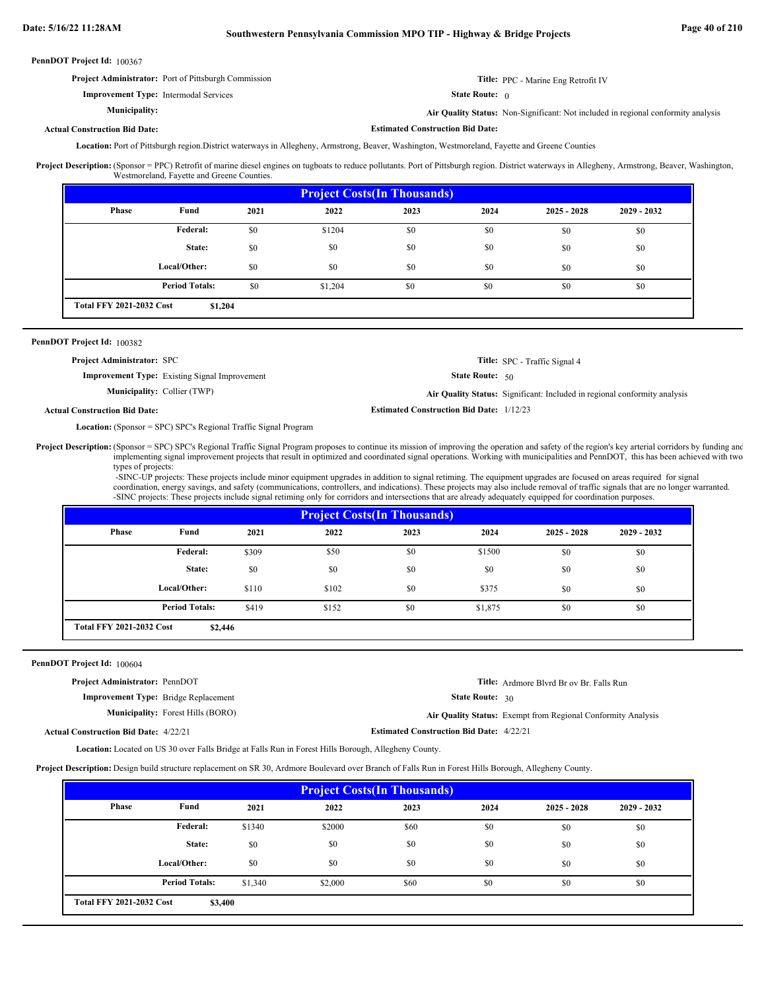**Estimated Construction Bid Date:**

PennDOT Project Id: 100367

| <b>Project Administrator:</b> Port of Pittsburgh Commission | <b>Title:</b> PPC - Marine Eng Retrofit IV                                        |
|-------------------------------------------------------------|-----------------------------------------------------------------------------------|
| <b>Improvement Type:</b> Intermodal Services                | <b>State Route:</b> $\theta$                                                      |
| Municipality:                                               | Air Quality Status: Non-Significant: Not included in regional conformity analysis |

## **Actual Construction Bid Date:**

Location: Port of Pittsburgh region.District waterways in Allegheny, Armstrong, Beaver, Washington, Westmoreland, Fayette and Greene Counties

Project Description: (Sponsor = PPC) Retrofit of marine diesel engines on tugboats to reduce pollutants. Port of Pittsburgh region. District waterways in Allegheny, Armstrong, Beaver, Washington, Westmoreland, Fayette and Greene Counties.

| <b>Project Costs (In Thousands)</b> |                                            |      |         |      |      |               |               |  |
|-------------------------------------|--------------------------------------------|------|---------|------|------|---------------|---------------|--|
| Phase                               | Fund                                       | 2021 | 2022    | 2023 | 2024 | $2025 - 2028$ | $2029 - 2032$ |  |
|                                     | Federal:                                   | \$0  | \$1204  | \$0  | \$0  | \$0           | \$0           |  |
|                                     | State:                                     | \$0  | \$0     | \$0  | \$0  | \$0           | \$0           |  |
|                                     | Local/Other:                               | \$0  | \$0     | \$0  | \$0  | \$0           | \$0           |  |
|                                     | <b>Period Totals:</b>                      | \$0  | \$1,204 | \$0  | \$0  | \$0           | \$0           |  |
|                                     | <b>Total FFY 2021-2032 Cost</b><br>\$1,204 |      |         |      |      |               |               |  |

### PennDOT Project Id: 100382

| <b>Project Administrator: SPC</b>                    | Title: SPC - Traffic Signal 4                                                    |
|------------------------------------------------------|----------------------------------------------------------------------------------|
| <b>Improvement Type:</b> Existing Signal Improvement | <b>State Route:</b> $50$                                                         |
| <b>Municipality:</b> Collier (TWP)                   | <b>Air Quality Status:</b> Significant: Included in regional conformity analysis |
| ll Construction Bid Date:                            | <b>Estimated Construction Bid Date: 1/12/23</b>                                  |

# **Actual Construction Bid Date:**

(Sponsor = SPC) SPC's Regional Traffic Signal Program **Location:**

(Sponsor = SPC) SPC's Regional Traffic Signal Program proposes to continue its mission of improving the operation and safety of the region's key arterial corridors by funding and implementing signal improvement projects that result in optimized and coordinated signal operations. Working with municipalities and PennDOT, this has been achieved with two types of projects: **Project Description:**

 -SINC-UP projects: These projects include minor equipment upgrades in addition to signal retiming. The equipment upgrades are focused on areas required for signal coordination, energy savings, and safety (communications, controllers, and indications). These projects may also include removal of traffic signals that are no longer warranted. -SINC projects: These projects include signal retiming only for corridors and intersections that are already adequately equipped for coordination purposes.

| <b>Project Costs (In Thousands)</b>        |                       |       |       |      |         |               |               |  |
|--------------------------------------------|-----------------------|-------|-------|------|---------|---------------|---------------|--|
| Phase                                      | Fund                  | 2021  | 2022  | 2023 | 2024    | $2025 - 2028$ | $2029 - 2032$ |  |
|                                            | Federal:              | \$309 | \$50  | \$0  | \$1500  | \$0           | \$0           |  |
|                                            | State:                | \$0   | \$0   | \$0  | \$0     | \$0           | \$0           |  |
|                                            | Local/Other:          | \$110 | \$102 | \$0  | \$375   | \$0           | \$0           |  |
|                                            | <b>Period Totals:</b> | \$419 | \$152 | \$0  | \$1,875 | \$0           | \$0           |  |
| <b>Total FFY 2021-2032 Cost</b><br>\$2,446 |                       |       |       |      |         |               |               |  |

#### PennDOT Project Id: 100604

| <b>Project Administrator: PennDOT</b>        | <b>Title:</b> Ardmore Blyrd Br ov Br. Falls Run                     |
|----------------------------------------------|---------------------------------------------------------------------|
| <b>Improvement Type:</b> Bridge Replacement  | <b>State Route:</b> $30$                                            |
| <b>Municipality:</b> Forest Hills (BORO)     | <b>Air Quality Status:</b> Exempt from Regional Conformity Analysis |
| <b>Actual Construction Bid Date: 4/22/21</b> | <b>Estimated Construction Bid Date: 4/22/21</b>                     |

Location: Located on US 30 over Falls Bridge at Falls Run in Forest Hills Borough, Allegheny County.

**Project Description:** Design build structure replacement on SR 30, Ardmore Boulevard over Branch of Falls Run in Forest Hills Borough, Allegheny County.

| <b>Project Costs (In Thousands)</b>        |                       |         |         |      |      |               |               |  |
|--------------------------------------------|-----------------------|---------|---------|------|------|---------------|---------------|--|
| <b>Phase</b>                               | Fund                  | 2021    | 2022    | 2023 | 2024 | $2025 - 2028$ | $2029 - 2032$ |  |
|                                            | Federal:              | \$1340  | \$2000  | \$60 | \$0  | \$0           | \$0           |  |
|                                            | State:                | \$0     | \$0     | \$0  | \$0  | \$0           | \$0           |  |
|                                            | Local/Other:          | \$0     | \$0     | \$0  | \$0  | \$0           | \$0           |  |
|                                            | <b>Period Totals:</b> | \$1,340 | \$2,000 | \$60 | \$0  | \$0           | \$0           |  |
| <b>Total FFY 2021-2032 Cost</b><br>\$3,400 |                       |         |         |      |      |               |               |  |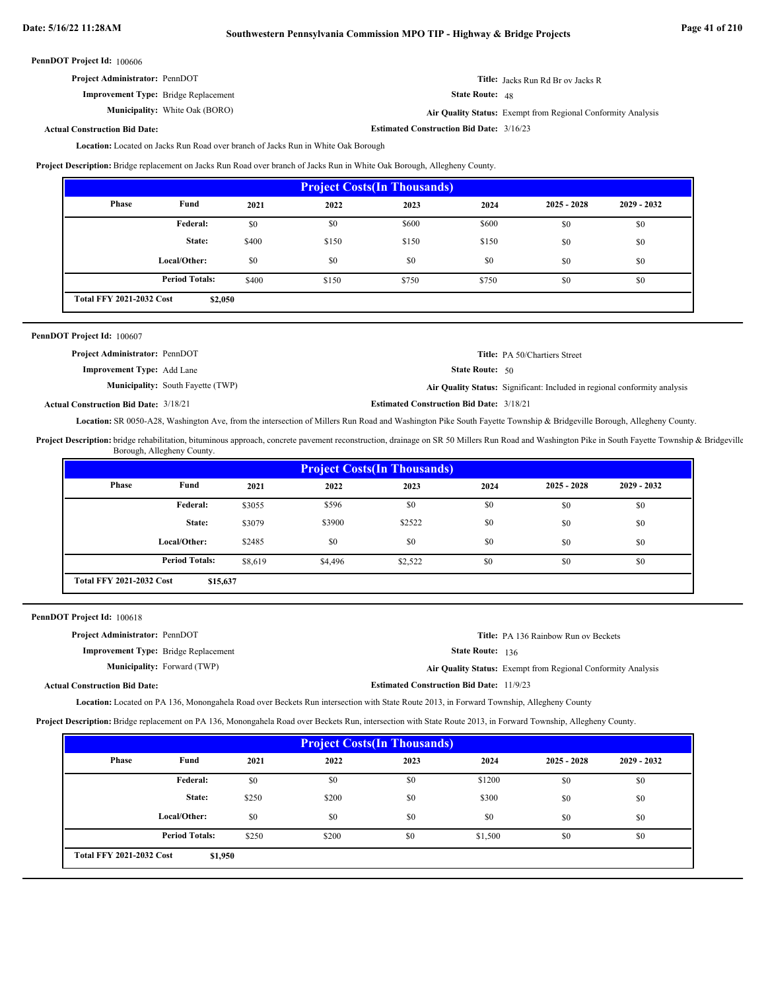# **Date: 5/16/22 11:28AM Southwestern Pennsylvania Commission MPO TIP - Highway & Bridge Projects Page 41 of 210**

**Estimated Construction Bid Date:** 3/16/23

PennDOT Project Id: 100606

| <b>Project Administrator: PennDOT</b>       | <b>Title:</b> Jacks Run Rd Br ov Jacks R |
|---------------------------------------------|------------------------------------------|
| <b>Improvement Type:</b> Bridge Replacement | <b>State Route:</b> $48$                 |

**Municipality:** White Oak (BORO) **Air Quality Status:** 

State Route: 48

Air Quality Status: Exempt from Regional Conformity Analysis

# **Actual Construction Bid Date:**

Location: Located on Jacks Run Road over branch of Jacks Run in White Oak Borough

**Project Description:** Bridge replacement on Jacks Run Road over branch of Jacks Run in White Oak Borough, Allegheny County.

| <b>Project Costs (In Thousands)</b>        |                       |       |       |       |       |               |               |
|--------------------------------------------|-----------------------|-------|-------|-------|-------|---------------|---------------|
| <b>Phase</b>                               | Fund                  | 2021  | 2022  | 2023  | 2024  | $2025 - 2028$ | $2029 - 2032$ |
|                                            | Federal:              | \$0   | \$0   | \$600 | \$600 | \$0           | \$0           |
|                                            | State:                | \$400 | \$150 | \$150 | \$150 | \$0           | \$0           |
|                                            | Local/Other:          | \$0   | \$0   | \$0   | \$0   | \$0           | \$0           |
|                                            | <b>Period Totals:</b> | \$400 | \$150 | \$750 | \$750 | \$0           | \$0           |
| <b>Total FFY 2021-2032 Cost</b><br>\$2,050 |                       |       |       |       |       |               |               |

| <b>PennDOT Project Id: 100607</b>        |                                                                           |
|------------------------------------------|---------------------------------------------------------------------------|
| <b>Project Administrator: PennDOT</b>    | <b>Title:</b> PA 50/Chartiers Street                                      |
| <b>Improvement Type:</b> Add Lane        | <b>State Route: 50</b>                                                    |
| <b>Municipality:</b> South Fayette (TWP) | Air Quality Status: Significant: Included in regional conformity analysis |

**Estimated Construction Bid Date:** 3/18/21 3/18/21 **Actual Construction Bid Date:**

Location: SR 0050-A28, Washington Ave, from the intersection of Millers Run Road and Washington Pike South Fayette Township & Bridgeville Borough, Allegheny County.

Project Description: bridge rehabilitation, bituminous approach, concrete pavement reconstruction, drainage on SR 50 Millers Run Road and Washington Pike in South Fayette Township & Bridgeville Borough, Allegheny County.

|                                             | <b>Project Costs (In Thousands)</b> |         |         |         |      |               |               |  |
|---------------------------------------------|-------------------------------------|---------|---------|---------|------|---------------|---------------|--|
| <b>Phase</b>                                | Fund                                | 2021    | 2022    | 2023    | 2024 | $2025 - 2028$ | $2029 - 2032$ |  |
|                                             | <b>Federal:</b>                     | \$3055  | \$596   | \$0     | \$0  | \$0           | \$0           |  |
|                                             | State:                              | \$3079  | \$3900  | \$2522  | \$0  | \$0           | \$0           |  |
|                                             | Local/Other:                        | \$2485  | \$0     | \$0     | \$0  | \$0           | \$0           |  |
|                                             | <b>Period Totals:</b>               | \$8,619 | \$4,496 | \$2,522 | \$0  | \$0           | \$0           |  |
| <b>Total FFY 2021-2032 Cost</b><br>\$15,637 |                                     |         |         |         |      |               |               |  |

| PennDOT Project Id: 100618                  |                                                              |
|---------------------------------------------|--------------------------------------------------------------|
| Project Administrator: PennDOT              | <b>Title:</b> PA 136 Rainbow Run ov Beckets                  |
| <b>Improvement Type:</b> Bridge Replacement | <b>State Route: 136</b>                                      |
| <b>Municipality:</b> Forward (TWP)          | Air Quality Status: Exempt from Regional Conformity Analysis |
| <b>Actual Construction Bid Date:</b>        | <b>Estimated Construction Bid Date: 11/9/23</b>              |

Location: Located on PA 136, Monongahela Road over Beckets Run intersection with State Route 2013, in Forward Township, Allegheny County

**Project Description:** Bridge replacement on PA 136, Monongahela Road over Beckets Run, intersection with State Route 2013, in Forward Township, Allegheny County.

| <b>Project Costs (In Thousands)</b>        |                       |       |       |      |         |               |               |
|--------------------------------------------|-----------------------|-------|-------|------|---------|---------------|---------------|
| <b>Phase</b>                               | Fund                  | 2021  | 2022  | 2023 | 2024    | $2025 - 2028$ | $2029 - 2032$ |
|                                            | <b>Federal:</b>       | \$0   | \$0   | \$0  | \$1200  | \$0           | \$0           |
|                                            | State:                | \$250 | \$200 | \$0  | \$300   | \$0           | \$0           |
|                                            | Local/Other:          | \$0   | \$0   | \$0  | \$0     | \$0           | \$0           |
|                                            | <b>Period Totals:</b> | \$250 | \$200 | \$0  | \$1,500 | \$0           | \$0           |
| <b>Total FFY 2021-2032 Cost</b><br>\$1,950 |                       |       |       |      |         |               |               |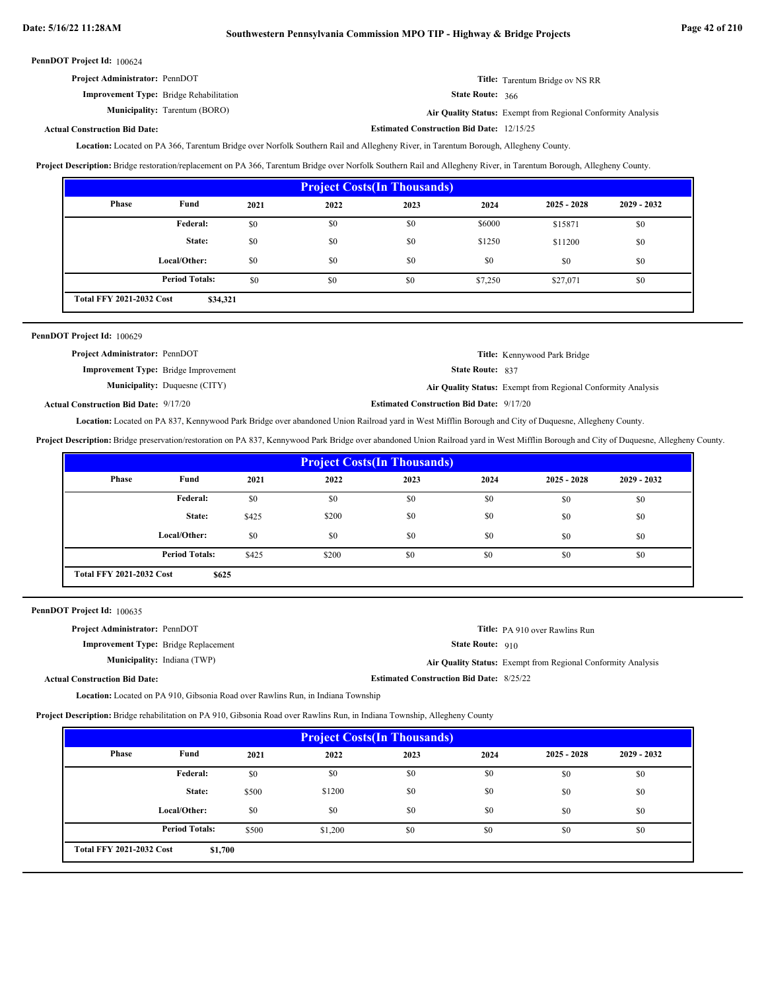| <b>Project Administrator: PennDOT</b>          |                         | <b>Title:</b> Tarentum Bridge ov NS RR                    |
|------------------------------------------------|-------------------------|-----------------------------------------------------------|
| <b>Improvement Type:</b> Bridge Rehabilitation | <b>State Route: 366</b> |                                                           |
| <b>Municipality:</b> Tarentum (BORO)           |                         | Air Quality Status: Exempt from Regional Conformity Analy |

Tarentum (BORO) **Air Quality Status:** Exempt from Regional Conformity Analysis

**Estimated Construction Bid Date:** 12/15/25

#### **Actual Construction Bid Date:**

Location: Located on PA 366, Tarentum Bridge over Norfolk Southern Rail and Allegheny River, in Tarentum Borough, Allegheny County.

**Project Description:** Bridge restoration/replacement on PA 366, Tarentum Bridge over Norfolk Southern Rail and Allegheny River, in Tarentum Borough, Allegheny County.

| <b>Project Costs (In Thousands)</b>         |                       |      |      |      |         |               |               |
|---------------------------------------------|-----------------------|------|------|------|---------|---------------|---------------|
| Phase                                       | Fund                  | 2021 | 2022 | 2023 | 2024    | $2025 - 2028$ | $2029 - 2032$ |
|                                             | Federal:              | \$0  | \$0  | \$0  | \$6000  | \$15871       | \$0           |
|                                             | State:                | \$0  | \$0  | \$0  | \$1250  | \$11200       | \$0           |
|                                             | Local/Other:          | \$0  | \$0  | \$0  | \$0     | \$0           | \$0           |
|                                             | <b>Period Totals:</b> | \$0  | \$0  | \$0  | \$7,250 | \$27,071      | \$0           |
| <b>Total FFY 2021-2032 Cost</b><br>\$34,321 |                       |      |      |      |         |               |               |

| PennDOT Project Id: 100629                   |                                      |                                                 |                                                              |
|----------------------------------------------|--------------------------------------|-------------------------------------------------|--------------------------------------------------------------|
| Project Administrator: PennDOT               |                                      |                                                 | Title: Kennywood Park Bridge                                 |
| <b>Improvement Type:</b> Bridge Improvement  |                                      | <b>State Route: 837</b>                         |                                                              |
|                                              | <b>Municipality:</b> Duquesne (CITY) |                                                 | Air Quality Status: Exempt from Regional Conformity Analysis |
| <b>Actual Construction Bid Date: 9/17/20</b> |                                      | <b>Estimated Construction Bid Date: 9/17/20</b> |                                                              |

**Actual Construction Bid Date:**

Location: Located on PA 837, Kennywood Park Bridge over abandoned Union Railroad yard in West Mifflin Borough and City of Duquesne, Allegheny County.

**Project Description:** Bridge preservation/restoration on PA 837, Kennywood Park Bridge over abandoned Union Railroad yard in West Mifflin Borough and City of Duquesne, Allegheny County.

| <b>Project Costs(In Thousands)</b>       |                       |       |       |      |      |               |               |
|------------------------------------------|-----------------------|-------|-------|------|------|---------------|---------------|
| Phase                                    | Fund                  | 2021  | 2022  | 2023 | 2024 | $2025 - 2028$ | $2029 - 2032$ |
|                                          | Federal:              | \$0   | \$0   | \$0  | \$0  | \$0           | \$0           |
|                                          | State:                | \$425 | \$200 | \$0  | \$0  | \$0           | \$0           |
|                                          | Local/Other:          | \$0   | \$0   | \$0  | \$0  | \$0           | \$0           |
|                                          | <b>Period Totals:</b> | \$425 | \$200 | \$0  | \$0  | \$0           | \$0           |
| <b>Total FFY 2021-2032 Cost</b><br>\$625 |                       |       |       |      |      |               |               |

PennDOT Project Id: 100635

| <b>Project Administrator: PennDOT</b>       | <b>Title:</b> PA 910 over Rawlins Run                        |
|---------------------------------------------|--------------------------------------------------------------|
| <b>Improvement Type:</b> Bridge Replacement | <b>State Route: 910</b>                                      |
| <b>Municipality:</b> Indiana (TWP)          | Air Quality Status: Exempt from Regional Conformity Analysis |
| <b>Actual Construction Bid Date:</b>        | <b>Estimated Construction Bid Date: 8/25/22</b>              |

**Location:** Located on PA 910, Gibsonia Road over Rawlins Run, in Indiana Township

**Project Description:** Bridge rehabilitation on PA 910, Gibsonia Road over Rawlins Run, in Indiana Township, Allegheny County

| <b>Project Costs (In Thousands)</b>        |                       |       |         |      |      |               |               |
|--------------------------------------------|-----------------------|-------|---------|------|------|---------------|---------------|
| Phase                                      | Fund                  | 2021  | 2022    | 2023 | 2024 | $2025 - 2028$ | $2029 - 2032$ |
|                                            | <b>Federal:</b>       | \$0   | \$0     | \$0  | \$0  | \$0           | \$0           |
|                                            | State:                | \$500 | \$1200  | \$0  | \$0  | \$0           | \$0           |
|                                            | Local/Other:          | \$0   | \$0     | \$0  | \$0  | \$0           | \$0           |
|                                            | <b>Period Totals:</b> | \$500 | \$1,200 | \$0  | \$0  | \$0           | \$0           |
| <b>Total FFY 2021-2032 Cost</b><br>\$1,700 |                       |       |         |      |      |               |               |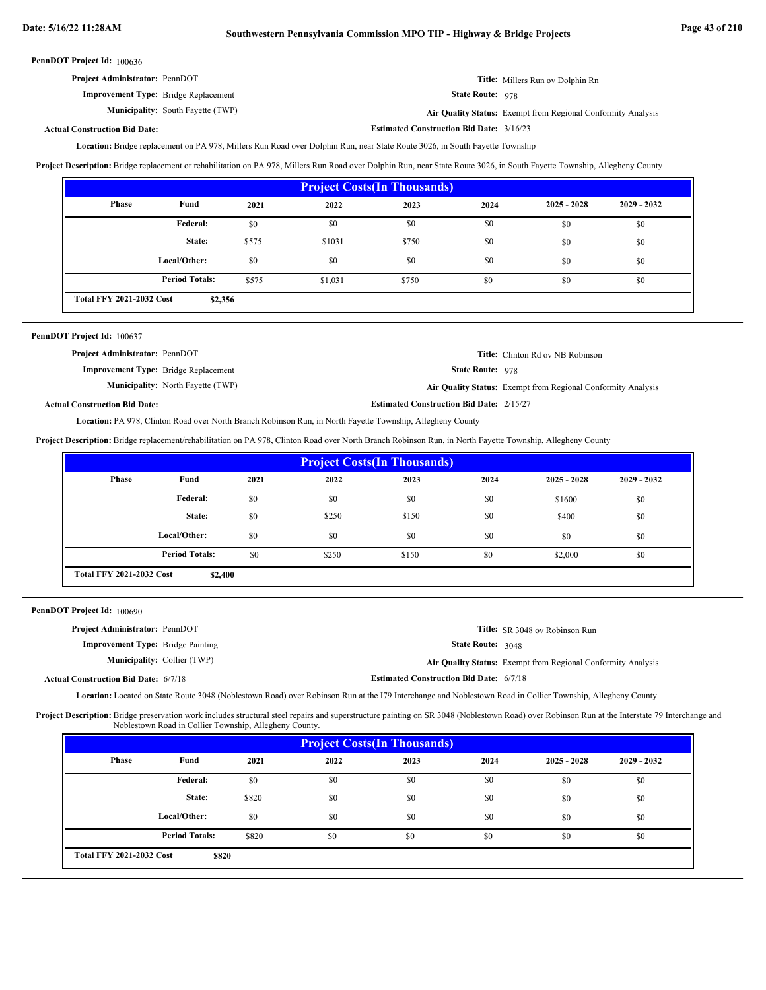| <b>Project Administrator: PennDOT</b>       | <b>Title:</b> Millers Run ov Dolphin Rn |
|---------------------------------------------|-----------------------------------------|
| <b>Improvement Type:</b> Bridge Replacement | <b>State Route: 978</b>                 |

**Municipality:** South Fayette (TWP) **Air Quality Status:** 

Air Quality Status: Exempt from Regional Conformity Analysis

**Estimated Construction Bid Date:** 3/16/23

# **Actual Construction Bid Date:**

Location: Bridge replacement on PA 978, Millers Run Road over Dolphin Run, near State Route 3026, in South Fayette Township

**Project Description:** Bridge replacement or rehabilitation on PA 978, Millers Run Road over Dolphin Run, near State Route 3026, in South Fayette Township, Allegheny County

| <b>Project Costs (In Thousands)</b>        |                       |       |         |       |      |               |               |  |
|--------------------------------------------|-----------------------|-------|---------|-------|------|---------------|---------------|--|
| Phase                                      | Fund                  | 2021  | 2022    | 2023  | 2024 | $2025 - 2028$ | $2029 - 2032$ |  |
|                                            | Federal:              | \$0   | \$0     | \$0   | \$0  | \$0           | \$0           |  |
|                                            | State:                | \$575 | \$1031  | \$750 | \$0  | \$0           | \$0           |  |
|                                            | Local/Other:          | \$0   | \$0     | \$0   | \$0  | \$0           | \$0           |  |
|                                            | <b>Period Totals:</b> | \$575 | \$1,031 | \$750 | \$0  | \$0           | \$0           |  |
| <b>Total FFY 2021-2032 Cost</b><br>\$2,356 |                       |       |         |       |      |               |               |  |

| PennDOT Project Id: 100637                  |                                          |                                                 |                                                              |
|---------------------------------------------|------------------------------------------|-------------------------------------------------|--------------------------------------------------------------|
| <b>Project Administrator: PennDOT</b>       |                                          |                                                 | <b>Title:</b> Clinton Rd ov NB Robinson                      |
| <b>Improvement Type:</b> Bridge Replacement |                                          | <b>State Route: 978</b>                         |                                                              |
|                                             | <b>Municipality:</b> North Fayette (TWP) |                                                 | Air Quality Status: Exempt from Regional Conformity Analysis |
| <b>Actual Construction Bid Date:</b>        |                                          | <b>Estimated Construction Bid Date: 2/15/27</b> |                                                              |

Location: PA 978, Clinton Road over North Branch Robinson Run, in North Fayette Township, Allegheny County

**Project Description:** Bridge replacement/rehabilitation on PA 978, Clinton Road over North Branch Robinson Run, in North Fayette Township, Allegheny County

| <b>Project Costs (In Thousands)</b>        |                       |      |       |       |      |               |               |
|--------------------------------------------|-----------------------|------|-------|-------|------|---------------|---------------|
| Phase                                      | Fund                  | 2021 | 2022  | 2023  | 2024 | $2025 - 2028$ | $2029 - 2032$ |
|                                            | Federal:              | \$0  | \$0   | \$0   | \$0  | \$1600        | \$0           |
|                                            | State:                | \$0  | \$250 | \$150 | \$0  | \$400         | \$0           |
|                                            | Local/Other:          | \$0  | \$0   | \$0   | \$0  | \$0           | \$0           |
|                                            | <b>Period Totals:</b> | \$0  | \$250 | \$150 | \$0  | \$2,000       | \$0           |
| <b>Total FFY 2021-2032 Cost</b><br>\$2,400 |                       |      |       |       |      |               |               |

PennDOT Project Id: 100690

| <b>Project Administrator: PennDOT</b>       |                                                | <b>Title:</b> SR 3048 ov Robinson Run                        |
|---------------------------------------------|------------------------------------------------|--------------------------------------------------------------|
| <b>Improvement Type:</b> Bridge Painting    | <b>State Route: 3048</b>                       |                                                              |
| <b>Municipality:</b> Collier (TWP)          |                                                | Air Quality Status: Exempt from Regional Conformity Analysis |
| <b>Actual Construction Bid Date: 6/7/18</b> | <b>Estimated Construction Bid Date: 6/7/18</b> |                                                              |

Location: Located on State Route 3048 (Noblestown Road) over Robinson Run at the I79 Interchange and Noblestown Road in Collier Township, Allegheny County

Project Description: Bridge preservation work includes structural steel repairs and superstructure painting on SR 3048 (Noblestown Road) over Robinson Run at the Interstate 79 Interchange and Noblestown Road in Collier Township, Allegheny County.

| <b>Project Costs(In Thousands)</b>              |                       |       |      |      |      |               |               |
|-------------------------------------------------|-----------------------|-------|------|------|------|---------------|---------------|
| <b>Phase</b>                                    | Fund                  | 2021  | 2022 | 2023 | 2024 | $2025 - 2028$ | $2029 - 2032$ |
|                                                 | <b>Federal:</b>       | \$0   | \$0  | \$0  | \$0  | \$0           | \$0           |
|                                                 | State:                | \$820 | \$0  | \$0  | \$0  | \$0           | \$0           |
|                                                 | Local/Other:          | \$0   | \$0  | \$0  | \$0  | \$0           | \$0           |
|                                                 | <b>Period Totals:</b> | \$820 | \$0  | \$0  | \$0  | \$0           | \$0           |
| <b>Total FFY 2021-2032 Cost</b><br><b>\$820</b> |                       |       |      |      |      |               |               |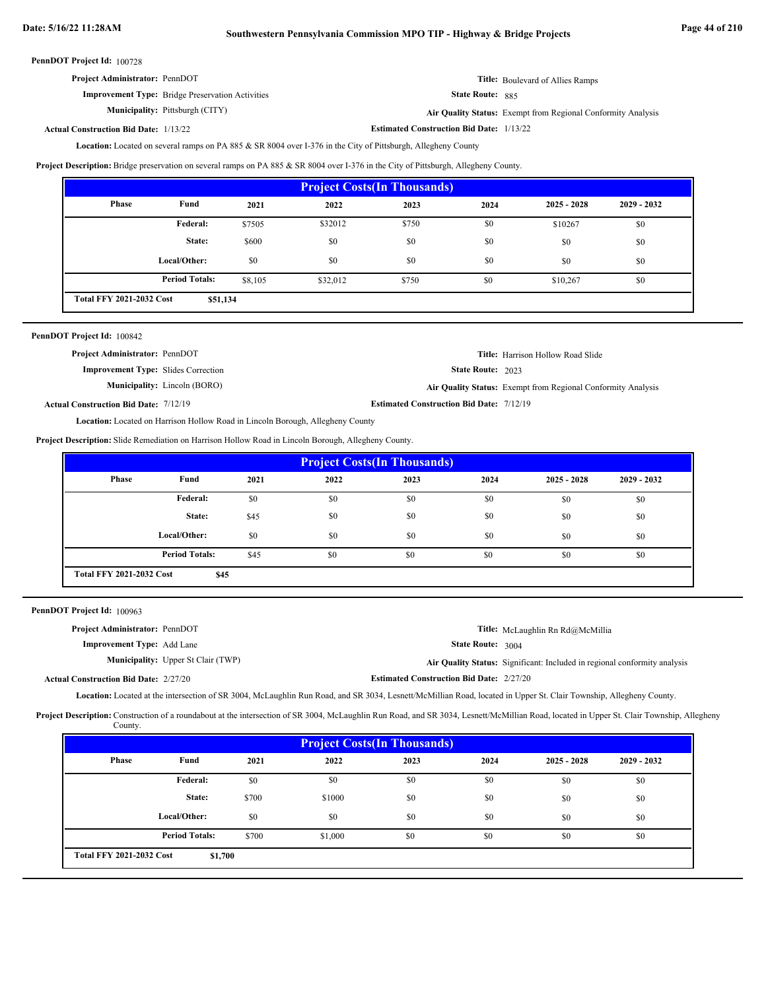# **Date: 5/16/22 11:28AM Southwestern Pennsylvania Commission MPO TIP - Highway & Bridge Projects Page 44 of 210**

PennDOT Project Id: 100728

| <b>Project Administrator: PennDOT</b>                   | <b>Title:</b> Boulevard of Allies Ramps |
|---------------------------------------------------------|-----------------------------------------|
| <b>Improvement Type:</b> Bridge Preservation Activities | <b>State Route: 885</b>                 |

**Municipality:**

 885  **State Route:**

Pittsburgh (CITY) **Air Quality Status:** Exempt from Regional Conformity Analysis

#### **Estimated Construction Bid Date:** 1/13/22 **Actual Construction Bid Date:**

Location: Located on several ramps on PA 885 & SR 8004 over I-376 in the City of Pittsburgh, Allegheny County

**Project Description:** Bridge preservation on several ramps on PA 885 & SR 8004 over I-376 in the City of Pittsburgh, Allegheny County.

| <b>Project Costs (In Thousands)</b>         |                       |         |          |       |      |               |               |
|---------------------------------------------|-----------------------|---------|----------|-------|------|---------------|---------------|
| <b>Phase</b>                                | Fund                  | 2021    | 2022     | 2023  | 2024 | $2025 - 2028$ | $2029 - 2032$ |
|                                             | Federal:              | \$7505  | \$32012  | \$750 | \$0  | \$10267       | \$0           |
|                                             | State:                | \$600   | \$0      | \$0   | \$0  | \$0           | \$0           |
|                                             | Local/Other:          | \$0     | \$0      | \$0   | \$0  | \$0           | \$0           |
|                                             | <b>Period Totals:</b> | \$8,105 | \$32,012 | \$750 | \$0  | \$10,267      | \$0           |
| <b>Total FFY 2021-2032 Cost</b><br>\$51,134 |                       |         |          |       |      |               |               |

| <b>PennDOT Project Id: 100842</b>            |                                     |                                                 |                                                              |
|----------------------------------------------|-------------------------------------|-------------------------------------------------|--------------------------------------------------------------|
| <b>Project Administrator: PennDOT</b>        |                                     |                                                 | <b>Title:</b> Harrison Hollow Road Slide                     |
| <b>Improvement Type:</b> Slides Correction   |                                     | <b>State Route: 2023</b>                        |                                                              |
|                                              | <b>Municipality:</b> Lincoln (BORO) |                                                 | Air Quality Status: Exempt from Regional Conformity Analysis |
| <b>Actual Construction Bid Date: 7/12/19</b> |                                     | <b>Estimated Construction Bid Date: 7/12/19</b> |                                                              |

**Actual Construction Bid Date:**

Location: Located on Harrison Hollow Road in Lincoln Borough, Allegheny County

**Project Description:** Slide Remediation on Harrison Hollow Road in Lincoln Borough, Allegheny County.

| <b>Project Costs (In Thousands)</b>     |                       |      |      |      |      |               |               |
|-----------------------------------------|-----------------------|------|------|------|------|---------------|---------------|
| Phase                                   | Fund                  | 2021 | 2022 | 2023 | 2024 | $2025 - 2028$ | $2029 - 2032$ |
|                                         | Federal:              | \$0  | \$0  | \$0  | \$0  | \$0           | \$0           |
|                                         | State:                | \$45 | \$0  | \$0  | \$0  | \$0           | \$0           |
|                                         | Local/Other:          | \$0  | \$0  | \$0  | \$0  | \$0           | \$0           |
|                                         | <b>Period Totals:</b> | \$45 | \$0  | \$0  | \$0  | \$0           | \$0           |
| <b>Total FFY 2021-2032 Cost</b><br>\$45 |                       |      |      |      |      |               |               |

PennDOT Project Id: 100963

| <b>Project Administrator: PennDOT</b>        |                                           |                                                 | <b>Title:</b> McLaughlin Rn Rd@McMillia                                   |
|----------------------------------------------|-------------------------------------------|-------------------------------------------------|---------------------------------------------------------------------------|
| <b>Improvement Type:</b> Add Lane            |                                           | <b>State Route: 3004</b>                        |                                                                           |
|                                              | <b>Municipality:</b> Upper St Clair (TWP) |                                                 | Air Quality Status: Significant: Included in regional conformity analysis |
| <b>Actual Construction Bid Date: 2/27/20</b> |                                           | <b>Estimated Construction Bid Date: 2/27/20</b> |                                                                           |

Location: Located at the intersection of SR 3004, McLaughlin Run Road, and SR 3034, Lesnett/McMillian Road, located in Upper St. Clair Township, Allegheny County.

Project Description: Construction of a roundabout at the intersection of SR 3004, McLaughlin Run Road, and SR 3034, Lesnett/McMillian Road, located in Upper St. Clair Township, Allegheny County.

| <b>Project Costs (In Thousands)</b>        |                       |       |         |      |      |               |               |
|--------------------------------------------|-----------------------|-------|---------|------|------|---------------|---------------|
| <b>Phase</b>                               | Fund                  | 2021  | 2022    | 2023 | 2024 | $2025 - 2028$ | $2029 - 2032$ |
|                                            | Federal:              | \$0   | \$0     | \$0  | \$0  | \$0           | \$0           |
|                                            | State:                | \$700 | \$1000  | \$0  | \$0  | \$0           | \$0           |
|                                            | Local/Other:          | \$0   | \$0     | \$0  | \$0  | \$0           | \$0           |
|                                            | <b>Period Totals:</b> | \$700 | \$1,000 | \$0  | \$0  | \$0           | \$0           |
| <b>Total FFY 2021-2032 Cost</b><br>\$1,700 |                       |       |         |      |      |               |               |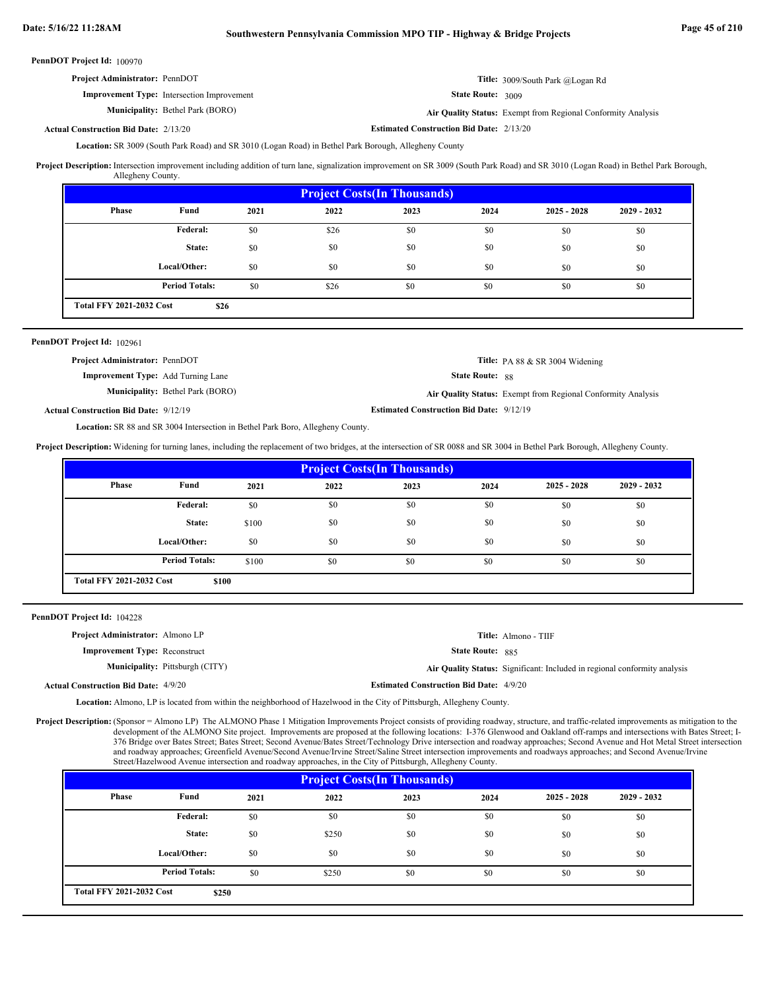# **Date: 5/16/22 11:28AM Southwestern Pennsylvania Commission MPO TIP - Highway & Bridge Projects Page 45 of 210**

PennDOT Project Id: 100970

| <b>Project Administrator: PennDOT</b> |                                                   |                   | <b>Title:</b> 3009/South Park @Logan Rd                      |
|---------------------------------------|---------------------------------------------------|-------------------|--------------------------------------------------------------|
|                                       | <b>Improvement Type:</b> Intersection Improvement | State Route: 3009 |                                                              |
|                                       | <b>Municipality:</b> Bethel Park (BORO)           |                   | Air Quality Status: Exempt from Regional Conformity Analysis |

**Estimated Construction Bid Date:** 2/13/20 2/13/20 **Actual Construction Bid Date:**

Location: SR 3009 (South Park Road) and SR 3010 (Logan Road) in Bethel Park Borough, Allegheny County

Project Description: Intersection improvement including addition of turn lane, signalization improvement on SR 3009 (South Park Road) and SR 3010 (Logan Road) in Bethel Park Borough, Allegheny County.

| <b>Project Costs (In Thousands)</b>     |                       |      |      |      |      |               |               |
|-----------------------------------------|-----------------------|------|------|------|------|---------------|---------------|
| <b>Phase</b>                            | Fund                  | 2021 | 2022 | 2023 | 2024 | $2025 - 2028$ | $2029 - 2032$ |
|                                         | Federal:              | \$0  | \$26 | \$0  | \$0  | \$0           | \$0           |
|                                         | State:                | \$0  | \$0  | \$0  | \$0  | \$0           | \$0           |
|                                         | Local/Other:          | \$0  | \$0  | \$0  | \$0  | \$0           | \$0           |
|                                         | <b>Period Totals:</b> | \$0  | \$26 | \$0  | \$0  | \$0           | \$0           |
| <b>Total FFY 2021-2032 Cost</b><br>\$26 |                       |      |      |      |      |               |               |

#### PennDOT Project Id: 102961

| <b>Project Administrator: PennDOT</b>     | <b>Title:</b> PA 88 $&$ SR 3004 Widening                     |
|-------------------------------------------|--------------------------------------------------------------|
| <b>Improvement Type:</b> Add Turning Lane | <b>State Route: 88</b>                                       |
| <b>Municipality:</b> Bethel Park (BORO)   | Air Quality Status: Exempt from Regional Conformity Analysis |
| al Construction Bid Date: 9/12/19         | <b>Estimated Construction Bid Date: 9/12/19</b>              |

**Actual Construction Bid Date:**

Location: SR 88 and SR 3004 Intersection in Bethel Park Boro, Allegheny County.

**Project Description:** Widening for turning lanes, including the replacement of two bridges, at the intersection of SR 0088 and SR 3004 in Bethel Park Borough, Allegheny County.

| <b>Project Costs (In Thousands)</b>      |                       |       |      |      |      |               |               |
|------------------------------------------|-----------------------|-------|------|------|------|---------------|---------------|
| <b>Phase</b>                             | Fund                  | 2021  | 2022 | 2023 | 2024 | $2025 - 2028$ | $2029 - 2032$ |
|                                          | <b>Federal:</b>       | \$0   | \$0  | \$0  | \$0  | \$0           | \$0           |
|                                          | State:                | \$100 | \$0  | \$0  | \$0  | \$0           | \$0           |
|                                          | Local/Other:          | \$0   | \$0  | \$0  | \$0  | \$0           | \$0           |
|                                          | <b>Period Totals:</b> | \$100 | \$0  | \$0  | \$0  | \$0           | \$0           |
| <b>Total FFY 2021-2032 Cost</b><br>\$100 |                       |       |      |      |      |               |               |

PennDOT Project Id: 104228

| <b>Project Administrator:</b> Almono LP     |                                        |                                                | <b>Title:</b> Almono - TIIF                                               |
|---------------------------------------------|----------------------------------------|------------------------------------------------|---------------------------------------------------------------------------|
| <b>Improvement Type: Reconstruct</b>        |                                        | <b>State Route: 885</b>                        |                                                                           |
|                                             | <b>Municipality:</b> Pittsburgh (CITY) |                                                | Air Quality Status: Significant: Included in regional conformity analysis |
| <b>Actual Construction Bid Date: 4/9/20</b> |                                        | <b>Estimated Construction Bid Date: 4/9/20</b> |                                                                           |

Location: Almono, LP is located from within the neighborhood of Hazelwood in the City of Pittsburgh, Allegheny County.

Project Description: (Sponsor = Almono LP) The ALMONO Phase 1 Mitigation Improvements Project consists of providing roadway, structure, and traffic-related improvements as mitigation to the development of the ALMONO Site project. Improvements are proposed at the following locations: I-376 Glenwood and Oakland off-ramps and intersections with Bates Street; I-376 Bridge over Bates Street; Bates Street; Second Avenue/Bates Street/Technology Drive intersection and roadway approaches; Second Avenue and Hot Metal Street intersection and roadway approaches; Greenfield Avenue/Second Avenue/Irvine Street/Saline Street intersection improvements and roadways approaches; and Second Avenue/Irvine Street/Hazelwood Avenue intersection and roadway approaches, in the City of Pittsburgh, Allegheny County.

| <b>Project Costs (In Thousands)</b>      |                       |      |       |      |      |               |               |
|------------------------------------------|-----------------------|------|-------|------|------|---------------|---------------|
| <b>Phase</b>                             | Fund                  | 2021 | 2022  | 2023 | 2024 | $2025 - 2028$ | $2029 - 2032$ |
|                                          | <b>Federal:</b>       | \$0  | \$0   | \$0  | \$0  | \$0           | \$0           |
|                                          | State:                | \$0  | \$250 | \$0  | \$0  | \$0           | \$0           |
|                                          | Local/Other:          | \$0  | \$0   | \$0  | \$0  | \$0           | \$0           |
|                                          | <b>Period Totals:</b> | \$0  | \$250 | \$0  | \$0  | \$0           | \$0           |
| <b>Total FFY 2021-2032 Cost</b><br>\$250 |                       |      |       |      |      |               |               |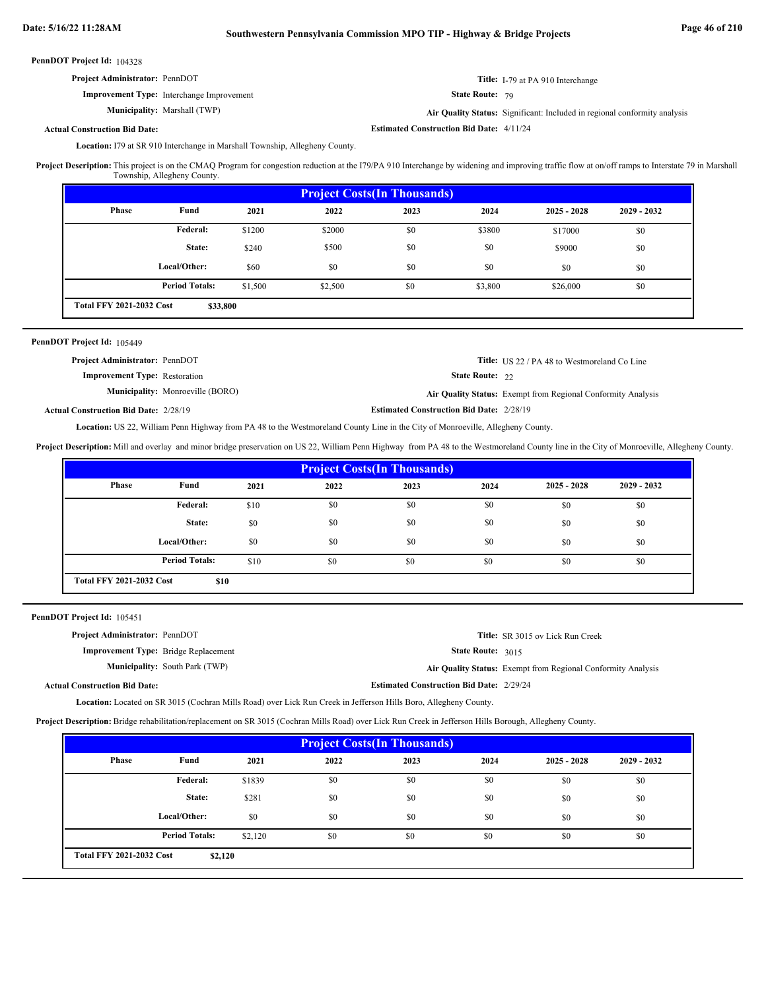| <b>Project Administrator: PennDOT</b>            | Title: I-79 at PA 910 Interchange                                         |
|--------------------------------------------------|---------------------------------------------------------------------------|
| <b>Improvement Type:</b> Interchange Improvement | <b>State Route: 79</b>                                                    |
| <b>Municipality:</b> Marshall (TWP)              | Air Quality Status: Significant: Included in regional conformity analysis |

**Actual Construction Bid Date:**

**Estimated Construction Bid Date:** 4/11/24

Location: I79 at SR 910 Interchange in Marshall Township, Allegheny County.

Project Description: This project is on the CMAQ Program for congestion reduction at the I79/PA 910 Interchange by widening and improving traffic flow at on/off ramps to Interstate 79 in Marshall Township, Allegheny County.

| <b>Project Costs (In Thousands)</b>         |                       |         |         |      |         |               |               |
|---------------------------------------------|-----------------------|---------|---------|------|---------|---------------|---------------|
| Phase                                       | Fund                  | 2021    | 2022    | 2023 | 2024    | $2025 - 2028$ | $2029 - 2032$ |
|                                             | Federal:              | \$1200  | \$2000  | \$0  | \$3800  | \$17000       | \$0           |
|                                             | State:                | \$240   | \$500   | \$0  | \$0     | \$9000        | \$0           |
|                                             | Local/Other:          | \$60    | \$0     | \$0  | \$0     | \$0           | \$0           |
|                                             | <b>Period Totals:</b> | \$1,500 | \$2,500 | \$0  | \$3,800 | \$26,000      | \$0           |
| <b>Total FFY 2021-2032 Cost</b><br>\$33,800 |                       |         |         |      |         |               |               |

### PennDOT Project Id: 105449

| <b>Project Administrator: PennDOT</b> |                                         |                        | <b>Title:</b> US 22 / PA 48 to Westmoreland Co Line                 |
|---------------------------------------|-----------------------------------------|------------------------|---------------------------------------------------------------------|
| <b>Improvement Type:</b> Restoration  |                                         | <b>State Route: 22</b> |                                                                     |
|                                       | <b>Municipality:</b> Monroeville (BORO) |                        | <b>Air Quality Status:</b> Exempt from Regional Conformity Analysis |

**Actual Construction Bid Date:**

**Estimated Construction Bid Date:** 2/28/19 2/28/19

Location: US 22, William Penn Highway from PA 48 to the Westmoreland County Line in the City of Monroeville, Allegheny County.

**Project Description:** Mill and overlay and minor bridge preservation on US 22, William Penn Highway from PA 48 to the Westmoreland County line in the City of Monroeville, Allegheny County.

| <b>Project Costs (In Thousands)</b>     |                       |      |      |      |      |               |               |
|-----------------------------------------|-----------------------|------|------|------|------|---------------|---------------|
| Phase                                   | Fund                  | 2021 | 2022 | 2023 | 2024 | $2025 - 2028$ | $2029 - 2032$ |
|                                         | <b>Federal:</b>       | \$10 | \$0  | \$0  | \$0  | \$0           | \$0           |
|                                         | State:                | \$0  | \$0  | \$0  | \$0  | \$0           | \$0           |
|                                         | Local/Other:          | \$0  | \$0  | \$0  | \$0  | \$0           | \$0           |
|                                         | <b>Period Totals:</b> | \$10 | \$0  | \$0  | \$0  | \$0           | \$0           |
| <b>Total FFY 2021-2032 Cost</b><br>\$10 |                       |      |      |      |      |               |               |

PennDOT Project Id: 105451

| <b>Project Administrator: PennDOT</b>       |                                       |                                                 | <b>Title:</b> SR 3015 ov Lick Run Creek                      |
|---------------------------------------------|---------------------------------------|-------------------------------------------------|--------------------------------------------------------------|
| <b>Improvement Type:</b> Bridge Replacement |                                       | State Route: 3015                               |                                                              |
|                                             | <b>Municipality:</b> South Park (TWP) |                                                 | Air Quality Status: Exempt from Regional Conformity Analysis |
| <b>Actual Construction Bid Date:</b>        |                                       | <b>Estimated Construction Bid Date: 2/29/24</b> |                                                              |
|                                             |                                       |                                                 |                                                              |

Location: Located on SR 3015 (Cochran Mills Road) over Lick Run Creek in Jefferson Hills Boro, Allegheny County.

**Project Description:** Bridge rehabilitation/replacement on SR 3015 (Cochran Mills Road) over Lick Run Creek in Jefferson Hills Borough, Allegheny County.

| <b>Project Costs (In Thousands)</b>        |                       |         |      |      |      |               |               |  |
|--------------------------------------------|-----------------------|---------|------|------|------|---------------|---------------|--|
| Phase                                      | Fund                  | 2021    | 2022 | 2023 | 2024 | $2025 - 2028$ | $2029 - 2032$ |  |
|                                            | Federal:              | \$1839  | \$0  | \$0  | \$0  | \$0           | \$0           |  |
|                                            | State:                | \$281   | \$0  | \$0  | \$0  | \$0           | \$0           |  |
|                                            | Local/Other:          | \$0     | \$0  | \$0  | \$0  | \$0           | \$0           |  |
|                                            | <b>Period Totals:</b> | \$2,120 | \$0  | \$0  | \$0  | \$0           | \$0           |  |
| <b>Total FFY 2021-2032 Cost</b><br>\$2,120 |                       |         |      |      |      |               |               |  |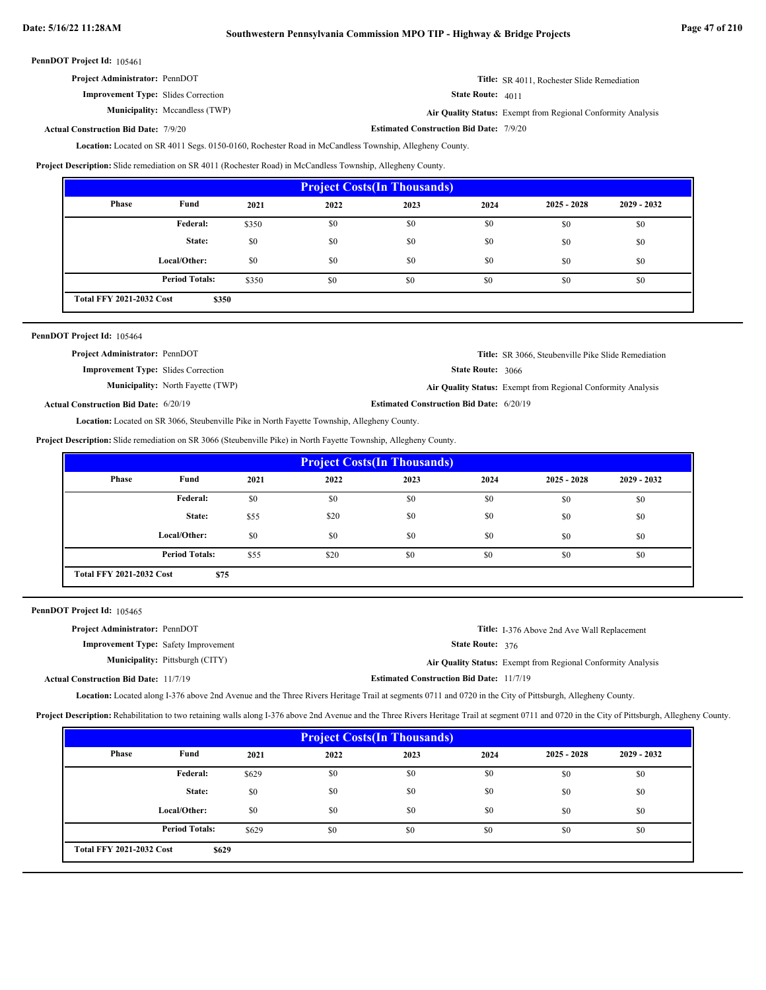| <b>Project Administrator: PennDOT</b> | <b>Title:</b> SR 4011. Rochester Slide Remediation |
|---------------------------------------|----------------------------------------------------|
|---------------------------------------|----------------------------------------------------|

**Improvement Type:** Slides Correction

**Municipality:**

State Route: 4011 Mccandless (TWP) **Air Quality Status:** Exempt from Regional Conformity Analysis

**Actual Construction Bid Date:**

**Estimated Construction Bid Date:** 7/9/20 7/9/20

Location: Located on SR 4011 Segs. 0150-0160, Rochester Road in McCandless Township, Allegheny County.

**Project Description:** Slide remediation on SR 4011 (Rochester Road) in McCandless Township, Allegheny County.

| <b>Project Costs (In Thousands)</b>      |                       |       |      |      |      |               |               |  |
|------------------------------------------|-----------------------|-------|------|------|------|---------------|---------------|--|
| Phase                                    | Fund                  | 2021  | 2022 | 2023 | 2024 | $2025 - 2028$ | $2029 - 2032$ |  |
|                                          | <b>Federal:</b>       | \$350 | \$0  | \$0  | \$0  | \$0           | \$0           |  |
|                                          | State:                | \$0   | \$0  | \$0  | \$0  | \$0           | \$0           |  |
|                                          | Local/Other:          | \$0   | \$0  | \$0  | \$0  | \$0           | \$0           |  |
|                                          | <b>Period Totals:</b> | \$350 | \$0  | \$0  | \$0  | \$0           | \$0           |  |
| <b>Total FFY 2021-2032 Cost</b><br>\$350 |                       |       |      |      |      |               |               |  |

| PennDOT Project Id: 105464                   |                                          |                                                 |                                                              |
|----------------------------------------------|------------------------------------------|-------------------------------------------------|--------------------------------------------------------------|
| <b>Project Administrator: PennDOT</b>        |                                          |                                                 | <b>Title:</b> SR 3066, Steubenville Pike Slide Remediation   |
| <b>Improvement Type:</b> Slides Correction   |                                          | <b>State Route: 3066</b>                        |                                                              |
|                                              | <b>Municipality:</b> North Fayette (TWP) |                                                 | Air Quality Status: Exempt from Regional Conformity Analysis |
| <b>Actual Construction Bid Date: 6/20/19</b> |                                          | <b>Estimated Construction Bid Date: 6/20/19</b> |                                                              |

Location: Located on SR 3066, Steubenville Pike in North Fayette Township, Allegheny County.

**Project Description:** Slide remediation on SR 3066 (Steubenville Pike) in North Fayette Township, Allegheny County.

| <b>Project Costs (In Thousands)</b>     |                       |      |      |      |      |               |               |
|-----------------------------------------|-----------------------|------|------|------|------|---------------|---------------|
| Phase                                   | Fund                  | 2021 | 2022 | 2023 | 2024 | $2025 - 2028$ | $2029 - 2032$ |
|                                         | Federal:              | \$0  | \$0  | \$0  | \$0  | \$0           | \$0           |
|                                         | State:                | \$55 | \$20 | \$0  | \$0  | \$0           | \$0           |
|                                         | Local/Other:          | \$0  | \$0  | \$0  | \$0  | \$0           | \$0           |
|                                         | <b>Period Totals:</b> | \$55 | \$20 | \$0  | \$0  | \$0           | \$0           |
| <b>Total FFY 2021-2032 Cost</b><br>\$75 |                       |      |      |      |      |               |               |

PennDOT Project Id: 105465

| <b>Project Administrator: PennDOT</b>        |                                        |                                                 | <b>Title:</b> I-376 Above 2nd Ave Wall Replacement           |
|----------------------------------------------|----------------------------------------|-------------------------------------------------|--------------------------------------------------------------|
| <b>Improvement Type:</b> Safety Improvement  |                                        | <b>State Route: 376</b>                         |                                                              |
|                                              | <b>Municipality:</b> Pittsburgh (CITY) |                                                 | Air Quality Status: Exempt from Regional Conformity Analysis |
| <b>Actual Construction Bid Date: 11/7/19</b> |                                        | <b>Estimated Construction Bid Date: 11/7/19</b> |                                                              |

Location: Located along I-376 above 2nd Avenue and the Three Rivers Heritage Trail at segments 0711 and 0720 in the City of Pittsburgh, Allegheny County.

**Project Description:** Rehabilitation to two retaining walls along I-376 above 2nd Avenue and the Three Rivers Heritage Trail at segment 0711 and 0720 in the City of Pittsburgh, Allegheny County.

| <b>Project Costs (In Thousands)</b>      |                       |       |      |      |      |               |               |  |
|------------------------------------------|-----------------------|-------|------|------|------|---------------|---------------|--|
| <b>Phase</b>                             | Fund                  | 2021  | 2022 | 2023 | 2024 | $2025 - 2028$ | $2029 - 2032$ |  |
|                                          | <b>Federal:</b>       | \$629 | \$0  | \$0  | \$0  | \$0           | \$0           |  |
|                                          | State:                | \$0   | \$0  | \$0  | \$0  | \$0           | \$0           |  |
|                                          | Local/Other:          | \$0   | \$0  | \$0  | \$0  | \$0           | \$0           |  |
|                                          | <b>Period Totals:</b> | \$629 | \$0  | \$0  | \$0  | \$0           | \$0           |  |
| <b>Total FFY 2021-2032 Cost</b><br>\$629 |                       |       |      |      |      |               |               |  |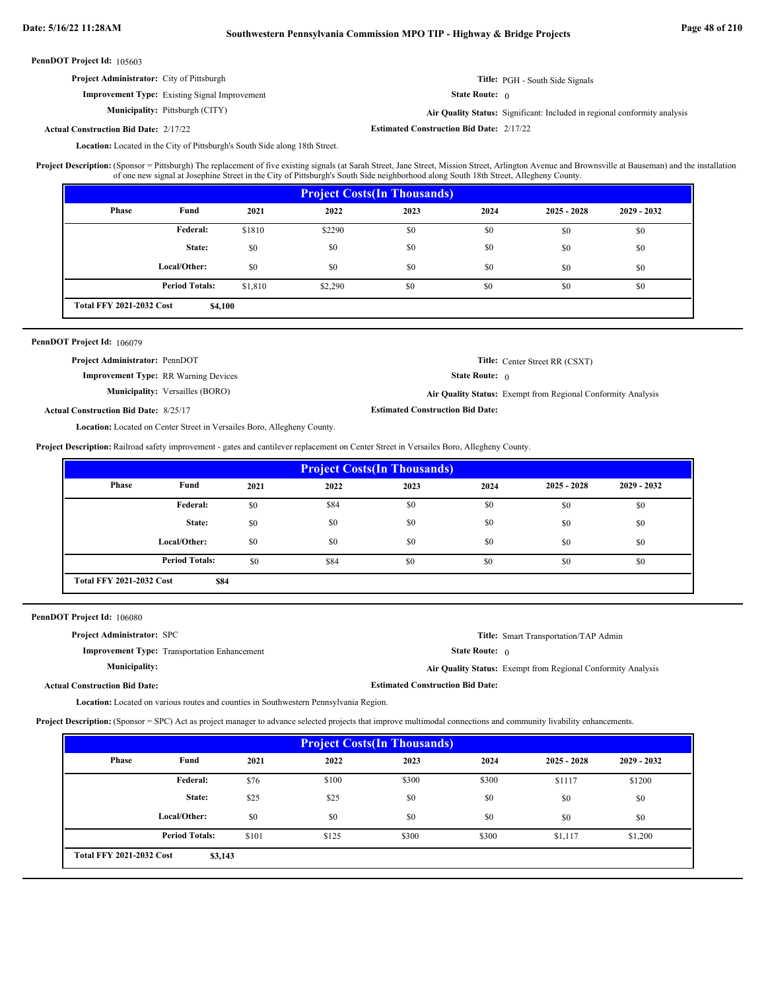# **Date: 5/16/22 11:28AM Southwestern Pennsylvania Commission MPO TIP - Highway & Bridge Projects Page 48 of 210**

PennDOT Project Id: 105603

| <b>Project Administrator:</b> City of Pittsburgh |  |
|--------------------------------------------------|--|
|--------------------------------------------------|--|

# **Improvement Type:** Existing Signal Improvement

**Municipality:**

**Title:** PGH - South Side Signals

State Route: 0

Pittsburgh (CITY) **Air Quality Status:** Significant: Included in regional conformity analysis

**Estimated Construction Bid Date:** 2/17/22 2/17/22 **Actual Construction Bid Date:**

Location: Located in the City of Pittsburgh's South Side along 18th Street.

(Sponsor = Pittsburgh) The replacement of five existing signals (at Sarah Street, Jane Street, Mission Street, Arlington Avenue and Brownsville at Bauseman) and the installation of one new signal at Josephine Street in the City of Pittsburgh's South Side neighborhood along South 18th Street, Allegheny County. **Project Description:**

| <b>Project Costs (In Thousands)</b>        |                       |         |         |      |      |               |               |
|--------------------------------------------|-----------------------|---------|---------|------|------|---------------|---------------|
| Phase                                      | Fund                  | 2021    | 2022    | 2023 | 2024 | $2025 - 2028$ | $2029 - 2032$ |
|                                            | Federal:              | \$1810  | \$2290  | \$0  | \$0  | \$0           | \$0           |
|                                            | State:                | \$0     | \$0     | \$0  | \$0  | \$0           | \$0           |
|                                            | Local/Other:          | \$0     | \$0     | \$0  | \$0  | \$0           | \$0           |
|                                            | <b>Period Totals:</b> | \$1,810 | \$2,290 | \$0  | \$0  | \$0           | \$0           |
| <b>Total FFY 2021-2032 Cost</b><br>\$4,100 |                       |         |         |      |      |               |               |

#### PennDOT Project Id: 106079

| <b>Project Administrator: PennDOT</b>        |                                        |                                         | <b>Title:</b> Center Street RR (CSXT)                        |
|----------------------------------------------|----------------------------------------|-----------------------------------------|--------------------------------------------------------------|
| <b>Improvement Type:</b> RR Warning Devices  |                                        | <b>State Route:</b> $\theta$            |                                                              |
|                                              | <b>Municipality:</b> Versailles (BORO) |                                         | Air Quality Status: Exempt from Regional Conformity Analysis |
| <b>Actual Construction Bid Date: 8/25/17</b> |                                        | <b>Estimated Construction Bid Date:</b> |                                                              |

Location: Located on Center Street in Versailes Boro, Allegheny County.

**Project Description:** Railroad safety improvement - gates and cantilever replacement on Center Street in Versailes Boro, Allegheny County.

| <b>Project Costs (In Thousands)</b>     |                       |      |      |      |      |               |               |
|-----------------------------------------|-----------------------|------|------|------|------|---------------|---------------|
| Phase                                   | Fund                  | 2021 | 2022 | 2023 | 2024 | $2025 - 2028$ | $2029 - 2032$ |
|                                         | Federal:              | \$0  | \$84 | \$0  | \$0  | \$0           | \$0           |
|                                         | State:                | \$0  | \$0  | \$0  | \$0  | \$0           | \$0           |
|                                         | Local/Other:          | \$0  | \$0  | \$0  | \$0  | \$0           | \$0           |
|                                         | <b>Period Totals:</b> | \$0  | \$84 | \$0  | \$0  | \$0           | \$0           |
| <b>Total FFY 2021-2032 Cost</b><br>\$84 |                       |      |      |      |      |               |               |

PennDOT Project Id: 106080

| <b>Project Administrator: SPC</b>    |                                                     |                                         | <b>Title:</b> Smart Transportation/TAP Admin                 |
|--------------------------------------|-----------------------------------------------------|-----------------------------------------|--------------------------------------------------------------|
|                                      | <b>Improvement Type:</b> Transportation Enhancement | <b>State Route:</b> $\theta$            |                                                              |
| <b>Municipality:</b>                 |                                                     |                                         | Air Quality Status: Exempt from Regional Conformity Analysis |
| <b>Actual Construction Bid Date:</b> |                                                     | <b>Estimated Construction Bid Date:</b> |                                                              |

Location: Located on various routes and counties in Southwestern Pennsylvania Region.

Project Description: (Sponsor = SPC) Act as project manager to advance selected projects that improve multimodal connections and community livability enhancements.

| <b>Project Costs (In Thousands)</b>        |                       |       |       |       |       |               |               |  |
|--------------------------------------------|-----------------------|-------|-------|-------|-------|---------------|---------------|--|
| <b>Phase</b>                               | Fund                  | 2021  | 2022  | 2023  | 2024  | $2025 - 2028$ | $2029 - 2032$ |  |
|                                            | Federal:              | \$76  | \$100 | \$300 | \$300 | \$1117        | \$1200        |  |
|                                            | State:                | \$25  | \$25  | \$0   | \$0   | \$0           | \$0           |  |
|                                            | Local/Other:          | \$0   | \$0   | \$0   | \$0   | \$0           | \$0           |  |
|                                            | <b>Period Totals:</b> | \$101 | \$125 | \$300 | \$300 | \$1,117       | \$1,200       |  |
| <b>Total FFY 2021-2032 Cost</b><br>\$3,143 |                       |       |       |       |       |               |               |  |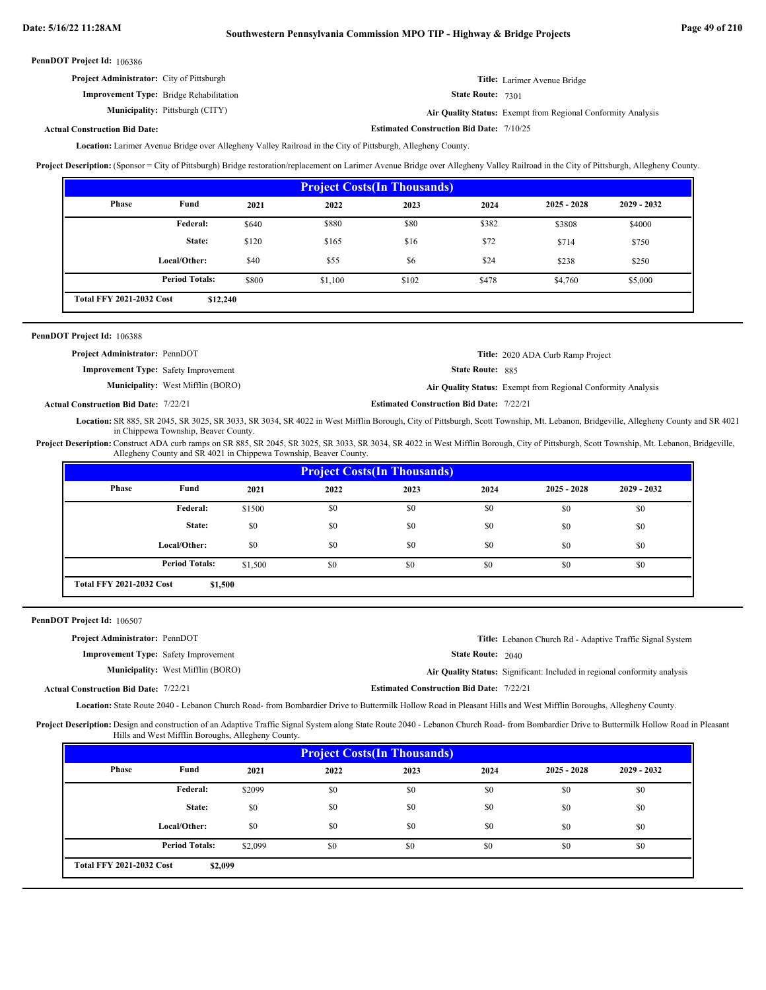| PennDOT Project Id: 106386 |  |
|----------------------------|--|
|----------------------------|--|

| <b>Project Administrator:</b> City of Pittsburgh | <b>Title:</b> Larimer Avenue Bridge                               |
|--------------------------------------------------|-------------------------------------------------------------------|
| <b>Improvement Type:</b> Bridge Rehabilitation   | <b>State Route: 7301</b>                                          |
| <b>Municipality:</b> Pittsburgh (CITY)           | <b>Air Ouality Status:</b> Exempt from Regional Conformity Analys |

Pittsburgh (CITY) **Air Quality Status:** Exempt from Regional Conformity Analysis

**Estimated Construction Bid Date:** 7/10/25

# **Actual Construction Bid Date:**

Larimer Avenue Bridge over Allegheny Valley Railroad in the City of Pittsburgh, Allegheny County. **Location:**

**Project Description:** (Sponsor = City of Pittsburgh) Bridge restoration/replacement on Larimer Avenue Bridge over Allegheny Valley Railroad in the City of Pittsburgh, Allegheny County.

| <b>Project Costs (In Thousands)</b>         |                       |       |         |       |       |               |               |
|---------------------------------------------|-----------------------|-------|---------|-------|-------|---------------|---------------|
| Phase                                       | Fund                  | 2021  | 2022    | 2023  | 2024  | $2025 - 2028$ | $2029 - 2032$ |
|                                             | Federal:              | \$640 | \$880   | \$80  | \$382 | \$3808        | \$4000        |
|                                             | State:                | \$120 | \$165   | \$16  | \$72  | \$714         | \$750         |
|                                             | Local/Other:          | \$40  | \$55    | \$6   | \$24  | \$238         | \$250         |
|                                             | <b>Period Totals:</b> | \$800 | \$1,100 | \$102 | \$478 | \$4,760       | \$5,000       |
| <b>Total FFY 2021-2032 Cost</b><br>\$12,240 |                       |       |         |       |       |               |               |

| ennDOT Project Id: 106388                    |                                          |                                                 |                                                              |
|----------------------------------------------|------------------------------------------|-------------------------------------------------|--------------------------------------------------------------|
| <b>Project Administrator: PennDOT</b>        |                                          |                                                 | Title: 2020 ADA Curb Ramp Project                            |
| <b>Improvement Type:</b> Safety Improvement  |                                          | <b>State Route: 885</b>                         |                                                              |
|                                              | <b>Municipality:</b> West Mifflin (BORO) |                                                 | Air Quality Status: Exempt from Regional Conformity Analysis |
| <b>Actual Construction Bid Date: 7/22/21</b> |                                          | <b>Estimated Construction Bid Date: 7/22/21</b> |                                                              |

**Actual Construction Bid Date:**

Location: SR 885, SR 2045, SR 3025, SR 3033, SR 3034, SR 4022 in West Mifflin Borough, City of Pittsburgh, Scott Township, Mt. Lebanon, Bridgeville, Allegheny County and SR 4021 in Chippewa Township, Beaver County.

Project Description: Construct ADA curb ramps on SR 885, SR 2045, SR 3025, SR 3033, SR 3034, SR 4022 in West Mifflin Borough, City of Pittsburgh, Scott Township, Mt. Lebanon, Bridgeville, Allegheny County and SR 4021 in Chippewa Township, Beaver County.

| <b>Project Costs (In Thousands)</b>        |                       |         |      |      |      |               |               |
|--------------------------------------------|-----------------------|---------|------|------|------|---------------|---------------|
| <b>Phase</b>                               | Fund                  | 2021    | 2022 | 2023 | 2024 | $2025 - 2028$ | $2029 - 2032$ |
|                                            | Federal:              | \$1500  | \$0  | \$0  | \$0  | \$0           | \$0           |
|                                            | State:                | \$0     | \$0  | \$0  | \$0  | \$0           | \$0           |
|                                            | Local/Other:          | \$0     | \$0  | \$0  | \$0  | \$0           | \$0           |
|                                            | <b>Period Totals:</b> | \$1,500 | \$0  | \$0  | \$0  | \$0           | \$0           |
| <b>Total FFY 2021-2032 Cost</b><br>\$1,500 |                       |         |      |      |      |               |               |

PennDOT Project Id: 106507

| <b>Project Administrator: PennDOT</b>        |                                          |                                                 | Title: Lebanon Church Rd - Adaptive Traffic Signal System                 |
|----------------------------------------------|------------------------------------------|-------------------------------------------------|---------------------------------------------------------------------------|
| <b>Improvement Type:</b> Safety Improvement  |                                          | <b>State Route: 2040</b>                        |                                                                           |
|                                              | <b>Municipality:</b> West Mifflin (BORO) |                                                 | Air Quality Status: Significant: Included in regional conformity analysis |
| <b>Actual Construction Bid Date: 7/22/21</b> |                                          | <b>Estimated Construction Bid Date: 7/22/21</b> |                                                                           |

Location: State Route 2040 - Lebanon Church Road- from Bombardier Drive to Buttermilk Hollow Road in Pleasant Hills and West Mifflin Boroughs, Allegheny County.

Project Description: Design and construction of an Adaptive Traffic Signal System along State Route 2040 - Lebanon Church Road- from Bombardier Drive to Buttermilk Hollow Road in Pleasant Hills and West Mifflin Boroughs, Allegheny County.

| <b>Project Costs (In Thousands)</b>        |                       |         |      |      |      |               |               |
|--------------------------------------------|-----------------------|---------|------|------|------|---------------|---------------|
| <b>Phase</b>                               | Fund                  | 2021    | 2022 | 2023 | 2024 | $2025 - 2028$ | $2029 - 2032$ |
|                                            | Federal:              | \$2099  | \$0  | \$0  | \$0  | \$0           | \$0           |
|                                            | State:                | \$0     | \$0  | \$0  | \$0  | \$0           | \$0           |
|                                            | Local/Other:          | \$0     | \$0  | \$0  | \$0  | \$0           | \$0           |
|                                            | <b>Period Totals:</b> | \$2,099 | \$0  | \$0  | \$0  | \$0           | \$0           |
| <b>Total FFY 2021-2032 Cost</b><br>\$2,099 |                       |         |      |      |      |               |               |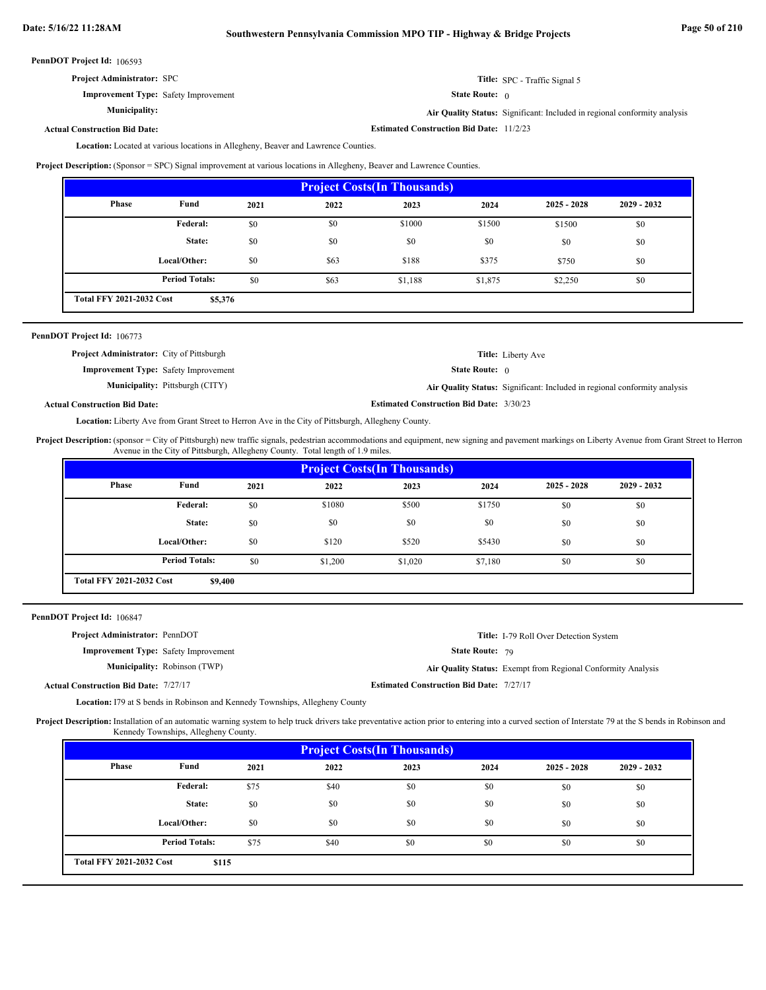| <b>Project Administrator: SPC</b> |  |
|-----------------------------------|--|

State Route: 0 **Title:** SPC - Traffic Signal 5

**Estimated Construction Bid Date:** 11/2/23

**Air Quality Status:** Significant: Included in regional conformity analysis

# **Actual Construction Bid Date:**

**Improvement Type:** Safety Improvement

**Municipality:**

Location: Located at various locations in Allegheny, Beaver and Lawrence Counties.

**Project Description:** (Sponsor = SPC) Signal improvement at various locations in Allegheny, Beaver and Lawrence Counties.

| <b>Project Costs (In Thousands)</b>        |                       |      |      |         |         |               |               |
|--------------------------------------------|-----------------------|------|------|---------|---------|---------------|---------------|
| <b>Phase</b>                               | Fund                  | 2021 | 2022 | 2023    | 2024    | $2025 - 2028$ | $2029 - 2032$ |
|                                            | <b>Federal:</b>       | \$0  | \$0  | \$1000  | \$1500  | \$1500        | \$0           |
|                                            | State:                | \$0  | \$0  | \$0     | \$0     | \$0           | \$0           |
|                                            | Local/Other:          | \$0  | \$63 | \$188   | \$375   | \$750         | \$0           |
|                                            | <b>Period Totals:</b> | \$0  | \$63 | \$1,188 | \$1,875 | \$2,250       | \$0           |
| <b>Total FFY 2021-2032 Cost</b><br>\$5,376 |                       |      |      |         |         |               |               |

| <b>PennDOT Project Id: 106773</b>                |                                        |                                                 |                                                                           |
|--------------------------------------------------|----------------------------------------|-------------------------------------------------|---------------------------------------------------------------------------|
| <b>Project Administrator:</b> City of Pittsburgh |                                        |                                                 | <b>Title:</b> Liberty Ave                                                 |
| <b>Improvement Type:</b> Safety Improvement      |                                        | <b>State Route:</b> $\theta$                    |                                                                           |
|                                                  | <b>Municipality:</b> Pittsburgh (CITY) |                                                 | Air Quality Status: Significant: Included in regional conformity analysis |
| <b>Actual Construction Bid Date:</b>             |                                        | <b>Estimated Construction Bid Date: 3/30/23</b> |                                                                           |

Location: Liberty Ave from Grant Street to Herron Ave in the City of Pittsburgh, Allegheny County.

Project Description: (sponsor = City of Pittsburgh) new traffic signals, pedestrian accommodations and equipment, new signing and pavement markings on Liberty Avenue from Grant Street to Herron Avenue in the City of Pittsburgh, Allegheny County. Total length of 1.9 miles.

|                                            | <b>Project Costs (In Thousands)</b> |      |         |         |         |               |               |
|--------------------------------------------|-------------------------------------|------|---------|---------|---------|---------------|---------------|
| Phase                                      | Fund                                | 2021 | 2022    | 2023    | 2024    | $2025 - 2028$ | $2029 - 2032$ |
|                                            | Federal:                            | \$0  | \$1080  | \$500   | \$1750  | \$0           | \$0           |
|                                            | State:                              | \$0  | \$0     | \$0     | \$0     | \$0           | \$0           |
|                                            | Local/Other:                        | \$0  | \$120   | \$520   | \$5430  | \$0           | \$0           |
|                                            | <b>Period Totals:</b>               | \$0  | \$1,200 | \$1,020 | \$7,180 | \$0           | \$0           |
| <b>Total FFY 2021-2032 Cost</b><br>\$9,400 |                                     |      |         |         |         |               |               |

PennDOT Project Id: 106847

| <b>Project Administrator: PennDOT</b>        |                                     |                                                 | <b>Title:</b> I-79 Roll Over Detection System                |
|----------------------------------------------|-------------------------------------|-------------------------------------------------|--------------------------------------------------------------|
| <b>Improvement Type:</b> Safety Improvement  |                                     | <b>State Route: 79</b>                          |                                                              |
|                                              | <b>Municipality:</b> Robinson (TWP) |                                                 | Air Quality Status: Exempt from Regional Conformity Analysis |
| <b>Actual Construction Bid Date: 7/27/17</b> |                                     | <b>Estimated Construction Bid Date: 7/27/17</b> |                                                              |

Location: I79 at S bends in Robinson and Kennedy Townships, Allegheny County

Project Description: Installation of an automatic warning system to help truck drivers take preventative action prior to entering into a curved section of Interstate 79 at the S bends in Robinson and Kennedy Townships, Allegheny County.

| <b>Project Costs (In Thousands)</b>      |                       |      |      |      |      |               |               |  |
|------------------------------------------|-----------------------|------|------|------|------|---------------|---------------|--|
| <b>Phase</b>                             | Fund                  | 2021 | 2022 | 2023 | 2024 | $2025 - 2028$ | $2029 - 2032$ |  |
|                                          | <b>Federal:</b>       | \$75 | \$40 | \$0  | \$0  | \$0           | \$0           |  |
|                                          | State:                | \$0  | \$0  | \$0  | \$0  | \$0           | \$0           |  |
|                                          | Local/Other:          | \$0  | \$0  | \$0  | \$0  | \$0           | \$0           |  |
|                                          | <b>Period Totals:</b> | \$75 | \$40 | \$0  | \$0  | \$0           | \$0           |  |
| <b>Total FFY 2021-2032 Cost</b><br>\$115 |                       |      |      |      |      |               |               |  |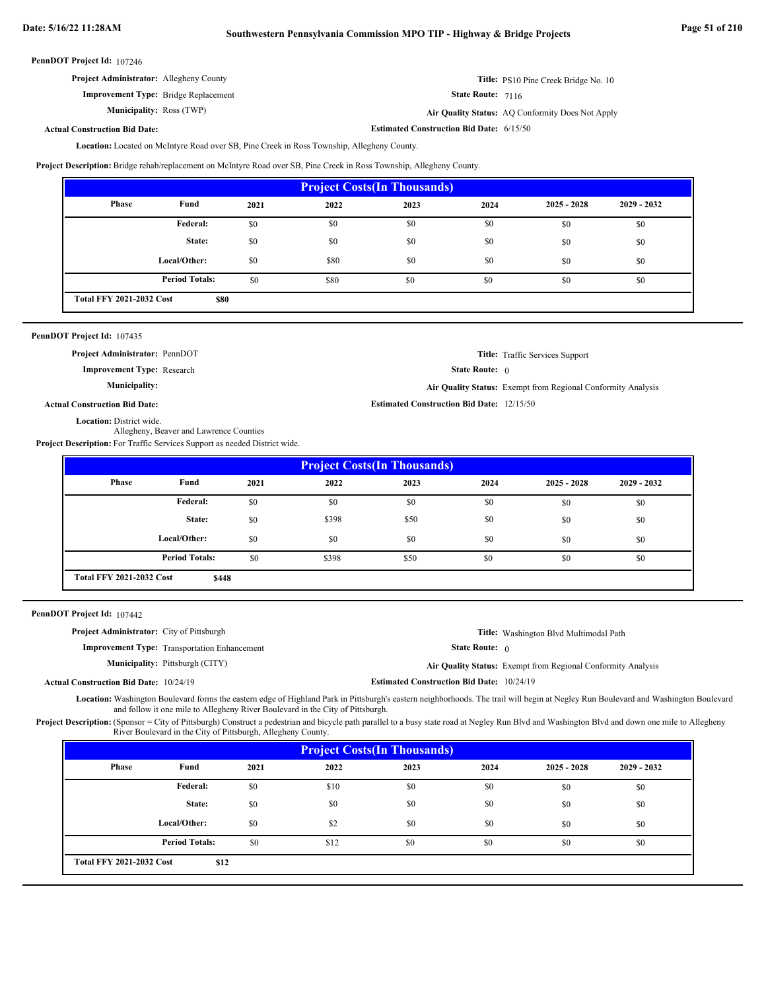| <b>Project Administrator:</b> Allegheny County | Title: PS10 Pine Creek Bridge No. 10 |
|------------------------------------------------|--------------------------------------|
| <b>Improvement Type:</b> Bridge Replacement    | State Route: 7116                    |

**Municipality:**

```
State Route: 7116
```
Ross (TWP) **Air Quality Status:** AQ Conformity Does Not Apply

**Estimated Construction Bid Date:** 6/15/50

**Estimated Construction Bid Date:** 12/15/50

**Actual Construction Bid Date:**

Location: Located on McIntyre Road over SB, Pine Creek in Ross Township, Allegheny County.

**Project Description:** Bridge rehab/replacement on McIntyre Road over SB, Pine Creek in Ross Township, Allegheny County.

| <b>Project Costs (In Thousands)</b> |                                                |      |      |      |      |               |               |  |
|-------------------------------------|------------------------------------------------|------|------|------|------|---------------|---------------|--|
| <b>Phase</b>                        | Fund                                           | 2021 | 2022 | 2023 | 2024 | $2025 - 2028$ | $2029 - 2032$ |  |
|                                     | Federal:                                       | \$0  | \$0  | \$0  | \$0  | \$0           | \$0           |  |
|                                     | State:                                         | \$0  | \$0  | \$0  | \$0  | \$0           | \$0           |  |
|                                     | Local/Other:                                   | \$0  | \$80 | \$0  | \$0  | \$0           | \$0           |  |
|                                     | <b>Period Totals:</b>                          | \$0  | \$80 | \$0  | \$0  | \$0           | \$0           |  |
|                                     | <b>Total FFY 2021-2032 Cost</b><br><b>\$80</b> |      |      |      |      |               |               |  |

# PennDOT Project Id: 107435

**Project Administrator:** PennDOT

**Improvement Type:** Research

**Municipality:**

|                              | <b>Title:</b> Traffic Services Support |
|------------------------------|----------------------------------------|
| <b>State Route:</b> $\theta$ |                                        |

**Air Quality Status:** Exempt from Regional Conformity Analysis

```
Actual Construction Bid Date:
```
Location: District wide.

Allegheny, Beaver and Lawrence Counties

**Project Description:** For Traffic Services Support as needed District wide.

| Phase |                       |      |       |      |      |               |               |
|-------|-----------------------|------|-------|------|------|---------------|---------------|
|       | Fund                  | 2021 | 2022  | 2023 | 2024 | $2025 - 2028$ | $2029 - 2032$ |
|       | <b>Federal:</b>       | \$0  | \$0   | \$0  | \$0  | \$0           | \$0           |
|       | State:                | \$0  | \$398 | \$50 | \$0  | \$0           | \$0           |
|       | Local/Other:          | \$0  | \$0   | \$0  | \$0  | \$0           | \$0           |
|       | <b>Period Totals:</b> | \$0  | \$398 | \$50 | \$0  | \$0           | \$0           |

PennDOT Project Id: 107442

| <b>Project Administrator:</b> City of Pittsburgh |                                                     |                                                  | <b>Title:</b> Washington Blvd Multimodal Path                       |
|--------------------------------------------------|-----------------------------------------------------|--------------------------------------------------|---------------------------------------------------------------------|
|                                                  | <b>Improvement Type:</b> Transportation Enhancement | <b>State Route:</b> $\theta$                     |                                                                     |
|                                                  | <b>Municipality:</b> Pittsburgh (CITY)              |                                                  | <b>Air Quality Status:</b> Exempt from Regional Conformity Analysis |
| <b>Actual Construction Bid Date: 10/24/19</b>    |                                                     | <b>Estimated Construction Bid Date: 10/24/19</b> |                                                                     |

Location: Washington Boulevard forms the eastern edge of Highland Park in Pittsburgh's eastern neighborhoods. The trail will begin at Negley Run Boulevard and Washington Boulevard and follow it one mile to Allegheny River Boulevard in the City of Pittsburgh.

Project Description: (Sponsor = City of Pittsburgh) Construct a pedestrian and bicycle path parallel to a busy state road at Negley Run Blvd and Washington Blvd and down one mile to Allegheny River Boulevard in the City of Pittsburgh, Allegheny County.

| <b>Project Costs (In Thousands)</b> |                                         |      |      |      |      |               |               |  |
|-------------------------------------|-----------------------------------------|------|------|------|------|---------------|---------------|--|
| <b>Phase</b>                        | Fund                                    | 2021 | 2022 | 2023 | 2024 | $2025 - 2028$ | $2029 - 2032$ |  |
|                                     | <b>Federal:</b>                         | \$0  | \$10 | \$0  | \$0  | \$0           | \$0           |  |
|                                     | State:                                  | \$0  | \$0  | \$0  | \$0  | \$0           | \$0           |  |
|                                     | Local/Other:                            | \$0  | \$2  | \$0  | \$0  | \$0           | \$0           |  |
|                                     | <b>Period Totals:</b>                   | \$0  | \$12 | \$0  | \$0  | \$0           | \$0           |  |
|                                     | <b>Total FFY 2021-2032 Cost</b><br>\$12 |      |      |      |      |               |               |  |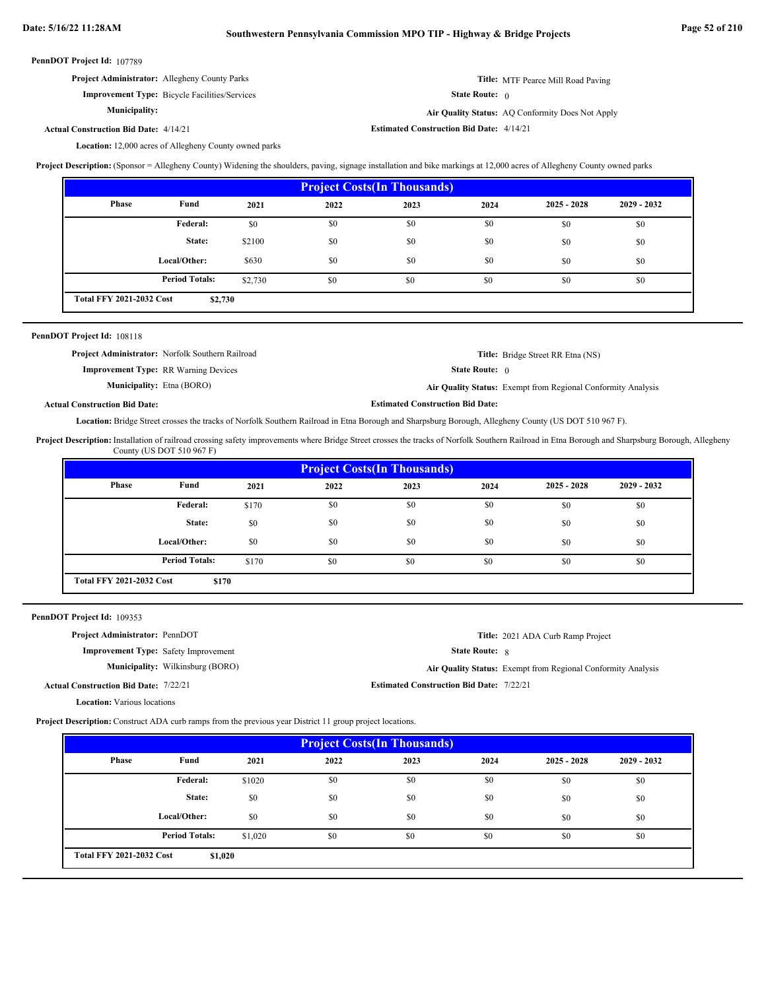| PennDOT Project Id: 107789 |  |
|----------------------------|--|
|----------------------------|--|

| <b>Project Administrator:</b> Allegheny County Parks |                              | <b>Title:</b> MTF Pearce Mill Road Paving |
|------------------------------------------------------|------------------------------|-------------------------------------------|
| <b>Improvement Type:</b> Bicycle Facilities/Services | <b>State Route:</b> $\theta$ |                                           |

**Municipality:**

Air Quality Status: AQ Conformity Does Not Apply

**Estimated Construction Bid Date:** 4/14/21 4/14/21 **Actual Construction Bid Date:**

Location: 12,000 acres of Allegheny County owned parks

**Project Description:** (Sponsor = Allegheny County) Widening the shoulders, paving, signage installation and bike markings at 12,000 acres of Allegheny County owned parks

| <b>Project Costs (In Thousands)</b>        |                       |         |      |      |      |               |               |  |
|--------------------------------------------|-----------------------|---------|------|------|------|---------------|---------------|--|
| Phase                                      | Fund                  | 2021    | 2022 | 2023 | 2024 | $2025 - 2028$ | $2029 - 2032$ |  |
|                                            | Federal:              | \$0     | \$0  | \$0  | \$0  | \$0           | \$0           |  |
|                                            | State:                | \$2100  | \$0  | \$0  | \$0  | \$0           | \$0           |  |
|                                            | Local/Other:          | \$630   | \$0  | \$0  | \$0  | \$0           | \$0           |  |
|                                            | <b>Period Totals:</b> | \$2,730 | \$0  | \$0  | \$0  | \$0           | \$0           |  |
| <b>Total FFY 2021-2032 Cost</b><br>\$2,730 |                       |         |      |      |      |               |               |  |

# PennDOT Project Id: 108118

|                                             | <b>Project Administrator:</b> Norfolk Southern Railroad |                                         | <b>Title:</b> Bridge Street RR Etna (NS)                     |
|---------------------------------------------|---------------------------------------------------------|-----------------------------------------|--------------------------------------------------------------|
| <b>Improvement Type: RR Warning Devices</b> |                                                         | <b>State Route:</b> $\theta$            |                                                              |
| <b>Municipality:</b> Etna (BORO)            |                                                         |                                         | Air Quality Status: Exempt from Regional Conformity Analysis |
| <b>Actual Construction Bid Date:</b>        |                                                         | <b>Estimated Construction Bid Date:</b> |                                                              |

Location: Bridge Street crosses the tracks of Norfolk Southern Railroad in Etna Borough and Sharpsburg Borough, Allegheny County (US DOT 510 967 F).

Project Description: Installation of railroad crossing safety improvements where Bridge Street crosses the tracks of Norfolk Southern Railroad in Etna Borough and Sharpsburg Borough, Allegheny County (US DOT 510 967 F)

| <b>Project Costs (In Thousands)</b> |                                          |       |      |      |      |               |               |  |
|-------------------------------------|------------------------------------------|-------|------|------|------|---------------|---------------|--|
| <b>Phase</b>                        | Fund                                     | 2021  | 2022 | 2023 | 2024 | $2025 - 2028$ | $2029 - 2032$ |  |
|                                     | <b>Federal:</b>                          | \$170 | \$0  | \$0  | \$0  | \$0           | \$0           |  |
|                                     | State:                                   | \$0   | \$0  | \$0  | \$0  | \$0           | \$0           |  |
|                                     | Local/Other:                             | \$0   | \$0  | \$0  | \$0  | \$0           | \$0           |  |
|                                     | <b>Period Totals:</b>                    | \$170 | \$0  | \$0  | \$0  | \$0           | \$0           |  |
|                                     | <b>Total FFY 2021-2032 Cost</b><br>\$170 |       |      |      |      |               |               |  |

| PennDOT Project Id: 109353 |  |
|----------------------------|--|
|----------------------------|--|

| <b>Project Administrator: PennDOT</b>        |                                         |                                                 | Title: 2021 ADA Curb Ramp Project                            |
|----------------------------------------------|-----------------------------------------|-------------------------------------------------|--------------------------------------------------------------|
| <b>Improvement Type:</b> Safety Improvement  |                                         | <b>State Route: 8</b>                           |                                                              |
|                                              | <b>Municipality:</b> Wilkinsburg (BORO) |                                                 | Air Quality Status: Exempt from Regional Conformity Analysis |
| <b>Actual Construction Bid Date: 7/22/21</b> |                                         | <b>Estimated Construction Bid Date: 7/22/21</b> |                                                              |
| <b>Location:</b> Various locations           |                                         |                                                 |                                                              |

**Project Description:** Construct ADA curb ramps from the previous year District 11 group project locations.

| <b>Project Costs (In Thousands)</b>        |                       |         |      |      |      |               |               |
|--------------------------------------------|-----------------------|---------|------|------|------|---------------|---------------|
| Phase                                      | Fund                  | 2021    | 2022 | 2023 | 2024 | $2025 - 2028$ | $2029 - 2032$ |
|                                            | Federal:              | \$1020  | \$0  | \$0  | \$0  | \$0           | \$0           |
|                                            | State:                | \$0     | \$0  | \$0  | \$0  | \$0           | \$0           |
|                                            | Local/Other:          | \$0     | \$0  | \$0  | \$0  | \$0           | \$0           |
|                                            | <b>Period Totals:</b> | \$1,020 | \$0  | \$0  | \$0  | \$0           | \$0           |
| <b>Total FFY 2021-2032 Cost</b><br>\$1,020 |                       |         |      |      |      |               |               |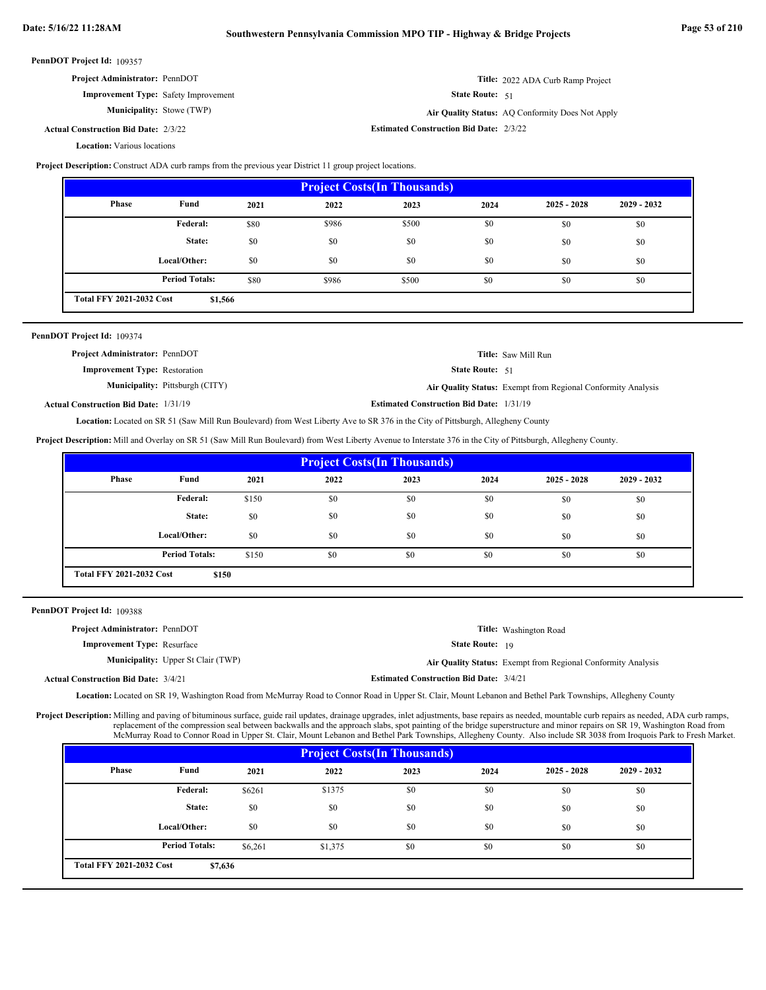| <b>Project Administrator: PennDOT</b>       |                          | Title: 2022 ADA Curb Ramp Project                |
|---------------------------------------------|--------------------------|--------------------------------------------------|
| <b>Improvement Type:</b> Safety Improvement | <b>State Route:</b> $51$ |                                                  |
| <b>Municipality:</b> Stowe (TWP)            |                          | Air Quality Status: AQ Conformity Does Not Apply |

**Estimated Construction Bid Date:** 2/3/22 2/3/22 **Actual Construction Bid Date:**

**Location:** Various locations

**Project Description:** Construct ADA curb ramps from the previous year District 11 group project locations.

| <b>Project Costs (In Thousands)</b>        |                       |      |       |       |      |               |               |
|--------------------------------------------|-----------------------|------|-------|-------|------|---------------|---------------|
| <b>Phase</b>                               | Fund                  | 2021 | 2022  | 2023  | 2024 | $2025 - 2028$ | $2029 - 2032$ |
|                                            | Federal:              | \$80 | \$986 | \$500 | \$0  | \$0           | \$0           |
|                                            | State:                | \$0  | \$0   | \$0   | \$0  | \$0           | \$0           |
|                                            | Local/Other:          | \$0  | \$0   | \$0   | \$0  | \$0           | \$0           |
|                                            | <b>Period Totals:</b> | \$80 | \$986 | \$500 | \$0  | \$0           | \$0           |
| <b>Total FFY 2021-2032 Cost</b><br>\$1,566 |                       |      |       |       |      |               |               |

| PennDOT Project Id: 109374                   |                                        |                                                 |                                                              |
|----------------------------------------------|----------------------------------------|-------------------------------------------------|--------------------------------------------------------------|
| <b>Project Administrator: PennDOT</b>        |                                        |                                                 | <b>Title:</b> Saw Mill Run                                   |
| <b>Improvement Type:</b> Restoration         |                                        | <b>State Route: 51</b>                          |                                                              |
|                                              | <b>Municipality:</b> Pittsburgh (CITY) |                                                 | Air Quality Status: Exempt from Regional Conformity Analysis |
| <b>Actual Construction Bid Date: 1/31/19</b> |                                        | <b>Estimated Construction Bid Date: 1/31/19</b> |                                                              |

Located on SR 51 (Saw Mill Run Boulevard) from West Liberty Ave to SR 376 in the City of Pittsburgh, Allegheny County **Location:**

**Project Description:** Mill and Overlay on SR 51 (Saw Mill Run Boulevard) from West Liberty Avenue to Interstate 376 in the City of Pittsburgh, Allegheny County.

| <b>Project Costs (In Thousands)</b>      |                       |       |      |      |      |               |               |
|------------------------------------------|-----------------------|-------|------|------|------|---------------|---------------|
| Phase                                    | Fund                  | 2021  | 2022 | 2023 | 2024 | $2025 - 2028$ | $2029 - 2032$ |
|                                          | Federal:              | \$150 | \$0  | \$0  | \$0  | \$0           | \$0           |
|                                          | State:                | \$0   | \$0  | \$0  | \$0  | \$0           | \$0           |
|                                          | Local/Other:          | \$0   | \$0  | \$0  | \$0  | \$0           | \$0           |
|                                          | <b>Period Totals:</b> | \$150 | \$0  | \$0  | \$0  | \$0           | \$0           |
| <b>Total FFY 2021-2032 Cost</b><br>\$150 |                       |       |      |      |      |               |               |

PennDOT Project Id: 109388

| <b>Project Administrator: PennDOT</b>       |                                           |                                                | <b>Title:</b> Washington Road                                |
|---------------------------------------------|-------------------------------------------|------------------------------------------------|--------------------------------------------------------------|
| <b>Improvement Type:</b> Resurface          |                                           | <b>State Route:</b> 19                         |                                                              |
|                                             | <b>Municipality:</b> Upper St Clair (TWP) |                                                | Air Quality Status: Exempt from Regional Conformity Analysis |
| <b>Actual Construction Bid Date: 3/4/21</b> |                                           | <b>Estimated Construction Bid Date: 3/4/21</b> |                                                              |

Location: Located on SR 19, Washington Road from McMurray Road to Connor Road in Upper St. Clair, Mount Lebanon and Bethel Park Townships, Allegheny County

Project Description: Milling and paving of bituminous surface, guide rail updates, drainage upgrades, inlet adjustments, base repairs as needed, mountable curb repairs as needed, ADA curb ramps, replacement of the compression seal between backwalls and the approach slabs, spot painting of the bridge superstructure and minor repairs on SR 19, Washington Road from McMurray Road to Connor Road in Upper St. Clair, Mount Lebanon and Bethel Park Townships, Allegheny County. Also include SR 3038 from Iroquois Park to Fresh Market.

| <b>Project Costs (In Thousands)</b> |                                            |         |         |      |      |               |               |
|-------------------------------------|--------------------------------------------|---------|---------|------|------|---------------|---------------|
| Phase                               | Fund                                       | 2021    | 2022    | 2023 | 2024 | $2025 - 2028$ | $2029 - 2032$ |
|                                     | <b>Federal:</b>                            | \$6261  | \$1375  | \$0  | \$0  | \$0           | \$0           |
|                                     | State:                                     | \$0     | \$0     | \$0  | \$0  | \$0           | \$0           |
|                                     | Local/Other:                               | \$0     | \$0     | \$0  | \$0  | \$0           | \$0           |
|                                     | <b>Period Totals:</b>                      | \$6,261 | \$1,375 | \$0  | \$0  | \$0           | \$0           |
|                                     | <b>Total FFY 2021-2032 Cost</b><br>\$7,636 |         |         |      |      |               |               |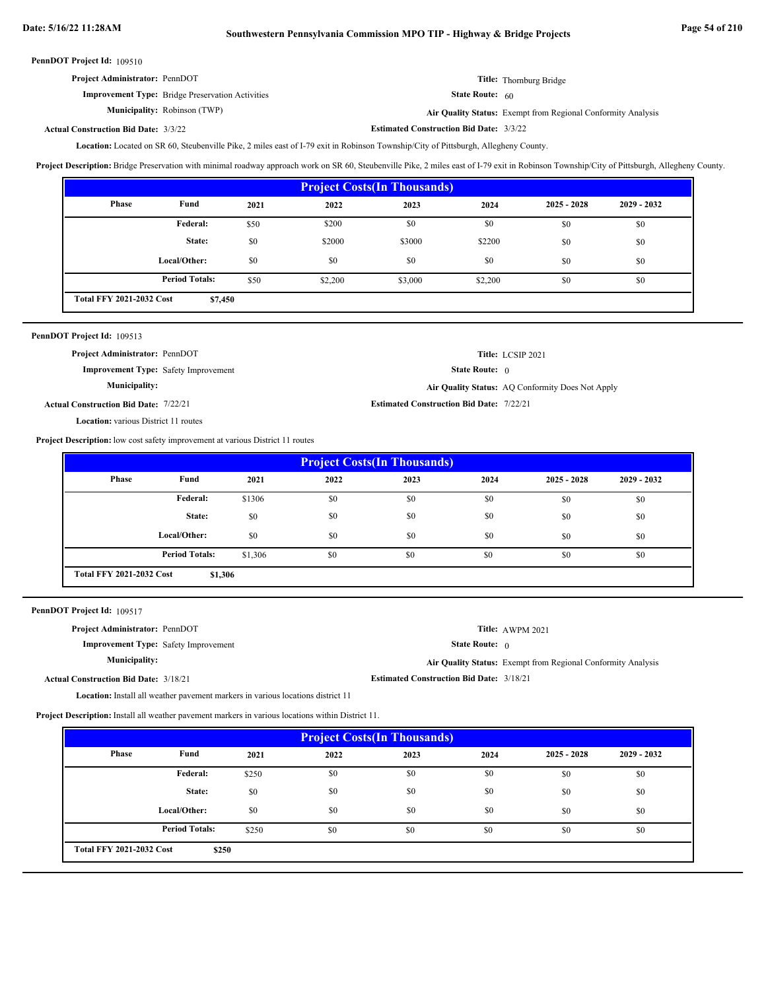| <b>Project Administrator: PennDOT</b>                   | Title: Thornburg Bridge  |
|---------------------------------------------------------|--------------------------|
| <b>Improvement Type:</b> Bridge Preservation Activities | <b>State Route:</b> $60$ |

Municipality: Robinson (TWP) Robinson (TWP) **Air Quality Status:** Exempt from Regional Conformity Analysis

**Actual Construction Bid Date:**

**Estimated Construction Bid Date:** 3/3/22 3/3/22

Located on SR 60, Steubenville Pike, 2 miles east of I-79 exit in Robinson Township/City of Pittsburgh, Allegheny County. **Location:**

**Project Description:** Bridge Preservation with minimal roadway approach work on SR 60, Steubenville Pike, 2 miles east of I-79 exit in Robinson Township/City of Pittsburgh, Allegheny County.

| <b>Project Costs (In Thousands)</b>        |                       |      |         |         |         |               |               |
|--------------------------------------------|-----------------------|------|---------|---------|---------|---------------|---------------|
| <b>Phase</b>                               | Fund                  | 2021 | 2022    | 2023    | 2024    | $2025 - 2028$ | $2029 - 2032$ |
|                                            | <b>Federal:</b>       | \$50 | \$200   | \$0     | \$0     | \$0           | \$0           |
|                                            | State:                | \$0  | \$2000  | \$3000  | \$2200  | \$0           | \$0           |
|                                            | Local/Other:          | \$0  | \$0     | \$0     | \$0     | \$0           | \$0           |
|                                            | <b>Period Totals:</b> | \$50 | \$2,200 | \$3,000 | \$2,200 | \$0           | \$0           |
| <b>Total FFY 2021-2032 Cost</b><br>\$7,450 |                       |      |         |         |         |               |               |

| PennDOT Project Id: 109513                   |                                                 |                                                  |
|----------------------------------------------|-------------------------------------------------|--------------------------------------------------|
| <b>Project Administrator: PennDOT</b>        |                                                 | Title: LCSIP 2021                                |
| <b>Improvement Type:</b> Safety Improvement  | <b>State Route:</b> $\theta$                    |                                                  |
| <b>Municipality:</b>                         |                                                 | Air Quality Status: AO Conformity Does Not Apply |
| <b>Actual Construction Bid Date: 7/22/21</b> | <b>Estimated Construction Bid Date: 7/22/21</b> |                                                  |
| <b>Location:</b> various District 11 routes  |                                                 |                                                  |

**Project Description:** low cost safety improvement at various District 11 routes

| <b>Project Costs (In Thousands)</b>        |                       |         |      |      |      |               |               |
|--------------------------------------------|-----------------------|---------|------|------|------|---------------|---------------|
| Phase                                      | Fund                  | 2021    | 2022 | 2023 | 2024 | $2025 - 2028$ | $2029 - 2032$ |
|                                            | Federal:              | \$1306  | \$0  | \$0  | \$0  | \$0           | \$0           |
|                                            | State:                | \$0     | \$0  | \$0  | \$0  | \$0           | \$0           |
|                                            | Local/Other:          | \$0     | \$0  | \$0  | \$0  | \$0           | \$0           |
|                                            | <b>Period Totals:</b> | \$1,306 | \$0  | \$0  | \$0  | \$0           | \$0           |
| <b>Total FFY 2021-2032 Cost</b><br>\$1,306 |                       |         |      |      |      |               |               |

PennDOT Project Id: 109517

| <b>Project Administrator: PennDOT</b>                                           |                                                 | Title: AWPM 2021                                             |
|---------------------------------------------------------------------------------|-------------------------------------------------|--------------------------------------------------------------|
| <b>Improvement Type:</b> Safety Improvement                                     | <b>State Route:</b> $\theta$                    |                                                              |
| <b>Municipality:</b>                                                            |                                                 | Air Quality Status: Exempt from Regional Conformity Analysis |
| <b>Actual Construction Bid Date: 3/18/21</b>                                    | <b>Estimated Construction Bid Date: 3/18/21</b> |                                                              |
| Location: Install all weather pavement markers in various locations district 11 |                                                 |                                                              |

**Project Description:** Install all weather pavement markers in various locations within District 11.

| <b>Project Costs(In Thousands)</b>       |                       |       |      |      |      |               |               |
|------------------------------------------|-----------------------|-------|------|------|------|---------------|---------------|
| Phase                                    | Fund                  | 2021  | 2022 | 2023 | 2024 | $2025 - 2028$ | $2029 - 2032$ |
|                                          | <b>Federal:</b>       | \$250 | \$0  | \$0  | \$0  | \$0           | \$0           |
|                                          | State:                | \$0   | \$0  | \$0  | \$0  | \$0           | \$0           |
|                                          | Local/Other:          | \$0   | \$0  | \$0  | \$0  | \$0           | \$0           |
|                                          | <b>Period Totals:</b> | \$250 | \$0  | \$0  | \$0  | \$0           | \$0           |
| <b>Total FFY 2021-2032 Cost</b><br>\$250 |                       |       |      |      |      |               |               |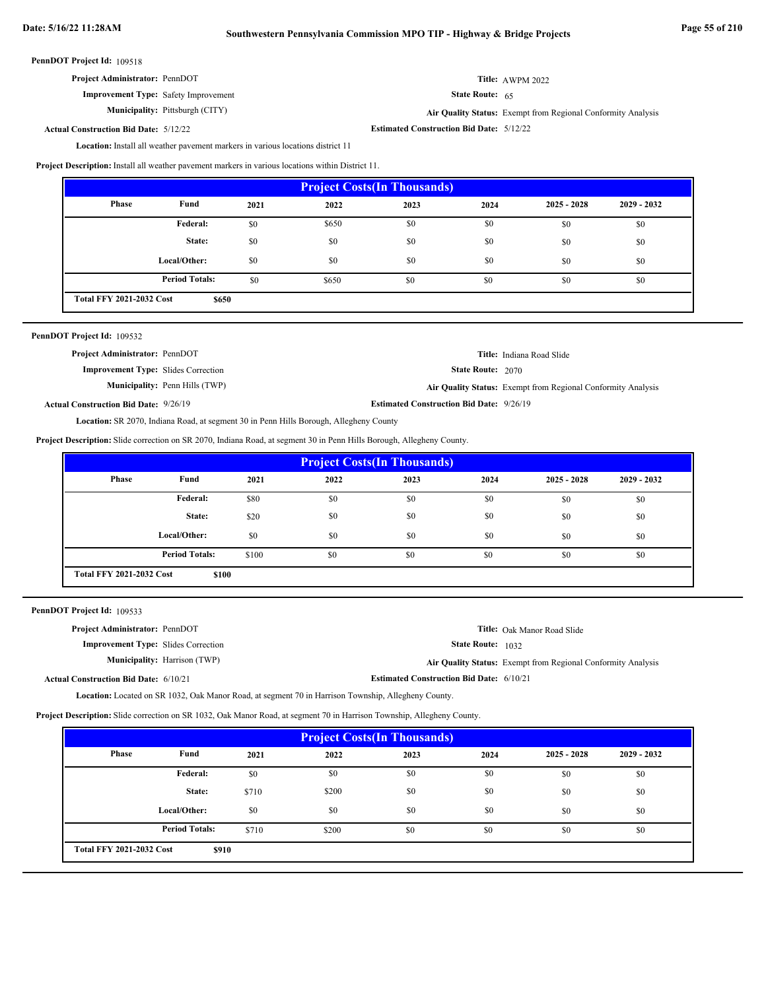| Project Administrator: PennDOT |  |
|--------------------------------|--|
|--------------------------------|--|

**Improvement Type:** Safety Improvement

**Municipality:**

State Route: 65

Pittsburgh (CITY) **Air Quality Status:** Exempt from Regional Conformity Analysis

**Title:** AWPM 2022

**Estimated Construction Bid Date:** 5/12/22 5/12/22 **Actual Construction Bid Date:**

Location: Install all weather pavement markers in various locations district 11

**Project Description:** Install all weather pavement markers in various locations within District 11.

| <b>Project Costs (In Thousands)</b>      |                       |      |       |      |      |               |               |
|------------------------------------------|-----------------------|------|-------|------|------|---------------|---------------|
| Phase                                    | Fund                  | 2021 | 2022  | 2023 | 2024 | $2025 - 2028$ | $2029 - 2032$ |
|                                          | Federal:              | \$0  | \$650 | \$0  | \$0  | \$0           | \$0           |
|                                          | State:                | \$0  | \$0   | \$0  | \$0  | \$0           | \$0           |
|                                          | Local/Other:          | \$0  | \$0   | \$0  | \$0  | \$0           | \$0           |
|                                          | <b>Period Totals:</b> | \$0  | \$650 | \$0  | \$0  | \$0           | \$0           |
| <b>Total FFY 2021-2032 Cost</b><br>\$650 |                       |      |       |      |      |               |               |

| PennDOT Project Id: 109532                   |                                       |                                                 |                                                              |
|----------------------------------------------|---------------------------------------|-------------------------------------------------|--------------------------------------------------------------|
| <b>Project Administrator: PennDOT</b>        |                                       |                                                 | <b>Title:</b> Indiana Road Slide                             |
| <b>Improvement Type:</b> Slides Correction   |                                       | <b>State Route: 2070</b>                        |                                                              |
|                                              | <b>Municipality:</b> Penn Hills (TWP) |                                                 | Air Quality Status: Exempt from Regional Conformity Analysis |
| <b>Actual Construction Bid Date: 9/26/19</b> |                                       | <b>Estimated Construction Bid Date: 9/26/19</b> |                                                              |
|                                              |                                       |                                                 |                                                              |

Location: SR 2070, Indiana Road, at segment 30 in Penn Hills Borough, Allegheny County

**Project Description:** Slide correction on SR 2070, Indiana Road, at segment 30 in Penn Hills Borough, Allegheny County.

| <b>Project Costs(In Thousands)</b>       |                       |       |      |      |      |               |               |
|------------------------------------------|-----------------------|-------|------|------|------|---------------|---------------|
| Phase                                    | Fund                  | 2021  | 2022 | 2023 | 2024 | $2025 - 2028$ | $2029 - 2032$ |
|                                          | <b>Federal:</b>       | \$80  | \$0  | \$0  | \$0  | \$0           | \$0           |
|                                          | State:                | \$20  | \$0  | \$0  | \$0  | \$0           | \$0           |
|                                          | Local/Other:          | \$0   | \$0  | \$0  | \$0  | \$0           | \$0           |
|                                          | <b>Period Totals:</b> | \$100 | \$0  | \$0  | \$0  | \$0           | \$0           |
| <b>Total FFY 2021-2032 Cost</b><br>\$100 |                       |       |      |      |      |               |               |

PennDOT Project Id: 109533

| <b>Project Administrator: PennDOT</b>        |                                     |                                                 | <b>Title:</b> Oak Manor Road Slide                           |
|----------------------------------------------|-------------------------------------|-------------------------------------------------|--------------------------------------------------------------|
| <b>Improvement Type:</b> Slides Correction   |                                     | <b>State Route:</b> 1032                        |                                                              |
|                                              | <b>Municipality:</b> Harrison (TWP) |                                                 | Air Quality Status: Exempt from Regional Conformity Analysis |
| <b>Actual Construction Bid Date: 6/10/21</b> |                                     | <b>Estimated Construction Bid Date: 6/10/21</b> |                                                              |

Location: Located on SR 1032, Oak Manor Road, at segment 70 in Harrison Township, Allegheny County.

**Project Description:** Slide correction on SR 1032, Oak Manor Road, at segment 70 in Harrison Township, Allegheny County.

| <b>Project Costs (In Thousands)</b> |                       |       |       |      |      |               |               |
|-------------------------------------|-----------------------|-------|-------|------|------|---------------|---------------|
| Phase                               | Fund                  | 2021  | 2022  | 2023 | 2024 | $2025 - 2028$ | $2029 - 2032$ |
|                                     | Federal:              | \$0   | \$0   | \$0  | \$0  | \$0           | \$0           |
|                                     | State:                | \$710 | \$200 | \$0  | \$0  | \$0           | \$0           |
|                                     | Local/Other:          | \$0   | \$0   | \$0  | \$0  | \$0           | \$0           |
|                                     | <b>Period Totals:</b> | \$710 | \$200 | \$0  | \$0  | \$0           | \$0           |
| <b>Total FFY 2021-2032 Cost</b>     | \$910                 |       |       |      |      |               |               |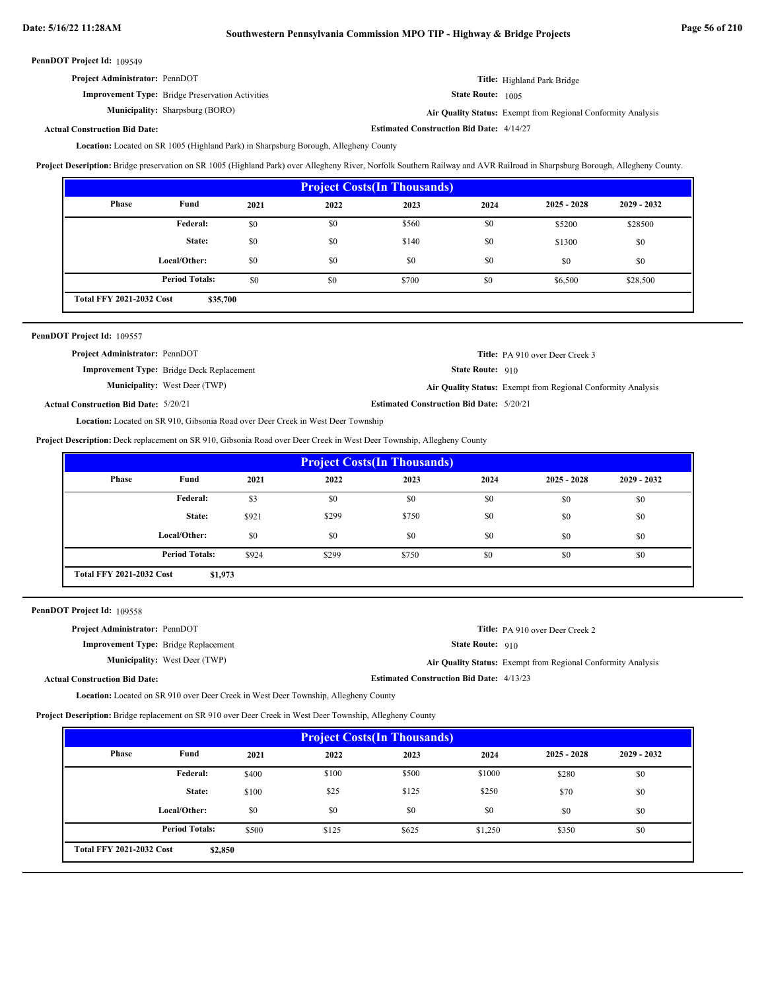| <b>Project Administrator: PennDOT</b> | Title: Highland Park Bridge |
|---------------------------------------|-----------------------------|
|---------------------------------------|-----------------------------|

State Route: 1005

**Municipality:** Sharpsburg (BORO)

**Improvement Type:** Bridge Preservation Activities

Sharpsburg (BORO) **Air Quality Status:** Exempt from Regional Conformity Analysis

**Estimated Construction Bid Date:** 4/14/27

**Actual Construction Bid Date:**

Location: Located on SR 1005 (Highland Park) in Sharpsburg Borough, Allegheny County

**Project Description:** Bridge preservation on SR 1005 (Highland Park) over Allegheny River, Norfolk Southern Railway and AVR Railroad in Sharpsburg Borough, Allegheny County.

| <b>Project Costs (In Thousands)</b> |                       |      |      |       |      |               |               |
|-------------------------------------|-----------------------|------|------|-------|------|---------------|---------------|
| <b>Phase</b>                        | Fund                  | 2021 | 2022 | 2023  | 2024 | $2025 - 2028$ | $2029 - 2032$ |
|                                     | Federal:              | \$0  | \$0  | \$560 | \$0  | \$5200        | \$28500       |
|                                     | State:                | \$0  | \$0  | \$140 | \$0  | \$1300        | \$0           |
|                                     | Local/Other:          | \$0  | \$0  | \$0   | \$0  | \$0           | \$0           |
|                                     | <b>Period Totals:</b> | \$0  | \$0  | \$700 | \$0  | \$6,500       | \$28,500      |
| <b>Total FFY 2021-2032 Cost</b>     | \$35,700              |      |      |       |      |               |               |

| PennDOT Project Id: 109557                                                              |                                                  |                                                 |                                                              |  |  |  |
|-----------------------------------------------------------------------------------------|--------------------------------------------------|-------------------------------------------------|--------------------------------------------------------------|--|--|--|
| <b>Project Administrator: PennDOT</b>                                                   |                                                  |                                                 | <b>Title:</b> PA 910 over Deer Creek 3                       |  |  |  |
|                                                                                         | <b>Improvement Type:</b> Bridge Deck Replacement | State Route: 910                                |                                                              |  |  |  |
|                                                                                         | <b>Municipality:</b> West Deer (TWP)             |                                                 | Air Quality Status: Exempt from Regional Conformity Analysis |  |  |  |
| <b>Actual Construction Bid Date: 5/20/21</b>                                            |                                                  | <b>Estimated Construction Bid Date: 5/20/21</b> |                                                              |  |  |  |
| <b>Location:</b> Located on SR 910, Gibsonia Road over Deer Creek in West Deer Township |                                                  |                                                 |                                                              |  |  |  |

**Project Description:** Deck replacement on SR 910, Gibsonia Road over Deer Creek in West Deer Township, Allegheny County

| <b>Project Costs (In Thousands)</b>        |                       |       |       |       |      |               |               |
|--------------------------------------------|-----------------------|-------|-------|-------|------|---------------|---------------|
| <b>Phase</b>                               | Fund                  | 2021  | 2022  | 2023  | 2024 | $2025 - 2028$ | $2029 - 2032$ |
|                                            | Federal:              | \$3   | \$0   | \$0   | \$0  | \$0           | \$0           |
|                                            | State:                | \$921 | \$299 | \$750 | \$0  | \$0           | \$0           |
|                                            | Local/Other:          | \$0   | \$0   | \$0   | \$0  | \$0           | \$0           |
|                                            | <b>Period Totals:</b> | \$924 | \$299 | \$750 | \$0  | \$0           | \$0           |
| <b>Total FFY 2021-2032 Cost</b><br>\$1,973 |                       |       |       |       |      |               |               |

PennDOT Project Id: 109558

| <b>Project Administrator: PennDOT</b>       |                                                 | <b>Title:</b> PA 910 over Deer Creek 2                       |
|---------------------------------------------|-------------------------------------------------|--------------------------------------------------------------|
| <b>Improvement Type:</b> Bridge Replacement | <b>State Route: 910</b>                         |                                                              |
| <b>Municipality:</b> West Deer (TWP)        |                                                 | Air Quality Status: Exempt from Regional Conformity Analysis |
| <b>Actual Construction Bid Date:</b>        | <b>Estimated Construction Bid Date: 4/13/23</b> |                                                              |

**Location:** Located on SR 910 over Deer Creek in West Deer Township, Allegheny County

**Project Description:** Bridge replacement on SR 910 over Deer Creek in West Deer Township, Allegheny County

| <b>Project Costs (In Thousands)</b>        |                       |       |       |       |         |               |               |
|--------------------------------------------|-----------------------|-------|-------|-------|---------|---------------|---------------|
| Phase                                      | Fund                  | 2021  | 2022  | 2023  | 2024    | $2025 - 2028$ | $2029 - 2032$ |
|                                            | <b>Federal:</b>       | \$400 | \$100 | \$500 | \$1000  | \$280         | \$0           |
|                                            | State:                | \$100 | \$25  | \$125 | \$250   | \$70          | \$0           |
|                                            | Local/Other:          | \$0   | \$0   | \$0   | \$0     | \$0           | \$0           |
|                                            | <b>Period Totals:</b> | \$500 | \$125 | \$625 | \$1,250 | \$350         | \$0           |
| <b>Total FFY 2021-2032 Cost</b><br>\$2,850 |                       |       |       |       |         |               |               |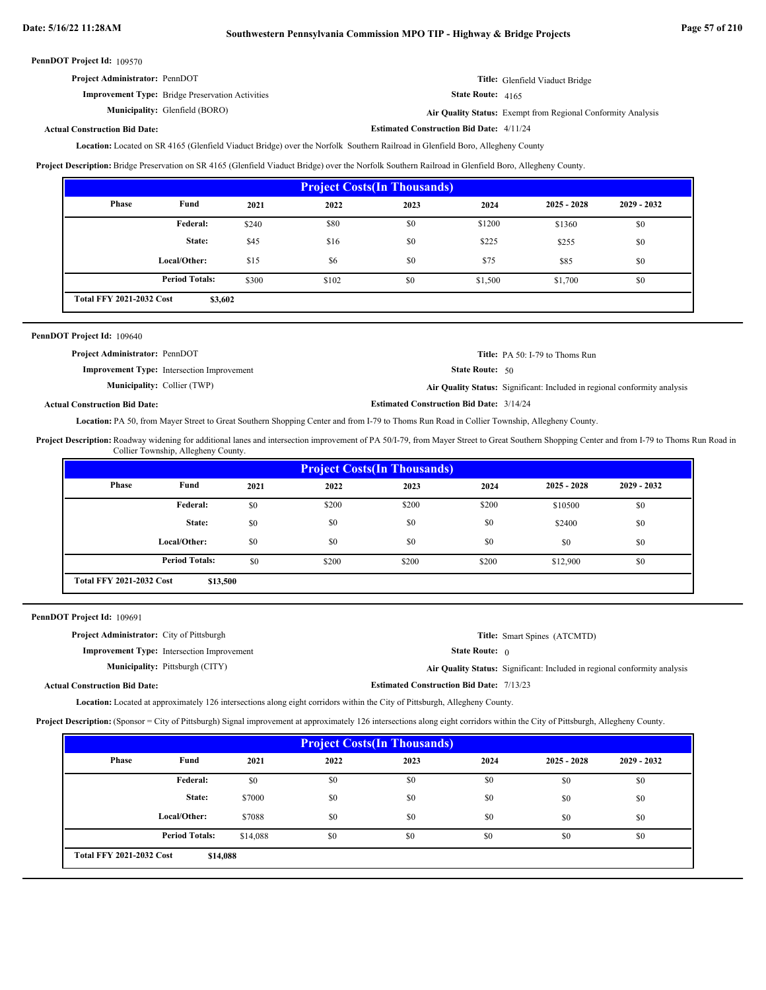| <b>Project Administrator: PennDOT</b> | Title: Glenfield Viaduct Bridge |
|---------------------------------------|---------------------------------|
|---------------------------------------|---------------------------------|

State Route: 4165

**Estimated Construction Bid Date:** 4/11/24

Glenfield (BORO) **Air Quality Status:** Exempt from Regional Conformity Analysis

### **Actual Construction Bid Date:**

**Improvement Type:** Bridge Preservation Activities

**Municipality:**

Located on SR 4165 (Glenfield Viaduct Bridge) over the Norfolk Southern Railroad in Glenfield Boro, Allegheny County **Location:**

**Project Description:** Bridge Preservation on SR 4165 (Glenfield Viaduct Bridge) over the Norfolk Southern Railroad in Glenfield Boro, Allegheny County.

| <b>Project Costs (In Thousands)</b>        |                       |       |       |      |         |               |               |
|--------------------------------------------|-----------------------|-------|-------|------|---------|---------------|---------------|
| <b>Phase</b>                               | Fund                  | 2021  | 2022  | 2023 | 2024    | $2025 - 2028$ | $2029 - 2032$ |
|                                            | <b>Federal:</b>       | \$240 | \$80  | \$0  | \$1200  | \$1360        | \$0           |
|                                            | State:                | \$45  | \$16  | \$0  | \$225   | \$255         | \$0           |
|                                            | Local/Other:          | \$15  | \$6   | \$0  | \$75    | \$85          | \$0           |
|                                            | <b>Period Totals:</b> | \$300 | \$102 | \$0  | \$1,500 | \$1,700       | \$0           |
| <b>Total FFY 2021-2032 Cost</b><br>\$3,602 |                       |       |       |      |         |               |               |

| PennDOT Project Id: 109640            |                                                   |                                                 |                                                                           |
|---------------------------------------|---------------------------------------------------|-------------------------------------------------|---------------------------------------------------------------------------|
| <b>Project Administrator: PennDOT</b> |                                                   |                                                 | <b>Title:</b> PA 50: I-79 to Thoms Run                                    |
|                                       | <b>Improvement Type:</b> Intersection Improvement | <b>State Route:</b> $50$                        |                                                                           |
|                                       | <b>Municipality:</b> Collier (TWP)                |                                                 | Air Quality Status: Significant: Included in regional conformity analysis |
| <b>Actual Construction Bid Date:</b>  |                                                   | <b>Estimated Construction Bid Date: 3/14/24</b> |                                                                           |

Location: PA 50, from Mayer Street to Great Southern Shopping Center and from I-79 to Thoms Run Road in Collier Township, Allegheny County.

Project Description: Roadway widening for additional lanes and intersection improvement of PA 50/I-79, from Mayer Street to Great Southern Shopping Center and from I-79 to Thoms Run Road in Collier Township, Allegheny County.

|                                             | <b>Project Costs (In Thousands)</b> |      |       |       |       |               |               |
|---------------------------------------------|-------------------------------------|------|-------|-------|-------|---------------|---------------|
| Phase                                       | Fund                                | 2021 | 2022  | 2023  | 2024  | $2025 - 2028$ | $2029 - 2032$ |
|                                             | Federal:                            | \$0  | \$200 | \$200 | \$200 | \$10500       | \$0           |
|                                             | State:                              | \$0  | \$0   | \$0   | \$0   | \$2400        | \$0           |
|                                             | Local/Other:                        | \$0  | \$0   | \$0   | \$0   | \$0           | \$0           |
|                                             | <b>Period Totals:</b>               | \$0  | \$200 | \$200 | \$200 | \$12,900      | \$0           |
| <b>Total FFY 2021-2032 Cost</b><br>\$13,500 |                                     |      |       |       |       |               |               |

PennDOT Project Id: 109691

| <b>Project Administrator:</b> City of Pittsburgh                                                                     |                                                   |                                                 | <b>Title:</b> Smart Spines (ATCMTD)                                              |  |  |
|----------------------------------------------------------------------------------------------------------------------|---------------------------------------------------|-------------------------------------------------|----------------------------------------------------------------------------------|--|--|
|                                                                                                                      | <b>Improvement Type:</b> Intersection Improvement | <b>State Route:</b> $\theta$                    |                                                                                  |  |  |
|                                                                                                                      | <b>Municipality:</b> Pittsburgh (CITY)            |                                                 | <b>Air Quality Status:</b> Significant: Included in regional conformity analysis |  |  |
| <b>Actual Construction Bid Date:</b>                                                                                 |                                                   | <b>Estimated Construction Bid Date: 7/13/23</b> |                                                                                  |  |  |
| r coortoo, roomaal ar ammanimarkaks 197 inremortium akan akad aamilkan mirkin rha Airor Chronikomaks Allackama Ammro |                                                   |                                                 |                                                                                  |  |  |

Location: Located at approximately 126 intersections along eight corridors within the City of Pittsburgh, Allegheny County.

**Project Description:** (Sponsor = City of Pittsburgh) Signal improvement at approximately 126 intersections along eight corridors within the City of Pittsburgh, Allegheny County.

| <b>Project Costs (In Thousands)</b>         |                       |          |      |      |      |               |               |
|---------------------------------------------|-----------------------|----------|------|------|------|---------------|---------------|
| Phase                                       | Fund                  | 2021     | 2022 | 2023 | 2024 | $2025 - 2028$ | $2029 - 2032$ |
|                                             | Federal:              | \$0      | \$0  | \$0  | \$0  | \$0           | \$0           |
|                                             | State:                | \$7000   | \$0  | \$0  | \$0  | \$0           | \$0           |
|                                             | Local/Other:          | \$7088   | \$0  | \$0  | \$0  | \$0           | \$0           |
|                                             | <b>Period Totals:</b> | \$14,088 | \$0  | \$0  | \$0  | \$0           | \$0           |
| <b>Total FFY 2021-2032 Cost</b><br>\$14,088 |                       |          |      |      |      |               |               |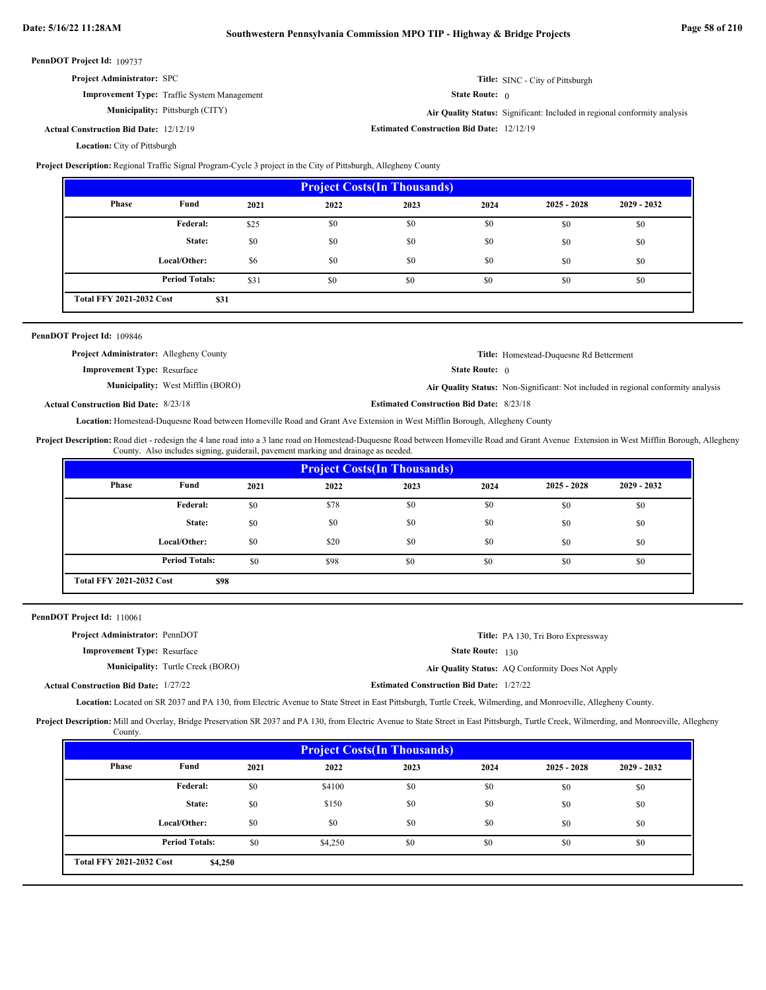| <b>Project Administrator: SPC</b> |                                  |
|-----------------------------------|----------------------------------|
|                                   | Title: SINC - City of Pittsburgh |

State Route: 0

**Improvement Type:** Traffic System Management **Municipality:**

Pittsburgh (CITY) **Air Quality Status:** Significant: Included in regional conformity analysis

**Estimated Construction Bid Date:** 12/12/19 12/12/19 **Actual Construction Bid Date:**

Location: City of Pittsburgh

**Project Description:** Regional Traffic Signal Program-Cycle 3 project in the City of Pittsburgh, Allegheny County

| <b>Project Costs(In Thousands)</b> |                       |      |      |      |      |               |               |
|------------------------------------|-----------------------|------|------|------|------|---------------|---------------|
| Phase                              | Fund                  | 2021 | 2022 | 2023 | 2024 | $2025 - 2028$ | $2029 - 2032$ |
|                                    | <b>Federal:</b>       | \$25 | \$0  | \$0  | \$0  | \$0           | \$0           |
|                                    | State:                | \$0  | \$0  | \$0  | \$0  | \$0           | \$0           |
|                                    | Local/Other:          | \$6  | \$0  | \$0  | \$0  | \$0           | \$0           |
|                                    | <b>Period Totals:</b> | \$31 | \$0  | \$0  | \$0  | \$0           | \$0           |
| <b>Total FFY 2021-2032 Cost</b>    | \$31                  |      |      |      |      |               |               |

### PennDOT Project Id: 109846

| <b>Project Administrator:</b> Allegheny County |                                          |                                                 | <b>Title:</b> Homestead-Duquesne Rd Betterment                                    |
|------------------------------------------------|------------------------------------------|-------------------------------------------------|-----------------------------------------------------------------------------------|
| <b>Improvement Type: Resurface</b>             |                                          | <b>State Route:</b> $\theta$                    |                                                                                   |
|                                                | <b>Municipality:</b> West Mifflin (BORO) |                                                 | Air Quality Status: Non-Significant: Not included in regional conformity analysis |
| <b>Actual Construction Bid Date: 8/23/18</b>   |                                          | <b>Estimated Construction Bid Date: 8/23/18</b> |                                                                                   |

Location: Homestead-Duquesne Road between Homeville Road and Grant Ave Extension in West Mifflin Borough, Allegheny County

Project Description: Road diet - redesign the 4 lane road into a 3 lane road on Homestead-Duquesne Road between Homeville Road and Grant Avenue Extension in West Mifflin Borough, Allegheny County. Also includes signing, guiderail, pavement marking and drainage as needed.

| <b>Project Costs(In Thousands)</b> |                                         |      |      |      |      |               |               |  |
|------------------------------------|-----------------------------------------|------|------|------|------|---------------|---------------|--|
| <b>Phase</b>                       | Fund                                    | 2021 | 2022 | 2023 | 2024 | $2025 - 2028$ | $2029 - 2032$ |  |
|                                    | Federal:                                | \$0  | \$78 | \$0  | \$0  | \$0           | \$0           |  |
|                                    | State:                                  | \$0  | \$0  | \$0  | \$0  | \$0           | \$0           |  |
|                                    | Local/Other:                            | \$0  | \$20 | \$0  | \$0  | \$0           | \$0           |  |
|                                    | <b>Period Totals:</b>                   | \$0  | \$98 | \$0  | \$0  | \$0           | \$0           |  |
|                                    | <b>Total FFY 2021-2032 Cost</b><br>\$98 |      |      |      |      |               |               |  |

PennDOT Project Id: 110061

| Project Administrator: PennDOT               |                                          |                                                 | <b>Title:</b> PA 130, Tri Boro Expressway        |
|----------------------------------------------|------------------------------------------|-------------------------------------------------|--------------------------------------------------|
| <b>Improvement Type:</b> Resurface           |                                          | <b>State Route: 130</b>                         |                                                  |
|                                              | <b>Municipality:</b> Turtle Creek (BORO) |                                                 | Air Quality Status: AQ Conformity Does Not Apply |
| <b>Actual Construction Bid Date: 1/27/22</b> |                                          | <b>Estimated Construction Bid Date: 1/27/22</b> |                                                  |
|                                              |                                          |                                                 |                                                  |

Location: Located on SR 2037 and PA 130, from Electric Avenue to State Street in East Pittsburgh, Turtle Creek, Wilmerding, and Monroeville, Allegheny County.

Project Description: Mill and Overlay, Bridge Preservation SR 2037 and PA 130, from Electric Avenue to State Street in East Pittsburgh, Turtle Creek, Wilmerding, and Monroeville, Allegheny County.

| <b>Project Costs (In Thousands)</b>        |                       |      |         |      |      |               |               |  |
|--------------------------------------------|-----------------------|------|---------|------|------|---------------|---------------|--|
| Phase                                      | Fund                  | 2021 | 2022    | 2023 | 2024 | $2025 - 2028$ | $2029 - 2032$ |  |
|                                            | Federal:              | \$0  | \$4100  | \$0  | \$0  | \$0           | \$0           |  |
|                                            | State:                | \$0  | \$150   | \$0  | \$0  | \$0           | \$0           |  |
|                                            | Local/Other:          | \$0  | \$0     | \$0  | \$0  | \$0           | \$0           |  |
|                                            | <b>Period Totals:</b> | \$0  | \$4,250 | \$0  | \$0  | \$0           | \$0           |  |
| <b>Total FFY 2021-2032 Cost</b><br>\$4,250 |                       |      |         |      |      |               |               |  |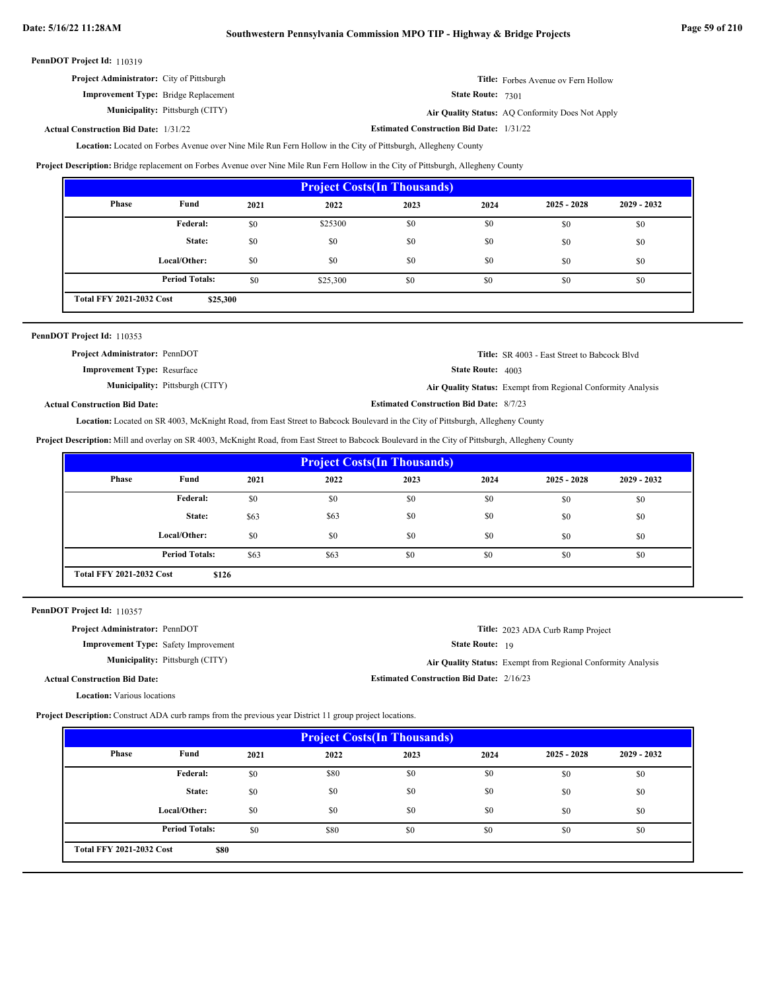| <b>Project Administrator:</b> City of Pittsburgh | <b>Title:</b> Forbes Avenue ov Fern Hollow       |
|--------------------------------------------------|--------------------------------------------------|
| <b>Improvement Type:</b> Bridge Replacement      | <b>State Route: 7301</b>                         |
| <b>Municipality:</b> Pittsburgh (CITY)           | Air Quality Status: AQ Conformity Does Not Apply |

**Actual Construction Bid Date:**

**Estimated Construction Bid Date:** 1/31/22 1/31/22

Location: Located on Forbes Avenue over Nine Mile Run Fern Hollow in the City of Pittsburgh, Allegheny County

**Project Description:** Bridge replacement on Forbes Avenue over Nine Mile Run Fern Hollow in the City of Pittsburgh, Allegheny County

| <b>Project Costs (In Thousands)</b>         |                       |      |          |      |      |               |               |  |
|---------------------------------------------|-----------------------|------|----------|------|------|---------------|---------------|--|
| Phase                                       | Fund                  | 2021 | 2022     | 2023 | 2024 | $2025 - 2028$ | $2029 - 2032$ |  |
|                                             | Federal:              | \$0  | \$25300  | \$0  | \$0  | \$0           | \$0           |  |
|                                             | State:                | \$0  | \$0      | \$0  | \$0  | \$0           | \$0           |  |
|                                             | Local/Other:          | \$0  | \$0      | \$0  | \$0  | \$0           | \$0           |  |
|                                             | <b>Period Totals:</b> | \$0  | \$25,300 | \$0  | \$0  | \$0           | \$0           |  |
| <b>Total FFY 2021-2032 Cost</b><br>\$25,300 |                       |      |          |      |      |               |               |  |

| PennDOT Project Id: 110353 |  |
|----------------------------|--|
|----------------------------|--|

| <b>Project Administrator: PennDOT</b>  | <b>Title:</b> SR 4003 - East Street to Babcock Blvd          |
|----------------------------------------|--------------------------------------------------------------|
| <b>Improvement Type:</b> Resurface     | <b>State Route:</b> $4003$                                   |
| <b>Municipality:</b> Pittsburgh (CITY) | Air Quality Status: Exempt from Regional Conformity Analysis |
| <b>Actual Construction Bid Date:</b>   | <b>Estimated Construction Bid Date: 8/7/23</b>               |

Located on SR 4003, McKnight Road, from East Street to Babcock Boulevard in the City of Pittsburgh, Allegheny County **Location:**

**Project Description:** Mill and overlay on SR 4003, McKnight Road, from East Street to Babcock Boulevard in the City of Pittsburgh, Allegheny County

| <b>Project Costs (In Thousands)</b> |                                          |      |      |      |      |               |               |  |
|-------------------------------------|------------------------------------------|------|------|------|------|---------------|---------------|--|
| Phase                               | Fund                                     | 2021 | 2022 | 2023 | 2024 | $2025 - 2028$ | $2029 - 2032$ |  |
|                                     | Federal:                                 | \$0  | \$0  | \$0  | \$0  | \$0           | \$0           |  |
|                                     | State:                                   | \$63 | \$63 | \$0  | \$0  | \$0           | \$0           |  |
|                                     | Local/Other:                             | \$0  | \$0  | \$0  | \$0  | \$0           | \$0           |  |
|                                     | <b>Period Totals:</b>                    | \$63 | \$63 | \$0  | \$0  | \$0           | \$0           |  |
|                                     | <b>Total FFY 2021-2032 Cost</b><br>\$126 |      |      |      |      |               |               |  |

PennDOT Project Id: 110357

| <b>Project Administrator: PennDOT</b>         | Title: 2023 ADA Curb Ramp Project                            |
|-----------------------------------------------|--------------------------------------------------------------|
| <b>Improvement Type:</b> Safety Improvement   | <b>State Route:</b> 19                                       |
| <b>Municipality:</b> Pittsburgh (CITY)        | Air Quality Status: Exempt from Regional Conformity Analysis |
| <b>Actual Construction Bid Date:</b>          | <b>Estimated Construction Bid Date: 2/16/23</b>              |
| $\mathbf{r}$ at $\mathbf{r}$ and $\mathbf{r}$ |                                                              |

**Location:** Various locations

**Project Description:** Construct ADA curb ramps from the previous year District 11 group project locations.

| <b>Project Costs(In Thousands)</b>      |                       |      |      |      |      |               |               |  |
|-----------------------------------------|-----------------------|------|------|------|------|---------------|---------------|--|
| Phase                                   | Fund                  | 2021 | 2022 | 2023 | 2024 | $2025 - 2028$ | $2029 - 2032$ |  |
|                                         | Federal:              | \$0  | \$80 | \$0  | \$0  | \$0           | \$0           |  |
|                                         | State:                | \$0  | \$0  | \$0  | \$0  | \$0           | \$0           |  |
|                                         | Local/Other:          | \$0  | \$0  | \$0  | \$0  | \$0           | \$0           |  |
|                                         | <b>Period Totals:</b> | \$0  | \$80 | \$0  | \$0  | \$0           | \$0           |  |
| <b>Total FFY 2021-2032 Cost</b><br>\$80 |                       |      |      |      |      |               |               |  |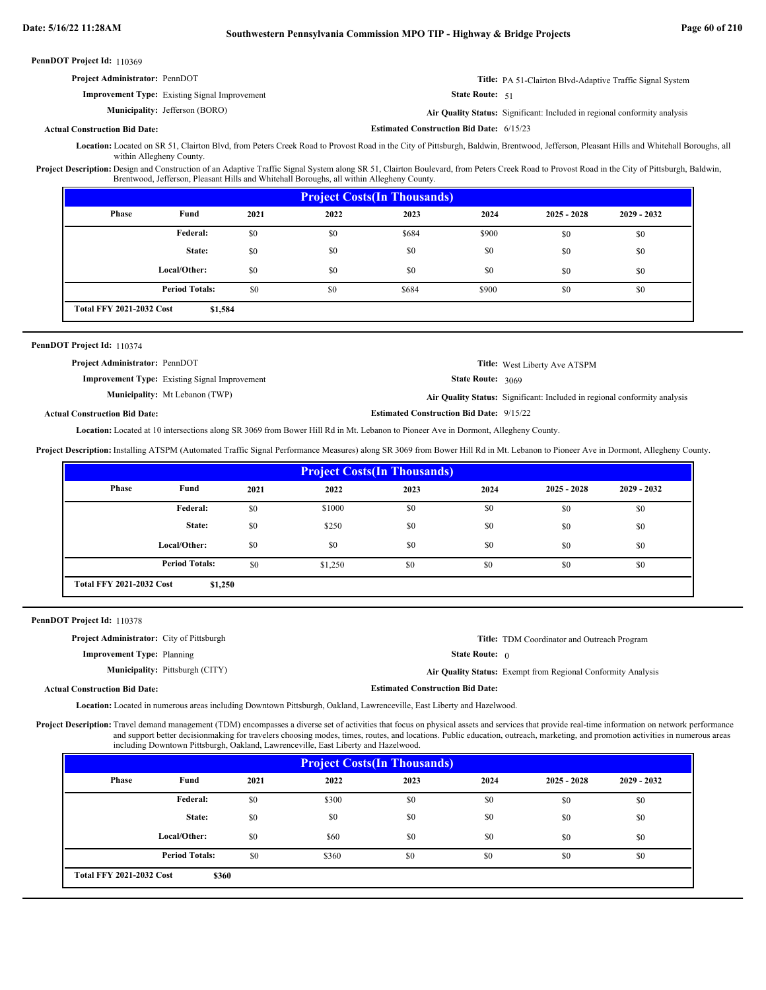| <b>Project Administrator: PennDOT</b>                | <b>Title:</b> PA 51-Clairton Blvd-Adaptive Traffic Signal System |
|------------------------------------------------------|------------------------------------------------------------------|
| <b>Improvement Type:</b> Existing Signal Improvement | <b>State Route:</b> $51$                                         |

**Municipality:**

Jefferson (BORO) **Air Quality Status:** Significant: Included in regional conformity analysis

**Actual Construction Bid Date:**

**Estimated Construction Bid Date:** 6/15/23

Location: Located on SR 51, Clairton Blvd, from Peters Creek Road to Provost Road in the City of Pittsburgh, Baldwin, Brentwood, Jefferson, Pleasant Hills and Whitehall Boroughs, all within Allegheny County

Project Description: Design and Construction of an Adaptive Traffic Signal System along SR 51, Clairton Boulevard, from Peters Creek Road to Provost Road in the City of Pittsburgh, Baldwin, Brentwood, Jefferson, Pleasant Hills and Whitehall Boroughs, all within Allegheny County.

| <b>Project Costs (In Thousands)</b>        |                       |      |      |       |       |               |               |  |
|--------------------------------------------|-----------------------|------|------|-------|-------|---------------|---------------|--|
| Phase                                      | Fund                  | 2021 | 2022 | 2023  | 2024  | $2025 - 2028$ | $2029 - 2032$ |  |
|                                            | Federal:              | \$0  | \$0  | \$684 | \$900 | \$0           | \$0           |  |
|                                            | State:                | \$0  | \$0  | \$0   | \$0   | \$0           | \$0           |  |
|                                            | Local/Other:          | \$0  | \$0  | \$0   | \$0   | \$0           | \$0           |  |
|                                            | <b>Period Totals:</b> | \$0  | \$0  | \$684 | \$900 | \$0           | \$0           |  |
| <b>Total FFY 2021-2032 Cost</b><br>\$1,584 |                       |      |      |       |       |               |               |  |

#### PennDOT Project Id: 110374

| <b>Project Administrator: PennDOT</b>                | <b>Title:</b> West Liberty Ave ATSPM                                      |
|------------------------------------------------------|---------------------------------------------------------------------------|
| <b>Improvement Type:</b> Existing Signal Improvement | <b>State Route: 3069</b>                                                  |
| <b>Municipality:</b> Mt Lebanon (TWP)                | Air Quality Status: Significant: Included in regional conformity analysis |
|                                                      |                                                                           |

**Actual Construction Bid Date:**

**Estimated Construction Bid Date:** 9/15/22

Located at 10 intersections along SR 3069 from Bower Hill Rd in Mt. Lebanon to Pioneer Ave in Dormont, Allegheny County. **Location:**

**Project Description:** Installing ATSPM (Automated Traffic Signal Performance Measures) along SR 3069 from Bower Hill Rd in Mt. Lebanon to Pioneer Ave in Dormont, Allegheny County.

| <b>Project Costs (In Thousands)</b>        |                       |      |         |      |      |               |               |
|--------------------------------------------|-----------------------|------|---------|------|------|---------------|---------------|
| <b>Phase</b>                               | Fund                  | 2021 | 2022    | 2023 | 2024 | $2025 - 2028$ | $2029 - 2032$ |
|                                            | Federal:              | \$0  | \$1000  | \$0  | \$0  | \$0           | \$0           |
|                                            | State:                | \$0  | \$250   | \$0  | \$0  | \$0           | \$0           |
|                                            | Local/Other:          | \$0  | \$0     | \$0  | \$0  | \$0           | \$0           |
|                                            | <b>Period Totals:</b> | \$0  | \$1,250 | \$0  | \$0  | \$0           | \$0           |
| <b>Total FFY 2021-2032 Cost</b><br>\$1,250 |                       |      |         |      |      |               |               |

PennDOT Project Id: 110378

| <b>Project Administrator:</b> City of Pittsburgh |                                        |                                         | <b>Title:</b> TDM Coordinator and Outreach Program           |
|--------------------------------------------------|----------------------------------------|-----------------------------------------|--------------------------------------------------------------|
| <b>Improvement Type:</b> Planning                |                                        | <b>State Route:</b> $\theta$            |                                                              |
|                                                  | <b>Municipality:</b> Pittsburgh (CITY) |                                         | Air Quality Status: Exempt from Regional Conformity Analysis |
| <b>Actual Construction Bid Date:</b>             |                                        | <b>Estimated Construction Bid Date:</b> |                                                              |

Located in numerous areas including Downtown Pittsburgh, Oakland, Lawrenceville, East Liberty and Hazelwood. **Location:**

Project Description: Travel demand management (TDM) encompasses a diverse set of activities that focus on physical assets and services that provide real-time information on network performance and support better decisionmaking for travelers choosing modes, times, routes, and locations. Public education, outreach, marketing, and promotion activities in numerous areas including Downtown Pittsburgh, Oakland, Lawrenceville, East Liberty and Hazelwood.

| <b>Project Costs (In Thousands)</b>      |                       |      |       |      |      |               |               |
|------------------------------------------|-----------------------|------|-------|------|------|---------------|---------------|
| Phase                                    | Fund                  | 2021 | 2022  | 2023 | 2024 | $2025 - 2028$ | $2029 - 2032$ |
|                                          | <b>Federal:</b>       | \$0  | \$300 | \$0  | \$0  | \$0           | \$0           |
|                                          | State:                | \$0  | \$0   | \$0  | \$0  | \$0           | \$0           |
|                                          | Local/Other:          | \$0  | \$60  | \$0  | \$0  | \$0           | \$0           |
|                                          | <b>Period Totals:</b> | \$0  | \$360 | \$0  | \$0  | \$0           | \$0           |
| <b>Total FFY 2021-2032 Cost</b><br>\$360 |                       |      |       |      |      |               |               |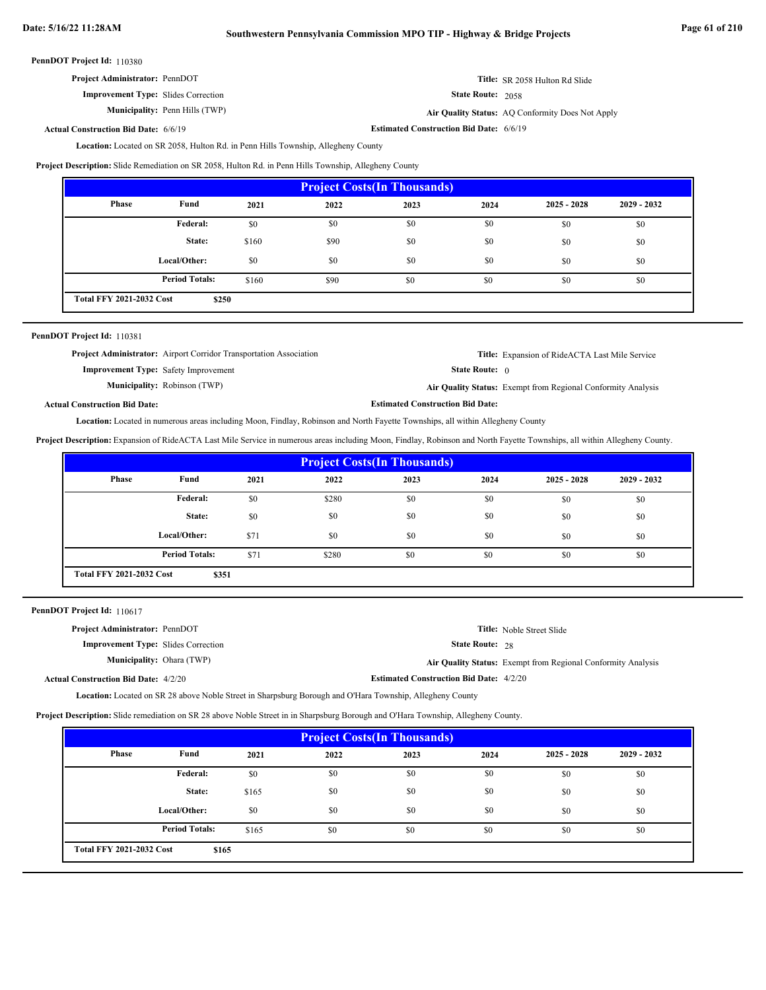# **Date: 5/16/22 11:28AM Southwestern Pennsylvania Commission MPO TIP - Highway & Bridge Projects Page 61 of 210**

PennDOT Project Id: 110380

| <b>Project Administrator: PennDOT</b> | Title: SR 2058 Hulton Rd Slide |
|---------------------------------------|--------------------------------|
|---------------------------------------|--------------------------------|

**Improvement Type:** Slides Correction

**Municipality:** Penn Hills (TWP) **Air Quality Status:** AQ Conformity Does Not Apply

**Actual Construction Bid Date:**

**Estimated Construction Bid Date:** 6/6/19 6/6/19

State Route: 2058

State Route: 0

**Estimated Construction Bid Date:**

Location: Located on SR 2058, Hulton Rd. in Penn Hills Township, Allegheny County

**Project Description:** Slide Remediation on SR 2058, Hulton Rd. in Penn Hills Township, Allegheny County

| <b>Project Costs (In Thousands)</b>      |                       |       |      |      |      |               |               |
|------------------------------------------|-----------------------|-------|------|------|------|---------------|---------------|
| Phase                                    | Fund                  | 2021  | 2022 | 2023 | 2024 | $2025 - 2028$ | $2029 - 2032$ |
|                                          | <b>Federal:</b>       | \$0   | \$0  | \$0  | \$0  | \$0           | \$0           |
|                                          | State:                | \$160 | \$90 | \$0  | \$0  | \$0           | \$0           |
|                                          | Local/Other:          | \$0   | \$0  | \$0  | \$0  | \$0           | \$0           |
|                                          | <b>Period Totals:</b> | \$160 | \$90 | \$0  | \$0  | \$0           | \$0           |
| <b>Total FFY 2021-2032 Cost</b><br>\$250 |                       |       |      |      |      |               |               |

# PennDOT Project Id: 110381

**Project Administrator:** Airport Corridor Transportation Association

**Improvement Type:** Safety Improvement **Municipality:** Robinson (TWP)

**Title:** Expansion of RideACTA Last Mile Service

Robinson (TWP) **Air Quality Status:** Exempt from Regional Conformity Analysis

**Actual Construction Bid Date:**

Location: Located in numerous areas including Moon, Findlay, Robinson and North Fayette Townships, all within Allegheny County

**Project Description:** Expansion of RideACTA Last Mile Service in numerous areas including Moon, Findlay, Robinson and North Fayette Townships, all within Allegheny County.

| <b>Project Costs (In Thousands)</b>      |                       |      |       |      |      |               |               |
|------------------------------------------|-----------------------|------|-------|------|------|---------------|---------------|
| Phase                                    | Fund                  | 2021 | 2022  | 2023 | 2024 | $2025 - 2028$ | $2029 - 2032$ |
|                                          | <b>Federal:</b>       | \$0  | \$280 | \$0  | \$0  | \$0           | \$0           |
|                                          | State:                | \$0  | \$0   | \$0  | \$0  | \$0           | \$0           |
|                                          | Local/Other:          | \$71 | \$0   | \$0  | \$0  | \$0           | \$0           |
|                                          | <b>Period Totals:</b> | \$71 | \$280 | \$0  | \$0  | \$0           | \$0           |
| <b>Total FFY 2021-2032 Cost</b><br>\$351 |                       |      |       |      |      |               |               |

PennDOT Project Id: 110617

| <b>Project Administrator: PennDOT</b>       |                                                | <b>Title:</b> Noble Street Slide                             |
|---------------------------------------------|------------------------------------------------|--------------------------------------------------------------|
| <b>Improvement Type:</b> Slides Correction  | <b>State Route: 28</b>                         |                                                              |
| <b>Municipality:</b> Ohara (TWP)            |                                                | Air Quality Status: Exempt from Regional Conformity Analysis |
| <b>Actual Construction Bid Date: 4/2/20</b> | <b>Estimated Construction Bid Date: 4/2/20</b> |                                                              |

**Location:** Located on SR 28 above Noble Street in Sharpsburg Borough and O'Hara Township, Allegheny County

**Project Description:** Slide remediation on SR 28 above Noble Street in in Sharpsburg Borough and O'Hara Township, Allegheny County.

| <b>Project Costs (In Thousands)</b>      |                       |       |      |      |      |               |               |
|------------------------------------------|-----------------------|-------|------|------|------|---------------|---------------|
| Phase                                    | Fund                  | 2021  | 2022 | 2023 | 2024 | $2025 - 2028$ | $2029 - 2032$ |
|                                          | <b>Federal:</b>       | \$0   | \$0  | \$0  | \$0  | \$0           | \$0           |
|                                          | State:                | \$165 | \$0  | \$0  | \$0  | \$0           | \$0           |
|                                          | Local/Other:          | \$0   | \$0  | \$0  | \$0  | \$0           | \$0           |
|                                          | <b>Period Totals:</b> | \$165 | \$0  | \$0  | \$0  | \$0           | \$0           |
| <b>Total FFY 2021-2032 Cost</b><br>\$165 |                       |       |      |      |      |               |               |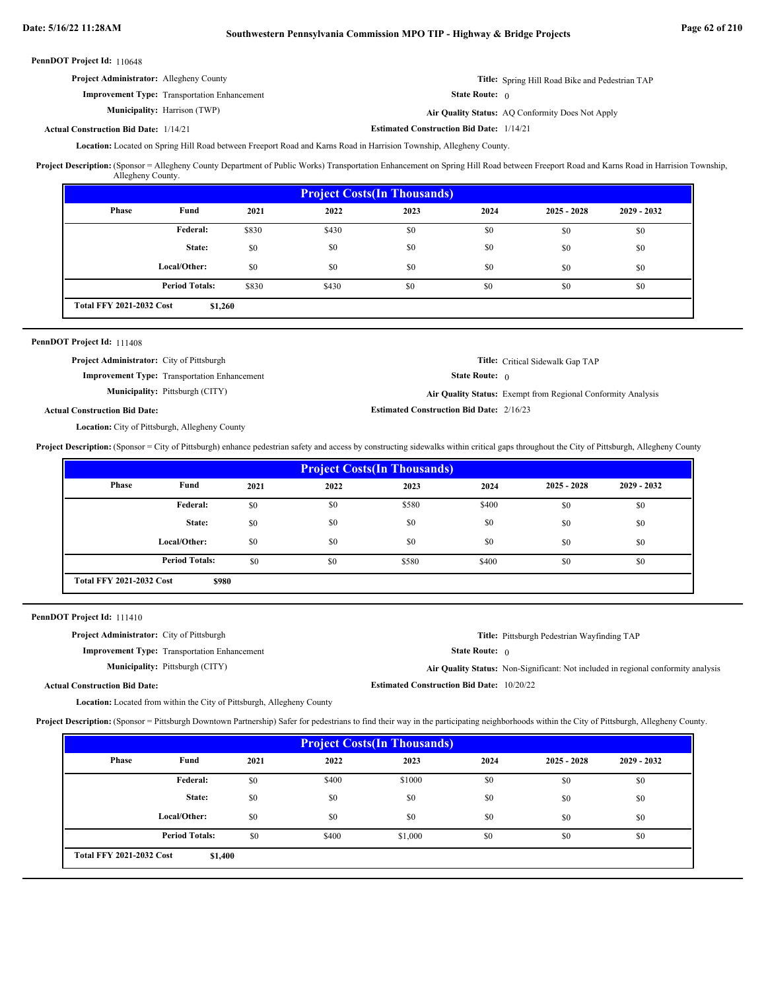| <b>Project Administrator:</b> Allegheny County      | <b>Title:</b> Spring Hill Road Bike and Pedestrian TAP |
|-----------------------------------------------------|--------------------------------------------------------|
| <b>Improvement Type:</b> Transportation Enhancement | <b>State Route:</b> $\theta$                           |
| <b>Municipality:</b> Harrison (TWP)                 | Air Quality Status: AQ Conformity Does Not Apply       |
| <b>Construction Bid Date: 1/14/21</b>               | <b>Estimated Construction Bid Date: 1/14/21</b>        |

**Actual Construction Bid Date:**

Located on Spring Hill Road between Freeport Road and Karns Road in Harrision Township, Allegheny County. **Location:**

Project Description: (Sponsor = Allegheny County Department of Public Works) Transportation Enhancement on Spring Hill Road between Freeport Road and Karns Road in Harrision Township, Allegheny County.

| <b>Project Costs (In Thousands)</b>        |                       |       |       |      |      |               |               |
|--------------------------------------------|-----------------------|-------|-------|------|------|---------------|---------------|
| Phase                                      | Fund                  | 2021  | 2022  | 2023 | 2024 | $2025 - 2028$ | $2029 - 2032$ |
|                                            | Federal:              | \$830 | \$430 | \$0  | \$0  | \$0           | \$0           |
|                                            | State:                | \$0   | \$0   | \$0  | \$0  | \$0           | \$0           |
|                                            | Local/Other:          | \$0   | \$0   | \$0  | \$0  | \$0           | \$0           |
|                                            | <b>Period Totals:</b> | \$830 | \$430 | \$0  | \$0  | \$0           | \$0           |
| <b>Total FFY 2021-2032 Cost</b><br>\$1,260 |                       |       |       |      |      |               |               |

# PennDOT Project Id: 111408

| <b>Project Administrator:</b> City of Pittsburgh    | <b>Title:</b> Critical Sidewalk Gap TAP                      |
|-----------------------------------------------------|--------------------------------------------------------------|
| <b>Improvement Type:</b> Transportation Enhancement | <b>State Route:</b> $\theta$                                 |
| <b>Municipality:</b> Pittsburgh (CITY)              | Air Quality Status: Exempt from Regional Conformity Analysis |
| l Construction Bid Date:                            | <b>Estimated Construction Bid Date: 2/16/23</b>              |

Actual

Location: City of Pittsburgh, Allegheny County

**Project Description:** (Sponsor = City of Pittsburgh) enhance pedestrian safety and access by constructing sidewalks within critical gaps throughout the City of Pittsburgh, Allegheny County

| <b>Project Costs (In Thousands)</b>      |                       |      |      |       |       |               |               |
|------------------------------------------|-----------------------|------|------|-------|-------|---------------|---------------|
| <b>Phase</b>                             | Fund                  | 2021 | 2022 | 2023  | 2024  | $2025 - 2028$ | $2029 - 2032$ |
|                                          | <b>Federal:</b>       | \$0  | \$0  | \$580 | \$400 | \$0           | \$0           |
|                                          | State:                | \$0  | \$0  | \$0   | \$0   | \$0           | \$0           |
|                                          | Local/Other:          | \$0  | \$0  | \$0   | \$0   | \$0           | \$0           |
|                                          | <b>Period Totals:</b> | \$0  | \$0  | \$580 | \$400 | \$0           | \$0           |
| <b>Total FFY 2021-2032 Cost</b><br>\$980 |                       |      |      |       |       |               |               |

PennDOT Project Id: 111410

| <b>Project Administrator:</b> City of Pittsburgh                              |                                                  | <b>Title:</b> Pittsburgh Pedestrian Wayfinding TAP                                |
|-------------------------------------------------------------------------------|--------------------------------------------------|-----------------------------------------------------------------------------------|
| <b>Improvement Type:</b> Transportation Enhancement                           | <b>State Route:</b> $\theta$                     |                                                                                   |
| <b>Municipality:</b> Pittsburgh (CITY)                                        |                                                  | Air Quality Status: Non-Significant: Not included in regional conformity analysis |
| <b>Actual Construction Bid Date:</b>                                          | <b>Estimated Construction Bid Date: 10/20/22</b> |                                                                                   |
| <b>Location:</b> Located from within the City of Pittsburgh, Allegheny County |                                                  |                                                                                   |

**Project Description:** (Sponsor = Pittsburgh Downtown Partnership) Safer for pedestrians to find their way in the participating neighborhoods within the City of Pittsburgh, Allegheny County.

| <b>Project Costs (In Thousands)</b>        |                       |      |       |         |      |               |             |
|--------------------------------------------|-----------------------|------|-------|---------|------|---------------|-------------|
| <b>Phase</b>                               | Fund                  | 2021 | 2022  | 2023    | 2024 | $2025 - 2028$ | 2029 - 2032 |
|                                            | Federal:              | \$0  | \$400 | \$1000  | \$0  | \$0           | \$0         |
|                                            | State:                | \$0  | \$0   | \$0     | \$0  | \$0           | \$0         |
|                                            | Local/Other:          | \$0  | \$0   | \$0     | \$0  | \$0           | \$0         |
|                                            | <b>Period Totals:</b> | \$0  | \$400 | \$1,000 | \$0  | \$0           | \$0         |
| <b>Total FFY 2021-2032 Cost</b><br>\$1,400 |                       |      |       |         |      |               |             |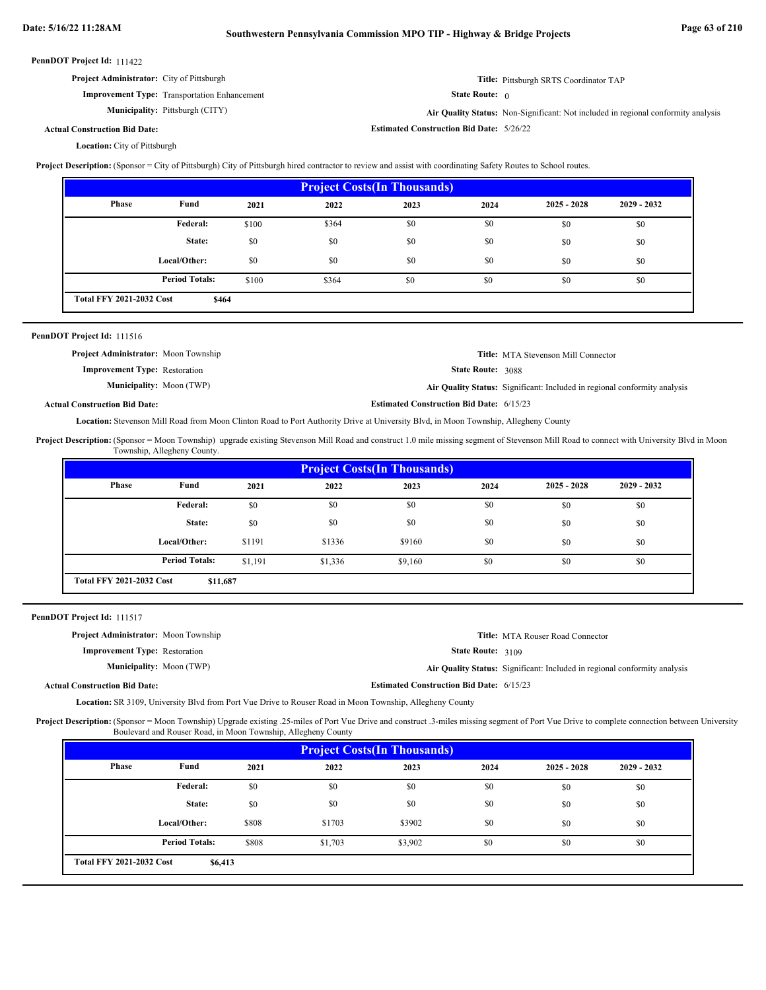|  | PennDOT Project Id: 111422 |  |
|--|----------------------------|--|
|--|----------------------------|--|

| <b>Project Administrator:</b> City of Pittsburgh    | Title: Pittsburgh SRTS Coordinator TAP |
|-----------------------------------------------------|----------------------------------------|
| <b>Improvement Type:</b> Transportation Enhancement | <b>State Route:</b> $\theta$           |

**Municipality:**

Pittsburgh (CITY) **Air Quality Status:** Non-Significant: Not included in regional conformity analysis

**Estimated Construction Bid Date:** 5/26/22

**Actual Construction Bid Date:**

Location: City of Pittsburgh

Project Description: (Sponsor = City of Pittsburgh) City of Pittsburgh hired contractor to review and assist with coordinating Safety Routes to School routes.

| <b>Project Costs (In Thousands)</b>      |                       |       |       |      |      |               |               |
|------------------------------------------|-----------------------|-------|-------|------|------|---------------|---------------|
| Phase                                    | Fund                  | 2021  | 2022  | 2023 | 2024 | $2025 - 2028$ | $2029 - 2032$ |
|                                          | <b>Federal:</b>       | \$100 | \$364 | \$0  | \$0  | \$0           | \$0           |
|                                          | State:                | \$0   | \$0   | \$0  | \$0  | \$0           | \$0           |
|                                          | Local/Other:          | \$0   | \$0   | \$0  | \$0  | \$0           | \$0           |
|                                          | <b>Period Totals:</b> | \$100 | \$364 | \$0  | \$0  | \$0           | \$0           |
| <b>Total FFY 2021-2032 Cost</b><br>\$464 |                       |       |       |      |      |               |               |

| <b>PennDOT Project Id: 111516</b>           |                                                 |                                                                           |
|---------------------------------------------|-------------------------------------------------|---------------------------------------------------------------------------|
| <b>Project Administrator:</b> Moon Township |                                                 | <b>Title:</b> MTA Stevenson Mill Connector                                |
| <b>Improvement Type:</b> Restoration        | <b>State Route: 3088</b>                        |                                                                           |
| <b>Municipality:</b> Moon (TWP)             |                                                 | Air Quality Status: Significant: Included in regional conformity analysis |
| <b>Actual Construction Bid Date:</b>        | <b>Estimated Construction Bid Date: 6/15/23</b> |                                                                           |

**Actual Construction Bid Date:**

Location: Stevenson Mill Road from Moon Clinton Road to Port Authority Drive at University Blvd, in Moon Township, Allegheny County

Project Description: (Sponsor = Moon Township) upgrade existing Stevenson Mill Road and construct 1.0 mile missing segment of Stevenson Mill Road to connect with University Blvd in Moon Township, Allegheny County.

| <b>Project Costs (In Thousands)</b>         |                       |         |         |         |      |               |               |
|---------------------------------------------|-----------------------|---------|---------|---------|------|---------------|---------------|
| Phase                                       | Fund                  | 2021    | 2022    | 2023    | 2024 | $2025 - 2028$ | $2029 - 2032$ |
|                                             | <b>Federal:</b>       | \$0     | \$0     | \$0     | \$0  | \$0           | \$0           |
|                                             | State:                | \$0     | \$0     | \$0     | \$0  | \$0           | \$0           |
|                                             | Local/Other:          | \$1191  | \$1336  | \$9160  | \$0  | \$0           | \$0           |
|                                             | <b>Period Totals:</b> | \$1,191 | \$1,336 | \$9,160 | \$0  | \$0           | \$0           |
| <b>Total FFY 2021-2032 Cost</b><br>\$11,687 |                       |         |         |         |      |               |               |

PennDOT Project Id: 111517

| <b>Project Administrator:</b> Moon Township                                                                     |  |                                                 | <b>Title:</b> MTA Rouser Road Connector                                   |  |  |
|-----------------------------------------------------------------------------------------------------------------|--|-------------------------------------------------|---------------------------------------------------------------------------|--|--|
| <b>Improvement Type:</b> Restoration                                                                            |  | <b>State Route:</b> $3109$                      |                                                                           |  |  |
| <b>Municipality:</b> Moon (TWP)                                                                                 |  |                                                 | Air Quality Status: Significant: Included in regional conformity analysis |  |  |
| <b>Actual Construction Bid Date:</b>                                                                            |  | <b>Estimated Construction Bid Date: 6/15/23</b> |                                                                           |  |  |
| <b>Location:</b> SR 3109, University Blvd from Port Vue Drive to Rouser Road in Moon Township, Allegheny County |  |                                                 |                                                                           |  |  |

Project Description: (Sponsor = Moon Township) Upgrade existing .25-miles of Port Vue Drive and construct .3-miles missing segment of Port Vue Drive to complete connection between University Boulevard and Rouser Road, in Moon Township, Allegheny County

| <b>Project Costs (In Thousands)</b>        |                       |       |         |         |      |               |               |
|--------------------------------------------|-----------------------|-------|---------|---------|------|---------------|---------------|
| Phase                                      | Fund                  | 2021  | 2022    | 2023    | 2024 | $2025 - 2028$ | $2029 - 2032$ |
|                                            | Federal:              | \$0   | \$0     | \$0     | \$0  | \$0           | \$0           |
|                                            | State:                | \$0   | \$0     | \$0     | \$0  | \$0           | \$0           |
|                                            | Local/Other:          | \$808 | \$1703  | \$3902  | \$0  | \$0           | \$0           |
|                                            | <b>Period Totals:</b> | \$808 | \$1,703 | \$3,902 | \$0  | \$0           | \$0           |
| <b>Total FFY 2021-2032 Cost</b><br>\$6,413 |                       |       |         |         |      |               |               |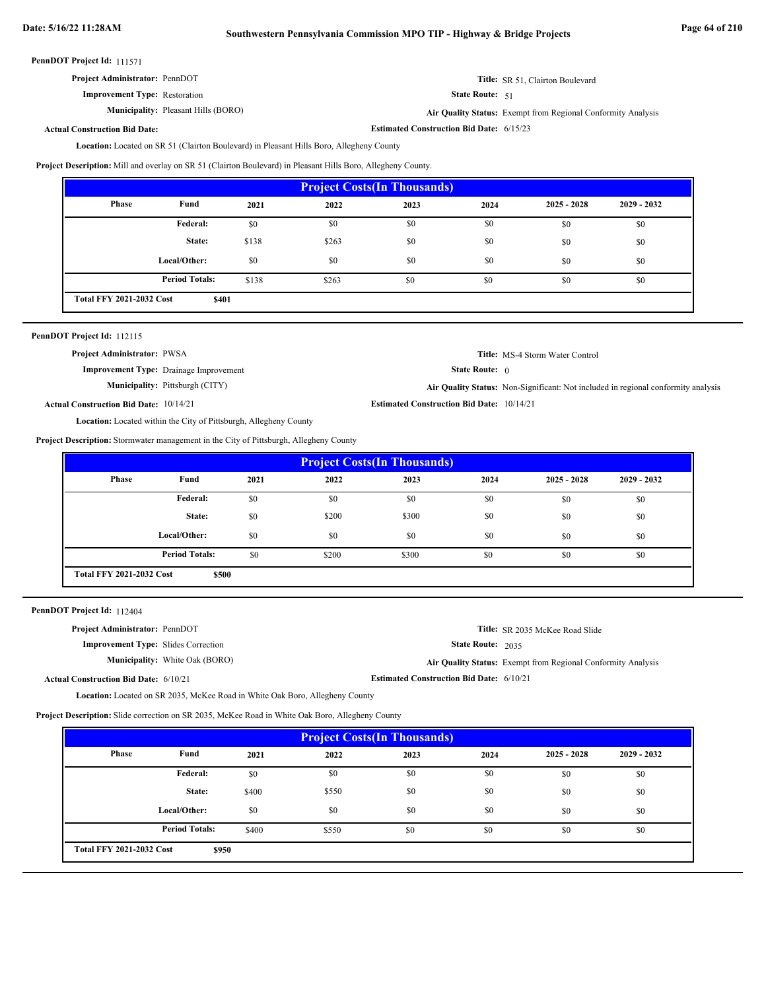| <b>Project Administrator: PennDOT</b> |  |
|---------------------------------------|--|
|---------------------------------------|--|

**Improvement Type:** Restoration

**Municipality:** Pleasant Hills (BORO) **Air Quality Status:** 

State Route: 51

**Estimated Construction Bid Date:** 6/15/23

Air Quality Status: Exempt from Regional Conformity Analysis

**Title:** SR 51, Clairton Boulevard

# **Actual Construction Bid Date:**

Location: Located on SR 51 (Clairton Boulevard) in Pleasant Hills Boro, Allegheny County

**Project Description:** Mill and overlay on SR 51 (Clairton Boulevard) in Pleasant Hills Boro, Allegheny County.

| <b>Project Costs (In Thousands)</b>      |                       |       |       |      |      |               |               |
|------------------------------------------|-----------------------|-------|-------|------|------|---------------|---------------|
| <b>Phase</b>                             | Fund                  | 2021  | 2022  | 2023 | 2024 | $2025 - 2028$ | $2029 - 2032$ |
|                                          | Federal:              | \$0   | \$0   | \$0  | \$0  | \$0           | \$0           |
|                                          | State:                | \$138 | \$263 | \$0  | \$0  | \$0           | \$0           |
|                                          | Local/Other:          | \$0   | \$0   | \$0  | \$0  | \$0           | \$0           |
|                                          | <b>Period Totals:</b> | \$138 | \$263 | \$0  | \$0  | \$0           | \$0           |
| <b>Total FFY 2021-2032 Cost</b><br>\$401 |                       |       |       |      |      |               |               |

|  | PennDOT Project Id: 112115 |  |
|--|----------------------------|--|
|--|----------------------------|--|

| <b>Project Administrator: PWSA</b>            |                                                                          |                                                  | <b>Title:</b> MS-4 Storm Water Control                                            |
|-----------------------------------------------|--------------------------------------------------------------------------|--------------------------------------------------|-----------------------------------------------------------------------------------|
|                                               | <b>Improvement Type:</b> Drainage Improvement                            | <b>State Route:</b> $\theta$                     |                                                                                   |
|                                               | <b>Municipality:</b> Pittsburgh (CITY)                                   |                                                  | Air Quality Status: Non-Significant: Not included in regional conformity analysis |
| <b>Actual Construction Bid Date: 10/14/21</b> |                                                                          | <b>Estimated Construction Bid Date: 10/14/21</b> |                                                                                   |
|                                               | <b>Location:</b> Located within the City of Pittsburgh, Allegheny County |                                                  |                                                                                   |

**Project Description:** Stormwater management in the City of Pittsburgh, Allegheny County

| <b>Project Costs (In Thousands)</b>      |                       |      |       |       |      |               |               |
|------------------------------------------|-----------------------|------|-------|-------|------|---------------|---------------|
| Phase                                    | Fund                  | 2021 | 2022  | 2023  | 2024 | $2025 - 2028$ | $2029 - 2032$ |
|                                          | Federal:              | \$0  | \$0   | \$0   | \$0  | \$0           | \$0           |
|                                          | State:                | \$0  | \$200 | \$300 | \$0  | \$0           | \$0           |
|                                          | Local/Other:          | \$0  | \$0   | \$0   | \$0  | \$0           | \$0           |
|                                          | <b>Period Totals:</b> | \$0  | \$200 | \$300 | \$0  | \$0           | \$0           |
| <b>Total FFY 2021-2032 Cost</b><br>\$500 |                       |      |       |       |      |               |               |

PennDOT Project Id: 112404

| <b>Project Administrator: PennDOT</b>        |                                       |                                                 | Title: SR 2035 McKee Road Slide                              |
|----------------------------------------------|---------------------------------------|-------------------------------------------------|--------------------------------------------------------------|
| <b>Improvement Type:</b> Slides Correction   |                                       | State Route: 2035                               |                                                              |
|                                              | <b>Municipality:</b> White Oak (BORO) |                                                 | Air Quality Status: Exempt from Regional Conformity Analysis |
| <b>Actual Construction Bid Date: 6/10/21</b> |                                       | <b>Estimated Construction Bid Date: 6/10/21</b> |                                                              |

Location: Located on SR 2035, McKee Road in White Oak Boro, Allegheny County

**Project Description:** Slide correction on SR 2035, McKee Road in White Oak Boro, Allegheny County

| <b>Project Costs(In Thousands)</b>       |                       |       |       |      |      |               |               |
|------------------------------------------|-----------------------|-------|-------|------|------|---------------|---------------|
| Phase                                    | Fund                  | 2021  | 2022  | 2023 | 2024 | $2025 - 2028$ | $2029 - 2032$ |
|                                          | Federal:              | \$0   | \$0   | \$0  | \$0  | \$0           | \$0           |
|                                          | State:                | \$400 | \$550 | \$0  | \$0  | \$0           | \$0           |
|                                          | Local/Other:          | \$0   | \$0   | \$0  | \$0  | \$0           | \$0           |
|                                          | <b>Period Totals:</b> | \$400 | \$550 | \$0  | \$0  | \$0           | \$0           |
| <b>Total FFY 2021-2032 Cost</b><br>\$950 |                       |       |       |      |      |               |               |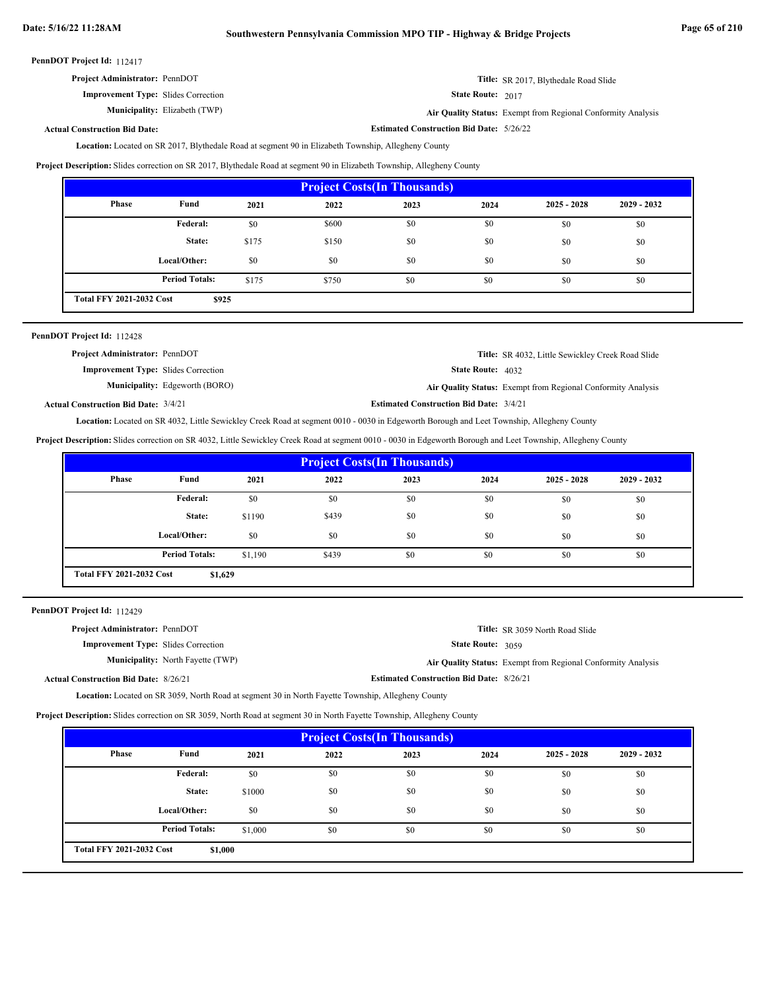**Estimated Construction Bid Date:** 5/26/22

PennDOT Project Id: 112417

| <b>Project Administrator: PennDOT</b> | Title: SR 2017, Blythedale Road Slide |
|---------------------------------------|---------------------------------------|
|---------------------------------------|---------------------------------------|

**Improvement Type:** Slides Correction

**Municipality:** Elizabeth (TWP)

State Route: 2017

Elizabeth (TWP) **Air Quality Status:** Exempt from Regional Conformity Analysis

# **Actual Construction Bid Date:**

Location: Located on SR 2017, Blythedale Road at segment 90 in Elizabeth Township, Allegheny County

**Project Description:** Slides correction on SR 2017, Blythedale Road at segment 90 in Elizabeth Township, Allegheny County

| <b>Project Costs (In Thousands)</b>      |                       |       |       |      |      |               |               |
|------------------------------------------|-----------------------|-------|-------|------|------|---------------|---------------|
| Phase                                    | Fund                  | 2021  | 2022  | 2023 | 2024 | $2025 - 2028$ | $2029 - 2032$ |
|                                          | Federal:              | \$0   | \$600 | \$0  | \$0  | \$0           | \$0           |
|                                          | State:                | \$175 | \$150 | \$0  | \$0  | \$0           | \$0           |
|                                          | Local/Other:          | \$0   | \$0   | \$0  | \$0  | \$0           | \$0           |
|                                          | <b>Period Totals:</b> | \$175 | \$750 | \$0  | \$0  | \$0           | \$0           |
| <b>Total FFY 2021-2032 Cost</b><br>\$925 |                       |       |       |      |      |               |               |

| PennDOT Project Id: 112428                  |                                       |                                                |                                                              |
|---------------------------------------------|---------------------------------------|------------------------------------------------|--------------------------------------------------------------|
| <b>Project Administrator: PennDOT</b>       |                                       |                                                | <b>Title:</b> SR 4032, Little Sewickley Creek Road Slide     |
| <b>Improvement Type:</b> Slides Correction  |                                       | <b>State Route: 4032</b>                       |                                                              |
|                                             | <b>Municipality:</b> Edgeworth (BORO) |                                                | Air Quality Status: Exempt from Regional Conformity Analysis |
| <b>Actual Construction Bid Date: 3/4/21</b> |                                       | <b>Estimated Construction Bid Date: 3/4/21</b> |                                                              |

Location: Located on SR 4032, Little Sewickley Creek Road at segment 0010 - 0030 in Edgeworth Borough and Leet Township, Allegheny County

**Project Description:** Slides correction on SR 4032, Little Sewickley Creek Road at segment 0010 - 0030 in Edgeworth Borough and Leet Township, Allegheny County

| <b>Project Costs (In Thousands)</b> |                                            |         |       |      |      |               |               |
|-------------------------------------|--------------------------------------------|---------|-------|------|------|---------------|---------------|
| Phase                               | Fund                                       | 2021    | 2022  | 2023 | 2024 | $2025 - 2028$ | $2029 - 2032$ |
|                                     | Federal:                                   | \$0     | \$0   | \$0  | \$0  | \$0           | \$0           |
|                                     | State:                                     | \$1190  | \$439 | \$0  | \$0  | \$0           | \$0           |
|                                     | Local/Other:                               | \$0     | \$0   | \$0  | \$0  | \$0           | \$0           |
|                                     | <b>Period Totals:</b>                      | \$1,190 | \$439 | \$0  | \$0  | \$0           | \$0           |
|                                     | <b>Total FFY 2021-2032 Cost</b><br>\$1,629 |         |       |      |      |               |               |

PennDOT Project Id: 112429

| <b>Project Administrator: PennDOT</b>        |                                          |                                                 | <b>Title:</b> SR 3059 North Road Slide                       |
|----------------------------------------------|------------------------------------------|-------------------------------------------------|--------------------------------------------------------------|
| <b>Improvement Type:</b> Slides Correction   |                                          | <b>State Route: 3059</b>                        |                                                              |
|                                              | <b>Municipality:</b> North Fayette (TWP) |                                                 | Air Quality Status: Exempt from Regional Conformity Analysis |
| <b>Actual Construction Bid Date: 8/26/21</b> |                                          | <b>Estimated Construction Bid Date: 8/26/21</b> |                                                              |

Location: Located on SR 3059, North Road at segment 30 in North Fayette Township, Allegheny County

**Project Description:** Slides correction on SR 3059, North Road at segment 30 in North Fayette Township, Allegheny County

| <b>Project Costs (In Thousands)</b>        |                       |         |      |      |      |               |               |
|--------------------------------------------|-----------------------|---------|------|------|------|---------------|---------------|
| Phase                                      | Fund                  | 2021    | 2022 | 2023 | 2024 | $2025 - 2028$ | $2029 - 2032$ |
|                                            | <b>Federal:</b>       | \$0     | \$0  | \$0  | \$0  | \$0           | \$0           |
|                                            | State:                | \$1000  | \$0  | \$0  | \$0  | \$0           | \$0           |
|                                            | Local/Other:          | \$0     | \$0  | \$0  | \$0  | \$0           | \$0           |
|                                            | <b>Period Totals:</b> | \$1,000 | \$0  | \$0  | \$0  | \$0           | \$0           |
| <b>Total FFY 2021-2032 Cost</b><br>\$1,000 |                       |         |      |      |      |               |               |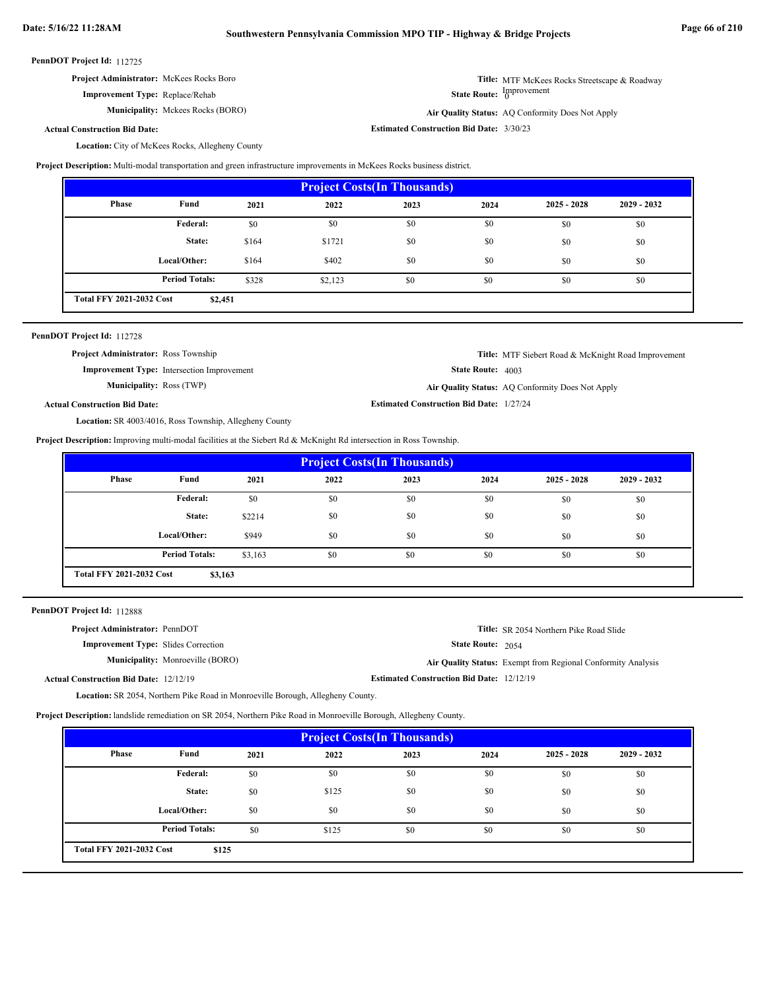**Estimated Construction Bid Date:** 3/30/23

**State Route: Improvement** 

Air Quality Status: AQ Conformity Does Not Apply

**Title:** MTF McKees Rocks Streetscape & Roadway

#### PennDOT Project Id: 112725

**Improvement Type:** Replace/Rehab

**Municipality:** Mckees Rocks (BORO) **Air Quality Status:** 

**Actual Construction Bid Date:**

Location: City of McKees Rocks, Allegheny County

**Project Description:** Multi-modal transportation and green infrastructure improvements in McKees Rocks business district.

| <b>Project Costs (In Thousands)</b>        |                       |       |         |      |      |               |               |
|--------------------------------------------|-----------------------|-------|---------|------|------|---------------|---------------|
| Phase                                      | Fund                  | 2021  | 2022    | 2023 | 2024 | $2025 - 2028$ | $2029 - 2032$ |
|                                            | Federal:              | \$0   | \$0     | \$0  | \$0  | \$0           | \$0           |
|                                            | State:                | \$164 | \$1721  | \$0  | \$0  | \$0           | \$0           |
|                                            | Local/Other:          | \$164 | \$402   | \$0  | \$0  | \$0           | \$0           |
|                                            | <b>Period Totals:</b> | \$328 | \$2,123 | \$0  | \$0  | \$0           | \$0           |
| <b>Total FFY 2021-2032 Cost</b><br>\$2,451 |                       |       |         |      |      |               |               |

| PennDOT Project Id: 112728 |  |
|----------------------------|--|
|----------------------------|--|

| <b>Project Administrator:</b> Ross Township |                                                   |                                                 | <b>Title:</b> MTF Siebert Road & McKnight Road Improvement |
|---------------------------------------------|---------------------------------------------------|-------------------------------------------------|------------------------------------------------------------|
|                                             | <b>Improvement Type:</b> Intersection Improvement | <b>State Route:</b> $4003$                      |                                                            |
| <b>Municipality: Ross (TWP)</b>             |                                                   |                                                 | Air Quality Status: AQ Conformity Does Not Apply           |
| <b>Actual Construction Bid Date:</b>        |                                                   | <b>Estimated Construction Bid Date: 1/27/24</b> |                                                            |

Location: SR 4003/4016, Ross Township, Allegheny County

**Project Description:** Improving multi-modal facilities at the Siebert Rd & McKnight Rd intersection in Ross Township.

| <b>Project Costs (In Thousands)</b>        |                       |         |      |      |      |               |               |
|--------------------------------------------|-----------------------|---------|------|------|------|---------------|---------------|
| Phase                                      | Fund                  | 2021    | 2022 | 2023 | 2024 | $2025 - 2028$ | $2029 - 2032$ |
|                                            | Federal:              | \$0     | \$0  | \$0  | \$0  | \$0           | \$0           |
|                                            | State:                | \$2214  | \$0  | \$0  | \$0  | \$0           | \$0           |
|                                            | Local/Other:          | \$949   | \$0  | \$0  | \$0  | \$0           | \$0           |
|                                            | <b>Period Totals:</b> | \$3,163 | \$0  | \$0  | \$0  | \$0           | \$0           |
| <b>Total FFY 2021-2032 Cost</b><br>\$3,163 |                       |         |      |      |      |               |               |

PennDOT Project Id: 112888

| <b>Project Administrator: PennDOT</b>         | <b>Title:</b> SR 2054 Northern Pike Road Slide               |
|-----------------------------------------------|--------------------------------------------------------------|
| <b>Improvement Type:</b> Slides Correction    | <b>State Route: 2054</b>                                     |
| <b>Municipality:</b> Monroeville (BORO)       | Air Quality Status: Exempt from Regional Conformity Analysis |
| <b>Actual Construction Bid Date: 12/12/19</b> | <b>Estimated Construction Bid Date: 12/12/19</b>             |

Location: SR 2054, Northern Pike Road in Monroeville Borough, Allegheny County.

**Project Description:** landslide remediation on SR 2054, Northern Pike Road in Monroeville Borough, Allegheny County.

| <b>Project Costs (In Thousands)</b>      |                       |      |       |      |      |               |               |
|------------------------------------------|-----------------------|------|-------|------|------|---------------|---------------|
| Phase                                    | Fund                  | 2021 | 2022  | 2023 | 2024 | $2025 - 2028$ | $2029 - 2032$ |
|                                          | Federal:              | \$0  | \$0   | \$0  | \$0  | \$0           | \$0           |
|                                          | State:                | \$0  | \$125 | \$0  | \$0  | \$0           | \$0           |
|                                          | Local/Other:          | \$0  | \$0   | \$0  | \$0  | \$0           | \$0           |
|                                          | <b>Period Totals:</b> | \$0  | \$125 | \$0  | \$0  | \$0           | \$0           |
| <b>Total FFY 2021-2032 Cost</b><br>\$125 |                       |      |       |      |      |               |               |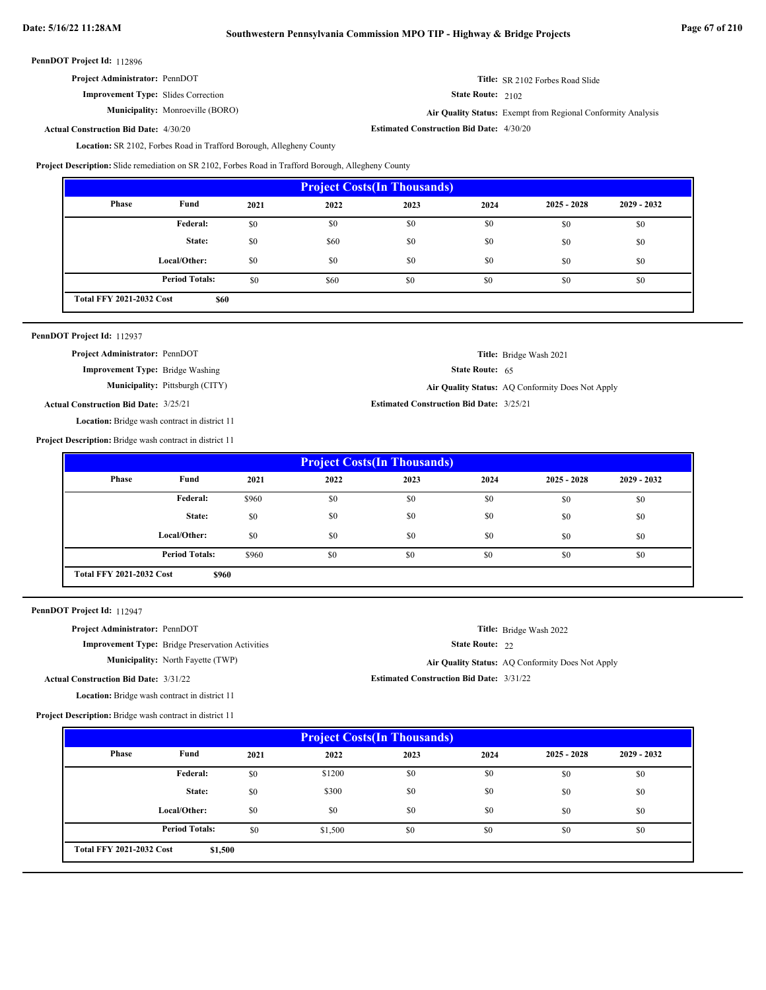# **Date: 5/16/22 11:28AM Southwestern Pennsylvania Commission MPO TIP - Highway & Bridge Projects Page 67 of 210**

PennDOT Project Id: 112896

| <b>Project Administrator: PennDOT</b> |  |
|---------------------------------------|--|
|---------------------------------------|--|

**Improvement Type:** Slides Correction

**Municipality:** Monroeville (BORO)

State Route: 2102

State Route: 65

**Title:** Bridge Wash 2021

Monroeville (BORO) **Air Quality Status:** Exempt from Regional Conformity Analysis

**Title:** SR 2102 Forbes Road Slide

**Estimated Construction Bid Date:** 4/30/20 4/30/20 **Actual Construction Bid Date:**

Location: SR 2102, Forbes Road in Trafford Borough, Allegheny County

**Project Description:** Slide remediation on SR 2102, Forbes Road in Trafford Borough, Allegheny County

| <b>Project Costs (In Thousands)</b>     |                       |      |      |      |      |               |               |
|-----------------------------------------|-----------------------|------|------|------|------|---------------|---------------|
| Phase                                   | Fund                  | 2021 | 2022 | 2023 | 2024 | $2025 - 2028$ | $2029 - 2032$ |
|                                         | Federal:              | \$0  | \$0  | \$0  | \$0  | \$0           | \$0           |
|                                         | State:                | \$0  | \$60 | \$0  | \$0  | \$0           | \$0           |
|                                         | Local/Other:          | \$0  | \$0  | \$0  | \$0  | \$0           | \$0           |
|                                         | <b>Period Totals:</b> | \$0  | \$60 | \$0  | \$0  | \$0           | \$0           |
| <b>Total FFY 2021-2032 Cost</b><br>\$60 |                       |      |      |      |      |               |               |

| PennDOT Project Id: 112937 |  |
|----------------------------|--|
|----------------------------|--|

**Project Administrator:** PennDOT

**Improvement Type:** Bridge Washing

**Municipality:** Pittsburgh (CITY) **Air Quality Status:** AQ Conformity Does Not Apply

**Estimated Construction Bid Date:** 3/25/21 3/25/21 **Actual Construction Bid Date:**

Location: Bridge wash contract in district 11

**Project Description:** Bridge wash contract in district 11

| <b>Project Costs (In Thousands)</b>      |                       |       |      |      |      |               |               |  |
|------------------------------------------|-----------------------|-------|------|------|------|---------------|---------------|--|
| Phase                                    | Fund                  | 2021  | 2022 | 2023 | 2024 | $2025 - 2028$ | $2029 - 2032$ |  |
|                                          | Federal:              | \$960 | \$0  | \$0  | \$0  | \$0           | \$0           |  |
|                                          | State:                | \$0   | \$0  | \$0  | \$0  | \$0           | \$0           |  |
|                                          | Local/Other:          | \$0   | \$0  | \$0  | \$0  | \$0           | \$0           |  |
|                                          | <b>Period Totals:</b> | \$960 | \$0  | \$0  | \$0  | \$0           | \$0           |  |
| <b>Total FFY 2021-2032 Cost</b><br>\$960 |                       |       |      |      |      |               |               |  |

PennDOT Project Id: 112947

| <b>Project Administrator: PennDOT</b>        |                                                         |                                                 | <b>Title:</b> Bridge Wash 2022                   |
|----------------------------------------------|---------------------------------------------------------|-------------------------------------------------|--------------------------------------------------|
|                                              | <b>Improvement Type:</b> Bridge Preservation Activities | <b>State Route: 22</b>                          |                                                  |
|                                              | <b>Municipality:</b> North Fayette (TWP)                |                                                 | Air Quality Status: AQ Conformity Does Not Apply |
| <b>Actual Construction Bid Date: 3/31/22</b> |                                                         | <b>Estimated Construction Bid Date: 3/31/22</b> |                                                  |
|                                              |                                                         |                                                 |                                                  |

**Project Description:** Bridge wash contract in district 11

Location: Bridge wash contract in district 11

| <b>Project Costs (In Thousands)</b>        |                       |      |         |      |      |               |               |
|--------------------------------------------|-----------------------|------|---------|------|------|---------------|---------------|
| Phase                                      | Fund                  | 2021 | 2022    | 2023 | 2024 | $2025 - 2028$ | $2029 - 2032$ |
|                                            | Federal:              | \$0  | \$1200  | \$0  | \$0  | \$0           | \$0           |
|                                            | State:                | \$0  | \$300   | \$0  | \$0  | \$0           | \$0           |
|                                            | Local/Other:          | \$0  | \$0     | \$0  | \$0  | \$0           | \$0           |
|                                            | <b>Period Totals:</b> | \$0  | \$1,500 | \$0  | \$0  | \$0           | \$0           |
| <b>Total FFY 2021-2032 Cost</b><br>\$1,500 |                       |      |         |      |      |               |               |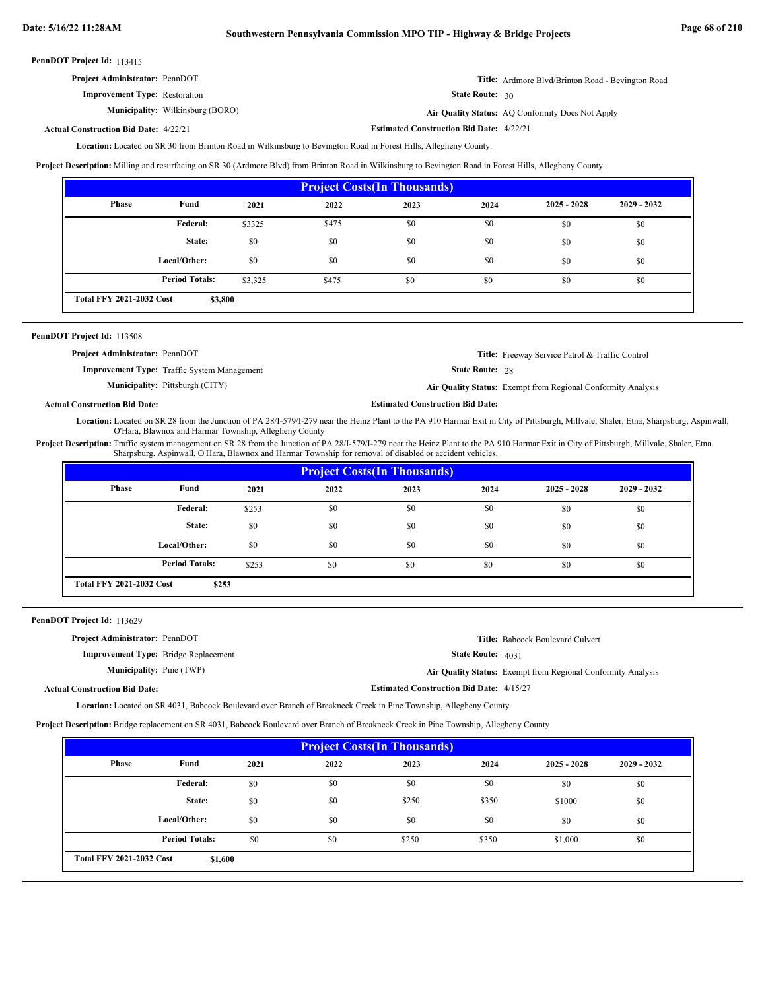| <b>Project Administrator: PennDOT</b> | Title: Ardmore Blvd/Brinton Road - Bevington Road |
|---------------------------------------|---------------------------------------------------|
| <b>Improvement Type:</b> Restoration  | State Route: 30                                   |

**Municipality:** Wilkinsburg (BORO) **Air Quality Status:** Air Quality Status: AQ Conformity Does Not Apply

**Estimated Construction Bid Date:** 4/22/21 4/22/21 **Actual Construction Bid Date:**

Location: Located on SR 30 from Brinton Road in Wilkinsburg to Bevington Road in Forest Hills, Allegheny County.

**Project Description:** Milling and resurfacing on SR 30 (Ardmore Blvd) from Brinton Road in Wilkinsburg to Bevington Road in Forest Hills, Allegheny County.

| <b>Project Costs (In Thousands)</b>        |                       |         |       |      |      |               |               |
|--------------------------------------------|-----------------------|---------|-------|------|------|---------------|---------------|
| Phase                                      | Fund                  | 2021    | 2022  | 2023 | 2024 | $2025 - 2028$ | $2029 - 2032$ |
|                                            | Federal:              | \$3325  | \$475 | \$0  | \$0  | \$0           | \$0           |
|                                            | State:                | \$0     | \$0   | \$0  | \$0  | \$0           | \$0           |
|                                            | Local/Other:          | \$0     | \$0   | \$0  | \$0  | \$0           | \$0           |
|                                            | <b>Period Totals:</b> | \$3,325 | \$475 | \$0  | \$0  | \$0           | \$0           |
| <b>Total FFY 2021-2032 Cost</b><br>\$3,800 |                       |         |       |      |      |               |               |

| <b>PennDOT Project Id: 113508</b>                  |                                                              |
|----------------------------------------------------|--------------------------------------------------------------|
| <b>Project Administrator: PennDOT</b>              | <b>Title:</b> Freeway Service Patrol & Traffic Control       |
| <b>Improvement Type:</b> Traffic System Management | <b>State Route: 28</b>                                       |
| <b>Municipality:</b> Pittsburgh (CITY)             | Air Quality Status: Exempt from Regional Conformity Analysis |

**Actual Construction Bid Date:**

Location: Located on SR 28 from the Junction of PA 28/I-579/I-279 near the Heinz Plant to the PA 910 Harmar Exit in City of Pittsburgh, Millvale, Shaler, Etna, Sharpsburg, Aspinwall, O'Hara, Blawnox and Harmar Township, Allegheny County

**Estimated Construction Bid Date:**

Project Description: Traffic system management on SR 28 from the Junction of PA 28/I-579/I-279 near the Heinz Plant to the PA 910 Harmar Exit in City of Pittsburgh, Millvale, Shaler, Etna, Sharpsburg, Aspinwall, O'Hara, Blawnox and Harmar Township for removal of disabled or accident vehicles.

| <b>Project Costs (In Thousands)</b>      |                       |       |      |      |      |               |               |
|------------------------------------------|-----------------------|-------|------|------|------|---------------|---------------|
| Phase                                    | Fund                  | 2021  | 2022 | 2023 | 2024 | $2025 - 2028$ | $2029 - 2032$ |
|                                          | <b>Federal:</b>       | \$253 | \$0  | \$0  | \$0  | \$0           | \$0           |
|                                          | State:                | \$0   | \$0  | \$0  | \$0  | \$0           | \$0           |
|                                          | Local/Other:          | \$0   | \$0  | \$0  | \$0  | \$0           | \$0           |
|                                          | <b>Period Totals:</b> | \$253 | \$0  | \$0  | \$0  | \$0           | \$0           |
| <b>Total FFY 2021-2032 Cost</b><br>\$253 |                       |       |      |      |      |               |               |

PennDOT Project Id: 113629

| <b>Project Administrator: PennDOT</b>       |                                                 | <b>Title:</b> Babcock Boulevard Culvert                      |
|---------------------------------------------|-------------------------------------------------|--------------------------------------------------------------|
| <b>Improvement Type:</b> Bridge Replacement | <b>State Route: 4031</b>                        |                                                              |
| <b>Municipality:</b> Pine (TWP)             |                                                 | Air Quality Status: Exempt from Regional Conformity Analysis |
| <b>Actual Construction Bid Date:</b>        | <b>Estimated Construction Bid Date: 4/15/27</b> |                                                              |

Located on SR 4031, Babcock Boulevard over Branch of Breakneck Creek in Pine Township, Allegheny County **Location:**

**Project Description:** Bridge replacement on SR 4031, Babcock Boulevard over Branch of Breakneck Creek in Pine Township, Allegheny County

| <b>Project Costs (In Thousands)</b>        |                       |      |      |       |       |               |               |
|--------------------------------------------|-----------------------|------|------|-------|-------|---------------|---------------|
| Phase                                      | Fund                  | 2021 | 2022 | 2023  | 2024  | $2025 - 2028$ | $2029 - 2032$ |
|                                            | Federal:              | \$0  | \$0  | \$0   | \$0   | \$0           | \$0           |
|                                            | State:                | \$0  | \$0  | \$250 | \$350 | \$1000        | \$0           |
|                                            | Local/Other:          | \$0  | \$0  | \$0   | \$0   | \$0           | \$0           |
|                                            | <b>Period Totals:</b> | \$0  | \$0  | \$250 | \$350 | \$1,000       | \$0           |
| <b>Total FFY 2021-2032 Cost</b><br>\$1,600 |                       |      |      |       |       |               |               |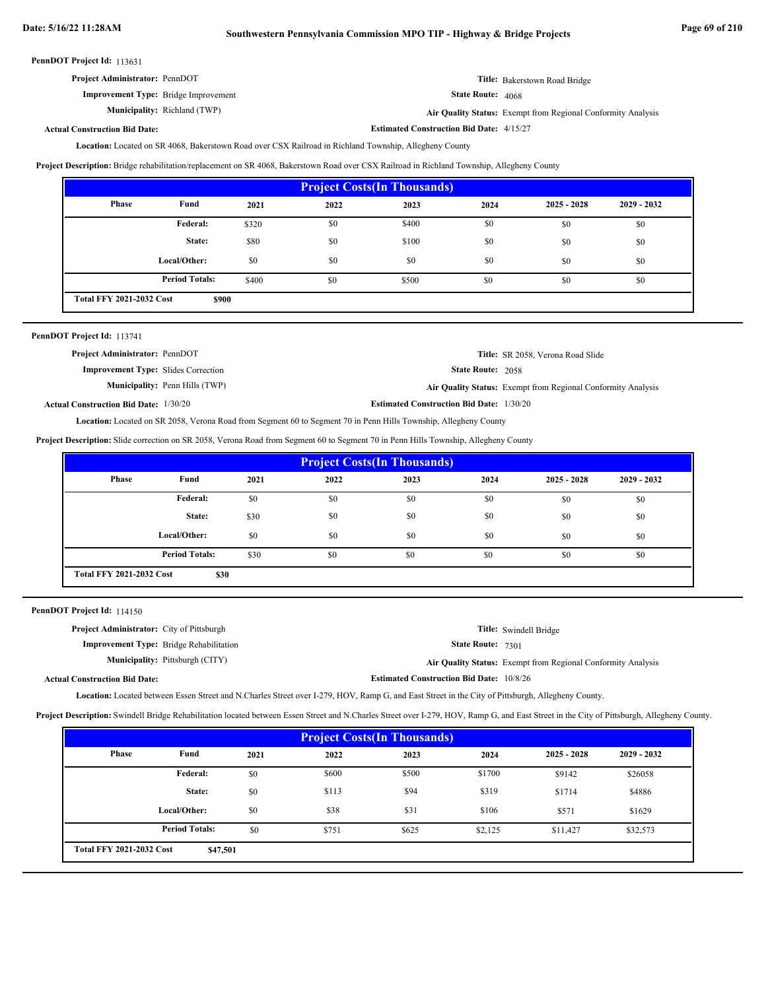**Estimated Construction Bid Date:** 4/15/27

PennDOT Project Id: 113631

| <b>Project Administrator: PennDOT</b>       | Title: Bakerstown Road Bridge                                |
|---------------------------------------------|--------------------------------------------------------------|
| <b>Improvement Type:</b> Bridge Improvement | <b>State Route: 4068</b>                                     |
| <b>Municipality:</b> Richland (TWP)         | Air Quality Status: Exempt from Regional Conformity Analysis |

#### **Actual Construction Bid Date:**

Location: Located on SR 4068, Bakerstown Road over CSX Railroad in Richland Township, Allegheny County

**Project Description:** Bridge rehabilitation/replacement on SR 4068, Bakerstown Road over CSX Railroad in Richland Township, Allegheny County

| <b>Project Costs (In Thousands)</b>      |                       |       |      |       |      |               |               |
|------------------------------------------|-----------------------|-------|------|-------|------|---------------|---------------|
| <b>Phase</b>                             | Fund                  | 2021  | 2022 | 2023  | 2024 | $2025 - 2028$ | $2029 - 2032$ |
|                                          | <b>Federal:</b>       | \$320 | \$0  | \$400 | \$0  | \$0           | \$0           |
|                                          | State:                | \$80  | \$0  | \$100 | \$0  | \$0           | \$0           |
|                                          | Local/Other:          | \$0   | \$0  | \$0   | \$0  | \$0           | \$0           |
|                                          | <b>Period Totals:</b> | \$400 | \$0  | \$500 | \$0  | \$0           | \$0           |
| <b>Total FFY 2021-2032 Cost</b><br>\$900 |                       |       |      |       |      |               |               |

| PennDOT Project Id: 113741                   |                                       |                                                 |                                                              |
|----------------------------------------------|---------------------------------------|-------------------------------------------------|--------------------------------------------------------------|
| <b>Project Administrator: PennDOT</b>        |                                       |                                                 | Title: SR 2058, Verona Road Slide                            |
| <b>Improvement Type:</b> Slides Correction   |                                       | <b>State Route: 2058</b>                        |                                                              |
|                                              | <b>Municipality:</b> Penn Hills (TWP) |                                                 | Air Quality Status: Exempt from Regional Conformity Analysis |
| <b>Actual Construction Bid Date: 1/30/20</b> |                                       | <b>Estimated Construction Bid Date: 1/30/20</b> |                                                              |

Located on SR 2058, Verona Road from Segment 60 to Segment 70 in Penn Hills Township, Allegheny County **Location:**

**Project Description:** Slide correction on SR 2058, Verona Road from Segment 60 to Segment 70 in Penn Hills Township, Allegheny County

| <b>Project Costs(In Thousands)</b>      |                       |      |      |      |      |               |               |
|-----------------------------------------|-----------------------|------|------|------|------|---------------|---------------|
| <b>Phase</b>                            | Fund                  | 2021 | 2022 | 2023 | 2024 | $2025 - 2028$ | $2029 - 2032$ |
|                                         | <b>Federal:</b>       | \$0  | \$0  | \$0  | \$0  | \$0           | \$0           |
|                                         | State:                | \$30 | \$0  | \$0  | \$0  | \$0           | \$0           |
|                                         | Local/Other:          | \$0  | \$0  | \$0  | \$0  | \$0           | \$0           |
|                                         | <b>Period Totals:</b> | \$30 | \$0  | \$0  | \$0  | \$0           | \$0           |
| <b>Total FFY 2021-2032 Cost</b><br>\$30 |                       |      |      |      |      |               |               |

PennDOT Project Id: 114150

| <b>Project Administrator:</b> City of Pittsburgh |                                                 | Title: Swindell Bridge                                       |
|--------------------------------------------------|-------------------------------------------------|--------------------------------------------------------------|
| <b>Improvement Type:</b> Bridge Rehabilitation   | <b>State Route: 7301</b>                        |                                                              |
| <b>Municipality:</b> Pittsburgh (CITY)           |                                                 | Air Quality Status: Exempt from Regional Conformity Analysis |
| <b>Actual Construction Bid Date:</b>             | <b>Estimated Construction Bid Date: 10/8/26</b> |                                                              |

Location: Located between Essen Street and N.Charles Street over I-279, HOV, Ramp G, and East Street in the City of Pittsburgh, Allegheny County.

**Project Description:** Swindell Bridge Rehabilitation located between Essen Street and N.Charles Street over I-279, HOV, Ramp G, and East Street in the City of Pittsburgh, Allegheny County.

| <b>Project Costs (In Thousands)</b>         |                       |      |       |       |         |               |               |
|---------------------------------------------|-----------------------|------|-------|-------|---------|---------------|---------------|
| Phase                                       | Fund                  | 2021 | 2022  | 2023  | 2024    | $2025 - 2028$ | $2029 - 2032$ |
|                                             | Federal:              | \$0  | \$600 | \$500 | \$1700  | \$9142        | \$26058       |
|                                             | State:                | \$0  | \$113 | \$94  | \$319   | \$1714        | \$4886        |
|                                             | Local/Other:          | \$0  | \$38  | \$31  | \$106   | \$571         | \$1629        |
|                                             | <b>Period Totals:</b> | \$0  | \$751 | \$625 | \$2,125 | \$11,427      | \$32,573      |
| <b>Total FFY 2021-2032 Cost</b><br>\$47,501 |                       |      |       |       |         |               |               |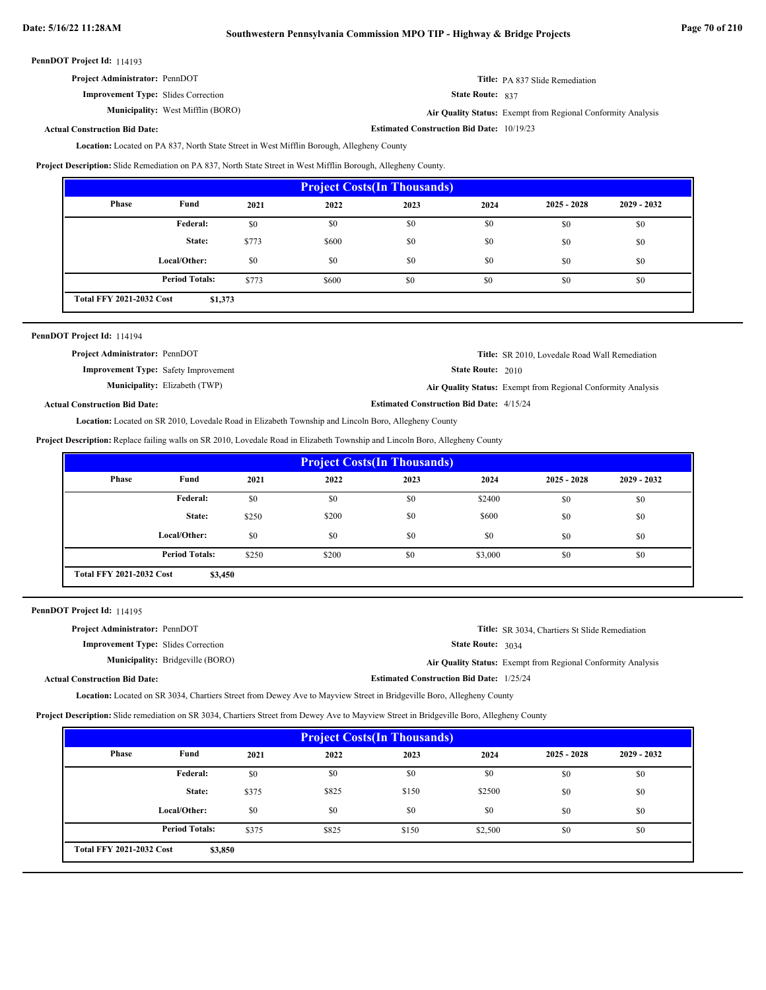| <b>Project Administrator: PennDOT</b> |  |
|---------------------------------------|--|
|---------------------------------------|--|

State Route: 837

**Title:** PA 837 Slide Remediation

**Estimated Construction Bid Date:** 10/19/23 West Mifflin (BORO) **Air Quality Status:** Exempt from Regional Conformity Analysis

#### **Actual Construction Bid Date:**

**Improvement Type:** Slides Correction

**Municipality:**

Location: Located on PA 837, North State Street in West Mifflin Borough, Allegheny County

**Project Description:** Slide Remediation on PA 837, North State Street in West Mifflin Borough, Allegheny County.

| <b>Project Costs (In Thousands)</b>        |                       |       |       |      |      |               |               |
|--------------------------------------------|-----------------------|-------|-------|------|------|---------------|---------------|
| Phase                                      | Fund                  | 2021  | 2022  | 2023 | 2024 | $2025 - 2028$ | $2029 - 2032$ |
|                                            | <b>Federal:</b>       | \$0   | \$0   | \$0  | \$0  | \$0           | \$0           |
|                                            | State:                | \$773 | \$600 | \$0  | \$0  | \$0           | \$0           |
|                                            | Local/Other:          | \$0   | \$0   | \$0  | \$0  | \$0           | \$0           |
|                                            | <b>Period Totals:</b> | \$773 | \$600 | \$0  | \$0  | \$0           | \$0           |
| <b>Total FFY 2021-2032 Cost</b><br>\$1,373 |                       |       |       |      |      |               |               |

| PennDOT Project Id: 114194 |  |
|----------------------------|--|
|----------------------------|--|

| <b>Project Administrator: PennDOT</b>       |                                      |                                                 | <b>Title:</b> SR 2010, Lovedale Road Wall Remediation               |
|---------------------------------------------|--------------------------------------|-------------------------------------------------|---------------------------------------------------------------------|
| <b>Improvement Type:</b> Safety Improvement |                                      | <b>State Route: 2010</b>                        |                                                                     |
|                                             | <b>Municipality:</b> Elizabeth (TWP) |                                                 | <b>Air Quality Status:</b> Exempt from Regional Conformity Analysis |
| <b>Actual Construction Bid Date:</b>        |                                      | <b>Estimated Construction Bid Date: 4/15/24</b> |                                                                     |

Location: Located on SR 2010, Lovedale Road in Elizabeth Township and Lincoln Boro, Allegheny County

**Project Description:** Replace failing walls on SR 2010, Lovedale Road in Elizabeth Township and Lincoln Boro, Allegheny County

| <b>Project Costs (In Thousands)</b>        |                       |       |       |      |         |               |               |
|--------------------------------------------|-----------------------|-------|-------|------|---------|---------------|---------------|
| Phase                                      | Fund                  | 2021  | 2022  | 2023 | 2024    | $2025 - 2028$ | $2029 - 2032$ |
|                                            | Federal:              | \$0   | \$0   | \$0  | \$2400  | \$0           | \$0           |
|                                            | State:                | \$250 | \$200 | \$0  | \$600   | \$0           | \$0           |
|                                            | Local/Other:          | \$0   | \$0   | \$0  | \$0     | \$0           | \$0           |
|                                            | <b>Period Totals:</b> | \$250 | \$200 | \$0  | \$3,000 | \$0           | \$0           |
| <b>Total FFY 2021-2032 Cost</b><br>\$3,450 |                       |       |       |      |         |               |               |

PennDOT Project Id: 114195

| <b>Project Administrator: PennDOT</b>      |                                         |                                                 | <b>Title:</b> SR 3034, Chartiers St Slide Remediation        |
|--------------------------------------------|-----------------------------------------|-------------------------------------------------|--------------------------------------------------------------|
| <b>Improvement Type:</b> Slides Correction |                                         | <b>State Route: 3034</b>                        |                                                              |
|                                            | <b>Municipality:</b> Bridgeville (BORO) |                                                 | Air Quality Status: Exempt from Regional Conformity Analysis |
| <b>Actual Construction Bid Date:</b>       |                                         | <b>Estimated Construction Bid Date: 1/25/24</b> |                                                              |

Location: Located on SR 3034, Chartiers Street from Dewey Ave to Mayview Street in Bridgeville Boro, Allegheny County

**Project Description:** Slide remediation on SR 3034, Chartiers Street from Dewey Ave to Mayview Street in Bridgeville Boro, Allegheny County

| <b>Project Costs (In Thousands)</b>        |                       |       |       |       |         |               |               |
|--------------------------------------------|-----------------------|-------|-------|-------|---------|---------------|---------------|
| Phase                                      | Fund                  | 2021  | 2022  | 2023  | 2024    | $2025 - 2028$ | $2029 - 2032$ |
|                                            | Federal:              | \$0   | \$0   | \$0   | \$0     | \$0           | \$0           |
|                                            | State:                | \$375 | \$825 | \$150 | \$2500  | \$0           | \$0           |
|                                            | Local/Other:          | \$0   | \$0   | \$0   | \$0     | \$0           | \$0           |
|                                            | <b>Period Totals:</b> | \$375 | \$825 | \$150 | \$2,500 | \$0           | \$0           |
| <b>Total FFY 2021-2032 Cost</b><br>\$3,850 |                       |       |       |       |         |               |               |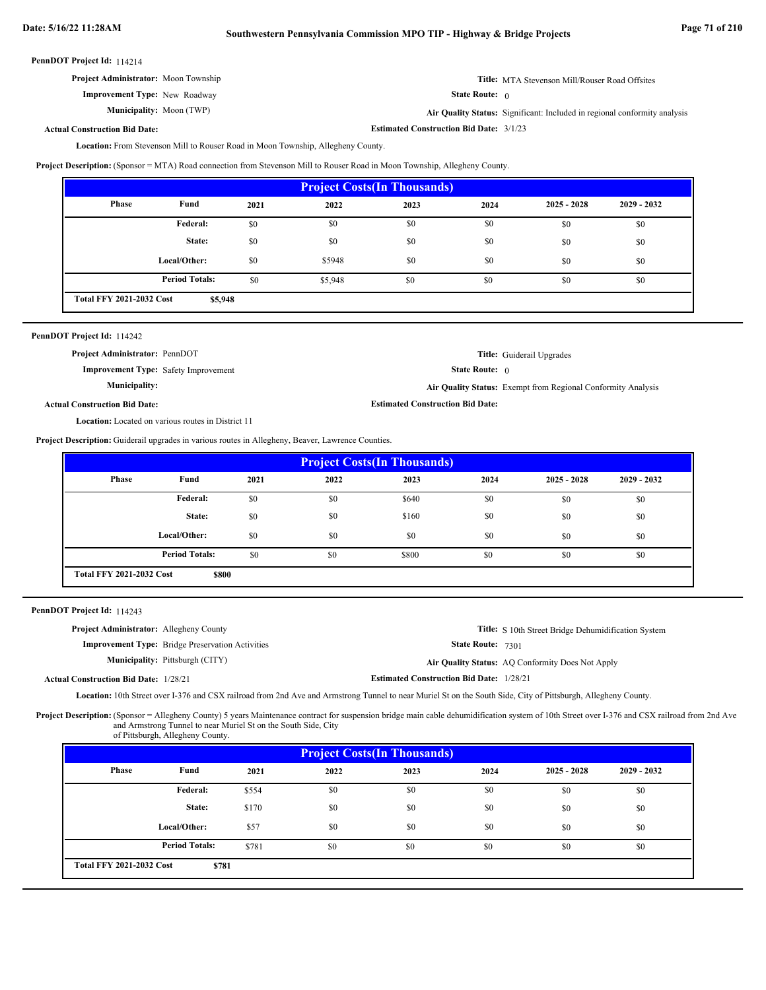**Title:** MTA Stevenson Mill/Rouser Road Offsites **Project Administrator:** Moon Township

State Route: 0

**Estimated Construction Bid Date:** 3/1/23

Moon (TWP) **Air Quality Status:** Significant: Included in regional conformity analysis

### **Actual Construction Bid Date:**

**Improvement Type:** New Roadway

Municipality: Moon (TWP)

Location: From Stevenson Mill to Rouser Road in Moon Township, Allegheny County.

**Project Description:** (Sponsor = MTA) Road connection from Stevenson Mill to Rouser Road in Moon Township, Allegheny County.

| <b>Project Costs (In Thousands)</b> |                                            |      |         |      |      |               |               |
|-------------------------------------|--------------------------------------------|------|---------|------|------|---------------|---------------|
| Phase                               | Fund                                       | 2021 | 2022    | 2023 | 2024 | $2025 - 2028$ | $2029 - 2032$ |
|                                     | Federal:                                   | \$0  | \$0     | \$0  | \$0  | \$0           | \$0           |
|                                     | State:                                     | \$0  | \$0     | \$0  | \$0  | \$0           | \$0           |
|                                     | Local/Other:                               | \$0  | \$5948  | \$0  | \$0  | \$0           | \$0           |
|                                     | <b>Period Totals:</b>                      | \$0  | \$5,948 | \$0  | \$0  | \$0           | \$0           |
|                                     | <b>Total FFY 2021-2032 Cost</b><br>\$5,948 |      |         |      |      |               |               |

| PennDOT Project Id: 114242                                |                                                              |
|-----------------------------------------------------------|--------------------------------------------------------------|
| Project Administrator: PennDOT                            | <b>Title:</b> Guiderail Upgrades                             |
| <b>Improvement Type:</b> Safety Improvement               | <b>State Route:</b> $\theta$                                 |
| <b>Municipality:</b>                                      | Air Quality Status: Exempt from Regional Conformity Analysis |
| <b>Actual Construction Bid Date:</b>                      | <b>Estimated Construction Bid Date:</b>                      |
| <b>Location:</b> Located on various routes in District 11 |                                                              |

**Project Description:** Guiderail upgrades in various routes in Allegheny, Beaver, Lawrence Counties.

| <b>Project Costs (In Thousands)</b>      |                       |      |      |       |      |               |               |
|------------------------------------------|-----------------------|------|------|-------|------|---------------|---------------|
| Phase                                    | Fund                  | 2021 | 2022 | 2023  | 2024 | $2025 - 2028$ | $2029 - 2032$ |
|                                          | Federal:              | \$0  | \$0  | \$640 | \$0  | \$0           | \$0           |
|                                          | State:                | \$0  | \$0  | \$160 | \$0  | \$0           | \$0           |
|                                          | Local/Other:          | \$0  | \$0  | \$0   | \$0  | \$0           | \$0           |
|                                          | <b>Period Totals:</b> | \$0  | \$0  | \$800 | \$0  | \$0           | \$0           |
| <b>Total FFY 2021-2032 Cost</b><br>\$800 |                       |      |      |       |      |               |               |

|  | PennDOT Project Id: 114243 |  |
|--|----------------------------|--|
|--|----------------------------|--|

| <b>Project Administrator:</b> Allegheny County |                                                         |                                                 | <b>Title:</b> S 10th Street Bridge Dehumidification System |
|------------------------------------------------|---------------------------------------------------------|-------------------------------------------------|------------------------------------------------------------|
|                                                | <b>Improvement Type:</b> Bridge Preservation Activities | <b>State Route: 7301</b>                        |                                                            |
|                                                | <b>Municipality:</b> Pittsburgh (CITY)                  |                                                 | Air Quality Status: AQ Conformity Does Not Apply           |
| <b>Actual Construction Bid Date: 1/28/21</b>   |                                                         | <b>Estimated Construction Bid Date: 1/28/21</b> |                                                            |

Location: 10th Street over I-376 and CSX railroad from 2nd Ave and Armstrong Tunnel to near Muriel St on the South Side, City of Pittsburgh, Allegheny County.

Project Description: (Sponsor = Allegheny County) 5 years Maintenance contract for suspension bridge main cable dehumidification system of 10th Street over I-376 and CSX railroad from 2nd Ave and Armstrong Tunnel to near Muriel St on the South Side, City of Pittsburgh, Allegheny County.

| <b>Project Costs (In Thousands)</b>      |                       |       |      |      |      |               |               |  |
|------------------------------------------|-----------------------|-------|------|------|------|---------------|---------------|--|
| Phase                                    | Fund                  | 2021  | 2022 | 2023 | 2024 | $2025 - 2028$ | $2029 - 2032$ |  |
|                                          | Federal:              | \$554 | \$0  | \$0  | \$0  | \$0           | \$0           |  |
|                                          | State:                | \$170 | \$0  | \$0  | \$0  | \$0           | \$0           |  |
|                                          | Local/Other:          | \$57  | \$0  | \$0  | \$0  | \$0           | \$0           |  |
|                                          | <b>Period Totals:</b> | \$781 | \$0  | \$0  | \$0  | \$0           | \$0           |  |
| <b>Total FFY 2021-2032 Cost</b><br>\$781 |                       |       |      |      |      |               |               |  |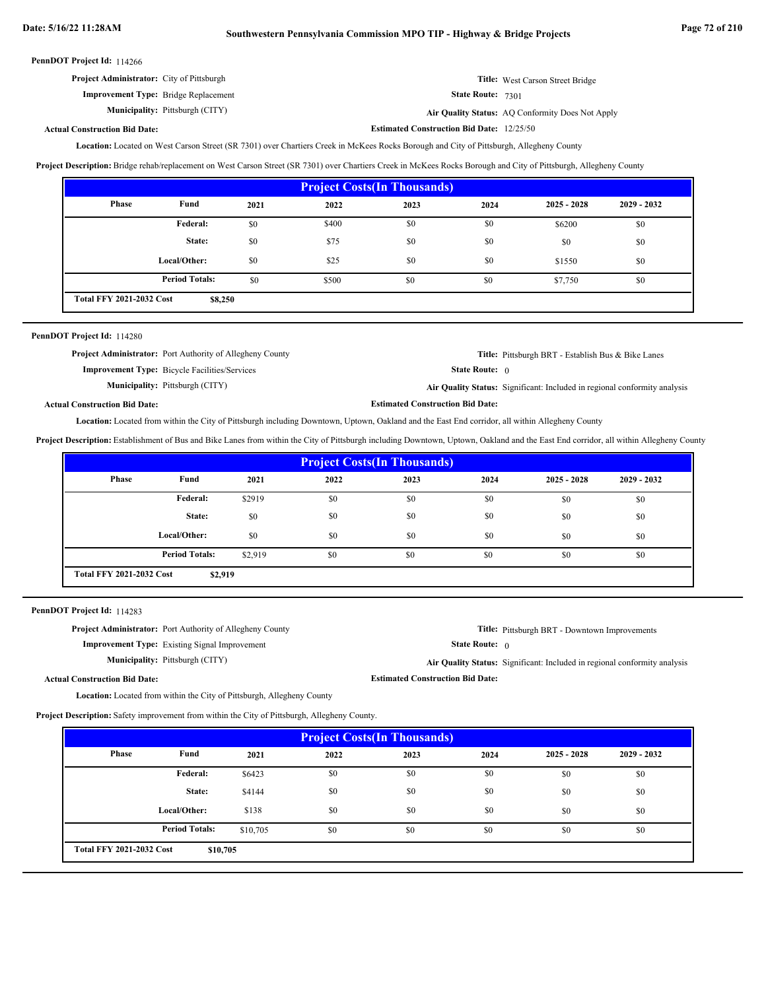|  | PennDOT Project Id: 114266 |  |
|--|----------------------------|--|
|--|----------------------------|--|

| <b>Project Administrator:</b> City of Pittsburgh | Title: West Carson Street Bridge |
|--------------------------------------------------|----------------------------------|
| <b>Improvement Type:</b> Bridge Replacement      | <b>State Route: 7301</b>         |

Pittsburgh (CITY) **Air Quality Status:** AQ Conformity Does Not Apply

# **Actual Construction Bid Date:**

Location: Located on West Carson Street (SR 7301) over Chartiers Creek in McKees Rocks Borough and City of Pittsburgh, Allegheny County

**Project Description:** Bridge rehab/replacement on West Carson Street (SR 7301) over Chartiers Creek in McKees Rocks Borough and City of Pittsburgh, Allegheny County

| <b>Project Costs (In Thousands)</b>        |                       |      |       |      |      |               |               |  |
|--------------------------------------------|-----------------------|------|-------|------|------|---------------|---------------|--|
| Phase                                      | Fund                  | 2021 | 2022  | 2023 | 2024 | $2025 - 2028$ | $2029 - 2032$ |  |
|                                            | Federal:              | \$0  | \$400 | \$0  | \$0  | \$6200        | \$0           |  |
|                                            | State:                | \$0  | \$75  | \$0  | \$0  | \$0           | \$0           |  |
|                                            | Local/Other:          | \$0  | \$25  | \$0  | \$0  | \$1550        | \$0           |  |
|                                            | <b>Period Totals:</b> | \$0  | \$500 | \$0  | \$0  | \$7,750       | \$0           |  |
| <b>Total FFY 2021-2032 Cost</b><br>\$8,250 |                       |      |       |      |      |               |               |  |

# PennDOT Project Id: 114280

**Project Administrator:** Port Authority of Allegheny County

**Improvement Type:** Bicycle Facilities/Services

**Municipality:**

**Municipality:** Pittsburgh (CITY)

**Title:** Pittsburgh BRT - Establish Bus & Bike Lanes

State Route: 0

**Estimated Construction Bid Date:**

**Estimated Construction Bid Date:** 12/25/50

Pittsburgh (CITY) **Air Quality Status:** Significant: Included in regional conformity analysis

**Actual Construction Bid Date:**

Location: Located from within the City of Pittsburgh including Downtown, Uptown, Oakland and the East End corridor, all within Allegheny County

**Project Description:** Establishment of Bus and Bike Lanes from within the City of Pittsburgh including Downtown, Uptown, Oakland and the East End corridor, all within Allegheny County

| <b>Project Costs (In Thousands)</b>        |                       |         |      |      |      |               |               |  |
|--------------------------------------------|-----------------------|---------|------|------|------|---------------|---------------|--|
| Phase                                      | Fund                  | 2021    | 2022 | 2023 | 2024 | $2025 - 2028$ | $2029 - 2032$ |  |
|                                            | Federal:              | \$2919  | \$0  | \$0  | \$0  | \$0           | \$0           |  |
|                                            | State:                | \$0     | \$0  | \$0  | \$0  | \$0           | \$0           |  |
|                                            | Local/Other:          | \$0     | \$0  | \$0  | \$0  | \$0           | \$0           |  |
|                                            | <b>Period Totals:</b> | \$2.919 | \$0  | \$0  | \$0  | \$0           | \$0           |  |
| <b>Total FFY 2021-2032 Cost</b><br>\$2,919 |                       |         |      |      |      |               |               |  |

PennDOT Project Id: 114283

**Project Administrator:** Port Authority of Allegheny County

**Improvement Type:** Existing Signal Improvement

**Municipality:** Pittsburgh (CITY)

**Title:** Pittsburgh BRT - Downtown Improvements

State Route: 0

**Estimated Construction Bid Date:**

Pittsburgh (CITY) **Air Quality Status:** Significant: Included in regional conformity analysis

**Actual Construction Bid Date:**

Location: Located from within the City of Pittsburgh, Allegheny County

**Project Description:** Safety improvement from within the City of Pittsburgh, Allegheny County.

| <b>Project Costs (In Thousands)</b>         |                       |          |      |      |      |               |               |  |
|---------------------------------------------|-----------------------|----------|------|------|------|---------------|---------------|--|
| Phase                                       | Fund                  | 2021     | 2022 | 2023 | 2024 | $2025 - 2028$ | $2029 - 2032$ |  |
|                                             | Federal:              | \$6423   | \$0  | \$0  | \$0  | \$0           | \$0           |  |
|                                             | State:                | \$4144   | \$0  | \$0  | \$0  | \$0           | \$0           |  |
|                                             | Local/Other:          | \$138    | \$0  | \$0  | \$0  | \$0           | \$0           |  |
|                                             | <b>Period Totals:</b> | \$10,705 | \$0  | \$0  | \$0  | \$0           | \$0           |  |
| <b>Total FFY 2021-2032 Cost</b><br>\$10,705 |                       |          |      |      |      |               |               |  |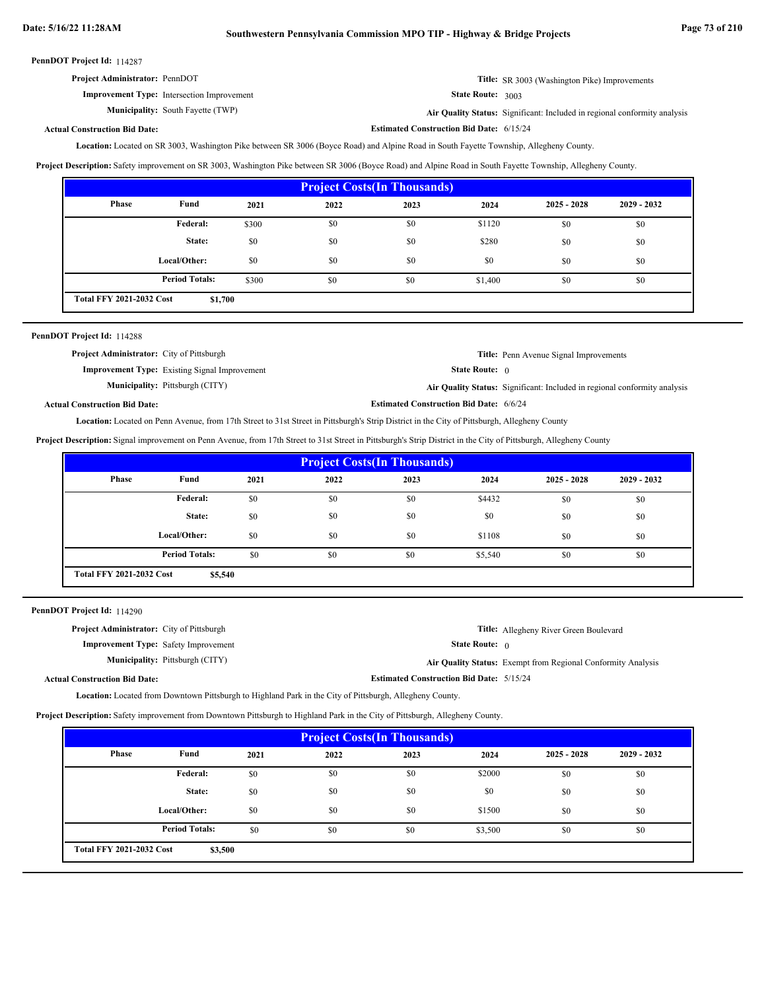**Estimated Construction Bid Date:** 6/15/24

PennDOT Project Id: 114287

| <b>Project Administrator: PennDOT</b>             | <b>Title:</b> SR 3003 (Washington Pike) Improvements |
|---------------------------------------------------|------------------------------------------------------|
| <b>Improvement Type:</b> Intersection Improvement | State Route: 3003                                    |

**Municipality:** South Fayette (TWP) **Air Quality Status:** 

Air Quality Status: Significant: Included in regional conformity analysis

# **Actual Construction Bid Date:**

Location: Located on SR 3003, Washington Pike between SR 3006 (Boyce Road) and Alpine Road in South Fayette Township, Allegheny County.

**Project Description:** Safety improvement on SR 3003, Washington Pike between SR 3006 (Boyce Road) and Alpine Road in South Fayette Township, Allegheny County.

| <b>Project Costs (In Thousands)</b> |                                            |       |      |      |         |               |               |
|-------------------------------------|--------------------------------------------|-------|------|------|---------|---------------|---------------|
| Phase                               | Fund                                       | 2021  | 2022 | 2023 | 2024    | $2025 - 2028$ | $2029 - 2032$ |
|                                     | Federal:                                   | \$300 | \$0  | \$0  | \$1120  | \$0           | \$0           |
|                                     | State:                                     | \$0   | \$0  | \$0  | \$280   | \$0           | \$0           |
|                                     | Local/Other:                               | \$0   | \$0  | \$0  | \$0     | \$0           | \$0           |
|                                     | <b>Period Totals:</b>                      | \$300 | \$0  | \$0  | \$1,400 | \$0           | \$0           |
|                                     | <b>Total FFY 2021-2032 Cost</b><br>\$1,700 |       |      |      |         |               |               |

| PennDOT Project Id: 114288                       |                                                      |                                                |                                                                           |
|--------------------------------------------------|------------------------------------------------------|------------------------------------------------|---------------------------------------------------------------------------|
| <b>Project Administrator:</b> City of Pittsburgh |                                                      |                                                | <b>Title:</b> Penn Avenue Signal Improvements                             |
|                                                  | <b>Improvement Type:</b> Existing Signal Improvement | <b>State Route:</b> $\theta$                   |                                                                           |
|                                                  | <b>Municipality:</b> Pittsburgh (CITY)               |                                                | Air Quality Status: Significant: Included in regional conformity analysis |
| <b>Actual Construction Bid Date:</b>             |                                                      | <b>Estimated Construction Bid Date: 6/6/24</b> |                                                                           |

Location: Located on Penn Avenue, from 17th Street to 31st Street in Pittsburgh's Strip District in the City of Pittsburgh, Allegheny County

**Project Description:** Signal improvement on Penn Avenue, from 17th Street to 31st Street in Pittsburgh's Strip District in the City of Pittsburgh, Allegheny County

| <b>Project Costs (In Thousands)</b>        |                       |      |      |      |         |               |               |
|--------------------------------------------|-----------------------|------|------|------|---------|---------------|---------------|
| Phase                                      | Fund                  | 2021 | 2022 | 2023 | 2024    | $2025 - 2028$ | $2029 - 2032$ |
|                                            | Federal:              | \$0  | \$0  | \$0  | \$4432  | \$0           | \$0           |
|                                            | State:                | \$0  | \$0  | \$0  | \$0     | \$0           | \$0           |
|                                            | Local/Other:          | \$0  | \$0  | \$0  | \$1108  | \$0           | \$0           |
|                                            | <b>Period Totals:</b> | \$0  | \$0  | \$0  | \$5,540 | \$0           | \$0           |
| <b>Total FFY 2021-2032 Cost</b><br>\$5,540 |                       |      |      |      |         |               |               |

PennDOT Project Id: 114290

| <b>Project Administrator:</b> City of Pittsburgh |                                        |                                                 | <b>Title:</b> Allegheny River Green Boulevard                |
|--------------------------------------------------|----------------------------------------|-------------------------------------------------|--------------------------------------------------------------|
| <b>Improvement Type:</b> Safety Improvement      |                                        | <b>State Route:</b> $\theta$                    |                                                              |
|                                                  | <b>Municipality:</b> Pittsburgh (CITY) |                                                 | Air Quality Status: Exempt from Regional Conformity Analysis |
| <b>Actual Construction Bid Date:</b>             |                                        | <b>Estimated Construction Bid Date: 5/15/24</b> |                                                              |

**Location:** Located from Downtown Pittsburgh to Highland Park in the City of Pittsburgh, Allegheny County.

**Project Description:** Safety improvement from Downtown Pittsburgh to Highland Park in the City of Pittsburgh, Allegheny County.

| <b>Project Costs (In Thousands)</b>        |                       |      |      |      |         |               |               |
|--------------------------------------------|-----------------------|------|------|------|---------|---------------|---------------|
| Phase                                      | Fund                  | 2021 | 2022 | 2023 | 2024    | $2025 - 2028$ | $2029 - 2032$ |
|                                            | <b>Federal:</b>       | \$0  | \$0  | \$0  | \$2000  | \$0           | \$0           |
|                                            | State:                | \$0  | \$0  | \$0  | \$0     | \$0           | \$0           |
|                                            | Local/Other:          | \$0  | \$0  | \$0  | \$1500  | \$0           | \$0           |
|                                            | <b>Period Totals:</b> | \$0  | \$0  | \$0  | \$3,500 | \$0           | \$0           |
| <b>Total FFY 2021-2032 Cost</b><br>\$3,500 |                       |      |      |      |         |               |               |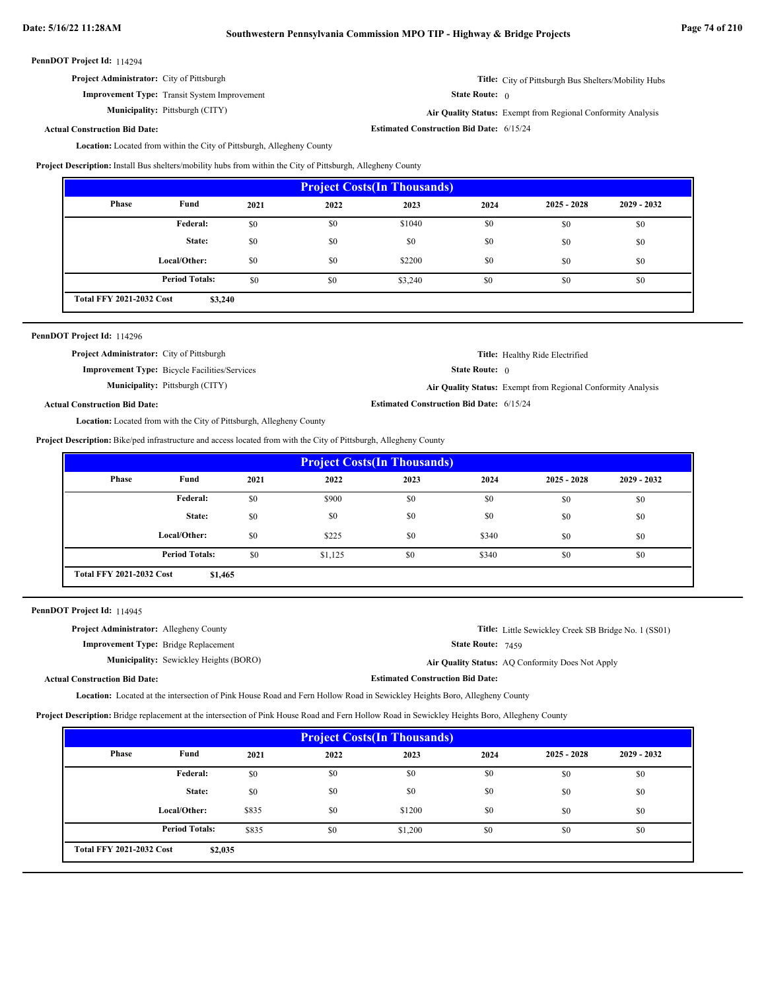**Improvement Type:** Transit System Improvement

**Municipality:**

State Route: 0

**Title:** City of Pittsburgh Bus Shelters/Mobility Hubs

**Estimated Construction Bid Date:** 6/15/24

Pittsburgh (CITY) **Air Quality Status:** Exempt from Regional Conformity Analysis

# **Actual Construction Bid Date:**

Location: Located from within the City of Pittsburgh, Allegheny County

**Project Description:** Install Bus shelters/mobility hubs from within the City of Pittsburgh, Allegheny County

| <b>Project Costs (In Thousands)</b>        |                       |      |      |         |      |               |               |
|--------------------------------------------|-----------------------|------|------|---------|------|---------------|---------------|
| Phase                                      | Fund                  | 2021 | 2022 | 2023    | 2024 | $2025 - 2028$ | $2029 - 2032$ |
|                                            | <b>Federal:</b>       | \$0  | \$0  | \$1040  | \$0  | \$0           | \$0           |
|                                            | State:                | \$0  | \$0  | \$0     | \$0  | \$0           | \$0           |
|                                            | Local/Other:          | \$0  | \$0  | \$2200  | \$0  | \$0           | \$0           |
|                                            | <b>Period Totals:</b> | \$0  | \$0  | \$3,240 | \$0  | \$0           | \$0           |
| <b>Total FFY 2021-2032 Cost</b><br>\$3,240 |                       |      |      |         |      |               |               |

# PennDOT Project Id: 114296

| <b>Project Administrator:</b> City of Pittsburgh                                                                                                                                                                                     | Title: Healthy Ride Electrified                              |
|--------------------------------------------------------------------------------------------------------------------------------------------------------------------------------------------------------------------------------------|--------------------------------------------------------------|
| <b>Improvement Type:</b> Bicycle Facilities/Services                                                                                                                                                                                 | <b>State Route:</b> $\theta$                                 |
| <b>Municipality:</b> Pittsburgh (CITY)                                                                                                                                                                                               | Air Quality Status: Exempt from Regional Conformity Analysis |
| <b>Actual Construction Bid Date:</b>                                                                                                                                                                                                 | <b>Estimated Construction Bid Date: 6/15/24</b>              |
| $\mathbf{v}$ as $\mathbf{v}$ as a second and a second and a second and a second and a second and a second and a second and a second and a second and a second and a second and a second and a second and a second and a second and a |                                                              |

Location: Located from with the City of Pittsburgh, Allegheny County

**Project Description:** Bike/ped infrastructure and access located from with the City of Pittsburgh, Allegheny County

| <b>Project Costs (In Thousands)</b>        |                       |      |         |      |       |               |               |
|--------------------------------------------|-----------------------|------|---------|------|-------|---------------|---------------|
| Phase                                      | Fund                  | 2021 | 2022    | 2023 | 2024  | $2025 - 2028$ | $2029 - 2032$ |
|                                            | Federal:              | \$0  | \$900   | \$0  | \$0   | \$0           | \$0           |
|                                            | State:                | \$0  | \$0     | \$0  | \$0   | \$0           | \$0           |
|                                            | Local/Other:          | \$0  | \$225   | \$0  | \$340 | \$0           | \$0           |
|                                            | <b>Period Totals:</b> | \$0  | \$1,125 | \$0  | \$340 | \$0           | \$0           |
| <b>Total FFY 2021-2032 Cost</b><br>\$1,465 |                       |      |         |      |       |               |               |

|  | PennDOT Project Id: 114945 |  |
|--|----------------------------|--|
|--|----------------------------|--|

| <b>Project Administrator:</b> Allegheny County |                                               | <b>Title:</b> Little Sewickley Creek SB Bridge No. 1 (SS01) |
|------------------------------------------------|-----------------------------------------------|-------------------------------------------------------------|
| <b>Improvement Type:</b> Bridge Replacement    |                                               | <b>State Route:</b> $7459$                                  |
|                                                | <b>Municipality:</b> Sewickley Heights (BORO) | Air Quality Status: AQ Conformity Does Not Apply            |
| <b>Actual Construction Bid Date:</b>           |                                               | <b>Estimated Construction Bid Date:</b>                     |
|                                                |                                               |                                                             |

Location: Located at the intersection of Pink House Road and Fern Hollow Road in Sewickley Heights Boro, Allegheny County

**Project Description:** Bridge replacement at the intersection of Pink House Road and Fern Hollow Road in Sewickley Heights Boro, Allegheny County

| <b>Project Costs (In Thousands)</b>        |                       |       |      |         |      |               |               |
|--------------------------------------------|-----------------------|-------|------|---------|------|---------------|---------------|
| Phase                                      | Fund                  | 2021  | 2022 | 2023    | 2024 | $2025 - 2028$ | $2029 - 2032$ |
|                                            | <b>Federal:</b>       | \$0   | \$0  | \$0     | \$0  | \$0           | \$0           |
|                                            | State:                | \$0   | \$0  | \$0     | \$0  | \$0           | \$0           |
|                                            | Local/Other:          | \$835 | \$0  | \$1200  | \$0  | \$0           | \$0           |
|                                            | <b>Period Totals:</b> | \$835 | \$0  | \$1,200 | \$0  | \$0           | \$0           |
| <b>Total FFY 2021-2032 Cost</b><br>\$2,035 |                       |       |      |         |      |               |               |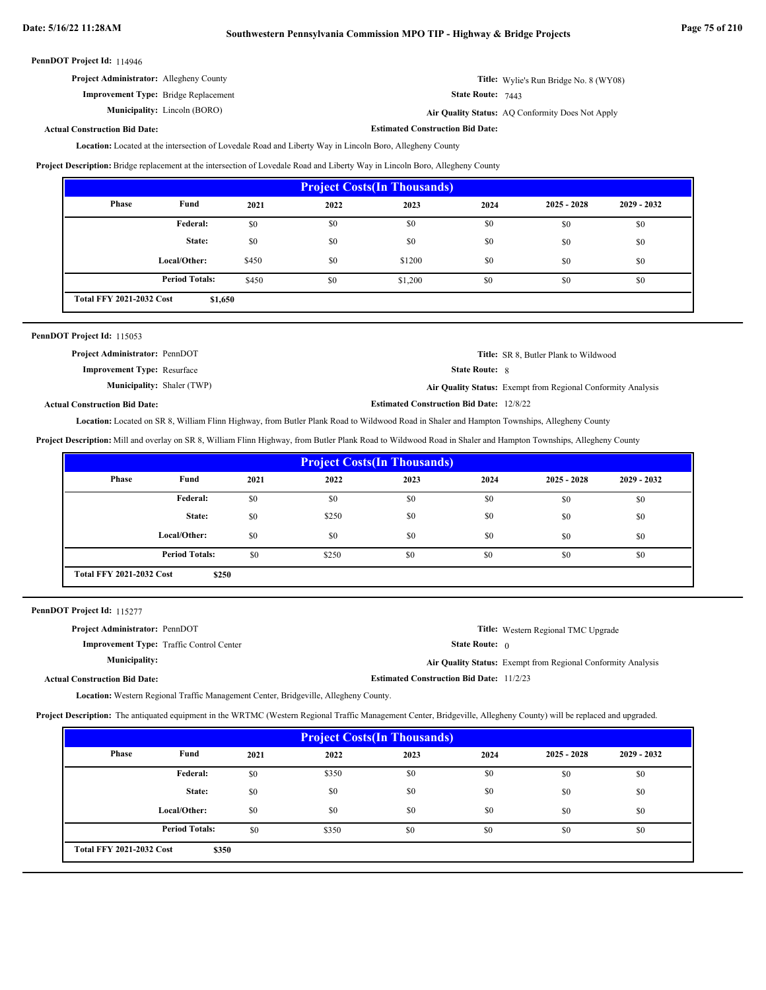**Estimated Construction Bid Date:**

#### PennDOT Project Id: 114946

| <b>Project Administrator:</b> Allegheny County | <b>Title:</b> Wylie's Run Bridge No. 8 (WY08) |
|------------------------------------------------|-----------------------------------------------|
| <b>Improvement Type:</b> Bridge Replacement    | <b>State Route:</b> $7443$                    |

**Municipality:**

7443

Lincoln (BORO) **Air Quality Status:** AQ Conformity Does Not Apply

# **Actual Construction Bid Date:**

Location: Located at the intersection of Lovedale Road and Liberty Way in Lincoln Boro, Allegheny County

**Project Description:** Bridge replacement at the intersection of Lovedale Road and Liberty Way in Lincoln Boro, Allegheny County

| <b>Project Costs (In Thousands)</b>        |                       |       |      |         |      |               |               |
|--------------------------------------------|-----------------------|-------|------|---------|------|---------------|---------------|
| Phase                                      | Fund                  | 2021  | 2022 | 2023    | 2024 | $2025 - 2028$ | $2029 - 2032$ |
|                                            | Federal:              | \$0   | \$0  | \$0     | \$0  | \$0           | \$0           |
|                                            | State:                | \$0   | \$0  | \$0     | \$0  | \$0           | \$0           |
|                                            | Local/Other:          | \$450 | \$0  | \$1200  | \$0  | \$0           | \$0           |
|                                            | <b>Period Totals:</b> | \$450 | \$0  | \$1,200 | \$0  | \$0           | \$0           |
| <b>Total FFY 2021-2032 Cost</b><br>\$1,650 |                       |       |      |         |      |               |               |

| PennDOT Project Id: 115053            |                                                 |                                                              |
|---------------------------------------|-------------------------------------------------|--------------------------------------------------------------|
| <b>Project Administrator: PennDOT</b> |                                                 | <b>Title:</b> SR 8, Butler Plank to Wildwood                 |
| <b>Improvement Type: Resurface</b>    | <b>State Route: 8</b>                           |                                                              |
| <b>Municipality:</b> Shaler (TWP)     |                                                 | Air Quality Status: Exempt from Regional Conformity Analysis |
| <b>Actual Construction Bid Date:</b>  | <b>Estimated Construction Bid Date: 12/8/22</b> |                                                              |

Location: Located on SR 8, William Flinn Highway, from Butler Plank Road to Wildwood Road in Shaler and Hampton Townships, Allegheny County

**Project Description:** Mill and overlay on SR 8, William Flinn Highway, from Butler Plank Road to Wildwood Road in Shaler and Hampton Townships, Allegheny County

| <b>Project Costs (In Thousands)</b>      |                       |      |       |      |      |               |               |
|------------------------------------------|-----------------------|------|-------|------|------|---------------|---------------|
| Phase                                    | Fund                  | 2021 | 2022  | 2023 | 2024 | $2025 - 2028$ | $2029 - 2032$ |
|                                          | Federal:              | \$0  | \$0   | \$0  | \$0  | \$0           | \$0           |
|                                          | State:                | \$0  | \$250 | \$0  | \$0  | \$0           | \$0           |
|                                          | Local/Other:          | \$0  | \$0   | \$0  | \$0  | \$0           | \$0           |
|                                          | <b>Period Totals:</b> | \$0  | \$250 | \$0  | \$0  | \$0           | \$0           |
| <b>Total FFY 2021-2032 Cost</b><br>\$250 |                       |      |       |      |      |               |               |

PennDOT Project Id: 115277

| <b>Project Administrator: PennDOT</b>           | <b>Title:</b> Western Regional TMC Upgrade                   |
|-------------------------------------------------|--------------------------------------------------------------|
| <b>Improvement Type:</b> Traffic Control Center | <b>State Route:</b> $\theta$                                 |
| <b>Municipality:</b>                            | Air Quality Status: Exempt from Regional Conformity Analysis |
| <b>Actual Construction Bid Date:</b>            | <b>Estimated Construction Bid Date: 11/2/23</b>              |

Location: Western Regional Traffic Management Center, Bridgeville, Allegheny County.

**Project Description:** The antiquated equipment in the WRTMC (Western Regional Traffic Management Center, Bridgeville, Allegheny County) will be replaced and upgraded.

| <b>Project Costs (In Thousands)</b>      |                       |      |       |      |      |               |               |
|------------------------------------------|-----------------------|------|-------|------|------|---------------|---------------|
| Phase                                    | Fund                  | 2021 | 2022  | 2023 | 2024 | $2025 - 2028$ | $2029 - 2032$ |
|                                          | <b>Federal:</b>       | \$0  | \$350 | \$0  | \$0  | \$0           | \$0           |
|                                          | State:                | \$0  | \$0   | \$0  | \$0  | \$0           | \$0           |
|                                          | Local/Other:          | \$0  | \$0   | \$0  | \$0  | \$0           | \$0           |
|                                          | <b>Period Totals:</b> | \$0  | \$350 | \$0  | \$0  | \$0           | \$0           |
| <b>Total FFY 2021-2032 Cost</b><br>\$350 |                       |      |       |      |      |               |               |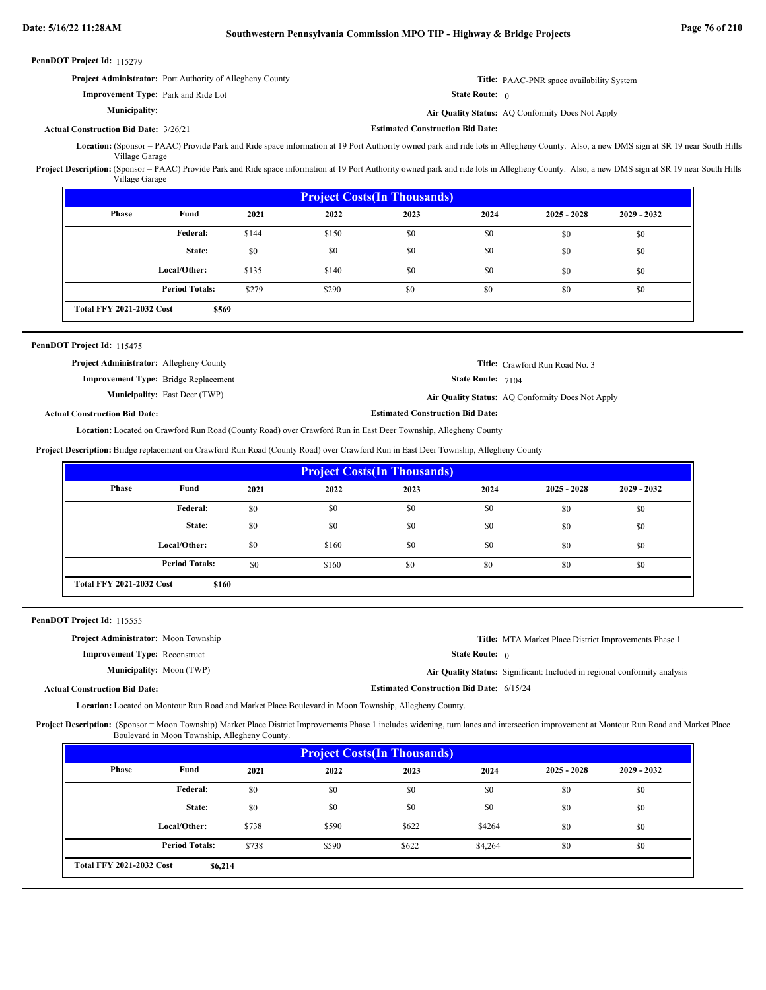| PennDOT Project Id: 115279 |  |
|----------------------------|--|
|----------------------------|--|

| <b>Project Administrator:</b> Port Authority of Allegheny County | <b>Title:</b> PAAC-PNR space availability System |
|------------------------------------------------------------------|--------------------------------------------------|
| <b>Improvement Type:</b> Park and Ride Lot                       | <b>State Route:</b> 0                            |
| <b>Municipality:</b>                                             | Air Quality Status: AQ Conformity Does Not Apply |

#### **Actual Construction Bid Date:** 3/26/21

**Estimated Construction Bid Date:**

(Sponsor = PAAC) Provide Park and Ride space information at 19 Port Authority owned park and ride lots in Allegheny County. Also, a new DMS sign at SR 19 near South Hills **Location:** Village Garage

Project Description: (Sponsor = PAAC) Provide Park and Ride space information at 19 Port Authority owned park and ride lots in Allegheny County. Also, a new DMS sign at SR 19 near South Hills Village Garage

| <b>Project Costs (In Thousands)</b>      |                       |       |       |      |      |               |               |
|------------------------------------------|-----------------------|-------|-------|------|------|---------------|---------------|
| Phase                                    | Fund                  | 2021  | 2022  | 2023 | 2024 | $2025 - 2028$ | $2029 - 2032$ |
|                                          | Federal:              | \$144 | \$150 | \$0  | \$0  | \$0           | \$0           |
|                                          | State:                | \$0   | \$0   | \$0  | \$0  | \$0           | \$0           |
|                                          | Local/Other:          | \$135 | \$140 | \$0  | \$0  | \$0           | \$0           |
|                                          | <b>Period Totals:</b> | \$279 | \$290 | \$0  | \$0  | \$0           | \$0           |
| <b>Total FFY 2021-2032 Cost</b><br>\$569 |                       |       |       |      |      |               |               |

### PennDOT Project Id: 115475

| <b>Project Administrator:</b> Allegheny County |                                      |                                         | <b>Title:</b> Crawford Run Road No. 3            |
|------------------------------------------------|--------------------------------------|-----------------------------------------|--------------------------------------------------|
| <b>Improvement Type:</b> Bridge Replacement    |                                      | <b>State Route:</b> $7104$              |                                                  |
|                                                | <b>Municipality:</b> East Deer (TWP) |                                         | Air Quality Status: AO Conformity Does Not Apply |
| d Construction Rid Date:-                      |                                      | <b>Estimated Construction Bid Date:</b> |                                                  |

**Actual Construction Bid Date:**

Location: Located on Crawford Run Road (County Road) over Crawford Run in East Deer Township, Allegheny County

**Project Description:** Bridge replacement on Crawford Run Road (County Road) over Crawford Run in East Deer Township, Allegheny County

| <b>Project Costs (In Thousands)</b>      |                       |      |       |      |      |               |               |
|------------------------------------------|-----------------------|------|-------|------|------|---------------|---------------|
| <b>Phase</b>                             | Fund                  | 2021 | 2022  | 2023 | 2024 | $2025 - 2028$ | $2029 - 2032$ |
|                                          | <b>Federal:</b>       | \$0  | \$0   | \$0  | \$0  | \$0           | \$0           |
|                                          | State:                | \$0  | \$0   | \$0  | \$0  | \$0           | \$0           |
|                                          | Local/Other:          | \$0  | \$160 | \$0  | \$0  | \$0           | \$0           |
|                                          | <b>Period Totals:</b> | \$0  | \$160 | \$0  | \$0  | \$0           | \$0           |
| <b>Total FFY 2021-2032 Cost</b><br>\$160 |                       |      |       |      |      |               |               |

PennDOT Project Id: 115555

| <b>Project Administrator:</b> Moon Township |                                                 | <b>Title:</b> MTA Market Place District Improvements Phase 1              |
|---------------------------------------------|-------------------------------------------------|---------------------------------------------------------------------------|
| <b>Improvement Type:</b> Reconstruct        | <b>State Route:</b> $\theta$                    |                                                                           |
| <b>Municipality:</b> Moon (TWP)             |                                                 | Air Quality Status: Significant: Included in regional conformity analysis |
| <b>Actual Construction Bid Date:</b>        | <b>Estimated Construction Bid Date: 6/15/24</b> |                                                                           |

Location: Located on Montour Run Road and Market Place Boulevard in Moon Township, Allegheny County.

Project Description: (Sponsor = Moon Township) Market Place District Improvements Phase 1 includes widening, turn lanes and intersection improvement at Montour Run Road and Market Place Boulevard in Moon Township, Allegheny County.

| <b>Project Costs (In Thousands)</b> |                                            |       |       |       |         |               |               |
|-------------------------------------|--------------------------------------------|-------|-------|-------|---------|---------------|---------------|
| Phase                               | Fund                                       | 2021  | 2022  | 2023  | 2024    | $2025 - 2028$ | $2029 - 2032$ |
|                                     | Federal:                                   | \$0   | \$0   | \$0   | \$0     | \$0           | \$0           |
|                                     | State:                                     | \$0   | \$0   | \$0   | \$0     | \$0           | \$0           |
|                                     | Local/Other:                               | \$738 | \$590 | \$622 | \$4264  | \$0           | \$0           |
|                                     | <b>Period Totals:</b>                      | \$738 | \$590 | \$622 | \$4,264 | \$0           | \$0           |
|                                     | <b>Total FFY 2021-2032 Cost</b><br>\$6,214 |       |       |       |         |               |               |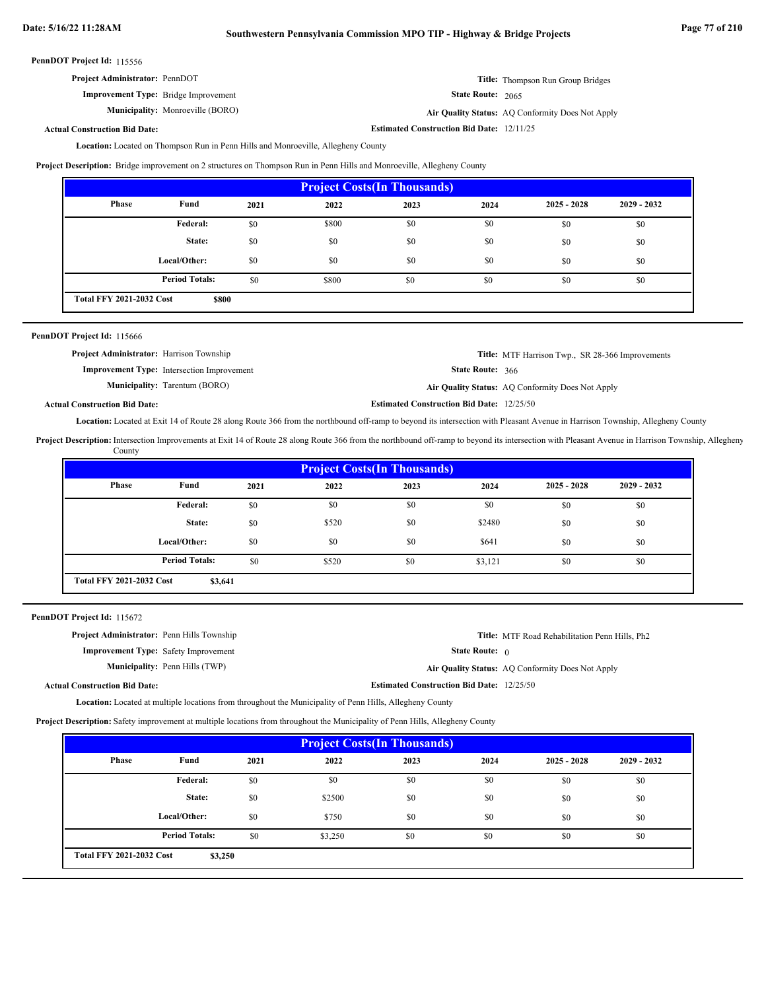| <b>Project Administrator: PennDOT</b>       |                          | <b>Title:</b> Thompson Run Group Bridges |
|---------------------------------------------|--------------------------|------------------------------------------|
| <b>Improvement Type:</b> Bridge Improvement | <b>State Route: 2065</b> |                                          |

**Municipality:** Monroeville (BORO) **Air Quality Status:** Air Quality Status: AQ Conformity Does Not Apply

**Estimated Construction Bid Date:** 12/11/25

**Actual Construction Bid Date:**

Location: Located on Thompson Run in Penn Hills and Monroeville, Allegheny County

**Project Description:** Bridge improvement on 2 structures on Thompson Run in Penn Hills and Monroeville, Allegheny County

| <b>Project Costs (In Thousands)</b>      |                       |      |       |      |      |               |               |
|------------------------------------------|-----------------------|------|-------|------|------|---------------|---------------|
| Phase                                    | Fund                  | 2021 | 2022  | 2023 | 2024 | $2025 - 2028$ | $2029 - 2032$ |
|                                          | <b>Federal:</b>       | \$0  | \$800 | \$0  | \$0  | \$0           | \$0           |
|                                          | State:                | \$0  | \$0   | \$0  | \$0  | \$0           | \$0           |
|                                          | Local/Other:          | \$0  | \$0   | \$0  | \$0  | \$0           | \$0           |
|                                          | <b>Period Totals:</b> | \$0  | \$800 | \$0  | \$0  | \$0           | \$0           |
| <b>Total FFY 2021-2032 Cost</b><br>\$800 |                       |      |       |      |      |               |               |

| PennDOT Project Id: 115666                      |                                                   |                                                  |                                                         |
|-------------------------------------------------|---------------------------------------------------|--------------------------------------------------|---------------------------------------------------------|
| <b>Project Administrator:</b> Harrison Township |                                                   |                                                  | <b>Title:</b> MTF Harrison Twp., SR 28-366 Improvements |
|                                                 | <b>Improvement Type:</b> Intersection Improvement | <b>State Route: 366</b>                          |                                                         |
|                                                 | <b>Municipality:</b> Tarentum (BORO)              |                                                  | Air Quality Status: AQ Conformity Does Not Apply        |
| <b>Actual Construction Bid Date:</b>            |                                                   | <b>Estimated Construction Bid Date: 12/25/50</b> |                                                         |

Location: Located at Exit 14 of Route 28 along Route 366 from the northbound off-ramp to beyond its intersection with Pleasant Avenue in Harrison Township, Allegheny County

Project Description: Intersection Improvements at Exit 14 of Route 28 along Route 366 from the northbound off-ramp to beyond its intersection with Pleasant Avenue in Harrison Township, Allegheny County

| <b>Project Costs (In Thousands)</b>        |                       |      |       |      |         |               |               |
|--------------------------------------------|-----------------------|------|-------|------|---------|---------------|---------------|
| Phase                                      | Fund                  | 2021 | 2022  | 2023 | 2024    | $2025 - 2028$ | $2029 - 2032$ |
|                                            | Federal:              | \$0  | \$0   | \$0  | \$0     | \$0           | \$0           |
|                                            | State:                | \$0  | \$520 | \$0  | \$2480  | \$0           | \$0           |
|                                            | Local/Other:          | \$0  | \$0   | \$0  | \$641   | \$0           | \$0           |
|                                            | <b>Period Totals:</b> | \$0  | \$520 | \$0  | \$3,121 | \$0           | \$0           |
| <b>Total FFY 2021-2032 Cost</b><br>\$3,641 |                       |      |       |      |         |               |               |

PennDOT Project Id: 115672

| <b>Project Administrator:</b> Penn Hills Township |                                       |                                                  | Title: MTF Road Rehabilitation Penn Hills, Ph <sub>2</sub> |
|---------------------------------------------------|---------------------------------------|--------------------------------------------------|------------------------------------------------------------|
| <b>Improvement Type:</b> Safety Improvement       |                                       | <b>State Route:</b> $\theta$                     |                                                            |
|                                                   | <b>Municipality:</b> Penn Hills (TWP) |                                                  | Air Quality Status: AQ Conformity Does Not Apply           |
| <b>Actual Construction Bid Date:</b>              |                                       | <b>Estimated Construction Bid Date: 12/25/50</b> |                                                            |

**Location:** Located at multiple locations from throughout the Municipality of Penn Hills, Allegheny County

**Project Description:** Safety improvement at multiple locations from throughout the Municipality of Penn Hills, Allegheny County

| <b>Project Costs (In Thousands)</b>        |                       |      |         |      |      |               |               |
|--------------------------------------------|-----------------------|------|---------|------|------|---------------|---------------|
| Phase                                      | Fund                  | 2021 | 2022    | 2023 | 2024 | $2025 - 2028$ | $2029 - 2032$ |
|                                            | Federal:              | \$0  | \$0     | \$0  | \$0  | \$0           | \$0           |
|                                            | State:                | \$0  | \$2500  | \$0  | \$0  | \$0           | \$0           |
|                                            | Local/Other:          | \$0  | \$750   | \$0  | \$0  | \$0           | \$0           |
|                                            | <b>Period Totals:</b> | \$0  | \$3,250 | \$0  | \$0  | \$0           | \$0           |
| <b>Total FFY 2021-2032 Cost</b><br>\$3,250 |                       |      |         |      |      |               |               |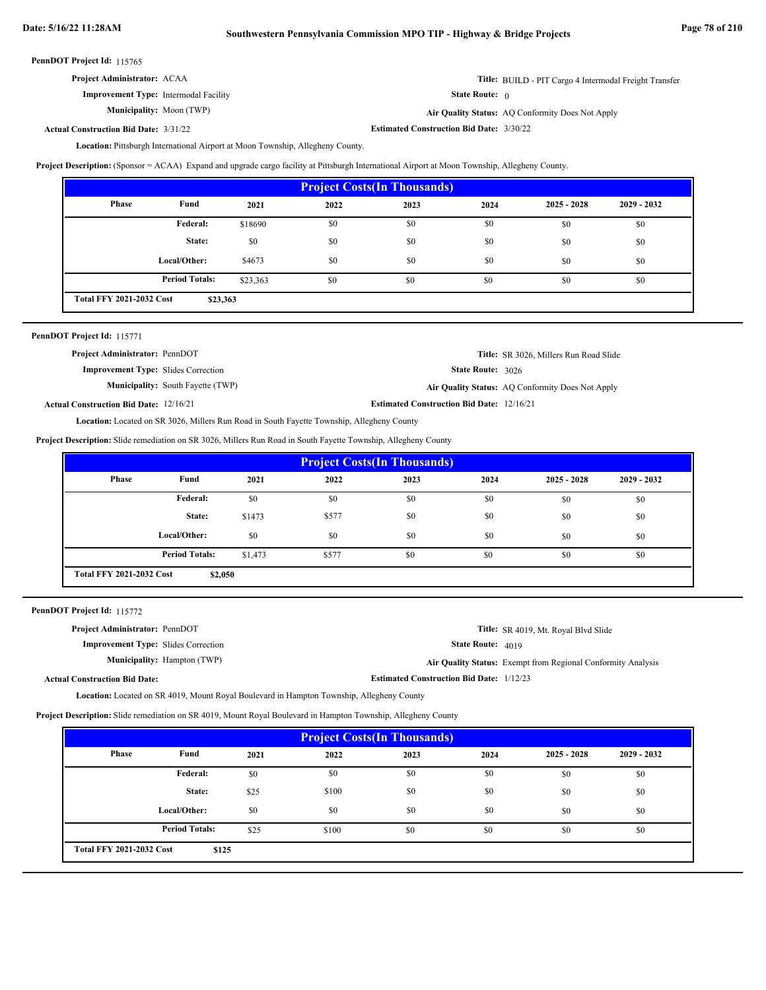| <b>Project Administrator: ACAA</b> |  |  |
|------------------------------------|--|--|
|------------------------------------|--|--|

**Improvement Type:** Intermodal Facility

**Municipality:**

**Title:** BUILD - PIT Cargo 4 Intermodal Freight Transfer

State Route: 0

Moon (TWP) **Air Quality Status:** AQ Conformity Does Not Apply

**Estimated Construction Bid Date:** 3/31/22 3/30/22 **Actual Construction Bid Date:**

Location: Pittsburgh International Airport at Moon Township, Allegheny County.

**Project Description:** (Sponsor = ACAA) Expand and upgrade cargo facility at Pittsburgh International Airport at Moon Township, Allegheny County.

| <b>Project Costs (In Thousands)</b>         |                       |          |      |      |      |               |               |
|---------------------------------------------|-----------------------|----------|------|------|------|---------------|---------------|
| Phase                                       | Fund                  | 2021     | 2022 | 2023 | 2024 | $2025 - 2028$ | $2029 - 2032$ |
|                                             | Federal:              | \$18690  | \$0  | \$0  | \$0  | \$0           | \$0           |
|                                             | State:                | \$0      | \$0  | \$0  | \$0  | \$0           | \$0           |
|                                             | Local/Other:          | \$4673   | \$0  | \$0  | \$0  | \$0           | \$0           |
|                                             | <b>Period Totals:</b> | \$23,363 | \$0  | \$0  | \$0  | \$0           | \$0           |
| <b>Total FFY 2021-2032 Cost</b><br>\$23,363 |                       |          |      |      |      |               |               |

| PennDOT Project Id: 115771 |  |
|----------------------------|--|
|----------------------------|--|

| <b>Project Administrator: PennDOT</b>         |                                          |                                                  | <b>Title:</b> SR 3026, Millers Run Road Slide    |
|-----------------------------------------------|------------------------------------------|--------------------------------------------------|--------------------------------------------------|
| <b>Improvement Type:</b> Slides Correction    |                                          | <b>State Route: 3026</b>                         |                                                  |
|                                               | <b>Municipality:</b> South Fayette (TWP) |                                                  | Air Quality Status: AQ Conformity Does Not Apply |
| <b>Actual Construction Bid Date: 12/16/21</b> |                                          | <b>Estimated Construction Bid Date: 12/16/21</b> |                                                  |

Location: Located on SR 3026, Millers Run Road in South Fayette Township, Allegheny County

**Project Description:** Slide remediation on SR 3026, Millers Run Road in South Fayette Township, Allegheny County

| <b>Project Costs (In Thousands)</b>                |                       |         |       |      |      |               |               |
|----------------------------------------------------|-----------------------|---------|-------|------|------|---------------|---------------|
| Phase                                              | Fund                  | 2021    | 2022  | 2023 | 2024 | $2025 - 2028$ | $2029 - 2032$ |
| Federal:<br>\$0<br>\$0<br>\$0<br>\$0<br>\$0<br>\$0 |                       |         |       |      |      |               |               |
|                                                    | State:                | \$1473  | \$577 | \$0  | \$0  | \$0           | \$0           |
|                                                    | Local/Other:          | \$0     | \$0   | \$0  | \$0  | \$0           | \$0           |
|                                                    | <b>Period Totals:</b> | \$1,473 | \$577 | \$0  | \$0  | \$0           | \$0           |
| <b>Total FFY 2021-2032 Cost</b><br>\$2,050         |                       |         |       |      |      |               |               |

PennDOT Project Id: 115772

| <b>Project Administrator: PennDOT</b>      |                                    |                                                 | <b>Title:</b> SR 4019, Mt. Royal Blvd Slide                  |
|--------------------------------------------|------------------------------------|-------------------------------------------------|--------------------------------------------------------------|
| <b>Improvement Type:</b> Slides Correction |                                    | <b>State Route:</b> $4019$                      |                                                              |
|                                            | <b>Municipality:</b> Hampton (TWP) |                                                 | Air Quality Status: Exempt from Regional Conformity Analysis |
| <b>Actual Construction Bid Date:</b>       |                                    | <b>Estimated Construction Bid Date: 1/12/23</b> |                                                              |

**Location:** Located on SR 4019, Mount Royal Boulevard in Hampton Township, Allegheny County

**Project Description:** Slide remediation on SR 4019, Mount Royal Boulevard in Hampton Township, Allegheny County

| <b>Project Costs (In Thousands)</b>                       |                       |      |       |      |      |               |               |
|-----------------------------------------------------------|-----------------------|------|-------|------|------|---------------|---------------|
| Phase                                                     | Fund                  | 2021 | 2022  | 2023 | 2024 | $2025 - 2028$ | $2029 - 2032$ |
| <b>Federal:</b><br>\$0<br>\$0<br>\$0<br>\$0<br>\$0<br>\$0 |                       |      |       |      |      |               |               |
|                                                           | State:                | \$25 | \$100 | \$0  | \$0  | \$0           | \$0           |
|                                                           | Local/Other:          | \$0  | \$0   | \$0  | \$0  | \$0           | \$0           |
|                                                           | <b>Period Totals:</b> | \$25 | \$100 | \$0  | \$0  | \$0           | \$0           |
| <b>Total FFY 2021-2032 Cost</b><br>\$125                  |                       |      |       |      |      |               |               |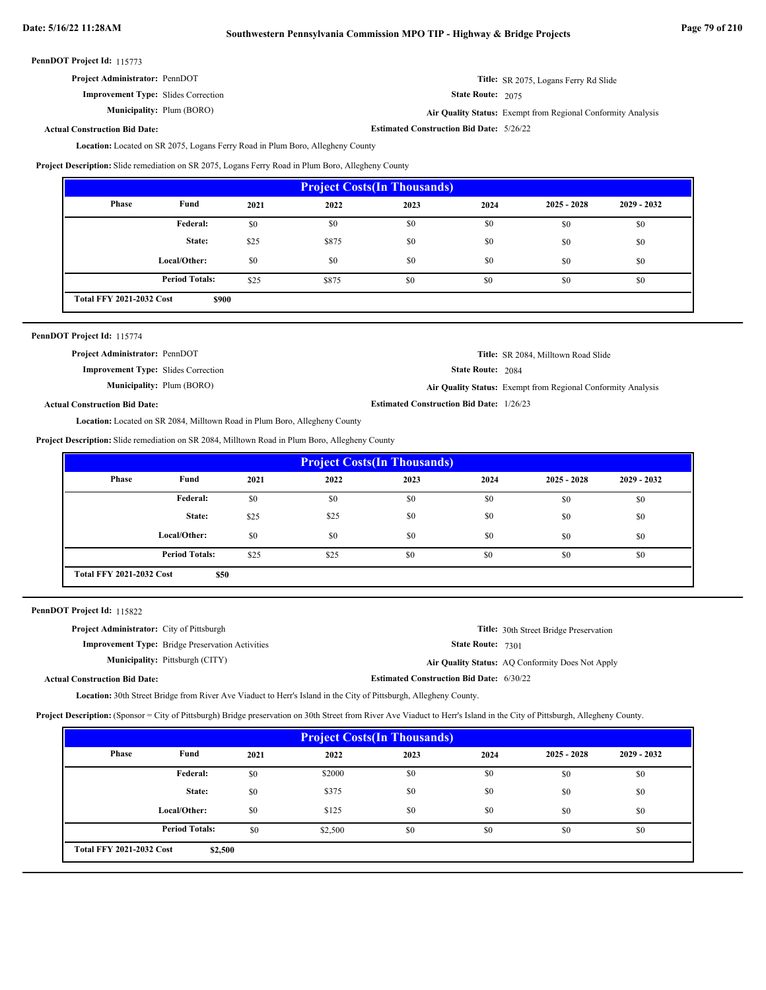| <b>Project Administrator: PennDOT</b><br>Title: SR 2075, Logans Ferry Rd Slide |  |
|--------------------------------------------------------------------------------|--|
|--------------------------------------------------------------------------------|--|

**Improvement Type:** Slides Correction **Municipality:** Plum (BORO)

State Route: 2075

Plum (BORO) **Air Quality Status:** Exempt from Regional Conformity Analysis

**Estimated Construction Bid Date:** 5/26/22

**Actual Construction Bid Date:**

Location: Located on SR 2075, Logans Ferry Road in Plum Boro, Allegheny County

**Project Description:** Slide remediation on SR 2075, Logans Ferry Road in Plum Boro, Allegheny County

| <b>Project Costs (In Thousands)</b>                       |                       |      |       |      |      |               |               |  |
|-----------------------------------------------------------|-----------------------|------|-------|------|------|---------------|---------------|--|
| Phase                                                     | Fund                  | 2021 | 2022  | 2023 | 2024 | $2025 - 2028$ | $2029 - 2032$ |  |
| <b>Federal:</b><br>\$0<br>\$0<br>\$0<br>\$0<br>\$0<br>\$0 |                       |      |       |      |      |               |               |  |
|                                                           | State:                | \$25 | \$875 | \$0  | \$0  | \$0           | \$0           |  |
|                                                           | Local/Other:          | \$0  | \$0   | \$0  | \$0  | \$0           | \$0           |  |
|                                                           | <b>Period Totals:</b> | \$25 | \$875 | \$0  | \$0  | \$0           | \$0           |  |
| <b>Total FFY 2021-2032 Cost</b><br>\$900                  |                       |      |       |      |      |               |               |  |

|  |  | PennDOT Project Id: 115774 |  |
|--|--|----------------------------|--|
|--|--|----------------------------|--|

| Title: SR 2084, Milltown Road Slide                          |
|--------------------------------------------------------------|
| <b>State Route: 2084</b>                                     |
| Air Quality Status: Exempt from Regional Conformity Analysis |
| <b>Estimated Construction Bid Date: 1/26/23</b>              |
|                                                              |

Location: Located on SR 2084, Milltown Road in Plum Boro, Allegheny County

**Project Description:** Slide remediation on SR 2084, Milltown Road in Plum Boro, Allegheny County

| <b>Project Costs (In Thousands)</b>     |                       |      |      |      |      |               |               |
|-----------------------------------------|-----------------------|------|------|------|------|---------------|---------------|
| Phase                                   | Fund                  | 2021 | 2022 | 2023 | 2024 | $2025 - 2028$ | $2029 - 2032$ |
|                                         | Federal:              | \$0  | \$0  | \$0  | \$0  | \$0           | \$0           |
|                                         | State:                | \$25 | \$25 | \$0  | \$0  | \$0           | \$0           |
|                                         | Local/Other:          | \$0  | \$0  | \$0  | \$0  | \$0           | \$0           |
|                                         | <b>Period Totals:</b> | \$25 | \$25 | \$0  | \$0  | \$0           | \$0           |
| <b>Total FFY 2021-2032 Cost</b><br>\$50 |                       |      |      |      |      |               |               |

PennDOT Project Id: 115822

| <b>Project Administrator:</b> City of Pittsburgh |                                                         |                                                 | <b>Title:</b> 30th Street Bridge Preservation    |
|--------------------------------------------------|---------------------------------------------------------|-------------------------------------------------|--------------------------------------------------|
|                                                  | <b>Improvement Type:</b> Bridge Preservation Activities | State Route: 7301                               |                                                  |
|                                                  | <b>Municipality:</b> Pittsburgh (CITY)                  |                                                 | Air Quality Status: AQ Conformity Does Not Apply |
| <b>Actual Construction Bid Date:</b>             |                                                         | <b>Estimated Construction Bid Date: 6/30/22</b> |                                                  |

Location: 30th Street Bridge from River Ave Viaduct to Herr's Island in the City of Pittsburgh, Allegheny County.

**Project Description:** (Sponsor = City of Pittsburgh) Bridge preservation on 30th Street from River Ave Viaduct to Herr's Island in the City of Pittsburgh, Allegheny County.

| <b>Project Costs (In Thousands)</b>                   |                       |      |         |      |      |               |               |  |
|-------------------------------------------------------|-----------------------|------|---------|------|------|---------------|---------------|--|
| Phase                                                 | Fund                  | 2021 | 2022    | 2023 | 2024 | $2025 - 2028$ | $2029 - 2032$ |  |
| \$2000<br>\$0<br>Federal:<br>\$0<br>\$0<br>\$0<br>\$0 |                       |      |         |      |      |               |               |  |
|                                                       | State:                | \$0  | \$375   | \$0  | \$0  | \$0           | \$0           |  |
|                                                       | Local/Other:          | \$0  | \$125   | \$0  | \$0  | \$0           | \$0           |  |
|                                                       | <b>Period Totals:</b> | \$0  | \$2,500 | \$0  | \$0  | \$0           | \$0           |  |
| <b>Total FFY 2021-2032 Cost</b><br>\$2,500            |                       |      |         |      |      |               |               |  |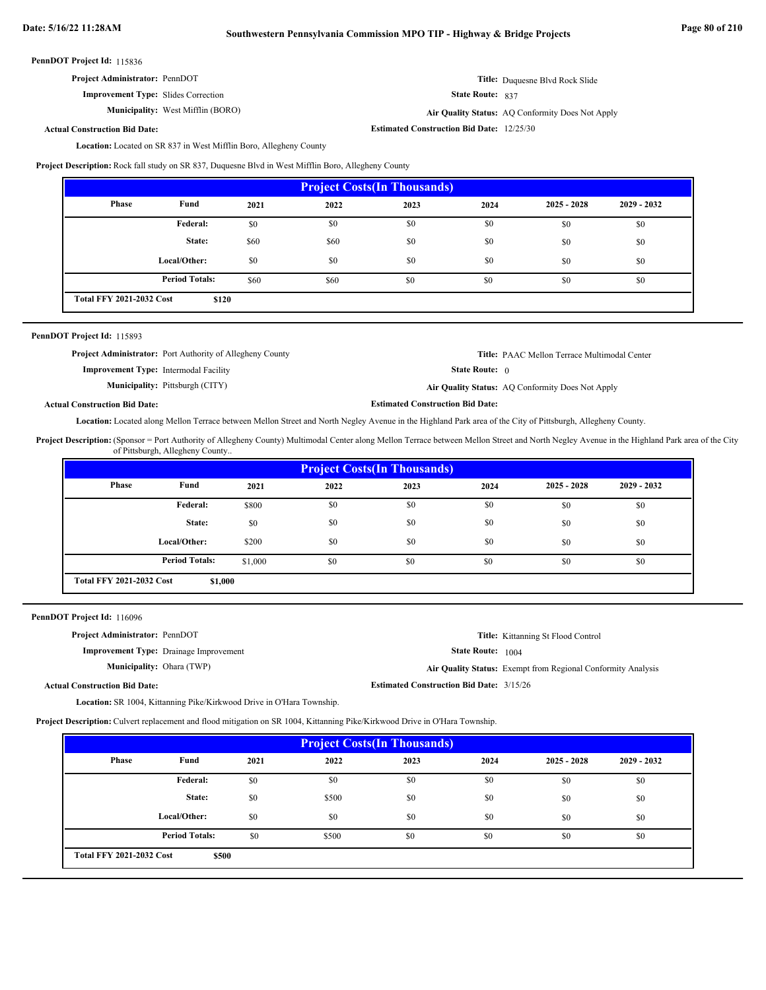| <b>Project Administrator: PennDOT</b> | <b>Title:</b> Duquesne Blvd Rock Slide |
|---------------------------------------|----------------------------------------|
|---------------------------------------|----------------------------------------|

**Improvement Type:** Slides Correction

**Municipality:** West Mifflin (BORO) **Air Quality Status:**

**Estimated Construction Bid Date:** 12/25/30 Air Quality Status: AQ Conformity Does Not Apply

State Route: 837

# **Actual Construction Bid Date:**

Location: Located on SR 837 in West Mifflin Boro, Allegheny County

**Project Description:** Rock fall study on SR 837, Duquesne Blvd in West Mifflin Boro, Allegheny County

| <b>Project Costs (In Thousands)</b>      |                       |      |      |      |      |               |               |
|------------------------------------------|-----------------------|------|------|------|------|---------------|---------------|
| Phase                                    | Fund                  | 2021 | 2022 | 2023 | 2024 | $2025 - 2028$ | $2029 - 2032$ |
|                                          | <b>Federal:</b>       | \$0  | \$0  | \$0  | \$0  | \$0           | \$0           |
|                                          | State:                | \$60 | \$60 | \$0  | \$0  | \$0           | \$0           |
|                                          | Local/Other:          | \$0  | \$0  | \$0  | \$0  | \$0           | \$0           |
|                                          | <b>Period Totals:</b> | \$60 | \$60 | \$0  | \$0  | \$0           | \$0           |
| <b>Total FFY 2021-2032 Cost</b><br>\$120 |                       |      |      |      |      |               |               |

# PennDOT Project Id: 115893

**Project Administrator:** Port Authority of Allegheny County

**Improvement Type:** Intermodal Facility

**Municipality:**

State Route: 0

**Title:** PAAC Mellon Terrace Multimodal Center

Pittsburgh (CITY) **Air Quality Status:** AQ Conformity Does Not Apply

**Actual Construction Bid Date:**

Location: Located along Mellon Terrace between Mellon Street and North Negley Avenue in the Highland Park area of the City of Pittsburgh, Allegheny County.

Project Description: (Sponsor = Port Authority of Allegheny County) Multimodal Center along Mellon Terrace between Mellon Street and North Negley Avenue in the Highland Park area of the City of Pittsburgh, Allegheny County..

**Estimated Construction Bid Date:**

| <b>Project Costs (In Thousands)</b>        |                       |         |      |      |      |               |               |
|--------------------------------------------|-----------------------|---------|------|------|------|---------------|---------------|
| Phase                                      | Fund                  | 2021    | 2022 | 2023 | 2024 | $2025 - 2028$ | $2029 - 2032$ |
|                                            | Federal:              | \$800   | \$0  | \$0  | \$0  | \$0           | \$0           |
|                                            | State:                | \$0     | \$0  | \$0  | \$0  | \$0           | \$0           |
|                                            | Local/Other:          | \$200   | \$0  | \$0  | \$0  | \$0           | \$0           |
|                                            | <b>Period Totals:</b> | \$1,000 | \$0  | \$0  | \$0  | \$0           | \$0           |
| <b>Total FFY 2021-2032 Cost</b><br>\$1,000 |                       |         |      |      |      |               |               |

| PennDOT Project Id: 116096 |  |  |  |
|----------------------------|--|--|--|
|----------------------------|--|--|--|

| <b>Project Administrator: PennDOT</b>         | Title: Kittanning St Flood Control                           |
|-----------------------------------------------|--------------------------------------------------------------|
| <b>Improvement Type:</b> Drainage Improvement | <b>State Route:</b> 1004                                     |
| <b>Municipality:</b> Ohara (TWP)              | Air Quality Status: Exempt from Regional Conformity Analysis |
| <b>Actual Construction Bid Date:</b>          | <b>Estimated Construction Bid Date: 3/15/26</b>              |
|                                               |                                                              |

Location: SR 1004, Kittanning Pike/Kirkwood Drive in O'Hara Township.

**Project Description:** Culvert replacement and flood mitigation on SR 1004, Kittanning Pike/Kirkwood Drive in O'Hara Township.

| <b>Project Costs (In Thousands)</b>      |                       |      |       |      |      |               |               |
|------------------------------------------|-----------------------|------|-------|------|------|---------------|---------------|
| Phase                                    | Fund                  | 2021 | 2022  | 2023 | 2024 | $2025 - 2028$ | $2029 - 2032$ |
|                                          | Federal:              | \$0  | \$0   | \$0  | \$0  | \$0           | \$0           |
|                                          | State:                | \$0  | \$500 | \$0  | \$0  | \$0           | \$0           |
|                                          | Local/Other:          | \$0  | \$0   | \$0  | \$0  | \$0           | \$0           |
|                                          | <b>Period Totals:</b> | \$0  | \$500 | \$0  | \$0  | \$0           | \$0           |
| <b>Total FFY 2021-2032 Cost</b><br>\$500 |                       |      |       |      |      |               |               |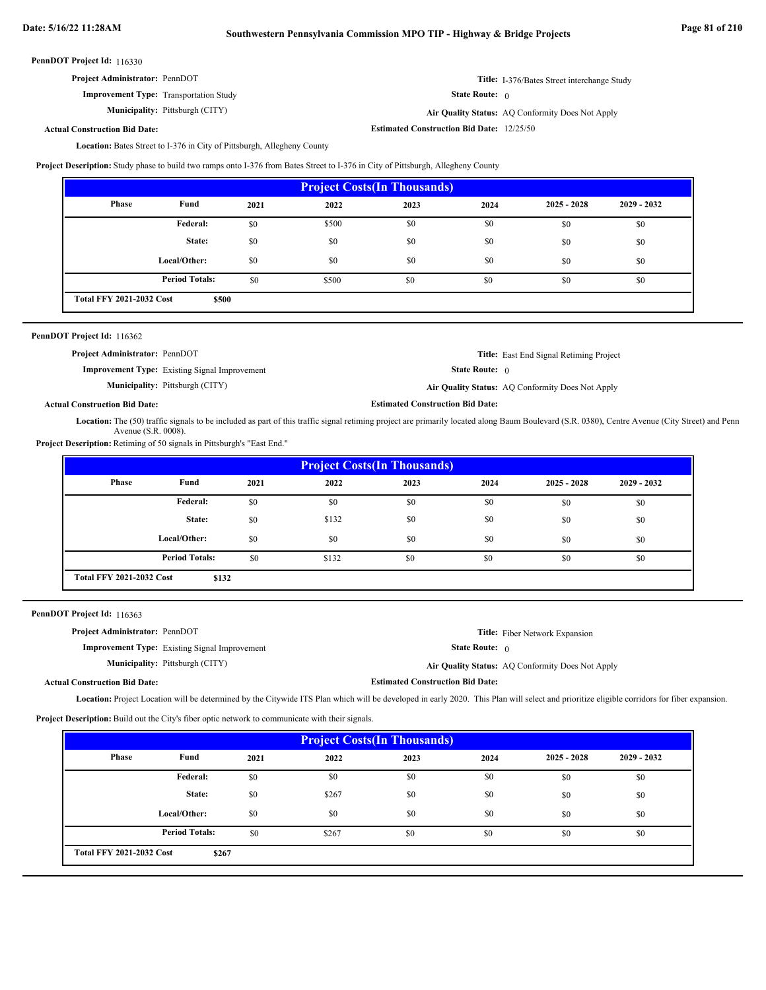| <b>Project Administrator: PennDOT</b>         | <b>Title:</b> I-376/Bates Street interchange Study |
|-----------------------------------------------|----------------------------------------------------|
| <b>Improvement Type:</b> Transportation Study | <b>State Route:</b> 0                              |

**Municipality:**

Pittsburgh (CITY) **Air Quality Status:** AQ Conformity Does Not Apply

**Estimated Construction Bid Date:** 12/25/50

**Actual Construction Bid Date:**

Location: Bates Street to I-376 in City of Pittsburgh, Allegheny County

**Project Description:** Study phase to build two ramps onto I-376 from Bates Street to I-376 in City of Pittsburgh, Allegheny County

| <b>Project Costs (In Thousands)</b>      |                       |      |       |      |      |               |               |
|------------------------------------------|-----------------------|------|-------|------|------|---------------|---------------|
| Phase                                    | Fund                  | 2021 | 2022  | 2023 | 2024 | $2025 - 2028$ | $2029 - 2032$ |
|                                          | Federal:              | \$0  | \$500 | \$0  | \$0  | \$0           | \$0           |
|                                          | State:                | \$0  | \$0   | \$0  | \$0  | \$0           | \$0           |
|                                          | Local/Other:          | \$0  | \$0   | \$0  | \$0  | \$0           | \$0           |
|                                          | <b>Period Totals:</b> | \$0  | \$500 | \$0  | \$0  | \$0           | \$0           |
| <b>Total FFY 2021-2032 Cost</b><br>\$500 |                       |      |       |      |      |               |               |

| <b>PennDOT Project Id: 116362</b>                    |                                                  |
|------------------------------------------------------|--------------------------------------------------|
| <b>Project Administrator: PennDOT</b>                | <b>Title:</b> East End Signal Retiming Project   |
| <b>Improvement Type:</b> Existing Signal Improvement | <b>State Route:</b> 0                            |
| <b>Municipality:</b> Pittsburgh (CITY)               | Air Quality Status: AQ Conformity Does Not Apply |

# **Actual Construction Bid Date:**

Location: The (50) traffic signals to be included as part of this traffic signal retiming project are primarily located along Baum Boulevard (S.R. 0380), Centre Avenue (City Street) and Penn Avenue (S.R. 0008).

**Estimated Construction Bid Date:**

**Project Description:** Retiming of 50 signals in Pittsburgh's "East End."

| <b>Project Costs (In Thousands)</b> |                                          |      |       |      |      |               |               |
|-------------------------------------|------------------------------------------|------|-------|------|------|---------------|---------------|
| Phase                               | Fund                                     | 2021 | 2022  | 2023 | 2024 | $2025 - 2028$ | $2029 - 2032$ |
|                                     | Federal:                                 | \$0  | \$0   | \$0  | \$0  | \$0           | \$0           |
|                                     | State:                                   | \$0  | \$132 | \$0  | \$0  | \$0           | \$0           |
|                                     | Local/Other:                             | \$0  | \$0   | \$0  | \$0  | \$0           | \$0           |
|                                     | <b>Period Totals:</b>                    | \$0  | \$132 | \$0  | \$0  | \$0           | \$0           |
|                                     | <b>Total FFY 2021-2032 Cost</b><br>\$132 |      |       |      |      |               |               |

PennDOT Project Id: 116363

| <b>Project Administrator: PennDOT</b> |                                                      |                                         | <b>Title:</b> Fiber Network Expansion            |
|---------------------------------------|------------------------------------------------------|-----------------------------------------|--------------------------------------------------|
|                                       | <b>Improvement Type:</b> Existing Signal Improvement | <b>State Route:</b> $\theta$            |                                                  |
|                                       | <b>Municipality:</b> Pittsburgh (CITY)               |                                         | Air Quality Status: AQ Conformity Does Not Apply |
| <b>Actual Construction Bid Date:</b>  |                                                      | <b>Estimated Construction Bid Date:</b> |                                                  |

Location: Project Location will be determined by the Citywide ITS Plan which will be developed in early 2020. This Plan will select and prioritize eligible corridors for fiber expansion.

**Project Description:** Build out the City's fiber optic network to communicate with their signals.

| <b>Project Costs (In Thousands)</b>      |                       |      |       |      |      |               |               |
|------------------------------------------|-----------------------|------|-------|------|------|---------------|---------------|
| Phase                                    | Fund                  | 2021 | 2022  | 2023 | 2024 | $2025 - 2028$ | $2029 - 2032$ |
|                                          | <b>Federal:</b>       | \$0  | \$0   | \$0  | \$0  | \$0           | \$0           |
|                                          | State:                | \$0  | \$267 | \$0  | \$0  | \$0           | \$0           |
|                                          | Local/Other:          | \$0  | \$0   | \$0  | \$0  | \$0           | \$0           |
|                                          | <b>Period Totals:</b> | \$0  | \$267 | \$0  | \$0  | \$0           | \$0           |
| <b>Total FFY 2021-2032 Cost</b><br>\$267 |                       |      |       |      |      |               |               |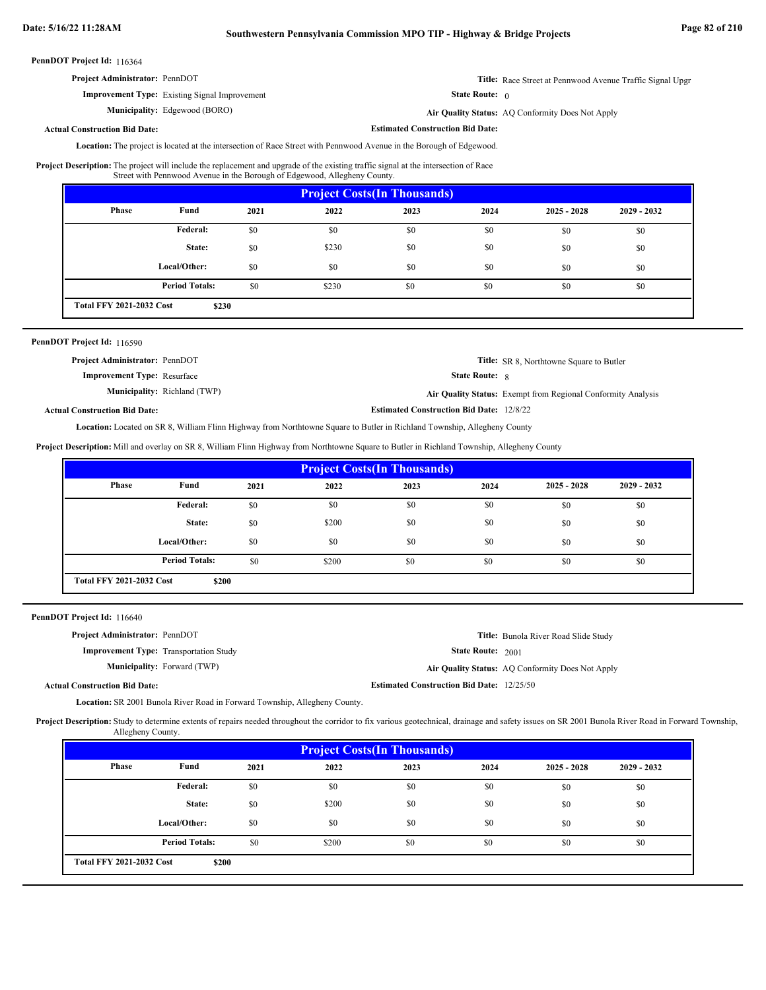**Estimated Construction Bid Date:**

PennDOT Project Id: 116364

| <b>Project Administrator: PennDOT</b> | Title: Race Street at Pennwood Avenue Traffic Signal Upgr |
|---------------------------------------|-----------------------------------------------------------|
|---------------------------------------|-----------------------------------------------------------|

State Route: 0

Edgewood (BORO) **Air Quality Status:** AQ Conformity Does Not Apply

#### **Actual Construction Bid Date:**

**Improvement Type:** Existing Signal Improvement

**Municipality:**

Location: The project is located at the intersection of Race Street with Pennwood Avenue in the Borough of Edgewood.

The project will include the replacement and upgrade of the existing traffic signal at the intersection of Race Street with Pennwood Avenue in the Borough of Edgewood, Allegheny County. **Project Description:**

| <b>Project Costs (In Thousands)</b>      |                       |      |       |      |      |               |               |
|------------------------------------------|-----------------------|------|-------|------|------|---------------|---------------|
| Phase                                    | Fund                  | 2021 | 2022  | 2023 | 2024 | $2025 - 2028$ | $2029 - 2032$ |
|                                          | Federal:              | \$0  | \$0   | \$0  | \$0  | \$0           | \$0           |
|                                          | State:                | \$0  | \$230 | \$0  | \$0  | \$0           | \$0           |
|                                          | Local/Other:          | \$0  | \$0   | \$0  | \$0  | \$0           | \$0           |
|                                          | <b>Period Totals:</b> | \$0  | \$230 | \$0  | \$0  | \$0           | \$0           |
| <b>Total FFY 2021-2032 Cost</b><br>\$230 |                       |      |       |      |      |               |               |

# PennDOT Project Id: 116590

| <b>Project Administrator: PennDOT</b> |                                     |                          | <b>Title:</b> SR 8, Northtowne Square to Butler                     |
|---------------------------------------|-------------------------------------|--------------------------|---------------------------------------------------------------------|
| <b>Improvement Type:</b> Resurface    |                                     | <b>State Route:</b> 8    |                                                                     |
|                                       | <b>Municipality:</b> Richland (TWP) |                          | <b>Air Quality Status:</b> Exempt from Regional Conformity Analysis |
|                                       |                                     | $E(t) = 100$ $t = 10000$ |                                                                     |

# **Actual Construction Bid Date:**

**Estimated Construction Bid Date:** 12/8/22

Located on SR 8, William Flinn Highway from Northtowne Square to Butler in Richland Township, Allegheny County **Location:**

**Project Description:** Mill and overlay on SR 8, William Flinn Highway from Northtowne Square to Butler in Richland Township, Allegheny County

| <b>Project Costs (In Thousands)</b>      |                       |      |       |      |      |               |               |
|------------------------------------------|-----------------------|------|-------|------|------|---------------|---------------|
| Phase                                    | Fund                  | 2021 | 2022  | 2023 | 2024 | $2025 - 2028$ | $2029 - 2032$ |
|                                          | Federal:              | \$0  | \$0   | \$0  | \$0  | \$0           | \$0           |
|                                          | State:                | \$0  | \$200 | \$0  | \$0  | \$0           | \$0           |
|                                          | Local/Other:          | \$0  | \$0   | \$0  | \$0  | \$0           | \$0           |
|                                          | <b>Period Totals:</b> | \$0  | \$200 | \$0  | \$0  | \$0           | \$0           |
| <b>Total FFY 2021-2032 Cost</b><br>\$200 |                       |      |       |      |      |               |               |

PennDOT Project Id: 116640

| <b>Project Administrator: PennDOT</b>         |                                                  | Title: Bunola River Road Slide Study             |
|-----------------------------------------------|--------------------------------------------------|--------------------------------------------------|
| <b>Improvement Type:</b> Transportation Study | <b>State Route: 2001</b>                         |                                                  |
| <b>Municipality:</b> Forward (TWP)            |                                                  | Air Quality Status: AQ Conformity Does Not Apply |
| <b>Actual Construction Bid Date:</b>          | <b>Estimated Construction Bid Date: 12/25/50</b> |                                                  |

Location: SR 2001 Bunola River Road in Forward Township, Allegheny County.

Project Description: Study to determine extents of repairs needed throughout the corridor to fix various geotechnical, drainage and safety issues on SR 2001 Bunola River Road in Forward Township, Allegheny County.

| <b>Project Costs (In Thousands)</b>      |                       |      |       |      |      |               |               |
|------------------------------------------|-----------------------|------|-------|------|------|---------------|---------------|
| Phase                                    | Fund                  | 2021 | 2022  | 2023 | 2024 | $2025 - 2028$ | $2029 - 2032$ |
|                                          | Federal:              | \$0  | \$0   | \$0  | \$0  | \$0           | \$0           |
|                                          | State:                | \$0  | \$200 | \$0  | \$0  | \$0           | \$0           |
|                                          | Local/Other:          | \$0  | \$0   | \$0  | \$0  | \$0           | \$0           |
|                                          | <b>Period Totals:</b> | \$0  | \$200 | \$0  | \$0  | \$0           | \$0           |
| <b>Total FFY 2021-2032 Cost</b><br>\$200 |                       |      |       |      |      |               |               |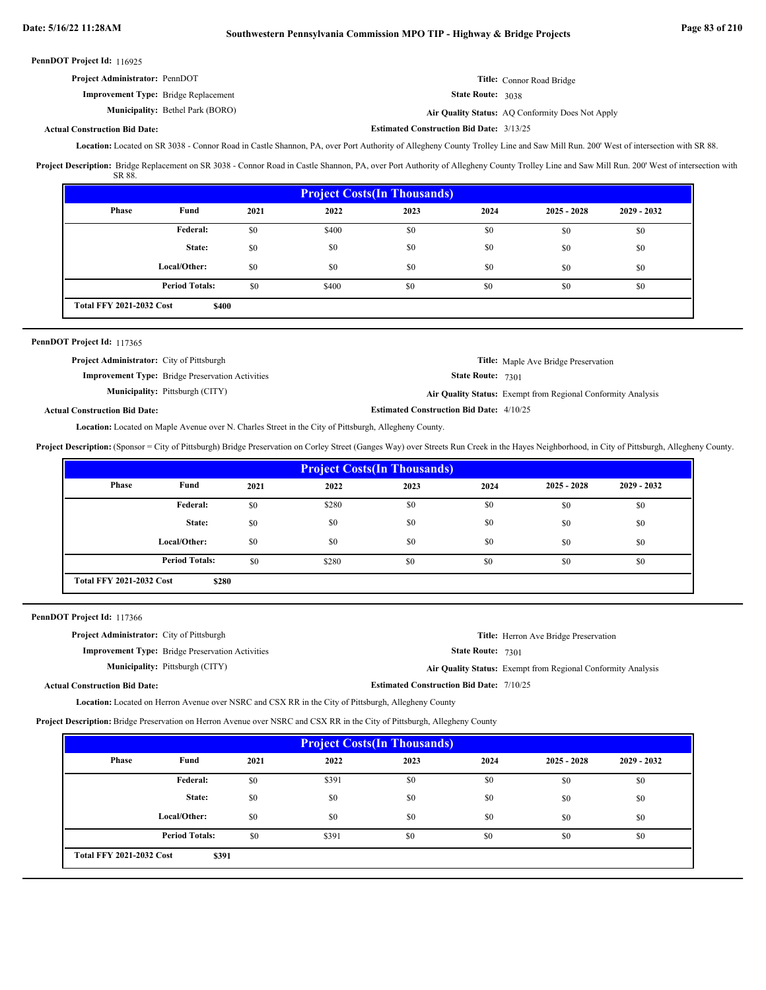**Actual Construction Bid Date:**

| <b>Project Administrator: PennDOT</b>       |                          | Title: Connor Road Bridge |
|---------------------------------------------|--------------------------|---------------------------|
| <b>Improvement Type:</b> Bridge Replacement | <b>State Route: 3038</b> |                           |

**Municipality:** Bethel Park (BORO) **Air Quality Status:** Air Quality Status: AQ Conformity Does Not Apply

**Estimated Construction Bid Date:** 3/13/25

Location: Located on SR 3038 - Connor Road in Castle Shannon, PA, over Port Authority of Allegheny County Trolley Line and Saw Mill Run. 200' West of intersection with SR 88.

Project Description: Bridge Replacement on SR 3038 - Connor Road in Castle Shannon, PA, over Port Authority of Allegheny County Trolley Line and Saw Mill Run. 200' West of intersection with SR 88.

| <b>Project Costs (In Thousands)</b>      |                       |      |       |      |      |               |               |
|------------------------------------------|-----------------------|------|-------|------|------|---------------|---------------|
| Phase                                    | Fund                  | 2021 | 2022  | 2023 | 2024 | $2025 - 2028$ | $2029 - 2032$ |
|                                          | <b>Federal:</b>       | \$0  | \$400 | \$0  | \$0  | \$0           | \$0           |
|                                          | State:                | \$0  | \$0   | \$0  | \$0  | \$0           | \$0           |
|                                          | Local/Other:          | \$0  | \$0   | \$0  | \$0  | \$0           | \$0           |
|                                          | <b>Period Totals:</b> | \$0  | \$400 | \$0  | \$0  | \$0           | \$0           |
| <b>Total FFY 2021-2032 Cost</b><br>\$400 |                       |      |       |      |      |               |               |

# PennDOT Project Id: 117365

| <b>Project Administrator:</b> City of Pittsburgh        | <b>Title:</b> Maple Ave Bridge Preservation                  |
|---------------------------------------------------------|--------------------------------------------------------------|
| <b>Improvement Type:</b> Bridge Preservation Activities | <b>State Route: 7301</b>                                     |
| <b>Municipality:</b> Pittsburgh (CITY)                  | Air Quality Status: Exempt from Regional Conformity Analysis |
| <b>Actual Construction Bid Date:</b>                    | <b>Estimated Construction Bid Date: 4/10/25</b>              |

Location: Located on Maple Avenue over N. Charles Street in the City of Pittsburgh, Allegheny County.

**Project Description:** (Sponsor = City of Pittsburgh) Bridge Preservation on Corley Street (Ganges Way) over Streets Run Creek in the Hayes Neighborhood, in City of Pittsburgh, Allegheny County.

| <b>Project Costs(In Thousands)</b> |                       |      |       |      |      |               |               |
|------------------------------------|-----------------------|------|-------|------|------|---------------|---------------|
| Phase                              | Fund                  | 2021 | 2022  | 2023 | 2024 | $2025 - 2028$ | $2029 - 2032$ |
|                                    | Federal:              | \$0  | \$280 | \$0  | \$0  | \$0           | \$0           |
|                                    | State:                | \$0  | \$0   | \$0  | \$0  | \$0           | \$0           |
|                                    | Local/Other:          | \$0  | \$0   | \$0  | \$0  | \$0           | \$0           |
|                                    | <b>Period Totals:</b> | \$0  | \$280 | \$0  | \$0  | \$0           | \$0           |
| <b>Total FFY 2021-2032 Cost</b>    | \$280                 |      |       |      |      |               |               |

PennDOT Project Id: 117366

| <b>Project Administrator:</b> City of Pittsburgh |                                                         |                                                 | <b>Title:</b> Herron Ave Bridge Preservation                 |
|--------------------------------------------------|---------------------------------------------------------|-------------------------------------------------|--------------------------------------------------------------|
|                                                  | <b>Improvement Type:</b> Bridge Preservation Activities | <b>State Route: 7301</b>                        |                                                              |
|                                                  | <b>Municipality:</b> Pittsburgh (CITY)                  |                                                 | Air Quality Status: Exempt from Regional Conformity Analysis |
| <b>Actual Construction Bid Date:</b>             |                                                         | <b>Estimated Construction Bid Date: 7/10/25</b> |                                                              |

Location: Located on Herron Avenue over NSRC and CSX RR in the City of Pittsburgh, Allegheny County

**Project Description:** Bridge Preservation on Herron Avenue over NSRC and CSX RR in the City of Pittsburgh, Allegheny County

| <b>Project Costs (In Thousands)</b>      |                       |      |       |      |      |               |               |
|------------------------------------------|-----------------------|------|-------|------|------|---------------|---------------|
| Phase                                    | Fund                  | 2021 | 2022  | 2023 | 2024 | $2025 - 2028$ | $2029 - 2032$ |
|                                          | Federal:              | \$0  | \$391 | \$0  | \$0  | \$0           | \$0           |
|                                          | State:                | \$0  | \$0   | \$0  | \$0  | \$0           | \$0           |
|                                          | Local/Other:          | \$0  | \$0   | \$0  | \$0  | \$0           | \$0           |
|                                          | <b>Period Totals:</b> | \$0  | \$391 | \$0  | \$0  | \$0           | \$0           |
| <b>Total FFY 2021-2032 Cost</b><br>\$391 |                       |      |       |      |      |               |               |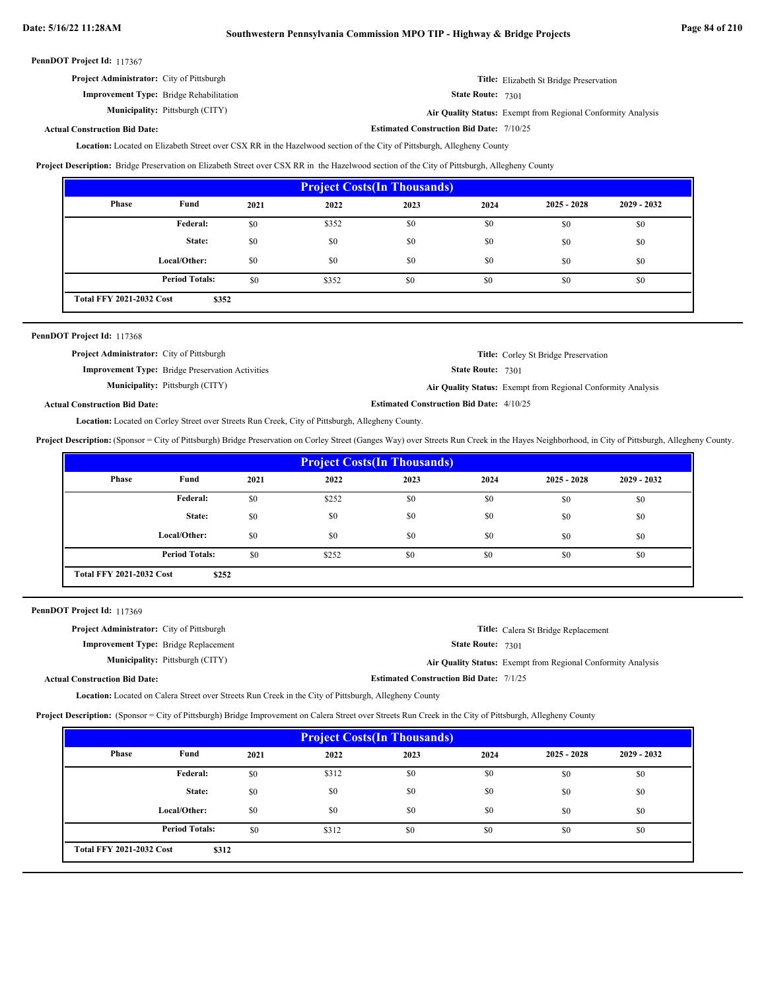| PennDOT Project Id: 117367 |  |
|----------------------------|--|
|----------------------------|--|

| <b>Project Administrator:</b> City of Pittsburgh | <b>Title:</b> Elizabeth St Bridge Preservation |
|--------------------------------------------------|------------------------------------------------|
|--------------------------------------------------|------------------------------------------------|

**Improvement Type:** Bridge Rehabilitation

**Municipality:** Pittsburgh (CITY) **Air Quality Status:** Exempt from Regional Conformity Analysis

State Route: 7301

**Estimated Construction Bid Date:** 7/10/25

# **Actual Construction Bid Date:**

Located on Elizabeth Street over CSX RR in the Hazelwood section of the City of Pittsburgh, Allegheny County **Location:**

**Project Description:** Bridge Preservation on Elizabeth Street over CSX RR in the Hazelwood section of the City of Pittsburgh, Allegheny County

| <b>Project Costs (In Thousands)</b>      |                       |      |       |      |      |               |               |
|------------------------------------------|-----------------------|------|-------|------|------|---------------|---------------|
| Phase                                    | Fund                  | 2021 | 2022  | 2023 | 2024 | $2025 - 2028$ | $2029 - 2032$ |
|                                          | Federal:              | \$0  | \$352 | \$0  | \$0  | \$0           | \$0           |
|                                          | State:                | \$0  | \$0   | \$0  | \$0  | \$0           | \$0           |
|                                          | Local/Other:          | \$0  | \$0   | \$0  | \$0  | \$0           | \$0           |
|                                          | <b>Period Totals:</b> | \$0  | \$352 | \$0  | \$0  | \$0           | \$0           |
| <b>Total FFY 2021-2032 Cost</b><br>\$352 |                       |      |       |      |      |               |               |

| PennDOT Project Id: 117368                       |                                                         |                                                 |                                                              |
|--------------------------------------------------|---------------------------------------------------------|-------------------------------------------------|--------------------------------------------------------------|
| <b>Project Administrator:</b> City of Pittsburgh |                                                         |                                                 | <b>Title:</b> Corley St Bridge Preservation                  |
|                                                  | <b>Improvement Type:</b> Bridge Preservation Activities | <b>State Route: 7301</b>                        |                                                              |
|                                                  | <b>Municipality:</b> Pittsburgh (CITY)                  |                                                 | Air Quality Status: Exempt from Regional Conformity Analysis |
| <b>Actual Construction Bid Date:</b>             |                                                         | <b>Estimated Construction Bid Date: 4/10/25</b> |                                                              |

Location: Located on Corley Street over Streets Run Creek, City of Pittsburgh, Allegheny County.

**Project Description:** (Sponsor = City of Pittsburgh) Bridge Preservation on Corley Street (Ganges Way) over Streets Run Creek in the Hayes Neighborhood, in City of Pittsburgh, Allegheny County.

| <b>Project Costs(In Thousands)</b>       |                       |      |       |      |      |               |               |
|------------------------------------------|-----------------------|------|-------|------|------|---------------|---------------|
| Phase                                    | Fund                  | 2021 | 2022  | 2023 | 2024 | $2025 - 2028$ | $2029 - 2032$ |
|                                          | Federal:              | \$0  | \$252 | \$0  | \$0  | \$0           | \$0           |
|                                          | State:                | \$0  | \$0   | \$0  | \$0  | \$0           | \$0           |
|                                          | Local/Other:          | \$0  | \$0   | \$0  | \$0  | \$0           | \$0           |
|                                          | <b>Period Totals:</b> | \$0  | \$252 | \$0  | \$0  | \$0           | \$0           |
| <b>Total FFY 2021-2032 Cost</b><br>\$252 |                       |      |       |      |      |               |               |

PennDOT Project Id: 117369

| <b>Project Administrator:</b> City of Pittsburgh |                                                | <b>Title:</b> Calera St Bridge Replacement                   |
|--------------------------------------------------|------------------------------------------------|--------------------------------------------------------------|
| <b>Improvement Type:</b> Bridge Replacement      | <b>State Route: 7301</b>                       |                                                              |
| <b>Municipality:</b> Pittsburgh (CITY)           |                                                | Air Quality Status: Exempt from Regional Conformity Analysis |
| <b>Actual Construction Bid Date:</b>             | <b>Estimated Construction Bid Date: 7/1/25</b> |                                                              |

**Location:** Located on Calera Street over Streets Run Creek in the City of Pittsburgh, Allegheny County

**Project Description:** (Sponsor = City of Pittsburgh) Bridge Improvement on Calera Street over Streets Run Creek in the City of Pittsburgh, Allegheny County

| <b>Project Costs (In Thousands)</b>      |                       |      |       |      |      |               |               |
|------------------------------------------|-----------------------|------|-------|------|------|---------------|---------------|
| Phase                                    | Fund                  | 2021 | 2022  | 2023 | 2024 | $2025 - 2028$ | $2029 - 2032$ |
|                                          | <b>Federal:</b>       | \$0  | \$312 | \$0  | \$0  | \$0           | \$0           |
|                                          | State:                | \$0  | \$0   | \$0  | \$0  | \$0           | \$0           |
|                                          | Local/Other:          | \$0  | \$0   | \$0  | \$0  | \$0           | \$0           |
|                                          | <b>Period Totals:</b> | \$0  | \$312 | \$0  | \$0  | \$0           | \$0           |
| <b>Total FFY 2021-2032 Cost</b><br>\$312 |                       |      |       |      |      |               |               |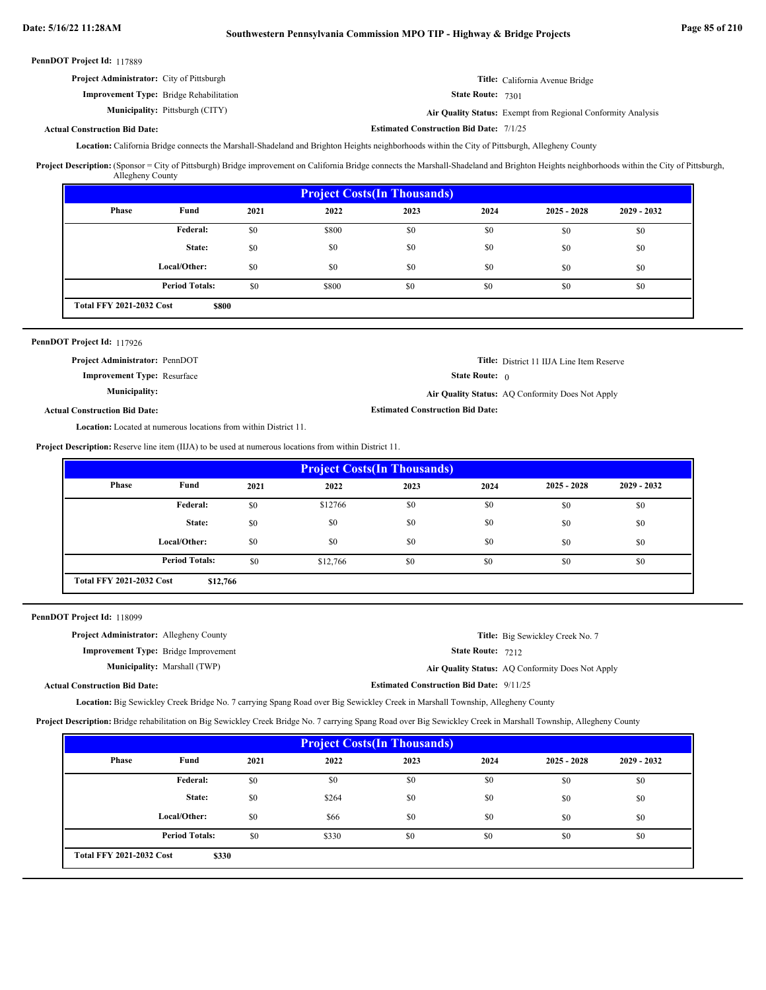**Estimated Construction Bid Date:** 7/1/25

| PennDOT Project Id: 117889 |  |
|----------------------------|--|
|----------------------------|--|

| <b>Project Administrator:</b> City of Pittsburgh | Title: California Avenue Bridge |
|--------------------------------------------------|---------------------------------|
| <b>Improvement Type:</b> Bridge Rehabilitation   | State Route: 7301               |

Pittsburgh (CITY) **Air Quality Status:** Exempt from Regional Conformity Analysis

# **Actual Construction Bid Date:**

**Municipality:**

Location: California Bridge connects the Marshall-Shadeland and Brighton Heights neighborhoods within the City of Pittsburgh, Allegheny County

Project Description: (Sponsor = City of Pittsburgh) Bridge improvement on California Bridge connects the Marshall-Shadeland and Brighton Heights neighborhoods within the City of Pittsburgh, Allegheny County

| <b>Project Costs (In Thousands)</b>      |                       |      |       |      |      |               |               |
|------------------------------------------|-----------------------|------|-------|------|------|---------------|---------------|
| Phase                                    | Fund                  | 2021 | 2022  | 2023 | 2024 | $2025 - 2028$ | $2029 - 2032$ |
|                                          | Federal:              | \$0  | \$800 | \$0  | \$0  | \$0           | \$0           |
|                                          | State:                | \$0  | \$0   | \$0  | \$0  | \$0           | \$0           |
|                                          | Local/Other:          | \$0  | \$0   | \$0  | \$0  | \$0           | \$0           |
|                                          | <b>Period Totals:</b> | \$0  | \$800 | \$0  | \$0  | \$0           | \$0           |
| <b>Total FFY 2021-2032 Cost</b><br>\$800 |                       |      |       |      |      |               |               |

# PennDOT Project Id: 117926

Actu

| <b>Project Administrator: PennDOT</b> |                                         | <b>Title:</b> District 11 IIJA Line Item Reserve |
|---------------------------------------|-----------------------------------------|--------------------------------------------------|
| <b>Improvement Type:</b> Resurface    | <b>State Route:</b> $\theta$            |                                                  |
| Municipality:                         |                                         | Air Quality Status: AO Conformity Does Not Apply |
| al Construction Bid Date:             | <b>Estimated Construction Bid Date:</b> |                                                  |
|                                       |                                         |                                                  |

Location: Located at numerous locations from within District 11.

**Project Description:** Reserve line item (IIJA) to be used at numerous locations from within District 11.

| <b>Project Costs (In Thousands)</b>         |                       |      |          |      |      |               |               |
|---------------------------------------------|-----------------------|------|----------|------|------|---------------|---------------|
| Phase                                       | Fund                  | 2021 | 2022     | 2023 | 2024 | $2025 - 2028$ | $2029 - 2032$ |
|                                             | Federal:              | \$0  | \$12766  | \$0  | \$0  | \$0           | \$0           |
|                                             | State:                | \$0  | \$0      | \$0  | \$0  | \$0           | \$0           |
|                                             | Local/Other:          | \$0  | \$0      | \$0  | \$0  | \$0           | \$0           |
|                                             | <b>Period Totals:</b> | \$0  | \$12,766 | \$0  | \$0  | \$0           | \$0           |
| <b>Total FFY 2021-2032 Cost</b><br>\$12,766 |                       |      |          |      |      |               |               |

PennDOT Project Id: 118099

| <b>Project Administrator:</b> Allegheny County |                                             |                                                 | <b>Title:</b> Big Sewickley Creek No. 7          |
|------------------------------------------------|---------------------------------------------|-------------------------------------------------|--------------------------------------------------|
|                                                | <b>Improvement Type:</b> Bridge Improvement | <b>State Route: 7212</b>                        |                                                  |
|                                                | <b>Municipality:</b> Marshall (TWP)         |                                                 | Air Quality Status: AQ Conformity Does Not Apply |
| <b>Actual Construction Bid Date:</b>           |                                             | <b>Estimated Construction Bid Date: 9/11/25</b> |                                                  |

Location: Big Sewickley Creek Bridge No. 7 carrying Spang Road over Big Sewickley Creek in Marshall Township, Allegheny County

**Project Description:** Bridge rehabilitation on Big Sewickley Creek Bridge No. 7 carrying Spang Road over Big Sewickley Creek in Marshall Township, Allegheny County

| <b>Project Costs (In Thousands)</b>      |                       |      |       |      |      |               |               |
|------------------------------------------|-----------------------|------|-------|------|------|---------------|---------------|
| Phase                                    | Fund                  | 2021 | 2022  | 2023 | 2024 | $2025 - 2028$ | $2029 - 2032$ |
|                                          | Federal:              | \$0  | \$0   | \$0  | \$0  | \$0           | \$0           |
|                                          | State:                | \$0  | \$264 | \$0  | \$0  | \$0           | \$0           |
|                                          | Local/Other:          | \$0  | \$66  | \$0  | \$0  | \$0           | \$0           |
|                                          | <b>Period Totals:</b> | \$0  | \$330 | \$0  | \$0  | \$0           | \$0           |
| <b>Total FFY 2021-2032 Cost</b><br>\$330 |                       |      |       |      |      |               |               |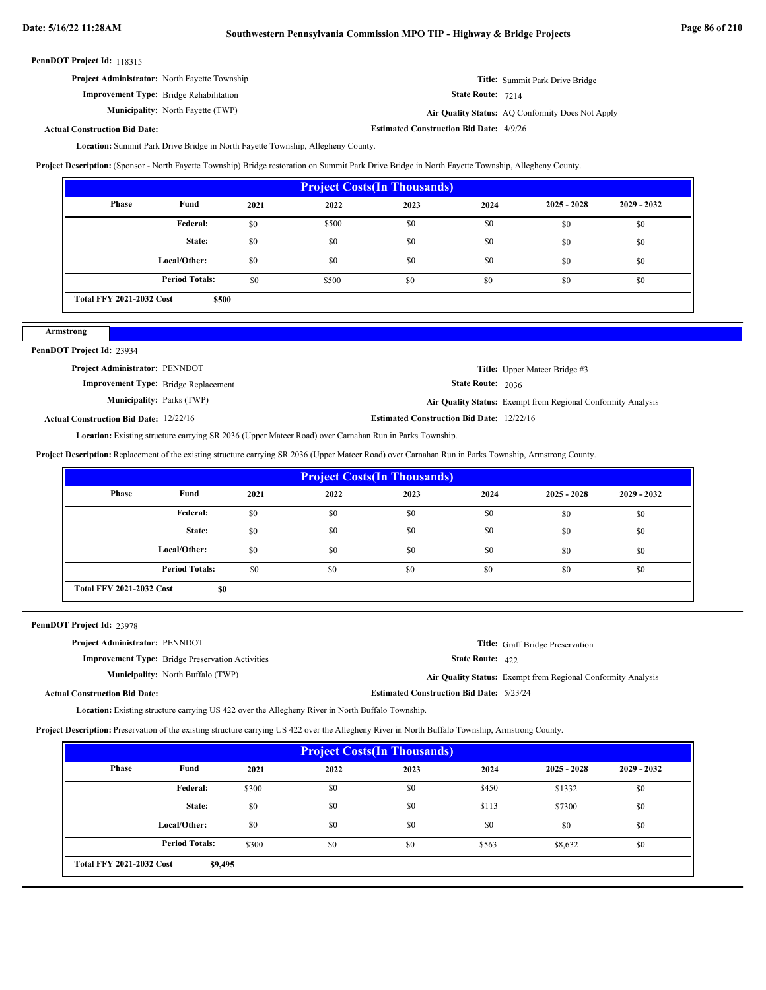**Project Administrator:** North Fayette Township

**Improvement Type:** Bridge Rehabilitation

**Municipality:** North Fayette (TWP) **Air Quality Status:** 

State Route: 7214

**Estimated Construction Bid Date:** 4/9/26

Air Quality Status: AQ Conformity Does Not Apply

**Title:** Summit Park Drive Bridge

# **Actual Construction Bid Date:**

Location: Summit Park Drive Bridge in North Fayette Township, Allegheny County.

**Project Description:** (Sponsor - North Fayette Township) Bridge restoration on Summit Park Drive Bridge in North Fayette Township, Allegheny County.

| <b>Project Costs (In Thousands)</b> |                                          |      |       |      |      |               |               |  |
|-------------------------------------|------------------------------------------|------|-------|------|------|---------------|---------------|--|
| Phase                               | Fund                                     | 2021 | 2022  | 2023 | 2024 | $2025 - 2028$ | $2029 - 2032$ |  |
|                                     | <b>Federal:</b>                          | \$0  | \$500 | \$0  | \$0  | \$0           | \$0           |  |
|                                     | State:                                   | \$0  | \$0   | \$0  | \$0  | \$0           | \$0           |  |
|                                     | Local/Other:                             | \$0  | \$0   | \$0  | \$0  | \$0           | \$0           |  |
|                                     | <b>Period Totals:</b>                    | \$0  | \$500 | \$0  | \$0  | \$0           | \$0           |  |
|                                     | <b>Total FFY 2021-2032 Cost</b><br>\$500 |      |       |      |      |               |               |  |

# PennDOT Project Id: 23934

**Armstrong**

| <b>Project Administrator: PENNDOT</b>       |                                                  | <b>Title:</b> Upper Mateer Bridge #3                                |
|---------------------------------------------|--------------------------------------------------|---------------------------------------------------------------------|
| <b>Improvement Type:</b> Bridge Replacement | <b>State Route: 2036</b>                         |                                                                     |
| <b>Municipality:</b> Parks (TWP)            |                                                  | <b>Air Quality Status:</b> Exempt from Regional Conformity Analysis |
| ctual Construction Bid Date: 12/22/16       | <b>Estimated Construction Bid Date: 12/22/16</b> |                                                                     |

**Actual Construction Bid Date:**

Location: Existing structure carrying SR 2036 (Upper Mateer Road) over Carnahan Run in Parks Township.

**Project Description:** Replacement of the existing structure carrying SR 2036 (Upper Mateer Road) over Carnahan Run in Parks Township, Armstrong County.

| <b>Project Costs (In Thousands)</b>    |                       |      |      |      |      |               |               |  |
|----------------------------------------|-----------------------|------|------|------|------|---------------|---------------|--|
| Phase                                  | Fund                  | 2021 | 2022 | 2023 | 2024 | $2025 - 2028$ | $2029 - 2032$ |  |
|                                        | <b>Federal:</b>       | \$0  | \$0  | \$0  | \$0  | \$0           | \$0           |  |
|                                        | State:                | \$0  | \$0  | \$0  | \$0  | \$0           | \$0           |  |
|                                        | Local/Other:          | \$0  | \$0  | \$0  | \$0  | \$0           | \$0           |  |
|                                        | <b>Period Totals:</b> | \$0  | \$0  | \$0  | \$0  | \$0           | \$0           |  |
| <b>Total FFY 2021-2032 Cost</b><br>\$0 |                       |      |      |      |      |               |               |  |

PennDOT Project Id: 23978

| <b>Project Administrator: PENNDOT</b> |                                                         |                                                 | <b>Title:</b> Graff Bridge Preservation                      |
|---------------------------------------|---------------------------------------------------------|-------------------------------------------------|--------------------------------------------------------------|
|                                       | <b>Improvement Type:</b> Bridge Preservation Activities | State Route: 422                                |                                                              |
|                                       | <b>Municipality:</b> North Buffalo (TWP)                |                                                 | Air Quality Status: Exempt from Regional Conformity Analysis |
| <b>Actual Construction Bid Date:</b>  |                                                         | <b>Estimated Construction Bid Date: 5/23/24</b> |                                                              |

Location: Existing structure carrying US 422 over the Allegheny River in North Buffalo Township.

**Project Description:** Preservation of the existing structure carrying US 422 over the Allegheny River in North Buffalo Township, Armstrong County.

| <b>Project Costs (In Thousands)</b>        |                       |       |      |      |       |               |               |  |
|--------------------------------------------|-----------------------|-------|------|------|-------|---------------|---------------|--|
| Phase                                      | Fund                  | 2021  | 2022 | 2023 | 2024  | $2025 - 2028$ | $2029 - 2032$ |  |
|                                            | Federal:              | \$300 | \$0  | \$0  | \$450 | \$1332        | \$0           |  |
|                                            | State:                | \$0   | \$0  | \$0  | \$113 | \$7300        | \$0           |  |
|                                            | Local/Other:          | \$0   | \$0  | \$0  | \$0   | \$0           | \$0           |  |
|                                            | <b>Period Totals:</b> | \$300 | \$0  | \$0  | \$563 | \$8,632       | \$0           |  |
| <b>Total FFY 2021-2032 Cost</b><br>\$9,495 |                       |       |      |      |       |               |               |  |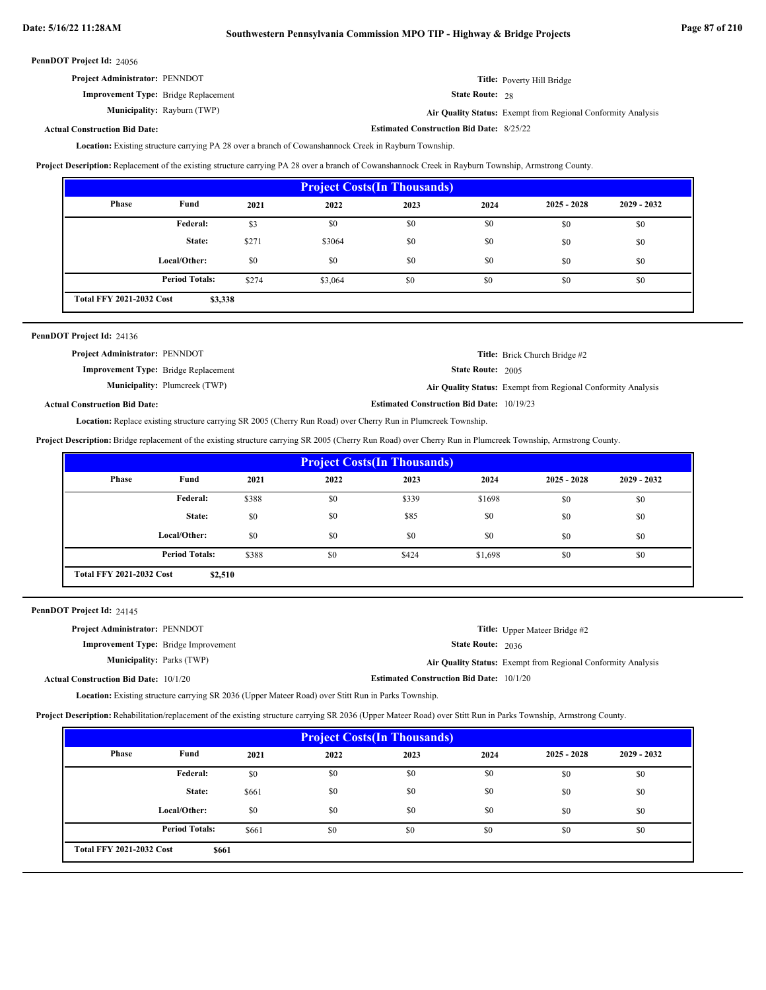**Estimated Construction Bid Date:** 8/25/22

|  | PennDOT Project Id: 24056 |  |
|--|---------------------------|--|
|--|---------------------------|--|

| <b>Project Administrator: PENNDOT</b>       | Title: Poverty Hill Bridge                                   |
|---------------------------------------------|--------------------------------------------------------------|
| <b>Improvement Type:</b> Bridge Replacement | <b>State Route: 28</b>                                       |
| <b>Municipality:</b> Rayburn (TWP)          | Air Quality Status: Exempt from Regional Conformity Analysis |

# **Actual Construction Bid Date:**

Location: Existing structure carrying PA 28 over a branch of Cowanshannock Creek in Rayburn Township.

**Project Description:** Replacement of the existing structure carrying PA 28 over a branch of Cowanshannock Creek in Rayburn Township, Armstrong County.

| <b>Project Costs (In Thousands)</b>        |                       |       |         |      |      |               |               |  |
|--------------------------------------------|-----------------------|-------|---------|------|------|---------------|---------------|--|
| Phase                                      | Fund                  | 2021  | 2022    | 2023 | 2024 | $2025 - 2028$ | $2029 - 2032$ |  |
|                                            | Federal:              | \$3   | \$0     | \$0  | \$0  | \$0           | \$0           |  |
|                                            | State:                | \$271 | \$3064  | \$0  | \$0  | \$0           | \$0           |  |
|                                            | Local/Other:          | \$0   | \$0     | \$0  | \$0  | \$0           | \$0           |  |
|                                            | <b>Period Totals:</b> | \$274 | \$3,064 | \$0  | \$0  | \$0           | \$0           |  |
| <b>Total FFY 2021-2032 Cost</b><br>\$3,338 |                       |       |         |      |      |               |               |  |

| PennDOT Project Id: 24136                   |                                      |                                                  |                                                              |
|---------------------------------------------|--------------------------------------|--------------------------------------------------|--------------------------------------------------------------|
| <b>Project Administrator: PENNDOT</b>       |                                      |                                                  | <b>Title:</b> Brick Church Bridge #2                         |
| <b>Improvement Type:</b> Bridge Replacement |                                      | <b>State Route: 2005</b>                         |                                                              |
|                                             | <b>Municipality:</b> Plumcreek (TWP) |                                                  | Air Quality Status: Exempt from Regional Conformity Analysis |
| <b>Actual Construction Bid Date:</b>        |                                      | <b>Estimated Construction Bid Date: 10/19/23</b> |                                                              |

Location: Replace existing structure carrying SR 2005 (Cherry Run Road) over Cherry Run in Plumcreek Township.

**Project Description:** Bridge replacement of the existing structure carrying SR 2005 (Cherry Run Road) over Cherry Run in Plumcreek Township, Armstrong County.

| <b>Project Costs (In Thousands)</b>        |                       |       |      |       |         |               |               |  |
|--------------------------------------------|-----------------------|-------|------|-------|---------|---------------|---------------|--|
| Phase                                      | Fund                  | 2021  | 2022 | 2023  | 2024    | $2025 - 2028$ | $2029 - 2032$ |  |
|                                            | Federal:              | \$388 | \$0  | \$339 | \$1698  | \$0           | \$0           |  |
|                                            | State:                | \$0   | \$0  | \$85  | \$0     | \$0           | \$0           |  |
|                                            | Local/Other:          | \$0   | \$0  | \$0   | \$0     | \$0           | \$0           |  |
|                                            | <b>Period Totals:</b> | \$388 | \$0  | \$424 | \$1,698 | \$0           | \$0           |  |
| <b>Total FFY 2021-2032 Cost</b><br>\$2,510 |                       |       |      |       |         |               |               |  |

PennDOT Project Id: 24145

| <b>Project Administrator: PENNDOT</b>        |                                                 | <b>Title:</b> Upper Mateer Bridge #2                         |
|----------------------------------------------|-------------------------------------------------|--------------------------------------------------------------|
| <b>Improvement Type:</b> Bridge Improvement  | <b>State Route: 2036</b>                        |                                                              |
| <b>Municipality:</b> Parks (TWP)             |                                                 | Air Quality Status: Exempt from Regional Conformity Analysis |
| <b>Actual Construction Bid Date: 10/1/20</b> | <b>Estimated Construction Bid Date: 10/1/20</b> |                                                              |

Location: Existing structure carrying SR 2036 (Upper Mateer Road) over Stitt Run in Parks Township.

**Project Description:** Rehabilitation/replacement of the existing structure carrying SR 2036 (Upper Mateer Road) over Stitt Run in Parks Township, Armstrong County.

| <b>Project Costs (In Thousands)</b>      |                       |       |      |      |      |               |             |  |
|------------------------------------------|-----------------------|-------|------|------|------|---------------|-------------|--|
| Phase                                    | Fund                  | 2021  | 2022 | 2023 | 2024 | $2025 - 2028$ | 2029 - 2032 |  |
|                                          | <b>Federal:</b>       | \$0   | \$0  | \$0  | \$0  | \$0           | \$0         |  |
|                                          | State:                | \$661 | \$0  | \$0  | \$0  | \$0           | \$0         |  |
|                                          | Local/Other:          | \$0   | \$0  | \$0  | \$0  | \$0           | \$0         |  |
|                                          | <b>Period Totals:</b> | \$661 | \$0  | \$0  | \$0  | \$0           | \$0         |  |
| <b>Total FFY 2021-2032 Cost</b><br>\$661 |                       |       |      |      |      |               |             |  |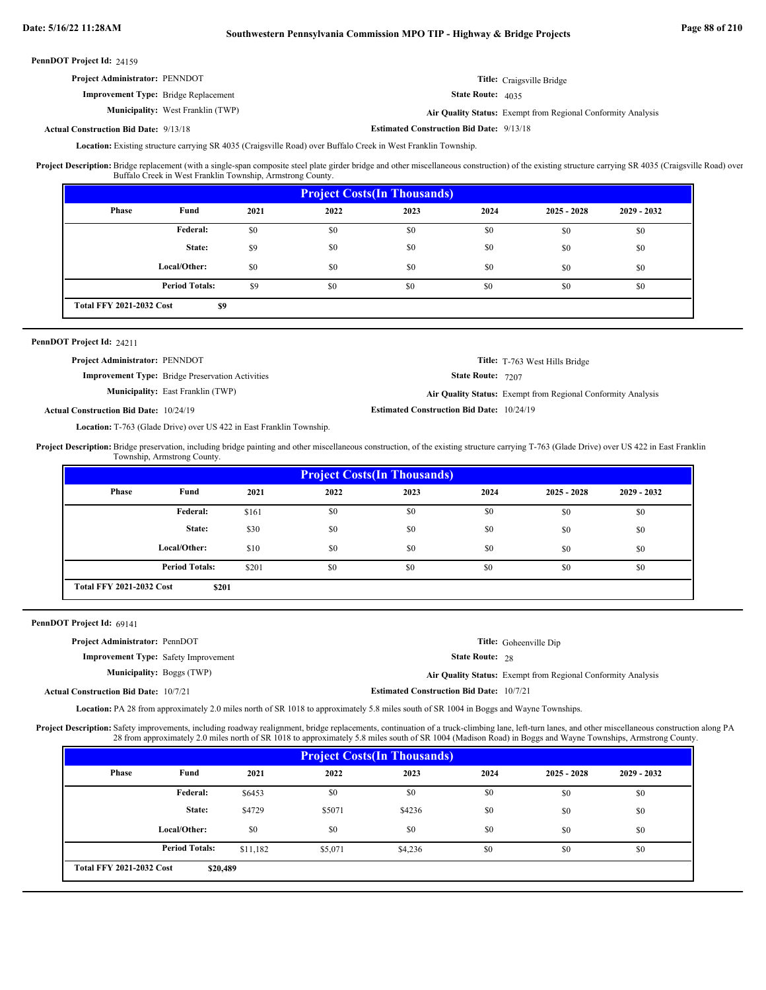| <b>Project Administrator: PENNDOT</b>       |                                          |                            | <b>Title:</b> Craigsville Bridge                             |
|---------------------------------------------|------------------------------------------|----------------------------|--------------------------------------------------------------|
| <b>Improvement Type:</b> Bridge Replacement |                                          | <b>State Route:</b> $4035$ |                                                              |
|                                             | <b>Municipality:</b> West Franklin (TWP) |                            | Air Quality Status: Exempt from Regional Conformity Analysis |

**Estimated Construction Bid Date:** 9/13/18 9/13/18 **Actual Construction Bid Date:**

Location: Existing structure carrying SR 4035 (Craigsville Road) over Buffalo Creek in West Franklin Township.

Bridge replacement (with a single-span composite steel plate girder bridge and other miscellaneous construction) of the existing structure carrying SR 4035 (Craigsville Road) over Buffalo Creek in West Franklin Township, Armstrong County. **Project Description:**

| <b>Project Costs (In Thousands)</b>    |                       |      |      |      |      |               |               |
|----------------------------------------|-----------------------|------|------|------|------|---------------|---------------|
| Phase                                  | Fund                  | 2021 | 2022 | 2023 | 2024 | $2025 - 2028$ | $2029 - 2032$ |
|                                        | <b>Federal:</b>       | \$0  | \$0  | \$0  | \$0  | \$0           | \$0           |
|                                        | State:                | \$9  | \$0  | \$0  | \$0  | \$0           | \$0           |
|                                        | Local/Other:          | \$0  | \$0  | \$0  | \$0  | \$0           | \$0           |
|                                        | <b>Period Totals:</b> | \$9  | \$0  | \$0  | \$0  | \$0           | \$0           |
| <b>Total FFY 2021-2032 Cost</b><br>\$9 |                       |      |      |      |      |               |               |

### PennDOT Project Id: 24211

| <b>Project Administrator: PENNDOT</b>         |                                                         |                                                  | <b>Title:</b> T-763 West Hills Bridge                        |
|-----------------------------------------------|---------------------------------------------------------|--------------------------------------------------|--------------------------------------------------------------|
|                                               | <b>Improvement Type:</b> Bridge Preservation Activities | <b>State Route: 7207</b>                         |                                                              |
|                                               | <b>Municipality:</b> East Franklin (TWP)                |                                                  | Air Quality Status: Exempt from Regional Conformity Analysis |
| <b>Actual Construction Bid Date: 10/24/19</b> |                                                         | <b>Estimated Construction Bid Date: 10/24/19</b> |                                                              |

Location: T-763 (Glade Drive) over US 422 in East Franklin Township.

Project Description: Bridge preservation, including bridge painting and other miscellaneous construction, of the existing structure carrying T-763 (Glade Drive) over US 422 in East Franklin Township, Armstrong County.

| <b>Project Costs (In Thousands)</b>      |                       |       |      |      |      |               |               |  |
|------------------------------------------|-----------------------|-------|------|------|------|---------------|---------------|--|
| Phase                                    | Fund                  | 2021  | 2022 | 2023 | 2024 | $2025 - 2028$ | $2029 - 2032$ |  |
|                                          | Federal:              | \$161 | \$0  | \$0  | \$0  | \$0           | \$0           |  |
|                                          | State:                | \$30  | \$0  | \$0  | \$0  | \$0           | \$0           |  |
|                                          | Local/Other:          | \$10  | \$0  | \$0  | \$0  | \$0           | \$0           |  |
|                                          | <b>Period Totals:</b> | \$201 | \$0  | \$0  | \$0  | \$0           | \$0           |  |
| <b>Total FFY 2021-2032 Cost</b><br>\$201 |                       |       |      |      |      |               |               |  |

PennDOT Project Id: 69141

| <b>Project Administrator: PennDOT</b>        |                                                 | <b>Title:</b> Goheenville Dip                                |
|----------------------------------------------|-------------------------------------------------|--------------------------------------------------------------|
| <b>Improvement Type:</b> Safety Improvement  | <b>State Route: 28</b>                          |                                                              |
| <b>Municipality: Boggs (TWP)</b>             |                                                 | Air Quality Status: Exempt from Regional Conformity Analysis |
| <b>Actual Construction Bid Date: 10/7/21</b> | <b>Estimated Construction Bid Date: 10/7/21</b> |                                                              |

Location: PA 28 from approximately 2.0 miles north of SR 1018 to approximately 5.8 miles south of SR 1004 in Boggs and Wayne Townships.

Project Description: Safety improvements, including roadway realignment, bridge replacements, continuation of a truck-climbing lane, left-turn lanes, and other miscellaneous construction along PA 28 from approximately 2.0 miles north of SR 1018 to approximately 5.8 miles south of SR 1004 (Madison Road) in Boggs and Wayne Townships, Armstrong County.

| <b>Project Costs (In Thousands)</b>         |                       |          |         |         |      |               |               |  |
|---------------------------------------------|-----------------------|----------|---------|---------|------|---------------|---------------|--|
| Phase                                       | Fund                  | 2021     | 2022    | 2023    | 2024 | $2025 - 2028$ | $2029 - 2032$ |  |
|                                             | Federal:              | \$6453   | \$0     | \$0     | \$0  | \$0           | \$0           |  |
|                                             | State:                | \$4729   | \$5071  | \$4236  | \$0  | \$0           | \$0           |  |
|                                             | Local/Other:          | \$0      | \$0     | \$0     | \$0  | \$0           | \$0           |  |
|                                             | <b>Period Totals:</b> | \$11,182 | \$5,071 | \$4,236 | \$0  | \$0           | \$0           |  |
| <b>Total FFY 2021-2032 Cost</b><br>\$20,489 |                       |          |         |         |      |               |               |  |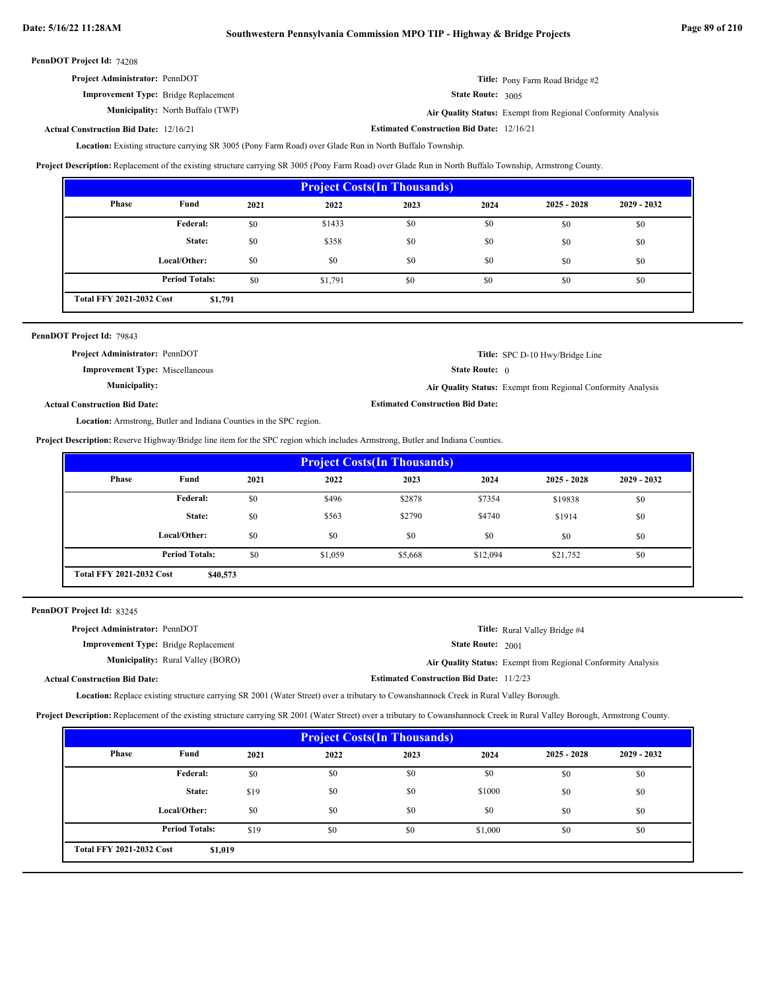| <b>Project Administrator: PennDOT</b>       | Title: Pony Farm Road Bridge #2                              |
|---------------------------------------------|--------------------------------------------------------------|
| <b>Improvement Type:</b> Bridge Replacement | <b>State Route:</b> $3005$                                   |
| <b>Municipality:</b> North Buffalo (TWP)    | Air Quality Status: Exempt from Regional Conformity Analysis |

#### **Estimated Construction Bid Date:** 12/16/21 12/16/21 **Actual Construction Bid Date:**

Location: Existing structure carrying SR 3005 (Pony Farm Road) over Glade Run in North Buffalo Township.

**Project Description:** Replacement of the existing structure carrying SR 3005 (Pony Farm Road) over Glade Run in North Buffalo Township, Armstrong County.

| <b>Project Costs (In Thousands)</b>        |                       |      |         |      |      |               |               |  |
|--------------------------------------------|-----------------------|------|---------|------|------|---------------|---------------|--|
| Phase                                      | Fund                  | 2021 | 2022    | 2023 | 2024 | $2025 - 2028$ | $2029 - 2032$ |  |
|                                            | Federal:              | \$0  | \$1433  | \$0  | \$0  | \$0           | \$0           |  |
|                                            | State:                | \$0  | \$358   | \$0  | \$0  | \$0           | \$0           |  |
|                                            | Local/Other:          | \$0  | \$0     | \$0  | \$0  | \$0           | \$0           |  |
|                                            | <b>Period Totals:</b> | \$0  | \$1,791 | \$0  | \$0  | \$0           | \$0           |  |
| <b>Total FFY 2021-2032 Cost</b><br>\$1,791 |                       |      |         |      |      |               |               |  |

| PennDOT Project Id: 79843                                                  |                                         |                                                              |
|----------------------------------------------------------------------------|-----------------------------------------|--------------------------------------------------------------|
| <b>Project Administrator: PennDOT</b>                                      |                                         | <b>Title:</b> SPC D-10 Hwy/Bridge Line                       |
| <b>Improvement Type:</b> Miscellaneous                                     | <b>State Route:</b> $\theta$            |                                                              |
| <b>Municipality:</b>                                                       |                                         | Air Quality Status: Exempt from Regional Conformity Analysis |
| <b>Actual Construction Bid Date:</b>                                       | <b>Estimated Construction Bid Date:</b> |                                                              |
| <b>Location:</b> Armstrong, Butler and Indiana Counties in the SPC region. |                                         |                                                              |

**Project Description:** Reserve Highway/Bridge line item for the SPC region which includes Armstrong, Butler and Indiana Counties.

| <b>Project Costs (In Thousands)</b>         |                       |      |         |         |          |               |               |  |
|---------------------------------------------|-----------------------|------|---------|---------|----------|---------------|---------------|--|
| Phase                                       | Fund                  | 2021 | 2022    | 2023    | 2024     | $2025 - 2028$ | $2029 - 2032$ |  |
|                                             | Federal:              | \$0  | \$496   | \$2878  | \$7354   | \$19838       | \$0           |  |
|                                             | State:                | \$0  | \$563   | \$2790  | \$4740   | \$1914        | \$0           |  |
|                                             | Local/Other:          | \$0  | \$0     | \$0     | \$0      | \$0           | \$0           |  |
|                                             | <b>Period Totals:</b> | \$0  | \$1,059 | \$5,668 | \$12,094 | \$21,752      | \$0           |  |
| <b>Total FFY 2021-2032 Cost</b><br>\$40,573 |                       |      |         |         |          |               |               |  |

PennDOT Project Id: 83245

| <b>Project Administrator: PennDOT</b>       | <b>Title:</b> Rural Valley Bridge #4                         |
|---------------------------------------------|--------------------------------------------------------------|
| <b>Improvement Type:</b> Bridge Replacement | <b>State Route: 2001</b>                                     |
| <b>Municipality:</b> Rural Valley (BORO)    | Air Quality Status: Exempt from Regional Conformity Analysis |
| <b>Actual Construction Bid Date:</b>        | <b>Estimated Construction Bid Date: 11/2/23</b>              |

Location: Replace existing structure carrying SR 2001 (Water Street) over a tributary to Cowanshannock Creek in Rural Valley Borough.

**Project Description:** Replacement of the existing structure carrying SR 2001 (Water Street) over a tributary to Cowanshannock Creek in Rural Valley Borough, Armstrong County.

| <b>Project Costs (In Thousands)</b>        |                       |      |      |      |         |               |               |
|--------------------------------------------|-----------------------|------|------|------|---------|---------------|---------------|
| Phase                                      | Fund                  | 2021 | 2022 | 2023 | 2024    | $2025 - 2028$ | $2029 - 2032$ |
|                                            | Federal:              | \$0  | \$0  | \$0  | \$0     | \$0           | \$0           |
|                                            | State:                | \$19 | \$0  | \$0  | \$1000  | \$0           | \$0           |
|                                            | Local/Other:          | \$0  | \$0  | \$0  | \$0     | \$0           | \$0           |
|                                            | <b>Period Totals:</b> | \$19 | \$0  | \$0  | \$1,000 | \$0           | \$0           |
| <b>Total FFY 2021-2032 Cost</b><br>\$1,019 |                       |      |      |      |         |               |               |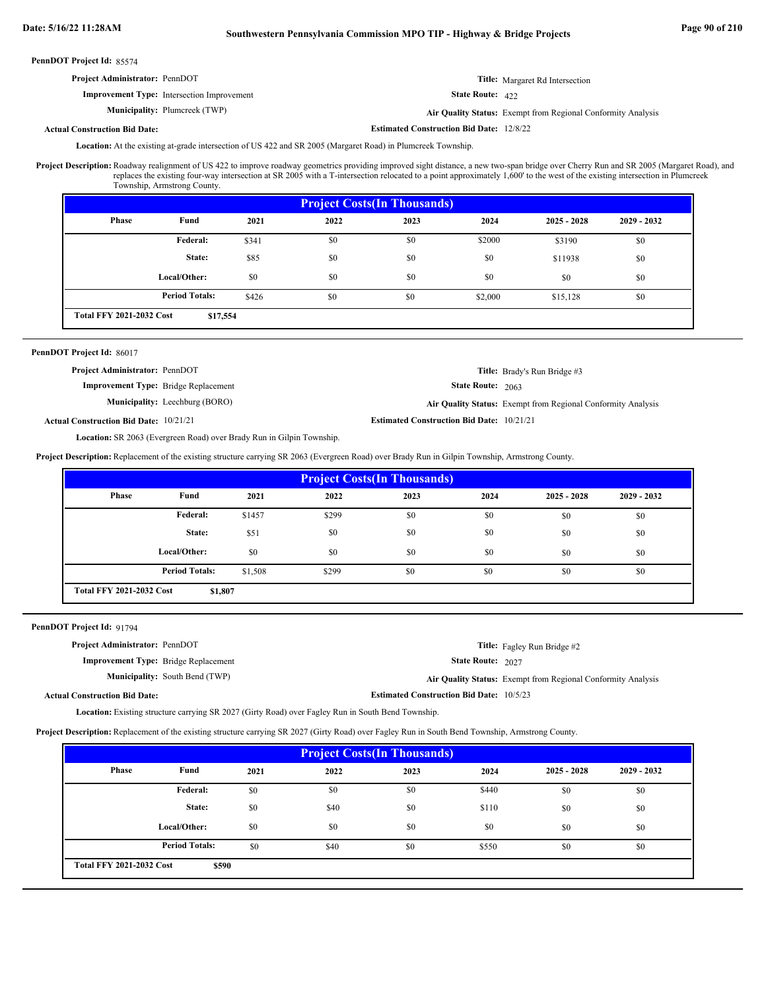# **Date: 5/16/22 11:28AM Southwestern Pennsylvania Commission MPO TIP - Highway & Bridge Projects Page 90 of 210**

| PennDOT Project Id: 85574             |                                                   |                                                 |                                                              |
|---------------------------------------|---------------------------------------------------|-------------------------------------------------|--------------------------------------------------------------|
| <b>Project Administrator: PennDOT</b> |                                                   |                                                 | <b>Title:</b> Margaret Rd Intersection                       |
|                                       | <b>Improvement Type:</b> Intersection Improvement | <b>State Route:</b> $422$                       |                                                              |
|                                       | <b>Municipality:</b> Plumcreek (TWP)              |                                                 | Air Quality Status: Exempt from Regional Conformity Analysis |
| <b>Actual Construction Bid Date:</b>  |                                                   | <b>Estimated Construction Bid Date: 12/8/22</b> |                                                              |

Location: At the existing at-grade intersection of US 422 and SR 2005 (Margaret Road) in Plumcreek Township.

Roadway realignment of US 422 to improve roadway geometrics providing improved sight distance, a new two-span bridge over Cherry Run and SR 2005 (Margaret Road), and replaces the existing four-way intersection at SR 2005 with a T-intersection relocated to a point approximately 1,600' to the west of the existing intersection in Plumcreek Township, Armstrong County. **Project Description:**

| <b>Project Costs (In Thousands)</b> |                                             |       |      |      |         |               |               |  |  |  |
|-------------------------------------|---------------------------------------------|-------|------|------|---------|---------------|---------------|--|--|--|
| Phase                               | Fund                                        | 2021  | 2022 | 2023 | 2024    | $2025 - 2028$ | $2029 - 2032$ |  |  |  |
|                                     | Federal:                                    | \$341 | \$0  | \$0  | \$2000  | \$3190        | \$0           |  |  |  |
|                                     | State:                                      | \$85  | \$0  | \$0  | \$0     | \$11938       | \$0           |  |  |  |
|                                     | Local/Other:                                | \$0   | \$0  | \$0  | \$0     | \$0           | \$0           |  |  |  |
|                                     | <b>Period Totals:</b>                       | \$426 | \$0  | \$0  | \$2,000 | \$15,128      | \$0           |  |  |  |
|                                     | <b>Total FFY 2021-2032 Cost</b><br>\$17,554 |       |      |      |         |               |               |  |  |  |

# PennDOT Project Id: 86017

| <b>Project Administrator: PennDOT</b>         |                                       |                                                  | <b>Title:</b> Brady's Run Bridge #3                          |
|-----------------------------------------------|---------------------------------------|--------------------------------------------------|--------------------------------------------------------------|
| <b>Improvement Type:</b> Bridge Replacement   |                                       | <b>State Route: 2063</b>                         |                                                              |
|                                               | <b>Municipality:</b> Leechburg (BORO) |                                                  | Air Quality Status: Exempt from Regional Conformity Analysis |
| <b>Actual Construction Bid Date: 10/21/21</b> |                                       | <b>Estimated Construction Bid Date: 10/21/21</b> |                                                              |

Location: SR 2063 (Evergreen Road) over Brady Run in Gilpin Township.

**Project Description:** Replacement of the existing structure carrying SR 2063 (Evergreen Road) over Brady Run in Gilpin Township, Armstrong County.

| <b>Project Costs (In Thousands)</b>        |                       |         |       |      |      |               |               |  |  |
|--------------------------------------------|-----------------------|---------|-------|------|------|---------------|---------------|--|--|
| <b>Phase</b>                               | Fund                  | 2021    | 2022  | 2023 | 2024 | $2025 - 2028$ | $2029 - 2032$ |  |  |
|                                            | Federal:              | \$1457  | \$299 | \$0  | \$0  | \$0           | \$0           |  |  |
|                                            | State:                | \$51    | \$0   | \$0  | \$0  | \$0           | \$0           |  |  |
|                                            | Local/Other:          | \$0     | \$0   | \$0  | \$0  | \$0           | \$0           |  |  |
|                                            | <b>Period Totals:</b> | \$1,508 | \$299 | \$0  | \$0  | \$0           | \$0           |  |  |
| <b>Total FFY 2021-2032 Cost</b><br>\$1,807 |                       |         |       |      |      |               |               |  |  |

PennDOT Project Id: 91794

| <b>Project Administrator: PennDOT</b>       |                                       |                                                 | <b>Title:</b> Fagley Run Bridge #2                           |
|---------------------------------------------|---------------------------------------|-------------------------------------------------|--------------------------------------------------------------|
| <b>Improvement Type:</b> Bridge Replacement |                                       | <b>State Route: 2027</b>                        |                                                              |
|                                             | <b>Municipality:</b> South Bend (TWP) |                                                 | Air Quality Status: Exempt from Regional Conformity Analysis |
| Actual Construction Bid Date:               |                                       | <b>Estimated Construction Bid Date: 10/5/23</b> |                                                              |

Location: Existing structure carrying SR 2027 (Girty Road) over Fagley Run in South Bend Township.

**Project Description:** Replacement of the existing structure carrying SR 2027 (Girty Road) over Fagley Run in South Bend Township, Armstrong County.

| <b>Project Costs (In Thousands)</b> |                                          |      |      |      |       |               |               |  |  |
|-------------------------------------|------------------------------------------|------|------|------|-------|---------------|---------------|--|--|
| Phase                               | Fund                                     | 2021 | 2022 | 2023 | 2024  | $2025 - 2028$ | $2029 - 2032$ |  |  |
|                                     | Federal:                                 | \$0  | \$0  | \$0  | \$440 | \$0           | \$0           |  |  |
|                                     | State:                                   | \$0  | \$40 | \$0  | \$110 | \$0           | \$0           |  |  |
|                                     | Local/Other:                             | \$0  | \$0  | \$0  | \$0   | \$0           | \$0           |  |  |
|                                     | <b>Period Totals:</b>                    | \$0  | \$40 | \$0  | \$550 | \$0           | \$0           |  |  |
|                                     | <b>Total FFY 2021-2032 Cost</b><br>\$590 |      |      |      |       |               |               |  |  |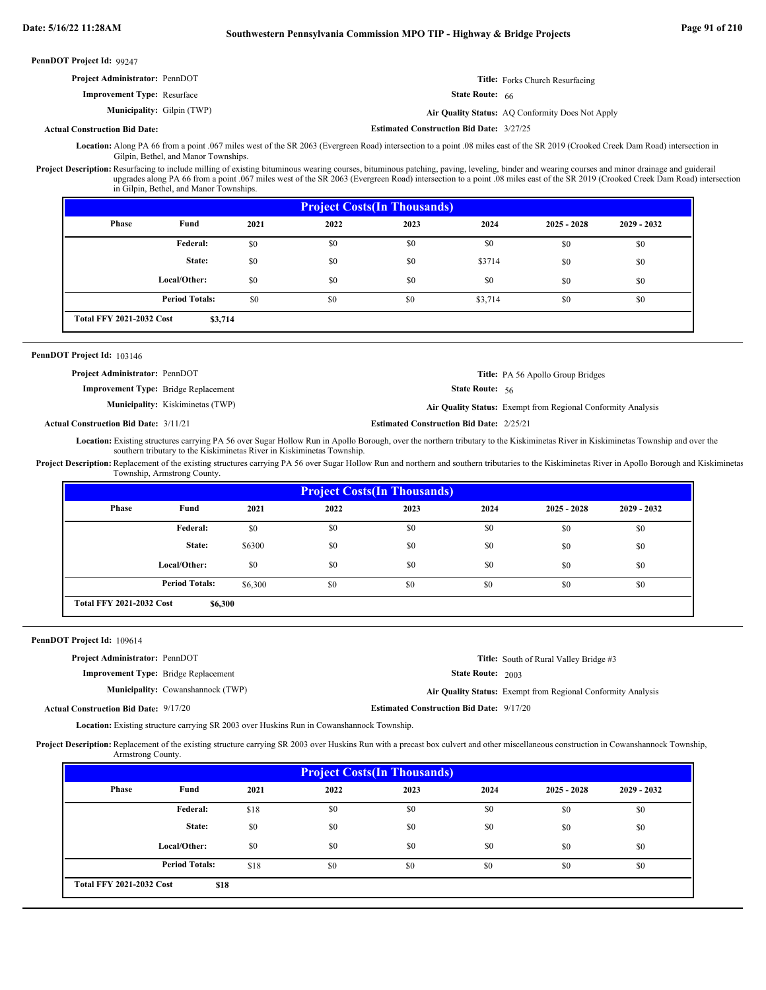PennD

| nDOT Project Id: 99247.               |                                                 |                                                  |
|---------------------------------------|-------------------------------------------------|--------------------------------------------------|
| <b>Project Administrator: PennDOT</b> |                                                 | <b>Title:</b> Forks Church Resurfacing           |
| <b>Improvement Type: Resurface</b>    | <b>State Route:</b> $66$                        |                                                  |
| <b>Municipality:</b> Gilpin (TWP)     |                                                 | Air Quality Status: AQ Conformity Does Not Apply |
| <b>Actual Construction Bid Date:</b>  | <b>Estimated Construction Bid Date: 3/27/25</b> |                                                  |

Location: Along PA 66 from a point .067 miles west of the SR 2063 (Evergreen Road) intersection to a point .08 miles east of the SR 2019 (Crooked Creek Dam Road) intersection in Gilpin, Bethel, and Manor Townships.

Project Description: Resurfacing to include milling of existing bituminous wearing courses, bituminous patching, paving, leveling, binder and wearing courses and minor drainage and guiderail upgrades along PA 66 from a point .067 miles west of the SR 2063 (Evergreen Road) intersection to a point .08 miles east of the SR 2019 (Crooked Creek Dam Road) intersection in Gilpin, Bethel, and Manor Townships.

| <b>Project Costs (In Thousands)</b> |                                            |      |      |      |         |               |               |  |  |  |
|-------------------------------------|--------------------------------------------|------|------|------|---------|---------------|---------------|--|--|--|
| Phase                               | Fund                                       | 2021 | 2022 | 2023 | 2024    | $2025 - 2028$ | $2029 - 2032$ |  |  |  |
|                                     | <b>Federal:</b>                            | \$0  | \$0  | \$0  | \$0     | \$0           | \$0           |  |  |  |
|                                     | State:                                     | \$0  | \$0  | \$0  | \$3714  | \$0           | \$0           |  |  |  |
|                                     | Local/Other:                               | \$0  | \$0  | \$0  | \$0     | \$0           | \$0           |  |  |  |
|                                     | <b>Period Totals:</b>                      | \$0  | \$0  | \$0  | \$3,714 | \$0           | \$0           |  |  |  |
|                                     | <b>Total FFY 2021-2032 Cost</b><br>\$3,714 |      |      |      |         |               |               |  |  |  |

# PennDOT Project Id: 103146

State Route: 56 **Title:** PA 56 Apollo Group Bridges **Improvement Type:** Bridge Replacement **Project Administrator:** PennDOT

**Municipality:** Kiskiminetas (TWP) Kiskiminetas (TWP) **Air Quality Status:** Exempt from Regional Conformity Analysis

**Actual Construction Bid Date:**

**Estimated Construction Bid Date:** 2/25/21 **2/25/21** 

Location: Existing structures carrying PA 56 over Sugar Hollow Run in Apollo Borough, over the northern tributary to the Kiskiminetas River in Kiskiminetas Township and over the southern tributary to the Kiskiminetas River in Kiskiminetas Township.

Project Description: Replacement of the existing structures carrying PA 56 over Sugar Hollow Run and northern and southern tributaries to the Kiskiminetas River in Apollo Borough and Kiskiminetas Township, Armstrong County.

| <b>Project Costs (In Thousands)</b> |                       |         |      |      |      |               |               |  |  |  |
|-------------------------------------|-----------------------|---------|------|------|------|---------------|---------------|--|--|--|
| Phase                               | Fund                  | 2021    | 2022 | 2023 | 2024 | $2025 - 2028$ | $2029 - 2032$ |  |  |  |
|                                     | Federal:              | \$0     | \$0  | \$0  | \$0  | \$0           | \$0           |  |  |  |
|                                     | State:                | \$6300  | \$0  | \$0  | \$0  | \$0           | \$0           |  |  |  |
|                                     | Local/Other:          | \$0     | \$0  | \$0  | \$0  | \$0           | \$0           |  |  |  |
|                                     | <b>Period Totals:</b> | \$6,300 | \$0  | \$0  | \$0  | \$0           | \$0           |  |  |  |

# PennDOT Project Id: 109614

**Project Administrator:** PennDOT

**Improvement Type:** Bridge Replacement

Municipality: Cowanshannock (TWP)

State Route: 2003

Cowanshannock (TWP) **Air Quality Status:** Exempt from Regional Conformity Analysis

**Title:** South of Rural Valley Bridge #3

**Actual Construction Bid Date:**

**Estimated Construction Bid Date:** 9/17/20 9/17/20

**Location:** Existing structure carrying SR 2003 over Huskins Run in Cowanshannock Township.

Project Description: Replacement of the existing structure carrying SR 2003 over Huskins Run with a precast box culvert and other miscellaneous construction in Cowanshannock Township, Armstrong County.

| <b>Project Costs(In Thousands)</b> |                                         |      |      |      |      |               |               |  |  |
|------------------------------------|-----------------------------------------|------|------|------|------|---------------|---------------|--|--|
| Phase                              | Fund                                    | 2021 | 2022 | 2023 | 2024 | $2025 - 2028$ | $2029 - 2032$ |  |  |
|                                    | Federal:                                | \$18 | \$0  | \$0  | \$0  | \$0           | \$0           |  |  |
|                                    | State:                                  | \$0  | \$0  | \$0  | \$0  | \$0           | \$0           |  |  |
|                                    | Local/Other:                            | \$0  | \$0  | \$0  | \$0  | \$0           | \$0           |  |  |
|                                    | <b>Period Totals:</b>                   | \$18 | \$0  | \$0  | \$0  | \$0           | \$0           |  |  |
|                                    | <b>Total FFY 2021-2032 Cost</b><br>\$18 |      |      |      |      |               |               |  |  |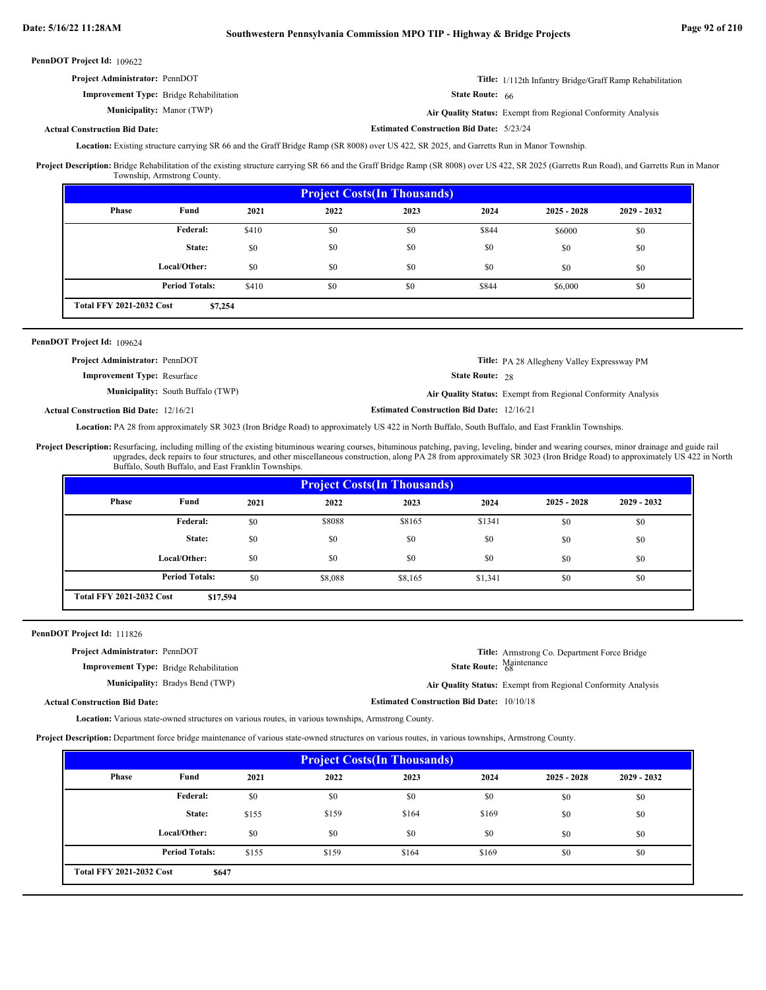**Estimated Construction Bid Date:** 5/23/24

PennDOT Project Id: 109622

| <b>Project Administrator: PennDOT</b>          | <b>Title:</b> 1/112th Infantry Bridge/Graff Ramp Rehabilitation |
|------------------------------------------------|-----------------------------------------------------------------|
| <b>Improvement Type:</b> Bridge Rehabilitation | <b>State Route: 66</b>                                          |

Manor (TWP) **Air Quality Status:** Exempt from Regional Conformity Analysis

# **Actual Construction Bid Date:**

**Municipality:** Manor (TWP)

Location: Existing structure carrying SR 66 and the Graff Bridge Ramp (SR 8008) over US 422, SR 2025, and Garretts Run in Manor Township.

Project Description: Bridge Rehabilitation of the existing structure carrying SR 66 and the Graff Bridge Ramp (SR 8008) over US 422, SR 2025 (Garretts Run Road), and Garretts Run in Manor Township, Armstrong County.

| <b>Project Costs (In Thousands)</b> |                                            |       |      |      |       |               |               |  |  |
|-------------------------------------|--------------------------------------------|-------|------|------|-------|---------------|---------------|--|--|
| <b>Phase</b>                        | Fund                                       | 2021  | 2022 | 2023 | 2024  | $2025 - 2028$ | $2029 - 2032$ |  |  |
|                                     | Federal:                                   | \$410 | \$0  | \$0  | \$844 | \$6000        | \$0           |  |  |
|                                     | State:                                     | \$0   | \$0  | \$0  | \$0   | \$0           | \$0           |  |  |
|                                     | Local/Other:                               | \$0   | \$0  | \$0  | \$0   | \$0           | \$0           |  |  |
|                                     | <b>Period Totals:</b>                      | \$410 | \$0  | \$0  | \$844 | \$6,000       | \$0           |  |  |
|                                     | <b>Total FFY 2021-2032 Cost</b><br>\$7,254 |       |      |      |       |               |               |  |  |

# PennDOT Project Id: 109624

| <b>Project Administrator: PennDOT</b>         |                                          |                                                  | <b>Title:</b> PA 28 Allegheny Valley Expressway PM           |
|-----------------------------------------------|------------------------------------------|--------------------------------------------------|--------------------------------------------------------------|
| <b>Improvement Type: Resurface</b>            |                                          | <b>State Route: 28</b>                           |                                                              |
|                                               | <b>Municipality:</b> South Buffalo (TWP) |                                                  | Air Quality Status: Exempt from Regional Conformity Analysis |
| <b>Actual Construction Bid Date: 12/16/21</b> |                                          | <b>Estimated Construction Bid Date: 12/16/21</b> |                                                              |

Location: PA 28 from approximately SR 3023 (Iron Bridge Road) to approximately US 422 in North Buffalo, South Buffalo, and East Franklin Townships.

Resurfacing, including milling of the existing bituminous wearing courses, bituminous patching, paving, leveling, binder and wearing courses, minor drainage and guide rail upgrades, deck repairs to four structures, and other miscellaneous construction, along PA 28 from approximately SR 3023 (Iron Bridge Road) to approximately US 422 in North Buffalo, South Buffalo, and East Franklin Townships. **Project Description:**

| <b>Project Costs (In Thousands)</b>         |                       |      |         |         |         |               |               |
|---------------------------------------------|-----------------------|------|---------|---------|---------|---------------|---------------|
| Phase                                       | Fund                  | 2021 | 2022    | 2023    | 2024    | $2025 - 2028$ | $2029 - 2032$ |
|                                             | Federal:              | \$0  | \$8088  | \$8165  | \$1341  | \$0           | \$0           |
|                                             | State:                | \$0  | \$0     | \$0     | \$0     | \$0           | \$0           |
|                                             | Local/Other:          | \$0  | \$0     | \$0     | \$0     | \$0           | \$0           |
|                                             | <b>Period Totals:</b> | \$0  | \$8,088 | \$8,165 | \$1,341 | \$0           | \$0           |
| <b>Total FFY 2021-2032 Cost</b><br>\$17,594 |                       |      |         |         |         |               |               |

PennDOT Project Id: 111826

**Project Administrator:** PennDOT

**Improvement Type:** Bridge Rehabilitation

**Municipality:** Bradys Bend (TWP)

**Title:** Armstrong Co. Department Force Bridge State Route: Maintenance

Bradys Bend (TWP) **Air Quality Status:** Exempt from Regional Conformity Analysis

**Estimated Construction Bid Date:** 10/10/18

**Actual Construction Bid Date:**

Location: Various state-owned structures on various routes, in various townships, Armstrong County.

**Project Description:** Department force bridge maintenance of various state-owned structures on various routes, in various townships, Armstrong County.

| <b>Project Costs (In Thousands)</b>             |                       |       |       |       |       |               |               |
|-------------------------------------------------|-----------------------|-------|-------|-------|-------|---------------|---------------|
| Phase                                           | Fund                  | 2021  | 2022  | 2023  | 2024  | $2025 - 2028$ | $2029 - 2032$ |
|                                                 | Federal:              | \$0   | \$0   | \$0   | \$0   | \$0           | \$0           |
|                                                 | State:                | \$155 | \$159 | \$164 | \$169 | \$0           | \$0           |
|                                                 | Local/Other:          | \$0   | \$0   | \$0   | \$0   | \$0           | \$0           |
|                                                 | <b>Period Totals:</b> | \$155 | \$159 | \$164 | \$169 | \$0           | \$0           |
| <b>Total FFY 2021-2032 Cost</b><br><b>\$647</b> |                       |       |       |       |       |               |               |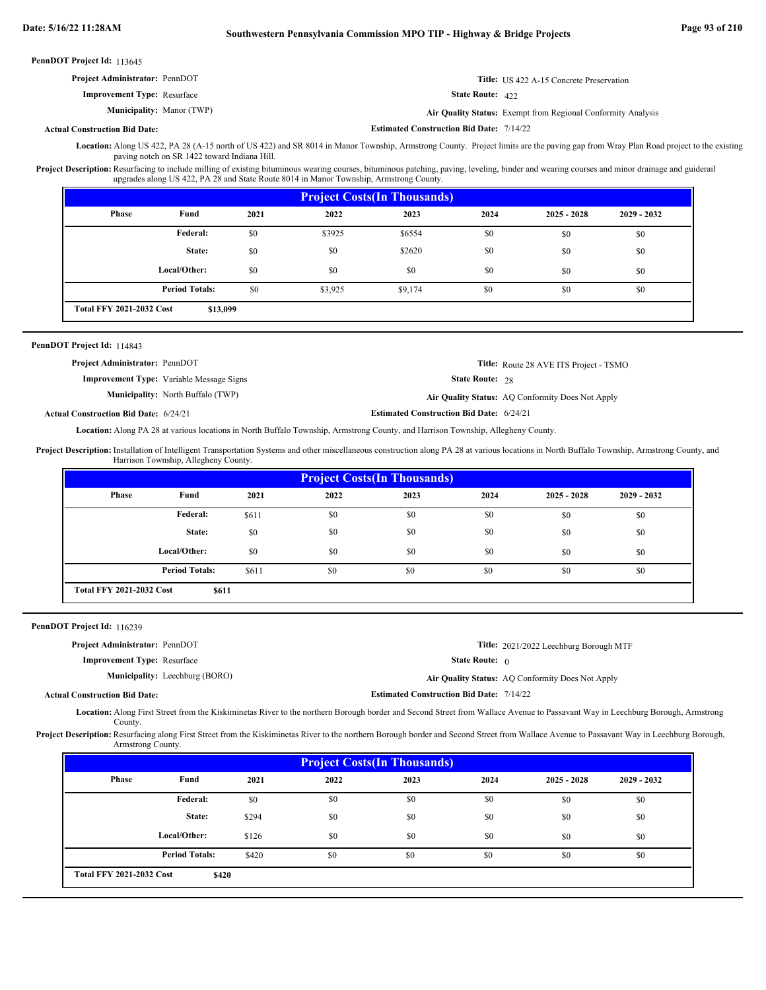| <b>Project Administrator: PennDOT</b> |                           | <b>Title:</b> US 422 A-15 Concrete Preservation              |
|---------------------------------------|---------------------------|--------------------------------------------------------------|
| <b>Improvement Type:</b> Resurface    | <b>State Route:</b> $422$ |                                                              |
| <b>Municipality:</b> Manor (TWP)      |                           | Air Quality Status: Exempt from Regional Conformity Analysis |

**Actual Construction Bid Date:**

**Estimated Construction Bid Date:** 7/14/22

Location: Along US 422, PA 28 (A-15 north of US 422) and SR 8014 in Manor Township, Armstrong County. Project limits are the paving gap from Wray Plan Road project to the existing paving notch on SR 1422 toward Indiana Hill.

Project Description: Resurfacing to include milling of existing bituminous wearing courses, bituminous patching, paving, leveling, binder and wearing courses and minor drainage and guiderail upgrades along US 422, PA 28 and State Route 8014 in Manor Township, Armstrong County.

| <b>Project Costs (In Thousands)</b>         |                       |      |         |         |      |               |               |
|---------------------------------------------|-----------------------|------|---------|---------|------|---------------|---------------|
| Phase                                       | Fund                  | 2021 | 2022    | 2023    | 2024 | $2025 - 2028$ | $2029 - 2032$ |
|                                             | Federal:              | \$0  | \$3925  | \$6554  | \$0  | \$0           | \$0           |
|                                             | State:                | \$0  | \$0     | \$2620  | \$0  | \$0           | \$0           |
|                                             | Local/Other:          | \$0  | \$0     | \$0     | \$0  | \$0           | \$0           |
|                                             | <b>Period Totals:</b> | \$0  | \$3,925 | \$9,174 | \$0  | \$0           | \$0           |
| <b>Total FFY 2021-2032 Cost</b><br>\$13,099 |                       |      |         |         |      |               |               |

### PennDOT Project Id: 114843

| <b>Project Administrator: PennDOT</b>           | <b>Title:</b> Route 28 AVE ITS Project - TSMO    |
|-------------------------------------------------|--------------------------------------------------|
| <b>Improvement Type:</b> Variable Message Signs | <b>State Route: 28</b>                           |
| <b>Municipality:</b> North Buffalo (TWP)        | Air Quality Status: AQ Conformity Does Not Apply |

**Actual Construction Bid Date:**

**Estimated Construction Bid Date:** 6/24/21 6/24/21

Location: Along PA 28 at various locations in North Buffalo Township, Armstrong County, and Harrison Township, Allegheny County.

Project Description: Installation of Intelligent Transportation Systems and other miscellaneous construction along PA 28 at various locations in North Buffalo Township, Armstrong County, and Harrison Township, Allegheny County.

| <b>Project Costs(In Thousands)</b>       |                       |       |      |      |      |               |               |
|------------------------------------------|-----------------------|-------|------|------|------|---------------|---------------|
| <b>Phase</b>                             | Fund                  | 2021  | 2022 | 2023 | 2024 | $2025 - 2028$ | $2029 - 2032$ |
|                                          | Federal:              | \$611 | \$0  | \$0  | \$0  | \$0           | \$0           |
|                                          | State:                | \$0   | \$0  | \$0  | \$0  | \$0           | \$0           |
|                                          | Local/Other:          | \$0   | \$0  | \$0  | \$0  | \$0           | \$0           |
|                                          | <b>Period Totals:</b> | \$611 | \$0  | \$0  | \$0  | \$0           | \$0           |
| <b>Total FFY 2021-2032 Cost</b><br>\$611 |                       |       |      |      |      |               |               |

PennDOT Project Id: 116239

| <b>Project Administrator: PennDOT</b> |                                                 | <b>Title:</b> 2021/2022 Leechburg Borough MTF    |
|---------------------------------------|-------------------------------------------------|--------------------------------------------------|
| <b>Improvement Type: Resurface</b>    | <b>State Route:</b> $\theta$                    |                                                  |
| <b>Municipality:</b> Leechburg (BORO) |                                                 | Air Quality Status: AQ Conformity Does Not Apply |
| al Construction Bid Date:             | <b>Estimated Construction Bid Date: 7/14/22</b> |                                                  |

**Actual Construction Bid Date:**

Location: Along First Street from the Kiskiminetas River to the northern Borough border and Second Street from Wallace Avenue to Passavant Way in Leechburg Borough, Armstrong County.

Project Description: Resurfacing along First Street from the Kiskiminetas River to the northern Borough border and Second Street from Wallace Avenue to Passavant Way in Leechburg Borough, Armstrong County.

| <b>Project Costs (In Thousands)</b>      |                       |       |      |      |      |               |               |
|------------------------------------------|-----------------------|-------|------|------|------|---------------|---------------|
| Phase                                    | Fund                  | 2021  | 2022 | 2023 | 2024 | $2025 - 2028$ | $2029 - 2032$ |
|                                          | Federal:              | \$0   | \$0  | \$0  | \$0  | \$0           | \$0           |
|                                          | State:                | \$294 | \$0  | \$0  | \$0  | \$0           | \$0           |
|                                          | Local/Other:          | \$126 | \$0  | \$0  | \$0  | \$0           | \$0           |
|                                          | <b>Period Totals:</b> | \$420 | \$0  | \$0  | \$0  | \$0           | \$0           |
| <b>Total FFY 2021-2032 Cost</b><br>\$420 |                       |       |      |      |      |               |               |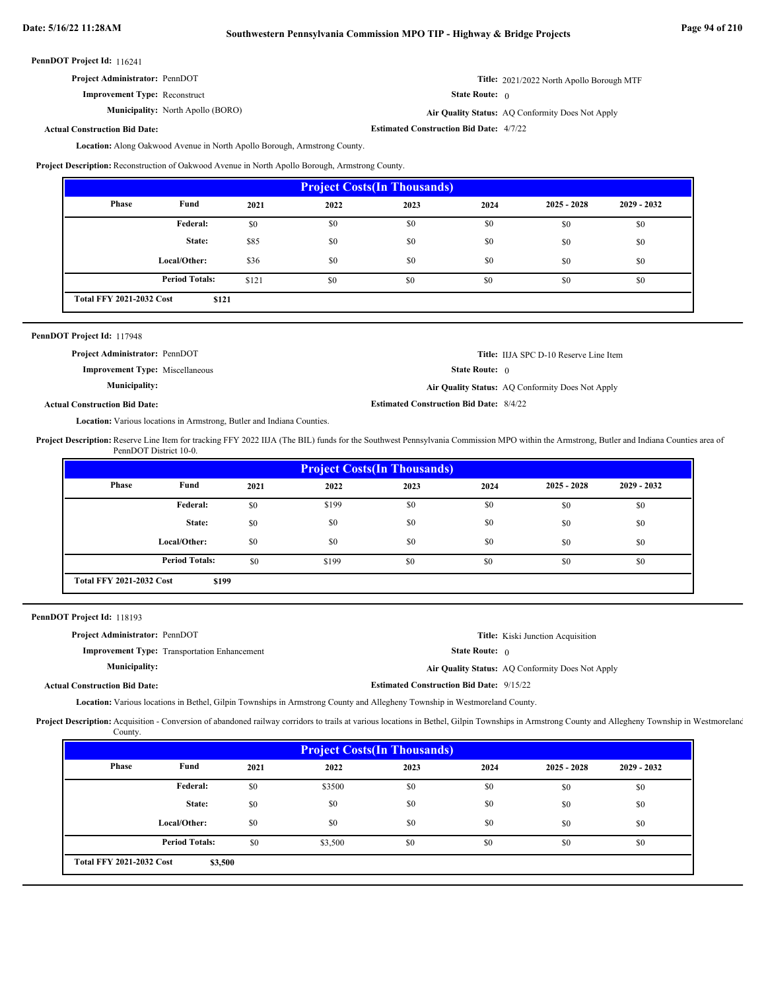# **Date: 5/16/22 11:28AM Southwestern Pennsylvania Commission MPO TIP - Highway & Bridge Projects Page 94 of 210**

116241 **PennDOT Project Id:**

| <b>Project Administrator: PennDOT</b> |  |
|---------------------------------------|--|
|---------------------------------------|--|

**Improvement Type:** Reconstruct

**Municipality:** North Apollo (BORO) **Air Quality Status:** 

State Route: 0 Air Quality Status: AQ Conformity Does Not Apply

**Estimated Construction Bid Date:** 4/7/22

**Title:** 2021/2022 North Apollo Borough MTF

**Actual Construction Bid Date:**

Location: Along Oakwood Avenue in North Apollo Borough, Armstrong County.

**Project Description:** Reconstruction of Oakwood Avenue in North Apollo Borough, Armstrong County.

| <b>Project Costs (In Thousands)</b>      |                       |       |      |      |      |               |               |
|------------------------------------------|-----------------------|-------|------|------|------|---------------|---------------|
| <b>Phase</b>                             | Fund                  | 2021  | 2022 | 2023 | 2024 | $2025 - 2028$ | $2029 - 2032$ |
|                                          | Federal:              | \$0   | \$0  | \$0  | \$0  | \$0           | \$0           |
|                                          | State:                | \$85  | \$0  | \$0  | \$0  | \$0           | \$0           |
|                                          | Local/Other:          | \$36  | \$0  | \$0  | \$0  | \$0           | \$0           |
|                                          | <b>Period Totals:</b> | \$121 | \$0  | \$0  | \$0  | \$0           | \$0           |
| <b>Total FFY 2021-2032 Cost</b><br>\$121 |                       |       |      |      |      |               |               |

| PennDOT Project Id: 117948             |                                                |                                                  |
|----------------------------------------|------------------------------------------------|--------------------------------------------------|
| <b>Project Administrator: PennDOT</b>  |                                                | <b>Title:</b> IIJA SPC D-10 Reserve Line Item    |
| <b>Improvement Type:</b> Miscellaneous | <b>State Route:</b> $\theta$                   |                                                  |
| <b>Municipality:</b>                   |                                                | Air Quality Status: AQ Conformity Does Not Apply |
| <b>Actual Construction Bid Date:</b>   | <b>Estimated Construction Bid Date: 8/4/22</b> |                                                  |

Location: Various locations in Armstrong, Butler and Indiana Counties.

Project Description: Reserve Line Item for tracking FFY 2022 IIJA (The BIL) funds for the Southwest Pennsylvania Commission MPO within the Armstrong, Butler and Indiana Counties area of PennDOT District 10-0.

|              | <b>Project Costs (In Thousands)</b>      |      |       |      |      |               |               |  |  |  |
|--------------|------------------------------------------|------|-------|------|------|---------------|---------------|--|--|--|
| <b>Phase</b> | Fund                                     | 2021 | 2022  | 2023 | 2024 | $2025 - 2028$ | $2029 - 2032$ |  |  |  |
|              | <b>Federal:</b>                          | \$0  | \$199 | \$0  | \$0  | \$0           | \$0           |  |  |  |
|              | State:                                   | \$0  | \$0   | \$0  | \$0  | \$0           | \$0           |  |  |  |
|              | Local/Other:                             | \$0  | \$0   | \$0  | \$0  | \$0           | \$0           |  |  |  |
|              | <b>Period Totals:</b>                    | \$0  | \$199 | \$0  | \$0  | \$0           | \$0           |  |  |  |
|              | <b>Total FFY 2021-2032 Cost</b><br>\$199 |      |       |      |      |               |               |  |  |  |

PennDOT Project Id: 118193

| <b>Project Administrator: PennDOT</b> |                                                     |                                                 | <b>Title:</b> Kiski Junction Acquisition         |
|---------------------------------------|-----------------------------------------------------|-------------------------------------------------|--------------------------------------------------|
|                                       | <b>Improvement Type:</b> Transportation Enhancement | <b>State Route:</b> $\theta$                    |                                                  |
| <b>Municipality:</b>                  |                                                     |                                                 | Air Quality Status: AQ Conformity Does Not Apply |
| <b>Actual Construction Bid Date:</b>  |                                                     | <b>Estimated Construction Bid Date: 9/15/22</b> |                                                  |
|                                       |                                                     |                                                 |                                                  |

Location: Various locations in Bethel, Gilpin Townships in Armstrong County and Allegheny Township in Westmoreland County.

Project Description: Acquisition - Conversion of abandoned railway corridors to trails at various locations in Bethel, Gilpin Townships in Armstrong County and Allegheny Township in Westmoreland County.

| <b>Project Costs (In Thousands)</b> |                                            |      |         |      |      |               |               |  |  |
|-------------------------------------|--------------------------------------------|------|---------|------|------|---------------|---------------|--|--|
| Phase                               | Fund                                       | 2021 | 2022    | 2023 | 2024 | $2025 - 2028$ | $2029 - 2032$ |  |  |
|                                     | <b>Federal:</b>                            | \$0  | \$3500  | \$0  | \$0  | \$0           | \$0           |  |  |
|                                     | State:                                     | \$0  | \$0     | \$0  | \$0  | \$0           | \$0           |  |  |
|                                     | Local/Other:                               | \$0  | \$0     | \$0  | \$0  | \$0           | \$0           |  |  |
|                                     | <b>Period Totals:</b>                      | \$0  | \$3,500 | \$0  | \$0  | \$0           | \$0           |  |  |
|                                     | <b>Total FFY 2021-2032 Cost</b><br>\$3,500 |      |         |      |      |               |               |  |  |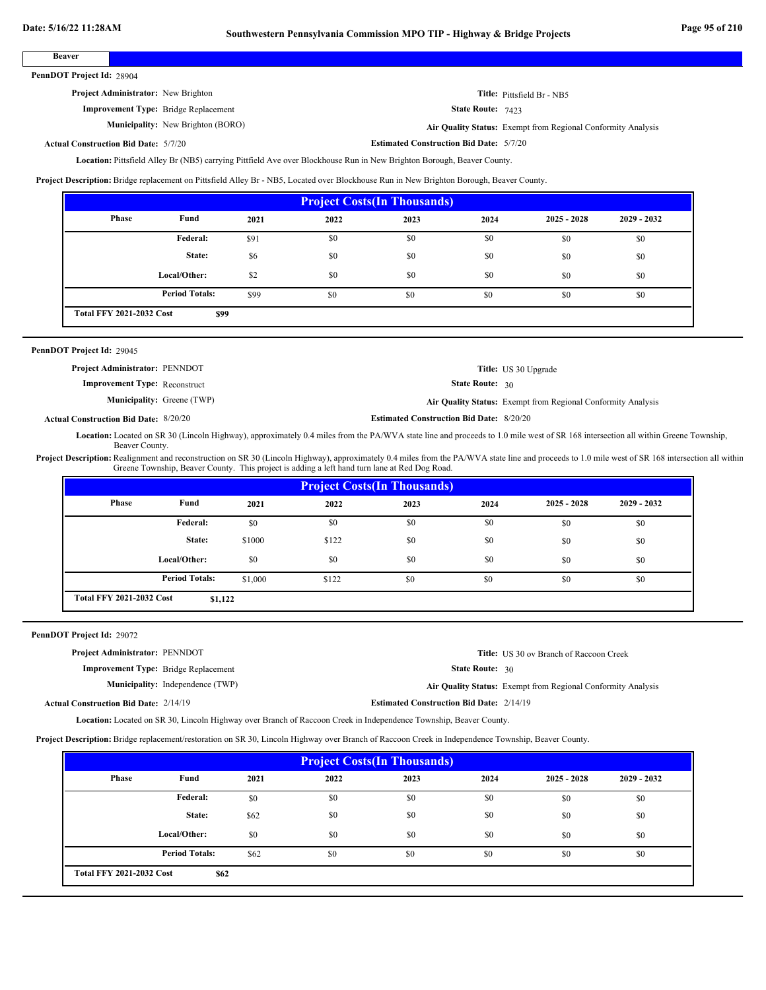**Beaver**

| ban<br>. |  |
|----------|--|
|          |  |
|          |  |
|          |  |

PennDOT Project Id: 28904

**Project Administrator:** New Brighton

**Improvement Type:** Bridge Replacement

**Municipality:** New Brighton (BORO) **Air Quality Status:**

**Title:** Pittsfield Br - NB5

State Route: 7423

Air Quality Status: Exempt from Regional Conformity Analysis

**Actual Construction Bid Date:**

**Estimated Construction Bid Date:** 5/7/20 5/7/20

Location: Pittsfield Alley Br (NB5) carrying Pittfield Ave over Blockhouse Run in New Brighton Borough, Beaver County.

**Project Description:** Bridge replacement on Pittsfield Alley Br - NB5, Located over Blockhouse Run in New Brighton Borough, Beaver County.

| <b>Project Costs (In Thousands)</b> |                                         |      |      |      |      |               |               |  |  |
|-------------------------------------|-----------------------------------------|------|------|------|------|---------------|---------------|--|--|
| <b>Phase</b>                        | Fund                                    | 2021 | 2022 | 2023 | 2024 | $2025 - 2028$ | $2029 - 2032$ |  |  |
|                                     | Federal:                                | \$91 | \$0  | \$0  | \$0  | \$0           | \$0           |  |  |
|                                     | State:                                  | \$6  | \$0  | \$0  | \$0  | \$0           | \$0           |  |  |
|                                     | Local/Other:                            | \$2  | \$0  | \$0  | \$0  | \$0           | \$0           |  |  |
|                                     | <b>Period Totals:</b>                   | \$99 | \$0  | \$0  | \$0  | \$0           | \$0           |  |  |
|                                     | <b>Total FFY 2021-2032 Cost</b><br>\$99 |      |      |      |      |               |               |  |  |

# 29045 **PennDOT Project Id:**

| <b>Project Administrator: PENNDOT</b> |                        | Title: US 30 Upgrade                                                |
|---------------------------------------|------------------------|---------------------------------------------------------------------|
| <b>Improvement Type: Reconstruct</b>  | <b>State Route: 30</b> |                                                                     |
| <b>Municipality:</b> Greene (TWP)     |                        | <b>Air Quality Status:</b> Exempt from Regional Conformity Analysis |

**Estimated Construction Bid Date:** 8/20/20 8/20/20 **Actual Construction Bid Date:**

Location: Located on SR 30 (Lincoln Highway), approximately 0.4 miles from the PA/WVA state line and proceeds to 1.0 mile west of SR 168 intersection all within Greene Township, Beaver County.

Project Description: Realignment and reconstruction on SR 30 (Lincoln Highway), approximately 0.4 miles from the PA/WVA state line and proceeds to 1.0 mile west of SR 168 intersection all within Greene Township, Beaver County. This project is adding a left hand turn lane at Red Dog Road.

| <b>Project Costs (In Thousands)</b>        |                       |         |       |      |      |               |               |  |  |
|--------------------------------------------|-----------------------|---------|-------|------|------|---------------|---------------|--|--|
| Phase                                      | Fund                  | 2021    | 2022  | 2023 | 2024 | $2025 - 2028$ | $2029 - 2032$ |  |  |
|                                            | Federal:              | \$0     | \$0   | \$0  | \$0  | \$0           | \$0           |  |  |
|                                            | State:                | \$1000  | \$122 | \$0  | \$0  | \$0           | \$0           |  |  |
|                                            | Local/Other:          | \$0     | \$0   | \$0  | \$0  | \$0           | \$0           |  |  |
|                                            | <b>Period Totals:</b> | \$1,000 | \$122 | \$0  | \$0  | \$0           | \$0           |  |  |
| <b>Total FFY 2021-2032 Cost</b><br>\$1,122 |                       |         |       |      |      |               |               |  |  |

PennDOT Project Id: 29072

**Project Administrator:** PENNDOT

**Improvement Type:** Bridge Replacement

**Municipality:** Independence (TWP)

State Route: 30 **Title:** US 30 ov Branch of Raccoon Creek

Independence (TWP) **Air Quality Status:** Exempt from Regional Conformity Analysis

**Actual Construction Bid Date:**

**Estimated Construction Bid Date:** 2/14/19 2/14/19

Located on SR 30, Lincoln Highway over Branch of Raccoon Creek in Independence Township, Beaver County. **Location:**

**Project Description:** Bridge replacement/restoration on SR 30, Lincoln Highway over Branch of Raccoon Creek in Independence Township, Beaver County.

| <b>Project Costs(In Thousands)</b> |                                         |      |      |      |      |               |               |  |  |
|------------------------------------|-----------------------------------------|------|------|------|------|---------------|---------------|--|--|
| Phase                              | Fund                                    | 2021 | 2022 | 2023 | 2024 | $2025 - 2028$ | $2029 - 2032$ |  |  |
|                                    | <b>Federal:</b>                         | \$0  | \$0  | \$0  | \$0  | \$0           | \$0           |  |  |
|                                    | State:                                  | \$62 | \$0  | \$0  | \$0  | \$0           | \$0           |  |  |
|                                    | Local/Other:                            | \$0  | \$0  | \$0  | \$0  | \$0           | \$0           |  |  |
|                                    | <b>Period Totals:</b>                   | \$62 | \$0  | \$0  | \$0  | \$0           | \$0           |  |  |
|                                    | <b>Total FFY 2021-2032 Cost</b><br>\$62 |      |      |      |      |               |               |  |  |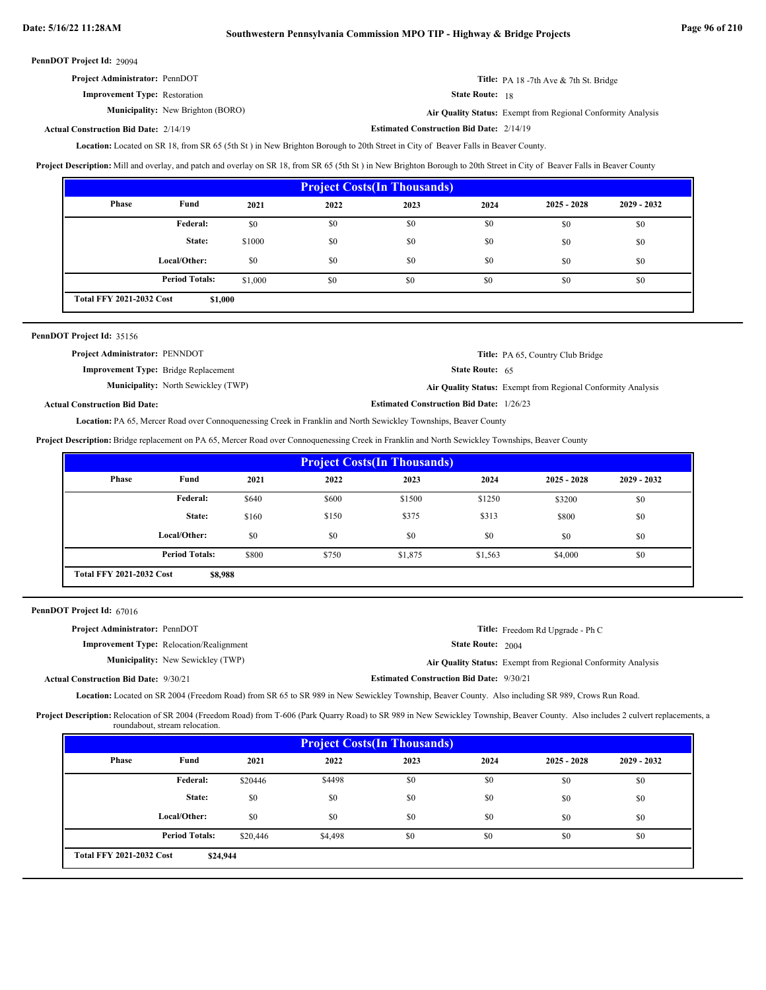| <b>Project Administrator: PennDOT</b> | <b>Title:</b> PA 18 -7th Ave $\&$ 7th St. Bridge |
|---------------------------------------|--------------------------------------------------|
| <b>Improvement Type:</b> Restoration  | <b>State Route:</b> 18                           |

**Municipality:** New Brighton (BORO) **Air Quality Status:** 

Air Quality Status: Exempt from Regional Conformity Analysis

#### **Estimated Construction Bid Date:** 2/14/19 2/14/19 **Actual Construction Bid Date:**

Located on SR 18, from SR 65 (5th St ) in New Brighton Borough to 20th Street in City of Beaver Falls in Beaver County. **Location:**

Project Description: Mill and overlay, and patch and overlay on SR 18, from SR 65 (5th St) in New Brighton Borough to 20th Street in City of Beaver Falls in Beaver County

| <b>Project Costs (In Thousands)</b> |                                            |         |      |      |      |               |               |  |  |
|-------------------------------------|--------------------------------------------|---------|------|------|------|---------------|---------------|--|--|
| Phase                               | Fund                                       | 2021    | 2022 | 2023 | 2024 | $2025 - 2028$ | $2029 - 2032$ |  |  |
|                                     | Federal:                                   | \$0     | \$0  | \$0  | \$0  | \$0           | \$0           |  |  |
|                                     | State:                                     | \$1000  | \$0  | \$0  | \$0  | \$0           | \$0           |  |  |
|                                     | Local/Other:                               | \$0     | \$0  | \$0  | \$0  | \$0           | \$0           |  |  |
|                                     | <b>Period Totals:</b>                      | \$1,000 | \$0  | \$0  | \$0  | \$0           | \$0           |  |  |
|                                     | <b>Total FFY 2021-2032 Cost</b><br>\$1,000 |         |      |      |      |               |               |  |  |

| PennDOT Project Id: 35156                   |                                            |                                                 |                                                              |
|---------------------------------------------|--------------------------------------------|-------------------------------------------------|--------------------------------------------------------------|
| <b>Project Administrator: PENNDOT</b>       |                                            |                                                 | <b>Title:</b> PA 65, Country Club Bridge                     |
| <b>Improvement Type:</b> Bridge Replacement |                                            | <b>State Route: 65</b>                          |                                                              |
|                                             | <b>Municipality:</b> North Sewickley (TWP) |                                                 | Air Quality Status: Exempt from Regional Conformity Analysis |
| <b>Actual Construction Bid Date:</b>        |                                            | <b>Estimated Construction Bid Date: 1/26/23</b> |                                                              |

Location: PA 65, Mercer Road over Connoquenessing Creek in Franklin and North Sewickley Townships, Beaver County

**Project Description:** Bridge replacement on PA 65, Mercer Road over Connoquenessing Creek in Franklin and North Sewickley Townships, Beaver County

| <b>Project Costs (In Thousands)</b>        |                       |       |       |         |         |               |               |  |  |
|--------------------------------------------|-----------------------|-------|-------|---------|---------|---------------|---------------|--|--|
| Phase                                      | Fund                  | 2021  | 2022  | 2023    | 2024    | $2025 - 2028$ | $2029 - 2032$ |  |  |
|                                            | Federal:              | \$640 | \$600 | \$1500  | \$1250  | \$3200        | \$0           |  |  |
|                                            | State:                | \$160 | \$150 | \$375   | \$313   | \$800         | \$0           |  |  |
|                                            | Local/Other:          | \$0   | \$0   | \$0     | \$0     | \$0           | \$0           |  |  |
|                                            | <b>Period Totals:</b> | \$800 | \$750 | \$1,875 | \$1,563 | \$4,000       | \$0           |  |  |
| <b>Total FFY 2021-2032 Cost</b><br>\$8,988 |                       |       |       |         |         |               |               |  |  |

| PennDOT Project Id: 67016 |  |
|---------------------------|--|
|---------------------------|--|

| <b>Project Administrator: PennDOT</b>        |                                                 |                                                 | <b>Title:</b> Freedom Rd Upgrade - Ph C                      |
|----------------------------------------------|-------------------------------------------------|-------------------------------------------------|--------------------------------------------------------------|
|                                              | <b>Improvement Type:</b> Relocation/Realignment | <b>State Route: 2004</b>                        |                                                              |
|                                              | <b>Municipality:</b> New Sewickley (TWP)        |                                                 | Air Quality Status: Exempt from Regional Conformity Analysis |
| <b>Actual Construction Bid Date: 9/30/21</b> |                                                 | <b>Estimated Construction Bid Date: 9/30/21</b> |                                                              |

Location: Located on SR 2004 (Freedom Road) from SR 65 to SR 989 in New Sewickley Township, Beaver County. Also including SR 989, Crows Run Road.

Project Description: Relocation of SR 2004 (Freedom Road) from T-606 (Park Quarry Road) to SR 989 in New Sewickley Township, Beaver County. Also includes 2 culvert replacements, a roundabout, stream relocation.

|       | <b>Project Costs (In Thousands)</b>         |          |         |      |      |               |               |
|-------|---------------------------------------------|----------|---------|------|------|---------------|---------------|
| Phase | Fund                                        | 2021     | 2022    | 2023 | 2024 | $2025 - 2028$ | $2029 - 2032$ |
|       | Federal:                                    | \$20446  | \$4498  | \$0  | \$0  | \$0           | \$0           |
|       | State:                                      | \$0      | \$0     | \$0  | \$0  | \$0           | \$0           |
|       | Local/Other:                                | \$0      | \$0     | \$0  | \$0  | \$0           | \$0           |
|       | <b>Period Totals:</b>                       | \$20,446 | \$4,498 | \$0  | \$0  | \$0           | \$0           |
|       | <b>Total FFY 2021-2032 Cost</b><br>\$24,944 |          |         |      |      |               |               |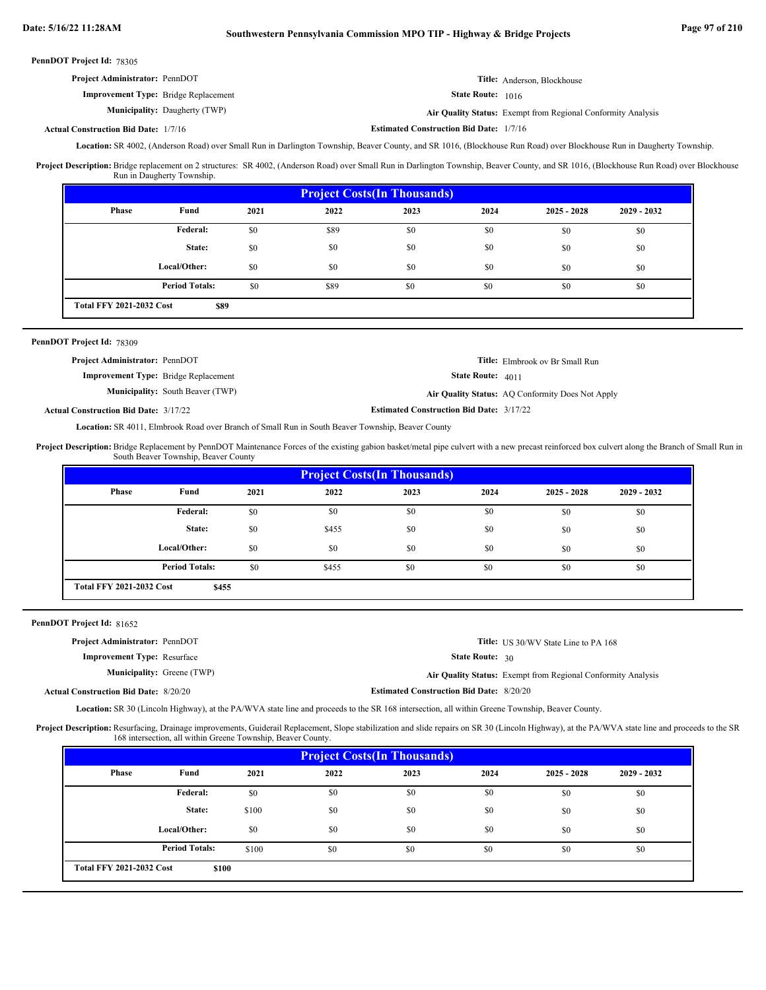| <b>Project Administrator: PennDOT</b>       | <b>Title:</b> Anderson, Blockhouse                           |
|---------------------------------------------|--------------------------------------------------------------|
| <b>Improvement Type:</b> Bridge Replacement | <b>State Route:</b> 1016                                     |
| <b>Municipality:</b> Daugherty (TWP)        | Air Quality Status: Exempt from Regional Conformity Analysis |

**Actual Construction Bid Date:**

**Estimated Construction Bid Date:** 1/7/16

Location: SR 4002, (Anderson Road) over Small Run in Darlington Township, Beaver County, and SR 1016, (Blockhouse Run Road) over Blockhouse Run in Daugherty Township.

Project Description: Bridge replacement on 2 structures: SR 4002, (Anderson Road) over Small Run in Darlington Township, Beaver County, and SR 1016, (Blockhouse Run Road) over Blockhouse Run in Daugherty Township.

| <b>Project Costs (In Thousands)</b> |                                         |      |      |      |      |               |               |
|-------------------------------------|-----------------------------------------|------|------|------|------|---------------|---------------|
| Phase                               | Fund                                    | 2021 | 2022 | 2023 | 2024 | $2025 - 2028$ | $2029 - 2032$ |
|                                     | <b>Federal:</b>                         | \$0  | \$89 | \$0  | \$0  | \$0           | \$0           |
|                                     | State:                                  | \$0  | \$0  | \$0  | \$0  | \$0           | \$0           |
|                                     | Local/Other:                            | \$0  | \$0  | \$0  | \$0  | \$0           | \$0           |
|                                     | <b>Period Totals:</b>                   | \$0  | \$89 | \$0  | \$0  | \$0           | \$0           |
|                                     | <b>Total FFY 2021-2032 Cost</b><br>\$89 |      |      |      |      |               |               |

# PennDOT Project Id: 78309

| <b>Project Administrator: PennDOT</b>       |                                         |                                                 | <b>Title:</b> Elmbrook ov Br Small Run           |
|---------------------------------------------|-----------------------------------------|-------------------------------------------------|--------------------------------------------------|
| <b>Improvement Type:</b> Bridge Replacement |                                         | <b>State Route:</b> $4011$                      |                                                  |
|                                             | <b>Municipality:</b> South Beaver (TWP) |                                                 | Air Quality Status: AQ Conformity Does Not Apply |
| al Construction Bid Date: 3/17/22           |                                         | <b>Estimated Construction Bid Date: 3/17/22</b> |                                                  |

**Actual Construction Bid Date:**

Location: SR 4011, Elmbrook Road over Branch of Small Run in South Beaver Township, Beaver County

Project Description: Bridge Replacement by PennDOT Maintenance Forces of the existing gabion basket/metal pipe culvert with a new precast reinforced box culvert along the Branch of Small Run in South Beaver Township, Beaver County

| <b>Project Costs (In Thousands)</b> |                                          |      |       |      |      |               |               |
|-------------------------------------|------------------------------------------|------|-------|------|------|---------------|---------------|
| Phase                               | Fund                                     | 2021 | 2022  | 2023 | 2024 | $2025 - 2028$ | $2029 - 2032$ |
|                                     | Federal:                                 | \$0  | \$0   | \$0  | \$0  | \$0           | \$0           |
|                                     | State:                                   | \$0  | \$455 | \$0  | \$0  | \$0           | \$0           |
|                                     | Local/Other:                             | \$0  | \$0   | \$0  | \$0  | \$0           | \$0           |
|                                     | <b>Period Totals:</b>                    | \$0  | \$455 | \$0  | \$0  | \$0           | \$0           |
|                                     | <b>Total FFY 2021-2032 Cost</b><br>\$455 |      |       |      |      |               |               |

PennDOT Project Id: 81652

| <b>Project Administrator: PennDOT</b>        |                                                 | <b>Title:</b> US 30/WV State Line to PA 168                  |
|----------------------------------------------|-------------------------------------------------|--------------------------------------------------------------|
| <b>Improvement Type: Resurface</b>           | <b>State Route:</b> $30$                        |                                                              |
| <b>Municipality:</b> Greene (TWP)            |                                                 | Air Quality Status: Exempt from Regional Conformity Analysis |
| <b>Actual Construction Bid Date: 8/20/20</b> | <b>Estimated Construction Bid Date: 8/20/20</b> |                                                              |
|                                              |                                                 |                                                              |

Location: SR 30 (Lincoln Highway), at the PA/WVA state line and proceeds to the SR 168 intersection, all within Greene Township, Beaver County.

Project Description: Resurfacing, Drainage improvements, Guiderail Replacement, Slope stabilization and slide repairs on SR 30 (Lincoln Highway), at the PA/WVA state line and proceeds to the SR 168 intersection, all within Greene Township, Beaver County.

|       | <b>Project Costs (In Thousands)</b>      |       |      |      |      |               |               |
|-------|------------------------------------------|-------|------|------|------|---------------|---------------|
| Phase | Fund                                     | 2021  | 2022 | 2023 | 2024 | $2025 - 2028$ | $2029 - 2032$ |
|       | Federal:                                 | \$0   | \$0  | \$0  | \$0  | \$0           | \$0           |
|       | State:                                   | \$100 | \$0  | \$0  | \$0  | \$0           | \$0           |
|       | Local/Other:                             | \$0   | \$0  | \$0  | \$0  | \$0           | \$0           |
|       | <b>Period Totals:</b>                    | \$100 | \$0  | \$0  | \$0  | \$0           | \$0           |
|       | <b>Total FFY 2021-2032 Cost</b><br>\$100 |       |      |      |      |               |               |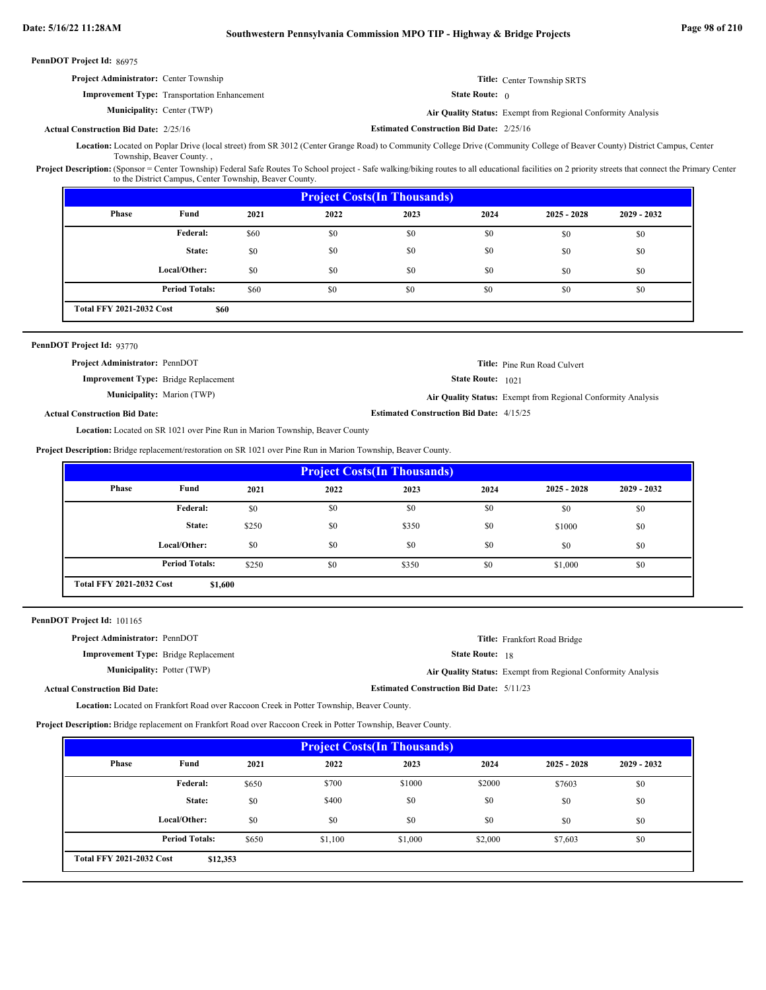| PennDOT Project Id: 86975            |                                                                                                                                                                                                                                                                    |       |      |                                                              |                                                 |                                                              |             |
|--------------------------------------|--------------------------------------------------------------------------------------------------------------------------------------------------------------------------------------------------------------------------------------------------------------------|-------|------|--------------------------------------------------------------|-------------------------------------------------|--------------------------------------------------------------|-------------|
|                                      | Project Administrator: Center Township                                                                                                                                                                                                                             |       |      | Title: Center Township SRTS                                  |                                                 |                                                              |             |
|                                      | <b>Improvement Type:</b> Transportation Enhancement                                                                                                                                                                                                                |       |      | <b>State Route:</b> $\theta$                                 |                                                 |                                                              |             |
| <b>Municipality: Center (TWP)</b>    |                                                                                                                                                                                                                                                                    |       |      | Air Quality Status: Exempt from Regional Conformity Analysis |                                                 |                                                              |             |
|                                      | <b>Actual Construction Bid Date: 2/25/16</b>                                                                                                                                                                                                                       |       |      |                                                              | <b>Estimated Construction Bid Date: 2/25/16</b> |                                                              |             |
|                                      | Location: Located on Poplar Drive (local street) from SR 3012 (Center Grange Road) to Community College Drive (Community College of Beaver County) District Campus, Center<br>Township, Beaver County.,                                                            |       |      |                                                              |                                                 |                                                              |             |
|                                      | Project Description: (Sponsor = Center Township) Federal Safe Routes To School project - Safe walking/biking routes to all educational facilities on 2 priority streets that connect the Primary Center<br>to the District Campus, Center Township, Beaver County. |       |      |                                                              |                                                 |                                                              |             |
|                                      |                                                                                                                                                                                                                                                                    |       |      | <b>Project Costs(In Thousands)</b>                           |                                                 |                                                              |             |
| <b>Phase</b>                         | Fund                                                                                                                                                                                                                                                               | 2021  | 2022 | 2023                                                         | 2024                                            | $2025 - 2028$                                                | 2029 - 2032 |
|                                      | Federal:                                                                                                                                                                                                                                                           | \$60  | \$0  | \$0                                                          | \$0                                             | \$0                                                          | \$0         |
|                                      | State:                                                                                                                                                                                                                                                             | \$0   | \$0  | \$0                                                          | \$0                                             | \$0                                                          | \$0         |
|                                      | Local/Other:                                                                                                                                                                                                                                                       | \$0   | \$0  | \$0                                                          | \$0                                             | \$0                                                          | \$0         |
|                                      | <b>Period Totals:</b>                                                                                                                                                                                                                                              | \$60  | \$0  | \$0                                                          | \$0                                             | \$0                                                          | \$0         |
|                                      | <b>Total FFY 2021-2032 Cost</b><br>\$60                                                                                                                                                                                                                            |       |      |                                                              |                                                 |                                                              |             |
|                                      |                                                                                                                                                                                                                                                                    |       |      |                                                              |                                                 |                                                              |             |
|                                      | Project Administrator: PennDOT                                                                                                                                                                                                                                     |       |      |                                                              |                                                 | Title: Pine Run Road Culvert                                 |             |
|                                      | <b>Improvement Type:</b> Bridge Replacement<br><b>Municipality:</b> Marion (TWP)                                                                                                                                                                                   |       |      |                                                              | State Route: 1021                               | Air Quality Status: Exempt from Regional Conformity Analysis |             |
| <b>Actual Construction Bid Date:</b> |                                                                                                                                                                                                                                                                    |       |      | <b>Estimated Construction Bid Date: 4/15/25</b>              |                                                 |                                                              |             |
|                                      | <b>Location:</b> Located on SR 1021 over Pine Run in Marion Township, Beaver County                                                                                                                                                                                |       |      |                                                              |                                                 |                                                              |             |
|                                      | Project Description: Bridge replacement/restoration on SR 1021 over Pine Run in Marion Township, Beaver County.                                                                                                                                                    |       |      |                                                              |                                                 |                                                              |             |
|                                      |                                                                                                                                                                                                                                                                    |       |      | <b>Project Costs(In Thousands)</b>                           |                                                 |                                                              |             |
| <b>Phase</b>                         | Fund                                                                                                                                                                                                                                                               | 2021  | 2022 | 2023                                                         | 2024                                            | $2025 - 2028$                                                | 2029 - 2032 |
|                                      | Federal:                                                                                                                                                                                                                                                           | \$0   | \$0  | \$0                                                          | \$0                                             | \$0                                                          | \$0         |
|                                      | State:                                                                                                                                                                                                                                                             | \$250 | \$0  | \$350                                                        | \$0                                             | \$1000                                                       | \$0         |
|                                      | Local/Other:                                                                                                                                                                                                                                                       | \$0   | \$0  | \$0                                                          | \$0                                             | \$0                                                          | \$0         |
|                                      | <b>Period Totals:</b>                                                                                                                                                                                                                                              | \$250 | \$0  | \$350                                                        | \$0                                             | \$1,000                                                      | \$0         |
|                                      | <b>Total FFY 2021-2032 Cost</b><br>\$1,600                                                                                                                                                                                                                         |       |      |                                                              |                                                 |                                                              |             |
|                                      |                                                                                                                                                                                                                                                                    |       |      |                                                              |                                                 |                                                              |             |
|                                      |                                                                                                                                                                                                                                                                    |       |      |                                                              |                                                 |                                                              |             |
| PennDOT Project Id: 101165           |                                                                                                                                                                                                                                                                    |       |      |                                                              |                                                 |                                                              |             |
|                                      | Project Administrator: PennDOT                                                                                                                                                                                                                                     |       |      |                                                              | <b>State Route:</b> 18                          | Title: Frankfort Road Bridge                                 |             |
|                                      | Improvement Type: Bridge Replacement<br><b>Municipality: Potter (TWP)</b>                                                                                                                                                                                          |       |      |                                                              |                                                 |                                                              |             |
|                                      |                                                                                                                                                                                                                                                                    |       |      | <b>Estimated Construction Bid Date: 5/11/23</b>              |                                                 | Air Quality Status: Exempt from Regional Conformity Analysis |             |
| <b>Actual Construction Bid Date:</b> |                                                                                                                                                                                                                                                                    |       |      |                                                              |                                                 |                                                              |             |
|                                      | Location: Located on Frankfort Road over Raccoon Creek in Potter Township, Beaver County.<br>Project Description: Bridge replacement on Frankfort Road over Raccoon Creek in Potter Township, Beaver County.                                                       |       |      |                                                              |                                                 |                                                              |             |

| <b>Project Costs (In Thousands)</b> |                                             |       |         |         |         |               |               |
|-------------------------------------|---------------------------------------------|-------|---------|---------|---------|---------------|---------------|
| Phase                               | Fund                                        | 2021  | 2022    | 2023    | 2024    | $2025 - 2028$ | $2029 - 2032$ |
|                                     | Federal:                                    | \$650 | \$700   | \$1000  | \$2000  | \$7603        | \$0           |
|                                     | State:                                      | \$0   | \$400   | \$0     | \$0     | \$0           | \$0           |
|                                     | Local/Other:                                | \$0   | \$0     | \$0     | \$0     | \$0           | \$0           |
|                                     | <b>Period Totals:</b>                       | \$650 | \$1,100 | \$1,000 | \$2,000 | \$7,603       | \$0           |
|                                     | <b>Total FFY 2021-2032 Cost</b><br>\$12,353 |       |         |         |         |               |               |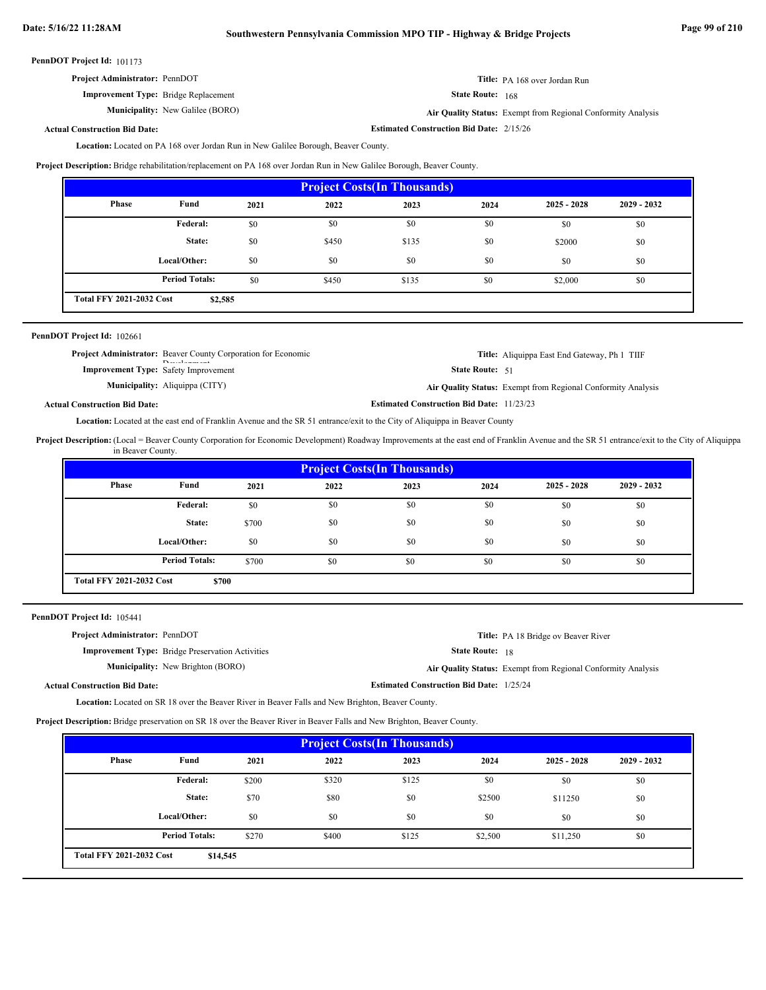| <b>Project Administrator: PennDOT</b>          | Title: PA 168 over Jordan Run           |
|------------------------------------------------|-----------------------------------------|
| $\mathbf{r}$ and $\mathbf{r}$ and $\mathbf{r}$ | $\mathbf{u}$ in the set of $\mathbf{u}$ |

**Improvement Type:** Bridge Replacement **Municipality:** State Route: 168

**Estimated Construction Bid Date:** 2/15/26

New Galilee (BORO) **Air Quality Status:** Exempt from Regional Conformity Analysis

# **Actual Construction Bid Date:**

Location: Located on PA 168 over Jordan Run in New Galilee Borough, Beaver County.

**Project Description:** Bridge rehabilitation/replacement on PA 168 over Jordan Run in New Galilee Borough, Beaver County.

| <b>Project Costs (In Thousands)</b>        |                       |      |       |       |      |               |               |
|--------------------------------------------|-----------------------|------|-------|-------|------|---------------|---------------|
| Phase                                      | Fund                  | 2021 | 2022  | 2023  | 2024 | $2025 - 2028$ | $2029 - 2032$ |
|                                            | Federal:              | \$0  | \$0   | \$0   | \$0  | \$0           | \$0           |
|                                            | State:                | \$0  | \$450 | \$135 | \$0  | \$2000        | \$0           |
|                                            | Local/Other:          | \$0  | \$0   | \$0   | \$0  | \$0           | \$0           |
|                                            | <b>Period Totals:</b> | \$0  | \$450 | \$135 | \$0  | \$2,000       | \$0           |
| <b>Total FFY 2021-2032 Cost</b><br>\$2,585 |                       |      |       |       |      |               |               |

# PennDOT Project Id: 102661

| <b>Project Administrator:</b> Beaver County Corporation for Economic<br>$D$ and $I$ and $I$ | <b>Title:</b> Aliquippa East End Gateway, Ph 1 TIIF          |  |
|---------------------------------------------------------------------------------------------|--------------------------------------------------------------|--|
| <b>Improvement Type:</b> Safety Improvement                                                 | <b>State Route:</b> 51                                       |  |
| <b>Municipality:</b> Aliquippa (CITY)                                                       | Air Quality Status: Exempt from Regional Conformity Analysis |  |
| <b>Actual Construction Bid Date:</b>                                                        | <b>Estimated Construction Bid Date: 11/23/23</b>             |  |

Location: Located at the east end of Franklin Avenue and the SR 51 entrance/exit to the City of Aliquippa in Beaver County

Project Description: (Local = Beaver County Corporation for Economic Development) Roadway Improvements at the east end of Franklin Avenue and the SR 51 entrance/exit to the City of Aliquippa in Beaver County.

| <b>Project Costs (In Thousands)</b>      |                       |       |      |      |      |               |               |
|------------------------------------------|-----------------------|-------|------|------|------|---------------|---------------|
| Phase                                    | Fund                  | 2021  | 2022 | 2023 | 2024 | $2025 - 2028$ | $2029 - 2032$ |
|                                          | Federal:              | \$0   | \$0  | \$0  | \$0  | \$0           | \$0           |
|                                          | State:                | \$700 | \$0  | \$0  | \$0  | \$0           | \$0           |
|                                          | Local/Other:          | \$0   | \$0  | \$0  | \$0  | \$0           | \$0           |
|                                          | <b>Period Totals:</b> | \$700 | \$0  | \$0  | \$0  | \$0           | \$0           |
| <b>Total FFY 2021-2032 Cost</b><br>\$700 |                       |       |      |      |      |               |               |

| PennDOT Project Id: 105441 |  |  |  |
|----------------------------|--|--|--|
|----------------------------|--|--|--|

| <b>Project Administrator: PennDOT</b>                   | <b>Title:</b> PA 18 Bridge ov Beaver River                   |
|---------------------------------------------------------|--------------------------------------------------------------|
| <b>Improvement Type:</b> Bridge Preservation Activities | <b>State Route: 18</b>                                       |
| <b>Municipality:</b> New Brighton (BORO)                | Air Quality Status: Exempt from Regional Conformity Analysis |
| <b>Actual Construction Bid Date:</b>                    | <b>Estimated Construction Bid Date: 1/25/24</b>              |

Location: Located on SR 18 over the Beaver River in Beaver Falls and New Brighton, Beaver County.

**Project Description:** Bridge preservation on SR 18 over the Beaver River in Beaver Falls and New Brighton, Beaver County.

| <b>Project Costs (In Thousands)</b>         |                       |       |       |       |         |               |               |
|---------------------------------------------|-----------------------|-------|-------|-------|---------|---------------|---------------|
| Phase                                       | Fund                  | 2021  | 2022  | 2023  | 2024    | $2025 - 2028$ | $2029 - 2032$ |
|                                             | Federal:              | \$200 | \$320 | \$125 | \$0     | \$0           | \$0           |
|                                             | State:                | \$70  | \$80  | \$0   | \$2500  | \$11250       | \$0           |
|                                             | Local/Other:          | \$0   | \$0   | \$0   | \$0     | \$0           | \$0           |
|                                             | <b>Period Totals:</b> | \$270 | \$400 | \$125 | \$2,500 | \$11,250      | \$0           |
| <b>Total FFY 2021-2032 Cost</b><br>\$14,545 |                       |       |       |       |         |               |               |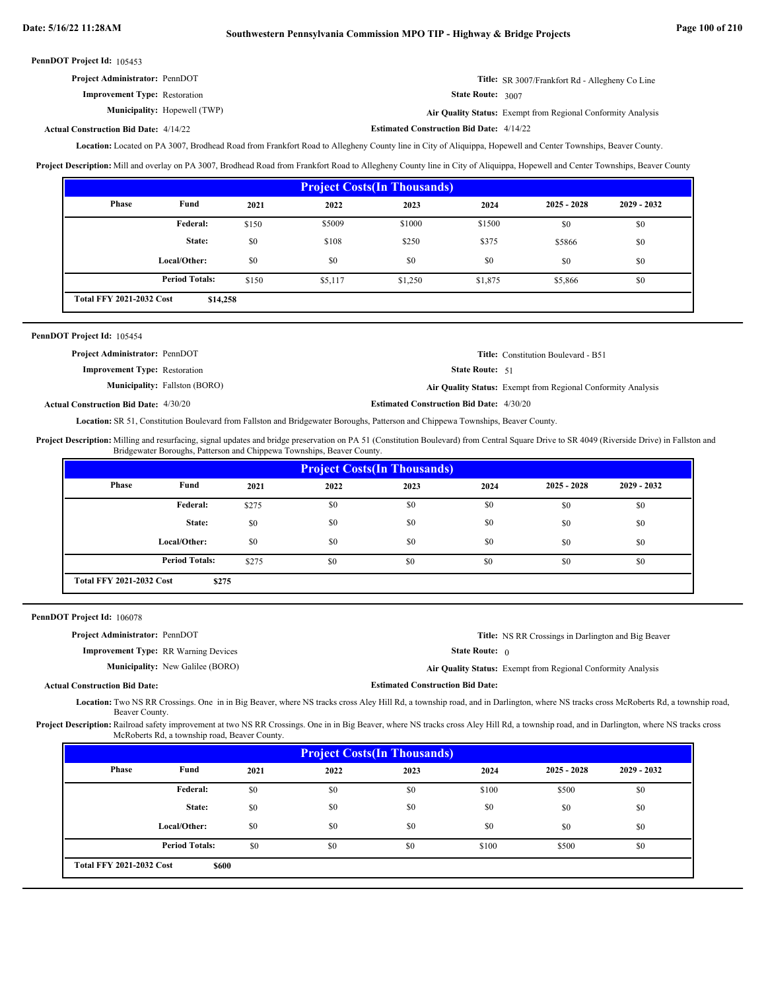| <b>Project Administrator: PennDOT</b> |                                     |                          | <b>Title:</b> SR 3007/Frankfort Rd - Allegheny Co Line       |
|---------------------------------------|-------------------------------------|--------------------------|--------------------------------------------------------------|
| <b>Improvement Type:</b> Restoration  |                                     | <b>State Route: 3007</b> |                                                              |
|                                       | <b>Municipality:</b> Hopewell (TWP) |                          | Air Quality Status: Exempt from Regional Conformity Analysis |

**Actual Construction Bid Date:**

**Estimated Construction Bid Date:** 4/14/22 4/14/22

Location: Located on PA 3007, Brodhead Road from Frankfort Road to Allegheny County line in City of Aliquippa, Hopewell and Center Townships, Beaver County.

**Project Description:** Mill and overlay on PA 3007, Brodhead Road from Frankfort Road to Allegheny County line in City of Aliquippa, Hopewell and Center Townships, Beaver County

| <b>Project Costs (In Thousands)</b>         |                       |       |         |         |         |               |               |  |
|---------------------------------------------|-----------------------|-------|---------|---------|---------|---------------|---------------|--|
| Phase                                       | Fund                  | 2021  | 2022    | 2023    | 2024    | $2025 - 2028$ | $2029 - 2032$ |  |
|                                             | <b>Federal:</b>       | \$150 | \$5009  | \$1000  | \$1500  | \$0           | \$0           |  |
|                                             | State:                | \$0   | \$108   | \$250   | \$375   | \$5866        | \$0           |  |
|                                             | Local/Other:          | \$0   | \$0     | \$0     | \$0     | \$0           | \$0           |  |
|                                             | <b>Period Totals:</b> | \$150 | \$5,117 | \$1,250 | \$1,875 | \$5,866       | \$0           |  |
| <b>Total FFY 2021-2032 Cost</b><br>\$14,258 |                       |       |         |         |         |               |               |  |

| PennDOT Project Id: 105454            |                                      |                        |                                                              |
|---------------------------------------|--------------------------------------|------------------------|--------------------------------------------------------------|
| <b>Project Administrator: PennDOT</b> |                                      |                        | <b>Title:</b> Constitution Boulevard - B51                   |
| <b>Improvement Type:</b> Restoration  |                                      | <b>State Route:</b> 51 |                                                              |
|                                       | <b>Municipality:</b> Fallston (BORO) |                        | Air Quality Status: Exempt from Regional Conformity Analysis |

**Estimated Construction Bid Date:** 4/30/20 4/30/20 **Actual Construction Bid Date:**

Location: SR 51, Constitution Boulevard from Fallston and Bridgewater Boroughs, Patterson and Chippewa Townships, Beaver County.

Project Description: Milling and resurfacing, signal updates and bridge preservation on PA 51 (Constitution Boulevard) from Central Square Drive to SR 4049 (Riverside Drive) in Fallston and Bridgewater Boroughs, Patterson and Chippewa Townships, Beaver County.

| <b>Project Costs (In Thousands)</b>      |                       |       |      |      |      |               |               |
|------------------------------------------|-----------------------|-------|------|------|------|---------------|---------------|
| Phase                                    | Fund                  | 2021  | 2022 | 2023 | 2024 | $2025 - 2028$ | $2029 - 2032$ |
|                                          | Federal:              | \$275 | \$0  | \$0  | \$0  | \$0           | \$0           |
|                                          | State:                | \$0   | \$0  | \$0  | \$0  | \$0           | \$0           |
|                                          | Local/Other:          | \$0   | \$0  | \$0  | \$0  | \$0           | \$0           |
|                                          | <b>Period Totals:</b> | \$275 | \$0  | \$0  | \$0  | \$0           | \$0           |
| <b>Total FFY 2021-2032 Cost</b><br>\$275 |                       |       |      |      |      |               |               |

PennDOT Project Id: 106078

| <b>Project Administrator: PennDOT</b>       | <b>Title:</b> NS RR Crossings in Darlington and Big Beaver   |
|---------------------------------------------|--------------------------------------------------------------|
| <b>Improvement Type: RR Warning Devices</b> | <b>State Route:</b> $\theta$                                 |
| <b>Municipality:</b> New Galilee (BORO)     | Air Quality Status: Exempt from Regional Conformity Analysis |
| <b>Actual Construction Bid Date:</b>        | <b>Estimated Construction Bid Date:</b>                      |

Location: Two NS RR Crossings. One in in Big Beaver, where NS tracks cross Aley Hill Rd, a township road, and in Darlington, where NS tracks cross McRoberts Rd, a township road, Beaver County.

Project Description: Railroad safety improvement at two NS RR Crossings. One in in Big Beaver, where NS tracks cross Aley Hill Rd, a township road, and in Darlington, where NS tracks cross McRoberts Rd, a township road, Beaver County.

| <b>Project Costs (In Thousands)</b>      |                       |      |      |      |       |               |               |  |
|------------------------------------------|-----------------------|------|------|------|-------|---------------|---------------|--|
| Phase                                    | Fund                  | 2021 | 2022 | 2023 | 2024  | $2025 - 2028$ | $2029 - 2032$ |  |
|                                          | Federal:              | \$0  | \$0  | \$0  | \$100 | \$500         | \$0           |  |
|                                          | State:                | \$0  | \$0  | \$0  | \$0   | \$0           | \$0           |  |
|                                          | Local/Other:          | \$0  | \$0  | \$0  | \$0   | \$0           | \$0           |  |
|                                          | <b>Period Totals:</b> | \$0  | \$0  | \$0  | \$100 | \$500         | \$0           |  |
| <b>Total FFY 2021-2032 Cost</b><br>\$600 |                       |      |      |      |       |               |               |  |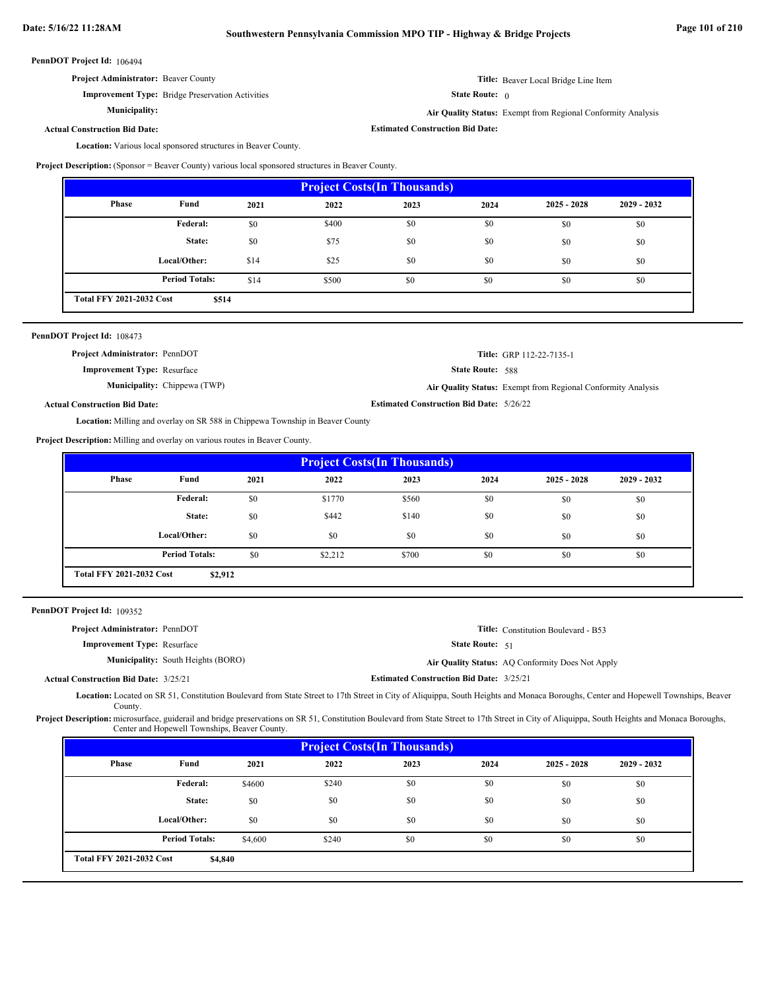**Project Administrator:** Beaver County

**Municipality:**

**Improvement Type:** Bridge Preservation Activities

**Title:** Beaver Local Bridge Line Item

State Route: 0

**Estimated Construction Bid Date:**

**Air Quality Status:** Exempt from Regional Conformity Analysis

**Actual Construction Bid Date:**

Location: Various local sponsored structures in Beaver County.

**Project Description:** (Sponsor = Beaver County) various local sponsored structures in Beaver County.

| <b>Project Costs (In Thousands)</b>      |                       |      |       |      |      |               |               |
|------------------------------------------|-----------------------|------|-------|------|------|---------------|---------------|
| Phase                                    | Fund                  | 2021 | 2022  | 2023 | 2024 | $2025 - 2028$ | $2029 - 2032$ |
|                                          | Federal:              | \$0  | \$400 | \$0  | \$0  | \$0           | \$0           |
|                                          | State:                | \$0  | \$75  | \$0  | \$0  | \$0           | \$0           |
|                                          | Local/Other:          | \$14 | \$25  | \$0  | \$0  | \$0           | \$0           |
|                                          | <b>Period Totals:</b> | \$14 | \$500 | \$0  | \$0  | \$0           | \$0           |
| <b>Total FFY 2021-2032 Cost</b><br>\$514 |                       |      |       |      |      |               |               |

| PennDOT Project Id: 108473            |                                                                                      |                                                 |                                                              |
|---------------------------------------|--------------------------------------------------------------------------------------|-------------------------------------------------|--------------------------------------------------------------|
| <b>Project Administrator: PennDOT</b> |                                                                                      |                                                 | <b>Title:</b> GRP 112-22-7135-1                              |
| <b>Improvement Type:</b> Resurface    |                                                                                      | <b>State Route: 588</b>                         |                                                              |
|                                       | <b>Municipality:</b> Chippewa (TWP)                                                  |                                                 | Air Quality Status: Exempt from Regional Conformity Analysis |
| <b>Actual Construction Bid Date:</b>  |                                                                                      | <b>Estimated Construction Bid Date: 5/26/22</b> |                                                              |
|                                       | <b>Location:</b> Milling and overlay on SR 588 in Chippewa Township in Beaver County |                                                 |                                                              |

**Project Description:** Milling and overlay on various routes in Beaver County.

| <b>Project Costs (In Thousands)</b>        |                       |      |         |       |      |               |               |
|--------------------------------------------|-----------------------|------|---------|-------|------|---------------|---------------|
| Phase                                      | Fund                  | 2021 | 2022    | 2023  | 2024 | $2025 - 2028$ | $2029 - 2032$ |
|                                            | Federal:              | \$0  | \$1770  | \$560 | \$0  | \$0           | \$0           |
|                                            | State:                | \$0  | \$442   | \$140 | \$0  | \$0           | \$0           |
|                                            | Local/Other:          | \$0  | \$0     | \$0   | \$0  | \$0           | \$0           |
|                                            | <b>Period Totals:</b> | \$0  | \$2,212 | \$700 | \$0  | \$0           | \$0           |
| <b>Total FFY 2021-2032 Cost</b><br>\$2,912 |                       |      |         |       |      |               |               |

PennDOT Project Id: 109352

| <b>Project Administrator: PennDOT</b>        |                                           |                                                 | <b>Title:</b> Constitution Boulevard - B53       |
|----------------------------------------------|-------------------------------------------|-------------------------------------------------|--------------------------------------------------|
| <b>Improvement Type: Resurface</b>           |                                           | <b>State Route:</b> 51                          |                                                  |
|                                              | <b>Municipality:</b> South Heights (BORO) |                                                 | Air Quality Status: AQ Conformity Does Not Apply |
| <b>Actual Construction Bid Date: 3/25/21</b> |                                           | <b>Estimated Construction Bid Date: 3/25/21</b> |                                                  |
|                                              |                                           |                                                 |                                                  |

Location: Located on SR 51, Constitution Boulevard from State Street to 17th Street in City of Aliquippa, South Heights and Monaca Boroughs, Center and Hopewell Townships, Beaver County.

microsurface, guiderail and bridge preservations on SR 51, Constitution Boulevard from State Street to 17th Street in City of Aliquippa, South Heights and Monaca Boroughs, Center and Hopewell Townships, Beaver County. **Project Description:**

| <b>Project Costs (In Thousands)</b>        |                       |         |       |      |      |               |               |  |
|--------------------------------------------|-----------------------|---------|-------|------|------|---------------|---------------|--|
| Phase                                      | Fund                  | 2021    | 2022  | 2023 | 2024 | $2025 - 2028$ | $2029 - 2032$ |  |
|                                            | Federal:              | \$4600  | \$240 | \$0  | \$0  | \$0           | \$0           |  |
|                                            | State:                | \$0     | \$0   | \$0  | \$0  | \$0           | \$0           |  |
|                                            | Local/Other:          | \$0     | \$0   | \$0  | \$0  | \$0           | \$0           |  |
|                                            | <b>Period Totals:</b> | \$4,600 | \$240 | \$0  | \$0  | \$0           | \$0           |  |
| <b>Total FFY 2021-2032 Cost</b><br>\$4,840 |                       |         |       |      |      |               |               |  |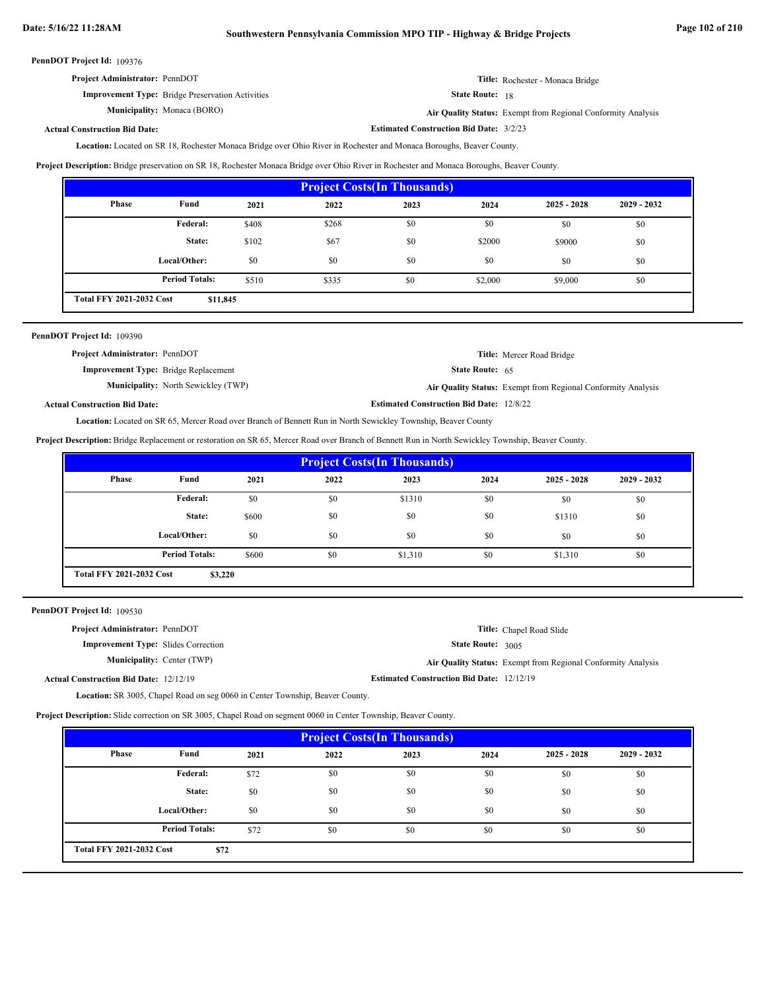**Estimated Construction Bid Date:** 3/2/23

PennDOT Project Id: 109376

| <b>Project Administrator: PennDOT</b>                   | Title: Rochester - Monaca Bridge |
|---------------------------------------------------------|----------------------------------|
| <b>Improvement Type:</b> Bridge Preservation Activities | <b>State Route:</b> 18           |

**Municipality:**

Monaca (BORO) **Air Quality Status:** Exempt from Regional Conformity Analysis

# **Actual Construction Bid Date:**

Located on SR 18, Rochester Monaca Bridge over Ohio River in Rochester and Monaca Boroughs, Beaver County. **Location:**

**Project Description:** Bridge preservation on SR 18, Rochester Monaca Bridge over Ohio River in Rochester and Monaca Boroughs, Beaver County.

| <b>Project Costs (In Thousands)</b>         |                       |       |       |      |         |               |               |
|---------------------------------------------|-----------------------|-------|-------|------|---------|---------------|---------------|
| Phase                                       | Fund                  | 2021  | 2022  | 2023 | 2024    | $2025 - 2028$ | $2029 - 2032$ |
|                                             | Federal:              | \$408 | \$268 | \$0  | \$0     | \$0           | \$0           |
|                                             | State:                | \$102 | \$67  | \$0  | \$2000  | \$9000        | \$0           |
|                                             | Local/Other:          | \$0   | \$0   | \$0  | \$0     | \$0           | \$0           |
|                                             | <b>Period Totals:</b> | \$510 | \$335 | \$0  | \$2,000 | \$9,000       | \$0           |
| <b>Total FFY 2021-2032 Cost</b><br>\$11,845 |                       |       |       |      |         |               |               |

| PennDOT Project Id: 109390                  |                                            |                                                 |                                                              |
|---------------------------------------------|--------------------------------------------|-------------------------------------------------|--------------------------------------------------------------|
| <b>Project Administrator: PennDOT</b>       |                                            |                                                 | <b>Title:</b> Mercer Road Bridge                             |
| <b>Improvement Type:</b> Bridge Replacement |                                            | <b>State Route:</b> $65$                        |                                                              |
|                                             | <b>Municipality:</b> North Sewickley (TWP) |                                                 | Air Quality Status: Exempt from Regional Conformity Analysis |
| <b>Actual Construction Bid Date:</b>        |                                            | <b>Estimated Construction Bid Date: 12/8/22</b> |                                                              |

Location: Located on SR 65, Mercer Road over Branch of Bennett Run in North Sewickley Township, Beaver County

**Project Description:** Bridge Replacement or restoration on SR 65, Mercer Road over Branch of Bennett Run in North Sewickley Township, Beaver County.

| <b>Project Costs (In Thousands)</b>        |                       |       |      |         |      |               |               |
|--------------------------------------------|-----------------------|-------|------|---------|------|---------------|---------------|
| Phase                                      | Fund                  | 2021  | 2022 | 2023    | 2024 | $2025 - 2028$ | $2029 - 2032$ |
|                                            | Federal:              | \$0   | \$0  | \$1310  | \$0  | \$0           | \$0           |
|                                            | State:                | \$600 | \$0  | \$0     | \$0  | \$1310        | \$0           |
|                                            | Local/Other:          | \$0   | \$0  | \$0     | \$0  | \$0           | \$0           |
|                                            | <b>Period Totals:</b> | \$600 | \$0  | \$1,310 | \$0  | \$1,310       | \$0           |
| <b>Total FFY 2021-2032 Cost</b><br>\$3,220 |                       |       |      |         |      |               |               |

PennDOT Project Id: 109530

| <b>Project Administrator: PennDOT</b>         |                                                  | <b>Title:</b> Chapel Road Slide                              |
|-----------------------------------------------|--------------------------------------------------|--------------------------------------------------------------|
| <b>Improvement Type:</b> Slides Correction    | <b>State Route: 3005</b>                         |                                                              |
| <b>Municipality:</b> Center (TWP)             |                                                  | Air Quality Status: Exempt from Regional Conformity Analysis |
| <b>Actual Construction Bid Date: 12/12/19</b> | <b>Estimated Construction Bid Date: 12/12/19</b> |                                                              |

Location: SR 3005, Chapel Road on seg 0060 in Center Township, Beaver County.

**Project Description:** Slide correction on SR 3005, Chapel Road on segment 0060 in Center Township, Beaver County.

| <b>Project Costs(In Thousands)</b>      |                       |      |      |      |      |               |               |
|-----------------------------------------|-----------------------|------|------|------|------|---------------|---------------|
| Phase                                   | Fund                  | 2021 | 2022 | 2023 | 2024 | $2025 - 2028$ | $2029 - 2032$ |
|                                         | Federal:              | \$72 | \$0  | \$0  | \$0  | \$0           | \$0           |
|                                         | State:                | \$0  | \$0  | \$0  | \$0  | \$0           | \$0           |
|                                         | Local/Other:          | \$0  | \$0  | \$0  | \$0  | \$0           | \$0           |
|                                         | <b>Period Totals:</b> | \$72 | \$0  | \$0  | \$0  | \$0           | \$0           |
| <b>Total FFY 2021-2032 Cost</b><br>\$72 |                       |      |      |      |      |               |               |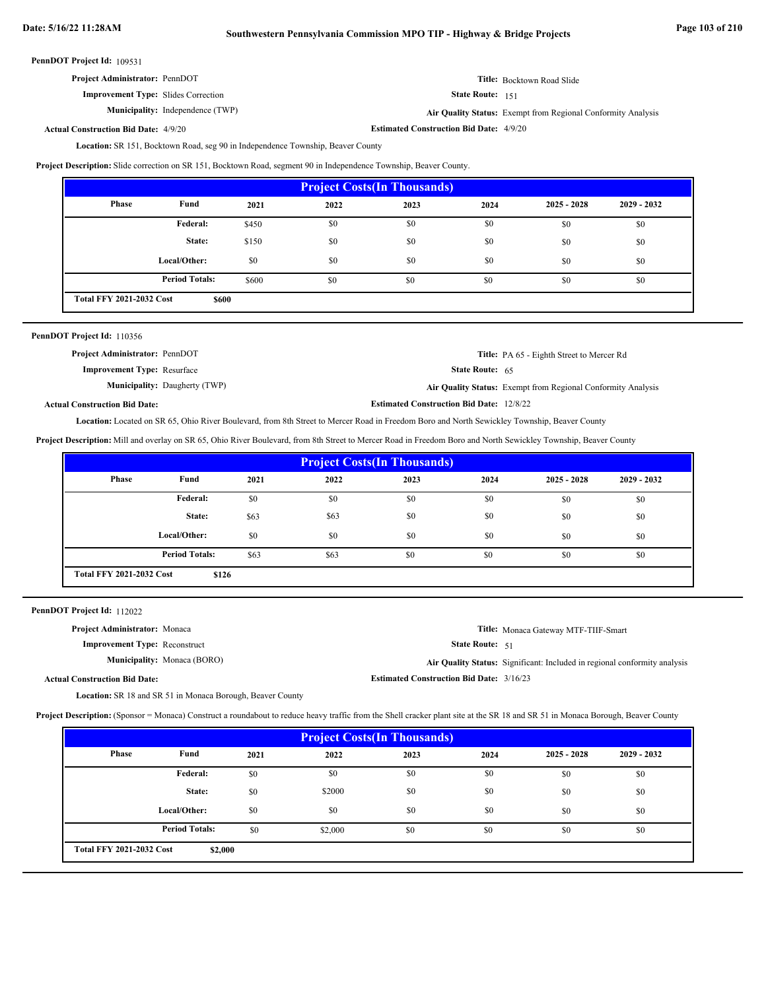# **Date: 5/16/22 11:28AM Southwestern Pennsylvania Commission MPO TIP - Highway & Bridge Projects Page 103 of 210**

PennDOT Project Id: 109531

**Improvement Type:** Slides Correction

**Municipality:**

State Route: 151

Independence (TWP) **Air Quality Status:** Exempt from Regional Conformity Analysis

**Title:** Bocktown Road Slide

**Estimated Construction Bid Date:** 4/9/20 4/9/20 **Actual Construction Bid Date:**

Location: SR 151, Bocktown Road, seg 90 in Independence Township, Beaver County

**Project Description:** Slide correction on SR 151, Bocktown Road, segment 90 in Independence Township, Beaver County.

| <b>Project Costs (In Thousands)</b>             |                       |       |      |      |      |               |               |
|-------------------------------------------------|-----------------------|-------|------|------|------|---------------|---------------|
| Phase                                           | Fund                  | 2021  | 2022 | 2023 | 2024 | $2025 - 2028$ | $2029 - 2032$ |
|                                                 | Federal:              | \$450 | \$0  | \$0  | \$0  | \$0           | \$0           |
|                                                 | State:                | \$150 | \$0  | \$0  | \$0  | \$0           | \$0           |
|                                                 | Local/Other:          | \$0   | \$0  | \$0  | \$0  | \$0           | \$0           |
|                                                 | <b>Period Totals:</b> | \$600 | \$0  | \$0  | \$0  | \$0           | \$0           |
| <b>Total FFY 2021-2032 Cost</b><br><b>\$600</b> |                       |       |      |      |      |               |               |

| PennDOT Project Id: 110356 |  |
|----------------------------|--|
|----------------------------|--|

| <b>Project Administrator: PennDOT</b> |                                                 | Title: PA 65 - Eighth Street to Mercer Rd                    |
|---------------------------------------|-------------------------------------------------|--------------------------------------------------------------|
| <b>Improvement Type: Resurface</b>    | <b>State Route:</b> $65$                        |                                                              |
| <b>Municipality:</b> Daugherty (TWP)  |                                                 | Air Quality Status: Exempt from Regional Conformity Analysis |
| al Construction Bid Date:             | <b>Estimated Construction Bid Date: 12/8/22</b> |                                                              |

**Actual Construction Bid Date:**

Location: Located on SR 65, Ohio River Boulevard, from 8th Street to Mercer Road in Freedom Boro and North Sewickley Township, Beaver County

**Project Description:** Mill and overlay on SR 65, Ohio River Boulevard, from 8th Street to Mercer Road in Freedom Boro and North Sewickley Township, Beaver County

| <b>Project Costs (In Thousands)</b>      |                       |      |      |      |      |               |               |
|------------------------------------------|-----------------------|------|------|------|------|---------------|---------------|
| Phase                                    | Fund                  | 2021 | 2022 | 2023 | 2024 | $2025 - 2028$ | $2029 - 2032$ |
|                                          | <b>Federal:</b>       | \$0  | \$0  | \$0  | \$0  | \$0           | \$0           |
|                                          | State:                | \$63 | \$63 | \$0  | \$0  | \$0           | \$0           |
|                                          | Local/Other:          | \$0  | \$0  | \$0  | \$0  | \$0           | \$0           |
|                                          | <b>Period Totals:</b> | \$63 | \$63 | \$0  | \$0  | \$0           | \$0           |
| <b>Total FFY 2021-2032 Cost</b><br>\$126 |                       |      |      |      |      |               |               |

PennDOT Project Id: 112022

| <b>Project Administrator:</b> Monaca |                                                 | Title: Monaca Gateway MTF-TIIF-Smart                                      |
|--------------------------------------|-------------------------------------------------|---------------------------------------------------------------------------|
| <b>Improvement Type:</b> Reconstruct | <b>State Route:</b> $51$                        |                                                                           |
| <b>Municipality:</b> Monaca (BORO)   |                                                 | Air Quality Status: Significant: Included in regional conformity analysis |
| <b>Actual Construction Bid Date:</b> | <b>Estimated Construction Bid Date: 3/16/23</b> |                                                                           |

Location: SR 18 and SR 51 in Monaca Borough, Beaver County

**Project Description:** (Sponsor = Monaca) Construct a roundabout to reduce heavy traffic from the Shell cracker plant site at the SR 18 and SR 51 in Monaca Borough, Beaver County

| <b>Project Costs (In Thousands)</b>        |                       |      |         |      |      |               |               |
|--------------------------------------------|-----------------------|------|---------|------|------|---------------|---------------|
| Phase                                      | Fund                  | 2021 | 2022    | 2023 | 2024 | $2025 - 2028$ | $2029 - 2032$ |
|                                            | Federal:              | \$0  | \$0     | \$0  | \$0  | \$0           | \$0           |
|                                            | State:                | \$0  | \$2000  | \$0  | \$0  | \$0           | \$0           |
|                                            | Local/Other:          | \$0  | \$0     | \$0  | \$0  | \$0           | \$0           |
|                                            | <b>Period Totals:</b> | \$0  | \$2,000 | \$0  | \$0  | \$0           | \$0           |
| <b>Total FFY 2021-2032 Cost</b><br>\$2,000 |                       |      |         |      |      |               |               |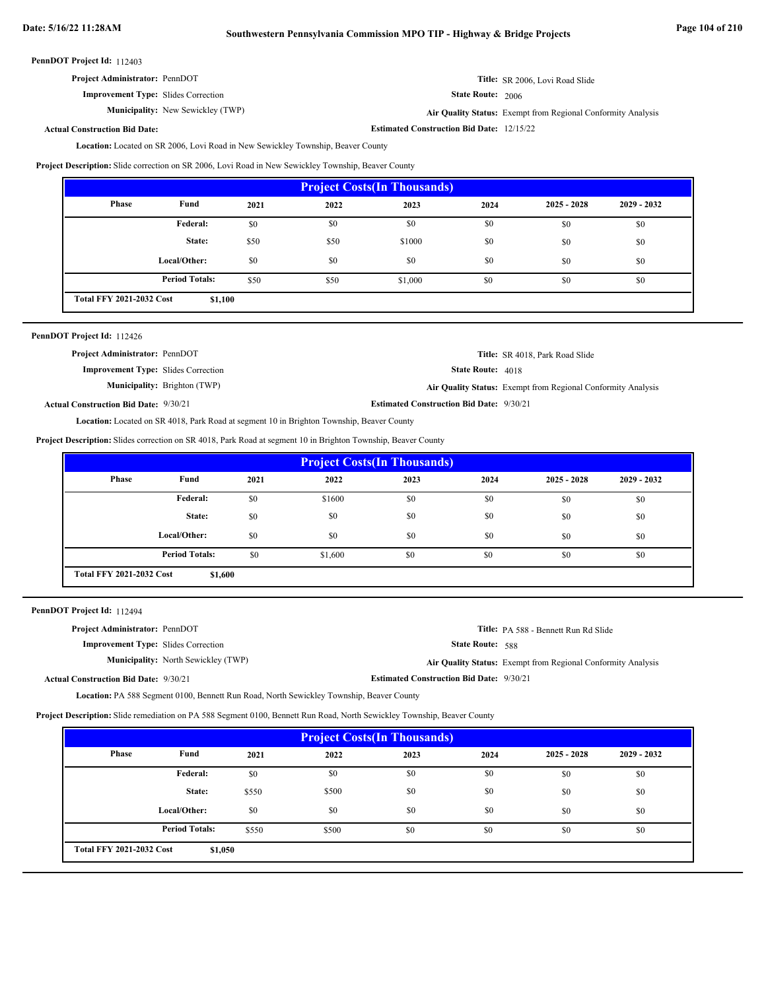# **Date: 5/16/22 11:28AM Southwestern Pennsylvania Commission MPO TIP - Highway & Bridge Projects Page 104 of 210**

PennDOT Project Id: 112403

**Improvement Type:** Slides Correction

**Municipality:** New Sewickley (TWP) **Air Quality Status:** 

State Route: 2006

**Estimated Construction Bid Date:** 12/15/22

Air Quality Status: Exempt from Regional Conformity Analysis

**Title:** SR 2006, Lovi Road Slide

# **Actual Construction Bid Date:**

Location: Located on SR 2006, Lovi Road in New Sewickley Township, Beaver County

**Project Description:** Slide correction on SR 2006, Lovi Road in New Sewickley Township, Beaver County

| <b>Project Costs (In Thousands)</b>        |                       |      |      |         |      |               |               |
|--------------------------------------------|-----------------------|------|------|---------|------|---------------|---------------|
| Phase                                      | Fund                  | 2021 | 2022 | 2023    | 2024 | $2025 - 2028$ | $2029 - 2032$ |
|                                            | Federal:              | \$0  | \$0  | \$0     | \$0  | \$0           | \$0           |
|                                            | State:                | \$50 | \$50 | \$1000  | \$0  | \$0           | \$0           |
|                                            | Local/Other:          | \$0  | \$0  | \$0     | \$0  | \$0           | \$0           |
|                                            | <b>Period Totals:</b> | \$50 | \$50 | \$1,000 | \$0  | \$0           | \$0           |
| <b>Total FFY 2021-2032 Cost</b><br>\$1,100 |                       |      |      |         |      |               |               |

|  | PennDOT Project Id: 112426 |  |
|--|----------------------------|--|
|--|----------------------------|--|

| <b>Project Administrator: PennDOT</b>        |                                     |                                                 | Title: SR 4018, Park Road Slide                              |
|----------------------------------------------|-------------------------------------|-------------------------------------------------|--------------------------------------------------------------|
| <b>Improvement Type:</b> Slides Correction   |                                     | <b>State Route: 4018</b>                        |                                                              |
|                                              | <b>Municipality:</b> Brighton (TWP) |                                                 | Air Quality Status: Exempt from Regional Conformity Analysis |
| <b>Actual Construction Bid Date: 9/30/21</b> |                                     | <b>Estimated Construction Bid Date: 9/30/21</b> |                                                              |
|                                              |                                     |                                                 |                                                              |

Location: Located on SR 4018, Park Road at segment 10 in Brighton Township, Beaver County

**Project Description:** Slides correction on SR 4018, Park Road at segment 10 in Brighton Township, Beaver County

| <b>Project Costs (In Thousands)</b>        |                       |      |         |      |      |               |               |
|--------------------------------------------|-----------------------|------|---------|------|------|---------------|---------------|
| Phase                                      | Fund                  | 2021 | 2022    | 2023 | 2024 | $2025 - 2028$ | $2029 - 2032$ |
|                                            | Federal:              | \$0  | \$1600  | \$0  | \$0  | \$0           | \$0           |
|                                            | State:                | \$0  | \$0     | \$0  | \$0  | \$0           | \$0           |
|                                            | Local/Other:          | \$0  | \$0     | \$0  | \$0  | \$0           | \$0           |
|                                            | <b>Period Totals:</b> | \$0  | \$1,600 | \$0  | \$0  | \$0           | \$0           |
| <b>Total FFY 2021-2032 Cost</b><br>\$1,600 |                       |      |         |      |      |               |               |

PennDOT Project Id: 112494

|                                                                                                                                                                                   | Title: PA 588 - Bennett Run Rd Slide                                       |
|-----------------------------------------------------------------------------------------------------------------------------------------------------------------------------------|----------------------------------------------------------------------------|
|                                                                                                                                                                                   |                                                                            |
|                                                                                                                                                                                   | <b>Air Quality Status:</b> Exempt from Regional Conformity Analysis        |
|                                                                                                                                                                                   |                                                                            |
| <b>Project Administrator: PennDOT</b><br><b>Improvement Type:</b> Slides Correction<br><b>Municipality:</b> North Sewickley (TWP)<br><b>Actual Construction Bid Date: 9/30/21</b> | <b>State Route: 588</b><br><b>Estimated Construction Bid Date: 9/30/21</b> |

Location: PA 588 Segment 0100, Bennett Run Road, North Sewickley Township, Beaver County

**Project Description:** Slide remediation on PA 588 Segment 0100, Bennett Run Road, North Sewickley Township, Beaver County

| <b>Project Costs (In Thousands)</b>        |                       |       |       |      |      |               |               |
|--------------------------------------------|-----------------------|-------|-------|------|------|---------------|---------------|
| Phase                                      | Fund                  | 2021  | 2022  | 2023 | 2024 | $2025 - 2028$ | $2029 - 2032$ |
|                                            | Federal:              | \$0   | \$0   | \$0  | \$0  | \$0           | \$0           |
|                                            | State:                | \$550 | \$500 | \$0  | \$0  | \$0           | \$0           |
|                                            | Local/Other:          | \$0   | \$0   | \$0  | \$0  | \$0           | \$0           |
|                                            | <b>Period Totals:</b> | \$550 | \$500 | \$0  | \$0  | \$0           | \$0           |
| <b>Total FFY 2021-2032 Cost</b><br>\$1,050 |                       |       |       |      |      |               |               |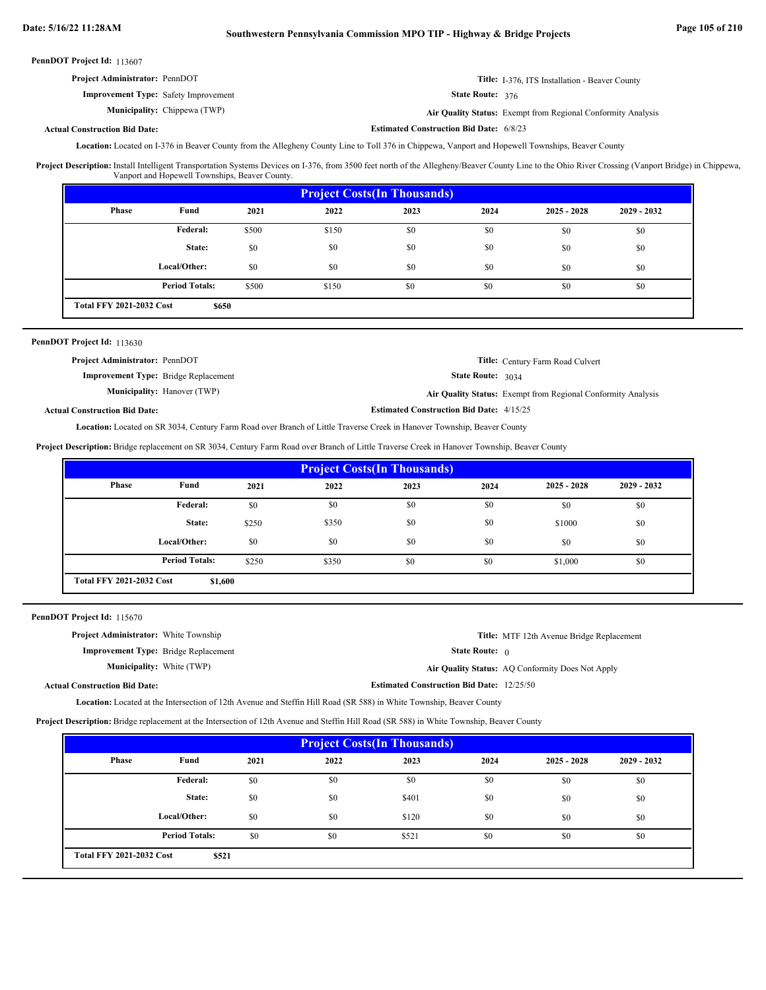| <b>Project Administrator: PennDOT</b>       | <b>Title:</b> I-376, ITS Installation - Beaver County |
|---------------------------------------------|-------------------------------------------------------|
| <b>Improvement Type:</b> Safety Improvement | <b>State Route: 376</b>                               |

Chippewa (TWP) **Air Quality Status:** Exempt from Regional Conformity Analysis

**Estimated Construction Bid Date:** 6/8/23

### **Actual Construction Bid Date:**

Municipality: Chippewa (TWP)

Location: Located on I-376 in Beaver County from the Allegheny County Line to Toll 376 in Chippewa, Vanport and Hopewell Townships, Beaver County

Install Intelligent Transportation Systems Devices on I-376, from 3500 feet north of the Allegheny/Beaver County Line to the Ohio River Crossing (Vanport Bridge) in Chippewa, Vanport and Hopewell Townships, Beaver County. **Project Description:**

| <b>Project Costs (In Thousands)</b>      |                       |       |       |      |      |               |               |
|------------------------------------------|-----------------------|-------|-------|------|------|---------------|---------------|
| Phase                                    | Fund                  | 2021  | 2022  | 2023 | 2024 | $2025 - 2028$ | $2029 - 2032$ |
|                                          | Federal:              | \$500 | \$150 | \$0  | \$0  | \$0           | \$0           |
|                                          | State:                | \$0   | \$0   | \$0  | \$0  | \$0           | \$0           |
|                                          | Local/Other:          | \$0   | \$0   | \$0  | \$0  | \$0           | \$0           |
|                                          | <b>Period Totals:</b> | \$500 | \$150 | \$0  | \$0  | \$0           | \$0           |
| <b>Total FFY 2021-2032 Cost</b><br>\$650 |                       |       |       |      |      |               |               |

# PennDOT Project Id: 113630

| <b>Project Administrator: PennDOT</b>       | <b>Title:</b> Century Farm Road Culvert                             |
|---------------------------------------------|---------------------------------------------------------------------|
| <b>Improvement Type:</b> Bridge Replacement | <b>State Route:</b> $3034$                                          |
| <b>Municipality:</b> Hanover (TWP)          | <b>Air Quality Status:</b> Exempt from Regional Conformity Analysis |
| <b>Actual Construction Bid Date:</b>        | <b>Estimated Construction Bid Date: 4/15/25</b>                     |

Location: Located on SR 3034, Century Farm Road over Branch of Little Traverse Creek in Hanover Township, Beaver County

**Project Description:** Bridge replacement on SR 3034, Century Farm Road over Branch of Little Traverse Creek in Hanover Township, Beaver County

| <b>Project Costs(In Thousands)</b>         |                       |       |       |      |      |               |               |
|--------------------------------------------|-----------------------|-------|-------|------|------|---------------|---------------|
| Phase                                      | Fund                  | 2021  | 2022  | 2023 | 2024 | $2025 - 2028$ | $2029 - 2032$ |
|                                            | Federal:              | \$0   | \$0   | \$0  | \$0  | \$0           | \$0           |
|                                            | State:                | \$250 | \$350 | \$0  | \$0  | \$1000        | \$0           |
|                                            | Local/Other:          | \$0   | \$0   | \$0  | \$0  | \$0           | \$0           |
|                                            | <b>Period Totals:</b> | \$250 | \$350 | \$0  | \$0  | \$1,000       | \$0           |
| <b>Total FFY 2021-2032 Cost</b><br>\$1,600 |                       |       |       |      |      |               |               |

PennDOT Project Id: 115670

| <b>Project Administrator:</b> White Township |                                                  | <b>Title:</b> MTF 12th Avenue Bridge Replacement |
|----------------------------------------------|--------------------------------------------------|--------------------------------------------------|
| <b>Improvement Type:</b> Bridge Replacement  | <b>State Route:</b> $\theta$                     |                                                  |
| <b>Municipality:</b> White (TWP)             |                                                  | Air Quality Status: AO Conformity Does Not Apply |
| <b>Actual Construction Bid Date:</b>         | <b>Estimated Construction Bid Date: 12/25/50</b> |                                                  |
|                                              |                                                  |                                                  |

Location: Located at the Intersection of 12th Avenue and Steffin Hill Road (SR 588) in White Township, Beaver County

**Project Description:** Bridge replacement at the Intersection of 12th Avenue and Steffin Hill Road (SR 588) in White Township, Beaver County

| <b>Project Costs (In Thousands)</b>      |                       |      |      |       |      |               |               |
|------------------------------------------|-----------------------|------|------|-------|------|---------------|---------------|
| Phase                                    | Fund                  | 2021 | 2022 | 2023  | 2024 | $2025 - 2028$ | $2029 - 2032$ |
|                                          | <b>Federal:</b>       | \$0  | \$0  | \$0   | \$0  | \$0           | \$0           |
|                                          | State:                | \$0  | \$0  | \$401 | \$0  | \$0           | \$0           |
|                                          | Local/Other:          | \$0  | \$0  | \$120 | \$0  | \$0           | \$0           |
|                                          | <b>Period Totals:</b> | \$0  | \$0  | \$521 | \$0  | \$0           | \$0           |
| <b>Total FFY 2021-2032 Cost</b><br>\$521 |                       |      |      |       |      |               |               |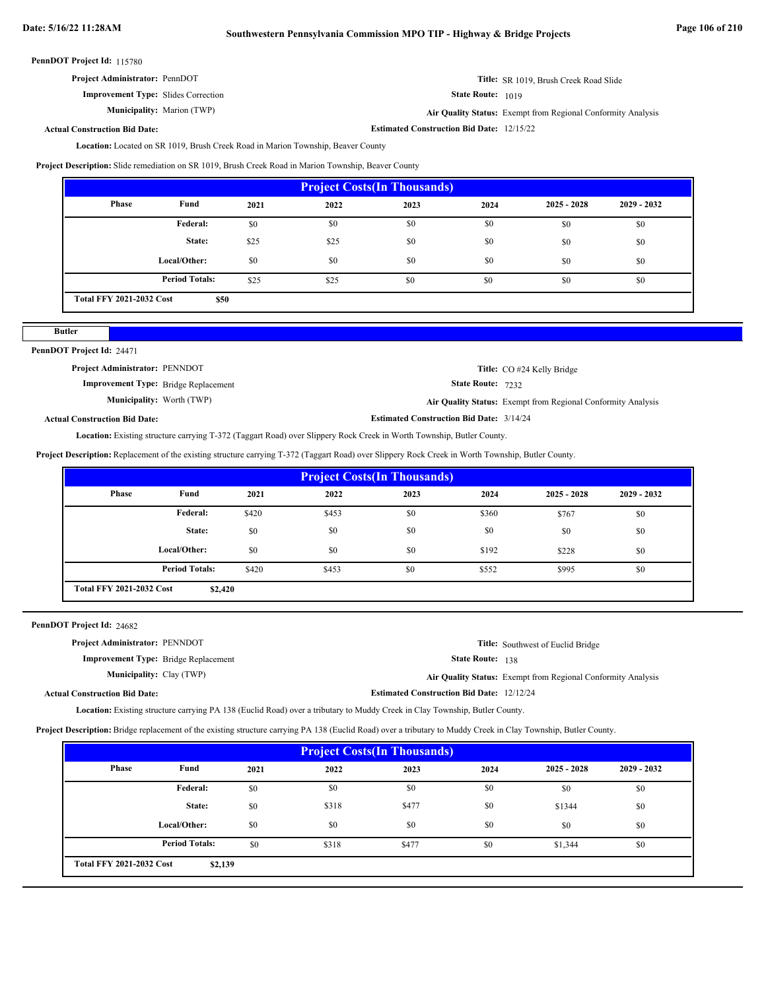# **Date: 5/16/22 11:28AM Southwestern Pennsylvania Commission MPO TIP - Highway & Bridge Projects Page 106 of 210**

PennDOT Project Id: 115780

|--|

**State Route:** 1019

**Estimated Construction Bid Date:** 12/15/22

**Title:** SR 1019, Brush Creek Road Slide

Marion (TWP) **Air Quality Status:** Exempt from Regional Conformity Analysis

**Actual Construction Bid Date:**

**Improvement Type:** Slides Correction

Municipality: Marion (TWP)

Location: Located on SR 1019, Brush Creek Road in Marion Township, Beaver County

**Project Description:** Slide remediation on SR 1019, Brush Creek Road in Marion Township, Beaver County

| <b>Project Costs (In Thousands)</b>     |                       |      |      |      |      |               |               |
|-----------------------------------------|-----------------------|------|------|------|------|---------------|---------------|
| Phase                                   | Fund                  | 2021 | 2022 | 2023 | 2024 | $2025 - 2028$ | $2029 - 2032$ |
|                                         | <b>Federal:</b>       | \$0  | \$0  | \$0  | \$0  | \$0           | \$0           |
|                                         | State:                | \$25 | \$25 | \$0  | \$0  | \$0           | \$0           |
|                                         | Local/Other:          | \$0  | \$0  | \$0  | \$0  | \$0           | \$0           |
|                                         | <b>Period Totals:</b> | \$25 | \$25 | \$0  | \$0  | \$0           | \$0           |
| <b>Total FFY 2021-2032 Cost</b><br>\$50 |                       |      |      |      |      |               |               |

# PennDOT Project Id: 24471

**Butler**

| <b>Project Administrator: PENNDOT</b>       |                                                 | Title: CO #24 Kelly Bridge                                          |
|---------------------------------------------|-------------------------------------------------|---------------------------------------------------------------------|
| <b>Improvement Type:</b> Bridge Replacement | <b>State Route: 7232</b>                        |                                                                     |
| <b>Municipality:</b> Worth (TWP)            |                                                 | <b>Air Quality Status:</b> Exempt from Regional Conformity Analysis |
| ual Construction Bid Date:                  | <b>Estimated Construction Bid Date: 3/14/24</b> |                                                                     |

# **Actual Construction Bid Date:**

Location: Existing structure carrying T-372 (Taggart Road) over Slippery Rock Creek in Worth Township, Butler County.

**Project Description:** Replacement of the existing structure carrying T-372 (Taggart Road) over Slippery Rock Creek in Worth Township, Butler County.

| <b>Project Costs (In Thousands)</b>        |                       |       |       |      |       |               |               |
|--------------------------------------------|-----------------------|-------|-------|------|-------|---------------|---------------|
| Phase                                      | Fund                  | 2021  | 2022  | 2023 | 2024  | $2025 - 2028$ | $2029 - 2032$ |
|                                            | <b>Federal:</b>       | \$420 | \$453 | \$0  | \$360 | \$767         | \$0           |
|                                            | State:                | \$0   | \$0   | \$0  | \$0   | \$0           | \$0           |
|                                            | Local/Other:          | \$0   | \$0   | \$0  | \$192 | \$228         | \$0           |
|                                            | <b>Period Totals:</b> | \$420 | \$453 | \$0  | \$552 | \$995         | \$0           |
| <b>Total FFY 2021-2032 Cost</b><br>\$2,420 |                       |       |       |      |       |               |               |

# PennDOT Project Id: 24682

| <b>Project Administrator: PENNDOT</b>       |                                                  | <b>Title:</b> Southwest of Euclid Bridge                     |
|---------------------------------------------|--------------------------------------------------|--------------------------------------------------------------|
| <b>Improvement Type:</b> Bridge Replacement | <b>State Route: 138</b>                          |                                                              |
| <b>Municipality:</b> Clay (TWP)             |                                                  | Air Quality Status: Exempt from Regional Conformity Analysis |
| <b>Actual Construction Bid Date:</b>        | <b>Estimated Construction Bid Date: 12/12/24</b> |                                                              |

Location: Existing structure carrying PA 138 (Euclid Road) over a tributary to Muddy Creek in Clay Township, Butler County.

**Project Description:** Bridge replacement of the existing structure carrying PA 138 (Euclid Road) over a tributary to Muddy Creek in Clay Township, Butler County.

| <b>Project Costs (In Thousands)</b> |                       |      |       |       |      |               |               |
|-------------------------------------|-----------------------|------|-------|-------|------|---------------|---------------|
| Phase                               | Fund                  | 2021 | 2022  | 2023  | 2024 | $2025 - 2028$ | $2029 - 2032$ |
|                                     | Federal:              | \$0  | \$0   | \$0   | \$0  | \$0           | \$0           |
|                                     | State:                | \$0  | \$318 | \$477 | \$0  | \$1344        | \$0           |
|                                     | Local/Other:          | \$0  | \$0   | \$0   | \$0  | \$0           | \$0           |
|                                     | <b>Period Totals:</b> | \$0  | \$318 | \$477 | \$0  | \$1,344       | \$0           |
| <b>Total FFY 2021-2032 Cost</b>     | \$2,139               |      |       |       |      |               |               |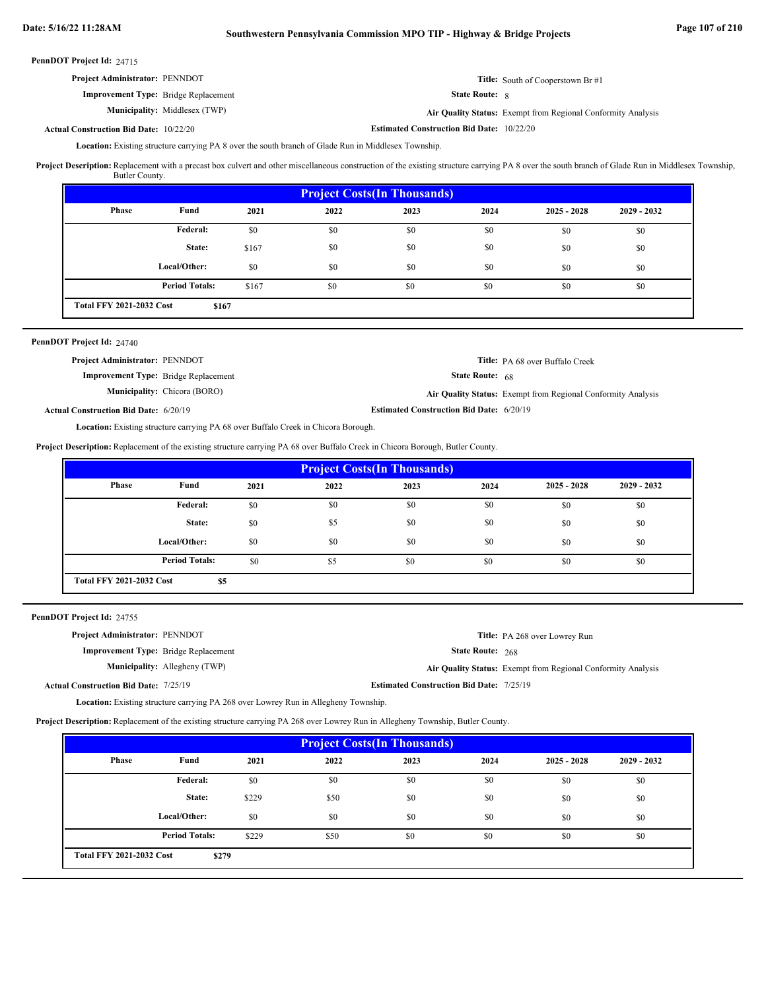| <b>Project Administrator: PENNDOT</b>         |                                      |                                                  | <b>Title:</b> South of Cooperstown Br #1                     |
|-----------------------------------------------|--------------------------------------|--------------------------------------------------|--------------------------------------------------------------|
| <b>Improvement Type:</b> Bridge Replacement   |                                      | <b>State Route:</b> 8                            |                                                              |
|                                               | <b>Municipality:</b> Middlesex (TWP) |                                                  | Air Quality Status: Exempt from Regional Conformity Analysis |
| <b>Actual Construction Bid Date: 10/22/20</b> |                                      | <b>Estimated Construction Bid Date: 10/22/20</b> |                                                              |

Location: Existing structure carrying PA 8 over the south branch of Glade Run in Middlesex Township.

Project Description: Replacement with a precast box culvert and other miscellaneous construction of the existing structure carrying PA 8 over the south branch of Glade Run in Middlesex Township, Butler County.

|                                 | <b>Project Costs (In Thousands)</b> |       |      |      |      |               |               |
|---------------------------------|-------------------------------------|-------|------|------|------|---------------|---------------|
| Phase                           | Fund                                | 2021  | 2022 | 2023 | 2024 | $2025 - 2028$ | $2029 - 2032$ |
|                                 | Federal:                            | \$0   | \$0  | \$0  | \$0  | \$0           | \$0           |
|                                 | State:                              | \$167 | \$0  | \$0  | \$0  | \$0           | \$0           |
|                                 | Local/Other:                        | \$0   | \$0  | \$0  | \$0  | \$0           | \$0           |
|                                 | <b>Period Totals:</b>               | \$167 | \$0  | \$0  | \$0  | \$0           | \$0           |
| <b>Total FFY 2021-2032 Cost</b> | \$167                               |       |      |      |      |               |               |

# PennDOT Project Id: 24740

| <b>Project Administrator: PENNDOT</b>        |                                     |                                                 | <b>Title:</b> PA 68 over Buffalo Creek                       |
|----------------------------------------------|-------------------------------------|-------------------------------------------------|--------------------------------------------------------------|
| <b>Improvement Type:</b> Bridge Replacement  |                                     | <b>State Route:</b> $68$                        |                                                              |
|                                              | <b>Municipality:</b> Chicora (BORO) |                                                 | Air Quality Status: Exempt from Regional Conformity Analysis |
| <b>Actual Construction Bid Date: 6/20/19</b> |                                     | <b>Estimated Construction Bid Date: 6/20/19</b> |                                                              |

Location: Existing structure carrying PA 68 over Buffalo Creek in Chicora Borough.

**Project Description:** Replacement of the existing structure carrying PA 68 over Buffalo Creek in Chicora Borough, Butler County.

| <b>Project Costs (In Thousands)</b> |                       |      |      |      |      |               |               |
|-------------------------------------|-----------------------|------|------|------|------|---------------|---------------|
| Phase                               | Fund                  | 2021 | 2022 | 2023 | 2024 | $2025 - 2028$ | $2029 - 2032$ |
|                                     | <b>Federal:</b>       | \$0  | \$0  | \$0  | \$0  | \$0           | \$0           |
|                                     | State:                | \$0  | \$5  | \$0  | \$0  | \$0           | \$0           |
|                                     | Local/Other:          | \$0  | \$0  | \$0  | \$0  | \$0           | \$0           |
|                                     | <b>Period Totals:</b> | \$0  | \$5  | \$0  | \$0  | \$0           | \$0           |
| <b>Total FFY 2021-2032 Cost</b>     | \$5                   |      |      |      |      |               |               |

PennDOT Project Id: 24755

| <b>Project Administrator: PENNDOT</b>        |                                      |                                                 | <b>Title:</b> PA 268 over Lowrey Run                         |
|----------------------------------------------|--------------------------------------|-------------------------------------------------|--------------------------------------------------------------|
| <b>Improvement Type:</b> Bridge Replacement  |                                      | <b>State Route: 268</b>                         |                                                              |
|                                              | <b>Municipality:</b> Allegheny (TWP) |                                                 | Air Quality Status: Exempt from Regional Conformity Analysis |
| <b>Actual Construction Bid Date: 7/25/19</b> |                                      | <b>Estimated Construction Bid Date: 7/25/19</b> |                                                              |

Existing structure carrying PA 268 over Lowrey Run in Allegheny Township. **Location:**

**Project Description:** Replacement of the existing structure carrying PA 268 over Lowrey Run in Allegheny Township, Butler County.

| <b>Project Costs (In Thousands)</b> |                       |       |      |      |      |               |               |
|-------------------------------------|-----------------------|-------|------|------|------|---------------|---------------|
| <b>Phase</b>                        | Fund                  | 2021  | 2022 | 2023 | 2024 | $2025 - 2028$ | $2029 - 2032$ |
|                                     | Federal:              | \$0   | \$0  | \$0  | \$0  | \$0           | \$0           |
|                                     | State:                | \$229 | \$50 | \$0  | \$0  | \$0           | \$0           |
|                                     | Local/Other:          | \$0   | \$0  | \$0  | \$0  | \$0           | \$0           |
|                                     | <b>Period Totals:</b> | \$229 | \$50 | \$0  | \$0  | \$0           | \$0           |
| <b>Total FFY 2021-2032 Cost</b>     | \$279                 |       |      |      |      |               |               |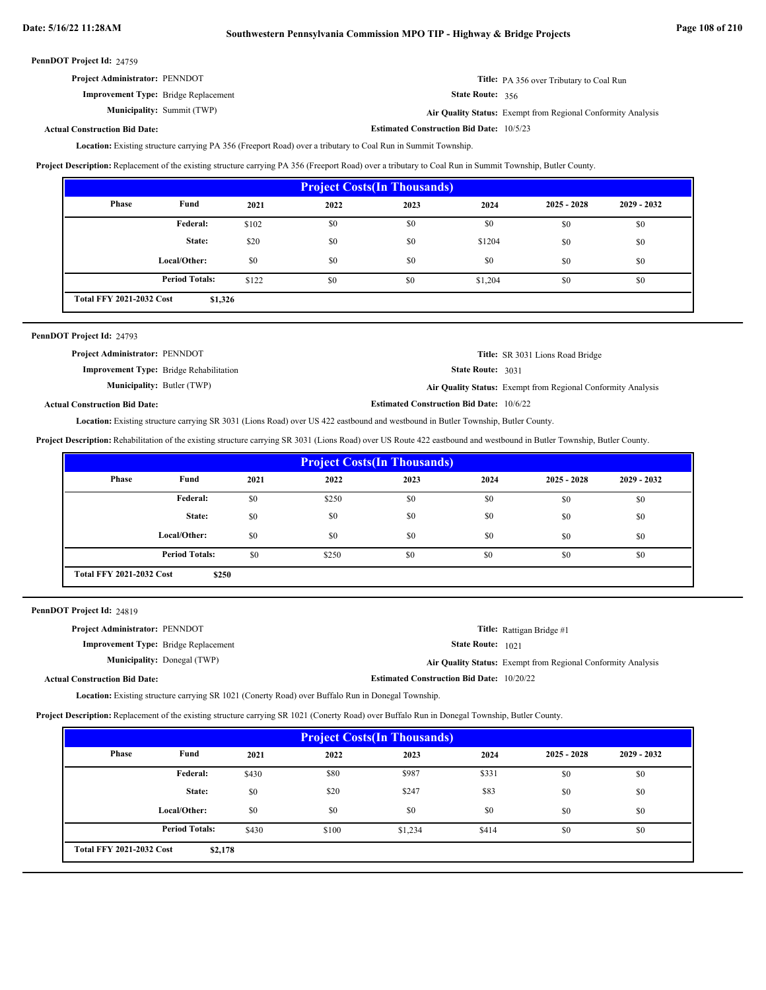| <b>Project Administrator: PENNDOT</b>       | <b>Title:</b> PA 356 over Tributary to Coal Run |
|---------------------------------------------|-------------------------------------------------|
| <b>Improvement Type:</b> Bridge Replacement | State Route: 356                                |

Summit (TWP) **Air Quality Status:** Exempt from Regional Conformity Analysis

**Estimated Construction Bid Date:** 10/5/23

# **Actual Construction Bid Date:**

**Municipality:** Summit (TWP)

Location: Existing structure carrying PA 356 (Freeport Road) over a tributary to Coal Run in Summit Township.

**Project Description:** Replacement of the existing structure carrying PA 356 (Freeport Road) over a tributary to Coal Run in Summit Township, Butler County.

| <b>Project Costs (In Thousands)</b> |                                            |       |      |      |         |               |               |
|-------------------------------------|--------------------------------------------|-------|------|------|---------|---------------|---------------|
| Phase                               | Fund                                       | 2021  | 2022 | 2023 | 2024    | $2025 - 2028$ | $2029 - 2032$ |
|                                     | Federal:                                   | \$102 | \$0  | \$0  | \$0     | \$0           | \$0           |
|                                     | State:                                     | \$20  | \$0  | \$0  | \$1204  | \$0           | \$0           |
|                                     | Local/Other:                               | \$0   | \$0  | \$0  | \$0     | \$0           | \$0           |
|                                     | <b>Period Totals:</b>                      | \$122 | \$0  | \$0  | \$1,204 | \$0           | \$0           |
|                                     | <b>Total FFY 2021-2032 Cost</b><br>\$1,326 |       |      |      |         |               |               |

| PennDOT Project Id: 24793                      |                                                 |                                                              |
|------------------------------------------------|-------------------------------------------------|--------------------------------------------------------------|
| <b>Project Administrator: PENNDOT</b>          |                                                 | <b>Title:</b> SR 3031 Lions Road Bridge                      |
| <b>Improvement Type:</b> Bridge Rehabilitation | <b>State Route: 3031</b>                        |                                                              |
| <b>Municipality:</b> Butler (TWP)              |                                                 | Air Quality Status: Exempt from Regional Conformity Analysis |
| <b>Actual Construction Bid Date:</b>           | <b>Estimated Construction Bid Date: 10/6/22</b> |                                                              |

Location: Existing structure carrying SR 3031 (Lions Road) over US 422 eastbound and westbound in Butler Township, Butler County.

**Project Description:** Rehabilitation of the existing structure carrying SR 3031 (Lions Road) over US Route 422 eastbound and westbound in Butler Township, Butler County.

| <b>Project Costs (In Thousands)</b> |                       |      |       |      |      |               |               |
|-------------------------------------|-----------------------|------|-------|------|------|---------------|---------------|
| Phase                               | Fund                  | 2021 | 2022  | 2023 | 2024 | $2025 - 2028$ | $2029 - 2032$ |
|                                     | <b>Federal:</b>       | \$0  | \$250 | \$0  | \$0  | \$0           | \$0           |
|                                     | State:                | \$0  | \$0   | \$0  | \$0  | \$0           | \$0           |
|                                     | Local/Other:          | \$0  | \$0   | \$0  | \$0  | \$0           | \$0           |
|                                     | <b>Period Totals:</b> | \$0  | \$250 | \$0  | \$0  | \$0           | \$0           |
| <b>Total FFY 2021-2032 Cost</b>     | \$250                 |      |       |      |      |               |               |

PennDOT Project Id: 24819

| <b>Project Administrator: PENNDOT</b>       |                                    |                                                  | Title: Rattigan Bridge #1                                    |
|---------------------------------------------|------------------------------------|--------------------------------------------------|--------------------------------------------------------------|
| <b>Improvement Type:</b> Bridge Replacement |                                    | <b>State Route:</b> 1021                         |                                                              |
|                                             | <b>Municipality:</b> Donegal (TWP) |                                                  | Air Quality Status: Exempt from Regional Conformity Analysis |
| ual Construction Bid Date:                  |                                    | <b>Estimated Construction Bid Date: 10/20/22</b> |                                                              |

Actu

Location: Existing structure carrying SR 1021 (Conerty Road) over Buffalo Run in Donegal Township.

**Project Description:** Replacement of the existing structure carrying SR 1021 (Conerty Road) over Buffalo Run in Donegal Township, Butler County.

| <b>Project Costs (In Thousands)</b>        |                       |       |       |         |       |               |               |
|--------------------------------------------|-----------------------|-------|-------|---------|-------|---------------|---------------|
| Phase                                      | Fund                  | 2021  | 2022  | 2023    | 2024  | $2025 - 2028$ | $2029 - 2032$ |
|                                            | Federal:              | \$430 | \$80  | \$987   | \$331 | \$0           | \$0           |
|                                            | State:                | \$0   | \$20  | \$247   | \$83  | \$0           | \$0           |
|                                            | Local/Other:          | \$0   | \$0   | \$0     | \$0   | \$0           | \$0           |
|                                            | <b>Period Totals:</b> | \$430 | \$100 | \$1,234 | \$414 | \$0           | \$0           |
| <b>Total FFY 2021-2032 Cost</b><br>\$2,178 |                       |       |       |         |       |               |               |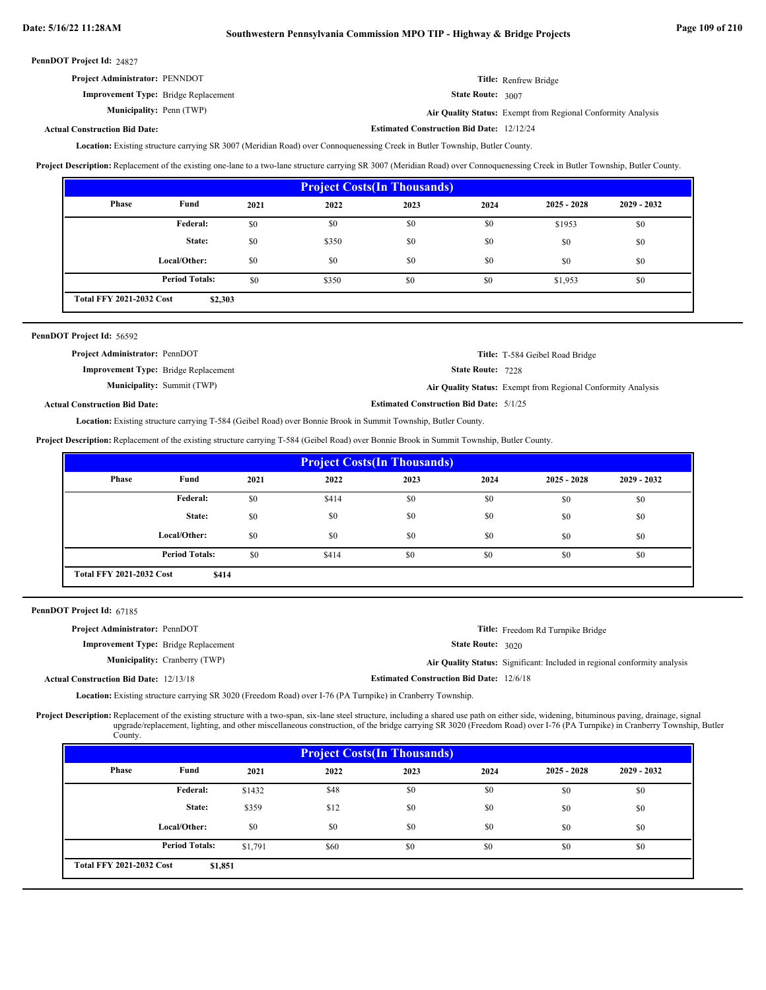| <b>Project Administrator: PENNDOT</b>       | Title: Renfrew Bridge |
|---------------------------------------------|-----------------------|
| <b>Improvement Type:</b> Bridge Replacement | State Route: 3007     |

Penn (TWP) **Air Quality Status:** Exempt from Regional Conformity Analysis

**Estimated Construction Bid Date:** 12/12/24

### **Actual Construction Bid Date:**

Municipality: Penn (TWP)

Location: Existing structure carrying SR 3007 (Meridian Road) over Connoquenessing Creek in Butler Township, Butler County.

**Project Description:** Replacement of the existing one-lane to a two-lane structure carrying SR 3007 (Meridian Road) over Connoquenessing Creek in Butler Township, Butler County.

| <b>Project Costs(In Thousands)</b>         |                       |      |       |      |      |               |               |  |  |
|--------------------------------------------|-----------------------|------|-------|------|------|---------------|---------------|--|--|
| Phase                                      | Fund                  | 2021 | 2022  | 2023 | 2024 | $2025 - 2028$ | $2029 - 2032$ |  |  |
|                                            | Federal:              | \$0  | \$0   | \$0  | \$0  | \$1953        | \$0           |  |  |
|                                            | State:                | \$0  | \$350 | \$0  | \$0  | \$0           | \$0           |  |  |
|                                            | Local/Other:          | \$0  | \$0   | \$0  | \$0  | \$0           | \$0           |  |  |
|                                            | <b>Period Totals:</b> | \$0  | \$350 | \$0  | \$0  | \$1,953       | \$0           |  |  |
| <b>Total FFY 2021-2032 Cost</b><br>\$2,303 |                       |      |       |      |      |               |               |  |  |

| PennDOT Project Id: 56592                   |                                   |                                                |                                                              |
|---------------------------------------------|-----------------------------------|------------------------------------------------|--------------------------------------------------------------|
| Project Administrator: PennDOT              |                                   |                                                | Title: T-584 Geibel Road Bridge                              |
| <b>Improvement Type:</b> Bridge Replacement |                                   | <b>State Route: 7228</b>                       |                                                              |
|                                             | <b>Municipality: Summit (TWP)</b> |                                                | Air Quality Status: Exempt from Regional Conformity Analysis |
| <b>Actual Construction Bid Date:</b>        |                                   | <b>Estimated Construction Bid Date: 5/1/25</b> |                                                              |

Location: Existing structure carrying T-584 (Geibel Road) over Bonnie Brook in Summit Township, Butler County.

**Project Description:** Replacement of the existing structure carrying T-584 (Geibel Road) over Bonnie Brook in Summit Township, Butler County.

| <b>Project Costs (In Thousands)</b>      |                       |      |       |      |      |               |               |  |  |
|------------------------------------------|-----------------------|------|-------|------|------|---------------|---------------|--|--|
| Phase                                    | Fund                  | 2021 | 2022  | 2023 | 2024 | $2025 - 2028$ | $2029 - 2032$ |  |  |
|                                          | Federal:              | \$0  | \$414 | \$0  | \$0  | \$0           | \$0           |  |  |
|                                          | State:                | \$0  | \$0   | \$0  | \$0  | \$0           | \$0           |  |  |
|                                          | Local/Other:          | \$0  | \$0   | \$0  | \$0  | \$0           | \$0           |  |  |
|                                          | <b>Period Totals:</b> | \$0  | \$414 | \$0  | \$0  | \$0           | \$0           |  |  |
| <b>Total FFY 2021-2032 Cost</b><br>\$414 |                       |      |       |      |      |               |               |  |  |

PennDOT Project Id: 67185

| <b>Project Administrator: PennDOT</b>         |                                      |                                                 | <b>Title:</b> Freedom Rd Turnpike Bridge                                         |
|-----------------------------------------------|--------------------------------------|-------------------------------------------------|----------------------------------------------------------------------------------|
| <b>Improvement Type:</b> Bridge Replacement   |                                      | <b>State Route: 3020</b>                        |                                                                                  |
|                                               | <b>Municipality:</b> Cranberry (TWP) |                                                 | <b>Air Quality Status:</b> Significant: Included in regional conformity analysis |
| <b>Actual Construction Bid Date: 12/13/18</b> |                                      | <b>Estimated Construction Bid Date: 12/6/18</b> |                                                                                  |

**Location:** Existing structure carrying SR 3020 (Freedom Road) over I-76 (PA Turnpike) in Cranberry Township.

Project Description: Replacement of the existing structure with a two-span, six-lane steel structure, including a shared use path on either side, widening, bituminous paving, drainage, signal upgrade/replacement, lighting, and other miscellaneous construction, of the bridge carrying SR 3020 (Freedom Road) over I-76 (PA Turnpike) in Cranberry Township, Butler County.

| <b>Project Costs (In Thousands)</b>        |                       |         |      |      |      |               |               |  |  |
|--------------------------------------------|-----------------------|---------|------|------|------|---------------|---------------|--|--|
| Phase                                      | Fund                  | 2021    | 2022 | 2023 | 2024 | $2025 - 2028$ | $2029 - 2032$ |  |  |
|                                            | Federal:              | \$1432  | \$48 | \$0  | \$0  | \$0           | \$0           |  |  |
|                                            | State:                | \$359   | \$12 | \$0  | \$0  | \$0           | \$0           |  |  |
|                                            | Local/Other:          | \$0     | \$0  | \$0  | \$0  | \$0           | \$0           |  |  |
|                                            | <b>Period Totals:</b> | \$1,791 | \$60 | \$0  | \$0  | \$0           | \$0           |  |  |
| <b>Total FFY 2021-2032 Cost</b><br>\$1,851 |                       |         |      |      |      |               |               |  |  |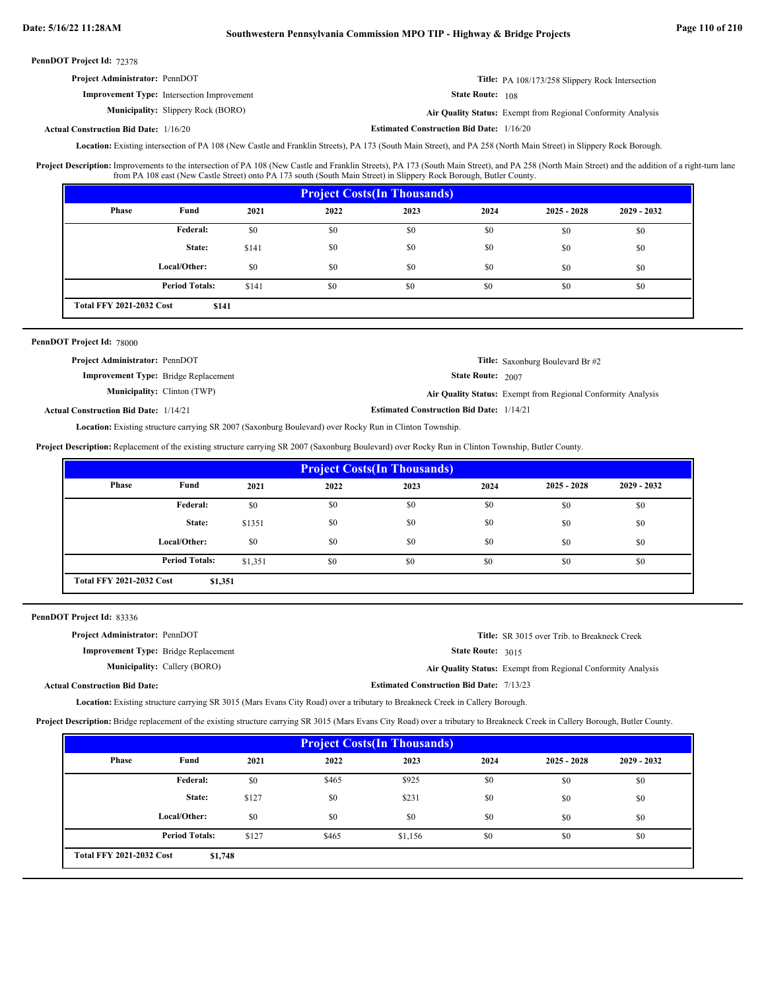# **Date: 5/16/22 11:28AM Southwestern Pennsylvania Commission MPO TIP - Highway & Bridge Projects Page 110 of 210**

PennDOT Project Id: 72378

| <b>Project Administrator: PennDOT</b> |  |  | Title: PA 108/173/258 Slippery Rock Intersection |
|---------------------------------------|--|--|--------------------------------------------------|
| <b>CONTINUES</b>                      |  |  |                                                  |

**Improvement Type:** Intersection Improvement

State Route: 108

**Municipality:** Slippery Rock (BORO) **Air Quality Status:** Air Quality Status: Exempt from Regional Conformity Analysis

**Actual Construction Bid Date:**

**Estimated Construction Bid Date:** 1/16/20 1/16/20

Location: Existing intersection of PA 108 (New Castle and Franklin Streets), PA 173 (South Main Street), and PA 258 (North Main Street) in Slippery Rock Borough.

Improvements to the intersection of PA 108 (New Castle and Franklin Streets), PA 173 (South Main Street), and PA 258 (North Main Street) and the addition of a right-turn lane from PA 108 east (New Castle Street) onto PA 173 south (South Main Street) in Slippery Rock Borough, Butler County. **Project Description:**

| <b>Project Costs (In Thousands)</b>      |                       |       |      |      |      |               |               |  |  |
|------------------------------------------|-----------------------|-------|------|------|------|---------------|---------------|--|--|
| Phase                                    | Fund                  | 2021  | 2022 | 2023 | 2024 | $2025 - 2028$ | $2029 - 2032$ |  |  |
|                                          | <b>Federal:</b>       | \$0   | \$0  | \$0  | \$0  | \$0           | \$0           |  |  |
|                                          | State:                | \$141 | \$0  | \$0  | \$0  | \$0           | \$0           |  |  |
|                                          | Local/Other:          | \$0   | \$0  | \$0  | \$0  | \$0           | \$0           |  |  |
|                                          | <b>Period Totals:</b> | \$141 | \$0  | \$0  | \$0  | \$0           | \$0           |  |  |
| <b>Total FFY 2021-2032 Cost</b><br>\$141 |                       |       |      |      |      |               |               |  |  |

### PennDOT Project Id: 78000

| <b>Project Administrator: PennDOT</b>        |                                    |                                                 | <b>Title:</b> Saxonburg Boulevard Br #2                             |
|----------------------------------------------|------------------------------------|-------------------------------------------------|---------------------------------------------------------------------|
| <b>Improvement Type:</b> Bridge Replacement  |                                    | <b>State Route: 2007</b>                        |                                                                     |
|                                              | <b>Municipality:</b> Clinton (TWP) |                                                 | <b>Air Quality Status:</b> Exempt from Regional Conformity Analysis |
| <b>Actual Construction Bid Date: 1/14/21</b> |                                    | <b>Estimated Construction Bid Date: 1/14/21</b> |                                                                     |

Location: Existing structure carrying SR 2007 (Saxonburg Boulevard) over Rocky Run in Clinton Township.

**Project Description:** Replacement of the existing structure carrying SR 2007 (Saxonburg Boulevard) over Rocky Run in Clinton Township, Butler County.

|                                            | <b>Project Costs (In Thousands)</b> |         |      |      |      |               |               |  |  |
|--------------------------------------------|-------------------------------------|---------|------|------|------|---------------|---------------|--|--|
| <b>Phase</b>                               | Fund                                | 2021    | 2022 | 2023 | 2024 | $2025 - 2028$ | $2029 - 2032$ |  |  |
|                                            | Federal:                            | \$0     | \$0  | \$0  | \$0  | \$0           | \$0           |  |  |
|                                            | State:                              | \$1351  | \$0  | \$0  | \$0  | \$0           | \$0           |  |  |
|                                            | Local/Other:                        | \$0     | \$0  | \$0  | \$0  | \$0           | \$0           |  |  |
|                                            | <b>Period Totals:</b>               | \$1,351 | \$0  | \$0  | \$0  | \$0           | \$0           |  |  |
| <b>Total FFY 2021-2032 Cost</b><br>\$1,351 |                                     |         |      |      |      |               |               |  |  |

PennDOT Project Id: 83336

| <b>Project Administrator: PennDOT</b>       |                                     |                                                 | <b>Title:</b> SR 3015 over Trib. to Breakneck Creek          |
|---------------------------------------------|-------------------------------------|-------------------------------------------------|--------------------------------------------------------------|
| <b>Improvement Type:</b> Bridge Replacement |                                     | <b>State Route: 3015</b>                        |                                                              |
|                                             | <b>Municipality:</b> Callery (BORO) |                                                 | Air Quality Status: Exempt from Regional Conformity Analysis |
| <b>Actual Construction Bid Date:</b>        |                                     | <b>Estimated Construction Bid Date: 7/13/23</b> |                                                              |
|                                             |                                     |                                                 |                                                              |

Location: Existing structure carrying SR 3015 (Mars Evans City Road) over a tributary to Breakneck Creek in Callery Borough.

**Project Description:** Bridge replacement of the existing structure carrying SR 3015 (Mars Evans City Road) over a tributary to Breakneck Creek in Callery Borough, Butler County.

| <b>Project Costs (In Thousands)</b>        |                       |       |       |         |      |               |               |  |  |
|--------------------------------------------|-----------------------|-------|-------|---------|------|---------------|---------------|--|--|
| Phase                                      | Fund                  | 2021  | 2022  | 2023    | 2024 | $2025 - 2028$ | $2029 - 2032$ |  |  |
|                                            | Federal:              | \$0   | \$465 | \$925   | \$0  | \$0           | \$0           |  |  |
|                                            | State:                | \$127 | \$0   | \$231   | \$0  | \$0           | \$0           |  |  |
|                                            | Local/Other:          | \$0   | \$0   | \$0     | \$0  | \$0           | \$0           |  |  |
|                                            | <b>Period Totals:</b> | \$127 | \$465 | \$1,156 | \$0  | \$0           | \$0           |  |  |
| <b>Total FFY 2021-2032 Cost</b><br>\$1,748 |                       |       |       |         |      |               |               |  |  |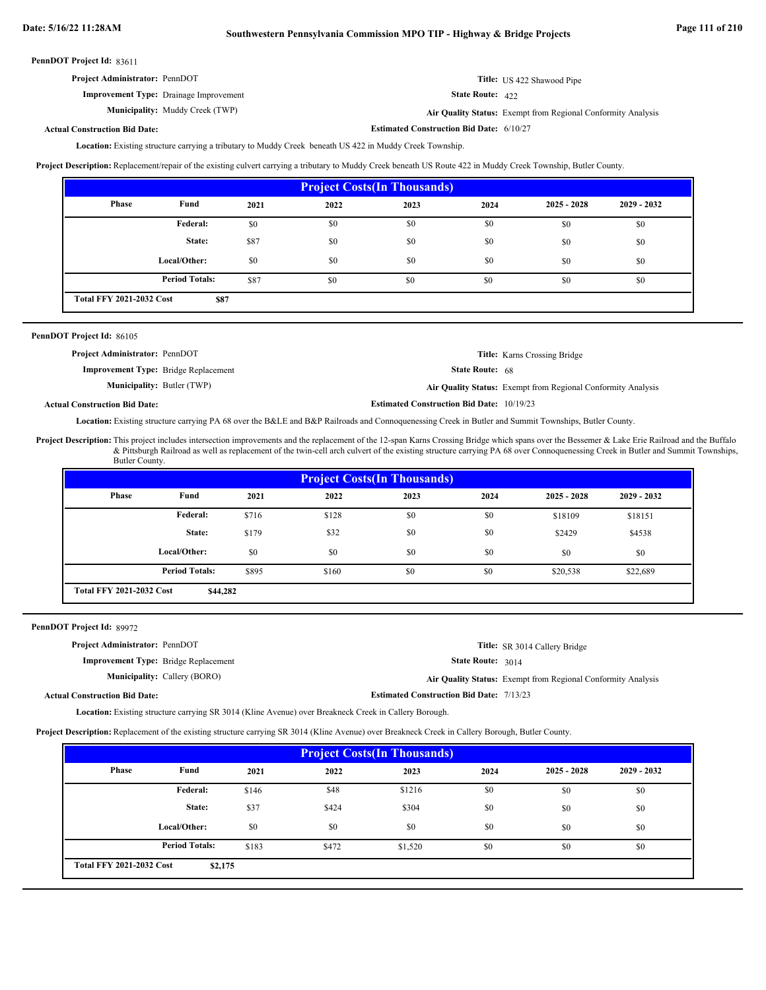| <b>Project Administrator: PennDOT</b>         | Title: US 422 Shawood Pipe |
|-----------------------------------------------|----------------------------|
| <b>Improvement Type:</b> Drainage Improvement | <b>State Route:</b> $422$  |

**Estimated Construction Bid Date:** 6/10/27 **Municipality:** Muddy Creek (TWP) **Air Quality Status:** Air Quality Status: Exempt from Regional Conformity Analysis

### **Actual Construction Bid Date:**

Location: Existing structure carrying a tributary to Muddy Creek beneath US 422 in Muddy Creek Township.

Project Description: Replacement/repair of the existing culvert carrying a tributary to Muddy Creek beneath US Route 422 in Muddy Creek Township, Butler County.

| <b>Project Costs (In Thousands)</b> |                                         |      |      |      |      |               |               |  |  |
|-------------------------------------|-----------------------------------------|------|------|------|------|---------------|---------------|--|--|
| Phase                               | Fund                                    | 2021 | 2022 | 2023 | 2024 | $2025 - 2028$ | $2029 - 2032$ |  |  |
|                                     | Federal:                                | \$0  | \$0  | \$0  | \$0  | \$0           | \$0           |  |  |
|                                     | State:                                  | \$87 | \$0  | \$0  | \$0  | \$0           | \$0           |  |  |
|                                     | Local/Other:                            | \$0  | \$0  | \$0  | \$0  | \$0           | \$0           |  |  |
|                                     | <b>Period Totals:</b>                   | \$87 | \$0  | \$0  | \$0  | \$0           | \$0           |  |  |
|                                     | <b>Total FFY 2021-2032 Cost</b><br>\$87 |      |      |      |      |               |               |  |  |

### PennDOT Project Id: 86105

| <b>Project Administrator: PennDOT</b>       |                                                  | <b>Title:</b> Karns Crossing Bridge                          |
|---------------------------------------------|--------------------------------------------------|--------------------------------------------------------------|
| <b>Improvement Type:</b> Bridge Replacement | <b>State Route:</b> $68$                         |                                                              |
| <b>Municipality:</b> Butler (TWP)           |                                                  | Air Quality Status: Exempt from Regional Conformity Analysis |
| al Construction Bid Date:                   | <b>Estimated Construction Bid Date: 10/19/23</b> |                                                              |

### **Actual Construction Bid Date:**

Location: Existing structure carrying PA 68 over the B&LE and B&P Railroads and Connoquenessing Creek in Butler and Summit Townships, Butler County.

Project Description: This project includes intersection improvements and the replacement of the 12-span Karns Crossing Bridge which spans over the Bessemer & Lake Erie Railroad and the Buffalo & Pittsburgh Railroad as well as replacement of the twin-cell arch culvert of the existing structure carrying PA 68 over Connoquenessing Creek in Butler and Summit Townships, Butler County.

| <b>Project Costs (In Thousands)</b> |                                                                               |       |       |      |      |               |               |  |  |
|-------------------------------------|-------------------------------------------------------------------------------|-------|-------|------|------|---------------|---------------|--|--|
| Phase                               | Fund                                                                          | 2021  | 2022  | 2023 | 2024 | $2025 - 2028$ | $2029 - 2032$ |  |  |
|                                     | Federal:                                                                      | \$716 | \$128 | \$0  | \$0  | \$18109       | \$18151       |  |  |
|                                     | State:                                                                        | \$179 | \$32  | \$0  | \$0  | \$2429        | \$4538        |  |  |
|                                     | Local/Other:                                                                  | \$0   | \$0   | \$0  | \$0  | \$0           | \$0           |  |  |
|                                     | <b>Period Totals:</b><br>\$895<br>\$0<br>\$0<br>\$160<br>\$20,538<br>\$22,689 |       |       |      |      |               |               |  |  |
|                                     | <b>Total FFY 2021-2032 Cost</b><br>\$44,282                                   |       |       |      |      |               |               |  |  |

### PennDOT Project Id: 89972

| <b>Project Administrator: PennDOT</b>       |                                     |                                                 | Title: SR 3014 Callery Bridge                                |
|---------------------------------------------|-------------------------------------|-------------------------------------------------|--------------------------------------------------------------|
| <b>Improvement Type:</b> Bridge Replacement |                                     | <b>State Route: 3014</b>                        |                                                              |
|                                             | <b>Municipality:</b> Callery (BORO) |                                                 | Air Quality Status: Exempt from Regional Conformity Analysis |
| <b>Actual Construction Bid Date:</b>        |                                     | <b>Estimated Construction Bid Date: 7/13/23</b> |                                                              |

Location: Existing structure carrying SR 3014 (Kline Avenue) over Breakneck Creek in Callery Borough.

**Project Description:** Replacement of the existing structure carrying SR 3014 (Kline Avenue) over Breakneck Creek in Callery Borough, Butler County.

| <b>Project Costs (In Thousands)</b> |                                            |       |       |         |      |               |               |  |  |
|-------------------------------------|--------------------------------------------|-------|-------|---------|------|---------------|---------------|--|--|
| Phase                               | Fund                                       | 2021  | 2022  | 2023    | 2024 | $2025 - 2028$ | $2029 - 2032$ |  |  |
|                                     | Federal:                                   | \$146 | \$48  | \$1216  | \$0  | \$0           | \$0           |  |  |
|                                     | State:                                     | \$37  | \$424 | \$304   | \$0  | \$0           | \$0           |  |  |
|                                     | Local/Other:                               | \$0   | \$0   | \$0     | \$0  | \$0           | \$0           |  |  |
|                                     | <b>Period Totals:</b>                      | \$183 | \$472 | \$1,520 | \$0  | \$0           | \$0           |  |  |
|                                     | <b>Total FFY 2021-2032 Cost</b><br>\$2,175 |       |       |         |      |               |               |  |  |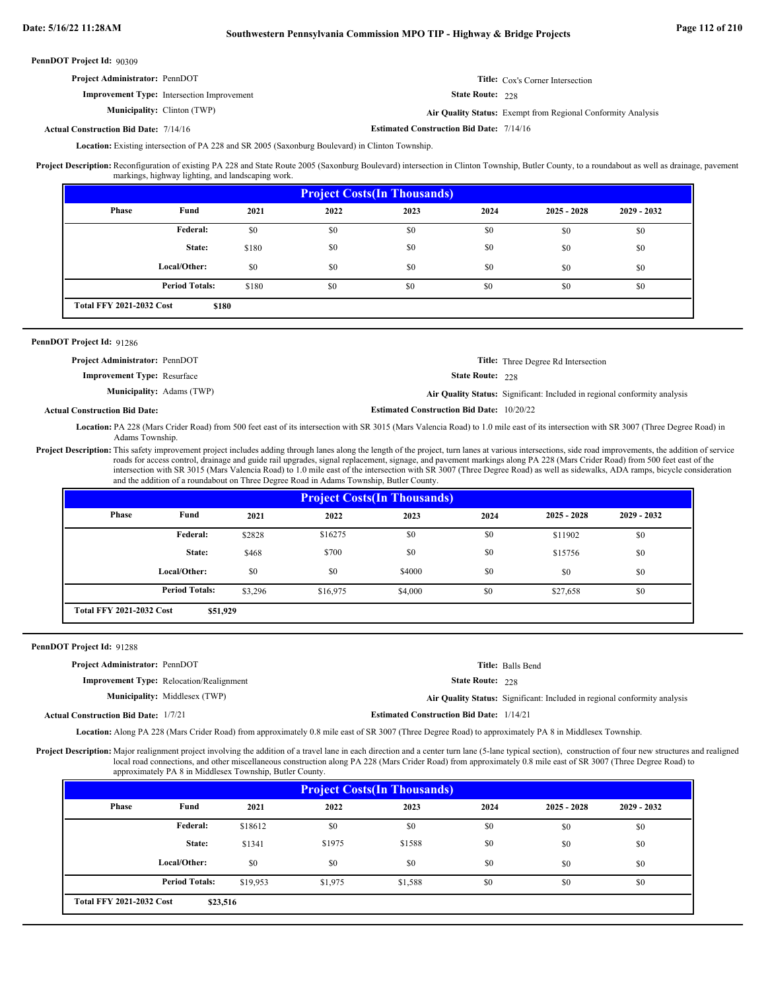| <b>Project Administrator: PennDOT</b>             |                         | <b>Title:</b> Cox's Corner Intersection                      |
|---------------------------------------------------|-------------------------|--------------------------------------------------------------|
| <b>Improvement Type:</b> Intersection Improvement | <b>State Route: 228</b> |                                                              |
| <b>Municipality:</b> Clinton (TWP)                |                         | Air Quality Status: Exempt from Regional Conformity Analysis |

### **Estimated Construction Bid Date:** 7/14/16 7/14/16 **Actual Construction Bid Date:**

Location: Existing intersection of PA 228 and SR 2005 (Saxonburg Boulevard) in Clinton Township.

Project Description: Reconfiguration of existing PA 228 and State Route 2005 (Saxonburg Boulevard) intersection in Clinton Township, Butler County, to a roundabout as well as drainage, pavement markings, highway lighting, and landscaping work.

| <b>Project Costs (In Thousands)</b>                               |              |       |      |      |      |               |               |  |  |
|-------------------------------------------------------------------|--------------|-------|------|------|------|---------------|---------------|--|--|
| <b>Phase</b>                                                      | Fund         | 2021  | 2022 | 2023 | 2024 | $2025 - 2028$ | $2029 - 2032$ |  |  |
|                                                                   | Federal:     | \$0   | \$0  | \$0  | \$0  | \$0           | \$0           |  |  |
|                                                                   | State:       | \$180 | \$0  | \$0  | \$0  | \$0           | \$0           |  |  |
|                                                                   | Local/Other: | \$0   | \$0  | \$0  | \$0  | \$0           | \$0           |  |  |
| <b>Period Totals:</b><br>\$0<br>\$0<br>\$180<br>\$0<br>\$0<br>\$0 |              |       |      |      |      |               |               |  |  |
| <b>Total FFY 2021-2032 Cost</b>                                   | \$180        |       |      |      |      |               |               |  |  |

### PennDOT Project Id: 91286

Actual

| <b>Project Administrator: PennDOT</b> |                                                  | <b>Title:</b> Three Degree Rd Intersection                                |
|---------------------------------------|--------------------------------------------------|---------------------------------------------------------------------------|
| <b>Improvement Type:</b> Resurface    | <b>State Route: 228</b>                          |                                                                           |
| <b>Municipality:</b> Adams (TWP)      |                                                  | Air Quality Status: Significant: Included in regional conformity analysis |
| l Construction Bid Date:              | <b>Estimated Construction Bid Date: 10/20/22</b> |                                                                           |

Location: PA 228 (Mars Crider Road) from 500 feet east of its intersection with SR 3015 (Mars Valencia Road) to 1.0 mile east of its intersection with SR 3007 (Three Degree Road) in Adams Township.

Project Description: This safety improvement project includes adding through lanes along the length of the project, turn lanes at various intersections, side road improvements, the addition of service roads for access control, drainage and guide rail upgrades, signal replacement, signage, and pavement markings along PA 228 (Mars Crider Road) from 500 feet east of the intersection with SR 3015 (Mars Valencia Road) to 1.0 mile east of the intersection with SR 3007 (Three Degree Road) as well as sidewalks, ADA ramps, bicycle consideration and the addition of a roundabout on Three Degree Road in Adams Township, Butler County.

| <b>Project Costs (In Thousands)</b> |                                                                                   |        |         |        |      |               |               |  |  |  |
|-------------------------------------|-----------------------------------------------------------------------------------|--------|---------|--------|------|---------------|---------------|--|--|--|
| Phase                               | Fund                                                                              | 2021   | 2022    | 2023   | 2024 | $2025 - 2028$ | $2029 - 2032$ |  |  |  |
|                                     | Federal:                                                                          | \$2828 | \$16275 | \$0    | \$0  | \$11902       | \$0           |  |  |  |
|                                     | State:                                                                            | \$468  | \$700   | \$0    | \$0  | \$15756       | \$0           |  |  |  |
|                                     | Local/Other:                                                                      | \$0    | \$0     | \$4000 | \$0  | \$0           | \$0           |  |  |  |
|                                     | <b>Period Totals:</b><br>\$0<br>\$3.296<br>\$0<br>\$16,975<br>\$4,000<br>\$27,658 |        |         |        |      |               |               |  |  |  |
|                                     | <b>Total FFY 2021-2032 Cost</b><br>\$51,929                                       |        |         |        |      |               |               |  |  |  |

### PennDOT Project Id: 91288

| Project Administrator: PennDOT |  |  |  |  |  |
|--------------------------------|--|--|--|--|--|
|                                |  |  |  |  |  |

**Improvement Type:** Relocation/Realignment Municipality: Middlesex (TWP)

State Route: 228 **Title:** Balls Bend

Middlesex (TWP) **Air Quality Status:** Significant: Included in regional conformity analysis

**Estimated Construction Bid Date:** 1/14/21 **Actual Construction Bid Date:**

Location: Along PA 228 (Mars Crider Road) from approximately 0.8 mile east of SR 3007 (Three Degree Road) to approximately PA 8 in Middlesex Township.

Project Description: Major realignment project involving the addition of a travel lane in each direction and a center turn lane (5-lane typical section), construction of four new structures and realigned local road connections, and other miscellaneous construction along PA 228 (Mars Crider Road) from approximately 0.8 mile east of SR 3007 (Three Degree Road) to approximately PA 8 in Middlesex Township, Butler County.

| <b>Project Costs (In Thousands)</b> |                       |          |         |         |      |               |               |  |  |
|-------------------------------------|-----------------------|----------|---------|---------|------|---------------|---------------|--|--|
| Phase                               | Fund                  | 2021     | 2022    | 2023    | 2024 | $2025 - 2028$ | $2029 - 2032$ |  |  |
|                                     | Federal:              | \$18612  | \$0     | \$0     | \$0  | \$0           | \$0           |  |  |
|                                     | State:                | \$1341   | \$1975  | \$1588  | \$0  | \$0           | \$0           |  |  |
|                                     | Local/Other:          | \$0      | \$0     | \$0     | \$0  | \$0           | \$0           |  |  |
|                                     | <b>Period Totals:</b> | \$19,953 | \$1,975 | \$1,588 | \$0  | \$0           | \$0           |  |  |
| <b>Total FFY 2021-2032 Cost</b>     | \$23,516              |          |         |         |      |               |               |  |  |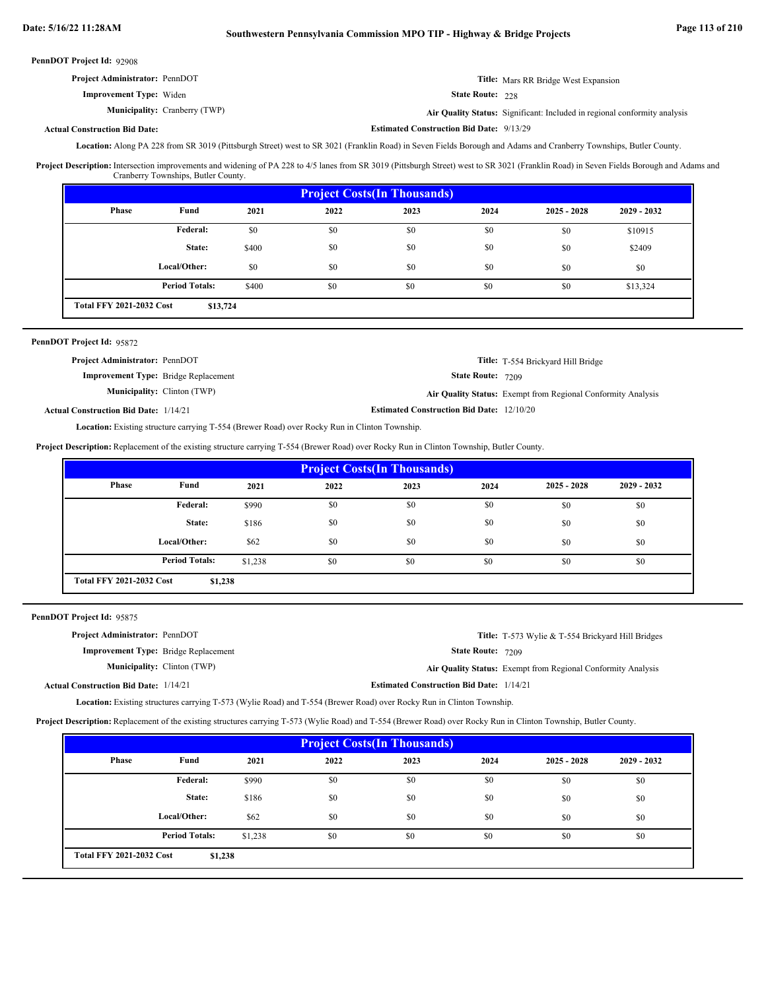**Estimated Construction Bid Date:** 9/13/29

PennDOT Project Id: 92908

| <b>Project Administrator: PennDOT</b> | <b>Title:</b> Mars RR Bridge West Expansion                      |
|---------------------------------------|------------------------------------------------------------------|
| <b>Improvement Type:</b> Widen        | <b>State Route: 228</b>                                          |
| <b>Municipality:</b> Cranberry (TWP)  | Air Quality Status: Significant: Included in regional conformity |

Cranberry (TWP) **Air Quality Status:** Significant: Included in regional conformity analysis

### **Actual Construction Bid Date:**

Location: Along PA 228 from SR 3019 (Pittsburgh Street) west to SR 3021 (Franklin Road) in Seven Fields Borough and Adams and Cranberry Townships, Butler County.

Project Description: Intersection improvements and widening of PA 228 to 4/5 lanes from SR 3019 (Pittsburgh Street) west to SR 3021 (Franklin Road) in Seven Fields Borough and Adams and Cranberry Townships, Butler County.

| <b>Project Costs (In Thousands)</b>         |                       |       |      |      |      |               |               |
|---------------------------------------------|-----------------------|-------|------|------|------|---------------|---------------|
| Phase                                       | Fund                  | 2021  | 2022 | 2023 | 2024 | $2025 - 2028$ | $2029 - 2032$ |
|                                             | Federal:              | \$0   | \$0  | \$0  | \$0  | \$0           | \$10915       |
|                                             | State:                | \$400 | \$0  | \$0  | \$0  | \$0           | \$2409        |
|                                             | Local/Other:          | \$0   | \$0  | \$0  | \$0  | \$0           | \$0           |
|                                             | <b>Period Totals:</b> | \$400 | \$0  | \$0  | \$0  | \$0           | \$13,324      |
| <b>Total FFY 2021-2032 Cost</b><br>\$13,724 |                       |       |      |      |      |               |               |

### PennDOT Project Id: 95872

| <b>Project Administrator: PennDOT</b>        |                                    |                                                  | Title: T-554 Brickyard Hill Bridge                           |
|----------------------------------------------|------------------------------------|--------------------------------------------------|--------------------------------------------------------------|
| <b>Improvement Type:</b> Bridge Replacement  |                                    | <b>State Route: 7209</b>                         |                                                              |
|                                              | <b>Municipality:</b> Clinton (TWP) |                                                  | Air Quality Status: Exempt from Regional Conformity Analysis |
| <b>Actual Construction Bid Date: 1/14/21</b> |                                    | <b>Estimated Construction Bid Date: 12/10/20</b> |                                                              |

Location: Existing structure carrying T-554 (Brewer Road) over Rocky Run in Clinton Township.

**Project Description:** Replacement of the existing structure carrying T-554 (Brewer Road) over Rocky Run in Clinton Township, Butler County.

| <b>Project Costs (In Thousands)</b>        |                       |         |      |      |      |               |               |
|--------------------------------------------|-----------------------|---------|------|------|------|---------------|---------------|
| Phase                                      | Fund                  | 2021    | 2022 | 2023 | 2024 | $2025 - 2028$ | $2029 - 2032$ |
|                                            | Federal:              | \$990   | \$0  | \$0  | \$0  | \$0           | \$0           |
|                                            | State:                | \$186   | \$0  | \$0  | \$0  | \$0           | \$0           |
|                                            | Local/Other:          | \$62    | \$0  | \$0  | \$0  | \$0           | \$0           |
|                                            | <b>Period Totals:</b> | \$1,238 | \$0  | \$0  | \$0  | \$0           | \$0           |
| <b>Total FFY 2021-2032 Cost</b><br>\$1,238 |                       |         |      |      |      |               |               |

### PennDOT Project Id: 95875

| <b>Project Administrator: PennDOT</b>        |                                    |                                                 | Title: T-573 Wylie & T-554 Brickyard Hill Bridges            |
|----------------------------------------------|------------------------------------|-------------------------------------------------|--------------------------------------------------------------|
| <b>Improvement Type:</b> Bridge Replacement  |                                    | <b>State Route: 7209</b>                        |                                                              |
|                                              | <b>Municipality:</b> Clinton (TWP) |                                                 | Air Quality Status: Exempt from Regional Conformity Analysis |
| <b>Actual Construction Bid Date: 1/14/21</b> |                                    | <b>Estimated Construction Bid Date: 1/14/21</b> |                                                              |

Location: Existing structures carrying T-573 (Wylie Road) and T-554 (Brewer Road) over Rocky Run in Clinton Township.

**Project Description:** Replacement of the existing structures carrying T-573 (Wylie Road) and T-554 (Brewer Road) over Rocky Run in Clinton Township, Butler County.

| <b>Project Costs (In Thousands)</b>        |                       |         |      |      |      |               |               |
|--------------------------------------------|-----------------------|---------|------|------|------|---------------|---------------|
| Phase                                      | Fund                  | 2021    | 2022 | 2023 | 2024 | $2025 - 2028$ | $2029 - 2032$ |
|                                            | Federal:              | \$990   | \$0  | \$0  | \$0  | \$0           | \$0           |
|                                            | State:                | \$186   | \$0  | \$0  | \$0  | \$0           | \$0           |
|                                            | Local/Other:          | \$62    | \$0  | \$0  | \$0  | \$0           | \$0           |
|                                            | <b>Period Totals:</b> | \$1,238 | \$0  | \$0  | \$0  | \$0           | \$0           |
| <b>Total FFY 2021-2032 Cost</b><br>\$1,238 |                       |         |      |      |      |               |               |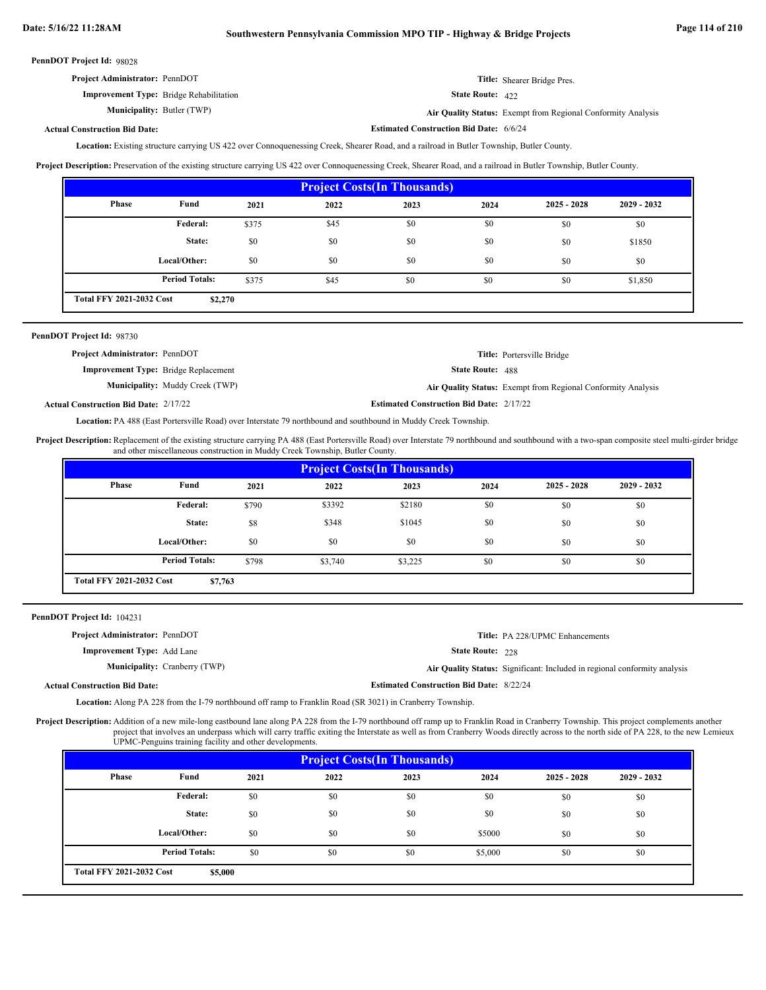**Estimated Construction Bid Date:** 6/6/24

PennDOT Project Id: 98028

| <b>Project Administrator: PennDOT</b>          | Title: Shearer Bridge Pres. |
|------------------------------------------------|-----------------------------|
| <b>Improvement Type:</b> Bridge Rehabilitation | State Route: 422            |

Butler (TWP) **Air Quality Status:** Exempt from Regional Conformity Analysis

### **Actual Construction Bid Date:**

**Municipality:** Butler (TWP)

Location: Existing structure carrying US 422 over Connoquenessing Creek, Shearer Road, and a railroad in Butler Township, Butler County.

**Project Description:** Preservation of the existing structure carrying US 422 over Connoquenessing Creek, Shearer Road, and a railroad in Butler Township, Butler County.

| <b>Project Costs (In Thousands)</b>        |                       |       |      |      |      |               |               |
|--------------------------------------------|-----------------------|-------|------|------|------|---------------|---------------|
| Phase                                      | Fund                  | 2021  | 2022 | 2023 | 2024 | $2025 - 2028$ | $2029 - 2032$ |
|                                            | <b>Federal:</b>       | \$375 | \$45 | \$0  | \$0  | \$0           | \$0           |
|                                            | State:                | \$0   | \$0  | \$0  | \$0  | \$0           | \$1850        |
|                                            | Local/Other:          | \$0   | \$0  | \$0  | \$0  | \$0           | \$0           |
|                                            | <b>Period Totals:</b> | \$375 | \$45 | \$0  | \$0  | \$0           | \$1,850       |
| <b>Total FFY 2021-2032 Cost</b><br>\$2,270 |                       |       |      |      |      |               |               |

| PennDOT Project Id: 98730                    |                                        |                                                 |                                                              |
|----------------------------------------------|----------------------------------------|-------------------------------------------------|--------------------------------------------------------------|
| <b>Project Administrator: PennDOT</b>        |                                        |                                                 | Title: Portersville Bridge                                   |
| <b>Improvement Type:</b> Bridge Replacement  |                                        | <b>State Route: 488</b>                         |                                                              |
|                                              | <b>Municipality:</b> Muddy Creek (TWP) |                                                 | Air Quality Status: Exempt from Regional Conformity Analysis |
| <b>Actual Construction Bid Date: 2/17/22</b> |                                        | <b>Estimated Construction Bid Date: 2/17/22</b> |                                                              |

Location: PA 488 (East Portersville Road) over Interstate 79 northbound and southbound in Muddy Creek Township.

Project Description: Replacement of the existing structure carrying PA 488 (East Portersville Road) over Interstate 79 northbound and southbound with a two-span composite steel multi-girder bridge and other miscellaneous construction in Muddy Creek Township, Butler County.

|                                            | <b>Project Costs (In Thousands)</b> |       |         |         |      |               |               |  |
|--------------------------------------------|-------------------------------------|-------|---------|---------|------|---------------|---------------|--|
| Phase                                      | Fund                                | 2021  | 2022    | 2023    | 2024 | $2025 - 2028$ | $2029 - 2032$ |  |
|                                            | Federal:                            | \$790 | \$3392  | \$2180  | \$0  | \$0           | \$0           |  |
|                                            | State:                              | \$8   | \$348   | \$1045  | \$0  | \$0           | \$0           |  |
|                                            | Local/Other:                        | \$0   | \$0     | \$0     | \$0  | \$0           | \$0           |  |
|                                            | <b>Period Totals:</b>               | \$798 | \$3,740 | \$3,225 | \$0  | \$0           | \$0           |  |
| <b>Total FFY 2021-2032 Cost</b><br>\$7,763 |                                     |       |         |         |      |               |               |  |

PennDOT Project Id: 104231

| <b>Project Administrator: PennDOT</b>                                                                                                                                                                                          | <b>Title:</b> PA 228/UPMC Enhancements                                    |
|--------------------------------------------------------------------------------------------------------------------------------------------------------------------------------------------------------------------------------|---------------------------------------------------------------------------|
| <b>Improvement Type:</b> Add Lane                                                                                                                                                                                              | <b>State Route: 228</b>                                                   |
| <b>Municipality:</b> Cranberry (TWP)                                                                                                                                                                                           | Air Quality Status: Significant: Included in regional conformity analysis |
| <b>Actual Construction Bid Date:</b>                                                                                                                                                                                           | <b>Estimated Construction Bid Date: 8/22/24</b>                           |
| with the methods of which is a constructed in the second contract of the second second in the second second second in the second second in the second second in the second second second in the second second in the second se |                                                                           |

Location: Along PA 228 from the I-79 northbound off ramp to Franklin Road (SR 3021) in Cranberry Township.

Project Description: Addition of a new mile-long eastbound lane along PA 228 from the I-79 northbound off ramp up to Franklin Road in Cranberry Township. This project complements another project that involves an underpass which will carry traffic exiting the Interstate as well as from Cranberry Woods directly across to the north side of PA 228, to the new Lemieux UPMC-Penguins training facility and other developments.

| <b>Project Costs (In Thousands)</b>        |                       |      |      |      |         |               |               |
|--------------------------------------------|-----------------------|------|------|------|---------|---------------|---------------|
| Phase                                      | Fund                  | 2021 | 2022 | 2023 | 2024    | $2025 - 2028$ | $2029 - 2032$ |
|                                            | Federal:              | \$0  | \$0  | \$0  | \$0     | \$0           | \$0           |
|                                            | State:                | \$0  | \$0  | \$0  | \$0     | \$0           | \$0           |
|                                            | Local/Other:          | \$0  | \$0  | \$0  | \$5000  | \$0           | \$0           |
|                                            | <b>Period Totals:</b> | \$0  | \$0  | \$0  | \$5,000 | \$0           | \$0           |
| <b>Total FFY 2021-2032 Cost</b><br>\$5,000 |                       |      |      |      |         |               |               |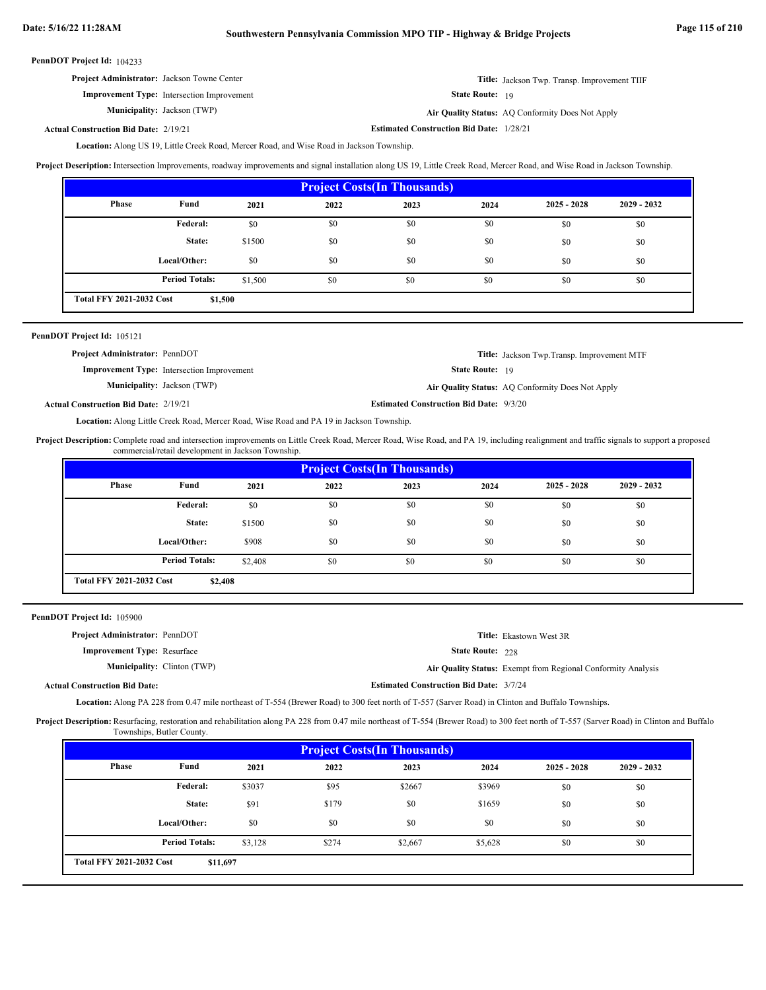# **Date: 5/16/22 11:28AM Southwestern Pennsylvania Commission MPO TIP - Highway & Bridge Projects Page 115 of 210**

|  | PennDOT Project Id: 104233 |  |
|--|----------------------------|--|
|--|----------------------------|--|

**Title:** Jackson Twp. Transp. Improvement TIIF **Improvement Type:** Intersection Improvement **Project Administrator:** Jackson Towne Center

**Municipality:**

State Route: 19

Jackson (TWP) **Air Quality Status:** AQ Conformity Does Not Apply

**Estimated Construction Bid Date:** 2/19/21 1/28/21 **Actual Construction Bid Date:**

Location: Along US 19, Little Creek Road, Mercer Road, and Wise Road in Jackson Township.

Project Description: Intersection Improvements, roadway improvements and signal installation along US 19, Little Creek Road, Mercer Road, and Wise Road in Jackson Township.

| <b>Project Costs (In Thousands)</b>        |                       |         |      |      |      |               |               |
|--------------------------------------------|-----------------------|---------|------|------|------|---------------|---------------|
| <b>Phase</b>                               | Fund                  | 2021    | 2022 | 2023 | 2024 | $2025 - 2028$ | $2029 - 2032$ |
|                                            | Federal:              | \$0     | \$0  | \$0  | \$0  | \$0           | \$0           |
|                                            | State:                | \$1500  | \$0  | \$0  | \$0  | \$0           | \$0           |
|                                            | Local/Other:          | \$0     | \$0  | \$0  | \$0  | \$0           | \$0           |
|                                            | <b>Period Totals:</b> | \$1,500 | \$0  | \$0  | \$0  | \$0           | \$0           |
| <b>Total FFY 2021-2032 Cost</b><br>\$1,500 |                       |         |      |      |      |               |               |

| <b>PennDOT Project Id: 105121</b>            |                                                   |                                                |                                                    |
|----------------------------------------------|---------------------------------------------------|------------------------------------------------|----------------------------------------------------|
| <b>Project Administrator: PennDOT</b>        |                                                   |                                                | <b>Title:</b> Jackson Twp. Transp. Improvement MTF |
|                                              | <b>Improvement Type:</b> Intersection Improvement | <b>State Route:</b> 19                         |                                                    |
|                                              | <b>Municipality:</b> Jackson (TWP)                |                                                | Air Quality Status: AQ Conformity Does Not Apply   |
| <b>Actual Construction Bid Date: 2/19/21</b> |                                                   | <b>Estimated Construction Bid Date: 9/3/20</b> |                                                    |

Location: Along Little Creek Road, Mercer Road, Wise Road and PA 19 in Jackson Township.

Project Description: Complete road and intersection improvements on Little Creek Road, Mercer Road, Wise Road, and PA 19, including realignment and traffic signals to support a proposed commercial/retail development in Jackson Township.

| <b>Project Costs (In Thousands)</b>        |                       |         |      |      |      |               |               |
|--------------------------------------------|-----------------------|---------|------|------|------|---------------|---------------|
| Phase                                      | Fund                  | 2021    | 2022 | 2023 | 2024 | $2025 - 2028$ | $2029 - 2032$ |
|                                            | Federal:              | \$0     | \$0  | \$0  | \$0  | \$0           | \$0           |
|                                            | State:                | \$1500  | \$0  | \$0  | \$0  | \$0           | \$0           |
|                                            | Local/Other:          | \$908   | \$0  | \$0  | \$0  | \$0           | \$0           |
|                                            | <b>Period Totals:</b> | \$2,408 | \$0  | \$0  | \$0  | \$0           | \$0           |
| <b>Total FFY 2021-2032 Cost</b><br>\$2,408 |                       |         |      |      |      |               |               |

| PennDOT Project Id: 105900                                                                                                                               |                                    |                                                |                                                              |  |  |  |
|----------------------------------------------------------------------------------------------------------------------------------------------------------|------------------------------------|------------------------------------------------|--------------------------------------------------------------|--|--|--|
| Project Administrator: PennDOT                                                                                                                           |                                    |                                                | <b>Title:</b> Ekastown West 3R                               |  |  |  |
| <b>Improvement Type: Resurface</b>                                                                                                                       |                                    | <b>State Route: 228</b>                        |                                                              |  |  |  |
|                                                                                                                                                          | <b>Municipality:</b> Clinton (TWP) |                                                | Air Quality Status: Exempt from Regional Conformity Analysis |  |  |  |
| <b>Actual Construction Bid Date:</b>                                                                                                                     |                                    | <b>Estimated Construction Bid Date: 3/7/24</b> |                                                              |  |  |  |
| <b>Location:</b> Along PA 228 from 0.47 mile northeast of T-554 (Brewer Road) to 300 feet north of T-557 (Sarver Road) in Clinton and Buffalo Townships. |                                    |                                                |                                                              |  |  |  |

Project Description: Resurfacing, restoration and rehabilitation along PA 228 from 0.47 mile northeast of T-554 (Brewer Road) to 300 feet north of T-557 (Sarver Road) in Clinton and Buffalo Townships, Butler County.

| <b>Project Costs (In Thousands)</b>         |                       |         |       |         |         |               |               |
|---------------------------------------------|-----------------------|---------|-------|---------|---------|---------------|---------------|
| Phase                                       | Fund                  | 2021    | 2022  | 2023    | 2024    | $2025 - 2028$ | $2029 - 2032$ |
|                                             | Federal:              | \$3037  | \$95  | \$2667  | \$3969  | \$0           | \$0           |
|                                             | State:                | \$91    | \$179 | \$0     | \$1659  | \$0           | \$0           |
|                                             | Local/Other:          | \$0     | \$0   | \$0     | \$0     | \$0           | \$0           |
|                                             | <b>Period Totals:</b> | \$3,128 | \$274 | \$2,667 | \$5,628 | \$0           | \$0           |
| <b>Total FFY 2021-2032 Cost</b><br>\$11,697 |                       |         |       |         |         |               |               |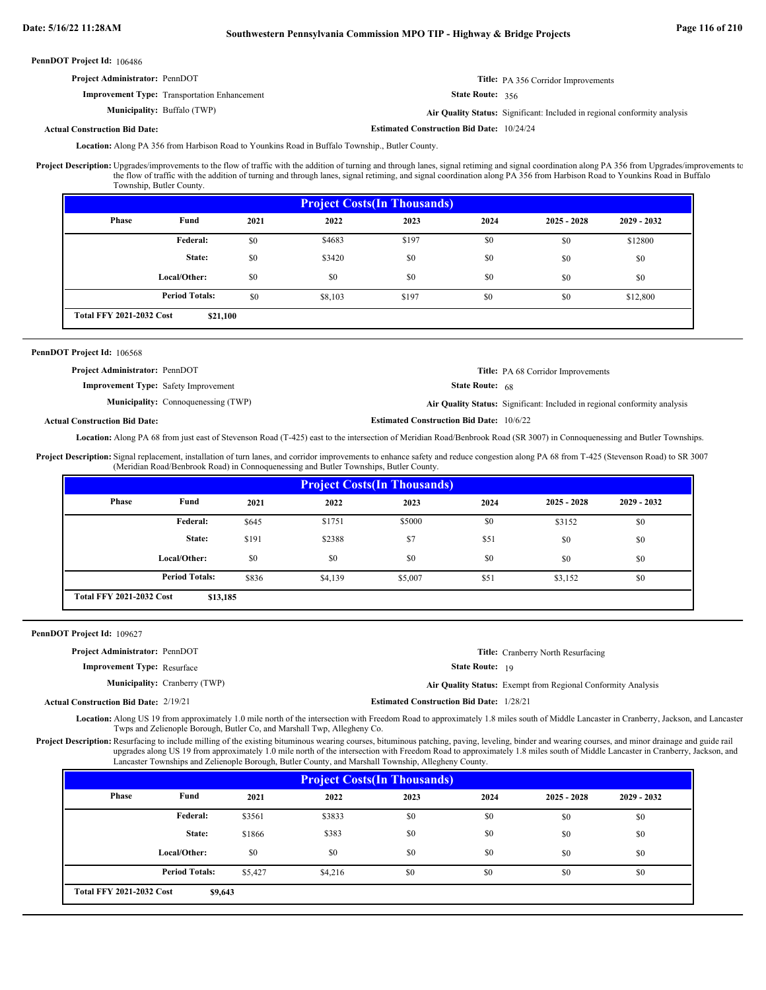## **Date: 5/16/22 11:28AM Southwestern Pennsylvania Commission MPO TIP - Highway & Bridge Projects Page 116 of 210**

| PennDOT Project Id: 106486            |                                                     |                                                  |                                                                           |
|---------------------------------------|-----------------------------------------------------|--------------------------------------------------|---------------------------------------------------------------------------|
| <b>Project Administrator: PennDOT</b> |                                                     |                                                  | <b>Title:</b> PA 356 Corridor Improvements                                |
|                                       | <b>Improvement Type:</b> Transportation Enhancement | <b>State Route: 356</b>                          |                                                                           |
|                                       | <b>Municipality:</b> Buffalo (TWP)                  |                                                  | Air Quality Status: Significant: Included in regional conformity analysis |
| <b>Actual Construction Bid Date:</b>  |                                                     | <b>Estimated Construction Bid Date: 10/24/24</b> |                                                                           |

Location: Along PA 356 from Harbison Road to Younkins Road in Buffalo Township., Butler County.

Upgrades/improvements to the flow of traffic with the addition of turning and through lanes, signal retiming and signal coordination along PA 356 from Upgrades/improvements to the flow of traffic with the addition of turning and through lanes, signal retiming, and signal coordination along PA 356 from Harbison Road to Younkins Road in Buffalo Township, Butler County. **Project Description:**

| <b>Project Costs (In Thousands)</b>         |                       |      |         |       |      |               |               |
|---------------------------------------------|-----------------------|------|---------|-------|------|---------------|---------------|
| Phase                                       | Fund                  | 2021 | 2022    | 2023  | 2024 | $2025 - 2028$ | $2029 - 2032$ |
|                                             | Federal:              | \$0  | \$4683  | \$197 | \$0  | \$0           | \$12800       |
|                                             | State:                | \$0  | \$3420  | \$0   | \$0  | \$0           | \$0           |
|                                             | Local/Other:          | \$0  | \$0     | \$0   | \$0  | \$0           | \$0           |
|                                             | <b>Period Totals:</b> | \$0  | \$8,103 | \$197 | \$0  | \$0           | \$12,800      |
| <b>Total FFY 2021-2032 Cost</b><br>\$21,100 |                       |      |         |       |      |               |               |

### PennDOT Project Id: 106568

**Title:** PA 68 Corridor Improvements **Project Administrator:** PennDOT

**Improvement Type:** Safety Improvement

**Estimated Construction Bid Date:** 10/6/22 **Municipality:** Connoquenessing (TWP) **Air Quality Status:** Air Quality Status: Significant: Included in regional conformity analysis

State Route: 68

**Actual Construction Bid Date:**

Location: Along PA 68 from just east of Stevenson Road (T-425) east to the intersection of Meridian Road/Benbrook Road (SR 3007) in Connoquenessing and Butler Townships.

Project Description: Signal replacement, installation of turn lanes, and corridor improvements to enhance safety and reduce congestion along PA 68 from T-425 (Stevenson Road) to SR 3007 (Meridian Road/Benbrook Road) in Connoquenessing and Butler Townships, Butler County.

| <b>Project Costs (In Thousands)</b>         |                       |       |         |         |      |               |               |
|---------------------------------------------|-----------------------|-------|---------|---------|------|---------------|---------------|
| Phase                                       | Fund                  | 2021  | 2022    | 2023    | 2024 | $2025 - 2028$ | $2029 - 2032$ |
|                                             | Federal:              | \$645 | \$1751  | \$5000  | \$0  | \$3152        | \$0           |
|                                             | State:                | \$191 | \$2388  | \$7     | \$51 | \$0           | \$0           |
|                                             | Local/Other:          | \$0   | \$0     | \$0     | \$0  | \$0           | \$0           |
|                                             | <b>Period Totals:</b> | \$836 | \$4,139 | \$5,007 | \$51 | \$3,152       | \$0           |
| <b>Total FFY 2021-2032 Cost</b><br>\$13,185 |                       |       |         |         |      |               |               |

PennDOT Project Id: 109627

|  | Project Administrator: PennDOT |  |
|--|--------------------------------|--|
|--|--------------------------------|--|

**Improvement Type:** Resurface

**Municipality:** Cranberry (TWP)

Cranberry (TWP) **Air Quality Status:** Exempt from Regional Conformity Analysis

State Route: 19

**Title:** Cranberry North Resurfacing

**Estimated Construction Bid Date:** 2/19/21 1/28/21 **Actual Construction Bid Date:**

Location: Along US 19 from approximately 1.0 mile north of the intersection with Freedom Road to approximately 1.8 miles south of Middle Lancaster in Cranberry, Jackson, and Lancaster Twps and Zelienople Borough, Butler Co, and Marshall Twp, Allegheny Co.

Project Description: Resurfacing to include milling of the existing bituminous wearing courses, bituminous patching, paving, leveling, binder and wearing courses, and minor drainage and guide rail upgrades along US 19 from approximately 1.0 mile north of the intersection with Freedom Road to approximately 1.8 miles south of Middle Lancaster in Cranberry, Jackson, and Lancaster Townships and Zelienople Borough, Butler County, and Marshall Township, Allegheny County.

| <b>Project Costs (In Thousands)</b>        |                       |         |         |      |      |               |               |
|--------------------------------------------|-----------------------|---------|---------|------|------|---------------|---------------|
| <b>Phase</b>                               | Fund                  | 2021    | 2022    | 2023 | 2024 | $2025 - 2028$ | $2029 - 2032$ |
|                                            | Federal:              | \$3561  | \$3833  | \$0  | \$0  | \$0           | \$0           |
|                                            | State:                | \$1866  | \$383   | \$0  | \$0  | \$0           | \$0           |
|                                            | Local/Other:          | \$0     | \$0     | \$0  | \$0  | \$0           | \$0           |
|                                            | <b>Period Totals:</b> | \$5,427 | \$4,216 | \$0  | \$0  | \$0           | \$0           |
| <b>Total FFY 2021-2032 Cost</b><br>\$9,643 |                       |         |         |      |      |               |               |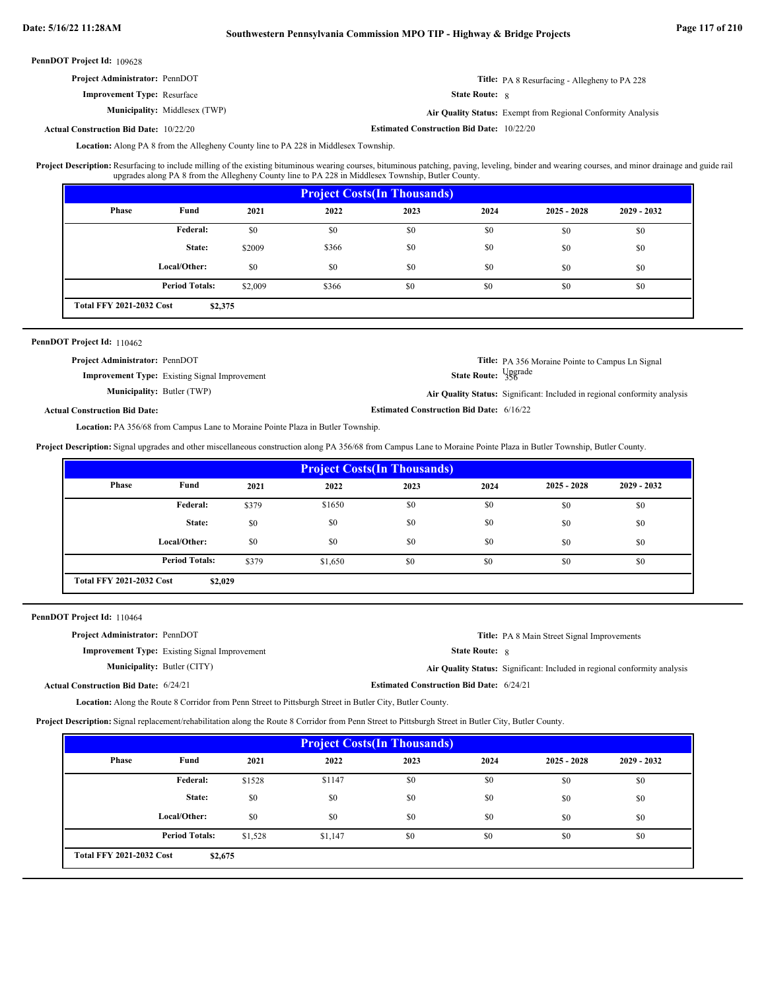| <b>Project Administrator: PennDOT</b> |                                      |                       | <b>Title:</b> PA 8 Resurfacing - Allegheny to PA 228         |
|---------------------------------------|--------------------------------------|-----------------------|--------------------------------------------------------------|
| <b>Improvement Type:</b> Resurface    |                                      | <b>State Route:</b> 8 |                                                              |
|                                       | <b>Municipality:</b> Middlesex (TWP) |                       | Air Quality Status: Exempt from Regional Conformity Analysis |

**Estimated Construction Bid Date:** 10/22/20 10/22/20 **Actual Construction Bid Date:**

Location: Along PA 8 from the Allegheny County line to PA 228 in Middlesex Township.

Resurfacing to include milling of the existing bituminous wearing courses, bituminous patching, paving, leveling, binder and wearing courses, and minor drainage and guide rail upgrades along PA 8 from the Allegheny County line to PA 228 in Middlesex Township, Butler County. **Project Description:**

| <b>Project Costs (In Thousands)</b>        |                       |         |       |      |      |               |               |
|--------------------------------------------|-----------------------|---------|-------|------|------|---------------|---------------|
| Phase                                      | Fund                  | 2021    | 2022  | 2023 | 2024 | $2025 - 2028$ | $2029 - 2032$ |
|                                            | Federal:              | \$0     | \$0   | \$0  | \$0  | \$0           | \$0           |
|                                            | State:                | \$2009  | \$366 | \$0  | \$0  | \$0           | \$0           |
|                                            | Local/Other:          | \$0     | \$0   | \$0  | \$0  | \$0           | \$0           |
|                                            | <b>Period Totals:</b> | \$2,009 | \$366 | \$0  | \$0  | \$0           | \$0           |
| <b>Total FFY 2021-2032 Cost</b><br>\$2,375 |                       |         |       |      |      |               |               |

### PennDOT Project Id: 110462

| <b>Project Administrator: PennDOT</b> | <b>Improvement Type:</b> Existing Signal Improvement | State Route: Upgrade                            | <b>Title:</b> PA 356 Moraine Pointe to Campus Ln Signal                   |
|---------------------------------------|------------------------------------------------------|-------------------------------------------------|---------------------------------------------------------------------------|
| <b>Municipality: Butler (TWP)</b>     |                                                      |                                                 | Air Quality Status: Significant: Included in regional conformity analysis |
| <b>Actual Construction Bid Date:</b>  |                                                      | <b>Estimated Construction Bid Date: 6/16/22</b> |                                                                           |

Location: PA 356/68 from Campus Lane to Moraine Pointe Plaza in Butler Township.

**Project Description:** Signal upgrades and other miscellaneous construction along PA 356/68 from Campus Lane to Moraine Pointe Plaza in Butler Township, Butler County.

| <b>Project Costs (In Thousands)</b>        |                       |       |         |      |      |               |               |
|--------------------------------------------|-----------------------|-------|---------|------|------|---------------|---------------|
| <b>Phase</b>                               | Fund                  | 2021  | 2022    | 2023 | 2024 | $2025 - 2028$ | $2029 - 2032$ |
|                                            | Federal:              | \$379 | \$1650  | \$0  | \$0  | \$0           | \$0           |
|                                            | State:                | \$0   | \$0     | \$0  | \$0  | \$0           | \$0           |
|                                            | Local/Other:          | \$0   | \$0     | \$0  | \$0  | \$0           | \$0           |
|                                            | <b>Period Totals:</b> | \$379 | \$1,650 | \$0  | \$0  | \$0           | \$0           |
| <b>Total FFY 2021-2032 Cost</b><br>\$2,029 |                       |       |         |      |      |               |               |

| PennDOT Project Id: 110464 |  |
|----------------------------|--|
|----------------------------|--|

| <b>Project Administrator: PennDOT</b>        |                                                      | <b>Title:</b> PA 8 Main Street Signal Improvements                        |
|----------------------------------------------|------------------------------------------------------|---------------------------------------------------------------------------|
|                                              | <b>Improvement Type:</b> Existing Signal Improvement | <b>State Route: 8</b>                                                     |
| <b>Municipality: Butler (CITY)</b>           |                                                      | Air Quality Status: Significant: Included in regional conformity analysis |
| <b>Actual Construction Bid Date: 6/24/21</b> |                                                      | <b>Estimated Construction Bid Date: 6/24/21</b>                           |

Location: Along the Route 8 Corridor from Penn Street to Pittsburgh Street in Butler City, Butler County.

**Project Description:** Signal replacement/rehabilitation along the Route 8 Corridor from Penn Street to Pittsburgh Street in Butler City, Butler County.

| <b>Project Costs (In Thousands)</b>        |                       |         |         |      |      |               |               |
|--------------------------------------------|-----------------------|---------|---------|------|------|---------------|---------------|
| Phase                                      | Fund                  | 2021    | 2022    | 2023 | 2024 | $2025 - 2028$ | $2029 - 2032$ |
|                                            | Federal:              | \$1528  | \$1147  | \$0  | \$0  | \$0           | \$0           |
|                                            | State:                | \$0     | \$0     | \$0  | \$0  | \$0           | \$0           |
|                                            | Local/Other:          | \$0     | \$0     | \$0  | \$0  | \$0           | \$0           |
|                                            | <b>Period Totals:</b> | \$1,528 | \$1,147 | \$0  | \$0  | \$0           | \$0           |
| <b>Total FFY 2021-2032 Cost</b><br>\$2,675 |                       |         |         |      |      |               |               |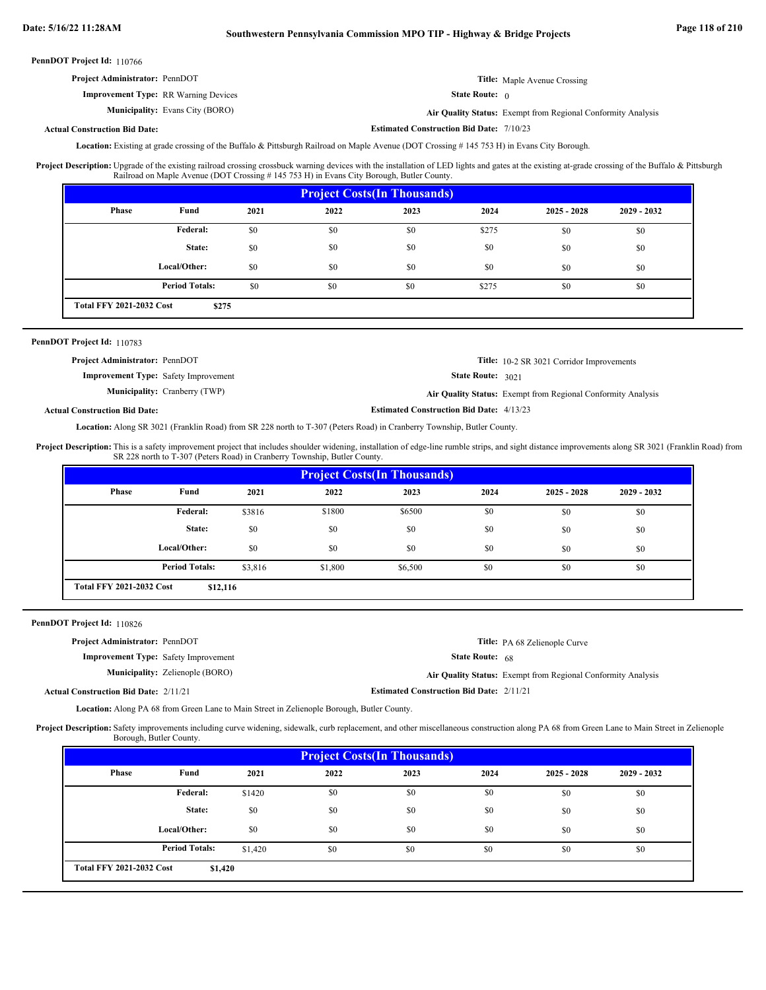**Estimated Construction Bid Date:** 7/10/23

PennDOT Project Id: 110766

| <b>Project Administrator: PennDOT</b>       | <b>Title:</b> Maple Avenue Crossing |
|---------------------------------------------|-------------------------------------|
| <b>Improvement Type: RR Warning Devices</b> | <b>State Route:</b> $\theta$        |

Evans City (BORO) **Air Quality Status:** Exempt from Regional Conformity Analysis

### **Actual Construction Bid Date:**

**Municipality:**

Location: Existing at grade crossing of the Buffalo & Pittsburgh Railroad on Maple Avenue (DOT Crossing # 145 753 H) in Evans City Borough.

Upgrade of the existing railroad crossing crossbuck warning devices with the installation of LED lights and gates at the existing at-grade crossing of the Buffalo & Pittsburgh Railroad on Maple Avenue (DOT Crossing # 145 753 H) in Evans City Borough, Butler County. **Project Description:**

| <b>Project Costs (In Thousands)</b>      |                       |      |      |      |       |               |               |
|------------------------------------------|-----------------------|------|------|------|-------|---------------|---------------|
| Phase                                    | Fund                  | 2021 | 2022 | 2023 | 2024  | $2025 - 2028$ | $2029 - 2032$ |
|                                          | Federal:              | \$0  | \$0  | \$0  | \$275 | \$0           | \$0           |
|                                          | State:                | \$0  | \$0  | \$0  | \$0   | \$0           | \$0           |
|                                          | Local/Other:          | \$0  | \$0  | \$0  | \$0   | \$0           | \$0           |
|                                          | <b>Period Totals:</b> | \$0  | \$0  | \$0  | \$275 | \$0           | \$0           |
| <b>Total FFY 2021-2032 Cost</b><br>\$275 |                       |      |      |      |       |               |               |

### PennDOT Project Id: 110783

| <b>Project Administrator: PennDOT</b>       |                                      |                                                 | <b>Title:</b> 10-2 SR 3021 Corridor Improvements             |
|---------------------------------------------|--------------------------------------|-------------------------------------------------|--------------------------------------------------------------|
| <b>Improvement Type:</b> Safety Improvement |                                      | <b>State Route: 3021</b>                        |                                                              |
|                                             | <b>Municipality:</b> Cranberry (TWP) |                                                 | Air Quality Status: Exempt from Regional Conformity Analysis |
| <b>Actual Construction Bid Date:</b>        |                                      | <b>Estimated Construction Bid Date: 4/13/23</b> |                                                              |

Location: Along SR 3021 (Franklin Road) from SR 228 north to T-307 (Peters Road) in Cranberry Township, Butler County.

This is a safety improvement project that includes shoulder widening, installation of edge-line rumble strips, and sight distance improvements along SR 3021 (Franklin Road) from SR 228 north to T-307 (Peters Road) in Cranberry Township, Butler County. **Project Description:**

| <b>Project Costs (In Thousands)</b>         |                       |         |         |         |      |               |               |  |
|---------------------------------------------|-----------------------|---------|---------|---------|------|---------------|---------------|--|
| <b>Phase</b>                                | Fund                  | 2021    | 2022    | 2023    | 2024 | $2025 - 2028$ | $2029 - 2032$ |  |
|                                             | Federal:              | \$3816  | \$1800  | \$6500  | \$0  | \$0           | \$0           |  |
|                                             | State:                | \$0     | \$0     | \$0     | \$0  | \$0           | \$0           |  |
|                                             | Local/Other:          | \$0     | \$0     | \$0     | \$0  | \$0           | \$0           |  |
|                                             | <b>Period Totals:</b> | \$3,816 | \$1,800 | \$6,500 | \$0  | \$0           | \$0           |  |
| <b>Total FFY 2021-2032 Cost</b><br>\$12,116 |                       |         |         |         |      |               |               |  |

PennDOT Project Id: 110826

| <b>Project Administrator: PennDOT</b>        |                                        |                                                 | Title: PA 68 Zelienople Curve                                |
|----------------------------------------------|----------------------------------------|-------------------------------------------------|--------------------------------------------------------------|
| <b>Improvement Type:</b> Safety Improvement  |                                        | <b>State Route:</b> $68$                        |                                                              |
|                                              | <b>Municipality:</b> Zelienople (BORO) |                                                 | Air Quality Status: Exempt from Regional Conformity Analysis |
| <b>Actual Construction Bid Date: 2/11/21</b> |                                        | <b>Estimated Construction Bid Date: 2/11/21</b> |                                                              |

Location: Along PA 68 from Green Lane to Main Street in Zelienople Borough, Butler County.

Project Description: Safety improvements including curve widening, sidewalk, curb replacement, and other miscellaneous construction along PA 68 from Green Lane to Main Street in Zelienople Borough, Butler County.

| <b>Project Costs (In Thousands)</b>        |                       |         |      |      |      |               |               |
|--------------------------------------------|-----------------------|---------|------|------|------|---------------|---------------|
| <b>Phase</b>                               | Fund                  | 2021    | 2022 | 2023 | 2024 | $2025 - 2028$ | $2029 - 2032$ |
|                                            | Federal:              | \$1420  | \$0  | \$0  | \$0  | \$0           | \$0           |
|                                            | State:                | \$0     | \$0  | \$0  | \$0  | \$0           | \$0           |
|                                            | Local/Other:          | \$0     | \$0  | \$0  | \$0  | \$0           | \$0           |
|                                            | <b>Period Totals:</b> | \$1.420 | \$0  | \$0  | \$0  | \$0           | \$0           |
| <b>Total FFY 2021-2032 Cost</b><br>\$1,420 |                       |         |      |      |      |               |               |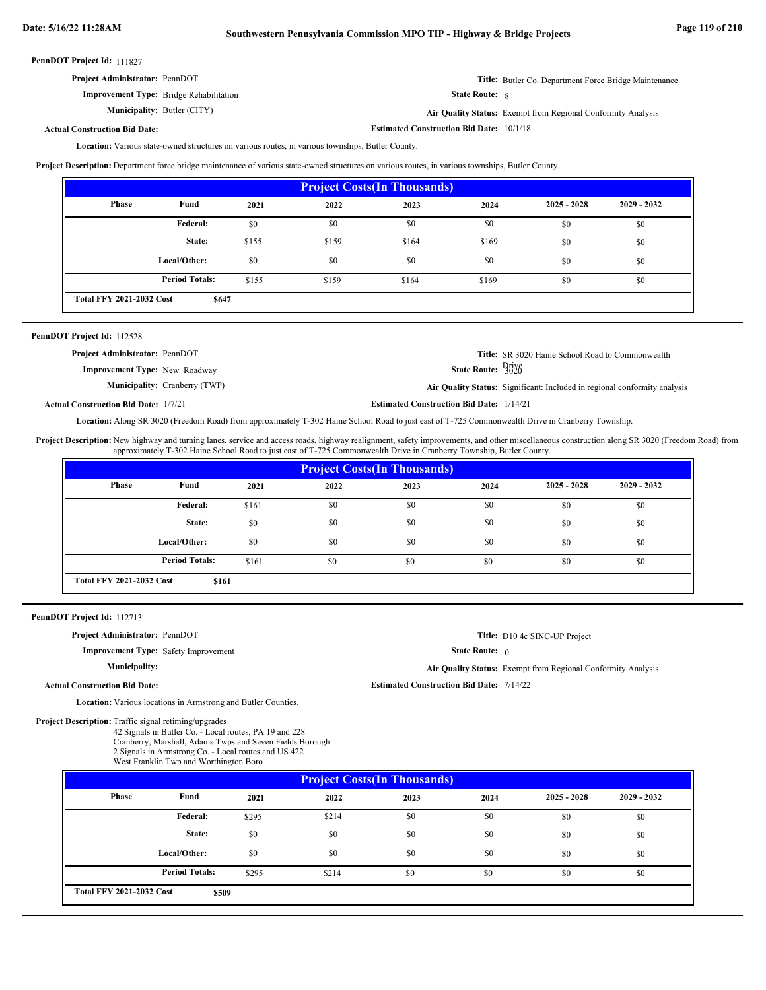| <b>Project Administrator: PennDOT</b>          |                       | <b>Title:</b> Butler Co. Department Force Bridge Maintenance        |
|------------------------------------------------|-----------------------|---------------------------------------------------------------------|
| <b>Improvement Type:</b> Bridge Rehabilitation | <b>State Route: 8</b> |                                                                     |
| <b>Municipality: Butler (CITY)</b>             |                       | <b>Air Ouality Status:</b> Exempt from Regional Conformity Analysis |

Butler (CITY) **Air Quality Status:** Exempt from Regional Conformity Analysis

**Estimated Construction Bid Date:** 10/1/18

### **Actual Construction Bid Date:**

Location: Various state-owned structures on various routes, in various townships, Butler County.

**Project Description:** Department force bridge maintenance of various state-owned structures on various routes, in various townships, Butler County.

| <b>Project Costs (In Thousands)</b>            |                       |       |       |       |       |               |               |
|------------------------------------------------|-----------------------|-------|-------|-------|-------|---------------|---------------|
| <b>Phase</b>                                   | Fund                  | 2021  | 2022  | 2023  | 2024  | $2025 - 2028$ | $2029 - 2032$ |
|                                                | Federal:              | \$0   | \$0   | \$0   | \$0   | \$0           | \$0           |
|                                                | State:                | \$155 | \$159 | \$164 | \$169 | \$0           | \$0           |
|                                                | Local/Other:          | \$0   | \$0   | \$0   | \$0   | \$0           | \$0           |
|                                                | <b>Period Totals:</b> | \$155 | \$159 | \$164 | \$169 | \$0           | \$0           |
| <b>Total FFY 2021-2032 Cost</b><br><b>S647</b> |                       |       |       |       |       |               |               |

| PennDOT Project Id: 112528 |         |  |
|----------------------------|---------|--|
|                            | $- - -$ |  |

| <b>Project Administrator: PennDOT</b> |                                      |                                                 | <b>Title:</b> SR 3020 Haine School Road to Commonwealth                          |
|---------------------------------------|--------------------------------------|-------------------------------------------------|----------------------------------------------------------------------------------|
| <b>Improvement Type:</b> New Roadway  |                                      | State Route: $\frac{Df_1Y_0}{3020}$             |                                                                                  |
|                                       | <b>Municipality:</b> Cranberry (TWP) |                                                 | <b>Air Quality Status:</b> Significant: Included in regional conformity analysis |
| ual Construction Bid Date: 1/7/21     |                                      | <b>Estimated Construction Bid Date: 1/14/21</b> |                                                                                  |

**Actual Construction Bid Date:**

Location: Along SR 3020 (Freedom Road) from approximately T-302 Haine School Road to just east of T-725 Commonwealth Drive in Cranberry Township.

Project Description: New highway and turning lanes, service and access roads, highway realignment, safety improvements, and other miscellaneous construction along SR 3020 (Freedom Road) from approximately T-302 Haine School Road to just east of T-725 Commonwealth Drive in Cranberry Township, Butler County.

| <b>Project Costs (In Thousands)</b>      |                       |       |      |      |      |               |               |
|------------------------------------------|-----------------------|-------|------|------|------|---------------|---------------|
| Phase                                    | Fund                  | 2021  | 2022 | 2023 | 2024 | $2025 - 2028$ | $2029 - 2032$ |
|                                          | Federal:              | \$161 | \$0  | \$0  | \$0  | \$0           | \$0           |
|                                          | State:                | \$0   | \$0  | \$0  | \$0  | \$0           | \$0           |
|                                          | Local/Other:          | \$0   | \$0  | \$0  | \$0  | \$0           | \$0           |
|                                          | <b>Period Totals:</b> | \$161 | \$0  | \$0  | \$0  | \$0           | \$0           |
| <b>Total FFY 2021-2032 Cost</b><br>\$161 |                       |       |      |      |      |               |               |

### PennDOT Project Id: 112713

**Project Administrator:** PennDOT

**Improvement Type:** Safety Improvement

### **Municipality:**

**Actual Construction Bid Date:**

Location: Various locations in Armstrong and Butler Counties.

Project Description: Traffic signal retiming/upgrades

42 Signals in Butler Co. - Local routes, PA 19 and 228 Cranberry, Marshall, Adams Twps and Seven Fields Borough 2 Signals in Armstrong Co. - Local routes and US 422

|  | West Franklin Twp and Worthington Boro |  |
|--|----------------------------------------|--|
|  |                                        |  |

| <b>Project Costs (In Thousands)</b>      |                       |       |       |      |      |               |               |
|------------------------------------------|-----------------------|-------|-------|------|------|---------------|---------------|
| <b>Phase</b>                             | Fund                  | 2021  | 2022  | 2023 | 2024 | $2025 - 2028$ | $2029 - 2032$ |
|                                          | Federal:              | \$295 | \$214 | \$0  | \$0  | \$0           | \$0           |
|                                          | State:                | \$0   | \$0   | \$0  | \$0  | \$0           | \$0           |
|                                          | Local/Other:          | \$0   | \$0   | \$0  | \$0  | \$0           | \$0           |
|                                          | <b>Period Totals:</b> | \$295 | \$214 | \$0  | \$0  | \$0           | \$0           |
| <b>Total FFY 2021-2032 Cost</b><br>\$509 |                       |       |       |      |      |               |               |

**Title:** D10 4c SINC-UP Project

State Route: 0

**Air Quality Status:** Exempt from Regional Conformity Analysis

**Estimated Construction Bid Date:** 7/14/22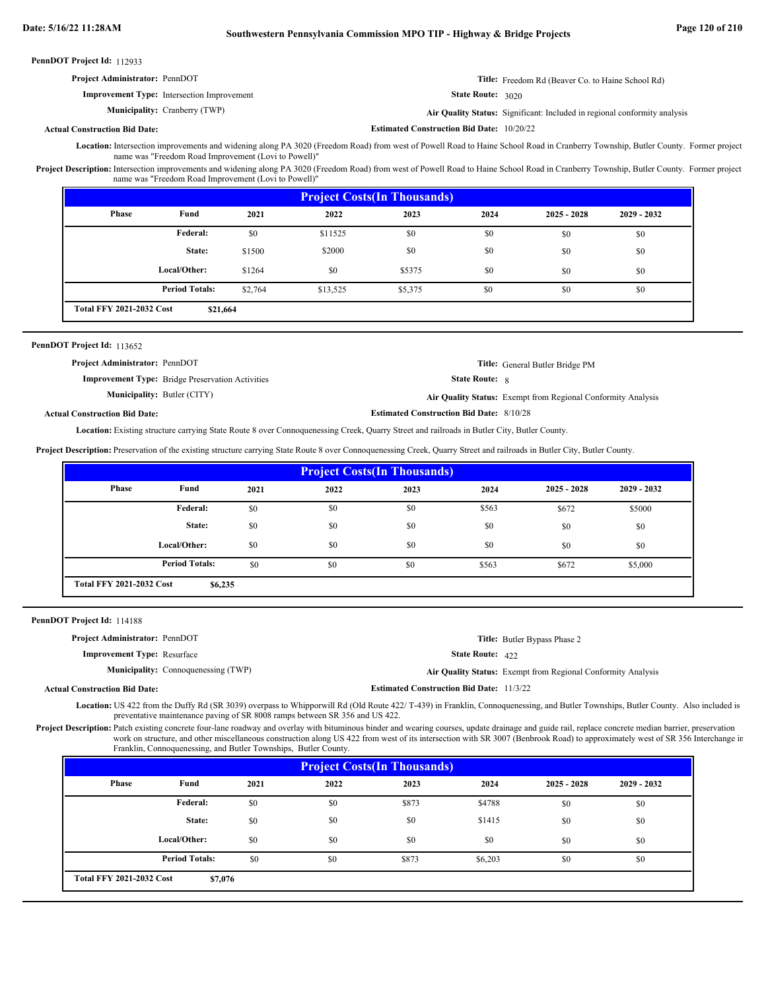| <b>Project Administrator: PennDOT</b>             | <b>Title:</b> Freedom Rd (Beaver Co. to Haine School Rd)                  |
|---------------------------------------------------|---------------------------------------------------------------------------|
| <b>Improvement Type:</b> Intersection Improvement | <b>State Route:</b> 3020                                                  |
| <b>Municipality:</b> Cranberry (TWP)              | Air Quality Status: Significant: Included in regional conformity analysis |
| <b>Actual Construction Bid Date:</b>              | <b>Estimated Construction Bid Date: 10/20/22</b>                          |

Location: Intersection improvements and widening along PA 3020 (Freedom Road) from west of Powell Road to Haine School Road in Cranberry Township, Butler County. Former project name was "Freedom Road Improvement (Lovi to Powell)"

Project Description: Intersection improvements and widening along PA 3020 (Freedom Road) from west of Powell Road to Haine School Road in Cranberry Township, Butler County. Former project name was "Freedom Road Improvement (Lovi to Powell)"

| <b>Project Costs (In Thousands)</b>         |                       |         |          |         |      |               |               |
|---------------------------------------------|-----------------------|---------|----------|---------|------|---------------|---------------|
| <b>Phase</b>                                | Fund                  | 2021    | 2022     | 2023    | 2024 | $2025 - 2028$ | $2029 - 2032$ |
|                                             | Federal:              | \$0     | \$11525  | \$0     | \$0  | \$0           | \$0           |
|                                             | State:                | \$1500  | \$2000   | \$0     | \$0  | \$0           | \$0           |
|                                             | Local/Other:          | \$1264  | \$0      | \$5375  | \$0  | \$0           | \$0           |
|                                             | <b>Period Totals:</b> | \$2,764 | \$13,525 | \$5,375 | \$0  | \$0           | \$0           |
| <b>Total FFY 2021-2032 Cost</b><br>\$21,664 |                       |         |          |         |      |               |               |

### PennDOT Project Id: 113652

| <b>Project Administrator: PennDOT</b>                   | Title: General Butler Bridge PM                                     |
|---------------------------------------------------------|---------------------------------------------------------------------|
| <b>Improvement Type:</b> Bridge Preservation Activities | <b>State Route: 8</b>                                               |
| <b>Municipality: Butler (CITY)</b>                      | <b>Air Quality Status:</b> Exempt from Regional Conformity Analysis |

**Actual Construction Bid Date:**

**Estimated Construction Bid Date:** 8/10/28

Location: Existing structure carrying State Route 8 over Connoquenessing Creek, Quarry Street and railroads in Butler City, Butler County.

**Project Description:** Preservation of the existing structure carrying State Route 8 over Connoquenessing Creek, Quarry Street and railroads in Butler City, Butler County.

| <b>Project Costs (In Thousands)</b>        |                       |      |      |      |       |               |               |
|--------------------------------------------|-----------------------|------|------|------|-------|---------------|---------------|
| Phase                                      | Fund                  | 2021 | 2022 | 2023 | 2024  | $2025 - 2028$ | $2029 - 2032$ |
|                                            | Federal:              | \$0  | \$0  | \$0  | \$563 | \$672         | \$5000        |
|                                            | State:                | \$0  | \$0  | \$0  | \$0   | \$0           | \$0           |
|                                            | Local/Other:          | \$0  | \$0  | \$0  | \$0   | \$0           | \$0           |
|                                            | <b>Period Totals:</b> | \$0  | \$0  | \$0  | \$563 | \$672         | \$5,000       |
| <b>Total FFY 2021-2032 Cost</b><br>\$6,235 |                       |      |      |      |       |               |               |

PennDOT Project Id: 114188

| <b>Project Administrator: PennDOT</b> |                                            |                                                 | <b>Title:</b> Butler Bypass Phase 2                                 |
|---------------------------------------|--------------------------------------------|-------------------------------------------------|---------------------------------------------------------------------|
| <b>Improvement Type:</b> Resurface    |                                            | <b>State Route: 422</b>                         |                                                                     |
|                                       | <b>Municipality:</b> Connoquenessing (TWP) |                                                 | <b>Air Quality Status:</b> Exempt from Regional Conformity Analysis |
| <b>Actual Construction Bid Date:</b>  |                                            | <b>Estimated Construction Bid Date: 11/3/22</b> |                                                                     |

Location: US 422 from the Duffy Rd (SR 3039) overpass to Whipporwill Rd (Old Route 422/ T-439) in Franklin, Connoquenessing, and Butler Townships, Butler County. Also included is preventative maintenance paving of SR 8008 ramps between SR 356 and US 422.

Project Description: Patch existing concrete four-lane roadway and overlay with bituminous binder and wearing courses, update drainage and guide rail, replace concrete median barrier, preservation work on structure, and other miscellaneous construction along US 422 from west of its intersection with SR 3007 (Benbrook Road) to approximately west of SR 356 Interchange in Franklin, Connoquenessing, and Butler Townships, Butler County.

| <b>Project Costs (In Thousands)</b>        |                       |      |      |       |         |               |               |
|--------------------------------------------|-----------------------|------|------|-------|---------|---------------|---------------|
| <b>Phase</b>                               | Fund                  | 2021 | 2022 | 2023  | 2024    | $2025 - 2028$ | $2029 - 2032$ |
|                                            | Federal:              | \$0  | \$0  | \$873 | \$4788  | \$0           | \$0           |
|                                            | State:                | \$0  | \$0  | \$0   | \$1415  | \$0           | \$0           |
|                                            | Local/Other:          | \$0  | \$0  | \$0   | \$0     | \$0           | \$0           |
|                                            | <b>Period Totals:</b> | \$0  | \$0  | \$873 | \$6,203 | \$0           | \$0           |
| <b>Total FFY 2021-2032 Cost</b><br>\$7,076 |                       |      |      |       |         |               |               |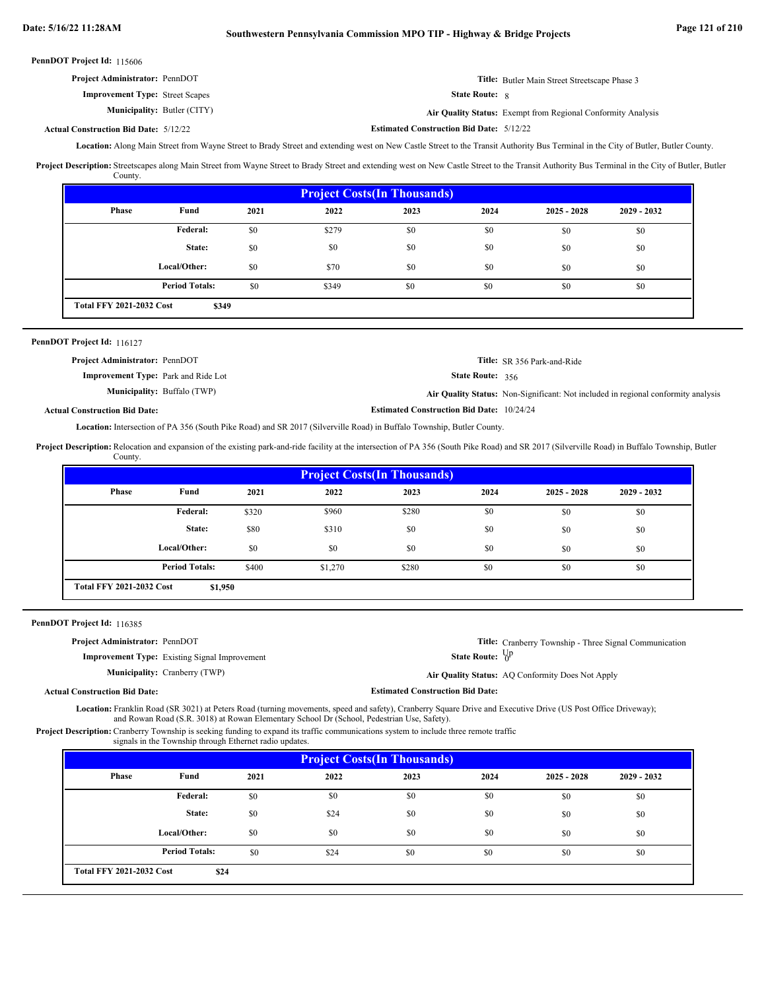| <b>Project Administrator: PennDOT</b>  |                       | <b>Title:</b> Butler Main Street Streetscape Phase 3                |
|----------------------------------------|-----------------------|---------------------------------------------------------------------|
| <b>Improvement Type:</b> Street Scapes | <b>State Route:</b> 8 |                                                                     |
| <b>Municipality: Butler (CITY)</b>     |                       | <b>Air Quality Status:</b> Exempt from Regional Conformity Analysis |

**Actual Construction Bid Date:**

**Estimated Construction Bid Date:** 5/12/22 5/12/22

Location: Along Main Street from Wayne Street to Brady Street and extending west on New Castle Street to the Transit Authority Bus Terminal in the City of Butler, Butler County.

Project Description: Streetscapes along Main Street from Wayne Street to Brady Street and extending west on New Castle Street to the Transit Authority Bus Terminal in the City of Butler, Butler County.

| <b>Project Costs (In Thousands)</b>      |                       |      |       |      |      |               |               |
|------------------------------------------|-----------------------|------|-------|------|------|---------------|---------------|
| <b>Phase</b>                             | Fund                  | 2021 | 2022  | 2023 | 2024 | $2025 - 2028$ | $2029 - 2032$ |
|                                          | Federal:              | \$0  | \$279 | \$0  | \$0  | \$0           | \$0           |
|                                          | State:                | \$0  | \$0   | \$0  | \$0  | \$0           | \$0           |
|                                          | Local/Other:          | \$0  | \$70  | \$0  | \$0  | \$0           | \$0           |
|                                          | <b>Period Totals:</b> | \$0  | \$349 | \$0  | \$0  | \$0           | \$0           |
| <b>Total FFY 2021-2032 Cost</b><br>\$349 |                       |      |       |      |      |               |               |

### PennDOT Project Id: 116127

| <b>Project Administrator: PennDOT</b>      |                                                  | <b>Title:</b> SR 356 Park-and-Ride                                                |
|--------------------------------------------|--------------------------------------------------|-----------------------------------------------------------------------------------|
| <b>Improvement Type:</b> Park and Ride Lot | <b>State Route:</b> $356$                        |                                                                                   |
| <b>Municipality:</b> Buffalo (TWP)         |                                                  | Air Quality Status: Non-Significant: Not included in regional conformity analysis |
| ıal Construction Bid Date:                 | <b>Estimated Construction Bid Date: 10/24/24</b> |                                                                                   |

### **Actual Construction Bid Date:**

Location: Intersection of PA 356 (South Pike Road) and SR 2017 (Silverville Road) in Buffalo Township, Butler County.

Project Description: Relocation and expansion of the existing park-and-ride facility at the intersection of PA 356 (South Pike Road) and SR 2017 (Silverville Road) in Buffalo Township, Butler County.

| <b>Project Costs (In Thousands)</b> |                       |       |         |       |      |               |               |
|-------------------------------------|-----------------------|-------|---------|-------|------|---------------|---------------|
| Phase                               | Fund                  | 2021  | 2022    | 2023  | 2024 | $2025 - 2028$ | $2029 - 2032$ |
|                                     | Federal:              | \$320 | \$960   | \$280 | \$0  | \$0           | \$0           |
|                                     | State:                | \$80  | \$310   | \$0   | \$0  | \$0           | \$0           |
|                                     | Local/Other:          | \$0   | \$0     | \$0   | \$0  | \$0           | \$0           |
|                                     | <b>Period Totals:</b> | \$400 | \$1,270 | \$280 | \$0  | \$0           | \$0           |
| <b>Total FFY 2021-2032 Cost</b>     | \$1,950               |       |         |       |      |               |               |

PennDOT Project Id: 116385

| <b>Project Administrator: PennDOT</b>                | <b>Title:</b> Cranberry Township - Three Signal Communication |
|------------------------------------------------------|---------------------------------------------------------------|
| <b>Improvement Type:</b> Existing Signal Improvement | <b>State Route:</b> $\forall P$                               |
| <b>Municipality:</b> Cranberry (TWP)                 | Air Quality Status: AQ Conformity Does Not Apply              |

**Actual Construction Bid Date:**

**Estimated Construction Bid Date:**

Location: Franklin Road (SR 3021) at Peters Road (turning movements, speed and safety), Cranberry Square Drive and Executive Drive (US Post Office Driveway); and Rowan Road (S.R. 3018) at Rowan Elementary School Dr (School, Pedestrian Use, Safety).

**Project Description:** Cranberry Township is seeking funding to expand its traffic communications system to include three remote traffic signals in the Township through Ethernet radio updates.

| <b>Project Costs (In Thousands)</b>     |                       |      |      |      |      |               |               |
|-----------------------------------------|-----------------------|------|------|------|------|---------------|---------------|
| <b>Phase</b>                            | Fund                  | 2021 | 2022 | 2023 | 2024 | $2025 - 2028$ | $2029 - 2032$ |
|                                         | Federal:              | \$0  | \$0  | \$0  | \$0  | \$0           | \$0           |
|                                         | State:                | \$0  | \$24 | \$0  | \$0  | \$0           | \$0           |
|                                         | Local/Other:          | \$0  | \$0  | \$0  | \$0  | \$0           | \$0           |
|                                         | <b>Period Totals:</b> | \$0  | \$24 | \$0  | \$0  | \$0           | \$0           |
| <b>Total FFY 2021-2032 Cost</b><br>\$24 |                       |      |      |      |      |               |               |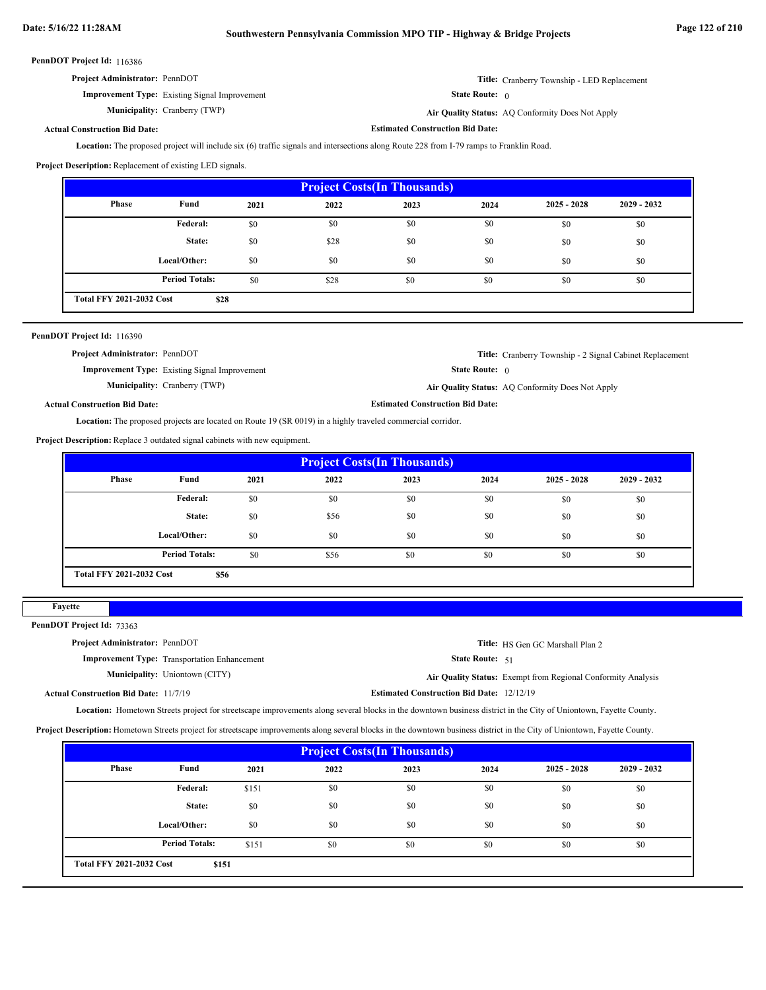| <b>Project Administrator: PennDOT</b>                | <b>Title:</b> Cranberry Township - LED Replacement |
|------------------------------------------------------|----------------------------------------------------|
| <b>Improvement Type:</b> Existing Signal Improvement | <b>State Route:</b> $\theta$                       |
| <b>Municipality:</b> Cranberry (TWP)                 | Air Quality Status: AO Conformity Does Not Apply   |

**Cranberry (TWP) Air Quality Status:** AQ Conformity Does Not Apply

**Estimated Construction Bid Date:**

### **Actual Construction Bid Date:**

Location: The proposed project will include six (6) traffic signals and intersections along Route 228 from I-79 ramps to Franklin Road.

**Project Description:** Replacement of existing LED signals.

| <b>Project Costs (In Thousands)</b> |                       |      |      |      |      |               |               |
|-------------------------------------|-----------------------|------|------|------|------|---------------|---------------|
| <b>Phase</b>                        | Fund                  | 2021 | 2022 | 2023 | 2024 | $2025 - 2028$ | $2029 - 2032$ |
|                                     | Federal:              | \$0  | \$0  | \$0  | \$0  | \$0           | \$0           |
|                                     | State:                | \$0  | \$28 | \$0  | \$0  | \$0           | \$0           |
|                                     | Local/Other:          | \$0  | \$0  | \$0  | \$0  | \$0           | \$0           |
|                                     | <b>Period Totals:</b> | \$0  | \$28 | \$0  | \$0  | \$0           | \$0           |
| <b>Total FFY 2021-2032 Cost</b>     | \$28                  |      |      |      |      |               |               |

| PennDOT Project Id: 116390                                                                                         |                                                      |                                         |                                                                 |  |  |
|--------------------------------------------------------------------------------------------------------------------|------------------------------------------------------|-----------------------------------------|-----------------------------------------------------------------|--|--|
| <b>Project Administrator: PennDOT</b>                                                                              |                                                      |                                         | <b>Title:</b> Cranberry Township - 2 Signal Cabinet Replacement |  |  |
|                                                                                                                    | <b>Improvement Type:</b> Existing Signal Improvement | <b>State Route:</b> $\theta$            |                                                                 |  |  |
|                                                                                                                    | <b>Municipality:</b> Cranberry (TWP)                 |                                         | Air Quality Status: AQ Conformity Does Not Apply                |  |  |
| <b>Actual Construction Bid Date:</b>                                                                               |                                                      | <b>Estimated Construction Bid Date:</b> |                                                                 |  |  |
| <b>Location:</b> The proposed projects are located on Route 19 (SR 0019) in a highly traveled commercial corridor. |                                                      |                                         |                                                                 |  |  |

**Project Description:** Replace 3 outdated signal cabinets with new equipment.

| <b>Project Costs (In Thousands)</b> |                       |      |      |      |      |               |               |
|-------------------------------------|-----------------------|------|------|------|------|---------------|---------------|
| Phase                               | Fund                  | 2021 | 2022 | 2023 | 2024 | $2025 - 2028$ | $2029 - 2032$ |
|                                     | <b>Federal:</b>       | \$0  | \$0  | \$0  | \$0  | \$0           | \$0           |
|                                     | State:                | \$0  | \$56 | \$0  | \$0  | \$0           | \$0           |
|                                     | Local/Other:          | \$0  | \$0  | \$0  | \$0  | \$0           | \$0           |
|                                     | <b>Period Totals:</b> | \$0  | \$56 | \$0  | \$0  | \$0           | \$0           |
| <b>Total FFY 2021-2032 Cost</b>     | \$56                  |      |      |      |      |               |               |

| 91 V<br>. . |
|-------------|
|-------------|

PennDOT Project Id: 73363

| <b>Project Administrator: PennDOT</b>               |                                                  | Title: HS Gen GC Marshall Plan 2                             |
|-----------------------------------------------------|--------------------------------------------------|--------------------------------------------------------------|
| <b>Improvement Type:</b> Transportation Enhancement | State Route: 51                                  |                                                              |
| <b>Municipality:</b> Uniontown (CITY)               |                                                  | Air Quality Status: Exempt from Regional Conformity Analysis |
| <b>Actual Construction Bid Date: 11/7/19</b>        | <b>Estimated Construction Bid Date: 12/12/19</b> |                                                              |

Location: Hometown Streets project for streetscape improvements along several blocks in the downtown business district in the City of Uniontown, Fayette County.

**Project Description:** Hometown Streets project for streetscape improvements along several blocks in the downtown business district in the City of Uniontown, Fayette County.

| <b>Project Costs (In Thousands)</b>      |                       |       |      |      |      |               |               |
|------------------------------------------|-----------------------|-------|------|------|------|---------------|---------------|
| Phase                                    | Fund                  | 2021  | 2022 | 2023 | 2024 | $2025 - 2028$ | $2029 - 2032$ |
|                                          | Federal:              | \$151 | \$0  | \$0  | \$0  | \$0           | \$0           |
|                                          | State:                | \$0   | \$0  | \$0  | \$0  | \$0           | \$0           |
|                                          | Local/Other:          | \$0   | \$0  | \$0  | \$0  | \$0           | \$0           |
|                                          | <b>Period Totals:</b> | \$151 | \$0  | \$0  | \$0  | \$0           | \$0           |
| <b>Total FFY 2021-2032 Cost</b><br>\$151 |                       |       |      |      |      |               |               |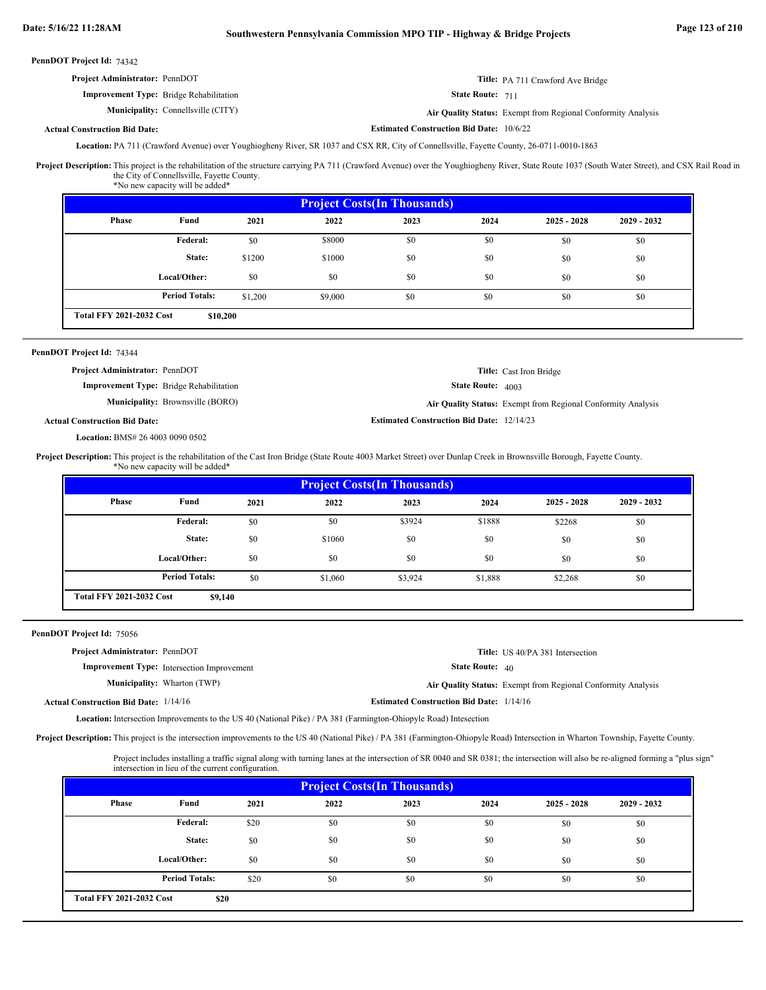| <b>Project Administrator: PennDOT</b>          | Title: PA 711 Crawford Ave Bridge |
|------------------------------------------------|-----------------------------------|
| <b>Improvement Type:</b> Bridge Rehabilitation | State Route: 711                  |

Connellsville (CITY) **Air Quality Status:** Exempt from Regional Conformity Analysis

### **Actual Construction Bid Date:**

Location: PA 711 (Crawford Avenue) over Youghiogheny River, SR 1037 and CSX RR, City of Connellsville, Fayette County, 26-0711-0010-1863

Project Description: This project is the rehabilitation of the structure carrying PA 711 (Crawford Avenue) over the Youghiogheny River, State Route 1037 (South Water Street), and CSX Rail Road in the City of Connellsville, Fayette County.

**Estimated Construction Bid Date:** 10/6/22

**Estimated Construction Bid Date:** 12/14/23

| *No new capacity will be added* |  |
|---------------------------------|--|
|---------------------------------|--|

**Municipality:**

|                                             | <b>Project Costs (In Thousands)</b> |         |         |      |      |               |               |
|---------------------------------------------|-------------------------------------|---------|---------|------|------|---------------|---------------|
| Phase                                       | Fund                                | 2021    | 2022    | 2023 | 2024 | $2025 - 2028$ | $2029 - 2032$ |
|                                             | Federal:                            | \$0     | \$8000  | \$0  | \$0  | \$0           | \$0           |
|                                             | State:                              | \$1200  | \$1000  | \$0  | \$0  | \$0           | \$0           |
|                                             | Local/Other:                        | \$0     | \$0     | \$0  | \$0  | \$0           | \$0           |
|                                             | <b>Period Totals:</b>               | \$1.200 | \$9,000 | \$0  | \$0  | \$0           | \$0           |
| <b>Total FFY 2021-2032 Cost</b><br>\$10,200 |                                     |         |         |      |      |               |               |

### PennDOT Project Id: 74344

| <b>Project Administrator: PennDOT</b>          | <b>Title:</b> Cast Iron Bridge                               |
|------------------------------------------------|--------------------------------------------------------------|
| <b>Improvement Type:</b> Bridge Rehabilitation | <b>State Route:</b> 4003                                     |
| <b>Municipality:</b> Brownsville (BORO)        | Air Quality Status: Exempt from Regional Conformity Analysis |

### **Actual Construction Bid Date:**

BMS# 26 4003 0090 0502 **Location:**

Project Description: This project is the rehabilitation of the Cast Iron Bridge (State Route 4003 Market Street) over Dunlap Creek in Brownsville Borough, Fayette County. \*No new capacity will be added\*

|                                            | <b>Project Costs (In Thousands)</b> |      |         |         |         |               |               |
|--------------------------------------------|-------------------------------------|------|---------|---------|---------|---------------|---------------|
| Phase                                      | Fund                                | 2021 | 2022    | 2023    | 2024    | $2025 - 2028$ | $2029 - 2032$ |
|                                            | Federal:                            | \$0  | \$0     | \$3924  | \$1888  | \$2268        | \$0           |
|                                            | State:                              | \$0  | \$1060  | \$0     | \$0     | \$0           | \$0           |
|                                            | Local/Other:                        | \$0  | \$0     | \$0     | \$0     | \$0           | \$0           |
|                                            | <b>Period Totals:</b>               | \$0  | \$1,060 | \$3,924 | \$1,888 | \$2,268       | \$0           |
| <b>Total FFY 2021-2032 Cost</b><br>\$9,140 |                                     |      |         |         |         |               |               |

PennDOT Project Id: 75056

| <b>Project Administrator: PennDOT</b>        |                                                   |                                                 | <b>Title:</b> US 40/PA 381 Intersection                             |
|----------------------------------------------|---------------------------------------------------|-------------------------------------------------|---------------------------------------------------------------------|
|                                              | <b>Improvement Type:</b> Intersection Improvement | <b>State Route:</b> $40$                        |                                                                     |
|                                              | <b>Municipality:</b> Wharton (TWP)                |                                                 | <b>Air Quality Status:</b> Exempt from Regional Conformity Analysis |
| <b>Actual Construction Bid Date: 1/14/16</b> |                                                   | <b>Estimated Construction Bid Date: 1/14/16</b> |                                                                     |

Location: Intersection Improvements to the US 40 (National Pike) / PA 381 (Farmington-Ohiopyle Road) Intesection

Project Description: This project is the intersection improvements to the US 40 (National Pike) / PA 381 (Farmington-Ohiopyle Road) Intersection in Wharton Township, Fayette County.

Project includes installing a traffic signal along with turning lanes at the intersection of SR 0040 and SR 0381; the intersection will also be re-aligned forming a "plus sign" intersection in lieu of the current configuration.

| <b>Project Costs (In Thousands)</b>     |                       |      |      |      |      |               |               |
|-----------------------------------------|-----------------------|------|------|------|------|---------------|---------------|
| Phase                                   | Fund                  | 2021 | 2022 | 2023 | 2024 | $2025 - 2028$ | $2029 - 2032$ |
|                                         | <b>Federal:</b>       | \$20 | \$0  | \$0  | \$0  | \$0           | \$0           |
|                                         | State:                | \$0  | \$0  | \$0  | \$0  | \$0           | \$0           |
|                                         | Local/Other:          | \$0  | \$0  | \$0  | \$0  | \$0           | \$0           |
|                                         | <b>Period Totals:</b> | \$20 | \$0  | \$0  | \$0  | \$0           | \$0           |
| <b>Total FFY 2021-2032 Cost</b><br>\$20 |                       |      |      |      |      |               |               |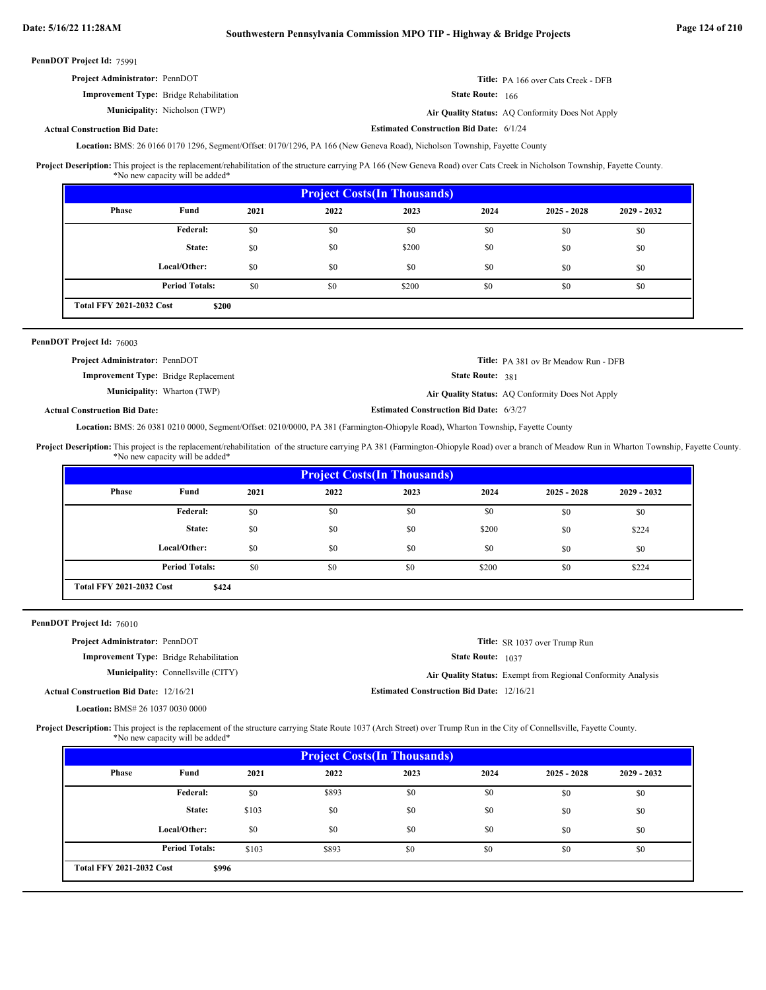**Estimated Construction Bid Date:** 6/1/24

PennDOT Project Id: 75991

| <b>Project Administrator: PennDOT</b>          | <b>Title:</b> PA 166 over Cats Creek - DFB       |
|------------------------------------------------|--------------------------------------------------|
| <b>Improvement Type:</b> Bridge Rehabilitation | <b>State Route:</b> 166                          |
| <b>Municipality:</b> Nicholson (TWP)           | Air Quality Status: AQ Conformity Does Not Apply |

### **Actual Construction Bid Date:**

Location: BMS: 26 0166 0170 1296, Segment/Offset: 0170/1296, PA 166 (New Geneva Road), Nicholson Township, Fayette County

This project is the replacement/rehabilitation of the structure carrying PA 166 (New Geneva Road) over Cats Creek in Nicholson Township, Fayette County. \*No new capacity will be added\* **Project Description:**

| <b>Project Costs (In Thousands)</b>      |                       |      |      |       |      |               |               |
|------------------------------------------|-----------------------|------|------|-------|------|---------------|---------------|
| Phase                                    | Fund                  | 2021 | 2022 | 2023  | 2024 | $2025 - 2028$ | $2029 - 2032$ |
|                                          | <b>Federal:</b>       | \$0  | \$0  | \$0   | \$0  | \$0           | \$0           |
|                                          | State:                | \$0  | \$0  | \$200 | \$0  | \$0           | \$0           |
|                                          | Local/Other:          | \$0  | \$0  | \$0   | \$0  | \$0           | \$0           |
|                                          | <b>Period Totals:</b> | \$0  | \$0  | \$200 | \$0  | \$0           | \$0           |
| <b>Total FFY 2021-2032 Cost</b><br>\$200 |                       |      |      |       |      |               |               |

### PennDOT Project Id: 76003

| <b>Project Administrator: PennDOT</b>       | Title: PA 381 ov Br Meadow Run - DFB                    |
|---------------------------------------------|---------------------------------------------------------|
| <b>Improvement Type:</b> Bridge Replacement | <b>State Route: 381</b>                                 |
| <b>Municipality:</b> Wharton (TWP)          | <b>Air Ouality Status:</b> AO Conformity Does Not Apply |
| ll Construction Bid Date:                   | <b>Estimated Construction Bid Date: 6/3/27</b>          |

### **Actual Construction Bid Date:**

Location: BMS: 26 0381 0210 0000, Segment/Offset: 0210/0000, PA 381 (Farmington-Ohiopyle Road), Wharton Township, Fayette County

This project is the replacement/rehabilitation of the structure carrying PA 381 (Farmington-Ohiopyle Road) over a branch of Meadow Run in Wharton Township, Fayette County. \*No new capacity will be added\* **Project Description:**

| <b>Project Costs (In Thousands)</b>      |                       |      |      |      |       |               |               |  |
|------------------------------------------|-----------------------|------|------|------|-------|---------------|---------------|--|
| Phase                                    | Fund                  | 2021 | 2022 | 2023 | 2024  | $2025 - 2028$ | $2029 - 2032$ |  |
|                                          | Federal:              | \$0  | \$0  | \$0  | \$0   | \$0           | \$0           |  |
|                                          | State:                | \$0  | \$0  | \$0  | \$200 | \$0           | \$224         |  |
|                                          | Local/Other:          | \$0  | \$0  | \$0  | \$0   | \$0           | \$0           |  |
|                                          | <b>Period Totals:</b> | \$0  | \$0  | \$0  | \$200 | \$0           | \$224         |  |
| <b>Total FFY 2021-2032 Cost</b><br>\$424 |                       |      |      |      |       |               |               |  |

### PennDOT Project Id: 76010

| <b>Project Administrator: PennDOT</b>         |                                                |                                                  | <b>Title:</b> SR 1037 over Trump Run                         |
|-----------------------------------------------|------------------------------------------------|--------------------------------------------------|--------------------------------------------------------------|
|                                               | <b>Improvement Type:</b> Bridge Rehabilitation | <b>State Route:</b> 1037                         |                                                              |
|                                               | <b>Municipality:</b> Connellsville (CITY)      |                                                  | Air Quality Status: Exempt from Regional Conformity Analysis |
| <b>Actual Construction Bid Date: 12/16/21</b> |                                                | <b>Estimated Construction Bid Date: 12/16/21</b> |                                                              |
| <b>Location: BMS# 26 1037 0030 0000</b>       |                                                |                                                  |                                                              |

Project Description: This project is the replacement of the structure carrying State Route 1037 (Arch Street) over Trump Run in the City of Connellsville, Fayette County. \*No new capacity will be added\*

| <b>Project Costs (In Thousands)</b> |                                          |       |       |      |      |               |               |  |
|-------------------------------------|------------------------------------------|-------|-------|------|------|---------------|---------------|--|
| Phase                               | Fund                                     | 2021  | 2022  | 2023 | 2024 | $2025 - 2028$ | $2029 - 2032$ |  |
|                                     | <b>Federal:</b>                          | \$0   | \$893 | \$0  | \$0  | \$0           | \$0           |  |
|                                     | State:                                   | \$103 | \$0   | \$0  | \$0  | \$0           | \$0           |  |
|                                     | Local/Other:                             | \$0   | \$0   | \$0  | \$0  | \$0           | \$0           |  |
|                                     | <b>Period Totals:</b>                    | \$103 | \$893 | \$0  | \$0  | \$0           | \$0           |  |
|                                     | <b>Total FFY 2021-2032 Cost</b><br>\$996 |       |       |      |      |               |               |  |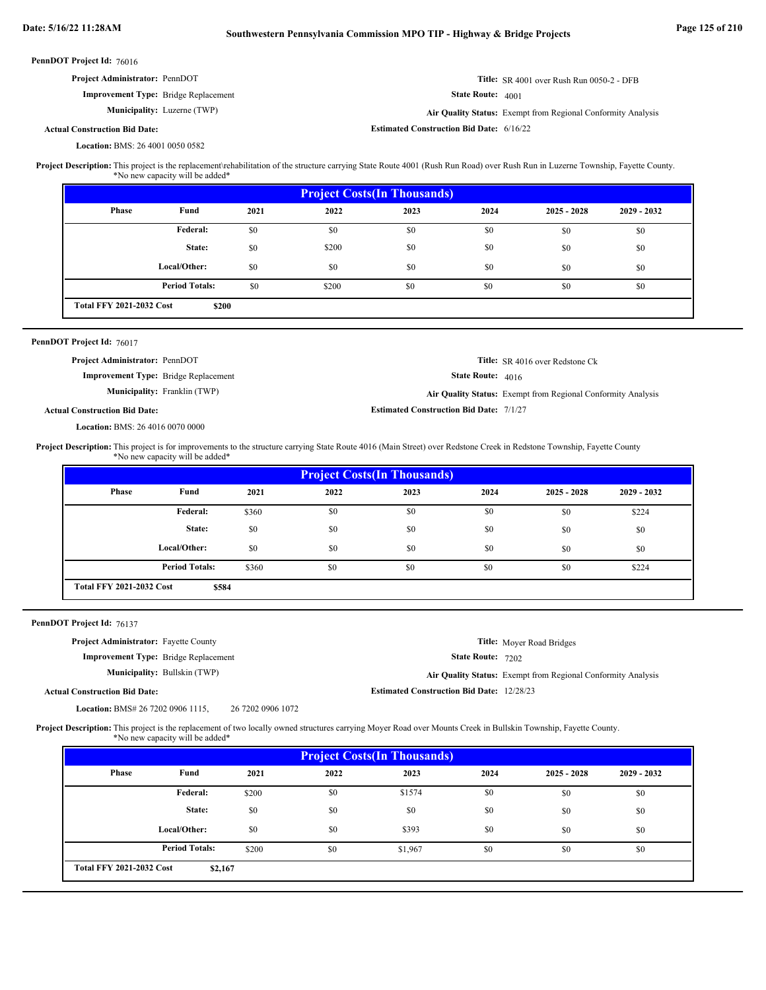| PennDOT Project Id: 76016                                                                                                                                                                             |                                 |                   |                   |                                                  |                   |                                                              |             |  |
|-------------------------------------------------------------------------------------------------------------------------------------------------------------------------------------------------------|---------------------------------|-------------------|-------------------|--------------------------------------------------|-------------------|--------------------------------------------------------------|-------------|--|
| Project Administrator: PennDOT                                                                                                                                                                        |                                 |                   |                   |                                                  |                   | Title: SR 4001 over Rush Run 0050-2 - DFB                    |             |  |
| <b>Improvement Type:</b> Bridge Replacement                                                                                                                                                           |                                 |                   | State Route: 4001 |                                                  |                   |                                                              |             |  |
|                                                                                                                                                                                                       | Municipality: Luzerne (TWP)     |                   |                   |                                                  |                   | Air Quality Status: Exempt from Regional Conformity Analysis |             |  |
| <b>Actual Construction Bid Date:</b>                                                                                                                                                                  |                                 |                   |                   | <b>Estimated Construction Bid Date: 6/16/22</b>  |                   |                                                              |             |  |
| Location: BMS: 26 4001 0050 0582                                                                                                                                                                      |                                 |                   |                   |                                                  |                   |                                                              |             |  |
| Project Description: This project is the replacement/rehabilitation of the structure carrying State Route 4001 (Rush Run Road) over Rush Run in Luzerne Township, Fayette County.                     | *No new capacity will be added* |                   |                   |                                                  |                   |                                                              |             |  |
|                                                                                                                                                                                                       |                                 |                   |                   | <b>Project Costs(In Thousands)</b>               |                   |                                                              |             |  |
| Phase                                                                                                                                                                                                 | Fund                            | 2021              | 2022              | 2023                                             | 2024              | $2025 - 2028$                                                | 2029 - 2032 |  |
|                                                                                                                                                                                                       | Federal:                        | \$0               | \$0               | \$0                                              | \$0               | \$0                                                          | \$0         |  |
|                                                                                                                                                                                                       | State:                          | \$0               | \$200             | \$0                                              | \$0               | \$0                                                          | \$0         |  |
|                                                                                                                                                                                                       | Local/Other:                    | \$0               | \$0               | \$0                                              | \$0               | \$0                                                          | \$0         |  |
|                                                                                                                                                                                                       | <b>Period Totals:</b>           | \$0               | \$200             | \$0                                              | \$0               | \$0                                                          | \$0         |  |
| <b>Total FFY 2021-2032 Cost</b>                                                                                                                                                                       | \$200                           |                   |                   |                                                  |                   |                                                              |             |  |
| PennDOT Project Id: 76017                                                                                                                                                                             |                                 |                   |                   |                                                  |                   |                                                              |             |  |
| <b>Project Administrator: PennDOT</b>                                                                                                                                                                 |                                 |                   |                   |                                                  |                   | Title: SR 4016 over Redstone Ck                              |             |  |
| <b>Improvement Type:</b> Bridge Replacement                                                                                                                                                           |                                 |                   |                   |                                                  | State Route: 4016 |                                                              |             |  |
|                                                                                                                                                                                                       | Municipality: Franklin (TWP)    |                   |                   |                                                  |                   | Air Quality Status: Exempt from Regional Conformity Analysis |             |  |
| <b>Actual Construction Bid Date:</b>                                                                                                                                                                  |                                 |                   |                   | <b>Estimated Construction Bid Date: 7/1/27</b>   |                   |                                                              |             |  |
| Location: BMS: 26 4016 0070 0000                                                                                                                                                                      |                                 |                   |                   |                                                  |                   |                                                              |             |  |
| Project Description: This project is for improvements to the structure carrying State Route 4016 (Main Street) over Redstone Creek in Redstone Township, Fayette County                               | *No new capacity will be added* |                   |                   |                                                  |                   |                                                              |             |  |
|                                                                                                                                                                                                       |                                 |                   |                   |                                                  |                   |                                                              |             |  |
|                                                                                                                                                                                                       |                                 |                   |                   | <b>Project Costs(In Thousands)</b>               |                   |                                                              |             |  |
| <b>Phase</b>                                                                                                                                                                                          | Fund                            | 2021              | 2022              | 2023                                             | 2024              | $2025 - 2028$                                                | 2029 - 2032 |  |
|                                                                                                                                                                                                       | Federal:                        | \$360             | \$0               | \$0                                              | \$0               | \$0                                                          | \$224       |  |
|                                                                                                                                                                                                       | State:                          | \$0               | \$0               | \$0                                              | \$0               | \$0                                                          | \$0         |  |
|                                                                                                                                                                                                       | Local/Other:                    | \$0               | \$0               | \$0                                              | \$0               | \$0                                                          | \$0         |  |
|                                                                                                                                                                                                       | <b>Period Totals:</b>           | \$360             | \$0               | \$0                                              | \$0               | \$0                                                          | \$224       |  |
| <b>Total FFY 2021-2032 Cost</b>                                                                                                                                                                       | \$584                           |                   |                   |                                                  |                   |                                                              |             |  |
|                                                                                                                                                                                                       |                                 |                   |                   |                                                  |                   |                                                              |             |  |
| PennDOT Project Id: 76137                                                                                                                                                                             |                                 |                   |                   |                                                  |                   |                                                              |             |  |
| Project Administrator: Fayette County                                                                                                                                                                 |                                 |                   |                   |                                                  |                   | Title: Moyer Road Bridges                                    |             |  |
| <b>Improvement Type:</b> Bridge Replacement                                                                                                                                                           | Municipality: Bullskin (TWP)    |                   |                   |                                                  | State Route: 7202 |                                                              |             |  |
|                                                                                                                                                                                                       |                                 |                   |                   |                                                  |                   | Air Quality Status: Exempt from Regional Conformity Analysis |             |  |
| <b>Actual Construction Bid Date:</b>                                                                                                                                                                  |                                 |                   |                   | <b>Estimated Construction Bid Date: 12/28/23</b> |                   |                                                              |             |  |
| Location: BMS# 26 7202 0906 1115,<br>Project Description: This project is the replacement of two locally owned structures carrying Moyer Road over Mounts Creek in Bullskin Township, Fayette County. |                                 | 26 7202 0906 1072 |                   |                                                  |                   |                                                              |             |  |
|                                                                                                                                                                                                       | *No new capacity will be added* |                   |                   |                                                  |                   |                                                              |             |  |
| Phase                                                                                                                                                                                                 | Fund                            | 2021              | 2022              | <b>Project Costs(In Thousands)</b><br>2023       | 2024              | $2025 - 2028$                                                | 2029 - 2032 |  |
|                                                                                                                                                                                                       | <b>Federal:</b>                 | \$200             | \$0               | \$1574                                           | \$0               | \$0                                                          | \$0         |  |

\$0 \$0 \$393 \$0 \$0 \$0 \$0 \$0  $$0$  \$0 \$0 \$0 \$0 \$0 \$0 \$0

\$0

**\$2,167**

**Period Totals:** \$200 \$0 \$1,967 \$0

**Local/Other:**

**Total FFY 2021-2032 Cost**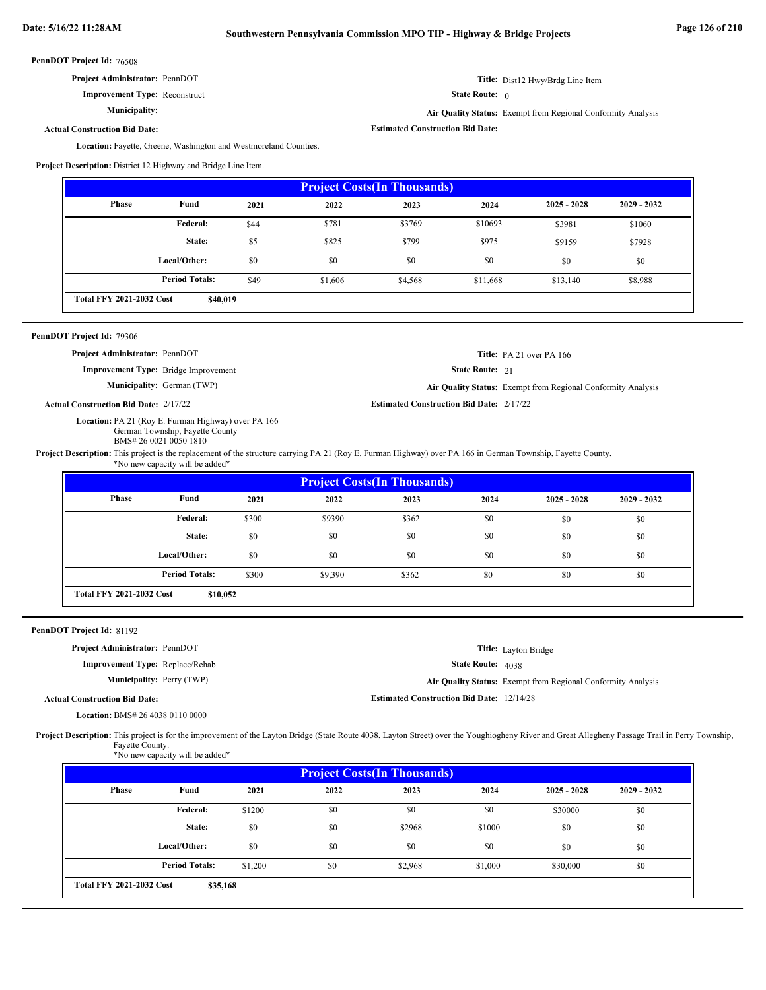| Project Administrator: PennDOT |  |
|--------------------------------|--|
|--------------------------------|--|

**Improvement Type:** Reconstruct

**Municipality:**

**Actual Construction Bid Date:**

**Estimated Construction Bid Date:**

State Route: 0

Location: Fayette, Greene, Washington and Westmoreland Counties.

**Project Description:** District 12 Highway and Bridge Line Item.

| <b>Project Costs (In Thousands)</b>         |                       |      |         |         |          |               |               |  |
|---------------------------------------------|-----------------------|------|---------|---------|----------|---------------|---------------|--|
| <b>Phase</b>                                | Fund                  | 2021 | 2022    | 2023    | 2024     | $2025 - 2028$ | $2029 - 2032$ |  |
|                                             | Federal:              | \$44 | \$781   | \$3769  | \$10693  | \$3981        | \$1060        |  |
|                                             | State:                | \$5  | \$825   | \$799   | \$975    | \$9159        | \$7928        |  |
|                                             | Local/Other:          | \$0  | \$0     | \$0     | \$0      | \$0           | \$0           |  |
|                                             | <b>Period Totals:</b> | \$49 | \$1,606 | \$4,568 | \$11,668 | \$13,140      | \$8,988       |  |
| <b>Total FFY 2021-2032 Cost</b><br>\$40,019 |                       |      |         |         |          |               |               |  |

| PennDOT Project Id: 79306 |  |
|---------------------------|--|
|---------------------------|--|

**Project Administrator:** PennDOT

**Improvement Type:** Bridge Improvement

**Municipality:**

**Actual Construction Bid Date:**

Location: PA 21 (Roy E. Furman Highway) over PA 166 German Township, Fayette County BMS# 26 0021 0050 1810

State Route: 21

German (TWP) **Air Quality Status:** Exempt from Regional Conformity Analysis

**Title:** PA 21 over PA 166

**Title:** Dist12 Hwy/Brdg Line Item

**Air Quality Status:** Exempt from Regional Conformity Analysis

**Estimated Construction Bid Date:** 2/17/22 2/17/22

**Project Description:** This project is the replacement of the structure carrying PA 21 (Roy E. Furman Highway) over PA 166 in German Township, Fayette County. \*No new capacity will be added\*

| <b>Project Costs (In Thousands)</b> |                       |       |         |       |      |               |               |  |
|-------------------------------------|-----------------------|-------|---------|-------|------|---------------|---------------|--|
| Phase                               | Fund                  | 2021  | 2022    | 2023  | 2024 | $2025 - 2028$ | $2029 - 2032$ |  |
|                                     | <b>Federal:</b>       | \$300 | \$9390  | \$362 | \$0  | \$0           | \$0           |  |
|                                     | State:                | \$0   | \$0     | \$0   | \$0  | \$0           | \$0           |  |
|                                     | Local/Other:          | \$0   | \$0     | \$0   | \$0  | \$0           | \$0           |  |
|                                     | <b>Period Totals:</b> | \$300 | \$9,390 | \$362 | \$0  | \$0           | \$0           |  |

PennDOT Project Id: 81192

| <b>Project Administrator: PennDOT</b>  |                                                  |                                                                     |
|----------------------------------------|--------------------------------------------------|---------------------------------------------------------------------|
|                                        |                                                  | <b>Title:</b> Layton Bridge                                         |
| <b>Improvement Type:</b> Replace/Rehab | <b>State Route: 4038</b>                         |                                                                     |
| <b>Municipality:</b> Perry (TWP)       |                                                  | <b>Air Quality Status:</b> Exempt from Regional Conformity Analysis |
| ll Construction Bid Date:              | <b>Estimated Construction Bid Date: 12/14/28</b> |                                                                     |

**Actual Construction Bid Date:**

BMS# 26 4038 0110 0000 **Location:**

Project Description: This project is for the improvement of the Layton Bridge (State Route 4038, Layton Street) over the Youghiogheny River and Great Allegheny Passage Trail in Perry Township, Fayette County. \*No new capacity will be added\*

| <b>Project Costs (In Thousands)</b>         |                       |         |      |         |         |               |               |  |
|---------------------------------------------|-----------------------|---------|------|---------|---------|---------------|---------------|--|
| Phase                                       | Fund                  | 2021    | 2022 | 2023    | 2024    | $2025 - 2028$ | $2029 - 2032$ |  |
|                                             | <b>Federal:</b>       | \$1200  | \$0  | \$0     | \$0     | \$30000       | \$0           |  |
|                                             | State:                | \$0     | \$0  | \$2968  | \$1000  | \$0           | \$0           |  |
|                                             | Local/Other:          | \$0     | \$0  | \$0     | \$0     | \$0           | \$0           |  |
|                                             | <b>Period Totals:</b> | \$1,200 | \$0  | \$2,968 | \$1,000 | \$30,000      | \$0           |  |
| <b>Total FFY 2021-2032 Cost</b><br>\$35,168 |                       |         |      |         |         |               |               |  |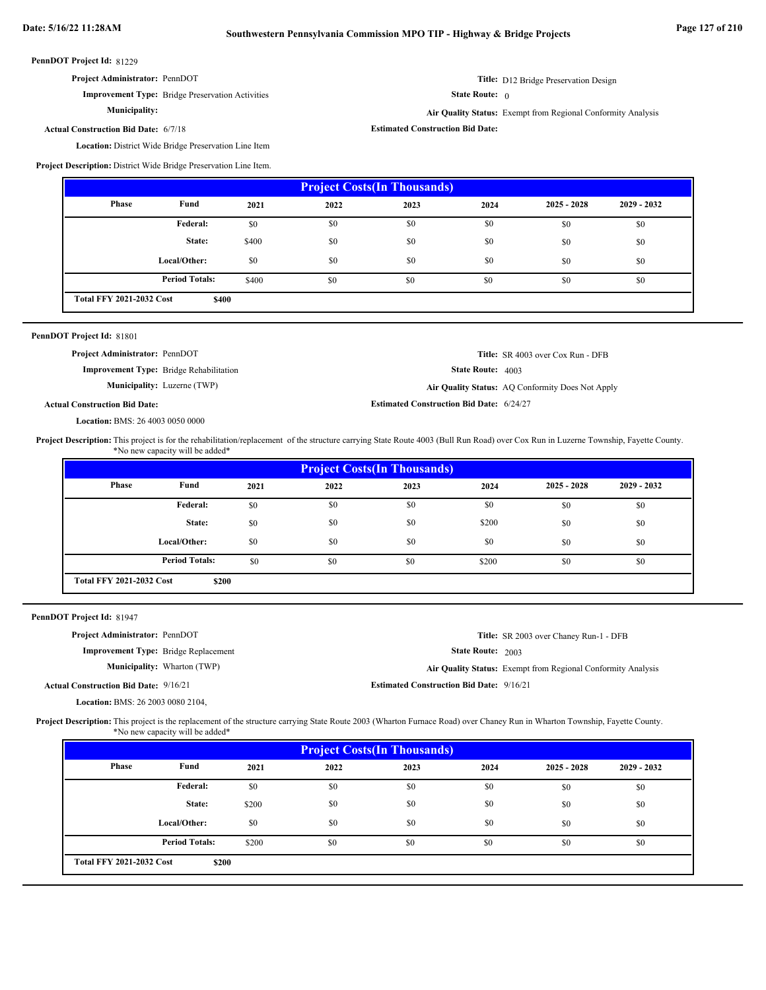**Estimated Construction Bid Date:**

PennDOT Project Id: 81229

| Project Administrator: PennDOT |  |
|--------------------------------|--|
|--------------------------------|--|

**Municipality:**

**Improvement Type:** Bridge Preservation Activities

**Title:** D12 Bridge Preservation Design

State Route: 0

**Air Quality Status:** Exempt from Regional Conformity Analysis

**Actual Construction Bid Date:** 6/7/18

Location: District Wide Bridge Preservation Line Item

**Project Description:** District Wide Bridge Preservation Line Item.

| <b>Project Costs (In Thousands)</b> |                                          |       |      |      |      |               |               |  |
|-------------------------------------|------------------------------------------|-------|------|------|------|---------------|---------------|--|
| Phase                               | Fund                                     | 2021  | 2022 | 2023 | 2024 | $2025 - 2028$ | $2029 - 2032$ |  |
|                                     | <b>Federal:</b>                          | \$0   | \$0  | \$0  | \$0  | \$0           | \$0           |  |
|                                     | State:                                   | \$400 | \$0  | \$0  | \$0  | \$0           | \$0           |  |
|                                     | Local/Other:                             | \$0   | \$0  | \$0  | \$0  | \$0           | \$0           |  |
|                                     | <b>Period Totals:</b>                    | \$400 | \$0  | \$0  | \$0  | \$0           | \$0           |  |
|                                     | <b>Total FFY 2021-2032 Cost</b><br>\$400 |       |      |      |      |               |               |  |

| PennDOT Project Id: 81801             |                                                |                                                 |                                                  |
|---------------------------------------|------------------------------------------------|-------------------------------------------------|--------------------------------------------------|
| <b>Project Administrator: PennDOT</b> |                                                |                                                 | <b>Title:</b> SR 4003 over Cox Run - DFB         |
|                                       | <b>Improvement Type:</b> Bridge Rehabilitation | <b>State Route: 4003</b>                        |                                                  |
|                                       | <b>Municipality:</b> Luzerne (TWP)             |                                                 | Air Quality Status: AQ Conformity Does Not Apply |
| <b>Actual Construction Bid Date:</b>  |                                                | <b>Estimated Construction Bid Date: 6/24/27</b> |                                                  |
|                                       |                                                |                                                 |                                                  |

BMS: 26 4003 0050 0000 **Location:**

Project Description: This project is for the rehabilitation/replacement of the structure carrying State Route 4003 (Bull Run Road) over Cox Run in Luzerne Township, Fayette County. \*No new capacity will be added\*

| <b>Project Costs (In Thousands)</b>      |                       |      |      |      |       |               |               |
|------------------------------------------|-----------------------|------|------|------|-------|---------------|---------------|
| Phase                                    | Fund                  | 2021 | 2022 | 2023 | 2024  | $2025 - 2028$ | $2029 - 2032$ |
|                                          | Federal:              | \$0  | \$0  | \$0  | \$0   | \$0           | \$0           |
|                                          | State:                | \$0  | \$0  | \$0  | \$200 | \$0           | \$0           |
|                                          | Local/Other:          | \$0  | \$0  | \$0  | \$0   | \$0           | \$0           |
|                                          | <b>Period Totals:</b> | \$0  | \$0  | \$0  | \$200 | \$0           | \$0           |
| <b>Total FFY 2021-2032 Cost</b><br>\$200 |                       |      |      |      |       |               |               |

|  | PennDOT Project Id: 81947 |  |
|--|---------------------------|--|
|--|---------------------------|--|

|--|

**Improvement Type:** Bridge Replacement

**Municipality:**

**Actual Construction Bid Date:**

BMS: 26 2003 0080 2104, **Location:**

**Estimated Construction Bid Date:** 9/16/21 9/16/21 Wharton (TWP) **Air Quality Status:** Exempt from Regional Conformity Analysis

State Route: 2003

**Title:** SR 2003 over Chaney Run-1 - DFB

Project Description: This project is the replacement of the structure carrying State Route 2003 (Wharton Furnace Road) over Chaney Run in Wharton Township, Fayette County. \*No new capacity will be added\*

| <b>Project Costs (In Thousands)</b>      |                       |       |      |      |      |               |               |
|------------------------------------------|-----------------------|-------|------|------|------|---------------|---------------|
| Phase                                    | Fund                  | 2021  | 2022 | 2023 | 2024 | $2025 - 2028$ | $2029 - 2032$ |
|                                          | <b>Federal:</b>       | \$0   | \$0  | \$0  | \$0  | \$0           | \$0           |
|                                          | State:                | \$200 | \$0  | \$0  | \$0  | \$0           | \$0           |
|                                          | Local/Other:          | \$0   | \$0  | \$0  | \$0  | \$0           | \$0           |
|                                          | <b>Period Totals:</b> | \$200 | \$0  | \$0  | \$0  | \$0           | \$0           |
| <b>Total FFY 2021-2032 Cost</b><br>\$200 |                       |       |      |      |      |               |               |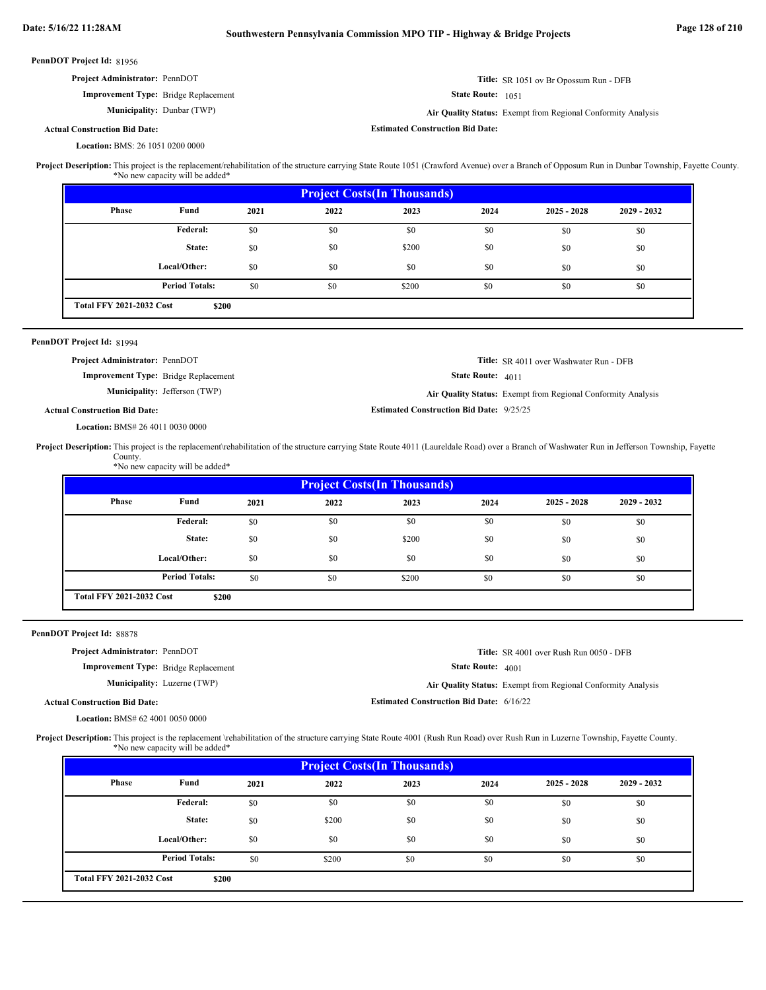| PennDOT Project Id: 81956                                                                                                                                                                                                         |                                                                       |      |                                    |                                                 |                   |                                                              |             |
|-----------------------------------------------------------------------------------------------------------------------------------------------------------------------------------------------------------------------------------|-----------------------------------------------------------------------|------|------------------------------------|-------------------------------------------------|-------------------|--------------------------------------------------------------|-------------|
| Project Administrator: PennDOT                                                                                                                                                                                                    |                                                                       |      |                                    |                                                 |                   | Title: SR 1051 ov Br Opossum Run - DFB                       |             |
|                                                                                                                                                                                                                                   | Improvement Type: Bridge Replacement<br>State Route: 1051             |      |                                    |                                                 |                   |                                                              |             |
|                                                                                                                                                                                                                                   | Municipality: Dunbar (TWP)                                            |      |                                    |                                                 |                   | Air Quality Status: Exempt from Regional Conformity Analysis |             |
| <b>Actual Construction Bid Date:</b>                                                                                                                                                                                              |                                                                       |      |                                    | <b>Estimated Construction Bid Date:</b>         |                   |                                                              |             |
| Location: BMS: 26 1051 0200 0000                                                                                                                                                                                                  |                                                                       |      |                                    |                                                 |                   |                                                              |             |
| Project Description: This project is the replacement/rehabilitation of the structure carrying State Route 1051 (Crawford Avenue) over a Branch of Opposum Run in Dunbar Township, Fayette County.                                 | *No new capacity will be added*                                       |      |                                    |                                                 |                   |                                                              |             |
|                                                                                                                                                                                                                                   |                                                                       |      | <b>Project Costs(In Thousands)</b> |                                                 |                   |                                                              |             |
| <b>Phase</b>                                                                                                                                                                                                                      | Fund                                                                  | 2021 | 2022                               | 2023                                            | 2024              | $2025 - 2028$                                                | 2029 - 2032 |
|                                                                                                                                                                                                                                   | Federal:                                                              | \$0  | \$0                                | \$0                                             | \$0               | \$0                                                          | \$0         |
|                                                                                                                                                                                                                                   | State:                                                                | \$0  | \$0                                | \$200                                           | \$0               | \$0                                                          | \$0         |
|                                                                                                                                                                                                                                   | Local/Other:                                                          | \$0  | \$0                                | \$0                                             | \$0               | \$0                                                          | \$0         |
|                                                                                                                                                                                                                                   | <b>Period Totals:</b>                                                 | \$0  | \$0                                | \$200                                           | \$0               | \$0                                                          | \$0         |
| <b>Total FFY 2021-2032 Cost</b>                                                                                                                                                                                                   | \$200                                                                 |      |                                    |                                                 |                   |                                                              |             |
|                                                                                                                                                                                                                                   |                                                                       |      |                                    |                                                 |                   |                                                              |             |
| PennDOT Project Id: 81994                                                                                                                                                                                                         |                                                                       |      |                                    |                                                 |                   |                                                              |             |
| Project Administrator: PennDOT                                                                                                                                                                                                    |                                                                       |      |                                    |                                                 |                   | Title: SR 4011 over Washwater Run - DFB                      |             |
|                                                                                                                                                                                                                                   | Improvement Type: Bridge Replacement<br>Municipality: Jefferson (TWP) |      |                                    |                                                 | State Route: 4011 |                                                              |             |
|                                                                                                                                                                                                                                   |                                                                       |      |                                    | <b>Estimated Construction Bid Date: 9/25/25</b> |                   | Air Quality Status: Exempt from Regional Conformity Analysis |             |
|                                                                                                                                                                                                                                   |                                                                       |      |                                    |                                                 |                   |                                                              |             |
| <b>Actual Construction Bid Date:</b><br>Location: BMS# 26 4011 0030 0000<br>County.                                                                                                                                               | *No new capacity will be added*                                       |      |                                    |                                                 |                   |                                                              |             |
|                                                                                                                                                                                                                                   |                                                                       |      |                                    | <b>Project Costs(In Thousands)</b>              |                   |                                                              |             |
| Phase                                                                                                                                                                                                                             | Fund                                                                  | 2021 | 2022                               | 2023                                            | 2024              | $2025 - 2028$                                                | 2029 - 2032 |
|                                                                                                                                                                                                                                   | Federal:                                                              | \$0  | \$0                                | \$0                                             | \$0               | \$0                                                          | \$0         |
|                                                                                                                                                                                                                                   | State:                                                                | \$0  | \$0                                | \$200                                           | \$0               | \$0                                                          | \$0         |
|                                                                                                                                                                                                                                   | Local/Other:                                                          | \$0  | \$0                                | \$0                                             | \$0               | \$0                                                          | \$0         |
|                                                                                                                                                                                                                                   | <b>Period Totals:</b>                                                 | \$0  | \$0                                | \$200                                           | \$0               | \$0                                                          | \$0         |
| Project Description: This project is the replacement/rehabilitation of the structure carrying State Route 4011 (Laureldale Road) over a Branch of Washwater Run in Jefferson Township, Fayette<br><b>Total FFY 2021-2032 Cost</b> | \$200                                                                 |      |                                    |                                                 |                   |                                                              |             |
|                                                                                                                                                                                                                                   |                                                                       |      |                                    |                                                 |                   |                                                              |             |
| Project Administrator: PennDOT                                                                                                                                                                                                    |                                                                       |      |                                    |                                                 |                   | Title: SR 4001 over Rush Run 0050 - DFB                      |             |
|                                                                                                                                                                                                                                   | <b>Improvement Type:</b> Bridge Replacement                           |      |                                    |                                                 | State Route: 4001 |                                                              |             |
|                                                                                                                                                                                                                                   | <b>Municipality:</b> Luzerne (TWP)                                    |      |                                    |                                                 |                   | Air Quality Status: Exempt from Regional Conformity Analysis |             |
| <b>Actual Construction Bid Date:</b><br>Location: BMS# 62 4001 0050 0000                                                                                                                                                          |                                                                       |      |                                    | <b>Estimated Construction Bid Date: 6/16/22</b> |                   |                                                              |             |
| PennDOT Project Id: 88878<br>Project Description: This project is the replacement \rehabilitation of the structure carrying State Route 4001 (Rush Run Road) over Rush Run in Luzerne Township, Fayette County.                   | *No new capacity will be added*                                       |      |                                    |                                                 |                   |                                                              |             |
|                                                                                                                                                                                                                                   |                                                                       |      |                                    | <b>Project Costs(In Thousands)</b>              |                   |                                                              |             |
| Phase                                                                                                                                                                                                                             | Fund                                                                  | 2021 | 2022                               | 2023                                            | 2024              | $2025 - 2028$                                                | 2029 - 2032 |
|                                                                                                                                                                                                                                   | Federal:                                                              | \$0  | \$0                                | \$0                                             | \$0               | \$0                                                          | \$0         |
|                                                                                                                                                                                                                                   | State:                                                                | \$0  | \$200                              | \$0                                             | \$0               | \$0                                                          | \$0         |
|                                                                                                                                                                                                                                   | Local/Other:                                                          | \$0  | \$0                                | \$0                                             | \$0               | \$0                                                          | \$0         |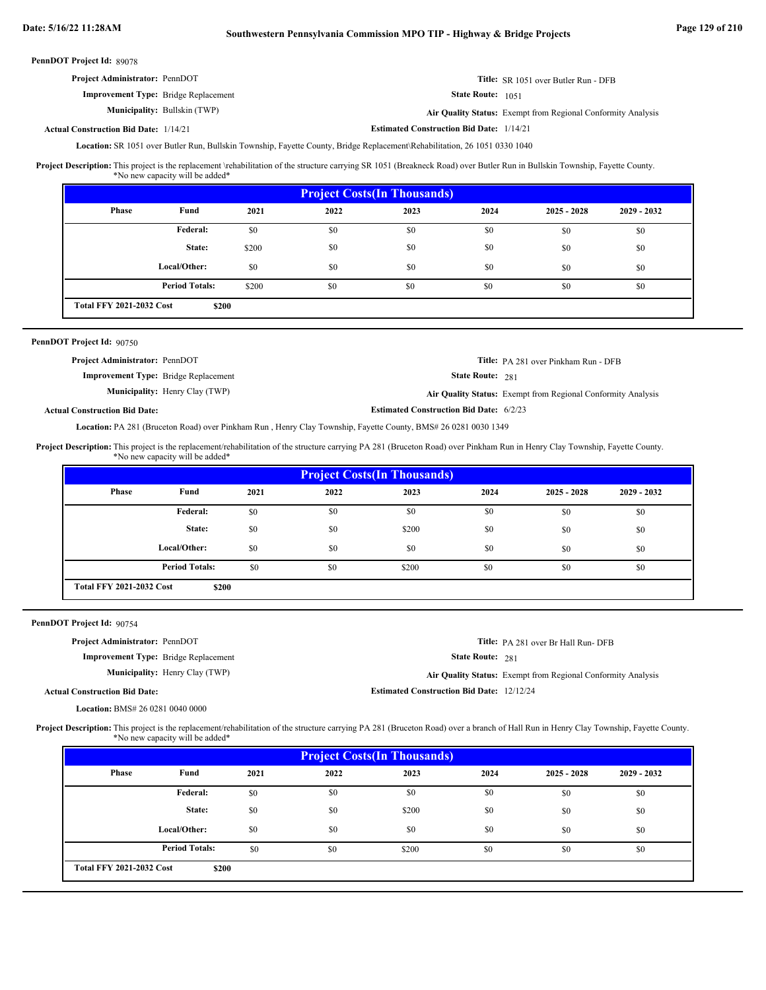| <b>Project Administrator: PennDOT</b>        |                                     |                                                 | <b>Title:</b> SR 1051 over Butler Run - DFB                         |
|----------------------------------------------|-------------------------------------|-------------------------------------------------|---------------------------------------------------------------------|
| <b>Improvement Type:</b> Bridge Replacement  |                                     | <b>State Route:</b> 1051                        |                                                                     |
|                                              | <b>Municipality:</b> Bullskin (TWP) |                                                 | <b>Air Quality Status:</b> Exempt from Regional Conformity Analysis |
| <b>Actual Construction Bid Date: 1/14/21</b> |                                     | <b>Estimated Construction Bid Date: 1/14/21</b> |                                                                     |

Location: SR 1051 over Butler Run, Bullskin Township, Fayette County, Bridge Replacement\Rehabilitation, 26 1051 0330 1040

This project is the replacement \rehabilitation of the structure carrying SR 1051 (Breakneck Road) over Butler Run in Bullskin Township, Fayette County. \*No new capacity will be added\* **Project Description:**

| <b>Project Costs(In Thousands)</b> |                                          |       |      |      |      |               |               |
|------------------------------------|------------------------------------------|-------|------|------|------|---------------|---------------|
| <b>Phase</b>                       | Fund                                     | 2021  | 2022 | 2023 | 2024 | $2025 - 2028$ | $2029 - 2032$ |
|                                    | <b>Federal:</b>                          | \$0   | \$0  | \$0  | \$0  | \$0           | \$0           |
|                                    | State:                                   | \$200 | \$0  | \$0  | \$0  | \$0           | \$0           |
|                                    | Local/Other:                             | \$0   | \$0  | \$0  | \$0  | \$0           | \$0           |
|                                    | <b>Period Totals:</b>                    | \$200 | \$0  | \$0  | \$0  | \$0           | \$0           |
|                                    | <b>Total FFY 2021-2032 Cost</b><br>\$200 |       |      |      |      |               |               |

### PennDOT Project Id: 90750

| <b>Project Administrator: PennDOT</b>       | <b>Title:</b> PA 281 over Pinkham Run - DFB                  |
|---------------------------------------------|--------------------------------------------------------------|
| <b>Improvement Type:</b> Bridge Replacement | <b>State Route: 281</b>                                      |
| <b>Municipality:</b> Henry Clay (TWP)       | Air Quality Status: Exempt from Regional Conformity Analysis |
| <b>Actual Construction Bid Date:</b>        | <b>Estimated Construction Bid Date: 6/2/23</b>               |

Location: PA 281 (Bruceton Road) over Pinkham Run, Henry Clay Township, Fayette County, BMS# 26 0281 0030 1349

This project is the replacement/rehabilitation of the structure carrying PA 281 (Bruceton Road) over Pinkham Run in Henry Clay Township, Fayette County. \*No new capacity will be added\* **Project Description:**

| <b>Project Costs (In Thousands)</b>      |                       |      |      |       |      |               |               |
|------------------------------------------|-----------------------|------|------|-------|------|---------------|---------------|
| Phase                                    | Fund                  | 2021 | 2022 | 2023  | 2024 | $2025 - 2028$ | $2029 - 2032$ |
|                                          | Federal:              | \$0  | \$0  | \$0   | \$0  | \$0           | \$0           |
|                                          | State:                | \$0  | \$0  | \$200 | \$0  | \$0           | \$0           |
|                                          | Local/Other:          | \$0  | \$0  | \$0   | \$0  | \$0           | \$0           |
|                                          | <b>Period Totals:</b> | \$0  | \$0  | \$200 | \$0  | \$0           | \$0           |
| <b>Total FFY 2021-2032 Cost</b><br>\$200 |                       |      |      |       |      |               |               |

PennDOT Project Id: 90754

| <b>Project Administrator: PennDOT</b>       |                                       |                                                  | <b>Title:</b> PA 281 over Br Hall Run-DFB                    |
|---------------------------------------------|---------------------------------------|--------------------------------------------------|--------------------------------------------------------------|
| <b>Improvement Type:</b> Bridge Replacement |                                       | <b>State Route: 281</b>                          |                                                              |
|                                             | <b>Municipality:</b> Henry Clay (TWP) |                                                  | Air Quality Status: Exempt from Regional Conformity Analysis |
| <b>Actual Construction Bid Date:</b>        |                                       | <b>Estimated Construction Bid Date: 12/12/24</b> |                                                              |
| <b>Location: BMS# 26 0281 0040 0000</b>     |                                       |                                                  |                                                              |

**Project Description:** This project is the replacement/rehabilitation of the structure carrying PA 281 (Bruceton Road) over a branch of Hall Run in Henry Clay Township, Fayette County. \*No new capacity will be added\*

| <b>Project Costs (In Thousands)</b> |                                          |      |      |       |      |               |               |
|-------------------------------------|------------------------------------------|------|------|-------|------|---------------|---------------|
| Phase                               | Fund                                     | 2021 | 2022 | 2023  | 2024 | $2025 - 2028$ | $2029 - 2032$ |
|                                     | Federal:                                 | \$0  | \$0  | \$0   | \$0  | \$0           | \$0           |
|                                     | State:                                   | \$0  | \$0  | \$200 | \$0  | \$0           | \$0           |
|                                     | Local/Other:                             | \$0  | \$0  | \$0   | \$0  | \$0           | \$0           |
|                                     | <b>Period Totals:</b>                    | \$0  | \$0  | \$200 | \$0  | \$0           | \$0           |
|                                     | <b>Total FFY 2021-2032 Cost</b><br>\$200 |      |      |       |      |               |               |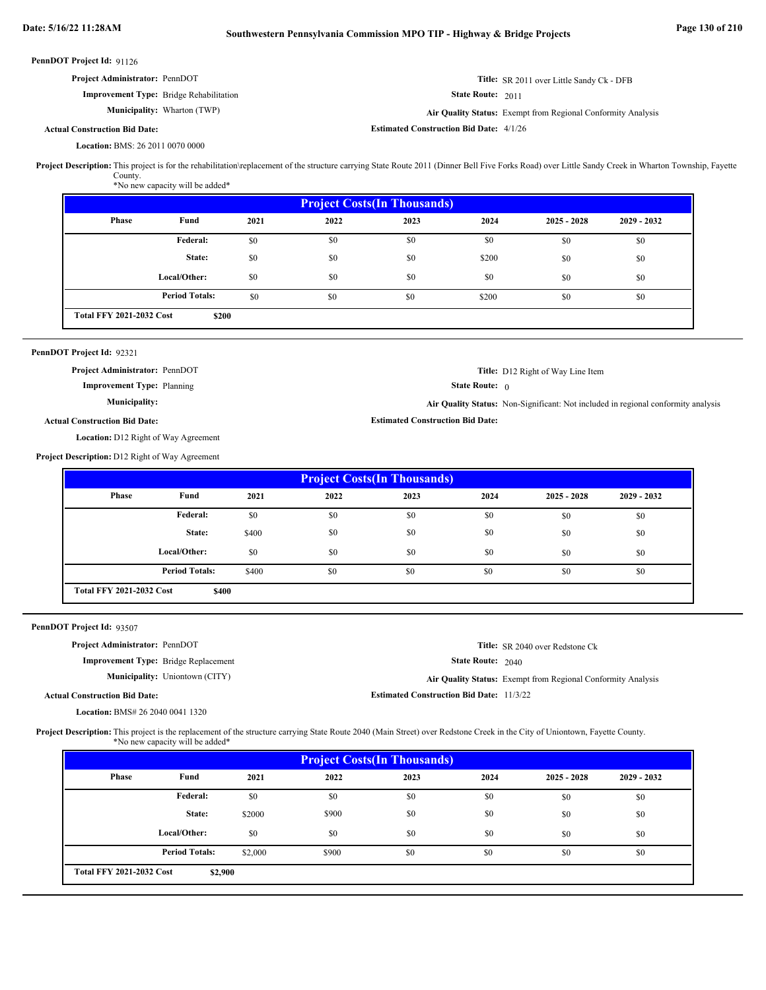| <b>Project Administrator: PennDOT</b>          |                                    |                                                | <b>Title:</b> SR 2011 over Little Sandy Ck - DFB             |
|------------------------------------------------|------------------------------------|------------------------------------------------|--------------------------------------------------------------|
| <b>Improvement Type:</b> Bridge Rehabilitation |                                    | <b>State Route: 2011</b>                       |                                                              |
|                                                | <b>Municipality:</b> Wharton (TWP) |                                                | Air Quality Status: Exempt from Regional Conformity Analysis |
| <b>Actual Construction Bid Date:</b>           |                                    | <b>Estimated Construction Bid Date: 4/1/26</b> |                                                              |

## BMS: 26 2011 0070 0000 **Location:**

Project Description: This project is for the rehabilitation\replacement of the structure carrying State Route 2011 (Dinner Bell Five Forks Road) over Little Sandy Creek in Wharton Township, Fayette County.

\*No new capacity will be added\*

| <b>Project Costs (In Thousands)</b>      |                       |      |      |      |       |               |               |
|------------------------------------------|-----------------------|------|------|------|-------|---------------|---------------|
| <b>Phase</b>                             | Fund                  | 2021 | 2022 | 2023 | 2024  | $2025 - 2028$ | $2029 - 2032$ |
|                                          | Federal:              | \$0  | \$0  | \$0  | \$0   | \$0           | \$0           |
|                                          | State:                | \$0  | \$0  | \$0  | \$200 | \$0           | \$0           |
|                                          | Local/Other:          | \$0  | \$0  | \$0  | \$0   | \$0           | \$0           |
|                                          | <b>Period Totals:</b> | \$0  | \$0  | \$0  | \$200 | \$0           | \$0           |
| <b>Total FFY 2021-2032 Cost</b><br>\$200 |                       |      |      |      |       |               |               |

### PennDOT Project Id: 92321

**Project Administrator:** PennDOT

**Improvement Type:** Planning

### **Municipality:**

State Route: 0

**Estimated Construction Bid Date:**

**Air Quality Status:** Non-Significant: Not included in regional conformity analysis

**Title:** D12 Right of Way Line Item

## **Actual Construction Bid Date:**

Location: D12 Right of Way Agreement

**Project Description:** D12 Right of Way Agreement

| <b>Project Costs (In Thousands)</b> |                       |       |      |      |      |               |               |
|-------------------------------------|-----------------------|-------|------|------|------|---------------|---------------|
| <b>Phase</b>                        | Fund                  | 2021  | 2022 | 2023 | 2024 | $2025 - 2028$ | $2029 - 2032$ |
|                                     | <b>Federal:</b>       | \$0   | \$0  | \$0  | \$0  | \$0           | \$0           |
|                                     | State:                | \$400 | \$0  | \$0  | \$0  | \$0           | \$0           |
|                                     | Local/Other:          | \$0   | \$0  | \$0  | \$0  | \$0           | \$0           |
|                                     | <b>Period Totals:</b> | \$400 | \$0  | \$0  | \$0  | \$0           | \$0           |
| <b>Total FFY 2021-2032 Cost</b>     | \$400                 |       |      |      |      |               |               |

PennDOT Project Id: 93507

| <b>Project Administrator: PennDOT</b>       |                                       |                                                 | <b>Title:</b> SR 2040 over Redstone Ck                       |
|---------------------------------------------|---------------------------------------|-------------------------------------------------|--------------------------------------------------------------|
| <b>Improvement Type:</b> Bridge Replacement |                                       | <b>State Route: 2040</b>                        |                                                              |
|                                             | <b>Municipality:</b> Uniontown (CITY) |                                                 | Air Quality Status: Exempt from Regional Conformity Analysis |
| <b>Actual Construction Bid Date:</b>        |                                       | <b>Estimated Construction Bid Date: 11/3/22</b> |                                                              |

BMS# 26 2040 0041 1320 **Location:**

Project Description: This project is the replacement of the structure carrying State Route 2040 (Main Street) over Redstone Creek in the City of Uniontown, Fayette County. \*No new capacity will be added\*

| <b>Project Costs (In Thousands)</b>        |                       |         |       |      |      |               |               |
|--------------------------------------------|-----------------------|---------|-------|------|------|---------------|---------------|
| Phase                                      | Fund                  | 2021    | 2022  | 2023 | 2024 | $2025 - 2028$ | $2029 - 2032$ |
|                                            | Federal:              | \$0     | \$0   | \$0  | \$0  | \$0           | \$0           |
|                                            | State:                | \$2000  | \$900 | \$0  | \$0  | \$0           | \$0           |
|                                            | Local/Other:          | \$0     | \$0   | \$0  | \$0  | \$0           | \$0           |
|                                            | <b>Period Totals:</b> | \$2,000 | \$900 | \$0  | \$0  | \$0           | \$0           |
| <b>Total FFY 2021-2032 Cost</b><br>\$2,900 |                       |         |       |      |      |               |               |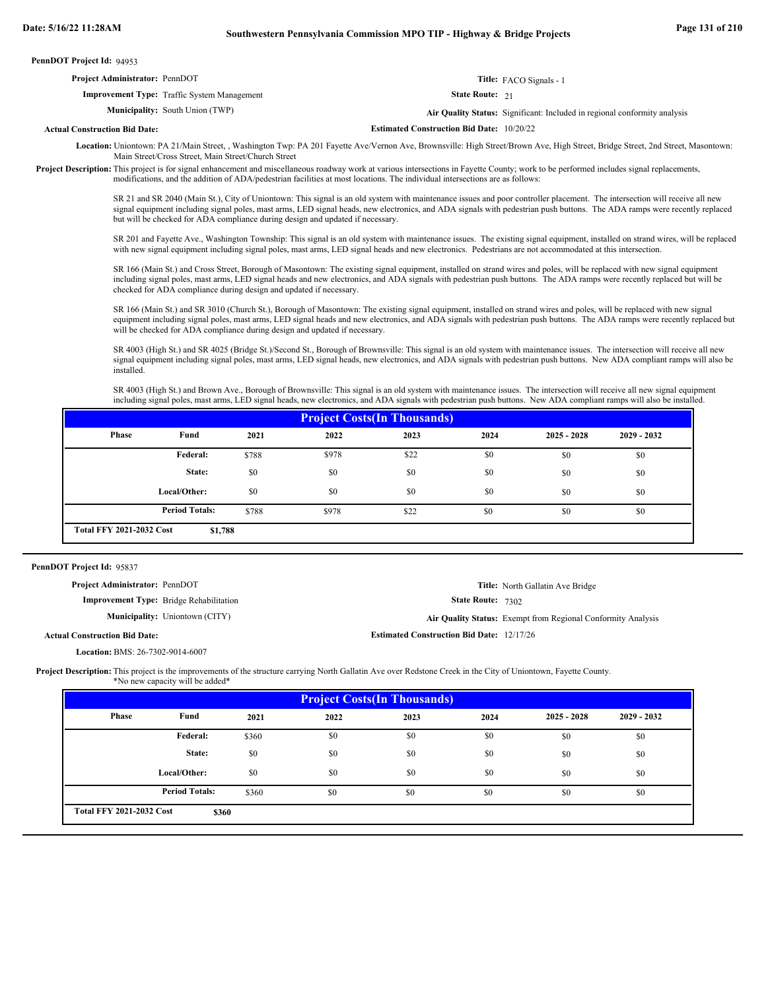| PennDOT Project Id: 94953 |  |  |
|---------------------------|--|--|
|---------------------------|--|--|

| <b>Project Administrator: PennDOT</b> |                                                    |                                                  | Title: FACO Signals - 1                                                   |
|---------------------------------------|----------------------------------------------------|--------------------------------------------------|---------------------------------------------------------------------------|
|                                       | <b>Improvement Type:</b> Traffic System Management | <b>State Route: 21</b>                           |                                                                           |
|                                       | <b>Municipality:</b> South Union (TWP)             |                                                  | Air Quality Status: Significant: Included in regional conformity analysis |
| <b>Actual Construction Bid Date:</b>  |                                                    | <b>Estimated Construction Bid Date: 10/20/22</b> |                                                                           |

Location: Uniontown: PA 21/Main Street, Washington Twp: PA 201 Fayette Ave/Vernon Ave, Brownsville: High Street/Brown Ave, High Street, Bridge Street, 2nd Street, Masontown: Main Street/Cross Street, Main Street/Church Street

Project Description: This project is for signal enhancement and miscellaneous roadway work at various intersections in Fayette County; work to be performed includes signal replacements, modifications, and the addition of ADA/pedestrian facilities at most locations. The individual intersections are as follows:

> SR 21 and SR 2040 (Main St.), City of Uniontown: This signal is an old system with maintenance issues and poor controller placement. The intersection will receive all new signal equipment including signal poles, mast arms, LED signal heads, new electronics, and ADA signals with pedestrian push buttons. The ADA ramps were recently replaced but will be checked for ADA compliance during design and updated if necessary.

> SR 201 and Fayette Ave., Washington Township: This signal is an old system with maintenance issues. The existing signal equipment, installed on strand wires, will be replaced with new signal equipment including signal poles, mast arms, LED signal heads and new electronics. Pedestrians are not accommodated at this intersection.

SR 166 (Main St.) and Cross Street, Borough of Masontown: The existing signal equipment, installed on strand wires and poles, will be replaced with new signal equipment including signal poles, mast arms, LED signal heads and new electronics, and ADA signals with pedestrian push buttons. The ADA ramps were recently replaced but will be checked for ADA compliance during design and updated if necessary.

SR 166 (Main St.) and SR 3010 (Church St.), Borough of Masontown: The existing signal equipment, installed on strand wires and poles, will be replaced with new signal equipment including signal poles, mast arms, LED signal heads and new electronics, and ADA signals with pedestrian push buttons. The ADA ramps were recently replaced but will be checked for ADA compliance during design and updated if necessary.

SR 4003 (High St.) and SR 4025 (Bridge St.)/Second St., Borough of Brownsville: This signal is an old system with maintenance issues. The intersection will receive all new signal equipment including signal poles, mast arms, LED signal heads, new electronics, and ADA signals with pedestrian push buttons. New ADA compliant ramps will also be installed.

SR 4003 (High St.) and Brown Ave., Borough of Brownsville: This signal is an old system with maintenance issues. The intersection will receive all new signal equipment including signal poles, mast arms, LED signal heads, new electronics, and ADA signals with pedestrian push buttons. New ADA compliant ramps will also be installed.

| <b>Project Costs (In Thousands)</b>        |                       |       |       |      |      |               |               |
|--------------------------------------------|-----------------------|-------|-------|------|------|---------------|---------------|
| <b>Phase</b>                               | Fund                  | 2021  | 2022  | 2023 | 2024 | $2025 - 2028$ | $2029 - 2032$ |
|                                            | Federal:              | \$788 | \$978 | \$22 | \$0  | \$0           | \$0           |
|                                            | State:                | \$0   | \$0   | \$0  | \$0  | \$0           | \$0           |
|                                            | Local/Other:          | \$0   | \$0   | \$0  | \$0  | \$0           | \$0           |
|                                            | <b>Period Totals:</b> | \$788 | \$978 | \$22 | \$0  | \$0           | \$0           |
| <b>Total FFY 2021-2032 Cost</b><br>\$1,788 |                       |       |       |      |      |               |               |

### PennDOT Project Id: 95837

| <b>Project Administrator: PennDOT</b>          |                                                  | <b>Title:</b> North Gallatin Ave Bridge                      |
|------------------------------------------------|--------------------------------------------------|--------------------------------------------------------------|
| <b>Improvement Type:</b> Bridge Rehabilitation | <b>State Route: 7302</b>                         |                                                              |
| <b>Municipality:</b> Uniontown (CITY)          |                                                  | Air Quality Status: Exempt from Regional Conformity Analysis |
| <b>Actual Construction Bid Date:</b>           | <b>Estimated Construction Bid Date: 12/17/26</b> |                                                              |
| <b>Location: BMS: 26-7302-9014-6007</b>        |                                                  |                                                              |

Project Description: This project is the improvements of the structure carrying North Gallatin Ave over Redstone Creek in the City of Uniontown, Fayette County. \*No new capacity will be added\*

| <b>Project Costs (In Thousands)</b>      |                       |       |      |      |      |               |               |
|------------------------------------------|-----------------------|-------|------|------|------|---------------|---------------|
| Phase                                    | Fund                  | 2021  | 2022 | 2023 | 2024 | $2025 - 2028$ | $2029 - 2032$ |
|                                          | <b>Federal:</b>       | \$360 | \$0  | \$0  | \$0  | \$0           | \$0           |
|                                          | State:                | \$0   | \$0  | \$0  | \$0  | \$0           | \$0           |
|                                          | Local/Other:          | \$0   | \$0  | \$0  | \$0  | \$0           | \$0           |
|                                          | <b>Period Totals:</b> | \$360 | \$0  | \$0  | \$0  | \$0           | \$0           |
| <b>Total FFY 2021-2032 Cost</b><br>\$360 |                       |       |      |      |      |               |               |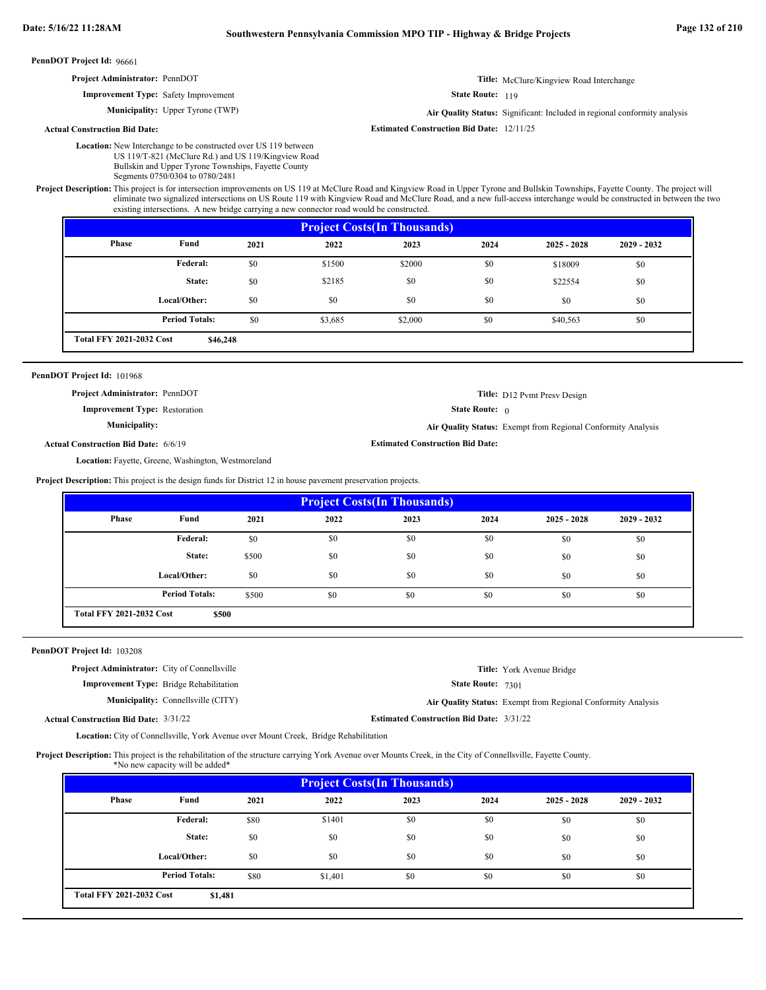| <b>Project Administrator: PennDOT</b> | Title: McClure/Kingview Road Interchange |
|---------------------------------------|------------------------------------------|
|                                       |                                          |

State Route: 119

State Route: 0

**Estimated Construction Bid Date:**

**Title:** D12 Pvmt Presv Design

**Air Quality Status:** Exempt from Regional Conformity Analysis

**Municipality:** Upper Tyrone (TWP) **Air Quality Status:** Air Quality Status: Significant: Included in regional conformity analysis

**Estimated Construction Bid Date:** 12/11/25

**Actual Construction Bid Date:**

Location: New Interchange to be constructed over US 119 between US 119/T-821 (McClure Rd.) and US 119/Kingview Road Bullskin and Upper Tyrone Townships, Fayette County

Segments 0750/0304 to 0780/2481

**Improvement Type:** Safety Improvement

Project Description: This project is for intersection improvements on US 119 at McClure Road and Kingview Road in Upper Tyrone and Bullskin Townships, Fayette County. The project will eliminate two signalized intersections on US Route 119 with Kingview Road and McClure Road, and a new full-access interchange would be constructed in between the two existing intersections. A new bridge carrying a new connector road would be constructed.

| <b>Project Costs (In Thousands)</b> |                                             |      |         |         |      |               |               |
|-------------------------------------|---------------------------------------------|------|---------|---------|------|---------------|---------------|
| <b>Phase</b>                        | Fund                                        | 2021 | 2022    | 2023    | 2024 | $2025 - 2028$ | $2029 - 2032$ |
|                                     | Federal:                                    | \$0  | \$1500  | \$2000  | \$0  | \$18009       | \$0           |
|                                     | State:                                      | \$0  | \$2185  | \$0     | \$0  | \$22554       | \$0           |
|                                     | Local/Other:                                | \$0  | \$0     | \$0     | \$0  | \$0           | \$0           |
|                                     | <b>Period Totals:</b>                       | \$0  | \$3,685 | \$2,000 | \$0  | \$40,563      | \$0           |
|                                     | <b>Total FFY 2021-2032 Cost</b><br>\$46,248 |      |         |         |      |               |               |

### PennDOT Project Id: 101968

**Project Administrator:** PennDOT

**Improvement Type:** Restoration

**Municipality:**

**Actual Construction Bid Date:** 6/6/19

Location: Fayette, Greene, Washington, Westmoreland

**Project Description:** This project is the design funds for District 12 in house pavement preservation projects.

| <b>Project Costs (In Thousands)</b> |                       |       |      |      |      |               |               |
|-------------------------------------|-----------------------|-------|------|------|------|---------------|---------------|
| <b>Phase</b>                        | Fund                  | 2021  | 2022 | 2023 | 2024 | $2025 - 2028$ | $2029 - 2032$ |
|                                     | Federal:              | \$0   | \$0  | \$0  | \$0  | \$0           | \$0           |
|                                     | State:                | \$500 | \$0  | \$0  | \$0  | \$0           | \$0           |
|                                     | Local/Other:          | \$0   | \$0  | \$0  | \$0  | \$0           | \$0           |
|                                     | <b>Period Totals:</b> | \$500 | \$0  | \$0  | \$0  | \$0           | \$0           |
| <b>Total FFY 2021-2032 Cost</b>     | \$500                 |       |      |      |      |               |               |

### PennDOT Project Id: 103208

State Route: 7301 **Title:** York Avenue Bridge **Improvement Type:** Bridge Rehabilitation **Estimated Construction Bid Date:** 3/31/22 3/31/22 **Actual Construction Bid Date: Municipality:** Connellsville (CITY) Connellsville (CITY) **Air Quality Status:** Exempt from Regional Conformity Analysis **Project Administrator:** City of Connellsville

Location: City of Connellsville, York Avenue over Mount Creek, Bridge Rehabilitation

Project Description: This project is the rehabilitation of the structure carrying York Avenue over Mounts Creek, in the City of Connellsville, Fayette County. \*No new capacity will be added\*

| Phase | Fund                  | 2021 | 2022    | 2023 | 2024 | $2025 - 2028$ | $2029 - 2032$ |
|-------|-----------------------|------|---------|------|------|---------------|---------------|
|       | Federal:              | \$80 | \$1401  | \$0  | \$0  | \$0           | \$0           |
|       | State:                | \$0  | \$0     | \$0  | \$0  | \$0           | \$0           |
|       | Local/Other:          | \$0  | \$0     | \$0  | \$0  | \$0           | \$0           |
|       | <b>Period Totals:</b> | \$80 | \$1.401 | \$0  | \$0  | \$0           | \$0           |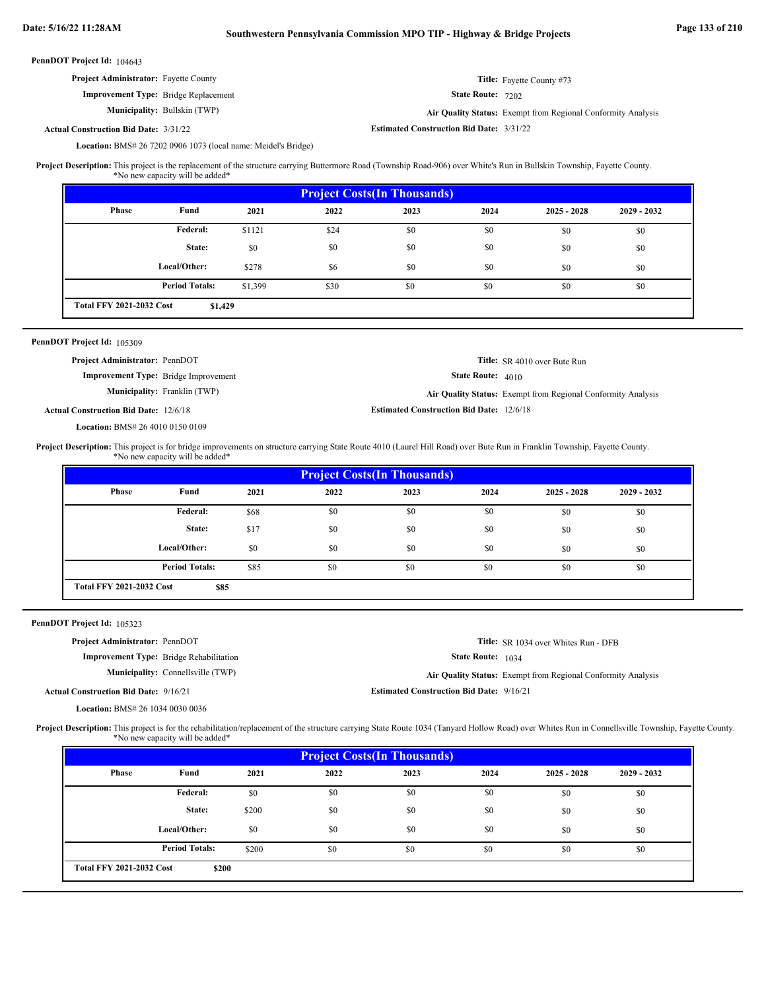| Project Administrator: Fayette County                                                                                                                                                               |                                                                                     |         |                                                              |                                                 |                   | Title: Fayette County #73                                    |             |  |
|-----------------------------------------------------------------------------------------------------------------------------------------------------------------------------------------------------|-------------------------------------------------------------------------------------|---------|--------------------------------------------------------------|-------------------------------------------------|-------------------|--------------------------------------------------------------|-------------|--|
|                                                                                                                                                                                                     | Improvement Type: Bridge Replacement                                                |         | State Route: 7202                                            |                                                 |                   |                                                              |             |  |
|                                                                                                                                                                                                     | Municipality: Bullskin (TWP)                                                        |         | Air Quality Status: Exempt from Regional Conformity Analysis |                                                 |                   |                                                              |             |  |
| <b>Actual Construction Bid Date: 3/31/22</b>                                                                                                                                                        |                                                                                     |         | <b>Estimated Construction Bid Date: 3/31/22</b>              |                                                 |                   |                                                              |             |  |
|                                                                                                                                                                                                     | Location: BMS# 26 7202 0906 1073 (local name: Meidel's Bridge)                      |         |                                                              |                                                 |                   |                                                              |             |  |
| Project Description: This project is the replacement of the structure carrying Buttermore Road (Township Road-906) over White's Run in Bullskin Township, Fayette County.                           | *No new capacity will be added*                                                     |         |                                                              |                                                 |                   |                                                              |             |  |
|                                                                                                                                                                                                     |                                                                                     |         |                                                              | <b>Project Costs(In Thousands)</b>              |                   |                                                              |             |  |
| Phase                                                                                                                                                                                               | Fund                                                                                | 2021    | 2022                                                         | 2023                                            | 2024              | $2025 - 2028$                                                | 2029 - 2032 |  |
|                                                                                                                                                                                                     | Federal:                                                                            | \$1121  | \$24                                                         | \$0                                             | \$0               | \$0                                                          | \$0         |  |
|                                                                                                                                                                                                     | State:                                                                              | \$0     | \$0                                                          | \$0                                             | \$0               | \$0                                                          | \$0         |  |
|                                                                                                                                                                                                     | Local/Other:                                                                        | \$278   | \$6                                                          | \$0                                             | \$0               | \$0                                                          | \$0         |  |
|                                                                                                                                                                                                     | <b>Period Totals:</b>                                                               | \$1,399 | \$30                                                         | \$0                                             | \$0               | \$0                                                          | \$0         |  |
| <b>Total FFY 2021-2032 Cost</b>                                                                                                                                                                     | \$1,429                                                                             |         |                                                              |                                                 |                   |                                                              |             |  |
| PennDOT Project Id: 105309                                                                                                                                                                          |                                                                                     |         |                                                              |                                                 |                   |                                                              |             |  |
| Project Administrator: PennDOT                                                                                                                                                                      |                                                                                     |         |                                                              |                                                 |                   | Title: SR 4010 over Bute Run                                 |             |  |
|                                                                                                                                                                                                     | <b>Improvement Type:</b> Bridge Improvement                                         |         |                                                              |                                                 | State Route: 4010 |                                                              |             |  |
|                                                                                                                                                                                                     | Municipality: Franklin (TWP)                                                        |         |                                                              |                                                 |                   | Air Quality Status: Exempt from Regional Conformity Analysis |             |  |
| <b>Actual Construction Bid Date: 12/6/18</b>                                                                                                                                                        |                                                                                     |         |                                                              | <b>Estimated Construction Bid Date: 12/6/18</b> |                   |                                                              |             |  |
| Location: BMS# 26 4010 0150 0109                                                                                                                                                                    |                                                                                     |         |                                                              |                                                 |                   |                                                              |             |  |
|                                                                                                                                                                                                     |                                                                                     |         |                                                              |                                                 |                   |                                                              |             |  |
| Project Description: This project is for bridge improvements on structure carrying State Route 4010 (Laurel Hill Road) over Bute Run in Franklin Township, Fayette County.                          | *No new capacity will be added*                                                     |         |                                                              |                                                 |                   |                                                              |             |  |
|                                                                                                                                                                                                     |                                                                                     |         |                                                              |                                                 |                   |                                                              |             |  |
| Phase                                                                                                                                                                                               | Fund                                                                                | 2021    | 2022                                                         | <b>Project Costs(In Thousands)</b><br>2023      | 2024              | $2025 - 2028$                                                | 2029 - 2032 |  |
|                                                                                                                                                                                                     | Federal:                                                                            | \$68    | \$0                                                          | \$0                                             | \$0               | \$0                                                          | \$0         |  |
|                                                                                                                                                                                                     | State:                                                                              | \$17    | \$0                                                          | \$0                                             | \$0               | \$0                                                          | \$0         |  |
|                                                                                                                                                                                                     | Local/Other:                                                                        | \$0     | \$0                                                          | \$0                                             | \$0               | \$0                                                          | \$0         |  |
|                                                                                                                                                                                                     | <b>Period Totals:</b>                                                               | \$85    | \$0                                                          | \$0                                             | \$0               | \$0                                                          | \$0         |  |
| <b>Total FFY 2021-2032 Cost</b>                                                                                                                                                                     | \$85                                                                                |         |                                                              |                                                 |                   |                                                              |             |  |
|                                                                                                                                                                                                     |                                                                                     |         |                                                              |                                                 |                   |                                                              |             |  |
| PennDOT Project Id: 105323                                                                                                                                                                          |                                                                                     |         |                                                              |                                                 |                   |                                                              |             |  |
| Project Administrator: PennDOT                                                                                                                                                                      |                                                                                     |         |                                                              |                                                 |                   | Title: SR 1034 over Whites Run - DFB                         |             |  |
|                                                                                                                                                                                                     | <b>Improvement Type:</b> Bridge Rehabilitation<br>Municipality: Connellsville (TWP) |         |                                                              |                                                 | State Route: 1034 |                                                              |             |  |
|                                                                                                                                                                                                     |                                                                                     |         |                                                              | <b>Estimated Construction Bid Date: 9/16/21</b> |                   | Air Quality Status: Exempt from Regional Conformity Analysis |             |  |
| <b>Actual Construction Bid Date: 9/16/21</b><br>Location: BMS# 26 1034 0030 0036                                                                                                                    |                                                                                     |         |                                                              |                                                 |                   |                                                              |             |  |
| Project Description: This project is for the rehabilitation/replacement of the structure carrying State Route 1034 (Tanyard Hollow Road) over Whites Run in Connellsville Township, Fayette County. |                                                                                     |         |                                                              |                                                 |                   |                                                              |             |  |
|                                                                                                                                                                                                     | *No new capacity will be added*                                                     |         |                                                              |                                                 |                   |                                                              |             |  |
| Phase                                                                                                                                                                                               | Fund                                                                                | 2021    | 2022                                                         | <b>Project Costs(In Thousands)</b><br>2023      | 2024              | $2025 - 2028$                                                | 2029 - 2032 |  |

**Period Totals:** \$200 \$0 \$0 \$0 \$0

\$200 \$0 \$0 \$0 \$0 \$0 \$0 \$0 \$0 \$0 \$0 \$0 \$0 \$0 \$200 \$0 \$0 \$0 \$0

\$0 \$0

**\$200**

**State: Local/Other:**

**Total FFY 2021-2032 Cost**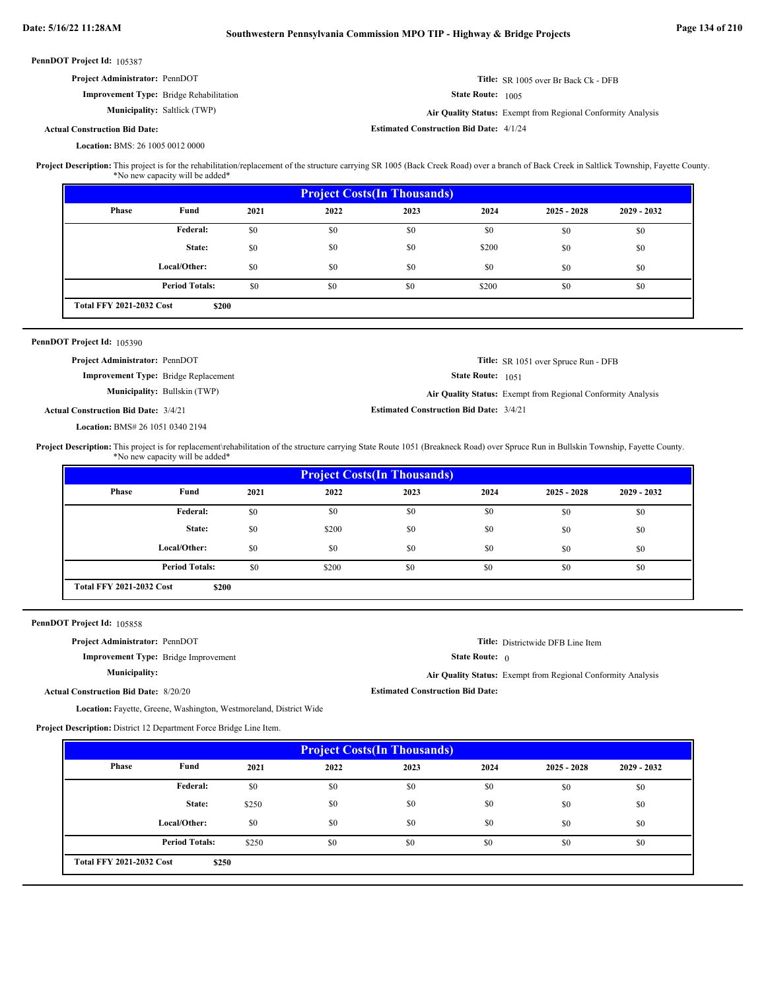| PennDOT Project Id: 105387 |  |
|----------------------------|--|
|----------------------------|--|

| <b>Project Administrator: PennDOT</b>          | <b>Title:</b> SR 1005 over Br Back Ck - DFB                         |
|------------------------------------------------|---------------------------------------------------------------------|
| <b>Improvement Type:</b> Bridge Rehabilitation | <b>State Route:</b> 1005                                            |
| <b>Municipality:</b> Saltlick (TWP)            | <b>Air Quality Status:</b> Exempt from Regional Conformity Analysis |
| <b>Actual Construction Bid Date:</b>           | <b>Estimated Construction Bid Date: 4/1/24</b>                      |

BMS: 26 1005 0012 0000 **Location:**

This project is for the rehabilitation/replacement of the structure carrying SR 1005 (Back Creek Road) over a branch of Back Creek in Saltlick Township, Fayette County. \*No new capacity will be added\* **Project Description:**

| <b>Project Costs (In Thousands)</b> |                                          |      |      |      |       |               |               |
|-------------------------------------|------------------------------------------|------|------|------|-------|---------------|---------------|
| <b>Phase</b>                        | Fund                                     | 2021 | 2022 | 2023 | 2024  | $2025 - 2028$ | $2029 - 2032$ |
|                                     | Federal:                                 | \$0  | \$0  | \$0  | \$0   | \$0           | \$0           |
|                                     | State:                                   | \$0  | \$0  | \$0  | \$200 | \$0           | \$0           |
|                                     | Local/Other:                             | \$0  | \$0  | \$0  | \$0   | \$0           | \$0           |
|                                     | <b>Period Totals:</b>                    | \$0  | \$0  | \$0  | \$200 | \$0           | \$0           |
|                                     | <b>Total FFY 2021-2032 Cost</b><br>\$200 |      |      |      |       |               |               |

### PennDOT Project Id: 105390

| <b>Project Administrator: PennDOT</b>       |                                     |                                                | <b>Title:</b> SR 1051 over Spruce Run - DFB                  |
|---------------------------------------------|-------------------------------------|------------------------------------------------|--------------------------------------------------------------|
| <b>Improvement Type:</b> Bridge Replacement |                                     | <b>State Route:</b> 1051                       |                                                              |
|                                             | <b>Municipality:</b> Bullskin (TWP) |                                                | Air Quality Status: Exempt from Regional Conformity Analysis |
| <b>Actual Construction Bid Date: 3/4/21</b> |                                     | <b>Estimated Construction Bid Date: 3/4/21</b> |                                                              |

BMS# 26 1051 0340 2194 **Location:**

This project is for replacement\rehabilitation of the structure carrying State Route 1051 (Breakneck Road) over Spruce Run in Bullskin Township, Fayette County. \*No new capacity will be added\* **Project Description:**

| <b>Project Costs (In Thousands)</b> |                                          |      |       |      |      |               |               |
|-------------------------------------|------------------------------------------|------|-------|------|------|---------------|---------------|
| Phase                               | Fund                                     | 2021 | 2022  | 2023 | 2024 | $2025 - 2028$ | $2029 - 2032$ |
|                                     | Federal:                                 | \$0  | \$0   | \$0  | \$0  | \$0           | \$0           |
|                                     | State:                                   | \$0  | \$200 | \$0  | \$0  | \$0           | \$0           |
|                                     | Local/Other:                             | \$0  | \$0   | \$0  | \$0  | \$0           | \$0           |
|                                     | <b>Period Totals:</b>                    | \$0  | \$200 | \$0  | \$0  | \$0           | \$0           |
|                                     | <b>Total FFY 2021-2032 Cost</b><br>\$200 |      |       |      |      |               |               |

PennDOT Project Id: 105858

**Project Administrator:** PennDOT

**Improvement Type:** Bridge Improvement

```
Municipality:
```
**Estimated Construction Bid Date: Air Quality Status:** Exempt from Regional Conformity Analysis

State Route: 0

**Title:** Districtwide DFB Line Item

**Actual Construction Bid Date:** 8/20/20

Location: Fayette, Greene, Washington, Westmoreland, District Wide

**Project Description:** District 12 Department Force Bridge Line Item.

| <b>Project Costs (In Thousands)</b> |                                          |       |      |      |      |               |               |
|-------------------------------------|------------------------------------------|-------|------|------|------|---------------|---------------|
| Phase                               | Fund                                     | 2021  | 2022 | 2023 | 2024 | $2025 - 2028$ | $2029 - 2032$ |
|                                     | Federal:                                 | \$0   | \$0  | \$0  | \$0  | \$0           | \$0           |
|                                     | State:                                   | \$250 | \$0  | \$0  | \$0  | \$0           | \$0           |
|                                     | Local/Other:                             | \$0   | \$0  | \$0  | \$0  | \$0           | \$0           |
|                                     | <b>Period Totals:</b>                    | \$250 | \$0  | \$0  | \$0  | \$0           | \$0           |
|                                     | <b>Total FFY 2021-2032 Cost</b><br>\$250 |       |      |      |      |               |               |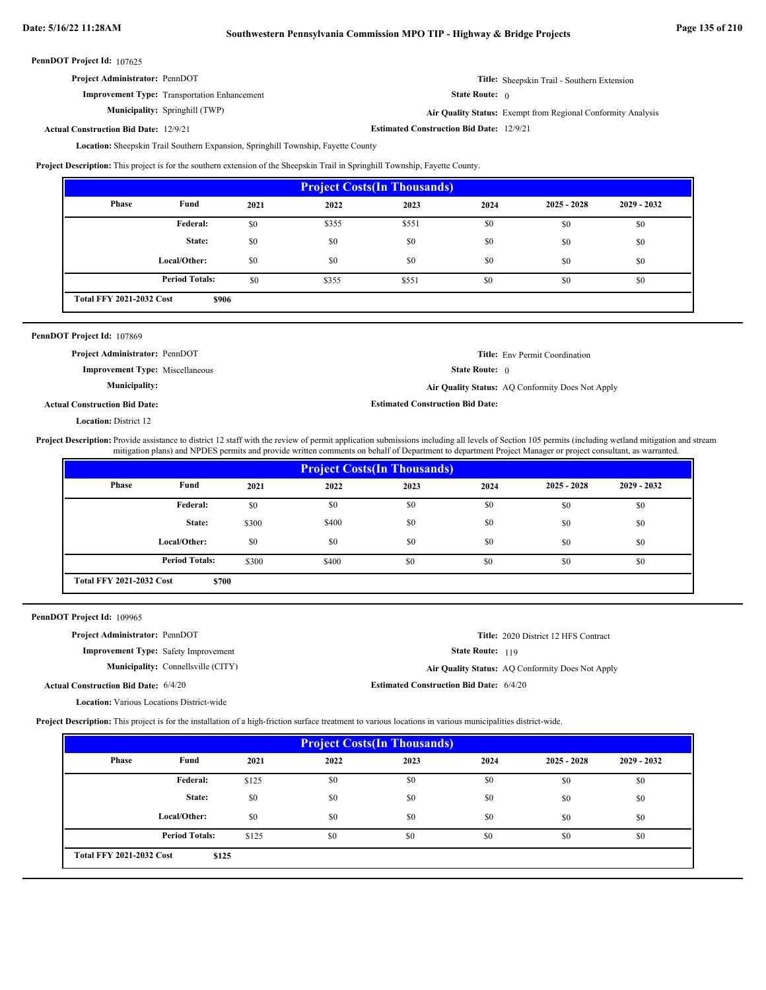| <b>Project Administrator: PennDOT</b>               | <b>Title:</b> Sheepskin Trail - Southern Extension |
|-----------------------------------------------------|----------------------------------------------------|
| <b>Improvement Type:</b> Transportation Enhancement | <b>State Route:</b>                                |

**Municipality:**

0

Springhill (TWP) **Air Quality Status:** Exempt from Regional Conformity Analysis

**Actual Construction Bid Date:**

Location: Sheepskin Trail Southern Expansion, Springhill Township, Fayette County **Estimated Construction Bid Date:** 12/9/21 12/9/21

**Project Description:** This project is for the southern extension of the Sheepskin Trail in Springhill Township, Fayette County.

| <b>Project Costs(In Thousands)</b> |                                          |      |       |       |      |               |               |
|------------------------------------|------------------------------------------|------|-------|-------|------|---------------|---------------|
| <b>Phase</b>                       | Fund                                     | 2021 | 2022  | 2023  | 2024 | $2025 - 2028$ | $2029 - 2032$ |
|                                    | Federal:                                 | \$0  | \$355 | \$551 | \$0  | \$0           | \$0           |
|                                    | State:                                   | \$0  | \$0   | \$0   | \$0  | \$0           | \$0           |
|                                    | Local/Other:                             | \$0  | \$0   | \$0   | \$0  | \$0           | \$0           |
|                                    | <b>Period Totals:</b>                    | \$0  | \$355 | \$551 | \$0  | \$0           | \$0           |
|                                    | <b>Total FFY 2021-2032 Cost</b><br>\$906 |      |       |       |      |               |               |

|  |  | PennDOT Project Id: 107869 |  |
|--|--|----------------------------|--|
|--|--|----------------------------|--|

State Route: 0 **Title:** Env Permit Coordination **Improvement Type:** Miscellaneous **Estimated Construction Bid Date: Actual Construction Bid Date: Municipality: Air Quality Status:** AQ Conformity Does Not Apply **Project Administrator:** PennDOT

**Location: District 12** 

Project Description: Provide assistance to district 12 staff with the review of permit application submissions including all levels of Section 105 permits (including wetland mitigation and stream mitigation plans) and NPDES permits and provide written comments on behalf of Department to department Project Manager or project consultant, as warranted.

| <b>Project Costs (In Thousands)</b> |                                          |       |       |      |      |               |               |  |
|-------------------------------------|------------------------------------------|-------|-------|------|------|---------------|---------------|--|
| Phase                               | Fund                                     | 2021  | 2022  | 2023 | 2024 | $2025 - 2028$ | $2029 - 2032$ |  |
|                                     | <b>Federal:</b>                          | \$0   | \$0   | \$0  | \$0  | \$0           | \$0           |  |
|                                     | State:                                   | \$300 | \$400 | \$0  | \$0  | \$0           | \$0           |  |
|                                     | Local/Other:                             | \$0   | \$0   | \$0  | \$0  | \$0           | \$0           |  |
|                                     | <b>Period Totals:</b>                    | \$300 | \$400 | \$0  | \$0  | \$0           | \$0           |  |
|                                     | <b>Total FFY 2021-2032 Cost</b><br>\$700 |       |       |      |      |               |               |  |

PennDOT Project Id: 109965

| <b>Project Administrator: PennDOT</b>            |                                             |                                                | Title: 2020 District 12 HFS Contract             |
|--------------------------------------------------|---------------------------------------------|------------------------------------------------|--------------------------------------------------|
|                                                  | <b>Improvement Type:</b> Safety Improvement | <b>State Route: 119</b>                        |                                                  |
|                                                  | <b>Municipality:</b> Connellsville (CITY)   |                                                | Air Quality Status: AQ Conformity Does Not Apply |
| <b>Actual Construction Bid Date: 6/4/20</b>      |                                             | <b>Estimated Construction Bid Date: 6/4/20</b> |                                                  |
| <b>Location:</b> Various Locations District-wide |                                             |                                                |                                                  |

**Project Description:** This project is for the installation of a high-friction surface treatment to various locations in various municipalities district-wide.

| <b>Project Costs (In Thousands)</b>      |                       |       |      |      |      |               |               |
|------------------------------------------|-----------------------|-------|------|------|------|---------------|---------------|
| Phase                                    | Fund                  | 2021  | 2022 | 2023 | 2024 | $2025 - 2028$ | $2029 - 2032$ |
|                                          | Federal:              | \$125 | \$0  | \$0  | \$0  | \$0           | \$0           |
|                                          | State:                | \$0   | \$0  | \$0  | \$0  | \$0           | \$0           |
|                                          | Local/Other:          | \$0   | \$0  | \$0  | \$0  | \$0           | \$0           |
|                                          | <b>Period Totals:</b> | \$125 | \$0  | \$0  | \$0  | \$0           | \$0           |
| <b>Total FFY 2021-2032 Cost</b><br>\$125 |                       |       |      |      |      |               |               |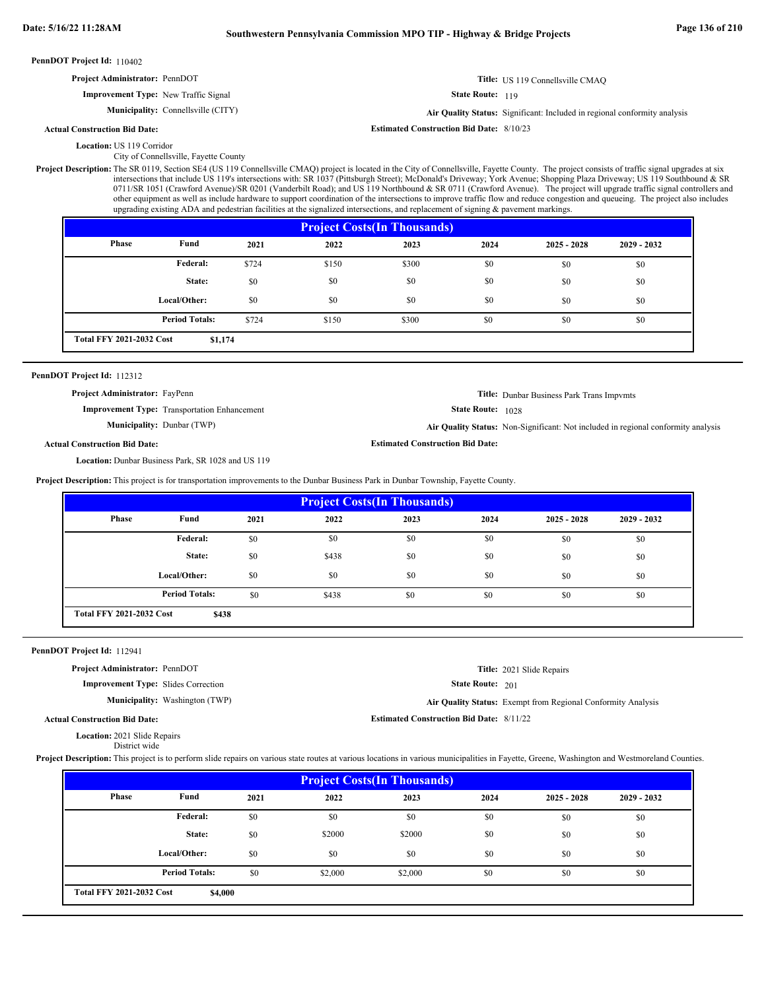| <b>PennDOT Project Id: 110402</b>                                                                                                                                                                        |                                           |      |      |                                                                                                                                                                                                                                                                                                                                                                                                                                                                                                                                                                                                                                                                          |                         |                                                                           |             |  |
|----------------------------------------------------------------------------------------------------------------------------------------------------------------------------------------------------------|-------------------------------------------|------|------|--------------------------------------------------------------------------------------------------------------------------------------------------------------------------------------------------------------------------------------------------------------------------------------------------------------------------------------------------------------------------------------------------------------------------------------------------------------------------------------------------------------------------------------------------------------------------------------------------------------------------------------------------------------------------|-------------------------|---------------------------------------------------------------------------|-------------|--|
| Project Administrator: PennDOT                                                                                                                                                                           |                                           |      |      |                                                                                                                                                                                                                                                                                                                                                                                                                                                                                                                                                                                                                                                                          |                         | Title: US 119 Connellsville CMAO                                          |             |  |
| <b>Improvement Type:</b> New Traffic Signal                                                                                                                                                              |                                           |      |      |                                                                                                                                                                                                                                                                                                                                                                                                                                                                                                                                                                                                                                                                          | <b>State Route: 119</b> |                                                                           |             |  |
|                                                                                                                                                                                                          | <b>Municipality:</b> Connellsville (CITY) |      |      |                                                                                                                                                                                                                                                                                                                                                                                                                                                                                                                                                                                                                                                                          |                         | Air Quality Status: Significant: Included in regional conformity analysis |             |  |
| <b>Actual Construction Bid Date:</b>                                                                                                                                                                     |                                           |      |      | <b>Estimated Construction Bid Date: 8/10/23</b>                                                                                                                                                                                                                                                                                                                                                                                                                                                                                                                                                                                                                          |                         |                                                                           |             |  |
| <b>Location: US 119 Corridor</b>                                                                                                                                                                         | City of Connellsville, Fayette County     |      |      |                                                                                                                                                                                                                                                                                                                                                                                                                                                                                                                                                                                                                                                                          |                         |                                                                           |             |  |
| <b>Project Description:</b> The SR 0119, Section SE4 (US 119 Connellsville CMAQ) project is located in the City of Connellsville, Fayette County. The project consists of traffic signal upgrades at six |                                           |      |      | intersections that include US 119's intersections with: SR 1037 (Pittsburgh Street); McDonald's Driveway; York Avenue; Shopping Plaza Driveway; US 119 Southbound & SR<br>0711/SR 1051 (Crawford Avenue)/SR 0201 (Vanderbilt Road); and US 119 Northbound & SR 0711 (Crawford Avenue). The project will upgrade traffic signal controllers and<br>other equipment as well as include hardware to support coordination of the intersections to improve traffic flow and reduce congestion and queueing. The project also includes<br>upgrading existing ADA and pedestrian facilities at the signalized intersections, and replacement of signing $\&$ pavement markings. |                         |                                                                           |             |  |
|                                                                                                                                                                                                          |                                           |      |      | <b>Project Costs (In Thousands)</b>                                                                                                                                                                                                                                                                                                                                                                                                                                                                                                                                                                                                                                      |                         |                                                                           |             |  |
| Phase                                                                                                                                                                                                    | Fund                                      | 2021 | 2022 | 2023                                                                                                                                                                                                                                                                                                                                                                                                                                                                                                                                                                                                                                                                     | 2024                    | 2025 - 2028                                                               | 2029 - 2032 |  |

| <b>Phase</b>                    | Fund                  | 2021  | 2022  | 2023  | 2024 | $2025 - 2028$ | $2029 - 2032$ |
|---------------------------------|-----------------------|-------|-------|-------|------|---------------|---------------|
|                                 | Federal:              | \$724 | \$150 | \$300 | \$0  | \$0           | \$0           |
|                                 | State:                | \$0   | \$0   | \$0   | \$0  | \$0           | \$0           |
|                                 | Local/Other:          | \$0   | \$0   | \$0   | \$0  | \$0           | \$0           |
|                                 | <b>Period Totals:</b> | \$724 | \$150 | \$300 | \$0  | \$0           | \$0           |
| <b>Total FFY 2021-2032 Cost</b> | \$1,174               |       |       |       |      |               |               |

**Project Administrator:** FayPenn

**Improvement Type:** Transportation Enhancement

**Municipality:**

**Title:** Dunbar Business Park Trans Impvmts

State Route: 1028

**Estimated Construction Bid Date:**

Dunbar (TWP) **Air Quality Status:** Non-Significant: Not included in regional conformity analysis

**Actual Construction Bid Date:**

Location: Dunbar Business Park, SR 1028 and US 119

**Project Description:** This project is for transportation improvements to the Dunbar Business Park in Dunbar Township, Fayette County.

| <b>Project Costs (In Thousands)</b> |                                          |      |       |      |      |               |               |  |
|-------------------------------------|------------------------------------------|------|-------|------|------|---------------|---------------|--|
| Phase                               | Fund                                     | 2021 | 2022  | 2023 | 2024 | $2025 - 2028$ | $2029 - 2032$ |  |
|                                     | Federal:                                 | \$0  | \$0   | \$0  | \$0  | \$0           | \$0           |  |
|                                     | State:                                   | \$0  | \$438 | \$0  | \$0  | \$0           | \$0           |  |
|                                     | Local/Other:                             | \$0  | \$0   | \$0  | \$0  | \$0           | \$0           |  |
|                                     | <b>Period Totals:</b>                    | \$0  | \$438 | \$0  | \$0  | \$0           | \$0           |  |
|                                     | <b>Total FFY 2021-2032 Cost</b><br>\$438 |      |       |      |      |               |               |  |

PennDOT Project Id: 112941

| <b>Project Administrator: PennDOT</b> |  |
|---------------------------------------|--|
|---------------------------------------|--|

**Improvement Type:** Slides Correction

**Municipality:** Washington (TWP)

**Estimated Construction Bid Date:** 8/11/22 Washington (TWP) **Air Quality Status:** Exempt from Regional Conformity Analysis

State Route: 201

**Title:** 2021 Slide Repairs

**Actual Construction Bid Date:**

2021 Slide Repairs **Location:**

District wide

Project Description: This project is to perform slide repairs on various state routes at various locations in various municipalities in Fayette, Greene, Washington and Westmoreland Counties.

| <b>Project Costs (In Thousands)</b> |                                            |      |         |         |      |               |               |  |
|-------------------------------------|--------------------------------------------|------|---------|---------|------|---------------|---------------|--|
| <b>Phase</b>                        | Fund                                       | 2021 | 2022    | 2023    | 2024 | $2025 - 2028$ | $2029 - 2032$ |  |
|                                     | Federal:                                   | \$0  | \$0     | \$0     | \$0  | \$0           | \$0           |  |
|                                     | State:                                     | \$0  | \$2000  | \$2000  | \$0  | \$0           | \$0           |  |
|                                     | Local/Other:                               | \$0  | \$0     | \$0     | \$0  | \$0           | \$0           |  |
|                                     | <b>Period Totals:</b>                      | \$0  | \$2,000 | \$2,000 | \$0  | \$0           | \$0           |  |
|                                     | <b>Total FFY 2021-2032 Cost</b><br>\$4,000 |      |         |         |      |               |               |  |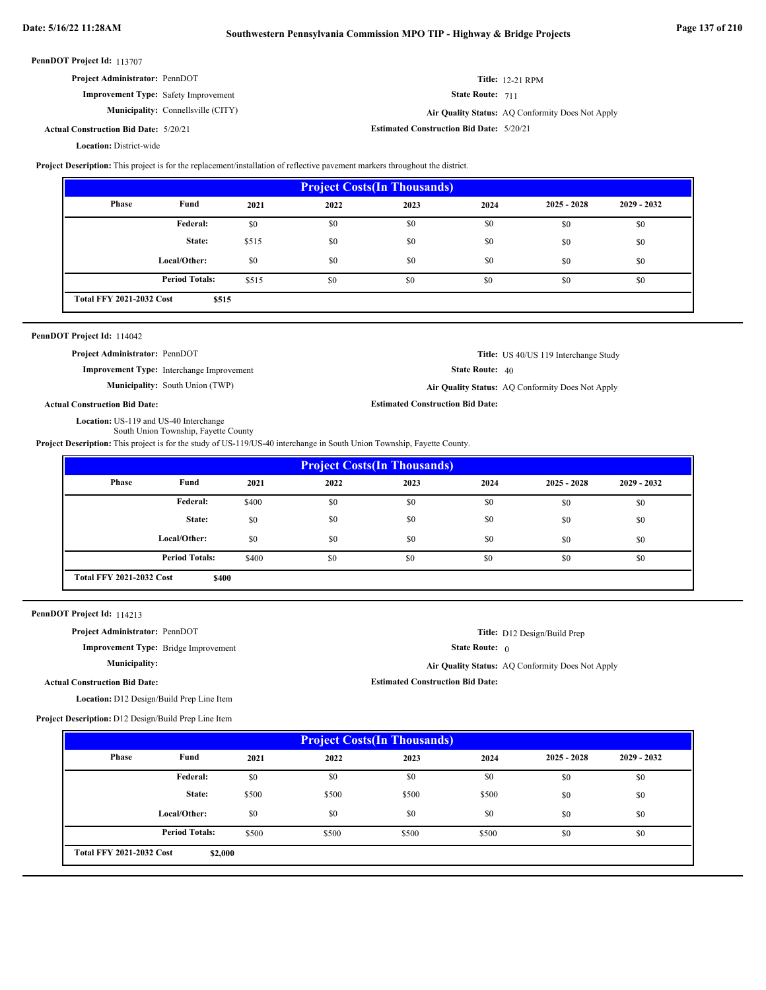$\overline{a}$ 

 $\overline{\phantom{a}}$ 

| Project Administrator: PennDOT<br><b>Improvement Type:</b> Bridge Improvement<br><b>Municipality:</b><br><b>Actual Construction Bid Date:</b><br>Location: D12 Design/Build Prep Line Item<br>Project Description: D12 Design/Build Prep Line Item<br>Phase<br>Local/Other:<br><b>Total FFY 2021-2032 Cost</b> | Fund<br>Federal:<br>State:<br><b>Period Totals:</b><br>\$2,000 | 2021<br>\$0<br>\$500<br>\$0<br>\$500 | <b>Project Costs(In Thousands)</b><br>2022<br>\$0<br>\$500<br>\$0<br>\$500 | <b>Estimated Construction Bid Date:</b><br>2023<br>\$0<br>\$500<br>\$0<br>\$500 | 2024<br>\$0<br>\$500<br>\$0<br>\$500 | $2025 - 2028$<br>\$0<br>\$0<br>\$0<br>\$0        | 2029 - 2032<br>\$0<br>\$0<br>\$0<br>\$0 |  |  |
|----------------------------------------------------------------------------------------------------------------------------------------------------------------------------------------------------------------------------------------------------------------------------------------------------------------|----------------------------------------------------------------|--------------------------------------|----------------------------------------------------------------------------|---------------------------------------------------------------------------------|--------------------------------------|--------------------------------------------------|-----------------------------------------|--|--|
|                                                                                                                                                                                                                                                                                                                |                                                                |                                      |                                                                            |                                                                                 |                                      |                                                  |                                         |  |  |
|                                                                                                                                                                                                                                                                                                                |                                                                |                                      |                                                                            |                                                                                 |                                      |                                                  |                                         |  |  |
|                                                                                                                                                                                                                                                                                                                |                                                                |                                      |                                                                            |                                                                                 |                                      |                                                  |                                         |  |  |
|                                                                                                                                                                                                                                                                                                                |                                                                |                                      |                                                                            |                                                                                 |                                      |                                                  |                                         |  |  |
|                                                                                                                                                                                                                                                                                                                |                                                                |                                      |                                                                            |                                                                                 |                                      |                                                  |                                         |  |  |
|                                                                                                                                                                                                                                                                                                                |                                                                |                                      |                                                                            |                                                                                 |                                      |                                                  |                                         |  |  |
|                                                                                                                                                                                                                                                                                                                |                                                                |                                      |                                                                            |                                                                                 |                                      |                                                  |                                         |  |  |
|                                                                                                                                                                                                                                                                                                                |                                                                |                                      |                                                                            |                                                                                 |                                      |                                                  |                                         |  |  |
|                                                                                                                                                                                                                                                                                                                |                                                                |                                      |                                                                            |                                                                                 |                                      |                                                  |                                         |  |  |
|                                                                                                                                                                                                                                                                                                                |                                                                |                                      |                                                                            |                                                                                 |                                      |                                                  |                                         |  |  |
|                                                                                                                                                                                                                                                                                                                |                                                                |                                      |                                                                            |                                                                                 |                                      | Air Quality Status: AQ Conformity Does Not Apply |                                         |  |  |
|                                                                                                                                                                                                                                                                                                                |                                                                |                                      |                                                                            |                                                                                 | State Route: $0$                     |                                                  |                                         |  |  |
|                                                                                                                                                                                                                                                                                                                |                                                                |                                      |                                                                            |                                                                                 |                                      | Title: D12 Design/Build Prep                     |                                         |  |  |
| PennDOT Project Id: 114213                                                                                                                                                                                                                                                                                     |                                                                |                                      |                                                                            |                                                                                 |                                      |                                                  |                                         |  |  |
|                                                                                                                                                                                                                                                                                                                |                                                                |                                      |                                                                            |                                                                                 |                                      |                                                  |                                         |  |  |
| <b>Total FFY 2021-2032 Cost</b>                                                                                                                                                                                                                                                                                | \$400                                                          |                                      |                                                                            |                                                                                 |                                      |                                                  |                                         |  |  |
|                                                                                                                                                                                                                                                                                                                | <b>Period Totals:</b>                                          | \$400                                | \$0                                                                        | \$0                                                                             | \$0                                  | \$0                                              | \$0                                     |  |  |
| Local/Other:                                                                                                                                                                                                                                                                                                   |                                                                | \$0                                  | \$0                                                                        | \$0                                                                             | \$0                                  | \$0                                              | \$0                                     |  |  |
|                                                                                                                                                                                                                                                                                                                | State:                                                         | \$0                                  | \$0                                                                        | \$0                                                                             | \$0                                  | \$0                                              | \$0                                     |  |  |
|                                                                                                                                                                                                                                                                                                                | Federal:                                                       | \$400                                | \$0                                                                        | \$0                                                                             | \$0                                  | \$0                                              | \$0                                     |  |  |
| Phase                                                                                                                                                                                                                                                                                                          | Fund                                                           | 2021                                 | 2022                                                                       | 2023                                                                            | 2024                                 | $2025 - 2028$                                    | 2029 - 2032                             |  |  |
|                                                                                                                                                                                                                                                                                                                |                                                                |                                      | <b>Project Costs(In Thousands)</b>                                         |                                                                                 |                                      |                                                  |                                         |  |  |
| Project Description: This project is for the study of US-119/US-40 interchange in South Union Township, Fayette County.                                                                                                                                                                                        |                                                                |                                      |                                                                            |                                                                                 |                                      |                                                  |                                         |  |  |
| Location: US-119 and US-40 Interchange<br>South Union Township, Fayette County                                                                                                                                                                                                                                 |                                                                |                                      |                                                                            |                                                                                 |                                      |                                                  |                                         |  |  |
| <b>Actual Construction Bid Date:</b>                                                                                                                                                                                                                                                                           |                                                                |                                      |                                                                            | <b>Estimated Construction Bid Date:</b>                                         |                                      |                                                  |                                         |  |  |
| Municipality: South Union (TWP)                                                                                                                                                                                                                                                                                |                                                                |                                      |                                                                            |                                                                                 |                                      | Air Quality Status: AQ Conformity Does Not Apply |                                         |  |  |
| <b>Improvement Type:</b> Interchange Improvement                                                                                                                                                                                                                                                               |                                                                |                                      |                                                                            |                                                                                 | State Route: 40                      |                                                  |                                         |  |  |
| Project Administrator: PennDOT                                                                                                                                                                                                                                                                                 |                                                                |                                      |                                                                            |                                                                                 |                                      | Title: US 40/US 119 Interchange Study            |                                         |  |  |
| PennDOT Project Id: 114042                                                                                                                                                                                                                                                                                     |                                                                |                                      |                                                                            |                                                                                 |                                      |                                                  |                                         |  |  |
|                                                                                                                                                                                                                                                                                                                |                                                                |                                      |                                                                            |                                                                                 |                                      |                                                  |                                         |  |  |
| <b>Total FFY 2021-2032 Cost</b>                                                                                                                                                                                                                                                                                | \$515                                                          |                                      |                                                                            |                                                                                 |                                      |                                                  |                                         |  |  |
|                                                                                                                                                                                                                                                                                                                | <b>Period Totals:</b>                                          | \$515                                | \$0                                                                        | \$0                                                                             | \$0                                  | \$0                                              | \$0                                     |  |  |
| Local/Other:                                                                                                                                                                                                                                                                                                   |                                                                | \$0                                  | \$0                                                                        | \$0                                                                             | \$0                                  | \$0                                              | \$0                                     |  |  |
|                                                                                                                                                                                                                                                                                                                | State:                                                         | \$515                                | \$0                                                                        | \$0                                                                             | \$0                                  | \$0                                              | \$0                                     |  |  |
|                                                                                                                                                                                                                                                                                                                | <b>Federal:</b>                                                | \$0                                  | \$0                                                                        | \$0                                                                             | \$0                                  | \$0                                              | \$0                                     |  |  |
| <b>Phase</b>                                                                                                                                                                                                                                                                                                   | Fund                                                           | 2021                                 | 2022                                                                       | 2023                                                                            | 2024                                 | $2025 - 2028$                                    | 2029 - 2032                             |  |  |
|                                                                                                                                                                                                                                                                                                                |                                                                |                                      | <b>Project Costs(In Thousands)</b>                                         |                                                                                 |                                      |                                                  |                                         |  |  |
| Project Description: This project is for the replacement/installation of reflective pavement markers throughout the district.                                                                                                                                                                                  |                                                                |                                      |                                                                            |                                                                                 |                                      |                                                  |                                         |  |  |
| <b>Location: District-wide</b>                                                                                                                                                                                                                                                                                 |                                                                |                                      |                                                                            |                                                                                 |                                      |                                                  |                                         |  |  |
| <b>Actual Construction Bid Date: 5/20/21</b>                                                                                                                                                                                                                                                                   |                                                                |                                      |                                                                            | <b>Estimated Construction Bid Date: 5/20/21</b>                                 |                                      |                                                  |                                         |  |  |
| <b>Municipality:</b> Connellsville (CITY)                                                                                                                                                                                                                                                                      |                                                                |                                      |                                                                            | Air Quality Status: AQ Conformity Does Not Apply                                |                                      |                                                  |                                         |  |  |
| <b>Improvement Type:</b> Safety Improvement                                                                                                                                                                                                                                                                    |                                                                |                                      |                                                                            | State Route: 711                                                                |                                      |                                                  |                                         |  |  |
|                                                                                                                                                                                                                                                                                                                |                                                                | <b>Title: 12-21 RPM</b>              |                                                                            |                                                                                 |                                      |                                                  |                                         |  |  |
| Project Administrator: PennDOT                                                                                                                                                                                                                                                                                 |                                                                |                                      |                                                                            |                                                                                 |                                      |                                                  |                                         |  |  |
|                                                                                                                                                                                                                                                                                                                |                                                                |                                      |                                                                            |                                                                                 |                                      |                                                  |                                         |  |  |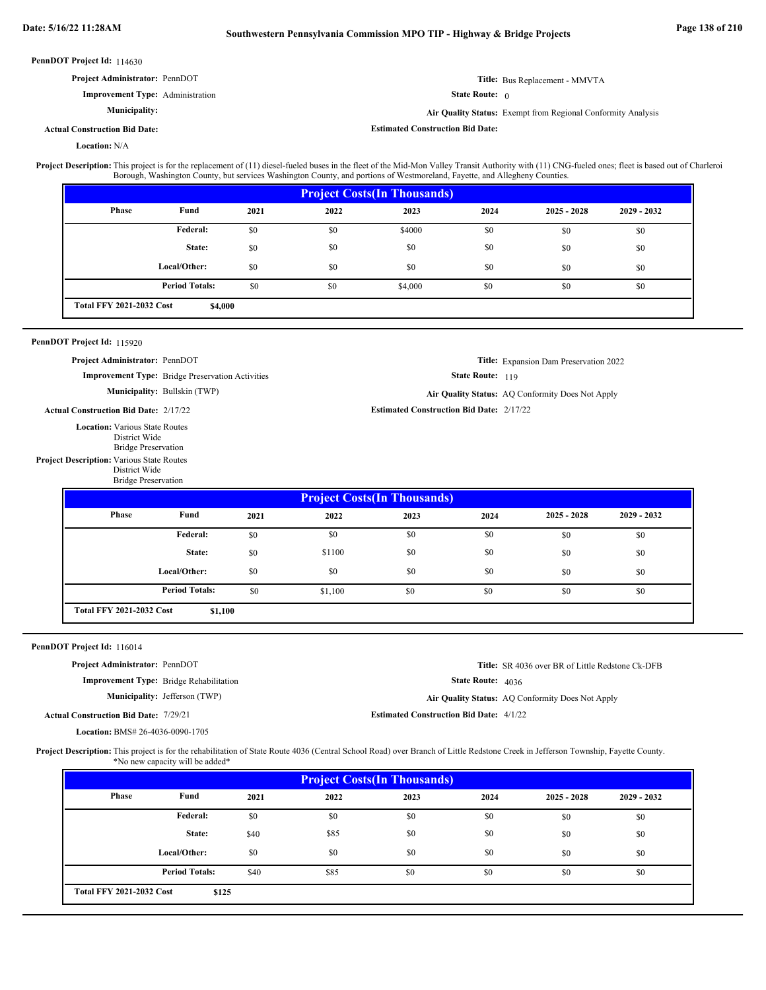| PennDOT Project Id: 116014<br>Project Administrator: PennDOT<br><b>Actual Construction Bid Date: 7/29/21</b><br>Location: BMS# 26-4036-0090-1705 | Improvement Type: Bridge Rehabilitation<br>Municipality: Jefferson (TWP)<br>*No new capacity will be added* |      | Project Description: This project is for the rehabilitation of State Route 4036 (Central School Road) over Branch of Little Redstone Creek in Jefferson Township, Fayette County.                                                                                                                                                  | <b>Estimated Construction Bid Date: 4/1/22</b>  | State Route: 4036 | Title: SR 4036 over BR of Little Redstone Ck-DFB<br>Air Quality Status: AQ Conformity Does Not Apply |             |  |  |
|--------------------------------------------------------------------------------------------------------------------------------------------------|-------------------------------------------------------------------------------------------------------------|------|------------------------------------------------------------------------------------------------------------------------------------------------------------------------------------------------------------------------------------------------------------------------------------------------------------------------------------|-------------------------------------------------|-------------------|------------------------------------------------------------------------------------------------------|-------------|--|--|
|                                                                                                                                                  |                                                                                                             |      |                                                                                                                                                                                                                                                                                                                                    |                                                 |                   |                                                                                                      |             |  |  |
|                                                                                                                                                  |                                                                                                             |      |                                                                                                                                                                                                                                                                                                                                    |                                                 |                   |                                                                                                      |             |  |  |
|                                                                                                                                                  |                                                                                                             |      |                                                                                                                                                                                                                                                                                                                                    |                                                 |                   |                                                                                                      |             |  |  |
|                                                                                                                                                  |                                                                                                             |      |                                                                                                                                                                                                                                                                                                                                    |                                                 |                   |                                                                                                      |             |  |  |
|                                                                                                                                                  |                                                                                                             |      |                                                                                                                                                                                                                                                                                                                                    |                                                 |                   |                                                                                                      |             |  |  |
|                                                                                                                                                  |                                                                                                             |      |                                                                                                                                                                                                                                                                                                                                    |                                                 |                   |                                                                                                      |             |  |  |
|                                                                                                                                                  |                                                                                                             |      |                                                                                                                                                                                                                                                                                                                                    |                                                 |                   |                                                                                                      |             |  |  |
| <b>Total FFY 2021-2032 Cost</b>                                                                                                                  | \$1,100                                                                                                     |      |                                                                                                                                                                                                                                                                                                                                    |                                                 |                   |                                                                                                      |             |  |  |
|                                                                                                                                                  | <b>Period Totals:</b>                                                                                       | \$0  | \$1,100                                                                                                                                                                                                                                                                                                                            | \$0                                             | \$0               | \$0                                                                                                  | \$0         |  |  |
|                                                                                                                                                  | Local/Other:                                                                                                | \$0  | \$0                                                                                                                                                                                                                                                                                                                                | \$0                                             | \$0               | \$0                                                                                                  | \$0         |  |  |
|                                                                                                                                                  | State:                                                                                                      | \$0  | \$1100                                                                                                                                                                                                                                                                                                                             | \$0                                             | \$0               | \$0                                                                                                  | \$0         |  |  |
|                                                                                                                                                  | Federal:                                                                                                    | \$0  | \$0                                                                                                                                                                                                                                                                                                                                | \$0                                             | \$0               | \$0                                                                                                  | \$0         |  |  |
| <b>Phase</b>                                                                                                                                     | Fund                                                                                                        | 2021 | 2022                                                                                                                                                                                                                                                                                                                               | 2023                                            | 2024              | $2025 - 2028$                                                                                        | 2029 - 2032 |  |  |
|                                                                                                                                                  |                                                                                                             |      |                                                                                                                                                                                                                                                                                                                                    | <b>Project Costs(In Thousands)</b>              |                   |                                                                                                      |             |  |  |
| Project Description: Various State Routes<br>District Wide<br><b>Bridge Preservation</b>                                                         |                                                                                                             |      |                                                                                                                                                                                                                                                                                                                                    |                                                 |                   |                                                                                                      |             |  |  |
| <b>Location:</b> Various State Routes<br>District Wide<br><b>Bridge Preservation</b>                                                             |                                                                                                             |      |                                                                                                                                                                                                                                                                                                                                    |                                                 |                   |                                                                                                      |             |  |  |
| <b>Actual Construction Bid Date: 2/17/22</b>                                                                                                     |                                                                                                             |      |                                                                                                                                                                                                                                                                                                                                    | <b>Estimated Construction Bid Date: 2/17/22</b> |                   |                                                                                                      |             |  |  |
|                                                                                                                                                  | Municipality: Bullskin (TWP)                                                                                |      |                                                                                                                                                                                                                                                                                                                                    |                                                 |                   | Air Quality Status: AQ Conformity Does Not Apply                                                     |             |  |  |
|                                                                                                                                                  | <b>Improvement Type:</b> Bridge Preservation Activities                                                     |      |                                                                                                                                                                                                                                                                                                                                    |                                                 | State Route: 119  |                                                                                                      |             |  |  |
| Project Administrator: PennDOT                                                                                                                   |                                                                                                             |      |                                                                                                                                                                                                                                                                                                                                    |                                                 |                   | <b>Title:</b> Expansion Dam Preservation 2022                                                        |             |  |  |
| PennDOT Project Id: 115920                                                                                                                       |                                                                                                             |      |                                                                                                                                                                                                                                                                                                                                    |                                                 |                   |                                                                                                      |             |  |  |
| <b>Total FFY 2021-2032 Cost</b>                                                                                                                  | \$4,000                                                                                                     |      |                                                                                                                                                                                                                                                                                                                                    |                                                 |                   |                                                                                                      |             |  |  |
|                                                                                                                                                  | <b>Period Totals:</b>                                                                                       | \$0  | \$0                                                                                                                                                                                                                                                                                                                                | \$4,000                                         | \$0               | \$0                                                                                                  | \$0         |  |  |
|                                                                                                                                                  | Local/Other:                                                                                                | \$0  | \$0                                                                                                                                                                                                                                                                                                                                | \$0                                             | \$0               | \$0                                                                                                  | \$0         |  |  |
|                                                                                                                                                  | State:                                                                                                      | \$0  | \$0                                                                                                                                                                                                                                                                                                                                | \$0                                             | \$0               | \$0                                                                                                  | \$0         |  |  |
|                                                                                                                                                  | <b>Federal:</b>                                                                                             | \$0  | \$0                                                                                                                                                                                                                                                                                                                                | \$4000                                          | \$0               | \$0                                                                                                  | \$0         |  |  |
| <b>Phase</b>                                                                                                                                     | Fund                                                                                                        | 2021 | 2022                                                                                                                                                                                                                                                                                                                               | 2023                                            | 2024              | $2025 - 2028$                                                                                        | 2029 - 2032 |  |  |
|                                                                                                                                                  |                                                                                                             |      |                                                                                                                                                                                                                                                                                                                                    | <b>Project Costs(In Thousands)</b>              |                   |                                                                                                      |             |  |  |
|                                                                                                                                                  |                                                                                                             |      | Project Description: This project is for the replacement of (11) diesel-fueled buses in the fleet of the Mid-Mon Valley Transit Authority with (11) CNG-fueled ones; fleet is based out of Charleroi<br>Borough, Washington County, but services Washington County, and portions of Westmoreland, Fayette, and Allegheny Counties. |                                                 |                   |                                                                                                      |             |  |  |
| <b>Location: N/A</b>                                                                                                                             |                                                                                                             |      |                                                                                                                                                                                                                                                                                                                                    |                                                 |                   |                                                                                                      |             |  |  |
| <b>Actual Construction Bid Date:</b>                                                                                                             |                                                                                                             |      |                                                                                                                                                                                                                                                                                                                                    | <b>Estimated Construction Bid Date:</b>         |                   |                                                                                                      |             |  |  |
| <b>Municipality:</b>                                                                                                                             |                                                                                                             |      | Air Quality Status: Exempt from Regional Conformity Analysis                                                                                                                                                                                                                                                                       |                                                 |                   |                                                                                                      |             |  |  |
|                                                                                                                                                  | <b>Improvement Type: Administration</b>                                                                     |      | State Route: $\theta$                                                                                                                                                                                                                                                                                                              |                                                 |                   |                                                                                                      |             |  |  |
| Project Administrator: PennDOT                                                                                                                   |                                                                                                             |      |                                                                                                                                                                                                                                                                                                                                    | Title: Bus Replacement - MMVTA                  |                   |                                                                                                      |             |  |  |

| <b>Phase</b>                    | Fund                  | 2021 | 2022 | 2023 | 2024 | $2025 - 2028$ | $2029 - 2032$ |
|---------------------------------|-----------------------|------|------|------|------|---------------|---------------|
|                                 | Federal:              | \$0  | \$0  | \$0  | \$0  | \$0           | \$0           |
|                                 | State:                | \$40 | \$85 | \$0  | \$0  | \$0           | \$0           |
|                                 | Local/Other:          | \$0  | \$0  | \$0  | \$0  | \$0           | \$0           |
|                                 | <b>Period Totals:</b> | \$40 | \$85 | \$0  | \$0  | \$0           | \$0           |
| <b>Total FFY 2021-2032 Cost</b> | \$125                 |      |      |      |      |               |               |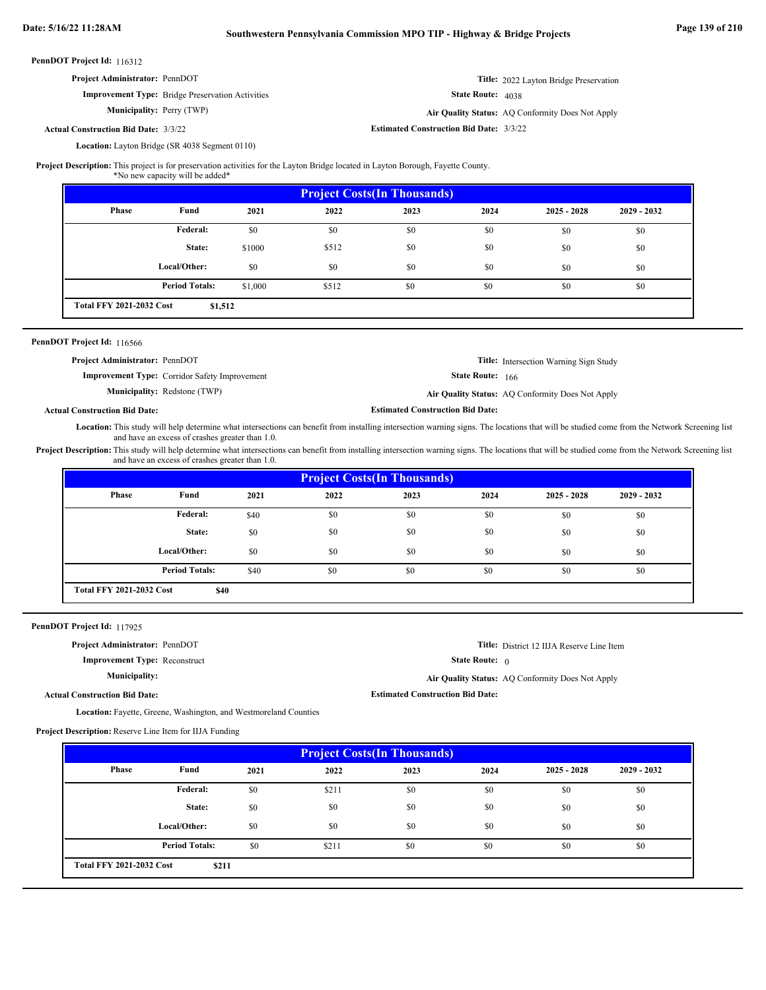| <b>Project Administrator: PennDOT</b>       |                                                         |                                                | <b>Title:</b> 2022 Layton Bridge Preservation    |
|---------------------------------------------|---------------------------------------------------------|------------------------------------------------|--------------------------------------------------|
|                                             | <b>Improvement Type:</b> Bridge Preservation Activities | <b>State Route:</b> $4038$                     |                                                  |
| <b>Municipality:</b> Perry (TWP)            |                                                         |                                                | Air Quality Status: AO Conformity Does Not Apply |
| <b>Actual Construction Bid Date: 3/3/22</b> |                                                         | <b>Estimated Construction Bid Date: 3/3/22</b> |                                                  |

Location: Layton Bridge (SR 4038 Segment 0110)

**Project Description:** This project is for preservation activities for the Layton Bridge located in Layton Borough, Fayette County.

\*No new capacity will be added\*

|                                 |                       |         |       | <b>Project Costs (In Thousands)</b> |      |               |               |
|---------------------------------|-----------------------|---------|-------|-------------------------------------|------|---------------|---------------|
| <b>Phase</b>                    | Fund                  | 2021    | 2022  | 2023                                | 2024 | $2025 - 2028$ | $2029 - 2032$ |
|                                 | Federal:              | \$0     | \$0   | \$0                                 | \$0  | \$0           | \$0           |
|                                 | State:                | \$1000  | \$512 | \$0                                 | \$0  | \$0           | \$0           |
|                                 | Local/Other:          | \$0     | \$0   | \$0                                 | \$0  | \$0           | \$0           |
|                                 | <b>Period Totals:</b> | \$1,000 | \$512 | \$0                                 | \$0  | \$0           | \$0           |
| <b>Total FFY 2021-2032 Cost</b> | \$1,512               |         |       |                                     |      |               |               |

### PennDOT Project Id: 116566

| <b>Project Administrator: PennDOT</b> |                                                      |                                         | <b>Title:</b> Intersection Warning Sign Study    |
|---------------------------------------|------------------------------------------------------|-----------------------------------------|--------------------------------------------------|
|                                       | <b>Improvement Type:</b> Corridor Safety Improvement | <b>State Route: 166</b>                 |                                                  |
|                                       | <b>Municipality:</b> Redstone (TWP)                  |                                         | Air Quality Status: AQ Conformity Does Not Apply |
| al Construction Bid Date:             |                                                      | <b>Estimated Construction Bid Date:</b> |                                                  |

### **Actual Construction Bid Date:**

Location: This study will help determine what intersections can benefit from installing intersection warning signs. The locations that will be studied come from the Network Screening list and have an excess of crashes greater than 1.0.

Project Description: This study will help determine what intersections can benefit from installing intersection warning signs. The locations that will be studied come from the Network Screening list and have an excess of crashes greater than 1.0.

|                                 |                       |      |      | <b>Project Costs (In Thousands)</b> |      |               |               |
|---------------------------------|-----------------------|------|------|-------------------------------------|------|---------------|---------------|
| Phase                           | Fund                  | 2021 | 2022 | 2023                                | 2024 | $2025 - 2028$ | $2029 - 2032$ |
|                                 | <b>Federal:</b>       | \$40 | \$0  | \$0                                 | \$0  | \$0           | \$0           |
|                                 | State:                | \$0  | \$0  | \$0                                 | \$0  | \$0           | \$0           |
|                                 | Local/Other:          | \$0  | \$0  | \$0                                 | \$0  | \$0           | \$0           |
|                                 | <b>Period Totals:</b> | \$40 | \$0  | \$0                                 | \$0  | \$0           | \$0           |
| <b>Total FFY 2021-2032 Cost</b> | \$40                  |      |      |                                     |      |               |               |

PennDOT Project Id: 117925

**Project Administrator:** PennDOT

**Improvement Type:** Reconstruct

**Municipality:**

**Title:** District 12 IIJA Reserve Line Item

State Route: 0

**Estimated Construction Bid Date:**

**Air Quality Status:** AQ Conformity Does Not Apply

**Actual Construction Bid Date:**

Location: Fayette, Greene, Washington, and Westmoreland Counties

**Project Description:** Reserve Line Item for IIJA Funding

|                                 |                       |      |       | <b>Project Costs (In Thousands)</b> |      |               |               |
|---------------------------------|-----------------------|------|-------|-------------------------------------|------|---------------|---------------|
| Phase                           | Fund                  | 2021 | 2022  | 2023                                | 2024 | $2025 - 2028$ | $2029 - 2032$ |
|                                 | <b>Federal:</b>       | \$0  | \$211 | \$0                                 | \$0  | \$0           | \$0           |
|                                 | State:                | \$0  | \$0   | \$0                                 | \$0  | \$0           | \$0           |
|                                 | Local/Other:          | \$0  | \$0   | \$0                                 | \$0  | \$0           | \$0           |
|                                 | <b>Period Totals:</b> | \$0  | \$211 | \$0                                 | \$0  | \$0           | \$0           |
| <b>Total FFY 2021-2032 Cost</b> | \$211                 |      |       |                                     |      |               |               |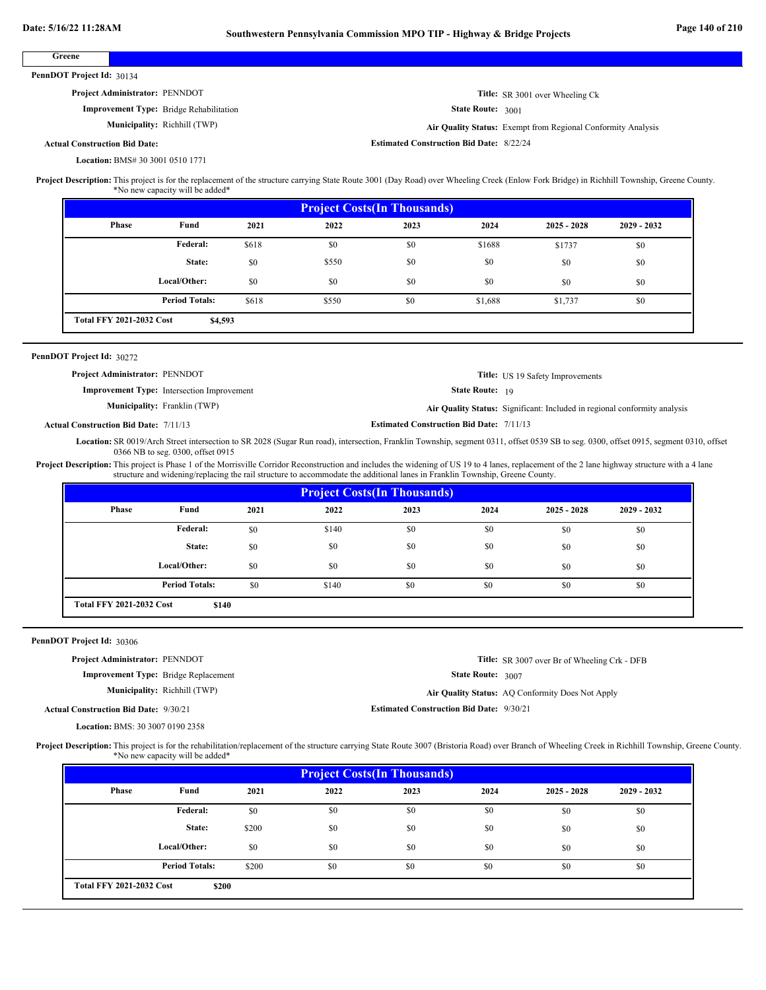| Greene                                                                                                                                                                                                                                                                                                                                                                                                                                  |                                                                      |              |                                                                                                                              |                                                 |                                                 |                                                                                                                                                                                       |             |  |
|-----------------------------------------------------------------------------------------------------------------------------------------------------------------------------------------------------------------------------------------------------------------------------------------------------------------------------------------------------------------------------------------------------------------------------------------|----------------------------------------------------------------------|--------------|------------------------------------------------------------------------------------------------------------------------------|-------------------------------------------------|-------------------------------------------------|---------------------------------------------------------------------------------------------------------------------------------------------------------------------------------------|-------------|--|
| PennDOT Project Id: 30134                                                                                                                                                                                                                                                                                                                                                                                                               |                                                                      |              |                                                                                                                              |                                                 |                                                 |                                                                                                                                                                                       |             |  |
| Project Administrator: PENNDOT                                                                                                                                                                                                                                                                                                                                                                                                          |                                                                      |              |                                                                                                                              |                                                 |                                                 | Title: SR 3001 over Wheeling Ck                                                                                                                                                       |             |  |
|                                                                                                                                                                                                                                                                                                                                                                                                                                         | <b>Improvement Type:</b> Bridge Rehabilitation                       |              |                                                                                                                              |                                                 | State Route: 3001                               |                                                                                                                                                                                       |             |  |
|                                                                                                                                                                                                                                                                                                                                                                                                                                         | Municipality: Richhill (TWP)                                         |              |                                                                                                                              |                                                 |                                                 | Air Quality Status: Exempt from Regional Conformity Analysis                                                                                                                          |             |  |
| <b>Actual Construction Bid Date:</b>                                                                                                                                                                                                                                                                                                                                                                                                    |                                                                      |              |                                                                                                                              | <b>Estimated Construction Bid Date: 8/22/24</b> |                                                 |                                                                                                                                                                                       |             |  |
| Location: BMS# 30 3001 0510 1771                                                                                                                                                                                                                                                                                                                                                                                                        |                                                                      |              |                                                                                                                              |                                                 |                                                 |                                                                                                                                                                                       |             |  |
| Project Description: This project is for the replacement of the structure carrying State Route 3001 (Day Road) over Wheeling Creek (Enlow Fork Bridge) in Richhill Township, Greene County.                                                                                                                                                                                                                                             | *No new capacity will be added*                                      |              |                                                                                                                              |                                                 |                                                 |                                                                                                                                                                                       |             |  |
|                                                                                                                                                                                                                                                                                                                                                                                                                                         |                                                                      |              |                                                                                                                              | <b>Project Costs(In Thousands)</b>              |                                                 |                                                                                                                                                                                       |             |  |
| <b>Phase</b>                                                                                                                                                                                                                                                                                                                                                                                                                            | Fund                                                                 | 2021         | 2022                                                                                                                         | 2023                                            | 2024                                            | $2025 - 2028$                                                                                                                                                                         | 2029 - 2032 |  |
|                                                                                                                                                                                                                                                                                                                                                                                                                                         | <b>Federal:</b>                                                      | \$618        | \$0                                                                                                                          | \$0                                             | \$1688                                          | \$1737                                                                                                                                                                                | \$0         |  |
|                                                                                                                                                                                                                                                                                                                                                                                                                                         | State:                                                               | \$0          | \$550                                                                                                                        | \$0                                             | \$0                                             | \$0                                                                                                                                                                                   | \$0         |  |
|                                                                                                                                                                                                                                                                                                                                                                                                                                         | Local/Other:                                                         | \$0          | \$0                                                                                                                          | \$0                                             | \$0                                             |                                                                                                                                                                                       |             |  |
|                                                                                                                                                                                                                                                                                                                                                                                                                                         |                                                                      |              |                                                                                                                              |                                                 |                                                 | \$0                                                                                                                                                                                   | \$0         |  |
| <b>Total FFY 2021-2032 Cost</b>                                                                                                                                                                                                                                                                                                                                                                                                         | <b>Period Totals:</b><br>\$4,593                                     | \$618        | \$550                                                                                                                        | \$0                                             | \$1,688                                         | \$1,737                                                                                                                                                                               | \$0         |  |
|                                                                                                                                                                                                                                                                                                                                                                                                                                         |                                                                      |              |                                                                                                                              |                                                 |                                                 |                                                                                                                                                                                       |             |  |
| PennDOT Project Id: 30272                                                                                                                                                                                                                                                                                                                                                                                                               |                                                                      |              |                                                                                                                              |                                                 |                                                 |                                                                                                                                                                                       |             |  |
| Project Administrator: PENNDOT                                                                                                                                                                                                                                                                                                                                                                                                          |                                                                      |              |                                                                                                                              |                                                 |                                                 | Title: US 19 Safety Improvements                                                                                                                                                      |             |  |
|                                                                                                                                                                                                                                                                                                                                                                                                                                         | <b>Improvement Type:</b> Intersection Improvement                    |              |                                                                                                                              |                                                 | State Route: 19                                 |                                                                                                                                                                                       |             |  |
|                                                                                                                                                                                                                                                                                                                                                                                                                                         | <b>Municipality:</b> Franklin (TWP)                                  |              |                                                                                                                              |                                                 |                                                 | Air Quality Status: Significant: Included in regional conformity analysis                                                                                                             |             |  |
|                                                                                                                                                                                                                                                                                                                                                                                                                                         |                                                                      |              |                                                                                                                              |                                                 | <b>Estimated Construction Bid Date: 7/11/13</b> |                                                                                                                                                                                       |             |  |
| <b>Actual Construction Bid Date: 7/11/13</b>                                                                                                                                                                                                                                                                                                                                                                                            | 0366 NB to seg. 0300, offset 0915                                    |              | structure and widening/replacing the rail structure to accommodate the additional lanes in Franklin Township, Greene County. |                                                 |                                                 | Location: SR 0019/Arch Street intersection to SR 2028 (Sugar Run road), intersection, Franklin Township, segment 0311, offset 0539 SB to seg. 0300, offset 0915, segment 0310, offset |             |  |
|                                                                                                                                                                                                                                                                                                                                                                                                                                         |                                                                      |              |                                                                                                                              | <b>Project Costs (In Thousands)</b>             |                                                 |                                                                                                                                                                                       |             |  |
| Phase                                                                                                                                                                                                                                                                                                                                                                                                                                   | Fund                                                                 | 2021         | 2022                                                                                                                         | 2023                                            | 2024                                            | $2025 - 2028$                                                                                                                                                                         | 2029 - 2032 |  |
|                                                                                                                                                                                                                                                                                                                                                                                                                                         | <b>Federal:</b>                                                      | \$0          | \$140                                                                                                                        | \$0                                             | \$0                                             | \$0                                                                                                                                                                                   | \$0         |  |
|                                                                                                                                                                                                                                                                                                                                                                                                                                         | State:                                                               | \$0          | \$0                                                                                                                          | \$0                                             | \$0                                             | \$0                                                                                                                                                                                   | \$0         |  |
|                                                                                                                                                                                                                                                                                                                                                                                                                                         | Local/Other:                                                         | \$0          | \$0                                                                                                                          | \$0                                             | \$0                                             | \$0                                                                                                                                                                                   | \$0         |  |
|                                                                                                                                                                                                                                                                                                                                                                                                                                         | <b>Period Totals:</b>                                                | \$0          | \$140                                                                                                                        | $\$0$                                           | \$0                                             | $\$0$                                                                                                                                                                                 | $\$0$       |  |
| <b>Total FFY 2021-2032 Cost</b>                                                                                                                                                                                                                                                                                                                                                                                                         | \$140                                                                |              |                                                                                                                              |                                                 |                                                 |                                                                                                                                                                                       |             |  |
|                                                                                                                                                                                                                                                                                                                                                                                                                                         |                                                                      |              |                                                                                                                              |                                                 |                                                 |                                                                                                                                                                                       |             |  |
|                                                                                                                                                                                                                                                                                                                                                                                                                                         |                                                                      |              |                                                                                                                              |                                                 |                                                 |                                                                                                                                                                                       |             |  |
| Project Administrator: PENNDOT                                                                                                                                                                                                                                                                                                                                                                                                          |                                                                      |              |                                                                                                                              |                                                 |                                                 | Title: SR 3007 over Br of Wheeling Crk - DFB                                                                                                                                          |             |  |
|                                                                                                                                                                                                                                                                                                                                                                                                                                         | Improvement Type: Bridge Replacement<br>Municipality: Richhill (TWP) |              |                                                                                                                              |                                                 | State Route: 3007                               |                                                                                                                                                                                       |             |  |
|                                                                                                                                                                                                                                                                                                                                                                                                                                         |                                                                      |              |                                                                                                                              |                                                 |                                                 | Air Quality Status: AQ Conformity Does Not Apply                                                                                                                                      |             |  |
| <b>Actual Construction Bid Date: 9/30/21</b>                                                                                                                                                                                                                                                                                                                                                                                            |                                                                      |              |                                                                                                                              | <b>Estimated Construction Bid Date: 9/30/21</b> |                                                 |                                                                                                                                                                                       |             |  |
| Location: BMS: 30 3007 0190 2358                                                                                                                                                                                                                                                                                                                                                                                                        |                                                                      |              |                                                                                                                              |                                                 |                                                 |                                                                                                                                                                                       |             |  |
|                                                                                                                                                                                                                                                                                                                                                                                                                                         | *No new capacity will be added*                                      |              |                                                                                                                              |                                                 |                                                 |                                                                                                                                                                                       |             |  |
| <b>Phase</b>                                                                                                                                                                                                                                                                                                                                                                                                                            | Fund                                                                 | 2021         | 2022                                                                                                                         | <b>Project Costs(In Thousands)</b><br>2023      | 2024                                            | $2025 - 2028$                                                                                                                                                                         | 2029 - 2032 |  |
|                                                                                                                                                                                                                                                                                                                                                                                                                                         | Federal:                                                             | \$0          | \$0                                                                                                                          | \$0                                             | \$0                                             | \$0                                                                                                                                                                                   | \$0         |  |
|                                                                                                                                                                                                                                                                                                                                                                                                                                         |                                                                      |              |                                                                                                                              |                                                 |                                                 |                                                                                                                                                                                       |             |  |
|                                                                                                                                                                                                                                                                                                                                                                                                                                         | State:                                                               | \$200        | \$0                                                                                                                          | \$0                                             | \$0                                             | \$0                                                                                                                                                                                   | \$0         |  |
| Project Description: This project is Phase 1 of the Morrisville Corridor Reconstruction and includes the widening of US 19 to 4 lanes, replacement of the 2 lane highway structure with a 4 lane<br>PennDOT Project Id: 30306<br>Project Description: This project is for the rehabilitation/replacement of the structure carrying State Route 3007 (Bristoria Road) over Branch of Wheeling Creek in Richhill Township, Greene County. | Local/Other:<br><b>Period Totals:</b>                                | \$0<br>\$200 | \$0<br>\$0                                                                                                                   | \$0<br>\$0                                      | \$0<br>\$0                                      | \$0<br>\$0                                                                                                                                                                            | \$0<br>\$0  |  |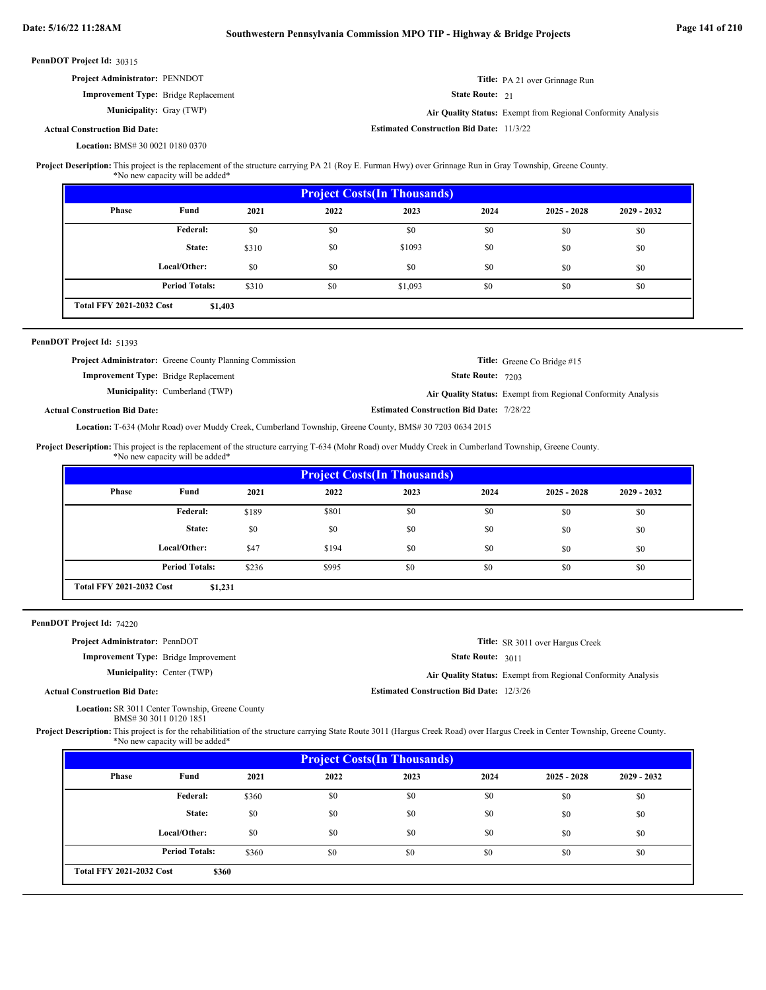| PennDOT Project Id: 30315            |                                      |       |      |                                                 |                 |                                                                                                                                                             |               |
|--------------------------------------|--------------------------------------|-------|------|-------------------------------------------------|-----------------|-------------------------------------------------------------------------------------------------------------------------------------------------------------|---------------|
| Project Administrator: PENNDOT       |                                      |       |      |                                                 |                 | Title: PA 21 over Grinnage Run                                                                                                                              |               |
|                                      | Improvement Type: Bridge Replacement |       |      |                                                 | State Route: 21 |                                                                                                                                                             |               |
|                                      | <b>Municipality:</b> Gray (TWP)      |       |      |                                                 |                 | Air Quality Status: Exempt from Regional Conformity Analysis                                                                                                |               |
| <b>Actual Construction Bid Date:</b> |                                      |       |      | <b>Estimated Construction Bid Date: 11/3/22</b> |                 |                                                                                                                                                             |               |
| Location: BMS# 30 0021 0180 0370     |                                      |       |      |                                                 |                 |                                                                                                                                                             |               |
|                                      |                                      |       |      |                                                 |                 | Project Description: This project is the replacement of the structure carrying PA 21 (Roy E. Furman Hwy) over Grinnage Run in Gray Township, Greene County. |               |
|                                      | *No new capacity will be added*      |       |      |                                                 |                 |                                                                                                                                                             |               |
|                                      |                                      |       |      | <b>Project Costs (In Thousands)</b>             |                 |                                                                                                                                                             |               |
| Phase                                | Fund                                 | 2021  | 2022 | 2023                                            | 2024            | $2025 - 2028$                                                                                                                                               | $2029 - 2032$ |
|                                      | Federal:                             | \$0   | \$0  | \$0                                             | \$0             | \$0                                                                                                                                                         | \$0           |
|                                      | State:                               | \$310 | \$0  | \$1093                                          | \$0             | \$0                                                                                                                                                         | \$0           |
|                                      | Local/Other:                         | \$0   | \$0  | \$0                                             | \$0             | \$0                                                                                                                                                         | \$0           |
|                                      | <b>Period Totals:</b>                | \$310 | \$0  | \$1,093                                         | \$0             | \$0                                                                                                                                                         | \$0           |
| <b>Total FFY 2021-2032 Cost</b>      | \$1,403                              |       |      |                                                 |                 |                                                                                                                                                             |               |

|                                             | <b>Project Administrator:</b> Greene County Planning Commission |                                                 | <b>Title:</b> Greene Co Bridge #15                           |
|---------------------------------------------|-----------------------------------------------------------------|-------------------------------------------------|--------------------------------------------------------------|
| <b>Improvement Type:</b> Bridge Replacement |                                                                 | <b>State Route: 7203</b>                        |                                                              |
|                                             | <b>Municipality:</b> Cumberland (TWP)                           |                                                 | Air Quality Status: Exempt from Regional Conformity Analysis |
| <b>Actual Construction Bid Date:</b>        |                                                                 | <b>Estimated Construction Bid Date: 7/28/22</b> |                                                              |

T-634 (Mohr Road) over Muddy Creek, Cumberland Township, Greene County, BMS# 30 7203 0634 2015 **Location:**

This project is the replacement of the structure carrying T-634 (Mohr Road) over Muddy Creek in Cumberland Township, Greene County. **Project Description:**

\*No new capacity will be added\*

|                                 |                       |       |       | <b>Project Costs (In Thousands)</b> |      |               |               |
|---------------------------------|-----------------------|-------|-------|-------------------------------------|------|---------------|---------------|
| Phase                           | Fund                  | 2021  | 2022  | 2023                                | 2024 | $2025 - 2028$ | $2029 - 2032$ |
|                                 | <b>Federal:</b>       | \$189 | \$801 | \$0                                 | \$0  | \$0           | \$0           |
|                                 | State:                | \$0   | \$0   | \$0                                 | \$0  | \$0           | \$0           |
|                                 | Local/Other:          | \$47  | \$194 | \$0                                 | \$0  | \$0           | \$0           |
|                                 | <b>Period Totals:</b> | \$236 | \$995 | \$0                                 | \$0  | \$0           | \$0           |
| <b>Total FFY 2021-2032 Cost</b> | \$1,231               |       |       |                                     |      |               |               |

PennDOT Project Id: 74220

**Actual Construction Bid Date:**

**Project Administrator:** PennDOT

**Improvement Type:** Bridge Improvement **Municipality:** Center (TWP)

**Title:** SR 3011 over Hargus Creek

State Route: 3011

Center (TWP) **Air Quality Status:** Exempt from Regional Conformity Analysis

**Estimated Construction Bid Date:** 12/3/26

Location: SR 3011 Center Township, Greene County

BMS# 30 3011 0120 1851

Project Description: This project is for the rehabilitiation of the structure carrying State Route 3011 (Hargus Creek Road) over Hargus Creek in Center Township, Greene County. \*No new capacity will be added\*

|                                 |                       |       |      | <b>Project Costs (In Thousands)</b> |      |               |               |
|---------------------------------|-----------------------|-------|------|-------------------------------------|------|---------------|---------------|
| Phase                           | Fund                  | 2021  | 2022 | 2023                                | 2024 | $2025 - 2028$ | $2029 - 2032$ |
|                                 | Federal:              | \$360 | \$0  | \$0                                 | \$0  | \$0           | \$0           |
|                                 | State:                | \$0   | \$0  | \$0                                 | \$0  | \$0           | \$0           |
|                                 | Local/Other:          | \$0   | \$0  | \$0                                 | \$0  | \$0           | \$0           |
|                                 | <b>Period Totals:</b> | \$360 | \$0  | \$0                                 | \$0  | \$0           | \$0           |
| <b>Total FFY 2021-2032 Cost</b> | \$360                 |       |      |                                     |      |               |               |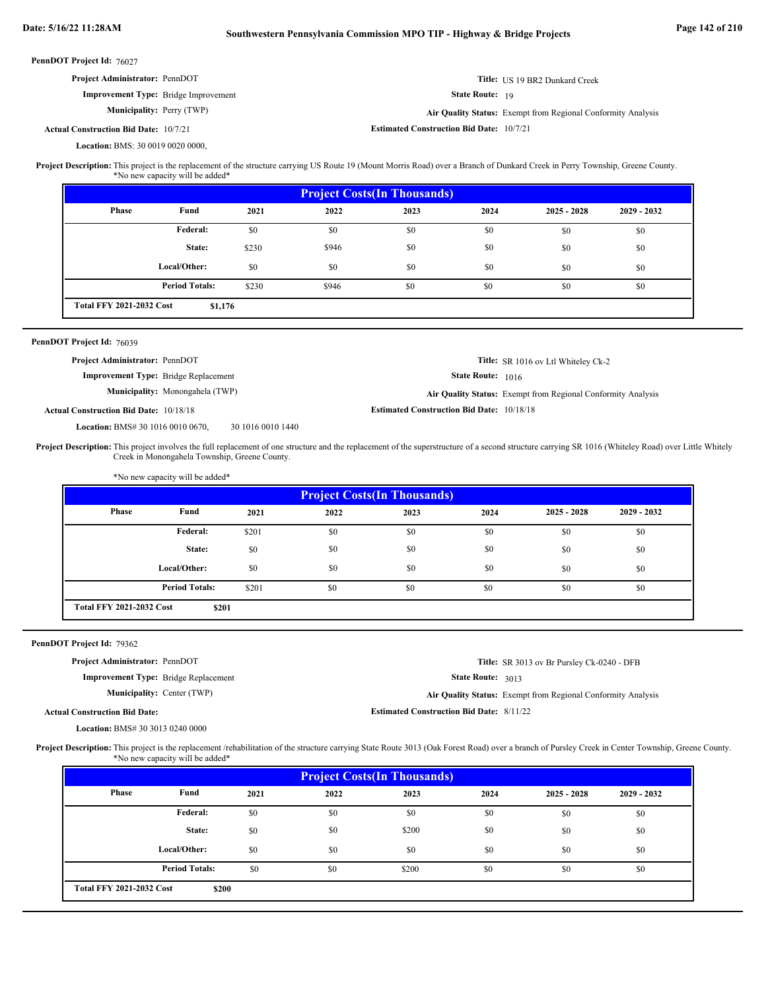| Date: 5/16/22 11:28AM                                                                                                                                                                                 |                                                                                  |                   | Southwestern Pennsylvania Commission MPO TIP - Highway & Bridge Projects |                                                  |                        |                                                              |             | Page 142 of 210 |
|-------------------------------------------------------------------------------------------------------------------------------------------------------------------------------------------------------|----------------------------------------------------------------------------------|-------------------|--------------------------------------------------------------------------|--------------------------------------------------|------------------------|--------------------------------------------------------------|-------------|-----------------|
| PennDOT Project Id: 76027                                                                                                                                                                             |                                                                                  |                   |                                                                          |                                                  |                        |                                                              |             |                 |
| Project Administrator: PennDOT                                                                                                                                                                        |                                                                                  |                   |                                                                          |                                                  |                        | Title: US 19 BR2 Dunkard Creek                               |             |                 |
|                                                                                                                                                                                                       | <b>Improvement Type:</b> Bridge Improvement                                      |                   |                                                                          |                                                  | <b>State Route: 19</b> |                                                              |             |                 |
|                                                                                                                                                                                                       | <b>Municipality:</b> Perry (TWP)                                                 |                   |                                                                          |                                                  |                        | Air Quality Status: Exempt from Regional Conformity Analysis |             |                 |
| <b>Actual Construction Bid Date: 10/7/21</b>                                                                                                                                                          |                                                                                  |                   |                                                                          | <b>Estimated Construction Bid Date: 10/7/21</b>  |                        |                                                              |             |                 |
| Location: BMS: 30 0019 0020 0000,                                                                                                                                                                     |                                                                                  |                   |                                                                          |                                                  |                        |                                                              |             |                 |
| Project Description: This project is the replacement of the structure carrying US Route 19 (Mount Morris Road) over a Branch of Dunkard Creek in Perry Township, Greene County.                       | *No new capacity will be added*                                                  |                   |                                                                          |                                                  |                        |                                                              |             |                 |
|                                                                                                                                                                                                       |                                                                                  |                   |                                                                          | <b>Project Costs(In Thousands)</b>               |                        |                                                              |             |                 |
| Phase                                                                                                                                                                                                 | Fund                                                                             | 2021              | 2022                                                                     | 2023                                             | 2024                   | $2025 - 2028$                                                | 2029 - 2032 |                 |
|                                                                                                                                                                                                       | Federal:                                                                         | \$0               | \$0                                                                      | \$0                                              | \$0                    | \$0                                                          | \$0         |                 |
|                                                                                                                                                                                                       | State:                                                                           | \$230             | \$946                                                                    | \$0                                              | \$0                    | \$0                                                          | \$0         |                 |
|                                                                                                                                                                                                       | Local/Other:                                                                     | \$0               | \$0                                                                      | \$0                                              | \$0                    | \$0                                                          | \$0         |                 |
|                                                                                                                                                                                                       | <b>Period Totals:</b>                                                            | \$230             | \$946                                                                    | \$0                                              | \$0                    | \$0                                                          | \$0         |                 |
| <b>Total FFY 2021-2032 Cost</b>                                                                                                                                                                       | \$1,176                                                                          |                   |                                                                          |                                                  |                        |                                                              |             |                 |
| PennDOT Project Id: 76039                                                                                                                                                                             |                                                                                  |                   |                                                                          |                                                  |                        |                                                              |             |                 |
| Project Administrator: PennDOT                                                                                                                                                                        |                                                                                  |                   |                                                                          |                                                  |                        | Title: SR 1016 ov Ltl Whiteley Ck-2                          |             |                 |
|                                                                                                                                                                                                       | <b>Improvement Type:</b> Bridge Replacement                                      |                   |                                                                          |                                                  | State Route: 1016      |                                                              |             |                 |
|                                                                                                                                                                                                       | Municipality: Monongahela (TWP)                                                  |                   |                                                                          |                                                  |                        | Air Quality Status: Exempt from Regional Conformity Analysis |             |                 |
| <b>Actual Construction Bid Date: 10/18/18</b>                                                                                                                                                         |                                                                                  |                   |                                                                          | <b>Estimated Construction Bid Date: 10/18/18</b> |                        |                                                              |             |                 |
| Location: BMS# 30 1016 0010 0670,                                                                                                                                                                     |                                                                                  | 30 1016 0010 1440 |                                                                          |                                                  |                        |                                                              |             |                 |
| Project Description: This project involves the full replacement of one structure and the replacement of the superstructure of a second structure carrying SR 1016 (Whiteley Road) over Little Whitely | Creek in Monongahela Township, Greene County.<br>*No new capacity will be added* |                   |                                                                          |                                                  |                        |                                                              |             |                 |
|                                                                                                                                                                                                       |                                                                                  |                   |                                                                          | <b>Project Costs(In Thousands)</b>               |                        |                                                              |             |                 |
| <b>Phase</b>                                                                                                                                                                                          | Fund                                                                             | 2021              | 2022                                                                     | 2023                                             | 2024                   | $2025 - 2028$                                                | 2029 - 2032 |                 |
|                                                                                                                                                                                                       | Federal:                                                                         | \$201             | \$0                                                                      | \$0                                              | \$0                    | \$0                                                          | \$0         |                 |
|                                                                                                                                                                                                       | State:                                                                           | \$0               | \$0                                                                      | \$0                                              | \$0                    | \$0                                                          | \$0         |                 |
|                                                                                                                                                                                                       | Local/Other:                                                                     | \$0               | \$0                                                                      | \$0                                              | \$0                    | \$0                                                          | \$0         |                 |
|                                                                                                                                                                                                       | <b>Period Totals:</b>                                                            | \$201             | \$0                                                                      | \$0                                              | \$0                    | \$0                                                          | \$0         |                 |
| <b>Total FFY 2021-2032 Cost</b>                                                                                                                                                                       | \$201                                                                            |                   |                                                                          |                                                  |                        |                                                              |             |                 |
|                                                                                                                                                                                                       |                                                                                  |                   |                                                                          |                                                  |                        |                                                              |             |                 |
| PennDOT Project Id: 79362                                                                                                                                                                             |                                                                                  |                   |                                                                          |                                                  |                        |                                                              |             |                 |
| Project Administrator: PennDOT                                                                                                                                                                        |                                                                                  |                   |                                                                          |                                                  |                        | Title: SR 3013 ov Br Pursley Ck-0240 - DFB                   |             |                 |
|                                                                                                                                                                                                       | <b>Improvement Type:</b> Bridge Replacement                                      |                   |                                                                          |                                                  | State Route: 3013      |                                                              |             |                 |
|                                                                                                                                                                                                       | <b>Municipality: Center (TWP)</b>                                                |                   |                                                                          |                                                  |                        | Air Quality Status: Exempt from Regional Conformity Analysis |             |                 |
| <b>Actual Construction Bid Date:</b>                                                                                                                                                                  |                                                                                  |                   |                                                                          | <b>Estimated Construction Bid Date: 8/11/22</b>  |                        |                                                              |             |                 |
| Location: BMS# 30 3013 0240 0000                                                                                                                                                                      |                                                                                  |                   |                                                                          |                                                  |                        |                                                              |             |                 |
| Project Description: This project is the replacement /rehabilitation of the structure carrying State Route 3013 (Oak Forest Road) over a branch of Pursley Creek in Center Township, Greene County.   | *No new capacity will be added*                                                  |                   |                                                                          |                                                  |                        |                                                              |             |                 |
|                                                                                                                                                                                                       |                                                                                  |                   |                                                                          | <b>Project Costs(In Thousands)</b>               |                        |                                                              |             |                 |
| <b>Phase</b>                                                                                                                                                                                          | Fund                                                                             | 2021              | 2022                                                                     | 2023                                             | 2024                   | $2025 - 2028$                                                | 2029 - 2032 |                 |
|                                                                                                                                                                                                       | Federal:                                                                         | \$0               | \$0                                                                      | \$0                                              | \$0                    | \$0                                                          | \$0         |                 |
|                                                                                                                                                                                                       | State:                                                                           | \$0               | \$0                                                                      | \$200                                            | \$0                    | \$0                                                          | \$0         |                 |
|                                                                                                                                                                                                       | Local/Other:                                                                     | \$0               | \$0                                                                      | \$0                                              | \$0                    | \$0                                                          | \$0         |                 |

\$0 \$200 \$200 \$0 \$0 \$0 \$0 \$0

**\$200**

**Period Totals:** \$0

**Total FFY 2021-2032 Cost**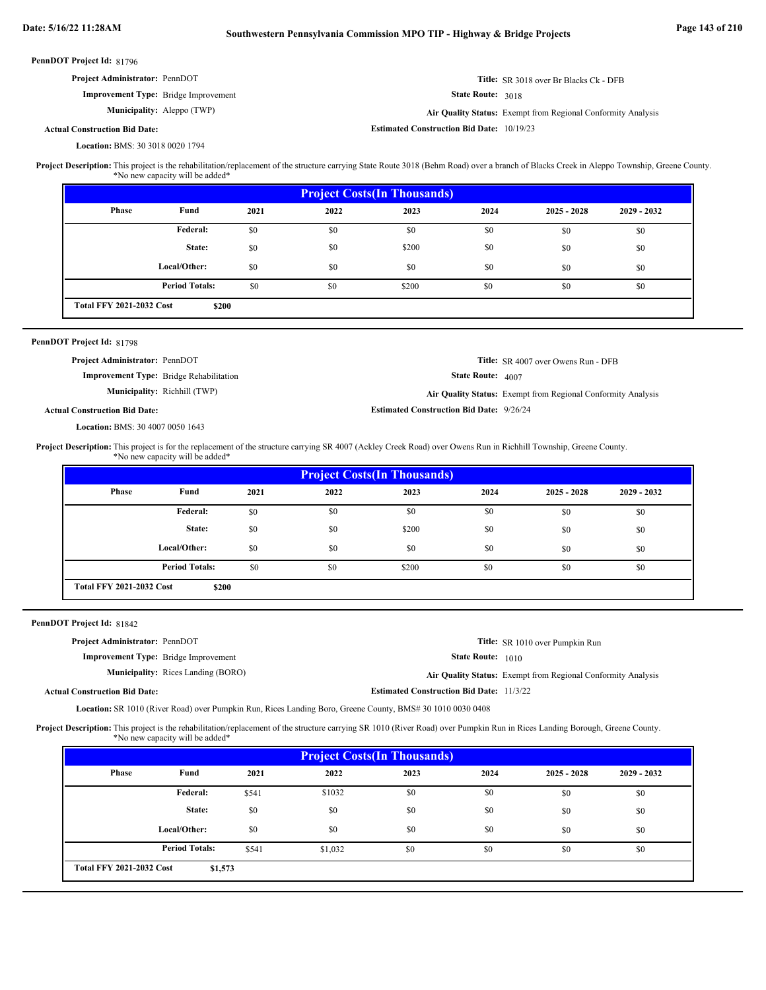| PennDOT Project Id: 81796 |                                      |                                                |              |                                                                                                                                                                                                                                                                                            |                                                  |                   |                                                              |             |
|---------------------------|--------------------------------------|------------------------------------------------|--------------|--------------------------------------------------------------------------------------------------------------------------------------------------------------------------------------------------------------------------------------------------------------------------------------------|--------------------------------------------------|-------------------|--------------------------------------------------------------|-------------|
|                           | Project Administrator: PennDOT       |                                                |              |                                                                                                                                                                                                                                                                                            |                                                  |                   | Title: SR 3018 over Br Blacks Ck - DFB                       |             |
|                           |                                      | <b>Improvement Type:</b> Bridge Improvement    |              |                                                                                                                                                                                                                                                                                            |                                                  | State Route: 3018 |                                                              |             |
|                           |                                      | Municipality: Aleppo (TWP)                     |              |                                                                                                                                                                                                                                                                                            |                                                  |                   | Air Quality Status: Exempt from Regional Conformity Analysis |             |
|                           | <b>Actual Construction Bid Date:</b> |                                                |              |                                                                                                                                                                                                                                                                                            | <b>Estimated Construction Bid Date: 10/19/23</b> |                   |                                                              |             |
|                           | Location: BMS: 30 3018 0020 1794     |                                                |              |                                                                                                                                                                                                                                                                                            |                                                  |                   |                                                              |             |
|                           |                                      | *No new capacity will be added*                |              | Project Description: This project is the rehabilitation/replacement of the structure carrying State Route 3018 (Behm Road) over a branch of Blacks Creek in Aleppo Township, Greene County.                                                                                                |                                                  |                   |                                                              |             |
|                           |                                      |                                                |              |                                                                                                                                                                                                                                                                                            | <b>Project Costs(In Thousands)</b>               |                   |                                                              |             |
|                           | <b>Phase</b>                         | Fund                                           | 2021         | 2022                                                                                                                                                                                                                                                                                       | 2023                                             | 2024              | $2025 - 2028$                                                | 2029 - 2032 |
|                           |                                      | Federal:                                       | \$0          | \$0                                                                                                                                                                                                                                                                                        | \$0                                              | \$0               | \$0                                                          | \$0         |
|                           |                                      | State:                                         | \$0          | \$0                                                                                                                                                                                                                                                                                        | \$200                                            | \$0               | \$0                                                          | \$0         |
|                           |                                      | Local/Other:                                   | \$0          | \$0                                                                                                                                                                                                                                                                                        | \$0                                              | \$0               | \$0                                                          | \$0         |
|                           |                                      | <b>Period Totals:</b>                          | \$0          | \$0                                                                                                                                                                                                                                                                                        | \$200                                            | \$0               | \$0                                                          | \$0         |
|                           | <b>Total FFY 2021-2032 Cost</b>      | \$200                                          |              |                                                                                                                                                                                                                                                                                            |                                                  |                   |                                                              |             |
|                           |                                      |                                                |              |                                                                                                                                                                                                                                                                                            |                                                  |                   |                                                              |             |
|                           | PennDOT Project Id: 81798            |                                                |              |                                                                                                                                                                                                                                                                                            |                                                  |                   |                                                              |             |
|                           | Project Administrator: PennDOT       |                                                |              |                                                                                                                                                                                                                                                                                            |                                                  |                   | <b>Title:</b> SR 4007 over Owens Run - DFB                   |             |
|                           |                                      | <b>Improvement Type:</b> Bridge Rehabilitation |              |                                                                                                                                                                                                                                                                                            |                                                  | State Route: 4007 |                                                              |             |
|                           |                                      | Municipality: Richhill (TWP)                   |              |                                                                                                                                                                                                                                                                                            |                                                  |                   | Air Quality Status: Exempt from Regional Conformity Analysis |             |
|                           | <b>Actual Construction Bid Date:</b> |                                                |              |                                                                                                                                                                                                                                                                                            | <b>Estimated Construction Bid Date: 9/26/24</b>  |                   |                                                              |             |
|                           | Location: BMS: 30 4007 0050 1643     |                                                |              |                                                                                                                                                                                                                                                                                            |                                                  |                   |                                                              |             |
|                           |                                      | *No new capacity will be added*                |              | Project Description: This project is for the replacement of the structure carrying SR 4007 (Ackley Creek Road) over Owens Run in Richhill Township, Greene County.                                                                                                                         |                                                  |                   |                                                              |             |
|                           | Phase                                | Fund                                           |              |                                                                                                                                                                                                                                                                                            | <b>Project Costs(In Thousands)</b>               |                   |                                                              |             |
|                           |                                      |                                                | 2021         | 2022                                                                                                                                                                                                                                                                                       | 2023                                             | 2024              | $2025 - 2028$                                                | 2029 - 2032 |
|                           |                                      | Federal:                                       | \$0          | \$0                                                                                                                                                                                                                                                                                        | \$0                                              | \$0               | \$0                                                          | \$0         |
|                           |                                      | State:                                         | \$0          | \$0                                                                                                                                                                                                                                                                                        | \$200                                            | \$0               | \$0                                                          |             |
|                           |                                      | Local/Other:                                   | \$0          |                                                                                                                                                                                                                                                                                            |                                                  |                   |                                                              | \$0         |
|                           |                                      |                                                |              | \$0                                                                                                                                                                                                                                                                                        | \$0                                              | \$0               | \$0                                                          | \$0         |
|                           |                                      | <b>Period Totals:</b>                          | \$0          | \$0                                                                                                                                                                                                                                                                                        | \$200                                            | \$0               | \$0                                                          | \$0         |
|                           | <b>Total FFY 2021-2032 Cost</b>      | \$200                                          |              |                                                                                                                                                                                                                                                                                            |                                                  |                   |                                                              |             |
|                           |                                      |                                                |              |                                                                                                                                                                                                                                                                                            |                                                  |                   |                                                              |             |
|                           | Project Administrator: PennDOT       |                                                |              |                                                                                                                                                                                                                                                                                            |                                                  |                   |                                                              |             |
|                           |                                      | <b>Improvement Type:</b> Bridge Improvement    |              |                                                                                                                                                                                                                                                                                            |                                                  | State Route: 1010 | Title: SR 1010 over Pumpkin Run                              |             |
|                           |                                      | Municipality: Rices Landing (BORO)             |              |                                                                                                                                                                                                                                                                                            |                                                  |                   |                                                              |             |
|                           | <b>Actual Construction Bid Date:</b> |                                                |              |                                                                                                                                                                                                                                                                                            | <b>Estimated Construction Bid Date: 11/3/22</b>  |                   | Air Quality Status: Exempt from Regional Conformity Analysis |             |
|                           |                                      |                                                |              |                                                                                                                                                                                                                                                                                            |                                                  |                   |                                                              |             |
|                           |                                      |                                                |              | Location: SR 1010 (River Road) over Pumpkin Run, Rices Landing Boro, Greene County, BMS# 30 1010 0030 0408<br>Project Description: This project is the rehabilitation/replacement of the structure carrying SR 1010 (River Road) over Pumpkin Run in Rices Landing Borough, Greene County. |                                                  |                   |                                                              |             |
|                           |                                      | *No new capacity will be added*                |              |                                                                                                                                                                                                                                                                                            |                                                  |                   |                                                              |             |
|                           | <b>Phase</b>                         | Fund                                           | 2021         | 2022                                                                                                                                                                                                                                                                                       | <b>Project Costs(In Thousands)</b><br>2023       | 2024              | $2025 - 2028$                                                | 2029 - 2032 |
|                           |                                      | Federal:                                       |              |                                                                                                                                                                                                                                                                                            |                                                  |                   |                                                              |             |
|                           |                                      |                                                | \$541        | \$1032                                                                                                                                                                                                                                                                                     | \$0                                              | \$0               | \$0                                                          | \$0         |
|                           |                                      | State:                                         | \$0          | \$0                                                                                                                                                                                                                                                                                        | \$0                                              | \$0               | \$0                                                          | \$0         |
| PennDOT Project Id: 81842 |                                      | Local/Other:<br><b>Period Totals:</b>          | \$0<br>\$541 | \$0<br>\$1,032                                                                                                                                                                                                                                                                             | \$0<br>\$0                                       | \$0<br>\$0        | \$0<br>\$0                                                   | \$0<br>\$0  |

**\$1,573**

**Total FFY 2021-2032 Cost**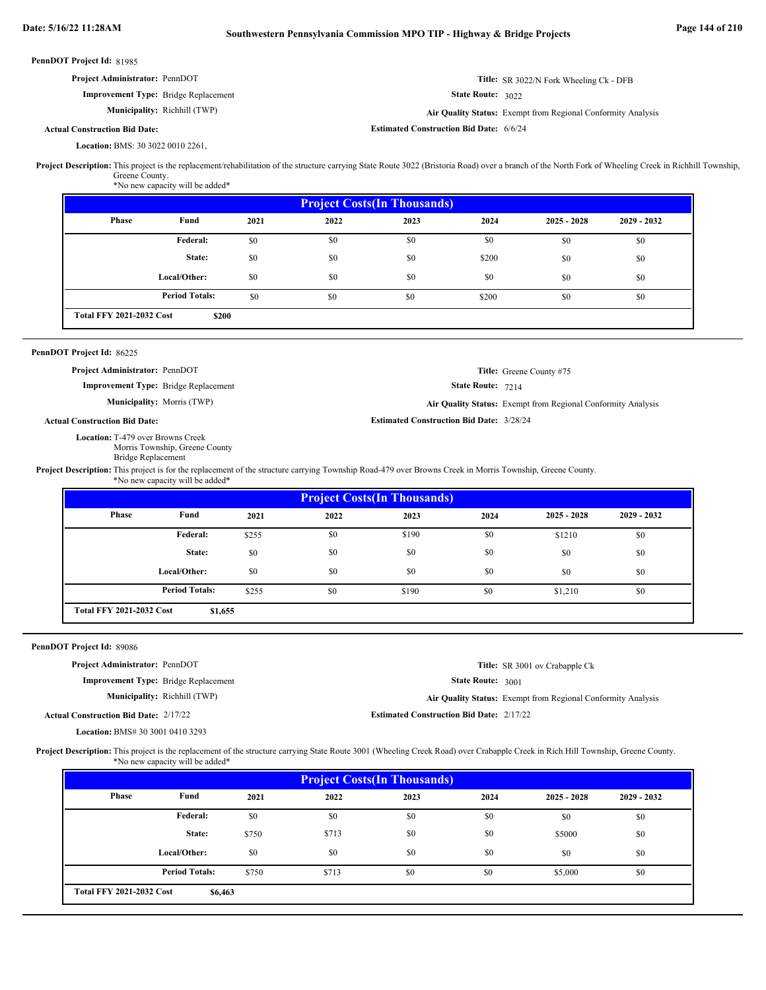|                                                                                                                                                                                                                                                                                                                                                                            | Project Administrator: PennDOT                                            |              |              |                                                 |                   | <b>Title:</b> SR 3022/N Fork Wheeling Ck - DFB               |               |  |
|----------------------------------------------------------------------------------------------------------------------------------------------------------------------------------------------------------------------------------------------------------------------------------------------------------------------------------------------------------------------------|---------------------------------------------------------------------------|--------------|--------------|-------------------------------------------------|-------------------|--------------------------------------------------------------|---------------|--|
|                                                                                                                                                                                                                                                                                                                                                                            | Improvement Type: Bridge Replacement                                      |              |              |                                                 | State Route: 3022 |                                                              |               |  |
|                                                                                                                                                                                                                                                                                                                                                                            | Municipality: Richhill (TWP)                                              |              |              |                                                 |                   | Air Quality Status: Exempt from Regional Conformity Analysis |               |  |
| <b>Actual Construction Bid Date:</b>                                                                                                                                                                                                                                                                                                                                       |                                                                           |              |              | <b>Estimated Construction Bid Date: 6/6/24</b>  |                   |                                                              |               |  |
|                                                                                                                                                                                                                                                                                                                                                                            | Location: BMS: 30 3022 0010 2261,                                         |              |              |                                                 |                   |                                                              |               |  |
| Project Description: This project is the replacement/rehabilitation of the structure carrying State Route 3022 (Bristoria Road) over a branch of the North Fork of Wheeling Creek in Richhill Township,                                                                                                                                                                    | Greene County.<br>*No new capacity will be added*                         |              |              |                                                 |                   |                                                              |               |  |
|                                                                                                                                                                                                                                                                                                                                                                            |                                                                           |              |              | <b>Project Costs(In Thousands)</b>              |                   |                                                              |               |  |
| Phase                                                                                                                                                                                                                                                                                                                                                                      | Fund                                                                      | 2021         | 2022         | 2023                                            | 2024              | $2025 - 2028$                                                | $2029 - 2032$ |  |
|                                                                                                                                                                                                                                                                                                                                                                            | <b>Federal:</b>                                                           | \$0          | \$0          | \$0                                             | \$0               | \$0                                                          | \$0           |  |
|                                                                                                                                                                                                                                                                                                                                                                            | State:                                                                    | \$0          | \$0          | \$0                                             | \$200             | \$0                                                          | \$0           |  |
|                                                                                                                                                                                                                                                                                                                                                                            | Local/Other:                                                              | \$0          | \$0          | \$0                                             | \$0               | \$0                                                          | \$0           |  |
|                                                                                                                                                                                                                                                                                                                                                                            |                                                                           |              |              |                                                 |                   |                                                              |               |  |
|                                                                                                                                                                                                                                                                                                                                                                            | <b>Period Totals:</b>                                                     | \$0          | \$0          | \$0                                             | \$200             | \$0                                                          | \$0           |  |
| <b>Total FFY 2021-2032 Cost</b>                                                                                                                                                                                                                                                                                                                                            | \$200                                                                     |              |              |                                                 |                   |                                                              |               |  |
| PennDOT Project Id: 86225                                                                                                                                                                                                                                                                                                                                                  |                                                                           |              |              |                                                 |                   |                                                              |               |  |
|                                                                                                                                                                                                                                                                                                                                                                            | Project Administrator: PennDOT                                            |              |              |                                                 |                   | Title: Greene County #75                                     |               |  |
|                                                                                                                                                                                                                                                                                                                                                                            | Improvement Type: Bridge Replacement<br><b>Municipality:</b> Morris (TWP) |              |              |                                                 | State Route: 7214 |                                                              |               |  |
|                                                                                                                                                                                                                                                                                                                                                                            |                                                                           |              |              |                                                 |                   | Air Quality Status: Exempt from Regional Conformity Analysis |               |  |
|                                                                                                                                                                                                                                                                                                                                                                            |                                                                           |              |              |                                                 |                   |                                                              |               |  |
| <b>Actual Construction Bid Date:</b>                                                                                                                                                                                                                                                                                                                                       |                                                                           |              |              | <b>Estimated Construction Bid Date: 3/28/24</b> |                   |                                                              |               |  |
|                                                                                                                                                                                                                                                                                                                                                                            | Location: T-479 over Browns Creek<br>Morris Township, Greene County       |              |              |                                                 |                   |                                                              |               |  |
|                                                                                                                                                                                                                                                                                                                                                                            | <b>Bridge Replacement</b><br>*No new capacity will be added*              |              |              |                                                 |                   |                                                              |               |  |
|                                                                                                                                                                                                                                                                                                                                                                            |                                                                           |              |              | <b>Project Costs(In Thousands)</b>              |                   |                                                              |               |  |
| Phase                                                                                                                                                                                                                                                                                                                                                                      | Fund                                                                      | 2021         | 2022         | 2023                                            | 2024              | $2025 - 2028$                                                | 2029 - 2032   |  |
|                                                                                                                                                                                                                                                                                                                                                                            | <b>Federal:</b>                                                           | \$255        | \$0          | \$190                                           | \$0               | \$1210                                                       | \$0           |  |
|                                                                                                                                                                                                                                                                                                                                                                            | State:                                                                    | \$0          | \$0          | \$0                                             | \$0               | \$0                                                          | \$0           |  |
|                                                                                                                                                                                                                                                                                                                                                                            |                                                                           |              |              |                                                 |                   |                                                              |               |  |
|                                                                                                                                                                                                                                                                                                                                                                            | Local/Other:                                                              | \$0          | \$0          | \$0                                             | \$0               | \$0                                                          | \$0           |  |
|                                                                                                                                                                                                                                                                                                                                                                            | <b>Period Totals:</b>                                                     | \$255        | \$0          | \$190                                           | \$0               | \$1,210                                                      | \$0           |  |
| <b>Total FFY 2021-2032 Cost</b>                                                                                                                                                                                                                                                                                                                                            | \$1,655                                                                   |              |              |                                                 |                   |                                                              |               |  |
|                                                                                                                                                                                                                                                                                                                                                                            |                                                                           |              |              |                                                 |                   |                                                              |               |  |
|                                                                                                                                                                                                                                                                                                                                                                            | Project Administrator: PennDOT                                            |              |              |                                                 |                   | Title: SR 3001 ov Crabapple Ck                               |               |  |
|                                                                                                                                                                                                                                                                                                                                                                            | Improvement Type: Bridge Replacement                                      |              |              |                                                 | State Route: 3001 |                                                              |               |  |
|                                                                                                                                                                                                                                                                                                                                                                            | Municipality: Richhill (TWP)                                              |              |              |                                                 |                   | Air Quality Status: Exempt from Regional Conformity Analysis |               |  |
| <b>Actual Construction Bid Date: 2/17/22</b>                                                                                                                                                                                                                                                                                                                               |                                                                           |              |              | <b>Estimated Construction Bid Date: 2/17/22</b> |                   |                                                              |               |  |
|                                                                                                                                                                                                                                                                                                                                                                            | Location: BMS# 30 3001 0410 3293                                          |              |              |                                                 |                   |                                                              |               |  |
| Project Description: This project is for the replacement of the structure carrying Township Road-479 over Browns Creek in Morris Township, Greene County.<br>PennDOT Project Id: 89086<br>Project Description: This project is the replacement of the structure carrying State Route 3001 (Wheeling Creek Road) over Crabapple Creek in Rich Hill Township, Greene County. | *No new capacity will be added*                                           |              |              |                                                 |                   |                                                              |               |  |
|                                                                                                                                                                                                                                                                                                                                                                            |                                                                           |              |              | <b>Project Costs(In Thousands)</b>              |                   |                                                              |               |  |
| <b>Phase</b>                                                                                                                                                                                                                                                                                                                                                               | Fund                                                                      | 2021         | 2022         | 2023                                            | 2024              | $2025 - 2028$                                                | 2029 - 2032   |  |
|                                                                                                                                                                                                                                                                                                                                                                            | Federal:                                                                  | \$0          | \$0          | \$0                                             | \$0               | \$0                                                          | \$0           |  |
|                                                                                                                                                                                                                                                                                                                                                                            | State:                                                                    | \$750        | \$713        | \$0                                             | \$0               | \$5000                                                       | \$0           |  |
|                                                                                                                                                                                                                                                                                                                                                                            |                                                                           |              |              |                                                 |                   |                                                              |               |  |
|                                                                                                                                                                                                                                                                                                                                                                            | Local/Other:<br><b>Period Totals:</b>                                     | \$0<br>\$750 | \$0<br>\$713 | \$0<br>\$0                                      | \$0<br>\$0        | \$0<br>\$5,000                                               | \$0<br>\$0    |  |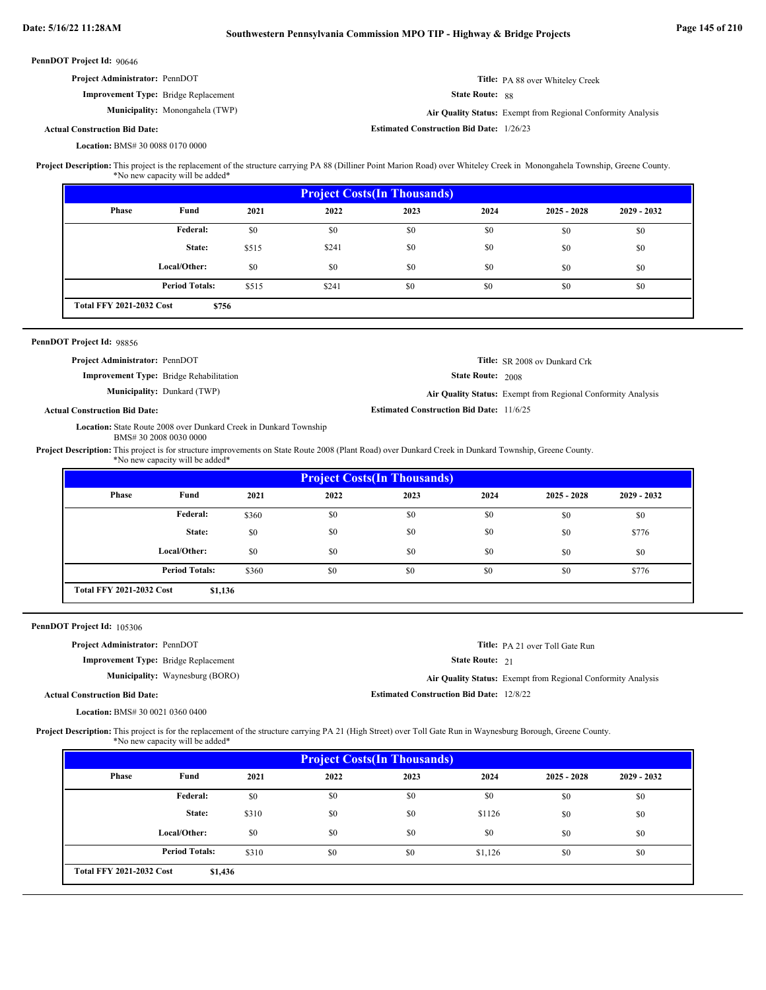| PennDOT Project Id: 90646                                                                                                                                                                                                                                         |                                                                   |              |                 |                                                 |                        |                                                              |             |
|-------------------------------------------------------------------------------------------------------------------------------------------------------------------------------------------------------------------------------------------------------------------|-------------------------------------------------------------------|--------------|-----------------|-------------------------------------------------|------------------------|--------------------------------------------------------------|-------------|
| Project Administrator: PennDOT                                                                                                                                                                                                                                    |                                                                   |              |                 |                                                 |                        | Title: PA 88 over Whiteley Creek                             |             |
|                                                                                                                                                                                                                                                                   | <b>Improvement Type:</b> Bridge Replacement                       |              | State Route: 88 |                                                 |                        |                                                              |             |
|                                                                                                                                                                                                                                                                   | Municipality: Monongahela (TWP)                                   |              |                 |                                                 |                        | Air Quality Status: Exempt from Regional Conformity Analysis |             |
| <b>Actual Construction Bid Date:</b>                                                                                                                                                                                                                              |                                                                   |              |                 | <b>Estimated Construction Bid Date: 1/26/23</b> |                        |                                                              |             |
| Location: BMS# 30 0088 0170 0000                                                                                                                                                                                                                                  |                                                                   |              |                 |                                                 |                        |                                                              |             |
| Project Description: This project is the replacement of the structure carrying PA 88 (Dilliner Point Marion Road) over Whiteley Creek in Monongahela Township, Greene County.                                                                                     | *No new capacity will be added*                                   |              |                 |                                                 |                        |                                                              |             |
|                                                                                                                                                                                                                                                                   |                                                                   |              |                 | <b>Project Costs(In Thousands)</b>              |                        |                                                              |             |
| Phase                                                                                                                                                                                                                                                             | Fund                                                              | 2021         | 2022            | 2023                                            | 2024                   | $2025 - 2028$                                                | 2029 - 2032 |
|                                                                                                                                                                                                                                                                   | Federal:                                                          | \$0          | \$0             | \$0                                             | \$0                    | \$0                                                          | \$0         |
|                                                                                                                                                                                                                                                                   | State:                                                            | \$515        | \$241           | \$0                                             | \$0                    | \$0                                                          | \$0         |
|                                                                                                                                                                                                                                                                   | Local/Other:                                                      | \$0          | \$0             | \$0                                             | \$0                    | \$0                                                          | \$0         |
|                                                                                                                                                                                                                                                                   | <b>Period Totals:</b>                                             | \$515        | \$241           | \$0                                             | \$0                    | \$0                                                          | \$0         |
|                                                                                                                                                                                                                                                                   |                                                                   |              |                 |                                                 |                        |                                                              |             |
| <b>Total FFY 2021-2032 Cost</b>                                                                                                                                                                                                                                   | \$756                                                             |              |                 |                                                 |                        |                                                              |             |
| PennDOT Project Id: 98856                                                                                                                                                                                                                                         |                                                                   |              |                 |                                                 |                        |                                                              |             |
| Project Administrator: PennDOT                                                                                                                                                                                                                                    |                                                                   |              |                 |                                                 |                        | Title: SR 2008 ov Dunkard Crk                                |             |
|                                                                                                                                                                                                                                                                   | <b>Improvement Type:</b> Bridge Rehabilitation                    |              |                 |                                                 | State Route: 2008      |                                                              |             |
|                                                                                                                                                                                                                                                                   | Municipality: Dunkard (TWP)                                       |              |                 |                                                 |                        | Air Quality Status: Exempt from Regional Conformity Analysis |             |
| <b>Estimated Construction Bid Date: 11/6/25</b><br><b>Actual Construction Bid Date:</b>                                                                                                                                                                           |                                                                   |              |                 |                                                 |                        |                                                              |             |
|                                                                                                                                                                                                                                                                   |                                                                   |              |                 |                                                 |                        |                                                              |             |
|                                                                                                                                                                                                                                                                   | Location: State Route 2008 over Dunkard Creek in Dunkard Township |              |                 |                                                 |                        |                                                              |             |
|                                                                                                                                                                                                                                                                   | BMS# 30 2008 0030 0000<br>*No new capacity will be added*         |              |                 |                                                 |                        |                                                              |             |
|                                                                                                                                                                                                                                                                   |                                                                   |              |                 | <b>Project Costs(In Thousands)</b>              |                        |                                                              |             |
| <b>Phase</b>                                                                                                                                                                                                                                                      | Fund                                                              | 2021         | 2022            | 2023                                            | 2024                   | $2025 - 2028$                                                | 2029 - 2032 |
|                                                                                                                                                                                                                                                                   | Federal:                                                          | \$360        | \$0             | \$0                                             | \$0                    | \$0                                                          | \$0         |
|                                                                                                                                                                                                                                                                   | State:                                                            | \$0          | \$0             | \$0                                             | \$0                    | \$0                                                          | \$776       |
|                                                                                                                                                                                                                                                                   | Local/Other:                                                      | \$0          | \$0             | \$0                                             | \$0                    | \$0                                                          | \$0         |
|                                                                                                                                                                                                                                                                   |                                                                   |              |                 |                                                 |                        |                                                              |             |
| <b>Total FFY 2021-2032 Cost</b>                                                                                                                                                                                                                                   | <b>Period Totals:</b><br>\$1,136                                  | \$360        | \$0             | \$0                                             | \$0                    | \$0                                                          | \$776       |
|                                                                                                                                                                                                                                                                   |                                                                   |              |                 |                                                 |                        |                                                              |             |
|                                                                                                                                                                                                                                                                   |                                                                   |              |                 |                                                 |                        |                                                              |             |
| Project Administrator: PennDOT                                                                                                                                                                                                                                    |                                                                   |              |                 |                                                 |                        | Title: PA 21 over Toll Gate Run                              |             |
|                                                                                                                                                                                                                                                                   | <b>Improvement Type:</b> Bridge Replacement                       |              |                 |                                                 | <b>State Route: 21</b> |                                                              |             |
|                                                                                                                                                                                                                                                                   | Municipality: Waynesburg (BORO)                                   |              |                 |                                                 |                        | Air Quality Status: Exempt from Regional Conformity Analysis |             |
| Project Description: This project is for structure improvements on State Route 2008 (Plant Road) over Dunkard Creek in Dunkard Township, Greene County.<br>PennDOT Project Id: 105306<br><b>Actual Construction Bid Date:</b><br>Location: BMS# 30 0021 0360 0400 |                                                                   |              |                 | <b>Estimated Construction Bid Date: 12/8/22</b> |                        |                                                              |             |
|                                                                                                                                                                                                                                                                   | *No new capacity will be added*                                   |              |                 |                                                 |                        |                                                              |             |
|                                                                                                                                                                                                                                                                   |                                                                   |              |                 |                                                 |                        |                                                              |             |
| <b>Phase</b>                                                                                                                                                                                                                                                      | Fund                                                              | 2021         | 2022            | <b>Project Costs(In Thousands)</b><br>2023      | 2024                   | $2025 - 2028$                                                | 2029 - 2032 |
|                                                                                                                                                                                                                                                                   | Federal:                                                          | \$0          | \$0             | \$0                                             | \$0                    | \$0                                                          | \$0         |
|                                                                                                                                                                                                                                                                   | State:                                                            |              | \$0             | \$0                                             | \$1126                 |                                                              |             |
|                                                                                                                                                                                                                                                                   |                                                                   | \$310        |                 |                                                 |                        | \$0                                                          | \$0         |
| Project Description: This project is for the replacement of the structure carrying PA 21 (High Street) over Toll Gate Run in Waynesburg Borough, Greene County.                                                                                                   | Local/Other:<br><b>Period Totals:</b>                             | \$0<br>\$310 | \$0<br>\$0      | \$0<br>\$0                                      | \$0<br>\$1,126         | \$0<br>\$0                                                   | \$0<br>\$0  |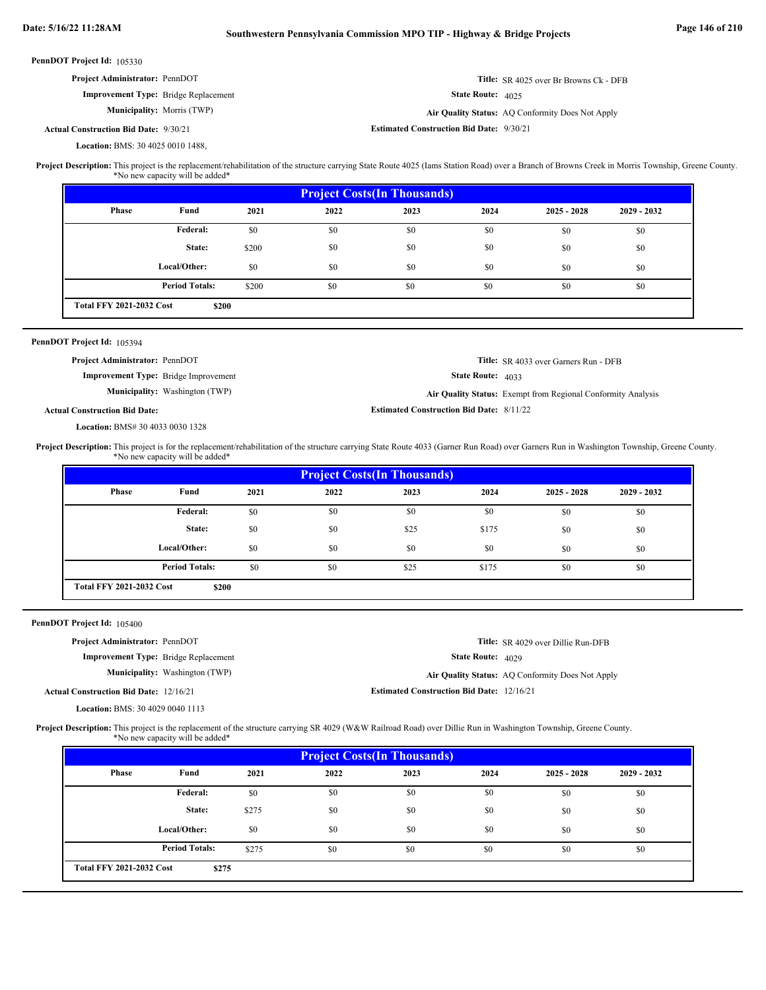| PennDOT Project Id: 105330                    |                                                                                                                                                                                                                                        |       |                                    |                                                  |                                                              |                                               |             |  |  |
|-----------------------------------------------|----------------------------------------------------------------------------------------------------------------------------------------------------------------------------------------------------------------------------------------|-------|------------------------------------|--------------------------------------------------|--------------------------------------------------------------|-----------------------------------------------|-------------|--|--|
|                                               | Project Administrator: PennDOT                                                                                                                                                                                                         |       |                                    |                                                  |                                                              | <b>Title:</b> SR 4025 over Br Browns Ck - DFB |             |  |  |
|                                               | <b>Improvement Type:</b> Bridge Replacement                                                                                                                                                                                            |       |                                    |                                                  | State Route: 4025                                            |                                               |             |  |  |
|                                               | Municipality: Morris (TWP)                                                                                                                                                                                                             |       |                                    | Air Quality Status: AQ Conformity Does Not Apply |                                                              |                                               |             |  |  |
| <b>Actual Construction Bid Date: 9/30/21</b>  |                                                                                                                                                                                                                                        |       |                                    | <b>Estimated Construction Bid Date: 9/30/21</b>  |                                                              |                                               |             |  |  |
|                                               | Location: BMS: 30 4025 0010 1488,                                                                                                                                                                                                      |       |                                    |                                                  |                                                              |                                               |             |  |  |
|                                               | Project Description: This project is the replacement/rehabilitation of the structure carrying State Route 4025 (Iams Station Road) over a Branch of Browns Creek in Morris Township, Greene County.<br>*No new capacity will be added* |       |                                    |                                                  |                                                              |                                               |             |  |  |
|                                               |                                                                                                                                                                                                                                        |       | <b>Project Costs(In Thousands)</b> |                                                  |                                                              |                                               |             |  |  |
| Phase                                         | Fund                                                                                                                                                                                                                                   | 2021  | 2022                               | 2023                                             | 2024                                                         | $2025 - 2028$                                 | 2029 - 2032 |  |  |
|                                               | <b>Federal:</b>                                                                                                                                                                                                                        | \$0   | \$0                                | \$0                                              | \$0                                                          | \$0                                           | \$0         |  |  |
|                                               | State:                                                                                                                                                                                                                                 | \$200 | \$0                                | \$0                                              | \$0                                                          | \$0                                           | \$0         |  |  |
|                                               | Local/Other:                                                                                                                                                                                                                           | \$0   | \$0                                | \$0                                              | \$0                                                          | \$0                                           | \$0         |  |  |
|                                               | <b>Period Totals:</b>                                                                                                                                                                                                                  | \$200 | \$0                                | \$0                                              | \$0                                                          | \$0                                           | \$0         |  |  |
| <b>Total FFY 2021-2032 Cost</b>               | \$200                                                                                                                                                                                                                                  |       |                                    |                                                  |                                                              |                                               |             |  |  |
|                                               |                                                                                                                                                                                                                                        |       |                                    |                                                  |                                                              |                                               |             |  |  |
| PennDOT Project Id: 105394                    |                                                                                                                                                                                                                                        |       |                                    |                                                  |                                                              |                                               |             |  |  |
|                                               | Project Administrator: PennDOT<br>Improvement Type: Bridge Improvement                                                                                                                                                                 |       |                                    | State Route: 4033                                | Title: SR 4033 over Garners Run - DFB                        |                                               |             |  |  |
|                                               | Municipality: Washington (TWP)                                                                                                                                                                                                         |       |                                    |                                                  | Air Quality Status: Exempt from Regional Conformity Analysis |                                               |             |  |  |
| <b>Actual Construction Bid Date:</b>          |                                                                                                                                                                                                                                        |       |                                    | <b>Estimated Construction Bid Date: 8/11/22</b>  |                                                              |                                               |             |  |  |
|                                               | Location: BMS# 30 4033 0030 1328                                                                                                                                                                                                       |       |                                    |                                                  |                                                              |                                               |             |  |  |
|                                               |                                                                                                                                                                                                                                        |       |                                    | <b>Project Costs(In Thousands)</b>               |                                                              |                                               |             |  |  |
| Phase                                         | Fund                                                                                                                                                                                                                                   | 2021  | 2022                               | 2023                                             | 2024                                                         | $2025 - 2028$                                 | 2029 - 2032 |  |  |
|                                               | Federal:                                                                                                                                                                                                                               | \$0   | \$0                                | \$0                                              | \$0                                                          | \$0                                           | \$0         |  |  |
|                                               | State:                                                                                                                                                                                                                                 | \$0   | \$0                                | \$25                                             | \$175                                                        | \$0                                           | \$0         |  |  |
|                                               | Local/Other:                                                                                                                                                                                                                           | \$0   | \$0                                | \$0                                              | \$0                                                          | \$0                                           | \$0         |  |  |
|                                               | <b>Period Totals:</b>                                                                                                                                                                                                                  | \$0   | \$0                                | \$25                                             | \$175                                                        | \$0                                           | \$0         |  |  |
| <b>Total FFY 2021-2032 Cost</b>               | \$200                                                                                                                                                                                                                                  |       |                                    |                                                  |                                                              |                                               |             |  |  |
| PennDOT Project Id: 105400                    |                                                                                                                                                                                                                                        |       |                                    |                                                  |                                                              |                                               |             |  |  |
|                                               | Project Administrator: PennDOT                                                                                                                                                                                                         |       |                                    |                                                  |                                                              | Title: SR 4029 over Dillie Run-DFB            |             |  |  |
|                                               | <b>Improvement Type:</b> Bridge Replacement                                                                                                                                                                                            |       |                                    |                                                  | State Route: 4029                                            |                                               |             |  |  |
|                                               | Municipality: Washington (TWP)<br>Air Quality Status: AQ Conformity Does Not Apply                                                                                                                                                     |       |                                    |                                                  |                                                              |                                               |             |  |  |
| <b>Actual Construction Bid Date: 12/16/21</b> |                                                                                                                                                                                                                                        |       |                                    | <b>Estimated Construction Bid Date: 12/16/21</b> |                                                              |                                               |             |  |  |
|                                               | Location: BMS: 30 4029 0040 1113                                                                                                                                                                                                       |       |                                    |                                                  |                                                              |                                               |             |  |  |
|                                               | Project Description: This project is the replacement of the structure carrying SR 4029 (W&W Railroad Road) over Dillie Run in Washington Township, Greene County.<br>*No new capacity will be added*                                   |       |                                    |                                                  |                                                              |                                               |             |  |  |
|                                               |                                                                                                                                                                                                                                        |       |                                    | <b>Project Costs(In Thousands)</b>               |                                                              |                                               |             |  |  |
| Phase                                         | Fund                                                                                                                                                                                                                                   | 2021  | 2022                               | 2023                                             | 2024                                                         | $2025 - 2028$                                 | 2029 - 2032 |  |  |
|                                               | <b>Federal:</b>                                                                                                                                                                                                                        | \$0   | \$0                                | \$0                                              | \$0                                                          | \$0                                           | \$0         |  |  |
|                                               | State:                                                                                                                                                                                                                                 | \$275 | \$0                                | \$0                                              | \$0                                                          | \$0                                           | \$0         |  |  |
|                                               | Local/Other:                                                                                                                                                                                                                           | \$0   | \$0                                | \$0                                              | \$0                                                          | \$0                                           | \$0         |  |  |

 $$0$   $$0$   $$0$   $$0$   $$0$   $$0$   $$0$ 

**\$275**

**Period Totals:** \$275 \$0 \$0 \$0 \$0

**Total FFY 2021-2032 Cost**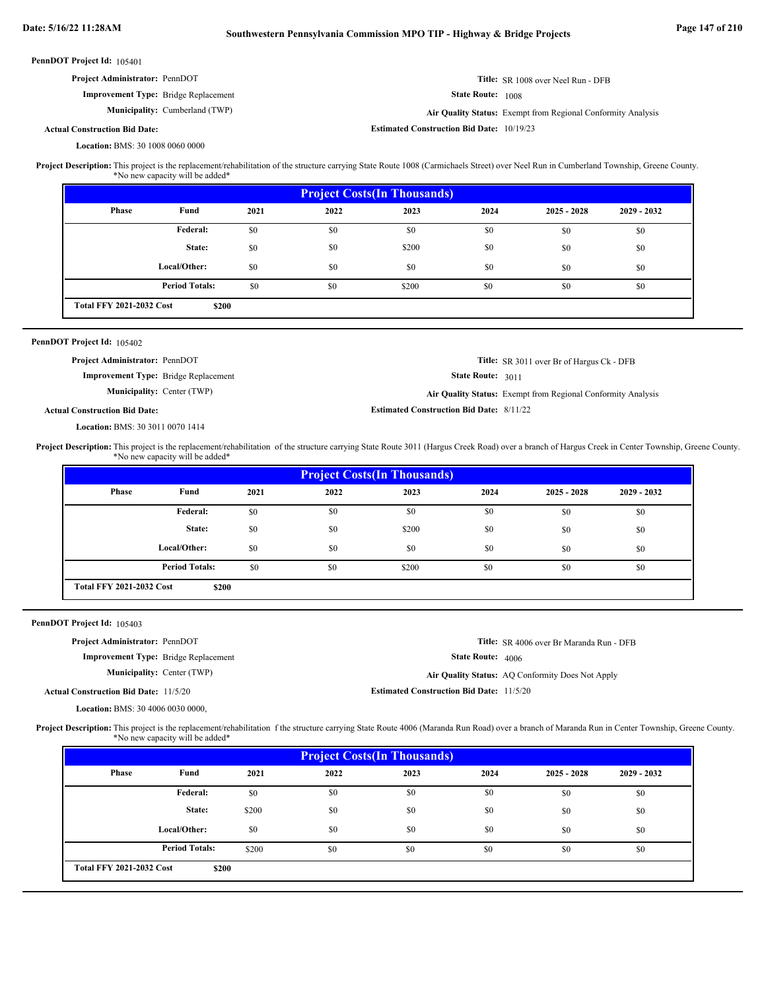| PennDOT Project Id: 105401                                                                                                                                                                       |                                   |      |                                    |                                                  |                   |                                                              |                                                                                                                                                                                                     |  |
|--------------------------------------------------------------------------------------------------------------------------------------------------------------------------------------------------|-----------------------------------|------|------------------------------------|--------------------------------------------------|-------------------|--------------------------------------------------------------|-----------------------------------------------------------------------------------------------------------------------------------------------------------------------------------------------------|--|
| Project Administrator: PennDOT                                                                                                                                                                   |                                   |      | Title: SR 1008 over Neel Run - DFB |                                                  |                   |                                                              |                                                                                                                                                                                                     |  |
| <b>Improvement Type:</b> Bridge Replacement                                                                                                                                                      |                                   |      |                                    |                                                  | State Route: 1008 |                                                              |                                                                                                                                                                                                     |  |
|                                                                                                                                                                                                  | Municipality: Cumberland (TWP)    |      |                                    |                                                  |                   | Air Quality Status: Exempt from Regional Conformity Analysis |                                                                                                                                                                                                     |  |
| <b>Actual Construction Bid Date:</b>                                                                                                                                                             |                                   |      |                                    | <b>Estimated Construction Bid Date: 10/19/23</b> |                   |                                                              |                                                                                                                                                                                                     |  |
| Location: BMS: 30 1008 0060 0000                                                                                                                                                                 |                                   |      |                                    |                                                  |                   |                                                              |                                                                                                                                                                                                     |  |
| Project Description: This project is the replacement/rehabilitation of the structure carrying State Route 1008 (Carmichaels Street) over Neel Run in Cumberland Township, Greene County.         | *No new capacity will be added*   |      |                                    |                                                  |                   |                                                              |                                                                                                                                                                                                     |  |
|                                                                                                                                                                                                  |                                   |      |                                    | <b>Project Costs(In Thousands)</b>               |                   |                                                              |                                                                                                                                                                                                     |  |
| Phase                                                                                                                                                                                            | Fund                              | 2021 | 2022                               | 2023                                             | 2024              | $2025 - 2028$                                                | $2029 - 2032$                                                                                                                                                                                       |  |
|                                                                                                                                                                                                  | <b>Federal:</b>                   | \$0  | \$0                                | \$0                                              | \$0               | \$0                                                          | \$0                                                                                                                                                                                                 |  |
|                                                                                                                                                                                                  | State:                            | \$0  | \$0                                | \$200                                            | \$0               | \$0                                                          | \$0                                                                                                                                                                                                 |  |
|                                                                                                                                                                                                  | Local/Other:                      | \$0  | \$0                                | \$0                                              | \$0               | \$0                                                          | \$0                                                                                                                                                                                                 |  |
|                                                                                                                                                                                                  | <b>Period Totals:</b>             | \$0  | \$0                                | \$200                                            | \$0               | \$0                                                          | \$0                                                                                                                                                                                                 |  |
| <b>Total FFY 2021-2032 Cost</b>                                                                                                                                                                  |                                   |      |                                    |                                                  |                   |                                                              |                                                                                                                                                                                                     |  |
|                                                                                                                                                                                                  | \$200                             |      |                                    |                                                  |                   |                                                              |                                                                                                                                                                                                     |  |
| PennDOT Project Id: 105402                                                                                                                                                                       |                                   |      |                                    |                                                  |                   |                                                              |                                                                                                                                                                                                     |  |
| Project Administrator: PennDOT                                                                                                                                                                   |                                   |      |                                    |                                                  |                   | Title: SR 3011 over Br of Hargus Ck - DFB                    |                                                                                                                                                                                                     |  |
| <b>Improvement Type:</b> Bridge Replacement                                                                                                                                                      |                                   |      |                                    |                                                  | State Route: 3011 |                                                              |                                                                                                                                                                                                     |  |
|                                                                                                                                                                                                  | <b>Municipality: Center (TWP)</b> |      |                                    |                                                  |                   | Air Quality Status: Exempt from Regional Conformity Analysis |                                                                                                                                                                                                     |  |
| <b>Actual Construction Bid Date:</b>                                                                                                                                                             |                                   |      |                                    | <b>Estimated Construction Bid Date: 8/11/22</b>  |                   |                                                              |                                                                                                                                                                                                     |  |
| Location: BMS: 30 3011 0070 1414                                                                                                                                                                 |                                   |      |                                    |                                                  |                   |                                                              |                                                                                                                                                                                                     |  |
|                                                                                                                                                                                                  |                                   |      |                                    |                                                  |                   |                                                              |                                                                                                                                                                                                     |  |
|                                                                                                                                                                                                  |                                   |      |                                    |                                                  |                   |                                                              | Project Description: This project is the replacement/rehabilitation of the structure carrying State Route 3011 (Hargus Creek Road) over a branch of Hargus Creek in Center Township, Greene County. |  |
|                                                                                                                                                                                                  | *No new capacity will be added*   |      |                                    |                                                  |                   |                                                              |                                                                                                                                                                                                     |  |
|                                                                                                                                                                                                  |                                   |      |                                    | <b>Project Costs(In Thousands)</b>               |                   |                                                              |                                                                                                                                                                                                     |  |
| <b>Phase</b>                                                                                                                                                                                     | Fund                              | 2021 | 2022                               | 2023                                             | 2024              | $2025 - 2028$                                                | 2029 - 2032                                                                                                                                                                                         |  |
|                                                                                                                                                                                                  | <b>Federal:</b>                   | \$0  | \$0                                | \$0                                              | \$0               | \$0                                                          | \$0                                                                                                                                                                                                 |  |
|                                                                                                                                                                                                  | State:                            | \$0  | \$0                                | \$200                                            | \$0               | \$0                                                          | \$0                                                                                                                                                                                                 |  |
|                                                                                                                                                                                                  | Local/Other:                      | \$0  | \$0                                | \$0                                              | \$0               | \$0                                                          | \$0                                                                                                                                                                                                 |  |
|                                                                                                                                                                                                  | <b>Period Totals:</b>             | \$0  | \$0                                | \$200                                            | \$0               | \$0                                                          | \$0                                                                                                                                                                                                 |  |
| <b>Total FFY 2021-2032 Cost</b>                                                                                                                                                                  | \$200                             |      |                                    |                                                  |                   |                                                              |                                                                                                                                                                                                     |  |
|                                                                                                                                                                                                  |                                   |      |                                    |                                                  |                   |                                                              |                                                                                                                                                                                                     |  |
| PennDOT Project Id: 105403                                                                                                                                                                       |                                   |      |                                    |                                                  |                   |                                                              |                                                                                                                                                                                                     |  |
| Project Administrator: PennDOT                                                                                                                                                                   |                                   |      |                                    |                                                  |                   | Title: SR 4006 over Br Maranda Run - DFB                     |                                                                                                                                                                                                     |  |
| <b>Improvement Type:</b> Bridge Replacement                                                                                                                                                      |                                   |      |                                    |                                                  | State Route: 4006 |                                                              |                                                                                                                                                                                                     |  |
|                                                                                                                                                                                                  | <b>Municipality: Center (TWP)</b> |      |                                    |                                                  |                   | Air Quality Status: AQ Conformity Does Not Apply             |                                                                                                                                                                                                     |  |
| <b>Actual Construction Bid Date: 11/5/20</b>                                                                                                                                                     |                                   |      |                                    | <b>Estimated Construction Bid Date: 11/5/20</b>  |                   |                                                              |                                                                                                                                                                                                     |  |
| Location: BMS: 30 4006 0030 0000,                                                                                                                                                                |                                   |      |                                    |                                                  |                   |                                                              |                                                                                                                                                                                                     |  |
| Project Description: This project is the replacement/rehabilitation f the structure carrying State Route 4006 (Maranda Run Road) over a branch of Maranda Run in Center Township, Greene County. | *No new capacity will be added*   |      |                                    |                                                  |                   |                                                              |                                                                                                                                                                                                     |  |
|                                                                                                                                                                                                  |                                   |      |                                    | <b>Project Costs(In Thousands)</b>               |                   |                                                              |                                                                                                                                                                                                     |  |
| <b>Phase</b>                                                                                                                                                                                     | Fund                              | 2021 | 2022                               | 2023                                             | 2024              | $2025 - 2028$                                                | 2029 - 2032                                                                                                                                                                                         |  |
|                                                                                                                                                                                                  | <b>Federal:</b>                   | \$0  | \$0                                | \$0                                              | \$0               | \$0                                                          | \$0                                                                                                                                                                                                 |  |

\$0 \$0 \$0 \$0 \$0 \$0 \$0 \$0 \$0 \$200 \$0 \$0 \$0 \$0

\$0

**\$200**

**Period Totals:** \$200 \$0 \$0 \$0 \$0

**Local/Other:**

**Total FFY 2021-2032 Cost**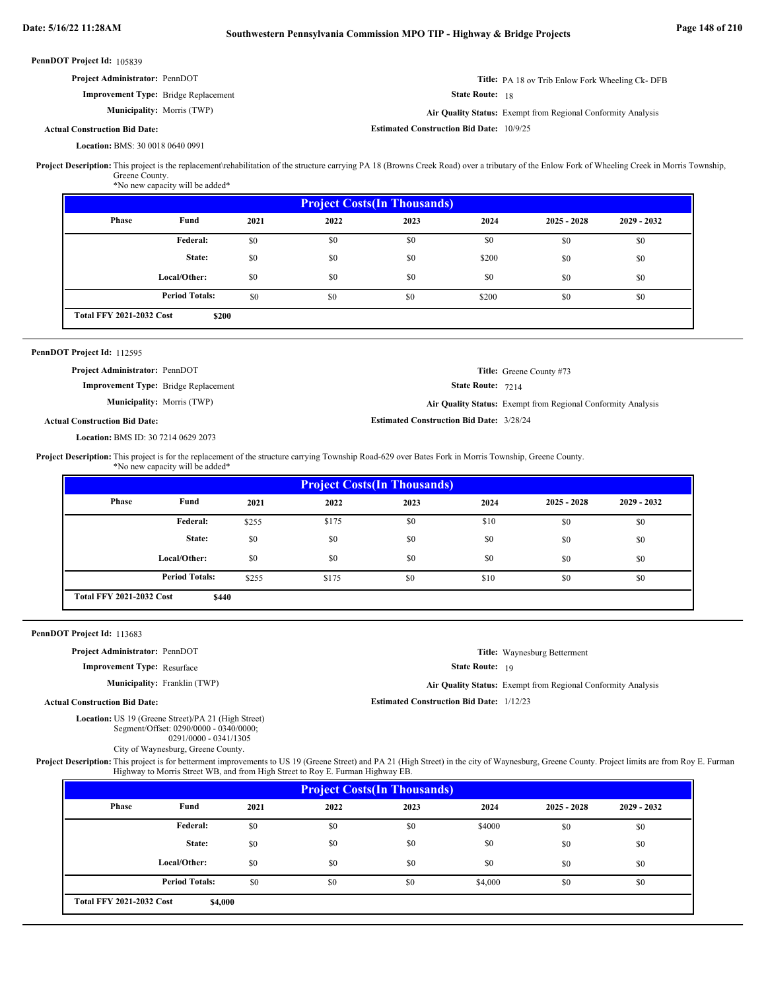| <b>Project Administrator: PennDOT</b>       | <b>Title:</b> PA 18 ov Trib Enlow Fork Wheeling Ck-DFB              |
|---------------------------------------------|---------------------------------------------------------------------|
| <b>Improvement Type:</b> Bridge Replacement | <b>State Route:</b> 18                                              |
| <b>Municipality:</b> Morris (TWP)           | <b>Air Quality Status:</b> Exempt from Regional Conformity Analysis |
| l Construction Bid Date:                    | <b>Estimated Construction Bid Date: 10/9/25</b>                     |

### **Actual Construction Bid Date:**

BMS: 30 0018 0640 0991 **Location:**

**Project Description:** This project is the replacement∖rehabilitation of the structure carrying PA 18 (Browns Creek Road) over a tributary of the Enlow Fork of Wheeling Creek in Morris Township, Greene County.

\*No new capacity will be added\*

| <b>Project Costs (In Thousands)</b> |                       |      |      |      |       |               |               |
|-------------------------------------|-----------------------|------|------|------|-------|---------------|---------------|
| <b>Phase</b>                        | Fund                  | 2021 | 2022 | 2023 | 2024  | $2025 - 2028$ | $2029 - 2032$ |
|                                     | Federal:              | \$0  | \$0  | \$0  | \$0   | \$0           | \$0           |
|                                     | State:                | \$0  | \$0  | \$0  | \$200 | \$0           | \$0           |
|                                     | Local/Other:          | \$0  | \$0  | \$0  | \$0   | \$0           | \$0           |
|                                     | <b>Period Totals:</b> | \$0  | \$0  | \$0  | \$200 | \$0           | \$0           |
| <b>Total FFY 2021-2032 Cost</b>     | \$200                 |      |      |      |       |               |               |

### PennDOT Project Id: 112595

State Route: 7214 **Title:** Greene County #73 **Improvement Type:** Bridge Replacement **Municipality:** Morris (TWP) **Air Quality Status:** Exempt from Regional Conformity Analysis **Project Administrator:** PennDOT

### **Actual Construction Bid Date:**

BMS ID: 30 7214 0629 2073 **Location:**

```
Estimated Construction Bid Date:
3/28/24
```
Project Description: This project is for the replacement of the structure carrying Township Road-629 over Bates Fork in Morris Township, Greene County. \*No new capacity will be added\*

| <b>Project Costs (In Thousands)</b> |                       |       |       |      |      |               |               |
|-------------------------------------|-----------------------|-------|-------|------|------|---------------|---------------|
| Phase                               | Fund                  | 2021  | 2022  | 2023 | 2024 | $2025 - 2028$ | $2029 - 2032$ |
|                                     | <b>Federal:</b>       | \$255 | \$175 | \$0  | \$10 | \$0           | \$0           |
|                                     | State:                | \$0   | \$0   | \$0  | \$0  | \$0           | \$0           |
|                                     | Local/Other:          | \$0   | \$0   | \$0  | \$0  | \$0           | \$0           |
|                                     | <b>Period Totals:</b> | \$255 | \$175 | \$0  | \$10 | \$0           | \$0           |

### PennDOT Project Id: 113683

**Project Administrator:** PennDOT

```
Improvement Type:
Resurface
```
**Municipality:** Franklin (TWP)

```
Title:
Waynesburg Betterment
```
State Route: 19

Franklin (TWP) **Air Quality Status:** Exempt from Regional Conformity Analysis

**Estimated Construction Bid Date:** 1/12/23

### **Actual Construction Bid Date:**

Location: US 19 (Greene Street)/PA 21 (High Street) Segment/Offset: 0290/0000 - 0340/0000;

| $\text{DegHEIIU OTISCI. 0290/0000 - 0340/000$ |                         |  |
|-----------------------------------------------|-------------------------|--|
|                                               | $0291/0000 - 0341/1305$ |  |

City of Waynesburg, Greene County.

Project Description: This project is for betterment improvements to US 19 (Greene Street) and PA 21 (High Street) in the city of Waynesburg, Greene County. Project limits are from Roy E. Furman Highway to Morris Street WB, and from High Street to Roy E. Furman Highway EB.

| <b>Project Costs (In Thousands)</b> |                       |      |      |      |         |               |               |
|-------------------------------------|-----------------------|------|------|------|---------|---------------|---------------|
| Phase                               | Fund                  | 2021 | 2022 | 2023 | 2024    | $2025 - 2028$ | $2029 - 2032$ |
|                                     | Federal:              | \$0  | \$0  | \$0  | \$4000  | \$0           | \$0           |
|                                     | State:                | \$0  | \$0  | \$0  | \$0     | \$0           | \$0           |
|                                     | Local/Other:          | \$0  | \$0  | \$0  | \$0     | \$0           | \$0           |
|                                     | <b>Period Totals:</b> | \$0  | \$0  | \$0  | \$4,000 | \$0           | \$0           |
| <b>Total FFY 2021-2032 Cost</b>     | \$4,000               |      |      |      |         |               |               |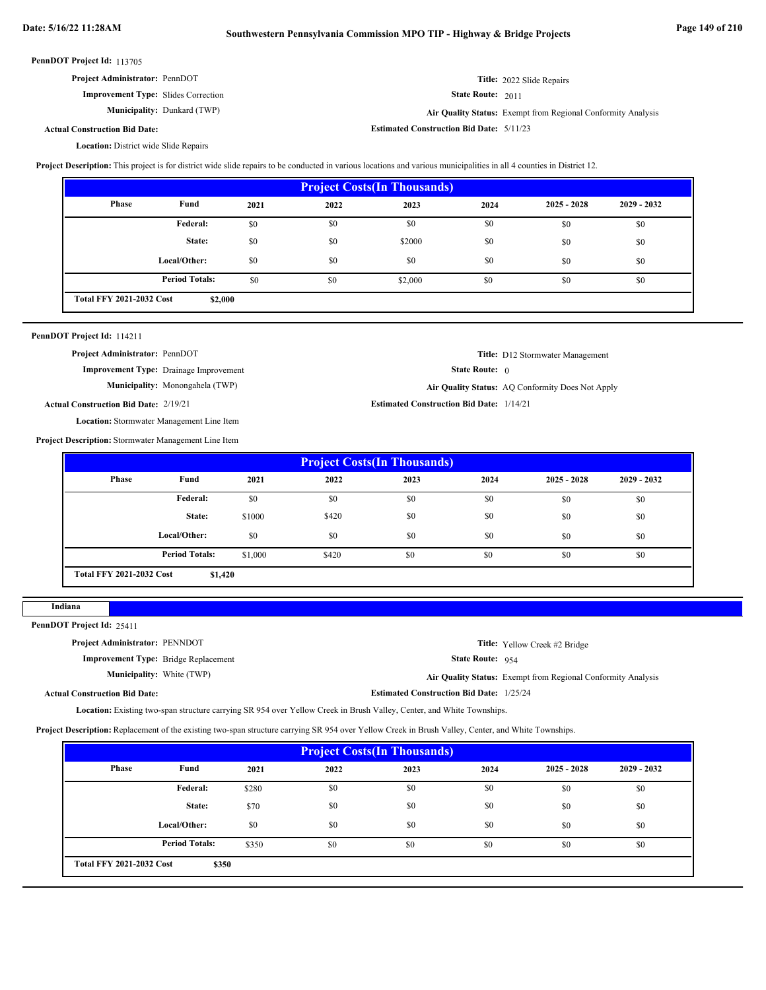**Estimated Construction Bid Date:** 5/11/23

| PennDOT Project Id: 113705 |  |
|----------------------------|--|
|----------------------------|--|

| <b>Project Administrator: PennDOT</b>      | <b>Title:</b> 2022 Slide Repairs                                    |
|--------------------------------------------|---------------------------------------------------------------------|
| <b>Improvement Type:</b> Slides Correction | <b>State Route: 2011</b>                                            |
| <b>Municipality:</b> Dunkard (TWP)         | <b>Air Ouality Status:</b> Exempt from Regional Conformity Analysis |

Dunkard (TWP) **Air Quality Status:** Exempt from Regional Conformity Analysis

**Title:** D12 Stormwater Management

State Route: 0

```
Actual Construction Bid Date:
```
Location: District wide Slide Repairs

Project Description: This project is for district wide slide repairs to be conducted in various locations and various municipalities in all 4 counties in District 12.

| <b>Project Costs (In Thousands)</b> |                       |      |      |         |      |               |               |  |
|-------------------------------------|-----------------------|------|------|---------|------|---------------|---------------|--|
| Phase                               | Fund                  | 2021 | 2022 | 2023    | 2024 | $2025 - 2028$ | $2029 - 2032$ |  |
|                                     | <b>Federal:</b>       | \$0  | \$0  | \$0     | \$0  | \$0           | \$0           |  |
|                                     | State:                | \$0  | \$0  | \$2000  | \$0  | \$0           | \$0           |  |
|                                     | Local/Other:          | \$0  | \$0  | \$0     | \$0  | \$0           | \$0           |  |
|                                     | <b>Period Totals:</b> | \$0  | \$0  | \$2,000 | \$0  | \$0           | \$0           |  |
| <b>Total FFY 2021-2032 Cost</b>     | \$2,000               |      |      |         |      |               |               |  |

|  | PennDOT Project Id: 114211 |  |
|--|----------------------------|--|
|--|----------------------------|--|

**Project Administrator:** PennDOT

**Improvement Type:** Drainage Improvement

**Municipality:**

Monongahela (TWP) **Air Quality Status:** AQ Conformity Does Not Apply

**Estimated Construction Bid Date:** 1/14/21 **Actual Construction Bid Date:**

Location: Stormwater Management Line Item

**Project Description:** Stormwater Management Line Item

| <b>Project Costs (In Thousands)</b>        |                       |         |       |      |      |               |               |
|--------------------------------------------|-----------------------|---------|-------|------|------|---------------|---------------|
| Phase                                      | Fund                  | 2021    | 2022  | 2023 | 2024 | $2025 - 2028$ | $2029 - 2032$ |
|                                            | Federal:              | \$0     | \$0   | \$0  | \$0  | \$0           | \$0           |
|                                            | State:                | \$1000  | \$420 | \$0  | \$0  | \$0           | \$0           |
|                                            | Local/Other:          | \$0     | \$0   | \$0  | \$0  | \$0           | \$0           |
|                                            | <b>Period Totals:</b> | \$1,000 | \$420 | \$0  | \$0  | \$0           | \$0           |
| <b>Total FFY 2021-2032 Cost</b><br>\$1,420 |                       |         |       |      |      |               |               |

**Indiana**

PennDOT Project Id: 25411

| <b>Project Administrator: PENNDOT</b>       |                                                 | <b>Title:</b> Yellow Creek #2 Bridge                         |
|---------------------------------------------|-------------------------------------------------|--------------------------------------------------------------|
| <b>Improvement Type:</b> Bridge Replacement | <b>State Route:</b> $954$                       |                                                              |
| <b>Municipality:</b> White (TWP)            |                                                 | Air Quality Status: Exempt from Regional Conformity Analysis |
| <b>Actual Construction Bid Date:</b>        | <b>Estimated Construction Bid Date: 1/25/24</b> |                                                              |

Location: Existing two-span structure carrying SR 954 over Yellow Creek in Brush Valley, Center, and White Townships.

**Project Description:** Replacement of the existing two-span structure carrying SR 954 over Yellow Creek in Brush Valley, Center, and White Townships.

| <b>Project Costs (In Thousands)</b> |                       |       |      |      |      |               |               |
|-------------------------------------|-----------------------|-------|------|------|------|---------------|---------------|
| Phase                               | Fund                  | 2021  | 2022 | 2023 | 2024 | $2025 - 2028$ | $2029 - 2032$ |
|                                     | <b>Federal:</b>       | \$280 | \$0  | \$0  | \$0  | \$0           | \$0           |
|                                     | State:                | \$70  | \$0  | \$0  | \$0  | \$0           | \$0           |
|                                     | Local/Other:          | \$0   | \$0  | \$0  | \$0  | \$0           | \$0           |
|                                     | <b>Period Totals:</b> | \$350 | \$0  | \$0  | \$0  | \$0           | \$0           |
| <b>Total FFY 2021-2032 Cost</b>     | \$350                 |       |      |      |      |               |               |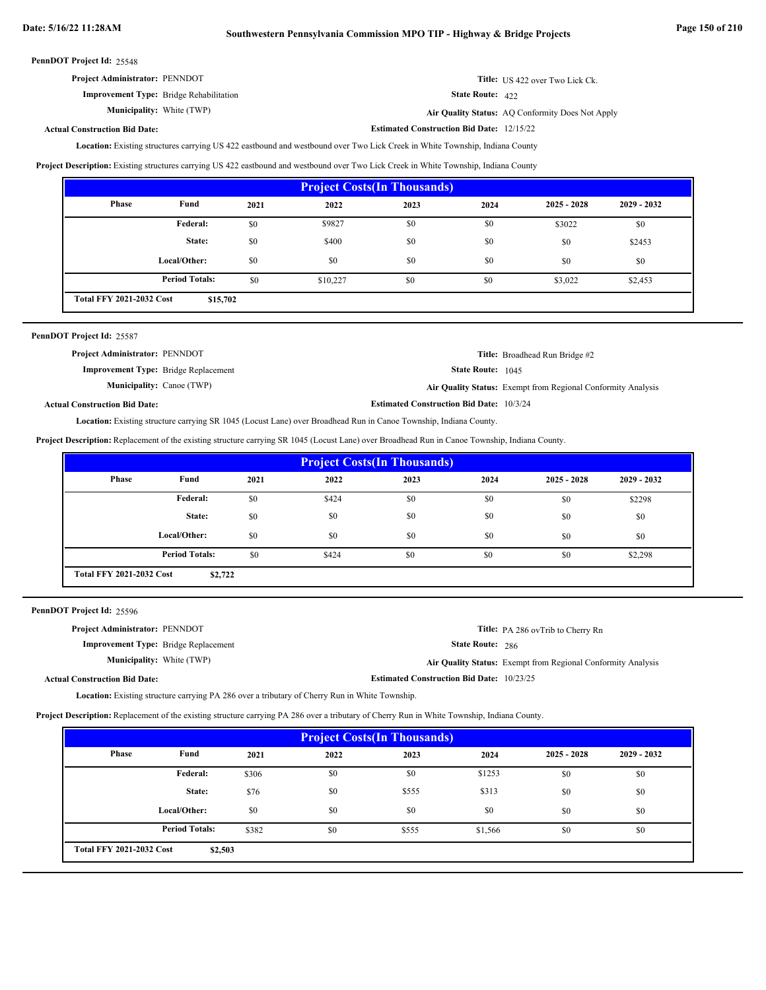| <b>Project Administrator: PENNDOT</b>          | Title: US 422 over Two Lick Ck. |
|------------------------------------------------|---------------------------------|
| <b>Improvement Type:</b> Bridge Rehabilitation | <b>State Route: 422</b>         |

White (TWP) **Air Quality Status:** AQ Conformity Does Not Apply

**Estimated Construction Bid Date:** 12/15/22

### **Actual Construction Bid Date:**

**Municipality:** White (TWP)

Location: Existing structures carrying US 422 eastbound and westbound over Two Lick Creek in White Township, Indiana County

**Project Description:** Existing structures carrying US 422 eastbound and westbound over Two Lick Creek in White Township, Indiana County

| <b>Project Costs (In Thousands)</b>         |                       |      |          |      |      |               |               |
|---------------------------------------------|-----------------------|------|----------|------|------|---------------|---------------|
| <b>Phase</b>                                | Fund                  | 2021 | 2022     | 2023 | 2024 | $2025 - 2028$ | $2029 - 2032$ |
|                                             | <b>Federal:</b>       | \$0  | \$9827   | \$0  | \$0  | \$3022        | \$0           |
|                                             | State:                | \$0  | \$400    | \$0  | \$0  | \$0           | \$2453        |
|                                             | Local/Other:          | \$0  | \$0      | \$0  | \$0  | \$0           | \$0           |
|                                             | <b>Period Totals:</b> | \$0  | \$10,227 | \$0  | \$0  | \$3,022       | \$2,453       |
| <b>Total FFY 2021-2032 Cost</b><br>\$15,702 |                       |      |          |      |      |               |               |

| PennDOT Project Id: 25587                   |                                                 |                                                              |
|---------------------------------------------|-------------------------------------------------|--------------------------------------------------------------|
| <b>Project Administrator: PENNDOT</b>       |                                                 | <b>Title:</b> Broadhead Run Bridge #2                        |
| <b>Improvement Type:</b> Bridge Replacement | <b>State Route:</b> 1045                        |                                                              |
| <b>Municipality:</b> Canoe (TWP)            |                                                 | Air Quality Status: Exempt from Regional Conformity Analysis |
| <b>Actual Construction Bid Date:</b>        | <b>Estimated Construction Bid Date: 10/3/24</b> |                                                              |

Existing structure carrying SR 1045 (Locust Lane) over Broadhead Run in Canoe Township, Indiana County. **Location:**

**Project Description:** Replacement of the existing structure carrying SR 1045 (Locust Lane) over Broadhead Run in Canoe Township, Indiana County.

| <b>Project Costs (In Thousands)</b> |                       |      |       |      |      |               |               |
|-------------------------------------|-----------------------|------|-------|------|------|---------------|---------------|
| Phase                               | Fund                  | 2021 | 2022  | 2023 | 2024 | $2025 - 2028$ | $2029 - 2032$ |
|                                     | Federal:              | \$0  | \$424 | \$0  | \$0  | \$0           | \$2298        |
|                                     | State:                | \$0  | \$0   | \$0  | \$0  | \$0           | \$0           |
|                                     | Local/Other:          | \$0  | \$0   | \$0  | \$0  | \$0           | \$0           |
|                                     | <b>Period Totals:</b> | \$0  | \$424 | \$0  | \$0  | \$0           | \$2,298       |
| <b>Total FFY 2021-2032 Cost</b>     | \$2,722               |      |       |      |      |               |               |

PennDOT Project Id: 25596

| <b>Project Administrator: PENNDOT</b>       |                                                  | <b>Title:</b> PA 286 ovTrib to Cherry Rn                            |
|---------------------------------------------|--------------------------------------------------|---------------------------------------------------------------------|
| <b>Improvement Type:</b> Bridge Replacement | <b>State Route: 286</b>                          |                                                                     |
| <b>Municipality:</b> White (TWP)            |                                                  | <b>Air Quality Status:</b> Exempt from Regional Conformity Analysis |
| al Construction Bid Date:                   | <b>Estimated Construction Bid Date: 10/23/25</b> |                                                                     |

Actu

**Location:** Existing structure carrying PA 286 over a tributary of Cherry Run in White Township.

**Project Description:** Replacement of the existing structure carrying PA 286 over a tributary of Cherry Run in White Township, Indiana County.

| <b>Project Costs (In Thousands)</b>        |                       |       |      |       |         |               |               |
|--------------------------------------------|-----------------------|-------|------|-------|---------|---------------|---------------|
| <b>Phase</b>                               | Fund                  | 2021  | 2022 | 2023  | 2024    | $2025 - 2028$ | $2029 - 2032$ |
|                                            | Federal:              | \$306 | \$0  | \$0   | \$1253  | \$0           | \$0           |
|                                            | State:                | \$76  | \$0  | \$555 | \$313   | \$0           | \$0           |
|                                            | Local/Other:          | \$0   | \$0  | \$0   | \$0     | \$0           | \$0           |
|                                            | <b>Period Totals:</b> | \$382 | \$0  | \$555 | \$1,566 | \$0           | \$0           |
| <b>Total FFY 2021-2032 Cost</b><br>\$2,503 |                       |       |      |       |         |               |               |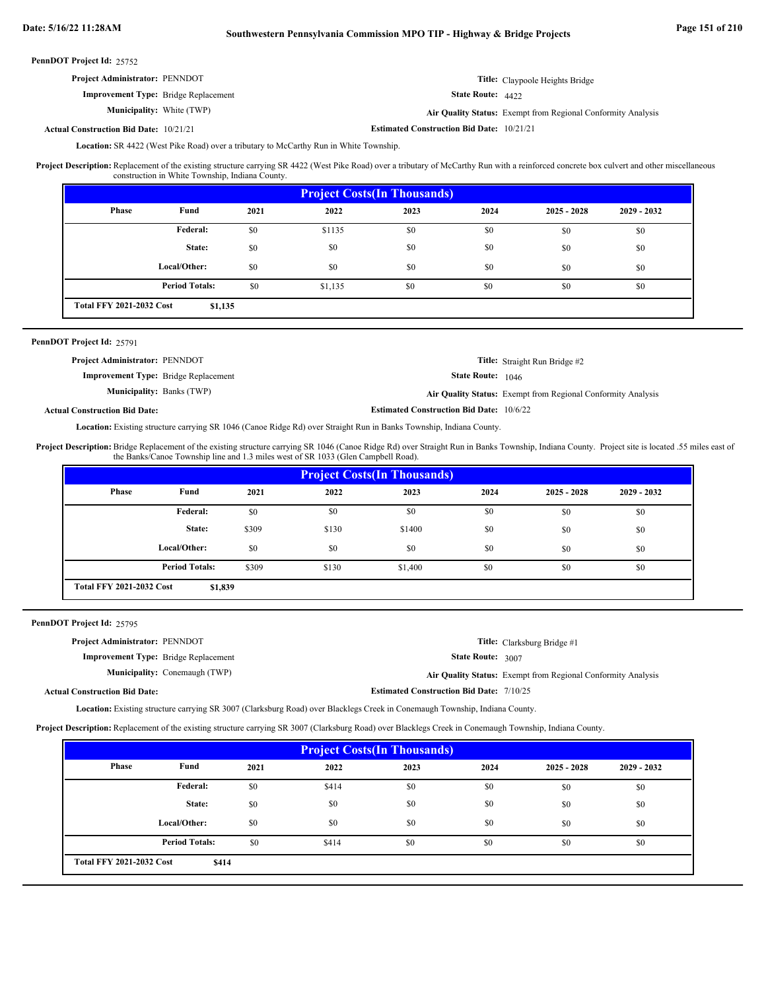| PennDOT Project Id: 25752                     |                                                  |                                                              |
|-----------------------------------------------|--------------------------------------------------|--------------------------------------------------------------|
| <b>Project Administrator: PENNDOT</b>         |                                                  | <b>Title:</b> Claypoole Heights Bridge                       |
| <b>Improvement Type:</b> Bridge Replacement   | <b>State Route: 4422</b>                         |                                                              |
| <b>Municipality:</b> White (TWP)              |                                                  | Air Quality Status: Exempt from Regional Conformity Analysis |
| <b>Actual Construction Bid Date: 10/21/21</b> | <b>Estimated Construction Bid Date: 10/21/21</b> |                                                              |

Location: SR 4422 (West Pike Road) over a tributary to McCarthy Run in White Township.

Replacement of the existing structure carrying SR 4422 (West Pike Road) over a tributary of McCarthy Run with a reinforced concrete box culvert and other miscellaneous construction in White Township, Indiana County. **Project Description:**

| <b>Project Costs (In Thousands)</b>        |                       |      |         |      |      |               |               |
|--------------------------------------------|-----------------------|------|---------|------|------|---------------|---------------|
| <b>Phase</b>                               | Fund                  | 2021 | 2022    | 2023 | 2024 | $2025 - 2028$ | $2029 - 2032$ |
|                                            | Federal:              | \$0  | \$1135  | \$0  | \$0  | \$0           | \$0           |
|                                            | State:                | \$0  | \$0     | \$0  | \$0  | \$0           | \$0           |
|                                            | Local/Other:          | \$0  | \$0     | \$0  | \$0  | \$0           | \$0           |
|                                            | <b>Period Totals:</b> | \$0  | \$1,135 | \$0  | \$0  | \$0           | \$0           |
| <b>Total FFY 2021-2032 Cost</b><br>\$1,135 |                       |      |         |      |      |               |               |

### PennDOT Project Id: 25791

| <b>Project Administrator: PENNDOT</b>       |                                                 | <b>Title:</b> Straight Run Bridge #2                         |
|---------------------------------------------|-------------------------------------------------|--------------------------------------------------------------|
| <b>Improvement Type:</b> Bridge Replacement | <b>State Route:</b> 1046                        |                                                              |
| <b>Municipality: Banks (TWP)</b>            |                                                 | Air Quality Status: Exempt from Regional Conformity Analysis |
| <b>Actual Construction Bid Date:</b>        | <b>Estimated Construction Bid Date: 10/6/22</b> |                                                              |

Location: Existing structure carrying SR 1046 (Canoe Ridge Rd) over Straight Run in Banks Township, Indiana County.

Bridge Replacement of the existing structure carrying SR 1046 (Canoe Ridge Rd) over Straight Run in Banks Township, Indiana County. Project site is located .55 miles east of the Banks/Canoe Township line and 1.3 miles west of SR 1033 (Glen Campbell Road). **Project Description:**

| <b>Project Costs (In Thousands)</b>        |                       |       |       |         |      |               |               |
|--------------------------------------------|-----------------------|-------|-------|---------|------|---------------|---------------|
| Phase                                      | Fund                  | 2021  | 2022  | 2023    | 2024 | $2025 - 2028$ | $2029 - 2032$ |
|                                            | Federal:              | \$0   | \$0   | \$0     | \$0  | \$0           | \$0           |
|                                            | State:                | \$309 | \$130 | \$1400  | \$0  | \$0           | \$0           |
|                                            | Local/Other:          | \$0   | \$0   | \$0     | \$0  | \$0           | \$0           |
|                                            | <b>Period Totals:</b> | \$309 | \$130 | \$1,400 | \$0  | \$0           | \$0           |
| <b>Total FFY 2021-2032 Cost</b><br>\$1,839 |                       |       |       |         |      |               |               |

PennDOT Project Id: 25795

| <b>Project Administrator: PENNDOT</b>       |                                      |                                                 | <b>Title:</b> Clarksburg Bridge #1                           |
|---------------------------------------------|--------------------------------------|-------------------------------------------------|--------------------------------------------------------------|
| <b>Improvement Type:</b> Bridge Replacement |                                      | <b>State Route: 3007</b>                        |                                                              |
|                                             | <b>Municipality:</b> Conemaugh (TWP) |                                                 | Air Quality Status: Exempt from Regional Conformity Analysis |
| <b>Actual Construction Bid Date:</b>        |                                      | <b>Estimated Construction Bid Date: 7/10/25</b> |                                                              |
|                                             |                                      |                                                 |                                                              |

Location: Existing structure carrying SR 3007 (Clarksburg Road) over Blacklegs Creek in Conemaugh Township, Indiana County.

**Project Description:** Replacement of the existing structure carrying SR 3007 (Clarksburg Road) over Blacklegs Creek in Conemaugh Township, Indiana County.

| <b>Project Costs (In Thousands)</b>      |                       |      |       |      |      |               |               |
|------------------------------------------|-----------------------|------|-------|------|------|---------------|---------------|
| <b>Phase</b>                             | Fund                  | 2021 | 2022  | 2023 | 2024 | $2025 - 2028$ | $2029 - 2032$ |
|                                          | <b>Federal:</b>       | \$0  | \$414 | \$0  | \$0  | \$0           | \$0           |
|                                          | State:                | \$0  | \$0   | \$0  | \$0  | \$0           | \$0           |
|                                          | Local/Other:          | \$0  | \$0   | \$0  | \$0  | \$0           | \$0           |
|                                          | <b>Period Totals:</b> | \$0  | \$414 | \$0  | \$0  | \$0           | \$0           |
| <b>Total FFY 2021-2032 Cost</b><br>\$414 |                       |      |       |      |      |               |               |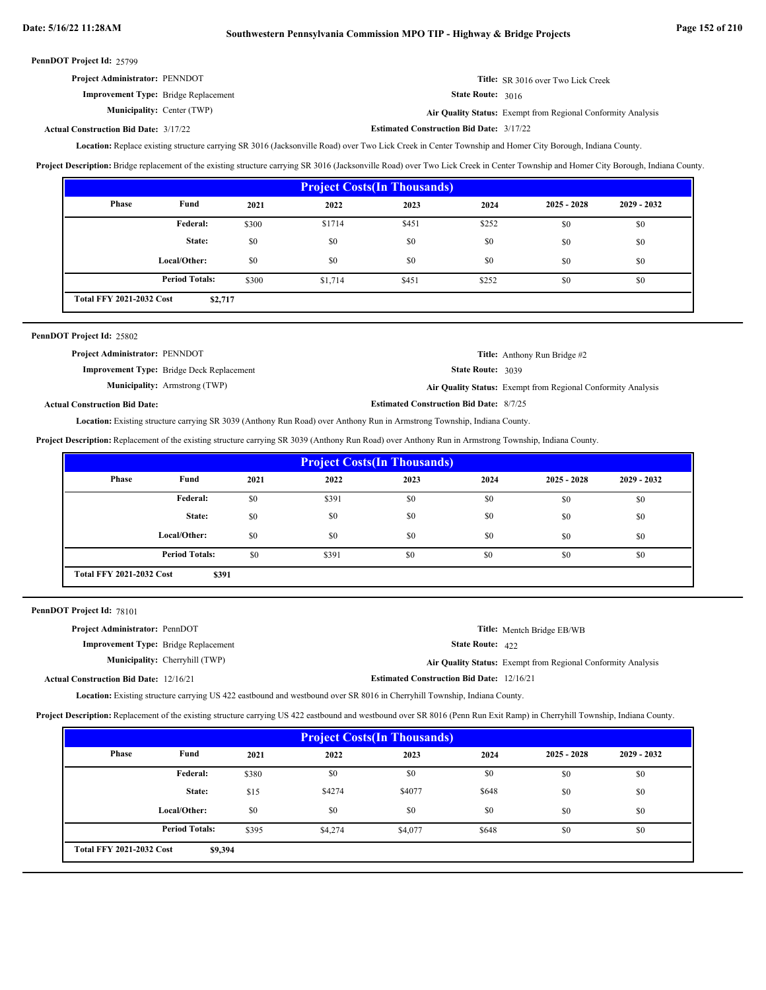| <b>Project Administrator: PENNDOT</b>       | <b>Title:</b> SR 3016 over Two Lick Creek                    |
|---------------------------------------------|--------------------------------------------------------------|
| <b>Improvement Type:</b> Bridge Replacement | <b>State Route:</b> $3016$                                   |
| <b>Municipality:</b> Center (TWP)           | Air Quality Status: Exempt from Regional Conformity Analysis |

Center (TWP) **Air Quality Status:** Exempt from Regional Conformity Analysis

#### **Estimated Construction Bid Date:** 3/17/22 3/17/22 **Actual Construction Bid Date:**

Location: Replace existing structure carrying SR 3016 (Jacksonville Road) over Two Lick Creek in Center Township and Homer City Borough, Indiana County.

**Project Description:** Bridge replacement of the existing structure carrying SR 3016 (Jacksonville Road) over Two Lick Creek in Center Township and Homer City Borough, Indiana County.

| <b>Project Costs (In Thousands)</b>        |                       |       |         |       |       |               |               |
|--------------------------------------------|-----------------------|-------|---------|-------|-------|---------------|---------------|
| <b>Phase</b>                               | Fund                  | 2021  | 2022    | 2023  | 2024  | $2025 - 2028$ | $2029 - 2032$ |
|                                            | Federal:              | \$300 | \$1714  | \$451 | \$252 | \$0           | \$0           |
|                                            | State:                | \$0   | \$0     | \$0   | \$0   | \$0           | \$0           |
|                                            | Local/Other:          | \$0   | \$0     | \$0   | \$0   | \$0           | \$0           |
|                                            | <b>Period Totals:</b> | \$300 | \$1,714 | \$451 | \$252 | \$0           | \$0           |
| <b>Total FFY 2021-2032 Cost</b><br>\$2,717 |                       |       |         |       |       |               |               |

| PennDOT Project Id: 25802             |                                                  |                                                |                                                              |
|---------------------------------------|--------------------------------------------------|------------------------------------------------|--------------------------------------------------------------|
| <b>Project Administrator: PENNDOT</b> |                                                  |                                                | <b>Title:</b> Anthony Run Bridge #2                          |
|                                       | <b>Improvement Type:</b> Bridge Deck Replacement | <b>State Route: 3039</b>                       |                                                              |
|                                       | <b>Municipality:</b> Armstrong (TWP)             |                                                | Air Quality Status: Exempt from Regional Conformity Analysis |
| <b>Actual Construction Bid Date:</b>  |                                                  | <b>Estimated Construction Bid Date: 8/7/25</b> |                                                              |

Location: Existing structure carrying SR 3039 (Anthony Run Road) over Anthony Run in Armstrong Township, Indiana County.

**Project Description:** Replacement of the existing structure carrying SR 3039 (Anthony Run Road) over Anthony Run in Armstrong Township, Indiana County.

| <b>Project Costs(In Thousands)</b> |                       |      |       |      |      |               |               |
|------------------------------------|-----------------------|------|-------|------|------|---------------|---------------|
| Phase                              | Fund                  | 2021 | 2022  | 2023 | 2024 | $2025 - 2028$ | $2029 - 2032$ |
|                                    | Federal:              | \$0  | \$391 | \$0  | \$0  | \$0           | \$0           |
|                                    | State:                | \$0  | \$0   | \$0  | \$0  | \$0           | \$0           |
|                                    | Local/Other:          | \$0  | \$0   | \$0  | \$0  | \$0           | \$0           |
|                                    | <b>Period Totals:</b> | \$0  | \$391 | \$0  | \$0  | \$0           | \$0           |
| <b>Total FFY 2021-2032 Cost</b>    | \$391                 |      |       |      |      |               |               |

PennDOT Project Id: 78101

| <b>Project Administrator: PennDOT</b>         |                                       |                                                  | <b>Title:</b> Mentch Bridge EB/WB                            |
|-----------------------------------------------|---------------------------------------|--------------------------------------------------|--------------------------------------------------------------|
| <b>Improvement Type:</b> Bridge Replacement   |                                       | <b>State Route:</b> $422$                        |                                                              |
|                                               | <b>Municipality:</b> Cherryhill (TWP) |                                                  | Air Quality Status: Exempt from Regional Conformity Analysis |
| <b>Actual Construction Bid Date: 12/16/21</b> |                                       | <b>Estimated Construction Bid Date: 12/16/21</b> |                                                              |

Location: Existing structure carrying US 422 eastbound and westbound over SR 8016 in Cherryhill Township, Indiana County.

**Project Description:** Replacement of the existing structure carrying US 422 eastbound and westbound over SR 8016 (Penn Run Exit Ramp) in Cherryhill Township, Indiana County.

| <b>Project Costs (In Thousands)</b>        |                       |       |         |         |       |               |               |
|--------------------------------------------|-----------------------|-------|---------|---------|-------|---------------|---------------|
| Phase                                      | Fund                  | 2021  | 2022    | 2023    | 2024  | $2025 - 2028$ | $2029 - 2032$ |
|                                            | <b>Federal:</b>       | \$380 | \$0     | \$0     | \$0   | \$0           | \$0           |
|                                            | State:                | \$15  | \$4274  | \$4077  | \$648 | \$0           | \$0           |
|                                            | Local/Other:          | \$0   | \$0     | \$0     | \$0   | \$0           | \$0           |
|                                            | <b>Period Totals:</b> | \$395 | \$4,274 | \$4,077 | \$648 | \$0           | \$0           |
| <b>Total FFY 2021-2032 Cost</b><br>\$9,394 |                       |       |         |         |       |               |               |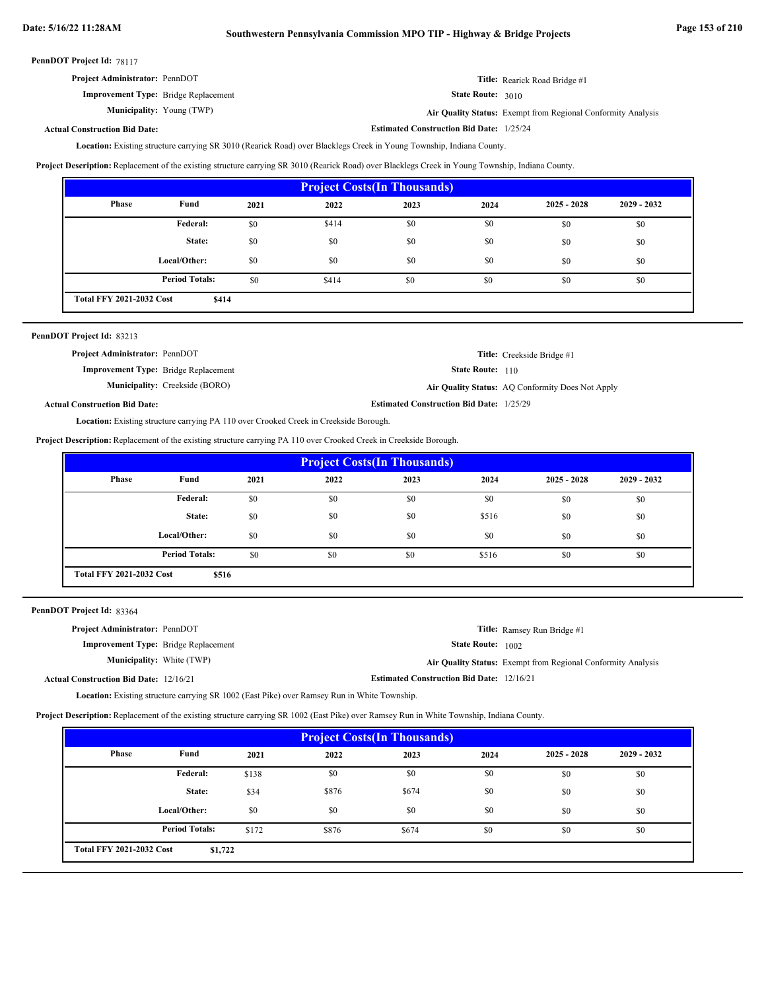**Estimated Construction Bid Date:** 1/25/24

PennDOT Project Id: 78117

| <b>Project Administrator: PennDOT</b>       | Title: Rearick Road Bridge #1 |
|---------------------------------------------|-------------------------------|
| <b>Improvement Type:</b> Bridge Replacement | <b>State Route:</b> $3010$    |

**Municipality:**

State Route: 3010

Young (TWP) **Air Quality Status:** Exempt from Regional Conformity Analysis

### **Actual Construction Bid Date:**

Location: Existing structure carrying SR 3010 (Rearick Road) over Blacklegs Creek in Young Township, Indiana County.

**Project Description:** Replacement of the existing structure carrying SR 3010 (Rearick Road) over Blacklegs Creek in Young Township, Indiana County.

| <b>Project Costs (In Thousands)</b> |                                          |      |       |      |      |               |               |
|-------------------------------------|------------------------------------------|------|-------|------|------|---------------|---------------|
| <b>Phase</b>                        | Fund                                     | 2021 | 2022  | 2023 | 2024 | $2025 - 2028$ | $2029 - 2032$ |
|                                     | Federal:                                 | \$0  | \$414 | \$0  | \$0  | \$0           | \$0           |
|                                     | State:                                   | \$0  | \$0   | \$0  | \$0  | \$0           | \$0           |
|                                     | Local/Other:                             | \$0  | \$0   | \$0  | \$0  | \$0           | \$0           |
|                                     | <b>Period Totals:</b>                    | \$0  | \$414 | \$0  | \$0  | \$0           | \$0           |
|                                     | <b>Total FFY 2021-2032 Cost</b><br>\$414 |      |       |      |      |               |               |

| PennDOT Project Id: 83213                   |                                       |                                                 |                                                  |
|---------------------------------------------|---------------------------------------|-------------------------------------------------|--------------------------------------------------|
| <b>Project Administrator: PennDOT</b>       |                                       |                                                 | <b>Title:</b> Creekside Bridge #1                |
| <b>Improvement Type:</b> Bridge Replacement |                                       | <b>State Route:</b> 110                         |                                                  |
|                                             | <b>Municipality:</b> Creekside (BORO) |                                                 | Air Quality Status: AQ Conformity Does Not Apply |
| <b>Actual Construction Bid Date:</b>        |                                       | <b>Estimated Construction Bid Date: 1/25/29</b> |                                                  |

Location: Existing structure carrying PA 110 over Crooked Creek in Creekside Borough.

**Project Description:** Replacement of the existing structure carrying PA 110 over Crooked Creek in Creekside Borough.

| <b>Project Costs (In Thousands)</b>                        |              |      |      |      |       |               |               |
|------------------------------------------------------------|--------------|------|------|------|-------|---------------|---------------|
| <b>Phase</b>                                               | Fund         | 2021 | 2022 | 2023 | 2024  | $2025 - 2028$ | $2029 - 2032$ |
|                                                            | Federal:     | \$0  | \$0  | \$0  | \$0   | \$0           | \$0           |
|                                                            | State:       | \$0  | \$0  | \$0  | \$516 | \$0           | \$0           |
|                                                            | Local/Other: | \$0  | \$0  | \$0  | \$0   | \$0           | \$0           |
| <b>Period Totals:</b><br>\$0<br>\$0<br>\$0<br>\$516<br>\$0 |              |      |      |      | \$0   |               |               |
| <b>Total FFY 2021-2032 Cost</b><br>\$516                   |              |      |      |      |       |               |               |

PennDOT Project Id: 83364

| <b>Project Administrator: PennDOT</b>         |                                                  | <b>Title:</b> Ramsey Run Bridge #1                           |
|-----------------------------------------------|--------------------------------------------------|--------------------------------------------------------------|
| <b>Improvement Type:</b> Bridge Replacement   | <b>State Route:</b> 1002                         |                                                              |
| <b>Municipality:</b> White (TWP)              |                                                  | Air Quality Status: Exempt from Regional Conformity Analysis |
| <b>Actual Construction Bid Date: 12/16/21</b> | <b>Estimated Construction Bid Date: 12/16/21</b> |                                                              |

**Location:** Existing structure carrying SR 1002 (East Pike) over Ramsey Run in White Township.

**Project Description:** Replacement of the existing structure carrying SR 1002 (East Pike) over Ramsey Run in White Township, Indiana County.

| <b>Project Costs (In Thousands)</b>        |                       |       |       |       |      |               |               |
|--------------------------------------------|-----------------------|-------|-------|-------|------|---------------|---------------|
| <b>Phase</b>                               | Fund                  | 2021  | 2022  | 2023  | 2024 | $2025 - 2028$ | $2029 - 2032$ |
|                                            | Federal:              | \$138 | \$0   | \$0   | \$0  | \$0           | \$0           |
|                                            | State:                | \$34  | \$876 | \$674 | \$0  | \$0           | \$0           |
|                                            | Local/Other:          | \$0   | \$0   | \$0   | \$0  | \$0           | \$0           |
|                                            | <b>Period Totals:</b> | \$172 | \$876 | \$674 | \$0  | \$0           | \$0           |
| <b>Total FFY 2021-2032 Cost</b><br>\$1,722 |                       |       |       |       |      |               |               |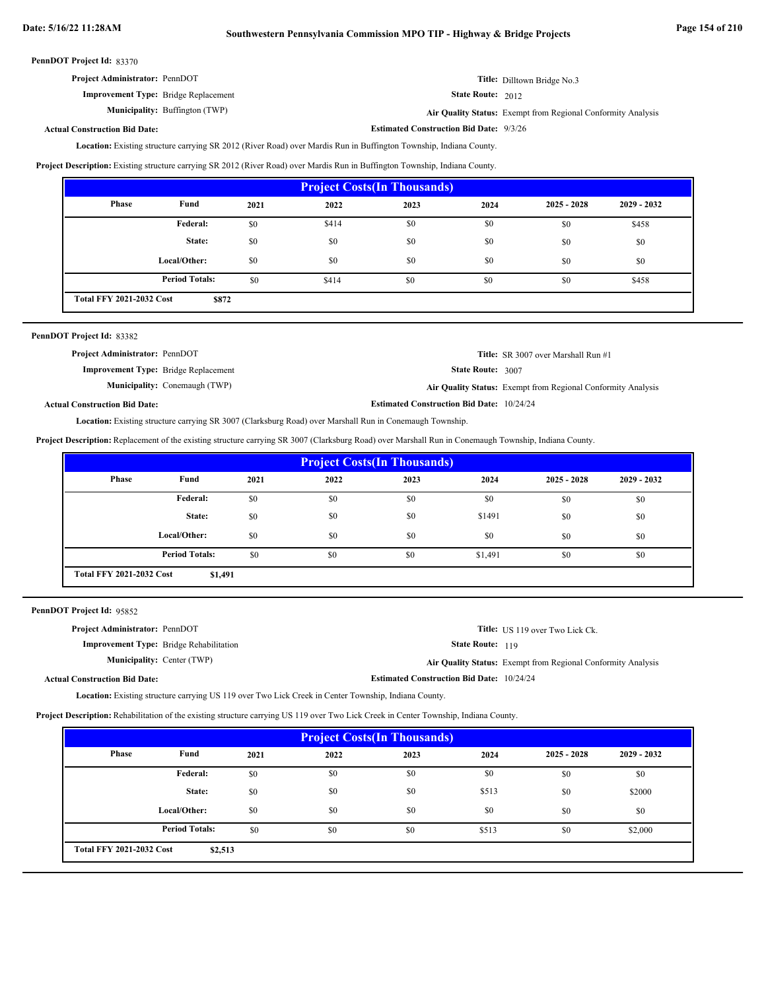| <b>Project Administrator: PennDOT</b>       | Title: Dilltown Bridge No.3 |
|---------------------------------------------|-----------------------------|
| <b>Improvement Type:</b> Bridge Replacement | <b>State Route:</b> $2012$  |

**Municipality:** Buffington (TWP) Buffington (TWP) **Air Quality Status:** Exempt from Regional Conformity Analysis

**Estimated Construction Bid Date:** 9/3/26

**Actual Construction Bid Date:**

Existing structure carrying SR 2012 (River Road) over Mardis Run in Buffington Township, Indiana County. **Location:**

**Project Description:** Existing structure carrying SR 2012 (River Road) over Mardis Run in Buffington Township, Indiana County.

| <b>Project Costs (In Thousands)</b>      |                       |      |       |      |      |               |               |
|------------------------------------------|-----------------------|------|-------|------|------|---------------|---------------|
| <b>Phase</b>                             | Fund                  | 2021 | 2022  | 2023 | 2024 | $2025 - 2028$ | $2029 - 2032$ |
|                                          | Federal:              | \$0  | \$414 | \$0  | \$0  | \$0           | \$458         |
|                                          | State:                | \$0  | \$0   | \$0  | \$0  | \$0           | \$0           |
|                                          | Local/Other:          | \$0  | \$0   | \$0  | \$0  | \$0           | \$0           |
|                                          | <b>Period Totals:</b> | \$0  | \$414 | \$0  | \$0  | \$0           | \$458         |
| <b>Total FFY 2021-2032 Cost</b><br>\$872 |                       |      |       |      |      |               |               |

| PennDOT Project Id: 83382                   |                                      |                                                  |                                                              |
|---------------------------------------------|--------------------------------------|--------------------------------------------------|--------------------------------------------------------------|
| <b>Project Administrator: PennDOT</b>       |                                      |                                                  | <b>Title:</b> SR 3007 over Marshall Run #1                   |
| <b>Improvement Type:</b> Bridge Replacement |                                      | <b>State Route: 3007</b>                         |                                                              |
|                                             | <b>Municipality:</b> Conemaugh (TWP) |                                                  | Air Quality Status: Exempt from Regional Conformity Analysis |
| <b>Actual Construction Bid Date:</b>        |                                      | <b>Estimated Construction Bid Date: 10/24/24</b> |                                                              |

Location: Existing structure carrying SR 3007 (Clarksburg Road) over Marshall Run in Conemaugh Township.

**Project Description:** Replacement of the existing structure carrying SR 3007 (Clarksburg Road) over Marshall Run in Conemaugh Township, Indiana County.

| <b>Project Costs (In Thousands)</b>        |                       |      |      |      |         |               |               |
|--------------------------------------------|-----------------------|------|------|------|---------|---------------|---------------|
| Phase                                      | Fund                  | 2021 | 2022 | 2023 | 2024    | $2025 - 2028$ | $2029 - 2032$ |
|                                            | Federal:              | \$0  | \$0  | \$0  | \$0     | \$0           | \$0           |
|                                            | State:                | \$0  | \$0  | \$0  | \$1491  | \$0           | \$0           |
|                                            | Local/Other:          | \$0  | \$0  | \$0  | \$0     | \$0           | \$0           |
|                                            | <b>Period Totals:</b> | \$0  | \$0  | \$0  | \$1,491 | \$0           | \$0           |
| <b>Total FFY 2021-2032 Cost</b><br>\$1,491 |                       |      |      |      |         |               |               |

PennDOT Project Id: 95852

| <b>Project Administrator: PennDOT</b>          |                                                  | <b>Title:</b> US 119 over Two Lick Ck.                              |
|------------------------------------------------|--------------------------------------------------|---------------------------------------------------------------------|
| <b>Improvement Type:</b> Bridge Rehabilitation | <b>State Route: 119</b>                          |                                                                     |
| <b>Municipality:</b> Center (TWP)              |                                                  | <b>Air Quality Status:</b> Exempt from Regional Conformity Analysis |
| <b>Actual Construction Bid Date:</b>           | <b>Estimated Construction Bid Date: 10/24/24</b> |                                                                     |

**Location:** Existing structure carrying US 119 over Two Lick Creek in Center Township, Indiana County.

**Project Description:** Rehabilitation of the existing structure carrying US 119 over Two Lick Creek in Center Township, Indiana County.

| <b>Project Costs (In Thousands)</b>        |                       |      |      |      |       |               |               |
|--------------------------------------------|-----------------------|------|------|------|-------|---------------|---------------|
| <b>Phase</b>                               | Fund                  | 2021 | 2022 | 2023 | 2024  | $2025 - 2028$ | $2029 - 2032$ |
|                                            | Federal:              | \$0  | \$0  | \$0  | \$0   | \$0           | \$0           |
|                                            | State:                | \$0  | \$0  | \$0  | \$513 | \$0           | \$2000        |
|                                            | Local/Other:          | \$0  | \$0  | \$0  | \$0   | \$0           | \$0           |
|                                            | <b>Period Totals:</b> | \$0  | \$0  | \$0  | \$513 | \$0           | \$2,000       |
| <b>Total FFY 2021-2032 Cost</b><br>\$2,513 |                       |      |      |      |       |               |               |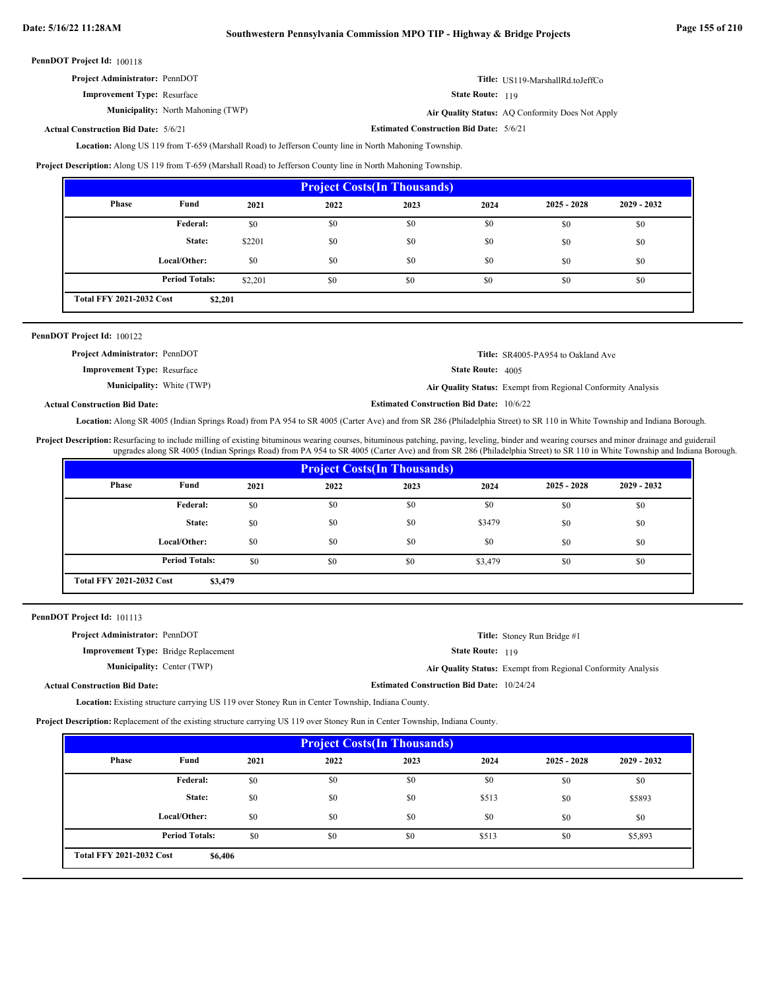| <b>Project Administrator: PennDOT</b> | Title: US119-MarshallRd.toJeffCo |
|---------------------------------------|----------------------------------|
| <b>Improvement Type: Resurface</b>    | <b>State Route: 119</b>          |

**Municipality:** North Mahoning (TWP) **Air Quality Status:** 

Air Quality Status: AQ Conformity Does Not Apply

**Actual Construction Bid Date:**

**Estimated Construction Bid Date:** 5/6/21 5/6/21

Location: Along US 119 from T-659 (Marshall Road) to Jefferson County line in North Mahoning Township.

**Project Description:** Along US 119 from T-659 (Marshall Road) to Jefferson County line in North Mahoning Township.

| <b>Project Costs (In Thousands)</b>        |                       |         |      |      |      |               |               |
|--------------------------------------------|-----------------------|---------|------|------|------|---------------|---------------|
| <b>Phase</b>                               | Fund                  | 2021    | 2022 | 2023 | 2024 | $2025 - 2028$ | $2029 - 2032$ |
|                                            | <b>Federal:</b>       | \$0     | \$0  | \$0  | \$0  | \$0           | \$0           |
|                                            | State:                | \$2201  | \$0  | \$0  | \$0  | \$0           | \$0           |
|                                            | Local/Other:          | \$0     | \$0  | \$0  | \$0  | \$0           | \$0           |
|                                            | <b>Period Totals:</b> | \$2,201 | \$0  | \$0  | \$0  | \$0           | \$0           |
| <b>Total FFY 2021-2032 Cost</b><br>\$2,201 |                       |         |      |      |      |               |               |

| <b>PennDOT Project Id: 100122</b>     |                                                              |
|---------------------------------------|--------------------------------------------------------------|
| <b>Project Administrator: PennDOT</b> | Title: SR4005-PA954 to Oakland Ave                           |
| <b>Improvement Type:</b> Resurface    | <b>State Route:</b> 4005                                     |
| <b>Municipality:</b> White (TWP)      | Air Quality Status: Exempt from Regional Conformity Analysis |

**Actual Construction Bid Date:**

Location: Along SR 4005 (Indian Springs Road) from PA 954 to SR 4005 (Carter Ave) and from SR 286 (Philadelphia Street) to SR 110 in White Township and Indiana Borough.

**Estimated Construction Bid Date:** 10/6/22

Project Description: Resurfacing to include milling of existing bituminous wearing courses, bituminous patching, paving, leveling, binder and wearing courses and minor drainage and guiderail upgrades along SR 4005 (Indian Springs Road) from PA 954 to SR 4005 (Carter Ave) and from SR 286 (Philadelphia Street) to SR 110 in White Township and Indiana Borough.

| <b>Project Costs (In Thousands)</b>        |                       |      |      |      |         |               |               |
|--------------------------------------------|-----------------------|------|------|------|---------|---------------|---------------|
| Phase                                      | Fund                  | 2021 | 2022 | 2023 | 2024    | $2025 - 2028$ | $2029 - 2032$ |
|                                            | <b>Federal:</b>       | \$0  | \$0  | \$0  | \$0     | \$0           | \$0           |
|                                            | State:                | \$0  | \$0  | \$0  | \$3479  | \$0           | \$0           |
|                                            | Local/Other:          | \$0  | \$0  | \$0  | \$0     | \$0           | \$0           |
|                                            | <b>Period Totals:</b> | \$0  | \$0  | \$0  | \$3,479 | \$0           | \$0           |
| <b>Total FFY 2021-2032 Cost</b><br>\$3,479 |                       |      |      |      |         |               |               |

| PennDOT Project Id: 101113 |  |  |
|----------------------------|--|--|
|----------------------------|--|--|

| <b>Project Administrator: PennDOT</b>       |                                                  | <b>Title:</b> Stoney Run Bridge #1                           |
|---------------------------------------------|--------------------------------------------------|--------------------------------------------------------------|
| <b>Improvement Type:</b> Bridge Replacement | <b>State Route: 119</b>                          |                                                              |
| <b>Municipality:</b> Center (TWP)           |                                                  | Air Quality Status: Exempt from Regional Conformity Analysis |
| <b>Actual Construction Bid Date:</b>        | <b>Estimated Construction Bid Date: 10/24/24</b> |                                                              |

Location: Existing structure carrying US 119 over Stoney Run in Center Township, Indiana County.

**Project Description:** Replacement of the existing structure carrying US 119 over Stoney Run in Center Township, Indiana County.

| <b>Project Costs (In Thousands)</b>        |                       |      |      |      |       |               |               |
|--------------------------------------------|-----------------------|------|------|------|-------|---------------|---------------|
| Phase                                      | Fund                  | 2021 | 2022 | 2023 | 2024  | $2025 - 2028$ | $2029 - 2032$ |
|                                            | <b>Federal:</b>       | \$0  | \$0  | \$0  | \$0   | \$0           | \$0           |
|                                            | State:                | \$0  | \$0  | \$0  | \$513 | \$0           | \$5893        |
|                                            | Local/Other:          | \$0  | \$0  | \$0  | \$0   | \$0           | \$0           |
|                                            | <b>Period Totals:</b> | \$0  | \$0  | \$0  | \$513 | \$0           | \$5,893       |
| <b>Total FFY 2021-2032 Cost</b><br>\$6,406 |                       |      |      |      |       |               |               |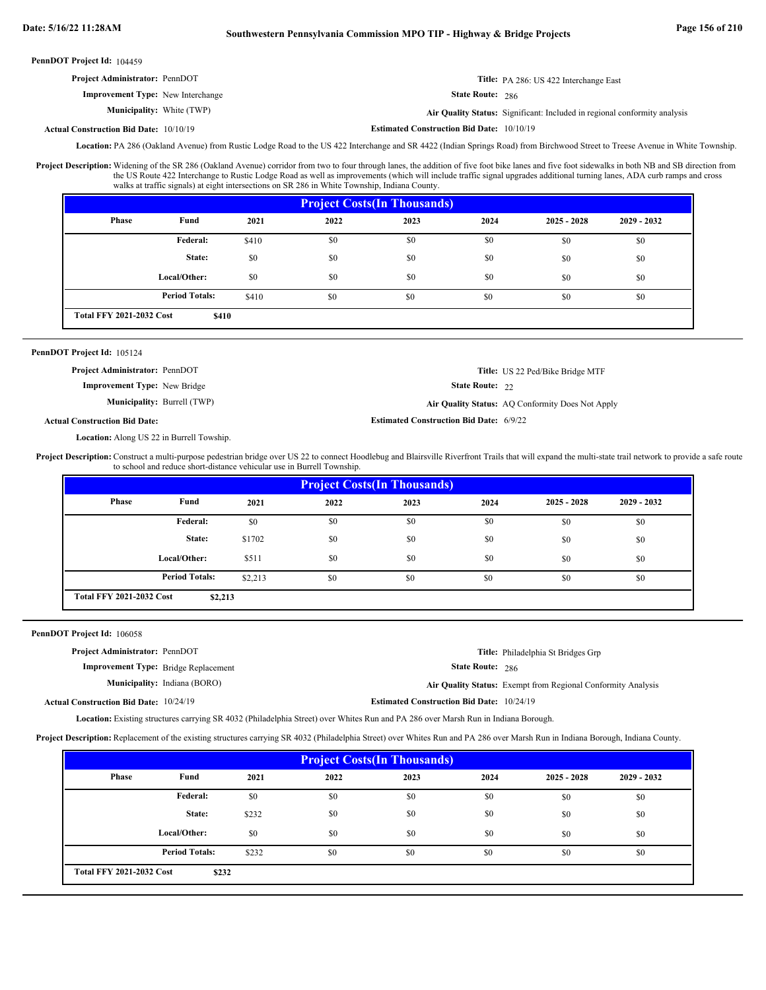| <b>Project Administrator: PennDOT</b>         |                                                  | Title: PA 286: US 422 Interchange East                                    |
|-----------------------------------------------|--------------------------------------------------|---------------------------------------------------------------------------|
| <b>Improvement Type:</b> New Interchange      | <b>State Route: 286</b>                          |                                                                           |
| <b>Municipality:</b> White (TWP)              |                                                  | Air Quality Status: Significant: Included in regional conformity analysis |
| <b>Actual Construction Bid Date: 10/10/19</b> | <b>Estimated Construction Bid Date: 10/10/19</b> |                                                                           |

Location: PA 286 (Oakland Avenue) from Rustic Lodge Road to the US 422 Interchange and SR 4422 (Indian Springs Road) from Birchwood Street to Treese Avenue in White Township.

Project Description: Widening of the SR 286 (Oakland Avenue) corridor from two to four through lanes, the addition of five foot bike lanes and five foot sidewalks in both NB and SB direction from the US Route 422 Interchange to Rustic Lodge Road as well as improvements (which will include traffic signal upgrades additional turning lanes, ADA curb ramps and cross walks at traffic signals) at eight intersections on SR 286 in White Township, Indiana County.

| <b>Project Costs (In Thousands)</b>      |                       |       |      |      |      |               |               |
|------------------------------------------|-----------------------|-------|------|------|------|---------------|---------------|
| <b>Phase</b>                             | Fund                  | 2021  | 2022 | 2023 | 2024 | $2025 - 2028$ | $2029 - 2032$ |
|                                          | Federal:              | \$410 | \$0  | \$0  | \$0  | \$0           | \$0           |
|                                          | State:                | \$0   | \$0  | \$0  | \$0  | \$0           | \$0           |
|                                          | Local/Other:          | \$0   | \$0  | \$0  | \$0  | \$0           | \$0           |
|                                          | <b>Period Totals:</b> | \$410 | \$0  | \$0  | \$0  | \$0           | \$0           |
| <b>Total FFY 2021-2032 Cost</b><br>\$410 |                       |       |      |      |      |               |               |

### PennDOT Project Id: 105124

**Project Administrator:** PennDOT

**Improvement Type:** New Bridge

**Municipality:**

**Burrell (TWP) Air Quality Status:** AQ Conformity Does Not Apply

**Estimated Construction Bid Date:** 6/9/22

State Route: 22

**Title:** US 22 Ped/Bike Bridge MTF

### **Actual Construction Bid Date:**

Location: Along US 22 in Burrell Towship.

Project Description: Construct a multi-purpose pedestrian bridge over US 22 to connect Hoodlebug and Blairsville Riverfront Trails that will expand the multi-state trail network to provide a safe route to school and reduce short-distance vehicular use in Burrell Township.

| <b>Project Costs (In Thousands)</b>        |                       |         |      |      |      |               |               |
|--------------------------------------------|-----------------------|---------|------|------|------|---------------|---------------|
| Phase                                      | Fund                  | 2021    | 2022 | 2023 | 2024 | $2025 - 2028$ | $2029 - 2032$ |
|                                            | <b>Federal:</b>       | \$0     | \$0  | \$0  | \$0  | \$0           | \$0           |
|                                            | State:                | \$1702  | \$0  | \$0  | \$0  | \$0           | \$0           |
|                                            | Local/Other:          | \$511   | \$0  | \$0  | \$0  | \$0           | \$0           |
|                                            | <b>Period Totals:</b> | \$2,213 | \$0  | \$0  | \$0  | \$0           | \$0           |
| <b>Total FFY 2021-2032 Cost</b><br>\$2,213 |                       |         |      |      |      |               |               |

PennDOT Project Id: 106058

| <b>Project Administrator: PennDOT</b>         |                                     |                                                  | Title: Philadelphia St Bridges Grp                           |
|-----------------------------------------------|-------------------------------------|--------------------------------------------------|--------------------------------------------------------------|
| <b>Improvement Type:</b> Bridge Replacement   |                                     | <b>State Route: 286</b>                          |                                                              |
|                                               | <b>Municipality:</b> Indiana (BORO) |                                                  | Air Quality Status: Exempt from Regional Conformity Analysis |
| <b>Actual Construction Bid Date: 10/24/19</b> |                                     | <b>Estimated Construction Bid Date: 10/24/19</b> |                                                              |

Location: Existing structures carrying SR 4032 (Philadelphia Street) over Whites Run and PA 286 over Marsh Run in Indiana Borough.

**Project Description:** Replacement of the existing structures carrying SR 4032 (Philadelphia Street) over Whites Run and PA 286 over Marsh Run in Indiana Borough, Indiana County.

| <b>Project Costs (In Thousands)</b>      |                       |       |      |      |      |               |               |
|------------------------------------------|-----------------------|-------|------|------|------|---------------|---------------|
| Phase                                    | Fund                  | 2021  | 2022 | 2023 | 2024 | $2025 - 2028$ | $2029 - 2032$ |
|                                          | Federal:              | \$0   | \$0  | \$0  | \$0  | \$0           | \$0           |
|                                          | State:                | \$232 | \$0  | \$0  | \$0  | \$0           | \$0           |
|                                          | Local/Other:          | \$0   | \$0  | \$0  | \$0  | \$0           | \$0           |
|                                          | <b>Period Totals:</b> | \$232 | \$0  | \$0  | \$0  | \$0           | \$0           |
| <b>Total FFY 2021-2032 Cost</b><br>\$232 |                       |       |      |      |      |               |               |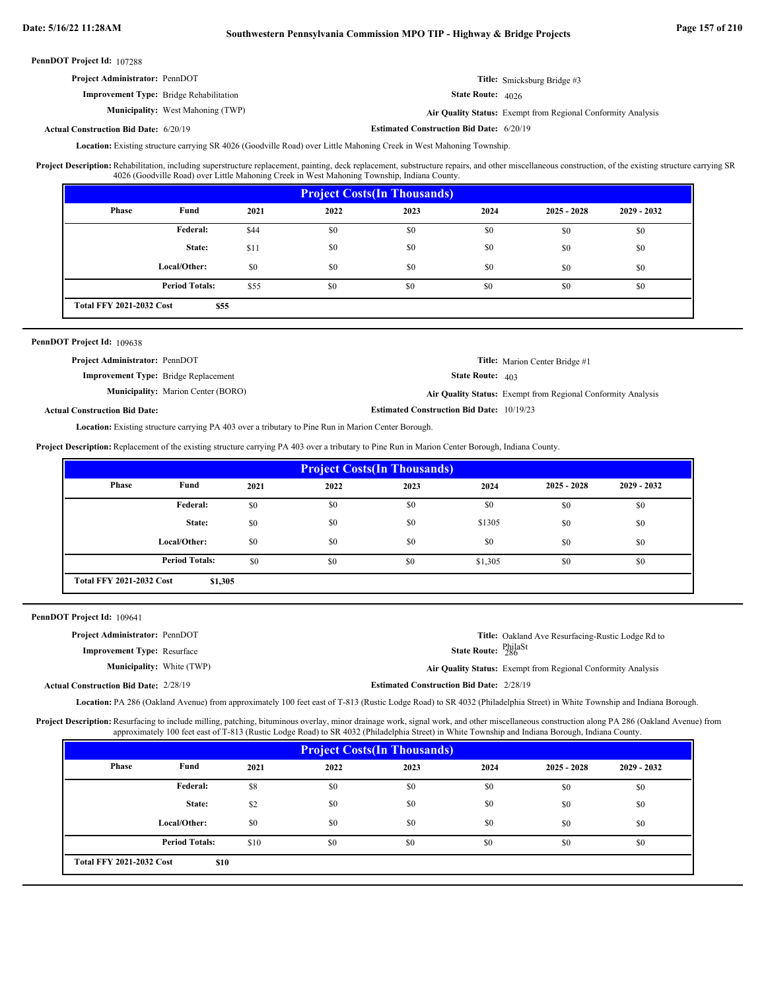| <b>Project Administrator: PennDOT</b>          | <b>Title:</b> Smicksburg Bridge #3 |
|------------------------------------------------|------------------------------------|
| <b>Improvement Type:</b> Bridge Rehabilitation | State Route: 4026                  |

**Municipality:** West Mahoning (TWP) **Air Quality Status:** Air Quality Status: Exempt from Regional Conformity Analysis

**Actual Construction Bid Date:**

**Estimated Construction Bid Date:** 6/20/19 6/20/19

Location: Existing structure carrying SR 4026 (Goodville Road) over Little Mahoning Creek in West Mahoning Township.

Rehabilitation, including superstructure replacement, painting, deck replacement, substructure repairs, and other miscellaneous construction, of the existing structure carrying SR 4026 (Goodville Road) over Little Mahoning Creek in West Mahoning Township, Indiana County. **Project Description:**

| <b>Project Costs (In Thousands)</b>     |                       |      |      |      |      |               |               |
|-----------------------------------------|-----------------------|------|------|------|------|---------------|---------------|
| Phase                                   | Fund                  | 2021 | 2022 | 2023 | 2024 | $2025 - 2028$ | $2029 - 2032$ |
|                                         | <b>Federal:</b>       | \$44 | \$0  | \$0  | \$0  | \$0           | \$0           |
|                                         | State:                | \$11 | \$0  | \$0  | \$0  | \$0           | \$0           |
|                                         | Local/Other:          | \$0  | \$0  | \$0  | \$0  | \$0           | \$0           |
|                                         | <b>Period Totals:</b> | \$55 | \$0  | \$0  | \$0  | \$0           | \$0           |
| <b>Total FFY 2021-2032 Cost</b><br>\$55 |                       |      |      |      |      |               |               |

### PennDOT Project Id: 109638

| <b>Project Administrator: PennDOT</b>       |                                                  | <b>Title:</b> Marion Center Bridge #1                        |
|---------------------------------------------|--------------------------------------------------|--------------------------------------------------------------|
| <b>Improvement Type:</b> Bridge Replacement | <b>State Route:</b> $403$                        |                                                              |
| <b>Municipality:</b> Marion Center (BORO)   |                                                  | Air Quality Status: Exempt from Regional Conformity Analysis |
| <b>Actual Construction Bid Date:</b>        | <b>Estimated Construction Bid Date: 10/19/23</b> |                                                              |

Location: Existing structure carrying PA 403 over a tributary to Pine Run in Marion Center Borough.

**Project Description:** Replacement of the existing structure carrying PA 403 over a tributary to Pine Run in Marion Center Borough, Indiana County.

| <b>Project Costs (In Thousands)</b>        |                       |      |      |      |         |               |               |
|--------------------------------------------|-----------------------|------|------|------|---------|---------------|---------------|
| <b>Phase</b>                               | Fund                  | 2021 | 2022 | 2023 | 2024    | $2025 - 2028$ | $2029 - 2032$ |
|                                            | Federal:              | \$0  | \$0  | \$0  | \$0     | \$0           | \$0           |
|                                            | State:                | \$0  | \$0  | \$0  | \$1305  | \$0           | \$0           |
|                                            | Local/Other:          | \$0  | \$0  | \$0  | \$0     | \$0           | \$0           |
|                                            | <b>Period Totals:</b> | \$0  | \$0  | \$0  | \$1,305 | \$0           | \$0           |
| <b>Total FFY 2021-2032 Cost</b><br>\$1,305 |                       |      |      |      |         |               |               |

PennDOT Project Id: 109641

| <b>Project Administrator: PennDOT</b><br><b>Improvement Type:</b> Resurface | State Route: PhilaSt                            | Title: Oakland Ave Resurfacing-Rustic Lodge Rd to            |
|-----------------------------------------------------------------------------|-------------------------------------------------|--------------------------------------------------------------|
| <b>Municipality:</b> White (TWP)                                            |                                                 | Air Quality Status: Exempt from Regional Conformity Analysis |
| <b>Actual Construction Bid Date: 2/28/19</b>                                | <b>Estimated Construction Bid Date: 2/28/19</b> |                                                              |

Location: PA 286 (Oakland Avenue) from approximately 100 feet east of T-813 (Rustic Lodge Road) to SR 4032 (Philadelphia Street) in White Township and Indiana Borough.

Project Description: Resurfacing to include milling, patching, bituminous overlay, minor drainage work, signal work, and other miscellaneous construction along PA 286 (Oakland Avenue) from approximately 100 feet east of T-813 (Rustic Lodge Road) to SR 4032 (Philadelphia Street) in White Township and Indiana Borough, Indiana County.

| <b>Project Costs (In Thousands)</b>     |                       |      |      |      |      |               |               |
|-----------------------------------------|-----------------------|------|------|------|------|---------------|---------------|
| Phase                                   | Fund                  | 2021 | 2022 | 2023 | 2024 | $2025 - 2028$ | $2029 - 2032$ |
|                                         | Federal:              | \$8  | \$0  | \$0  | \$0  | \$0           | \$0           |
|                                         | State:                | \$2  | \$0  | \$0  | \$0  | \$0           | \$0           |
|                                         | Local/Other:          | \$0  | \$0  | \$0  | \$0  | \$0           | \$0           |
|                                         | <b>Period Totals:</b> | \$10 | \$0  | \$0  | \$0  | \$0           | \$0           |
| <b>Total FFY 2021-2032 Cost</b><br>\$10 |                       |      |      |      |      |               |               |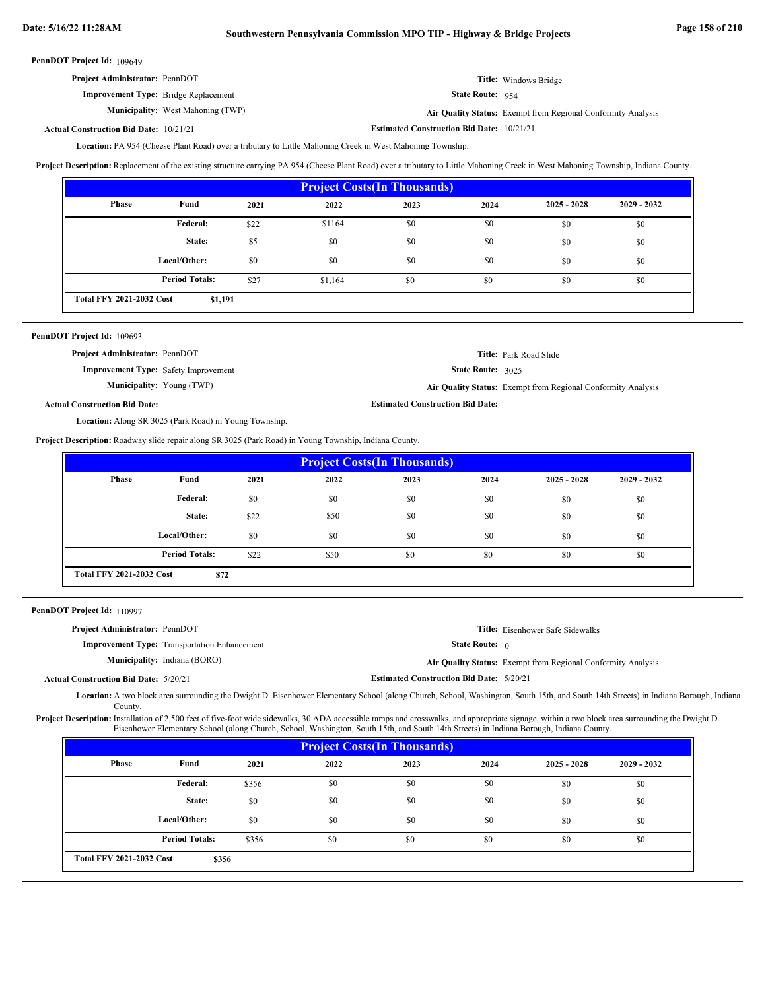| <b>Project Administrator: PennDOT</b>       |                                          |                           | Title: Windows Bridge                                        |
|---------------------------------------------|------------------------------------------|---------------------------|--------------------------------------------------------------|
| <b>Improvement Type:</b> Bridge Replacement |                                          | <b>State Route:</b> $954$ |                                                              |
|                                             | <b>Municipality:</b> West Mahoning (TWP) |                           | Air Quality Status: Exempt from Regional Conformity Analysis |

#### **Estimated Construction Bid Date:**  $10/21/21$ **Actual Construction Bid Date:**

Location: PA 954 (Cheese Plant Road) over a tributary to Little Mahoning Creek in West Mahoning Township.

**Project Description:** Replacement of the existing structure carrying PA 954 (Cheese Plant Road) over a tributary to Little Mahoning Creek in West Mahoning Township, Indiana County.

| <b>Project Costs (In Thousands)</b>        |                       |      |         |      |      |               |               |
|--------------------------------------------|-----------------------|------|---------|------|------|---------------|---------------|
| Phase                                      | Fund                  | 2021 | 2022    | 2023 | 2024 | $2025 - 2028$ | $2029 - 2032$ |
|                                            | Federal:              | \$22 | \$1164  | \$0  | \$0  | \$0           | \$0           |
|                                            | State:                | \$5  | \$0     | \$0  | \$0  | \$0           | \$0           |
|                                            | Local/Other:          | \$0  | \$0     | \$0  | \$0  | \$0           | \$0           |
|                                            | <b>Period Totals:</b> | \$27 | \$1,164 | \$0  | \$0  | \$0           | \$0           |
| <b>Total FFY 2021-2032 Cost</b><br>\$1,191 |                       |      |         |      |      |               |               |

| PennDOT Project Id: 109693                             |                                                              |
|--------------------------------------------------------|--------------------------------------------------------------|
| Project Administrator: PennDOT                         | <b>Title:</b> Park Road Slide                                |
| <b>Improvement Type:</b> Safety Improvement            | State Route: 3025                                            |
| <b>Municipality:</b> Young (TWP)                       | Air Quality Status: Exempt from Regional Conformity Analysis |
| <b>Actual Construction Bid Date:</b>                   | <b>Estimated Construction Bid Date:</b>                      |
| Location: Along SR 3025 (Park Road) in Young Township. |                                                              |
|                                                        |                                                              |

**Project Description:** Roadway slide repair along SR 3025 (Park Road) in Young Township, Indiana County.

| <b>Project Costs (In Thousands)</b>     |                       |      |      |      |      |               |               |
|-----------------------------------------|-----------------------|------|------|------|------|---------------|---------------|
| Phase                                   | Fund                  | 2021 | 2022 | 2023 | 2024 | $2025 - 2028$ | $2029 - 2032$ |
|                                         | <b>Federal:</b>       | \$0  | \$0  | \$0  | \$0  | \$0           | \$0           |
|                                         | State:                | \$22 | \$50 | \$0  | \$0  | \$0           | \$0           |
|                                         | Local/Other:          | \$0  | \$0  | \$0  | \$0  | \$0           | \$0           |
|                                         | <b>Period Totals:</b> | \$22 | \$50 | \$0  | \$0  | \$0           | \$0           |
| <b>Total FFY 2021-2032 Cost</b><br>\$72 |                       |      |      |      |      |               |               |

PennDOT Project Id: 110997

Actual

| <b>Project Administrator: PennDOT</b> |                                                     |                                                 | <b>Title:</b> Eisenhower Safe Sidewalks                      |
|---------------------------------------|-----------------------------------------------------|-------------------------------------------------|--------------------------------------------------------------|
|                                       | <b>Improvement Type:</b> Transportation Enhancement | <b>State Route:</b> $\theta$                    |                                                              |
|                                       | <b>Municipality:</b> Indiana (BORO)                 |                                                 | Air Quality Status: Exempt from Regional Conformity Analysis |
| <b>Construction Bid Date: 5/20/21</b> |                                                     | <b>Estimated Construction Bid Date: 5/20/21</b> |                                                              |

Location: A two block area surrounding the Dwight D. Eisenhower Elementary School (along Church, School, Washington, South 15th, and South 14th Streets) in Indiana Borough, Indiana County.

Installation of 2,500 feet of five-foot wide sidewalks, 30 ADA accessible ramps and crosswalks, and appropriate signage, within a two block area surrounding the Dwight D. Eisenhower Elementary School (along Church, School, Washington, South 15th, and South 14th Streets) in Indiana Borough, Indiana County. **Project Description:**

| <b>Project Costs (In Thousands)</b>      |                       |       |      |      |      |               |               |
|------------------------------------------|-----------------------|-------|------|------|------|---------------|---------------|
| Phase                                    | Fund                  | 2021  | 2022 | 2023 | 2024 | $2025 - 2028$ | $2029 - 2032$ |
|                                          | <b>Federal:</b>       | \$356 | \$0  | \$0  | \$0  | \$0           | \$0           |
|                                          | State:                | \$0   | \$0  | \$0  | \$0  | \$0           | \$0           |
|                                          | Local/Other:          | \$0   | \$0  | \$0  | \$0  | \$0           | \$0           |
|                                          | <b>Period Totals:</b> | \$356 | \$0  | \$0  | \$0  | \$0           | \$0           |
| <b>Total FFY 2021-2032 Cost</b><br>\$356 |                       |       |      |      |      |               |               |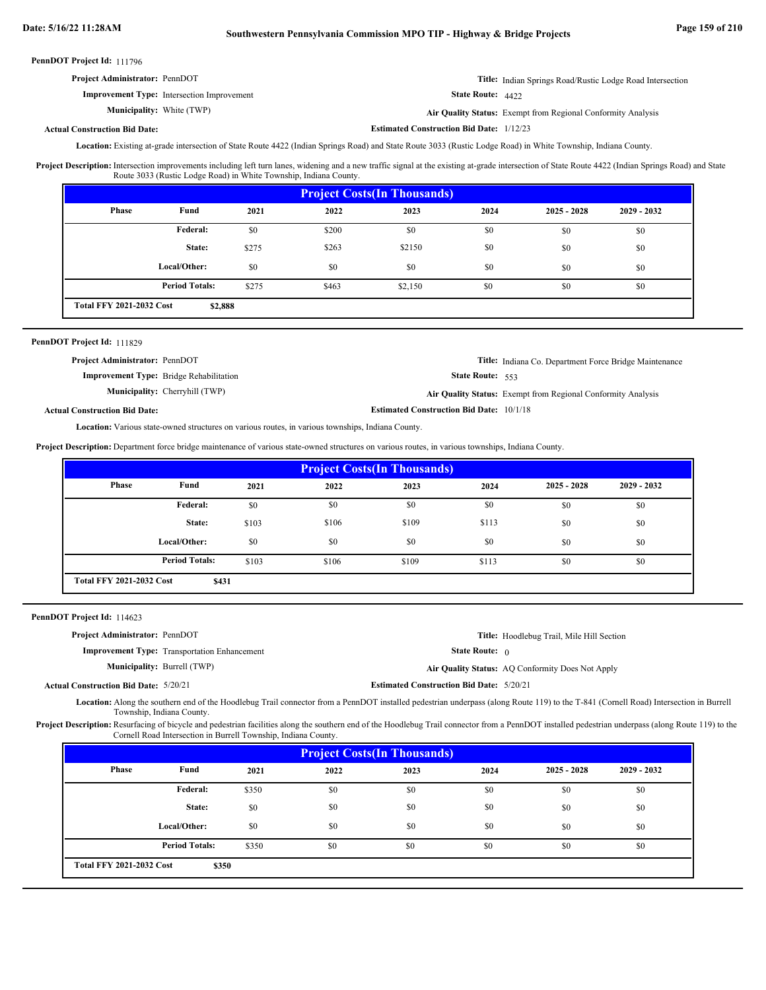| <b>Project Administrator: PennDOT</b>             | Title: Indian Springs Road/Rustic Lodge Road Intersection |
|---------------------------------------------------|-----------------------------------------------------------|
| <b>Improvement Type:</b> Intersection Improvement | State Route: 4422                                         |

White (TWP) **Air Quality Status:** Exempt from Regional Conformity Analysis

**Estimated Construction Bid Date:** 1/12/23

### **Actual Construction Bid Date:**

**Municipality:** White (TWP)

Location: Existing at-grade intersection of State Route 4422 (Indian Springs Road) and State Route 3033 (Rustic Lodge Road) in White Township, Indiana County.

Intersection improvements including left turn lanes, widening and a new traffic signal at the existing at-grade intersection of State Route 4422 (Indian Springs Road) and State Route 3033 (Rustic Lodge Road) in White Township, Indiana County. **Project Description:**

| <b>Project Costs (In Thousands)</b>        |                       |       |       |         |      |               |               |
|--------------------------------------------|-----------------------|-------|-------|---------|------|---------------|---------------|
| <b>Phase</b>                               | Fund                  | 2021  | 2022  | 2023    | 2024 | $2025 - 2028$ | $2029 - 2032$ |
|                                            | Federal:              | \$0   | \$200 | \$0     | \$0  | \$0           | \$0           |
|                                            | State:                | \$275 | \$263 | \$2150  | \$0  | \$0           | \$0           |
|                                            | Local/Other:          | \$0   | \$0   | \$0     | \$0  | \$0           | \$0           |
|                                            | <b>Period Totals:</b> | \$275 | \$463 | \$2,150 | \$0  | \$0           | \$0           |
| <b>Total FFY 2021-2032 Cost</b><br>\$2,888 |                       |       |       |         |      |               |               |

### PennDOT Project Id: 111829

| <b>Project Administrator: PennDOT</b>          |                                       |                                                 | <b>Title:</b> Indiana Co. Department Force Bridge Maintenance       |
|------------------------------------------------|---------------------------------------|-------------------------------------------------|---------------------------------------------------------------------|
| <b>Improvement Type:</b> Bridge Rehabilitation |                                       | <b>State Route:</b> $553$                       |                                                                     |
|                                                | <b>Municipality:</b> Cherryhill (TWP) |                                                 | <b>Air Quality Status:</b> Exempt from Regional Conformity Analysis |
| <b>Actual Construction Bid Date:</b>           |                                       | <b>Estimated Construction Bid Date: 10/1/18</b> |                                                                     |

Location: Various state-owned structures on various routes, in various townships, Indiana County.

**Project Description:** Department force bridge maintenance of various state-owned structures on various routes, in various townships, Indiana County.

|                                          | <b>Project Costs (In Thousands)</b> |       |       |       |       |               |               |
|------------------------------------------|-------------------------------------|-------|-------|-------|-------|---------------|---------------|
| <b>Phase</b>                             | Fund                                | 2021  | 2022  | 2023  | 2024  | $2025 - 2028$ | $2029 - 2032$ |
|                                          | <b>Federal:</b>                     | \$0   | \$0   | \$0   | \$0   | \$0           | \$0           |
|                                          | State:                              | \$103 | \$106 | \$109 | \$113 | \$0           | \$0           |
|                                          | Local/Other:                        | \$0   | \$0   | \$0   | \$0   | \$0           | \$0           |
|                                          | <b>Period Totals:</b>               | \$103 | \$106 | \$109 | \$113 | \$0           | \$0           |
| <b>Total FFY 2021-2032 Cost</b><br>\$431 |                                     |       |       |       |       |               |               |

PennDOT Project Id: 114623

| <b>Project Administrator: PennDOT</b>        |                                                     |                                                 | <b>Title:</b> Hoodlebug Trail, Mile Hill Section |
|----------------------------------------------|-----------------------------------------------------|-------------------------------------------------|--------------------------------------------------|
|                                              | <b>Improvement Type:</b> Transportation Enhancement | <b>State Route:</b> $\theta$                    |                                                  |
| <b>Municipality: Burrell (TWP)</b>           |                                                     |                                                 | Air Quality Status: AO Conformity Does Not Apply |
| <b>Actual Construction Bid Date: 5/20/21</b> |                                                     | <b>Estimated Construction Bid Date: 5/20/21</b> |                                                  |

Location: Along the southern end of the Hoodlebug Trail connector from a PennDOT installed pedestrian underpass (along Route 119) to the T-841 (Cornell Road) Intersection in Burrell Township, Indiana County.

Project Description: Resurfacing of bicycle and pedestrian facilities along the southern end of the Hoodlebug Trail connector from a PennDOT installed pedestrian underpass (along Route 119) to the Cornell Road Intersection in Burrell Township, Indiana County.

| <b>Project Costs (In Thousands)</b>      |                       |       |      |      |      |               |               |
|------------------------------------------|-----------------------|-------|------|------|------|---------------|---------------|
| <b>Phase</b>                             | Fund                  | 2021  | 2022 | 2023 | 2024 | $2025 - 2028$ | $2029 - 2032$ |
|                                          | Federal:              | \$350 | \$0  | \$0  | \$0  | \$0           | \$0           |
|                                          | State:                | \$0   | \$0  | \$0  | \$0  | \$0           | \$0           |
|                                          | Local/Other:          | \$0   | \$0  | \$0  | \$0  | \$0           | \$0           |
|                                          | <b>Period Totals:</b> | \$350 | \$0  | \$0  | \$0  | \$0           | \$0           |
| <b>Total FFY 2021-2032 Cost</b><br>\$350 |                       |       |      |      |      |               |               |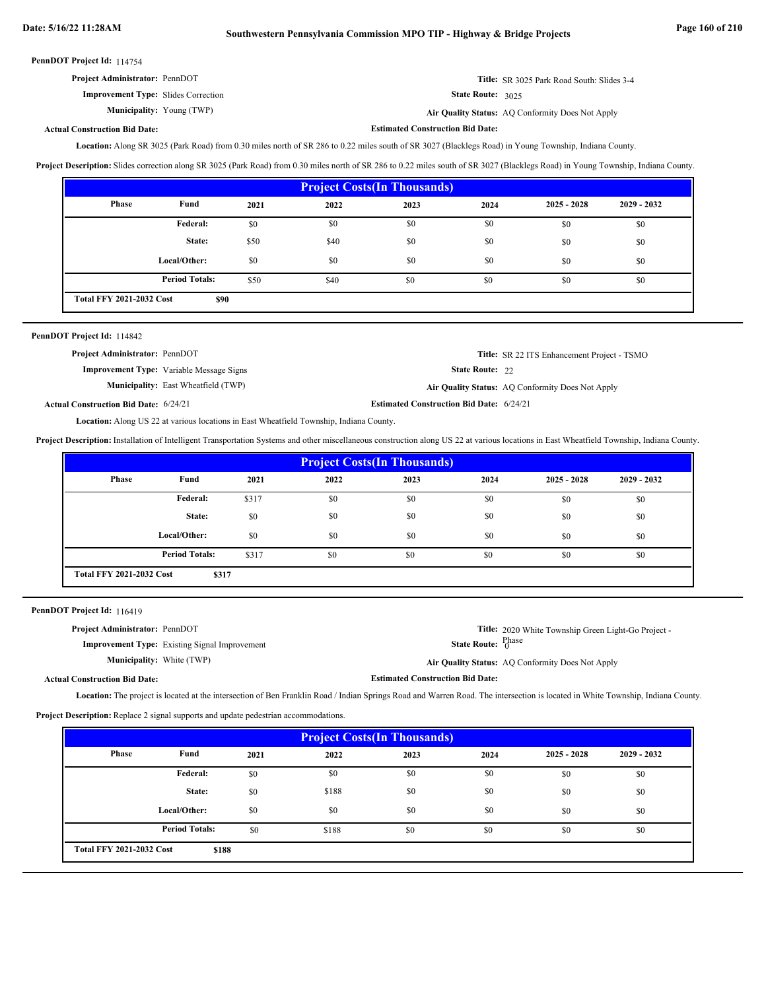**Estimated Construction Bid Date:**

PennDOT Project Id: 114754

| <b>Project Administrator: PennDOT</b> | <b>Title:</b> SR 3025 Park Road South: Slides 3-4 |
|---------------------------------------|---------------------------------------------------|
|---------------------------------------|---------------------------------------------------|

**Air Quality Status:** AQ Conformity Does Not Apply Air Quality Status: AQ Conformity Does Not Apply

State Route: 3025

### **Actual Construction Bid Date:**

**Improvement Type:** Slides Correction

**Municipality:**

Location: Along SR 3025 (Park Road) from 0.30 miles north of SR 286 to 0.22 miles south of SR 3027 (Blacklegs Road) in Young Township, Indiana County.

**Project Description:** Slides correction along SR 3025 (Park Road) from 0.30 miles north of SR 286 to 0.22 miles south of SR 3027 (Blacklegs Road) in Young Township, Indiana County.

| <b>Project Costs (In Thousands)</b>     |                       |      |      |      |      |               |               |
|-----------------------------------------|-----------------------|------|------|------|------|---------------|---------------|
| Phase                                   | Fund                  | 2021 | 2022 | 2023 | 2024 | $2025 - 2028$ | $2029 - 2032$ |
|                                         | Federal:              | \$0  | \$0  | \$0  | \$0  | \$0           | \$0           |
|                                         | State:                | \$50 | \$40 | \$0  | \$0  | \$0           | \$0           |
|                                         | Local/Other:          | \$0  | \$0  | \$0  | \$0  | \$0           | \$0           |
|                                         | <b>Period Totals:</b> | \$50 | \$40 | \$0  | \$0  | \$0           | \$0           |
| <b>Total FFY 2021-2032 Cost</b><br>\$90 |                       |      |      |      |      |               |               |

| <b>PennDOT Project Id: 114842</b>            |                                                 |                                                 |                                                    |
|----------------------------------------------|-------------------------------------------------|-------------------------------------------------|----------------------------------------------------|
| <b>Project Administrator: PennDOT</b>        |                                                 |                                                 | <b>Title:</b> SR 22 ITS Enhancement Project - TSMO |
|                                              | <b>Improvement Type:</b> Variable Message Signs | <b>State Route: 22</b>                          |                                                    |
|                                              | <b>Municipality:</b> East Wheatfield (TWP)      |                                                 | Air Quality Status: AQ Conformity Does Not Apply   |
| <b>Actual Construction Bid Date: 6/24/21</b> |                                                 | <b>Estimated Construction Bid Date: 6/24/21</b> |                                                    |

Location: Along US 22 at various locations in East Wheatfield Township, Indiana County.

**Project Description:** Installation of Intelligent Transportation Systems and other miscellaneous construction along US 22 at various locations in East Wheatfield Township, Indiana County.

| <b>Project Costs (In Thousands)</b>      |                       |       |      |      |      |               |               |
|------------------------------------------|-----------------------|-------|------|------|------|---------------|---------------|
| Phase                                    | Fund                  | 2021  | 2022 | 2023 | 2024 | $2025 - 2028$ | $2029 - 2032$ |
|                                          | Federal:              | \$317 | \$0  | \$0  | \$0  | \$0           | \$0           |
|                                          | State:                | \$0   | \$0  | \$0  | \$0  | \$0           | \$0           |
|                                          | Local/Other:          | \$0   | \$0  | \$0  | \$0  | \$0           | \$0           |
|                                          | <b>Period Totals:</b> | \$317 | \$0  | \$0  | \$0  | \$0           | \$0           |
| <b>Total FFY 2021-2032 Cost</b><br>\$317 |                       |       |      |      |      |               |               |

PennDOT Project Id: 116419

| <b>Project Administrator: PennDOT</b> |                                                      |                                             | <b>Title:</b> 2020 White Township Green Light-Go Project - |
|---------------------------------------|------------------------------------------------------|---------------------------------------------|------------------------------------------------------------|
|                                       | <b>Improvement Type:</b> Existing Signal Improvement | <b>State Route:</b> ${}_{0}^{\text{Phase}}$ |                                                            |
| <b>Municipality:</b> White (TWP)      |                                                      |                                             | Air Quality Status: AQ Conformity Does Not Apply           |
| <b>Construction Bid Date:</b>         |                                                      | <b>Estimated Construction Bid Date:</b>     |                                                            |

Actual

Location: The project is located at the intersection of Ben Franklin Road / Indian Springs Road and Warren Road. The intersection is located in White Township, Indiana County. **Project Description:** Replace 2 signal supports and update pedestrian accommodations.

| <b>Project Costs (In Thousands)</b>      |                       |      |       |      |      |               |               |
|------------------------------------------|-----------------------|------|-------|------|------|---------------|---------------|
| Phase                                    | Fund                  | 2021 | 2022  | 2023 | 2024 | $2025 - 2028$ | $2029 - 2032$ |
|                                          | <b>Federal:</b>       | \$0  | \$0   | \$0  | \$0  | \$0           | \$0           |
|                                          | State:                | \$0  | \$188 | \$0  | \$0  | \$0           | \$0           |
|                                          | Local/Other:          | \$0  | \$0   | \$0  | \$0  | \$0           | \$0           |
|                                          | <b>Period Totals:</b> | \$0  | \$188 | \$0  | \$0  | \$0           | \$0           |
| <b>Total FFY 2021-2032 Cost</b><br>\$188 |                       |      |       |      |      |               |               |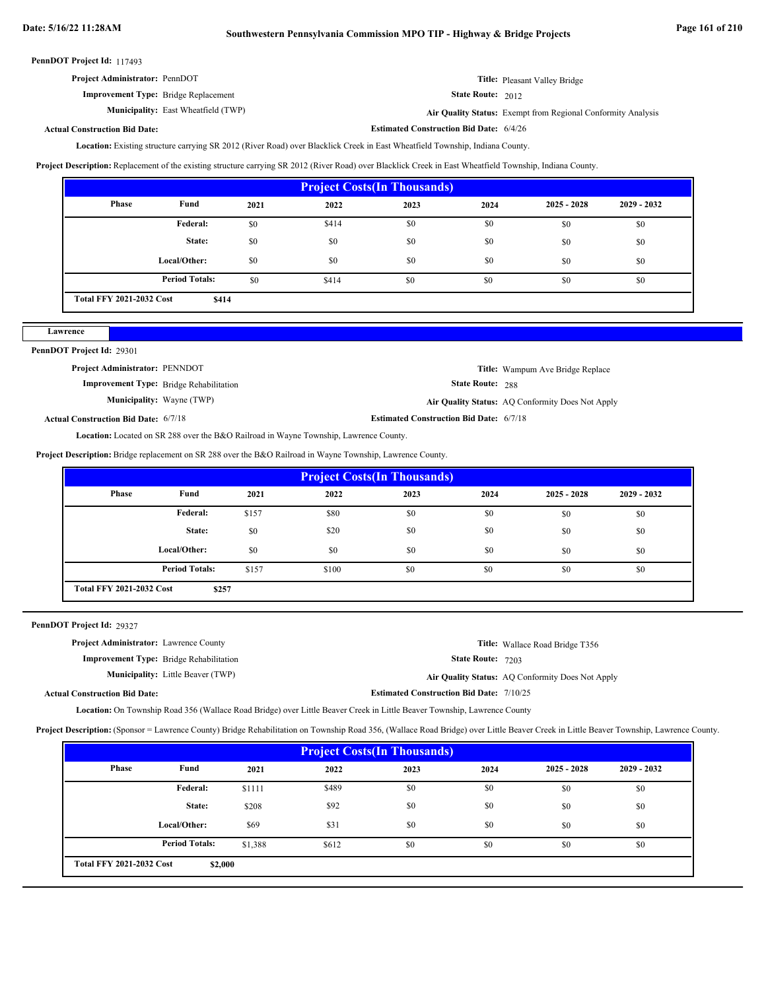| <b>Project Administrator: PennDOT</b> | Title: Pleasant Valley Bridge |
|---------------------------------------|-------------------------------|
|---------------------------------------|-------------------------------|

**Improvement Type:** Bridge Replacement

**Municipality:** East Wheatfield (TWP) **Air Quality Status:** 

Air Quality Status: Exempt from Regional Conformity Analysis

**Estimated Construction Bid Date:** 6/4/26

State Route: 2012

### **Actual Construction Bid Date:**

Location: Existing structure carrying SR 2012 (River Road) over Blacklick Creek in East Wheatfield Township, Indiana County.

**Project Description:** Replacement of the existing structure carrying SR 2012 (River Road) over Blacklick Creek in East Wheatfield Township, Indiana County.

| <b>Project Costs (In Thousands)</b>      |                       |      |       |      |      |               |               |
|------------------------------------------|-----------------------|------|-------|------|------|---------------|---------------|
| <b>Phase</b>                             | Fund                  | 2021 | 2022  | 2023 | 2024 | $2025 - 2028$ | $2029 - 2032$ |
|                                          | Federal:              | \$0  | \$414 | \$0  | \$0  | \$0           | \$0           |
|                                          | State:                | \$0  | \$0   | \$0  | \$0  | \$0           | \$0           |
|                                          | Local/Other:          | \$0  | \$0   | \$0  | \$0  | \$0           | \$0           |
|                                          | <b>Period Totals:</b> | \$0  | \$414 | \$0  | \$0  | \$0           | \$0           |
| <b>Total FFY 2021-2032 Cost</b><br>\$414 |                       |      |       |      |      |               |               |

# PennDOT Project Id: 29301

**Lawrence**

| <b>Project Administrator: PENNDOT</b>       |                                                |                                                | <b>Title:</b> Wampum Ave Bridge Replace          |
|---------------------------------------------|------------------------------------------------|------------------------------------------------|--------------------------------------------------|
|                                             | <b>Improvement Type:</b> Bridge Rehabilitation | <b>State Route: 288</b>                        |                                                  |
| <b>Municipality:</b> Wayne (TWP)            |                                                |                                                | Air Quality Status: AQ Conformity Does Not Apply |
| <b>Actual Construction Bid Date: 6/7/18</b> |                                                | <b>Estimated Construction Bid Date: 6/7/18</b> |                                                  |

Location: Located on SR 288 over the B&O Railroad in Wayne Township, Lawrence County.

**Project Description:** Bridge replacement on SR 288 over the B&O Railroad in Wayne Township, Lawrence County.

| <b>Project Costs(In Thousands)</b> |                       |       |       |      |      |               |               |
|------------------------------------|-----------------------|-------|-------|------|------|---------------|---------------|
| <b>Phase</b>                       | Fund                  | 2021  | 2022  | 2023 | 2024 | $2025 - 2028$ | $2029 - 2032$ |
|                                    | <b>Federal:</b>       | \$157 | \$80  | \$0  | \$0  | \$0           | \$0           |
|                                    | State:                | \$0   | \$20  | \$0  | \$0  | \$0           | \$0           |
|                                    | Local/Other:          | \$0   | \$0   | \$0  | \$0  | \$0           | \$0           |
|                                    | <b>Period Totals:</b> | \$157 | \$100 | \$0  | \$0  | \$0           | \$0           |
| <b>Total FFY 2021-2032 Cost</b>    | \$257                 |       |       |      |      |               |               |

PennDOT Project Id: 29327

| <b>Project Administrator:</b> Lawrence County  | <b>Title:</b> Wallace Road Bridge T356           |
|------------------------------------------------|--------------------------------------------------|
| <b>Improvement Type:</b> Bridge Rehabilitation | <b>State Route: 7203</b>                         |
| <b>Municipality:</b> Little Beaver (TWP)       | Air Quality Status: AQ Conformity Does Not Apply |
| <b>Actual Construction Bid Date:</b>           | <b>Estimated Construction Bid Date: 7/10/25</b>  |

Location: On Township Road 356 (Wallace Road Bridge) over Little Beaver Creek in Little Beaver Township, Lawrence County

**Project Description:** (Sponsor = Lawrence County) Bridge Rehabilitation on Township Road 356, (Wallace Road Bridge) over Little Beaver Creek in Little Beaver Township, Lawrence County.

| <b>Project Costs (In Thousands)</b>        |                       |         |       |      |      |               |               |
|--------------------------------------------|-----------------------|---------|-------|------|------|---------------|---------------|
| Phase                                      | Fund                  | 2021    | 2022  | 2023 | 2024 | $2025 - 2028$ | $2029 - 2032$ |
|                                            | Federal:              | \$1111  | \$489 | \$0  | \$0  | \$0           | \$0           |
|                                            | State:                | \$208   | \$92  | \$0  | \$0  | \$0           | \$0           |
|                                            | Local/Other:          | \$69    | \$31  | \$0  | \$0  | \$0           | \$0           |
|                                            | <b>Period Totals:</b> | \$1,388 | \$612 | \$0  | \$0  | \$0           | \$0           |
| <b>Total FFY 2021-2032 Cost</b><br>\$2,000 |                       |         |       |      |      |               |               |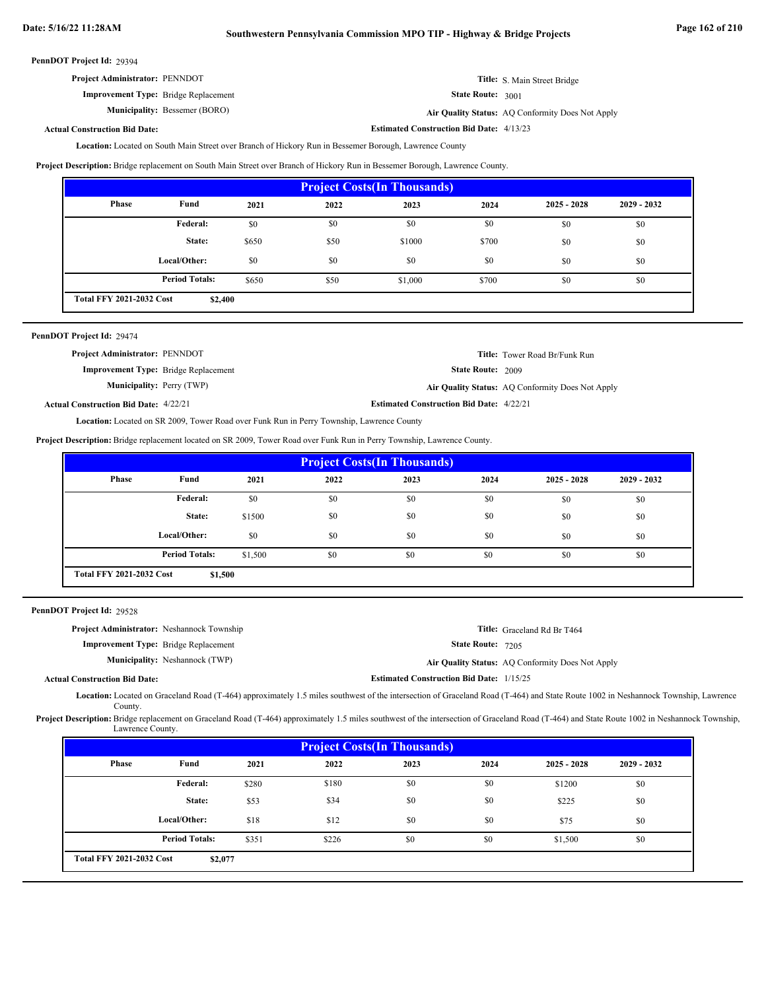| <b>Project Administrator: PENNDOT</b>       | <b>Title:</b> S. Main Street Bridge            |
|---------------------------------------------|------------------------------------------------|
| <b>Improvement Type:</b> Bridge Replacement | <b>State Route:</b> $3001$                     |
| <b>Municipality:</b> Bessemer (BORO)        | Air Quality Status: AO Conformity Does Not Apr |

**Bessemer (BORO) Air Quality Status:** AQ Conformity Does Not Apply

**Estimated Construction Bid Date:** 4/13/23

### **Actual Construction Bid Date:**

Location: Located on South Main Street over Branch of Hickory Run in Bessemer Borough, Lawrence County

**Project Description:** Bridge replacement on South Main Street over Branch of Hickory Run in Bessemer Borough, Lawrence County.

| <b>Project Costs (In Thousands)</b>        |                       |       |      |         |       |               |               |
|--------------------------------------------|-----------------------|-------|------|---------|-------|---------------|---------------|
| Phase                                      | Fund                  | 2021  | 2022 | 2023    | 2024  | $2025 - 2028$ | $2029 - 2032$ |
|                                            | Federal:              | \$0   | \$0  | \$0     | \$0   | \$0           | \$0           |
|                                            | State:                | \$650 | \$50 | \$1000  | \$700 | \$0           | \$0           |
|                                            | Local/Other:          | \$0   | \$0  | \$0     | \$0   | \$0           | \$0           |
|                                            | <b>Period Totals:</b> | \$650 | \$50 | \$1,000 | \$700 | \$0           | \$0           |
| <b>Total FFY 2021-2032 Cost</b><br>\$2,400 |                       |       |      |         |       |               |               |

| PennDOT Project Id: 29474                    |                                                 |                                                  |
|----------------------------------------------|-------------------------------------------------|--------------------------------------------------|
| <b>Project Administrator: PENNDOT</b>        |                                                 | <b>Title:</b> Tower Road Br/Funk Run             |
| <b>Improvement Type:</b> Bridge Replacement  | <b>State Route: 2009</b>                        |                                                  |
| <b>Municipality:</b> Perry (TWP)             |                                                 | Air Quality Status: AQ Conformity Does Not Apply |
| <b>Actual Construction Bid Date: 4/22/21</b> | <b>Estimated Construction Bid Date: 4/22/21</b> |                                                  |

Location: Located on SR 2009, Tower Road over Funk Run in Perry Township, Lawrence County

**Project Description:** Bridge replacement located on SR 2009, Tower Road over Funk Run in Perry Township, Lawrence County.

| <b>Project Costs (In Thousands)</b>        |                       |         |      |      |      |               |               |
|--------------------------------------------|-----------------------|---------|------|------|------|---------------|---------------|
| Phase                                      | Fund                  | 2021    | 2022 | 2023 | 2024 | $2025 - 2028$ | $2029 - 2032$ |
|                                            | <b>Federal:</b>       | \$0     | \$0  | \$0  | \$0  | \$0           | \$0           |
|                                            | State:                | \$1500  | \$0  | \$0  | \$0  | \$0           | \$0           |
|                                            | Local/Other:          | \$0     | \$0  | \$0  | \$0  | \$0           | \$0           |
|                                            | <b>Period Totals:</b> | \$1,500 | \$0  | \$0  | \$0  | \$0           | \$0           |
| <b>Total FFY 2021-2032 Cost</b><br>\$1,500 |                       |         |      |      |      |               |               |

PennDOT Project Id: 29528

| <b>Project Administrator:</b> Neshannock Township |                                       |                                                 | Title: Graceland Rd Br T464                      |
|---------------------------------------------------|---------------------------------------|-------------------------------------------------|--------------------------------------------------|
| <b>Improvement Type:</b> Bridge Replacement       |                                       | <b>State Route: 7205</b>                        |                                                  |
|                                                   | <b>Municipality:</b> Neshannock (TWP) |                                                 | Air Quality Status: AQ Conformity Does Not Apply |
| <b>Actual Construction Bid Date:</b>              |                                       | <b>Estimated Construction Bid Date: 1/15/25</b> |                                                  |
|                                                   |                                       |                                                 |                                                  |

Located on Graceland Road (T-464) approximately 1.5 miles southwest of the intersection of Graceland Road (T-464) and State Route 1002 in Neshannock Township, Lawrence **Location:** County.

Project Description: Bridge replacement on Graceland Road (T-464) approximately 1.5 miles southwest of the intersection of Graceland Road (T-464) and State Route 1002 in Neshannock Township, Lawrence County.

| <b>Project Costs (In Thousands)</b> |                       |       |       |      |      |               |             |
|-------------------------------------|-----------------------|-------|-------|------|------|---------------|-------------|
| Phase                               | Fund                  | 2021  | 2022  | 2023 | 2024 | $2025 - 2028$ | 2029 - 2032 |
|                                     | Federal:              | \$280 | \$180 | \$0  | \$0  | \$1200        | \$0         |
|                                     | State:                | \$53  | \$34  | \$0  | \$0  | \$225         | \$0         |
|                                     | Local/Other:          | \$18  | \$12  | \$0  | \$0  | \$75          | \$0         |
|                                     | <b>Period Totals:</b> | \$351 | \$226 | \$0  | \$0  | \$1,500       | \$0         |
| <b>Total FFY 2021-2032 Cost</b>     | \$2,077               |       |       |      |      |               |             |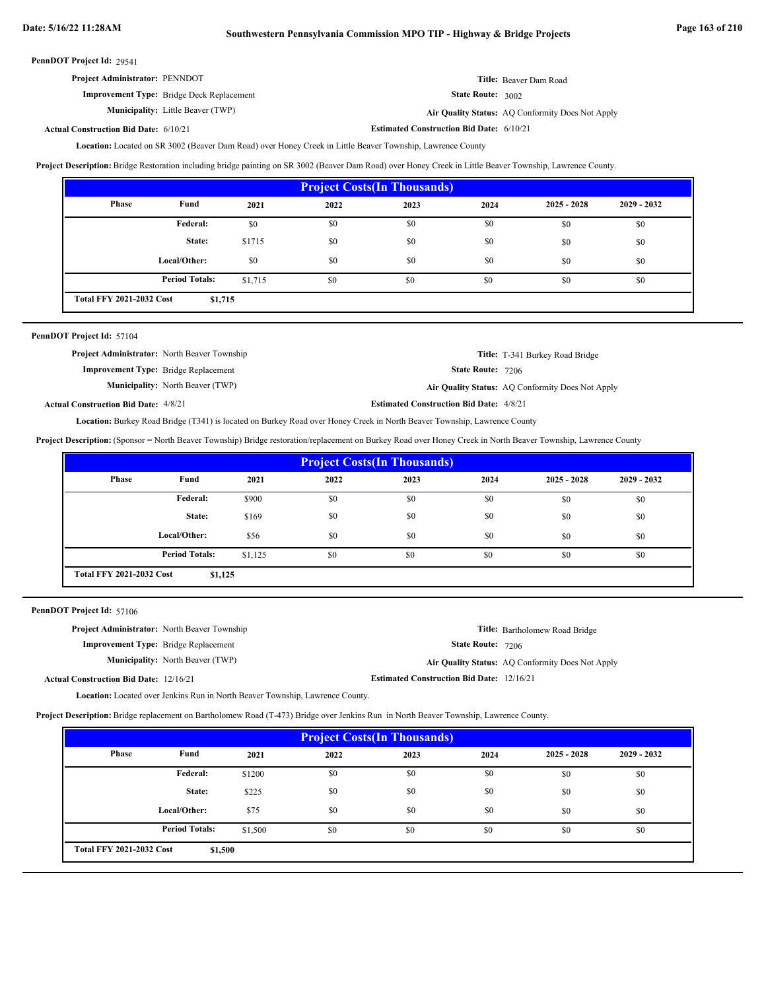| <b>Project Administrator: PENNDOT</b>            | <b>Title:</b> Beaver Dam Road |
|--------------------------------------------------|-------------------------------|
| <b>Improvement Type:</b> Bridge Deck Replacement | <b>State Route: 3002</b>      |

**Municipality:** Little Beaver (TWP) **Air Quality Status:** AQ Conformity Does Not Apply

**Actual Construction Bid Date:**

**Estimated Construction Bid Date:** 6/10/21 6/10/21

Location: Located on SR 3002 (Beaver Dam Road) over Honey Creek in Little Beaver Township, Lawrence County

**Project Description:** Bridge Restoration including bridge painting on SR 3002 (Beaver Dam Road) over Honey Creek in Little Beaver Township, Lawrence County.

| <b>Project Costs (In Thousands)</b>        |                       |         |      |      |      |               |               |
|--------------------------------------------|-----------------------|---------|------|------|------|---------------|---------------|
| Phase                                      | Fund                  | 2021    | 2022 | 2023 | 2024 | $2025 - 2028$ | $2029 - 2032$ |
|                                            | <b>Federal:</b>       | \$0     | \$0  | \$0  | \$0  | \$0           | \$0           |
|                                            | State:                | \$1715  | \$0  | \$0  | \$0  | \$0           | \$0           |
|                                            | Local/Other:          | \$0     | \$0  | \$0  | \$0  | \$0           | \$0           |
|                                            | <b>Period Totals:</b> | \$1,715 | \$0  | \$0  | \$0  | \$0           | \$0           |
| <b>Total FFY 2021-2032 Cost</b><br>\$1,715 |                       |         |      |      |      |               |               |

### PennDOT Project Id: 57104

| <b>Project Administrator:</b> North Beaver Township |                                         |                                                | <b>Title:</b> T-341 Burkey Road Bridge           |
|-----------------------------------------------------|-----------------------------------------|------------------------------------------------|--------------------------------------------------|
| <b>Improvement Type:</b> Bridge Replacement         |                                         | <b>State Route:</b> 7206                       |                                                  |
|                                                     | <b>Municipality:</b> North Beaver (TWP) |                                                | Air Quality Status: AQ Conformity Does Not Apply |
| <b>Actual Construction Bid Date: 4/8/21</b>         |                                         | <b>Estimated Construction Bid Date: 4/8/21</b> |                                                  |

Location: Burkey Road Bridge (T341) is located on Burkey Road over Honey Creek in North Beaver Township, Lawrence County

**Project Description:** (Sponsor = North Beaver Township) Bridge restoration/replacement on Burkey Road over Honey Creek in North Beaver Township, Lawrence County

| <b>Project Costs (In Thousands)</b>                                 |                 |       |      |      |      |               |               |
|---------------------------------------------------------------------|-----------------|-------|------|------|------|---------------|---------------|
| Phase                                                               | Fund            | 2021  | 2022 | 2023 | 2024 | $2025 - 2028$ | $2029 - 2032$ |
|                                                                     | <b>Federal:</b> | \$900 | \$0  | \$0  | \$0  | \$0           | \$0           |
|                                                                     | State:          | \$169 | \$0  | \$0  | \$0  | \$0           | \$0           |
|                                                                     | Local/Other:    | \$56  | \$0  | \$0  | \$0  | \$0           | \$0           |
| <b>Period Totals:</b><br>\$0<br>\$0<br>\$0<br>\$0<br>\$1,125<br>\$0 |                 |       |      |      |      |               |               |
| <b>Total FFY 2021-2032 Cost</b><br>\$1,125                          |                 |       |      |      |      |               |               |

PennDOT Project Id: 57106

| <b>Project Administrator:</b> North Beaver Township |                                         |                                                  | <b>Title:</b> Bartholomew Road Bridge            |
|-----------------------------------------------------|-----------------------------------------|--------------------------------------------------|--------------------------------------------------|
| <b>Improvement Type:</b> Bridge Replacement         |                                         | <b>State Route: 7206</b>                         |                                                  |
|                                                     | <b>Municipality:</b> North Beaver (TWP) |                                                  | Air Quality Status: AQ Conformity Does Not Apply |
| <b>Actual Construction Bid Date: 12/16/21</b>       |                                         | <b>Estimated Construction Bid Date: 12/16/21</b> |                                                  |

Location: Located over Jenkins Run in North Beaver Township, Lawrence County.

**Project Description:** Bridge replacement on Bartholomew Road (T-473) Bridge over Jenkins Run in North Beaver Township, Lawrence County.

| <b>Project Costs (In Thousands)</b>        |                       |         |      |      |      |               |               |
|--------------------------------------------|-----------------------|---------|------|------|------|---------------|---------------|
| Phase                                      | Fund                  | 2021    | 2022 | 2023 | 2024 | $2025 - 2028$ | $2029 - 2032$ |
|                                            | Federal:              | \$1200  | \$0  | \$0  | \$0  | \$0           | \$0           |
|                                            | State:                | \$225   | \$0  | \$0  | \$0  | \$0           | \$0           |
|                                            | Local/Other:          | \$75    | \$0  | \$0  | \$0  | \$0           | \$0           |
|                                            | <b>Period Totals:</b> | \$1,500 | \$0  | \$0  | \$0  | \$0           | \$0           |
| <b>Total FFY 2021-2032 Cost</b><br>\$1,500 |                       |         |      |      |      |               |               |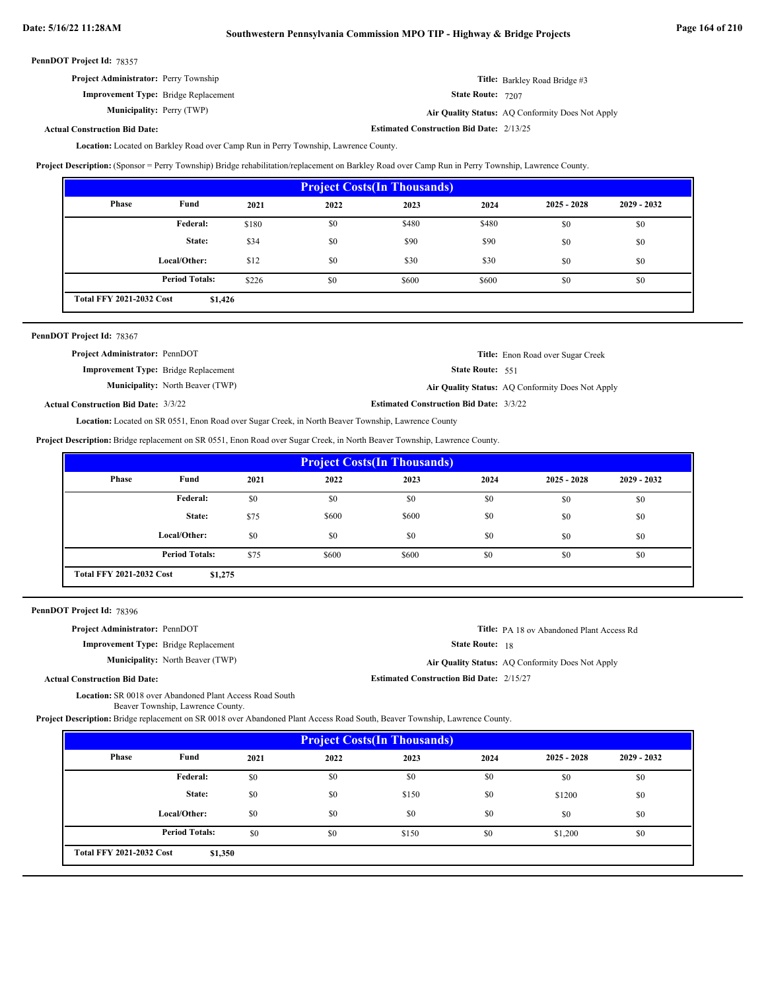**Estimated Construction Bid Date:** 2/13/25

| PennDOT Project Id: 78357 |  |
|---------------------------|--|
|---------------------------|--|

| <b>Project Administrator:</b> Perry Township | <b>Title:</b> Barkley Road Bridge #3             |
|----------------------------------------------|--------------------------------------------------|
| <b>Improvement Type:</b> Bridge Replacement  | <b>State Route: 7207</b>                         |
| <b>Municipality:</b> Perry (TWP)             | Air Quality Status: AQ Conformity Does Not Apply |

### **Actual Construction Bid Date:**

Location: Located on Barkley Road over Camp Run in Perry Township, Lawrence County.

**Project Description:** (Sponsor = Perry Township) Bridge rehabilitation/replacement on Barkley Road over Camp Run in Perry Township, Lawrence County.

| <b>Project Costs (In Thousands)</b>                                   |              |       |      |       |       |               |               |
|-----------------------------------------------------------------------|--------------|-------|------|-------|-------|---------------|---------------|
| Phase                                                                 | Fund         | 2021  | 2022 | 2023  | 2024  | $2025 - 2028$ | $2029 - 2032$ |
|                                                                       | Federal:     | \$180 | \$0  | \$480 | \$480 | \$0           | \$0           |
|                                                                       | State:       | \$34  | \$0  | \$90  | \$90  | \$0           | \$0           |
|                                                                       | Local/Other: | \$12  | \$0  | \$30  | \$30  | \$0           | \$0           |
| <b>Period Totals:</b><br>\$226<br>\$0<br>\$0<br>\$600<br>\$600<br>\$0 |              |       |      |       |       |               |               |
| <b>Total FFY 2021-2032 Cost</b><br>\$1,426                            |              |       |      |       |       |               |               |

| PennDOT Project Id: 78367                   |                                         |                                                |                                                  |
|---------------------------------------------|-----------------------------------------|------------------------------------------------|--------------------------------------------------|
| <b>Project Administrator: PennDOT</b>       |                                         |                                                | <b>Title:</b> Enon Road over Sugar Creek         |
| <b>Improvement Type:</b> Bridge Replacement |                                         | <b>State Route: 551</b>                        |                                                  |
|                                             | <b>Municipality:</b> North Beaver (TWP) |                                                | Air Quality Status: AQ Conformity Does Not Apply |
| <b>Actual Construction Bid Date: 3/3/22</b> |                                         | <b>Estimated Construction Bid Date: 3/3/22</b> |                                                  |

Location: Located on SR 0551, Enon Road over Sugar Creek, in North Beaver Township, Lawrence County

**Project Description:** Bridge replacement on SR 0551, Enon Road over Sugar Creek, in North Beaver Township, Lawrence County.

| <b>Project Costs (In Thousands)</b>                                  |              |      |       |       |      |               |               |
|----------------------------------------------------------------------|--------------|------|-------|-------|------|---------------|---------------|
| Phase                                                                | Fund         | 2021 | 2022  | 2023  | 2024 | $2025 - 2028$ | $2029 - 2032$ |
|                                                                      | Federal:     | \$0  | \$0   | \$0   | \$0  | \$0           | \$0           |
|                                                                      | State:       | \$75 | \$600 | \$600 | \$0  | \$0           | \$0           |
|                                                                      | Local/Other: | \$0  | \$0   | \$0   | \$0  | \$0           | \$0           |
| <b>Period Totals:</b><br>\$600<br>\$0<br>\$75<br>\$600<br>\$0<br>\$0 |              |      |       |       |      |               |               |
| <b>Total FFY 2021-2032 Cost</b><br>\$1,275                           |              |      |       |       |      |               |               |

| PennDOT Project Id: 78396 |  |
|---------------------------|--|
|---------------------------|--|

| <b>Project Administrator: PennDOT</b>       |                                         |                                                 | <b>Title:</b> PA 18 ov Abandoned Plant Access Rd |
|---------------------------------------------|-----------------------------------------|-------------------------------------------------|--------------------------------------------------|
| <b>Improvement Type:</b> Bridge Replacement |                                         | <b>State Route: 18</b>                          |                                                  |
|                                             | <b>Municipality:</b> North Beaver (TWP) |                                                 | Air Quality Status: AQ Conformity Does Not Apply |
| <b>Actual Construction Bid Date:</b>        |                                         | <b>Estimated Construction Bid Date: 2/15/27</b> |                                                  |

Location: SR 0018 over Abandoned Plant Access Road South

Beaver Township, Lawrence County.

**Project Description:** Bridge replacement on SR 0018 over Abandoned Plant Access Road South, Beaver Township, Lawrence County.

| <b>Project Costs (In Thousands)</b>        |                       |      |      |       |      |               |               |
|--------------------------------------------|-----------------------|------|------|-------|------|---------------|---------------|
| Phase                                      | Fund                  | 2021 | 2022 | 2023  | 2024 | $2025 - 2028$ | $2029 - 2032$ |
|                                            | Federal:              | \$0  | \$0  | \$0   | \$0  | \$0           | \$0           |
|                                            | State:                | \$0  | \$0  | \$150 | \$0  | \$1200        | \$0           |
|                                            | Local/Other:          | \$0  | \$0  | \$0   | \$0  | \$0           | \$0           |
|                                            | <b>Period Totals:</b> | \$0  | \$0  | \$150 | \$0  | \$1,200       | \$0           |
| <b>Total FFY 2021-2032 Cost</b><br>\$1,350 |                       |      |      |       |      |               |               |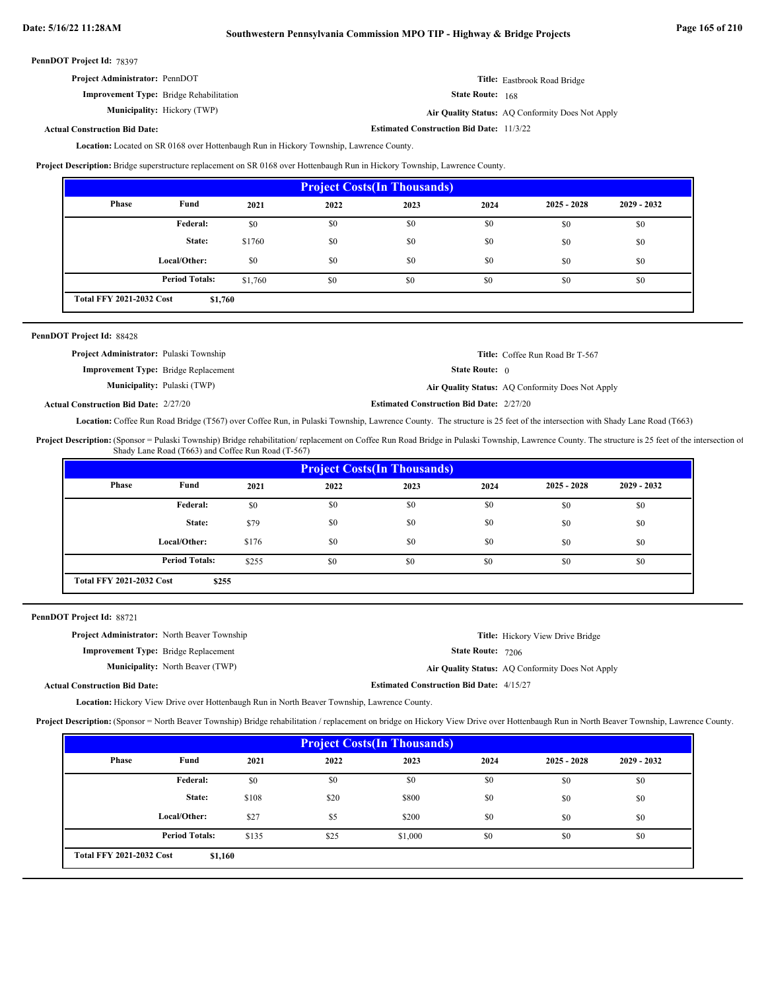**Estimated Construction Bid Date:** 11/3/22

PennDOT Project Id: 78397

| <b>Project Administrator: PennDOT</b>          | <b>Title:</b> Eastbrook Road Bridge              |
|------------------------------------------------|--------------------------------------------------|
| <b>Improvement Type:</b> Bridge Rehabilitation | <b>State Route:</b> 168                          |
| <b>Municipality:</b> Hickory (TWP)             | Air Quality Status: AQ Conformity Does Not Apply |

**Actual Construction Bid Date:**

Location: Located on SR 0168 over Hottenbaugh Run in Hickory Township, Lawrence County.

**Project Description:** Bridge superstructure replacement on SR 0168 over Hottenbaugh Run in Hickory Township, Lawrence County.

| <b>Project Costs (In Thousands)</b> |                                            |         |      |      |      |               |               |  |
|-------------------------------------|--------------------------------------------|---------|------|------|------|---------------|---------------|--|
| Phase                               | Fund                                       | 2021    | 2022 | 2023 | 2024 | $2025 - 2028$ | $2029 - 2032$ |  |
|                                     | Federal:                                   | \$0     | \$0  | \$0  | \$0  | \$0           | \$0           |  |
|                                     | State:                                     | \$1760  | \$0  | \$0  | \$0  | \$0           | \$0           |  |
|                                     | Local/Other:                               | \$0     | \$0  | \$0  | \$0  | \$0           | \$0           |  |
|                                     | <b>Period Totals:</b>                      | \$1,760 | \$0  | \$0  | \$0  | \$0           | \$0           |  |
|                                     | <b>Total FFY 2021-2032 Cost</b><br>\$1,760 |         |      |      |      |               |               |  |

|  |  | PennDOT Project Id: 88428 |  |
|--|--|---------------------------|--|
|--|--|---------------------------|--|

| <b>Project Administrator:</b> Pulaski Township |                                    |                                                 | <b>Title:</b> Coffee Run Road Br T-567           |
|------------------------------------------------|------------------------------------|-------------------------------------------------|--------------------------------------------------|
| <b>Improvement Type:</b> Bridge Replacement    |                                    | <b>State Route:</b> $\theta$                    |                                                  |
|                                                | <b>Municipality:</b> Pulaski (TWP) |                                                 | Air Quality Status: AQ Conformity Does Not Apply |
| <b>Actual Construction Bid Date: 2/27/20</b>   |                                    | <b>Estimated Construction Bid Date: 2/27/20</b> |                                                  |

Location: Coffee Run Road Bridge (T567) over Coffee Run, in Pulaski Township, Lawrence County. The structure is 25 feet of the intersection with Shady Lane Road (T663)

Project Description: (Sponsor = Pulaski Township) Bridge rehabilitation/ replacement on Coffee Run Road Bridge in Pulaski Township, Lawrence County. The structure is 25 feet of the intersection of Shady Lane Road (T663) and Coffee Run Road (T-567)

| <b>Project Costs (In Thousands)</b> |                                          |       |      |      |      |               |               |  |  |
|-------------------------------------|------------------------------------------|-------|------|------|------|---------------|---------------|--|--|
| Phase                               | Fund                                     | 2021  | 2022 | 2023 | 2024 | $2025 - 2028$ | $2029 - 2032$ |  |  |
|                                     | <b>Federal:</b>                          | \$0   | \$0  | \$0  | \$0  | \$0           | \$0           |  |  |
|                                     | State:                                   | \$79  | \$0  | \$0  | \$0  | \$0           | \$0           |  |  |
|                                     | Local/Other:                             | \$176 | \$0  | \$0  | \$0  | \$0           | \$0           |  |  |
|                                     | <b>Period Totals:</b>                    | \$255 | \$0  | \$0  | \$0  | \$0           | \$0           |  |  |
|                                     | <b>Total FFY 2021-2032 Cost</b><br>\$255 |       |      |      |      |               |               |  |  |

PennDOT Project Id: 88721

| <b>Project Administrator:</b> North Beaver Township |                                         |                                                 | <b>Title:</b> Hickory View Drive Bridge          |
|-----------------------------------------------------|-----------------------------------------|-------------------------------------------------|--------------------------------------------------|
| <b>Improvement Type:</b> Bridge Replacement         |                                         | <b>State Route: 7206</b>                        |                                                  |
|                                                     | <b>Municipality:</b> North Beaver (TWP) |                                                 | Air Quality Status: AQ Conformity Does Not Apply |
| <b>Actual Construction Bid Date:</b>                |                                         | <b>Estimated Construction Bid Date: 4/15/27</b> |                                                  |

Location: Hickory View Drive over Hottenbaugh Run in North Beaver Township, Lawrence County.

**Project Description:** (Sponsor = North Beaver Township) Bridge rehabilitation / replacement on bridge on Hickory View Drive over Hottenbaugh Run in North Beaver Township, Lawrence County.

| <b>Project Costs (In Thousands)</b>        |                       |       |      |         |      |               |             |  |  |
|--------------------------------------------|-----------------------|-------|------|---------|------|---------------|-------------|--|--|
| Phase                                      | Fund                  | 2021  | 2022 | 2023    | 2024 | $2025 - 2028$ | 2029 - 2032 |  |  |
|                                            | Federal:              | \$0   | \$0  | \$0     | \$0  | \$0           | \$0         |  |  |
|                                            | State:                | \$108 | \$20 | \$800   | \$0  | \$0           | \$0         |  |  |
|                                            | Local/Other:          | \$27  | \$5  | \$200   | \$0  | \$0           | \$0         |  |  |
|                                            | <b>Period Totals:</b> | \$135 | \$25 | \$1,000 | \$0  | \$0           | \$0         |  |  |
| <b>Total FFY 2021-2032 Cost</b><br>\$1,160 |                       |       |      |         |      |               |             |  |  |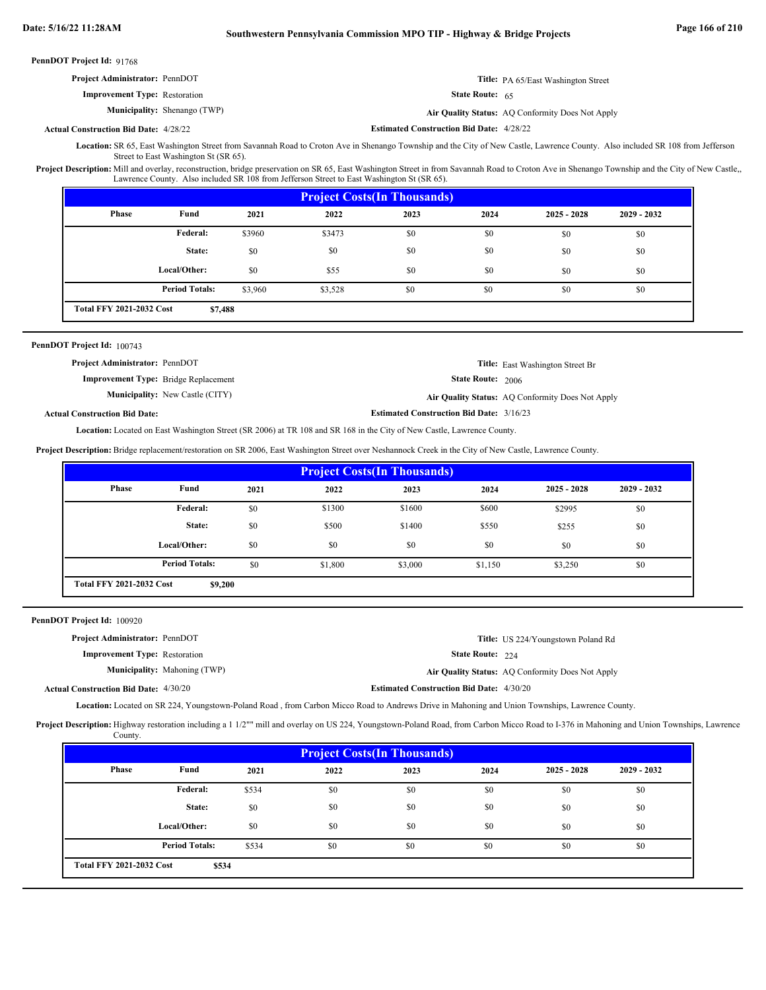| <b>Project Administrator: PennDOT</b>        |                                     |                                                 | <b>Title:</b> PA 65/East Washington Street       |
|----------------------------------------------|-------------------------------------|-------------------------------------------------|--------------------------------------------------|
| <b>Improvement Type: Restoration</b>         |                                     | <b>State Route:</b> $65$                        |                                                  |
|                                              | <b>Municipality:</b> Shenango (TWP) |                                                 | Air Quality Status: AQ Conformity Does Not Apply |
| <b>Actual Construction Bid Date: 4/28/22</b> |                                     | <b>Estimated Construction Bid Date: 4/28/22</b> |                                                  |

Location: SR 65, East Washington Street from Savannah Road to Croton Ave in Shenango Township and the City of New Castle, Lawrence County. Also included SR 108 from Jefferson Street to East Washington St (SR 65).

Project Description: Mill and overlay, reconstruction, bridge preservation on SR 65, East Washington Street in from Savannah Road to Croton Ave in Shenango Township and the City of New Castle,, Lawrence County. Also included SR 108 from Jefferson Street to East Washington St (SR 65).

| <b>Project Costs (In Thousands)</b> |                                            |         |         |      |      |               |               |  |
|-------------------------------------|--------------------------------------------|---------|---------|------|------|---------------|---------------|--|
| <b>Phase</b>                        | Fund                                       | 2021    | 2022    | 2023 | 2024 | $2025 - 2028$ | $2029 - 2032$ |  |
|                                     | Federal:                                   | \$3960  | \$3473  | \$0  | \$0  | \$0           | \$0           |  |
|                                     | State:                                     | \$0     | \$0     | \$0  | \$0  | \$0           | \$0           |  |
|                                     | Local/Other:                               | \$0     | \$55    | \$0  | \$0  | \$0           | \$0           |  |
|                                     | <b>Period Totals:</b>                      | \$3,960 | \$3,528 | \$0  | \$0  | \$0           | \$0           |  |
|                                     | <b>Total FFY 2021-2032 Cost</b><br>\$7,488 |         |         |      |      |               |               |  |

### PennDOT Project Id: 100743

| <b>Project Administrator: PennDOT</b> |                                             |                                                                                                                                                                                                                                | <b>Title:</b> East Washington Street Br          |
|---------------------------------------|---------------------------------------------|--------------------------------------------------------------------------------------------------------------------------------------------------------------------------------------------------------------------------------|--------------------------------------------------|
|                                       | <b>Improvement Type:</b> Bridge Replacement | <b>State Route: 2006</b>                                                                                                                                                                                                       |                                                  |
|                                       | <b>Municipality:</b> New Castle (CITY)      |                                                                                                                                                                                                                                | Air Quality Status: AO Conformity Does Not Apply |
|                                       |                                             | which is a construction of the construction of the construction of the construction of the construction of the construction of the construction of the construction of the construction of the construction of the constructio |                                                  |

**Actual Construction Bid Date:**

**Estimated Construction Bid Date:** 3/16/23

Location: Located on East Washington Street (SR 2006) at TR 108 and SR 168 in the City of New Castle, Lawrence County.

Project Description: Bridge replacement/restoration on SR 2006, East Washington Street over Neshannock Creek in the City of New Castle, Lawrence County.

| <b>Project Costs (In Thousands)</b> |                                            |      |         |         |         |               |               |  |
|-------------------------------------|--------------------------------------------|------|---------|---------|---------|---------------|---------------|--|
| <b>Phase</b>                        | Fund                                       | 2021 | 2022    | 2023    | 2024    | $2025 - 2028$ | $2029 - 2032$ |  |
|                                     | Federal:                                   | \$0  | \$1300  | \$1600  | \$600   | \$2995        | \$0           |  |
|                                     | State:                                     | \$0  | \$500   | \$1400  | \$550   | \$255         | \$0           |  |
|                                     | Local/Other:                               | \$0  | \$0     | \$0     | \$0     | \$0           | \$0           |  |
|                                     | <b>Period Totals:</b>                      | \$0  | \$1,800 | \$3,000 | \$1,150 | \$3,250       | \$0           |  |
|                                     | <b>Total FFY 2021-2032 Cost</b><br>\$9,200 |      |         |         |         |               |               |  |

PennDOT Project Id: 100920

| <b>Project Administrator: PennDOT</b>        |                                     |                                                 | <b>Title:</b> US 224/Youngstown Poland Rd        |
|----------------------------------------------|-------------------------------------|-------------------------------------------------|--------------------------------------------------|
| <b>Improvement Type:</b> Restoration         |                                     | <b>State Route: <math>224</math></b>            |                                                  |
|                                              | <b>Municipality:</b> Mahoning (TWP) |                                                 | Air Quality Status: AQ Conformity Does Not Apply |
| <b>Actual Construction Bid Date: 4/30/20</b> |                                     | <b>Estimated Construction Bid Date: 4/30/20</b> |                                                  |

Location: Located on SR 224, Youngstown-Poland Road, from Carbon Micco Road to Andrews Drive in Mahoning and Union Townships, Lawrence County.

Project Description: Highway restoration including a 1 1/2"" mill and overlay on US 224, Youngstown-Poland Road, from Carbon Micco Road to I-376 in Mahoning and Union Townships, Lawrence County.

| <b>Project Costs (In Thousands)</b> |                                          |       |      |      |      |               |               |  |
|-------------------------------------|------------------------------------------|-------|------|------|------|---------------|---------------|--|
| Phase                               | Fund                                     | 2021  | 2022 | 2023 | 2024 | $2025 - 2028$ | $2029 - 2032$ |  |
|                                     | Federal:                                 | \$534 | \$0  | \$0  | \$0  | \$0           | \$0           |  |
|                                     | State:                                   | \$0   | \$0  | \$0  | \$0  | \$0           | \$0           |  |
|                                     | Local/Other:                             | \$0   | \$0  | \$0  | \$0  | \$0           | \$0           |  |
|                                     | <b>Period Totals:</b>                    | \$534 | \$0  | \$0  | \$0  | \$0           | \$0           |  |
|                                     | <b>Total FFY 2021-2032 Cost</b><br>\$534 |       |      |      |      |               |               |  |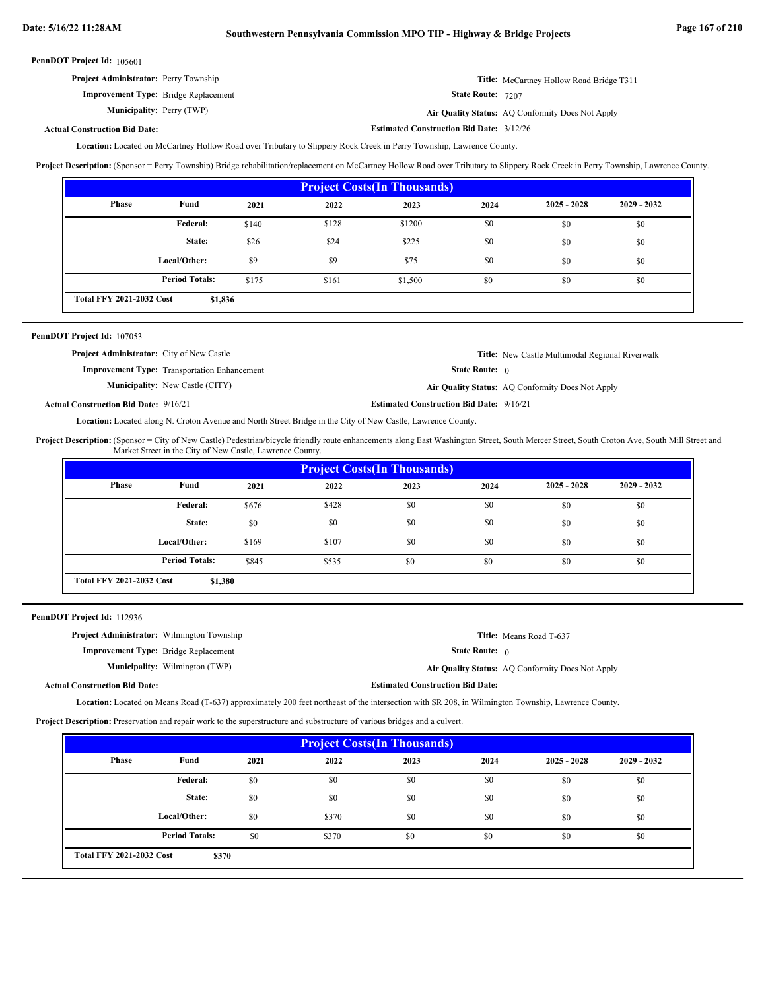| <b>Project Administrator:</b> Perry Township | Title: McCartney Hollow Road Bridge T311 |
|----------------------------------------------|------------------------------------------|
| <b>Improvement Type:</b> Bridge Replacement  | State Route: 7207                        |

**Municipality:**

State Route: 7207 Perry (TWP) **Air Quality Status:** AQ Conformity Does Not Apply

**Estimated Construction Bid Date:** 3/12/26

## **Actual Construction Bid Date:**

Location: Located on McCartney Hollow Road over Tributary to Slippery Rock Creek in Perry Township, Lawrence County.

**Project Description:** (Sponsor = Perry Township) Bridge rehabilitation/replacement on McCartney Hollow Road over Tributary to Slippery Rock Creek in Perry Township, Lawrence County.

| <b>Project Costs (In Thousands)</b>        |                       |       |       |         |      |               |               |  |
|--------------------------------------------|-----------------------|-------|-------|---------|------|---------------|---------------|--|
| Phase                                      | Fund                  | 2021  | 2022  | 2023    | 2024 | $2025 - 2028$ | $2029 - 2032$ |  |
|                                            | <b>Federal:</b>       | \$140 | \$128 | \$1200  | \$0  | \$0           | \$0           |  |
|                                            | State:                | \$26  | \$24  | \$225   | \$0  | \$0           | \$0           |  |
|                                            | Local/Other:          | \$9   | \$9   | \$75    | \$0  | \$0           | \$0           |  |
|                                            | <b>Period Totals:</b> | \$175 | \$161 | \$1,500 | \$0  | \$0           | \$0           |  |
| <b>Total FFY 2021-2032 Cost</b><br>\$1,836 |                       |       |       |         |      |               |               |  |

| <b>PennDOT Project Id: 107053</b>                |                                                     |                              |                                                  |
|--------------------------------------------------|-----------------------------------------------------|------------------------------|--------------------------------------------------|
| <b>Project Administrator:</b> City of New Castle |                                                     |                              | Title: New Castle Multimodal Regional Riverwalk  |
|                                                  | <b>Improvement Type:</b> Transportation Enhancement | <b>State Route:</b> $\theta$ |                                                  |
|                                                  | <b>Municipality:</b> New Castle (CITY)              |                              | Air Quality Status: AQ Conformity Does Not Apply |

**Estimated Construction Bid Date:** 9/16/21 9/16/21 **Actual Construction Bid Date:**

Location: Located along N. Croton Avenue and North Street Bridge in the City of New Castle, Lawrence County.

Project Description: (Sponsor = City of New Castle) Pedestrian/bicycle friendly route enhancements along East Washington Street, South Mercer Street, South Croton Ave, South Mill Street and Market Street in the City of New Castle, Lawrence County.

| <b>Project Costs (In Thousands)</b>        |                       |       |       |      |      |               |               |
|--------------------------------------------|-----------------------|-------|-------|------|------|---------------|---------------|
| Phase                                      | Fund                  | 2021  | 2022  | 2023 | 2024 | $2025 - 2028$ | $2029 - 2032$ |
|                                            | Federal:              | \$676 | \$428 | \$0  | \$0  | \$0           | \$0           |
|                                            | State:                | \$0   | \$0   | \$0  | \$0  | \$0           | \$0           |
|                                            | Local/Other:          | \$169 | \$107 | \$0  | \$0  | \$0           | \$0           |
|                                            | <b>Period Totals:</b> | \$845 | \$535 | \$0  | \$0  | \$0           | \$0           |
| <b>Total FFY 2021-2032 Cost</b><br>\$1,380 |                       |       |       |      |      |               |               |

PennDOT Project Id: 112936

| <b>Project Administrator:</b> Wilmington Township |                                       |                                         | <b>Title:</b> Means Road T-637                   |
|---------------------------------------------------|---------------------------------------|-----------------------------------------|--------------------------------------------------|
| <b>Improvement Type:</b> Bridge Replacement       |                                       | <b>State Route:</b> $\theta$            |                                                  |
|                                                   | <b>Municipality:</b> Wilmington (TWP) |                                         | Air Quality Status: AQ Conformity Does Not Apply |
| <b>Actual Construction Bid Date:</b>              |                                       | <b>Estimated Construction Bid Date:</b> |                                                  |

Location: Located on Means Road (T-637) approximately 200 feet northeast of the intersection with SR 208, in Wilmington Township, Lawrence County.

**Project Description:** Preservation and repair work to the superstructure and substructure of various bridges and a culvert.

| <b>Project Costs (In Thousands)</b> |                       |      |       |      |      |               |               |
|-------------------------------------|-----------------------|------|-------|------|------|---------------|---------------|
| <b>Phase</b>                        | Fund                  | 2021 | 2022  | 2023 | 2024 | $2025 - 2028$ | $2029 - 2032$ |
|                                     | Federal:              | \$0  | \$0   | \$0  | \$0  | \$0           | \$0           |
|                                     | State:                | \$0  | \$0   | \$0  | \$0  | \$0           | \$0           |
|                                     | Local/Other:          | \$0  | \$370 | \$0  | \$0  | \$0           | \$0           |
|                                     | <b>Period Totals:</b> | \$0  | \$370 | \$0  | \$0  | \$0           | \$0           |
| <b>Total FFY 2021-2032 Cost</b>     | \$370                 |      |       |      |      |               |               |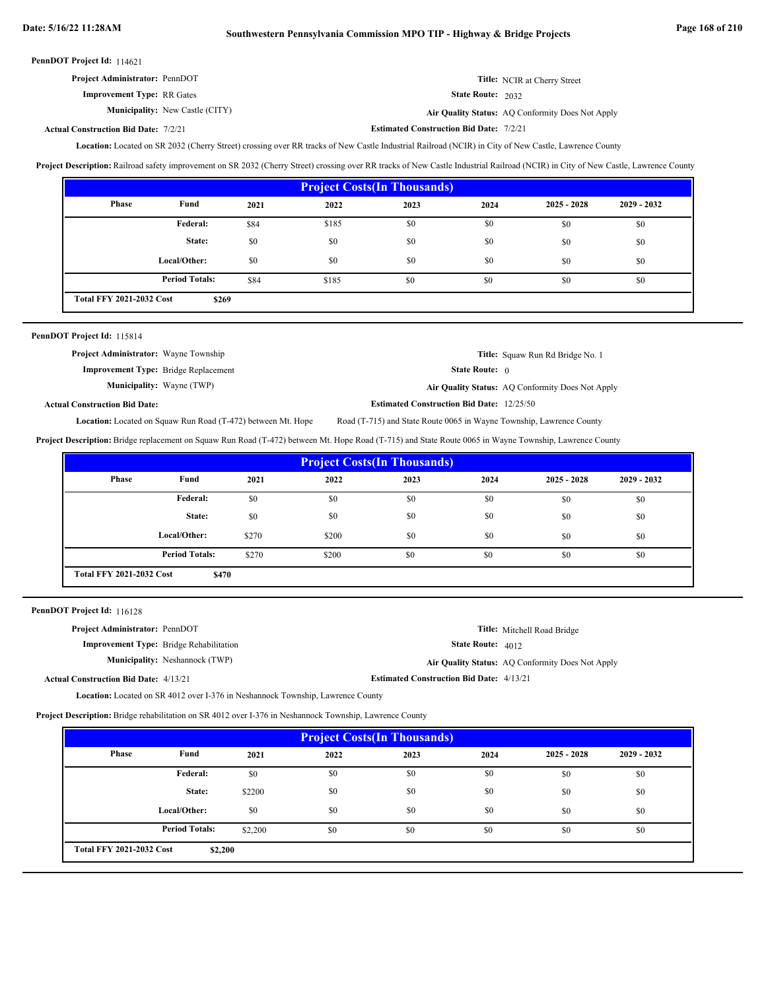| <b>Project Administrator: PennDOT</b>  | <b>Title:</b> NCIR at Cherry Street              |
|----------------------------------------|--------------------------------------------------|
| <b>Improvement Type: RR Gates</b>      | <b>State Route:</b> $2032$                       |
| <b>Municipality:</b> New Castle (CITY) | Air Quality Status: AO Conformity Does Not Apply |

New Castle (CITY) **Air Quality Status:** AQ Conformity Does Not Apply

#### **Estimated Construction Bid Date:** 7/2/21 7/2/21 **Actual Construction Bid Date:**

Location: Located on SR 2032 (Cherry Street) crossing over RR tracks of New Castle Industrial Railroad (NCIR) in City of New Castle, Lawrence County

**Project Description:** Railroad safety improvement on SR 2032 (Cherry Street) crossing over RR tracks of New Castle Industrial Railroad (NCIR) in City of New Castle, Lawrence County

| <b>Project Costs (In Thousands)</b> |                                          |      |       |      |      |               |               |
|-------------------------------------|------------------------------------------|------|-------|------|------|---------------|---------------|
| <b>Phase</b>                        | Fund                                     | 2021 | 2022  | 2023 | 2024 | $2025 - 2028$ | $2029 - 2032$ |
|                                     | Federal:                                 | \$84 | \$185 | \$0  | \$0  | \$0           | \$0           |
|                                     | State:                                   | \$0  | \$0   | \$0  | \$0  | \$0           | \$0           |
|                                     | Local/Other:                             | \$0  | \$0   | \$0  | \$0  | \$0           | \$0           |
|                                     | <b>Period Totals:</b>                    | \$84 | \$185 | \$0  | \$0  | \$0           | \$0           |
|                                     | <b>Total FFY 2021-2032 Cost</b><br>\$269 |      |       |      |      |               |               |

| PennDOT Project Id: 115814                   |                                                                     |                                                                      |                                                  |
|----------------------------------------------|---------------------------------------------------------------------|----------------------------------------------------------------------|--------------------------------------------------|
| <b>Project Administrator:</b> Wayne Township |                                                                     |                                                                      | <b>Title:</b> Squaw Run Rd Bridge No. 1          |
|                                              | <b>Improvement Type:</b> Bridge Replacement                         | <b>State Route:</b> $\theta$                                         |                                                  |
|                                              | <b>Municipality:</b> Wayne (TWP)                                    |                                                                      | Air Quality Status: AQ Conformity Does Not Apply |
| <b>Actual Construction Bid Date:</b>         |                                                                     | <b>Estimated Construction Bid Date: 12/25/50</b>                     |                                                  |
|                                              | <b>Location:</b> Located on Squaw Run Road (T-472) between Mt. Hope | Road (T-715) and State Route 0065 in Wayne Township, Lawrence County |                                                  |

**Project Description:** Bridge replacement on Squaw Run Road (T-472) between Mt. Hope Road (T-715) and State Route 0065 in Wayne Township, Lawrence County

| <b>Project Costs(In Thousands)</b>       |                       |       |       |      |      |               |               |
|------------------------------------------|-----------------------|-------|-------|------|------|---------------|---------------|
| <b>Phase</b>                             | Fund                  | 2021  | 2022  | 2023 | 2024 | $2025 - 2028$ | $2029 - 2032$ |
|                                          | <b>Federal:</b>       | \$0   | \$0   | \$0  | \$0  | \$0           | \$0           |
|                                          | State:                | \$0   | \$0   | \$0  | \$0  | \$0           | \$0           |
|                                          | Local/Other:          | \$270 | \$200 | \$0  | \$0  | \$0           | \$0           |
|                                          | <b>Period Totals:</b> | \$270 | \$200 | \$0  | \$0  | \$0           | \$0           |
| <b>Total FFY 2021-2032 Cost</b><br>\$470 |                       |       |       |      |      |               |               |

PennDOT Project Id: 116128

| <b>Project Administrator: PennDOT</b>          |                                       |                                                 | Title: Mitchell Road Bridge                      |
|------------------------------------------------|---------------------------------------|-------------------------------------------------|--------------------------------------------------|
| <b>Improvement Type:</b> Bridge Rehabilitation |                                       | <b>State Route: 4012</b>                        |                                                  |
|                                                | <b>Municipality:</b> Neshannock (TWP) |                                                 | Air Quality Status: AQ Conformity Does Not Apply |
| <b>Actual Construction Bid Date: 4/13/21</b>   |                                       | <b>Estimated Construction Bid Date: 4/13/21</b> |                                                  |

**Location:** Located on SR 4012 over I-376 in Neshannock Township, Lawrence County

**Project Description:** Bridge rehabilitation on SR 4012 over I-376 in Neshannock Township, Lawrence County

| <b>Project Costs (In Thousands)</b>        |                       |         |      |      |      |               |               |
|--------------------------------------------|-----------------------|---------|------|------|------|---------------|---------------|
| <b>Phase</b>                               | Fund                  | 2021    | 2022 | 2023 | 2024 | $2025 - 2028$ | $2029 - 2032$ |
|                                            | Federal:              | \$0     | \$0  | \$0  | \$0  | \$0           | \$0           |
|                                            | State:                | \$2200  | \$0  | \$0  | \$0  | \$0           | \$0           |
|                                            | Local/Other:          | \$0     | \$0  | \$0  | \$0  | \$0           | \$0           |
|                                            | <b>Period Totals:</b> | \$2,200 | \$0  | \$0  | \$0  | \$0           | \$0           |
| <b>Total FFY 2021-2032 Cost</b><br>\$2,200 |                       |         |      |      |      |               |               |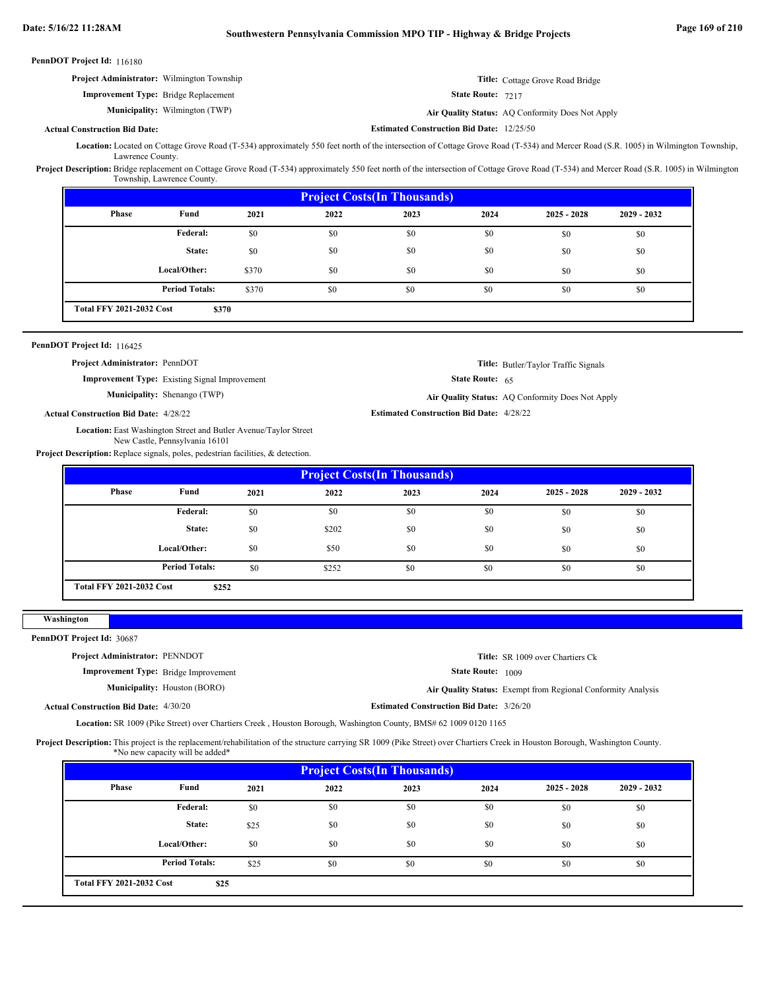PennDOT Project Id: 116180

|                           |                                                                                                                                                                                                                              | Project Administrator: Wilmington Township                                                         |       |                                                                                                                                                                                                                                        |                                                 |                          | Title: Cottage Grove Road Bridge                 |             |  |
|---------------------------|------------------------------------------------------------------------------------------------------------------------------------------------------------------------------------------------------------------------------|----------------------------------------------------------------------------------------------------|-------|----------------------------------------------------------------------------------------------------------------------------------------------------------------------------------------------------------------------------------------|-------------------------------------------------|--------------------------|--------------------------------------------------|-------------|--|
|                           |                                                                                                                                                                                                                              | <b>Improvement Type:</b> Bridge Replacement                                                        |       |                                                                                                                                                                                                                                        |                                                 | State Route: 7217        |                                                  |             |  |
|                           |                                                                                                                                                                                                                              | Municipality: Wilmington (TWP)                                                                     |       |                                                                                                                                                                                                                                        |                                                 |                          | Air Quality Status: AQ Conformity Does Not Apply |             |  |
|                           | <b>Actual Construction Bid Date:</b>                                                                                                                                                                                         |                                                                                                    |       |                                                                                                                                                                                                                                        |                                                 |                          |                                                  |             |  |
|                           |                                                                                                                                                                                                                              |                                                                                                    |       | <b>Estimated Construction Bid Date: 12/25/50</b><br>Location: Located on Cottage Grove Road (T-534) approximately 550 feet north of the intersection of Cottage Grove Road (T-534) and Mercer Road (S.R. 1005) in Wilmington Township, |                                                 |                          |                                                  |             |  |
|                           | Lawrence County.                                                                                                                                                                                                             |                                                                                                    |       |                                                                                                                                                                                                                                        |                                                 |                          |                                                  |             |  |
|                           | Project Description: Bridge replacement on Cottage Grove Road (T-534) approximately 550 feet north of the intersection of Cottage Grove Road (T-534) and Mercer Road (S.R. 1005) in Wilmington<br>Township, Lawrence County. |                                                                                                    |       |                                                                                                                                                                                                                                        |                                                 |                          |                                                  |             |  |
|                           | <b>Project Costs(In Thousands)</b>                                                                                                                                                                                           |                                                                                                    |       |                                                                                                                                                                                                                                        |                                                 |                          |                                                  |             |  |
|                           | Phase                                                                                                                                                                                                                        | Fund                                                                                               | 2021  | 2022                                                                                                                                                                                                                                   | 2023                                            | 2024                     | $2025 - 2028$                                    | 2029 - 2032 |  |
|                           |                                                                                                                                                                                                                              | Federal:                                                                                           | \$0   | \$0                                                                                                                                                                                                                                    | \$0                                             | \$0                      | \$0                                              | \$0         |  |
|                           |                                                                                                                                                                                                                              | State:                                                                                             | \$0   | \$0                                                                                                                                                                                                                                    | \$0                                             | \$0                      | \$0                                              | \$0         |  |
|                           |                                                                                                                                                                                                                              | Local/Other:                                                                                       | \$370 | \$0                                                                                                                                                                                                                                    | \$0                                             | \$0                      | \$0                                              | \$0         |  |
|                           |                                                                                                                                                                                                                              | <b>Period Totals:</b>                                                                              | \$370 | \$0                                                                                                                                                                                                                                    | \$0                                             | \$0                      | \$0                                              | \$0         |  |
|                           | <b>Total FFY 2021-2032 Cost</b>                                                                                                                                                                                              | \$370                                                                                              |       |                                                                                                                                                                                                                                        |                                                 |                          |                                                  |             |  |
|                           |                                                                                                                                                                                                                              |                                                                                                    |       |                                                                                                                                                                                                                                        |                                                 |                          |                                                  |             |  |
|                           | PennDOT Project Id: 116425                                                                                                                                                                                                   |                                                                                                    |       |                                                                                                                                                                                                                                        |                                                 |                          |                                                  |             |  |
|                           | Project Administrator: PennDOT                                                                                                                                                                                               |                                                                                                    |       |                                                                                                                                                                                                                                        |                                                 |                          | Title: Butler/Taylor Traffic Signals             |             |  |
|                           |                                                                                                                                                                                                                              | <b>Improvement Type:</b> Existing Signal Improvement                                               |       |                                                                                                                                                                                                                                        |                                                 | <b>State Route:</b> $65$ |                                                  |             |  |
|                           |                                                                                                                                                                                                                              | Municipality: Shenango (TWP)                                                                       |       |                                                                                                                                                                                                                                        |                                                 |                          | Air Quality Status: AQ Conformity Does Not Apply |             |  |
|                           | <b>Actual Construction Bid Date: 4/28/22</b>                                                                                                                                                                                 |                                                                                                    |       |                                                                                                                                                                                                                                        | <b>Estimated Construction Bid Date: 4/28/22</b> |                          |                                                  |             |  |
|                           |                                                                                                                                                                                                                              | Location: East Washington Street and Butler Avenue/Taylor Street<br>New Castle, Pennsylvania 16101 |       |                                                                                                                                                                                                                                        |                                                 |                          |                                                  |             |  |
|                           |                                                                                                                                                                                                                              | Project Description: Replace signals, poles, pedestrian facilities, & detection.                   |       |                                                                                                                                                                                                                                        |                                                 |                          |                                                  |             |  |
|                           |                                                                                                                                                                                                                              |                                                                                                    |       |                                                                                                                                                                                                                                        | <b>Project Costs(In Thousands)</b>              |                          |                                                  |             |  |
|                           | <b>Phase</b>                                                                                                                                                                                                                 | Fund                                                                                               | 2021  | 2022                                                                                                                                                                                                                                   | 2023                                            | 2024                     | $2025 - 2028$                                    | 2029 - 2032 |  |
|                           |                                                                                                                                                                                                                              | <b>Federal:</b>                                                                                    | \$0   | \$0                                                                                                                                                                                                                                    | \$0                                             | \$0                      | \$0                                              | \$0         |  |
|                           |                                                                                                                                                                                                                              | State:                                                                                             | \$0   | \$202                                                                                                                                                                                                                                  | \$0                                             | \$0                      | \$0                                              | \$0         |  |
|                           |                                                                                                                                                                                                                              | Local/Other:                                                                                       | \$0   | \$50                                                                                                                                                                                                                                   | \$0                                             | \$0                      | \$0                                              | \$0         |  |
|                           |                                                                                                                                                                                                                              | <b>Period Totals:</b>                                                                              | \$0   | \$252                                                                                                                                                                                                                                  | \$0                                             | \$0                      | \$0                                              | \$0         |  |
|                           | <b>Total FFY 2021-2032 Cost</b>                                                                                                                                                                                              | \$252                                                                                              |       |                                                                                                                                                                                                                                        |                                                 |                          |                                                  |             |  |
| Washington                |                                                                                                                                                                                                                              |                                                                                                    |       |                                                                                                                                                                                                                                        |                                                 |                          |                                                  |             |  |
| PennDOT Project Id: 30687 |                                                                                                                                                                                                                              |                                                                                                    |       |                                                                                                                                                                                                                                        |                                                 |                          |                                                  |             |  |
|                           | Project Administrator: PENNDOT                                                                                                                                                                                               |                                                                                                    |       |                                                                                                                                                                                                                                        |                                                 |                          | Title: SR 1009 over Chartiers Ck                 |             |  |
|                           |                                                                                                                                                                                                                              | <b>Improvement Type:</b> Bridge Improvement                                                        |       |                                                                                                                                                                                                                                        |                                                 | State Route: 1009        |                                                  |             |  |
|                           |                                                                                                                                                                                                                              | <b>Municipality:</b> Houston (BORO)                                                                |       |                                                                                                                                                                                                                                        |                                                 |                          |                                                  |             |  |
|                           | <b>Actual Construction Bid Date: 4/30/20</b>                                                                                                                                                                                 |                                                                                                    |       | Air Quality Status: Exempt from Regional Conformity Analysis<br><b>Estimated Construction Bid Date: 3/26/20</b>                                                                                                                        |                                                 |                          |                                                  |             |  |
|                           |                                                                                                                                                                                                                              |                                                                                                    |       | Location: SR 1009 (Pike Street) over Chartiers Creek, Houston Borough, Washington County, BMS# 62 1009 0120 1165                                                                                                                       |                                                 |                          |                                                  |             |  |
|                           |                                                                                                                                                                                                                              |                                                                                                    |       | Project Description: This project is the replacement/rehabilitation of the structure carrying SR 1009 (Pike Street) over Chartiers Creek in Houston Borough, Washington County.                                                        |                                                 |                          |                                                  |             |  |
|                           |                                                                                                                                                                                                                              | *No new capacity will be added*                                                                    |       |                                                                                                                                                                                                                                        | <b>Project Costs(In Thousands)</b>              |                          |                                                  |             |  |
|                           | Phase                                                                                                                                                                                                                        | Fund                                                                                               | 2021  | 2022                                                                                                                                                                                                                                   | 2023                                            | 2024                     | $2025 - 2028$                                    | 2029 - 2032 |  |
|                           |                                                                                                                                                                                                                              | Federal:                                                                                           | \$0   | \$0                                                                                                                                                                                                                                    | \$0                                             | \$0                      | \$0                                              | \$0         |  |
|                           |                                                                                                                                                                                                                              | State:                                                                                             | \$25  | \$0                                                                                                                                                                                                                                    | \$0                                             | \$0                      | \$0                                              | \$0         |  |
|                           |                                                                                                                                                                                                                              |                                                                                                    |       |                                                                                                                                                                                                                                        |                                                 |                          |                                                  |             |  |
|                           |                                                                                                                                                                                                                              | Local/Other:                                                                                       | \$0   | \$0                                                                                                                                                                                                                                    | \$0                                             | \$0                      | \$0                                              | \$0         |  |
|                           |                                                                                                                                                                                                                              | <b>Period Totals:</b>                                                                              |       |                                                                                                                                                                                                                                        |                                                 |                          |                                                  |             |  |

**\$25**

**Total FFY 2021-2032 Cost**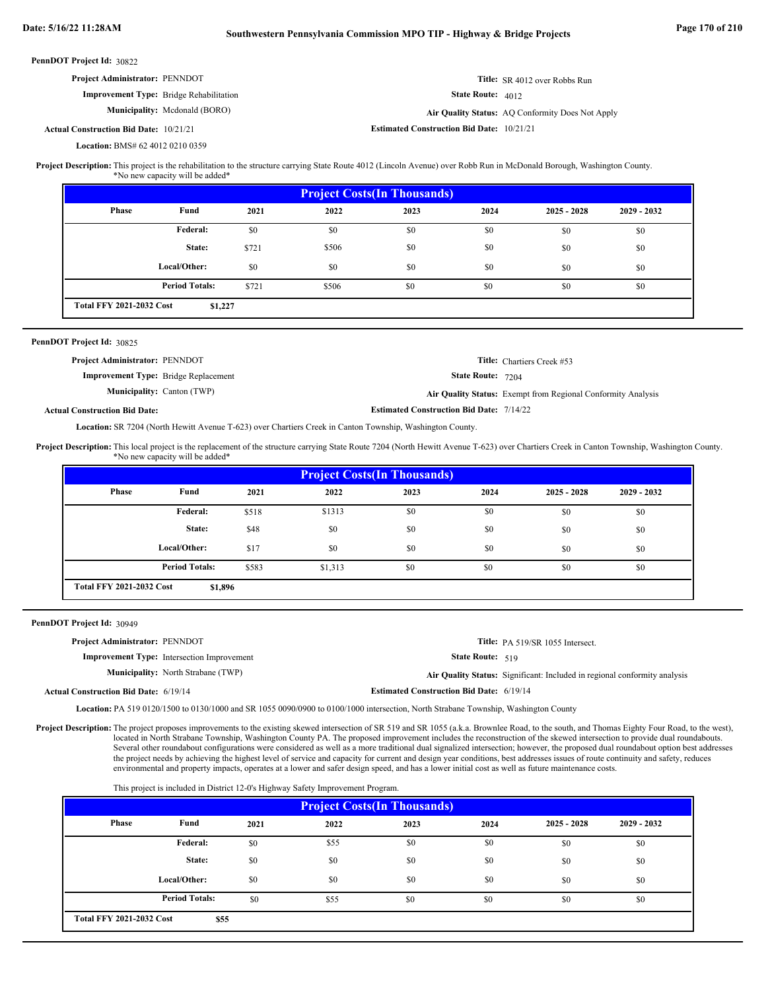| <b>PennDOT Project Id: 30822</b>               |                               |                                                  |                                                  |
|------------------------------------------------|-------------------------------|--------------------------------------------------|--------------------------------------------------|
| <b>Project Administrator: PENNDOT</b>          |                               |                                                  | <b>Title:</b> SR 4012 over Robbs Run             |
| <b>Improvement Type:</b> Bridge Rehabilitation |                               | <b>State Route: 4012</b>                         |                                                  |
|                                                | Municipality: Mcdonald (BORO) |                                                  | Air Quality Status: AQ Conformity Does Not Apply |
| <b>Actual Construction Bid Date: 10/21/21</b>  |                               | <b>Estimated Construction Bid Date: 10/21/21</b> |                                                  |
| <b>Location: BMS# 62 4012 0210 0359</b>        |                               |                                                  |                                                  |

Project Description: This project is the rehabilitation to the structure carrying State Route 4012 (Lincoln Avenue) over Robb Run in McDonald Borough, Washington County. \*No new capacity will be added\*

| <b>Project Costs (In Thousands)</b> |                       |       |       |      |      |               |               |  |  |
|-------------------------------------|-----------------------|-------|-------|------|------|---------------|---------------|--|--|
| Phase                               | Fund                  | 2021  | 2022  | 2023 | 2024 | $2025 - 2028$ | $2029 - 2032$ |  |  |
|                                     | Federal:              | \$0   | \$0   | \$0  | \$0  | \$0           | \$0           |  |  |
|                                     | State:                | \$721 | \$506 | \$0  | \$0  | \$0           | \$0           |  |  |
|                                     | Local/Other:          | \$0   | \$0   | \$0  | \$0  | \$0           | \$0           |  |  |
|                                     | <b>Period Totals:</b> | \$721 | \$506 | \$0  | \$0  | \$0           | \$0           |  |  |
| <b>Total FFY 2021-2032 Cost</b>     | \$1,227               |       |       |      |      |               |               |  |  |

### 30825 **PennDOT Project Id:**

| <b>Project Administrator: PENNDOT</b>       |                                                 | <b>Title:</b> Chartiers Creek #53                            |
|---------------------------------------------|-------------------------------------------------|--------------------------------------------------------------|
| <b>Improvement Type:</b> Bridge Replacement | <b>State Route: 7204</b>                        |                                                              |
| <b>Municipality:</b> Canton (TWP)           |                                                 | Air Quality Status: Exempt from Regional Conformity Analysis |
| <b>Actual Construction Bid Date:</b>        | <b>Estimated Construction Bid Date: 7/14/22</b> |                                                              |

# Location: SR 7204 (North Hewitt Avenue T-623) over Chartiers Creek in Canton Township, Washington County.

Project Description: This local project is the replacement of the structure carrying State Route 7204 (North Hewitt Avenue T-623) over Chartiers Creek in Canton Township, Washington County.

\*No new capacity will be added\*

| <b>Project Costs (In Thousands)</b>        |                       |       |         |      |      |               |               |  |  |
|--------------------------------------------|-----------------------|-------|---------|------|------|---------------|---------------|--|--|
| <b>Phase</b>                               | Fund                  | 2021  | 2022    | 2023 | 2024 | $2025 - 2028$ | $2029 - 2032$ |  |  |
|                                            | Federal:              | \$518 | \$1313  | \$0  | \$0  | \$0           | \$0           |  |  |
|                                            | State:                | \$48  | \$0     | \$0  | \$0  | \$0           | \$0           |  |  |
|                                            | Local/Other:          | \$17  | \$0     | \$0  | \$0  | \$0           | \$0           |  |  |
|                                            | <b>Period Totals:</b> | \$583 | \$1,313 | \$0  | \$0  | \$0           | \$0           |  |  |
| <b>Total FFY 2021-2032 Cost</b><br>\$1,896 |                       |       |         |      |      |               |               |  |  |

30949 **PennDOT Project Id:**

| <b>Project Administrator: PENNDOT</b>        |                                                   |                                                 | Title: PA 519/SR 1055 Intersect.                                          |
|----------------------------------------------|---------------------------------------------------|-------------------------------------------------|---------------------------------------------------------------------------|
|                                              | <b>Improvement Type:</b> Intersection Improvement | <b>State Route:</b> $519$                       |                                                                           |
|                                              | <b>Municipality:</b> North Strabane (TWP)         |                                                 | Air Quality Status: Significant: Included in regional conformity analysis |
| <b>Actual Construction Bid Date: 6/19/14</b> |                                                   | <b>Estimated Construction Bid Date: 6/19/14</b> |                                                                           |

Location: PA 519 0120/1500 to 0130/1000 and SR 1055 0090/0900 to 0100/1000 intersection, North Strabane Township, Washington County

Project Description: The project proposes improvements to the existing skewed intersection of SR 519 and SR 1055 (a.k.a. Brownlee Road, to the south, and Thomas Eighty Four Road, to the west), located in North Strabane Township, Washington County PA. The proposed improvement includes the reconstruction of the skewed intersection to provide dual roundabouts. Several other roundabout configurations were considered as well as a more traditional dual signalized intersection; however, the proposed dual roundabout option best addresses the project needs by achieving the highest level of service and capacity for current and design year conditions, best addresses issues of route continuity and safety, reduces environmental and property impacts, operates at a lower and safer design speed, and has a lower initial cost as well as future maintenance costs.

This project is included in District 12-0's Highway Safety Improvement Program.

| <b>Project Costs (In Thousands)</b> |                                         |      |      |      |      |               |               |  |  |
|-------------------------------------|-----------------------------------------|------|------|------|------|---------------|---------------|--|--|
| <b>Phase</b>                        | Fund                                    | 2021 | 2022 | 2023 | 2024 | $2025 - 2028$ | $2029 - 2032$ |  |  |
|                                     | <b>Federal:</b>                         | \$0  | \$55 | \$0  | \$0  | \$0           | \$0           |  |  |
|                                     | State:                                  | \$0  | \$0  | \$0  | \$0  | \$0           | \$0           |  |  |
|                                     | Local/Other:                            | \$0  | \$0  | \$0  | \$0  | \$0           | \$0           |  |  |
|                                     | <b>Period Totals:</b>                   | \$0  | \$55 | \$0  | \$0  | \$0           | \$0           |  |  |
|                                     | <b>Total FFY 2021-2032 Cost</b><br>\$55 |      |      |      |      |               |               |  |  |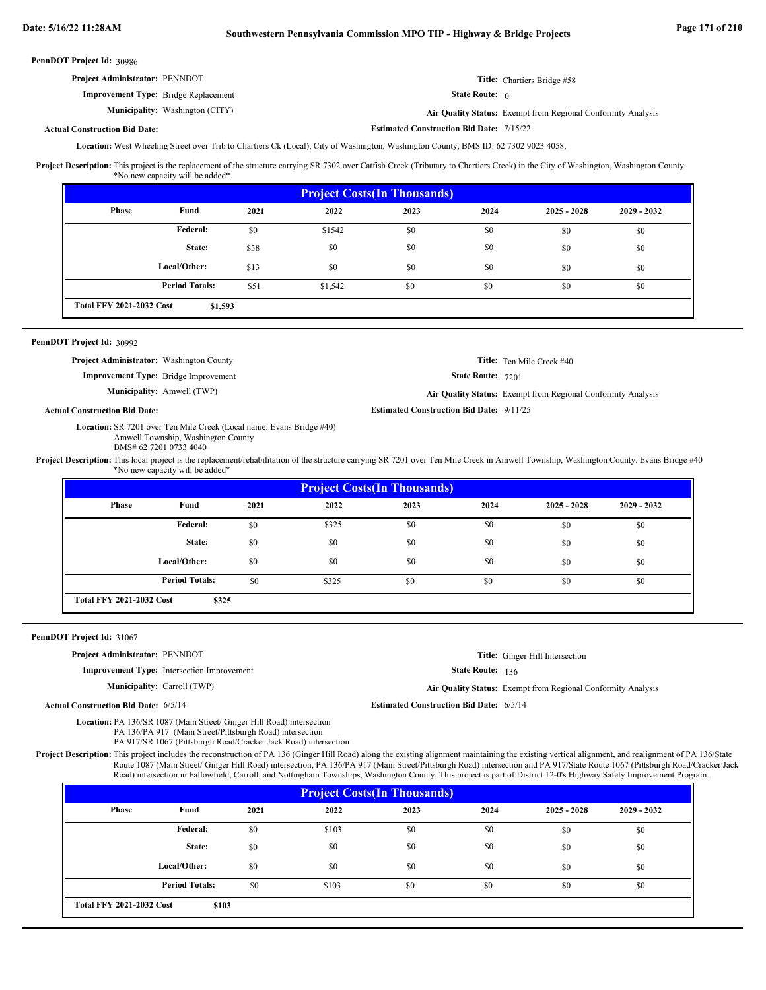**Estimated Construction Bid Date:** 7/15/22

30986 **PennDOT Project Id:**

| <b>Project Administrator: PENNDOT</b>       | Title: Chartiers Bridge #58 |
|---------------------------------------------|-----------------------------|
| <b>Improvement Type:</b> Bridge Replacement | <b>State Route:</b> 0       |

**Municipality:** Washington (CITY) **Air Quality Status:** Air Quality Status: Exempt from Regional Conformity Analysis

### **Actual Construction Bid Date:**

Location: West Wheeling Street over Trib to Chartiers Ck (Local), City of Washington, Washington County, BMS ID: 62 7302 9023 4058,

Project Description: This project is the replacement of the structure carrying SR 7302 over Catfish Creek (Tributary to Chartiers Creek) in the City of Washington, Washington County. \*No new capacity will be added\*

| <b>Project Costs (In Thousands)</b> |                       |      |         |      |      |               |             |  |  |
|-------------------------------------|-----------------------|------|---------|------|------|---------------|-------------|--|--|
| <b>Phase</b>                        | Fund                  | 2021 | 2022    | 2023 | 2024 | $2025 - 2028$ | 2029 - 2032 |  |  |
|                                     | Federal:              | \$0  | \$1542  | \$0  | \$0  | \$0           | \$0         |  |  |
|                                     | State:                | \$38 | \$0     | \$0  | \$0  | \$0           | \$0         |  |  |
|                                     | Local/Other:          | \$13 | \$0     | \$0  | \$0  | \$0           | \$0         |  |  |
|                                     | <b>Period Totals:</b> | \$51 | \$1,542 | \$0  | \$0  | \$0           | \$0         |  |  |
| <b>Total FFY 2021-2032 Cost</b>     | \$1,593               |      |         |      |      |               |             |  |  |

### 30992 **PennDOT Project Id:**

**Actual Construction Bid Date:**

| <b>Project Administrator:</b> Washington County |                                   |                                                 | <b>Title:</b> Ten Mile Creek #40                             |
|-------------------------------------------------|-----------------------------------|-------------------------------------------------|--------------------------------------------------------------|
| <b>Improvement Type:</b> Bridge Improvement     |                                   | <b>State Route: 7201</b>                        |                                                              |
|                                                 | <b>Municipality:</b> Amwell (TWP) |                                                 | Air Quality Status: Exempt from Regional Conformity Analysis |
| <b>Construction Bid Date:</b>                   |                                   | <b>Estimated Construction Bid Date: 9/11/25</b> |                                                              |

Location: SR 7201 over Ten Mile Creek (Local name: Evans Bridge #40) Amwell Township, Washington County BMS# 62 7201 0733 4040

Project Description: This local project is the replacement/rehabilitation of the structure carrying SR 7201 over Ten Mile Creek in Amwell Township, Washington County. Evans Bridge #40 \*No new capacity will be added\*

| <b>Project Costs (In Thousands)</b> |                                          |      |       |      |      |               |               |  |  |
|-------------------------------------|------------------------------------------|------|-------|------|------|---------------|---------------|--|--|
| <b>Phase</b>                        | Fund                                     | 2021 | 2022  | 2023 | 2024 | $2025 - 2028$ | $2029 - 2032$ |  |  |
|                                     | <b>Federal:</b>                          | \$0  | \$325 | \$0  | \$0  | \$0           | \$0           |  |  |
|                                     | State:                                   | \$0  | \$0   | \$0  | \$0  | \$0           | \$0           |  |  |
|                                     | Local/Other:                             | \$0  | \$0   | \$0  | \$0  | \$0           | \$0           |  |  |
|                                     | <b>Period Totals:</b>                    | \$0  | \$325 | \$0  | \$0  | \$0           | \$0           |  |  |
|                                     | <b>Total FFY 2021-2032 Cost</b><br>\$325 |      |       |      |      |               |               |  |  |

### PennDOT Project Id: 31067

### **Project Administrator:** PENNDOT

**Improvement Type:** Intersection Improvement

**Municipality:**

**Title:** Ginger Hill Intersection

State Route: 136

Carroll (TWP) **Air Quality Status:** Exempt from Regional Conformity Analysis

**Estimated Construction Bid Date:** 6/5/14 6/5/14

**Actual Construction Bid Date:**

Location: PA 136/SR 1087 (Main Street/ Ginger Hill Road) intersection PA 136/PA 917 (Main Street/Pittsburgh Road) intersection

PA 917/SR 1067 (Pittsburgh Road/Cracker Jack Road) intersection

Project Description: This project includes the reconstruction of PA 136 (Ginger Hill Road) along the existing alignment maintaining the existing vertical alignment, and realignment of PA 136/State Route 1087 (Main Street/ Ginger Hill Road) intersection, PA 136/PA 917 (Main Street/Pittsburgh Road) intersection and PA 917/State Route 1067 (Pittsburgh Road/Cracker Jack Road) intersection in Fallowfield, Carroll, and Nottingham Townships, Washington County. This project is part of District 12-0's Highway Safety Improvement Program.

| <b>Project Costs (In Thousands)</b> |                                          |      |       |      |      |               |               |  |  |
|-------------------------------------|------------------------------------------|------|-------|------|------|---------------|---------------|--|--|
| Phase                               | Fund                                     | 2021 | 2022  | 2023 | 2024 | $2025 - 2028$ | $2029 - 2032$ |  |  |
|                                     | Federal:                                 | \$0  | \$103 | \$0  | \$0  | \$0           | \$0           |  |  |
|                                     | State:                                   | \$0  | \$0   | \$0  | \$0  | \$0           | \$0           |  |  |
|                                     | Local/Other:                             | \$0  | \$0   | \$0  | \$0  | \$0           | \$0           |  |  |
|                                     | <b>Period Totals:</b>                    | \$0  | \$103 | \$0  | \$0  | \$0           | \$0           |  |  |
|                                     | <b>Total FFY 2021-2032 Cost</b><br>\$103 |      |       |      |      |               |               |  |  |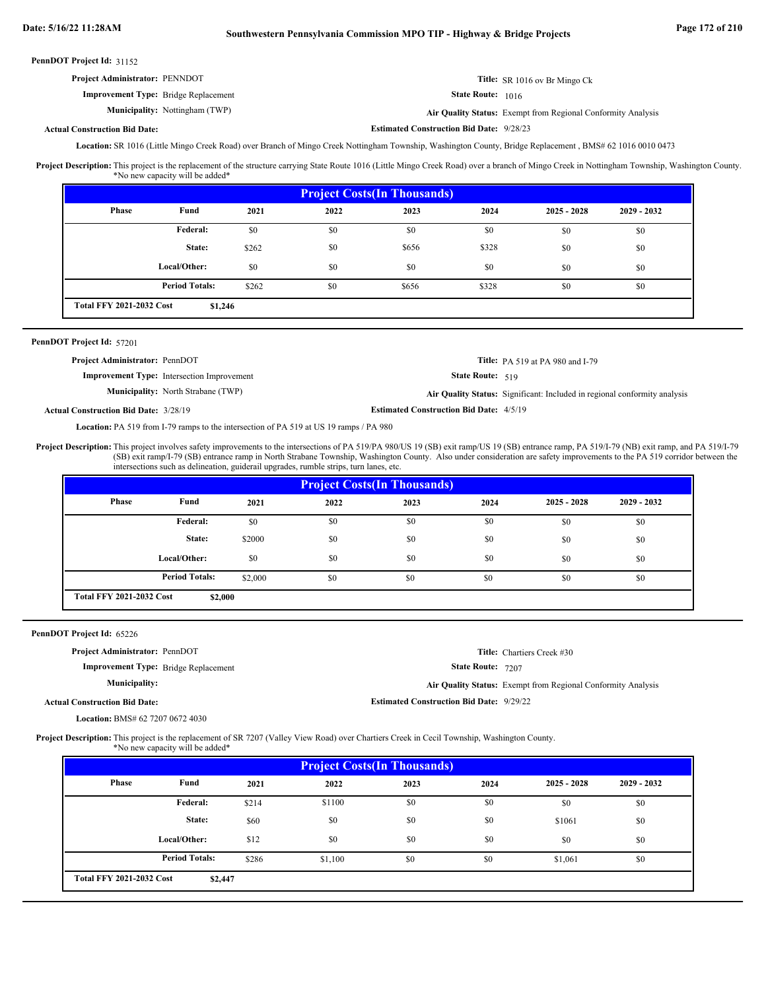**Estimated Construction Bid Date:** 9/28/23

31152 **PennDOT Project Id:**

| <b>Project Administrator: PENNDOT</b>       | Title: SR 1016 ov Br Mingo Ck |
|---------------------------------------------|-------------------------------|
| <b>Improvement Type:</b> Bridge Replacement | <b>State Route:</b> $1016$    |

Nottingham (TWP) **Air Quality Status:** Exempt from Regional Conformity Analysis

### **Actual Construction Bid Date:**

Municipality: Nottingham (TWP)

Location: SR 1016 (Little Mingo Creek Road) over Branch of Mingo Creek Nottingham Township, Washington County, Bridge Replacement, BMS# 62 1016 0010 0473

This project is the replacement of the structure carrying State Route 1016 (Little Mingo Creek Road) over a branch of Mingo Creek in Nottingham Township, Washington County. \*No new capacity will be added\* **Project Description:**

| <b>Project Costs (In Thousands)</b> |                       |       |      |       |       |               |               |
|-------------------------------------|-----------------------|-------|------|-------|-------|---------------|---------------|
| <b>Phase</b>                        | Fund                  | 2021  | 2022 | 2023  | 2024  | $2025 - 2028$ | $2029 - 2032$ |
|                                     | Federal:              | \$0   | \$0  | \$0   | \$0   | \$0           | \$0           |
|                                     | State:                | \$262 | \$0  | \$656 | \$328 | \$0           | \$0           |
|                                     | Local/Other:          | \$0   | \$0  | \$0   | \$0   | \$0           | \$0           |
|                                     | <b>Period Totals:</b> | \$262 | \$0  | \$656 | \$328 | \$0           | \$0           |
| <b>Total FFY 2021-2032 Cost</b>     | \$1,246               |       |      |       |       |               |               |

### PennDOT Project Id: 57201

| <b>Project Administrator: PennDOT</b>        |                                                   |                                                | <b>Title:</b> PA 519 at PA 980 and I-79                                   |
|----------------------------------------------|---------------------------------------------------|------------------------------------------------|---------------------------------------------------------------------------|
|                                              | <b>Improvement Type:</b> Intersection Improvement | <b>State Route:</b> $519$                      |                                                                           |
|                                              | <b>Municipality:</b> North Strabane (TWP)         |                                                | Air Quality Status: Significant: Included in regional conformity analysis |
| <b>Actual Construction Bid Date: 3/28/19</b> |                                                   | <b>Estimated Construction Bid Date: 4/5/19</b> |                                                                           |

Location: PA 519 from I-79 ramps to the intersection of PA 519 at US 19 ramps / PA 980

This project involves safety improvements to the intersections of PA 519/PA 980/US 19 (SB) exit ramp/US 19 (SB) entrance ramp, PA 519/I-79 (NB) exit ramp, and PA 519/I-79 (SB) exit ramp/I-79 (SB) entrance ramp in North Strabane Township, Washington County. Also under consideration are safety improvements to the PA 519 corridor between the intersections such as delineation, guiderail upgrades, rumble strips, turn lanes, etc. **Project Description:**

| <b>Project Costs (In Thousands)</b> |                       |         |      |      |      |               |               |
|-------------------------------------|-----------------------|---------|------|------|------|---------------|---------------|
| Phase                               | Fund                  | 2021    | 2022 | 2023 | 2024 | $2025 - 2028$ | $2029 - 2032$ |
|                                     | Federal:              | \$0     | \$0  | \$0  | \$0  | \$0           | \$0           |
|                                     | State:                | \$2000  | \$0  | \$0  | \$0  | \$0           | \$0           |
|                                     | Local/Other:          | \$0     | \$0  | \$0  | \$0  | \$0           | \$0           |
|                                     | <b>Period Totals:</b> | \$2,000 | \$0  | \$0  | \$0  | \$0           | \$0           |
| <b>Total FFY 2021-2032 Cost</b>     | \$2,000               |         |      |      |      |               |               |

PennDOT Project Id: 65226

| ---- - - - - - - - - - - - 0 <i>022</i>     |                                                 |                                                              |
|---------------------------------------------|-------------------------------------------------|--------------------------------------------------------------|
| <b>Project Administrator: PennDOT</b>       |                                                 | <b>Title:</b> Chartiers Creek #30                            |
| <b>Improvement Type:</b> Bridge Replacement | <b>State Route: 7207</b>                        |                                                              |
| Municipality:                               |                                                 | Air Quality Status: Exempt from Regional Conformity Analysis |
| <b>Actual Construction Bid Date:</b>        | <b>Estimated Construction Bid Date: 9/29/22</b> |                                                              |
|                                             |                                                 |                                                              |

BMS# 62 7207 0672 4030 **Location:**

Project Description: This project is the replacement of SR 7207 (Valley View Road) over Chartiers Creek in Cecil Township, Washington County.

| *No new capacity will be added* |  |  |
|---------------------------------|--|--|
|---------------------------------|--|--|

| <b>Project Costs (In Thousands)</b> |                       |       |         |      |      |               |               |
|-------------------------------------|-----------------------|-------|---------|------|------|---------------|---------------|
| <b>Phase</b>                        | Fund                  | 2021  | 2022    | 2023 | 2024 | $2025 - 2028$ | $2029 - 2032$ |
|                                     | Federal:              | \$214 | \$1100  | \$0  | \$0  | \$0           | \$0           |
|                                     | State:                | \$60  | \$0     | \$0  | \$0  | \$1061        | \$0           |
|                                     | Local/Other:          | \$12  | \$0     | \$0  | \$0  | \$0           | \$0           |
|                                     | <b>Period Totals:</b> | \$286 | \$1,100 | \$0  | \$0  | \$1,061       | \$0           |
| <b>Total FFY 2021-2032 Cost</b>     | \$2,447               |       |         |      |      |               |               |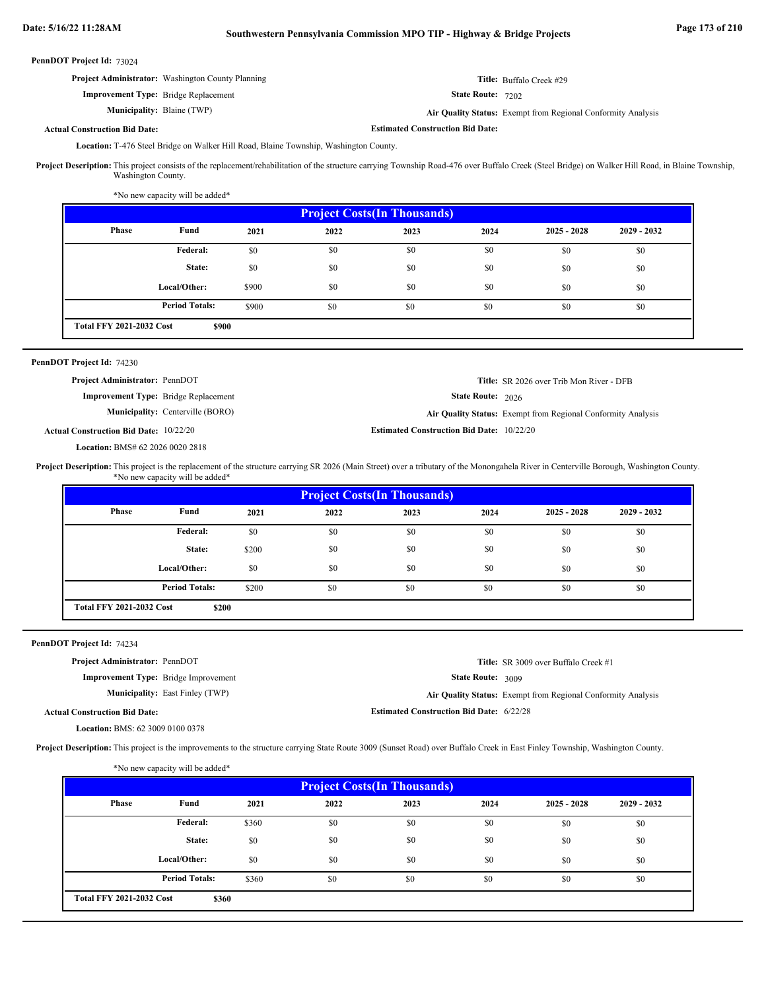# **Date: 5/16/22 11:28AM Southwestern Pennsylvania Commission MPO TIP - Highway & Bridge Projects Page 173 of 210**

| PennDOT Project Id: 73024 |  |
|---------------------------|--|
|---------------------------|--|

| <b>Project Administrator:</b> Washington County Planning | <b>Title:</b> Buffalo Creek #29                             |
|----------------------------------------------------------|-------------------------------------------------------------|
| <b>Improvement Type:</b> Bridge Replacement              | <b>State Route: 7202</b>                                    |
| <b>Municipality:</b> Blaine (TWP)                        | Air Quality Status: Exempt from Regional Conformity Analysi |

**Air Quality Status:** Exempt from Regional Conformity Analysis

**Estimated Construction Bid Date:**

State Route: 2026

**Title:** SR 2026 over Trib Mon River - DFB

### **Actual Construction Bid Date:**

Location: T-476 Steel Bridge on Walker Hill Road, Blaine Township, Washington County.

Project Description: This project consists of the replacement/rehabilitation of the structure carrying Township Road-476 over Buffalo Creek (Steel Bridge) on Walker Hill Road, in Blaine Township, Washington County.

\*No new capacity will be added\*

| <b>Project Costs (In Thousands)</b> |                       |       |      |      |      |               |               |
|-------------------------------------|-----------------------|-------|------|------|------|---------------|---------------|
| <b>Phase</b>                        | Fund                  | 2021  | 2022 | 2023 | 2024 | $2025 - 2028$ | $2029 - 2032$ |
|                                     | Federal:              | \$0   | \$0  | \$0  | \$0  | \$0           | \$0           |
|                                     | State:                | \$0   | \$0  | \$0  | \$0  | \$0           | \$0           |
|                                     | Local/Other:          | \$900 | \$0  | \$0  | \$0  | \$0           | \$0           |
|                                     | <b>Period Totals:</b> | \$900 | \$0  | \$0  | \$0  | \$0           | \$0           |
| <b>Total FFY 2021-2032 Cost</b>     | \$900                 |       |      |      |      |               |               |

### PennDOT Project Id: 74230

**Project Administrator:** PennDOT

**Improvement Type:** Bridge Replacement

**Municipality:** Centerville (BORO) Centerville (BORO) **Air Quality Status:** Exempt from Regional Conformity Analysis

**Estimated Construction Bid Date:** 10/22/20 10/22/20 **Actual Construction Bid Date:**

BMS# 62 2026 0020 2818 **Location:**

Project Description: This project is the replacement of the structure carrying SR 2026 (Main Street) over a tributary of the Monongahela River in Centerville Borough, Washington County. \*No new capacity will be added\*

| Phase | Fund                  | 2021  | 2022 | 2023 | 2024 | $2025 - 2028$ | $2029 - 2032$ |
|-------|-----------------------|-------|------|------|------|---------------|---------------|
|       | <b>Federal:</b>       | \$0   | \$0  | \$0  | \$0  | \$0           | \$0           |
|       | State:                | \$200 | \$0  | \$0  | \$0  | \$0           | \$0           |
|       | Local/Other:          | \$0   | \$0  | \$0  | \$0  | \$0           | \$0           |
|       | <b>Period Totals:</b> | \$200 | \$0  | \$0  | \$0  | \$0           | \$0           |

### PennDOT Project Id: 74234

**Project Administrator:** PennDOT

**Improvement Type:** Bridge Improvement

**Municipality:** East Finley (TWP)

**Estimated Construction Bid Date:** 6/22/28 East Finley (TWP) **Air Quality Status:** Exempt from Regional Conformity Analysis

**Title:** SR 3009 over Buffalo Creek #1

State Route: 3009

### **Actual Construction Bid Date:**

BMS: 62 3009 0100 0378 **Location:**

Project Description: This project is the improvements to the structure carrying State Route 3009 (Sunset Road) over Buffalo Creek in East Finley Township, Washington County.

| <b>Project Costs (In Thousands)</b> |                       |       |      |      |      |               |               |  |
|-------------------------------------|-----------------------|-------|------|------|------|---------------|---------------|--|
| Phase                               | Fund                  | 2021  | 2022 | 2023 | 2024 | $2025 - 2028$ | $2029 - 2032$ |  |
|                                     | <b>Federal:</b>       | \$360 | \$0  | \$0  | \$0  | \$0           | \$0           |  |
|                                     | State:                | \$0   | \$0  | \$0  | \$0  | \$0           | \$0           |  |
|                                     | Local/Other:          | \$0   | \$0  | \$0  | \$0  | \$0           | \$0           |  |
|                                     | <b>Period Totals:</b> | \$360 | \$0  | \$0  | \$0  | \$0           | \$0           |  |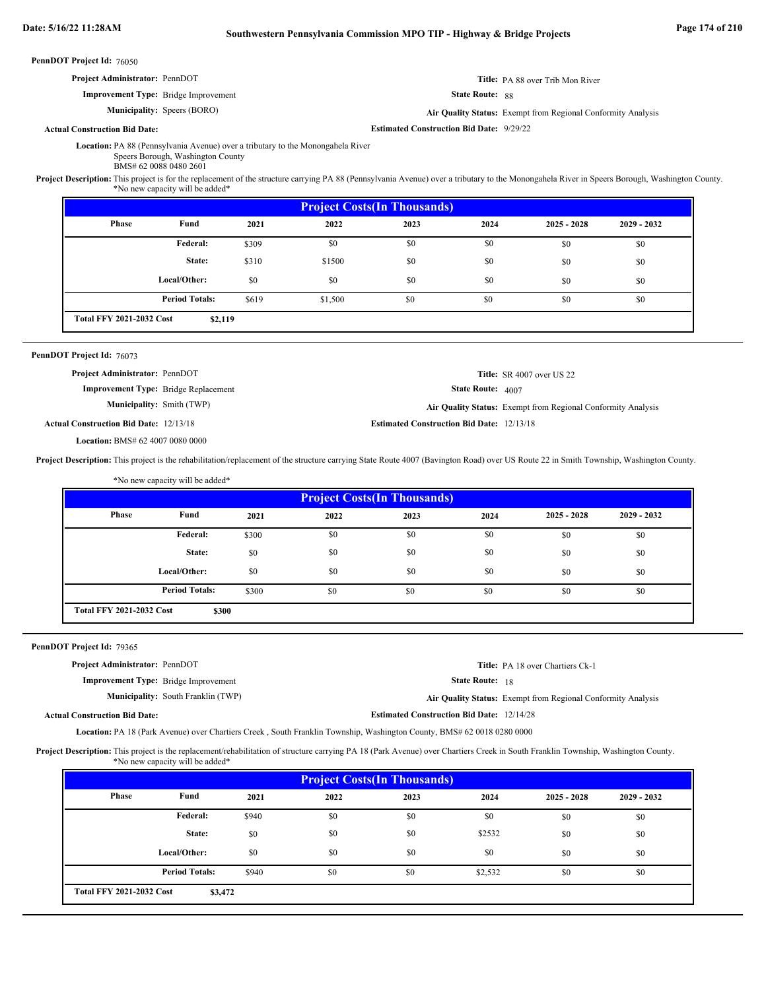|                                      | Date: 5/16/22 11:28AM                                                                                                                                                                          |                                                                                                                                                                                   |       | Southwestern Pennsylvania Commission MPO TIP - Highway & Bridge Projects |                                                 |                   |                                                              | Page 174 of 210 |  |
|--------------------------------------|------------------------------------------------------------------------------------------------------------------------------------------------------------------------------------------------|-----------------------------------------------------------------------------------------------------------------------------------------------------------------------------------|-------|--------------------------------------------------------------------------|-------------------------------------------------|-------------------|--------------------------------------------------------------|-----------------|--|
|                                      | PennDOT Project Id: 76050                                                                                                                                                                      |                                                                                                                                                                                   |       |                                                                          |                                                 |                   |                                                              |                 |  |
|                                      | Project Administrator: PennDOT                                                                                                                                                                 |                                                                                                                                                                                   |       |                                                                          |                                                 |                   | Title: PA 88 over Trib Mon River                             |                 |  |
|                                      |                                                                                                                                                                                                | <b>Improvement Type:</b> Bridge Improvement                                                                                                                                       |       | State Route: 88                                                          |                                                 |                   |                                                              |                 |  |
|                                      |                                                                                                                                                                                                | <b>Municipality:</b> Speers (BORO)                                                                                                                                                |       |                                                                          |                                                 |                   | Air Quality Status: Exempt from Regional Conformity Analysis |                 |  |
| <b>Actual Construction Bid Date:</b> |                                                                                                                                                                                                |                                                                                                                                                                                   |       |                                                                          | <b>Estimated Construction Bid Date: 9/29/22</b> |                   |                                                              |                 |  |
|                                      | Project Description: This project is for the replacement of the structure carrying PA 88 (Pennsylvania Avenue) over a tributary to the Monongahela River in Speers Borough, Washington County. | Location: PA 88 (Pennsylvania Avenue) over a tributary to the Monongahela River<br>Speers Borough, Washington County<br>BMS# 62 0088 0480 2601<br>*No new capacity will be added* |       |                                                                          |                                                 |                   |                                                              |                 |  |
|                                      |                                                                                                                                                                                                |                                                                                                                                                                                   |       |                                                                          | <b>Project Costs(In Thousands)</b>              |                   |                                                              |                 |  |
|                                      | Phase                                                                                                                                                                                          | Fund                                                                                                                                                                              | 2021  | 2022                                                                     | 2023                                            | 2024              | $2025 - 2028$                                                | $2029 - 2032$   |  |
|                                      |                                                                                                                                                                                                | Federal:                                                                                                                                                                          | \$309 | \$0                                                                      | \$0                                             | \$0               | \$0                                                          | \$0             |  |
|                                      |                                                                                                                                                                                                | State:                                                                                                                                                                            | \$310 | \$1500                                                                   | \$0                                             | \$0               | \$0                                                          | \$0             |  |
|                                      |                                                                                                                                                                                                | Local/Other:                                                                                                                                                                      | \$0   | \$0                                                                      | \$0                                             | \$0               | \$0                                                          | \$0             |  |
|                                      |                                                                                                                                                                                                | <b>Period Totals:</b>                                                                                                                                                             | \$619 | \$1,500                                                                  | \$0                                             | \$0               | \$0                                                          | \$0             |  |
|                                      | <b>Total FFY 2021-2032 Cost</b>                                                                                                                                                                | \$2,119                                                                                                                                                                           |       |                                                                          |                                                 |                   |                                                              |                 |  |
|                                      | PennDOT Project Id: 76073                                                                                                                                                                      |                                                                                                                                                                                   |       |                                                                          |                                                 |                   |                                                              |                 |  |
|                                      | Project Administrator: PennDOT                                                                                                                                                                 |                                                                                                                                                                                   |       |                                                                          |                                                 |                   | <b>Title:</b> SR 4007 over US 22                             |                 |  |
|                                      |                                                                                                                                                                                                | <b>Improvement Type:</b> Bridge Replacement                                                                                                                                       |       |                                                                          |                                                 | State Route: 4007 |                                                              |                 |  |
|                                      |                                                                                                                                                                                                | <b>Municipality:</b> Smith (TWP)                                                                                                                                                  |       |                                                                          |                                                 |                   | Air Quality Status: Exempt from Regional Conformity Analysis |                 |  |

**Estimated Construction Bid Date:** 12/13/18 12/13/18 **Actual Construction Bid Date:**

BMS# 62 4007 0080 0000 **Location:**

Project Description: This project is the rehabilitation/replacement of the structure carrying State Route 4007 (Bavington Road) over US Route 22 in Smith Township, Washington County.

|       | *No new capacity will be added*          |       |      |      |      |               |               |  |  |  |
|-------|------------------------------------------|-------|------|------|------|---------------|---------------|--|--|--|
|       | <b>Project Costs(In Thousands)</b>       |       |      |      |      |               |               |  |  |  |
| Phase | Fund                                     | 2021  | 2022 | 2023 | 2024 | $2025 - 2028$ | $2029 - 2032$ |  |  |  |
|       | Federal:                                 | \$300 | \$0  | \$0  | \$0  | \$0           | \$0           |  |  |  |
|       | State:                                   | \$0   | \$0  | \$0  | \$0  | \$0           | \$0           |  |  |  |
|       | Local/Other:                             | \$0   | \$0  | \$0  | \$0  | \$0           | \$0           |  |  |  |
|       | <b>Period Totals:</b>                    | \$300 | \$0  | \$0  | \$0  | \$0           | \$0           |  |  |  |
|       | <b>Total FFY 2021-2032 Cost</b><br>\$300 |       |      |      |      |               |               |  |  |  |

State Route: 18

**Estimated Construction Bid Date:** 12/14/28

**Title:** PA 18 over Chartiers Ck-1

### PennDOT Project Id: 79365

**Project Administrator:** PennDOT

**Improvement Type:** Bridge Improvement

Municipality: South Franklin (TWP) South Franklin (TWP) **Air Quality Status:** Exempt from Regional Conformity Analysis

**Actual Construction Bid Date:**

Location: PA 18 (Park Avenue) over Chartiers Creek, South Franklin Township, Washington County, BMS# 62 0018 0280 0000

Project Description: This project is the replacement/rehabilitation of structure carrying PA 18 (Park Avenue) over Chartiers Creek in South Franklin Township, Washington County. \*No new capacity will be added\*

| <b>Project Costs (In Thousands)</b> |                                            |       |      |      |         |               |               |  |
|-------------------------------------|--------------------------------------------|-------|------|------|---------|---------------|---------------|--|
| Phase                               | Fund                                       | 2021  | 2022 | 2023 | 2024    | $2025 - 2028$ | $2029 - 2032$ |  |
|                                     | Federal:                                   | \$940 | \$0  | \$0  | \$0     | \$0           | \$0           |  |
|                                     | State:                                     | \$0   | \$0  | \$0  | \$2532  | \$0           | \$0           |  |
|                                     | Local/Other:                               | \$0   | \$0  | \$0  | \$0     | \$0           | \$0           |  |
|                                     | <b>Period Totals:</b>                      | \$940 | \$0  | \$0  | \$2,532 | \$0           | \$0           |  |
|                                     | <b>Total FFY 2021-2032 Cost</b><br>\$3,472 |       |      |      |         |               |               |  |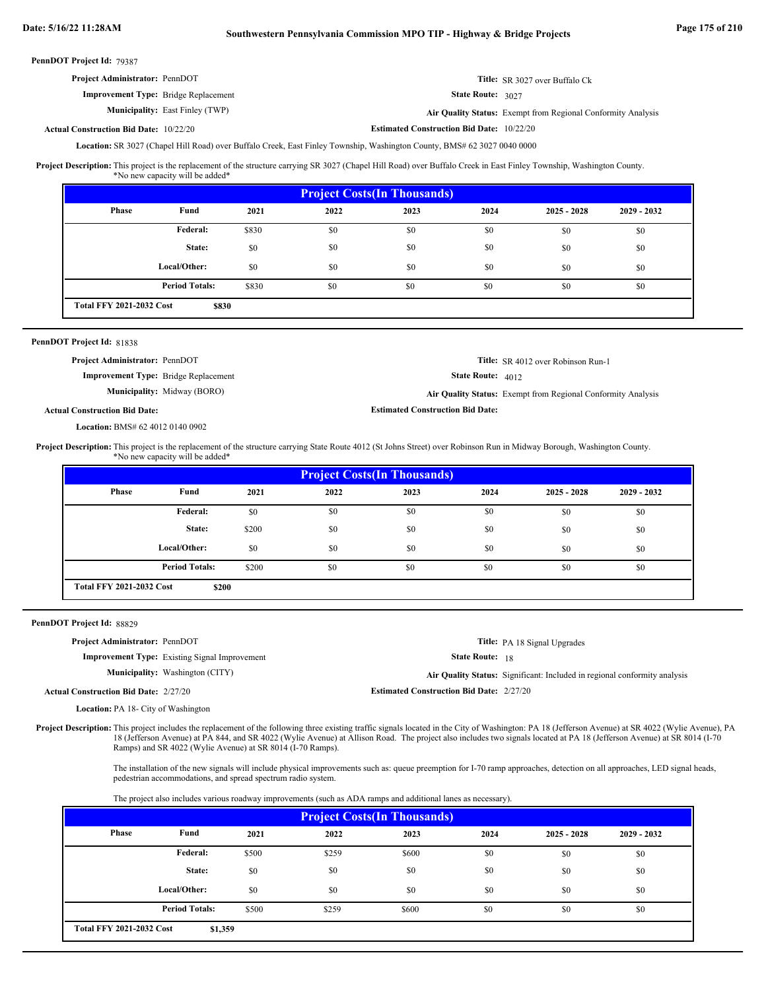| Date: 5/16/22 11:28AM                                                                                                                                                                                                                              |                                                                                         |       | Southwestern Pennsylvania Commission MPO TIP - Highway & Bridge Projects                                                 |                                                  |                        |                                                                                                                                                                                  |             | Page 175 of 210 |
|----------------------------------------------------------------------------------------------------------------------------------------------------------------------------------------------------------------------------------------------------|-----------------------------------------------------------------------------------------|-------|--------------------------------------------------------------------------------------------------------------------------|--------------------------------------------------|------------------------|----------------------------------------------------------------------------------------------------------------------------------------------------------------------------------|-------------|-----------------|
| PennDOT Project Id: 79387                                                                                                                                                                                                                          |                                                                                         |       |                                                                                                                          |                                                  |                        |                                                                                                                                                                                  |             |                 |
| Project Administrator: PennDOT                                                                                                                                                                                                                     |                                                                                         |       |                                                                                                                          |                                                  |                        | Title: SR 3027 over Buffalo Ck                                                                                                                                                   |             |                 |
|                                                                                                                                                                                                                                                    | <b>Improvement Type:</b> Bridge Replacement                                             |       |                                                                                                                          |                                                  | State Route: 3027      |                                                                                                                                                                                  |             |                 |
|                                                                                                                                                                                                                                                    | <b>Municipality:</b> East Finley (TWP)                                                  |       |                                                                                                                          |                                                  |                        | Air Quality Status: Exempt from Regional Conformity Analysis                                                                                                                     |             |                 |
| <b>Actual Construction Bid Date: 10/22/20</b>                                                                                                                                                                                                      |                                                                                         |       |                                                                                                                          | <b>Estimated Construction Bid Date: 10/22/20</b> |                        |                                                                                                                                                                                  |             |                 |
|                                                                                                                                                                                                                                                    |                                                                                         |       | Location: SR 3027 (Chapel Hill Road) over Buffalo Creek, East Finley Township, Washington County, BMS# 62 3027 0040 0000 |                                                  |                        |                                                                                                                                                                                  |             |                 |
| Project Description: This project is the replacement of the structure carrying SR 3027 (Chapel Hill Road) over Buffalo Creek in East Finley Township, Washington County.                                                                           | *No new capacity will be added*                                                         |       |                                                                                                                          |                                                  |                        |                                                                                                                                                                                  |             |                 |
|                                                                                                                                                                                                                                                    |                                                                                         |       |                                                                                                                          | <b>Project Costs(In Thousands)</b>               |                        |                                                                                                                                                                                  |             |                 |
| Phase                                                                                                                                                                                                                                              | Fund                                                                                    | 2021  | 2022                                                                                                                     | 2023                                             | 2024                   | $2025 - 2028$                                                                                                                                                                    | 2029 - 2032 |                 |
|                                                                                                                                                                                                                                                    | Federal:                                                                                | \$830 | \$0                                                                                                                      | \$0                                              | \$0                    | \$0                                                                                                                                                                              | \$0         |                 |
|                                                                                                                                                                                                                                                    | State:                                                                                  | \$0   | \$0                                                                                                                      | \$0                                              | \$0                    | \$0                                                                                                                                                                              | \$0         |                 |
|                                                                                                                                                                                                                                                    | Local/Other:                                                                            | \$0   | \$0                                                                                                                      | \$0                                              | \$0                    | \$0                                                                                                                                                                              | \$0         |                 |
|                                                                                                                                                                                                                                                    | <b>Period Totals:</b>                                                                   | \$830 | \$0                                                                                                                      | \$0                                              | \$0                    | \$0                                                                                                                                                                              | \$0         |                 |
| <b>Total FFY 2021-2032 Cost</b>                                                                                                                                                                                                                    | \$830                                                                                   |       |                                                                                                                          |                                                  |                        |                                                                                                                                                                                  |             |                 |
| PennDOT Project Id: 81838                                                                                                                                                                                                                          |                                                                                         |       |                                                                                                                          |                                                  |                        |                                                                                                                                                                                  |             |                 |
| Project Administrator: PennDOT                                                                                                                                                                                                                     |                                                                                         |       |                                                                                                                          |                                                  |                        | Title: SR 4012 over Robinson Run-1                                                                                                                                               |             |                 |
|                                                                                                                                                                                                                                                    | <b>Improvement Type:</b> Bridge Replacement                                             |       |                                                                                                                          |                                                  | State Route: 4012      |                                                                                                                                                                                  |             |                 |
|                                                                                                                                                                                                                                                    | Municipality: Midway (BORO)                                                             |       |                                                                                                                          |                                                  |                        | Air Quality Status: Exempt from Regional Conformity Analysis                                                                                                                     |             |                 |
| <b>Actual Construction Bid Date:</b>                                                                                                                                                                                                               |                                                                                         |       |                                                                                                                          | <b>Estimated Construction Bid Date:</b>          |                        |                                                                                                                                                                                  |             |                 |
| Location: BMS# 62 4012 0140 0902                                                                                                                                                                                                                   |                                                                                         |       |                                                                                                                          |                                                  |                        |                                                                                                                                                                                  |             |                 |
|                                                                                                                                                                                                                                                    |                                                                                         |       |                                                                                                                          |                                                  |                        |                                                                                                                                                                                  |             |                 |
| Project Description: This project is the replacement of the structure carrying State Route 4012 (St Johns Street) over Robinson Run in Midway Borough, Washington County.                                                                          | *No new capacity will be added*                                                         |       |                                                                                                                          |                                                  |                        |                                                                                                                                                                                  |             |                 |
|                                                                                                                                                                                                                                                    |                                                                                         |       |                                                                                                                          | <b>Project Costs(In Thousands)</b>               |                        |                                                                                                                                                                                  |             |                 |
| Phase                                                                                                                                                                                                                                              | Fund                                                                                    | 2021  | 2022                                                                                                                     | 2023                                             | 2024                   | $2025 - 2028$                                                                                                                                                                    | 2029 - 2032 |                 |
|                                                                                                                                                                                                                                                    | Federal:                                                                                | \$0   | \$0                                                                                                                      | \$0                                              | \$0                    | \$0                                                                                                                                                                              | \$0         |                 |
|                                                                                                                                                                                                                                                    | State:                                                                                  | \$200 | \$0                                                                                                                      | \$0                                              | \$0                    | \$0                                                                                                                                                                              | \$0         |                 |
|                                                                                                                                                                                                                                                    | Local/Other:                                                                            | \$0   | \$0                                                                                                                      | \$0                                              | \$0                    |                                                                                                                                                                                  |             |                 |
|                                                                                                                                                                                                                                                    |                                                                                         |       |                                                                                                                          |                                                  |                        | \$0                                                                                                                                                                              | \$0         |                 |
| <b>Total FFY 2021-2032 Cost</b>                                                                                                                                                                                                                    | <b>Period Totals:</b><br>\$200                                                          | \$200 | \$0                                                                                                                      | \$0                                              | \$0                    | \$0                                                                                                                                                                              | \$0         |                 |
|                                                                                                                                                                                                                                                    |                                                                                         |       |                                                                                                                          |                                                  |                        |                                                                                                                                                                                  |             |                 |
| PennDOT Project Id: 88829                                                                                                                                                                                                                          |                                                                                         |       |                                                                                                                          |                                                  |                        |                                                                                                                                                                                  |             |                 |
| Project Administrator: PennDOT                                                                                                                                                                                                                     |                                                                                         |       |                                                                                                                          |                                                  |                        | Title: PA 18 Signal Upgrades                                                                                                                                                     |             |                 |
|                                                                                                                                                                                                                                                    | <b>Improvement Type:</b> Existing Signal Improvement<br>Municipality: Washington (CITY) |       |                                                                                                                          |                                                  | <b>State Route: 18</b> |                                                                                                                                                                                  |             |                 |
|                                                                                                                                                                                                                                                    |                                                                                         |       |                                                                                                                          |                                                  |                        | Air Quality Status: Significant: Included in regional conformity analysis                                                                                                        |             |                 |
| <b>Actual Construction Bid Date: 2/27/20</b>                                                                                                                                                                                                       |                                                                                         |       |                                                                                                                          | <b>Estimated Construction Bid Date: 2/27/20</b>  |                        |                                                                                                                                                                                  |             |                 |
| <b>Location: PA 18- City of Washington</b><br>Project Description: This project includes the replacement of the following three existing traffic signals located in the City of Washington: PA 18 (Jefferson Avenue) at SR 4022 (Wylie Avenue), PA | Ramps) and SR 4022 (Wylie Avenue) at SR 8014 (I-70 Ramps).                              |       |                                                                                                                          |                                                  |                        | 170 1670 18 (Jefferson Avenue) at PA 844, and SR 4022 (Wylie Avenue) at Allison Road. The project also includes two signals located at PA 18 (Jefferson Avenue) at SR 8014 (I-70 |             |                 |
|                                                                                                                                                                                                                                                    | pedestrian accommodations, and spread spectrum radio system.                            |       |                                                                                                                          |                                                  |                        | The installation of the new signals will include physical improvements such as: queue preemption for I-70 ramp approaches, detection on all approaches, LED signal heads,        |             |                 |

| <b>Project Costs (In Thousands)</b> |                                            |       |       |       |      |               |               |  |  |
|-------------------------------------|--------------------------------------------|-------|-------|-------|------|---------------|---------------|--|--|
| Phase                               | Fund                                       | 2021  | 2022  | 2023  | 2024 | $2025 - 2028$ | $2029 - 2032$ |  |  |
|                                     | Federal:                                   | \$500 | \$259 | \$600 | \$0  | \$0           | \$0           |  |  |
|                                     | State:                                     | \$0   | \$0   | \$0   | \$0  | \$0           | \$0           |  |  |
|                                     | Local/Other:                               | \$0   | \$0   | \$0   | \$0  | \$0           | \$0           |  |  |
|                                     | <b>Period Totals:</b>                      | \$500 | \$259 | \$600 | \$0  | \$0           | \$0           |  |  |
|                                     | <b>Total FFY 2021-2032 Cost</b><br>\$1,359 |       |       |       |      |               |               |  |  |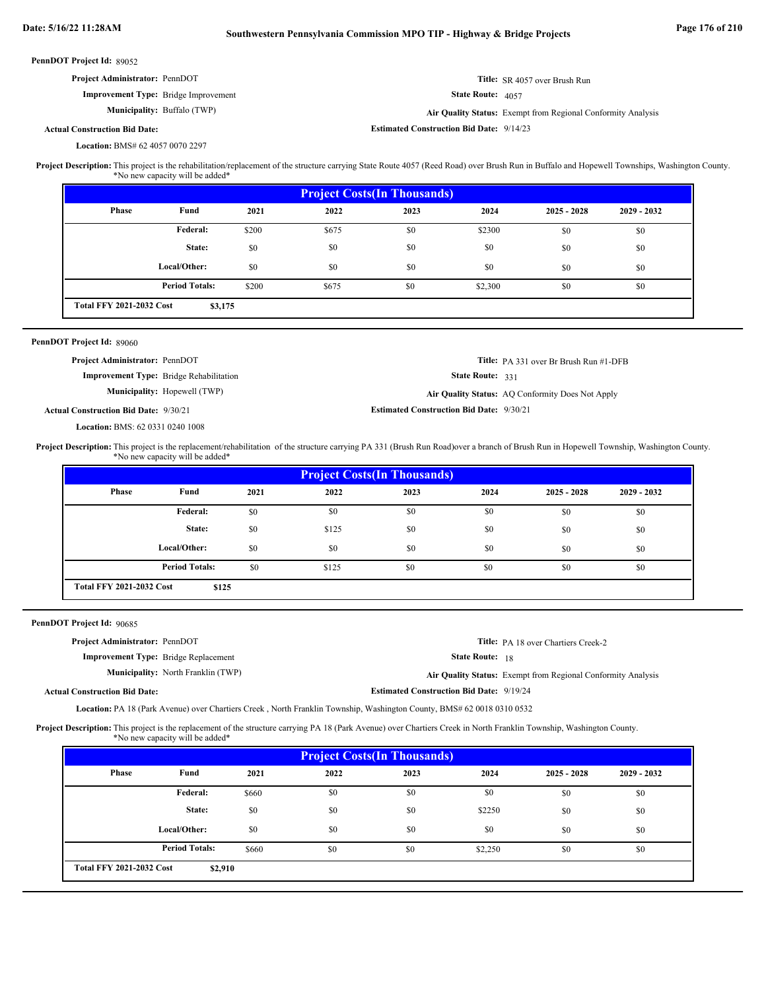| PennDOT Project Id: 89052 |  |
|---------------------------|--|
|---------------------------|--|

| <b>Project Administrator: PennDOT</b>       |                                    |                                                 | <b>Title:</b> SR 4057 over Brush Run                         |
|---------------------------------------------|------------------------------------|-------------------------------------------------|--------------------------------------------------------------|
| <b>Improvement Type:</b> Bridge Improvement |                                    | <b>State Route:</b> $4057$                      |                                                              |
|                                             | <b>Municipality:</b> Buffalo (TWP) |                                                 | Air Quality Status: Exempt from Regional Conformity Analysis |
| <b>Actual Construction Bid Date:</b>        |                                    | <b>Estimated Construction Bid Date: 9/14/23</b> |                                                              |

# BMS# 62 4057 0070 2297 **Location:**

This project is the rehabilitation/replacement of the structure carrying State Route 4057 (Reed Road) over Brush Run in Buffalo and Hopewell Townships, Washington County. \*No new capacity will be added\* **Project Description:**

| <b>Project Costs (In Thousands)</b> |                                            |       |       |      |         |               |               |  |  |
|-------------------------------------|--------------------------------------------|-------|-------|------|---------|---------------|---------------|--|--|
| <b>Phase</b>                        | Fund                                       | 2021  | 2022  | 2023 | 2024    | $2025 - 2028$ | $2029 - 2032$ |  |  |
|                                     | Federal:                                   | \$200 | \$675 | \$0  | \$2300  | \$0           | \$0           |  |  |
|                                     | State:                                     | \$0   | \$0   | \$0  | \$0     | \$0           | \$0           |  |  |
|                                     | Local/Other:                               | \$0   | \$0   | \$0  | \$0     | \$0           | \$0           |  |  |
|                                     | <b>Period Totals:</b>                      | \$200 | \$675 | \$0  | \$2,300 | \$0           | \$0           |  |  |
|                                     | <b>Total FFY 2021-2032 Cost</b><br>\$3,175 |       |       |      |         |               |               |  |  |

### PennDOT Project Id: 89060

Actu

| <b>Project Administrator: PennDOT</b>          |                                     |                                                 | <b>Title:</b> PA 331 over Br Brush Run #1-DFB    |
|------------------------------------------------|-------------------------------------|-------------------------------------------------|--------------------------------------------------|
| <b>Improvement Type:</b> Bridge Rehabilitation |                                     | State Route: 331                                |                                                  |
|                                                | <b>Municipality:</b> Hopewell (TWP) |                                                 | Air Quality Status: AQ Conformity Does Not Apply |
| al Construction Bid Date: 9/30/21              |                                     | <b>Estimated Construction Bid Date: 9/30/21</b> |                                                  |

BMS: 62 0331 0240 1008 **Location:**

This project is the replacement/rehabilitation of the structure carrying PA 331 (Brush Run Road)over a branch of Brush Run in Hopewell Township, Washington County. \*No new capacity will be added\* **Project Description:**

| <b>Project Costs (In Thousands)</b> |                                          |      |       |      |      |               |               |  |  |
|-------------------------------------|------------------------------------------|------|-------|------|------|---------------|---------------|--|--|
| Phase                               | Fund                                     | 2021 | 2022  | 2023 | 2024 | $2025 - 2028$ | $2029 - 2032$ |  |  |
|                                     | Federal:                                 | \$0  | \$0   | \$0  | \$0  | \$0           | \$0           |  |  |
|                                     | State:                                   | \$0  | \$125 | \$0  | \$0  | \$0           | \$0           |  |  |
|                                     | Local/Other:                             | \$0  | \$0   | \$0  | \$0  | \$0           | \$0           |  |  |
|                                     | <b>Period Totals:</b>                    | \$0  | \$125 | \$0  | \$0  | \$0           | \$0           |  |  |
|                                     | <b>Total FFY 2021-2032 Cost</b><br>\$125 |      |       |      |      |               |               |  |  |

PennDOT Project Id: 90685

| <b>Project Administrator: PennDOT</b>       |                                           |                                                 | <b>Title:</b> PA 18 over Chartiers Creek-2                   |
|---------------------------------------------|-------------------------------------------|-------------------------------------------------|--------------------------------------------------------------|
| <b>Improvement Type:</b> Bridge Replacement |                                           | <b>State Route:</b> 18                          |                                                              |
|                                             | <b>Municipality:</b> North Franklin (TWP) |                                                 | Air Quality Status: Exempt from Regional Conformity Analysis |
| <b>Actual Construction Bid Date:</b>        |                                           | <b>Estimated Construction Bid Date: 9/19/24</b> |                                                              |
|                                             |                                           |                                                 |                                                              |

Location: PA 18 (Park Avenue) over Chartiers Creek, North Franklin Township, Washington County, BMS# 62 0018 0310 0532

Project Description: This project is the replacement of the structure carrying PA 18 (Park Avenue) over Chartiers Creek in North Franklin Township, Washington County. \*No new capacity will be added\*

| <b>Project Costs (In Thousands)</b> |                                            |       |      |      |         |               |               |  |
|-------------------------------------|--------------------------------------------|-------|------|------|---------|---------------|---------------|--|
| <b>Phase</b>                        | Fund                                       | 2021  | 2022 | 2023 | 2024    | $2025 - 2028$ | $2029 - 2032$ |  |
|                                     | Federal:                                   | \$660 | \$0  | \$0  | \$0     | \$0           | \$0           |  |
|                                     | State:                                     | \$0   | \$0  | \$0  | \$2250  | \$0           | \$0           |  |
|                                     | Local/Other:                               | \$0   | \$0  | \$0  | \$0     | \$0           | \$0           |  |
|                                     | <b>Period Totals:</b>                      | \$660 | \$0  | \$0  | \$2,250 | \$0           | \$0           |  |
|                                     | <b>Total FFY 2021-2032 Cost</b><br>\$2,910 |       |      |      |         |               |               |  |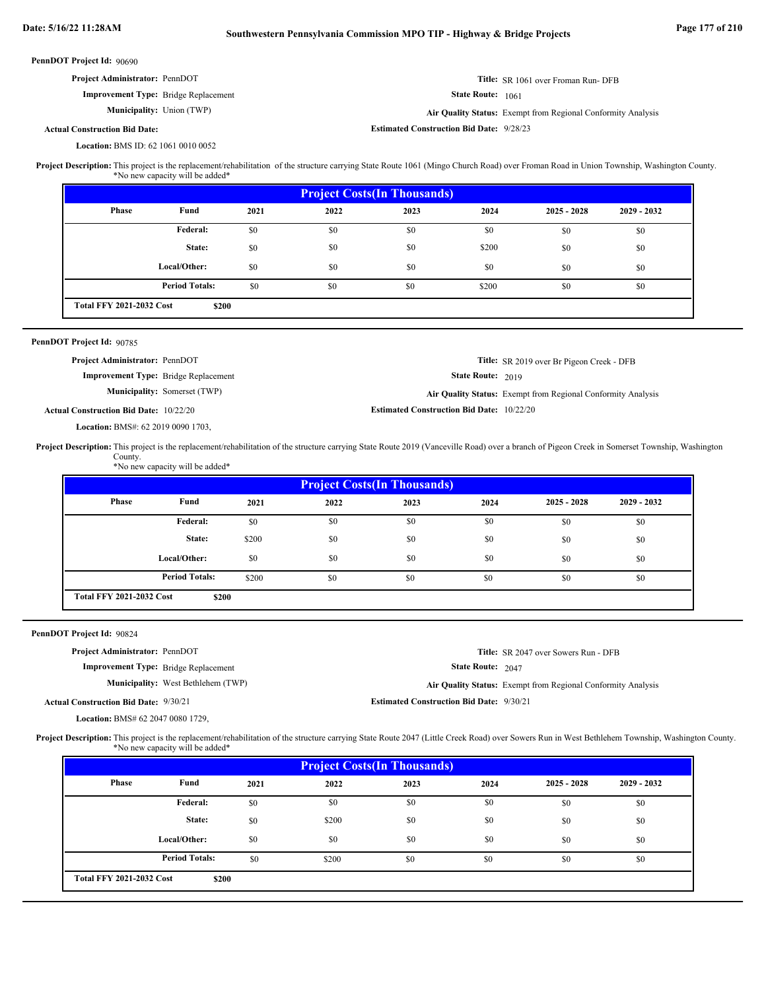| PennDOT Project Id: 90690                                                                                                                                                                                                                                   |                                             |       |                                                                                                                  |                                                 |                   |                                                              |             |  |  |
|-------------------------------------------------------------------------------------------------------------------------------------------------------------------------------------------------------------------------------------------------------------|---------------------------------------------|-------|------------------------------------------------------------------------------------------------------------------|-------------------------------------------------|-------------------|--------------------------------------------------------------|-------------|--|--|
| Project Administrator: PennDOT                                                                                                                                                                                                                              |                                             |       | Title: SR 1061 over Froman Run-DFB                                                                               |                                                 |                   |                                                              |             |  |  |
|                                                                                                                                                                                                                                                             | Improvement Type: Bridge Replacement        |       | <b>State Route:</b> 1061                                                                                         |                                                 |                   |                                                              |             |  |  |
|                                                                                                                                                                                                                                                             | <b>Municipality:</b> Union (TWP)            |       | Air Quality Status: Exempt from Regional Conformity Analysis                                                     |                                                 |                   |                                                              |             |  |  |
| <b>Actual Construction Bid Date:</b>                                                                                                                                                                                                                        |                                             |       |                                                                                                                  | <b>Estimated Construction Bid Date: 9/28/23</b> |                   |                                                              |             |  |  |
|                                                                                                                                                                                                                                                             | Location: BMS ID: 62 1061 0010 0052         |       |                                                                                                                  |                                                 |                   |                                                              |             |  |  |
| Project Description: This project is the replacement/rehabilitation of the structure carrying State Route 1061 (Mingo Church Road) over Froman Road in Union Township, Washington County.                                                                   | *No new capacity will be added*             |       |                                                                                                                  |                                                 |                   |                                                              |             |  |  |
|                                                                                                                                                                                                                                                             |                                             |       | <b>Project Costs (In Thousands)</b>                                                                              |                                                 |                   |                                                              |             |  |  |
| Phase                                                                                                                                                                                                                                                       | Fund                                        | 2021  | 2022                                                                                                             | 2023                                            | 2024              | $2025 - 2028$                                                | 2029 - 2032 |  |  |
|                                                                                                                                                                                                                                                             | Federal:                                    | \$0   | \$0                                                                                                              | \$0                                             | \$0               | \$0                                                          | \$0         |  |  |
|                                                                                                                                                                                                                                                             | State:                                      | \$0   | \$0                                                                                                              | \$0                                             | \$200             | \$0                                                          | \$0         |  |  |
|                                                                                                                                                                                                                                                             | Local/Other:                                | \$0   | \$0                                                                                                              | \$0                                             | \$0               | \$0                                                          | \$0         |  |  |
|                                                                                                                                                                                                                                                             | <b>Period Totals:</b>                       | \$0   | \$0                                                                                                              | \$0                                             | \$200             | \$0                                                          | \$0         |  |  |
| <b>Total FFY 2021-2032 Cost</b>                                                                                                                                                                                                                             | \$200                                       |       |                                                                                                                  |                                                 |                   |                                                              |             |  |  |
|                                                                                                                                                                                                                                                             |                                             |       |                                                                                                                  |                                                 |                   |                                                              |             |  |  |
| PennDOT Project Id: 90785<br>Project Administrator: PennDOT                                                                                                                                                                                                 |                                             |       |                                                                                                                  |                                                 |                   |                                                              |             |  |  |
|                                                                                                                                                                                                                                                             | Improvement Type: Bridge Replacement        |       |                                                                                                                  |                                                 | State Route: 2019 | Title: SR 2019 over Br Pigeon Creek - DFB                    |             |  |  |
|                                                                                                                                                                                                                                                             | Municipality: Somerset (TWP)                |       |                                                                                                                  |                                                 |                   |                                                              |             |  |  |
|                                                                                                                                                                                                                                                             |                                             |       | Air Quality Status: Exempt from Regional Conformity Analysis<br><b>Estimated Construction Bid Date: 10/22/20</b> |                                                 |                   |                                                              |             |  |  |
|                                                                                                                                                                                                                                                             |                                             |       |                                                                                                                  |                                                 |                   |                                                              |             |  |  |
| <b>Actual Construction Bid Date: 10/22/20</b><br>Project Description: This project is the replacement/rehabilitation of the structure carrying State Route 2019 (Vanceville Road) over a branch of Pigeon Creek in Somerset Township, Washington<br>County. | Location: BMS#: 62 2019 0090 1703,          |       |                                                                                                                  |                                                 |                   |                                                              |             |  |  |
|                                                                                                                                                                                                                                                             | *No new capacity will be added*             |       |                                                                                                                  | <b>Project Costs (In Thousands)</b>             |                   |                                                              |             |  |  |
| Phase                                                                                                                                                                                                                                                       | Fund                                        | 2021  | 2022                                                                                                             | 2023                                            | 2024              | $2025 - 2028$                                                | 2029 - 2032 |  |  |
|                                                                                                                                                                                                                                                             | <b>Federal:</b>                             | \$0   | \$0                                                                                                              | \$0                                             | \$0               | \$0                                                          | \$0         |  |  |
|                                                                                                                                                                                                                                                             | State:                                      | \$200 | \$0                                                                                                              | \$0                                             | \$0               | \$0                                                          | \$0         |  |  |
|                                                                                                                                                                                                                                                             | Local/Other:                                | \$0   | \$0                                                                                                              | \$0                                             | \$0               | \$0                                                          | \$0         |  |  |
|                                                                                                                                                                                                                                                             | <b>Period Totals:</b>                       | \$200 | \$0                                                                                                              | \$0                                             | \$0               | \$0                                                          | \$0         |  |  |
| <b>Total FFY 2021-2032 Cost</b>                                                                                                                                                                                                                             | \$200                                       |       |                                                                                                                  |                                                 |                   |                                                              |             |  |  |
|                                                                                                                                                                                                                                                             |                                             |       |                                                                                                                  |                                                 |                   |                                                              |             |  |  |
| PennDOT Project Id: 90824<br>Project Administrator: PennDOT                                                                                                                                                                                                 |                                             |       |                                                                                                                  |                                                 |                   | Title: SR 2047 over Sowers Run - DFB                         |             |  |  |
|                                                                                                                                                                                                                                                             | <b>Improvement Type:</b> Bridge Replacement |       |                                                                                                                  |                                                 | State Route: 2047 |                                                              |             |  |  |
|                                                                                                                                                                                                                                                             | Municipality: West Bethlehem (TWP)          |       |                                                                                                                  |                                                 |                   | Air Quality Status: Exempt from Regional Conformity Analysis |             |  |  |
| <b>Actual Construction Bid Date: 9/30/21</b>                                                                                                                                                                                                                |                                             |       |                                                                                                                  | <b>Estimated Construction Bid Date: 9/30/21</b> |                   |                                                              |             |  |  |
|                                                                                                                                                                                                                                                             | <b>Location: BMS# 62 2047 0080 1729,</b>    |       |                                                                                                                  |                                                 |                   |                                                              |             |  |  |
| Project Description: This project is the replacement/rehabilitation of the structure carrying State Route 2047 (Little Creek Road) over Sowers Run in West Bethlehem Township, Washington County.                                                           | *No new capacity will be added*             |       |                                                                                                                  |                                                 |                   |                                                              |             |  |  |
|                                                                                                                                                                                                                                                             |                                             |       |                                                                                                                  |                                                 |                   |                                                              |             |  |  |
| Phase                                                                                                                                                                                                                                                       | Fund                                        | 2021  | 2022                                                                                                             | <b>Project Costs(In Thousands)</b><br>2023      | 2024              | $2025 - 2028$                                                | 2029 - 2032 |  |  |
|                                                                                                                                                                                                                                                             | <b>Federal:</b>                             | \$0   | \$0                                                                                                              | \$0                                             | \$0               | \$0                                                          | \$0         |  |  |
|                                                                                                                                                                                                                                                             | State:                                      | \$0   | \$200                                                                                                            | \$0                                             | \$0               | \$0                                                          | \$0         |  |  |

\$0 \$0 \$0 \$0 \$0 \$0 \$0 \$0 \$0 \$0 \$200 \$0 \$0 \$0 \$0 \$0 \$0

**Period Totals:** \$0

 $\$0$ 

**\$200 Total FFY 2021-2032 Cost**

**Local/Other:**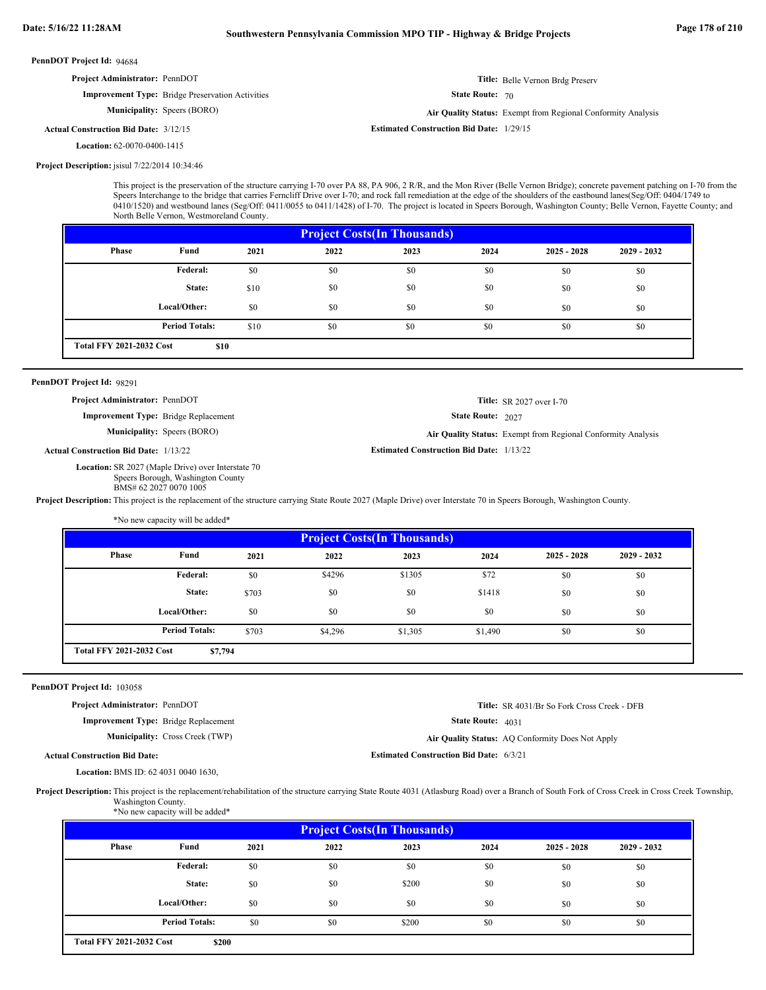| <b>Project Administrator: PennDOT</b>                                                           |                                                                                                                                                      |       |                                                                                                                                                                                                                                                                                                                                                                                                                                                                                                                                             |                                                 |                   | Title: Belle Vernon Brdg Preserv                                                                |             |
|-------------------------------------------------------------------------------------------------|------------------------------------------------------------------------------------------------------------------------------------------------------|-------|---------------------------------------------------------------------------------------------------------------------------------------------------------------------------------------------------------------------------------------------------------------------------------------------------------------------------------------------------------------------------------------------------------------------------------------------------------------------------------------------------------------------------------------------|-------------------------------------------------|-------------------|-------------------------------------------------------------------------------------------------|-------------|
|                                                                                                 | <b>Improvement Type:</b> Bridge Preservation Activities                                                                                              |       | <b>State Route: 70</b>                                                                                                                                                                                                                                                                                                                                                                                                                                                                                                                      |                                                 |                   |                                                                                                 |             |
|                                                                                                 | Municipality: Speers (BORO)                                                                                                                          |       |                                                                                                                                                                                                                                                                                                                                                                                                                                                                                                                                             |                                                 |                   | Air Quality Status: Exempt from Regional Conformity Analysis                                    |             |
| <b>Actual Construction Bid Date: 3/12/15</b>                                                    |                                                                                                                                                      |       |                                                                                                                                                                                                                                                                                                                                                                                                                                                                                                                                             | <b>Estimated Construction Bid Date: 1/29/15</b> |                   |                                                                                                 |             |
| <b>Location: 62-0070-0400-1415</b>                                                              |                                                                                                                                                      |       |                                                                                                                                                                                                                                                                                                                                                                                                                                                                                                                                             |                                                 |                   |                                                                                                 |             |
| Project Description: jsisul 7/22/2014 10:34:46                                                  |                                                                                                                                                      |       |                                                                                                                                                                                                                                                                                                                                                                                                                                                                                                                                             |                                                 |                   |                                                                                                 |             |
|                                                                                                 | North Belle Vernon, Westmoreland County.                                                                                                             |       | This project is the preservation of the structure carrying I-70 over PA 88, PA 906, 2 R/R, and the Mon River (Belle Vernon Bridge); concrete pavement patching on I-70 from the<br>Speers Interchange to the bridge that carries Ferncliff Drive over I-70; and rock fall remediation at the edge of the shoulders of the eastbound lanes(Seg/Off: 0404/1749 to<br>0410/1520) and westbound lanes (Seg/Off: 0411/0055 to 0411/1428) of I-70. The project is located in Speers Borough, Washington County; Belle Vernon, Fayette County; and |                                                 |                   |                                                                                                 |             |
|                                                                                                 |                                                                                                                                                      |       |                                                                                                                                                                                                                                                                                                                                                                                                                                                                                                                                             | <b>Project Costs(In Thousands)</b>              |                   |                                                                                                 |             |
| Phase                                                                                           | Fund                                                                                                                                                 | 2021  | 2022                                                                                                                                                                                                                                                                                                                                                                                                                                                                                                                                        | 2023                                            | 2024              | $2025 - 2028$                                                                                   | 2029 - 2032 |
|                                                                                                 | <b>Federal:</b>                                                                                                                                      | \$0   | \$0                                                                                                                                                                                                                                                                                                                                                                                                                                                                                                                                         | \$0                                             | \$0               | \$0                                                                                             | \$0         |
|                                                                                                 | State:                                                                                                                                               | \$10  | \$0                                                                                                                                                                                                                                                                                                                                                                                                                                                                                                                                         | \$0                                             | \$0               | \$0                                                                                             | \$0         |
|                                                                                                 | Local/Other:                                                                                                                                         | \$0   | \$0                                                                                                                                                                                                                                                                                                                                                                                                                                                                                                                                         | \$0                                             | \$0               | \$0                                                                                             | \$0         |
|                                                                                                 | <b>Period Totals:</b>                                                                                                                                | \$10  | \$0                                                                                                                                                                                                                                                                                                                                                                                                                                                                                                                                         | \$0                                             | \$0               | \$0                                                                                             | \$0         |
| <b>Total FFY 2021-2032 Cost</b>                                                                 | \$10                                                                                                                                                 |       |                                                                                                                                                                                                                                                                                                                                                                                                                                                                                                                                             |                                                 |                   |                                                                                                 |             |
|                                                                                                 | Project Administrator: PennDOT<br><b>Improvement Type:</b> Bridge Replacement<br><b>Municipality:</b> Speers (BORO)                                  |       |                                                                                                                                                                                                                                                                                                                                                                                                                                                                                                                                             | <b>Estimated Construction Bid Date: 1/13/22</b> | State Route: 2027 | <b>Title:</b> SR 2027 over I-70<br>Air Quality Status: Exempt from Regional Conformity Analysis |             |
| <b>Actual Construction Bid Date: 1/13/22</b>                                                    | Location: SR 2027 (Maple Drive) over Interstate 70<br>Speers Borough, Washington County<br>BMS# 62 2027 0070 1005<br>*No new capacity will be added* |       | Project Description: This project is the replacement of the structure carrying State Route 2027 (Maple Drive) over Interstate 70 in Speers Borough, Washington County.                                                                                                                                                                                                                                                                                                                                                                      |                                                 |                   |                                                                                                 |             |
|                                                                                                 |                                                                                                                                                      |       |                                                                                                                                                                                                                                                                                                                                                                                                                                                                                                                                             | <b>Project Costs(In Thousands)</b>              |                   |                                                                                                 |             |
| <b>Phase</b>                                                                                    | Fund                                                                                                                                                 | 2021  | 2022                                                                                                                                                                                                                                                                                                                                                                                                                                                                                                                                        | 2023                                            | 2024              | $2025 - 2028$                                                                                   | 2029 - 2032 |
|                                                                                                 | <b>Federal:</b>                                                                                                                                      | \$0   | \$4296                                                                                                                                                                                                                                                                                                                                                                                                                                                                                                                                      | \$1305                                          | \$72              | \$0                                                                                             | \$0         |
|                                                                                                 | State:                                                                                                                                               | \$703 | \$0                                                                                                                                                                                                                                                                                                                                                                                                                                                                                                                                         | \$0                                             | \$1418            | \$0                                                                                             | \$0         |
|                                                                                                 | Local/Other:                                                                                                                                         | \$0   | \$0                                                                                                                                                                                                                                                                                                                                                                                                                                                                                                                                         | \$0                                             | \$0               | \$0                                                                                             | \$0         |
|                                                                                                 | <b>Period Totals:</b>                                                                                                                                | \$703 | \$4,296                                                                                                                                                                                                                                                                                                                                                                                                                                                                                                                                     | \$1,305                                         | \$1,490           | \$0                                                                                             | \$0         |
|                                                                                                 |                                                                                                                                                      |       |                                                                                                                                                                                                                                                                                                                                                                                                                                                                                                                                             |                                                 |                   |                                                                                                 |             |
|                                                                                                 | \$7,794                                                                                                                                              |       |                                                                                                                                                                                                                                                                                                                                                                                                                                                                                                                                             |                                                 |                   |                                                                                                 |             |
|                                                                                                 |                                                                                                                                                      |       |                                                                                                                                                                                                                                                                                                                                                                                                                                                                                                                                             |                                                 |                   |                                                                                                 |             |
|                                                                                                 |                                                                                                                                                      |       |                                                                                                                                                                                                                                                                                                                                                                                                                                                                                                                                             |                                                 |                   |                                                                                                 |             |
|                                                                                                 |                                                                                                                                                      |       |                                                                                                                                                                                                                                                                                                                                                                                                                                                                                                                                             |                                                 |                   | Title: SR 4031/Br So Fork Cross Creek - DFB                                                     |             |
|                                                                                                 | Improvement Type: Bridge Replacement                                                                                                                 |       |                                                                                                                                                                                                                                                                                                                                                                                                                                                                                                                                             |                                                 | State Route: 4031 |                                                                                                 |             |
| <b>Total FFY 2021-2032 Cost</b><br>PennDOT Project Id: 103058<br>Project Administrator: PennDOT | <b>Municipality:</b> Cross Creek (TWP)                                                                                                               |       |                                                                                                                                                                                                                                                                                                                                                                                                                                                                                                                                             |                                                 |                   | Air Quality Status: AQ Conformity Does Not Apply                                                |             |
| <b>Actual Construction Bid Date:</b>                                                            | <b>Location:</b> BMS ID: 62 4031 0040 1630,                                                                                                          |       |                                                                                                                                                                                                                                                                                                                                                                                                                                                                                                                                             | <b>Estimated Construction Bid Date: 6/3/21</b>  |                   |                                                                                                 |             |

| <b>Project Costs (In Thousands)</b> |                       |      |      |       |      |               |               |  |  |  |
|-------------------------------------|-----------------------|------|------|-------|------|---------------|---------------|--|--|--|
| <b>Phase</b>                        | Fund                  | 2021 | 2022 | 2023  | 2024 | $2025 - 2028$ | $2029 - 2032$ |  |  |  |
|                                     | Federal:              | \$0  | \$0  | \$0   | \$0  | \$0           | \$0           |  |  |  |
|                                     | State:                | \$0  | \$0  | \$200 | \$0  | \$0           | \$0           |  |  |  |
|                                     | Local/Other:          | \$0  | \$0  | \$0   | \$0  | \$0           | \$0           |  |  |  |
|                                     | <b>Period Totals:</b> | \$0  | \$0  | \$200 | \$0  | \$0           | \$0           |  |  |  |
| <b>Total FFY 2021-2032 Cost</b>     | \$200                 |      |      |       |      |               |               |  |  |  |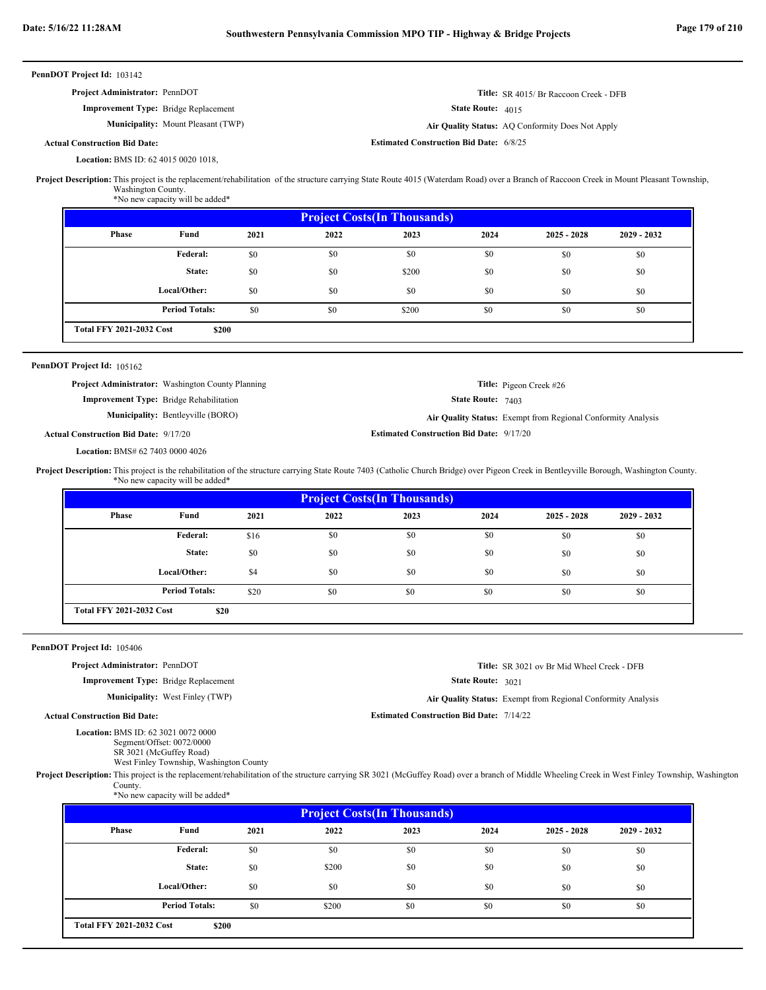| PennDOT Project Id: 103142                                                                                                                                                                                                               |                                                                                                     |      |                                                             |                                                 |                                              |                                                              |             |  |  |
|------------------------------------------------------------------------------------------------------------------------------------------------------------------------------------------------------------------------------------------|-----------------------------------------------------------------------------------------------------|------|-------------------------------------------------------------|-------------------------------------------------|----------------------------------------------|--------------------------------------------------------------|-------------|--|--|
| Project Administrator: PennDOT                                                                                                                                                                                                           | <b>Improvement Type:</b> Bridge Replacement                                                         |      | Title: SR 4015/ Br Raccoon Creek - DFB<br>State Route: 4015 |                                                 |                                              |                                                              |             |  |  |
|                                                                                                                                                                                                                                          | Municipality: Mount Pleasant (TWP)                                                                  |      |                                                             |                                                 |                                              |                                                              |             |  |  |
|                                                                                                                                                                                                                                          |                                                                                                     |      |                                                             | <b>Estimated Construction Bid Date: 6/8/25</b>  |                                              | Air Quality Status: AQ Conformity Does Not Apply             |             |  |  |
| <b>Actual Construction Bid Date:</b>                                                                                                                                                                                                     |                                                                                                     |      |                                                             |                                                 |                                              |                                                              |             |  |  |
| <b>Location: BMS ID: 62 4015 0020 1018,</b><br>Project Description: This project is the replacement/rehabilitation of the structure carrying State Route 4015 (Waterdam Road) over a Branch of Raccoon Creek in Mount Pleasant Township, | Washington County.<br>*No new capacity will be added*                                               |      |                                                             |                                                 |                                              |                                                              |             |  |  |
|                                                                                                                                                                                                                                          |                                                                                                     |      | <b>Project Costs(In Thousands)</b>                          |                                                 |                                              |                                                              |             |  |  |
| Phase                                                                                                                                                                                                                                    | Fund                                                                                                | 2021 | 2022                                                        | 2023                                            | 2024                                         | $2025 - 2028$                                                | 2029 - 2032 |  |  |
|                                                                                                                                                                                                                                          | Federal:                                                                                            | \$0  | \$0                                                         | \$0                                             | \$0                                          | \$0                                                          | \$0         |  |  |
|                                                                                                                                                                                                                                          | State:                                                                                              | \$0  | \$0                                                         | \$200                                           | \$0                                          | \$0                                                          | \$0         |  |  |
|                                                                                                                                                                                                                                          | Local/Other:                                                                                        | \$0  | \$0                                                         | \$0                                             | \$0                                          | \$0                                                          | \$0         |  |  |
|                                                                                                                                                                                                                                          | <b>Period Totals:</b>                                                                               | \$0  | \$0                                                         | \$200                                           | \$0                                          | \$0                                                          | \$0         |  |  |
| <b>Total FFY 2021-2032 Cost</b>                                                                                                                                                                                                          | \$200                                                                                               |      |                                                             |                                                 |                                              |                                                              |             |  |  |
|                                                                                                                                                                                                                                          |                                                                                                     |      |                                                             |                                                 |                                              |                                                              |             |  |  |
| PennDOT Project Id: 105162                                                                                                                                                                                                               |                                                                                                     |      |                                                             |                                                 |                                              |                                                              |             |  |  |
|                                                                                                                                                                                                                                          | Project Administrator: Washington County Planning<br><b>Improvement Type:</b> Bridge Rehabilitation |      |                                                             |                                                 | Title: Pigeon Creek #26<br>State Route: 7403 |                                                              |             |  |  |
|                                                                                                                                                                                                                                          |                                                                                                     |      |                                                             |                                                 |                                              |                                                              |             |  |  |
|                                                                                                                                                                                                                                          | <b>Municipality:</b> Bentleyville (BORO)                                                            |      |                                                             |                                                 |                                              | Air Quality Status: Exempt from Regional Conformity Analysis |             |  |  |
| <b>Actual Construction Bid Date: 9/17/20</b>                                                                                                                                                                                             |                                                                                                     |      |                                                             | <b>Estimated Construction Bid Date: 9/17/20</b> |                                              |                                                              |             |  |  |
| Location: BMS# 62 7403 0000 4026<br>Project Description: This project is the rehabilitation of the structure carrying State Route 7403 (Catholic Church Bridge) over Pigeon Creek in Bentleyville Borough, Washington County.            |                                                                                                     |      |                                                             |                                                 |                                              |                                                              |             |  |  |
|                                                                                                                                                                                                                                          | *No new capacity will be added*                                                                     |      |                                                             | <b>Project Costs(In Thousands)</b>              |                                              |                                                              |             |  |  |
| <b>Phase</b>                                                                                                                                                                                                                             | Fund                                                                                                | 2021 | 2022                                                        | 2023                                            | 2024                                         | $2025 - 2028$                                                | 2029 - 2032 |  |  |
|                                                                                                                                                                                                                                          | <b>Federal:</b>                                                                                     | \$16 | \$0                                                         | \$0                                             | \$0                                          | \$0                                                          | \$0         |  |  |
|                                                                                                                                                                                                                                          | State:                                                                                              | \$0  | \$0                                                         | \$0                                             | \$0                                          | \$0                                                          | \$0         |  |  |
|                                                                                                                                                                                                                                          | Local/Other:                                                                                        | \$4  | \$0                                                         | \$0                                             | \$0                                          | \$0                                                          | \$0         |  |  |
|                                                                                                                                                                                                                                          | <b>Period Totals:</b>                                                                               | \$20 | \$0                                                         | \$0                                             | \$0                                          | \$0                                                          | \$0         |  |  |
| <b>Total FFY 2021-2032 Cost</b>                                                                                                                                                                                                          | \$20                                                                                                |      |                                                             |                                                 |                                              |                                                              |             |  |  |
| PennDOT Project Id: 105406                                                                                                                                                                                                               |                                                                                                     |      |                                                             |                                                 |                                              |                                                              |             |  |  |
| Project Administrator: PennDOT                                                                                                                                                                                                           |                                                                                                     |      |                                                             |                                                 |                                              | Title: SR 3021 ov Br Mid Wheel Creek - DFB                   |             |  |  |
|                                                                                                                                                                                                                                          | Improvement Type: Bridge Replacement                                                                |      |                                                             |                                                 | State Route: 3021                            |                                                              |             |  |  |
|                                                                                                                                                                                                                                          | <b>Municipality:</b> West Finley (TWP)                                                              |      |                                                             |                                                 |                                              | Air Quality Status: Exempt from Regional Conformity Analysis |             |  |  |
| <b>Actual Construction Bid Date:</b>                                                                                                                                                                                                     |                                                                                                     |      |                                                             | <b>Estimated Construction Bid Date: 7/14/22</b> |                                              |                                                              |             |  |  |
| Location: BMS ID: 62 3021 0072 0000                                                                                                                                                                                                      | Segment/Offset: 0072/0000<br>SR 3021 (McGuffey Road)<br>West Finley Township, Washington County     |      |                                                             |                                                 |                                              |                                                              |             |  |  |
| Project Description: This project is the replacement/rehabilitation of the structure carrying SR 3021 (McGuffey Road) over a branch of Middle Wheeling Creek in West Finley Township, Washington<br>County.                              | *No new capacity will be added*                                                                     |      |                                                             |                                                 |                                              |                                                              |             |  |  |
|                                                                                                                                                                                                                                          |                                                                                                     |      |                                                             | <b>Project Costs(In Thousands)</b>              |                                              |                                                              |             |  |  |
| Phase                                                                                                                                                                                                                                    | Fund                                                                                                | 2021 | 2022                                                        | 2023                                            | 2024                                         | $2025 - 2028$                                                | 2029 - 2032 |  |  |
|                                                                                                                                                                                                                                          | Federal:                                                                                            | \$0  | \$0                                                         | \$0                                             | \$0                                          | \$0                                                          | \$0         |  |  |
|                                                                                                                                                                                                                                          | State:                                                                                              | \$0  | \$200                                                       | \$0                                             | \$0                                          | \$0                                                          | \$0         |  |  |

\$0 \$200 \$0 \$0 \$0 \$0 \$0 \$0

**\$200**

**Period Totals:** \$0

**Total FFY 2021-2032 Cost**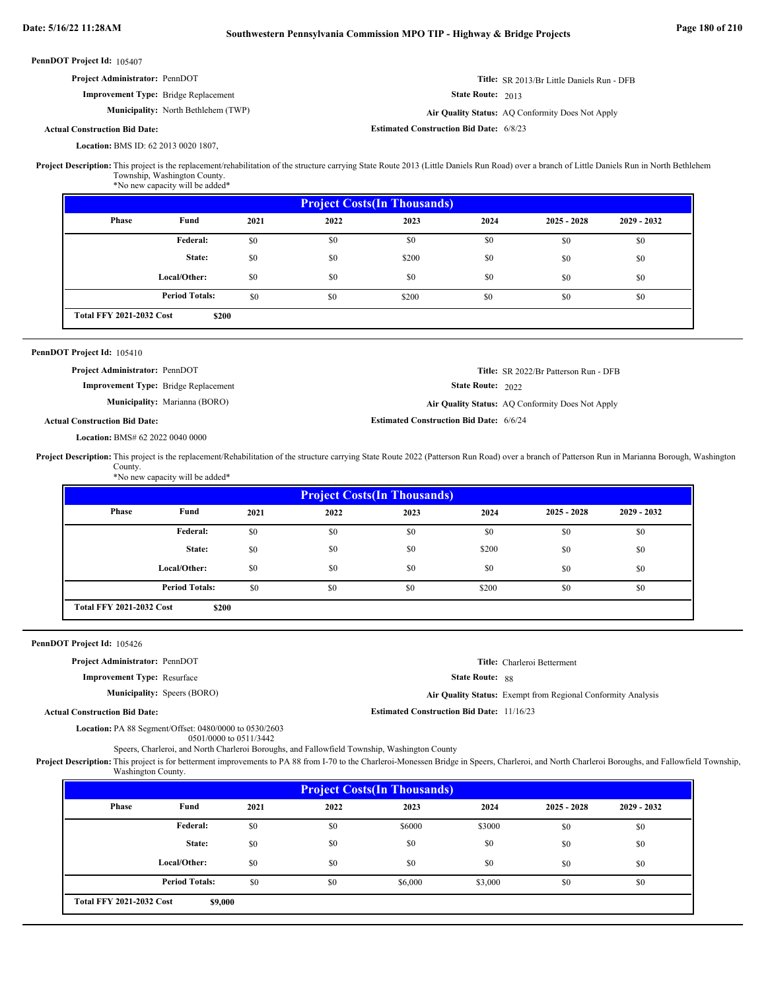**Estimated Construction Bid Date:** 6/8/23

Air Quality Status: AQ Conformity Does Not Apply

PennDOT Project Id: 105407

| <b>Project Administrator: PennDOT</b>       | Title: SR 2013/Br Little Daniels Run - DFB |
|---------------------------------------------|--------------------------------------------|
| <b>Improvement Type:</b> Bridge Replacement | State Route: 2013                          |

**Municipality:** North Bethlehem (TWP) **Air Quality Status:** 

**Actual Construction Bid Date:**

BMS ID: 62 2013 0020 1807, **Location:**

Project Description: This project is the replacement/rehabilitation of the structure carrying State Route 2013 (Little Daniels Run Road) over a branch of Little Daniels Run in North Bethlehem Township, Washington County.

\*No new capacity will be added\*

| <b>Project Costs (In Thousands)</b> |                       |      |      |       |      |               |               |  |  |
|-------------------------------------|-----------------------|------|------|-------|------|---------------|---------------|--|--|
| <b>Phase</b>                        | Fund                  | 2021 | 2022 | 2023  | 2024 | $2025 - 2028$ | $2029 - 2032$ |  |  |
|                                     | Federal:              | \$0  | \$0  | \$0   | \$0  | \$0           | \$0           |  |  |
|                                     | State:                | \$0  | \$0  | \$200 | \$0  | \$0           | \$0           |  |  |
|                                     | Local/Other:          | \$0  | \$0  | \$0   | \$0  | \$0           | \$0           |  |  |
|                                     | <b>Period Totals:</b> | \$0  | \$0  | \$200 | \$0  | \$0           | \$0           |  |  |
| <b>Total FFY 2021-2032 Cost</b>     | \$200                 |      |      |       |      |               |               |  |  |

### PennDOT Project Id: 105410

**Title:** SR 2022/Br Patterson Run - DFB **Project Administrator:** PennDOT

**Improvement Type:** Bridge Replacement

**Municipality:** Marianna (BORO) **Air Quality Status:** AQ Conformity Does Not Apply

### **Actual Construction Bid Date:**

BMS# 62 2022 0040 0000 **Location:**

Project Description: This project is the replacement/Rehabilitation of the structure carrying State Route 2022 (Patterson Run Road) over a branch of Patterson Run in Marianna Borough, Washington County. \*No new capacity will be added\*

| <b>Project Costs (In Thousands)</b> |                       |      |      |      |       |               |               |  |  |
|-------------------------------------|-----------------------|------|------|------|-------|---------------|---------------|--|--|
| Phase                               | Fund                  | 2021 | 2022 | 2023 | 2024  | $2025 - 2028$ | $2029 - 2032$ |  |  |
|                                     | <b>Federal:</b>       | \$0  | \$0  | \$0  | \$0   | \$0           | \$0           |  |  |
|                                     | State:                | \$0  | \$0  | \$0  | \$200 | \$0           | \$0           |  |  |
|                                     | Local/Other:          | \$0  | \$0  | \$0  | \$0   | \$0           | \$0           |  |  |
|                                     | <b>Period Totals:</b> | \$0  | \$0  | \$0  | \$200 | \$0           | \$0           |  |  |
| <b>Total FFY 2021-2032 Cost</b>     | \$200                 |      |      |      |       |               |               |  |  |

### PennDOT Project Id: 105426

**Project Administrator:** PennDOT

**Improvement Type:** Resurface

**Municipality:** Speers (BORO)

State Route: 88 **Title:** Charleroi Betterment Speers (BORO) **Air Quality Status:** Exempt from Regional Conformity Analysis

State Route: 2022

**Estimated Construction Bid Date:** 6/6/24

**Actual Construction Bid Date:**

PA 88 Segment/Offset: 0480/0000 to 0530/2603 **Location:**

0501/0000 to 0511/3442

Speers, Charleroi, and North Charleroi Boroughs, and Fallowfield Township, Washington County

Project Description: This project is for betterment improvements to PA 88 from I-70 to the Charleroi-Monessen Bridge in Speers, Charleroi, and North Charleroi Boroughs, and Fallowfield Township, Washington County

**Estimated Construction Bid Date:** 11/16/23

| <b>Project Costs (In Thousands)</b> |                       |      |      |         |         |               |               |  |  |
|-------------------------------------|-----------------------|------|------|---------|---------|---------------|---------------|--|--|
| <b>Phase</b>                        | Fund                  | 2021 | 2022 | 2023    | 2024    | $2025 - 2028$ | $2029 - 2032$ |  |  |
|                                     | Federal:              | \$0  | \$0  | \$6000  | \$3000  | \$0           | \$0           |  |  |
|                                     | State:                | \$0  | \$0  | \$0     | \$0     | \$0           | \$0           |  |  |
|                                     | Local/Other:          | \$0  | \$0  | \$0     | \$0     | \$0           | \$0           |  |  |
|                                     | <b>Period Totals:</b> | \$0  | \$0  | \$6,000 | \$3,000 | \$0           | \$0           |  |  |
| <b>Total FFY 2021-2032 Cost</b>     | \$9,000               |      |      |         |         |               |               |  |  |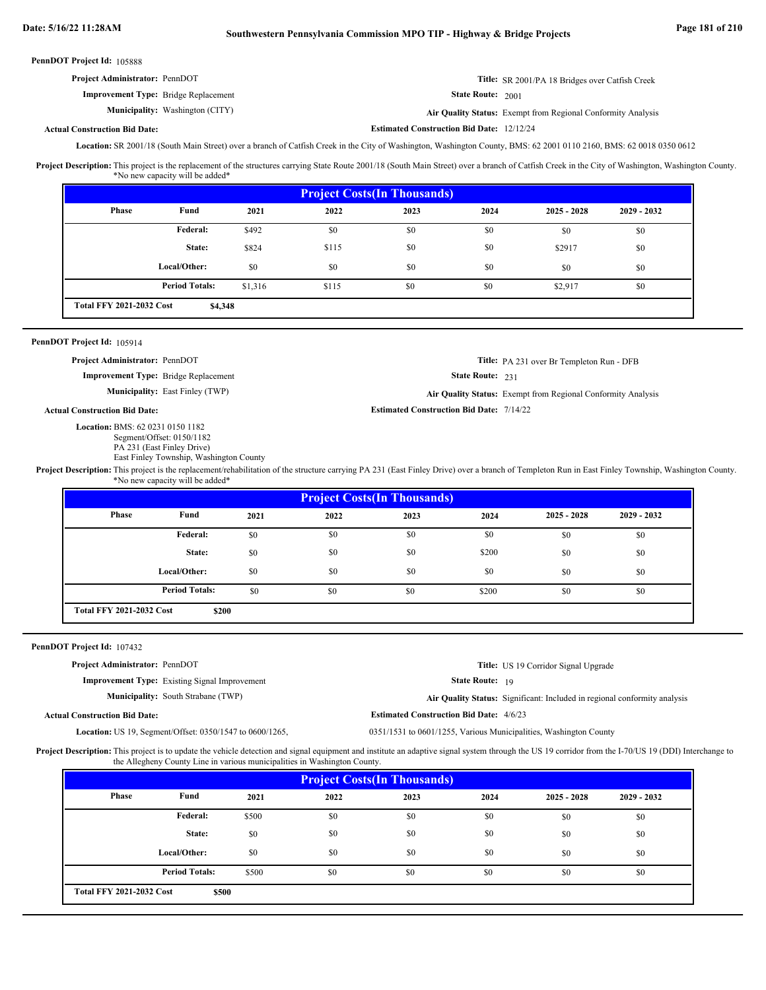| <b>Project Administrator: PennDOT</b>       | Title: SR 2001/PA 18 Bridges over Catfish Creek |
|---------------------------------------------|-------------------------------------------------|
| <b>Improvement Type:</b> Bridge Replacement | State Route: 2001                               |

**Municipality:** Washington (CITY) **Air Quality Status:** Air Quality Status: Exempt from Regional Conformity Analysis

### **Actual Construction Bid Date:**

Location: SR 2001/18 (South Main Street) over a branch of Catfish Creek in the City of Washington, Washington County, BMS: 62 2001 0110 2160, BMS: 62 0018 0350 0612

Project Description: This project is the replacement of the structures carrying State Route 2001/18 (South Main Street) over a branch of Catfish Creek in the City of Washington, Washington County. \*No new capacity will be added\*

|       | <b>Project Costs (In Thousands)</b>        |         |       |      |      |               |               |  |  |  |
|-------|--------------------------------------------|---------|-------|------|------|---------------|---------------|--|--|--|
| Phase | Fund                                       | 2021    | 2022  | 2023 | 2024 | $2025 - 2028$ | $2029 - 2032$ |  |  |  |
|       | Federal:                                   | \$492   | \$0   | \$0  | \$0  | \$0           | \$0           |  |  |  |
|       | State:                                     | \$824   | \$115 | \$0  | \$0  | \$2917        | \$0           |  |  |  |
|       | Local/Other:                               | \$0     | \$0   | \$0  | \$0  | \$0           | \$0           |  |  |  |
|       | <b>Period Totals:</b>                      | \$1,316 | \$115 | \$0  | \$0  | \$2,917       | \$0           |  |  |  |
|       | <b>Total FFY 2021-2032 Cost</b><br>\$4,348 |         |       |      |      |               |               |  |  |  |

### PennDOT Project Id: 105914

**Project Administrator:** PennDOT

**Improvement Type:** Bridge Replacement

**Municipality:** East Finley (TWP)

**Actual Construction Bid Date:**

BMS: 62 0231 0150 1182 **Location:**

Segment/Offset: 0150/1182 PA 231 (East Finley Drive)

East Finley Township, Washington County

State Route: 231

**Title:** PA 231 over Br Templeton Run - DFB

East Finley (TWP) **Air Quality Status:** Exempt from Regional Conformity Analysis

**Estimated Construction Bid Date:** 7/14/22

**Estimated Construction Bid Date:** 12/12/24

State Route: 19

**Estimated Construction Bid Date:** 4/6/23

**Title:** US 19 Corridor Signal Upgrade

Project Description: This project is the replacement/rehabilitation of the structure carrying PA 231 (East Finley Drive) over a branch of Templeton Run in East Finley Township, Washington County. \*No new capacity will be added\*

| <b>Project Costs (In Thousands)</b>      |                       |      |      |      |       |               |               |  |  |
|------------------------------------------|-----------------------|------|------|------|-------|---------------|---------------|--|--|
| Phase                                    | Fund                  | 2021 | 2022 | 2023 | 2024  | $2025 - 2028$ | $2029 - 2032$ |  |  |
|                                          | <b>Federal:</b>       | \$0  | \$0  | \$0  | \$0   | \$0           | \$0           |  |  |
|                                          | State:                | \$0  | \$0  | \$0  | \$200 | \$0           | \$0           |  |  |
|                                          | Local/Other:          | \$0  | \$0  | \$0  | \$0   | \$0           | \$0           |  |  |
|                                          | <b>Period Totals:</b> | \$0  | \$0  | \$0  | \$200 | \$0           | \$0           |  |  |
| <b>Total FFY 2021-2032 Cost</b><br>\$200 |                       |      |      |      |       |               |               |  |  |

### PennDOT Project Id: 107432

**Project Administrator:** PennDOT

**Improvement Type:** Existing Signal Improvement

**Municipality:** South Strabane (TWP) South Strabane (TWP) **Air Quality Status:** Significant: Included in regional conformity analysis

**Actual Construction Bid Date:**

0351/1531 to 0601/1255, Various Municipalities, Washington County Location: US 19, Segment/Offset: 0350/1547 to 0600/1265,

**Project Description:** This project is to update the vehicle detection and signal equipment and institute an adaptive signal system through the US 19 corridor from the I-70/US 19 (DDI) Interchange to the Allegheny County Line in various municipalities in Washington County.

| <b>Project Costs (In Thousands)</b> |                                          |       |      |      |      |               |               |  |  |
|-------------------------------------|------------------------------------------|-------|------|------|------|---------------|---------------|--|--|
| <b>Phase</b>                        | Fund                                     | 2021  | 2022 | 2023 | 2024 | $2025 - 2028$ | $2029 - 2032$ |  |  |
|                                     | Federal:                                 | \$500 | \$0  | \$0  | \$0  | \$0           | \$0           |  |  |
|                                     | State:                                   | \$0   | \$0  | \$0  | \$0  | \$0           | \$0           |  |  |
|                                     | Local/Other:                             | \$0   | \$0  | \$0  | \$0  | \$0           | \$0           |  |  |
|                                     | <b>Period Totals:</b>                    | \$500 | \$0  | \$0  | \$0  | \$0           | \$0           |  |  |
|                                     | <b>Total FFY 2021-2032 Cost</b><br>\$500 |       |      |      |      |               |               |  |  |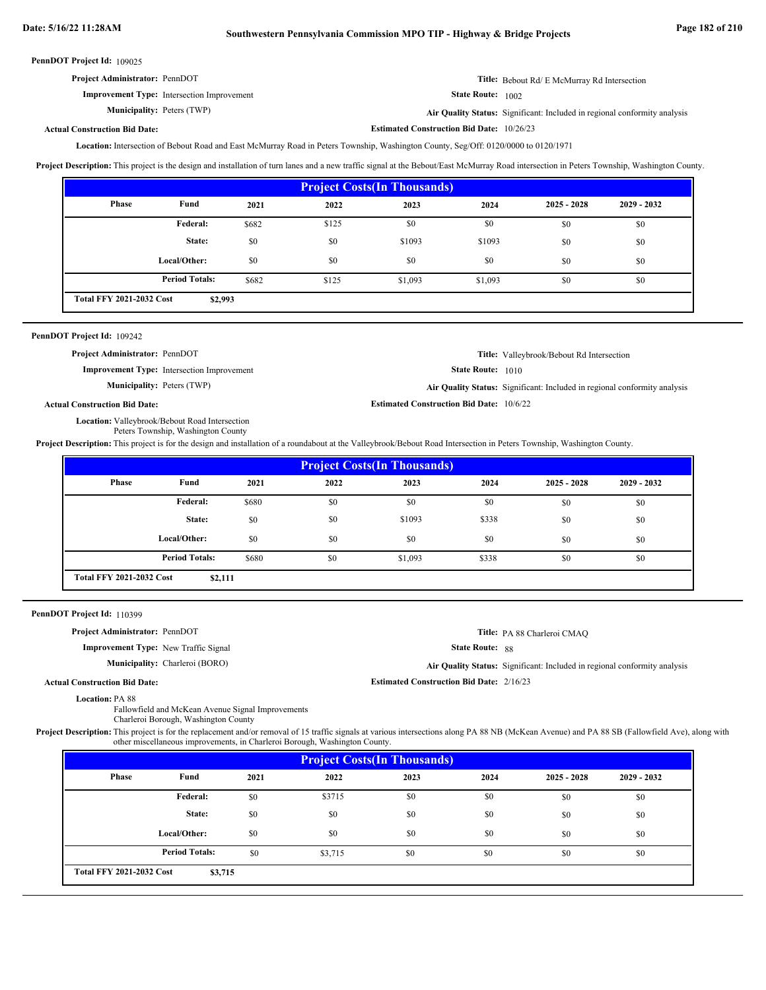| <b>Project Administrator: PennDOT</b>             | <b>Title:</b> Bebout Rd/ E McMurray Rd Intersection |
|---------------------------------------------------|-----------------------------------------------------|
| <b>Improvement Type:</b> Intersection Improvement | State Route: $1002$                                 |

**Municipality:** Peters (TWP)

Peters (TWP) **Air Quality Status:** Significant: Included in regional conformity analysis

### **Actual Construction Bid Date:**

Location: Intersection of Bebout Road and East McMurray Road in Peters Township, Washington County, Seg/Off: 0120/0000 to 0120/1971

Project Description: This project is the design and installation of turn lanes and a new traffic signal at the Bebout/East McMurray Road intersection in Peters Township, Washington County.

| <b>Project Costs (In Thousands)</b>        |                       |       |       |         |         |               |               |  |  |
|--------------------------------------------|-----------------------|-------|-------|---------|---------|---------------|---------------|--|--|
| <b>Phase</b>                               | Fund                  | 2021  | 2022  | 2023    | 2024    | $2025 - 2028$ | $2029 - 2032$ |  |  |
|                                            | <b>Federal:</b>       | \$682 | \$125 | \$0     | \$0     | \$0           | \$0           |  |  |
|                                            | State:                | \$0   | \$0   | \$1093  | \$1093  | \$0           | \$0           |  |  |
|                                            | Local/Other:          | \$0   | \$0   | \$0     | \$0     | \$0           | \$0           |  |  |
|                                            | <b>Period Totals:</b> | \$682 | \$125 | \$1,093 | \$1,093 | \$0           | \$0           |  |  |
| <b>Total FFY 2021-2032 Cost</b><br>\$2,993 |                       |       |       |         |         |               |               |  |  |

### PennDOT Project Id: 109242

**Project Administrator:** PennDOT

**Improvement Type:** Intersection Improvement

**Municipality:** Peters (TWP)

**Title:** Valleybrook/Bebout Rd Intersection

**State Route:** 1010

**Estimated Construction Bid Date:** 10/6/22

**Estimated Construction Bid Date:** 10/26/23

Peters (TWP) **Air Quality Status:** Significant: Included in regional conformity analysis

### **Actual Construction Bid Date:**

Location: Valleybrook/Bebout Road Intersection Peters Township, Washington County

**Project Description:** This project is for the design and installation of a roundabout at the Valleybrook/Bebout Road Intersection in Peters Township, Washington County.

| <b>Project Costs (In Thousands)</b> |                                            |       |      |         |       |               |               |  |  |
|-------------------------------------|--------------------------------------------|-------|------|---------|-------|---------------|---------------|--|--|
| Phase                               | Fund                                       | 2021  | 2022 | 2023    | 2024  | $2025 - 2028$ | $2029 - 2032$ |  |  |
|                                     | <b>Federal:</b>                            | \$680 | \$0  | \$0     | \$0   | \$0           | \$0           |  |  |
|                                     | State:                                     | \$0   | \$0  | \$1093  | \$338 | \$0           | \$0           |  |  |
|                                     | Local/Other:                               | \$0   | \$0  | \$0     | \$0   | \$0           | \$0           |  |  |
|                                     | <b>Period Totals:</b>                      | \$680 | \$0  | \$1,093 | \$338 | \$0           | \$0           |  |  |
|                                     | <b>Total FFY 2021-2032 Cost</b><br>\$2,111 |       |      |         |       |               |               |  |  |

### PennDOT Project Id: 110399

**Project Administrator:** PennDOT

**Improvement Type:** New Traffic Signal

**Municipality:** Charleroi (BORO)

State Route: 88

**Estimated Construction Bid Date:** 2/16/23

Charleroi (BORO) **Air Quality Status:** Significant: Included in regional conformity analysis

**Title:** PA 88 Charleroi CMAQ

**Actual Construction Bid Date:**

Location: PA 88

Fallowfield and McKean Avenue Signal Improvements Charleroi Borough, Washington County

Project Description: This project is for the replacement and/or removal of 15 traffic signals at various intersections along PA 88 NB (McKean Avenue) and PA 88 SB (Fallowfield Ave), along with other miscellaneous improvements, in Charleroi Borough, Washington County.

| <b>Project Costs (In Thousands)</b>        |                       |      |         |      |      |               |               |  |  |
|--------------------------------------------|-----------------------|------|---------|------|------|---------------|---------------|--|--|
| Phase                                      | Fund                  | 2021 | 2022    | 2023 | 2024 | $2025 - 2028$ | $2029 - 2032$ |  |  |
|                                            | Federal:              | \$0  | \$3715  | \$0  | \$0  | \$0           | \$0           |  |  |
|                                            | State:                | \$0  | \$0     | \$0  | \$0  | \$0           | \$0           |  |  |
|                                            | Local/Other:          | \$0  | \$0     | \$0  | \$0  | \$0           | \$0           |  |  |
|                                            | <b>Period Totals:</b> | \$0  | \$3,715 | \$0  | \$0  | \$0           | \$0           |  |  |
| <b>Total FFY 2021-2032 Cost</b><br>\$3,715 |                       |      |         |      |      |               |               |  |  |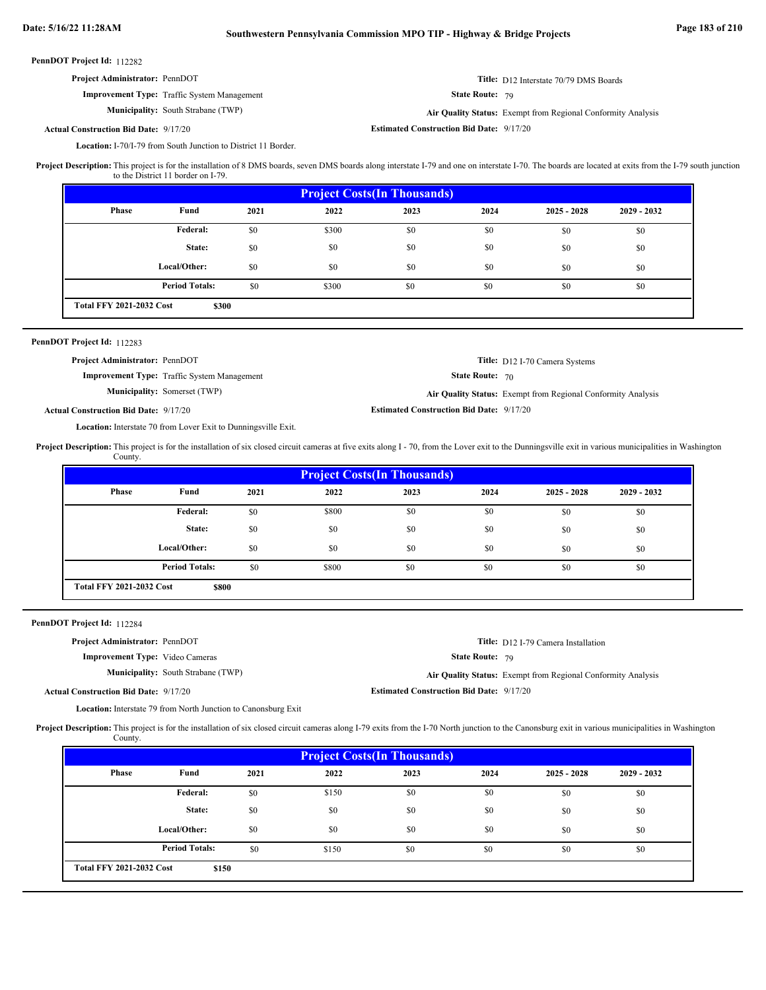### **Improvement Type:** Traffic System Management

**Municipality:** South Strabane (TWP) **Air Quality Status:** 

State Route: 79

Air Quality Status: Exempt from Regional Conformity Analysis

**Title:** D12 Interstate 70/79 DMS Boards

### **Estimated Construction Bid Date:** 9/17/20 9/17/20 **Actual Construction Bid Date:**

Location: I-70/I-79 from South Junction to District 11 Border.

Project Description: This project is for the installation of 8 DMS boards, seven DMS boards along interstate I-79 and one on interstate I-70. The boards are located at exits from the I-79 south junction to the District 11 border on I-79.

| <b>Project Costs (In Thousands)</b> |                                          |      |       |      |      |               |               |  |  |
|-------------------------------------|------------------------------------------|------|-------|------|------|---------------|---------------|--|--|
| Phase                               | Fund                                     | 2021 | 2022  | 2023 | 2024 | $2025 - 2028$ | $2029 - 2032$ |  |  |
|                                     | Federal:                                 | \$0  | \$300 | \$0  | \$0  | \$0           | \$0           |  |  |
|                                     | State:                                   | \$0  | \$0   | \$0  | \$0  | \$0           | \$0           |  |  |
|                                     | Local/Other:                             | \$0  | \$0   | \$0  | \$0  | \$0           | \$0           |  |  |
|                                     | <b>Period Totals:</b>                    | \$0  | \$300 | \$0  | \$0  | \$0           | \$0           |  |  |
|                                     | <b>Total FFY 2021-2032 Cost</b><br>\$300 |      |       |      |      |               |               |  |  |

### PennDOT Project Id: 112283

| <b>Project Administrator: PennDOT</b>        |                                                    |                                                 | <b>Title:</b> D12 I-70 Camera Systems                        |
|----------------------------------------------|----------------------------------------------------|-------------------------------------------------|--------------------------------------------------------------|
|                                              | <b>Improvement Type:</b> Traffic System Management | <b>State Route: 70</b>                          |                                                              |
|                                              | <b>Municipality:</b> Somerset (TWP)                |                                                 | Air Quality Status: Exempt from Regional Conformity Analysis |
| <b>Actual Construction Bid Date: 9/17/20</b> |                                                    | <b>Estimated Construction Bid Date: 9/17/20</b> |                                                              |

Location: Interstate 70 from Lover Exit to Dunningsville Exit.

**Project Description:** This project is for the installation of six closed circuit cameras at five exits along I - 70, from the Lover exit to the Dunningsville exit in various municipalities in Washington County.

| <b>Project Costs (In Thousands)</b>             |                       |      |       |      |      |               |               |  |  |
|-------------------------------------------------|-----------------------|------|-------|------|------|---------------|---------------|--|--|
| Phase                                           | Fund                  | 2021 | 2022  | 2023 | 2024 | $2025 - 2028$ | $2029 - 2032$ |  |  |
|                                                 | Federal:              | \$0  | \$800 | \$0  | \$0  | \$0           | \$0           |  |  |
|                                                 | State:                | \$0  | \$0   | \$0  | \$0  | \$0           | \$0           |  |  |
|                                                 | Local/Other:          | \$0  | \$0   | \$0  | \$0  | \$0           | \$0           |  |  |
|                                                 | <b>Period Totals:</b> | \$0  | \$800 | \$0  | \$0  | \$0           | \$0           |  |  |
| <b>Total FFY 2021-2032 Cost</b><br><b>\$800</b> |                       |      |       |      |      |               |               |  |  |

PennDOT Project Id: 112284

| <b>Project Administrator: PennDOT</b>        |                                           |                                                 | <b>Title:</b> D12 I-79 Camera Installation                   |
|----------------------------------------------|-------------------------------------------|-------------------------------------------------|--------------------------------------------------------------|
| <b>Improvement Type:</b> Video Cameras       |                                           | <b>State Route: 79</b>                          |                                                              |
|                                              | <b>Municipality:</b> South Strabane (TWP) |                                                 | Air Quality Status: Exempt from Regional Conformity Analysis |
| <b>Actual Construction Bid Date: 9/17/20</b> |                                           | <b>Estimated Construction Bid Date: 9/17/20</b> |                                                              |

Location: Interstate 79 from North Junction to Canonsburg Exit

Project Description: This project is for the installation of six closed circuit cameras along I-79 exits from the I-70 North junction to the Canonsburg exit in various municipalities in Washington County.

| <b>Project Costs (In Thousands)</b>      |                       |      |       |      |      |               |               |  |
|------------------------------------------|-----------------------|------|-------|------|------|---------------|---------------|--|
| Phase                                    | Fund                  | 2021 | 2022  | 2023 | 2024 | $2025 - 2028$ | $2029 - 2032$ |  |
|                                          | Federal:              | \$0  | \$150 | \$0  | \$0  | \$0           | \$0           |  |
|                                          | State:                | \$0  | \$0   | \$0  | \$0  | \$0           | \$0           |  |
|                                          | Local/Other:          | \$0  | \$0   | \$0  | \$0  | \$0           | \$0           |  |
|                                          | <b>Period Totals:</b> | \$0  | \$150 | \$0  | \$0  | \$0           | \$0           |  |
| <b>Total FFY 2021-2032 Cost</b><br>\$150 |                       |      |       |      |      |               |               |  |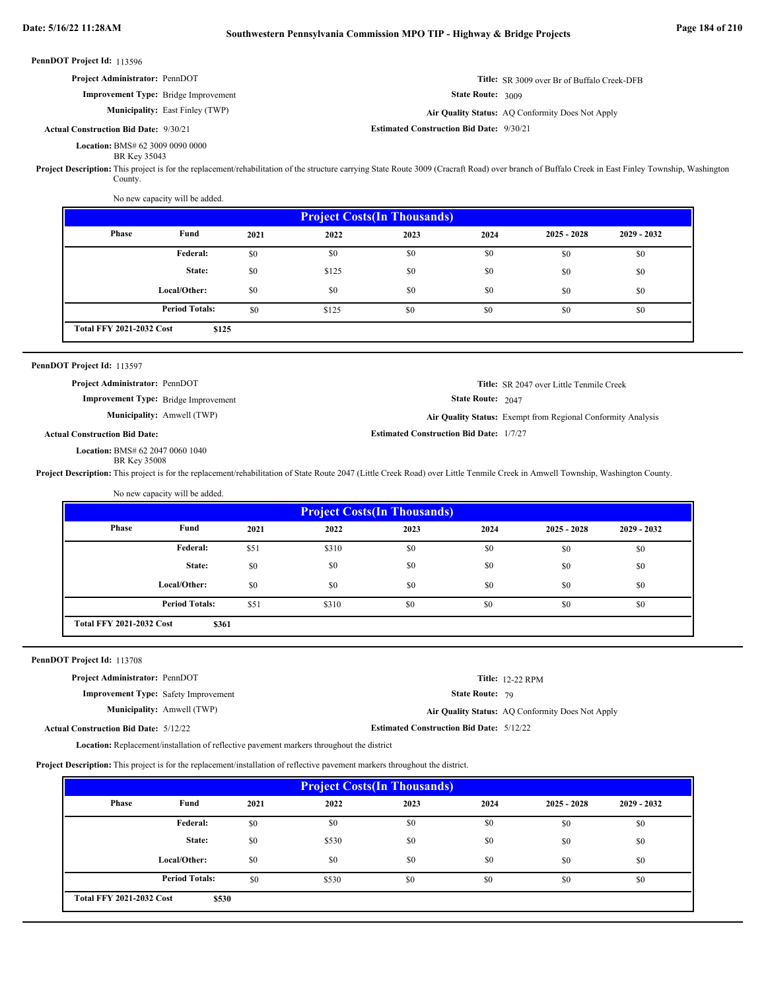PennDOT Project Id: 113596 State Route: 3009 PennDOT Project Id: 113597 State Route: 2047 PennDOT Project Id: 113708 State Route: 79 BMS# 62 3009 0090 0000 **Location:** BR Key 35043 **Title:** SR 3009 over Br of Buffalo Creek-DFB **Improvement Type:** Bridge Improvement **Estimated Construction Bid Date:** 9/30/21 9/30/21 **Actual Construction Bid Date: Municipality:** East Finley (TWP) East Finley (TWP) **Air Quality Status:** AQ Conformity Does Not Apply **Project Administrator:** PennDOT Project Description: This project is for the replacement/rehabilitation of the structure carrying State Route 3009 (Cracraft Road) over branch of Buffalo Creek in East Finley Township, Washington County. No new capacity will be added. BMS# 62 2047 0060 1040 **Location:** BR Key 35008 **Title:** SR 2047 over Little Tenmile Creek **Improvement Type:** Bridge Improvement **Estimated Construction Bid Date:** 1/7/27 **Actual Construction Bid Date: Municipality:** Amwell (TWP) **Air Quality Status:** Exempt from Regional Conformity Analysis **Project Administrator:** PennDOT Project Description: This project is for the replacement/rehabilitation of State Route 2047 (Little Creek Road) over Little Tenmile Creek in Amwell Township, Washington County. No new capacity will be added. **Location:** Replacement/installation of reflective pavement markers throughout the district **Title:** 12-22 RPM **Improvement Type:** Safety Improvement **Estimated Construction Bid Date:** 5/12/22 5/12/22 **Actual Construction Bid Date: Municipality:** Amwell (TWP) Amwell (TWP) **Air Quality Status:** AQ Conformity Does Not Apply **Project Administrator:** PennDOT **Project Description:** This project is for the replacement/installation of reflective pavement markers throughout the district.  **2021 2023 2024 \$125** \$0 \$0 \$0 \$0 \$0 \$0 \$0 \$0 \$0 \$0 \$125 \$0 \$0 \$0 \$0 \$0 \$0 \$0 \$0 \$0 \$0 \$0 \$0 \$0 \$0 \$0 \$0 \$125 \$0 \$0 \$0 \$0 \$0 **Project Costs(In Thousands) Phase Fund 2025 - 2028 2029 - 2032 Federal: State: Local/Other: Total FFY 2021-2032 Cost 2022** \$0 \$0 \$0 **Period Totals:** \$0 \$125 \$0 \$0 \$0  **2021 2023 2024 \$361** \$51 \$310 \$0 \$0 \$0 \$0 \$0 \$0 \$0 \$0 \$0 \$0 \$0 \$0 \$0 \$0 \$0 \$0 \$0 \$0 \$0 \$0 \$0 \$0 \$0 \$0 \$51 \$310 \$0 \$0 \$0 \$0 \$0 **Project Costs(In Thousands) Phase Fund 2025 - 2028 2029 - 2032 Federal: State: Local/Other: Total FFY 2021-2032 Cost 2022** \$0 \$0 \$0 **Period Totals:** \$51 \$310 \$0 \$0  **2021 2023 2024** \$0 \$0 \$0 \$0 \$0 \$0 \$0 \$0 \$0 \$0 \$530 \$0 \$0 \$0 \$0 \$0 \$0 \$0 **Project Costs(In Thousands) Phase Fund 2025 - 2028 2029 - 2032 Federal: State: 2022** \$0 \$0

\$0 \$0 \$0 \$0 \$0 \$0 \$0 \$0 \$0

\$0

**\$530** \$0 \$530 \$0 \$0 \$0 \$0 \$0 \$0 **Total FFY 2021-2032 Cost Period Totals:**  $\qquad \qquad$  \$0  $\qquad \qquad$  \$530  $\qquad \qquad$  \$0  $\qquad \qquad$  \$0  $\qquad \qquad$  \$0

**Local/Other:**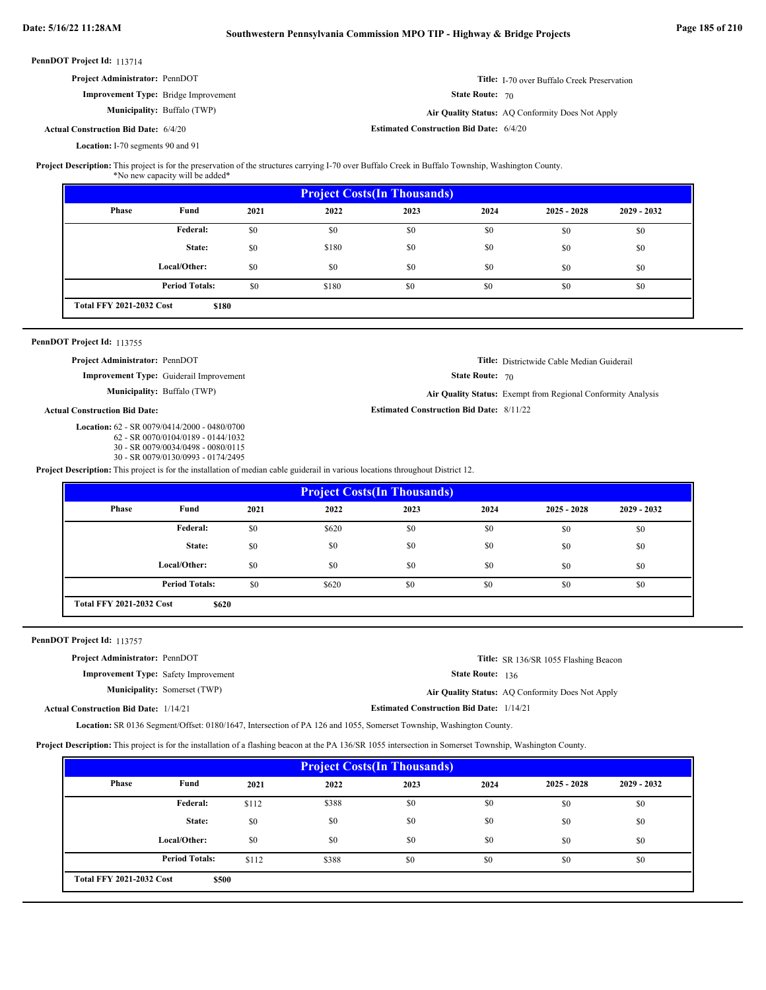| <b>PennDOT Project Id: 113714</b>           |                                    |                                                |                                                    |
|---------------------------------------------|------------------------------------|------------------------------------------------|----------------------------------------------------|
| <b>Project Administrator: PennDOT</b>       |                                    |                                                | <b>Title:</b> I-70 over Buffalo Creek Preservation |
| <b>Improvement Type:</b> Bridge Improvement |                                    | <b>State Route: 70</b>                         |                                                    |
|                                             | <b>Municipality:</b> Buffalo (TWP) |                                                | Air Quality Status: AQ Conformity Does Not Apply   |
| <b>Actual Construction Bid Date: 6/4/20</b> |                                    | <b>Estimated Construction Bid Date: 6/4/20</b> |                                                    |
| Location: I-70 segments 90 and 91           |                                    |                                                |                                                    |

## Project Description: This project is for the preservation of the structures carrying I-70 over Buffalo Creek in Buffalo Township, Washington County.

| <b>Project Costs (In Thousands)</b> |                                          |      |       |      |      |               |               |  |
|-------------------------------------|------------------------------------------|------|-------|------|------|---------------|---------------|--|
| <b>Phase</b>                        | Fund                                     | 2021 | 2022  | 2023 | 2024 | $2025 - 2028$ | $2029 - 2032$ |  |
|                                     | <b>Federal:</b>                          | \$0  | \$0   | \$0  | \$0  | \$0           | \$0           |  |
|                                     | State:                                   | \$0  | \$180 | \$0  | \$0  | \$0           | \$0           |  |
|                                     | Local/Other:                             | \$0  | \$0   | \$0  | \$0  | \$0           | \$0           |  |
|                                     | <b>Period Totals:</b>                    | \$0  | \$180 | \$0  | \$0  | \$0           | \$0           |  |
|                                     | <b>Total FFY 2021-2032 Cost</b><br>\$180 |      |       |      |      |               |               |  |

### PennDOT Project Id: 113755

**Project Administrator:** PennDOT

**Improvement Type:** Guiderail Improvement

**Municipality:** Buffalo (TWP) **Air Quality Status:** Exempt from Regional Conformity Analysis

### **Actual Construction Bid Date:**

62 - SR 0079/0414/2000 - 0480/0700 **Location:**

- 62 SR 0070/0104/0189 0144/1032 30 - SR 0079/0034/0498 - 0080/0115
- 30 SR 0079/0130/0993 0174/2495

**Project Description:** This project is for the installation of median cable guiderail in various locations throughout District 12.

| <b>Project Costs (In Thousands)</b> |                                          |      |       |      |      |               |               |  |
|-------------------------------------|------------------------------------------|------|-------|------|------|---------------|---------------|--|
| Phase                               | Fund                                     | 2021 | 2022  | 2023 | 2024 | $2025 - 2028$ | $2029 - 2032$ |  |
|                                     | Federal:                                 | \$0  | \$620 | \$0  | \$0  | \$0           | \$0           |  |
|                                     | State:                                   | \$0  | \$0   | \$0  | \$0  | \$0           | \$0           |  |
|                                     | Local/Other:                             | \$0  | \$0   | \$0  | \$0  | \$0           | \$0           |  |
|                                     | <b>Period Totals:</b>                    | \$0  | \$620 | \$0  | \$0  | \$0           | \$0           |  |
|                                     | <b>Total FFY 2021-2032 Cost</b><br>\$620 |      |       |      |      |               |               |  |

### PennDOT Project Id: 113757

**Project Administrator:** PennDOT

**Improvement Type:** Safety Improvement **Municipality:** Somerset (TWP)

**Title:** SR 136/SR 1055 Flashing Beacon

**Title:** Districtwide Cable Median Guiderail

State Route: 136

State Route: 70

**Estimated Construction Bid Date:** 8/11/22

**Air Quality Status:** AQ Conformity Does Not Apply Air Quality Status: AQ Conformity Does Not Apply

**Estimated Construction Bid Date:** 1/14/21 1/14/21 **Actual Construction Bid Date:**

Location: SR 0136 Segment/Offset: 0180/1647, Intersection of PA 126 and 1055, Somerset Township, Washington County.

**Project Description:** This project is for the installation of a flashing beacon at the PA 136/SR 1055 intersection in Somerset Township, Washington County.

| <b>Project Costs (In Thousands)</b> |                                          |       |       |      |      |               |               |  |
|-------------------------------------|------------------------------------------|-------|-------|------|------|---------------|---------------|--|
| Phase                               | Fund                                     | 2021  | 2022  | 2023 | 2024 | $2025 - 2028$ | $2029 - 2032$ |  |
|                                     | Federal:                                 | \$112 | \$388 | \$0  | \$0  | \$0           | \$0           |  |
|                                     | State:                                   | \$0   | \$0   | \$0  | \$0  | \$0           | \$0           |  |
|                                     | Local/Other:                             | \$0   | \$0   | \$0  | \$0  | \$0           | \$0           |  |
|                                     | <b>Period Totals:</b>                    | \$112 | \$388 | \$0  | \$0  | \$0           | \$0           |  |
|                                     | <b>Total FFY 2021-2032 Cost</b><br>\$500 |       |       |      |      |               |               |  |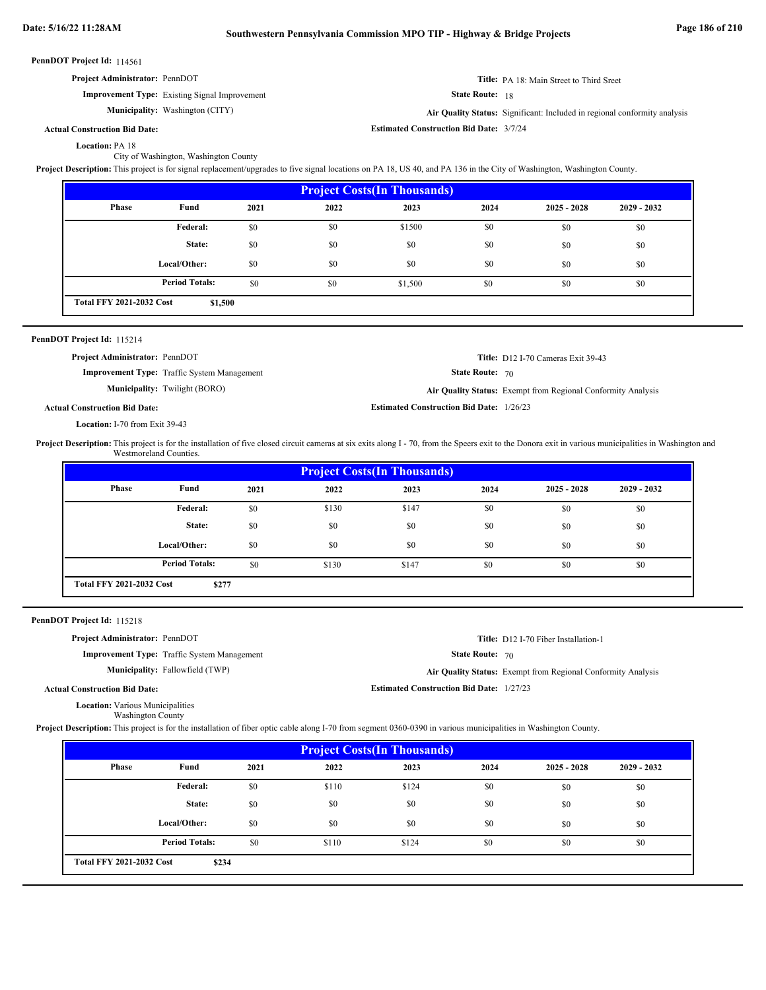| <b>Project Administrator: PennDOT</b> |  |  |
|---------------------------------------|--|--|

**Improvement Type:** Existing Signal Improvement

**Municipality:** Washington (CITY)

**Title:** PA 18: Main Street to Third Sreet

State Route: 18

**Estimated Construction Bid Date:** 3/7/24

Washington (CITY) **Air Quality Status:** Significant: Included in regional conformity analysis

### **Actual Construction Bid Date:**

Location: PA 18

City of Washington, Washington County

**Project Description:** This project is for signal replacement/upgrades to five signal locations on PA 18, US 40, and PA 136 in the City of Washington, Washington County.

| <b>Project Costs (In Thousands)</b> |                                            |      |      |         |      |               |               |  |
|-------------------------------------|--------------------------------------------|------|------|---------|------|---------------|---------------|--|
| Phase                               | Fund                                       | 2021 | 2022 | 2023    | 2024 | $2025 - 2028$ | $2029 - 2032$ |  |
|                                     | Federal:                                   | \$0  | \$0  | \$1500  | \$0  | \$0           | \$0           |  |
|                                     | State:                                     | \$0  | \$0  | \$0     | \$0  | \$0           | \$0           |  |
|                                     | Local/Other:                               | \$0  | \$0  | \$0     | \$0  | \$0           | \$0           |  |
|                                     | <b>Period Totals:</b>                      | \$0  | \$0  | \$1,500 | \$0  | \$0           | \$0           |  |
|                                     | <b>Total FFY 2021-2032 Cost</b><br>\$1,500 |      |      |         |      |               |               |  |

| PennDOT Project Id: 115214 |  |  |
|----------------------------|--|--|
|----------------------------|--|--|

| <b>Project Administrator: PennDOT</b> |                                                    |                                                 | <b>Title:</b> D12 I-70 Cameras Exit 39-43                    |
|---------------------------------------|----------------------------------------------------|-------------------------------------------------|--------------------------------------------------------------|
|                                       | <b>Improvement Type:</b> Traffic System Management | <b>State Route: 70</b>                          |                                                              |
|                                       | <b>Municipality:</b> Twilight (BORO)               |                                                 | Air Quality Status: Exempt from Regional Conformity Analysis |
| <b>Actual Construction Bid Date:</b>  |                                                    | <b>Estimated Construction Bid Date: 1/26/23</b> |                                                              |

**Location:** I-70 from Exit 39-43

Project Description: This project is for the installation of five closed circuit cameras at six exits along I - 70, from the Speers exit to the Donora exit in various municipalities in Washington and Westmoreland Counties.

| <b>Project Costs (In Thousands)</b> |                       |      |       |       |      |               |               |  |
|-------------------------------------|-----------------------|------|-------|-------|------|---------------|---------------|--|
| Phase                               | Fund                  | 2021 | 2022  | 2023  | 2024 | $2025 - 2028$ | $2029 - 2032$ |  |
|                                     | <b>Federal:</b>       | \$0  | \$130 | \$147 | \$0  | \$0           | \$0           |  |
|                                     | State:                | \$0  | \$0   | \$0   | \$0  | \$0           | \$0           |  |
|                                     | Local/Other:          | \$0  | \$0   | \$0   | \$0  | \$0           | \$0           |  |
|                                     | <b>Period Totals:</b> | \$0  | \$130 | \$147 | \$0  | \$0           | \$0           |  |
| <b>Total FFY 2021-2032 Cost</b>     | \$277                 |      |       |       |      |               |               |  |

PennDOT Project Id: 115218

| <b>Project Administrator: PennDOT</b>              | <b>Title:</b> D12 I-70 Fiber Installation-1                  |
|----------------------------------------------------|--------------------------------------------------------------|
| <b>Improvement Type:</b> Traffic System Management | <b>State Route: 70</b>                                       |
| <b>Municipality:</b> Fallowfield (TWP)             | Air Quality Status: Exempt from Regional Conformity Analysis |
| <b>Actual Construction Bid Date:</b>               | <b>Estimated Construction Bid Date: 1/27/23</b>              |
| <b>Location:</b> Various Municipalities            |                                                              |

Washington County

Project Description: This project is for the installation of fiber optic cable along I-70 from segment 0360-0390 in various municipalities in Washington County.

| <b>Project Costs (In Thousands)</b> |                                          |      |       |       |      |               |               |  |  |
|-------------------------------------|------------------------------------------|------|-------|-------|------|---------------|---------------|--|--|
| <b>Phase</b>                        | Fund                                     | 2021 | 2022  | 2023  | 2024 | $2025 - 2028$ | $2029 - 2032$ |  |  |
|                                     | <b>Federal:</b>                          | \$0  | \$110 | \$124 | \$0  | \$0           | \$0           |  |  |
|                                     | State:                                   | \$0  | \$0   | \$0   | \$0  | \$0           | \$0           |  |  |
|                                     | Local/Other:                             | \$0  | \$0   | \$0   | \$0  | \$0           | \$0           |  |  |
|                                     | <b>Period Totals:</b>                    | \$0  | \$110 | \$124 | \$0  | \$0           | \$0           |  |  |
|                                     | <b>Total FFY 2021-2032 Cost</b><br>\$234 |      |       |       |      |               |               |  |  |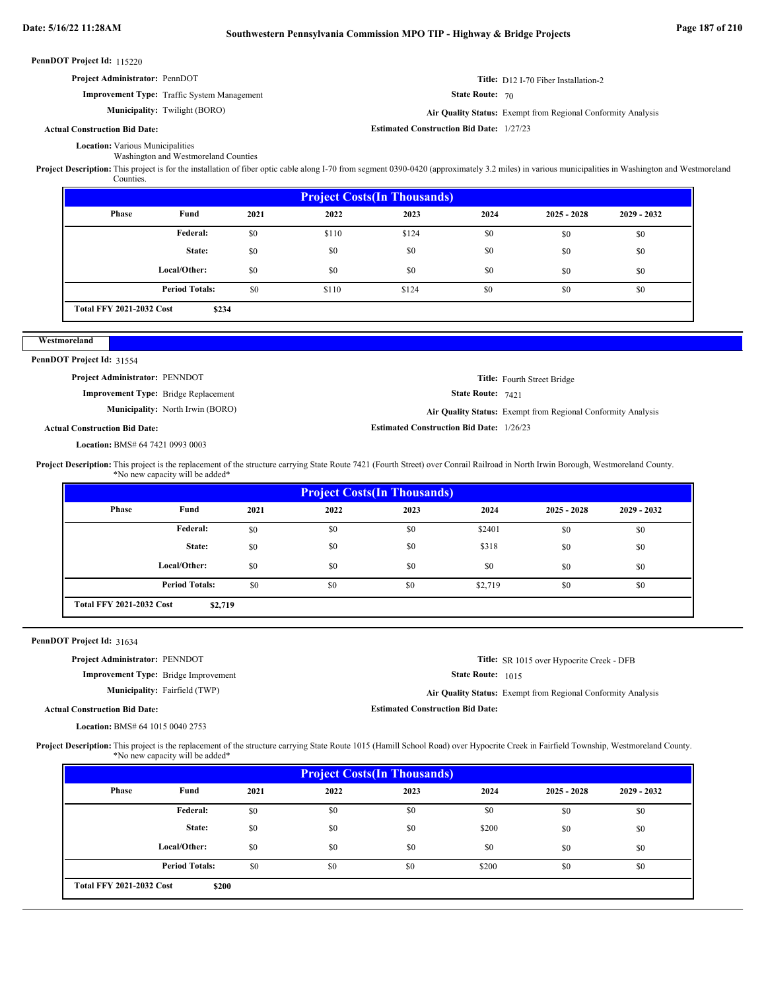**Estimated Construction Bid Date:** 1/27/23

**Estimated Construction Bid Date:** 1/26/23

PennDOT Project Id: 115220

| <b>Project Administrator: PennDOT</b>              | Title: D12 I-70 Fiber Installation-2 |
|----------------------------------------------------|--------------------------------------|
| <b>Improvement Type:</b> Traffic System Management | <b>State Route: 70</b>               |

**Municipality:** Twilight (BORO) **Air Quality Status:** Exempt from Regional Conformity Analysis

### **Actual Construction Bid Date:**

**Location:** Various Municipalities Washington and Westmoreland Counties

Project Description: This project is for the installation of fiber optic cable along I-70 from segment 0390-0420 (approximately 3.2 miles) in various municipalities in Washington and Westmoreland Counties.

| <b>Project Costs (In Thousands)</b> |                                          |      |       |       |      |               |               |  |  |
|-------------------------------------|------------------------------------------|------|-------|-------|------|---------------|---------------|--|--|
| Phase                               | Fund                                     | 2021 | 2022  | 2023  | 2024 | $2025 - 2028$ | $2029 - 2032$ |  |  |
|                                     | <b>Federal:</b>                          | \$0  | \$110 | \$124 | \$0  | \$0           | \$0           |  |  |
|                                     | State:                                   | \$0  | \$0   | \$0   | \$0  | \$0           | \$0           |  |  |
|                                     | Local/Other:                             | \$0  | \$0   | \$0   | \$0  | \$0           | \$0           |  |  |
|                                     | <b>Period Totals:</b>                    | \$0  | \$110 | \$124 | \$0  | \$0           | \$0           |  |  |
|                                     | <b>Total FFY 2021-2032 Cost</b><br>\$234 |      |       |       |      |               |               |  |  |

### **Westmoreland**

PennDOT Project Id: 31554

**Project Administrator:** PENNDOT

**Improvement Type:** Bridge Replacement

**Municipality:** North Irwin (BORO)

State Route: 7421 **Title:** Fourth Street Bridge

North Irwin (BORO) **Air Quality Status:** Exempt from Regional Conformity Analysis

**Title:** SR 1015 over Hypocrite Creek - DFB

**Actual Construction Bid Date:**

BMS# 64 7421 0993 0003 **Location:**

Project Description: This project is the replacement of the structure carrying State Route 7421 (Fourth Street) over Conrail Railroad in North Irwin Borough, Westmoreland County. \*No new capacity will be added\*

| <b>Project Costs (In Thousands)</b> |                                            |      |      |      |         |               |               |  |  |
|-------------------------------------|--------------------------------------------|------|------|------|---------|---------------|---------------|--|--|
| Phase                               | Fund                                       | 2021 | 2022 | 2023 | 2024    | $2025 - 2028$ | $2029 - 2032$ |  |  |
|                                     | Federal:                                   | \$0  | \$0  | \$0  | \$2401  | \$0           | \$0           |  |  |
|                                     | State:                                     | \$0  | \$0  | \$0  | \$318   | \$0           | \$0           |  |  |
|                                     | Local/Other:                               | \$0  | \$0  | \$0  | \$0     | \$0           | \$0           |  |  |
|                                     | <b>Period Totals:</b>                      | \$0  | \$0  | \$0  | \$2,719 | \$0           | \$0           |  |  |
|                                     | <b>Total FFY 2021-2032 Cost</b><br>\$2,719 |      |      |      |         |               |               |  |  |

### PennDOT Project Id: 31634

**Project Administrator:** PENNDOT

**Improvement Type:** Bridge Improvement

**Municipality:** Fairfield (TWP)

Fairfield (TWP) **Air Quality Status:** Exempt from Regional Conformity Analysis

**Estimated Construction Bid Date:**

State Route: 1015

**Actual Construction Bid Date:**

BMS# 64 1015 0040 2753 **Location:**

Project Description: This project is the replacement of the structure carrying State Route 1015 (Hamill School Road) over Hypocrite Creek in Fairfield Township, Westmoreland County. \*No new capacity will be added\*

| <b>Project Costs(In Thousands)</b>       |                       |      |      |      |       |               |               |  |  |
|------------------------------------------|-----------------------|------|------|------|-------|---------------|---------------|--|--|
| Phase                                    | Fund                  | 2021 | 2022 | 2023 | 2024  | $2025 - 2028$ | $2029 - 2032$ |  |  |
|                                          | Federal:              | \$0  | \$0  | \$0  | \$0   | \$0           | \$0           |  |  |
|                                          | State:                | \$0  | \$0  | \$0  | \$200 | \$0           | \$0           |  |  |
|                                          | Local/Other:          | \$0  | \$0  | \$0  | \$0   | \$0           | \$0           |  |  |
|                                          | <b>Period Totals:</b> | \$0  | \$0  | \$0  | \$200 | \$0           | \$0           |  |  |
| <b>Total FFY 2021-2032 Cost</b><br>\$200 |                       |      |      |      |       |               |               |  |  |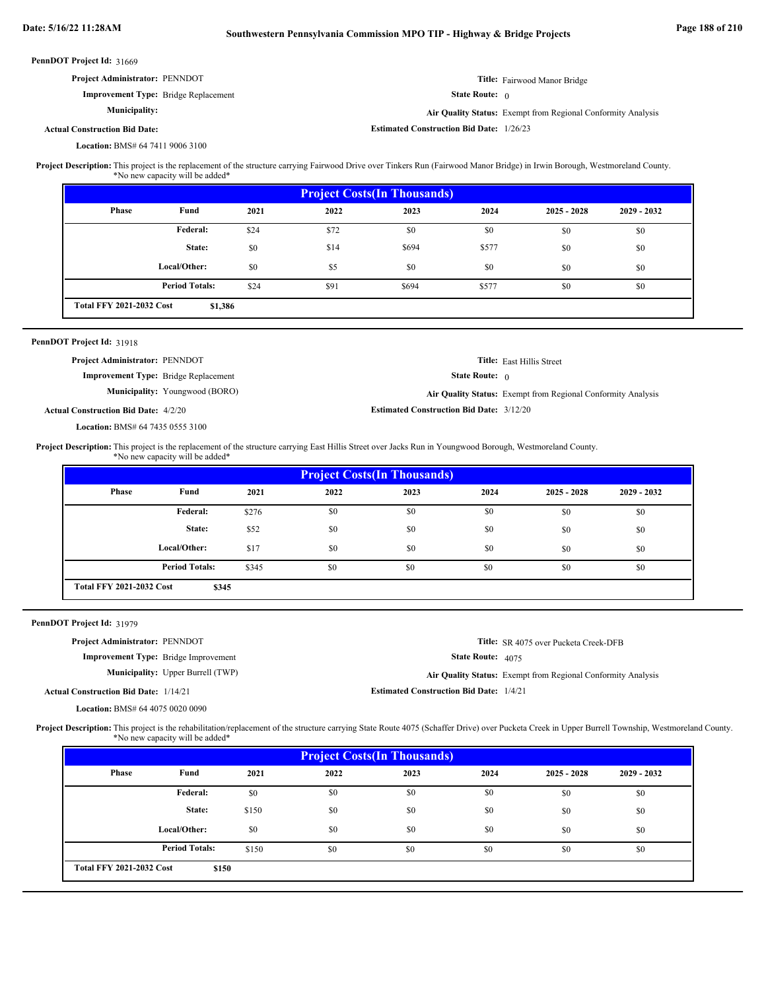| <b>PennDOT Project Id: 31669</b>            |                                                              |  |
|---------------------------------------------|--------------------------------------------------------------|--|
| Project Administrator: PENNDOT              | Title: Fairwood Manor Bridge                                 |  |
| <b>Improvement Type:</b> Bridge Replacement | <b>State Route:</b> $\theta$                                 |  |
| <b>Municipality:</b>                        | Air Quality Status: Exempt from Regional Conformity Analysis |  |
| <b>Actual Construction Bid Date:</b>        | <b>Estimated Construction Bid Date: 1/26/23</b>              |  |
| <b>Location: BMS# 64 7411 9006 3100</b>     |                                                              |  |

This project is the replacement of the structure carrying Fairwood Drive over Tinkers Run (Fairwood Manor Bridge) in Irwin Borough, Westmoreland County. \*No new capacity will be added\* **Project Description:**

| <b>Project Costs (In Thousands)</b> |                                            |      |      |       |       |               |               |  |  |
|-------------------------------------|--------------------------------------------|------|------|-------|-------|---------------|---------------|--|--|
| Phase                               | Fund                                       | 2021 | 2022 | 2023  | 2024  | $2025 - 2028$ | $2029 - 2032$ |  |  |
|                                     | Federal:                                   | \$24 | \$72 | \$0   | \$0   | \$0           | \$0           |  |  |
|                                     | State:                                     | \$0  | \$14 | \$694 | \$577 | \$0           | \$0           |  |  |
|                                     | Local/Other:                               | \$0  | \$5  | \$0   | \$0   | \$0           | \$0           |  |  |
|                                     | <b>Period Totals:</b>                      | \$24 | \$91 | \$694 | \$577 | \$0           | \$0           |  |  |
|                                     | <b>Total FFY 2021-2032 Cost</b><br>\$1,386 |      |      |       |       |               |               |  |  |

### 31918 **PennDOT Project Id:**

| <b>Project Administrator: PENNDOT</b>       |                                       |                                                 | <b>Title:</b> East Hillis Street                             |
|---------------------------------------------|---------------------------------------|-------------------------------------------------|--------------------------------------------------------------|
| <b>Improvement Type:</b> Bridge Replacement |                                       | <b>State Route:</b> $\theta$                    |                                                              |
|                                             | <b>Municipality:</b> Youngwood (BORO) |                                                 | Air Quality Status: Exempt from Regional Conformity Analysis |
| <b>Actual Construction Bid Date: 4/2/20</b> |                                       | <b>Estimated Construction Bid Date: 3/12/20</b> |                                                              |

BMS# 64 7435 0555 3100 **Location:**

This project is the replacement of the structure carrying East Hillis Street over Jacks Run in Youngwood Borough, Westmoreland County. **Project Description:**

\*No new capacity will be added\*

| <b>Project Costs (In Thousands)</b> |                                          |       |      |      |      |               |               |  |  |
|-------------------------------------|------------------------------------------|-------|------|------|------|---------------|---------------|--|--|
| Phase                               | Fund                                     | 2021  | 2022 | 2023 | 2024 | $2025 - 2028$ | $2029 - 2032$ |  |  |
|                                     | Federal:                                 | \$276 | \$0  | \$0  | \$0  | \$0           | \$0           |  |  |
|                                     | State:                                   | \$52  | \$0  | \$0  | \$0  | \$0           | \$0           |  |  |
|                                     | Local/Other:                             | \$17  | \$0  | \$0  | \$0  | \$0           | \$0           |  |  |
|                                     | <b>Period Totals:</b>                    | \$345 | \$0  | \$0  | \$0  | \$0           | \$0           |  |  |
|                                     | <b>Total FFY 2021-2032 Cost</b><br>\$345 |       |      |      |      |               |               |  |  |

PennDOT Project Id: 31979

| <b>Project Administrator: PENNDOT</b>        |                                             |                                                | <b>Title:</b> SR 4075 over Pucketa Creek-DFB                 |
|----------------------------------------------|---------------------------------------------|------------------------------------------------|--------------------------------------------------------------|
|                                              | <b>Improvement Type:</b> Bridge Improvement | <b>State Route: 4075</b>                       |                                                              |
|                                              | <b>Municipality:</b> Upper Burrell (TWP)    |                                                | Air Quality Status: Exempt from Regional Conformity Analysis |
| <b>Actual Construction Bid Date: 1/14/21</b> |                                             | <b>Estimated Construction Bid Date: 1/4/21</b> |                                                              |
| <b>Location: BMS# 64 4075 0020 0090</b>      |                                             |                                                |                                                              |

Project Description: This project is the rehabilitation/replacement of the structure carrying State Route 4075 (Schaffer Drive) over Pucketa Creek in Upper Burrell Township, Westmoreland County. \*No new capacity will be added\*

| <b>Project Costs (In Thousands)</b> |                                          |       |      |      |      |               |               |  |  |
|-------------------------------------|------------------------------------------|-------|------|------|------|---------------|---------------|--|--|
| Phase                               | Fund                                     | 2021  | 2022 | 2023 | 2024 | $2025 - 2028$ | $2029 - 2032$ |  |  |
|                                     | Federal:                                 | \$0   | \$0  | \$0  | \$0  | \$0           | \$0           |  |  |
|                                     | State:                                   | \$150 | \$0  | \$0  | \$0  | \$0           | \$0           |  |  |
|                                     | Local/Other:                             | \$0   | \$0  | \$0  | \$0  | \$0           | \$0           |  |  |
|                                     | <b>Period Totals:</b>                    | \$150 | \$0  | \$0  | \$0  | \$0           | \$0           |  |  |
|                                     | <b>Total FFY 2021-2032 Cost</b><br>\$150 |       |      |      |      |               |               |  |  |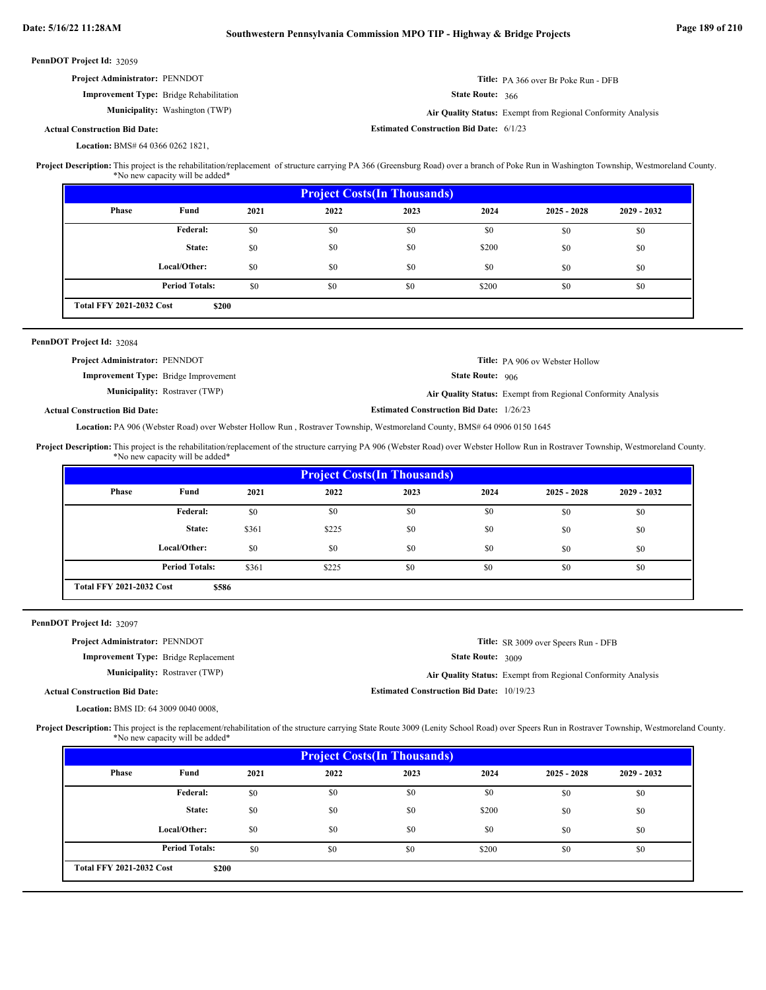|  | PennDOT Project Id: 32059 |  |
|--|---------------------------|--|
|--|---------------------------|--|

| <b>Project Administrator: PENNDOT</b>          |                                       |                                                | <b>Title:</b> PA 366 over Br Poke Run - DFB                  |
|------------------------------------------------|---------------------------------------|------------------------------------------------|--------------------------------------------------------------|
| <b>Improvement Type:</b> Bridge Rehabilitation |                                       | <b>State Route: 366</b>                        |                                                              |
|                                                | <b>Municipality:</b> Washington (TWP) |                                                | Air Quality Status: Exempt from Regional Conformity Analysis |
| <b>Actual Construction Bid Date:</b>           |                                       | <b>Estimated Construction Bid Date: 6/1/23</b> |                                                              |

BMS# 64 0366 0262 1821, **Location:**

This project is the rehabilitation/replacement of structure carrying PA 366 (Greensburg Road) over a branch of Poke Run in Washington Township, Westmoreland County. \*No new capacity will be added\* **Project Description:**

| <b>Project Costs (In Thousands)</b>      |                       |      |      |      |       |               |               |
|------------------------------------------|-----------------------|------|------|------|-------|---------------|---------------|
| Phase                                    | Fund                  | 2021 | 2022 | 2023 | 2024  | $2025 - 2028$ | $2029 - 2032$ |
|                                          | <b>Federal:</b>       | \$0  | \$0  | \$0  | \$0   | \$0           | \$0           |
|                                          | State:                | \$0  | \$0  | \$0  | \$200 | \$0           | \$0           |
|                                          | Local/Other:          | \$0  | \$0  | \$0  | \$0   | \$0           | \$0           |
|                                          | <b>Period Totals:</b> | \$0  | \$0  | \$0  | \$200 | \$0           | \$0           |
| <b>Total FFY 2021-2032 Cost</b><br>\$200 |                       |      |      |      |       |               |               |

### PennDOT Project Id: 32084

| <b>Project Administrator: PENNDOT</b>       |                                      |                                                 | <b>Title:</b> PA 906 ov Webster Hollow                       |
|---------------------------------------------|--------------------------------------|-------------------------------------------------|--------------------------------------------------------------|
| <b>Improvement Type:</b> Bridge Improvement |                                      | <b>State Route: 906</b>                         |                                                              |
|                                             | <b>Municipality:</b> Rostraver (TWP) |                                                 | Air Quality Status: Exempt from Regional Conformity Analysis |
| <b>Actual Construction Bid Date:</b>        |                                      | <b>Estimated Construction Bid Date: 1/26/23</b> |                                                              |

## Location: PA 906 (Webster Road) over Webster Hollow Run, Rostraver Township, Westmoreland County, BMS# 64 0906 0150 1645

This project is the rehabilitation/replacement of the structure carrying PA 906 (Webster Road) over Webster Hollow Run in Rostraver Township, Westmoreland County. \*No new capacity will be added\* **Project Description:**

| <b>Project Costs (In Thousands)</b>      |                       |       |       |      |      |               |               |
|------------------------------------------|-----------------------|-------|-------|------|------|---------------|---------------|
| Phase                                    | Fund                  | 2021  | 2022  | 2023 | 2024 | $2025 - 2028$ | $2029 - 2032$ |
|                                          | <b>Federal:</b>       | \$0   | \$0   | \$0  | \$0  | \$0           | \$0           |
|                                          | State:                | \$361 | \$225 | \$0  | \$0  | \$0           | \$0           |
|                                          | Local/Other:          | \$0   | \$0   | \$0  | \$0  | \$0           | \$0           |
|                                          | <b>Period Totals:</b> | \$361 | \$225 | \$0  | \$0  | \$0           | \$0           |
| <b>Total FFY 2021-2032 Cost</b><br>\$586 |                       |       |       |      |      |               |               |

PennDOT Project Id: 32097

| <b>Project Administrator: PENNDOT</b>       |                                             |                                                  | <b>Title:</b> SR 3009 over Speers Run - DFB                  |
|---------------------------------------------|---------------------------------------------|--------------------------------------------------|--------------------------------------------------------------|
|                                             | <b>Improvement Type:</b> Bridge Replacement | <b>State Route: 3009</b>                         |                                                              |
|                                             | <b>Municipality:</b> Rostraver (TWP)        |                                                  | Air Quality Status: Exempt from Regional Conformity Analysis |
| <b>Actual Construction Bid Date:</b>        |                                             | <b>Estimated Construction Bid Date: 10/19/23</b> |                                                              |
| <b>Location: BMS ID: 64 3009 0040 0008.</b> |                                             |                                                  |                                                              |

Project Description: This project is the replacement/rehabilitation of the structure carrying State Route 3009 (Lenity School Road) over Speers Run in Rostraver Township, Westmoreland County. \*No new capacity will be added\*

| <b>Project Costs (In Thousands)</b>      |                       |      |      |      |       |               |               |
|------------------------------------------|-----------------------|------|------|------|-------|---------------|---------------|
| Phase                                    | Fund                  | 2021 | 2022 | 2023 | 2024  | $2025 - 2028$ | $2029 - 2032$ |
|                                          | <b>Federal:</b>       | \$0  | \$0  | \$0  | \$0   | \$0           | \$0           |
|                                          | State:                | \$0  | \$0  | \$0  | \$200 | \$0           | \$0           |
|                                          | Local/Other:          | \$0  | \$0  | \$0  | \$0   | \$0           | \$0           |
|                                          | <b>Period Totals:</b> | \$0  | \$0  | \$0  | \$200 | \$0           | \$0           |
| <b>Total FFY 2021-2032 Cost</b><br>\$200 |                       |      |      |      |       |               |               |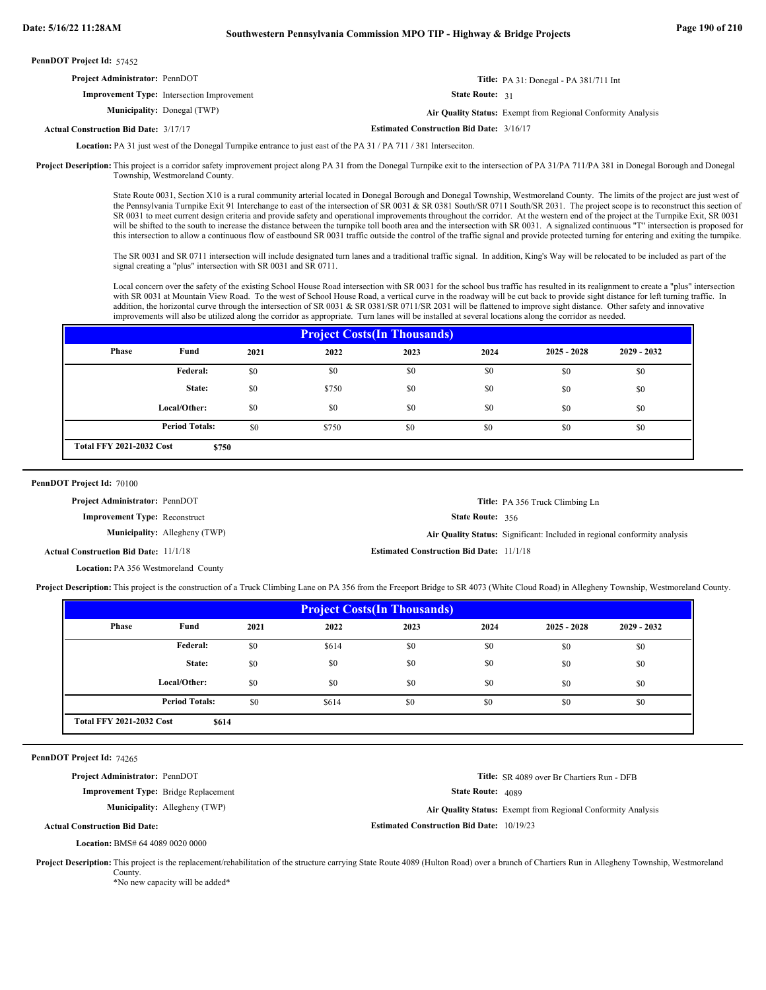|                                                                                                                                                                                  | <b>Title:</b> PA 31: Donegal - PA $381/711$ Int                           |
|----------------------------------------------------------------------------------------------------------------------------------------------------------------------------------|---------------------------------------------------------------------------|
|                                                                                                                                                                                  |                                                                           |
|                                                                                                                                                                                  | Air Quality Status: Exempt from Regional Conformity Analysis              |
|                                                                                                                                                                                  |                                                                           |
| <b>Project Administrator: PennDOT</b><br><b>Improvement Type:</b> Intersection Improvement<br><b>Municipality:</b> Donegal (TWP)<br><b>Actual Construction Bid Date: 3/17/17</b> | <b>State Route: 31</b><br><b>Estimated Construction Bid Date: 3/16/17</b> |

Location: PA 31 just west of the Donegal Turnpike entrance to just east of the PA 31 / PA 711 / 381 Interseciton.

Project Description: This project is a corridor safety improvement project along PA 31 from the Donegal Turnpike exit to the intersection of PA 31/PA 711/PA 381 in Donegal Borough and Donegal Township, Westmoreland County.

> State Route 0031, Section X10 is a rural community arterial located in Donegal Borough and Donegal Township, Westmoreland County. The limits of the project are just west of the Pennsylvania Turnpike Exit 91 Interchange to east of the intersection of SR 0031 & SR 0381 South/SR 0711 South/SR 2031. The project scope is to reconstruct this section of SR 0031 to meet current design criteria and provide safety and operational improvements throughout the corridor. At the western end of the project at the Turnpike Exit, SR 0031 will be shifted to the south to increase the distance between the turnpike toll booth area and the intersection with SR 0031. A signalized continuous "T" intersection is proposed for this intersection to allow a continuous flow of eastbound SR 0031 traffic outside the control of the traffic signal and provide protected turning for entering and exiting the turnpike.

The SR 0031 and SR 0711 intersection will include designated turn lanes and a traditional traffic signal. In addition, King's Way will be relocated to be included as part of the signal creating a "plus" intersection with SR 0031 and SR 0711.

Local concern over the safety of the existing School House Road intersection with SR 0031 for the school bus traffic has resulted in its realignment to create a "plus" intersection with SR 0031 at Mountain View Road. To the west of School House Road, a vertical curve in the roadway will be cut back to provide sight distance for left turning traffic. In addition, the horizontal curve through the intersection of SR 0031 & SR 0381/SR 0711/SR 2031 will be flattened to improve sight distance. Other safety and innovative improvements will also be utilized along the corridor as appropriate. Turn lanes will be installed at several locations along the corridor as needed.

| <b>Project Costs (In Thousands)</b>      |                       |      |       |      |      |               |               |  |
|------------------------------------------|-----------------------|------|-------|------|------|---------------|---------------|--|
| Phase                                    | Fund                  | 2021 | 2022  | 2023 | 2024 | $2025 - 2028$ | $2029 - 2032$ |  |
|                                          | Federal:              | \$0  | \$0   | \$0  | \$0  | \$0           | \$0           |  |
|                                          | State:                | \$0  | \$750 | \$0  | \$0  | \$0           | \$0           |  |
|                                          | Local/Other:          | \$0  | \$0   | \$0  | \$0  | \$0           | \$0           |  |
|                                          | <b>Period Totals:</b> | \$0  | \$750 | \$0  | \$0  | \$0           | \$0           |  |
| <b>Total FFY 2021-2032 Cost</b><br>\$750 |                       |      |       |      |      |               |               |  |

PennDOT Project Id: 70100

**Project Administrator:** PennDOT

**Improvement Type:** Reconstruct

**Municipality:** Allegheny (TWP)

State Route: 356

Allegheny (TWP) **Air Quality Status:** Significant: Included in regional conformity analysis

**Title:** PA 356 Truck Climbing Ln

**Estimated Construction Bid Date:** 11/1/18 **Estimated Construction Bid Date:** 11/1/18 **Actual Construction Bid Date:**

Location: PA 356 Westmoreland County

Project Description: This project is the construction of a Truck Climbing Lane on PA 356 from the Freeport Bridge to SR 4073 (White Cloud Road) in Allegheny Township, Westmoreland County.

| <b>Project Costs (In Thousands)</b>      |                       |      |       |      |      |               |               |
|------------------------------------------|-----------------------|------|-------|------|------|---------------|---------------|
| Phase                                    | Fund                  | 2021 | 2022  | 2023 | 2024 | $2025 - 2028$ | $2029 - 2032$ |
|                                          | Federal:              | \$0  | \$614 | \$0  | \$0  | \$0           | \$0           |
|                                          | State:                | \$0  | \$0   | \$0  | \$0  | \$0           | \$0           |
|                                          | Local/Other:          | \$0  | \$0   | \$0  | \$0  | \$0           | \$0           |
|                                          | <b>Period Totals:</b> | \$0  | \$614 | \$0  | \$0  | \$0           | \$0           |
| <b>Total FFY 2021-2032 Cost</b><br>\$614 |                       |      |       |      |      |               |               |

PennDOT Project Id: 74265

**Project Administrator:** PennDOT

**Improvement Type:** Bridge Replacement

**Municipality:** Allegheny (TWP)

**Title:** SR 4089 over Br Chartiers Run - DFB

State Route: 4089

Allegheny (TWP) **Air Quality Status:** Exempt from Regional Conformity Analysis

**Actual Construction Bid Date:**

**Estimated Construction Bid Date:** 10/19/23

BMS# 64 4089 0020 0000 **Location:**

Project Description: This project is the replacement/rehabilitation of the structure carrying State Route 4089 (Hulton Road) over a branch of Chartiers Run in Allegheny Township, Westmoreland County.

\*No new capacity will be added\*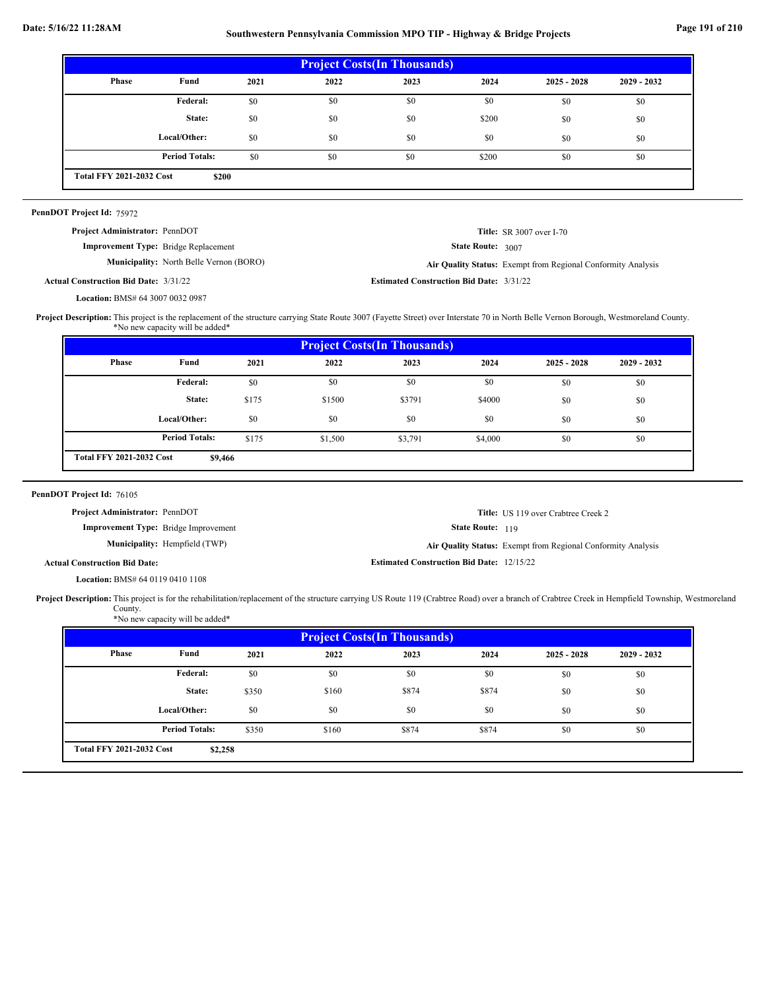# **Date: 5/16/22 11:28AM Southwestern Pennsylvania Commission MPO TIP - Highway & Bridge Projects Page 191 of 210**

| <b>Project Costs (In Thousands)</b>      |                       |      |      |      |       |               |               |  |
|------------------------------------------|-----------------------|------|------|------|-------|---------------|---------------|--|
| Phase                                    | Fund                  | 2021 | 2022 | 2023 | 2024  | $2025 - 2028$ | $2029 - 2032$ |  |
|                                          | Federal:              | \$0  | \$0  | \$0  | \$0   | \$0           | \$0           |  |
|                                          | State:                | \$0  | \$0  | \$0  | \$200 | \$0           | \$0           |  |
|                                          | Local/Other:          | \$0  | \$0  | \$0  | \$0   | \$0           | \$0           |  |
|                                          | <b>Period Totals:</b> | \$0  | \$0  | \$0  | \$200 | \$0           | \$0           |  |
| <b>Total FFY 2021-2032 Cost</b><br>\$200 |                       |      |      |      |       |               |               |  |
|                                          |                       |      |      |      |       |               |               |  |

State Route: 3007

**Title:** SR 3007 over I-70

Air Quality Status: Exempt from Regional Conformity Analysis

| PennDOT Project Id: 75972           |  |
|-------------------------------------|--|
| $Dnoise$ Administrators $Dopen$ DOT |  |

| <b>Project Administrator:</b> PennDOT |  |
|---------------------------------------|--|
|                                       |  |

**Improvement Type:** Bridge Replacement

**Municipality:** North Belle Vernon (BORO) **Air Quality Status:** 

**Estimated Construction Bid Date:** 3/31/22 3/31/22 **Actual Construction Bid Date:**

BMS# 64 3007 0032 0987 **Location:**

Project Description: This project is the replacement of the structure carrying State Route 3007 (Fayette Street) over Interstate 70 in North Belle Vernon Borough, Westmoreland County. \*No new capacity will be added\*

| Phase | Fund                  | 2021  | 2022    | <b>Project Costs (In Thousands)</b><br>2023 | 2024    | $2025 - 2028$ | $2029 - 2032$ |
|-------|-----------------------|-------|---------|---------------------------------------------|---------|---------------|---------------|
|       | Federal:              | \$0   | \$0     | \$0                                         | \$0     | \$0           | \$0           |
|       | State:                | \$175 | \$1500  | \$3791                                      | \$4000  | \$0           | \$0           |
|       | Local/Other:          | \$0   | \$0     | \$0                                         | \$0     | \$0           | \$0           |
|       | <b>Period Totals:</b> | \$175 | \$1,500 | \$3,791                                     | \$4,000 | \$0           | \$0           |

| PennDOT Project Id: 76105                   |                                      |                                                  |                                                              |
|---------------------------------------------|--------------------------------------|--------------------------------------------------|--------------------------------------------------------------|
| <b>Project Administrator: PennDOT</b>       |                                      |                                                  | <b>Title:</b> US 119 over Crabtree Creek 2                   |
| <b>Improvement Type:</b> Bridge Improvement |                                      | <b>State Route: 119</b>                          |                                                              |
|                                             | <b>Municipality:</b> Hempfield (TWP) |                                                  | Air Quality Status: Exempt from Regional Conformity Analysis |
| <b>Actual Construction Bid Date:</b>        |                                      | <b>Estimated Construction Bid Date: 12/15/22</b> |                                                              |

BMS# 64 0119 0410 1108 **Location:**

Project Description: This project is for the rehabilitation/replacement of the structure carrying US Route 119 (Crabtree Road) over a branch of Crabtree Creek in Hempfield Township, Westmoreland County. \*No new capacity will be added\*

| <b>Project Costs (In Thousands)</b> |                       |       |       |       |       |               |               |
|-------------------------------------|-----------------------|-------|-------|-------|-------|---------------|---------------|
| Phase                               | Fund                  | 2021  | 2022  | 2023  | 2024  | $2025 - 2028$ | $2029 - 2032$ |
|                                     | Federal:              | \$0   | \$0   | \$0   | \$0   | \$0           | \$0           |
|                                     | State:                | \$350 | \$160 | \$874 | \$874 | \$0           | \$0           |
|                                     | Local/Other:          | \$0   | \$0   | \$0   | \$0   | \$0           | \$0           |
|                                     | <b>Period Totals:</b> | \$350 | \$160 | \$874 | \$874 | \$0           | \$0           |
| <b>Total FFY 2021-2032 Cost</b>     | \$2,258               |       |       |       |       |               |               |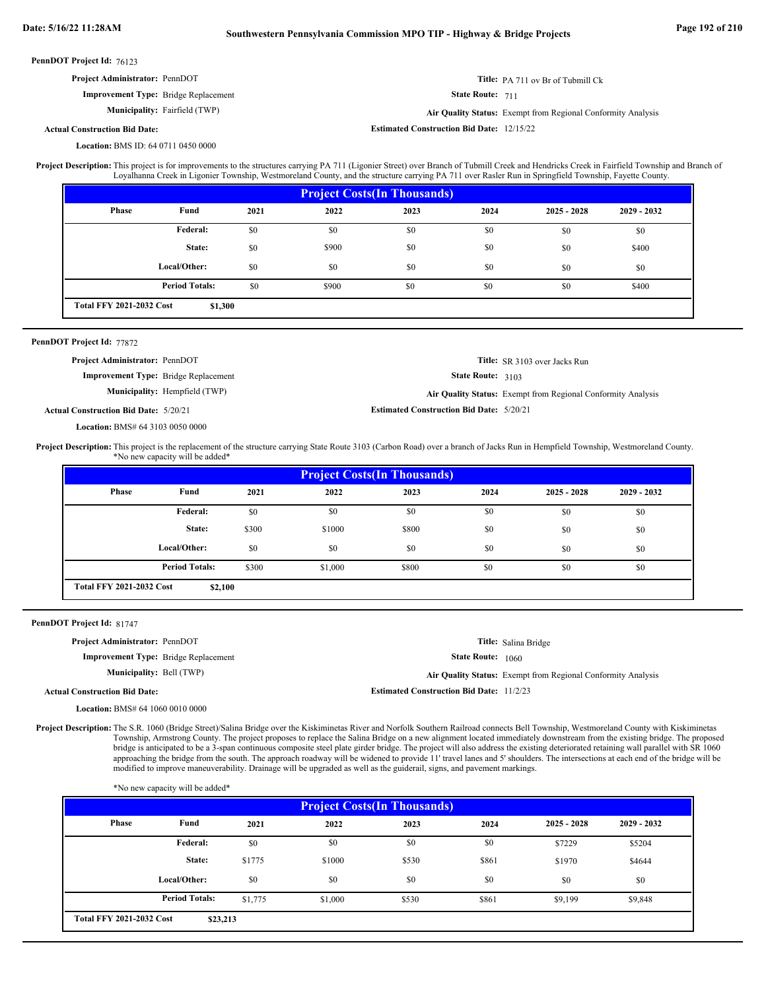| Project Administrator: PennDOT                                                                                                                                                                 |                                 |       |                                                                                                                                                        |                                                  |                      | Title: PA 711 ov Br of Tubmill Ck                            |             |  |  |
|------------------------------------------------------------------------------------------------------------------------------------------------------------------------------------------------|---------------------------------|-------|--------------------------------------------------------------------------------------------------------------------------------------------------------|--------------------------------------------------|----------------------|--------------------------------------------------------------|-------------|--|--|
| Improvement Type: Bridge Replacement                                                                                                                                                           |                                 |       | State Route: 711                                                                                                                                       |                                                  |                      |                                                              |             |  |  |
|                                                                                                                                                                                                | Municipality: Fairfield (TWP)   |       | Air Quality Status: Exempt from Regional Conformity Analysis                                                                                           |                                                  |                      |                                                              |             |  |  |
| <b>Actual Construction Bid Date:</b>                                                                                                                                                           |                                 |       |                                                                                                                                                        | <b>Estimated Construction Bid Date: 12/15/22</b> |                      |                                                              |             |  |  |
| Location: BMS ID: 64 0711 0450 0000                                                                                                                                                            |                                 |       |                                                                                                                                                        |                                                  |                      |                                                              |             |  |  |
| Project Description: This project is for improvements to the structures carrying PA 711 (Ligonier Street) over Branch of Tubmill Creek and Hendricks Creek in Fairfield Township and Branch of |                                 |       | Loyalhanna Creek in Ligonier Township, Westmoreland County, and the structure carrying PA 711 over Rasler Run in Springfield Township, Fayette County. |                                                  |                      |                                                              |             |  |  |
|                                                                                                                                                                                                |                                 |       |                                                                                                                                                        | <b>Project Costs (In Thousands)</b>              |                      |                                                              |             |  |  |
| Phase                                                                                                                                                                                          | Fund                            | 2021  | 2022                                                                                                                                                   | 2023                                             | 2024                 | $2025 - 2028$                                                | 2029 - 2032 |  |  |
|                                                                                                                                                                                                | Federal:                        | \$0   | \$0                                                                                                                                                    | \$0                                              | \$0                  | \$0                                                          | \$0         |  |  |
|                                                                                                                                                                                                | State:                          | \$0   | \$900                                                                                                                                                  | \$0                                              | \$0                  | \$0                                                          | \$400       |  |  |
|                                                                                                                                                                                                | Local/Other:                    | \$0   | \$0                                                                                                                                                    | \$0                                              | \$0                  | \$0                                                          | \$0         |  |  |
|                                                                                                                                                                                                | <b>Period Totals:</b>           | \$0   | \$900                                                                                                                                                  | \$0                                              | \$0                  | \$0                                                          | \$400       |  |  |
| <b>Total FFY 2021-2032 Cost</b>                                                                                                                                                                | \$1,300                         |       |                                                                                                                                                        |                                                  |                      |                                                              |             |  |  |
|                                                                                                                                                                                                |                                 |       |                                                                                                                                                        |                                                  |                      |                                                              |             |  |  |
| PennDOT Project Id: 77872                                                                                                                                                                      |                                 |       |                                                                                                                                                        |                                                  |                      |                                                              |             |  |  |
| Project Administrator: PennDOT                                                                                                                                                                 |                                 |       |                                                                                                                                                        |                                                  | State Route: 3103    | Title: SR 3103 over Jacks Run                                |             |  |  |
|                                                                                                                                                                                                |                                 |       |                                                                                                                                                        |                                                  |                      |                                                              |             |  |  |
| <b>Improvement Type:</b> Bridge Replacement                                                                                                                                                    |                                 |       |                                                                                                                                                        |                                                  |                      |                                                              |             |  |  |
|                                                                                                                                                                                                | Municipality: Hempfield (TWP)   |       |                                                                                                                                                        |                                                  |                      | Air Quality Status: Exempt from Regional Conformity Analysis |             |  |  |
| <b>Actual Construction Bid Date: 5/20/21</b>                                                                                                                                                   |                                 |       |                                                                                                                                                        | <b>Estimated Construction Bid Date: 5/20/21</b>  |                      |                                                              |             |  |  |
| Location: BMS# 64 3103 0050 0000                                                                                                                                                               |                                 |       |                                                                                                                                                        |                                                  |                      |                                                              |             |  |  |
|                                                                                                                                                                                                | *No new capacity will be added* |       |                                                                                                                                                        |                                                  |                      |                                                              |             |  |  |
|                                                                                                                                                                                                |                                 |       |                                                                                                                                                        | <b>Project Costs(In Thousands)</b>               |                      |                                                              |             |  |  |
| Phase                                                                                                                                                                                          | Fund                            | 2021  | 2022                                                                                                                                                   | 2023                                             | 2024                 | $2025 - 2028$                                                | 2029 - 2032 |  |  |
|                                                                                                                                                                                                | Federal:                        | \$0   | \$0                                                                                                                                                    | \$0                                              | \$0                  | \$0                                                          | \$0         |  |  |
| Project Description: This project is the replacement of the structure carrying State Route 3103 (Carbon Road) over a branch of Jacks Run in Hempfield Township, Westmoreland County.           | State:                          | \$300 | \$1000                                                                                                                                                 | \$800                                            | \$0                  | \$0                                                          | \$0         |  |  |
|                                                                                                                                                                                                | Local/Other:                    | \$0   | \$0                                                                                                                                                    | \$0                                              | \$0                  | \$0                                                          | \$0         |  |  |
|                                                                                                                                                                                                | <b>Period Totals:</b>           | \$300 | \$1,000                                                                                                                                                | \$800                                            | \$0                  | \$0                                                          | \$0         |  |  |
| <b>Total FFY 2021-2032 Cost</b>                                                                                                                                                                | \$2,100                         |       |                                                                                                                                                        |                                                  |                      |                                                              |             |  |  |
|                                                                                                                                                                                                |                                 |       |                                                                                                                                                        |                                                  |                      |                                                              |             |  |  |
| PennDOT Project Id: 81747                                                                                                                                                                      |                                 |       |                                                                                                                                                        |                                                  |                      |                                                              |             |  |  |
| Project Administrator: PennDOT                                                                                                                                                                 |                                 |       |                                                                                                                                                        |                                                  | Title: Salina Bridge |                                                              |             |  |  |
| <b>Improvement Type:</b> Bridge Replacement<br>Municipality: Bell (TWP)                                                                                                                        |                                 |       |                                                                                                                                                        |                                                  | State Route: 1060    | Air Quality Status: Exempt from Regional Conformity Analysis |             |  |  |

BMS# 64 1060 0010 0000 **Location:**

Project Description: The S.R. 1060 (Bridge Street)/Salina Bridge over the Kiskiminetas River and Norfolk Southern Railroad connects Bell Township, Westmoreland County with Kiskiminetas Township, Armstrong County. The project proposes to replace the Salina Bridge on a new alignment located immediately downstream from the existing bridge. The proposed bridge is anticipated to be a 3-span continuous composite steel plate girder bridge. The project will also address the existing deteriorated retaining wall parallel with SR 1060 approaching the bridge from the south. The approach roadway will be widened to provide 11' travel lanes and 5' shoulders. The intersections at each end of the bridge will be modified to improve maneuverability. Drainage will be upgraded as well as the guiderail, signs, and pavement markings.

|                                 | *No new capacity will be added* |         |                                     |       |       |               |               |
|---------------------------------|---------------------------------|---------|-------------------------------------|-------|-------|---------------|---------------|
|                                 |                                 |         | <b>Project Costs (In Thousands)</b> |       |       |               |               |
| Phase                           | Fund                            | 2021    | 2022                                | 2023  | 2024  | $2025 - 2028$ | $2029 - 2032$ |
|                                 | Federal:                        | \$0     | \$0                                 | \$0   | \$0   | \$7229        | \$5204        |
|                                 | State:                          | \$1775  | \$1000                              | \$530 | \$861 | \$1970        | \$4644        |
|                                 | Local/Other:                    | \$0     | \$0                                 | \$0   | \$0   | \$0           | \$0           |
|                                 | <b>Period Totals:</b>           | \$1,775 | \$1,000                             | \$530 | \$861 | \$9,199       | \$9,848       |
| <b>Total FFY 2021-2032 Cost</b> | \$23,213                        |         |                                     |       |       |               |               |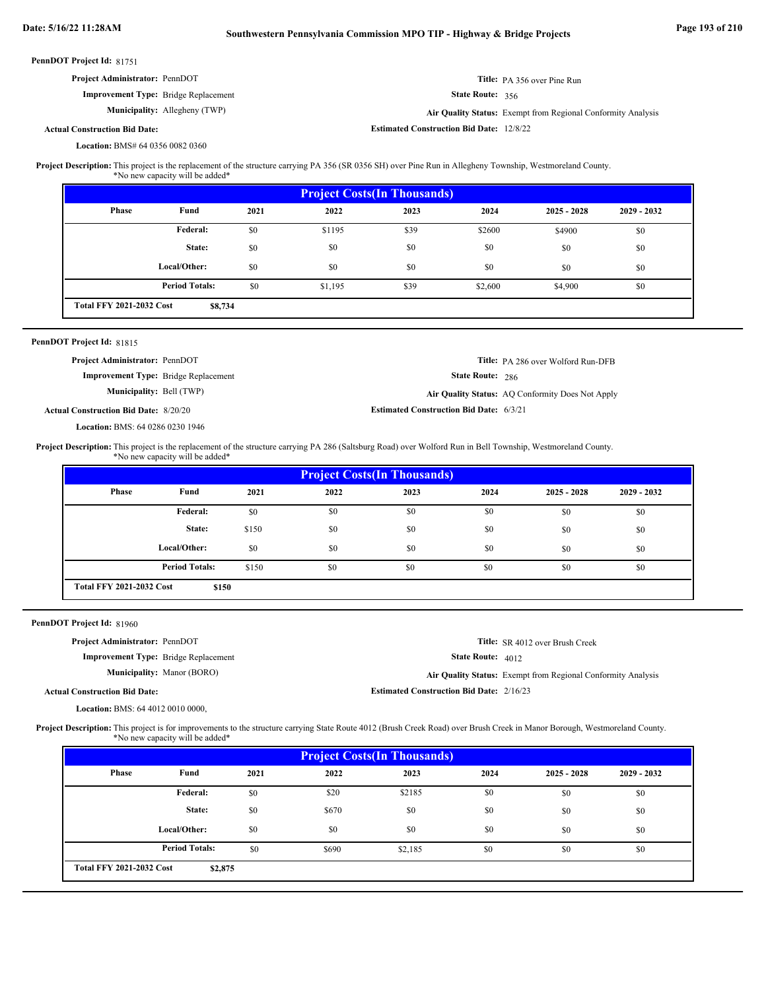| Project Administrator: PennDOT                                                                                                                                                                     |                                                                         |       |                                    |      |                                                 | Title: PA 356 over Pine Run                                  |             |
|----------------------------------------------------------------------------------------------------------------------------------------------------------------------------------------------------|-------------------------------------------------------------------------|-------|------------------------------------|------|-------------------------------------------------|--------------------------------------------------------------|-------------|
|                                                                                                                                                                                                    | <b>Improvement Type:</b> Bridge Replacement                             |       |                                    |      | State Route: 356                                |                                                              |             |
|                                                                                                                                                                                                    | Municipality: Allegheny (TWP)                                           |       |                                    |      |                                                 | Air Quality Status: Exempt from Regional Conformity Analysis |             |
| <b>Actual Construction Bid Date:</b>                                                                                                                                                               |                                                                         |       |                                    |      | <b>Estimated Construction Bid Date: 12/8/22</b> |                                                              |             |
| Location: BMS# 64 0356 0082 0360                                                                                                                                                                   |                                                                         |       |                                    |      |                                                 |                                                              |             |
| Project Description: This project is the replacement of the structure carrying PA 356 (SR 0356 SH) over Pine Run in Allegheny Township, Westmoreland County.                                       | *No new capacity will be added*                                         |       |                                    |      |                                                 |                                                              |             |
|                                                                                                                                                                                                    |                                                                         |       | <b>Project Costs(In Thousands)</b> |      |                                                 |                                                              |             |
| <b>Phase</b>                                                                                                                                                                                       | Fund                                                                    | 2021  | 2022                               | 2023 | 2024                                            | $2025 - 2028$                                                | 2029 - 2032 |
|                                                                                                                                                                                                    | Federal:                                                                | \$0   | \$1195                             | \$39 | \$2600                                          | \$4900                                                       | \$0         |
|                                                                                                                                                                                                    | State:                                                                  | \$0   | \$0                                | \$0  | \$0                                             | \$0                                                          | \$0         |
|                                                                                                                                                                                                    | Local/Other:                                                            | \$0   | \$0                                | \$0  | \$0                                             | \$0                                                          | \$0         |
|                                                                                                                                                                                                    | <b>Period Totals:</b>                                                   | \$0   | \$1,195                            | \$39 | \$2,600                                         | \$4,900                                                      | \$0         |
| <b>Total FFY 2021-2032 Cost</b>                                                                                                                                                                    | \$8,734                                                                 |       |                                    |      |                                                 |                                                              |             |
|                                                                                                                                                                                                    |                                                                         |       |                                    |      |                                                 |                                                              |             |
| PennDOT Project Id: 81815                                                                                                                                                                          |                                                                         |       |                                    |      |                                                 |                                                              |             |
| Project Administrator: PennDOT                                                                                                                                                                     |                                                                         |       |                                    |      |                                                 | Title: PA 286 over Wolford Run-DFB                           |             |
|                                                                                                                                                                                                    | <b>Improvement Type:</b> Bridge Replacement<br>Municipality: Bell (TWP) |       |                                    |      | State Route: 286                                |                                                              |             |
|                                                                                                                                                                                                    |                                                                         |       |                                    |      |                                                 | Air Quality Status: AQ Conformity Does Not Apply             |             |
| <b>Actual Construction Bid Date: 8/20/20</b>                                                                                                                                                       |                                                                         |       |                                    |      | <b>Estimated Construction Bid Date: 6/3/21</b>  |                                                              |             |
| Location: BMS: 64 0286 0230 1946<br>Project Description: This project is the replacement of the structure carrying PA 286 (Saltsburg Road) over Wolford Run in Bell Township, Westmoreland County. |                                                                         |       |                                    |      |                                                 |                                                              |             |
|                                                                                                                                                                                                    | *No new capacity will be added*                                         |       |                                    |      |                                                 |                                                              |             |
|                                                                                                                                                                                                    |                                                                         |       | <b>Project Costs(In Thousands)</b> |      |                                                 |                                                              |             |
| <b>Phase</b>                                                                                                                                                                                       | Fund                                                                    | 2021  | 2022                               | 2023 | 2024                                            | $2025 - 2028$                                                | 2029 - 2032 |
|                                                                                                                                                                                                    | <b>Federal:</b>                                                         | \$0   | \$0                                | \$0  | \$0                                             | \$0                                                          | \$0         |
|                                                                                                                                                                                                    | State:                                                                  | \$150 | \$0                                | \$0  | \$0                                             | \$0                                                          | \$0         |
|                                                                                                                                                                                                    | Local/Other:                                                            | \$0   | \$0                                | \$0  | \$0                                             | \$0                                                          | \$0         |
|                                                                                                                                                                                                    | <b>Period Totals:</b>                                                   | \$150 | \$0                                | \$0  | \$0                                             | \$0                                                          | \$0         |
| <b>Total FFY 2021-2032 Cost</b>                                                                                                                                                                    | \$150                                                                   |       |                                    |      |                                                 |                                                              |             |
|                                                                                                                                                                                                    |                                                                         |       |                                    |      |                                                 |                                                              |             |
| PennDOT Project Id: 81960                                                                                                                                                                          |                                                                         |       |                                    |      |                                                 |                                                              |             |
| Project Administrator: PennDOT                                                                                                                                                                     |                                                                         |       |                                    |      |                                                 | Title: SR 4012 over Brush Creek                              |             |
|                                                                                                                                                                                                    | Improvement Type: Bridge Replacement                                    |       |                                    |      | State Route: 4012                               |                                                              |             |
|                                                                                                                                                                                                    | <b>Municipality:</b> Manor (BORO)                                       |       |                                    |      |                                                 | Air Quality Status: Exempt from Regional Conformity Analysis |             |
| <b>Actual Construction Bid Date:</b>                                                                                                                                                               |                                                                         |       |                                    |      | <b>Estimated Construction Bid Date: 2/16/23</b> |                                                              |             |
| Location: BMS: 64 4012 0010 0000,                                                                                                                                                                  |                                                                         |       |                                    |      |                                                 |                                                              |             |
|                                                                                                                                                                                                    |                                                                         |       |                                    |      |                                                 |                                                              |             |

This project is for improvements to the structure carrying State Route 4012 (Brush Creek Road) over Brush Creek in Manor Borough, Westmoreland County. \*No new capacity will be added\* **Project Description:**

| <b>Project Costs (In Thousands)</b> |                       |      |       |         |      |               |               |
|-------------------------------------|-----------------------|------|-------|---------|------|---------------|---------------|
| Phase                               | Fund                  | 2021 | 2022  | 2023    | 2024 | $2025 - 2028$ | $2029 - 2032$ |
|                                     | Federal:              | \$0  | \$20  | \$2185  | \$0  | \$0           | \$0           |
|                                     | State:                | \$0  | \$670 | \$0     | \$0  | \$0           | \$0           |
|                                     | Local/Other:          | \$0  | \$0   | \$0     | \$0  | \$0           | \$0           |
|                                     | <b>Period Totals:</b> | \$0  | \$690 | \$2,185 | \$0  | \$0           | \$0           |
| <b>Total FFY 2021-2032 Cost</b>     | \$2,875               |      |       |         |      |               |               |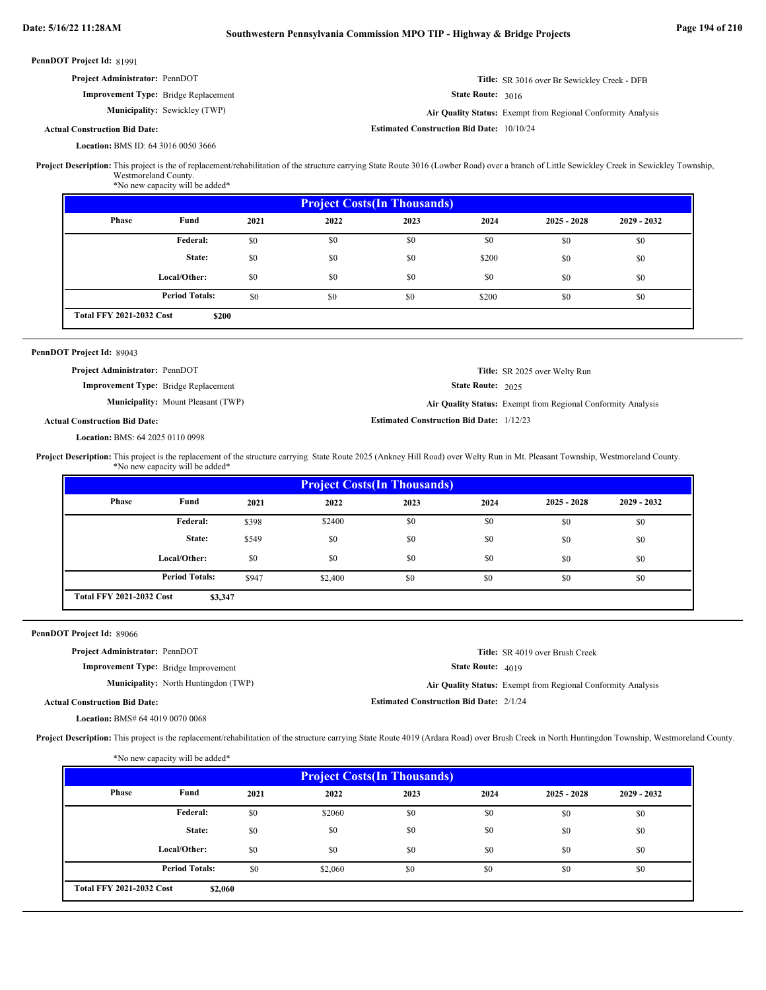| <b>Project Administrator: PennDOT</b>       | <b>Title:</b> SR 3016 over Br Sewickley Creek - DFB          |
|---------------------------------------------|--------------------------------------------------------------|
| <b>Improvement Type:</b> Bridge Replacement | <b>State Route: 3016</b>                                     |
| <b>Municipality:</b> Sewickley (TWP)        | Air Quality Status: Exempt from Regional Conformity Analysis |
| l Construction Bid Date:                    | <b>Estimated Construction Bid Date: 10/10/24</b>             |

### **Actual Construction Bid Date:**

BMS ID: 64 3016 0050 3666 **Location:**

Project Description: This project is the of replacement/rehabilitation of the structure carrying State Route 3016 (Lowber Road) over a branch of Little Sewickley Creek in Sewickley Township, Westmoreland County.

\*No new capacity will be added\*

| <b>Project Costs (In Thousands)</b> |                       |      |      |      |       |               |               |
|-------------------------------------|-----------------------|------|------|------|-------|---------------|---------------|
| Phase                               | Fund                  | 2021 | 2022 | 2023 | 2024  | $2025 - 2028$ | $2029 - 2032$ |
|                                     | Federal:              | \$0  | \$0  | \$0  | \$0   | \$0           | \$0           |
|                                     | State:                | \$0  | \$0  | \$0  | \$200 | \$0           | \$0           |
|                                     | Local/Other:          | \$0  | \$0  | \$0  | \$0   | \$0           | \$0           |
|                                     | <b>Period Totals:</b> | \$0  | \$0  | \$0  | \$200 | \$0           | \$0           |
| <b>Total FFY 2021-2032 Cost</b>     | \$200                 |      |      |      |       |               |               |

### PennDOT Project Id: 89043

State Route: 2025 **Title:** SR 2025 over Welty Run **Improvement Type:** Bridge Replacement **Municipality:** Mount Pleasant (TWP) Mount Pleasant (TWP) **Air Quality Status:** Exempt from Regional Conformity Analysis **Project Administrator:** PennDOT

**Estimated Construction Bid Date:** 1/12/23

### **Actual Construction Bid Date:**

BMS: 64 2025 0110 0998 **Location:**

Project Description: This project is the replacement of the structure carrying State Route 2025 (Ankney Hill Road) over Welty Run in Mt. Pleasant Township, Westmoreland County. \*No new capacity will be added\*

| <b>Project Costs (In Thousands)</b> |                       |       |         |      |      |               |               |  |
|-------------------------------------|-----------------------|-------|---------|------|------|---------------|---------------|--|
| Phase                               | Fund                  | 2021  | 2022    | 2023 | 2024 | $2025 - 2028$ | $2029 - 2032$ |  |
|                                     | Federal:              | \$398 | \$2400  | \$0  | \$0  | \$0           | \$0           |  |
|                                     | State:                | \$549 | \$0     | \$0  | \$0  | \$0           | \$0           |  |
|                                     | Local/Other:          | \$0   | \$0     | \$0  | \$0  | \$0           | \$0           |  |
|                                     | <b>Period Totals:</b> | \$947 | \$2,400 | \$0  | \$0  | \$0           | \$0           |  |
| <b>Total FFY 2021-2032 Cost</b>     | \$3,347               |       |         |      |      |               |               |  |

### PennDOT Project Id: 89066

**Improvement Type:** Bridge Improvement **Project Administrator:** PennDOT

**Municipality:** North Huntingdon (TWP) **Air Quality Status:** 

```
State Route: 4019
       Title:
SR 4019 over Brush Creek
```
Air Quality Status: Exempt from Regional Conformity Analysis

**Actual Construction Bid Date:**

**Estimated Construction Bid Date:** 2/1/24

BMS# 64 4019 0070 0068 **Location:**

Project Description: This project is the replacement/rehabilitation of the structure carrying State Route 4019 (Ardara Road) over Brush Creek in North Huntingdon Township, Westmoreland County.

| <b>Project Costs (In Thousands)</b> |                       |      |         |      |      |               |               |  |
|-------------------------------------|-----------------------|------|---------|------|------|---------------|---------------|--|
| <b>Phase</b>                        | Fund                  | 2021 | 2022    | 2023 | 2024 | $2025 - 2028$ | $2029 - 2032$ |  |
|                                     | Federal:              | \$0  | \$2060  | \$0  | \$0  | \$0           | \$0           |  |
|                                     | State:                | \$0  | \$0     | \$0  | \$0  | \$0           | \$0           |  |
|                                     | Local/Other:          | \$0  | \$0     | \$0  | \$0  | \$0           | \$0           |  |
|                                     | <b>Period Totals:</b> | \$0  | \$2,060 | \$0  | \$0  | \$0           | \$0           |  |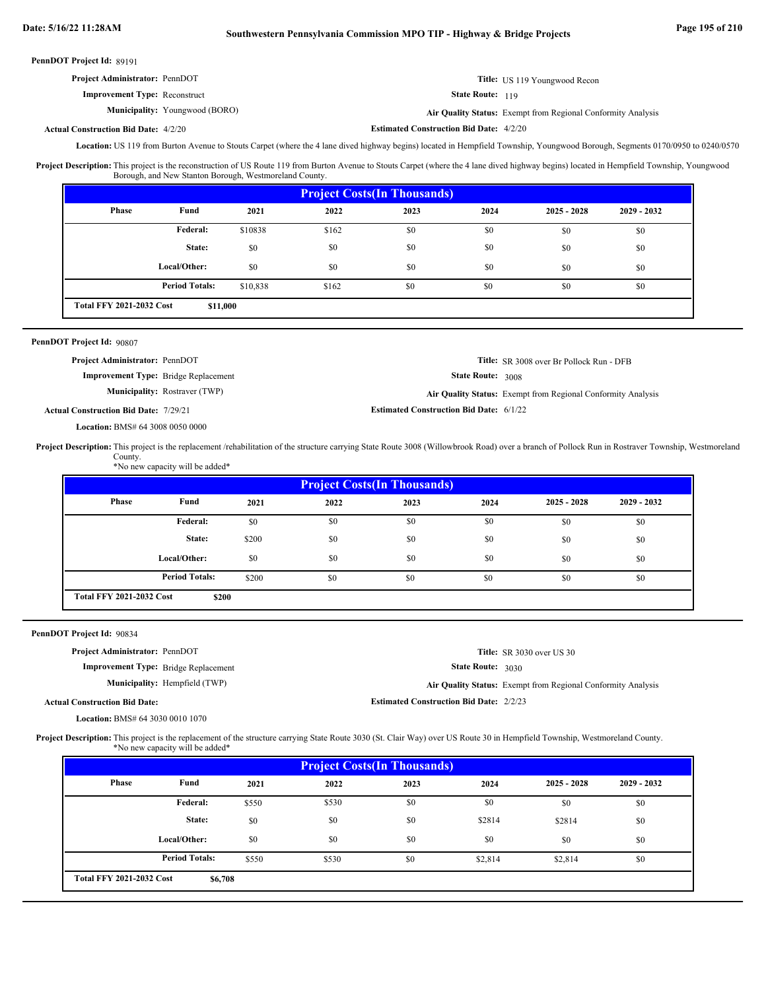| <b>Project Administrator: PennDOT</b> | Title: US 119 Youngwood Recon                                |
|---------------------------------------|--------------------------------------------------------------|
| <b>Improvement Type: Reconstruct</b>  | <b>State Route: 119</b>                                      |
| <b>Municipality:</b> Youngwood (BORO) | Air Quality Status: Exempt from Regional Conformity Analysis |

#### **Estimated Construction Bid Date:** 4/2/20 4/2/20 **Actual Construction Bid Date:**

Location: US 119 from Burton Avenue to Stouts Carpet (where the 4 lane dived highway begins) located in Hempfield Township, Youngwood Borough, Segments 0170/0950 to 0240/0570

Project Description: This project is the reconstruction of US Route 119 from Burton Avenue to Stouts Carpet (where the 4 lane dived highway begins) located in Hempfield Township, Youngwood Borough, and New Stanton Borough, Westmoreland County.

| <b>Project Costs (In Thousands)</b>         |                       |          |       |      |      |               |               |
|---------------------------------------------|-----------------------|----------|-------|------|------|---------------|---------------|
| Phase                                       | Fund                  | 2021     | 2022  | 2023 | 2024 | $2025 - 2028$ | $2029 - 2032$ |
|                                             | <b>Federal:</b>       | \$10838  | \$162 | \$0  | \$0  | \$0           | \$0           |
|                                             | State:                | \$0      | \$0   | \$0  | \$0  | \$0           | \$0           |
|                                             | Local/Other:          | \$0      | \$0   | \$0  | \$0  | \$0           | \$0           |
|                                             | <b>Period Totals:</b> | \$10,838 | \$162 | \$0  | \$0  | \$0           | \$0           |
| <b>Total FFY 2021-2032 Cost</b><br>\$11,000 |                       |          |       |      |      |               |               |

### PennDOT Project Id: 90807

| <b>Project Administrator: PennDOT</b>        |                                      |                                                | <b>Title:</b> SR 3008 over Br Pollock Run - DFB              |
|----------------------------------------------|--------------------------------------|------------------------------------------------|--------------------------------------------------------------|
| <b>Improvement Type:</b> Bridge Replacement  |                                      | <b>State Route: 3008</b>                       |                                                              |
|                                              | <b>Municipality:</b> Rostraver (TWP) |                                                | Air Quality Status: Exempt from Regional Conformity Analysis |
| <b>Actual Construction Bid Date: 7/29/21</b> |                                      | <b>Estimated Construction Bid Date: 6/1/22</b> |                                                              |

BMS# 64 3008 0050 0000 **Location:**

Project Description: This project is the replacement/rehabilitation of the structure carrying State Route 3008 (Willowbrook Road) over a branch of Pollock Run in Rostraver Township, Westmoreland County. \*No new capacity will be added\*

| <b>Project Costs(In Thousands)</b>       |                       |       |      |      |      |               |               |
|------------------------------------------|-----------------------|-------|------|------|------|---------------|---------------|
| <b>Phase</b>                             | Fund                  | 2021  | 2022 | 2023 | 2024 | $2025 - 2028$ | $2029 - 2032$ |
|                                          | Federal:              | \$0   | \$0  | \$0  | \$0  | \$0           | \$0           |
|                                          | State:                | \$200 | \$0  | \$0  | \$0  | \$0           | \$0           |
|                                          | Local/Other:          | \$0   | \$0  | \$0  | \$0  | \$0           | \$0           |
|                                          | <b>Period Totals:</b> | \$200 | \$0  | \$0  | \$0  | \$0           | \$0           |
| <b>Total FFY 2021-2032 Cost</b><br>\$200 |                       |       |      |      |      |               |               |

PennDOT Project Id: 90834

| <b>Project Administrator: PennDOT</b> |  |
|---------------------------------------|--|
|                                       |  |

**Improvement Type:** Bridge Replacement **Municipality:**

```
State Route: 3030
       Title:
SR 3030 over US 30
```
**Estimated Construction Bid Date:** 2/2/23

Hempfield (TWP) **Air Quality Status:** Exempt from Regional Conformity Analysis

**Actual Construction Bid Date:**

BMS# 64 3030 0010 1070 **Location:**

Project Description: This project is the replacement of the structure carrying State Route 3030 (St. Clair Way) over US Route 30 in Hempfield Township, Westmoreland County. \*No new capacity will be added\*

| <b>Project Costs (In Thousands)</b>        |                       |       |       |      |         |               |               |
|--------------------------------------------|-----------------------|-------|-------|------|---------|---------------|---------------|
| Phase                                      | Fund                  | 2021  | 2022  | 2023 | 2024    | $2025 - 2028$ | $2029 - 2032$ |
|                                            | Federal:              | \$550 | \$530 | \$0  | \$0     | \$0           | \$0           |
|                                            | State:                | \$0   | \$0   | \$0  | \$2814  | \$2814        | \$0           |
|                                            | Local/Other:          | \$0   | \$0   | \$0  | \$0     | \$0           | \$0           |
|                                            | <b>Period Totals:</b> | \$550 | \$530 | \$0  | \$2,814 | \$2,814       | \$0           |
| <b>Total FFY 2021-2032 Cost</b><br>\$6,708 |                       |       |       |      |         |               |               |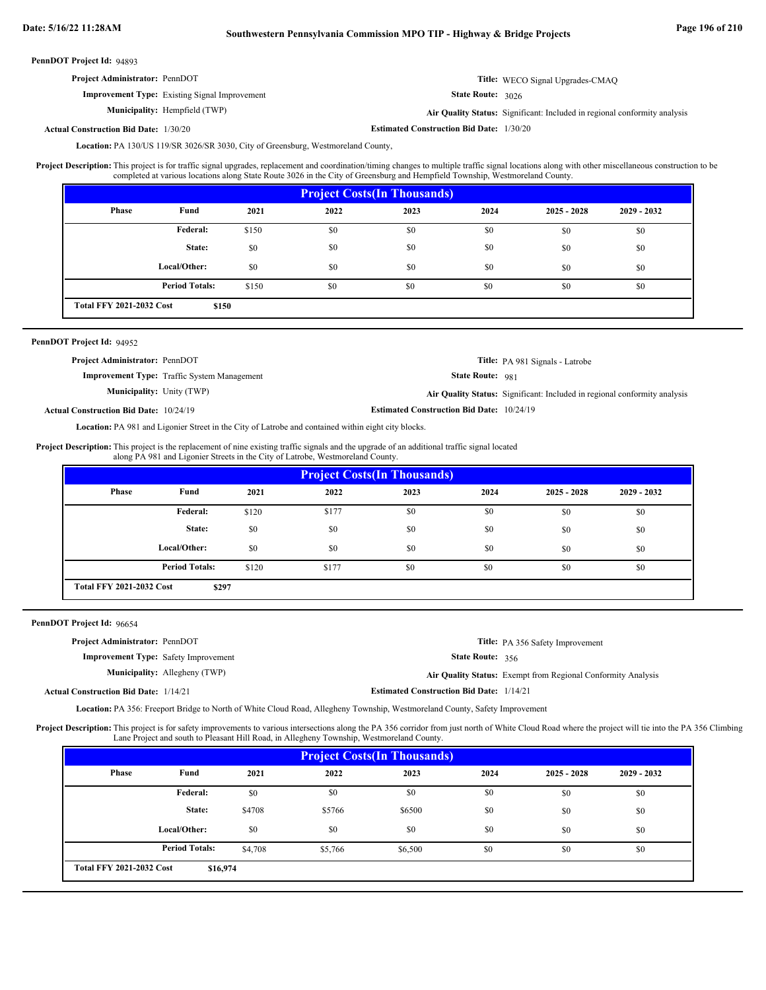## **Date: 5/16/22 11:28AM Southwestern Pennsylvania Commission MPO TIP - Highway & Bridge Projects Page 196 of 210**

PennDOT Project Id: 94893

| <b>Project Administrator: PennDOT</b>                | <b>Title:</b> WECO Signal Upgrades-CMAQ |
|------------------------------------------------------|-----------------------------------------|
| <b>Improvement Type:</b> Existing Signal Improvement | <b>State Route: 3026</b>                |

**Municipality:**

Hempfield (TWP) **Air Quality Status:** Significant: Included in regional conformity analysis

**Estimated Construction Bid Date:** 1/30/20 1/30/20 **Actual Construction Bid Date:**

Location: PA 130/US 119/SR 3026/SR 3030, City of Greensburg, Westmoreland County,

This project is for traffic signal upgrades, replacement and coordination/timing changes to multiple traffic signal locations along with other miscellaneous construction to be completed at various locations along State Route 3026 in the City of Greensburg and Hempfield Township, Westmoreland County. **Project Description:**

| <b>Project Costs (In Thousands)</b>      |                       |       |      |      |      |               |               |
|------------------------------------------|-----------------------|-------|------|------|------|---------------|---------------|
| <b>Phase</b>                             | Fund                  | 2021  | 2022 | 2023 | 2024 | $2025 - 2028$ | $2029 - 2032$ |
|                                          | Federal:              | \$150 | \$0  | \$0  | \$0  | \$0           | \$0           |
|                                          | State:                | \$0   | \$0  | \$0  | \$0  | \$0           | \$0           |
|                                          | Local/Other:          | \$0   | \$0  | \$0  | \$0  | \$0           | \$0           |
|                                          | <b>Period Totals:</b> | \$150 | \$0  | \$0  | \$0  | \$0           | \$0           |
| <b>Total FFY 2021-2032 Cost</b><br>\$150 |                       |       |      |      |      |               |               |

### PennDOT Project Id: 94952

| <b>Project Administrator: PennDOT</b>         |                                                    |                                                  | <b>Title:</b> PA 981 Signals - Latrobe                                    |
|-----------------------------------------------|----------------------------------------------------|--------------------------------------------------|---------------------------------------------------------------------------|
|                                               | <b>Improvement Type:</b> Traffic System Management | <b>State Route: 981</b>                          |                                                                           |
| <b>Municipality:</b> Unity (TWP)              |                                                    |                                                  | Air Quality Status: Significant: Included in regional conformity analysis |
| <b>Actual Construction Bid Date: 10/24/19</b> |                                                    | <b>Estimated Construction Bid Date: 10/24/19</b> |                                                                           |

Location: PA 981 and Ligonier Street in the City of Latrobe and contained within eight city blocks.

**Project Description:** This project is the replacement of nine existing traffic signals and the upgrade of an additional traffic signal located along PA 981 and Ligonier Streets in the City of Latrobe, Westmoreland County.

| <b>Project Costs (In Thousands)</b>      |                       |       |       |      |      |               |               |
|------------------------------------------|-----------------------|-------|-------|------|------|---------------|---------------|
| Phase                                    | Fund                  | 2021  | 2022  | 2023 | 2024 | $2025 - 2028$ | $2029 - 2032$ |
|                                          | Federal:              | \$120 | \$177 | \$0  | \$0  | \$0           | \$0           |
|                                          | State:                | \$0   | \$0   | \$0  | \$0  | \$0           | \$0           |
|                                          | Local/Other:          | \$0   | \$0   | \$0  | \$0  | \$0           | \$0           |
|                                          | <b>Period Totals:</b> | \$120 | \$177 | \$0  | \$0  | \$0           | \$0           |
| <b>Total FFY 2021-2032 Cost</b><br>\$297 |                       |       |       |      |      |               |               |

PennDOT Project Id: 96654

| <b>Project Administrator: PennDOT</b>        |                                      |                                                 | <b>Title:</b> PA 356 Safety Improvement                      |
|----------------------------------------------|--------------------------------------|-------------------------------------------------|--------------------------------------------------------------|
| <b>Improvement Type:</b> Safety Improvement  |                                      | <b>State Route: 356</b>                         |                                                              |
|                                              | <b>Municipality:</b> Allegheny (TWP) |                                                 | Air Quality Status: Exempt from Regional Conformity Analysis |
| <b>Actual Construction Bid Date: 1/14/21</b> |                                      | <b>Estimated Construction Bid Date: 1/14/21</b> |                                                              |

Location: PA 356: Freeport Bridge to North of White Cloud Road, Allegheny Township, Westmoreland County, Safety Improvement

Project Description: This project is for safety improvements to various intersections along the PA 356 corridor from just north of White Cloud Road where the project will tie into the PA 356 Climbing Lane Project and south to Pleasant Hill Road, in Allegheny Township, Westmoreland County.

| <b>Project Costs (In Thousands)</b>         |                       |         |         |         |      |               |               |
|---------------------------------------------|-----------------------|---------|---------|---------|------|---------------|---------------|
| Phase                                       | Fund                  | 2021    | 2022    | 2023    | 2024 | $2025 - 2028$ | $2029 - 2032$ |
|                                             | Federal:              | \$0     | \$0     | \$0     | \$0  | \$0           | \$0           |
|                                             | State:                | \$4708  | \$5766  | \$6500  | \$0  | \$0           | \$0           |
|                                             | Local/Other:          | \$0     | \$0     | \$0     | \$0  | \$0           | \$0           |
|                                             | <b>Period Totals:</b> | \$4.708 | \$5,766 | \$6,500 | \$0  | \$0           | \$0           |
| <b>Total FFY 2021-2032 Cost</b><br>\$16,974 |                       |         |         |         |      |               |               |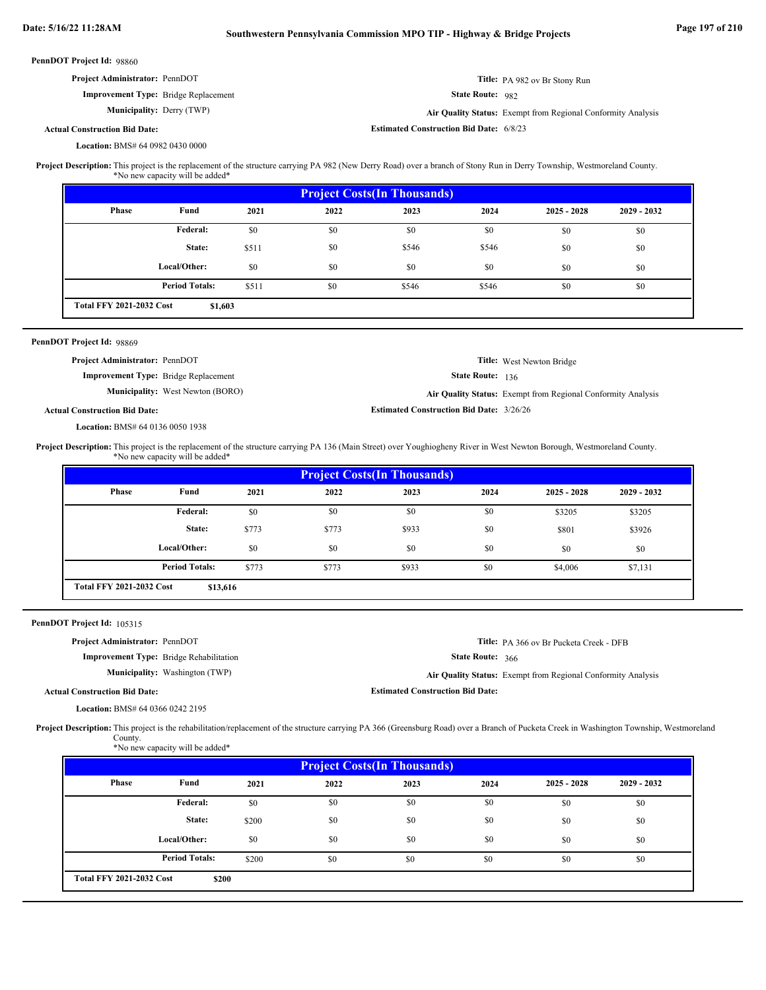|                                                                                                                                                                                                              | PennDOT Project Id: 98860                                                                                                                                                                  |                                         |                                                              |                         |                                                 |                  |                                                              |             |  |
|--------------------------------------------------------------------------------------------------------------------------------------------------------------------------------------------------------------|--------------------------------------------------------------------------------------------------------------------------------------------------------------------------------------------|-----------------------------------------|--------------------------------------------------------------|-------------------------|-------------------------------------------------|------------------|--------------------------------------------------------------|-------------|--|
|                                                                                                                                                                                                              | Project Administrator: PennDOT                                                                                                                                                             |                                         |                                                              |                         |                                                 |                  | Title: PA 982 ov Br Stony Run                                |             |  |
|                                                                                                                                                                                                              | Improvement Type: Bridge Replacement                                                                                                                                                       |                                         |                                                              | <b>State Route: 982</b> |                                                 |                  |                                                              |             |  |
|                                                                                                                                                                                                              | <b>Municipality: Derry (TWP)</b>                                                                                                                                                           |                                         | Air Quality Status: Exempt from Regional Conformity Analysis |                         |                                                 |                  |                                                              |             |  |
|                                                                                                                                                                                                              | <b>Actual Construction Bid Date:</b>                                                                                                                                                       |                                         |                                                              |                         | <b>Estimated Construction Bid Date: 6/8/23</b>  |                  |                                                              |             |  |
|                                                                                                                                                                                                              | Location: BMS# 64 0982 0430 0000                                                                                                                                                           |                                         |                                                              |                         |                                                 |                  |                                                              |             |  |
| Project Description: This project is the replacement of the structure carrying PA 982 (New Derry Road) over a branch of Stony Run in Derry Township, Westmoreland County.<br>*No new capacity will be added* |                                                                                                                                                                                            |                                         |                                                              |                         |                                                 |                  |                                                              |             |  |
|                                                                                                                                                                                                              |                                                                                                                                                                                            |                                         |                                                              |                         | <b>Project Costs(In Thousands)</b>              |                  |                                                              |             |  |
|                                                                                                                                                                                                              | <b>Phase</b>                                                                                                                                                                               | Fund                                    | 2021                                                         | 2022                    | 2023                                            | 2024             | $2025 - 2028$                                                | 2029 - 2032 |  |
|                                                                                                                                                                                                              |                                                                                                                                                                                            | Federal:                                | \$0                                                          | \$0                     | \$0                                             | \$0              | \$0                                                          | \$0         |  |
|                                                                                                                                                                                                              |                                                                                                                                                                                            | State:                                  | \$511                                                        | \$0                     | \$546                                           | \$546            | \$0                                                          | \$0         |  |
|                                                                                                                                                                                                              |                                                                                                                                                                                            | Local/Other:                            | \$0                                                          | \$0                     | \$0                                             | \$0              | \$0                                                          | \$0         |  |
|                                                                                                                                                                                                              |                                                                                                                                                                                            | <b>Period Totals:</b>                   | \$511                                                        | \$0                     | \$546                                           | \$546            | \$0                                                          | \$0         |  |
|                                                                                                                                                                                                              | <b>Total FFY 2021-2032 Cost</b>                                                                                                                                                            | \$1,603                                 |                                                              |                         |                                                 |                  |                                                              |             |  |
|                                                                                                                                                                                                              |                                                                                                                                                                                            |                                         |                                                              |                         |                                                 |                  |                                                              |             |  |
|                                                                                                                                                                                                              | PennDOT Project Id: 98869                                                                                                                                                                  |                                         |                                                              |                         |                                                 |                  |                                                              |             |  |
|                                                                                                                                                                                                              | Project Administrator: PennDOT                                                                                                                                                             |                                         |                                                              |                         |                                                 |                  | Title: West Newton Bridge                                    |             |  |
|                                                                                                                                                                                                              | <b>Improvement Type:</b> Bridge Replacement                                                                                                                                                | <b>Municipality:</b> West Newton (BORO) |                                                              |                         |                                                 | State Route: 136 |                                                              |             |  |
|                                                                                                                                                                                                              |                                                                                                                                                                                            |                                         |                                                              |                         | <b>Estimated Construction Bid Date: 3/26/26</b> |                  | Air Quality Status: Exempt from Regional Conformity Analysis |             |  |
|                                                                                                                                                                                                              | <b>Actual Construction Bid Date:</b>                                                                                                                                                       |                                         |                                                              |                         |                                                 |                  |                                                              |             |  |
|                                                                                                                                                                                                              | Location: BMS# 64 0136 0050 1938                                                                                                                                                           |                                         |                                                              |                         |                                                 |                  |                                                              |             |  |
|                                                                                                                                                                                                              | Project Description: This project is the replacement of the structure carrying PA 136 (Main Street) over Youghiogheny River in West Newton Borough, Westmoreland County.                   | *No new capacity will be added*         |                                                              |                         |                                                 |                  |                                                              |             |  |
|                                                                                                                                                                                                              |                                                                                                                                                                                            |                                         |                                                              |                         |                                                 |                  |                                                              |             |  |
|                                                                                                                                                                                                              |                                                                                                                                                                                            |                                         |                                                              |                         |                                                 |                  |                                                              |             |  |
|                                                                                                                                                                                                              | Phase                                                                                                                                                                                      | Fund                                    | 2021                                                         | 2022                    | <b>Project Costs(In Thousands)</b><br>2023      | 2024             | $2025 - 2028$                                                | 2029 - 2032 |  |
|                                                                                                                                                                                                              |                                                                                                                                                                                            | Federal:                                | \$0                                                          | \$0                     | \$0                                             | \$0              |                                                              |             |  |
|                                                                                                                                                                                                              |                                                                                                                                                                                            | State:                                  | \$773                                                        | \$773                   | \$933                                           | \$0              | \$3205                                                       | \$3205      |  |
|                                                                                                                                                                                                              |                                                                                                                                                                                            |                                         |                                                              |                         |                                                 |                  | \$801                                                        | \$3926      |  |
|                                                                                                                                                                                                              |                                                                                                                                                                                            | Local/Other:                            | \$0                                                          | \$0                     | \$0                                             | \$0              | \$0                                                          | \$0         |  |
|                                                                                                                                                                                                              |                                                                                                                                                                                            | <b>Period Totals:</b>                   | \$773                                                        | \$773                   | \$933                                           | \$0              | \$4,006                                                      | \$7,131     |  |
|                                                                                                                                                                                                              | <b>Total FFY 2021-2032 Cost</b>                                                                                                                                                            | \$13,616                                |                                                              |                         |                                                 |                  |                                                              |             |  |
|                                                                                                                                                                                                              | PennDOT Project Id: 105315                                                                                                                                                                 |                                         |                                                              |                         |                                                 |                  |                                                              |             |  |
|                                                                                                                                                                                                              | Project Administrator: PennDOT                                                                                                                                                             |                                         |                                                              |                         |                                                 |                  | Title: PA 366 ov Br Pucketa Creek - DFB                      |             |  |
|                                                                                                                                                                                                              | <b>Improvement Type:</b> Bridge Rehabilitation                                                                                                                                             |                                         |                                                              |                         |                                                 | State Route: 366 |                                                              |             |  |
|                                                                                                                                                                                                              |                                                                                                                                                                                            | Municipality: Washington (TWP)          |                                                              |                         |                                                 |                  | Air Quality Status: Exempt from Regional Conformity Analysis |             |  |
|                                                                                                                                                                                                              | <b>Actual Construction Bid Date:</b>                                                                                                                                                       |                                         |                                                              |                         | <b>Estimated Construction Bid Date:</b>         |                  |                                                              |             |  |
|                                                                                                                                                                                                              | Location: BMS# 64 0366 0242 2195                                                                                                                                                           |                                         |                                                              |                         |                                                 |                  |                                                              |             |  |
|                                                                                                                                                                                                              | Project Description: This project is the rehabilitation/replacement of the structure carrying PA 366 (Greensburg Road) over a Branch of Pucketa Creek in Washington Township, Westmoreland |                                         |                                                              |                         |                                                 |                  |                                                              |             |  |
|                                                                                                                                                                                                              | County.                                                                                                                                                                                    | *No new capacity will be added*         |                                                              |                         |                                                 |                  |                                                              |             |  |
|                                                                                                                                                                                                              |                                                                                                                                                                                            |                                         |                                                              |                         |                                                 |                  |                                                              |             |  |
|                                                                                                                                                                                                              | Phase                                                                                                                                                                                      | Fund                                    | 2021                                                         | 2022                    | <b>Project Costs(In Thousands)</b><br>2023      | 2024             | $2025 - 2028$                                                | 2029 - 2032 |  |
|                                                                                                                                                                                                              |                                                                                                                                                                                            | Federal:                                | $\$0$                                                        | \$0                     | \$0                                             | \$0              | \$0                                                          | \$0         |  |
|                                                                                                                                                                                                              |                                                                                                                                                                                            | State:                                  | \$200                                                        | \$0                     | \$0                                             | \$0              | \$0                                                          | \$0         |  |

\$200 \$0 \$0 \$0 \$0 \$0 \$0 \$0 \$0

**\$200**

**Period Totals:** \$200 \$0 \$0 \$0 \$0

**Total FFY 2021-2032 Cost**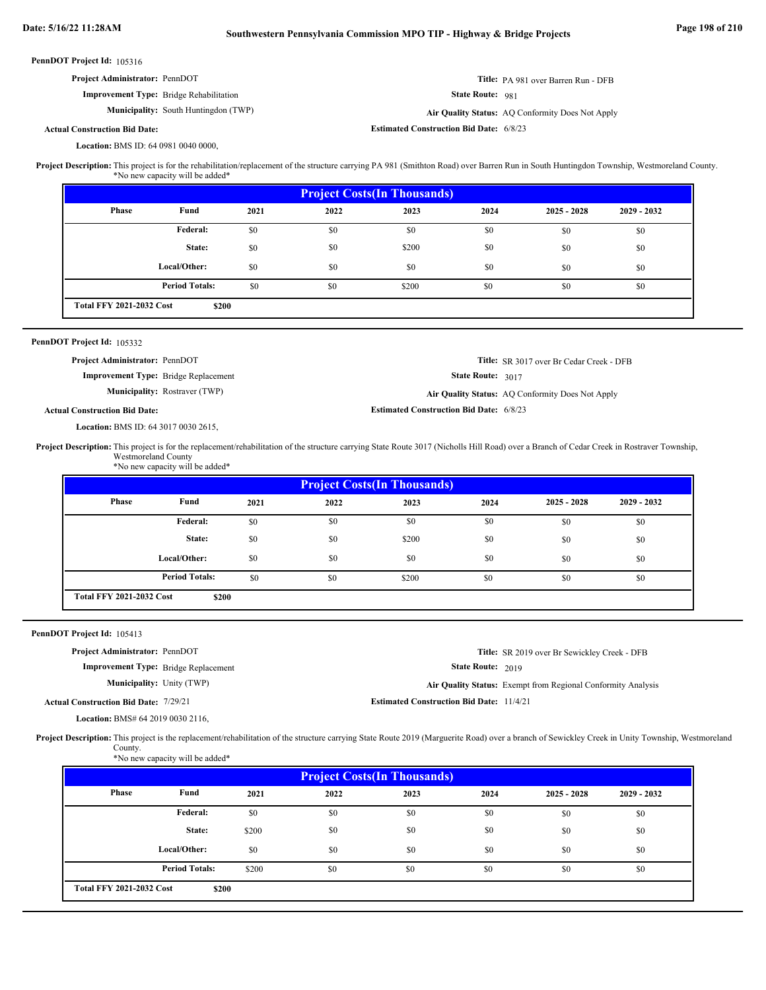| <b>Project Administrator: PennDOT</b>          | Title: PA 981 over Barren Run - DFB |
|------------------------------------------------|-------------------------------------|
| <b>Improvement Type:</b> Bridge Rehabilitation | <b>State Route: 981</b>             |

**Municipality:** South Huntingdon (TWP) **Air Quality Status:** Air Quality Status: AQ Conformity Does Not Apply

**Estimated Construction Bid Date:** 6/8/23

### **Actual Construction Bid Date:**

BMS ID: 64 0981 0040 0000, **Location:**

This project is for the rehabilitation/replacement of the structure carrying PA 981 (Smithton Road) over Barren Run in South Huntingdon Township, Westmoreland County. \*No new capacity will be added\* **Project Description:**

| <b>Project Costs (In Thousands)</b> |                       |      |      |       |      |               |               |  |  |  |
|-------------------------------------|-----------------------|------|------|-------|------|---------------|---------------|--|--|--|
| Phase                               | Fund                  | 2021 | 2022 | 2023  | 2024 | $2025 - 2028$ | $2029 - 2032$ |  |  |  |
|                                     | <b>Federal:</b>       | \$0  | \$0  | \$0   | \$0  | \$0           | \$0           |  |  |  |
|                                     | State:                | \$0  | \$0  | \$200 | \$0  | \$0           | \$0           |  |  |  |
|                                     | Local/Other:          | \$0  | \$0  | \$0   | \$0  | \$0           | \$0           |  |  |  |
|                                     | <b>Period Totals:</b> | \$0  | \$0  | \$200 | \$0  | \$0           | \$0           |  |  |  |
| <b>Total FFY 2021-2032 Cost</b>     | \$200                 |      |      |       |      |               |               |  |  |  |

### PennDOT Project Id: 105332

| <b>Project Administrator: PennDOT</b>       |                                                | <b>Title:</b> SR 3017 over Br Cedar Creek - DFB  |
|---------------------------------------------|------------------------------------------------|--------------------------------------------------|
| <b>Improvement Type:</b> Bridge Replacement | <b>State Route:</b> $3017$                     |                                                  |
| <b>Municipality:</b> Rostraver (TWP)        |                                                | Air Quality Status: AQ Conformity Does Not Apply |
| <b>Actual Construction Bid Date:</b>        | <b>Estimated Construction Bid Date: 6/8/23</b> |                                                  |

BMS ID: 64 3017 0030 2615, **Location:**

Project Description: This project is for the replacement/rehabilitation of the structure carrying State Route 3017 (Nicholls Hill Road) over a Branch of Cedar Creek in Rostraver Township, Westmoreland County \*No new capacity will be added\*

| <b>Project Costs (In Thousands)</b> |                       |      |      |       |      |               |               |  |  |  |
|-------------------------------------|-----------------------|------|------|-------|------|---------------|---------------|--|--|--|
| <b>Phase</b>                        | Fund                  | 2021 | 2022 | 2023  | 2024 | $2025 - 2028$ | $2029 - 2032$ |  |  |  |
|                                     | <b>Federal:</b>       | \$0  | \$0  | \$0   | \$0  | \$0           | \$0           |  |  |  |
|                                     | State:                | \$0  | \$0  | \$200 | \$0  | \$0           | \$0           |  |  |  |
|                                     | Local/Other:          | \$0  | \$0  | \$0   | \$0  | \$0           | \$0           |  |  |  |
|                                     | <b>Period Totals:</b> | \$0  | \$0  | \$200 | \$0  | \$0           | \$0           |  |  |  |
| <b>Total FFY 2021-2032 Cost</b>     | \$200                 |      |      |       |      |               |               |  |  |  |

PennDOT Project Id: 105413

| <b>Project Administrator: PennDOT</b>       |                                                 | <b>Title:</b> SR 2019 over Br Sewickley Creek - DFB          |
|---------------------------------------------|-------------------------------------------------|--------------------------------------------------------------|
| <b>Improvement Type:</b> Bridge Replacement | <b>State Route: 2019</b>                        |                                                              |
| <b>Municipality:</b> Unity (TWP)            |                                                 | Air Quality Status: Exempt from Regional Conformity Analysis |
| d Construction Bid Date: 7/29/21            | <b>Estimated Construction Bid Date: 11/4/21</b> |                                                              |

**Actual Construction Bid Date:**

BMS# 64 2019 0030 2116, **Location:**

Project Description: This project is the replacement/rehabilitation of the structure carrying State Route 2019 (Marguerite Road) over a branch of Sewickley Creek in Unity Township, Westmoreland County.

|  | *No new capacity will be added* |  |  |
|--|---------------------------------|--|--|

| <b>Project Costs (In Thousands)</b> |                       |       |      |      |      |               |               |  |  |  |  |
|-------------------------------------|-----------------------|-------|------|------|------|---------------|---------------|--|--|--|--|
| Phase                               | Fund                  | 2021  | 2022 | 2023 | 2024 | $2025 - 2028$ | $2029 - 2032$ |  |  |  |  |
|                                     | Federal:              | \$0   | \$0  | \$0  | \$0  | \$0           | \$0           |  |  |  |  |
|                                     | State:                | \$200 | \$0  | \$0  | \$0  | \$0           | \$0           |  |  |  |  |
|                                     | Local/Other:          | \$0   | \$0  | \$0  | \$0  | \$0           | \$0           |  |  |  |  |
|                                     | <b>Period Totals:</b> | \$200 | \$0  | \$0  | \$0  | \$0           | \$0           |  |  |  |  |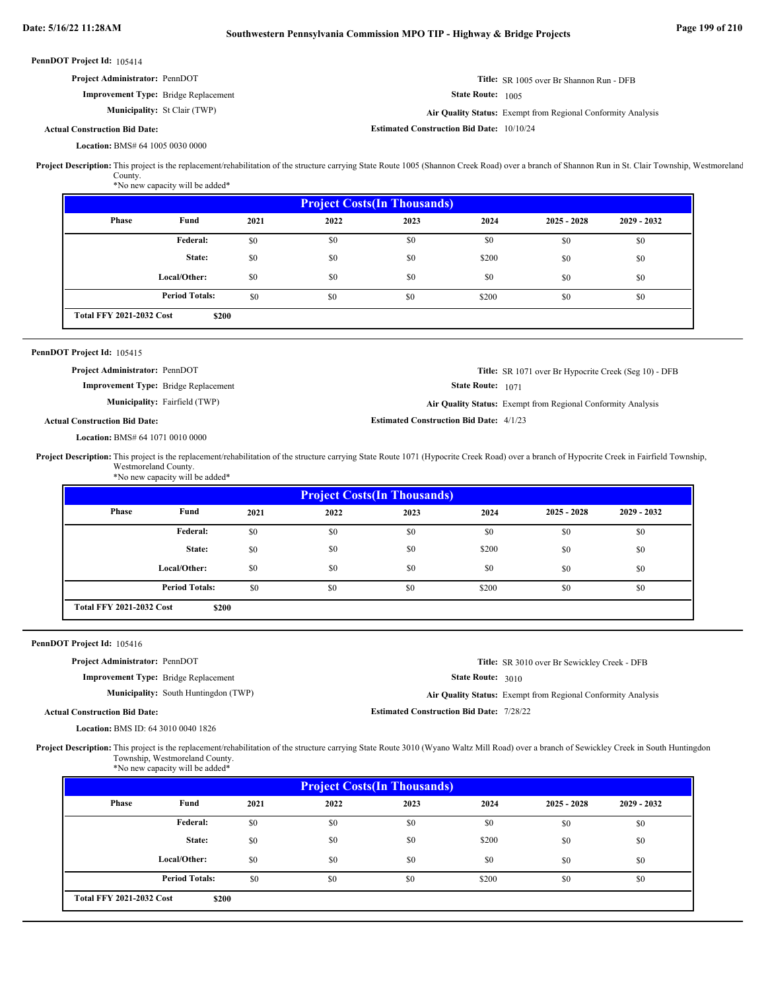| <b>PennDOT Project Id: 105414</b>                                                                                                                                                                                                                  |                                                  |                                                              |
|----------------------------------------------------------------------------------------------------------------------------------------------------------------------------------------------------------------------------------------------------|--------------------------------------------------|--------------------------------------------------------------|
| <b>Project Administrator: PennDOT</b>                                                                                                                                                                                                              |                                                  | <b>Title:</b> SR 1005 over Br Shannon Run - DFB              |
| <b>Improvement Type:</b> Bridge Replacement                                                                                                                                                                                                        | <b>State Route:</b> 1005                         |                                                              |
| <b>Municipality:</b> St Clair (TWP)                                                                                                                                                                                                                |                                                  | Air Quality Status: Exempt from Regional Conformity Analysis |
| <b>Actual Construction Bid Date:</b>                                                                                                                                                                                                               | <b>Estimated Construction Bid Date: 10/10/24</b> |                                                              |
| <b>Location: BMS# 64 1005 0030 0000</b>                                                                                                                                                                                                            |                                                  |                                                              |
| Project Description: This project is the replacement/rehabilitation of the structure carrying State Route 1005 (Shannon Creek Road) over a branch of Shannon Run in St. Clair Township, Westmoreland<br>County.<br>*No new capacity will be added* |                                                  |                                                              |
|                                                                                                                                                                                                                                                    |                                                  |                                                              |

| <b>Project Costs (In Thousands)</b> |                       |      |      |      |       |               |               |  |  |  |
|-------------------------------------|-----------------------|------|------|------|-------|---------------|---------------|--|--|--|
| <b>Phase</b>                        | Fund                  | 2021 | 2022 | 2023 | 2024  | $2025 - 2028$ | $2029 - 2032$ |  |  |  |
|                                     | Federal:              | \$0  | \$0  | \$0  | \$0   | \$0           | \$0           |  |  |  |
|                                     | State:                | \$0  | \$0  | \$0  | \$200 | \$0           | \$0           |  |  |  |
|                                     | Local/Other:          | \$0  | \$0  | \$0  | \$0   | \$0           | \$0           |  |  |  |
|                                     | <b>Period Totals:</b> | \$0  | \$0  | \$0  | \$200 | \$0           | \$0           |  |  |  |
| <b>Total FFY 2021-2032 Cost</b>     | \$200                 |      |      |      |       |               |               |  |  |  |

### PennDOT Project Id: 105415

**Title:** SR 1071 over Br Hypocrite Creek (Seg 10) - DFB **Project Administrator:** PennDOT

**Improvement Type:** Bridge Replacement **Municipality:**

**State Route:** 1071 Fairfield (TWP) **Air Quality Status:** Exempt from Regional Conformity Analysis

**Actual Construction Bid Date:**

BMS# 64 1071 0010 0000 **Location:**

Project Description: This project is the replacement/rehabilitation of the structure carrying State Route 1071 (Hypocrite Creek Road) over a branch of Hypocrite Creek in Fairfield Township, Westmoreland County. \*No new capacity will be added\*

| <b>Project Costs(In Thousands)</b> |                       |      |      |      |       |               |               |  |  |  |
|------------------------------------|-----------------------|------|------|------|-------|---------------|---------------|--|--|--|
| Phase                              | Fund                  | 2021 | 2022 | 2023 | 2024  | $2025 - 2028$ | $2029 - 2032$ |  |  |  |
|                                    | Federal:              | \$0  | \$0  | \$0  | \$0   | \$0           | \$0           |  |  |  |
|                                    | State:                | \$0  | \$0  | \$0  | \$200 | \$0           | \$0           |  |  |  |
|                                    | Local/Other:          | \$0  | \$0  | \$0  | \$0   | \$0           | \$0           |  |  |  |
|                                    | <b>Period Totals:</b> | \$0  | \$0  | \$0  | \$200 | \$0           | \$0           |  |  |  |
| <b>Total FFY 2021-2032 Cost</b>    | \$200                 |      |      |      |       |               |               |  |  |  |

### PennDOT Project Id: 105416

**Project Administrator:** PennDOT

**Improvement Type:** Bridge Replacement

**Municipality:** South Huntingdon (TWP) **Air Quality Status:** 

State Route: 3010

**Title:** SR 3010 over Br Sewickley Creek - DFB

**Actual Construction Bid Date:**

BMS ID: 64 3010 0040 1826 **Location:**

Air Quality Status: Exempt from Regional Conformity Analysis

**Estimated Construction Bid Date:** 7/28/22

**Estimated Construction Bid Date:** 4/1/23

Project Description: This project is the replacement/rehabilitation of the structure carrying State Route 3010 (Wyano Waltz Mill Road) over a branch of Sewickley Creek in South Huntingdon Township, Westmoreland County. \*No new capacity will be added\*

|                                 | <b>Project Costs (In Thousands)</b> |      |      |      |       |               |               |  |  |  |  |
|---------------------------------|-------------------------------------|------|------|------|-------|---------------|---------------|--|--|--|--|
| <b>Phase</b>                    | Fund                                | 2021 | 2022 | 2023 | 2024  | $2025 - 2028$ | $2029 - 2032$ |  |  |  |  |
|                                 | Federal:                            | \$0  | \$0  | \$0  | \$0   | \$0           | \$0           |  |  |  |  |
|                                 | State:                              | \$0  | \$0  | \$0  | \$200 | \$0           | \$0           |  |  |  |  |
|                                 | Local/Other:                        | \$0  | \$0  | \$0  | \$0   | \$0           | \$0           |  |  |  |  |
|                                 | <b>Period Totals:</b>               | \$0  | \$0  | \$0  | \$200 | \$0           | \$0           |  |  |  |  |
| <b>Total FFY 2021-2032 Cost</b> | \$200                               |      |      |      |       |               |               |  |  |  |  |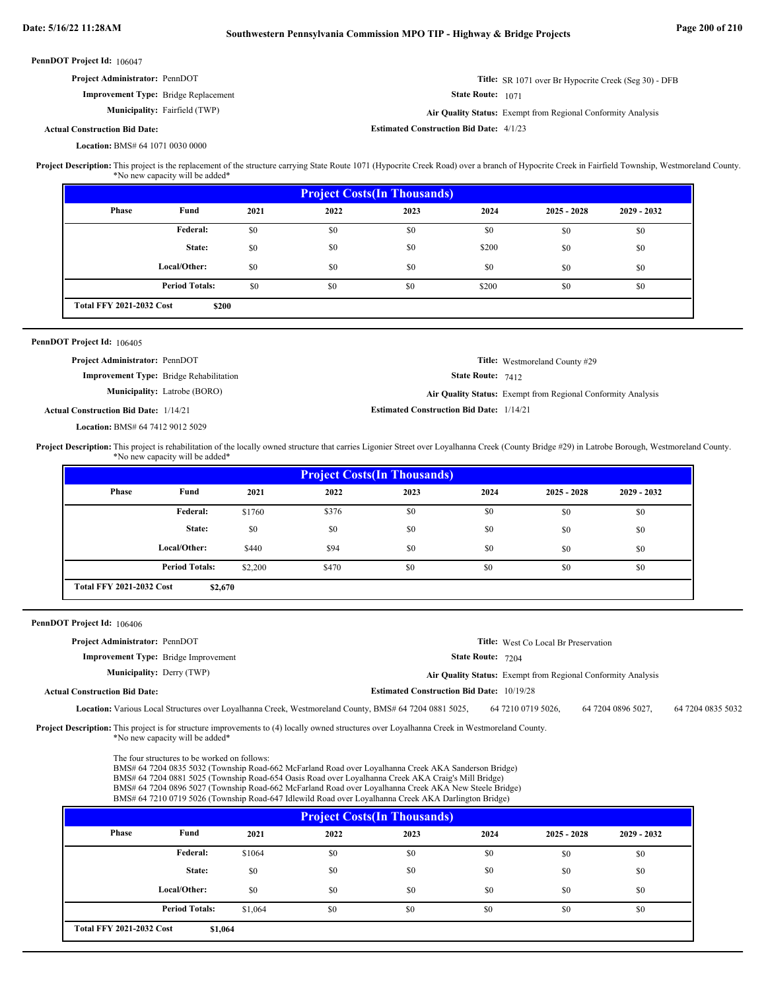$\overline{\phantom{0}}$ 

| PennDOT Project Id: 106047                                                                                                                                                                          |                                                |                   |                                                                                                                                                                                                                                                                                                                      |                                                  |                   |                                                              |                    |                   |  |
|-----------------------------------------------------------------------------------------------------------------------------------------------------------------------------------------------------|------------------------------------------------|-------------------|----------------------------------------------------------------------------------------------------------------------------------------------------------------------------------------------------------------------------------------------------------------------------------------------------------------------|--------------------------------------------------|-------------------|--------------------------------------------------------------|--------------------|-------------------|--|
| Project Administrator: PennDOT<br><b>Title:</b> SR 1071 over Br Hypocrite Creek (Seg 30) - DFB                                                                                                      |                                                |                   |                                                                                                                                                                                                                                                                                                                      |                                                  |                   |                                                              |                    |                   |  |
|                                                                                                                                                                                                     | <b>Improvement Type:</b> Bridge Replacement    | State Route: 1071 |                                                                                                                                                                                                                                                                                                                      |                                                  |                   |                                                              |                    |                   |  |
|                                                                                                                                                                                                     | Municipality: Fairfield (TWP)                  |                   |                                                                                                                                                                                                                                                                                                                      |                                                  |                   | Air Quality Status: Exempt from Regional Conformity Analysis |                    |                   |  |
| <b>Actual Construction Bid Date:</b>                                                                                                                                                                |                                                |                   |                                                                                                                                                                                                                                                                                                                      | <b>Estimated Construction Bid Date: 4/1/23</b>   |                   |                                                              |                    |                   |  |
| Location: BMS# 64 1071 0030 0000                                                                                                                                                                    |                                                |                   |                                                                                                                                                                                                                                                                                                                      |                                                  |                   |                                                              |                    |                   |  |
| Project Description: This project is the replacement of the structure carrying State Route 1071 (Hypocrite Creek Road) over a branch of Hypocrite Creek in Fairfield Township, Westmoreland County. | *No new capacity will be added*                |                   |                                                                                                                                                                                                                                                                                                                      |                                                  |                   |                                                              |                    |                   |  |
|                                                                                                                                                                                                     |                                                |                   |                                                                                                                                                                                                                                                                                                                      | <b>Project Costs(In Thousands)</b>               |                   |                                                              |                    |                   |  |
| Phase                                                                                                                                                                                               | Fund                                           | 2021              | 2022                                                                                                                                                                                                                                                                                                                 | 2023                                             | 2024              | $2025 - 2028$                                                | 2029 - 2032        |                   |  |
|                                                                                                                                                                                                     | Federal:                                       | \$0               | \$0                                                                                                                                                                                                                                                                                                                  | \$0                                              | \$0               | \$0                                                          | \$0                |                   |  |
|                                                                                                                                                                                                     | State:                                         | \$0               | \$0                                                                                                                                                                                                                                                                                                                  | \$0                                              | \$200             | \$0                                                          | \$0                |                   |  |
|                                                                                                                                                                                                     | Local/Other:                                   | \$0               | \$0                                                                                                                                                                                                                                                                                                                  | \$0                                              | \$0               | \$0                                                          | \$0                |                   |  |
|                                                                                                                                                                                                     | <b>Period Totals:</b>                          | \$0               | \$0                                                                                                                                                                                                                                                                                                                  | \$0                                              | \$200             | \$0                                                          | \$0                |                   |  |
| <b>Total FFY 2021-2032 Cost</b>                                                                                                                                                                     | \$200                                          |                   |                                                                                                                                                                                                                                                                                                                      |                                                  |                   |                                                              |                    |                   |  |
| PennDOT Project Id: 106405                                                                                                                                                                          |                                                |                   |                                                                                                                                                                                                                                                                                                                      |                                                  |                   |                                                              |                    |                   |  |
| Project Administrator: PennDOT                                                                                                                                                                      |                                                |                   |                                                                                                                                                                                                                                                                                                                      |                                                  |                   | Title: Westmoreland County #29                               |                    |                   |  |
|                                                                                                                                                                                                     | <b>Improvement Type:</b> Bridge Rehabilitation |                   |                                                                                                                                                                                                                                                                                                                      |                                                  | State Route: 7412 |                                                              |                    |                   |  |
|                                                                                                                                                                                                     | Municipality: Latrobe (BORO)                   |                   |                                                                                                                                                                                                                                                                                                                      |                                                  |                   | Air Quality Status: Exempt from Regional Conformity Analysis |                    |                   |  |
| <b>Actual Construction Bid Date: 1/14/21</b>                                                                                                                                                        |                                                |                   |                                                                                                                                                                                                                                                                                                                      | <b>Estimated Construction Bid Date: 1/14/21</b>  |                   |                                                              |                    |                   |  |
| Location: BMS# 64 7412 9012 5029                                                                                                                                                                    |                                                |                   |                                                                                                                                                                                                                                                                                                                      |                                                  |                   |                                                              |                    |                   |  |
| Project Description: This project is rehabilitation of the locally owned structure that carries Ligonier Street over Loyalhanna Creek (County Bridge #29) in Latrobe Borough, Westmoreland County.  | *No new capacity will be added*                |                   |                                                                                                                                                                                                                                                                                                                      |                                                  |                   |                                                              |                    |                   |  |
|                                                                                                                                                                                                     |                                                |                   |                                                                                                                                                                                                                                                                                                                      | <b>Project Costs (In Thousands)</b>              |                   |                                                              |                    |                   |  |
| Phase                                                                                                                                                                                               | Fund                                           | 2021              | 2022                                                                                                                                                                                                                                                                                                                 | 2023                                             | 2024              | $2025 - 2028$                                                | 2029 - 2032        |                   |  |
|                                                                                                                                                                                                     | Federal:                                       | \$1760            | \$376                                                                                                                                                                                                                                                                                                                | \$0                                              | \$0               | \$0                                                          | \$0                |                   |  |
|                                                                                                                                                                                                     | State:                                         | \$0               | \$0                                                                                                                                                                                                                                                                                                                  | \$0                                              | \$0               | \$0                                                          | \$0                |                   |  |
|                                                                                                                                                                                                     | Local/Other:                                   | \$440             | \$94                                                                                                                                                                                                                                                                                                                 | \$0                                              | \$0               | \$0                                                          | \$0                |                   |  |
|                                                                                                                                                                                                     | <b>Period Totals:</b>                          | \$2,200           | \$470                                                                                                                                                                                                                                                                                                                | \$0                                              | \$0               | \$0                                                          | \$0                |                   |  |
| <b>Total FFY 2021-2032 Cost</b>                                                                                                                                                                     | \$2,670                                        |                   |                                                                                                                                                                                                                                                                                                                      |                                                  |                   |                                                              |                    |                   |  |
|                                                                                                                                                                                                     |                                                |                   |                                                                                                                                                                                                                                                                                                                      |                                                  |                   |                                                              |                    |                   |  |
| PennDOT Project Id: 106406                                                                                                                                                                          |                                                |                   |                                                                                                                                                                                                                                                                                                                      |                                                  |                   |                                                              |                    |                   |  |
| Project Administrator: PennDOT                                                                                                                                                                      |                                                |                   |                                                                                                                                                                                                                                                                                                                      |                                                  |                   | Title: West Co Local Br Preservation                         |                    |                   |  |
|                                                                                                                                                                                                     | <b>Improvement Type:</b> Bridge Improvement    |                   |                                                                                                                                                                                                                                                                                                                      |                                                  | State Route: 7204 |                                                              |                    |                   |  |
|                                                                                                                                                                                                     | <b>Municipality: Derry (TWP)</b>               |                   |                                                                                                                                                                                                                                                                                                                      |                                                  |                   | Air Quality Status: Exempt from Regional Conformity Analysis |                    |                   |  |
| <b>Actual Construction Bid Date:</b>                                                                                                                                                                |                                                |                   |                                                                                                                                                                                                                                                                                                                      | <b>Estimated Construction Bid Date: 10/19/28</b> |                   |                                                              |                    |                   |  |
|                                                                                                                                                                                                     |                                                |                   | Location: Various Local Structures over Loyalhanna Creek, Westmoreland County, BMS# 64 7204 0881 5025,                                                                                                                                                                                                               |                                                  |                   | 64 7210 0719 5026,                                           | 64 7204 0896 5027, | 64 7204 0835 5032 |  |
| Project Description: This project is for structure improvements to (4) locally owned structures over Loyalhanna Creek in Westmoreland County.                                                       | *No new capacity will be added*                |                   |                                                                                                                                                                                                                                                                                                                      |                                                  |                   |                                                              |                    |                   |  |
|                                                                                                                                                                                                     | The four structures to be worked on follows:   |                   |                                                                                                                                                                                                                                                                                                                      |                                                  |                   |                                                              |                    |                   |  |
|                                                                                                                                                                                                     |                                                |                   | BMS# 64 7204 0835 5032 (Township Road-662 McFarland Road over Loyalhanna Creek AKA Sanderson Bridge)<br>BMS# 64 7204 0881 5025 (Township Road-654 Oasis Road over Loyalhanna Creek AKA Craig's Mill Bridge)<br>BMS# 64 7204 0896 5027 (Township Road-662 McFarland Road over Loyalhanna Creek AKA New Steele Bridge) |                                                  |                   |                                                              |                    |                   |  |
|                                                                                                                                                                                                     |                                                |                   | BMS# 64 7210 0719 5026 (Township Road-647 Idlewild Road over Loyalhanna Creek AKA Darlington Bridge)                                                                                                                                                                                                                 | <b>Project Costs (In Thousands)</b>              |                   |                                                              |                    |                   |  |
| Phase                                                                                                                                                                                               | Fund                                           | 2021              | 2022                                                                                                                                                                                                                                                                                                                 | 2023                                             | 2024              | $2025 - 2028$                                                | 2029 - 2032        |                   |  |
|                                                                                                                                                                                                     |                                                |                   |                                                                                                                                                                                                                                                                                                                      |                                                  |                   |                                                              |                    |                   |  |
|                                                                                                                                                                                                     | <b>Federal:</b>                                | \$1064            | \$0                                                                                                                                                                                                                                                                                                                  | \$0                                              | \$0               | \$0                                                          | \$0                |                   |  |
|                                                                                                                                                                                                     | State:                                         | \$0               | \$0                                                                                                                                                                                                                                                                                                                  | \$0                                              | \$0               | \$0                                                          | \$0                |                   |  |
|                                                                                                                                                                                                     | Local/Other:                                   | \$0               | \$0                                                                                                                                                                                                                                                                                                                  | \$0                                              | \$0               | \$0                                                          | \$0                |                   |  |
|                                                                                                                                                                                                     | <b>Period Totals:</b>                          | \$1,064           | \$0                                                                                                                                                                                                                                                                                                                  | \$0                                              | \$0               | \$0                                                          | \$0                |                   |  |

**\$1,064**

**Total FFY 2021-2032 Cost**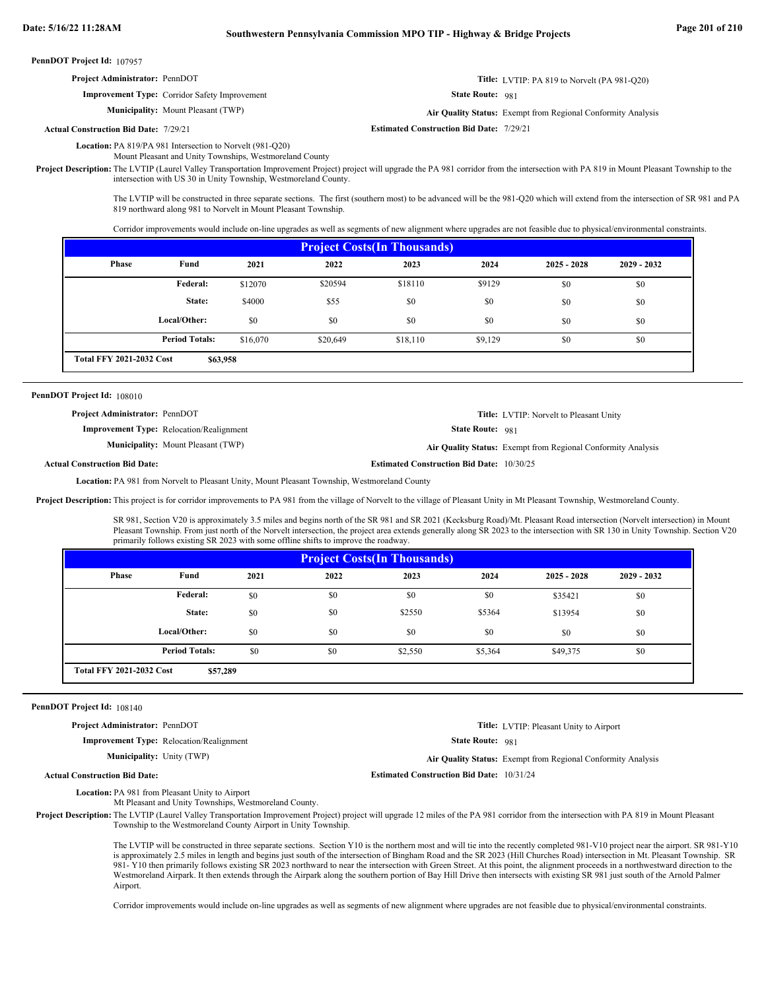| <b>Project Administrator: PennDOT</b>                | <b>Title:</b> LVTIP: PA 819 to Norvelt (PA 981-Q20)          |
|------------------------------------------------------|--------------------------------------------------------------|
| <b>Improvement Type:</b> Corridor Safety Improvement | <b>State Route: 981</b>                                      |
| <b>Municipality:</b> Mount Pleasant (TWP)            | Air Quality Status: Exempt from Regional Conformity Analysis |
| <b>Actual Construction Bid Date: 7/29/21</b>         | <b>Estimated Construction Bid Date: 7/29/21</b>              |
|                                                      |                                                              |

Location: PA 819/PA 981 Intersection to Norvelt (981-Q20) Mount Pleasant and Unity Townships, Westmoreland County

Project Description: The LVTIP (Laurel Valley Transportation Improvement Project) project will upgrade the PA 981 corridor from the intersection with PA 819 in Mount Pleasant Township to the intersection with US 30 in Unity Township, Westmoreland County.

> The LVTIP will be constructed in three separate sections. The first (southern most) to be advanced will be the 981-Q20 which will extend from the intersection of SR 981 and PA 819 northward along 981 to Norvelt in Mount Pleasant Township.

Corridor improvements would include on-line upgrades as well as segments of new alignment where upgrades are not feasible due to physical/environmental constraints.

| <b>Project Costs (In Thousands)</b>         |                       |          |          |          |         |               |               |  |  |
|---------------------------------------------|-----------------------|----------|----------|----------|---------|---------------|---------------|--|--|
| <b>Phase</b>                                | Fund                  | 2021     | 2022     | 2023     | 2024    | $2025 - 2028$ | $2029 - 2032$ |  |  |
|                                             | <b>Federal:</b>       | \$12070  | \$20594  | \$18110  | \$9129  | \$0           | \$0           |  |  |
|                                             | State:                | \$4000   | \$55     | \$0      | \$0     | \$0           | \$0           |  |  |
|                                             | Local/Other:          | \$0      | \$0      | \$0      | \$0     | \$0           | \$0           |  |  |
|                                             | <b>Period Totals:</b> | \$16,070 | \$20,649 | \$18,110 | \$9,129 | \$0           | \$0           |  |  |
| <b>Total FFY 2021-2032 Cost</b><br>\$63,958 |                       |          |          |          |         |               |               |  |  |

| PennDOT Project Id: 108010 |  |
|----------------------------|--|
|----------------------------|--|

Actu

| <b>Project Administrator: PennDOT</b> |                                                 |                                                  | <b>Title:</b> LVTIP: Norvelt to Pleasant Unity               |
|---------------------------------------|-------------------------------------------------|--------------------------------------------------|--------------------------------------------------------------|
|                                       | <b>Improvement Type:</b> Relocation/Realignment | <b>State Route: 981</b>                          |                                                              |
|                                       | <b>Municipality:</b> Mount Pleasant (TWP)       |                                                  | Air Quality Status: Exempt from Regional Conformity Analysis |
| al Construction Bid Date:             |                                                 | <b>Estimated Construction Bid Date: 10/30/25</b> |                                                              |
|                                       |                                                 |                                                  |                                                              |

**Location:** PA 981 from Norvelt to Pleasant Unity, Mount Pleasant Township, Westmoreland County

Project Description: This project is for corridor improvements to PA 981 from the village of Norvelt to the village of Pleasant Unity in Mt Pleasant Township, Westmoreland County.

SR 981, Section V20 is approximately 3.5 miles and begins north of the SR 981 and SR 2021 (Kecksburg Road)/Mt. Pleasant Road intersection (Norvelt intersection) in Mount Pleasant Township. From just north of the Norvelt intersection, the project area extends generally along SR 2023 to the intersection with SR 130 in Unity Township. Section V20 primarily follows existing SR 2023 with some offline shifts to improve the roadway.

| <b>Project Costs (In Thousands)</b>         |                       |      |      |         |         |               |               |  |  |
|---------------------------------------------|-----------------------|------|------|---------|---------|---------------|---------------|--|--|
| Phase                                       | Fund                  | 2021 | 2022 | 2023    | 2024    | $2025 - 2028$ | $2029 - 2032$ |  |  |
|                                             | <b>Federal:</b>       | \$0  | \$0  | \$0     | \$0     | \$35421       | \$0           |  |  |
|                                             | State:                | \$0  | \$0  | \$2550  | \$5364  | \$13954       | \$0           |  |  |
|                                             | Local/Other:          | \$0  | \$0  | \$0     | \$0     | \$0           | \$0           |  |  |
|                                             | <b>Period Totals:</b> | \$0  | \$0  | \$2,550 | \$5,364 | \$49,375      | \$0           |  |  |
| <b>Total FFY 2021-2032 Cost</b><br>\$57,289 |                       |      |      |         |         |               |               |  |  |

### PennDOT Project Id: 108140

**Actual Construction Bid Date:**

**Project Administrator:** PennDOT

**Improvement Type:** Relocation/Realignment

**Municipality:** Unity (TWP)

**Title:** LVTIP: Pleasant Unity to Airport

State Route: 981

Unity (TWP) **Air Quality Status:** Exempt from Regional Conformity Analysis

**Estimated Construction Bid Date:** 10/31/24

Location: PA 981 from Pleasant Unity to Airport

Mt Pleasant and Unity Townships, Westmoreland County.

Project Description: The LVTIP (Laurel Valley Transportation Improvement Project) project will upgrade 12 miles of the PA 981 corridor from the intersection with PA 819 in Mount Pleasant Township to the Westmoreland County Airport in Unity Township.

> The LVTIP will be constructed in three separate sections. Section Y10 is the northern most and will tie into the recently completed 981-V10 project near the airport. SR 981-Y10 is approximately 2.5 miles in length and begins just south of the intersection of Bingham Road and the SR 2023 (Hill Churches Road) intersection in Mt. Pleasant Township. SR 981- Y10 then primarily follows existing SR 2023 northward to near the intersection with Green Street. At this point, the alignment proceeds in a northwestward direction to the Westmoreland Airpark. It then extends through the Airpark along the southern portion of Bay Hill Drive then intersects with existing SR 981 just south of the Arnold Palmer Airport.

Corridor improvements would include on-line upgrades as well as segments of new alignment where upgrades are not feasible due to physical/environmental constraints.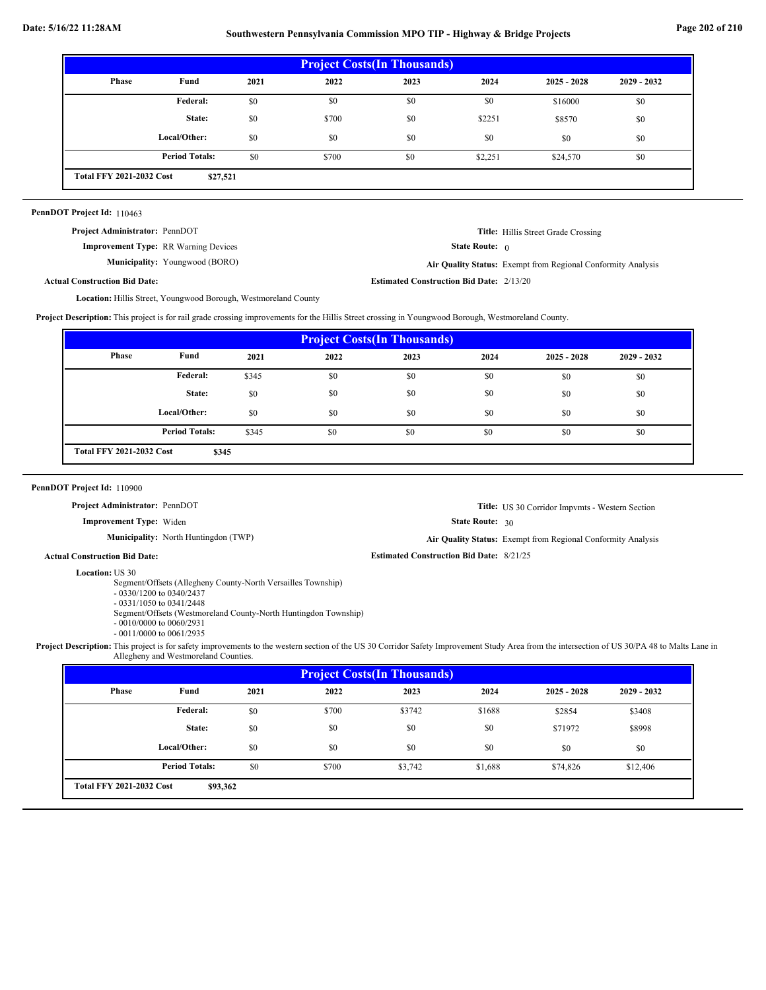## **Date: 5/16/22 11:28AM Southwestern Pennsylvania Commission MPO TIP - Highway & Bridge Projects Page 202 of 210**

| <b>Project Costs (In Thousands)</b> |                                             |      |       |      |         |               |               |  |
|-------------------------------------|---------------------------------------------|------|-------|------|---------|---------------|---------------|--|
| Phase                               | Fund                                        | 2021 | 2022  | 2023 | 2024    | $2025 - 2028$ | $2029 - 2032$ |  |
|                                     | Federal:                                    | \$0  | \$0   | \$0  | \$0     | \$16000       | \$0           |  |
|                                     | State:                                      | \$0  | \$700 | \$0  | \$2251  | \$8570        | \$0           |  |
|                                     | Local/Other:                                | \$0  | \$0   | \$0  | \$0     | \$0           | \$0           |  |
|                                     | <b>Period Totals:</b>                       | \$0  | \$700 | \$0  | \$2,251 | \$24,570      | \$0           |  |
|                                     | <b>Total FFY 2021-2032 Cost</b><br>\$27,521 |      |       |      |         |               |               |  |

### PennDOT Project Id: 110463

**Project Administrator:** PennDOT

**Improvement Type:** RR Warning Devices **Municipality:** **Title:** Hillis Street Grade Crossing

State Route: 0

**Actual Construction Bid Date:** Youngwood (BORO) **Air Quality Status:** Exempt from Regional Conformity Analysis

**Estimated Construction Bid Date:** 2/13/20

Location: Hillis Street, Youngwood Borough, Westmoreland County

**Project Description:** This project is for rail grade crossing improvements for the Hillis Street crossing in Youngwood Borough, Westmoreland County.

| <b>Project Costs (In Thousands)</b> |                                          |       |      |      |      |               |               |  |  |
|-------------------------------------|------------------------------------------|-------|------|------|------|---------------|---------------|--|--|
| Phase                               | Fund                                     | 2021  | 2022 | 2023 | 2024 | $2025 - 2028$ | $2029 - 2032$ |  |  |
|                                     | Federal:                                 | \$345 | \$0  | \$0  | \$0  | \$0           | \$0           |  |  |
|                                     | State:                                   | \$0   | \$0  | \$0  | \$0  | \$0           | \$0           |  |  |
|                                     | Local/Other:                             | \$0   | \$0  | \$0  | \$0  | \$0           | \$0           |  |  |
|                                     | <b>Period Totals:</b>                    | \$345 | \$0  | \$0  | \$0  | \$0           | \$0           |  |  |
|                                     | <b>Total FFY 2021-2032 Cost</b><br>\$345 |       |      |      |      |               |               |  |  |

PennDOT Project Id: 110900

**Project Administrator:** PennDOT

**Improvement Type:** Widen

**Municipality:** North Huntingdon (TWP) **Air Quality Status:** 

**Title:** US 30 Corridor Impvmts - Western Section

State Route: 30

**Estimated Construction Bid Date:** 8/21/25

Air Quality Status: Exempt from Regional Conformity Analysis

**Actual Construction Bid Date:**

**Location: US 30** 

Segment/Offsets (Allegheny County-North Versailles Township)

- 0330/1200 to 0340/2437 - 0331/1050 to 0341/2448

Segment/Offsets (Westmoreland County-North Huntingdon Township)

- 0010/0000 to 0060/2931

- 0011/0000 to 0061/2935

Project Description: This project is for safety improvements to the western section of the US 30 Corridor Safety Improvement Study Area from the intersection of US 30/PA 48 to Malts Lane in Allegheny and Westmoreland Counties.

| <b>Project Costs (In Thousands)</b>         |                       |      |       |         |         |               |               |  |
|---------------------------------------------|-----------------------|------|-------|---------|---------|---------------|---------------|--|
| Phase                                       | Fund                  | 2021 | 2022  | 2023    | 2024    | $2025 - 2028$ | $2029 - 2032$ |  |
|                                             | Federal:              | \$0  | \$700 | \$3742  | \$1688  | \$2854        | \$3408        |  |
|                                             | State:                | \$0  | \$0   | \$0     | \$0     | \$71972       | \$8998        |  |
|                                             | Local/Other:          | \$0  | \$0   | \$0     | \$0     | \$0           | \$0           |  |
|                                             | <b>Period Totals:</b> | \$0  | \$700 | \$3,742 | \$1,688 | \$74,826      | \$12,406      |  |
| <b>Total FFY 2021-2032 Cost</b><br>\$93,362 |                       |      |       |         |         |               |               |  |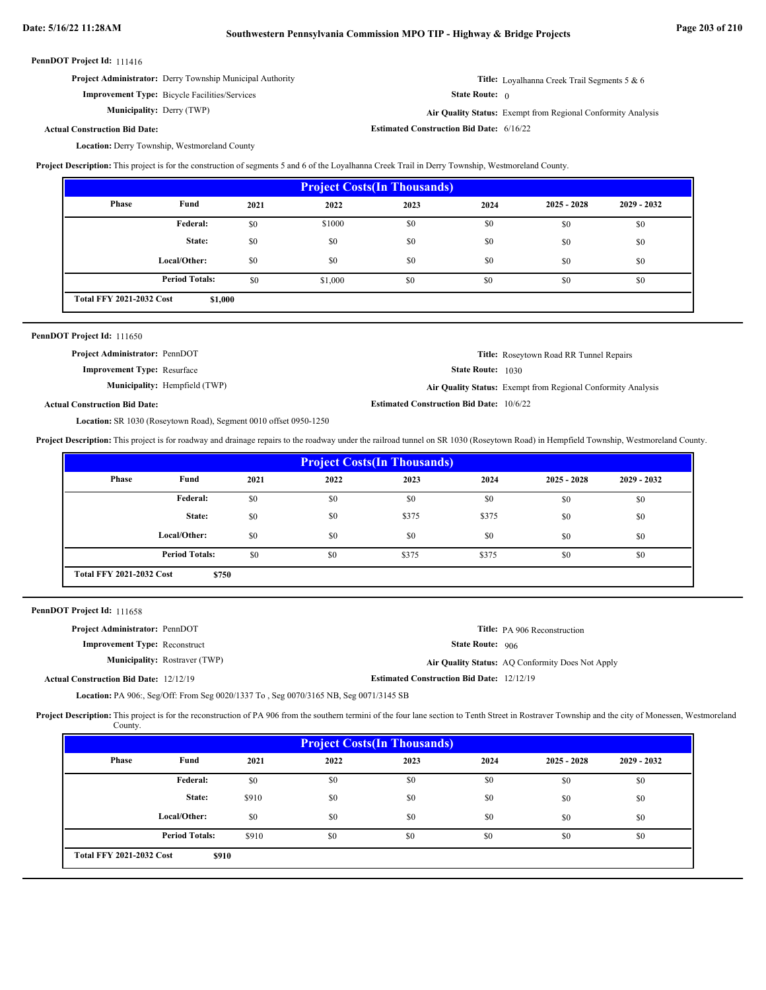**Project Administrator:** Derry Township Municipal Authority

**Improvement Type:** Bicycle Facilities/Services **Municipality:** Derry (TWP)

**Title:** Loyalhanna Creek Trail Segments 5 & 6

State Route: 0

**Estimated Construction Bid Date:** 6/16/22

Derry (TWP) **Air Quality Status:** Exempt from Regional Conformity Analysis

### **Actual Construction Bid Date:**

Location: Derry Township, Westmoreland County

**Project Description:** This project is for the construction of segments 5 and 6 of the Loyalhanna Creek Trail in Derry Township, Westmoreland County.

| <b>Project Costs (In Thousands)</b> |                                            |      |         |      |      |               |               |  |  |
|-------------------------------------|--------------------------------------------|------|---------|------|------|---------------|---------------|--|--|
| <b>Phase</b>                        | Fund                                       | 2021 | 2022    | 2023 | 2024 | $2025 - 2028$ | $2029 - 2032$ |  |  |
|                                     | Federal:                                   | \$0  | \$1000  | \$0  | \$0  | \$0           | \$0           |  |  |
|                                     | State:                                     | \$0  | \$0     | \$0  | \$0  | \$0           | \$0           |  |  |
|                                     | Local/Other:                               | \$0  | \$0     | \$0  | \$0  | \$0           | \$0           |  |  |
|                                     | <b>Period Totals:</b>                      | \$0  | \$1,000 | \$0  | \$0  | \$0           | \$0           |  |  |
|                                     | <b>Total FFY 2021-2032 Cost</b><br>\$1,000 |      |         |      |      |               |               |  |  |

| PennDOT Project Id: 111650            |                                      |                                                 |                                                              |
|---------------------------------------|--------------------------------------|-------------------------------------------------|--------------------------------------------------------------|
| <b>Project Administrator: PennDOT</b> |                                      |                                                 | <b>Title:</b> Roseytown Road RR Tunnel Repairs               |
| <b>Improvement Type: Resurface</b>    |                                      | <b>State Route:</b> 1030                        |                                                              |
|                                       | <b>Municipality:</b> Hempfield (TWP) |                                                 | Air Quality Status: Exempt from Regional Conformity Analysis |
| <b>Actual Construction Bid Date:</b>  |                                      | <b>Estimated Construction Bid Date: 10/6/22</b> |                                                              |

Location: SR 1030 (Roseytown Road), Segment 0010 offset 0950-1250

**Project Description:** This project is for roadway and drainage repairs to the roadway under the railroad tunnel on SR 1030 (Roseytown Road) in Hempfield Township, Westmoreland County.

| <b>Project Costs (In Thousands)</b> |                                          |      |      |       |       |               |               |  |  |
|-------------------------------------|------------------------------------------|------|------|-------|-------|---------------|---------------|--|--|
| Phase                               | Fund                                     | 2021 | 2022 | 2023  | 2024  | $2025 - 2028$ | $2029 - 2032$ |  |  |
|                                     | Federal:                                 | \$0  | \$0  | \$0   | \$0   | \$0           | \$0           |  |  |
|                                     | State:                                   | \$0  | \$0  | \$375 | \$375 | \$0           | \$0           |  |  |
|                                     | Local/Other:                             | \$0  | \$0  | \$0   | \$0   | \$0           | \$0           |  |  |
|                                     | <b>Period Totals:</b>                    | \$0  | \$0  | \$375 | \$375 | \$0           | \$0           |  |  |
|                                     | <b>Total FFY 2021-2032 Cost</b><br>\$750 |      |      |       |       |               |               |  |  |

PennDOT Project Id: 111658

| <b>Project Administrator: PennDOT</b>         |                                      |                                                  | <b>Title:</b> PA 906 Reconstruction              |
|-----------------------------------------------|--------------------------------------|--------------------------------------------------|--------------------------------------------------|
| <b>Improvement Type: Reconstruct</b>          |                                      | <b>State Route: 906</b>                          |                                                  |
|                                               | <b>Municipality:</b> Rostraver (TWP) |                                                  | Air Quality Status: AQ Conformity Does Not Apply |
| <b>Actual Construction Bid Date: 12/12/19</b> |                                      | <b>Estimated Construction Bid Date: 12/12/19</b> |                                                  |

**Location:** PA 906:, Seg/Off: From Seg 0020/1337 To, Seg 0070/3165 NB, Seg 0071/3145 SB

Project Description: This project is for the reconstruction of PA 906 from the southern termini of the four lane section to Tenth Street in Rostraver Township and the city of Monessen, Westmoreland County.

| <b>Project Costs (In Thousands)</b> |                       |       |      |      |      |               |               |
|-------------------------------------|-----------------------|-------|------|------|------|---------------|---------------|
| <b>Phase</b>                        | Fund                  | 2021  | 2022 | 2023 | 2024 | $2025 - 2028$ | $2029 - 2032$ |
|                                     | <b>Federal:</b>       | \$0   | \$0  | \$0  | \$0  | \$0           | \$0           |
|                                     | State:                | \$910 | \$0  | \$0  | \$0  | \$0           | \$0           |
|                                     | Local/Other:          | \$0   | \$0  | \$0  | \$0  | \$0           | \$0           |
|                                     | <b>Period Totals:</b> | \$910 | \$0  | \$0  | \$0  | \$0           | \$0           |
| <b>Total FFY 2021-2032 Cost</b>     | \$910                 |       |      |      |      |               |               |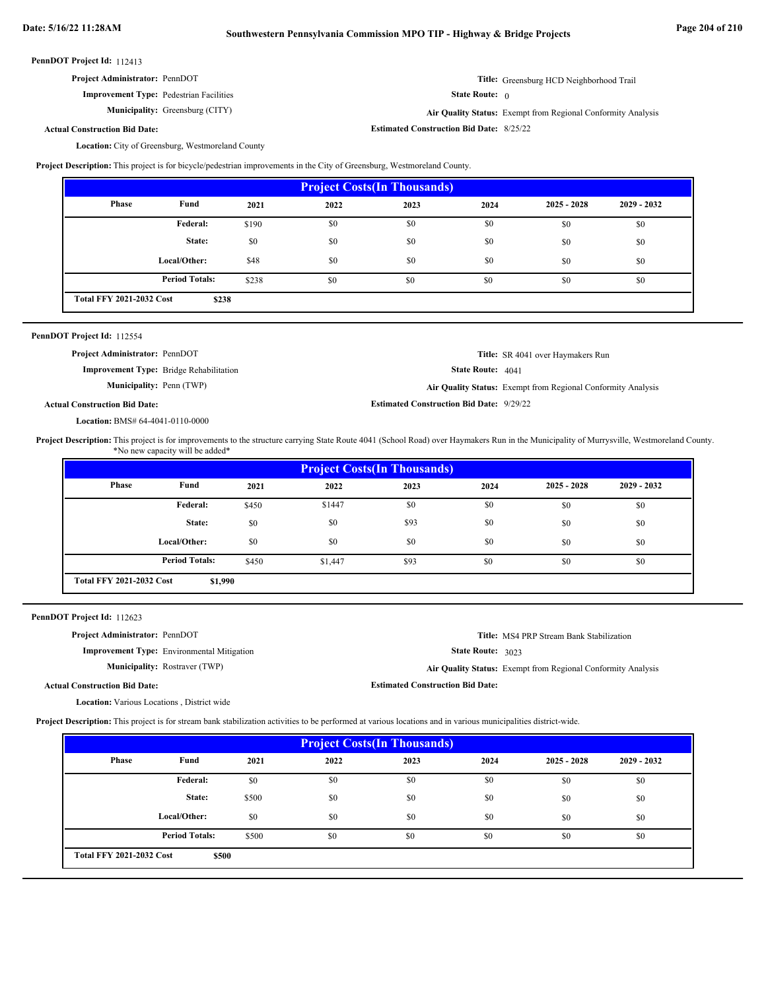| <b>Project Administrator: PennDOT</b>          | Title: Greensburg HCD Neighborhood Trail |
|------------------------------------------------|------------------------------------------|
| <b>Improvement Type:</b> Pedestrian Facilities | <b>State Route:</b> $\theta$             |

**Municipality:**

Greensburg (CITY) **Air Quality Status:** Exempt from Regional Conformity Analysis

**Estimated Construction Bid Date:** 8/25/22

**Actual Construction Bid Date:**

Location: City of Greensburg, Westmoreland County

**Project Description:** This project is for bicycle/pedestrian improvements in the City of Greensburg, Westmoreland County.

| <b>Project Costs (In Thousands)</b> |                       |       |      |      |      |               |               |  |
|-------------------------------------|-----------------------|-------|------|------|------|---------------|---------------|--|
| Phase                               | Fund                  | 2021  | 2022 | 2023 | 2024 | $2025 - 2028$ | $2029 - 2032$ |  |
|                                     | Federal:              | \$190 | \$0  | \$0  | \$0  | \$0           | \$0           |  |
|                                     | State:                | \$0   | \$0  | \$0  | \$0  | \$0           | \$0           |  |
|                                     | Local/Other:          | \$48  | \$0  | \$0  | \$0  | \$0           | \$0           |  |
|                                     | <b>Period Totals:</b> | \$238 | \$0  | \$0  | \$0  | \$0           | \$0           |  |
| <b>Total FFY 2021-2032 Cost</b>     | \$238                 |       |      |      |      |               |               |  |

| <b>PennDOT Project Id: 112554</b>     |                                                |                                                 |                                                              |
|---------------------------------------|------------------------------------------------|-------------------------------------------------|--------------------------------------------------------------|
| <b>Project Administrator: PennDOT</b> |                                                |                                                 | <b>Title:</b> SR 4041 over Haymakers Run                     |
|                                       | <b>Improvement Type:</b> Bridge Rehabilitation | <b>State Route:</b> $4041$                      |                                                              |
| <b>Municipality:</b> Penn (TWP)       |                                                |                                                 | Air Quality Status: Exempt from Regional Conformity Analysis |
| <b>Actual Construction Bid Date:</b>  |                                                | <b>Estimated Construction Bid Date: 9/29/22</b> |                                                              |

BMS# 64-4041-0110-0000 **Location:**

Project Description: This project is for improvements to the structure carrying State Route 4041 (School Road) over Haymakers Run in the Municipality of Murrysville, Westmoreland County. \*No new capacity will be added\*

| <b>Project Costs (In Thousands)</b> |                       |       |         |      |      |               |               |  |
|-------------------------------------|-----------------------|-------|---------|------|------|---------------|---------------|--|
| <b>Phase</b>                        | Fund                  | 2021  | 2022    | 2023 | 2024 | $2025 - 2028$ | $2029 - 2032$ |  |
|                                     | Federal:              | \$450 | \$1447  | \$0  | \$0  | \$0           | \$0           |  |
|                                     | State:                | \$0   | \$0     | \$93 | \$0  | \$0           | \$0           |  |
|                                     | Local/Other:          | \$0   | \$0     | \$0  | \$0  | \$0           | \$0           |  |
|                                     | <b>Period Totals:</b> | \$450 | \$1,447 | \$93 | \$0  | \$0           | \$0           |  |
| <b>Total FFY 2021-2032 Cost</b>     | \$1,990               |       |         |      |      |               |               |  |

PennDOT Project Id: 112623

| <b>Project Administrator: PennDOT</b>             |                                                   |                                         | <b>Title:</b> MS4 PRP Stream Bank Stabilization              |
|---------------------------------------------------|---------------------------------------------------|-----------------------------------------|--------------------------------------------------------------|
|                                                   | <b>Improvement Type:</b> Environmental Mitigation | <b>State Route: 3023</b>                |                                                              |
|                                                   | <b>Municipality:</b> Rostraver (TWP)              |                                         | Air Quality Status: Exempt from Regional Conformity Analysis |
| <b>Actual Construction Bid Date:</b>              |                                                   | <b>Estimated Construction Bid Date:</b> |                                                              |
| <b>Location:</b> Various Locations, District wide |                                                   |                                         |                                                              |

**Project Description:** This project is for stream bank stabilization activities to be performed at various locations and in various municipalities district-wide.

| <b>Project Costs (In Thousands)</b> |                       |       |      |      |      |               |               |  |
|-------------------------------------|-----------------------|-------|------|------|------|---------------|---------------|--|
| <b>Phase</b>                        | Fund                  | 2021  | 2022 | 2023 | 2024 | $2025 - 2028$ | $2029 - 2032$ |  |
|                                     | <b>Federal:</b>       | \$0   | \$0  | \$0  | \$0  | \$0           | \$0           |  |
|                                     | State:                | \$500 | \$0  | \$0  | \$0  | \$0           | \$0           |  |
|                                     | Local/Other:          | \$0   | \$0  | \$0  | \$0  | \$0           | \$0           |  |
|                                     | <b>Period Totals:</b> | \$500 | \$0  | \$0  | \$0  | \$0           | \$0           |  |
| <b>Total FFY 2021-2032 Cost</b>     | \$500                 |       |      |      |      |               |               |  |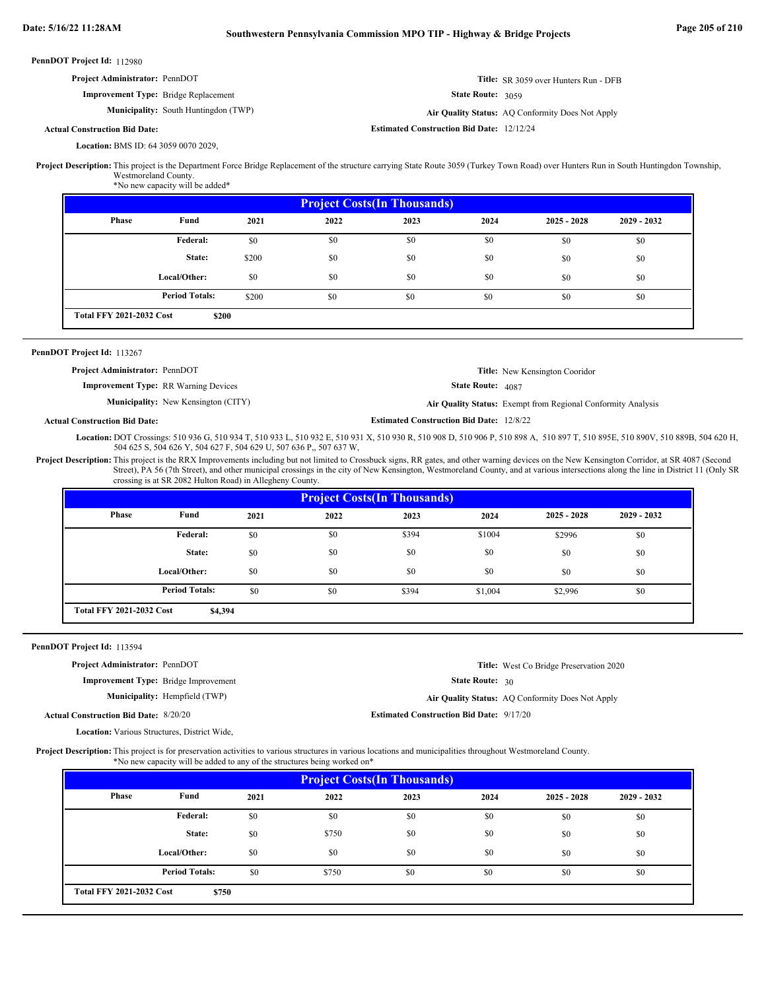| <b>Project Administrator: PennDOT</b>       | Title: SR 3059 over Hunters Run - DFB |
|---------------------------------------------|---------------------------------------|
| <b>Improvement Type:</b> Bridge Replacement | <b>State Route:</b> $3059$            |

**Municipality:** South Huntingdon (TWP) **Air Quality Status:** 

**Actual Construction Bid Date:**

BMS ID: 64 3059 0070 2029, **Location:**

Project Description: This project is the Department Force Bridge Replacement of the structure carrying State Route 3059 (Turkey Town Road) over Hunters Run in South Huntingdon Township, Westmoreland County.

\*No new capacity will be added\*

| <b>Project Costs (In Thousands)</b> |                       |       |      |      |      |               |               |  |
|-------------------------------------|-----------------------|-------|------|------|------|---------------|---------------|--|
| Phase                               | Fund                  | 2021  | 2022 | 2023 | 2024 | $2025 - 2028$ | $2029 - 2032$ |  |
|                                     | Federal:              | \$0   | \$0  | \$0  | \$0  | \$0           | \$0           |  |
|                                     | State:                | \$200 | \$0  | \$0  | \$0  | \$0           | \$0           |  |
|                                     | Local/Other:          | \$0   | \$0  | \$0  | \$0  | \$0           | \$0           |  |
|                                     | <b>Period Totals:</b> | \$200 | \$0  | \$0  | \$0  | \$0           | \$0           |  |
| <b>Total FFY 2021-2032 Cost</b>     | \$200                 |       |      |      |      |               |               |  |

### PennDOT Project Id: 113267

**Improvement Type:** RR Warning Devices **Project Administrator:** PennDOT

State Route: 4087 **Title:** New Kensington Cooridor

Air Quality Status: Exempt from Regional Conformity Analysis

**Title:** West Co Bridge Preservation 2020

State Route: 30

**Municipality:** New Kensington (CITY) **Air Quality Status:** 

**Estimated Construction Bid Date:** 12/8/22

**Estimated Construction Bid Date:** 12/12/24

Air Quality Status: AQ Conformity Does Not Apply

**Actual Construction Bid Date:**

Location: DOT Crossings: 510 936 G, 510 934 T, 510 933 L, 510 932 E, 510 931 X, 510 930 R, 510 908 D, 510 906 P, 510 898 A, 510 897 T, 510 895E, 510 890V, 510 889B, 504 620 H, 504 625 S, 504 626 Y, 504 627 F, 504 629 U, 507 636 P,, 507 637 W,

Project Description: This project is the RRX Improvements including but not limited to Crossbuck signs, RR gates, and other warning devices on the New Kensington Corridor, at SR 4087 (Second Street), PA 56 (7th Street), and other municipal crossings in the city of New Kensington, Westmoreland County, and at various intersections along the line in District 11 (Only SR crossing is at SR 2082 Hulton Road) in Allegheny County.

| <b>Project Costs (In Thousands)</b> |                       |      |      |       |         |               |             |
|-------------------------------------|-----------------------|------|------|-------|---------|---------------|-------------|
| Phase                               | Fund                  | 2021 | 2022 | 2023  | 2024    | $2025 - 2028$ | 2029 - 2032 |
|                                     | Federal:              | \$0  | \$0  | \$394 | \$1004  | \$2996        | \$0         |
|                                     | State:                | \$0  | \$0  | \$0   | \$0     | \$0           | \$0         |
|                                     | Local/Other:          | \$0  | \$0  | \$0   | \$0     | \$0           | \$0         |
|                                     | <b>Period Totals:</b> | \$0  | \$0  | \$394 | \$1,004 | \$2,996       | \$0         |
| <b>Total FFY 2021-2032 Cost</b>     | \$4,394               |      |      |       |         |               |             |

### PennDOT Project Id: 113594

**Project Administrator:** PennDOT

**Improvement Type:** Bridge Improvement

Municipality: Hempfield (TWP) Hempfield (TWP) **Air Quality Status:** AQ Conformity Does Not Apply

8/20/20 **Estimated Construction Bid Date:** 9/17/20 **Actual Construction Bid Date:**

Location: Various Structures, District Wide,

Project Description: This project is for preservation activities to various structures in various locations and municipalities throughout Westmoreland County.

| <b>Project Costs (In Thousands)</b> |                       |      |       |      |      |               |               |  |  |  |
|-------------------------------------|-----------------------|------|-------|------|------|---------------|---------------|--|--|--|
| Phase                               | Fund                  | 2021 | 2022  | 2023 | 2024 | $2025 - 2028$ | $2029 - 2032$ |  |  |  |
|                                     | Federal:              | \$0  | \$0   | \$0  | \$0  | \$0           | \$0           |  |  |  |
|                                     | State:                | \$0  | \$750 | \$0  | \$0  | \$0           | \$0           |  |  |  |
|                                     | Local/Other:          | \$0  | \$0   | \$0  | \$0  | \$0           | \$0           |  |  |  |
|                                     | <b>Period Totals:</b> | \$0  | \$750 | \$0  | \$0  | \$0           | \$0           |  |  |  |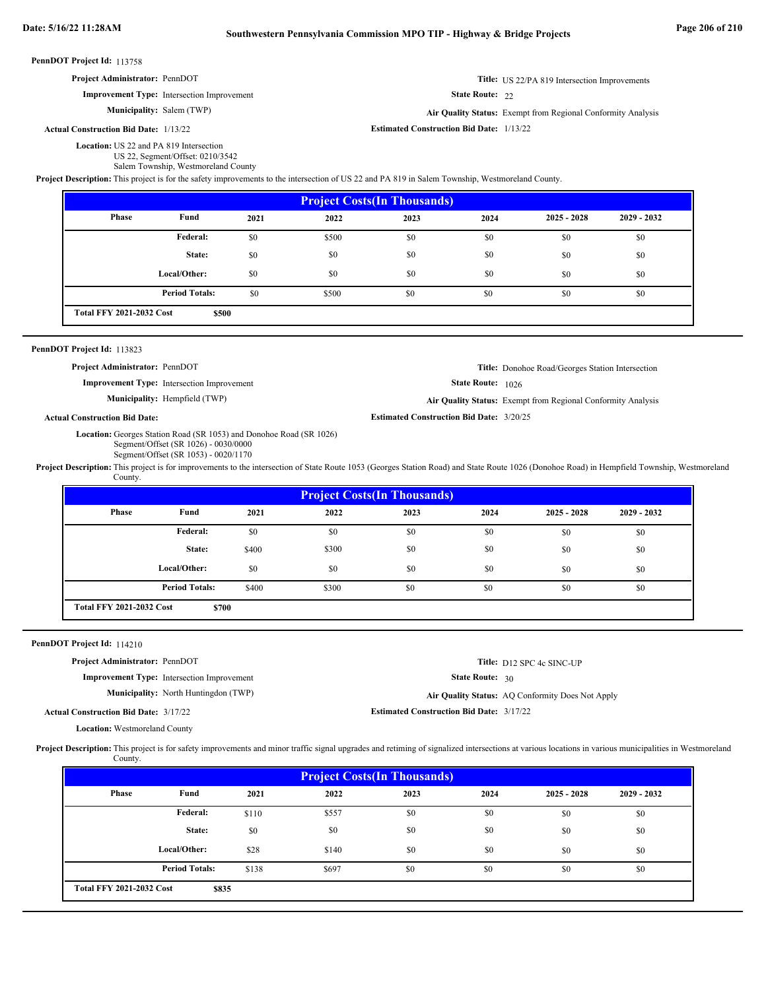PennDOT Project Id: 113758 State Route: 22 PennDOT Project Id: 113823 State Route: 1026 PennDOT Project Id: 114210 State Route: 30 Location: US 22 and PA 819 Intersection US 22, Segment/Offset: 0210/3542 Salem Township, Westmoreland County **Title:** US 22/PA 819 Intersection Improvements **Improvement Type:** Intersection Improvement **Estimated Construction Bid Date:** 1/13/22 **Actual Construction Bid Date: Municipality:** Salem (TWP) Salem (TWP) **Air Quality Status:** Exempt from Regional Conformity Analysis **Project Administrator:** PennDOT **Project Description:** This project is for the safety improvements to the intersection of US 22 and PA 819 in Salem Township, Westmoreland County. Location: Georges Station Road (SR 1053) and Donohoe Road (SR 1026) Segment/Offset (SR 1026) - 0030/0000 Segment/Offset (SR 1053) - 0020/1170 **Title:** Donohoe Road/Georges Station Intersection **Improvement Type:** Intersection Improvement **Estimated Construction Bid Date:** 3/20/25 **Actual Construction Bid Date:** Municipality: Hempfield (TWP) Hempfield (TWP) **Air Quality Status:** Exempt from Regional Conformity Analysis **Project Administrator:** PennDOT Project Description: This project is for improvements to the intersection of State Route 1053 (Georges Station Road) and State Route 1026 (Donohoe Road) in Hempfield Township, Westmoreland County. Location: Westmoreland County **Title:** D12 SPC 4c SINC-UP **Improvement Type:** Intersection Improvement **Estimated Construction Bid Date:** 3/17/22 3/17/22 **Actual Construction Bid Date: Municipality:** North Huntingdon (TWP) **Air Quality Status: Project Administrator:** PennDOT Air Quality Status: AQ Conformity Does Not Apply Project Description: This project is for safety improvements and minor traffic signal upgrades and retiming of signalized intersections at various locations in various municipalities in Westmoreland County.  **2021 2023 2024 \$500** \$0 \$500 \$0 \$0 \$0 \$0 \$0 \$0 \$0 \$0 \$0 \$0 \$0 \$0 \$0 \$0 \$0 \$0 \$0 \$0 \$0 \$0 \$0 \$0 \$0 \$0 \$0 \$0 \$500 \$0 \$0 \$0 \$0 \$0 \$0 **Project Costs(In Thousands) Phase Fund 2025 - 2028 2029 - 2032 Federal: State: Local/Other: Total FFY 2021-2032 Cost 2022** \$0 \$0 \$0 **Period Totals:**  $\qquad \qquad $0$  \$500 \$0 \$0 \$0  **2021 2023 2024 \$700** \$0 \$0 \$0 \$0 \$0 \$0 \$0 \$0 \$0 \$400 \$300 \$0 \$0 \$0 \$0 \$0 \$0 \$0 \$0 \$0 \$1 \$0 \$0 \$0 \$0 \$0 \$0 \$0 \$0 \$0 \$400 \$300 \$0 \$0 \$0 \$0 \$0 \$0 \$0 **Project Costs(In Thousands) Phase Fund 2025 - 2028 2029 - 2032 Federal: State: Local/Other: Total FFY 2021-2032 Cost 2022** \$0 \$0  $$0$ **Period Totals:** \$400 \$300 \$0 \$0 \$0  **2021 2023 2024** \$110 \$557 \$0 \$0 \$0 \$0 \$0 \$0 \$0 \$0 \$1 \$0 \$0 \$0 \$0 \$0 \$0 \$0 \$0 \$0 \$28 \$140 \$0 \$0 \$0 \$0 \$0 \$0 **Project Costs(In Thousands) Phase Fund 2025 - 2028 2029 - 2032 Federal: State: Local/Other: 2022** \$0 \$0 \$0

\$138 \$697 \$0 \$0 \$0 \$0 \$0 \$0

**\$835**

**Period Totals:** \$138 \$697 \$0 \$0

**Total FFY 2021-2032 Cost**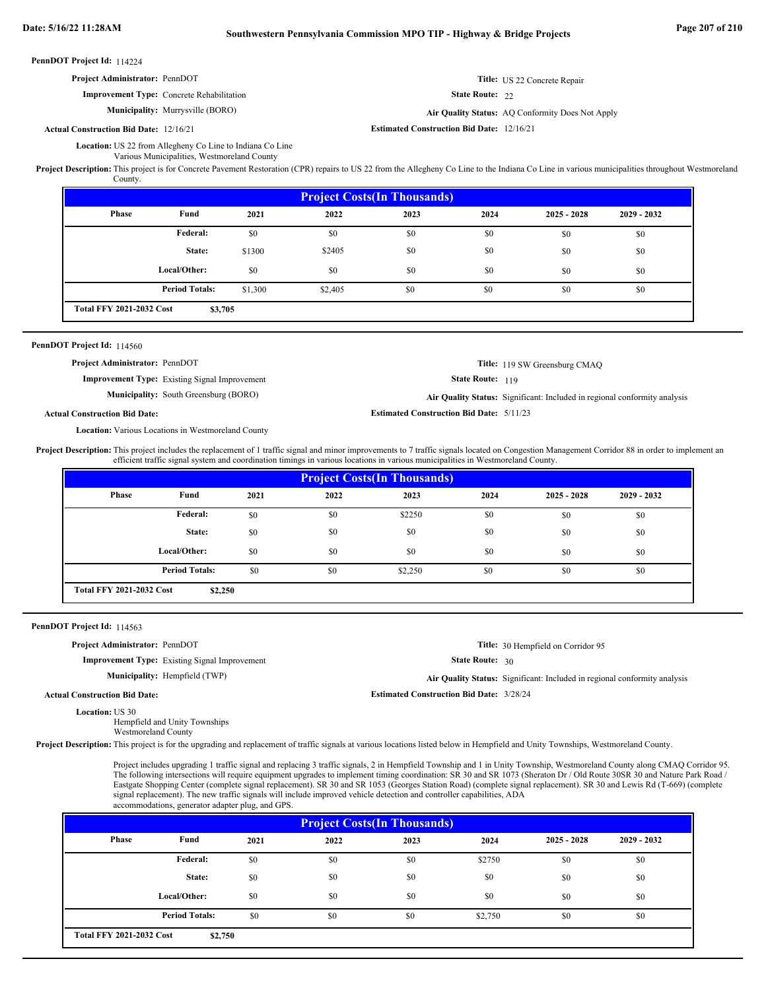| <b>Project Administrator: PennDOT</b>            | Title: US 22 Concrete Repair |
|--------------------------------------------------|------------------------------|
| <b>Improvement Type:</b> Concrete Rehabilitation | <b>State Route: 22</b>       |

**Municipality:** Murrysville (BORO) **Air Quality Status:** 

#### **Estimated Construction Bid Date:** 12/16/21 12/16/21 **Actual Construction Bid Date:**

Location: US 22 from Allegheny Co Line to Indiana Co Line Various Municipalities, Westmoreland County

Project Description: This project is for Concrete Pavement Restoration (CPR) repairs to US 22 from the Allegheny Co Line to the Indiana Co Line in various municipalities throughout Westmoreland County.

| <b>Project Costs (In Thousands)</b> |                       |         |         |      |      |               |               |  |  |
|-------------------------------------|-----------------------|---------|---------|------|------|---------------|---------------|--|--|
| <b>Phase</b>                        | Fund                  | 2021    | 2022    | 2023 | 2024 | $2025 - 2028$ | $2029 - 2032$ |  |  |
|                                     | Federal:              | \$0     | \$0     | \$0  | \$0  | \$0           | \$0           |  |  |
|                                     | State:                | \$1300  | \$2405  | \$0  | \$0  | \$0           | \$0           |  |  |
|                                     | Local/Other:          | \$0     | \$0     | \$0  | \$0  | \$0           | \$0           |  |  |
|                                     | <b>Period Totals:</b> | \$1,300 | \$2,405 | \$0  | \$0  | \$0           | \$0           |  |  |
| <b>Total FFY 2021-2032 Cost</b>     | \$3,705               |         |         |      |      |               |               |  |  |

### PennDOT Project Id: 114560

**Project Administrator:** PennDOT

**Improvement Type:** Existing Signal Improvement

**Municipality:** South Greensburg (BORO) **Air Quality Status:**

```
State Route: 119
Air Quality Status: Significant: Included in regional conformity analysis
```
**Estimated Construction Bid Date:** 5/11/23

**Title:** 119 SW Greensburg CMAQ

Air Quality Status: AQ Conformity Does Not Apply

**Actual Construction Bid Date:**

Location: Various Locations in Westmoreland County

Project Description: This project includes the replacement of 1 traffic signal and minor improvements to 7 traffic signals located on Congestion Management Corridor 88 in order to implement an efficient traffic signal system and coordination timings in various locations in various municipalities in Westmoreland County.

| <b>Project Costs (In Thousands)</b> |                       |      |      |         |      |               |               |  |  |
|-------------------------------------|-----------------------|------|------|---------|------|---------------|---------------|--|--|
| Phase                               | Fund                  | 2021 | 2022 | 2023    | 2024 | $2025 - 2028$ | $2029 - 2032$ |  |  |
|                                     | <b>Federal:</b>       | \$0  | \$0  | \$2250  | \$0  | \$0           | \$0           |  |  |
|                                     | State:                | \$0  | \$0  | \$0     | \$0  | \$0           | \$0           |  |  |
|                                     | Local/Other:          | \$0  | \$0  | \$0     | \$0  | \$0           | \$0           |  |  |
|                                     | <b>Period Totals:</b> | \$0  | \$0  | \$2,250 | \$0  | \$0           | \$0           |  |  |
| <b>Total FFY 2021-2032 Cost</b>     | \$2,250               |      |      |         |      |               |               |  |  |

PennDOT Project Id: 114563

**Project Administrator:** PennDOT

**Improvement Type:** Existing Signal Improvement

**Municipality:**

State Route: 30

Hempfield (TWP) **Air Quality Status:** Significant: Included in regional conformity analysis

**Title:** 30 Hempfield on Corridor 95

**Estimated Construction Bid Date:** 3/28/24

Location: US 30 **Actual Construction Bid Date:**

Hempfield and Unity Townships Westmoreland County

Project Description: This project is for the upgrading and replacement of traffic signals at various locations listed below in Hempfield and Unity Townships, Westmoreland County.

Project includes upgrading 1 traffic signal and replacing 3 traffic signals, 2 in Hempfield Township and 1 in Unity Township, Westmoreland County along CMAQ Corridor 95. The following intersections will require equipment upgrades to implement timing coordination: SR 30 and SR 1073 (Sheraton Dr / Old Route 30SR 30 and Nature Park Road / Eastgate Shopping Center (complete signal replacement). SR 30 and SR 1053 (Georges Station Road) (complete signal replacement). SR 30 and Lewis Rd (T-669) (complete signal replacement). The new traffic signals will include improved vehicle detection and controller capabilities, ADA accommodations, generator adapter plug, and GPS.

| <b>Project Costs (In Thousands)</b> |                                            |      |      |      |         |               |               |  |  |
|-------------------------------------|--------------------------------------------|------|------|------|---------|---------------|---------------|--|--|
| Phase                               | Fund                                       | 2021 | 2022 | 2023 | 2024    | $2025 - 2028$ | $2029 - 2032$ |  |  |
|                                     | Federal:                                   | \$0  | \$0  | \$0  | \$2750  | \$0           | \$0           |  |  |
|                                     | State:                                     | \$0  | \$0  | \$0  | \$0     | \$0           | \$0           |  |  |
|                                     | Local/Other:                               | \$0  | \$0  | \$0  | \$0     | \$0           | \$0           |  |  |
|                                     | <b>Period Totals:</b>                      | \$0  | \$0  | \$0  | \$2,750 | \$0           | \$0           |  |  |
|                                     | <b>Total FFY 2021-2032 Cost</b><br>\$2,750 |      |      |      |         |               |               |  |  |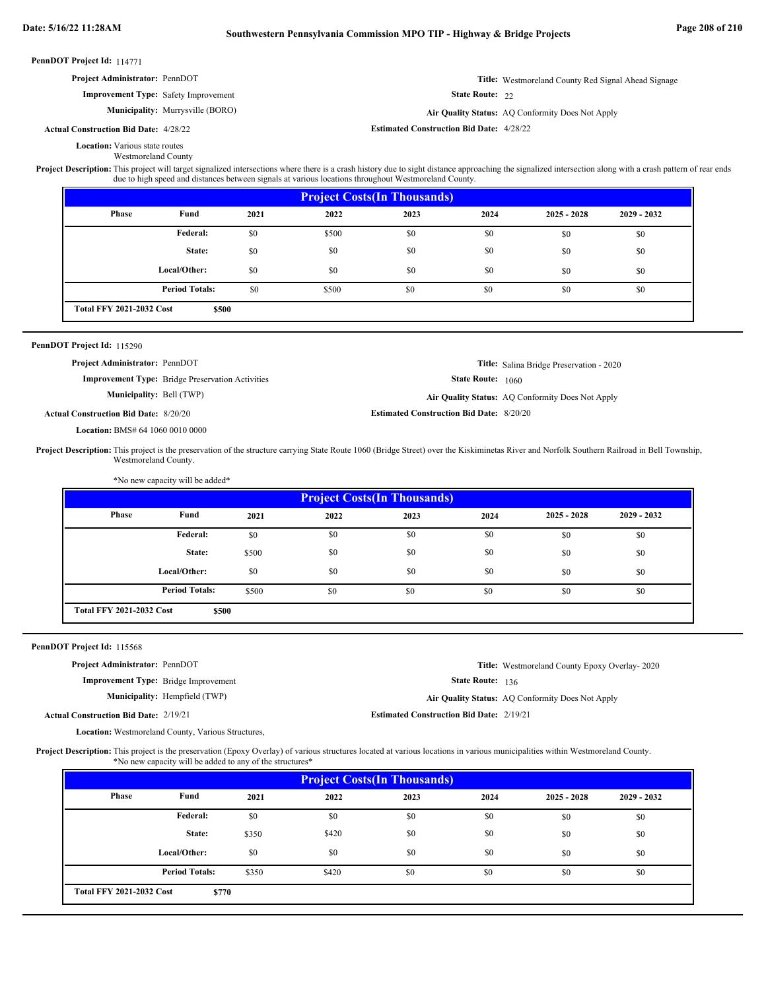÷.

| PennDOT Project Id: 114771 |                                                                                  |                                                          |       |                                                                                                                                                                                                                                                                                                                     |                                                 |                   |                                                            |             |
|----------------------------|----------------------------------------------------------------------------------|----------------------------------------------------------|-------|---------------------------------------------------------------------------------------------------------------------------------------------------------------------------------------------------------------------------------------------------------------------------------------------------------------------|-------------------------------------------------|-------------------|------------------------------------------------------------|-------------|
|                            | Project Administrator: PennDOT                                                   |                                                          |       |                                                                                                                                                                                                                                                                                                                     |                                                 |                   | <b>Title:</b> Westmoreland County Red Signal Ahead Signage |             |
|                            |                                                                                  | <b>Improvement Type:</b> Safety Improvement              |       |                                                                                                                                                                                                                                                                                                                     |                                                 | State Route: 22   |                                                            |             |
|                            |                                                                                  | <b>Municipality:</b> Murrysville (BORO)                  |       |                                                                                                                                                                                                                                                                                                                     |                                                 |                   | Air Quality Status: AQ Conformity Does Not Apply           |             |
|                            | <b>Actual Construction Bid Date: 4/28/22</b>                                     |                                                          |       |                                                                                                                                                                                                                                                                                                                     | <b>Estimated Construction Bid Date: 4/28/22</b> |                   |                                                            |             |
|                            | <b>Location:</b> Various state routes                                            | <b>Westmoreland County</b>                               |       | Project Description: This project will target signalized intersections where there is a crash history due to sight distance approaching the signalized intersection along with a crash pattern of rear ends<br>due to high speed and distances between signals at various locations throughout Westmoreland County. |                                                 |                   |                                                            |             |
|                            |                                                                                  |                                                          |       |                                                                                                                                                                                                                                                                                                                     | <b>Project Costs(In Thousands)</b>              |                   |                                                            |             |
|                            | Phase                                                                            | Fund                                                     | 2021  | 2022                                                                                                                                                                                                                                                                                                                | 2023                                            | 2024              | $2025 - 2028$                                              | 2029 - 2032 |
|                            |                                                                                  | <b>Federal:</b>                                          | \$0   | \$500                                                                                                                                                                                                                                                                                                               | \$0                                             | \$0               | \$0                                                        | \$0         |
|                            |                                                                                  | State:                                                   | \$0   | \$0                                                                                                                                                                                                                                                                                                                 | \$0                                             | \$0               | \$0                                                        | \$0         |
|                            |                                                                                  | Local/Other:                                             | \$0   | \$0                                                                                                                                                                                                                                                                                                                 | \$0                                             | \$0               | \$0                                                        | \$0         |
|                            |                                                                                  | <b>Period Totals:</b>                                    | \$0   | \$500                                                                                                                                                                                                                                                                                                               | \$0                                             | \$0               | \$0                                                        | \$0         |
|                            | <b>Total FFY 2021-2032 Cost</b>                                                  | \$500                                                    |       |                                                                                                                                                                                                                                                                                                                     |                                                 |                   |                                                            |             |
|                            |                                                                                  |                                                          |       |                                                                                                                                                                                                                                                                                                                     |                                                 |                   |                                                            |             |
| PennDOT Project Id: 115290 |                                                                                  |                                                          |       |                                                                                                                                                                                                                                                                                                                     |                                                 |                   |                                                            |             |
|                            |                                                                                  |                                                          |       |                                                                                                                                                                                                                                                                                                                     |                                                 |                   |                                                            |             |
|                            | Project Administrator: PennDOT                                                   | <b>Improvement Type:</b> Bridge Preservation Activities  |       |                                                                                                                                                                                                                                                                                                                     |                                                 | State Route: 1060 | Title: Salina Bridge Preservation - 2020                   |             |
|                            |                                                                                  | <b>Municipality: Bell (TWP)</b>                          |       |                                                                                                                                                                                                                                                                                                                     |                                                 |                   | Air Quality Status: AQ Conformity Does Not Apply           |             |
|                            |                                                                                  |                                                          |       |                                                                                                                                                                                                                                                                                                                     |                                                 |                   |                                                            |             |
|                            |                                                                                  |                                                          |       |                                                                                                                                                                                                                                                                                                                     |                                                 |                   |                                                            |             |
|                            | <b>Actual Construction Bid Date: 8/20/20</b><br>Location: BMS# 64 1060 0010 0000 |                                                          |       |                                                                                                                                                                                                                                                                                                                     | <b>Estimated Construction Bid Date: 8/20/20</b> |                   |                                                            |             |
|                            |                                                                                  | Westmoreland County.<br>*No new capacity will be added*  |       | Project Description: This project is the preservation of the structure carrying State Route 1060 (Bridge Street) over the Kiskiminetas River and Norfolk Southern Railroad in Bell Township,                                                                                                                        |                                                 |                   |                                                            |             |
|                            |                                                                                  |                                                          |       |                                                                                                                                                                                                                                                                                                                     | <b>Project Costs(In Thousands)</b>              |                   |                                                            |             |
|                            | <b>Phase</b>                                                                     | Fund                                                     | 2021  | 2022                                                                                                                                                                                                                                                                                                                | 2023                                            | 2024              | $2025 - 2028$                                              | 2029 - 2032 |
|                            |                                                                                  | Federal:                                                 | $\$0$ | \$0                                                                                                                                                                                                                                                                                                                 | \$0                                             | \$0               | \$0                                                        | \$0         |
|                            |                                                                                  | State:                                                   | \$500 | \$0                                                                                                                                                                                                                                                                                                                 | \$0                                             | \$0               | \$0                                                        | \$0         |
|                            |                                                                                  | Local/Other:                                             | \$0   | \$0                                                                                                                                                                                                                                                                                                                 | \$0                                             | \$0               | \$0                                                        | \$0         |
|                            |                                                                                  |                                                          |       |                                                                                                                                                                                                                                                                                                                     |                                                 |                   |                                                            |             |
|                            |                                                                                  | <b>Period Totals:</b>                                    | \$500 | \$0                                                                                                                                                                                                                                                                                                                 | \$0                                             | \$0               | \$0                                                        | \$0         |
|                            | <b>Total FFY 2021-2032 Cost</b>                                                  | \$500                                                    |       |                                                                                                                                                                                                                                                                                                                     |                                                 |                   |                                                            |             |
|                            |                                                                                  |                                                          |       |                                                                                                                                                                                                                                                                                                                     |                                                 |                   |                                                            |             |
| PennDOT Project Id: 115568 |                                                                                  |                                                          |       |                                                                                                                                                                                                                                                                                                                     |                                                 |                   |                                                            |             |
|                            | Project Administrator: PennDOT                                                   |                                                          |       |                                                                                                                                                                                                                                                                                                                     |                                                 |                   | Title: Westmoreland County Epoxy Overlay-2020              |             |
|                            |                                                                                  | <b>Improvement Type:</b> Bridge Improvement              |       |                                                                                                                                                                                                                                                                                                                     |                                                 | State Route: 136  |                                                            |             |
|                            |                                                                                  | Municipality: Hempfield (TWP)                            |       |                                                                                                                                                                                                                                                                                                                     |                                                 |                   | Air Quality Status: AQ Conformity Does Not Apply           |             |
|                            | <b>Actual Construction Bid Date: 2/19/21</b>                                     |                                                          |       |                                                                                                                                                                                                                                                                                                                     | <b>Estimated Construction Bid Date: 2/19/21</b> |                   |                                                            |             |
|                            |                                                                                  | Location: Westmoreland County, Various Structures,       |       |                                                                                                                                                                                                                                                                                                                     |                                                 |                   |                                                            |             |
|                            |                                                                                  | *No new capacity will be added to any of the structures* |       | Project Description: This project is the preservation (Epoxy Overlay) of various structures located at various locations in various municipalities within Westmoreland County.                                                                                                                                      |                                                 |                   |                                                            |             |
|                            |                                                                                  |                                                          |       |                                                                                                                                                                                                                                                                                                                     | <b>Project Costs(In Thousands)</b>              |                   |                                                            |             |
|                            | <b>Phase</b>                                                                     | Fund                                                     | 2021  | 2022                                                                                                                                                                                                                                                                                                                | 2023                                            | 2024              | $2025 - 2028$                                              | 2029 - 2032 |
|                            |                                                                                  | <b>Federal:</b>                                          | \$0   | \$0                                                                                                                                                                                                                                                                                                                 | \$0                                             | \$0               | \$0                                                        | \$0         |
|                            |                                                                                  | State:                                                   | \$350 | \$420                                                                                                                                                                                                                                                                                                               | \$0                                             | \$0               | \$0                                                        | \$0         |
|                            |                                                                                  | Local/Other:                                             | \$0   | \$0                                                                                                                                                                                                                                                                                                                 | \$0                                             | \$0               | \$0                                                        | \$0         |

\$0 \$0 \$0 \$0 \$0 \$0 \$0 \$0 \$0 \$350 \$420 \$0 \$0 \$0 \$0 \$0 \$0 \$0

**\$770**

**Period Totals:** \$350 \$420 \$0 \$0

**Total FFY 2021-2032 Cost**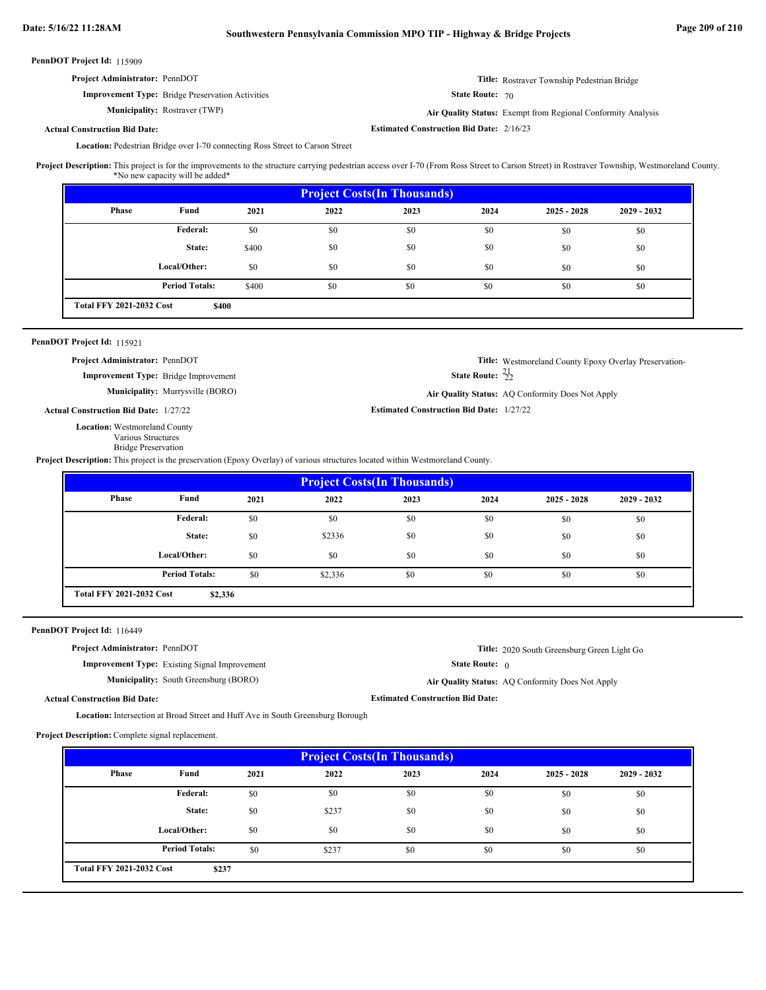**Estimated Construction Bid Date:** 2/16/23

PennDOT Project Id: 115909

| <b>Project Administrator: PennDOT</b>                   |                        | <b>Title:</b> Rostraver Township Pedestrian Bridge                  |
|---------------------------------------------------------|------------------------|---------------------------------------------------------------------|
| <b>Improvement Type:</b> Bridge Preservation Activities | <b>State Route: 70</b> |                                                                     |
| <b>Municipality:</b> Rostraver (TWP)                    |                        | <b>Air Quality Status:</b> Exempt from Regional Conformity Analysis |

### **Actual Construction Bid Date:**

Location: Pedestrian Bridge over I-70 connecting Ross Street to Carson Street

This project is for the improvements to the structure carrying pedestrian access over I-70 (From Ross Street to Carson Street) in Rostraver Township, Westmoreland County. \*No new capacity will be added\* **Project Description:**

| <b>Project Costs (In Thousands)</b> |                       |       |      |      |      |               |               |  |  |
|-------------------------------------|-----------------------|-------|------|------|------|---------------|---------------|--|--|
| Phase                               | Fund                  | 2021  | 2022 | 2023 | 2024 | $2025 - 2028$ | $2029 - 2032$ |  |  |
|                                     | Federal:              | \$0   | \$0  | \$0  | \$0  | \$0           | \$0           |  |  |
|                                     | State:                | \$400 | \$0  | \$0  | \$0  | \$0           | \$0           |  |  |
|                                     | Local/Other:          | \$0   | \$0  | \$0  | \$0  | \$0           | \$0           |  |  |
|                                     | <b>Period Totals:</b> | \$400 | \$0  | \$0  | \$0  | \$0           | \$0           |  |  |
| <b>Total FFY 2021-2032 Cost</b>     | \$400                 |       |      |      |      |               |               |  |  |

### PennDOT Project Id: 115921

**Project Administrator:** PennDOT

**Improvement Type:** Bridge Improvement

**Municipality:** Murrysville (BORO) Murrysville (BORO) **Air Quality Status:** AQ Conformity Does Not Apply

**Estimated Construction Bid Date:** 1/27/22 1/27/22 **Actual Construction Bid Date:**

**Location:** Westmoreland County Various Structures

Bridge Preservation

**Project Description:** This project is the preservation (Epoxy Overlay) of various structures located within Westmoreland County.

| <b>Project Costs (In Thousands)</b> |                                            |      |         |      |      |               |               |  |  |
|-------------------------------------|--------------------------------------------|------|---------|------|------|---------------|---------------|--|--|
| Phase                               | Fund                                       | 2021 | 2022    | 2023 | 2024 | $2025 - 2028$ | $2029 - 2032$ |  |  |
|                                     | Federal:                                   | \$0  | \$0     | \$0  | \$0  | \$0           | \$0           |  |  |
|                                     | State:                                     | \$0  | \$2336  | \$0  | \$0  | \$0           | \$0           |  |  |
|                                     | Local/Other:                               | \$0  | \$0     | \$0  | \$0  | \$0           | \$0           |  |  |
|                                     | <b>Period Totals:</b>                      | \$0  | \$2,336 | \$0  | \$0  | \$0           | \$0           |  |  |
|                                     | <b>Total FFY 2021-2032 Cost</b><br>\$2,336 |      |         |      |      |               |               |  |  |

### PennDOT Project Id: 116449

**Project Administrator:** PennDOT

**Improvement Type:** Existing Signal Improvement

**Title:** 2020 South Greensburg Green Light Go

**Title:** Westmoreland County Epoxy Overlay Preservation-

State Route: 0

**Estimated Construction Bid Date:**

State Route:  $\frac{21}{22}$ 

**Municipality:** South Greensburg (BORO) **Air Quality Status:** Air Quality Status: AQ Conformity Does Not Apply

**Actual Construction Bid Date:**

Location: Intersection at Broad Street and Huff Ave in South Greensburg Borough

**Project Description:** Complete signal replacement.

| <b>Project Costs (In Thousands)</b> |                       |      |       |      |      |               |               |  |  |
|-------------------------------------|-----------------------|------|-------|------|------|---------------|---------------|--|--|
| Phase                               | Fund                  | 2021 | 2022  | 2023 | 2024 | $2025 - 2028$ | $2029 - 2032$ |  |  |
|                                     | Federal:              | \$0  | \$0   | \$0  | \$0  | \$0           | \$0           |  |  |
|                                     | State:                | \$0  | \$237 | \$0  | \$0  | \$0           | \$0           |  |  |
|                                     | Local/Other:          | \$0  | \$0   | \$0  | \$0  | \$0           | \$0           |  |  |
|                                     | <b>Period Totals:</b> | \$0  | \$237 | \$0  | \$0  | \$0           | \$0           |  |  |
| <b>Total FFY 2021-2032 Cost</b>     | \$237                 |      |       |      |      |               |               |  |  |